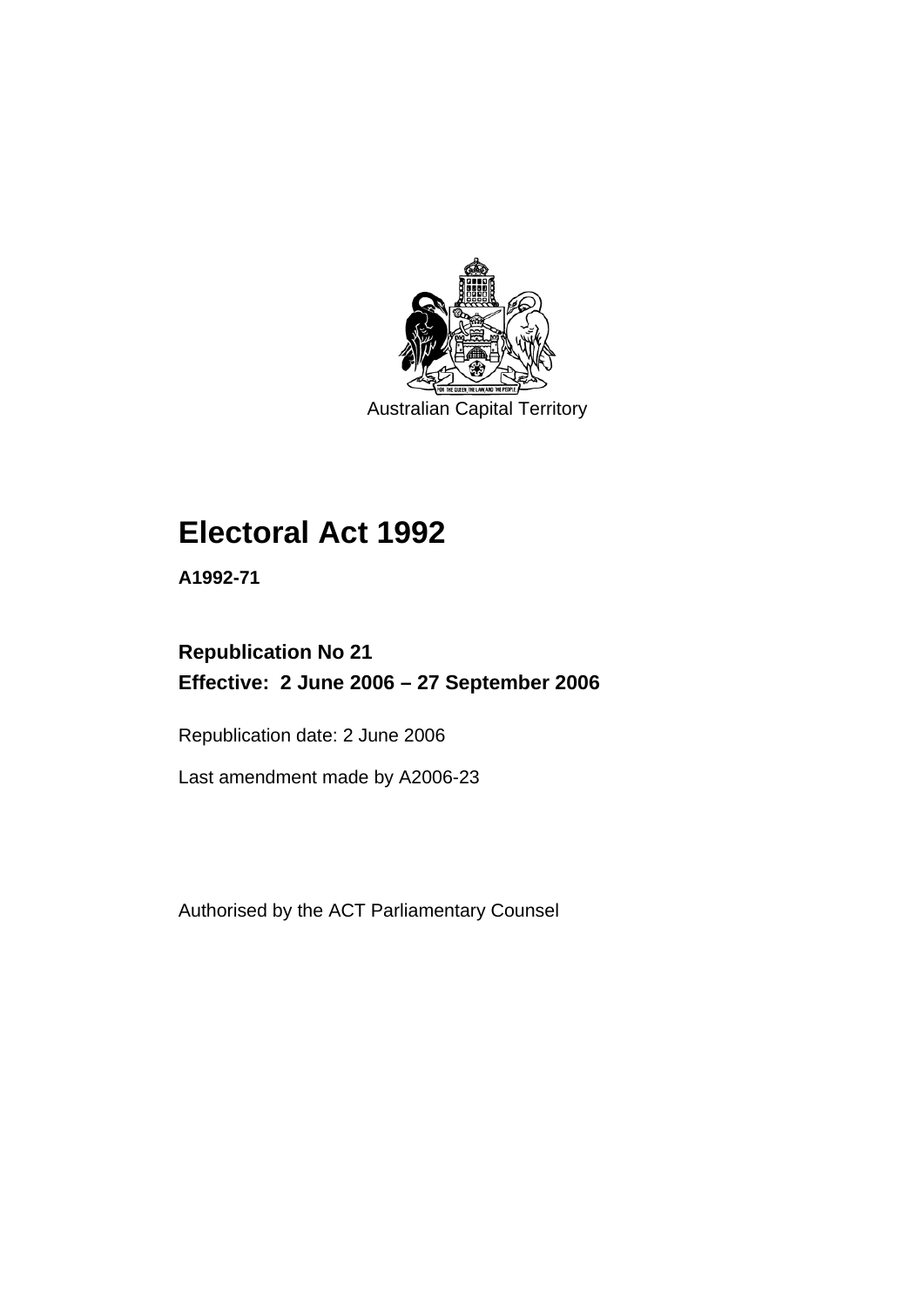

Australian Capital Territory

# **Electoral Act 1992**

**A1992-71** 

## **Republication No 21 Effective: 2 June 2006 – 27 September 2006**

Republication date: 2 June 2006

Last amendment made by A2006-23

Authorised by the ACT Parliamentary Counsel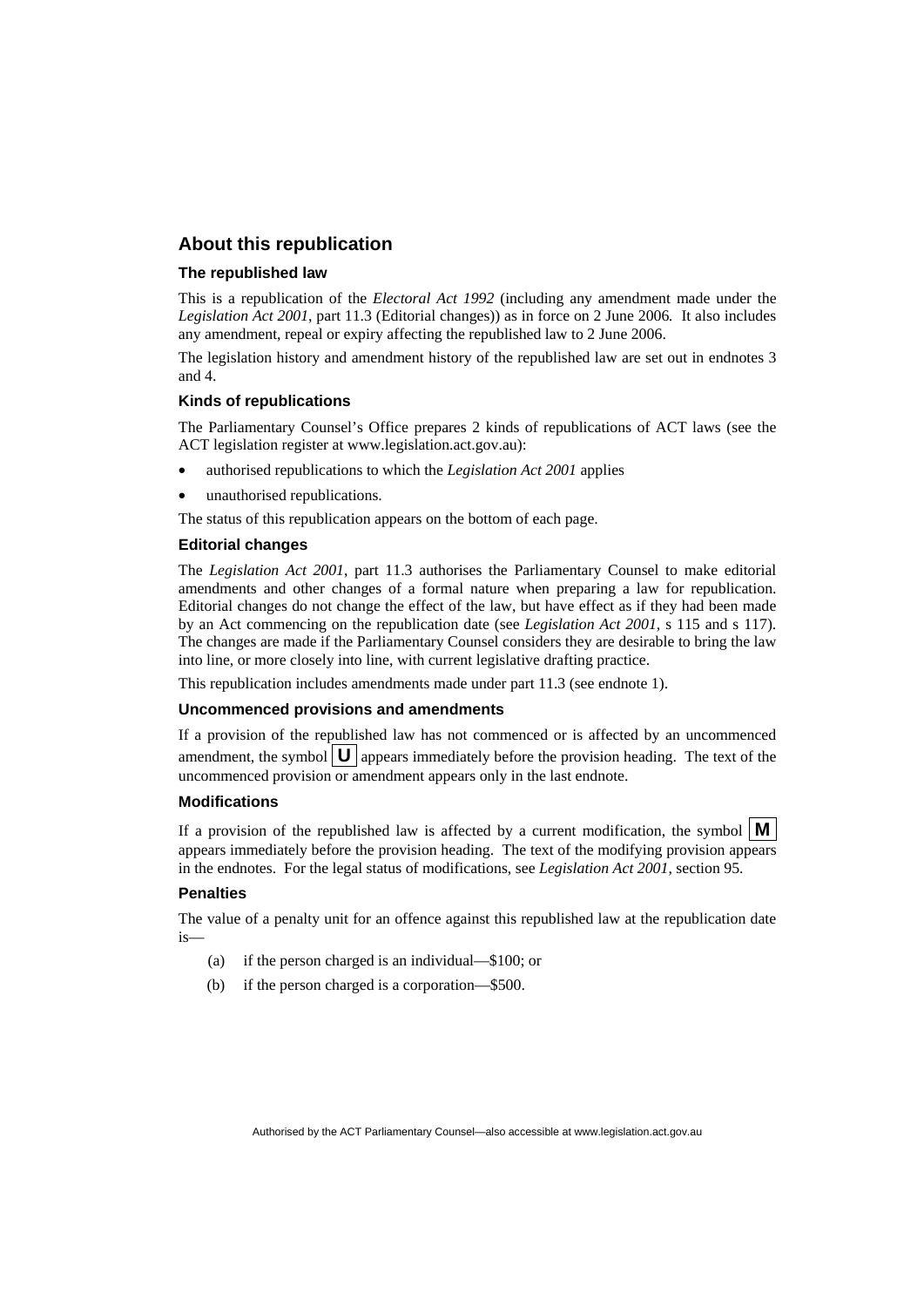#### **About this republication**

#### **The republished law**

This is a republication of the *Electoral Act 1992* (including any amendment made under the *Legislation Act 2001*, part 11.3 (Editorial changes)) as in force on 2 June 2006*.* It also includes any amendment, repeal or expiry affecting the republished law to 2 June 2006.

The legislation history and amendment history of the republished law are set out in endnotes 3 and 4.

#### **Kinds of republications**

The Parliamentary Counsel's Office prepares 2 kinds of republications of ACT laws (see the ACT legislation register at www.legislation.act.gov.au):

- authorised republications to which the *Legislation Act 2001* applies
- unauthorised republications.

The status of this republication appears on the bottom of each page.

#### **Editorial changes**

The *Legislation Act 2001*, part 11.3 authorises the Parliamentary Counsel to make editorial amendments and other changes of a formal nature when preparing a law for republication. Editorial changes do not change the effect of the law, but have effect as if they had been made by an Act commencing on the republication date (see *Legislation Act 2001*, s 115 and s 117). The changes are made if the Parliamentary Counsel considers they are desirable to bring the law into line, or more closely into line, with current legislative drafting practice.

This republication includes amendments made under part 11.3 (see endnote 1).

#### **Uncommenced provisions and amendments**

If a provision of the republished law has not commenced or is affected by an uncommenced amendment, the symbol  $\mathbf{U}$  appears immediately before the provision heading. The text of the uncommenced provision or amendment appears only in the last endnote.

#### **Modifications**

If a provision of the republished law is affected by a current modification, the symbol  $\mathbf{M}$ appears immediately before the provision heading. The text of the modifying provision appears in the endnotes. For the legal status of modifications, see *Legislation Act 2001*, section 95.

#### **Penalties**

The value of a penalty unit for an offence against this republished law at the republication date is—

- (a) if the person charged is an individual—\$100; or
- (b) if the person charged is a corporation—\$500.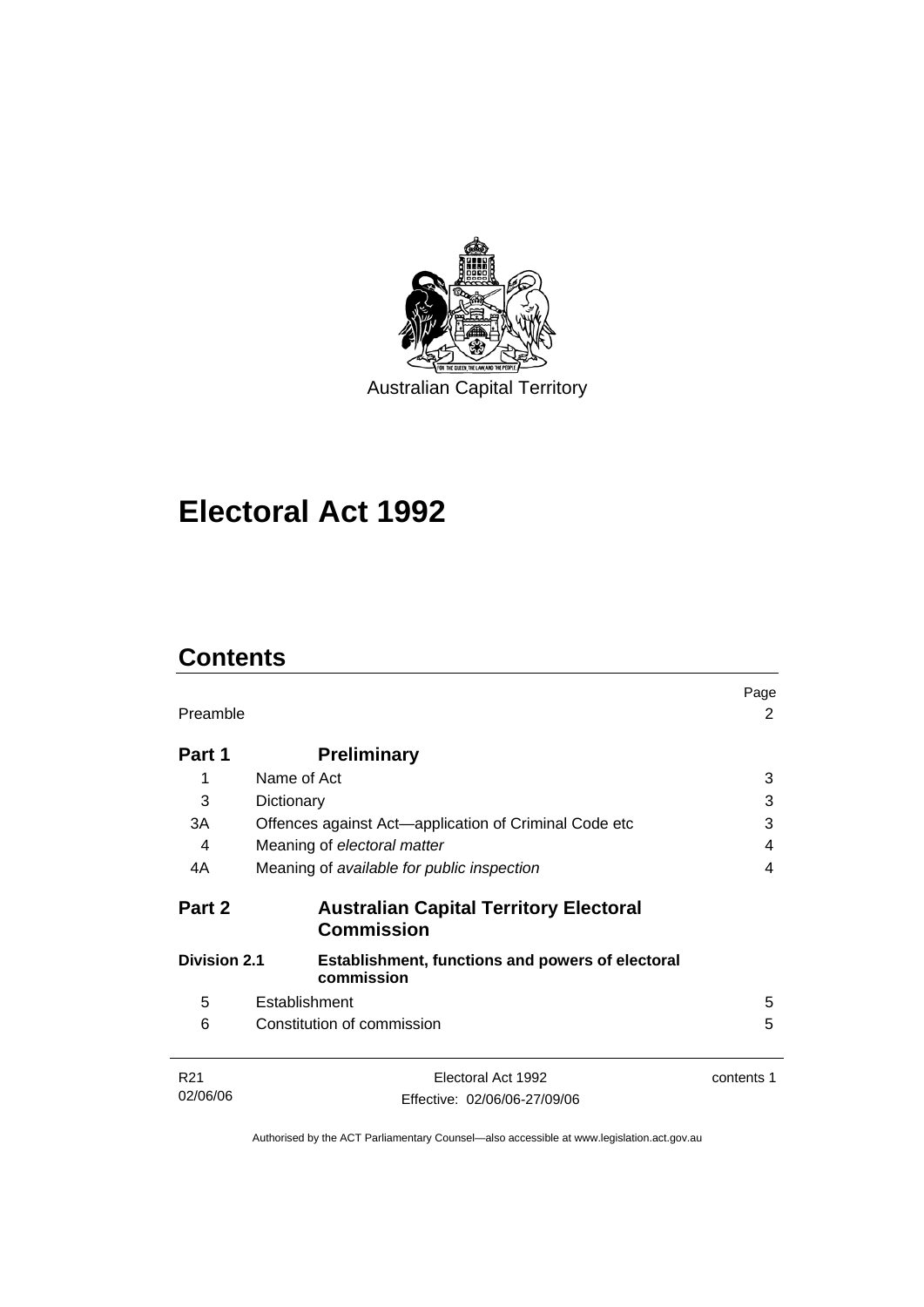

Australian Capital Territory

# **Electoral Act 1992**

## **Contents**

| Preamble            |                                                                       | Page<br>2  |
|---------------------|-----------------------------------------------------------------------|------------|
| Part 1              | <b>Preliminary</b>                                                    |            |
| 1                   | Name of Act                                                           | 3          |
| 3                   | Dictionary                                                            | 3          |
| 3A                  | Offences against Act—application of Criminal Code etc                 | 3          |
| 4                   | Meaning of electoral matter                                           | 4          |
| 4A                  | Meaning of available for public inspection                            | 4          |
| Part 2              | <b>Australian Capital Territory Electoral</b><br><b>Commission</b>    |            |
| <b>Division 2.1</b> | <b>Establishment, functions and powers of electoral</b><br>commission |            |
| 5                   | Establishment                                                         | 5          |
| 6                   | Constitution of commission                                            | 5          |
| R <sub>21</sub>     | Electoral Act 1992                                                    | contents 1 |
| 02/06/06            | Effective: 02/06/06-27/09/06                                          |            |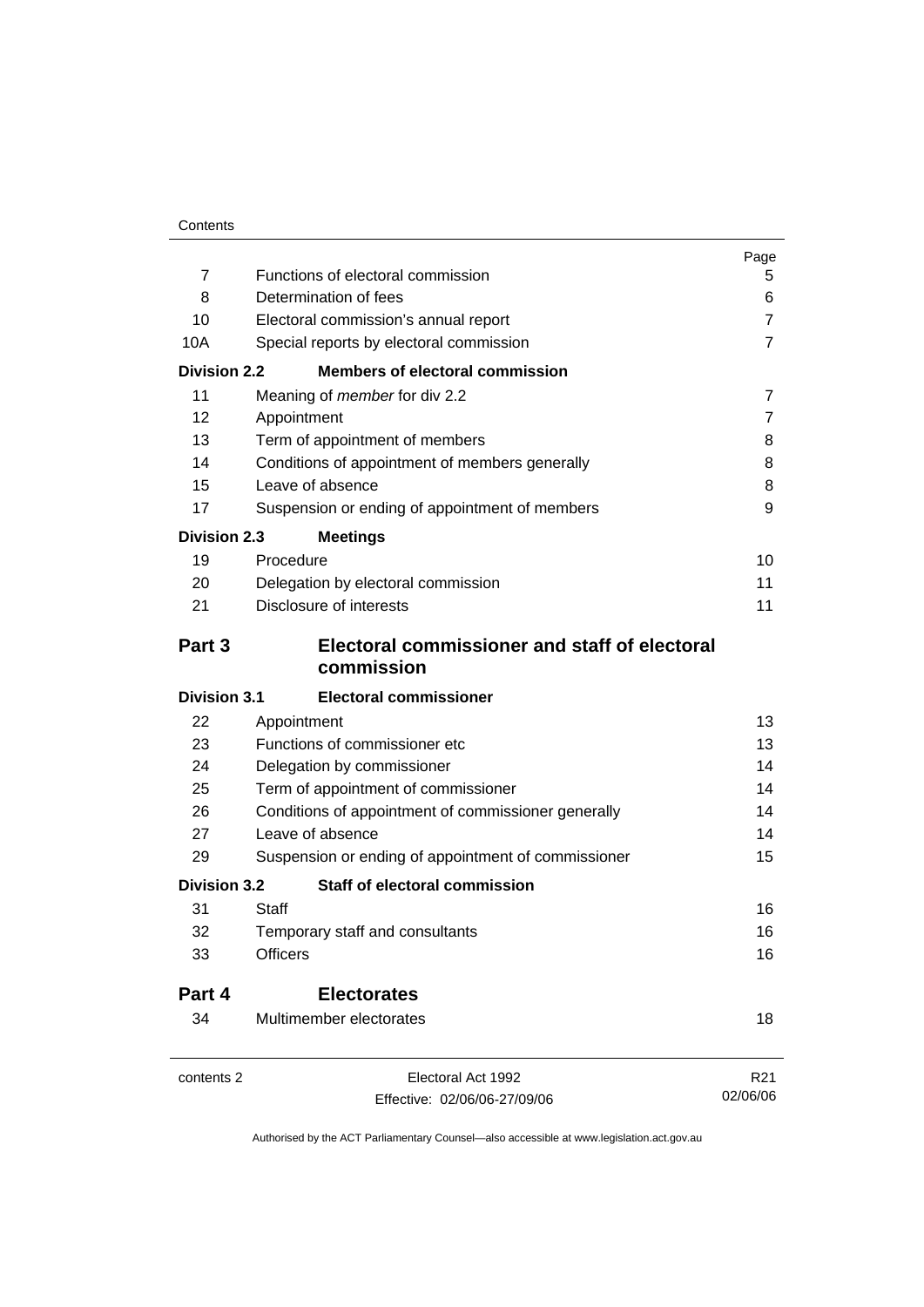|                     |                                                                                                          | Page            |
|---------------------|----------------------------------------------------------------------------------------------------------|-----------------|
| $\overline{7}$      | Functions of electoral commission                                                                        | 5               |
| 8                   | Determination of fees<br>Electoral commission's annual report<br>Special reports by electoral commission | 6               |
| 10                  |                                                                                                          | $\overline{7}$  |
| 10A                 |                                                                                                          | $\overline{7}$  |
| <b>Division 2.2</b> | <b>Members of electoral commission</b>                                                                   |                 |
| 11                  | Meaning of <i>member</i> for div 2.2                                                                     | $\overline{7}$  |
| 12                  | Appointment                                                                                              | $\overline{7}$  |
| 13                  | Term of appointment of members<br>Conditions of appointment of members generally                         | 8               |
| 14                  |                                                                                                          | 8               |
| 15                  | Leave of absence                                                                                         | 8               |
| 17                  | Suspension or ending of appointment of members                                                           | 9               |
| <b>Division 2.3</b> | <b>Meetings</b>                                                                                          |                 |
| 19                  | Procedure                                                                                                | 10              |
| 20                  | Delegation by electoral commission                                                                       | 11              |
| 21                  | Disclosure of interests                                                                                  | 11              |
| Part 3              | Electoral commissioner and staff of electoral<br>commission                                              |                 |
| <b>Division 3.1</b> | <b>Electoral commissioner</b>                                                                            |                 |
| 22                  | Appointment                                                                                              | 13              |
| 23                  | Functions of commissioner etc                                                                            | 13              |
| 24                  | Delegation by commissioner                                                                               | 14              |
| 25                  | Term of appointment of commissioner                                                                      | 14              |
| 26                  | Conditions of appointment of commissioner generally                                                      | 14              |
| 27                  | Leave of absence                                                                                         | 14              |
| 29                  | Suspension or ending of appointment of commissioner                                                      | 15              |
| <b>Division 3.2</b> | <b>Staff of electoral commission</b>                                                                     |                 |
| 31                  | Staff                                                                                                    | 16              |
| 32                  | Temporary staff and consultants                                                                          | 16              |
| 33                  | <b>Officers</b>                                                                                          | 16              |
| Part 4              | <b>Electorates</b>                                                                                       |                 |
| 34                  | Multimember electorates                                                                                  | 18              |
| contents 2          | Electoral Act 1992                                                                                       | R <sub>21</sub> |
|                     | Effective: 02/06/06-27/09/06                                                                             | 02/06/06        |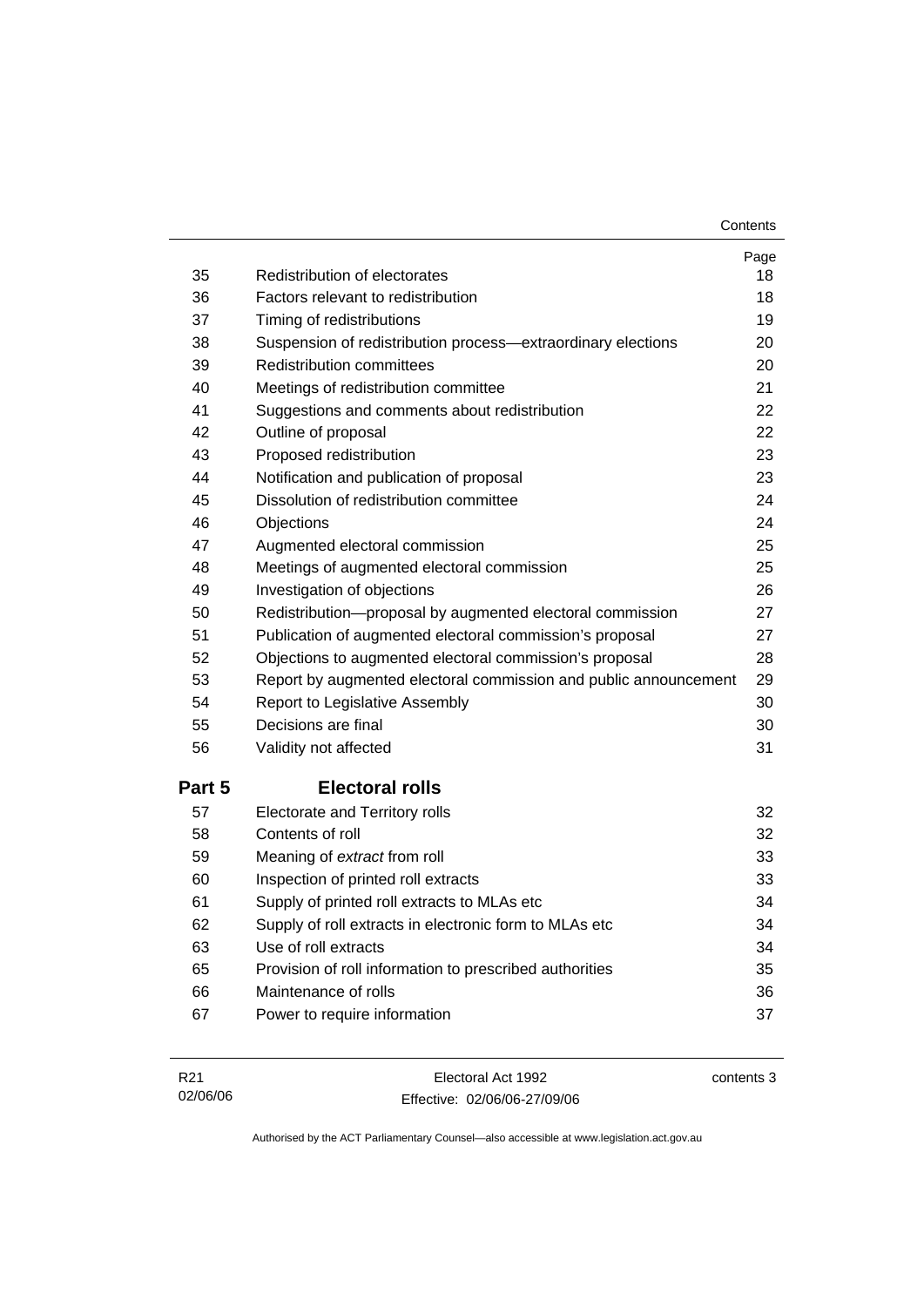**Contents** 

| 35     | Redistribution of electorates                                    | Page<br>18 |
|--------|------------------------------------------------------------------|------------|
| 36     | Factors relevant to redistribution                               | 18         |
| 37     | Timing of redistributions                                        | 19         |
| 38     | Suspension of redistribution process-extraordinary elections     | 20         |
| 39     | <b>Redistribution committees</b>                                 | 20         |
| 40     | Meetings of redistribution committee                             | 21         |
| 41     | Suggestions and comments about redistribution                    | 22         |
| 42     | Outline of proposal                                              | 22         |
| 43     | Proposed redistribution                                          | 23         |
| 44     | Notification and publication of proposal                         | 23         |
| 45     | Dissolution of redistribution committee                          | 24         |
| 46     | Objections                                                       | 24         |
| 47     | Augmented electoral commission                                   | 25         |
| 48     | Meetings of augmented electoral commission                       | 25         |
| 49     | Investigation of objections                                      | 26         |
| 50     | Redistribution-proposal by augmented electoral commission        | 27         |
| 51     | Publication of augmented electoral commission's proposal         | 27         |
| 52     | Objections to augmented electoral commission's proposal          | 28         |
| 53     | Report by augmented electoral commission and public announcement | 29         |
| 54     | Report to Legislative Assembly                                   | 30         |
| 55     | Decisions are final                                              | 30         |
| 56     | Validity not affected                                            | 31         |
| Part 5 | <b>Electoral rolls</b>                                           |            |
| 57     | Electorate and Territory rolls                                   | 32         |
| 58     | Contents of roll                                                 | 32         |
| 59     | Meaning of extract from roll                                     | 33         |
| 60     | Inspection of printed roll extracts                              | 33         |
| 61     | Supply of printed roll extracts to MLAs etc                      | 34         |
| 62     | Supply of roll extracts in electronic form to MLAs etc           | 34         |
| 63     | Use of roll extracts                                             | 34         |
| 65     | Provision of roll information to prescribed authorities          | 35         |
| 66     | Maintenance of rolls                                             | 36         |
| 67     | Power to require information                                     | 37         |

| R21      | Electoral Act 1992           | contents 3 |
|----------|------------------------------|------------|
| 02/06/06 | Effective: 02/06/06-27/09/06 |            |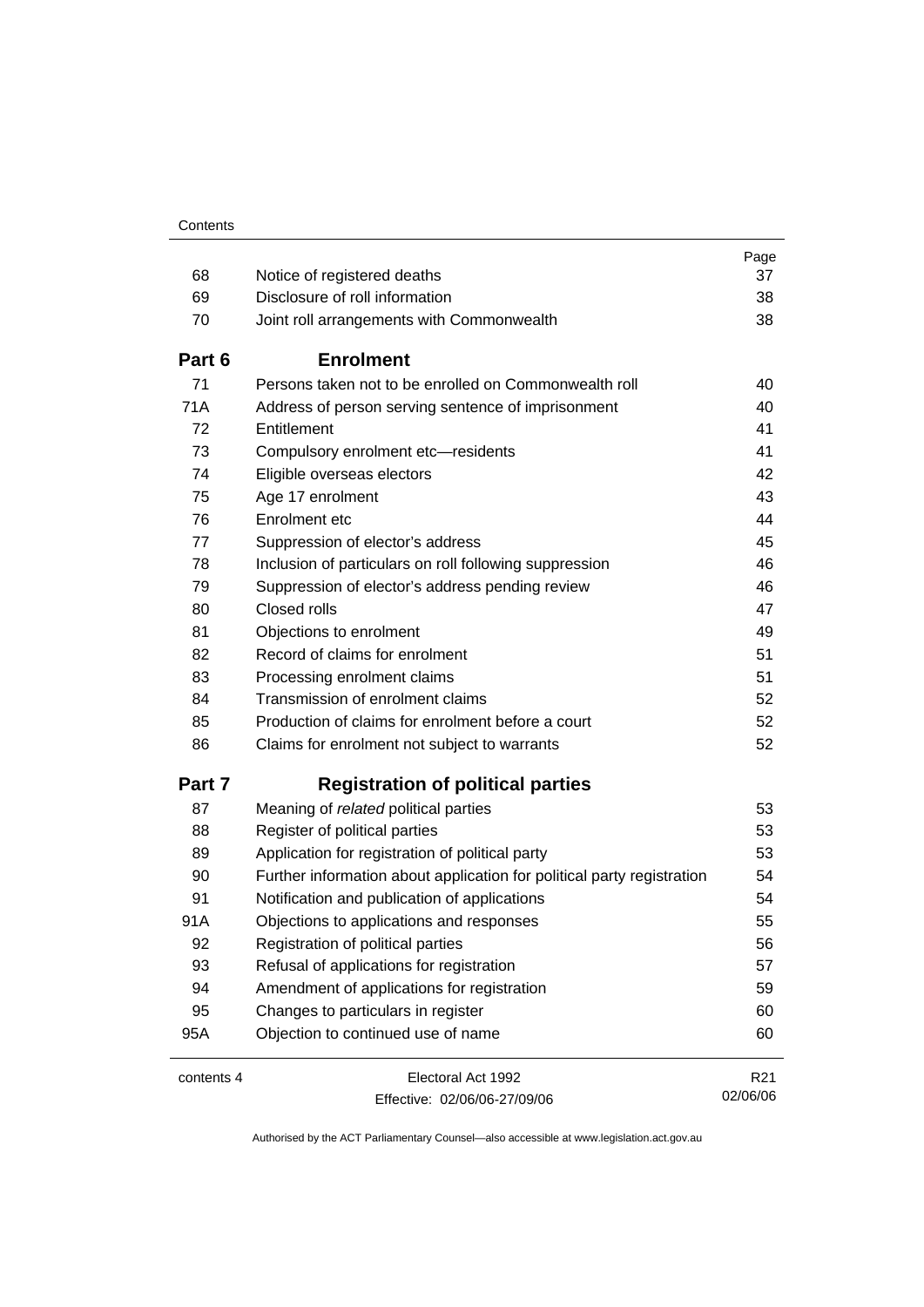| 68         |                                                                        | Page<br>37      |
|------------|------------------------------------------------------------------------|-----------------|
| 69         | Notice of registered deaths<br>Disclosure of roll information          | 38              |
| 70         |                                                                        | 38              |
|            | Joint roll arrangements with Commonwealth                              |                 |
| Part 6     | <b>Enrolment</b>                                                       |                 |
| 71         | Persons taken not to be enrolled on Commonwealth roll                  | 40              |
| 71A        | Address of person serving sentence of imprisonment                     | 40              |
| 72         | Entitlement                                                            | 41              |
| 73         | Compulsory enrolment etc-residents                                     | 41              |
| 74         | Eligible overseas electors                                             | 42              |
| 75         | Age 17 enrolment                                                       | 43              |
| 76         | Enrolment etc                                                          | 44              |
| 77         | Suppression of elector's address                                       | 45              |
| 78         | Inclusion of particulars on roll following suppression                 | 46              |
| 79         | Suppression of elector's address pending review                        | 46              |
| 80         | Closed rolls                                                           | 47              |
| 81         | Objections to enrolment                                                | 49              |
| 82         | Record of claims for enrolment                                         | 51              |
| 83         | Processing enrolment claims                                            | 51              |
| 84         | Transmission of enrolment claims                                       | 52              |
| 85         | Production of claims for enrolment before a court                      | 52              |
| 86         | Claims for enrolment not subject to warrants                           | 52              |
| Part 7     | <b>Registration of political parties</b>                               |                 |
| 87         | Meaning of related political parties                                   | 53              |
| 88         | Register of political parties                                          | 53              |
| 89         | Application for registration of political party                        | 53              |
| 90         | Further information about application for political party registration | 54              |
| 91         | Notification and publication of applications                           | 54              |
| 91A        | Objections to applications and responses                               | 55              |
| 92         | Registration of political parties                                      | 56              |
| 93         | Refusal of applications for registration                               | 57              |
| 94         | Amendment of applications for registration                             | 59              |
| 95         | Changes to particulars in register                                     | 60              |
| 95A        | Objection to continued use of name                                     | 60              |
| contents 4 | Electoral Act 1992                                                     | R <sub>21</sub> |
|            | Effective: 02/06/06-27/09/06                                           | 02/06/06        |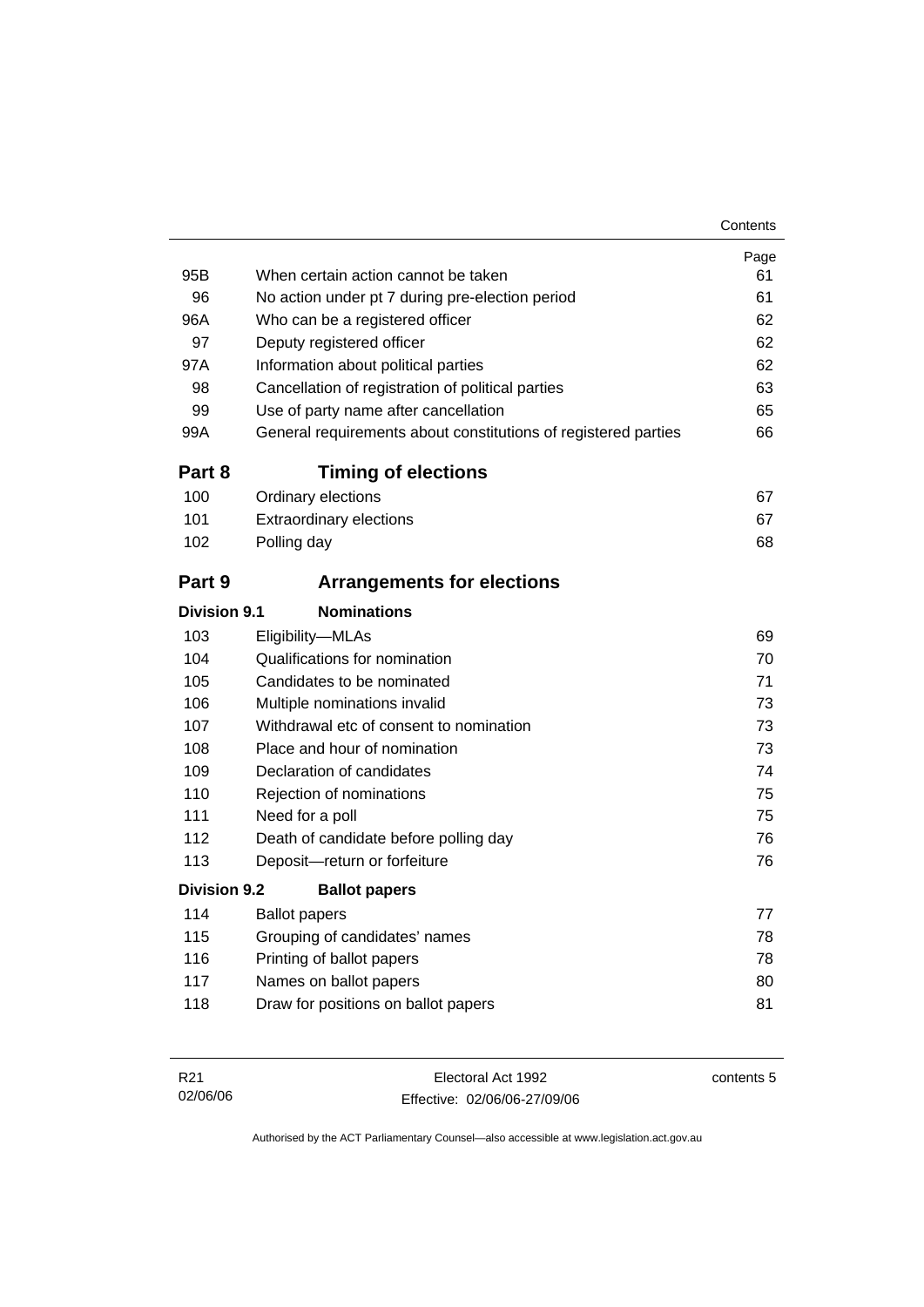|                     |                                                                | Page |
|---------------------|----------------------------------------------------------------|------|
| 95B                 | When certain action cannot be taken                            | 61   |
| 96                  | No action under pt 7 during pre-election period                | 61   |
| 96A                 | Who can be a registered officer                                | 62   |
| 97                  | Deputy registered officer                                      | 62   |
| 97A                 | Information about political parties                            | 62   |
| 98                  | Cancellation of registration of political parties              | 63   |
| 99                  | Use of party name after cancellation                           | 65   |
| 99A                 | General requirements about constitutions of registered parties | 66   |
| Part 8              | <b>Timing of elections</b>                                     |      |
| 100                 | Ordinary elections                                             | 67   |
| 101                 | <b>Extraordinary elections</b>                                 | 67   |
| 102                 | Polling day                                                    | 68   |
| Part 9              | <b>Arrangements for elections</b>                              |      |
| <b>Division 9.1</b> | <b>Nominations</b>                                             |      |
| 103                 | Eligibility-MLAs                                               | 69   |
| 104                 | Qualifications for nomination                                  | 70   |
| 105                 | Candidates to be nominated                                     | 71   |
| 106                 | Multiple nominations invalid                                   | 73   |
| 107                 | Withdrawal etc of consent to nomination                        | 73   |
| 108                 | Place and hour of nomination                                   | 73   |
| 109                 | Declaration of candidates                                      | 74   |
| 110                 | Rejection of nominations                                       | 75   |
| 111                 | Need for a poll                                                | 75   |
| 112                 | Death of candidate before polling day                          | 76   |
| 113                 | Deposit-return or forfeiture                                   | 76   |
| <b>Division 9.2</b> | <b>Ballot papers</b>                                           |      |
| 114                 | <b>Ballot papers</b>                                           | 77   |
| 115                 | Grouping of candidates' names                                  | 78   |
| 116                 | Printing of ballot papers                                      | 78   |
| 117                 | Names on ballot papers                                         | 80   |
| 118                 | Draw for positions on ballot papers                            | 81   |
|                     |                                                                |      |

| R21      | Electoral Act 1992           | contents 5 |
|----------|------------------------------|------------|
| 02/06/06 | Effective: 02/06/06-27/09/06 |            |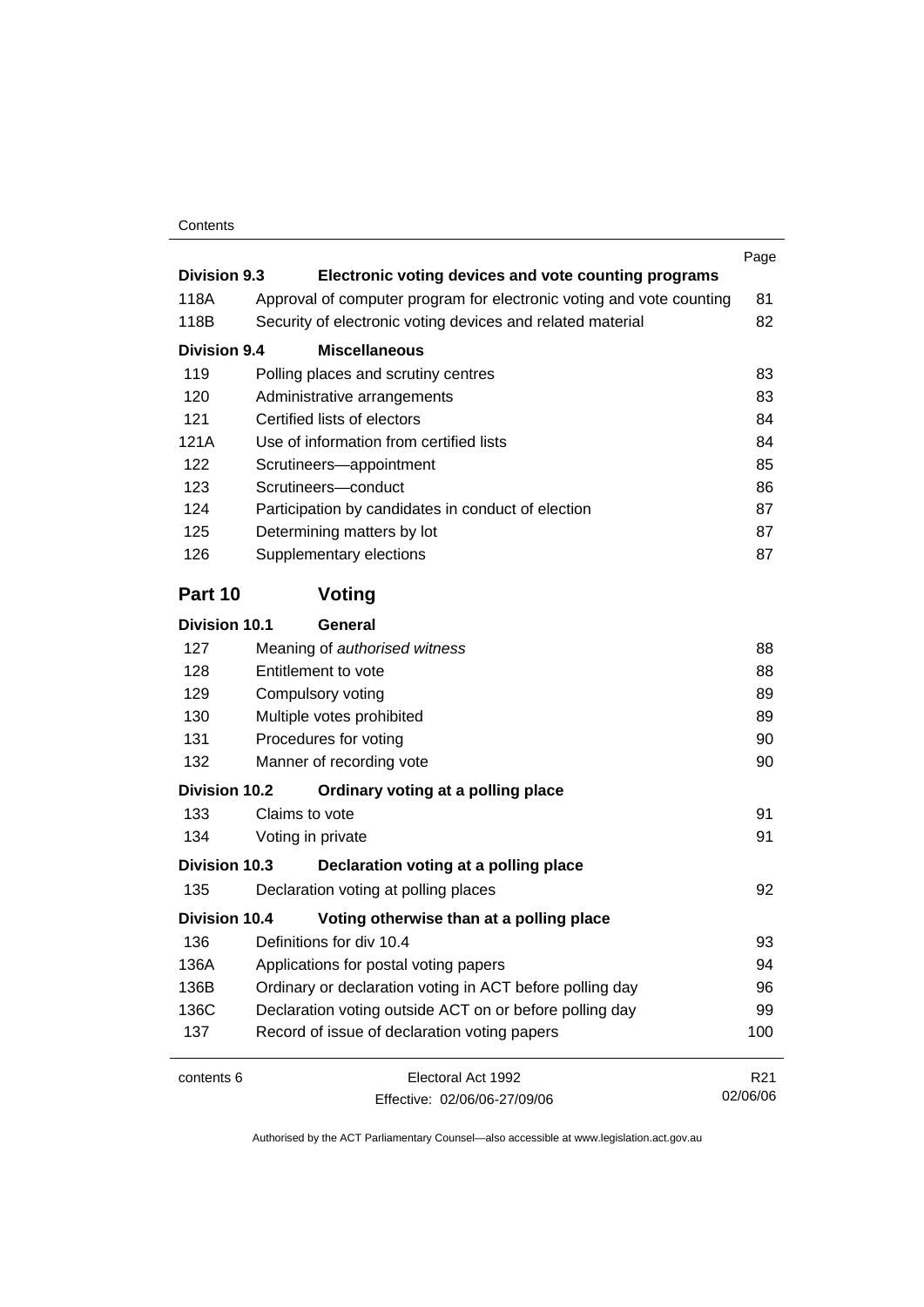#### Contents

|                      |                                                                      | Page            |
|----------------------|----------------------------------------------------------------------|-----------------|
| Division 9.3         | Electronic voting devices and vote counting programs                 |                 |
| 118A                 | Approval of computer program for electronic voting and vote counting | 81              |
| 118B                 | Security of electronic voting devices and related material           | 82              |
| <b>Division 9.4</b>  | <b>Miscellaneous</b>                                                 |                 |
| 119                  | Polling places and scrutiny centres                                  | 83              |
| 120                  | Administrative arrangements                                          | 83              |
| 121                  | Certified lists of electors                                          | 84              |
| 121A                 | Use of information from certified lists                              | 84              |
| 122                  | Scrutineers-appointment                                              | 85              |
| 123                  | Scrutineers-conduct                                                  | 86              |
| 124                  | Participation by candidates in conduct of election                   | 87              |
| 125                  | Determining matters by lot                                           | 87              |
| 126                  | Supplementary elections                                              | 87              |
| Part 10              | Voting                                                               |                 |
| <b>Division 10.1</b> | General                                                              |                 |
| 127                  | Meaning of authorised witness                                        | 88              |
| 128                  | Entitlement to vote                                                  | 88              |
| 129                  | Compulsory voting                                                    | 89              |
| 130                  | Multiple votes prohibited                                            | 89              |
| 131                  | Procedures for voting                                                | 90              |
| 132                  | Manner of recording vote                                             | 90              |
| <b>Division 10.2</b> | Ordinary voting at a polling place                                   |                 |
| 133                  | Claims to vote                                                       | 91              |
| 134                  | Voting in private                                                    | 91              |
| Division 10.3        | Declaration voting at a polling place                                |                 |
| 135                  | Declaration voting at polling places                                 | 92              |
| Division 10.4        | Voting otherwise than at a polling place                             |                 |
| 136                  | Definitions for div 10.4                                             | 93              |
| 136A                 | Applications for postal voting papers                                | 94              |
| 136B                 | Ordinary or declaration voting in ACT before polling day             | 96              |
| 136C                 | Declaration voting outside ACT on or before polling day              | 99              |
| 137                  | Record of issue of declaration voting papers                         | 100             |
| contents 6           | Electoral Act 1992                                                   | R <sub>21</sub> |
|                      | Fffective: 02/06/06-27/09/06                                         | 02/06/06        |

Effective: 02/06/06-27/09/06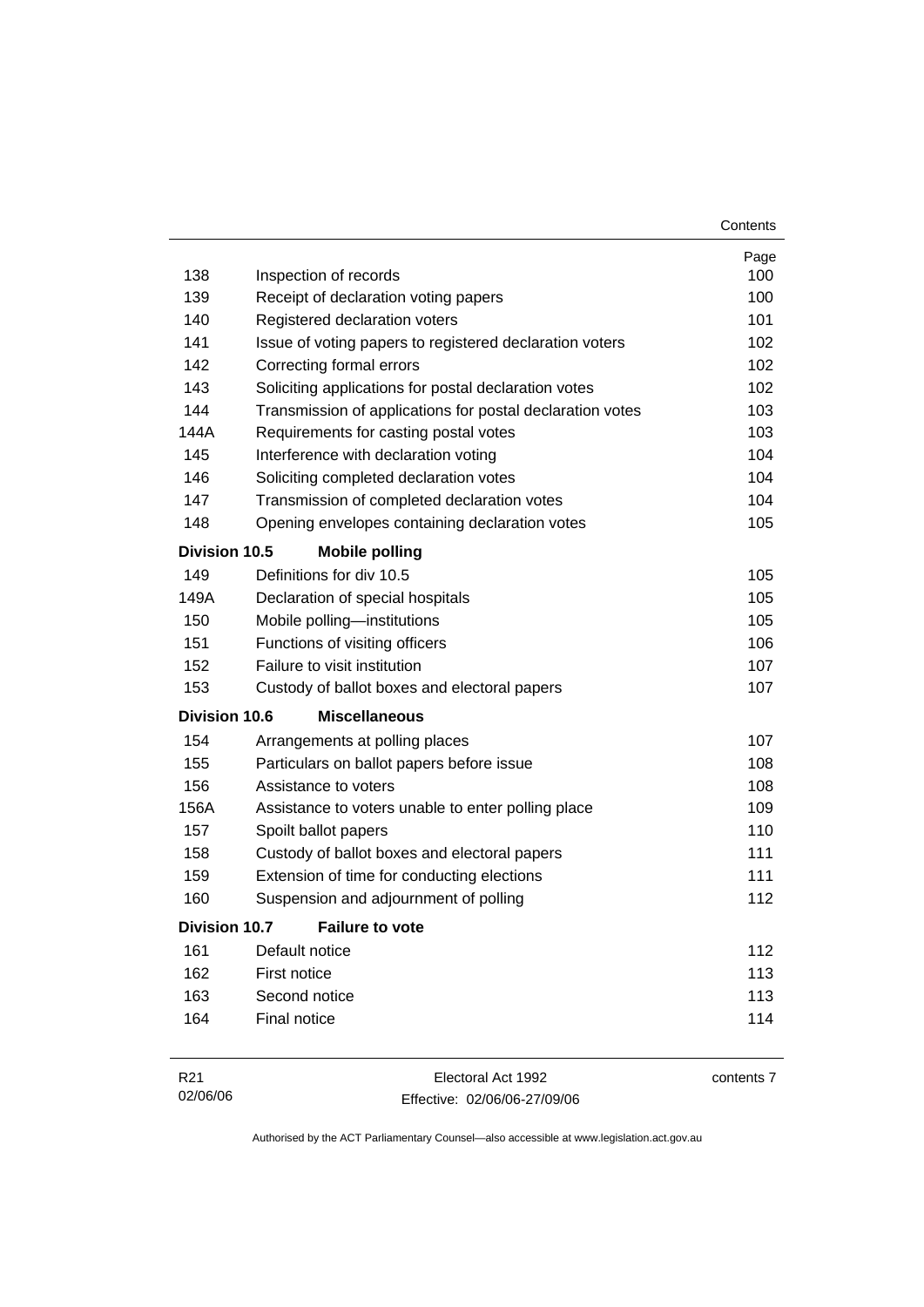|                      |                                                           | Contents |
|----------------------|-----------------------------------------------------------|----------|
|                      |                                                           | Page     |
| 138                  | Inspection of records                                     | 100      |
| 139                  | Receipt of declaration voting papers                      | 100      |
| 140                  | Registered declaration voters                             | 101      |
| 141                  | Issue of voting papers to registered declaration voters   | 102      |
| 142                  | Correcting formal errors                                  | 102      |
| 143                  | Soliciting applications for postal declaration votes      | 102      |
| 144                  | Transmission of applications for postal declaration votes | 103      |
| 144A                 | Requirements for casting postal votes                     | 103      |
| 145                  | Interference with declaration voting                      | 104      |
| 146                  | Soliciting completed declaration votes                    | 104      |
| 147                  | Transmission of completed declaration votes               | 104      |
| 148                  | Opening envelopes containing declaration votes            | 105      |
| Division 10.5        | <b>Mobile polling</b>                                     |          |
| 149                  | Definitions for div 10.5                                  | 105      |
| 149A                 | Declaration of special hospitals                          | 105      |
| 150                  | Mobile polling-institutions                               | 105      |
| 151                  | Functions of visiting officers                            | 106      |
| 152                  | Failure to visit institution                              | 107      |
| 153                  | Custody of ballot boxes and electoral papers              | 107      |
| Division 10.6        | <b>Miscellaneous</b>                                      |          |
| 154                  | Arrangements at polling places                            | 107      |
| 155                  | Particulars on ballot papers before issue                 | 108      |
| 156                  | Assistance to voters                                      | 108      |
| 156A                 | Assistance to voters unable to enter polling place        | 109      |
| 157                  | Spoilt ballot papers                                      | 110      |
| 158                  | Custody of ballot boxes and electoral papers              | 111      |
| 159                  | Extension of time for conducting elections                | 111      |
| 160                  | Suspension and adjournment of polling                     | 112      |
| <b>Division 10.7</b> | <b>Failure to vote</b>                                    |          |
| 161                  | Default notice                                            | 112      |
| 162                  | First notice                                              | 113      |
| 163                  | Second notice                                             | 113      |
| 164                  | Final notice                                              | 114      |
|                      |                                                           |          |

| R21      | Electoral Act 1992           | contents 7 |
|----------|------------------------------|------------|
| 02/06/06 | Effective: 02/06/06-27/09/06 |            |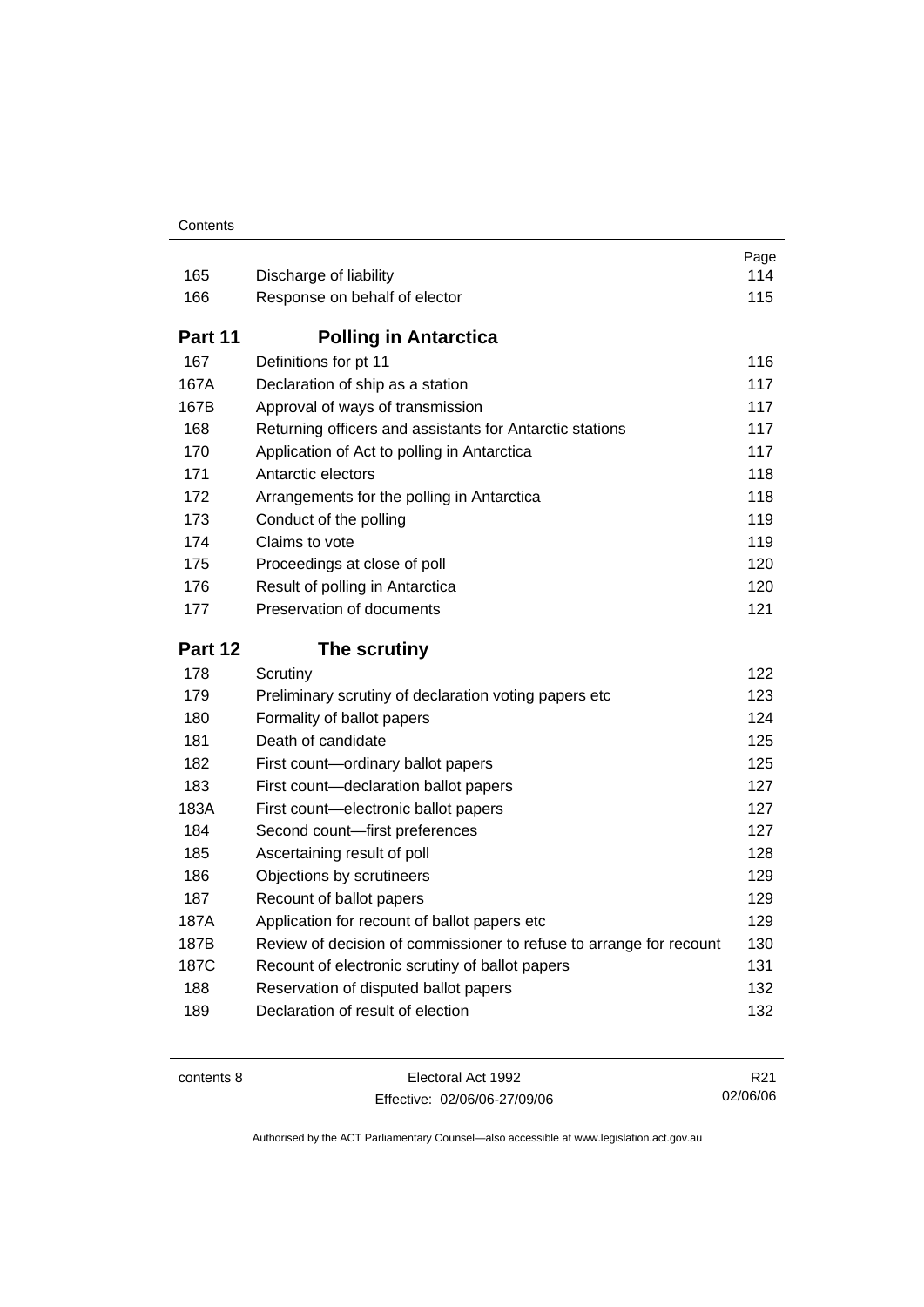#### **Contents**

| 165     | Discharge of liability                                              | Page<br>114 |
|---------|---------------------------------------------------------------------|-------------|
| 166     | Response on behalf of elector                                       | 115         |
| Part 11 | <b>Polling in Antarctica</b>                                        |             |
| 167     | Definitions for pt 11                                               | 116         |
| 167A    | Declaration of ship as a station                                    | 117         |
| 167B    | Approval of ways of transmission                                    | 117         |
| 168     | Returning officers and assistants for Antarctic stations            | 117         |
| 170     | Application of Act to polling in Antarctica                         | 117         |
| 171     | Antarctic electors                                                  | 118         |
| 172     | Arrangements for the polling in Antarctica                          | 118         |
| 173     | Conduct of the polling                                              | 119         |
| 174     | Claims to vote                                                      | 119         |
| 175     | Proceedings at close of poll                                        | 120         |
| 176     | Result of polling in Antarctica                                     | 120         |
| 177     | Preservation of documents                                           | 121         |
|         |                                                                     |             |
| Part 12 | The scrutiny                                                        |             |
| 178     | Scrutiny                                                            | 122         |
| 179     | Preliminary scrutiny of declaration voting papers etc               | 123         |
| 180     | Formality of ballot papers                                          | 124         |
| 181     | Death of candidate                                                  | 125         |
| 182     | First count-ordinary ballot papers                                  | 125         |
| 183     | First count-declaration ballot papers                               | 127         |
| 183A    | First count-electronic ballot papers                                | 127         |
| 184     | Second count-first preferences                                      | 127         |
| 185     | Ascertaining result of poll                                         | 128         |
| 186     | Objections by scrutineers                                           | 129         |
| 187     | Recount of ballot papers                                            | 129         |
| 187A    | Application for recount of ballot papers etc                        | 129         |
| 187B    | Review of decision of commissioner to refuse to arrange for recount | 130         |
| 187C    | Recount of electronic scrutiny of ballot papers                     | 131         |
| 188     | Reservation of disputed ballot papers                               | 132         |

| contents 8 |  |
|------------|--|
|------------|--|

Electoral Act 1992 Effective: 02/06/06-27/09/06

R21 02/06/06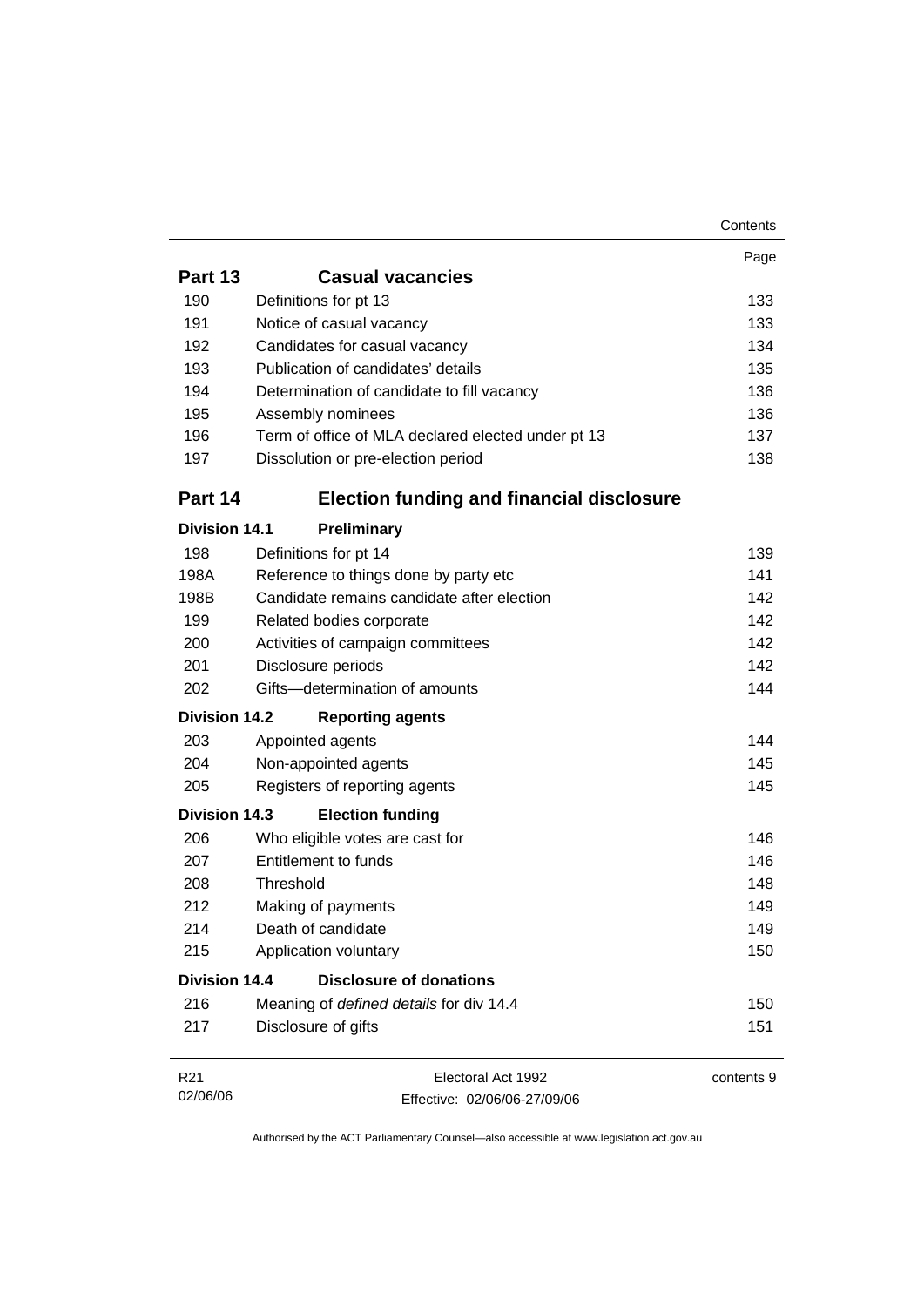|                      |                                                    | Contents   |
|----------------------|----------------------------------------------------|------------|
|                      |                                                    | Page       |
| Part 13              | <b>Casual vacancies</b>                            |            |
| 190                  | Definitions for pt 13                              | 133        |
| 191                  | Notice of casual vacancy                           | 133        |
| 192                  | Candidates for casual vacancy                      | 134        |
| 193                  | Publication of candidates' details                 | 135        |
| 194                  | Determination of candidate to fill vacancy         | 136        |
| 195                  | Assembly nominees                                  | 136        |
| 196                  | Term of office of MLA declared elected under pt 13 | 137        |
| 197                  | Dissolution or pre-election period                 | 138        |
| Part 14              | <b>Election funding and financial disclosure</b>   |            |
| <b>Division 14.1</b> | Preliminary                                        |            |
| 198                  | Definitions for pt 14                              | 139        |
| 198A                 | Reference to things done by party etc              | 141        |
| 198B                 | Candidate remains candidate after election         | 142        |
| 199                  | Related bodies corporate                           | 142        |
| 200                  | Activities of campaign committees                  | 142        |
| 201                  | Disclosure periods                                 | 142        |
| 202                  | Gifts-determination of amounts                     | 144        |
| <b>Division 14.2</b> | <b>Reporting agents</b>                            |            |
| 203                  | Appointed agents                                   | 144        |
| 204                  | Non-appointed agents                               | 145        |
| 205                  | Registers of reporting agents                      | 145        |
| <b>Division 14.3</b> | <b>Election funding</b>                            |            |
| 206                  | Who eligible votes are cast for                    | 146        |
| 207                  | Entitlement to funds                               | 146        |
| 208                  | Threshold                                          | 148        |
| 212                  | Making of payments                                 | 149        |
| 214                  | Death of candidate                                 | 149        |
| 215                  | Application voluntary                              | 150        |
| <b>Division 14.4</b> | <b>Disclosure of donations</b>                     |            |
| 216                  | Meaning of defined details for div 14.4            | 150        |
| 217                  | Disclosure of gifts                                | 151        |
| R21                  | Electoral Act 1992                                 | contents 9 |
| 02/06/06             | Effective: 02/06/06-27/09/06                       |            |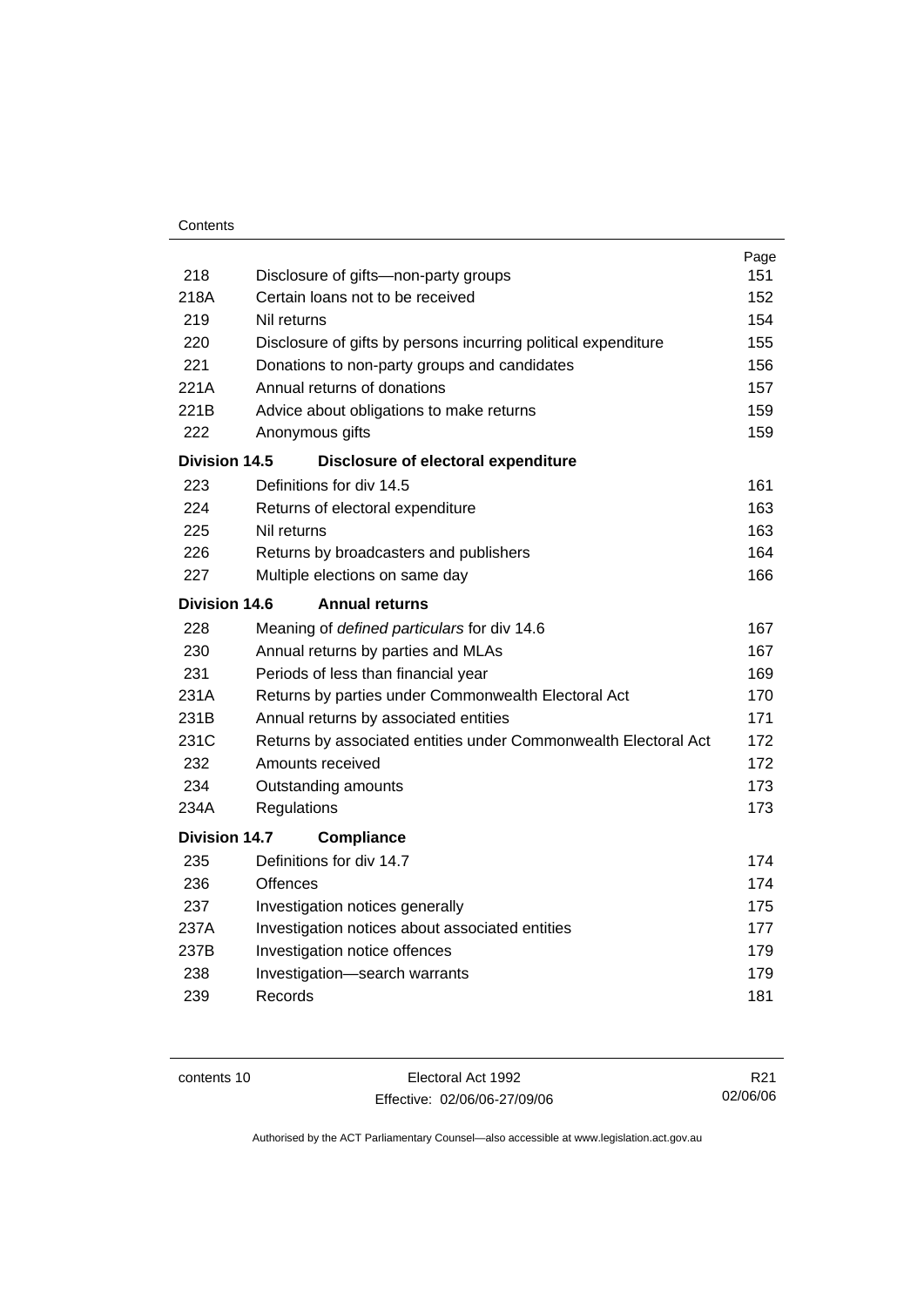| Contents |
|----------|
|----------|

|                      |                                                                 | Page |
|----------------------|-----------------------------------------------------------------|------|
| 218                  | Disclosure of gifts-non-party groups                            | 151  |
| 218A                 | Certain loans not to be received                                | 152  |
| 219                  | Nil returns                                                     | 154  |
| 220                  | Disclosure of gifts by persons incurring political expenditure  | 155  |
| 221                  | Donations to non-party groups and candidates                    | 156  |
| 221A                 | Annual returns of donations                                     | 157  |
| 221B                 | Advice about obligations to make returns                        | 159  |
| 222                  | Anonymous gifts                                                 | 159  |
| Division 14.5        | Disclosure of electoral expenditure                             |      |
| 223                  | Definitions for div 14.5                                        | 161  |
| 224                  | Returns of electoral expenditure                                | 163  |
| 225                  | Nil returns                                                     | 163  |
| 226                  | Returns by broadcasters and publishers                          | 164  |
| 227                  | Multiple elections on same day                                  | 166  |
| Division 14.6        | <b>Annual returns</b>                                           |      |
| 228                  | Meaning of defined particulars for div 14.6                     | 167  |
| 230                  | Annual returns by parties and MLAs                              | 167  |
| 231                  | Periods of less than financial year                             | 169  |
| 231A                 | Returns by parties under Commonwealth Electoral Act             | 170  |
| 231B                 | Annual returns by associated entities                           | 171  |
| 231C                 | Returns by associated entities under Commonwealth Electoral Act | 172  |
| 232                  | Amounts received                                                | 172  |
| 234                  | Outstanding amounts                                             | 173  |
| 234A                 | Regulations                                                     | 173  |
| <b>Division 14.7</b> | <b>Compliance</b>                                               |      |
| 235                  | Definitions for div 14.7                                        | 174  |
| 236                  | Offences                                                        | 174  |
| 237                  | Investigation notices generally                                 | 175  |
| 237A                 | Investigation notices about associated entities                 | 177  |
| 237B                 | Investigation notice offences                                   | 179  |
| 238                  | Investigation-search warrants                                   | 179  |
| 239                  | Records                                                         | 181  |
|                      |                                                                 |      |

contents 10 Electoral Act 1992 Effective: 02/06/06-27/09/06

R21 02/06/06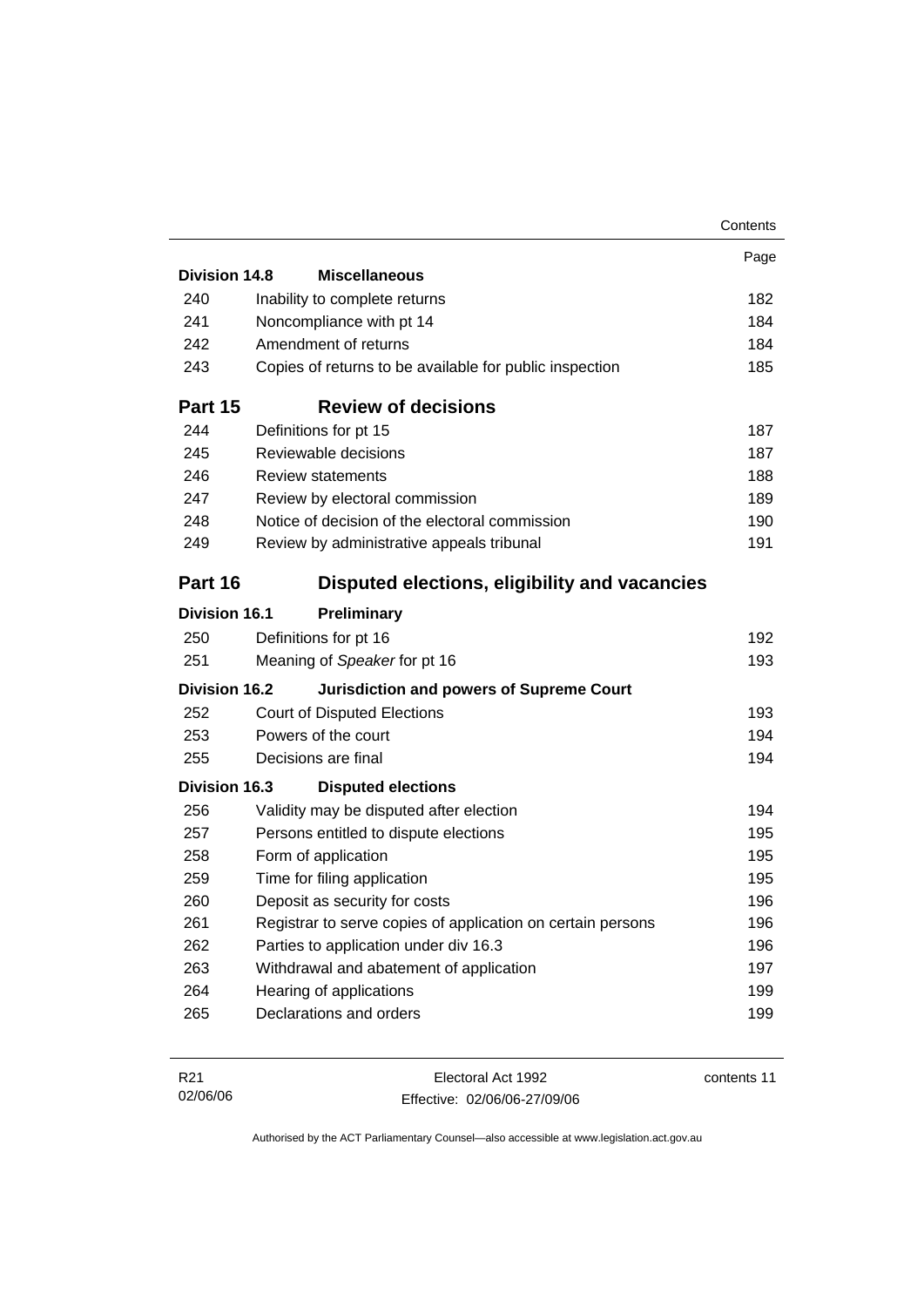|                      |                                                             | Contents |
|----------------------|-------------------------------------------------------------|----------|
|                      |                                                             | Page     |
| <b>Division 14.8</b> | <b>Miscellaneous</b>                                        |          |
| 240                  | Inability to complete returns                               | 182      |
| 241                  | Noncompliance with pt 14                                    | 184      |
| 242                  | Amendment of returns                                        | 184      |
| 243                  | Copies of returns to be available for public inspection     | 185      |
| Part 15              | <b>Review of decisions</b>                                  |          |
| 244                  | Definitions for pt 15                                       | 187      |
| 245                  | Reviewable decisions                                        | 187      |
| 246                  | <b>Review statements</b>                                    | 188      |
| 247                  | Review by electoral commission                              | 189      |
| 248                  | Notice of decision of the electoral commission              | 190      |
| 249                  | Review by administrative appeals tribunal                   | 191      |
| Part 16              | Disputed elections, eligibility and vacancies               |          |
| <b>Division 16.1</b> | <b>Preliminary</b>                                          |          |
| 250                  | Definitions for pt 16                                       | 192      |
| 251                  | Meaning of Speaker for pt 16                                | 193      |
| Division 16.2        | <b>Jurisdiction and powers of Supreme Court</b>             |          |
| 252                  | <b>Court of Disputed Elections</b>                          | 193      |
| 253                  | Powers of the court                                         | 194      |
| 255                  | Decisions are final                                         | 194      |
| <b>Division 16.3</b> | <b>Disputed elections</b>                                   |          |
| 256                  | Validity may be disputed after election                     | 194      |
| 257                  | Persons entitled to dispute elections                       | 195      |
| 258                  | Form of application                                         | 195      |
| 259                  | Time for filing application                                 | 195      |
| 260                  | Deposit as security for costs                               | 196      |
| 261                  | Registrar to serve copies of application on certain persons | 196      |
| 262                  | Parties to application under div 16.3                       | 196      |
| 263                  | Withdrawal and abatement of application                     | 197      |
| 264                  | Hearing of applications                                     | 199      |
| 265                  | Declarations and orders                                     | 199      |
|                      |                                                             |          |

| R21      | Electoral Act 1992           | contents 11 |
|----------|------------------------------|-------------|
| 02/06/06 | Effective: 02/06/06-27/09/06 |             |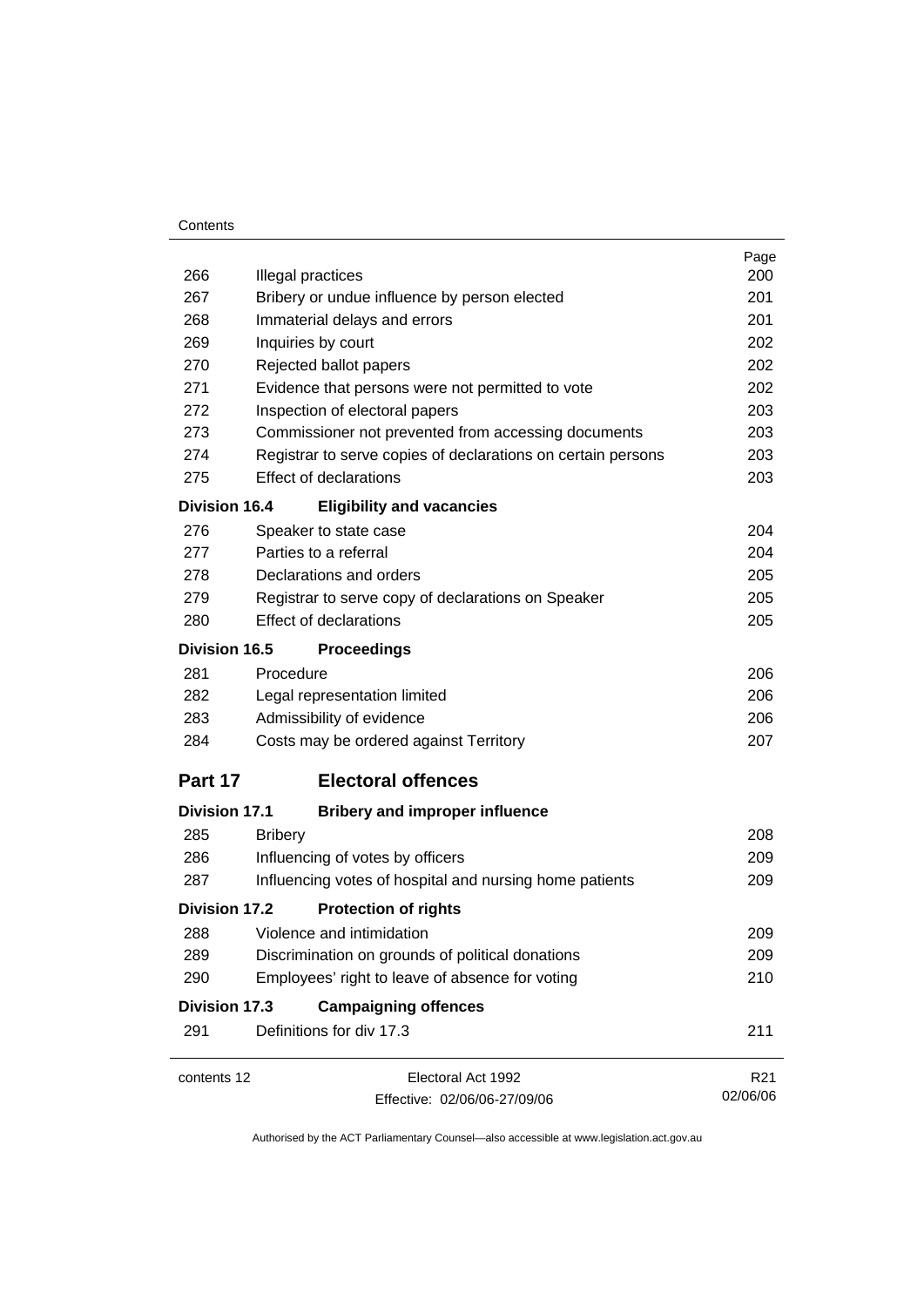#### **Contents**

| contents 12          | Electoral Act 1992<br>Effective: 02/06/06-27/09/06                         | R <sub>21</sub><br>02/06/06 |
|----------------------|----------------------------------------------------------------------------|-----------------------------|
| 291                  | Definitions for div 17.3                                                   | 211                         |
| <b>Division 17.3</b> | <b>Campaigning offences</b>                                                |                             |
| 290                  | Employees' right to leave of absence for voting                            | 210                         |
| 289                  | Discrimination on grounds of political donations                           | 209                         |
| 288                  | Violence and intimidation                                                  | 209                         |
| Division 17.2        | <b>Protection of rights</b>                                                |                             |
| 287                  | Influencing votes of hospital and nursing home patients                    | 209                         |
| 286                  | Influencing of votes by officers                                           | 209                         |
| 285                  | <b>Bribery</b>                                                             | 208                         |
| <b>Division 17.1</b> | <b>Bribery and improper influence</b>                                      |                             |
| Part 17              | <b>Electoral offences</b>                                                  |                             |
| 284                  | Costs may be ordered against Territory                                     | 207                         |
| 283                  | Admissibility of evidence                                                  | 206                         |
| 282                  | Legal representation limited                                               | 206                         |
| 281                  | Procedure                                                                  | 206                         |
| Division 16.5        | <b>Proceedings</b>                                                         |                             |
| 280                  | <b>Effect of declarations</b>                                              | 205                         |
| 279                  | Registrar to serve copy of declarations on Speaker                         | 205                         |
| 278                  | Declarations and orders                                                    | 205                         |
| 277                  | Parties to a referral                                                      | 204                         |
| 276                  | Speaker to state case                                                      | 204                         |
| <b>Division 16.4</b> | <b>Eligibility and vacancies</b>                                           |                             |
| 275                  | <b>Effect of declarations</b>                                              | 203                         |
| 274                  | Registrar to serve copies of declarations on certain persons               | 203                         |
| 273                  | Commissioner not prevented from accessing documents                        | 203                         |
| 272                  | Inspection of electoral papers                                             | 203                         |
| 270<br>271           | Rejected ballot papers<br>Evidence that persons were not permitted to vote | 202<br>202                  |
| 269                  | Inquiries by court                                                         | 202                         |
| 268                  | Immaterial delays and errors                                               | 201                         |
| 267                  | Bribery or undue influence by person elected                               | 201                         |
| 266                  | Illegal practices                                                          | 200                         |
|                      |                                                                            | Page                        |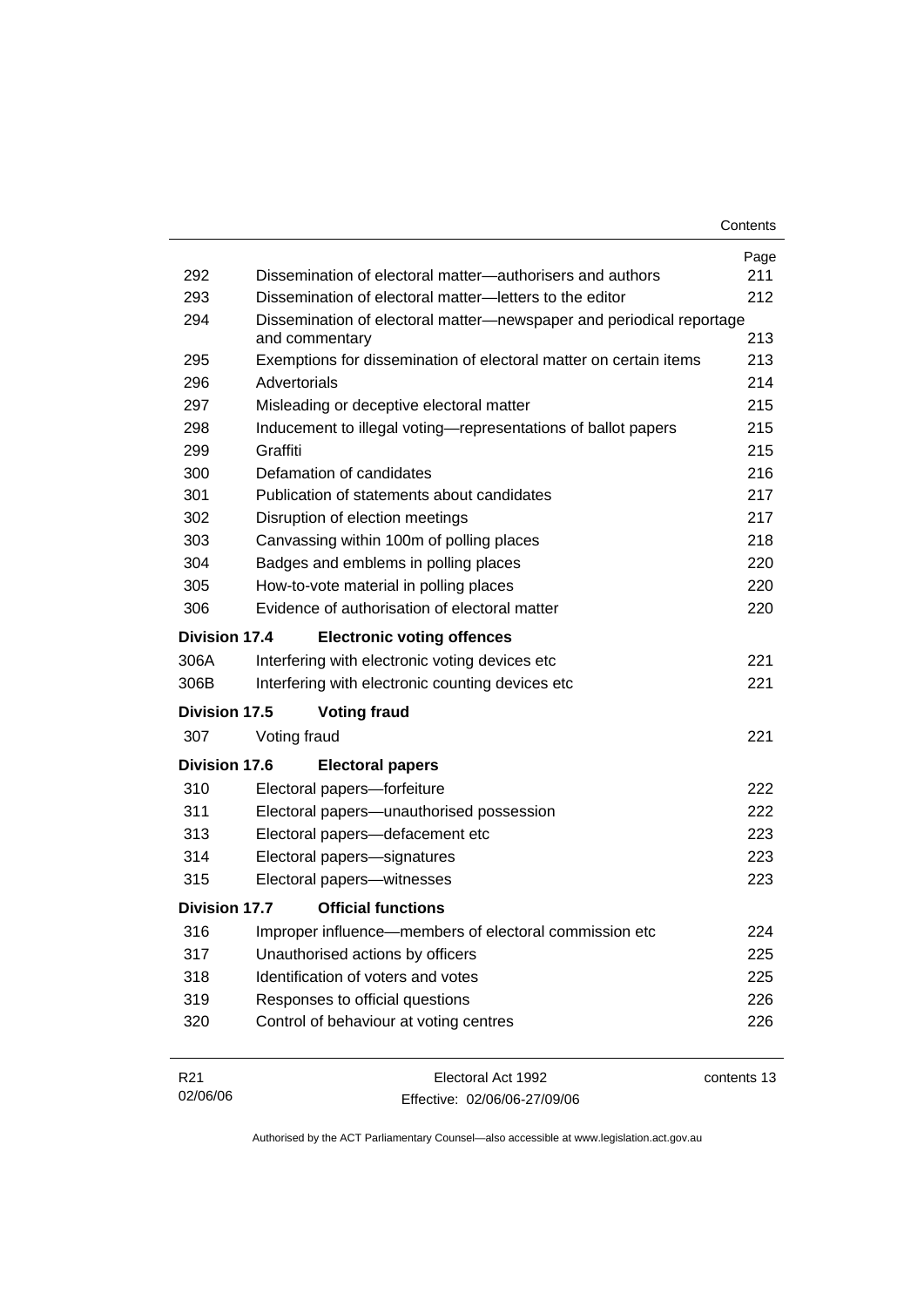| Contents |
|----------|
|----------|

| 292             | Dissemination of electoral matter—authorisers and authors                              | Page<br>211 |
|-----------------|----------------------------------------------------------------------------------------|-------------|
| 293             | Dissemination of electoral matter-letters to the editor                                | 212         |
| 294             | Dissemination of electoral matter-newspaper and periodical reportage<br>and commentary | 213         |
| 295             | Exemptions for dissemination of electoral matter on certain items                      | 213         |
| 296             | Advertorials                                                                           | 214         |
| 297             | Misleading or deceptive electoral matter                                               | 215         |
| 298             | Inducement to illegal voting-representations of ballot papers                          | 215         |
| 299             | Graffiti                                                                               | 215         |
| 300             | Defamation of candidates                                                               | 216         |
| 301             | Publication of statements about candidates                                             | 217         |
| 302             | Disruption of election meetings                                                        | 217         |
| 303             | Canvassing within 100m of polling places                                               | 218         |
| 304             | Badges and emblems in polling places                                                   | 220         |
| 305             | How-to-vote material in polling places                                                 | 220         |
| 306             | Evidence of authorisation of electoral matter                                          | 220         |
| Division 17.4   | <b>Electronic voting offences</b>                                                      |             |
| 306A            | Interfering with electronic voting devices etc                                         | 221         |
| 306B            | Interfering with electronic counting devices etc                                       | 221         |
| Division 17.5   | <b>Voting fraud</b>                                                                    |             |
| 307             | Voting fraud                                                                           | 221         |
| Division 17.6   | <b>Electoral papers</b>                                                                |             |
| 310             | Electoral papers-forfeiture                                                            | 222         |
| 311             | Electoral papers-unauthorised possession                                               | 222         |
| 313             | Electoral papers-defacement etc                                                        | 223         |
| 314             | Electoral papers-signatures                                                            | 223         |
| 315             | Electoral papers-witnesses                                                             | 223         |
| Division 17.7   | <b>Official functions</b>                                                              |             |
| 316             | Improper influence—members of electoral commission etc                                 | 224         |
| 317             | Unauthorised actions by officers                                                       | 225         |
| 318             | Identification of voters and votes                                                     | 225         |
| 319             | Responses to official questions                                                        | 226         |
| 320             | Control of behaviour at voting centres                                                 | 226         |
| R <sub>21</sub> | Electoral Act 1992                                                                     | contents 13 |

Effective: 02/06/06-27/09/06

02/06/06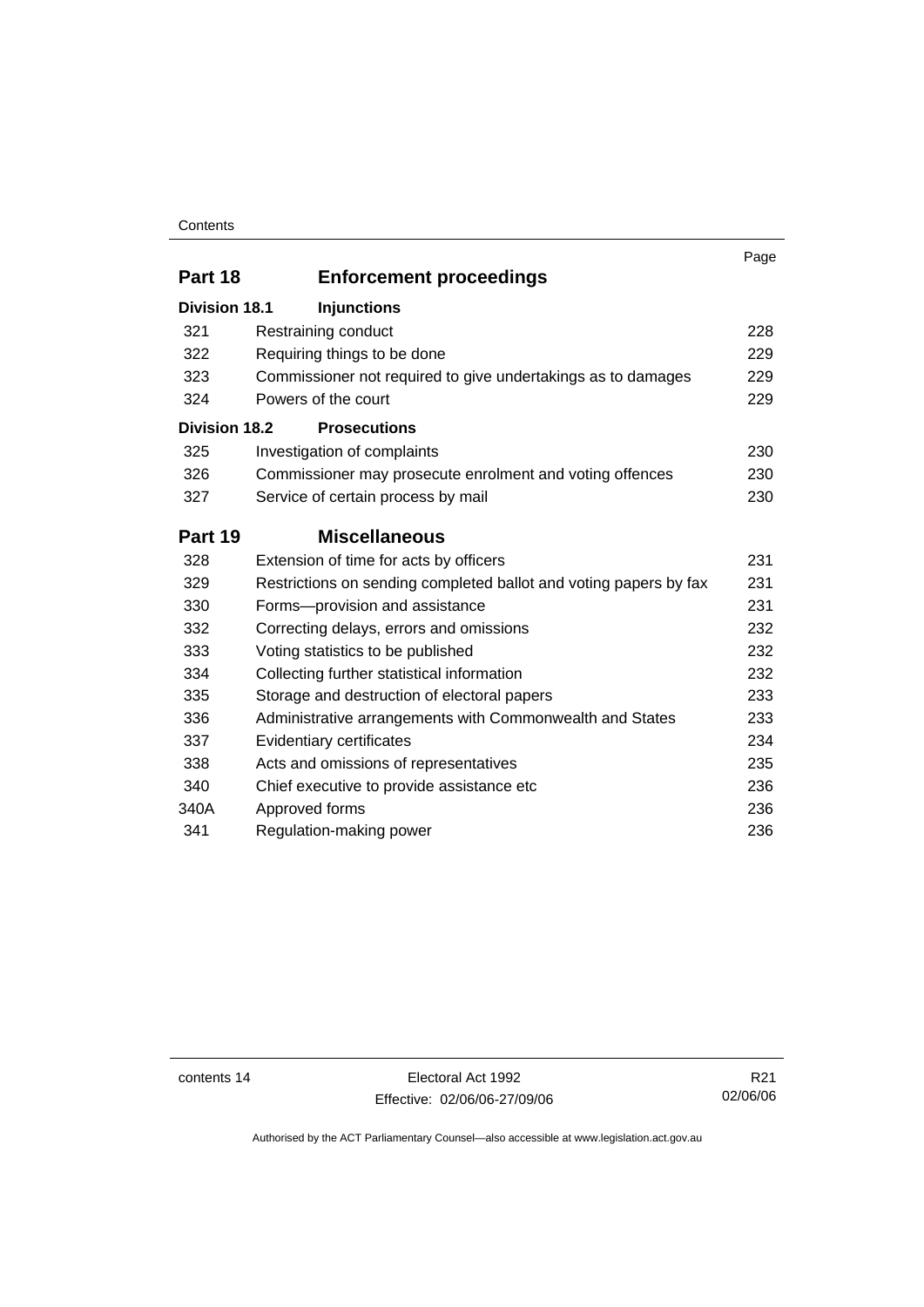#### **Contents**

|                      |                                                                   | Page |
|----------------------|-------------------------------------------------------------------|------|
| Part 18              | <b>Enforcement proceedings</b>                                    |      |
| <b>Division 18.1</b> | <b>Injunctions</b>                                                |      |
| 321                  | Restraining conduct                                               | 228  |
| 322                  | Requiring things to be done                                       | 229  |
| 323                  | Commissioner not required to give undertakings as to damages      | 229  |
| 324                  | Powers of the court                                               | 229  |
| <b>Division 18.2</b> | <b>Prosecutions</b>                                               |      |
| 325                  | Investigation of complaints                                       | 230  |
| 326                  | Commissioner may prosecute enrolment and voting offences          | 230  |
| 327                  | Service of certain process by mail                                | 230  |
| Part 19              | <b>Miscellaneous</b>                                              |      |
| 328                  | Extension of time for acts by officers                            | 231  |
| 329                  | Restrictions on sending completed ballot and voting papers by fax | 231  |
| 330                  | Forms-provision and assistance                                    | 231  |
| 332                  | Correcting delays, errors and omissions                           | 232  |
| 333                  | Voting statistics to be published                                 | 232  |
| 334                  | Collecting further statistical information                        | 232  |
| 335                  | Storage and destruction of electoral papers                       | 233  |
| 336                  | Administrative arrangements with Commonwealth and States          | 233  |
| 337                  | Evidentiary certificates                                          | 234  |
| 338                  | Acts and omissions of representatives                             | 235  |
| 340                  | Chief executive to provide assistance etc                         | 236  |
| 340A                 | Approved forms                                                    | 236  |
| 341                  | Regulation-making power                                           | 236  |

contents 14 Electoral Act 1992 Effective: 02/06/06-27/09/06

R21 02/06/06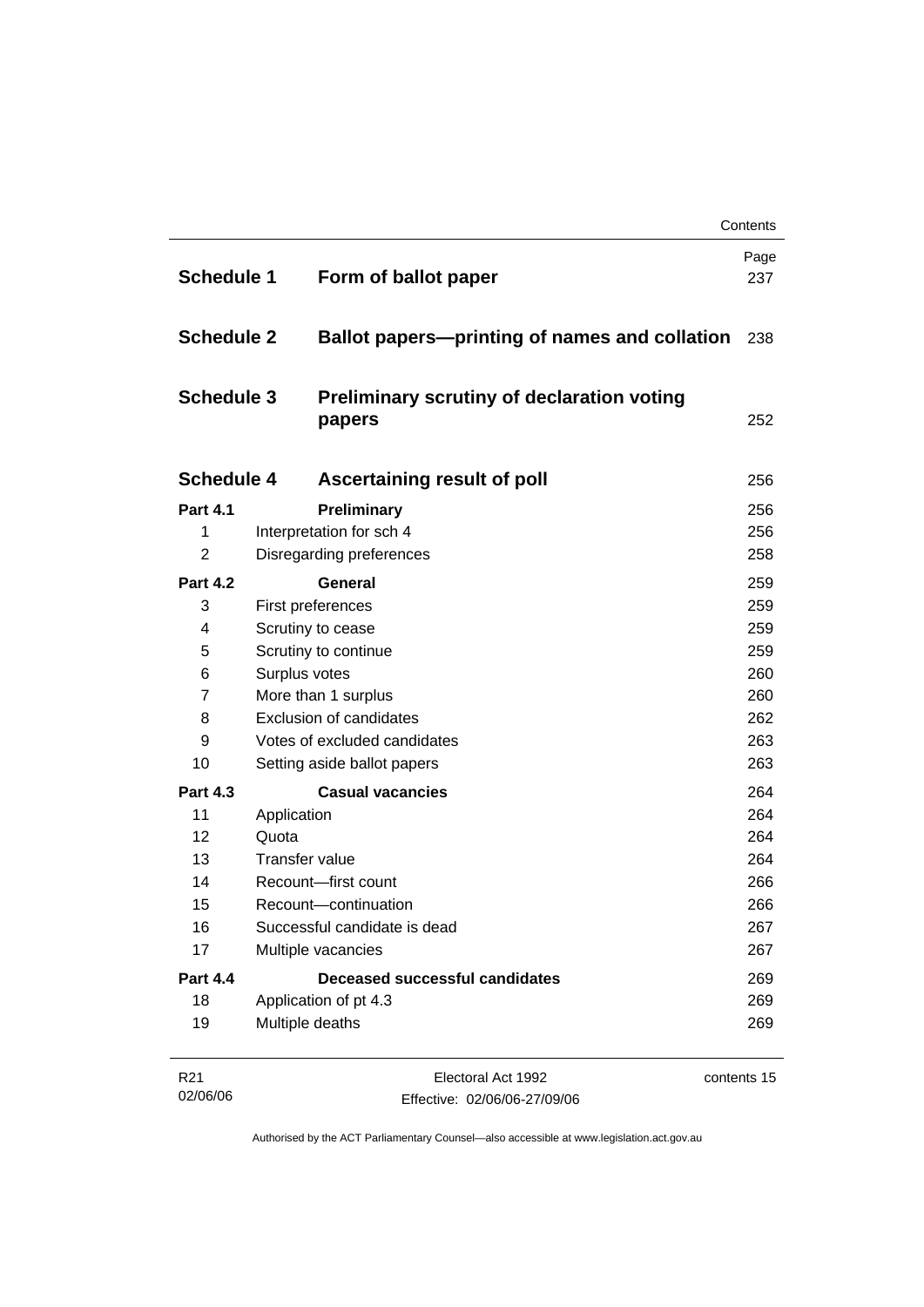| <b>Schedule 1</b> |                   | Form of ballot paper                                        | Page<br>237 |
|-------------------|-------------------|-------------------------------------------------------------|-------------|
| <b>Schedule 2</b> |                   | <b>Ballot papers—printing of names and collation</b>        | 238         |
| <b>Schedule 3</b> |                   | <b>Preliminary scrutiny of declaration voting</b><br>papers | 252         |
| <b>Schedule 4</b> |                   | <b>Ascertaining result of poll</b>                          | 256         |
| <b>Part 4.1</b>   |                   | Preliminary                                                 | 256         |
| 1                 |                   | Interpretation for sch 4                                    | 256         |
| $\overline{2}$    |                   | Disregarding preferences                                    | 258         |
| <b>Part 4.2</b>   |                   | <b>General</b>                                              | 259         |
| 3                 |                   | First preferences                                           | 259         |
| 4                 | Scrutiny to cease |                                                             | 259         |
| 5                 |                   | Scrutiny to continue                                        | 259         |
| 6                 |                   | Surplus votes                                               | 260         |
| $\overline{7}$    |                   | More than 1 surplus                                         | 260         |
| 8                 |                   | <b>Exclusion of candidates</b>                              | 262         |
| 9                 |                   | Votes of excluded candidates                                | 263         |
| 10                |                   | Setting aside ballot papers                                 | 263         |
| <b>Part 4.3</b>   |                   | <b>Casual vacancies</b>                                     | 264         |
| 11                | Application       |                                                             | 264         |
| 12                | Quota             |                                                             | 264         |
| 13                |                   | <b>Transfer value</b>                                       | 264         |
| 14                |                   | Recount-first count                                         | 266         |
| 15                |                   | Recount-continuation                                        | 266         |
| 16                |                   | Successful candidate is dead                                | 267         |
| 17                |                   | Multiple vacancies                                          | 267         |
| <b>Part 4.4</b>   |                   | <b>Deceased successful candidates</b>                       | 269         |
| 18                |                   | Application of pt 4.3                                       | 269         |
| 19                |                   | Multiple deaths                                             | 269         |

| R21      | Electoral Act 1992           | contents 15 |
|----------|------------------------------|-------------|
| 02/06/06 | Effective: 02/06/06-27/09/06 |             |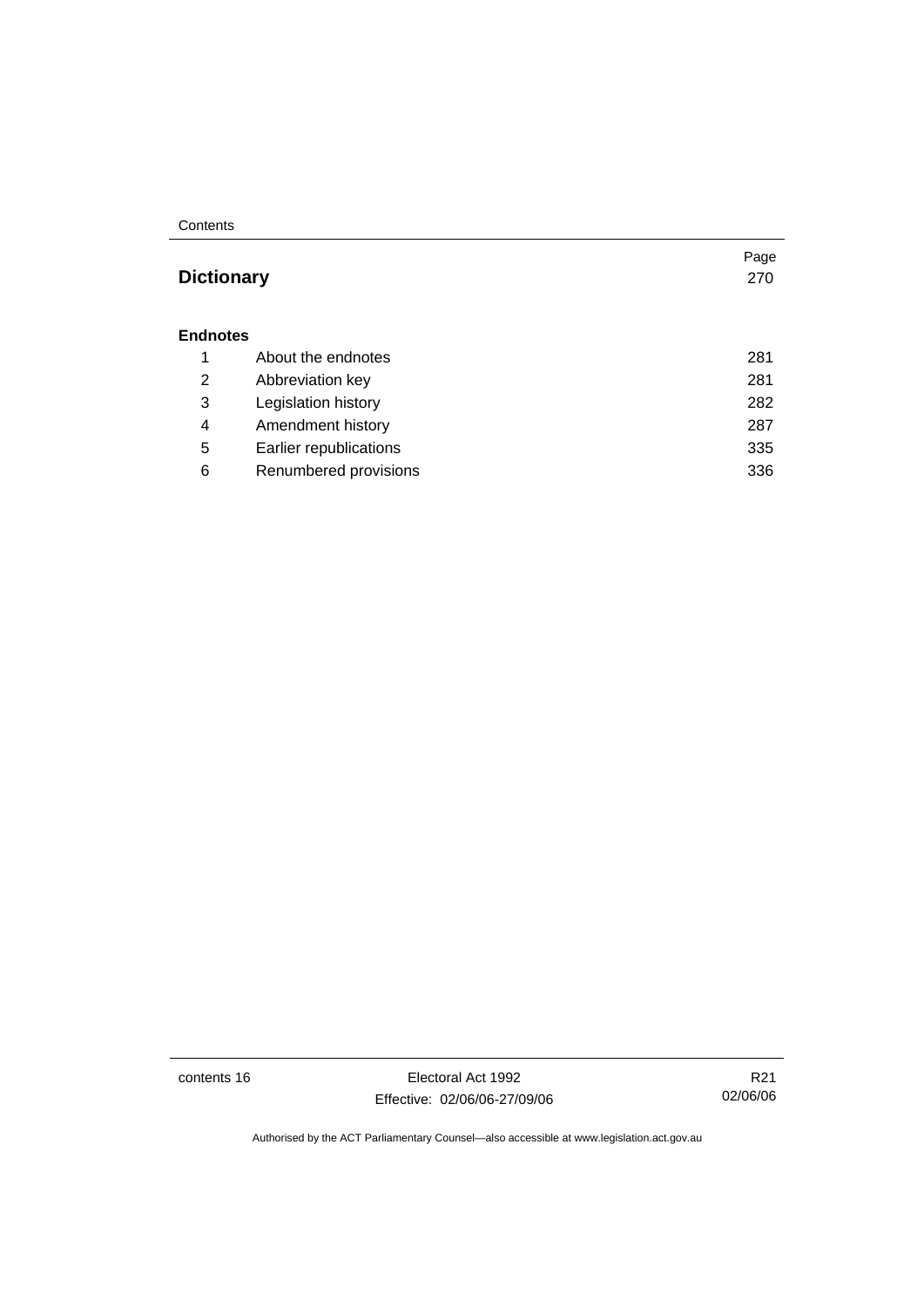#### **Contents**

## **Dictionary** 270

#### **Endnotes**

|   | About the endnotes     | 281 |
|---|------------------------|-----|
| 2 | Abbreviation key       | 281 |
| 3 | Legislation history    | 282 |
| 4 | Amendment history      | 287 |
| 5 | Earlier republications | 335 |
| 6 | Renumbered provisions  | 336 |

contents 16 Electoral Act 1992 Effective: 02/06/06-27/09/06

R21 02/06/06

Page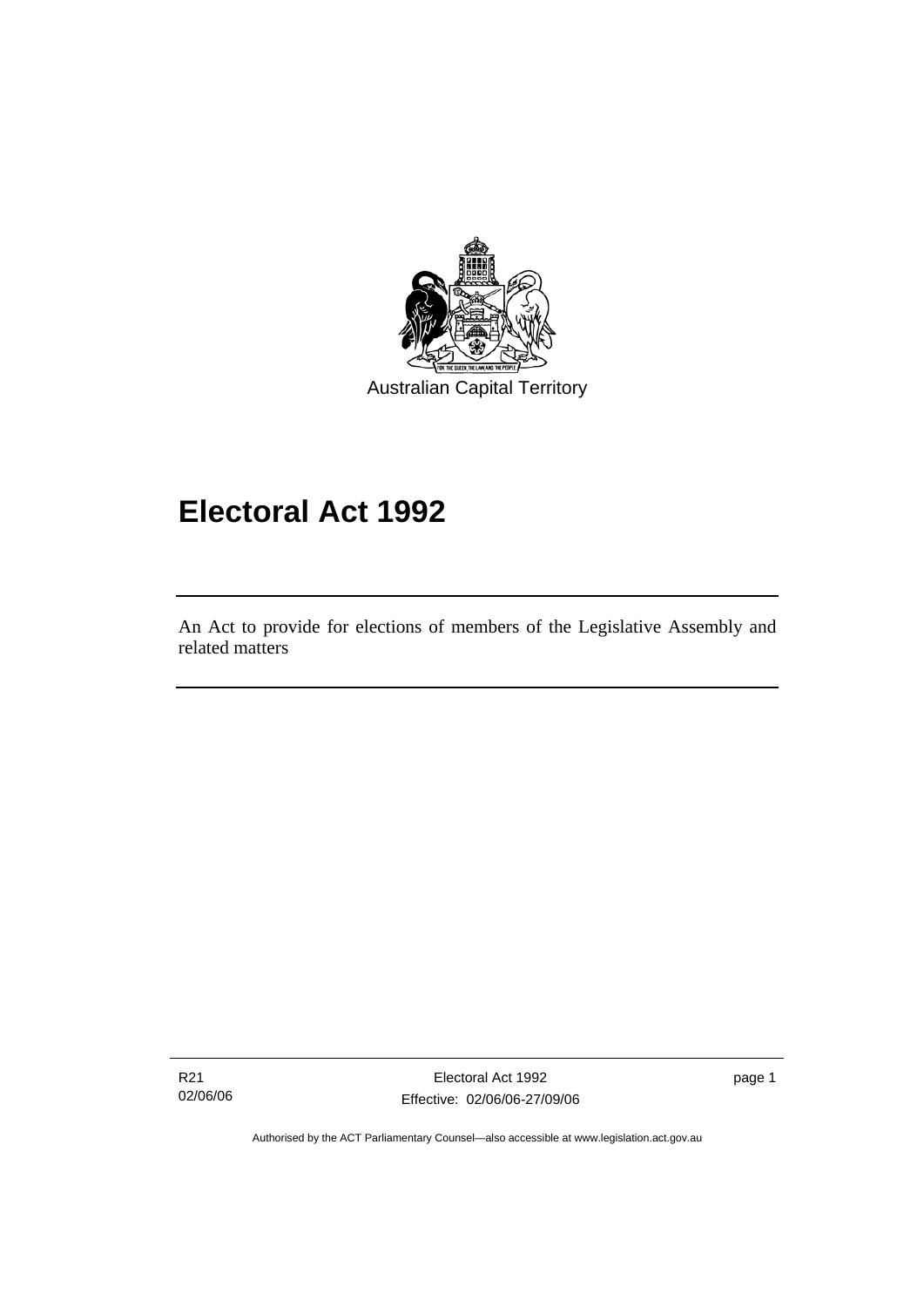

# **Electoral Act 1992**

An Act to provide for elections of members of the Legislative Assembly and related matters

R21 02/06/06

Ī

Electoral Act 1992 Effective: 02/06/06-27/09/06 page 1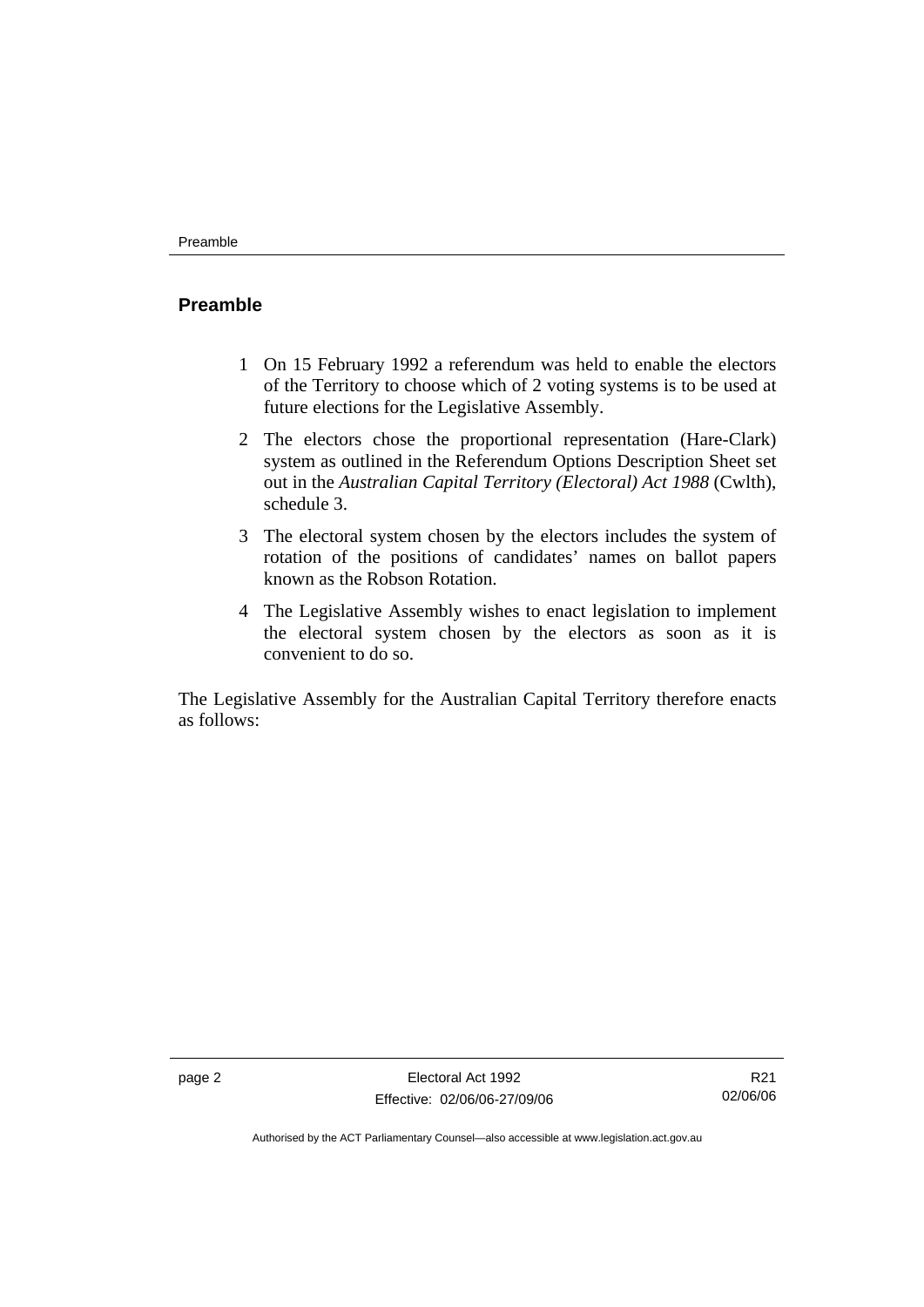### **Preamble**

- 1 On 15 February 1992 a referendum was held to enable the electors of the Territory to choose which of 2 voting systems is to be used at future elections for the Legislative Assembly.
- 2 The electors chose the proportional representation (Hare-Clark) system as outlined in the Referendum Options Description Sheet set out in the *Australian Capital Territory (Electoral) Act 1988* (Cwlth), schedule 3.
- 3 The electoral system chosen by the electors includes the system of rotation of the positions of candidates' names on ballot papers known as the Robson Rotation.
- 4 The Legislative Assembly wishes to enact legislation to implement the electoral system chosen by the electors as soon as it is convenient to do so.

The Legislative Assembly for the Australian Capital Territory therefore enacts as follows:

R21 02/06/06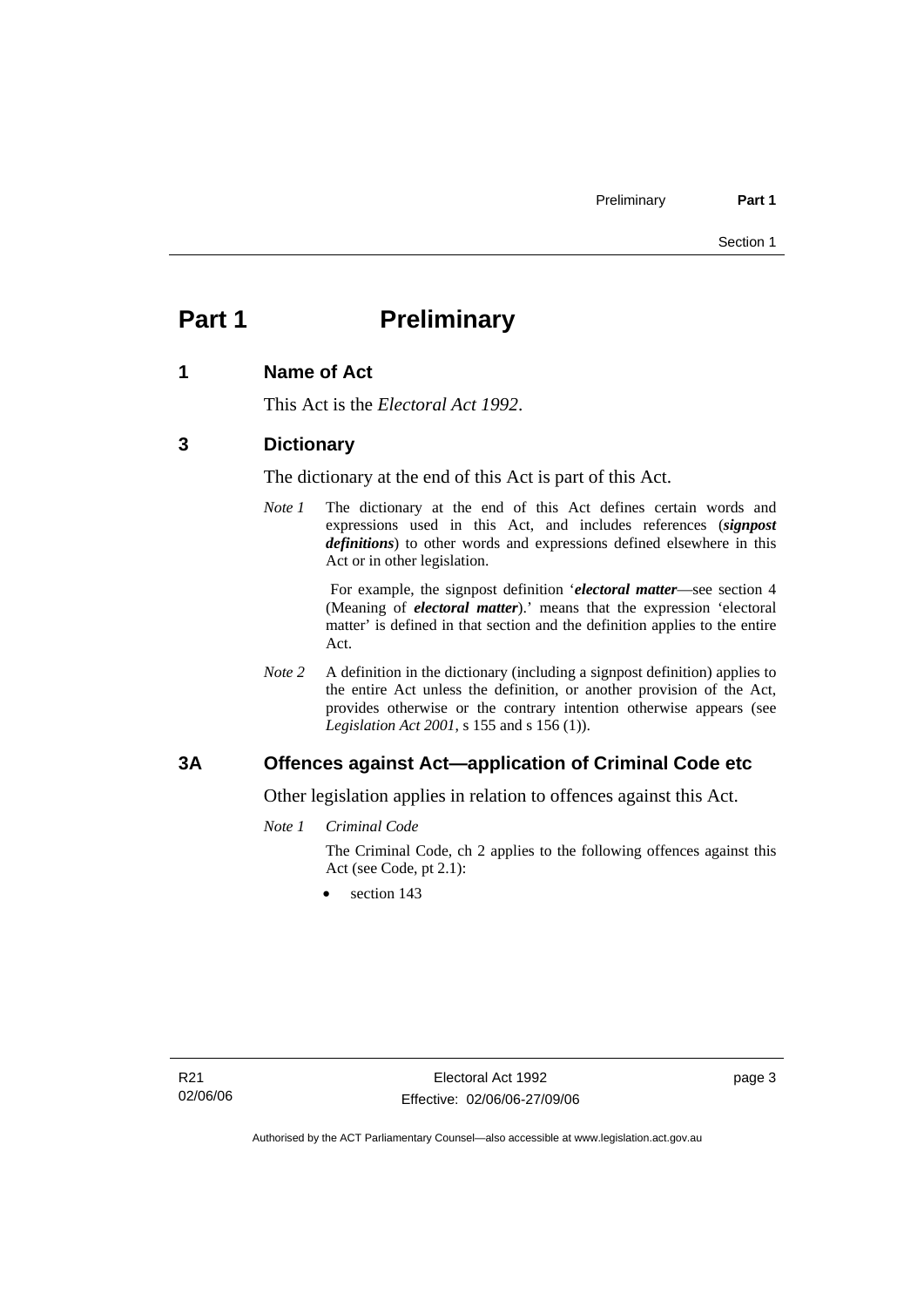## **Part 1** Preliminary

#### **1 Name of Act**

This Act is the *Electoral Act 1992*.

#### **3 Dictionary**

The dictionary at the end of this Act is part of this Act.

*Note 1* The dictionary at the end of this Act defines certain words and expressions used in this Act, and includes references (*signpost definitions*) to other words and expressions defined elsewhere in this Act or in other legislation.

> For example, the signpost definition '*electoral matter*—see section 4 (Meaning of *electoral matter*).' means that the expression 'electoral matter' is defined in that section and the definition applies to the entire Act.

*Note 2* A definition in the dictionary (including a signpost definition) applies to the entire Act unless the definition, or another provision of the Act, provides otherwise or the contrary intention otherwise appears (see *Legislation Act 2001*, s 155 and s 156 (1)).

#### **3A Offences against Act—application of Criminal Code etc**

Other legislation applies in relation to offences against this Act.

*Note 1 Criminal Code*

The Criminal Code, ch 2 applies to the following offences against this Act (see Code, pt 2.1):

section 143

page 3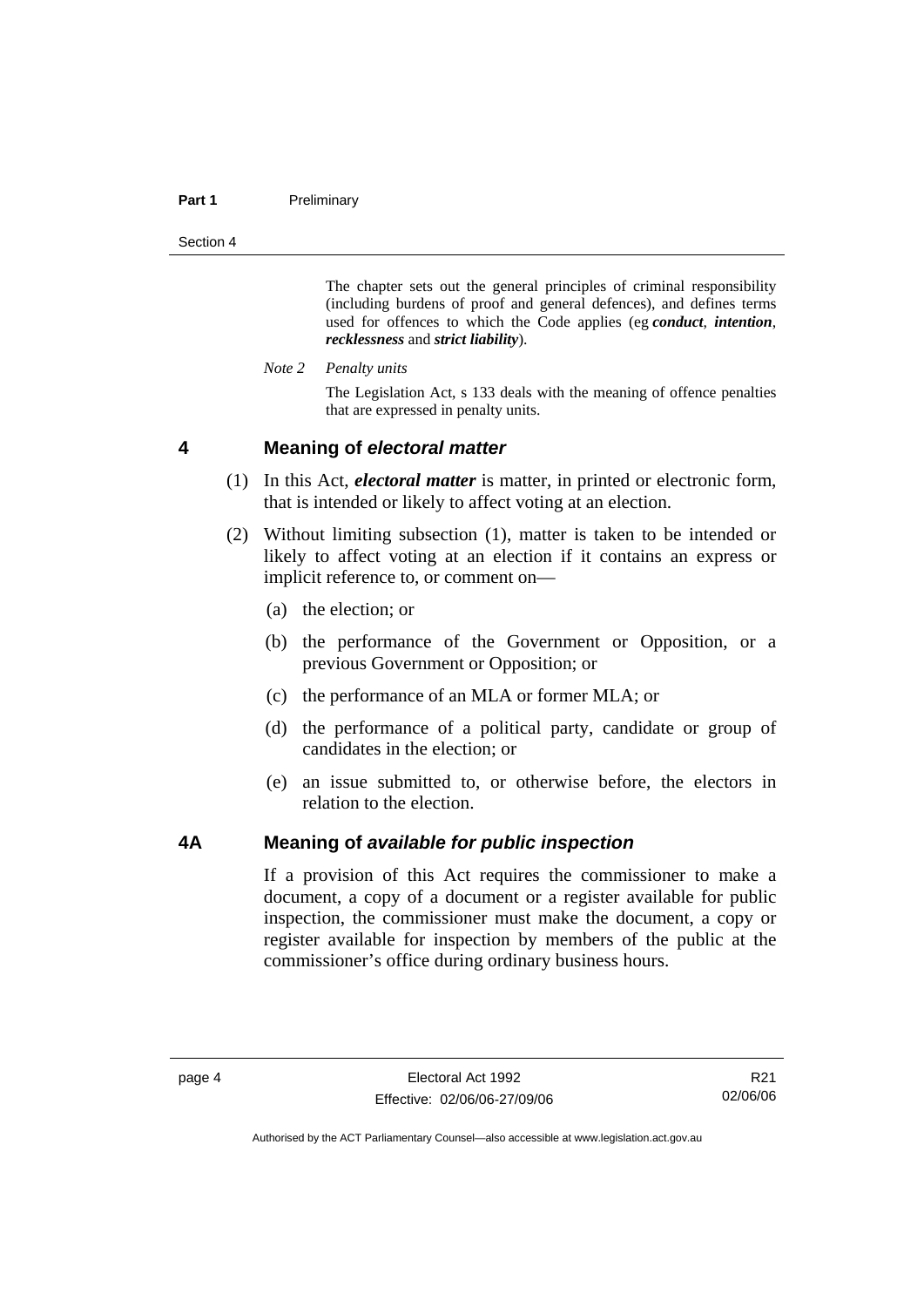#### **Part 1** Preliminary

Section 4

The chapter sets out the general principles of criminal responsibility (including burdens of proof and general defences), and defines terms used for offences to which the Code applies (eg *conduct*, *intention*, *recklessness* and *strict liability*).

*Note 2 Penalty units* 

The Legislation Act, s 133 deals with the meaning of offence penalties that are expressed in penalty units.

#### **4 Meaning of** *electoral matter*

- (1) In this Act, *electoral matter* is matter, in printed or electronic form, that is intended or likely to affect voting at an election.
- (2) Without limiting subsection (1), matter is taken to be intended or likely to affect voting at an election if it contains an express or implicit reference to, or comment on—
	- (a) the election; or
	- (b) the performance of the Government or Opposition, or a previous Government or Opposition; or
	- (c) the performance of an MLA or former MLA; or
	- (d) the performance of a political party, candidate or group of candidates in the election; or
	- (e) an issue submitted to, or otherwise before, the electors in relation to the election.

#### **4A Meaning of** *available for public inspection*

If a provision of this Act requires the commissioner to make a document, a copy of a document or a register available for public inspection, the commissioner must make the document, a copy or register available for inspection by members of the public at the commissioner's office during ordinary business hours.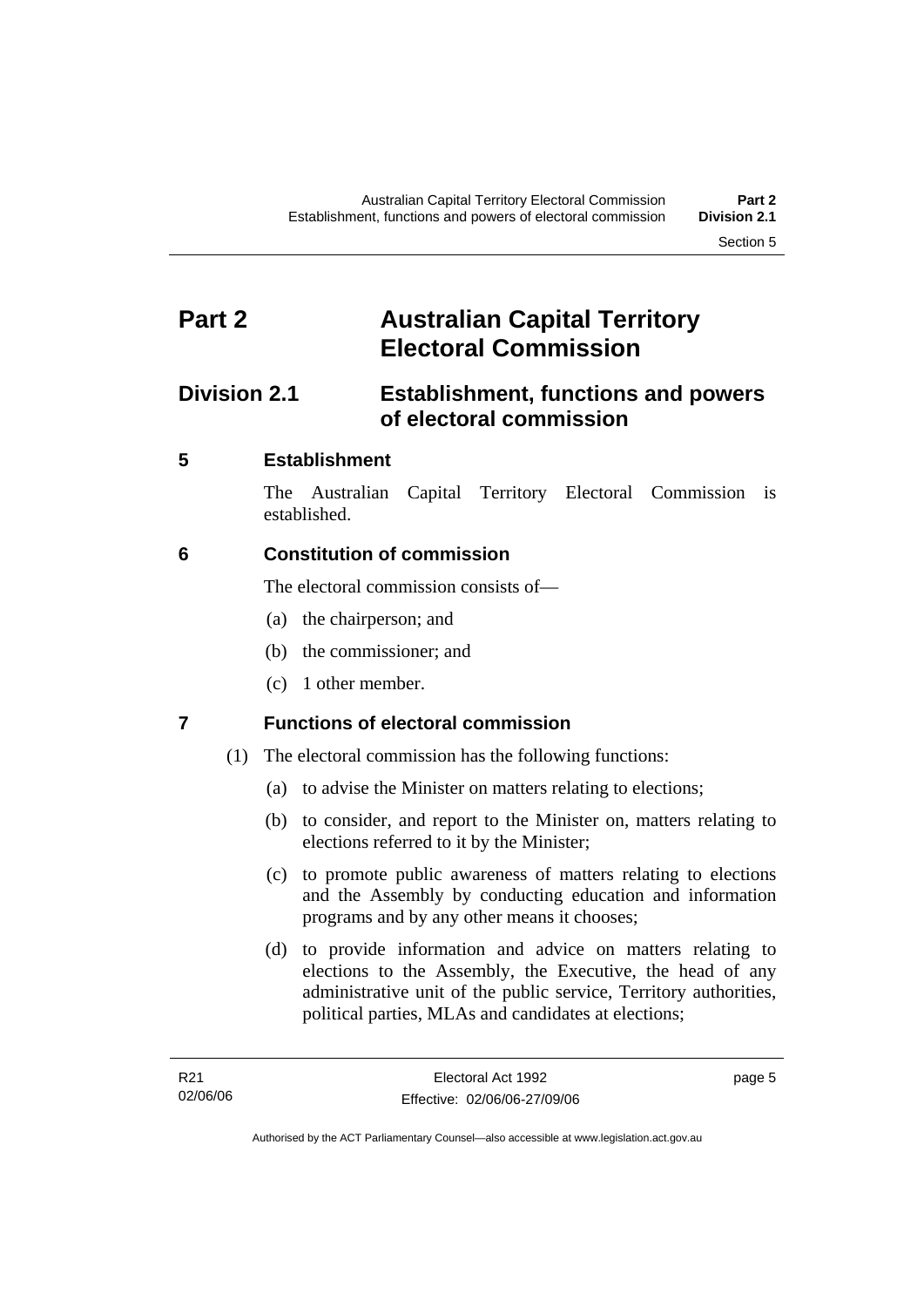## **Part 2 Australian Capital Territory Electoral Commission**

## **Division 2.1 Establishment, functions and powers of electoral commission**

## **5 Establishment**

The Australian Capital Territory Electoral Commission is established.

## **6 Constitution of commission**

The electoral commission consists of—

- (a) the chairperson; and
- (b) the commissioner; and
- (c) 1 other member.

## **7 Functions of electoral commission**

- (1) The electoral commission has the following functions:
	- (a) to advise the Minister on matters relating to elections;
	- (b) to consider, and report to the Minister on, matters relating to elections referred to it by the Minister;
	- (c) to promote public awareness of matters relating to elections and the Assembly by conducting education and information programs and by any other means it chooses;
	- (d) to provide information and advice on matters relating to elections to the Assembly, the Executive, the head of any administrative unit of the public service, Territory authorities, political parties, MLAs and candidates at elections;

page 5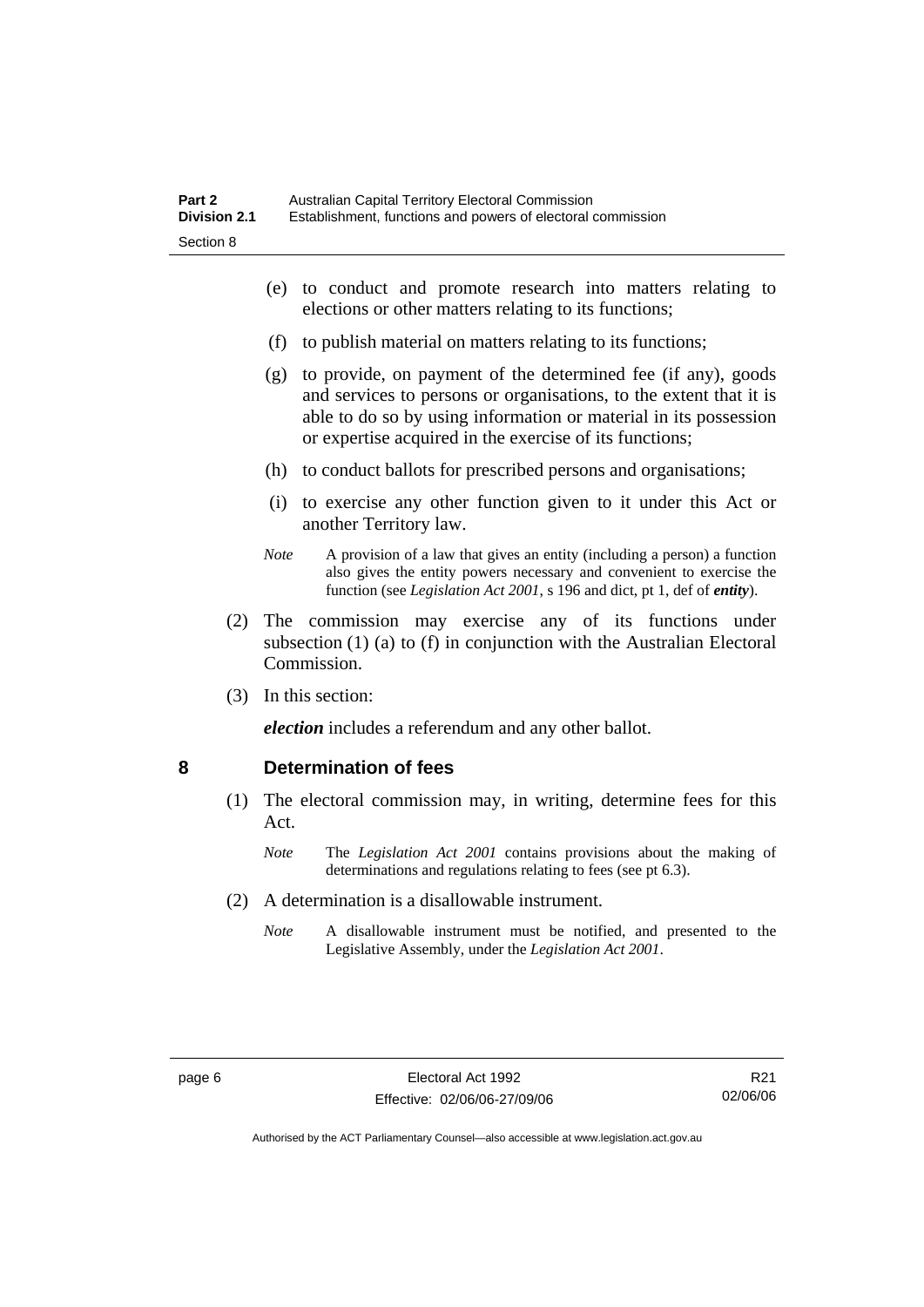- (e) to conduct and promote research into matters relating to elections or other matters relating to its functions;
- (f) to publish material on matters relating to its functions;
- (g) to provide, on payment of the determined fee (if any), goods and services to persons or organisations, to the extent that it is able to do so by using information or material in its possession or expertise acquired in the exercise of its functions;
- (h) to conduct ballots for prescribed persons and organisations;
- (i) to exercise any other function given to it under this Act or another Territory law.
- *Note* A provision of a law that gives an entity (including a person) a function also gives the entity powers necessary and convenient to exercise the function (see *Legislation Act 2001*, s 196 and dict, pt 1, def of *entity*).
- (2) The commission may exercise any of its functions under subsection (1) (a) to (f) in conjunction with the Australian Electoral Commission.
- (3) In this section:

*election* includes a referendum and any other ballot.

#### **8 Determination of fees**

- (1) The electoral commission may, in writing, determine fees for this Act.
	- *Note* The *Legislation Act 2001* contains provisions about the making of determinations and regulations relating to fees (see pt 6.3).
- (2) A determination is a disallowable instrument.
	- *Note* A disallowable instrument must be notified, and presented to the Legislative Assembly, under the *Legislation Act 2001*.

R21 02/06/06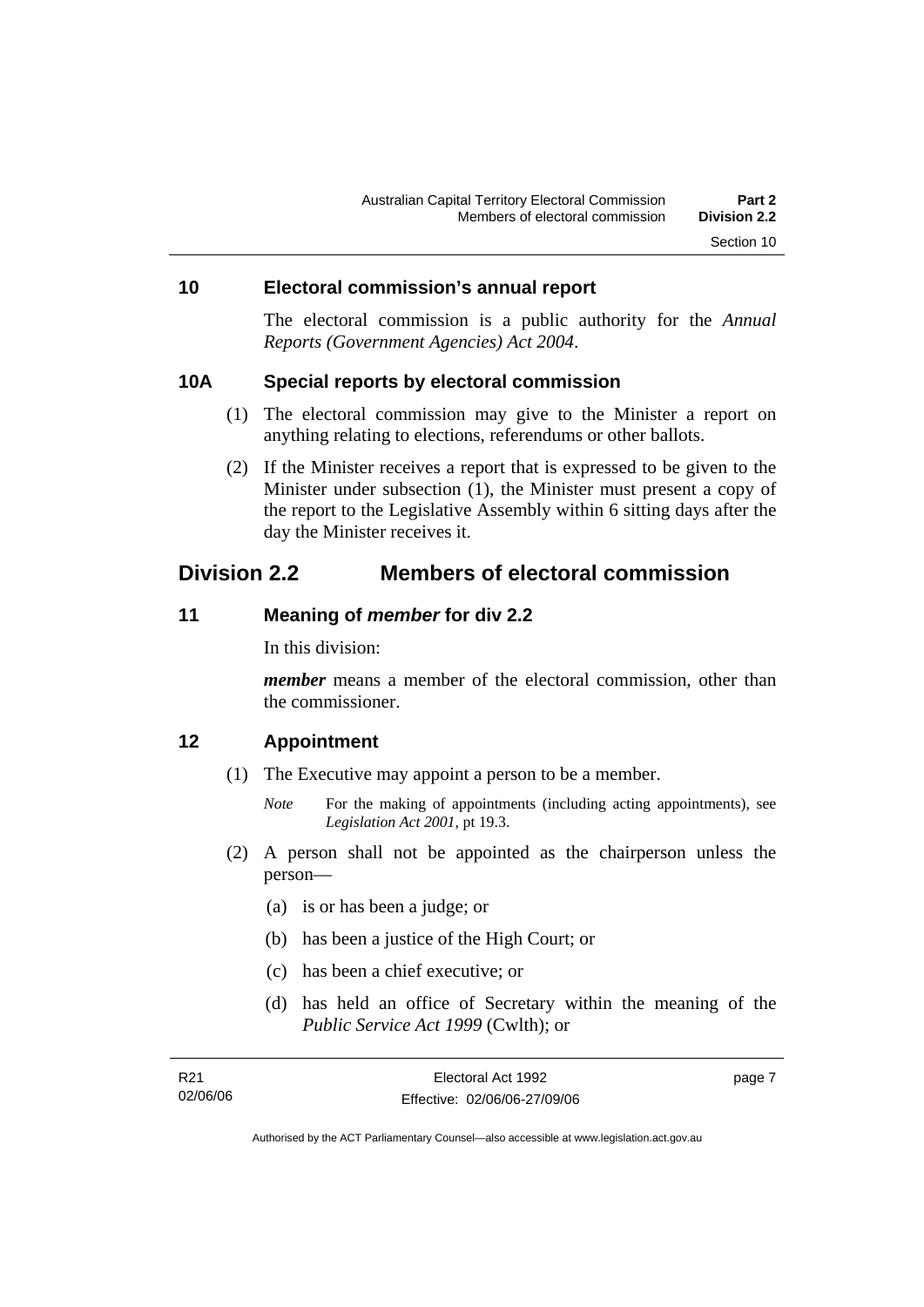#### **10 Electoral commission's annual report**

The electoral commission is a public authority for the *Annual Reports (Government Agencies) Act 2004*.

#### **10A Special reports by electoral commission**

- (1) The electoral commission may give to the Minister a report on anything relating to elections, referendums or other ballots.
- (2) If the Minister receives a report that is expressed to be given to the Minister under subsection (1), the Minister must present a copy of the report to the Legislative Assembly within 6 sitting days after the day the Minister receives it.

## **Division 2.2 Members of electoral commission**

#### **11 Meaning of** *member* **for div 2.2**

In this division:

*member* means a member of the electoral commission, other than the commissioner.

#### **12 Appointment**

- (1) The Executive may appoint a person to be a member.
	- *Note* For the making of appointments (including acting appointments), see *Legislation Act 2001*, pt 19.3.
- (2) A person shall not be appointed as the chairperson unless the person—
	- (a) is or has been a judge; or
	- (b) has been a justice of the High Court; or
	- (c) has been a chief executive; or
	- (d) has held an office of Secretary within the meaning of the *Public Service Act 1999* (Cwlth); or

| R21      | Electoral Act 1992           | page 7 |
|----------|------------------------------|--------|
| 02/06/06 | Effective: 02/06/06-27/09/06 |        |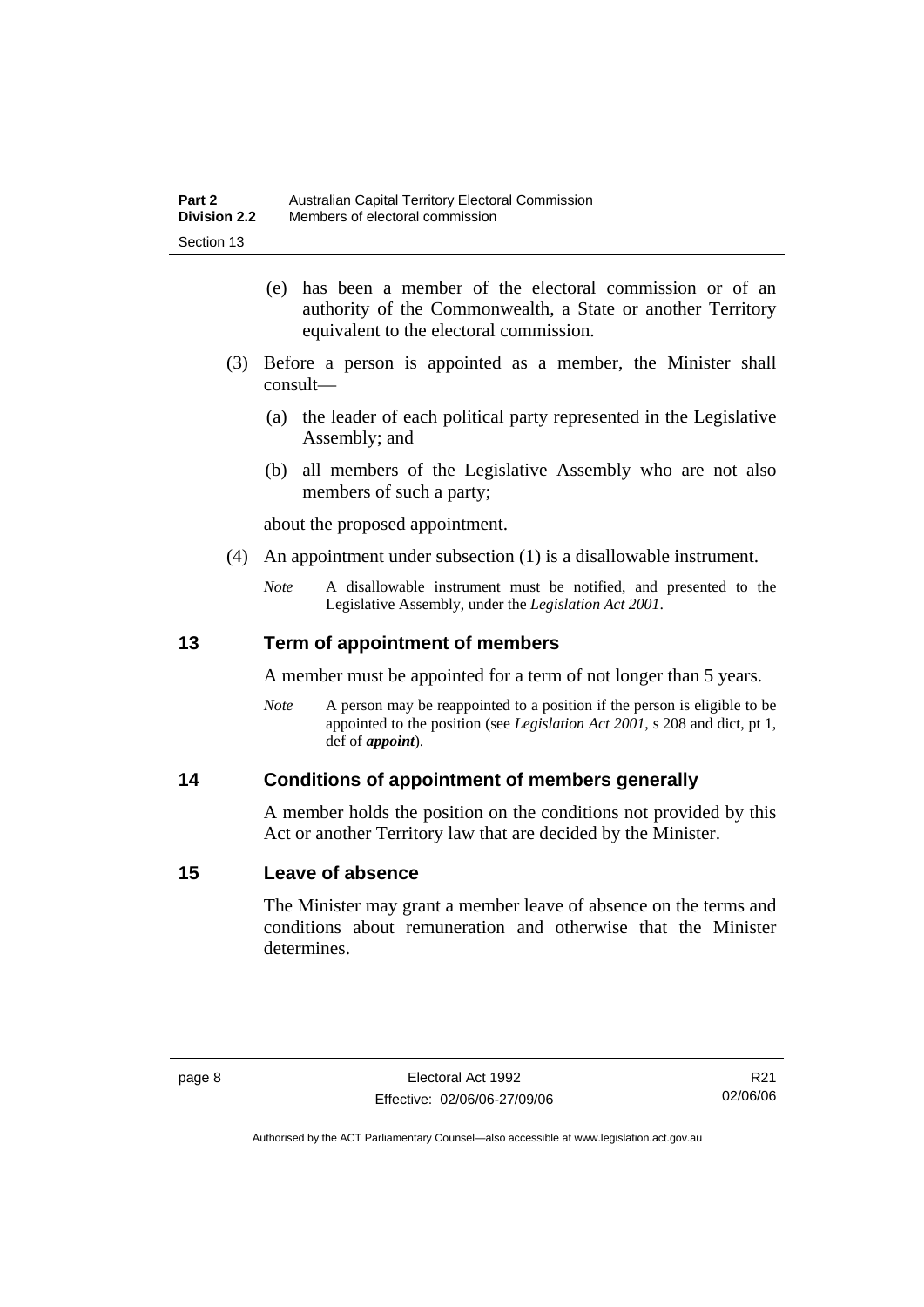- (e) has been a member of the electoral commission or of an authority of the Commonwealth, a State or another Territory equivalent to the electoral commission.
- (3) Before a person is appointed as a member, the Minister shall consult—
	- (a) the leader of each political party represented in the Legislative Assembly; and
	- (b) all members of the Legislative Assembly who are not also members of such a party;

about the proposed appointment.

- (4) An appointment under subsection (1) is a disallowable instrument.
	- *Note* A disallowable instrument must be notified, and presented to the Legislative Assembly, under the *Legislation Act 2001*.

### **13 Term of appointment of members**

A member must be appointed for a term of not longer than 5 years.

*Note* A person may be reappointed to a position if the person is eligible to be appointed to the position (see *Legislation Act 2001*, s 208 and dict, pt 1, def of *appoint*).

### **14 Conditions of appointment of members generally**

A member holds the position on the conditions not provided by this Act or another Territory law that are decided by the Minister.

#### **15 Leave of absence**

The Minister may grant a member leave of absence on the terms and conditions about remuneration and otherwise that the Minister determines.

R21 02/06/06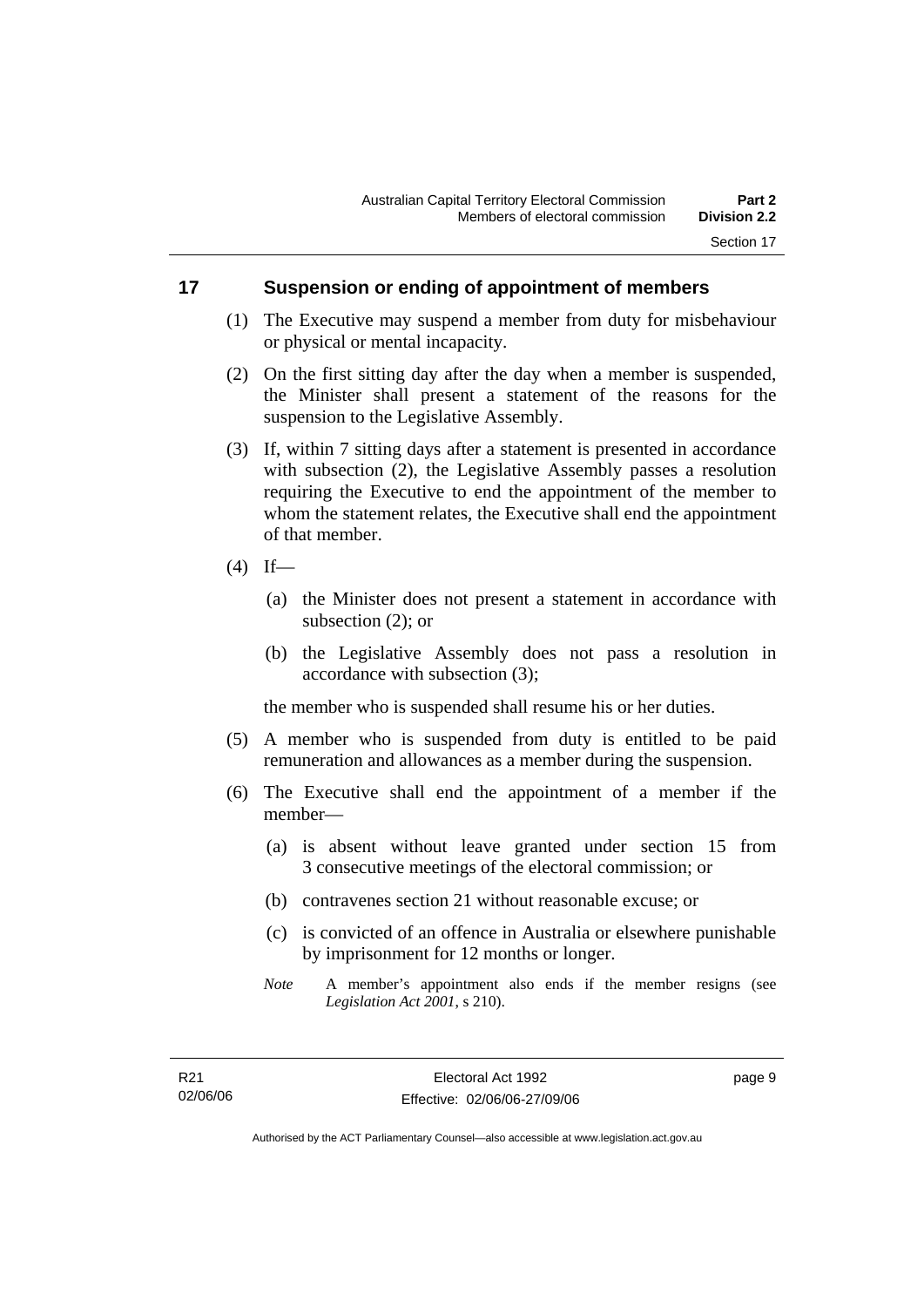#### **17 Suspension or ending of appointment of members**

- (1) The Executive may suspend a member from duty for misbehaviour or physical or mental incapacity.
- (2) On the first sitting day after the day when a member is suspended, the Minister shall present a statement of the reasons for the suspension to the Legislative Assembly.
- (3) If, within 7 sitting days after a statement is presented in accordance with subsection (2), the Legislative Assembly passes a resolution requiring the Executive to end the appointment of the member to whom the statement relates, the Executive shall end the appointment of that member.
- $(4)$  If—
	- (a) the Minister does not present a statement in accordance with subsection (2); or
	- (b) the Legislative Assembly does not pass a resolution in accordance with subsection (3);

the member who is suspended shall resume his or her duties.

- (5) A member who is suspended from duty is entitled to be paid remuneration and allowances as a member during the suspension.
- (6) The Executive shall end the appointment of a member if the member—
	- (a) is absent without leave granted under section 15 from 3 consecutive meetings of the electoral commission; or
	- (b) contravenes section 21 without reasonable excuse; or
	- (c) is convicted of an offence in Australia or elsewhere punishable by imprisonment for 12 months or longer.
	- *Note* A member's appointment also ends if the member resigns (see *Legislation Act 2001*, s 210).

page 9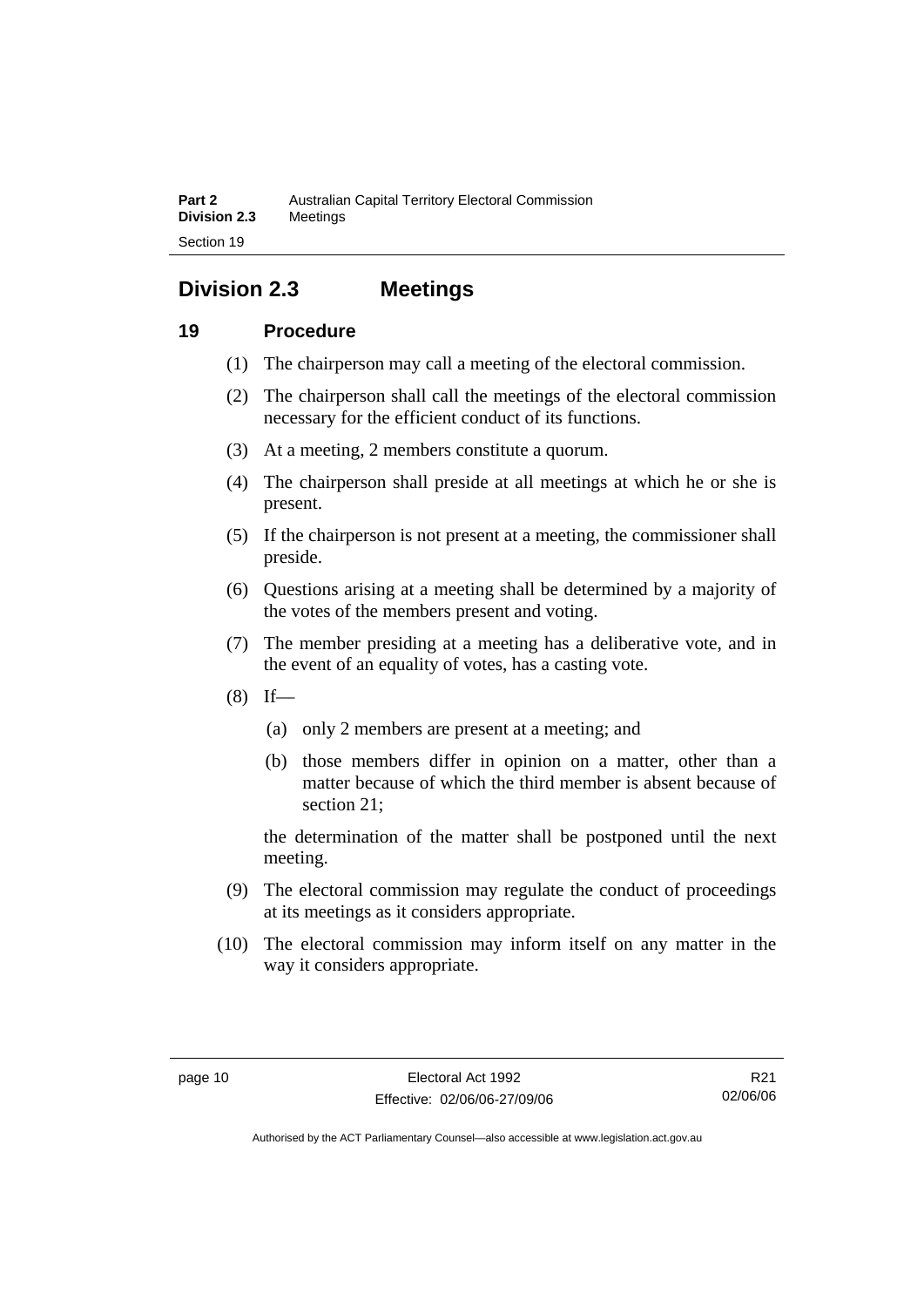## **Division 2.3 Meetings**

## **19 Procedure**

- (1) The chairperson may call a meeting of the electoral commission.
- (2) The chairperson shall call the meetings of the electoral commission necessary for the efficient conduct of its functions.
- (3) At a meeting, 2 members constitute a quorum.
- (4) The chairperson shall preside at all meetings at which he or she is present.
- (5) If the chairperson is not present at a meeting, the commissioner shall preside.
- (6) Questions arising at a meeting shall be determined by a majority of the votes of the members present and voting.
- (7) The member presiding at a meeting has a deliberative vote, and in the event of an equality of votes, has a casting vote.
- $(8)$  If—
	- (a) only 2 members are present at a meeting; and
	- (b) those members differ in opinion on a matter, other than a matter because of which the third member is absent because of section 21;

the determination of the matter shall be postponed until the next meeting.

- (9) The electoral commission may regulate the conduct of proceedings at its meetings as it considers appropriate.
- (10) The electoral commission may inform itself on any matter in the way it considers appropriate.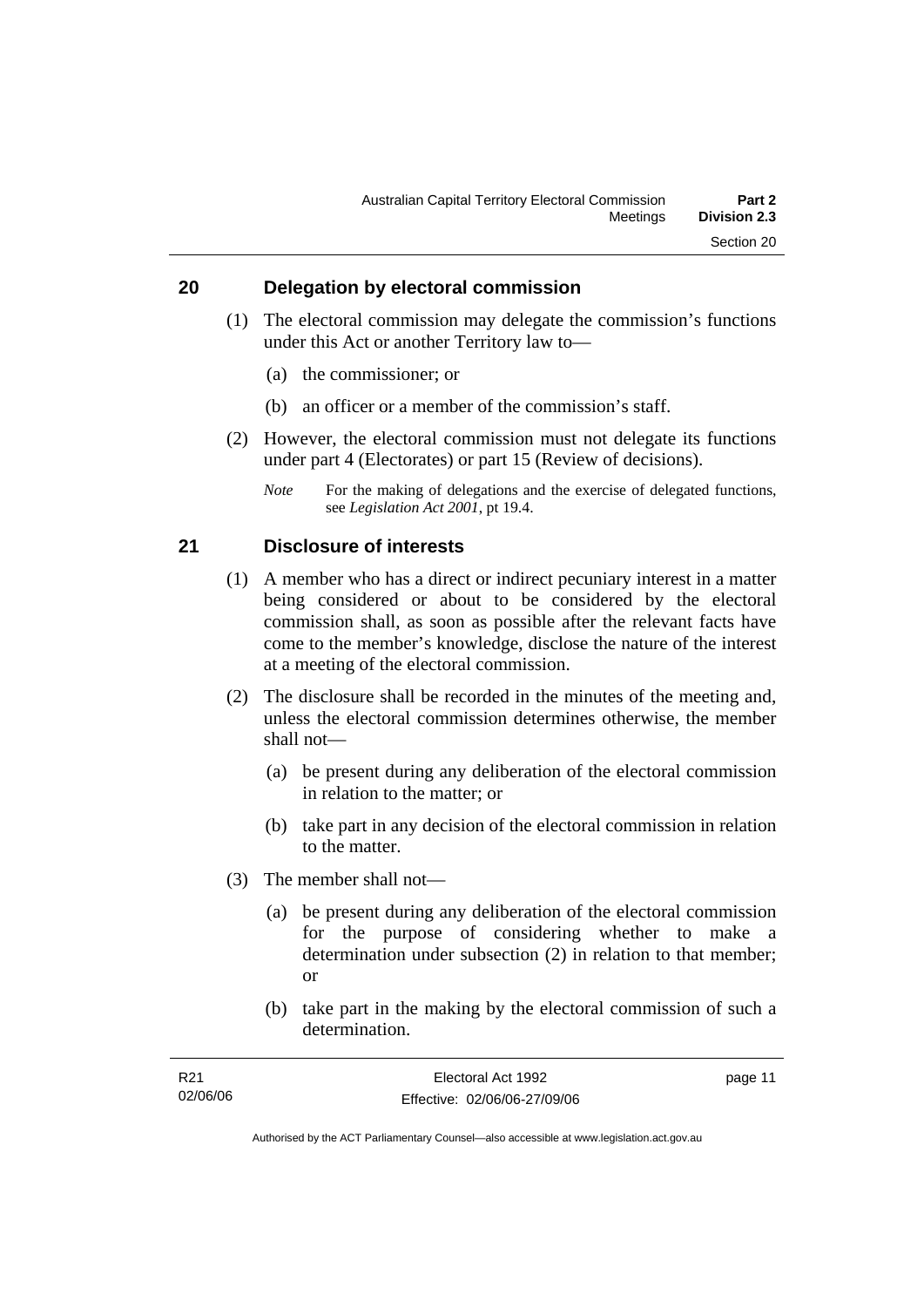#### **20 Delegation by electoral commission**

- (1) The electoral commission may delegate the commission's functions under this Act or another Territory law to—
	- (a) the commissioner; or
	- (b) an officer or a member of the commission's staff.
- (2) However, the electoral commission must not delegate its functions under part 4 (Electorates) or part 15 (Review of decisions).
	- *Note* For the making of delegations and the exercise of delegated functions, see *Legislation Act 2001*, pt 19.4.

#### **21 Disclosure of interests**

- (1) A member who has a direct or indirect pecuniary interest in a matter being considered or about to be considered by the electoral commission shall, as soon as possible after the relevant facts have come to the member's knowledge, disclose the nature of the interest at a meeting of the electoral commission.
- (2) The disclosure shall be recorded in the minutes of the meeting and, unless the electoral commission determines otherwise, the member shall not—
	- (a) be present during any deliberation of the electoral commission in relation to the matter; or
	- (b) take part in any decision of the electoral commission in relation to the matter.
- (3) The member shall not—
	- (a) be present during any deliberation of the electoral commission for the purpose of considering whether to make a determination under subsection (2) in relation to that member; or
	- (b) take part in the making by the electoral commission of such a determination.

| R21      | Electoral Act 1992           | page 11 |
|----------|------------------------------|---------|
| 02/06/06 | Effective: 02/06/06-27/09/06 |         |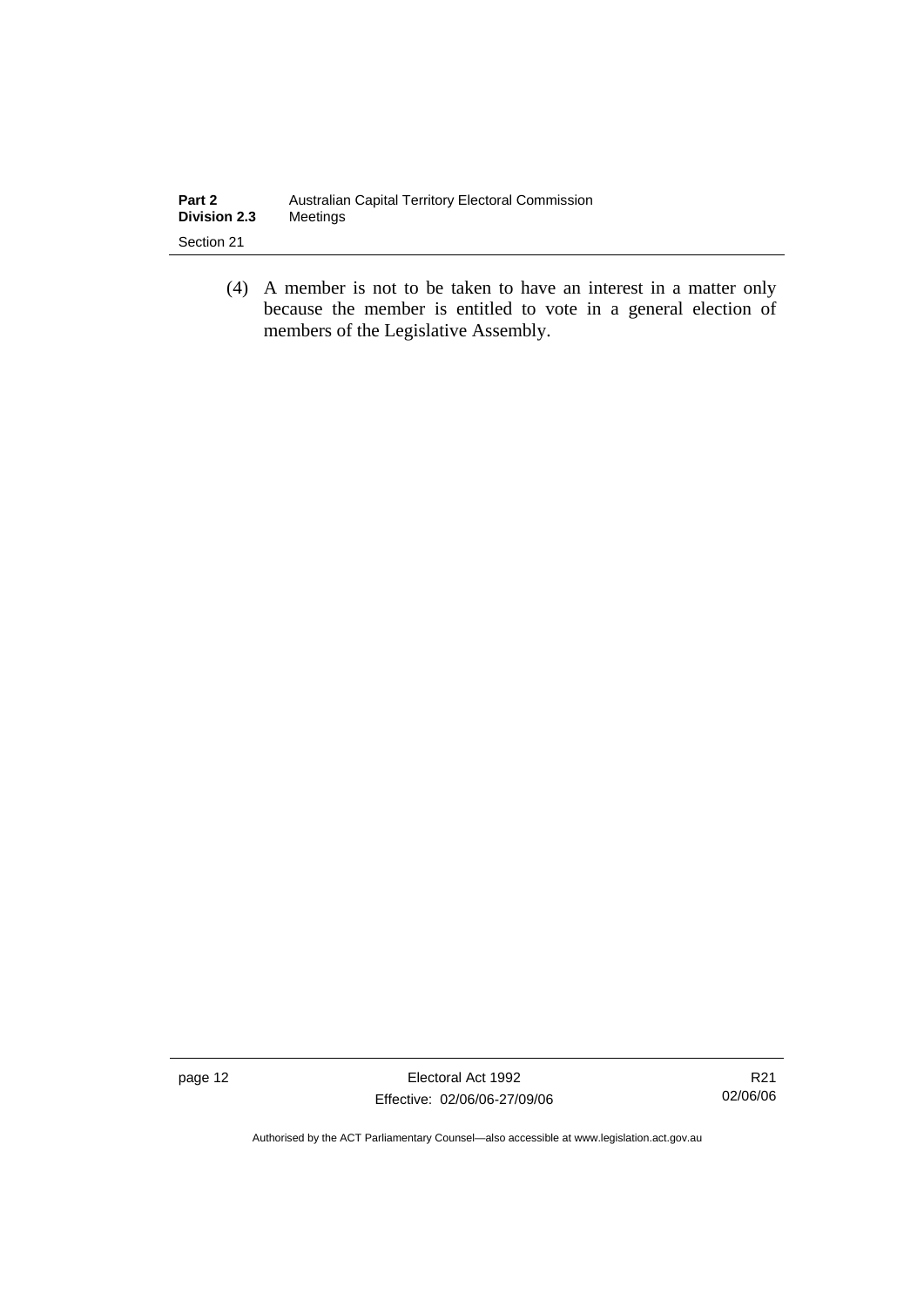| Part 2              | Australian Capital Territory Electoral Commission |
|---------------------|---------------------------------------------------|
| <b>Division 2.3</b> | Meetinas                                          |
| Section 21          |                                                   |

 (4) A member is not to be taken to have an interest in a matter only because the member is entitled to vote in a general election of members of the Legislative Assembly.

page 12 Electoral Act 1992 Effective: 02/06/06-27/09/06

R21 02/06/06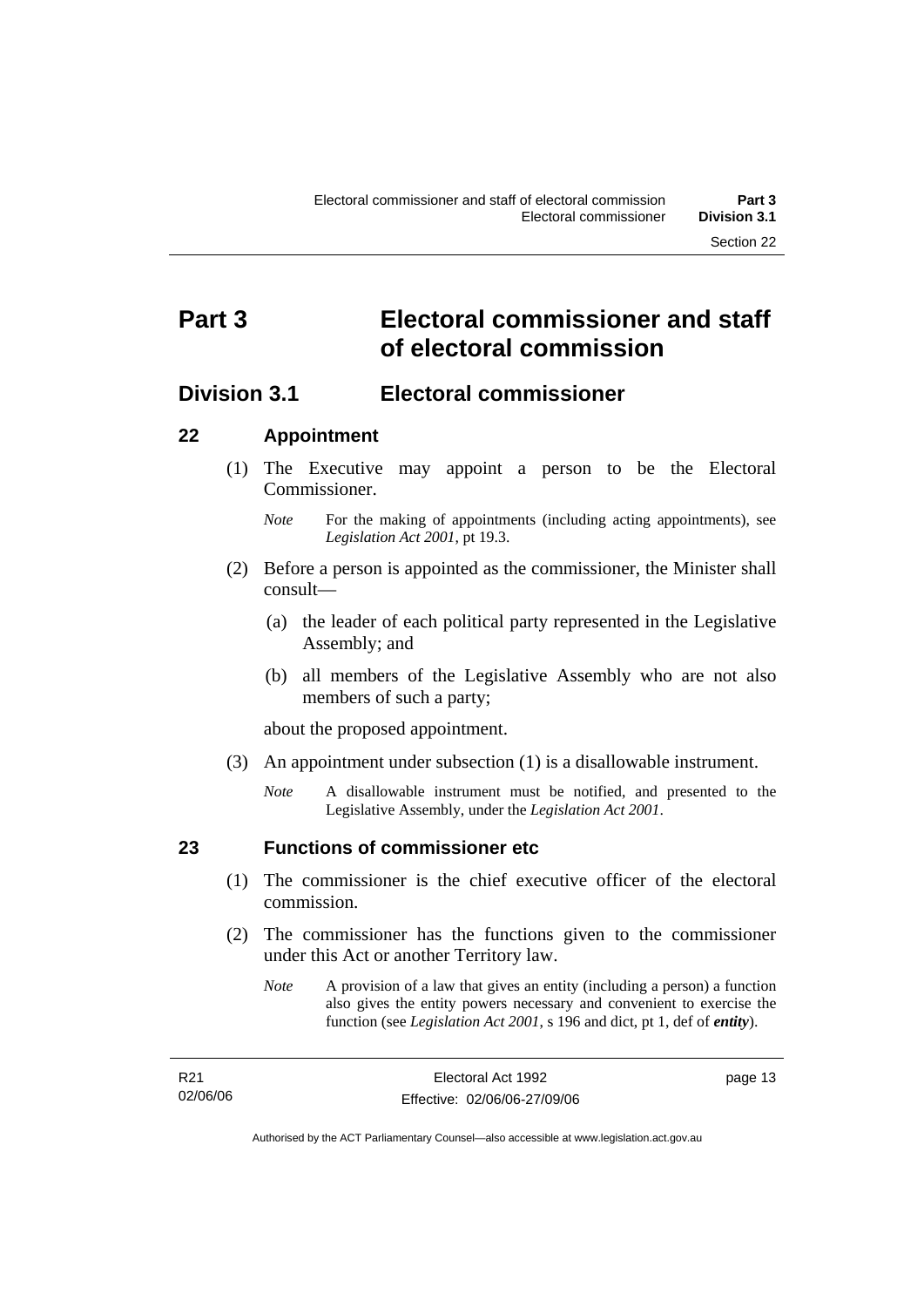## **Part 3 Electoral commissioner and staff of electoral commission**

## **Division 3.1 Electoral commissioner**

### **22 Appointment**

- (1) The Executive may appoint a person to be the Electoral Commissioner.
	- *Note* For the making of appointments (including acting appointments), see *Legislation Act 2001*, pt 19.3.
- (2) Before a person is appointed as the commissioner, the Minister shall consult—
	- (a) the leader of each political party represented in the Legislative Assembly; and
	- (b) all members of the Legislative Assembly who are not also members of such a party;

about the proposed appointment.

- (3) An appointment under subsection (1) is a disallowable instrument.
	- *Note* A disallowable instrument must be notified, and presented to the Legislative Assembly, under the *Legislation Act 2001*.

### **23 Functions of commissioner etc**

- (1) The commissioner is the chief executive officer of the electoral commission.
- (2) The commissioner has the functions given to the commissioner under this Act or another Territory law.
	- *Note* A provision of a law that gives an entity (including a person) a function also gives the entity powers necessary and convenient to exercise the function (see *Legislation Act 2001*, s 196 and dict, pt 1, def of *entity*).

| R21      | Electoral Act 1992           | page 13 |
|----------|------------------------------|---------|
| 02/06/06 | Effective: 02/06/06-27/09/06 |         |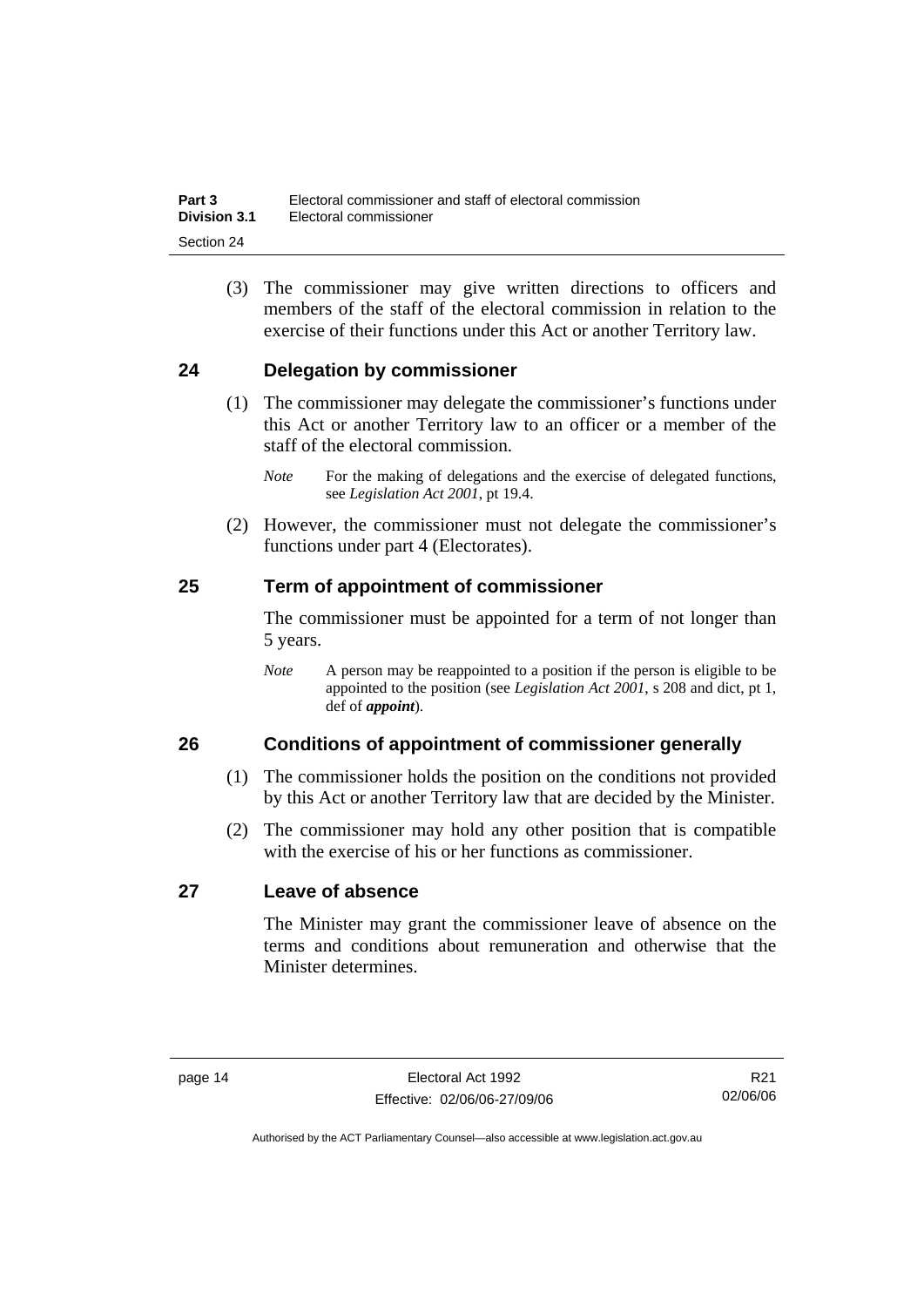(3) The commissioner may give written directions to officers and members of the staff of the electoral commission in relation to the exercise of their functions under this Act or another Territory law.

### **24 Delegation by commissioner**

- (1) The commissioner may delegate the commissioner's functions under this Act or another Territory law to an officer or a member of the staff of the electoral commission.
	- *Note* For the making of delegations and the exercise of delegated functions, see *Legislation Act 2001*, pt 19.4.
- (2) However, the commissioner must not delegate the commissioner's functions under part 4 (Electorates).

### **25 Term of appointment of commissioner**

The commissioner must be appointed for a term of not longer than 5 years.

*Note* A person may be reappointed to a position if the person is eligible to be appointed to the position (see *Legislation Act 2001*, s 208 and dict, pt 1, def of *appoint*).

### **26 Conditions of appointment of commissioner generally**

- (1) The commissioner holds the position on the conditions not provided by this Act or another Territory law that are decided by the Minister.
- (2) The commissioner may hold any other position that is compatible with the exercise of his or her functions as commissioner.

### **27 Leave of absence**

The Minister may grant the commissioner leave of absence on the terms and conditions about remuneration and otherwise that the Minister determines.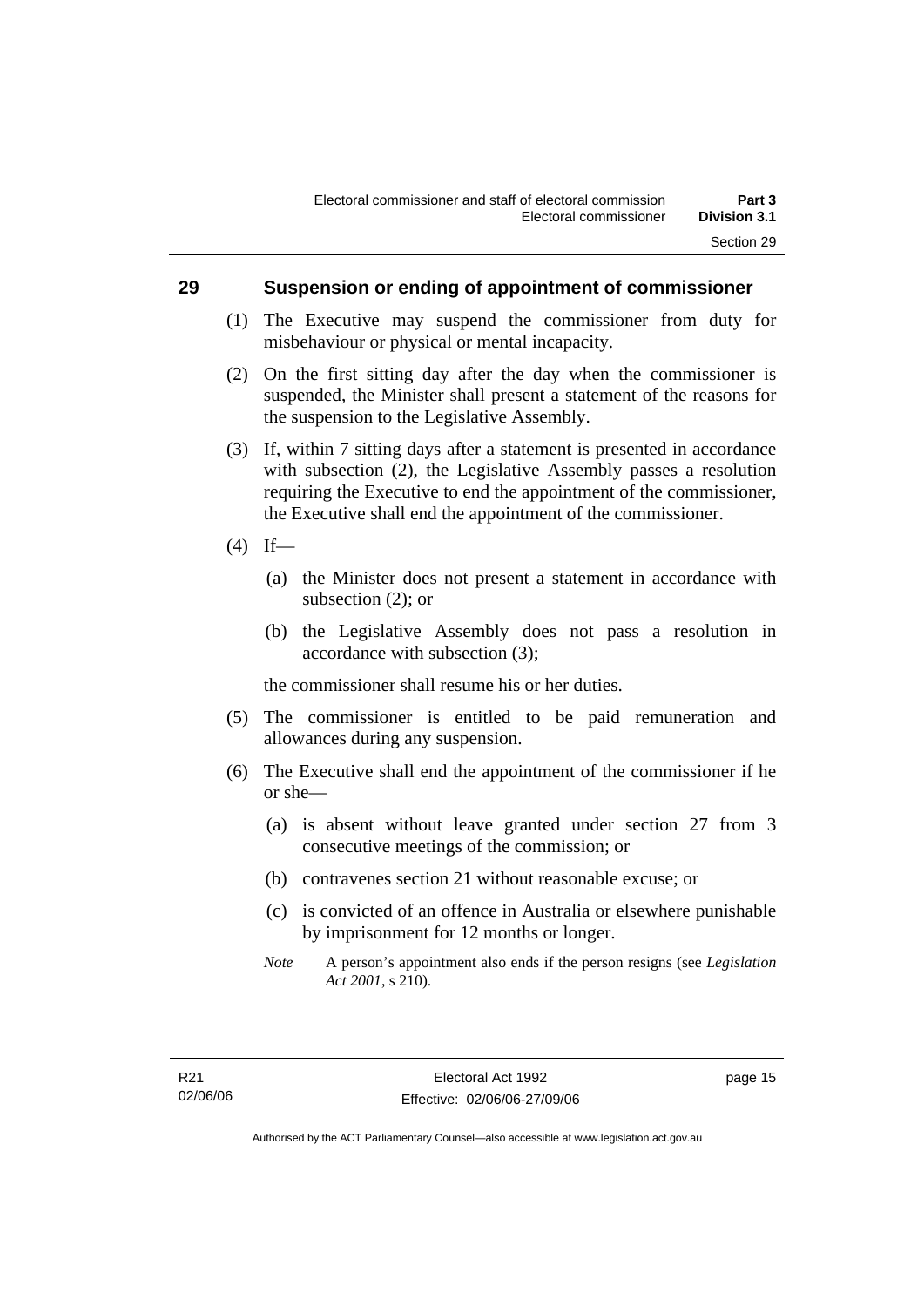#### **29 Suspension or ending of appointment of commissioner**

- (1) The Executive may suspend the commissioner from duty for misbehaviour or physical or mental incapacity.
- (2) On the first sitting day after the day when the commissioner is suspended, the Minister shall present a statement of the reasons for the suspension to the Legislative Assembly.
- (3) If, within 7 sitting days after a statement is presented in accordance with subsection (2), the Legislative Assembly passes a resolution requiring the Executive to end the appointment of the commissioner, the Executive shall end the appointment of the commissioner.
- $(4)$  If—
	- (a) the Minister does not present a statement in accordance with subsection (2); or
	- (b) the Legislative Assembly does not pass a resolution in accordance with subsection (3);

the commissioner shall resume his or her duties.

- (5) The commissioner is entitled to be paid remuneration and allowances during any suspension.
- (6) The Executive shall end the appointment of the commissioner if he or she—
	- (a) is absent without leave granted under section 27 from 3 consecutive meetings of the commission; or
	- (b) contravenes section 21 without reasonable excuse; or
	- (c) is convicted of an offence in Australia or elsewhere punishable by imprisonment for 12 months or longer.
	- *Note* A person's appointment also ends if the person resigns (see *Legislation Act 2001*, s 210).

page 15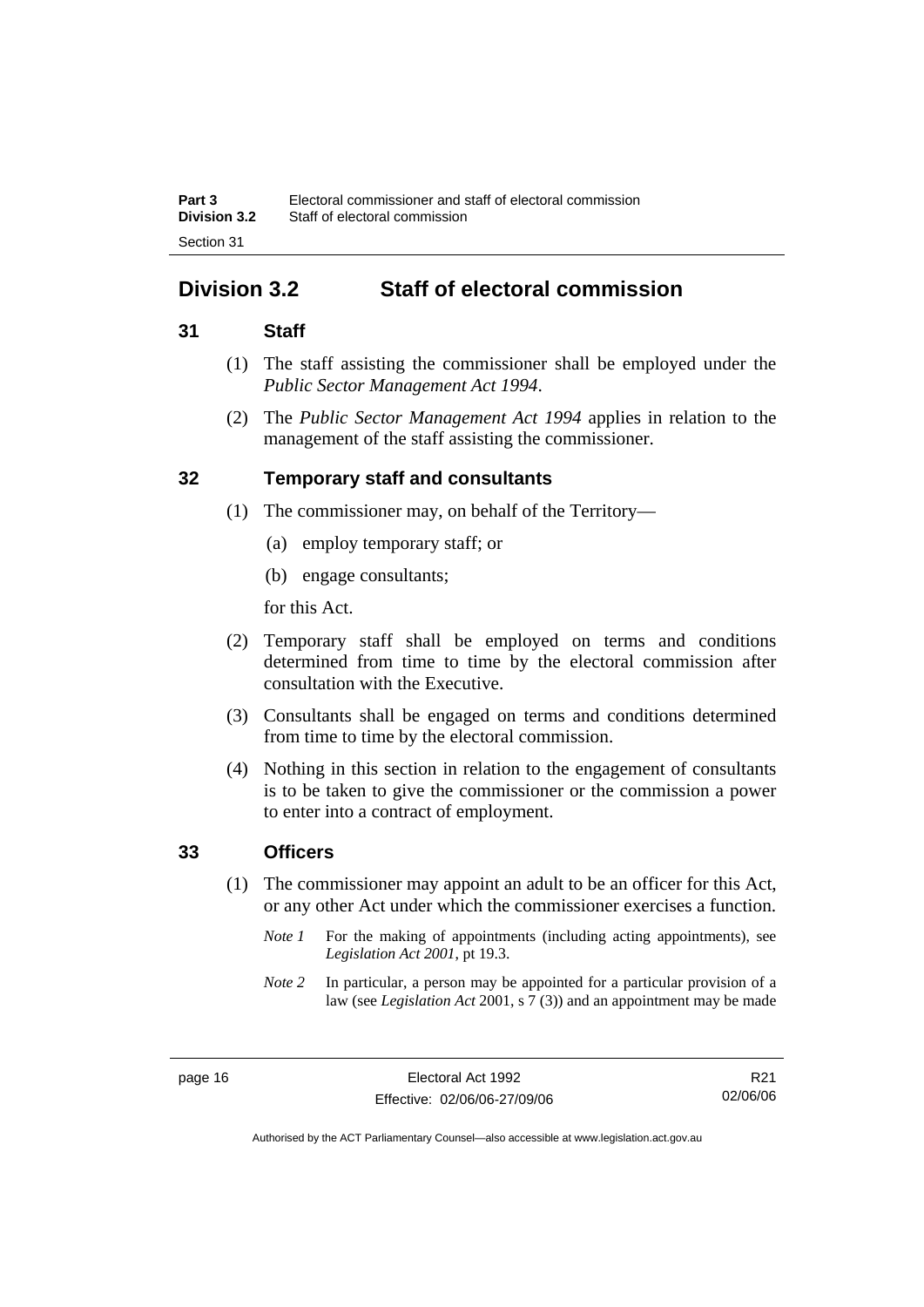## **Division 3.2 Staff of electoral commission**

### **31 Staff**

- (1) The staff assisting the commissioner shall be employed under the *Public Sector Management Act 1994*.
- (2) The *Public Sector Management Act 1994* applies in relation to the management of the staff assisting the commissioner.

### **32 Temporary staff and consultants**

- (1) The commissioner may, on behalf of the Territory—
	- (a) employ temporary staff; or
	- (b) engage consultants;

for this Act.

- (2) Temporary staff shall be employed on terms and conditions determined from time to time by the electoral commission after consultation with the Executive.
- (3) Consultants shall be engaged on terms and conditions determined from time to time by the electoral commission.
- (4) Nothing in this section in relation to the engagement of consultants is to be taken to give the commissioner or the commission a power to enter into a contract of employment.

#### **33 Officers**

- (1) The commissioner may appoint an adult to be an officer for this Act, or any other Act under which the commissioner exercises a function.
	- *Note 1* For the making of appointments (including acting appointments), see *Legislation Act 2001*, pt 19.3.
	- *Note 2* In particular, a person may be appointed for a particular provision of a law (see *Legislation Act* 2001, s 7 (3)) and an appointment may be made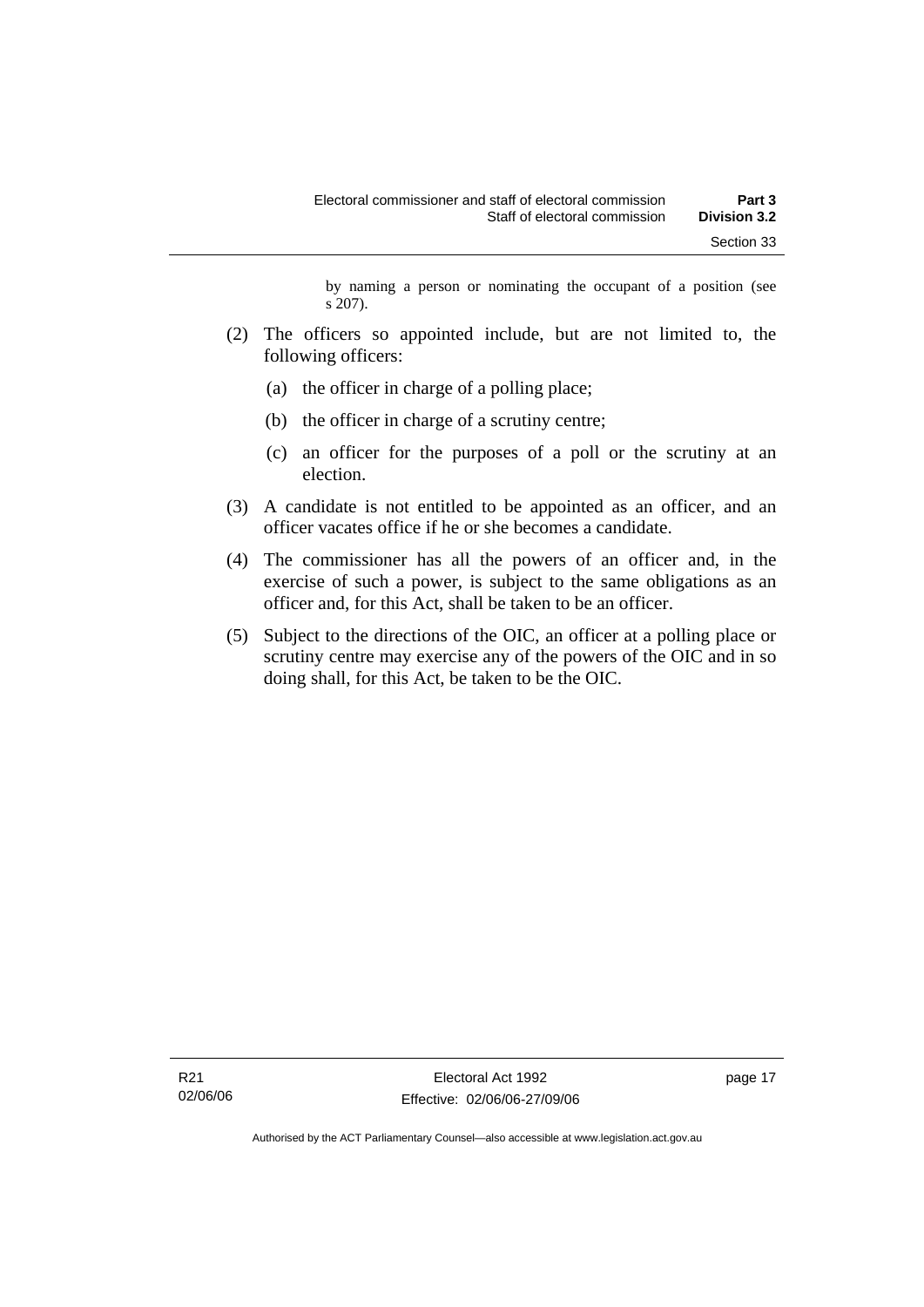by naming a person or nominating the occupant of a position (see s 207).

- (2) The officers so appointed include, but are not limited to, the following officers:
	- (a) the officer in charge of a polling place;
	- (b) the officer in charge of a scrutiny centre;
	- (c) an officer for the purposes of a poll or the scrutiny at an election.
- (3) A candidate is not entitled to be appointed as an officer, and an officer vacates office if he or she becomes a candidate.
- (4) The commissioner has all the powers of an officer and, in the exercise of such a power, is subject to the same obligations as an officer and, for this Act, shall be taken to be an officer.
- (5) Subject to the directions of the OIC, an officer at a polling place or scrutiny centre may exercise any of the powers of the OIC and in so doing shall, for this Act, be taken to be the OIC.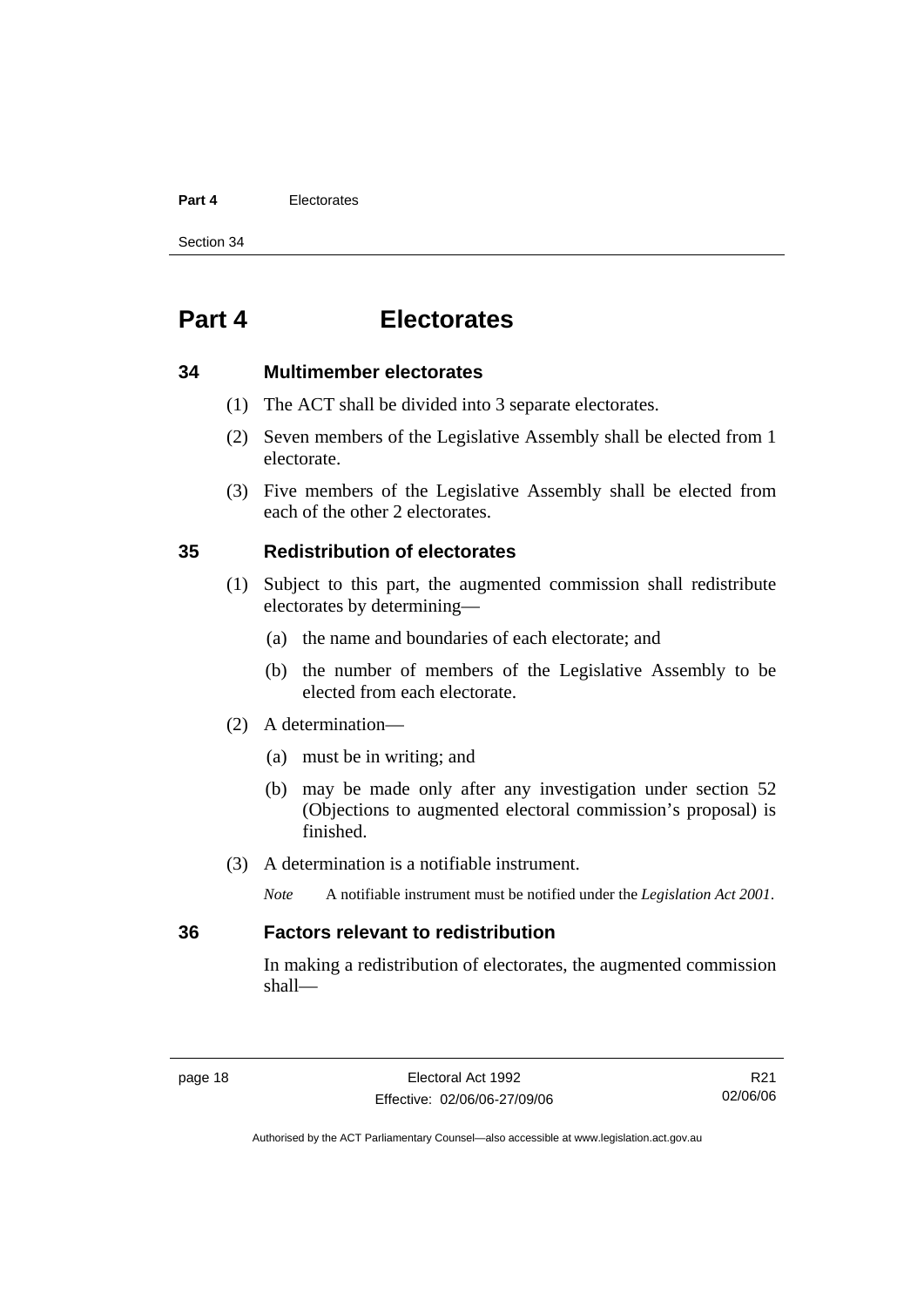#### **Part 4** Electorates

Section 34

## **Part 4 Electorates**

#### **34 Multimember electorates**

- (1) The ACT shall be divided into 3 separate electorates.
- (2) Seven members of the Legislative Assembly shall be elected from 1 electorate.
- (3) Five members of the Legislative Assembly shall be elected from each of the other 2 electorates.

#### **35 Redistribution of electorates**

- (1) Subject to this part, the augmented commission shall redistribute electorates by determining—
	- (a) the name and boundaries of each electorate; and
	- (b) the number of members of the Legislative Assembly to be elected from each electorate.
- (2) A determination—
	- (a) must be in writing; and
	- (b) may be made only after any investigation under section 52 (Objections to augmented electoral commission's proposal) is finished.
- (3) A determination is a notifiable instrument.
	- *Note* A notifiable instrument must be notified under the *Legislation Act 2001*.

#### **36 Factors relevant to redistribution**

In making a redistribution of electorates, the augmented commission shall—

R21 02/06/06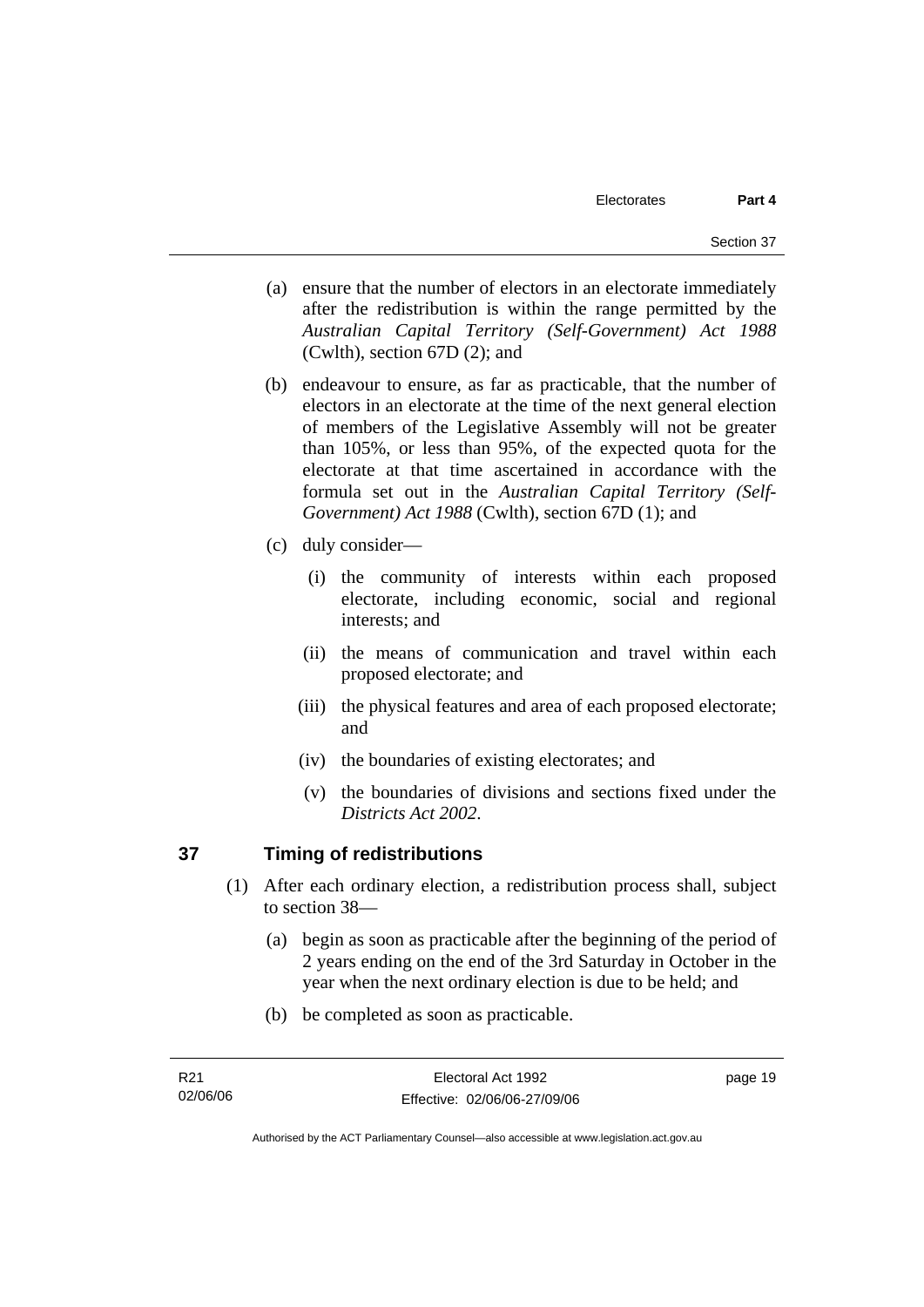- (a) ensure that the number of electors in an electorate immediately after the redistribution is within the range permitted by the *Australian Capital Territory (Self-Government) Act 1988*  (Cwlth), section 67D (2); and
- (b) endeavour to ensure, as far as practicable, that the number of electors in an electorate at the time of the next general election of members of the Legislative Assembly will not be greater than 105%, or less than 95%, of the expected quota for the electorate at that time ascertained in accordance with the formula set out in the *Australian Capital Territory (Self-Government) Act 1988* (Cwlth), section 67D (1); and
- (c) duly consider—
	- (i) the community of interests within each proposed electorate, including economic, social and regional interests; and
	- (ii) the means of communication and travel within each proposed electorate; and
	- (iii) the physical features and area of each proposed electorate; and
	- (iv) the boundaries of existing electorates; and
	- (v) the boundaries of divisions and sections fixed under the *Districts Act 2002*.

# **37 Timing of redistributions**

- (1) After each ordinary election, a redistribution process shall, subject to section 38—
	- (a) begin as soon as practicable after the beginning of the period of 2 years ending on the end of the 3rd Saturday in October in the year when the next ordinary election is due to be held; and
	- (b) be completed as soon as practicable.

page 19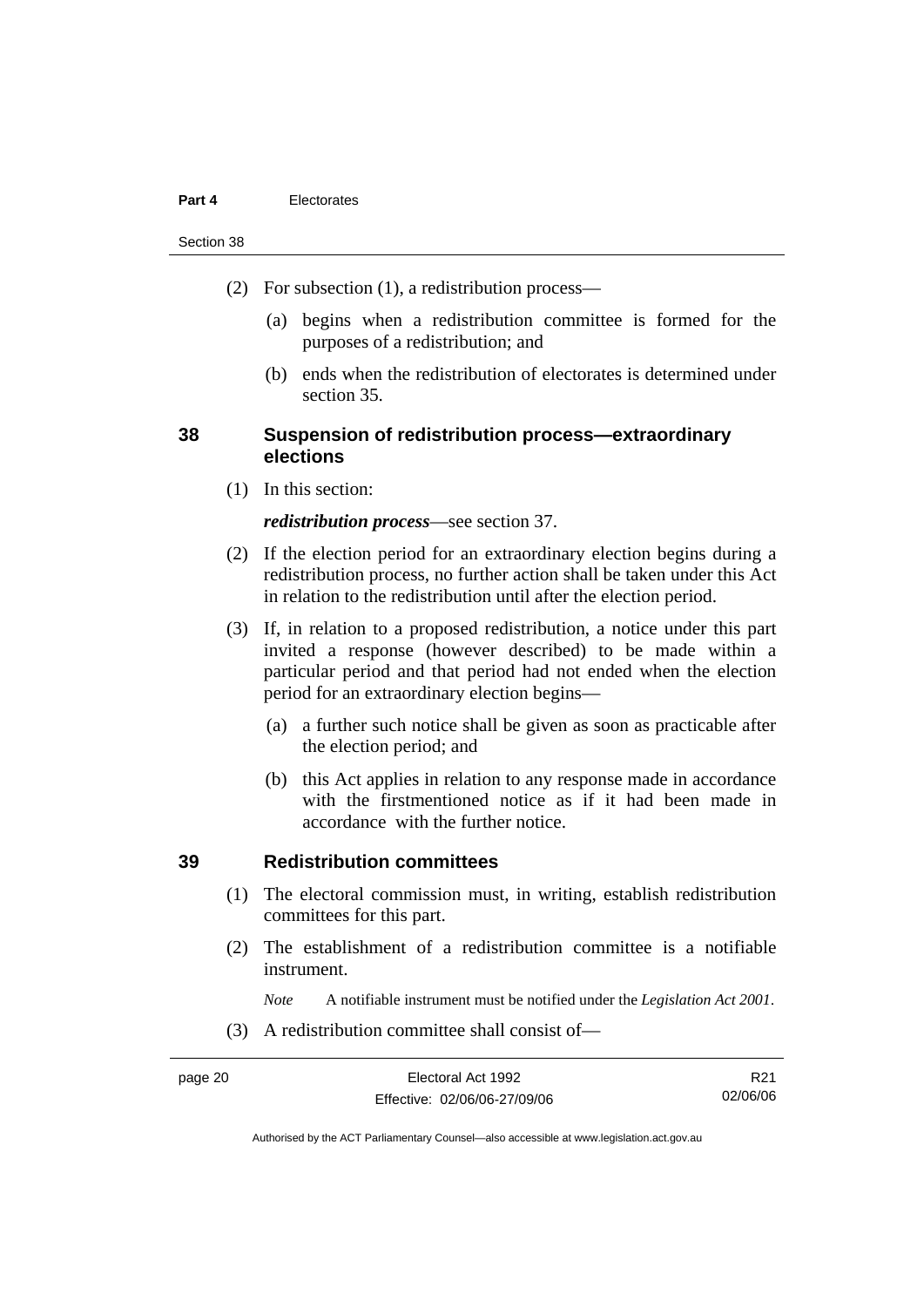#### **Part 4** Electorates

#### Section 38

- (2) For subsection (1), a redistribution process—
	- (a) begins when a redistribution committee is formed for the purposes of a redistribution; and
	- (b) ends when the redistribution of electorates is determined under section 35.

# **38 Suspension of redistribution process—extraordinary elections**

(1) In this section:

#### *redistribution process*—see section 37.

- (2) If the election period for an extraordinary election begins during a redistribution process, no further action shall be taken under this Act in relation to the redistribution until after the election period.
- (3) If, in relation to a proposed redistribution, a notice under this part invited a response (however described) to be made within a particular period and that period had not ended when the election period for an extraordinary election begins—
	- (a) a further such notice shall be given as soon as practicable after the election period; and
	- (b) this Act applies in relation to any response made in accordance with the firstmentioned notice as if it had been made in accordance with the further notice.

# **39 Redistribution committees**

- (1) The electoral commission must, in writing, establish redistribution committees for this part.
- (2) The establishment of a redistribution committee is a notifiable instrument.

*Note* A notifiable instrument must be notified under the *Legislation Act 2001*.

(3) A redistribution committee shall consist of—

R21 02/06/06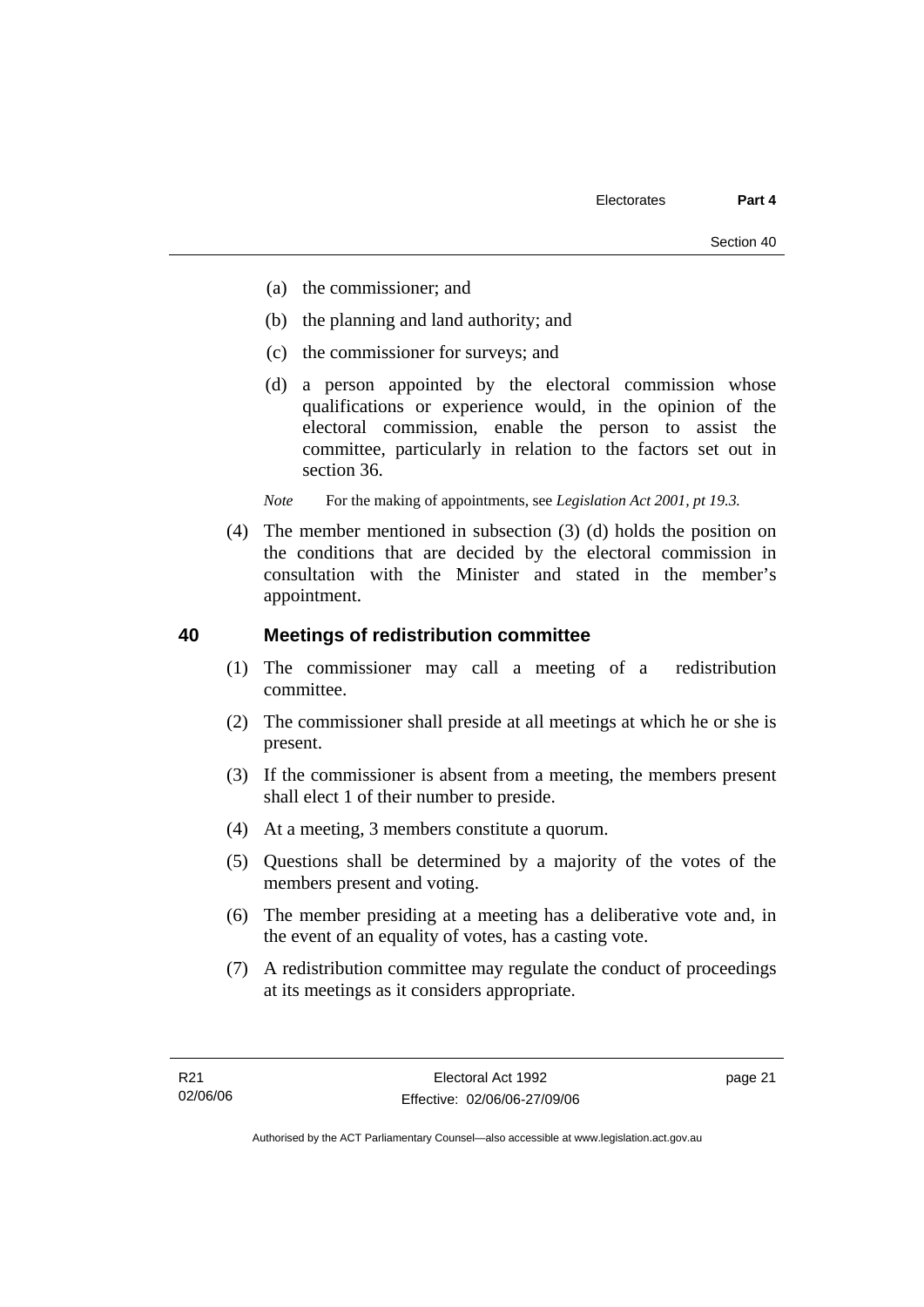- (a) the commissioner; and
- (b) the planning and land authority; and
- (c) the commissioner for surveys; and
- (d) a person appointed by the electoral commission whose qualifications or experience would, in the opinion of the electoral commission, enable the person to assist the committee, particularly in relation to the factors set out in section 36.

*Note* For the making of appointments, see *Legislation Act 2001, pt 19.3.* 

 (4) The member mentioned in subsection (3) (d) holds the position on the conditions that are decided by the electoral commission in consultation with the Minister and stated in the member's appointment.

#### **40 Meetings of redistribution committee**

- (1) The commissioner may call a meeting of a redistribution committee.
- (2) The commissioner shall preside at all meetings at which he or she is present.
- (3) If the commissioner is absent from a meeting, the members present shall elect 1 of their number to preside.
- (4) At a meeting, 3 members constitute a quorum.
- (5) Questions shall be determined by a majority of the votes of the members present and voting.
- (6) The member presiding at a meeting has a deliberative vote and, in the event of an equality of votes, has a casting vote.
- (7) A redistribution committee may regulate the conduct of proceedings at its meetings as it considers appropriate.

page 21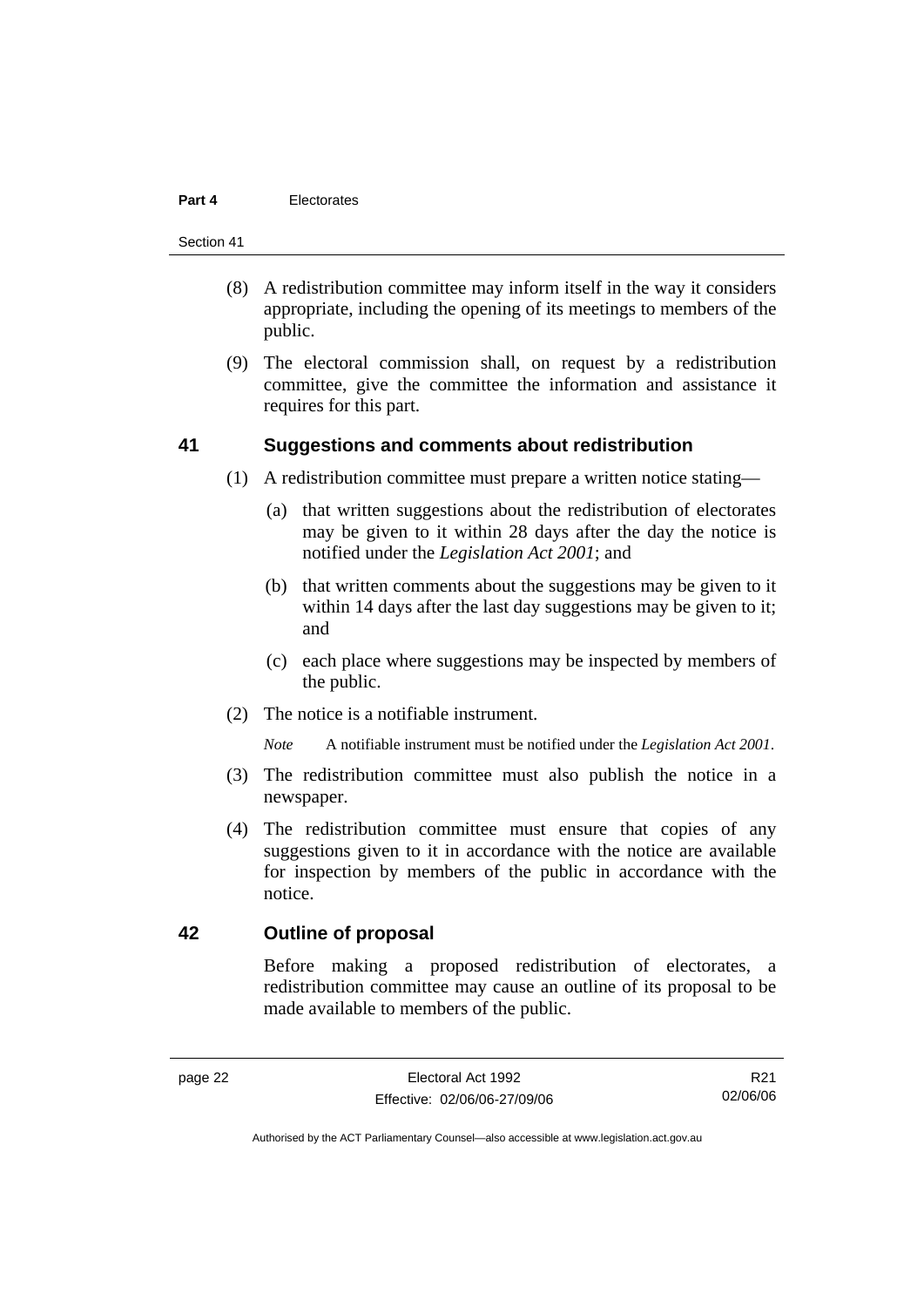#### **Part 4** Electorates

#### Section 41

- (8) A redistribution committee may inform itself in the way it considers appropriate, including the opening of its meetings to members of the public.
- (9) The electoral commission shall, on request by a redistribution committee, give the committee the information and assistance it requires for this part.

#### **41 Suggestions and comments about redistribution**

- (1) A redistribution committee must prepare a written notice stating—
	- (a) that written suggestions about the redistribution of electorates may be given to it within 28 days after the day the notice is notified under the *Legislation Act 2001*; and
	- (b) that written comments about the suggestions may be given to it within 14 days after the last day suggestions may be given to it; and
	- (c) each place where suggestions may be inspected by members of the public.
- (2) The notice is a notifiable instrument.

*Note* A notifiable instrument must be notified under the *Legislation Act 2001*.

- (3) The redistribution committee must also publish the notice in a newspaper.
- (4) The redistribution committee must ensure that copies of any suggestions given to it in accordance with the notice are available for inspection by members of the public in accordance with the notice.

# **42 Outline of proposal**

Before making a proposed redistribution of electorates, a redistribution committee may cause an outline of its proposal to be made available to members of the public.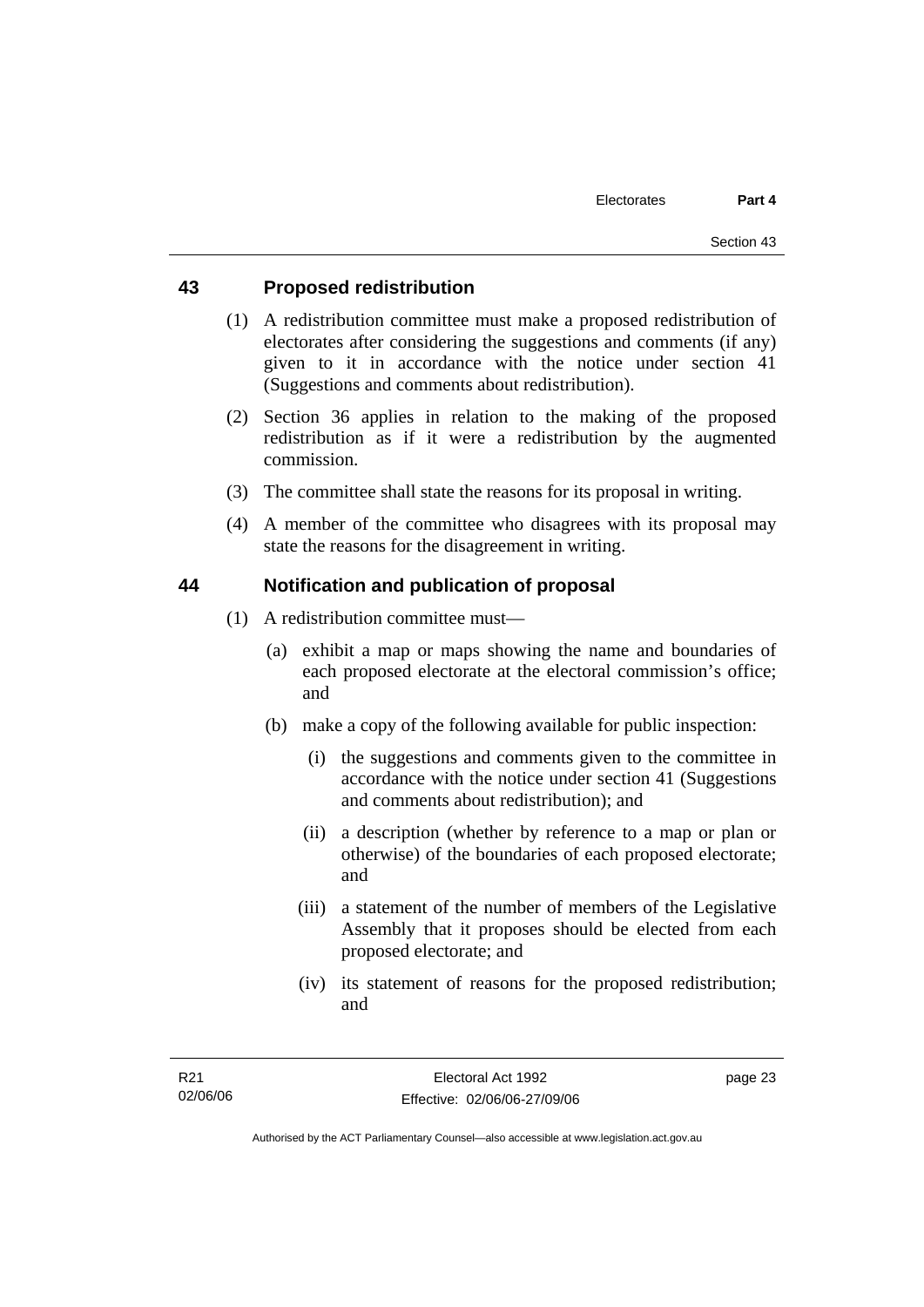#### **43 Proposed redistribution**

- (1) A redistribution committee must make a proposed redistribution of electorates after considering the suggestions and comments (if any) given to it in accordance with the notice under section 41 (Suggestions and comments about redistribution).
- (2) Section 36 applies in relation to the making of the proposed redistribution as if it were a redistribution by the augmented commission.
- (3) The committee shall state the reasons for its proposal in writing.
- (4) A member of the committee who disagrees with its proposal may state the reasons for the disagreement in writing.

# **44 Notification and publication of proposal**

- (1) A redistribution committee must—
	- (a) exhibit a map or maps showing the name and boundaries of each proposed electorate at the electoral commission's office; and
	- (b) make a copy of the following available for public inspection:
		- (i) the suggestions and comments given to the committee in accordance with the notice under section 41 (Suggestions and comments about redistribution); and
		- (ii) a description (whether by reference to a map or plan or otherwise) of the boundaries of each proposed electorate; and
		- (iii) a statement of the number of members of the Legislative Assembly that it proposes should be elected from each proposed electorate; and
		- (iv) its statement of reasons for the proposed redistribution; and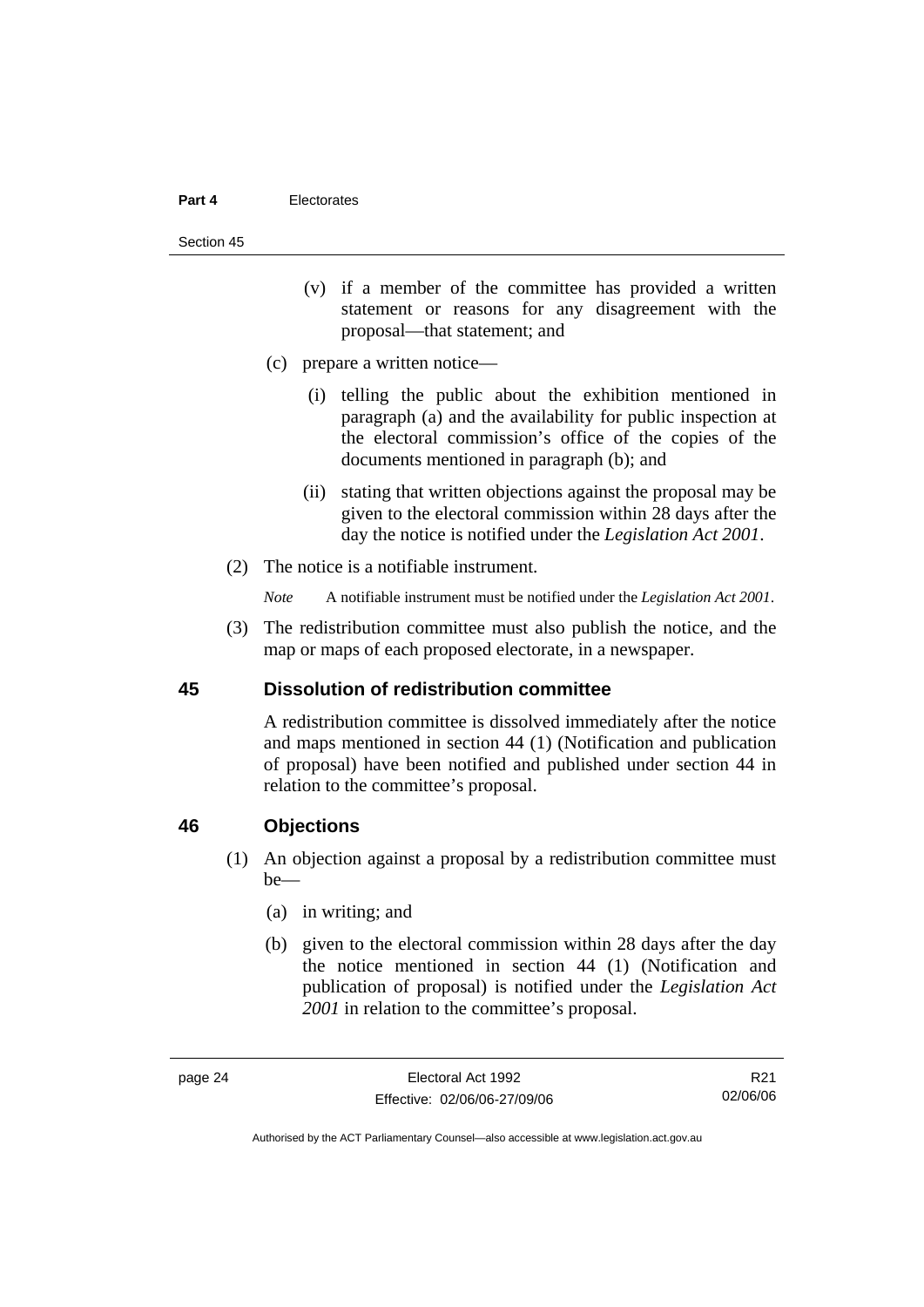#### **Part 4** Electorates

#### Section 45

- (v) if a member of the committee has provided a written statement or reasons for any disagreement with the proposal—that statement; and
- (c) prepare a written notice—
	- (i) telling the public about the exhibition mentioned in paragraph (a) and the availability for public inspection at the electoral commission's office of the copies of the documents mentioned in paragraph (b); and
	- (ii) stating that written objections against the proposal may be given to the electoral commission within 28 days after the day the notice is notified under the *Legislation Act 2001*.
- (2) The notice is a notifiable instrument.
	- *Note* A notifiable instrument must be notified under the *Legislation Act 2001*.
- (3) The redistribution committee must also publish the notice, and the map or maps of each proposed electorate, in a newspaper.

#### **45 Dissolution of redistribution committee**

A redistribution committee is dissolved immediately after the notice and maps mentioned in section 44 (1) (Notification and publication of proposal) have been notified and published under section 44 in relation to the committee's proposal.

#### **46 Objections**

- (1) An objection against a proposal by a redistribution committee must be—
	- (a) in writing; and
	- (b) given to the electoral commission within 28 days after the day the notice mentioned in section 44 (1) (Notification and publication of proposal) is notified under the *Legislation Act 2001* in relation to the committee's proposal.

R21 02/06/06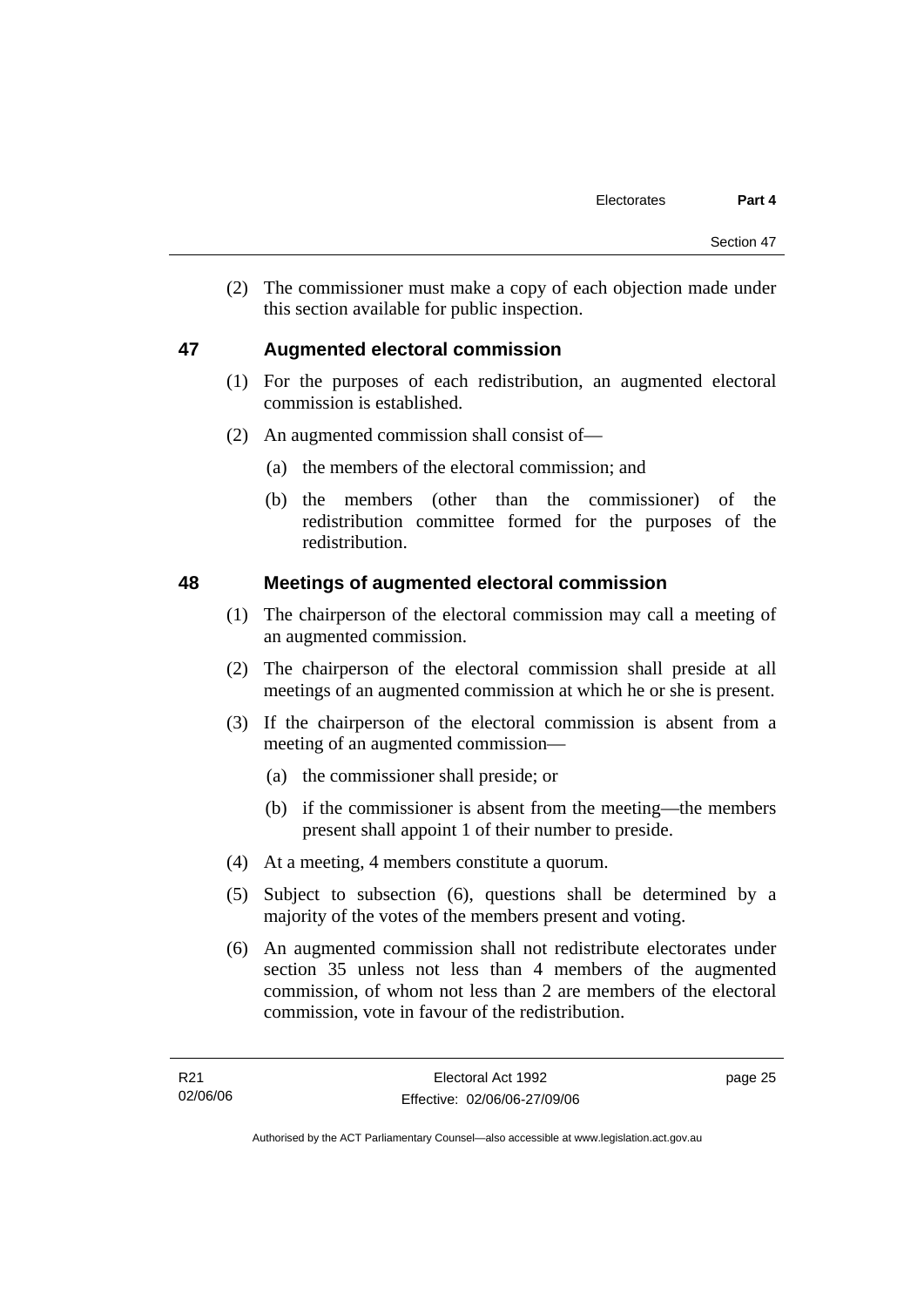(2) The commissioner must make a copy of each objection made under this section available for public inspection.

# **47 Augmented electoral commission**

- (1) For the purposes of each redistribution, an augmented electoral commission is established.
- (2) An augmented commission shall consist of—
	- (a) the members of the electoral commission; and
	- (b) the members (other than the commissioner) of the redistribution committee formed for the purposes of the redistribution.

# **48 Meetings of augmented electoral commission**

- (1) The chairperson of the electoral commission may call a meeting of an augmented commission.
- (2) The chairperson of the electoral commission shall preside at all meetings of an augmented commission at which he or she is present.
- (3) If the chairperson of the electoral commission is absent from a meeting of an augmented commission—
	- (a) the commissioner shall preside; or
	- (b) if the commissioner is absent from the meeting—the members present shall appoint 1 of their number to preside.
- (4) At a meeting, 4 members constitute a quorum.
- (5) Subject to subsection (6), questions shall be determined by a majority of the votes of the members present and voting.
- (6) An augmented commission shall not redistribute electorates under section 35 unless not less than 4 members of the augmented commission, of whom not less than 2 are members of the electoral commission, vote in favour of the redistribution.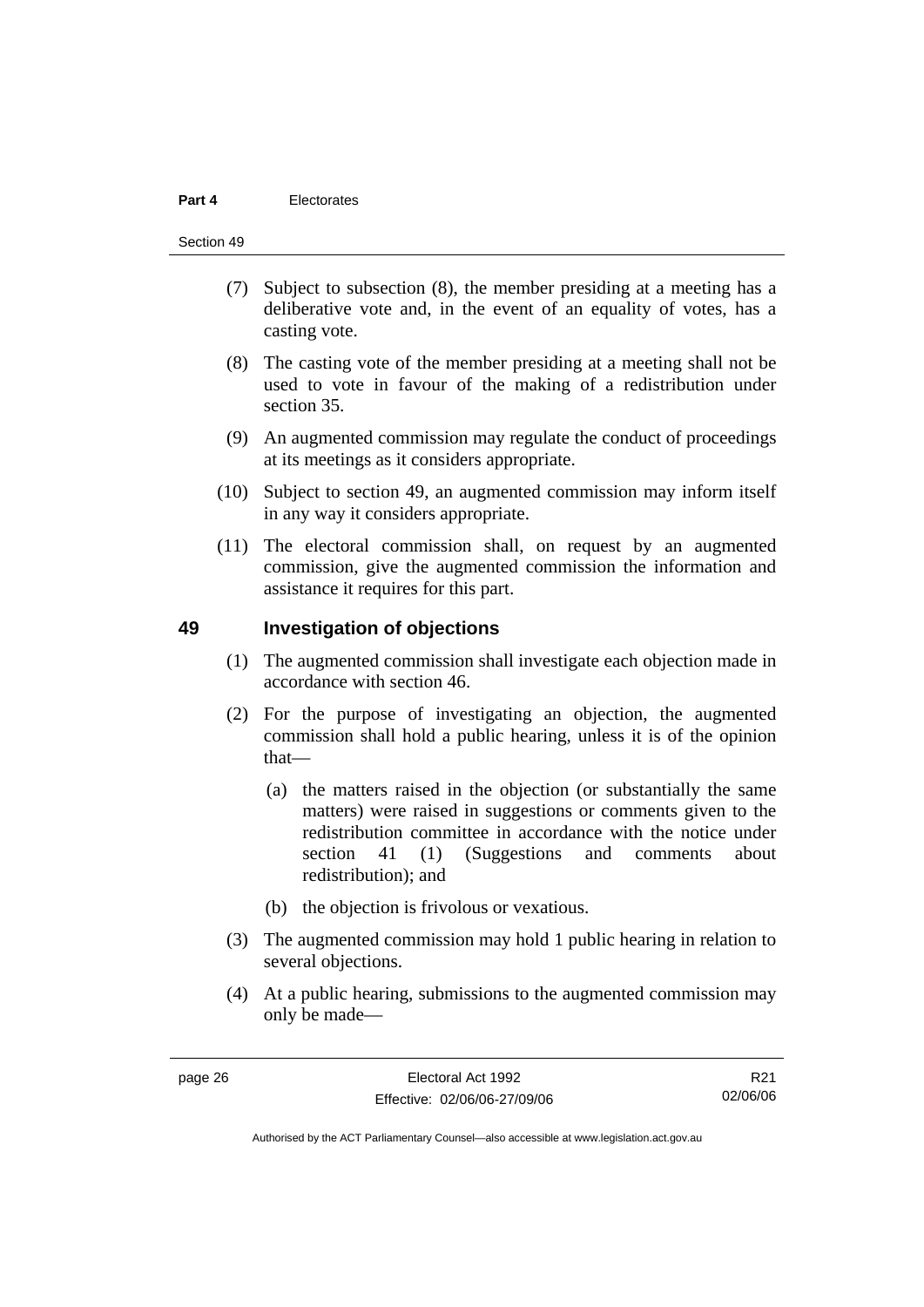#### **Part 4** Electorates

#### Section 49

- (7) Subject to subsection (8), the member presiding at a meeting has a deliberative vote and, in the event of an equality of votes, has a casting vote.
- (8) The casting vote of the member presiding at a meeting shall not be used to vote in favour of the making of a redistribution under section 35.
- (9) An augmented commission may regulate the conduct of proceedings at its meetings as it considers appropriate.
- (10) Subject to section 49, an augmented commission may inform itself in any way it considers appropriate.
- (11) The electoral commission shall, on request by an augmented commission, give the augmented commission the information and assistance it requires for this part.

#### **49 Investigation of objections**

- (1) The augmented commission shall investigate each objection made in accordance with section 46.
- (2) For the purpose of investigating an objection, the augmented commission shall hold a public hearing, unless it is of the opinion that—
	- (a) the matters raised in the objection (or substantially the same matters) were raised in suggestions or comments given to the redistribution committee in accordance with the notice under section 41 (1) (Suggestions and comments about redistribution); and
	- (b) the objection is frivolous or vexatious.
- (3) The augmented commission may hold 1 public hearing in relation to several objections.
- (4) At a public hearing, submissions to the augmented commission may only be made—

R21 02/06/06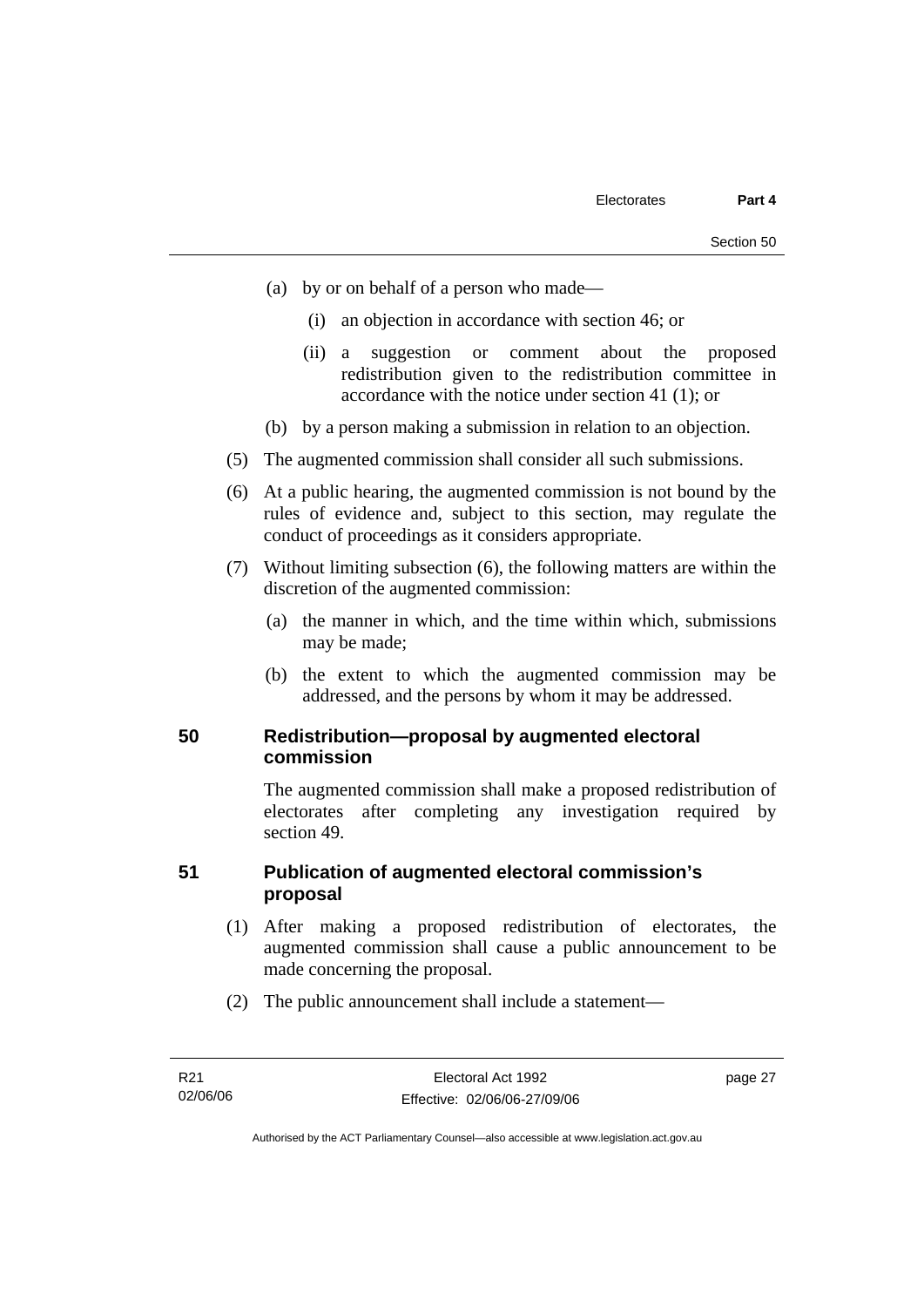- (a) by or on behalf of a person who made—
	- (i) an objection in accordance with section 46; or
	- (ii) a suggestion or comment about the proposed redistribution given to the redistribution committee in accordance with the notice under section 41 (1); or
- (b) by a person making a submission in relation to an objection.
- (5) The augmented commission shall consider all such submissions.
- (6) At a public hearing, the augmented commission is not bound by the rules of evidence and, subject to this section, may regulate the conduct of proceedings as it considers appropriate.
- (7) Without limiting subsection (6), the following matters are within the discretion of the augmented commission:
	- (a) the manner in which, and the time within which, submissions may be made;
	- (b) the extent to which the augmented commission may be addressed, and the persons by whom it may be addressed.

#### **50 Redistribution—proposal by augmented electoral commission**

The augmented commission shall make a proposed redistribution of electorates after completing any investigation required by section 49.

# **51 Publication of augmented electoral commission's proposal**

- (1) After making a proposed redistribution of electorates, the augmented commission shall cause a public announcement to be made concerning the proposal.
- (2) The public announcement shall include a statement—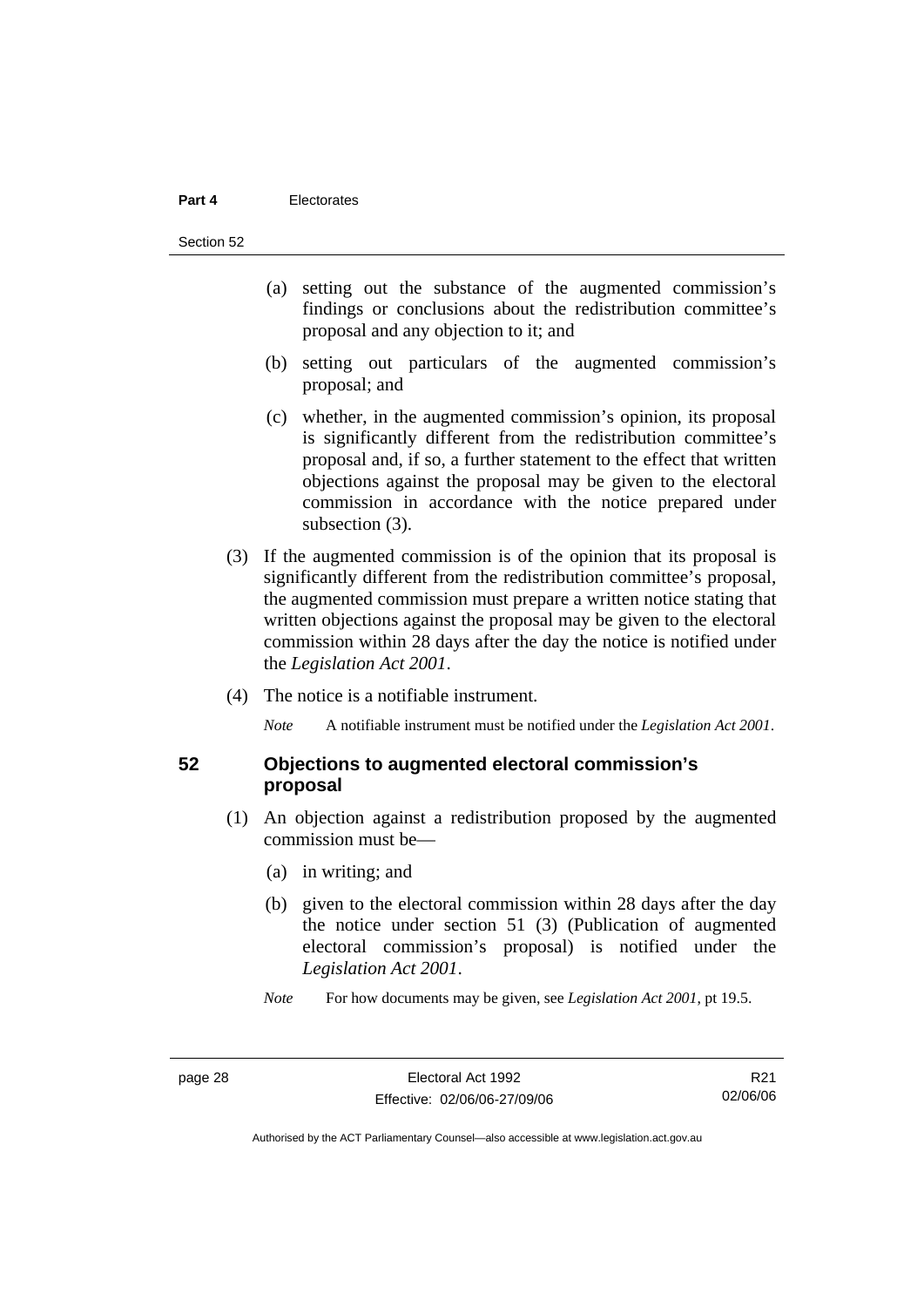#### **Part 4** Electorates

Section 52

- (a) setting out the substance of the augmented commission's findings or conclusions about the redistribution committee's proposal and any objection to it; and
- (b) setting out particulars of the augmented commission's proposal; and
- (c) whether, in the augmented commission's opinion, its proposal is significantly different from the redistribution committee's proposal and, if so, a further statement to the effect that written objections against the proposal may be given to the electoral commission in accordance with the notice prepared under subsection  $(3)$ .
- (3) If the augmented commission is of the opinion that its proposal is significantly different from the redistribution committee's proposal, the augmented commission must prepare a written notice stating that written objections against the proposal may be given to the electoral commission within 28 days after the day the notice is notified under the *Legislation Act 2001*.
- (4) The notice is a notifiable instrument.

*Note* A notifiable instrument must be notified under the *Legislation Act 2001*.

#### **52 Objections to augmented electoral commission's proposal**

- (1) An objection against a redistribution proposed by the augmented commission must be—
	- (a) in writing; and
	- (b) given to the electoral commission within 28 days after the day the notice under section 51 (3) (Publication of augmented electoral commission's proposal) is notified under the *Legislation Act 2001*.

*Note* For how documents may be given, see *Legislation Act 2001*, pt 19.5.

R21 02/06/06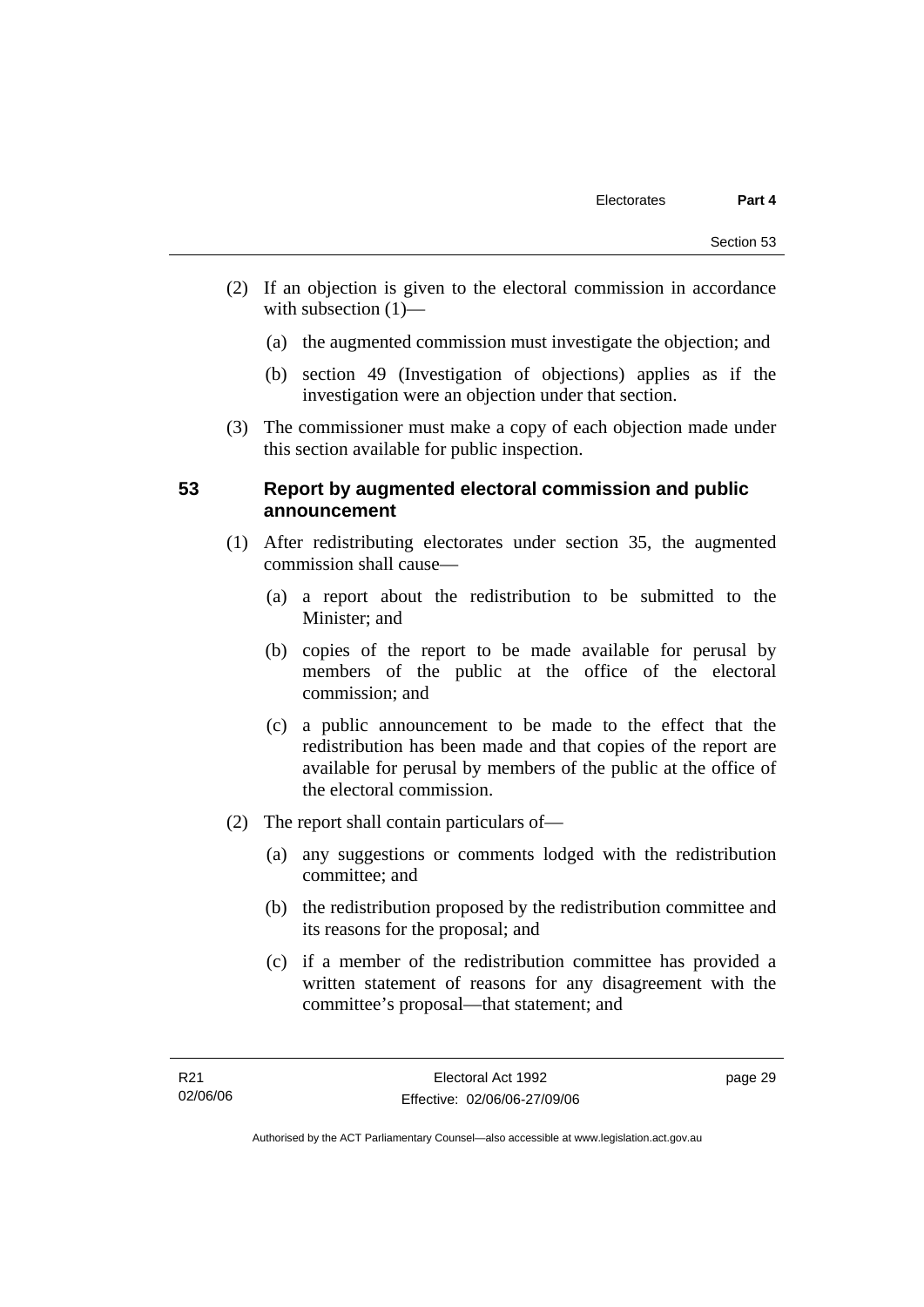- (2) If an objection is given to the electoral commission in accordance with subsection  $(1)$ —
	- (a) the augmented commission must investigate the objection; and
	- (b) section 49 (Investigation of objections) applies as if the investigation were an objection under that section.
- (3) The commissioner must make a copy of each objection made under this section available for public inspection.

#### **53 Report by augmented electoral commission and public announcement**

- (1) After redistributing electorates under section 35, the augmented commission shall cause—
	- (a) a report about the redistribution to be submitted to the Minister; and
	- (b) copies of the report to be made available for perusal by members of the public at the office of the electoral commission; and
	- (c) a public announcement to be made to the effect that the redistribution has been made and that copies of the report are available for perusal by members of the public at the office of the electoral commission.
- (2) The report shall contain particulars of—
	- (a) any suggestions or comments lodged with the redistribution committee; and
	- (b) the redistribution proposed by the redistribution committee and its reasons for the proposal; and
	- (c) if a member of the redistribution committee has provided a written statement of reasons for any disagreement with the committee's proposal—that statement; and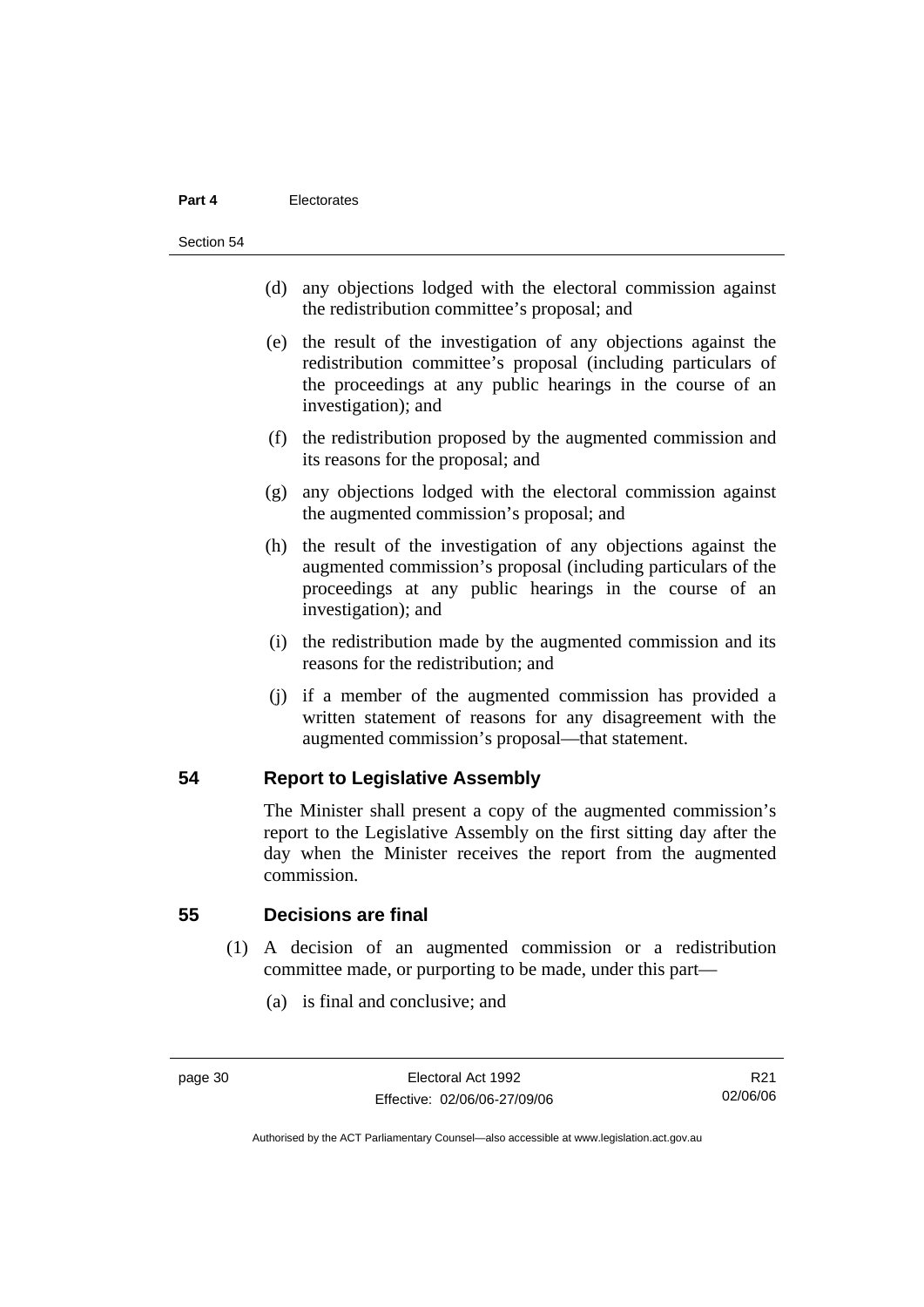#### **Part 4** Electorates

#### Section 54

- (d) any objections lodged with the electoral commission against the redistribution committee's proposal; and
- (e) the result of the investigation of any objections against the redistribution committee's proposal (including particulars of the proceedings at any public hearings in the course of an investigation); and
- (f) the redistribution proposed by the augmented commission and its reasons for the proposal; and
- (g) any objections lodged with the electoral commission against the augmented commission's proposal; and
- (h) the result of the investigation of any objections against the augmented commission's proposal (including particulars of the proceedings at any public hearings in the course of an investigation); and
- (i) the redistribution made by the augmented commission and its reasons for the redistribution; and
- (j) if a member of the augmented commission has provided a written statement of reasons for any disagreement with the augmented commission's proposal—that statement.

#### **54 Report to Legislative Assembly**

The Minister shall present a copy of the augmented commission's report to the Legislative Assembly on the first sitting day after the day when the Minister receives the report from the augmented commission.

#### **55 Decisions are final**

- (1) A decision of an augmented commission or a redistribution committee made, or purporting to be made, under this part—
	- (a) is final and conclusive; and

R21 02/06/06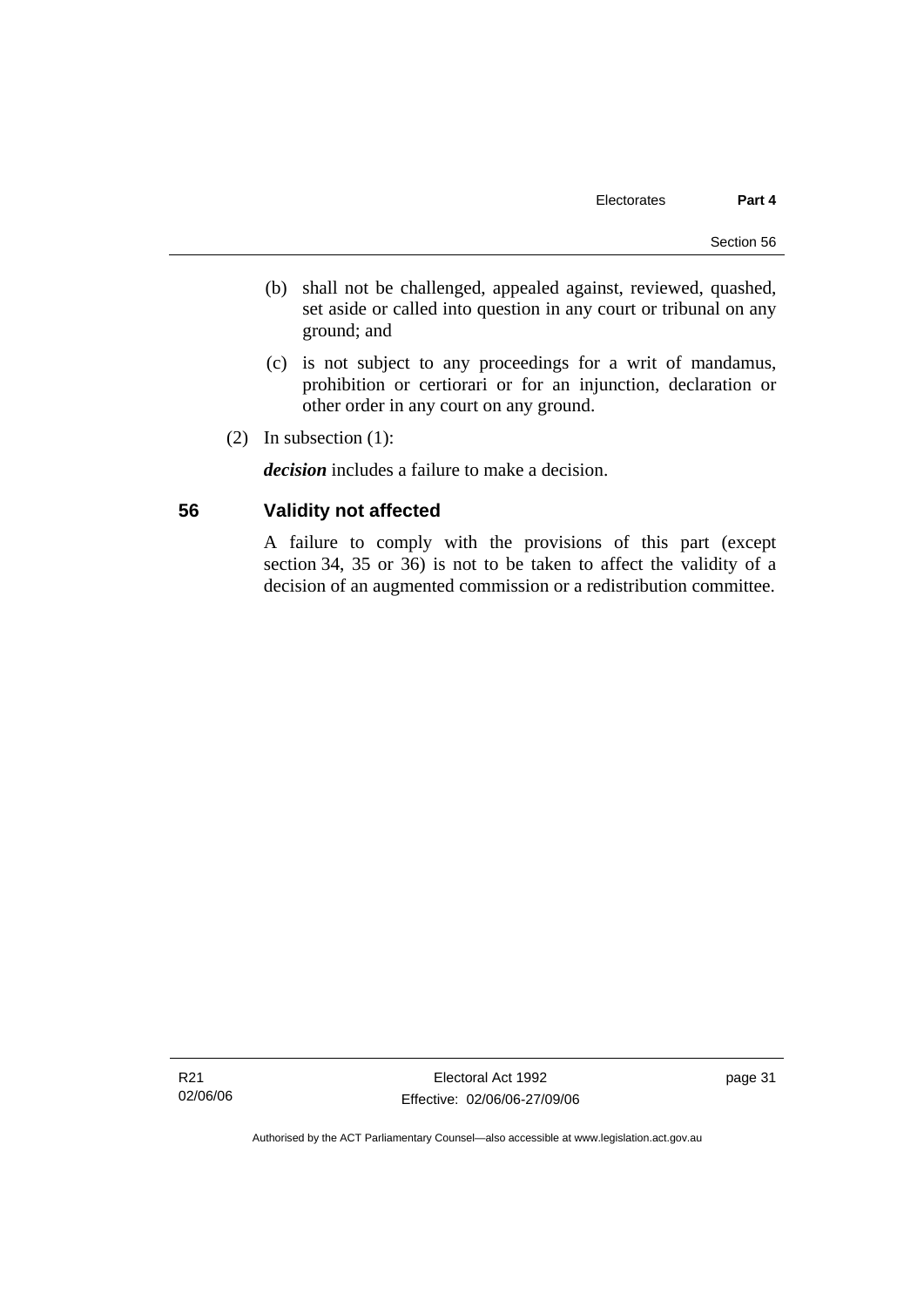- (b) shall not be challenged, appealed against, reviewed, quashed, set aside or called into question in any court or tribunal on any ground; and
- (c) is not subject to any proceedings for a writ of mandamus, prohibition or certiorari or for an injunction, declaration or other order in any court on any ground.
- (2) In subsection (1):

*decision* includes a failure to make a decision.

# **56 Validity not affected**

A failure to comply with the provisions of this part (except section 34, 35 or 36) is not to be taken to affect the validity of a decision of an augmented commission or a redistribution committee.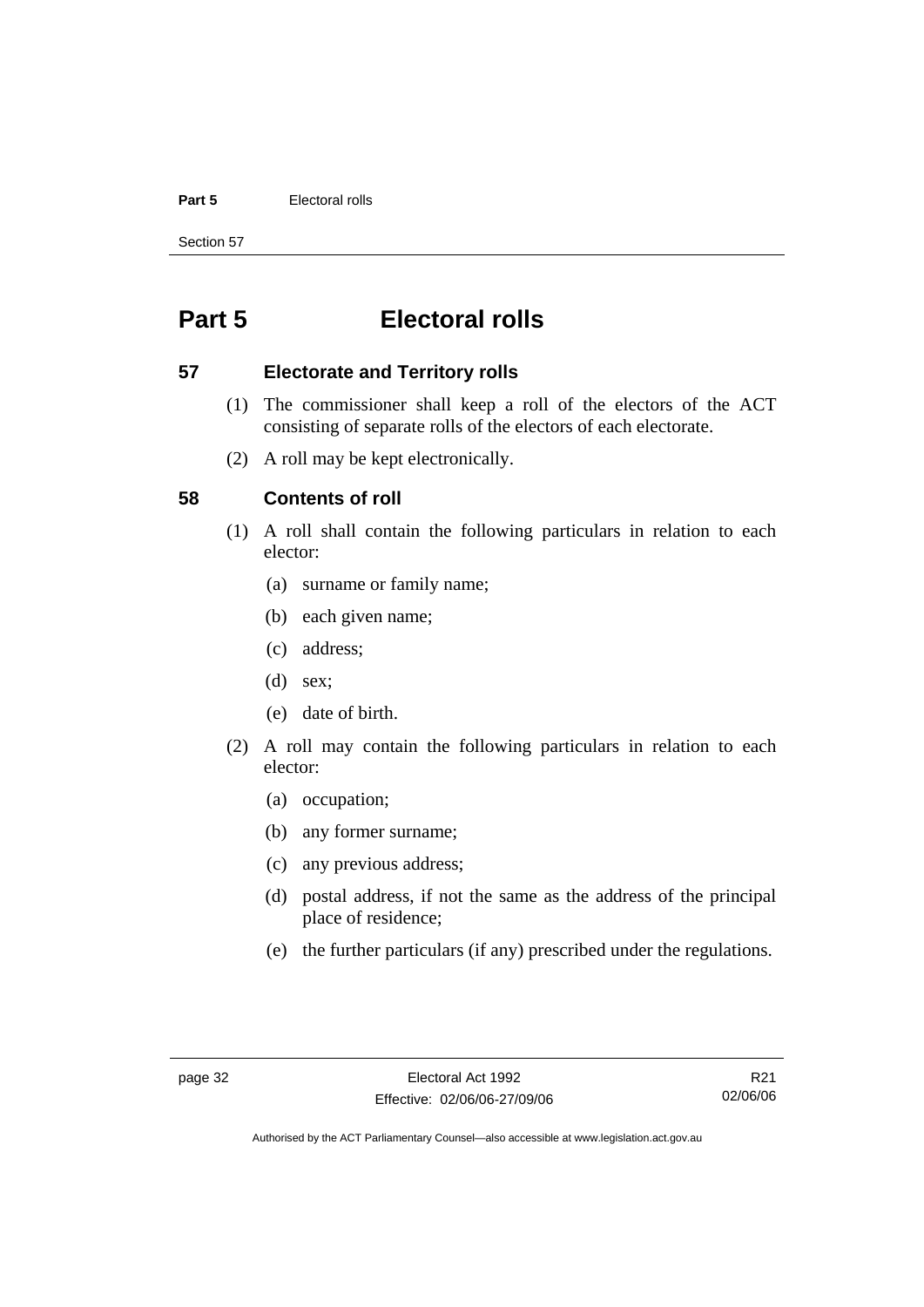#### **Part 5 Electoral rolls**

Section 57

# **Part 5 Electoral rolls**

#### **57 Electorate and Territory rolls**

- (1) The commissioner shall keep a roll of the electors of the ACT consisting of separate rolls of the electors of each electorate.
- (2) A roll may be kept electronically.

# **58 Contents of roll**

- (1) A roll shall contain the following particulars in relation to each elector:
	- (a) surname or family name;
	- (b) each given name;
	- (c) address;
	- (d) sex;
	- (e) date of birth.
- (2) A roll may contain the following particulars in relation to each elector:
	- (a) occupation;
	- (b) any former surname;
	- (c) any previous address;
	- (d) postal address, if not the same as the address of the principal place of residence;
	- (e) the further particulars (if any) prescribed under the regulations.

R21 02/06/06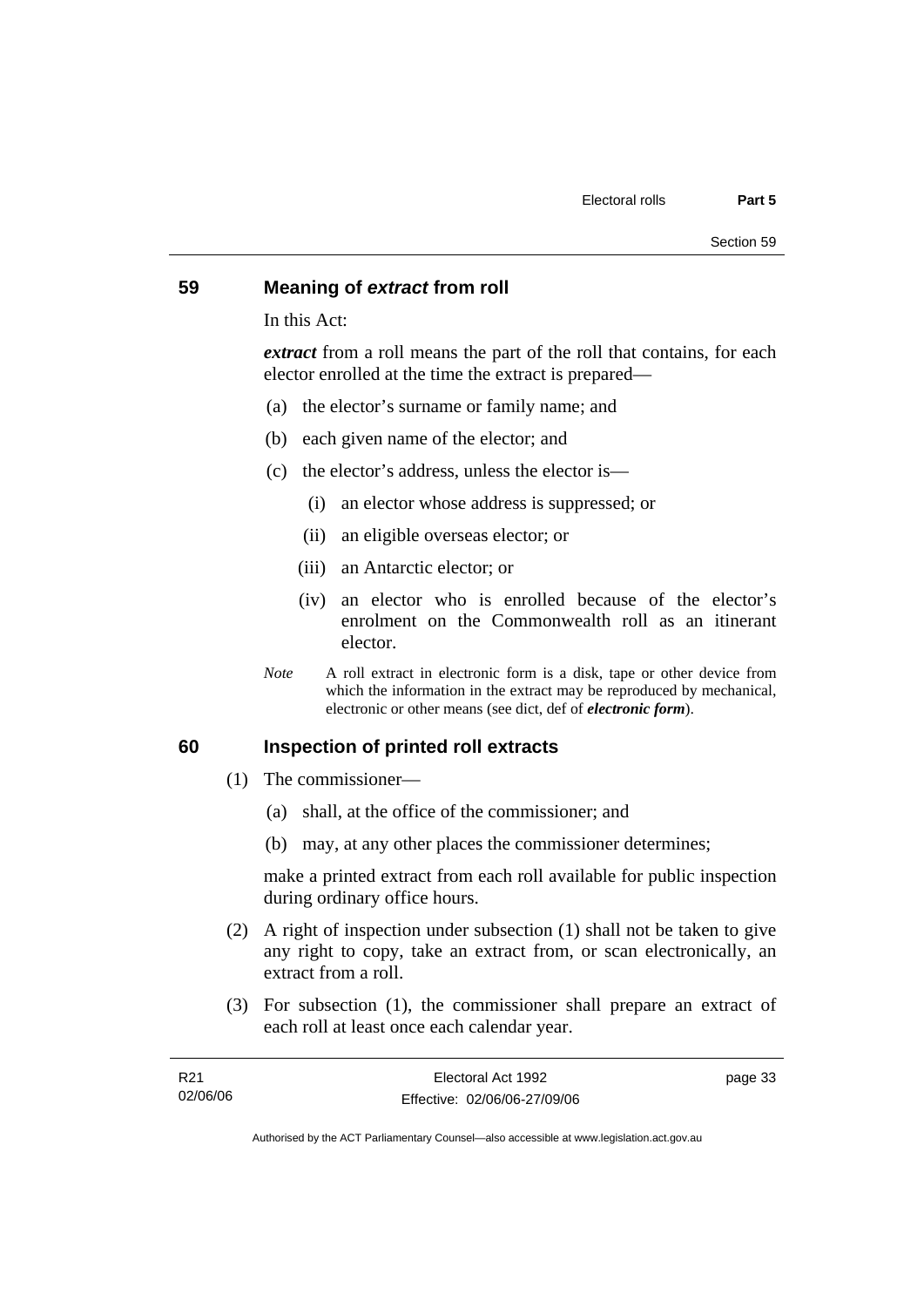#### **59 Meaning of** *extract* **from roll**

In this Act:

*extract* from a roll means the part of the roll that contains, for each elector enrolled at the time the extract is prepared—

- (a) the elector's surname or family name; and
- (b) each given name of the elector; and
- (c) the elector's address, unless the elector is—
	- (i) an elector whose address is suppressed; or
	- (ii) an eligible overseas elector; or
	- (iii) an Antarctic elector; or
	- (iv) an elector who is enrolled because of the elector's enrolment on the Commonwealth roll as an itinerant elector.
- *Note* A roll extract in electronic form is a disk, tape or other device from which the information in the extract may be reproduced by mechanical, electronic or other means (see dict, def of *electronic form*).

#### **60 Inspection of printed roll extracts**

- (1) The commissioner—
	- (a) shall, at the office of the commissioner; and
	- (b) may, at any other places the commissioner determines;

make a printed extract from each roll available for public inspection during ordinary office hours.

- (2) A right of inspection under subsection (1) shall not be taken to give any right to copy, take an extract from, or scan electronically, an extract from a roll.
- (3) For subsection (1), the commissioner shall prepare an extract of each roll at least once each calendar year.

| R21      | Electoral Act 1992           | page 33 |
|----------|------------------------------|---------|
| 02/06/06 | Effective: 02/06/06-27/09/06 |         |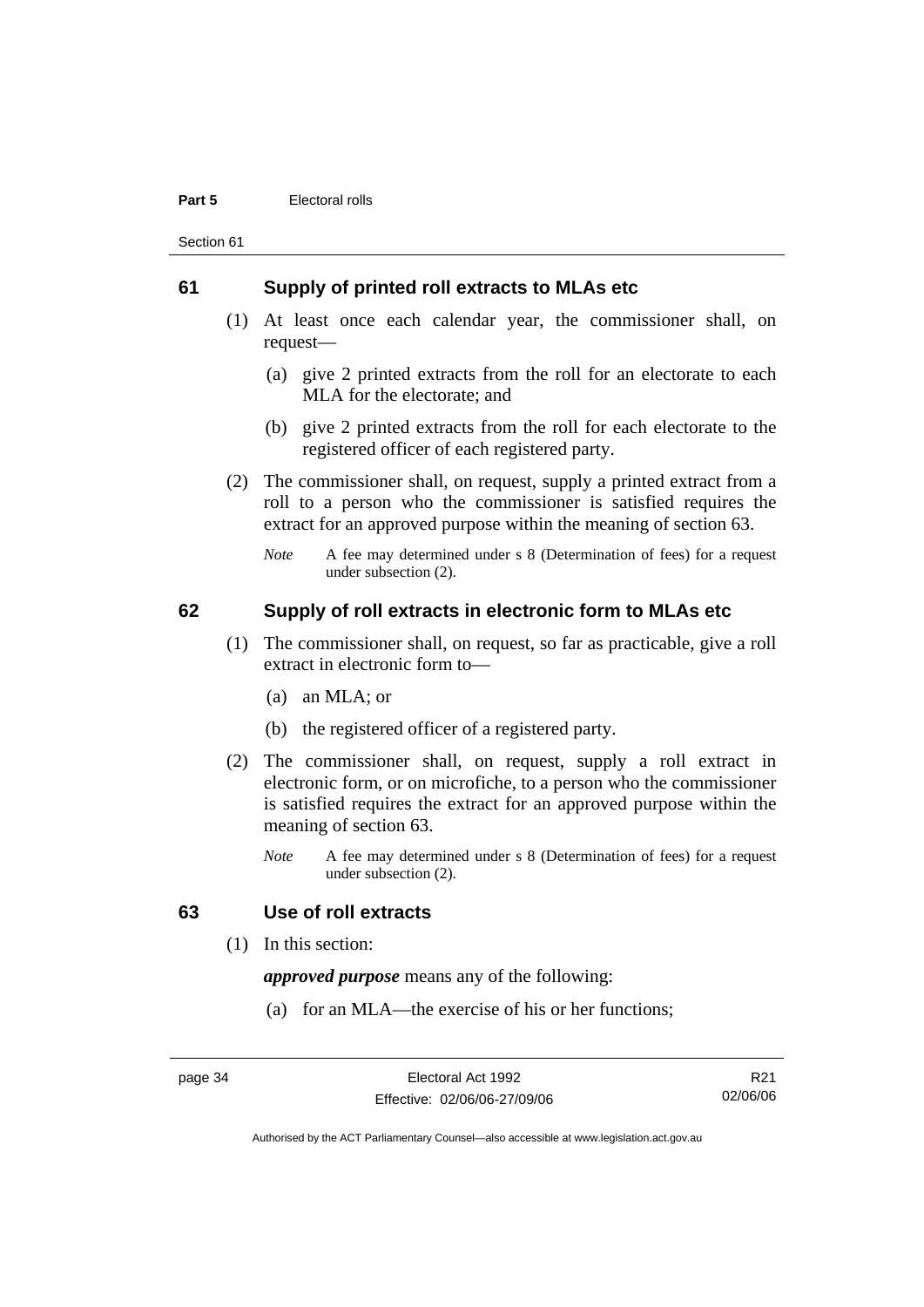#### **Part 5 Electoral rolls**

Section 61

#### **61 Supply of printed roll extracts to MLAs etc**

- (1) At least once each calendar year, the commissioner shall, on request—
	- (a) give 2 printed extracts from the roll for an electorate to each MLA for the electorate; and
	- (b) give 2 printed extracts from the roll for each electorate to the registered officer of each registered party.
- (2) The commissioner shall, on request, supply a printed extract from a roll to a person who the commissioner is satisfied requires the extract for an approved purpose within the meaning of section 63.
	- *Note* A fee may determined under s 8 (Determination of fees) for a request under subsection (2).

# **62 Supply of roll extracts in electronic form to MLAs etc**

- (1) The commissioner shall, on request, so far as practicable, give a roll extract in electronic form to—
	- (a) an MLA; or
	- (b) the registered officer of a registered party.
- (2) The commissioner shall, on request, supply a roll extract in electronic form, or on microfiche, to a person who the commissioner is satisfied requires the extract for an approved purpose within the meaning of section 63.
	- *Note* A fee may determined under s 8 (Determination of fees) for a request under subsection (2).

#### **63 Use of roll extracts**

(1) In this section:

*approved purpose* means any of the following:

(a) for an MLA—the exercise of his or her functions;

page 34 Electoral Act 1992 Effective: 02/06/06-27/09/06

R21 02/06/06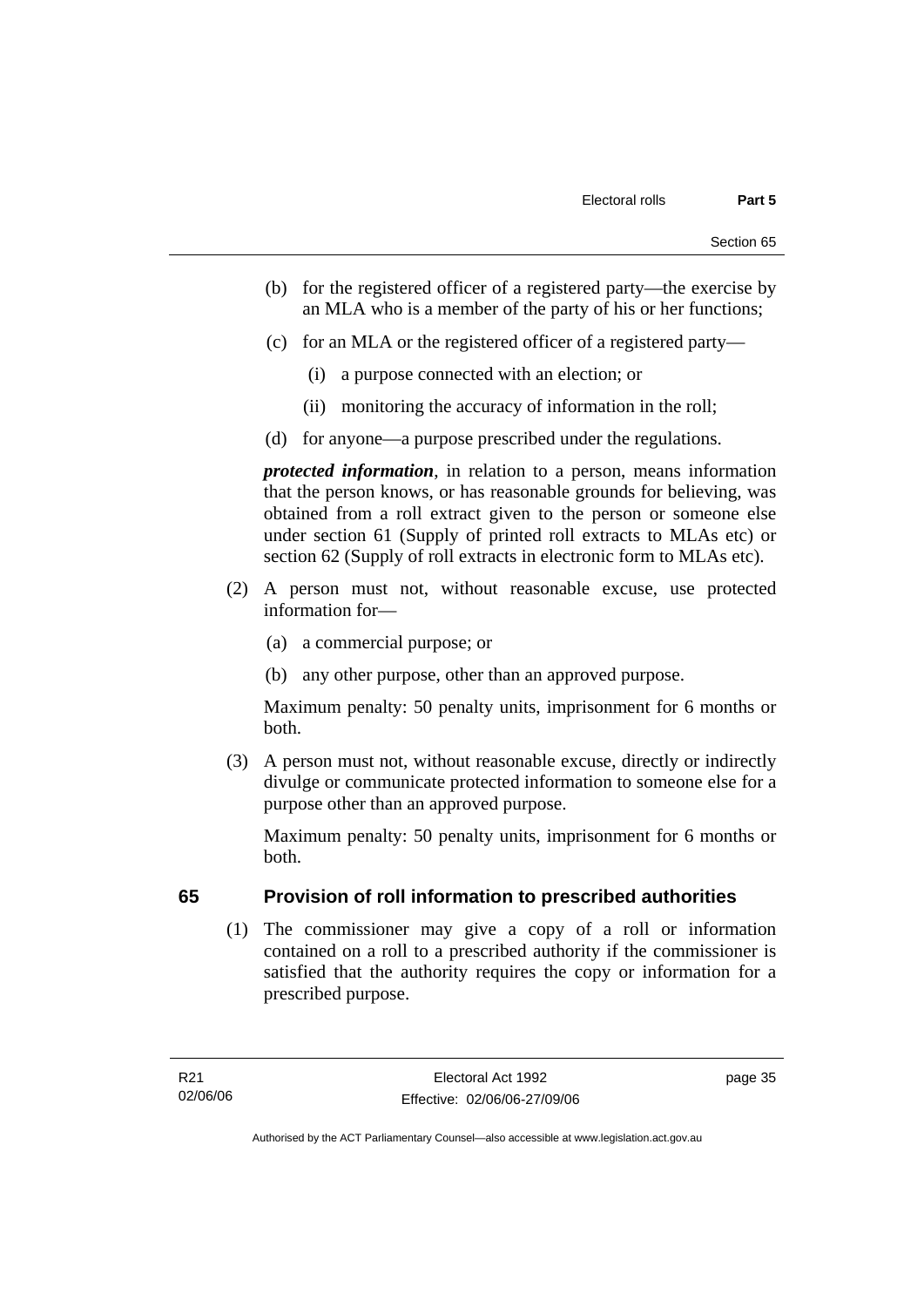- (b) for the registered officer of a registered party—the exercise by an MLA who is a member of the party of his or her functions;
- (c) for an MLA or the registered officer of a registered party—
	- (i) a purpose connected with an election; or
	- (ii) monitoring the accuracy of information in the roll;
- (d) for anyone—a purpose prescribed under the regulations.

*protected information*, in relation to a person, means information that the person knows, or has reasonable grounds for believing, was obtained from a roll extract given to the person or someone else under section 61 (Supply of printed roll extracts to MLAs etc) or section 62 (Supply of roll extracts in electronic form to MLAs etc).

- (2) A person must not, without reasonable excuse, use protected information for—
	- (a) a commercial purpose; or
	- (b) any other purpose, other than an approved purpose.

Maximum penalty: 50 penalty units, imprisonment for 6 months or both.

 (3) A person must not, without reasonable excuse, directly or indirectly divulge or communicate protected information to someone else for a purpose other than an approved purpose.

Maximum penalty: 50 penalty units, imprisonment for 6 months or both.

# **65 Provision of roll information to prescribed authorities**

 (1) The commissioner may give a copy of a roll or information contained on a roll to a prescribed authority if the commissioner is satisfied that the authority requires the copy or information for a prescribed purpose.

page 35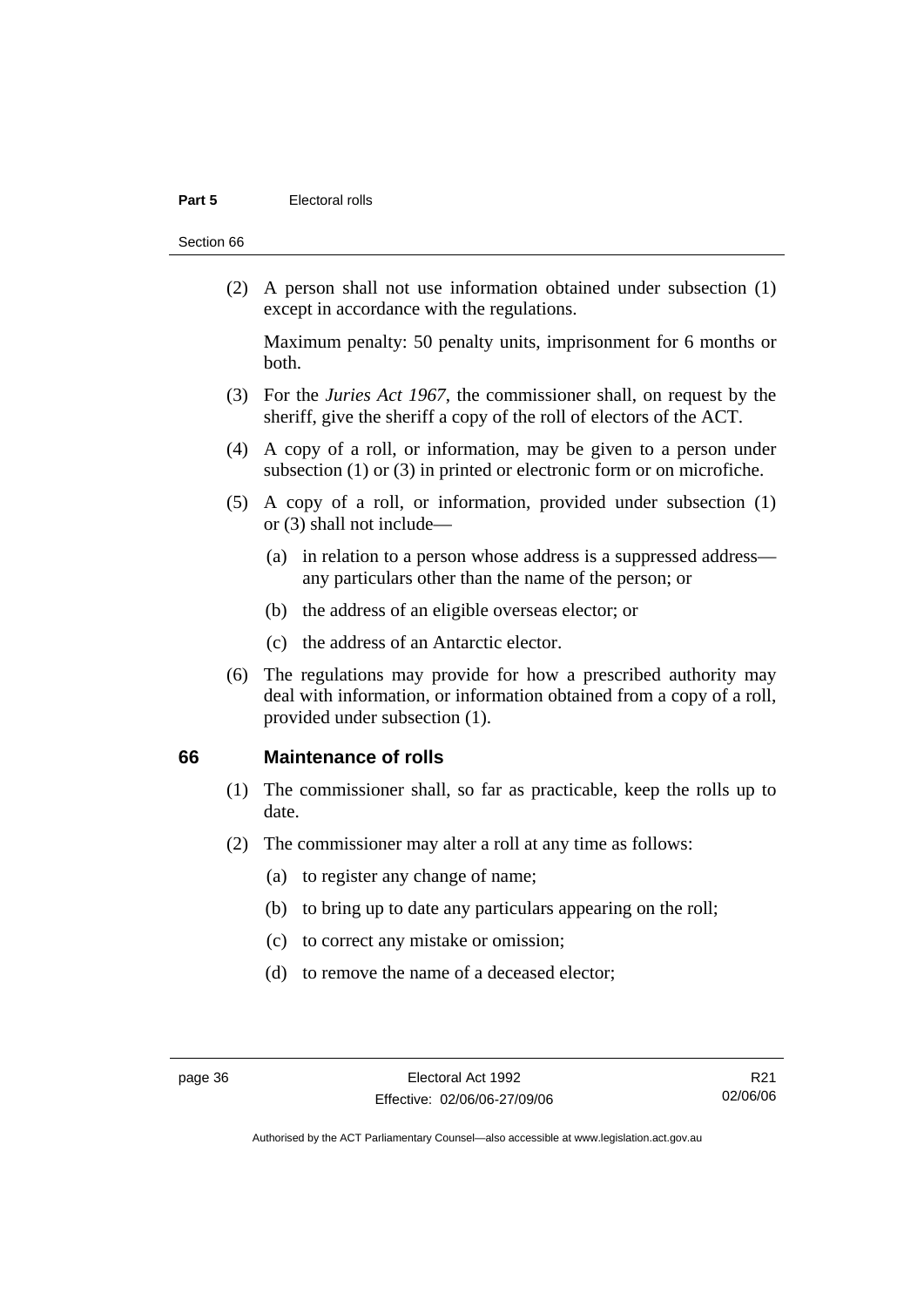#### **Part 5 Electoral rolls**

Section 66

 (2) A person shall not use information obtained under subsection (1) except in accordance with the regulations.

Maximum penalty: 50 penalty units, imprisonment for 6 months or both.

- (3) For the *Juries Act 1967*, the commissioner shall, on request by the sheriff, give the sheriff a copy of the roll of electors of the ACT.
- (4) A copy of a roll, or information, may be given to a person under subsection (1) or (3) in printed or electronic form or on microfiche.
- (5) A copy of a roll, or information, provided under subsection (1) or (3) shall not include—
	- (a) in relation to a person whose address is a suppressed address any particulars other than the name of the person; or
	- (b) the address of an eligible overseas elector; or
	- (c) the address of an Antarctic elector.
- (6) The regulations may provide for how a prescribed authority may deal with information, or information obtained from a copy of a roll, provided under subsection (1).

#### **66 Maintenance of rolls**

- (1) The commissioner shall, so far as practicable, keep the rolls up to date.
- (2) The commissioner may alter a roll at any time as follows:
	- (a) to register any change of name;
	- (b) to bring up to date any particulars appearing on the roll;
	- (c) to correct any mistake or omission;
	- (d) to remove the name of a deceased elector;

R21 02/06/06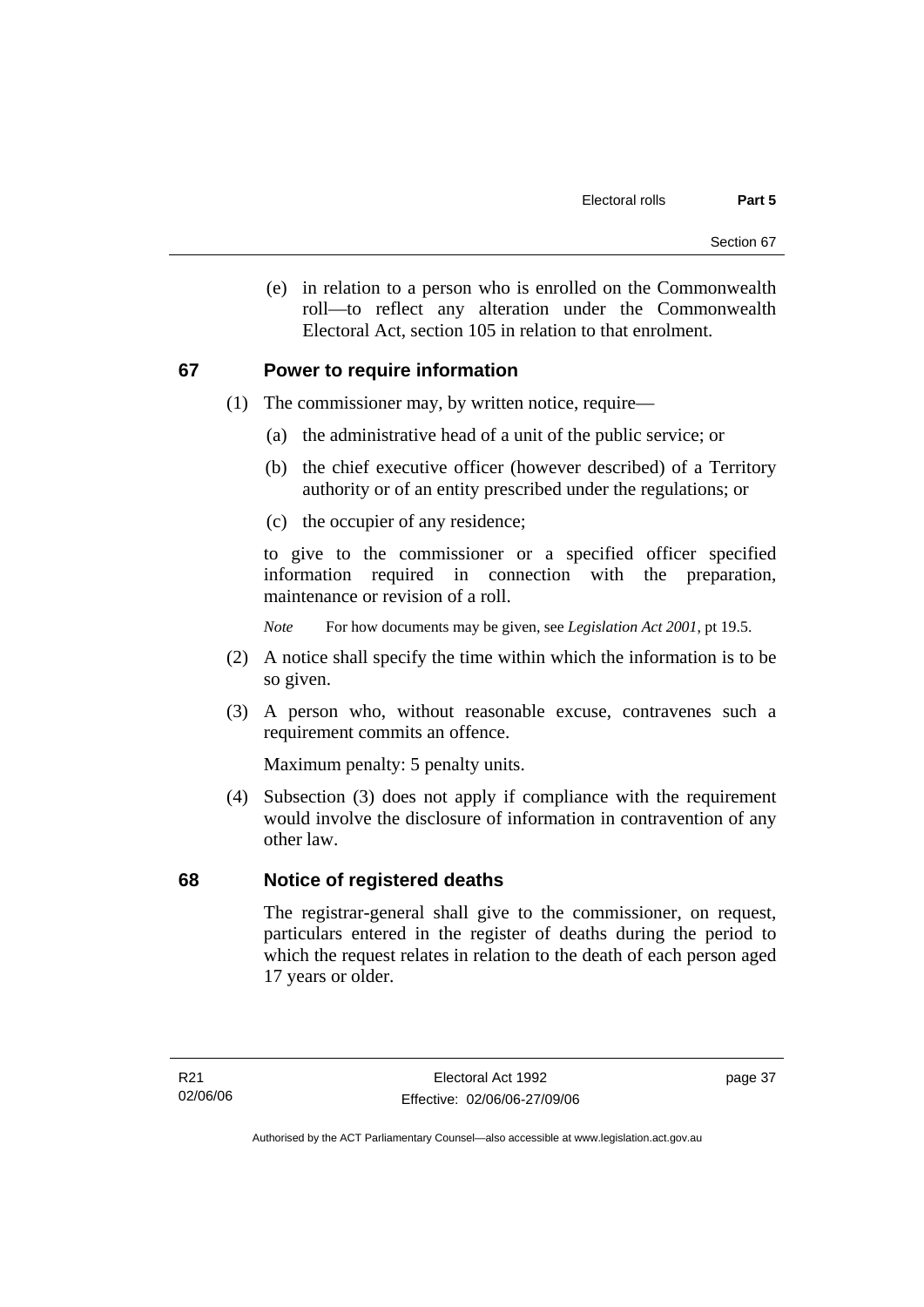(e) in relation to a person who is enrolled on the Commonwealth roll—to reflect any alteration under the Commonwealth Electoral Act, section 105 in relation to that enrolment.

# **67 Power to require information**

- (1) The commissioner may, by written notice, require—
	- (a) the administrative head of a unit of the public service; or
	- (b) the chief executive officer (however described) of a Territory authority or of an entity prescribed under the regulations; or
	- (c) the occupier of any residence;

to give to the commissioner or a specified officer specified information required in connection with the preparation, maintenance or revision of a roll.

*Note* For how documents may be given, see *Legislation Act 2001*, pt 19.5.

- (2) A notice shall specify the time within which the information is to be so given.
- (3) A person who, without reasonable excuse, contravenes such a requirement commits an offence.

Maximum penalty: 5 penalty units.

 (4) Subsection (3) does not apply if compliance with the requirement would involve the disclosure of information in contravention of any other law.

# **68 Notice of registered deaths**

The registrar-general shall give to the commissioner, on request, particulars entered in the register of deaths during the period to which the request relates in relation to the death of each person aged 17 years or older.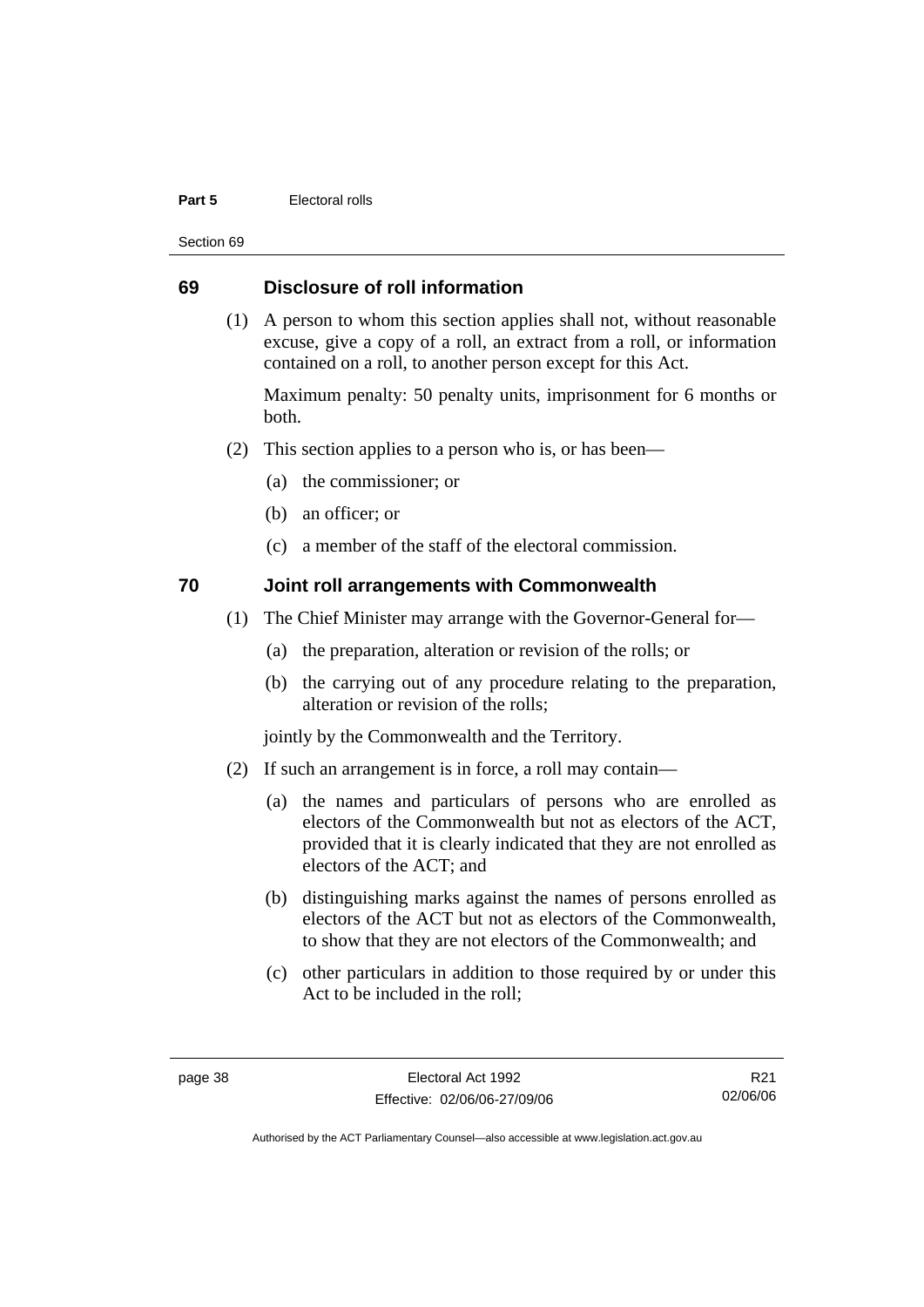#### **Part 5 Electoral rolls**

Section 69

# **69 Disclosure of roll information**

 (1) A person to whom this section applies shall not, without reasonable excuse, give a copy of a roll, an extract from a roll, or information contained on a roll, to another person except for this Act.

Maximum penalty: 50 penalty units, imprisonment for 6 months or both.

- (2) This section applies to a person who is, or has been—
	- (a) the commissioner; or
	- (b) an officer; or
	- (c) a member of the staff of the electoral commission.

# **70 Joint roll arrangements with Commonwealth**

- (1) The Chief Minister may arrange with the Governor-General for—
	- (a) the preparation, alteration or revision of the rolls; or
	- (b) the carrying out of any procedure relating to the preparation, alteration or revision of the rolls;

jointly by the Commonwealth and the Territory.

- (2) If such an arrangement is in force, a roll may contain—
	- (a) the names and particulars of persons who are enrolled as electors of the Commonwealth but not as electors of the ACT, provided that it is clearly indicated that they are not enrolled as electors of the ACT; and
	- (b) distinguishing marks against the names of persons enrolled as electors of the ACT but not as electors of the Commonwealth, to show that they are not electors of the Commonwealth; and
	- (c) other particulars in addition to those required by or under this Act to be included in the roll;

R21 02/06/06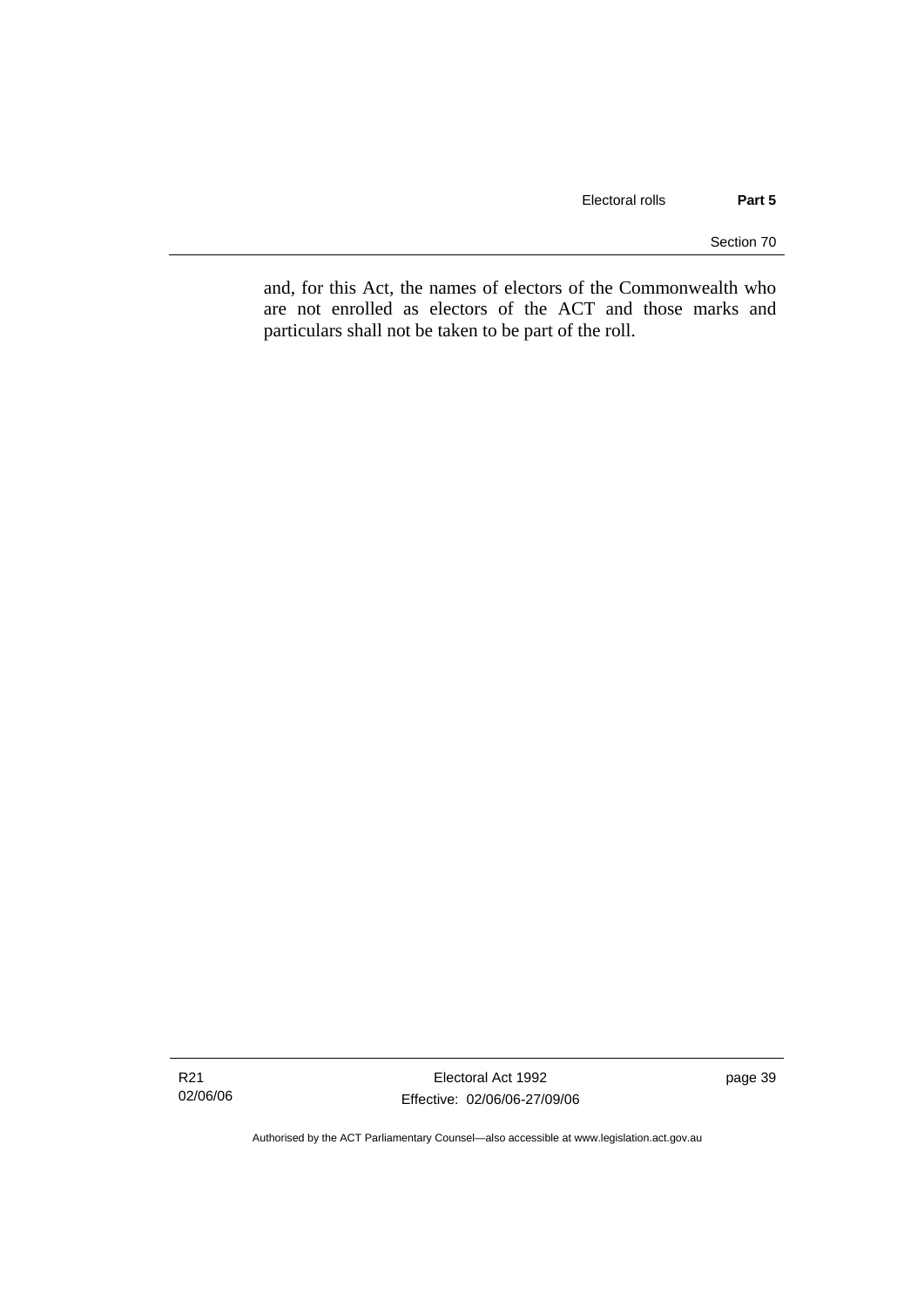Section 70

and, for this Act, the names of electors of the Commonwealth who are not enrolled as electors of the ACT and those marks and particulars shall not be taken to be part of the roll.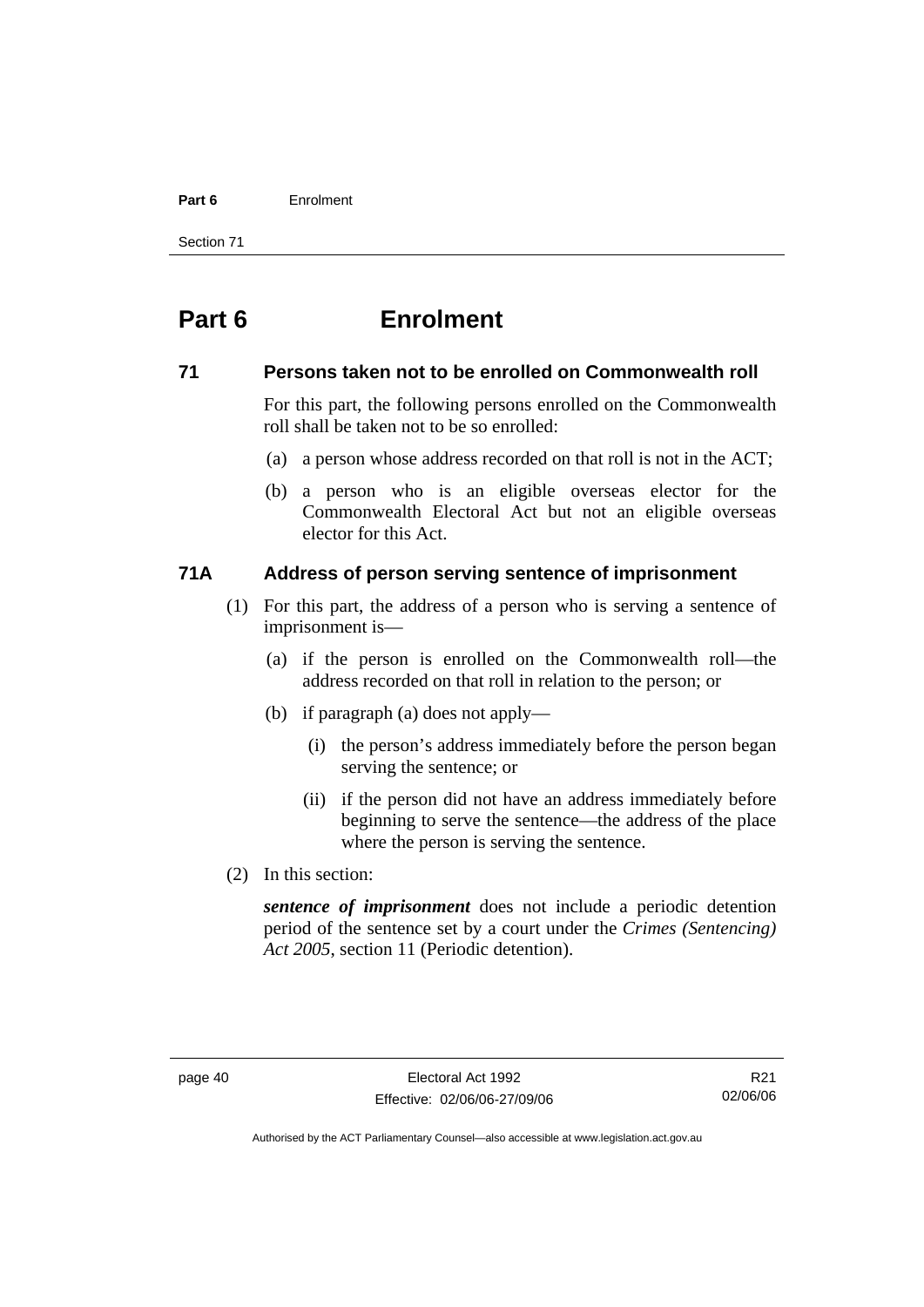#### **Part 6** Enrolment

Section 71

# **Part 6 Enrolment**

#### **71 Persons taken not to be enrolled on Commonwealth roll**

For this part, the following persons enrolled on the Commonwealth roll shall be taken not to be so enrolled:

- (a) a person whose address recorded on that roll is not in the ACT;
- (b) a person who is an eligible overseas elector for the Commonwealth Electoral Act but not an eligible overseas elector for this Act.

# **71A Address of person serving sentence of imprisonment**

- (1) For this part, the address of a person who is serving a sentence of imprisonment is—
	- (a) if the person is enrolled on the Commonwealth roll—the address recorded on that roll in relation to the person; or
	- (b) if paragraph (a) does not apply—
		- (i) the person's address immediately before the person began serving the sentence; or
		- (ii) if the person did not have an address immediately before beginning to serve the sentence—the address of the place where the person is serving the sentence.
- (2) In this section:

*sentence of imprisonment* does not include a periodic detention period of the sentence set by a court under the *Crimes (Sentencing) Act 2005*, section 11 (Periodic detention).

R21 02/06/06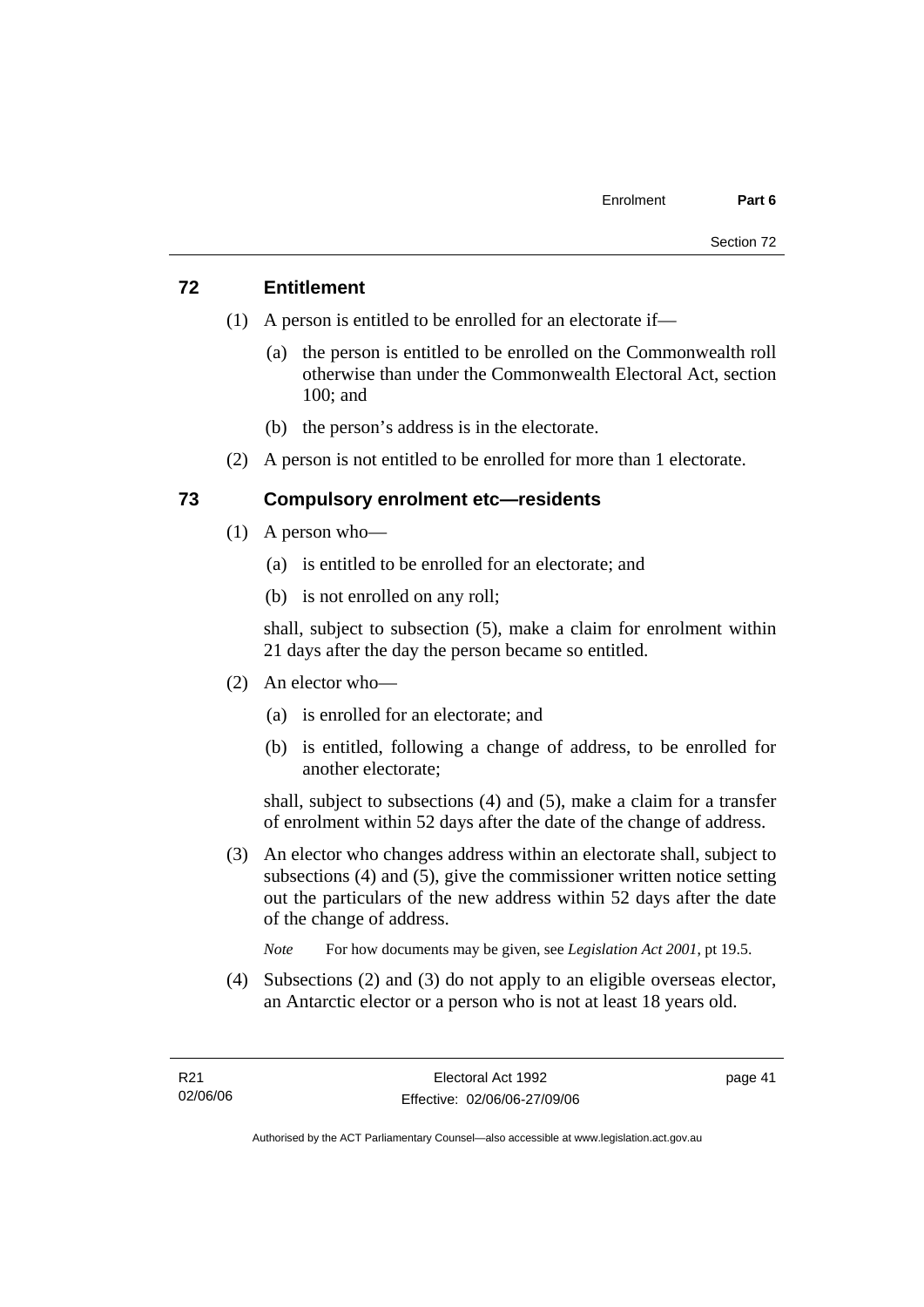# **72 Entitlement**

- (1) A person is entitled to be enrolled for an electorate if—
	- (a) the person is entitled to be enrolled on the Commonwealth roll otherwise than under the Commonwealth Electoral Act, section 100; and
	- (b) the person's address is in the electorate.
- (2) A person is not entitled to be enrolled for more than 1 electorate.

# **73 Compulsory enrolment etc—residents**

- (1) A person who—
	- (a) is entitled to be enrolled for an electorate; and
	- (b) is not enrolled on any roll;

shall, subject to subsection (5), make a claim for enrolment within 21 days after the day the person became so entitled.

- (2) An elector who—
	- (a) is enrolled for an electorate; and
	- (b) is entitled, following a change of address, to be enrolled for another electorate;

shall, subject to subsections (4) and (5), make a claim for a transfer of enrolment within 52 days after the date of the change of address.

- (3) An elector who changes address within an electorate shall, subject to subsections (4) and (5), give the commissioner written notice setting out the particulars of the new address within 52 days after the date of the change of address.
	- *Note* For how documents may be given, see *Legislation Act 2001*, pt 19.5.
- (4) Subsections (2) and (3) do not apply to an eligible overseas elector, an Antarctic elector or a person who is not at least 18 years old.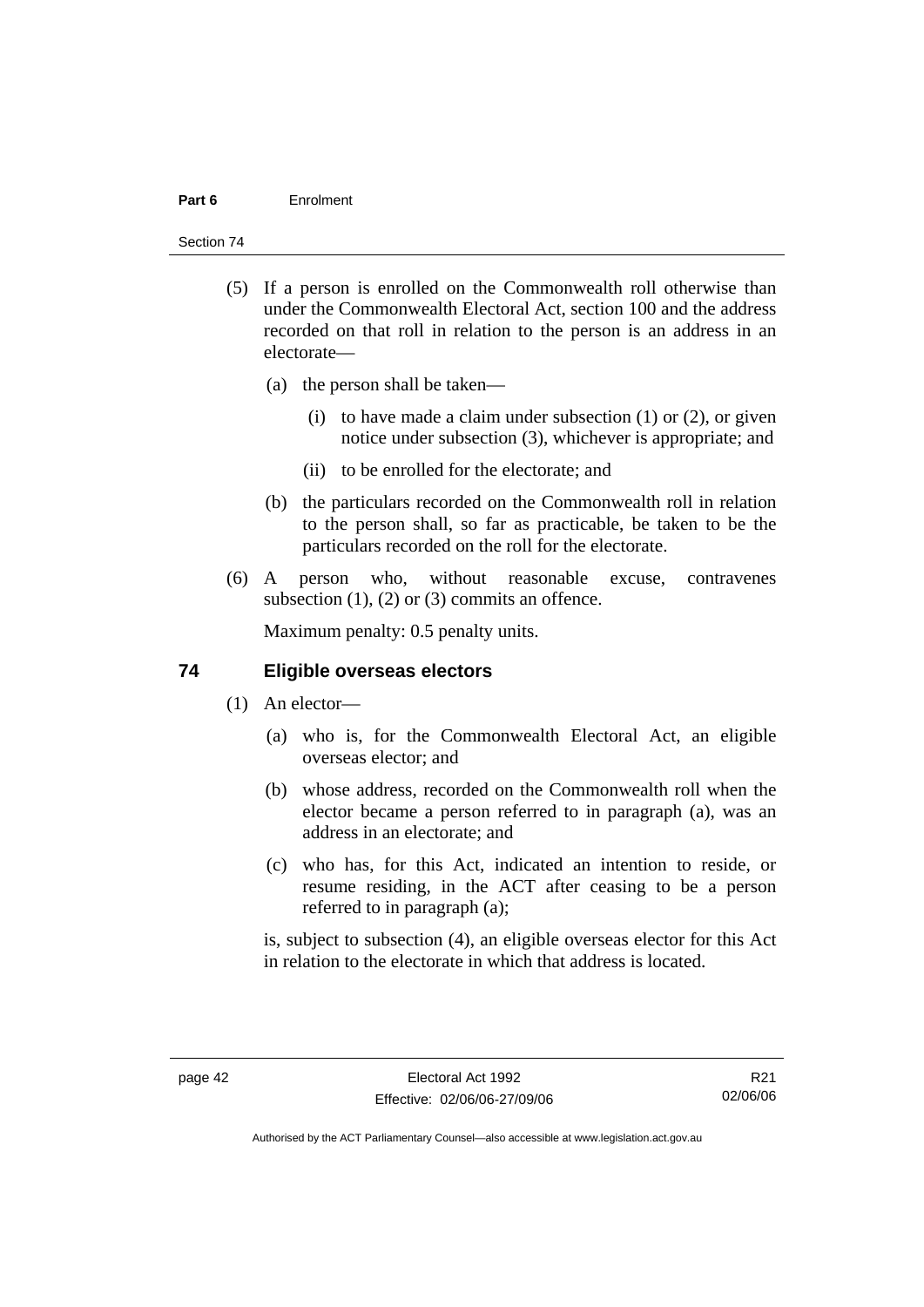#### **Part 6** Enrolment

#### Section 74

- (5) If a person is enrolled on the Commonwealth roll otherwise than under the Commonwealth Electoral Act, section 100 and the address recorded on that roll in relation to the person is an address in an electorate—
	- (a) the person shall be taken—
		- (i) to have made a claim under subsection  $(1)$  or  $(2)$ , or given notice under subsection (3), whichever is appropriate; and
		- (ii) to be enrolled for the electorate; and
	- (b) the particulars recorded on the Commonwealth roll in relation to the person shall, so far as practicable, be taken to be the particulars recorded on the roll for the electorate.
- (6) A person who, without reasonable excuse, contravenes subsection  $(1)$ ,  $(2)$  or  $(3)$  commits an offence.

Maximum penalty: 0.5 penalty units.

#### **74 Eligible overseas electors**

- (1) An elector—
	- (a) who is, for the Commonwealth Electoral Act, an eligible overseas elector; and
	- (b) whose address, recorded on the Commonwealth roll when the elector became a person referred to in paragraph (a), was an address in an electorate; and
	- (c) who has, for this Act, indicated an intention to reside, or resume residing, in the ACT after ceasing to be a person referred to in paragraph (a);

is, subject to subsection (4), an eligible overseas elector for this Act in relation to the electorate in which that address is located.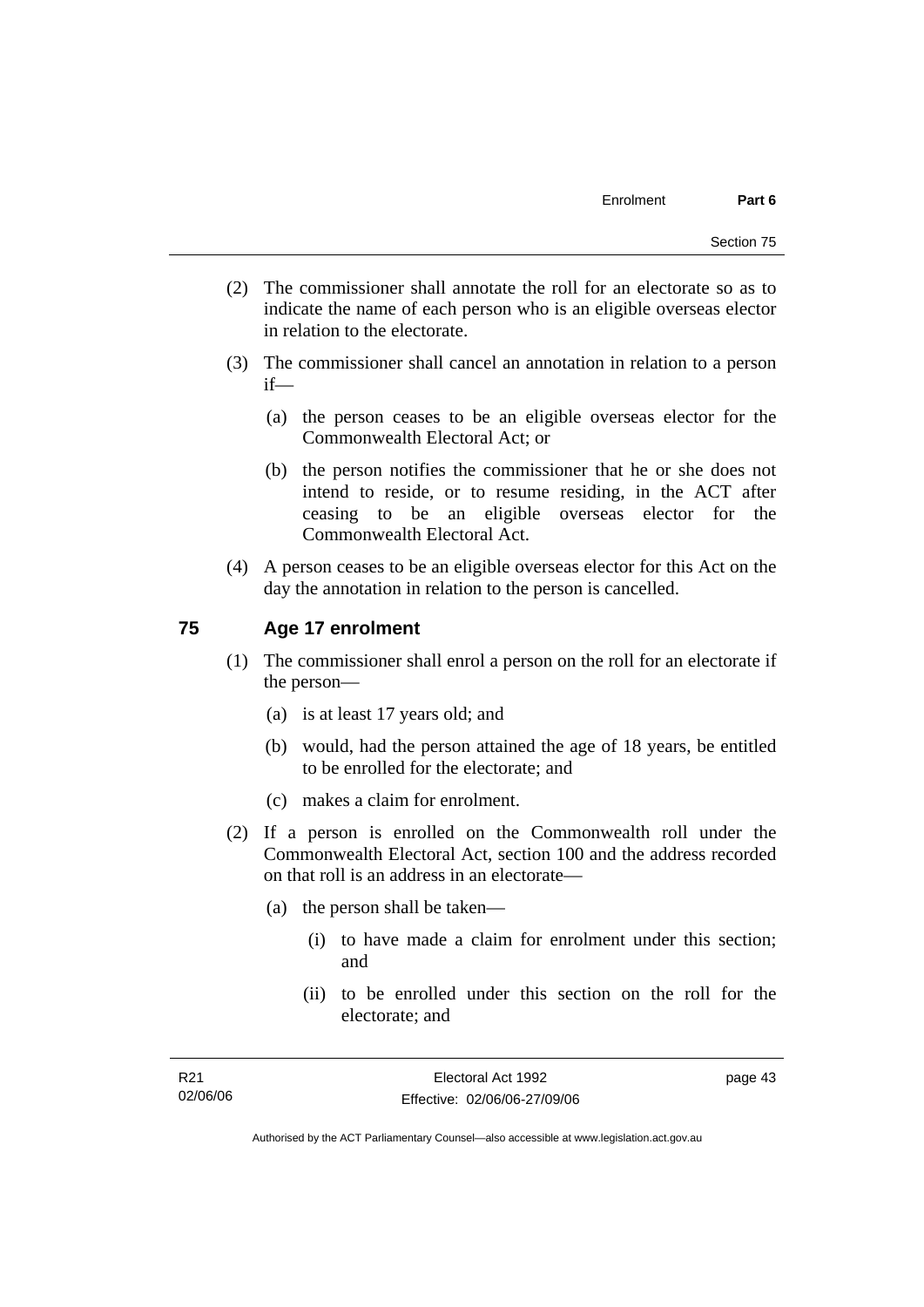- (2) The commissioner shall annotate the roll for an electorate so as to indicate the name of each person who is an eligible overseas elector in relation to the electorate.
- (3) The commissioner shall cancel an annotation in relation to a person if—
	- (a) the person ceases to be an eligible overseas elector for the Commonwealth Electoral Act; or
	- (b) the person notifies the commissioner that he or she does not intend to reside, or to resume residing, in the ACT after ceasing to be an eligible overseas elector for the Commonwealth Electoral Act.
- (4) A person ceases to be an eligible overseas elector for this Act on the day the annotation in relation to the person is cancelled.

#### **75 Age 17 enrolment**

- (1) The commissioner shall enrol a person on the roll for an electorate if the person—
	- (a) is at least 17 years old; and
	- (b) would, had the person attained the age of 18 years, be entitled to be enrolled for the electorate; and
	- (c) makes a claim for enrolment.
- (2) If a person is enrolled on the Commonwealth roll under the Commonwealth Electoral Act, section 100 and the address recorded on that roll is an address in an electorate—
	- (a) the person shall be taken—
		- (i) to have made a claim for enrolment under this section; and
		- (ii) to be enrolled under this section on the roll for the electorate; and

page 43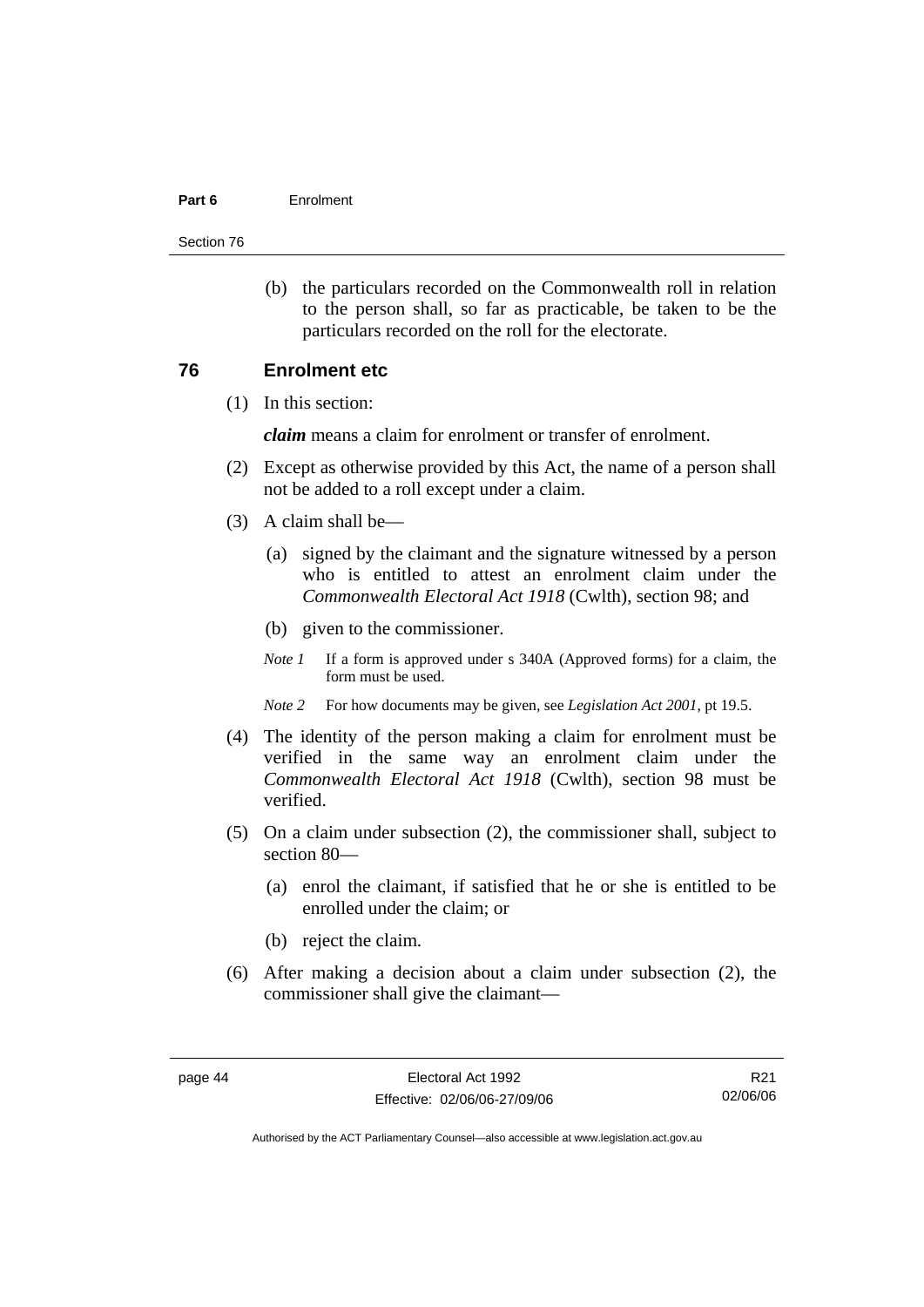#### **Part 6** Enrolment

Section 76

 (b) the particulars recorded on the Commonwealth roll in relation to the person shall, so far as practicable, be taken to be the particulars recorded on the roll for the electorate.

#### **76 Enrolment etc**

(1) In this section:

*claim* means a claim for enrolment or transfer of enrolment.

- (2) Except as otherwise provided by this Act, the name of a person shall not be added to a roll except under a claim.
- (3) A claim shall be—
	- (a) signed by the claimant and the signature witnessed by a person who is entitled to attest an enrolment claim under the *Commonwealth Electoral Act 1918* (Cwlth), section 98; and
	- (b) given to the commissioner.
	- *Note 1* If a form is approved under s 340A (Approved forms) for a claim, the form must be used.
	- *Note 2* For how documents may be given, see *Legislation Act 2001*, pt 19.5.
- (4) The identity of the person making a claim for enrolment must be verified in the same way an enrolment claim under the *Commonwealth Electoral Act 1918* (Cwlth), section 98 must be verified.
- (5) On a claim under subsection (2), the commissioner shall, subject to section 80—
	- (a) enrol the claimant, if satisfied that he or she is entitled to be enrolled under the claim; or
	- (b) reject the claim.
- (6) After making a decision about a claim under subsection (2), the commissioner shall give the claimant—

R21 02/06/06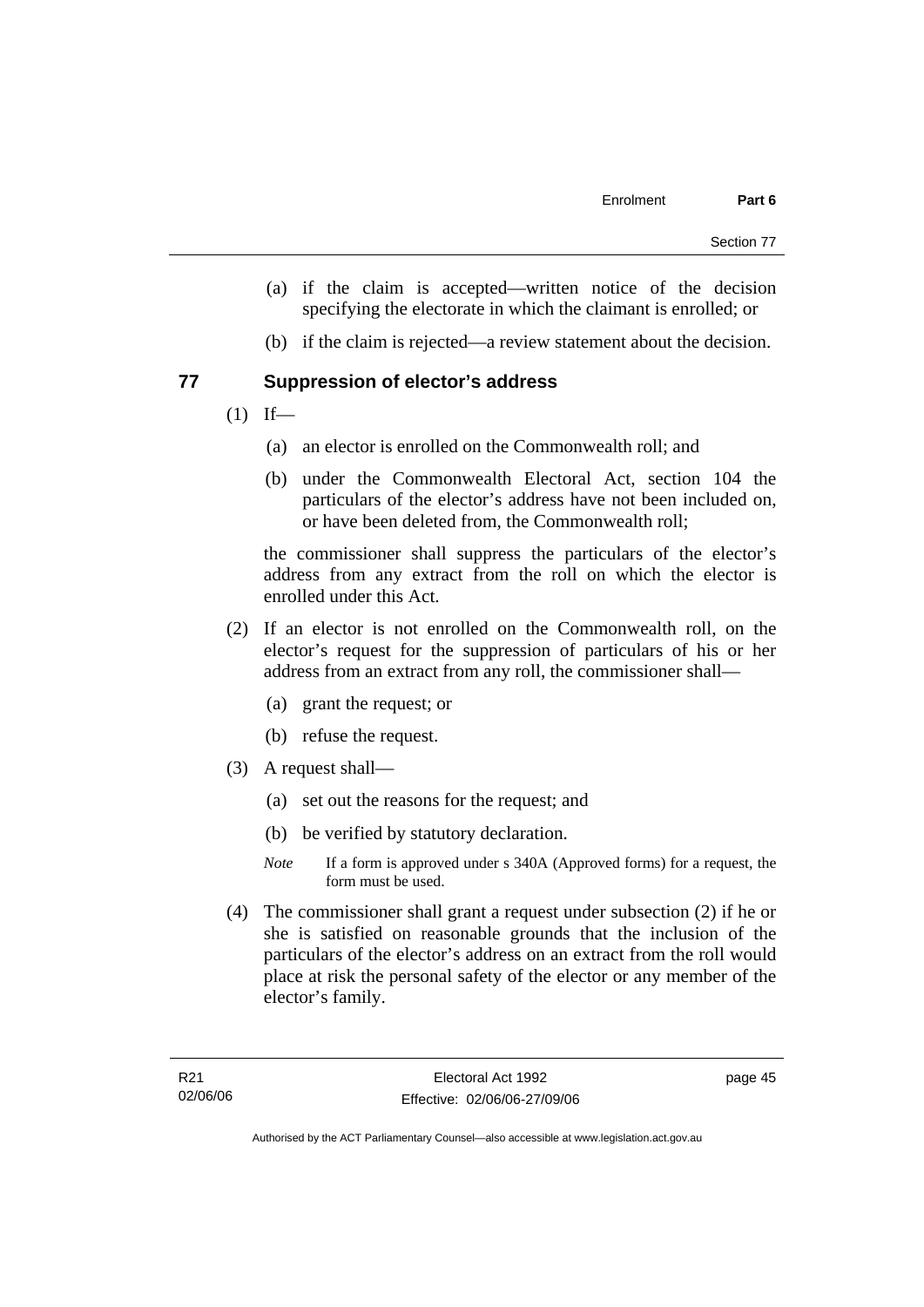- (a) if the claim is accepted—written notice of the decision specifying the electorate in which the claimant is enrolled; or
- (b) if the claim is rejected—a review statement about the decision.

# **77 Suppression of elector's address**

- $(1)$  If—
	- (a) an elector is enrolled on the Commonwealth roll; and
	- (b) under the Commonwealth Electoral Act, section 104 the particulars of the elector's address have not been included on, or have been deleted from, the Commonwealth roll;

the commissioner shall suppress the particulars of the elector's address from any extract from the roll on which the elector is enrolled under this Act.

- (2) If an elector is not enrolled on the Commonwealth roll, on the elector's request for the suppression of particulars of his or her address from an extract from any roll, the commissioner shall—
	- (a) grant the request; or
	- (b) refuse the request.
- (3) A request shall—
	- (a) set out the reasons for the request; and
	- (b) be verified by statutory declaration.
	- *Note* If a form is approved under s 340A (Approved forms) for a request, the form must be used.
- (4) The commissioner shall grant a request under subsection (2) if he or she is satisfied on reasonable grounds that the inclusion of the particulars of the elector's address on an extract from the roll would place at risk the personal safety of the elector or any member of the elector's family.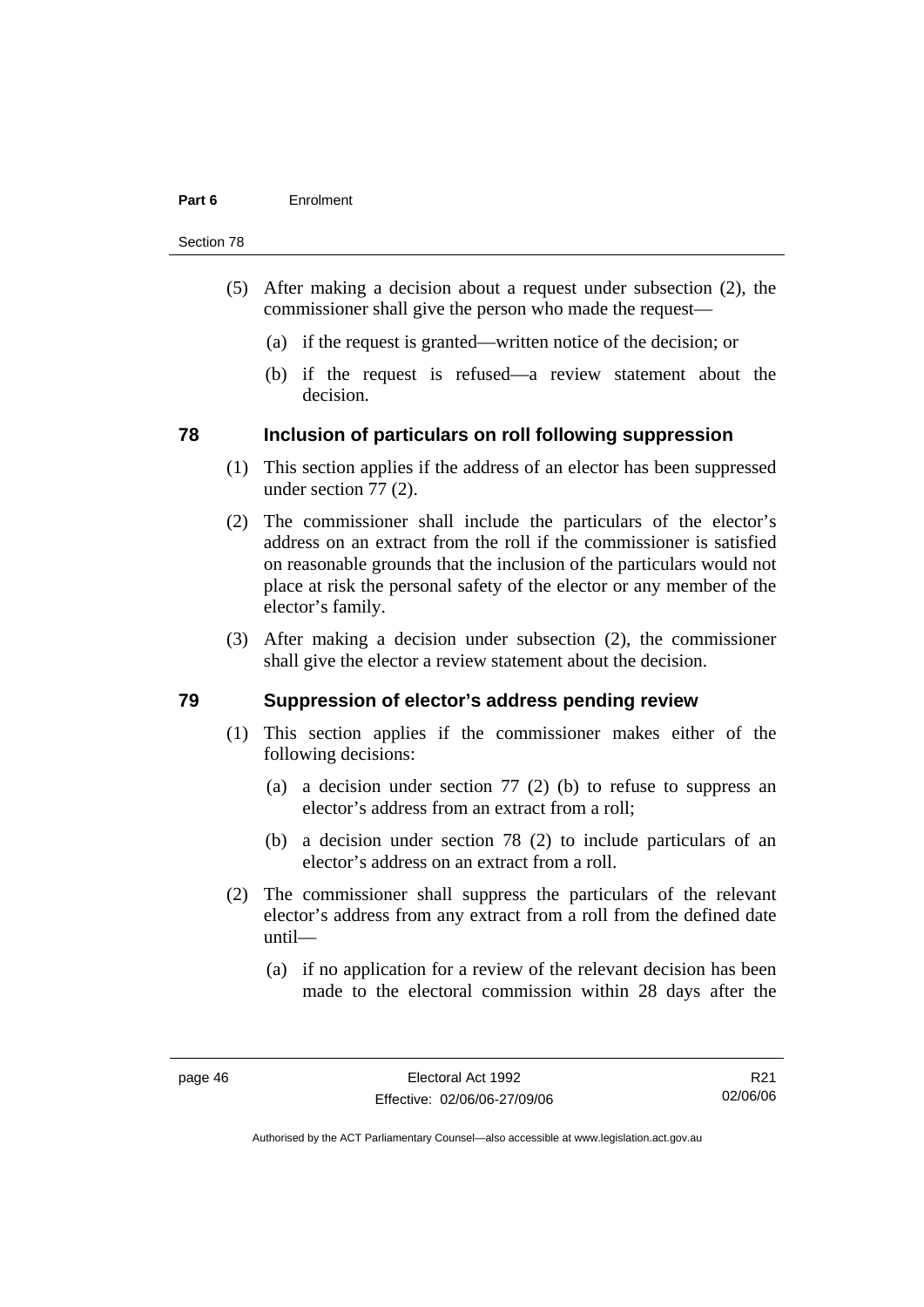#### **Part 6** Enrolment

#### Section 78

- (5) After making a decision about a request under subsection (2), the commissioner shall give the person who made the request—
	- (a) if the request is granted—written notice of the decision; or
	- (b) if the request is refused—a review statement about the decision.

# **78 Inclusion of particulars on roll following suppression**

- (1) This section applies if the address of an elector has been suppressed under section 77 (2).
- (2) The commissioner shall include the particulars of the elector's address on an extract from the roll if the commissioner is satisfied on reasonable grounds that the inclusion of the particulars would not place at risk the personal safety of the elector or any member of the elector's family.
- (3) After making a decision under subsection (2), the commissioner shall give the elector a review statement about the decision.

#### **79 Suppression of elector's address pending review**

- (1) This section applies if the commissioner makes either of the following decisions:
	- (a) a decision under section 77 (2) (b) to refuse to suppress an elector's address from an extract from a roll;
	- (b) a decision under section 78 (2) to include particulars of an elector's address on an extract from a roll.
- (2) The commissioner shall suppress the particulars of the relevant elector's address from any extract from a roll from the defined date until—
	- (a) if no application for a review of the relevant decision has been made to the electoral commission within 28 days after the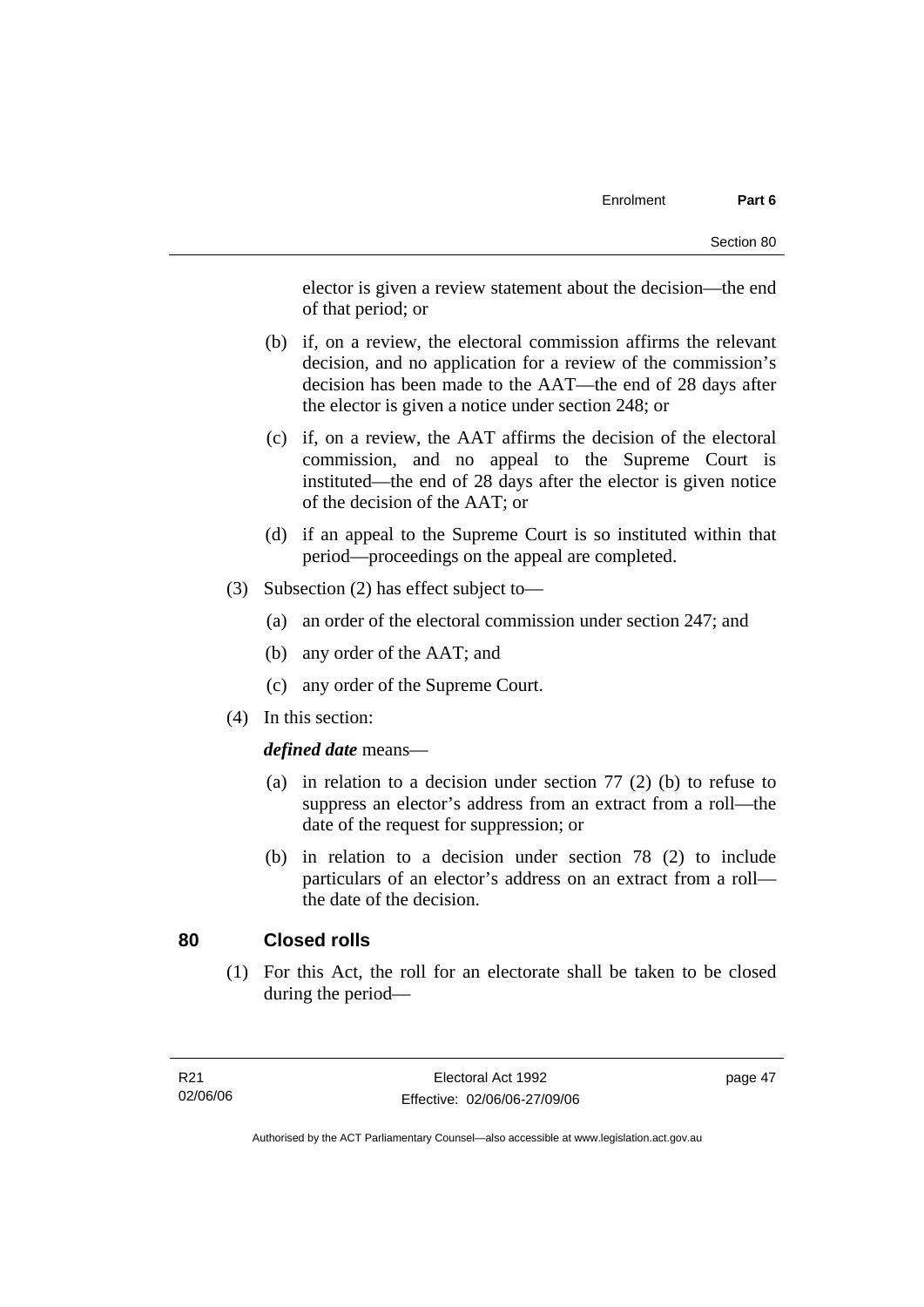elector is given a review statement about the decision—the end of that period; or

- (b) if, on a review, the electoral commission affirms the relevant decision, and no application for a review of the commission's decision has been made to the AAT—the end of 28 days after the elector is given a notice under section 248; or
- (c) if, on a review, the AAT affirms the decision of the electoral commission, and no appeal to the Supreme Court is instituted—the end of 28 days after the elector is given notice of the decision of the AAT; or
- (d) if an appeal to the Supreme Court is so instituted within that period—proceedings on the appeal are completed.
- (3) Subsection (2) has effect subject to—
	- (a) an order of the electoral commission under section 247; and
	- (b) any order of the AAT; and
	- (c) any order of the Supreme Court.
- (4) In this section:

#### *defined date* means—

- (a) in relation to a decision under section 77 (2) (b) to refuse to suppress an elector's address from an extract from a roll—the date of the request for suppression; or
- (b) in relation to a decision under section 78 (2) to include particulars of an elector's address on an extract from a roll the date of the decision.

# **80 Closed rolls**

 (1) For this Act, the roll for an electorate shall be taken to be closed during the period—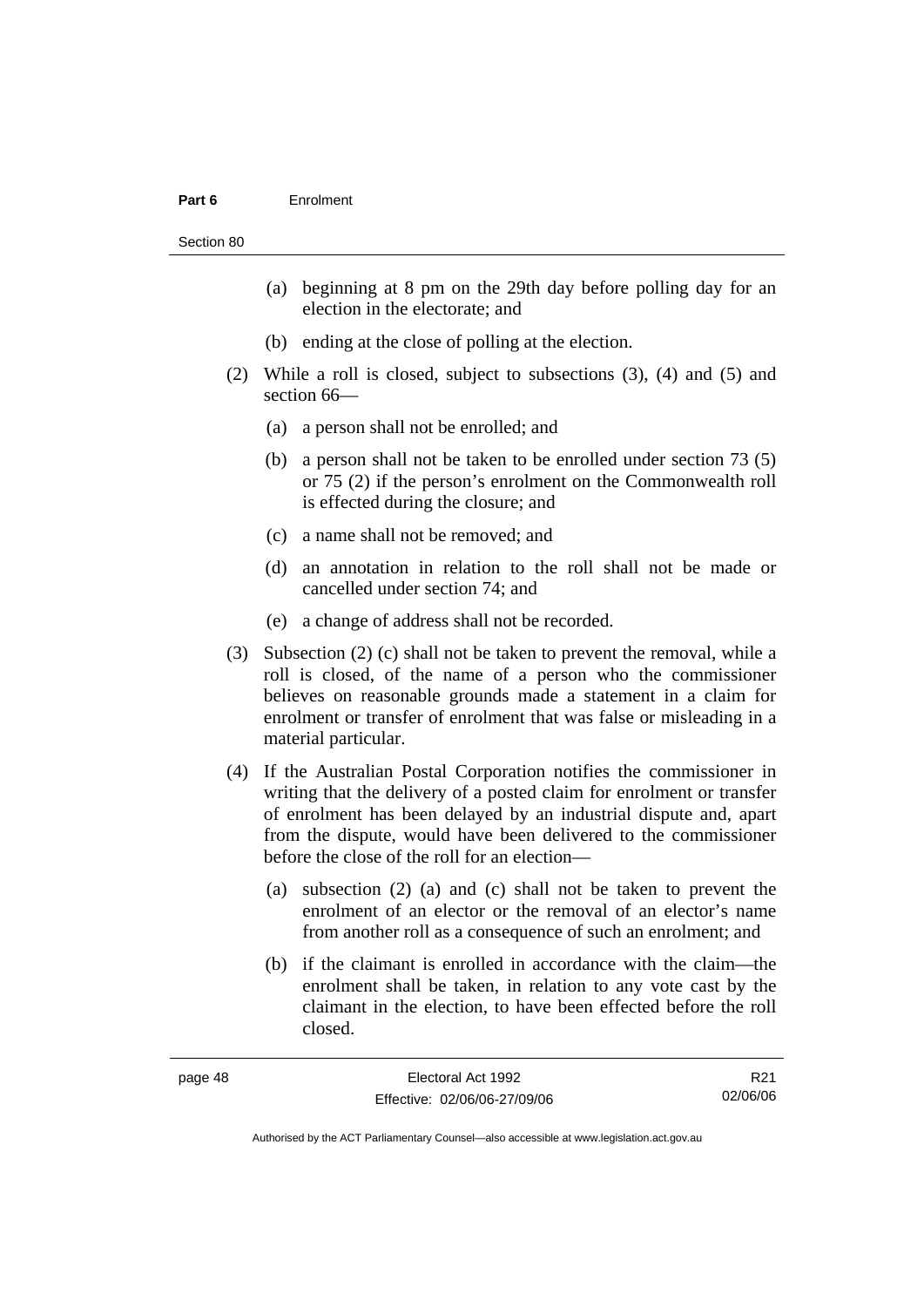#### **Part 6** Enrolment

Section 80

- (a) beginning at 8 pm on the 29th day before polling day for an election in the electorate; and
- (b) ending at the close of polling at the election.
- (2) While a roll is closed, subject to subsections (3), (4) and (5) and section 66—
	- (a) a person shall not be enrolled; and
	- (b) a person shall not be taken to be enrolled under section 73 (5) or 75 (2) if the person's enrolment on the Commonwealth roll is effected during the closure; and
	- (c) a name shall not be removed; and
	- (d) an annotation in relation to the roll shall not be made or cancelled under section 74; and
	- (e) a change of address shall not be recorded.
- (3) Subsection (2) (c) shall not be taken to prevent the removal, while a roll is closed, of the name of a person who the commissioner believes on reasonable grounds made a statement in a claim for enrolment or transfer of enrolment that was false or misleading in a material particular.
- (4) If the Australian Postal Corporation notifies the commissioner in writing that the delivery of a posted claim for enrolment or transfer of enrolment has been delayed by an industrial dispute and, apart from the dispute, would have been delivered to the commissioner before the close of the roll for an election—
	- (a) subsection (2) (a) and (c) shall not be taken to prevent the enrolment of an elector or the removal of an elector's name from another roll as a consequence of such an enrolment; and
	- (b) if the claimant is enrolled in accordance with the claim—the enrolment shall be taken, in relation to any vote cast by the claimant in the election, to have been effected before the roll closed.

| '8<br>4<br>лаае |  |
|-----------------|--|
|-----------------|--|

R21 02/06/06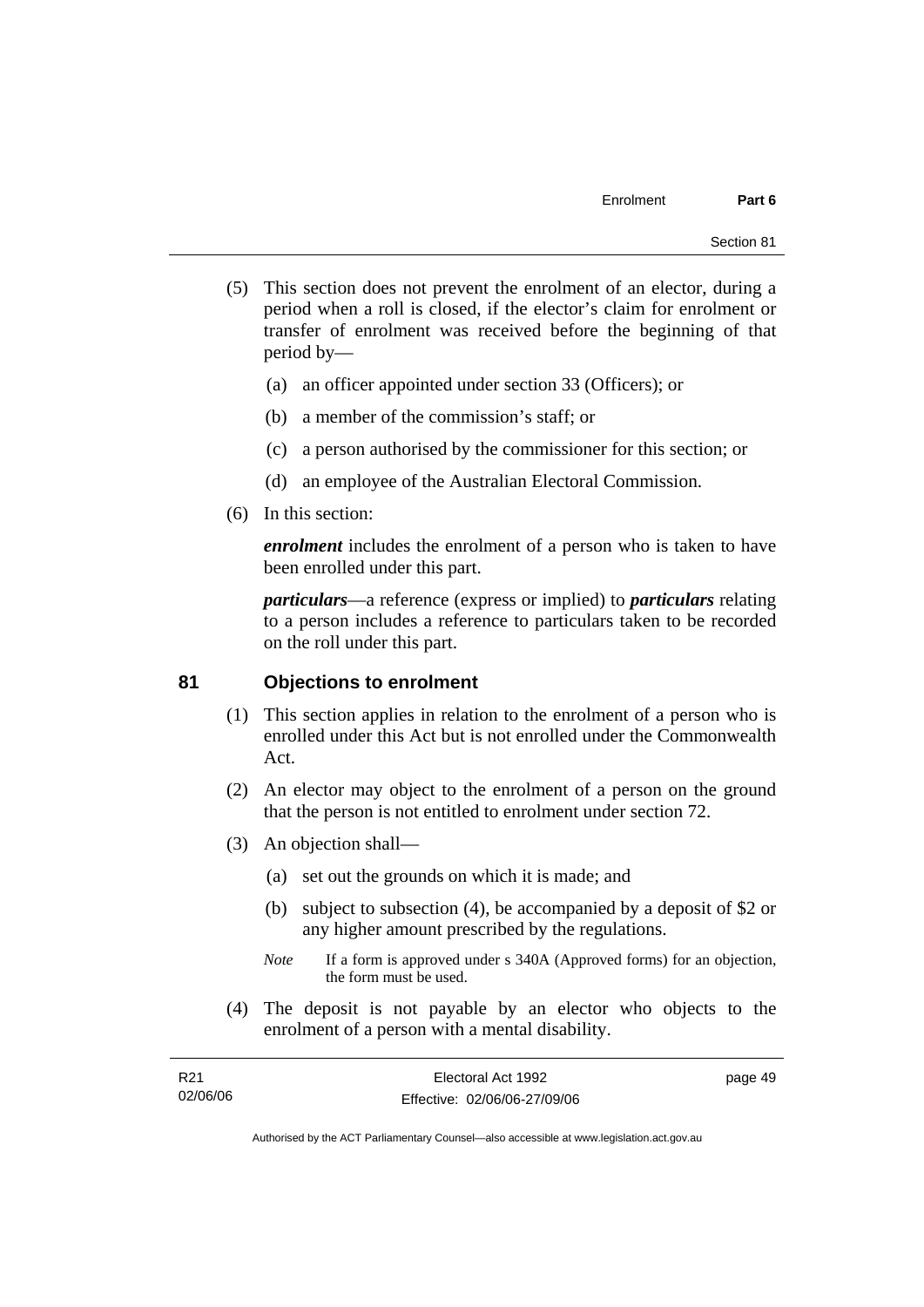- (5) This section does not prevent the enrolment of an elector, during a period when a roll is closed, if the elector's claim for enrolment or transfer of enrolment was received before the beginning of that period by—
	- (a) an officer appointed under section 33 (Officers); or
	- (b) a member of the commission's staff; or
	- (c) a person authorised by the commissioner for this section; or
	- (d) an employee of the Australian Electoral Commission.
- (6) In this section:

*enrolment* includes the enrolment of a person who is taken to have been enrolled under this part.

*particulars*—a reference (express or implied) to *particulars* relating to a person includes a reference to particulars taken to be recorded on the roll under this part.

# **81 Objections to enrolment**

- (1) This section applies in relation to the enrolment of a person who is enrolled under this Act but is not enrolled under the Commonwealth Act.
- (2) An elector may object to the enrolment of a person on the ground that the person is not entitled to enrolment under section 72.
- (3) An objection shall—
	- (a) set out the grounds on which it is made; and
	- (b) subject to subsection (4), be accompanied by a deposit of \$2 or any higher amount prescribed by the regulations.
	- *Note* If a form is approved under s 340A (Approved forms) for an objection, the form must be used.
- (4) The deposit is not payable by an elector who objects to the enrolment of a person with a mental disability.

| R21      | Electoral Act 1992           | page 49 |
|----------|------------------------------|---------|
| 02/06/06 | Effective: 02/06/06-27/09/06 |         |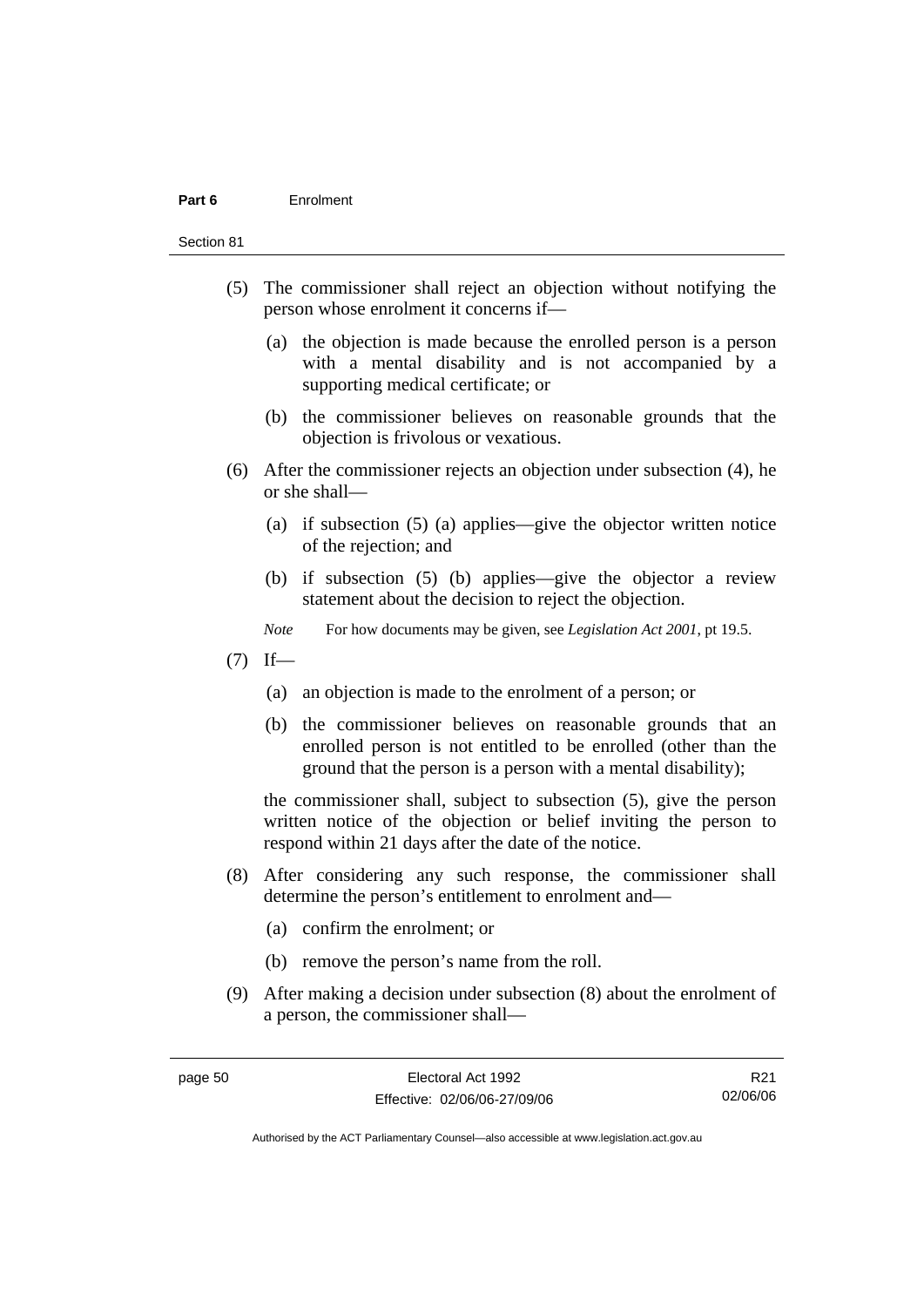#### **Part 6** Enrolment

Section 81

- (5) The commissioner shall reject an objection without notifying the person whose enrolment it concerns if—
	- (a) the objection is made because the enrolled person is a person with a mental disability and is not accompanied by a supporting medical certificate; or
	- (b) the commissioner believes on reasonable grounds that the objection is frivolous or vexatious.
- (6) After the commissioner rejects an objection under subsection (4), he or she shall—
	- (a) if subsection (5) (a) applies—give the objector written notice of the rejection; and
	- (b) if subsection (5) (b) applies—give the objector a review statement about the decision to reject the objection.
	- *Note* For how documents may be given, see *Legislation Act 2001*, pt 19.5.
- $(7)$  If—
	- (a) an objection is made to the enrolment of a person; or
	- (b) the commissioner believes on reasonable grounds that an enrolled person is not entitled to be enrolled (other than the ground that the person is a person with a mental disability);

the commissioner shall, subject to subsection (5), give the person written notice of the objection or belief inviting the person to respond within 21 days after the date of the notice.

- (8) After considering any such response, the commissioner shall determine the person's entitlement to enrolment and—
	- (a) confirm the enrolment; or
	- (b) remove the person's name from the roll.
- (9) After making a decision under subsection (8) about the enrolment of a person, the commissioner shall—

R21 02/06/06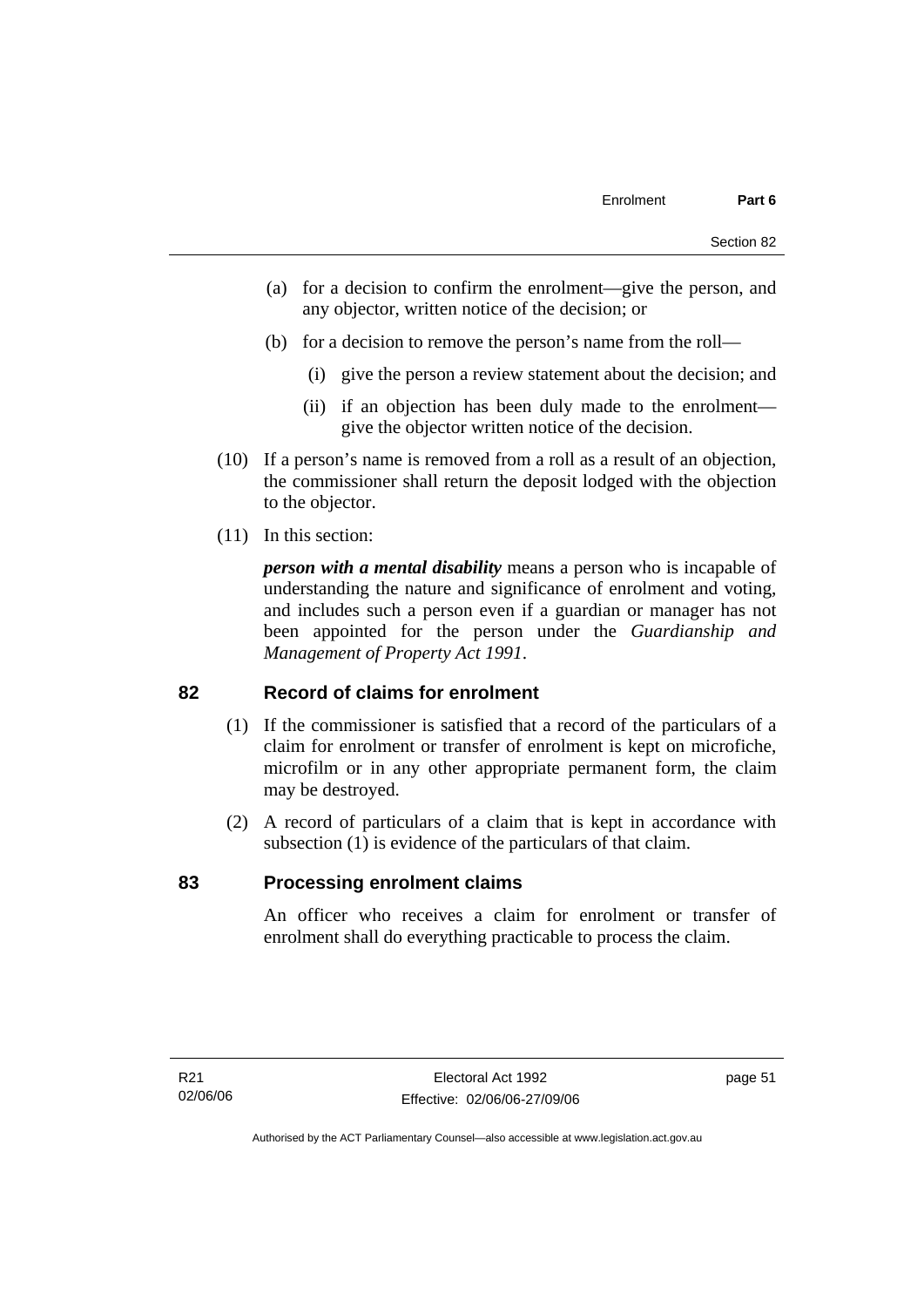- (a) for a decision to confirm the enrolment—give the person, and any objector, written notice of the decision; or
- (b) for a decision to remove the person's name from the roll—
	- (i) give the person a review statement about the decision; and
	- (ii) if an objection has been duly made to the enrolment give the objector written notice of the decision.
- (10) If a person's name is removed from a roll as a result of an objection, the commissioner shall return the deposit lodged with the objection to the objector.
- (11) In this section:

*person with a mental disability* means a person who is incapable of understanding the nature and significance of enrolment and voting, and includes such a person even if a guardian or manager has not been appointed for the person under the *Guardianship and Management of Property Act 1991*.

#### **82 Record of claims for enrolment**

- (1) If the commissioner is satisfied that a record of the particulars of a claim for enrolment or transfer of enrolment is kept on microfiche, microfilm or in any other appropriate permanent form, the claim may be destroyed.
- (2) A record of particulars of a claim that is kept in accordance with subsection (1) is evidence of the particulars of that claim.

#### **83 Processing enrolment claims**

An officer who receives a claim for enrolment or transfer of enrolment shall do everything practicable to process the claim.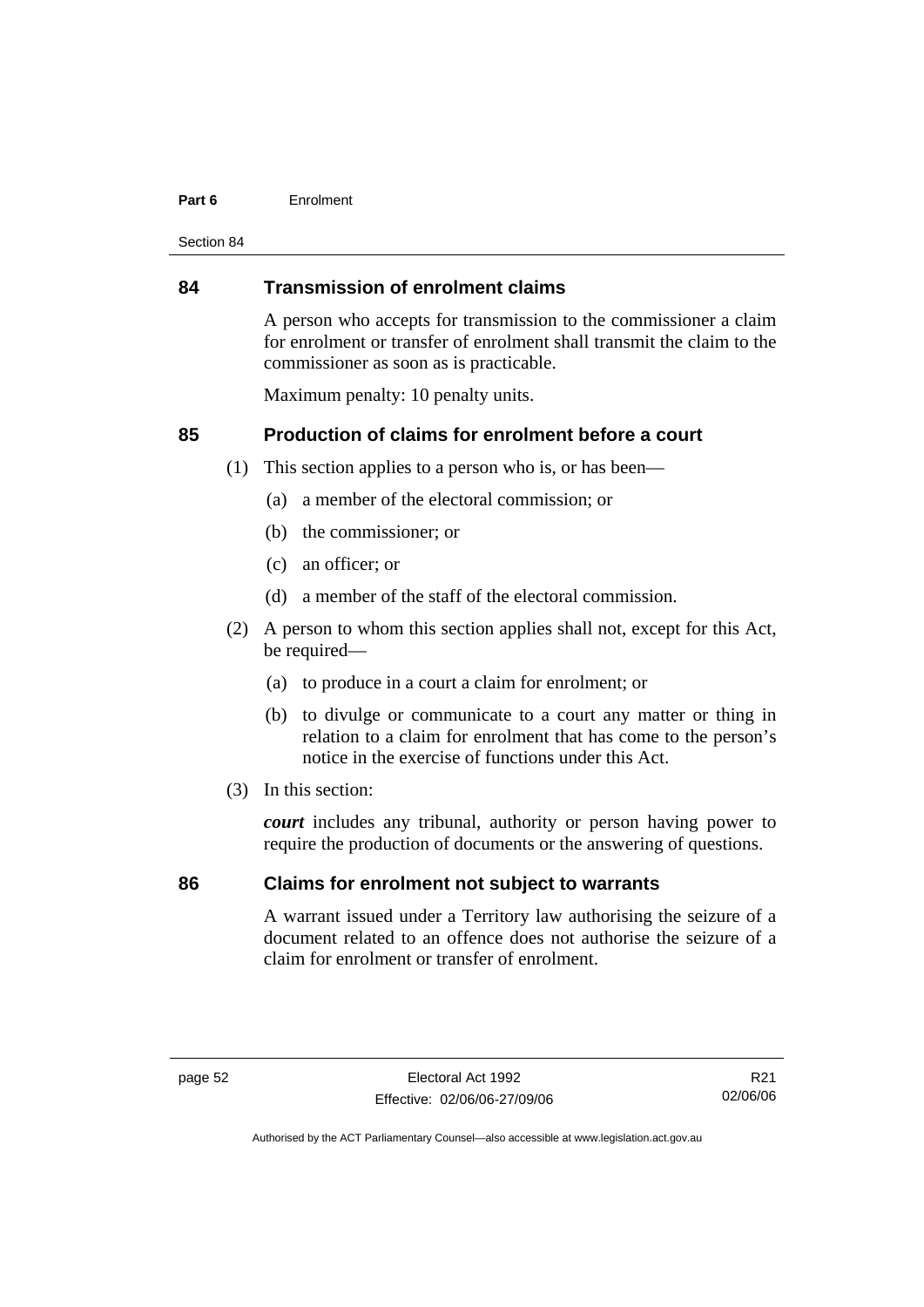#### **Part 6** Enrolment

Section 84

#### **84 Transmission of enrolment claims**

A person who accepts for transmission to the commissioner a claim for enrolment or transfer of enrolment shall transmit the claim to the commissioner as soon as is practicable.

Maximum penalty: 10 penalty units.

# **85 Production of claims for enrolment before a court**

- (1) This section applies to a person who is, or has been—
	- (a) a member of the electoral commission; or
	- (b) the commissioner; or
	- (c) an officer; or
	- (d) a member of the staff of the electoral commission.
- (2) A person to whom this section applies shall not, except for this Act, be required—
	- (a) to produce in a court a claim for enrolment; or
	- (b) to divulge or communicate to a court any matter or thing in relation to a claim for enrolment that has come to the person's notice in the exercise of functions under this Act.
- (3) In this section:

*court* includes any tribunal, authority or person having power to require the production of documents or the answering of questions.

# **86 Claims for enrolment not subject to warrants**

A warrant issued under a Territory law authorising the seizure of a document related to an offence does not authorise the seizure of a claim for enrolment or transfer of enrolment.

R21 02/06/06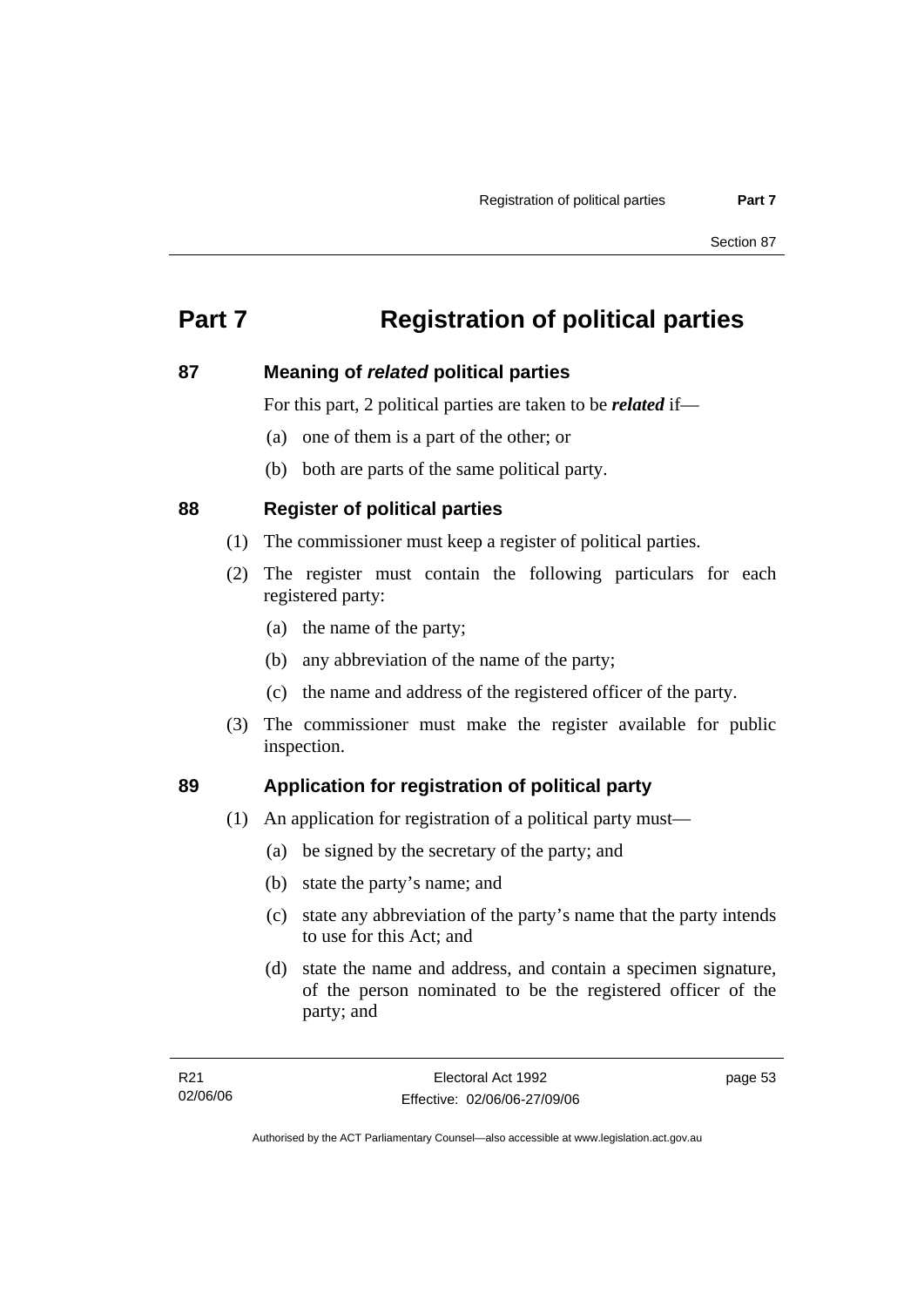# **Part 7 Registration of political parties**

# **87 Meaning of** *related* **political parties**

For this part, 2 political parties are taken to be *related* if—

- (a) one of them is a part of the other; or
- (b) both are parts of the same political party.

# **88 Register of political parties**

- (1) The commissioner must keep a register of political parties.
- (2) The register must contain the following particulars for each registered party:
	- (a) the name of the party;
	- (b) any abbreviation of the name of the party;
	- (c) the name and address of the registered officer of the party.
- (3) The commissioner must make the register available for public inspection.

# **89 Application for registration of political party**

- (1) An application for registration of a political party must—
	- (a) be signed by the secretary of the party; and
	- (b) state the party's name; and
	- (c) state any abbreviation of the party's name that the party intends to use for this Act; and
	- (d) state the name and address, and contain a specimen signature, of the person nominated to be the registered officer of the party; and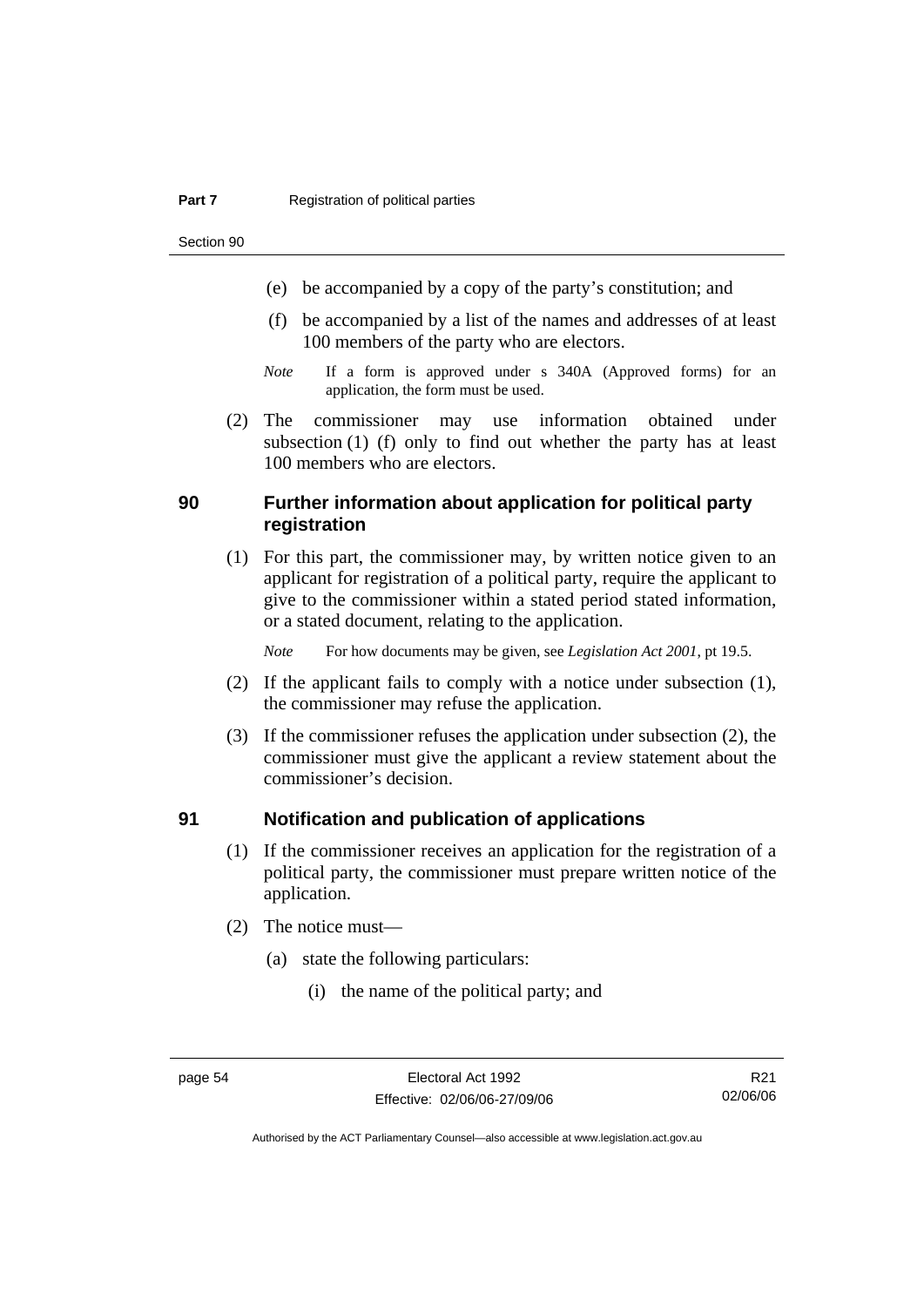Section 90

- (e) be accompanied by a copy of the party's constitution; and
- (f) be accompanied by a list of the names and addresses of at least 100 members of the party who are electors.
- *Note* If a form is approved under s 340A (Approved forms) for an application, the form must be used.
- (2) The commissioner may use information obtained under subsection (1) (f) only to find out whether the party has at least 100 members who are electors.

# **90 Further information about application for political party registration**

 (1) For this part, the commissioner may, by written notice given to an applicant for registration of a political party, require the applicant to give to the commissioner within a stated period stated information, or a stated document, relating to the application.

*Note* For how documents may be given, see *Legislation Act 2001*, pt 19.5.

- (2) If the applicant fails to comply with a notice under subsection (1), the commissioner may refuse the application.
- (3) If the commissioner refuses the application under subsection (2), the commissioner must give the applicant a review statement about the commissioner's decision.

#### **91 Notification and publication of applications**

- (1) If the commissioner receives an application for the registration of a political party, the commissioner must prepare written notice of the application.
- (2) The notice must—
	- (a) state the following particulars:
		- (i) the name of the political party; and

R21 02/06/06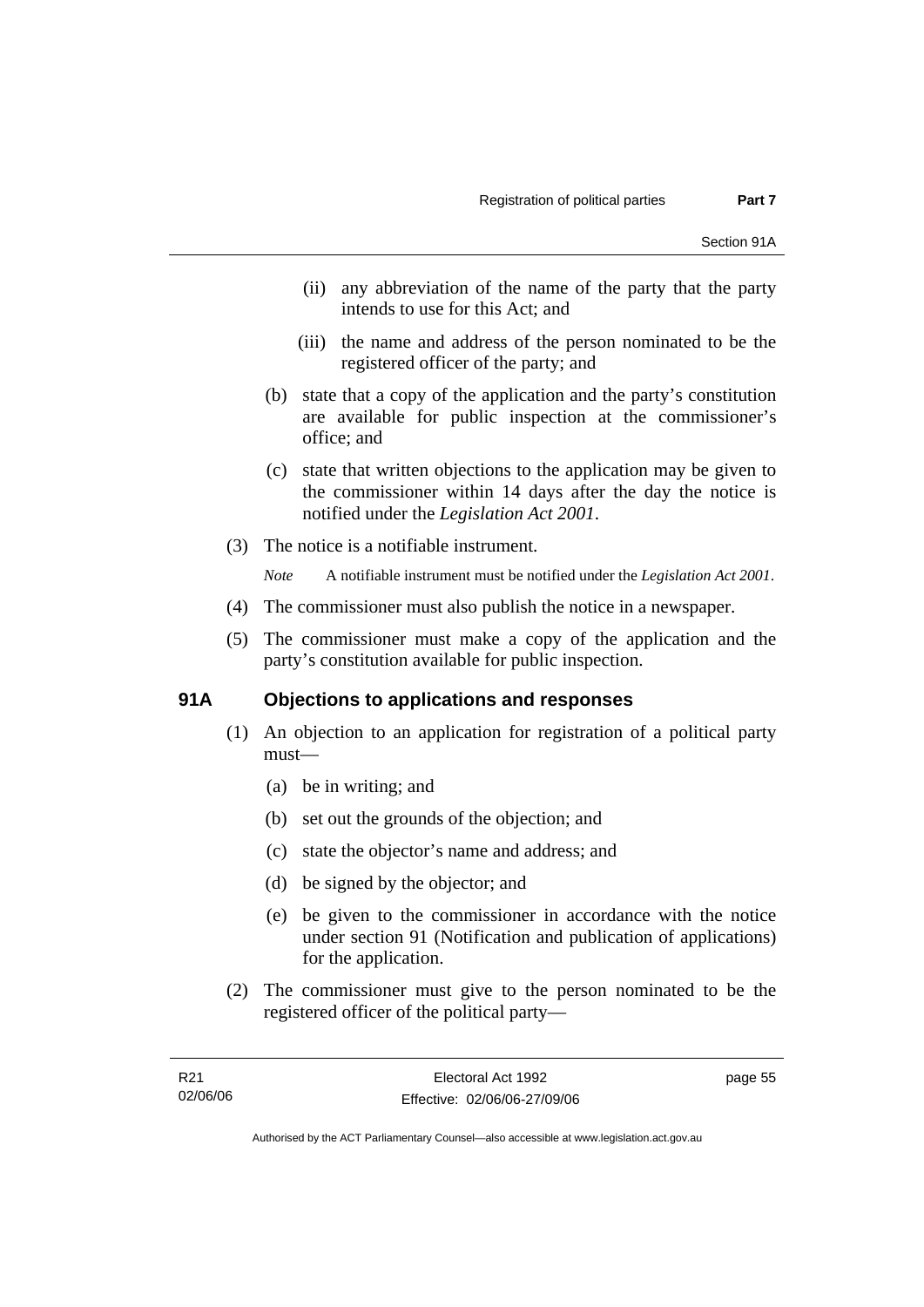- (ii) any abbreviation of the name of the party that the party intends to use for this Act; and
- (iii) the name and address of the person nominated to be the registered officer of the party; and
- (b) state that a copy of the application and the party's constitution are available for public inspection at the commissioner's office; and
- (c) state that written objections to the application may be given to the commissioner within 14 days after the day the notice is notified under the *Legislation Act 2001*.
- (3) The notice is a notifiable instrument.

*Note* A notifiable instrument must be notified under the *Legislation Act 2001*.

- (4) The commissioner must also publish the notice in a newspaper.
- (5) The commissioner must make a copy of the application and the party's constitution available for public inspection.

### **91A Objections to applications and responses**

- (1) An objection to an application for registration of a political party must—
	- (a) be in writing; and
	- (b) set out the grounds of the objection; and
	- (c) state the objector's name and address; and
	- (d) be signed by the objector; and
	- (e) be given to the commissioner in accordance with the notice under section 91 (Notification and publication of applications) for the application.
- (2) The commissioner must give to the person nominated to be the registered officer of the political party—

page 55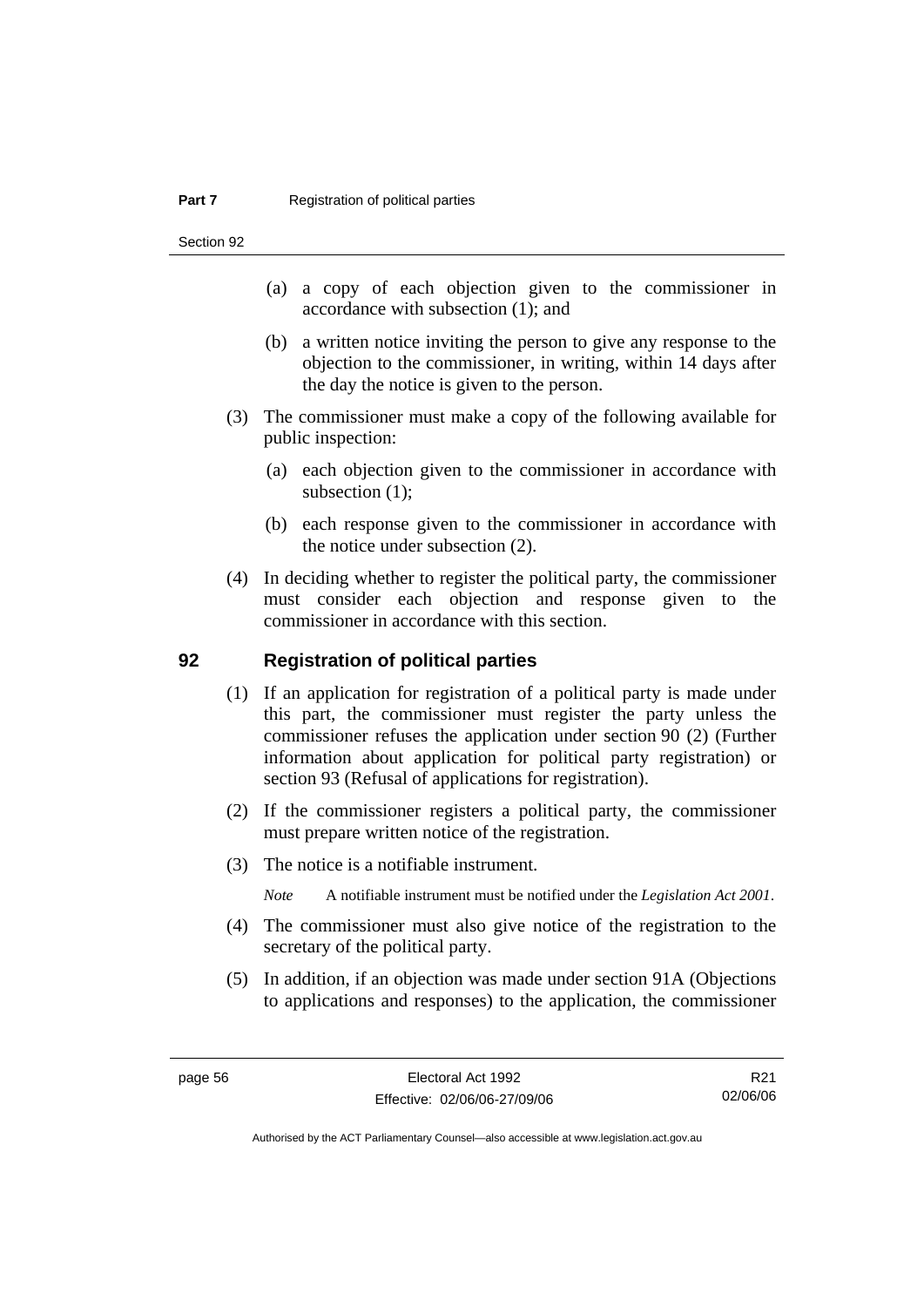Section 92

- (a) a copy of each objection given to the commissioner in accordance with subsection (1); and
- (b) a written notice inviting the person to give any response to the objection to the commissioner, in writing, within 14 days after the day the notice is given to the person.
- (3) The commissioner must make a copy of the following available for public inspection:
	- (a) each objection given to the commissioner in accordance with subsection (1);
	- (b) each response given to the commissioner in accordance with the notice under subsection (2).
- (4) In deciding whether to register the political party, the commissioner must consider each objection and response given to the commissioner in accordance with this section.

### **92 Registration of political parties**

- (1) If an application for registration of a political party is made under this part, the commissioner must register the party unless the commissioner refuses the application under section 90 (2) (Further information about application for political party registration) or section 93 (Refusal of applications for registration).
- (2) If the commissioner registers a political party, the commissioner must prepare written notice of the registration.
- (3) The notice is a notifiable instrument.
	- *Note* A notifiable instrument must be notified under the *Legislation Act 2001*.
- (4) The commissioner must also give notice of the registration to the secretary of the political party.
- (5) In addition, if an objection was made under section 91A (Objections to applications and responses) to the application, the commissioner

R21 02/06/06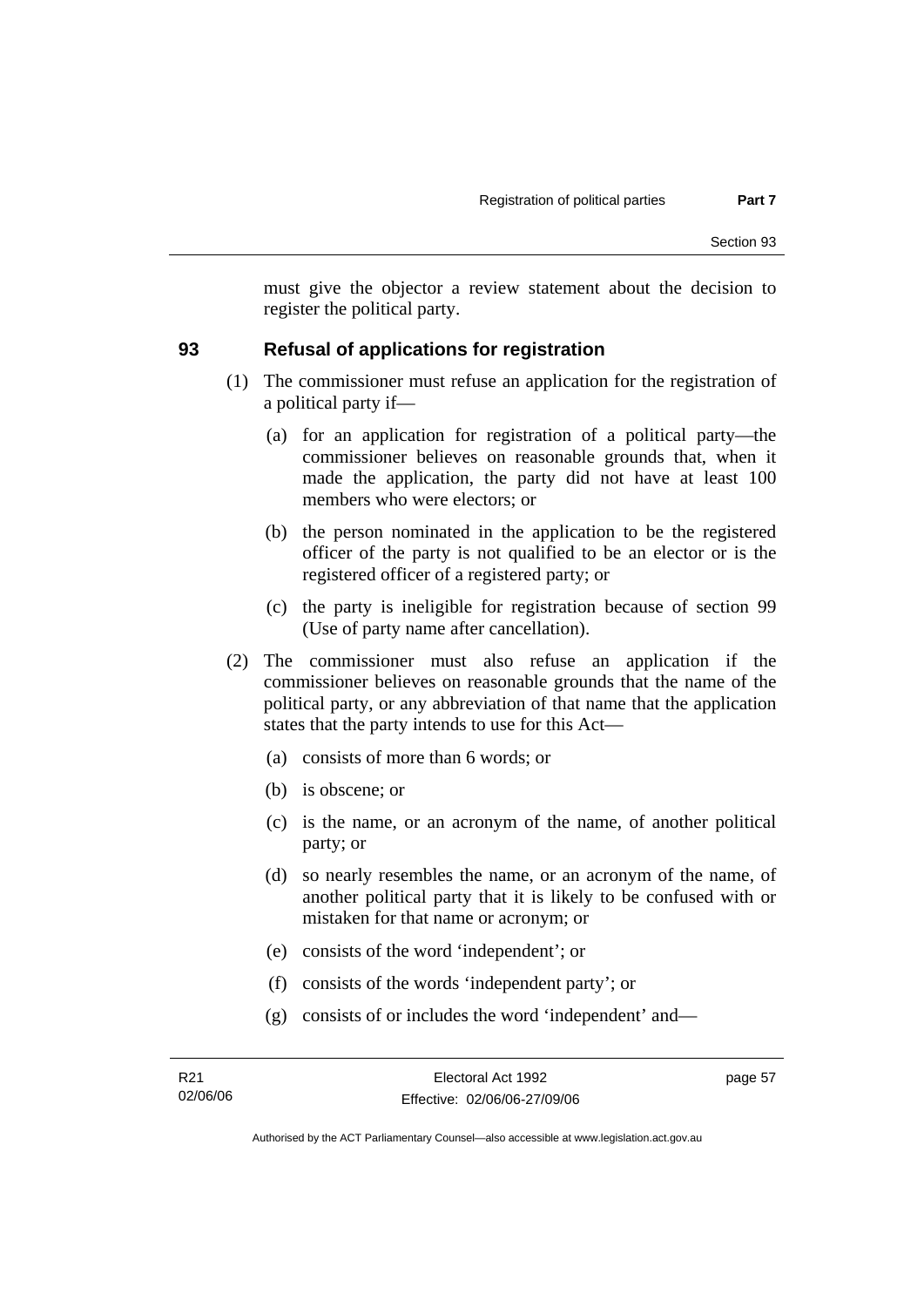must give the objector a review statement about the decision to register the political party.

### **93 Refusal of applications for registration**

- (1) The commissioner must refuse an application for the registration of a political party if—
	- (a) for an application for registration of a political party—the commissioner believes on reasonable grounds that, when it made the application, the party did not have at least 100 members who were electors; or
	- (b) the person nominated in the application to be the registered officer of the party is not qualified to be an elector or is the registered officer of a registered party; or
	- (c) the party is ineligible for registration because of section 99 (Use of party name after cancellation).
- (2) The commissioner must also refuse an application if the commissioner believes on reasonable grounds that the name of the political party, or any abbreviation of that name that the application states that the party intends to use for this Act—
	- (a) consists of more than 6 words; or
	- (b) is obscene; or
	- (c) is the name, or an acronym of the name, of another political party; or
	- (d) so nearly resembles the name, or an acronym of the name, of another political party that it is likely to be confused with or mistaken for that name or acronym; or
	- (e) consists of the word 'independent'; or
	- (f) consists of the words 'independent party'; or
	- (g) consists of or includes the word 'independent' and—

page 57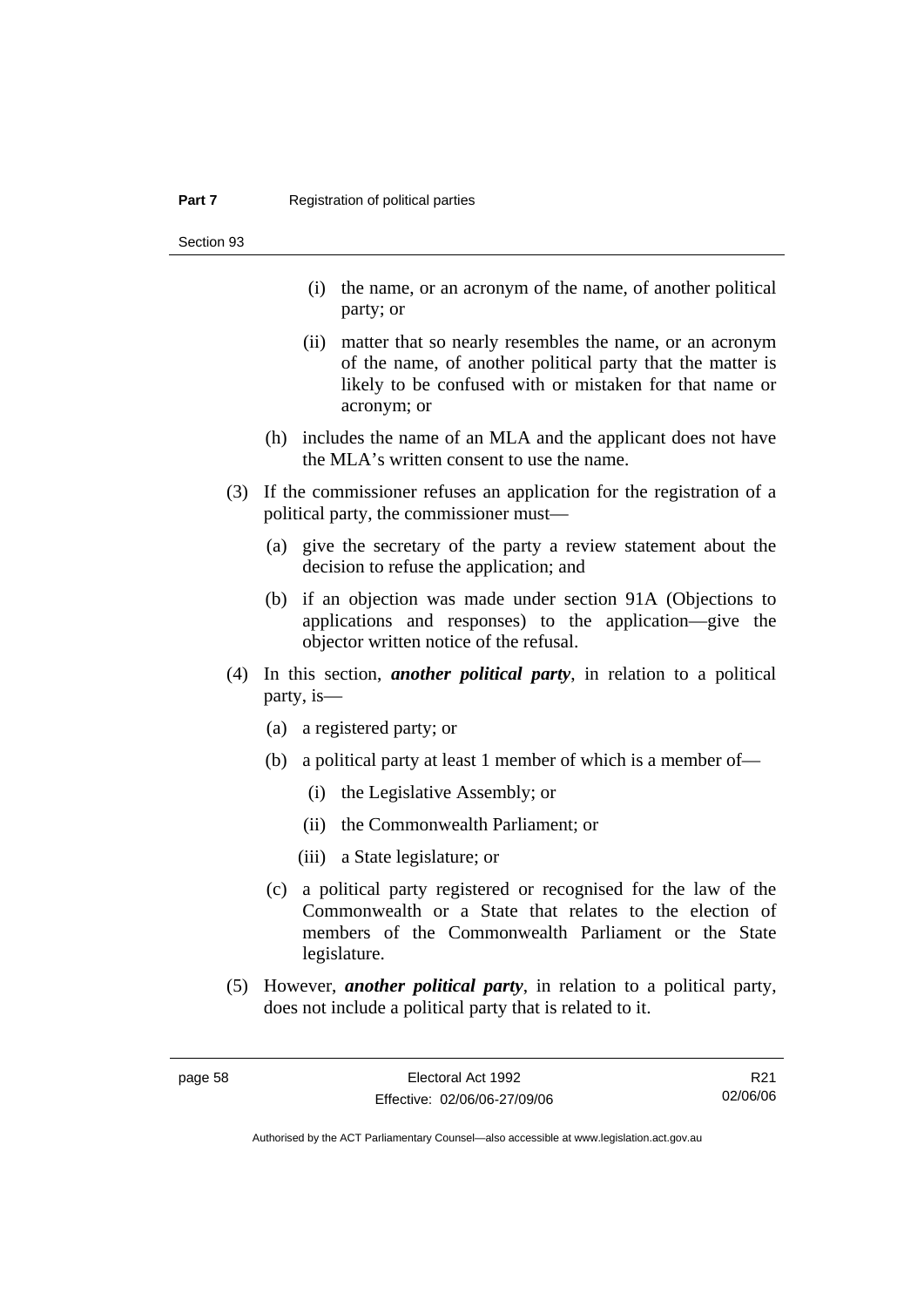Section 93

- (i) the name, or an acronym of the name, of another political party; or
- (ii) matter that so nearly resembles the name, or an acronym of the name, of another political party that the matter is likely to be confused with or mistaken for that name or acronym; or
- (h) includes the name of an MLA and the applicant does not have the MLA's written consent to use the name.
- (3) If the commissioner refuses an application for the registration of a political party, the commissioner must—
	- (a) give the secretary of the party a review statement about the decision to refuse the application; and
	- (b) if an objection was made under section 91A (Objections to applications and responses) to the application—give the objector written notice of the refusal.
- (4) In this section, *another political party*, in relation to a political party, is—
	- (a) a registered party; or
	- (b) a political party at least 1 member of which is a member of—
		- (i) the Legislative Assembly; or
		- (ii) the Commonwealth Parliament; or
		- (iii) a State legislature; or
	- (c) a political party registered or recognised for the law of the Commonwealth or a State that relates to the election of members of the Commonwealth Parliament or the State legislature.
- (5) However, *another political party*, in relation to a political party, does not include a political party that is related to it.

R21 02/06/06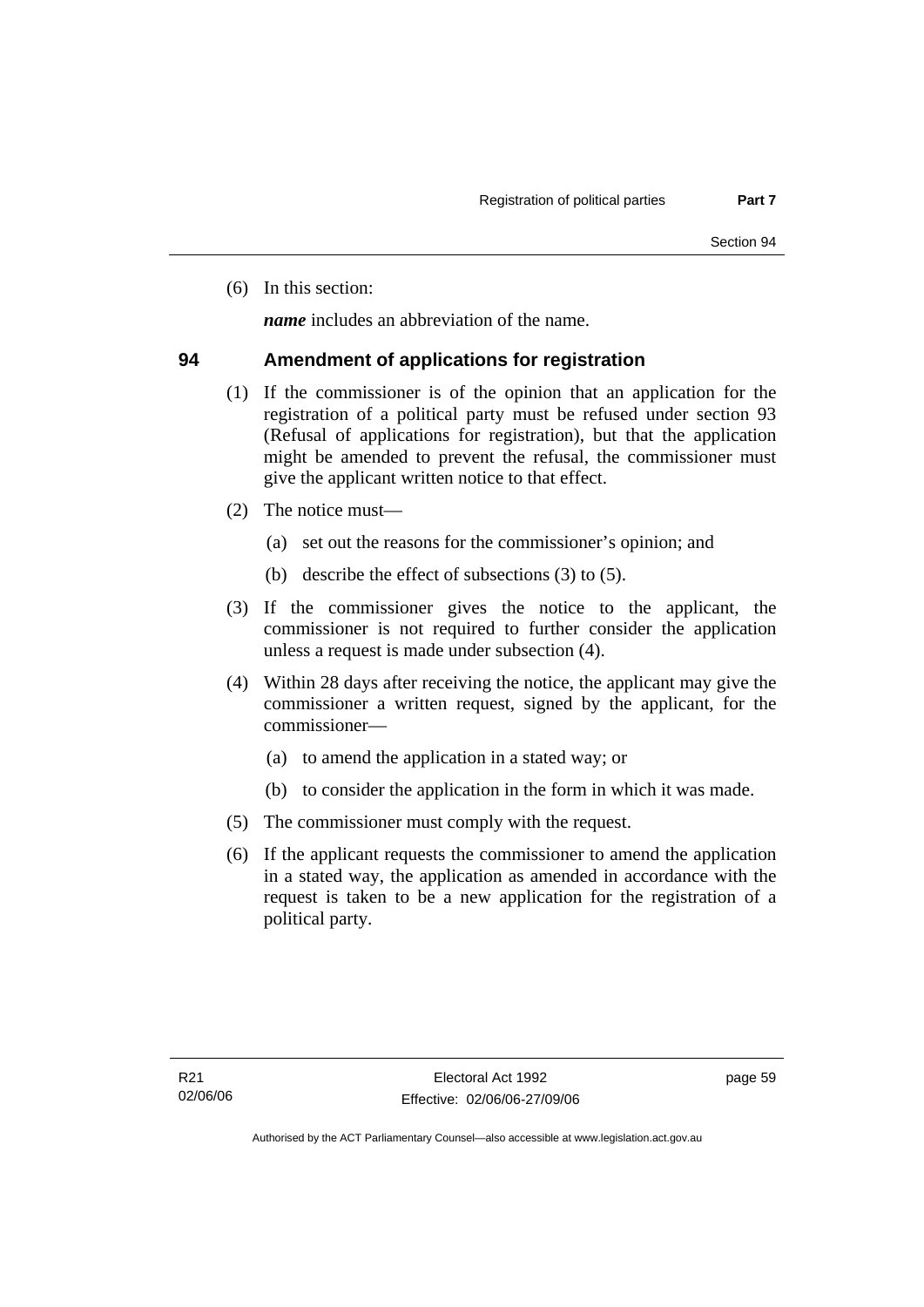(6) In this section:

*name* includes an abbreviation of the name.

### **94 Amendment of applications for registration**

- (1) If the commissioner is of the opinion that an application for the registration of a political party must be refused under section 93 (Refusal of applications for registration), but that the application might be amended to prevent the refusal, the commissioner must give the applicant written notice to that effect.
- (2) The notice must—
	- (a) set out the reasons for the commissioner's opinion; and
	- (b) describe the effect of subsections (3) to (5).
- (3) If the commissioner gives the notice to the applicant, the commissioner is not required to further consider the application unless a request is made under subsection (4).
- (4) Within 28 days after receiving the notice, the applicant may give the commissioner a written request, signed by the applicant, for the commissioner—
	- (a) to amend the application in a stated way; or
	- (b) to consider the application in the form in which it was made.
- (5) The commissioner must comply with the request.
- (6) If the applicant requests the commissioner to amend the application in a stated way, the application as amended in accordance with the request is taken to be a new application for the registration of a political party.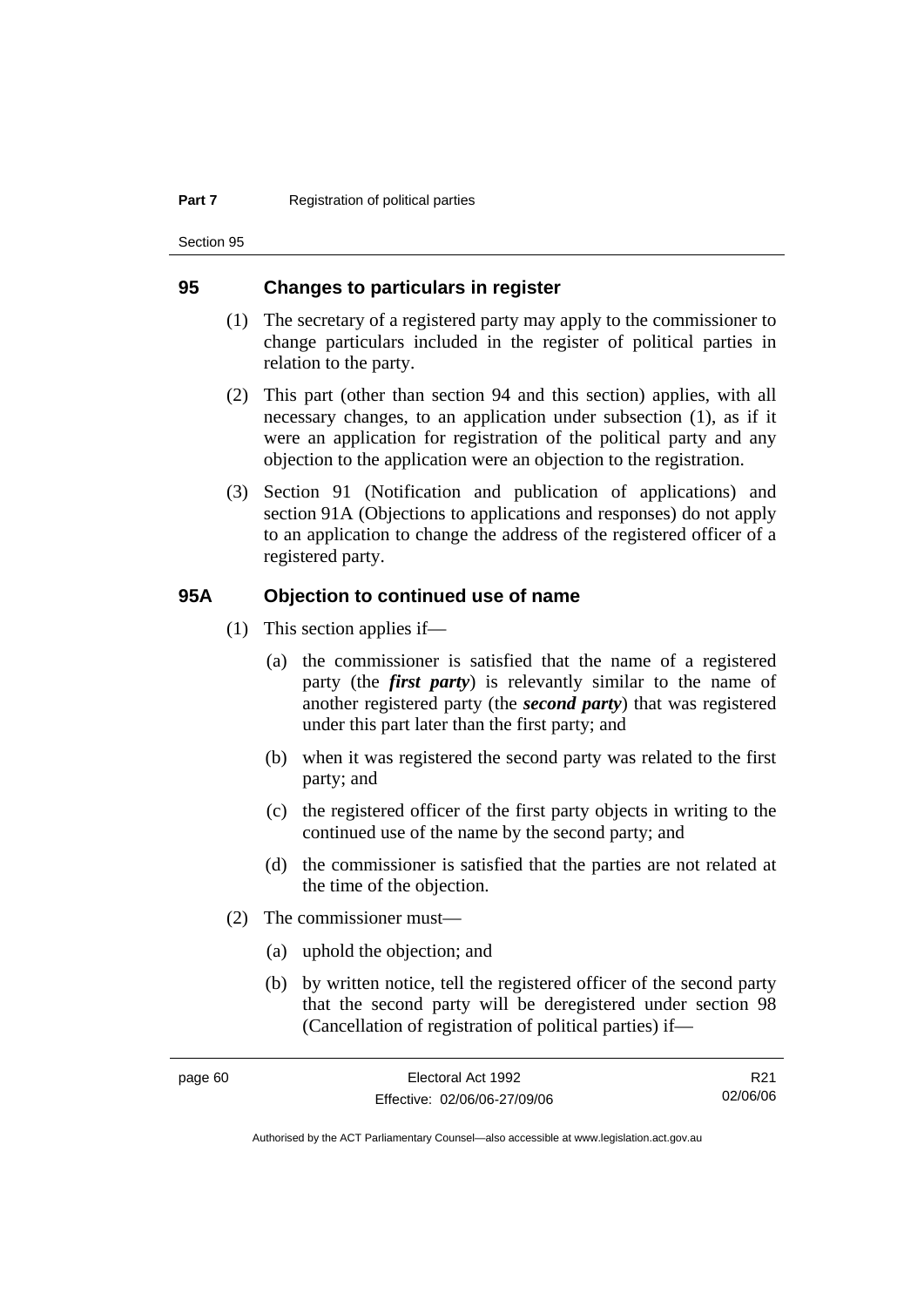Section 95

### **95 Changes to particulars in register**

- (1) The secretary of a registered party may apply to the commissioner to change particulars included in the register of political parties in relation to the party.
- (2) This part (other than section 94 and this section) applies, with all necessary changes, to an application under subsection (1), as if it were an application for registration of the political party and any objection to the application were an objection to the registration.
- (3) Section 91 (Notification and publication of applications) and section 91A (Objections to applications and responses) do not apply to an application to change the address of the registered officer of a registered party.

### **95A Objection to continued use of name**

- (1) This section applies if—
	- (a) the commissioner is satisfied that the name of a registered party (the *first party*) is relevantly similar to the name of another registered party (the *second party*) that was registered under this part later than the first party; and
	- (b) when it was registered the second party was related to the first party; and
	- (c) the registered officer of the first party objects in writing to the continued use of the name by the second party; and
	- (d) the commissioner is satisfied that the parties are not related at the time of the objection.
- (2) The commissioner must—
	- (a) uphold the objection; and
	- (b) by written notice, tell the registered officer of the second party that the second party will be deregistered under section 98 (Cancellation of registration of political parties) if—

R21 02/06/06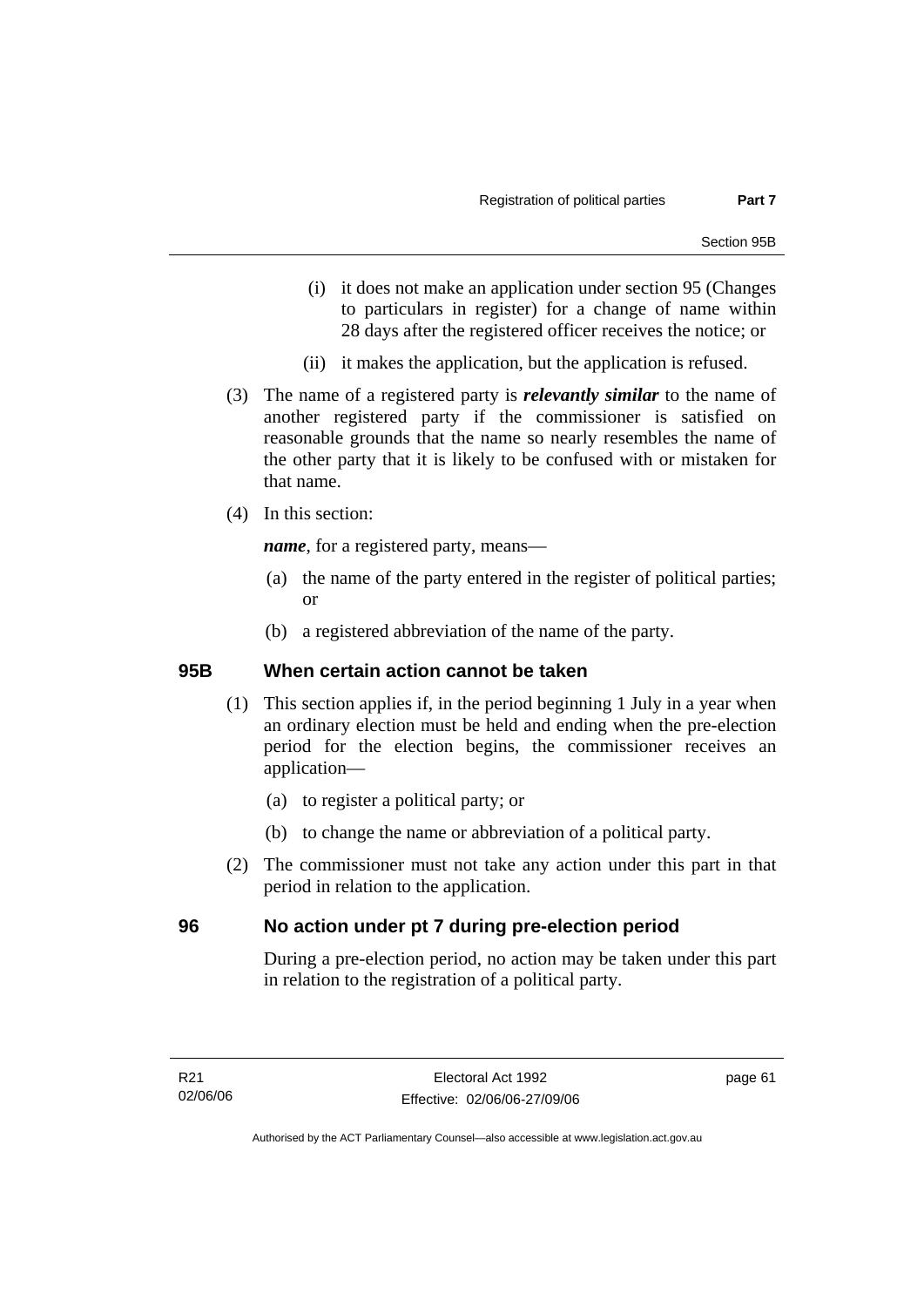- (i) it does not make an application under section 95 (Changes to particulars in register) for a change of name within 28 days after the registered officer receives the notice; or
- (ii) it makes the application, but the application is refused.
- (3) The name of a registered party is *relevantly similar* to the name of another registered party if the commissioner is satisfied on reasonable grounds that the name so nearly resembles the name of the other party that it is likely to be confused with or mistaken for that name.
- (4) In this section:

*name*, for a registered party, means—

- (a) the name of the party entered in the register of political parties; or
- (b) a registered abbreviation of the name of the party.

### **95B When certain action cannot be taken**

- (1) This section applies if, in the period beginning 1 July in a year when an ordinary election must be held and ending when the pre-election period for the election begins, the commissioner receives an application—
	- (a) to register a political party; or
	- (b) to change the name or abbreviation of a political party.
- (2) The commissioner must not take any action under this part in that period in relation to the application.

### **96 No action under pt 7 during pre-election period**

During a pre-election period, no action may be taken under this part in relation to the registration of a political party.

page 61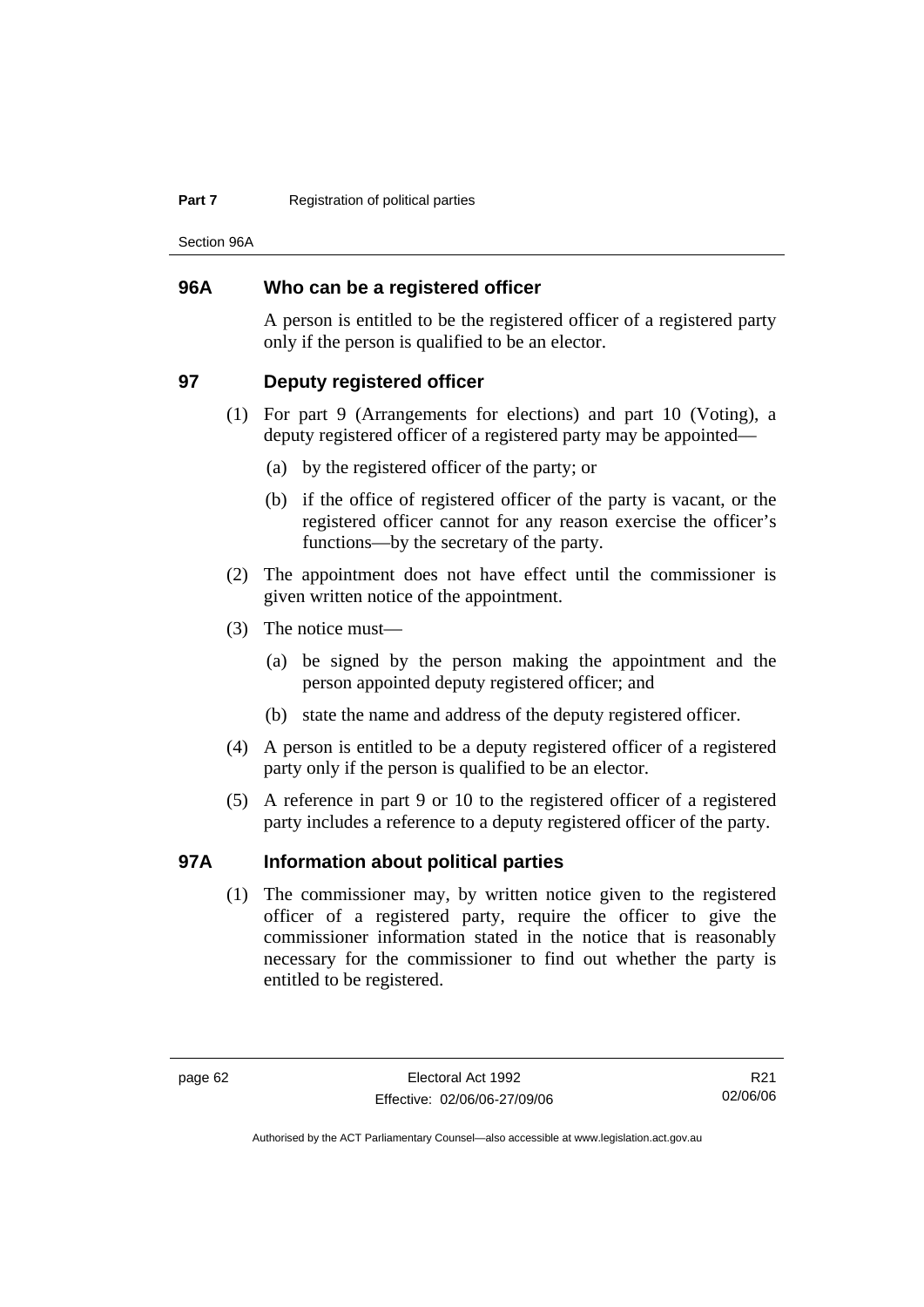#### **Part 7 Registration of political parties**

Section 96A

### **96A Who can be a registered officer**

A person is entitled to be the registered officer of a registered party only if the person is qualified to be an elector.

### **97 Deputy registered officer**

- (1) For part 9 (Arrangements for elections) and part 10 (Voting), a deputy registered officer of a registered party may be appointed—
	- (a) by the registered officer of the party; or
	- (b) if the office of registered officer of the party is vacant, or the registered officer cannot for any reason exercise the officer's functions—by the secretary of the party.
- (2) The appointment does not have effect until the commissioner is given written notice of the appointment.
- (3) The notice must—
	- (a) be signed by the person making the appointment and the person appointed deputy registered officer; and
	- (b) state the name and address of the deputy registered officer.
- (4) A person is entitled to be a deputy registered officer of a registered party only if the person is qualified to be an elector.
- (5) A reference in part 9 or 10 to the registered officer of a registered party includes a reference to a deputy registered officer of the party.

## **97A Information about political parties**

 (1) The commissioner may, by written notice given to the registered officer of a registered party, require the officer to give the commissioner information stated in the notice that is reasonably necessary for the commissioner to find out whether the party is entitled to be registered.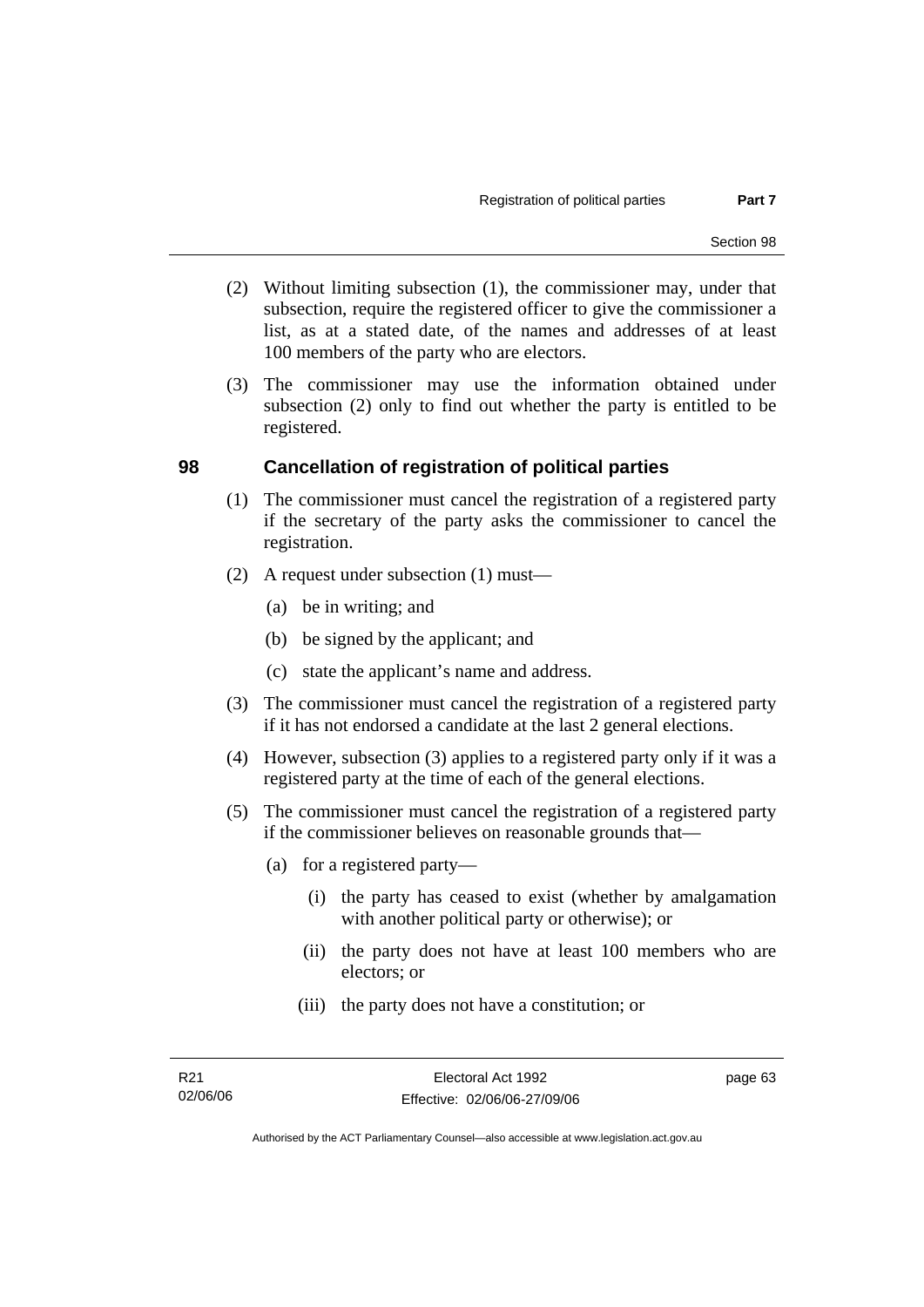- (2) Without limiting subsection (1), the commissioner may, under that subsection, require the registered officer to give the commissioner a list, as at a stated date, of the names and addresses of at least 100 members of the party who are electors.
- (3) The commissioner may use the information obtained under subsection (2) only to find out whether the party is entitled to be registered.

### **98 Cancellation of registration of political parties**

- (1) The commissioner must cancel the registration of a registered party if the secretary of the party asks the commissioner to cancel the registration.
- (2) A request under subsection (1) must—
	- (a) be in writing; and
	- (b) be signed by the applicant; and
	- (c) state the applicant's name and address.
- (3) The commissioner must cancel the registration of a registered party if it has not endorsed a candidate at the last 2 general elections.
- (4) However, subsection (3) applies to a registered party only if it was a registered party at the time of each of the general elections.
- (5) The commissioner must cancel the registration of a registered party if the commissioner believes on reasonable grounds that—
	- (a) for a registered party—
		- (i) the party has ceased to exist (whether by amalgamation with another political party or otherwise); or
		- (ii) the party does not have at least 100 members who are electors; or
		- (iii) the party does not have a constitution; or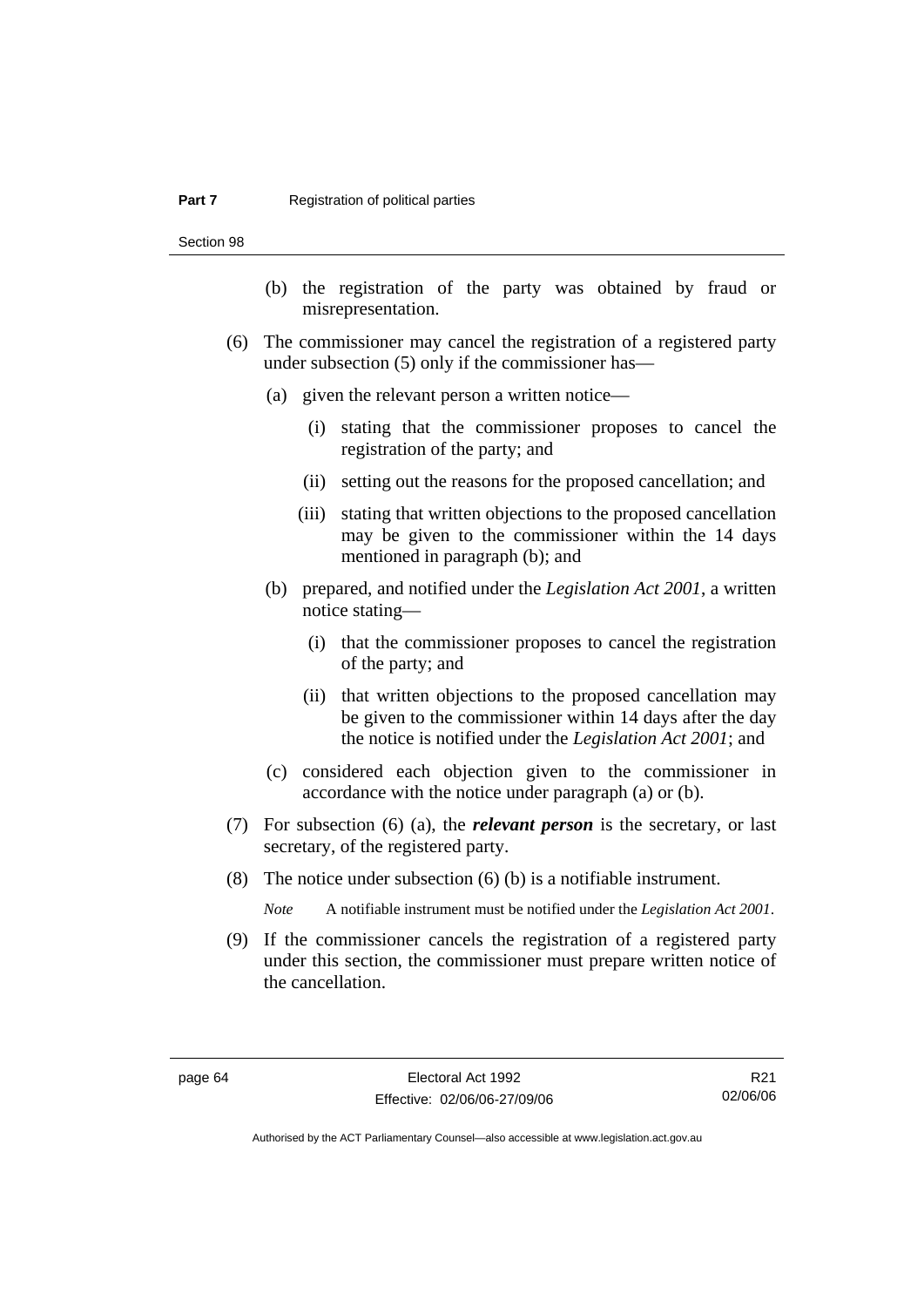#### **Part 7 Registration of political parties**

Section 98

- (b) the registration of the party was obtained by fraud or misrepresentation.
- (6) The commissioner may cancel the registration of a registered party under subsection (5) only if the commissioner has—
	- (a) given the relevant person a written notice—
		- (i) stating that the commissioner proposes to cancel the registration of the party; and
		- (ii) setting out the reasons for the proposed cancellation; and
		- (iii) stating that written objections to the proposed cancellation may be given to the commissioner within the 14 days mentioned in paragraph (b); and
	- (b) prepared, and notified under the *Legislation Act 2001*, a written notice stating—
		- (i) that the commissioner proposes to cancel the registration of the party; and
		- (ii) that written objections to the proposed cancellation may be given to the commissioner within 14 days after the day the notice is notified under the *Legislation Act 2001*; and
	- (c) considered each objection given to the commissioner in accordance with the notice under paragraph (a) or (b).
- (7) For subsection (6) (a), the *relevant person* is the secretary, or last secretary, of the registered party.
- (8) The notice under subsection (6) (b) is a notifiable instrument.

*Note* A notifiable instrument must be notified under the *Legislation Act 2001*.

 (9) If the commissioner cancels the registration of a registered party under this section, the commissioner must prepare written notice of the cancellation.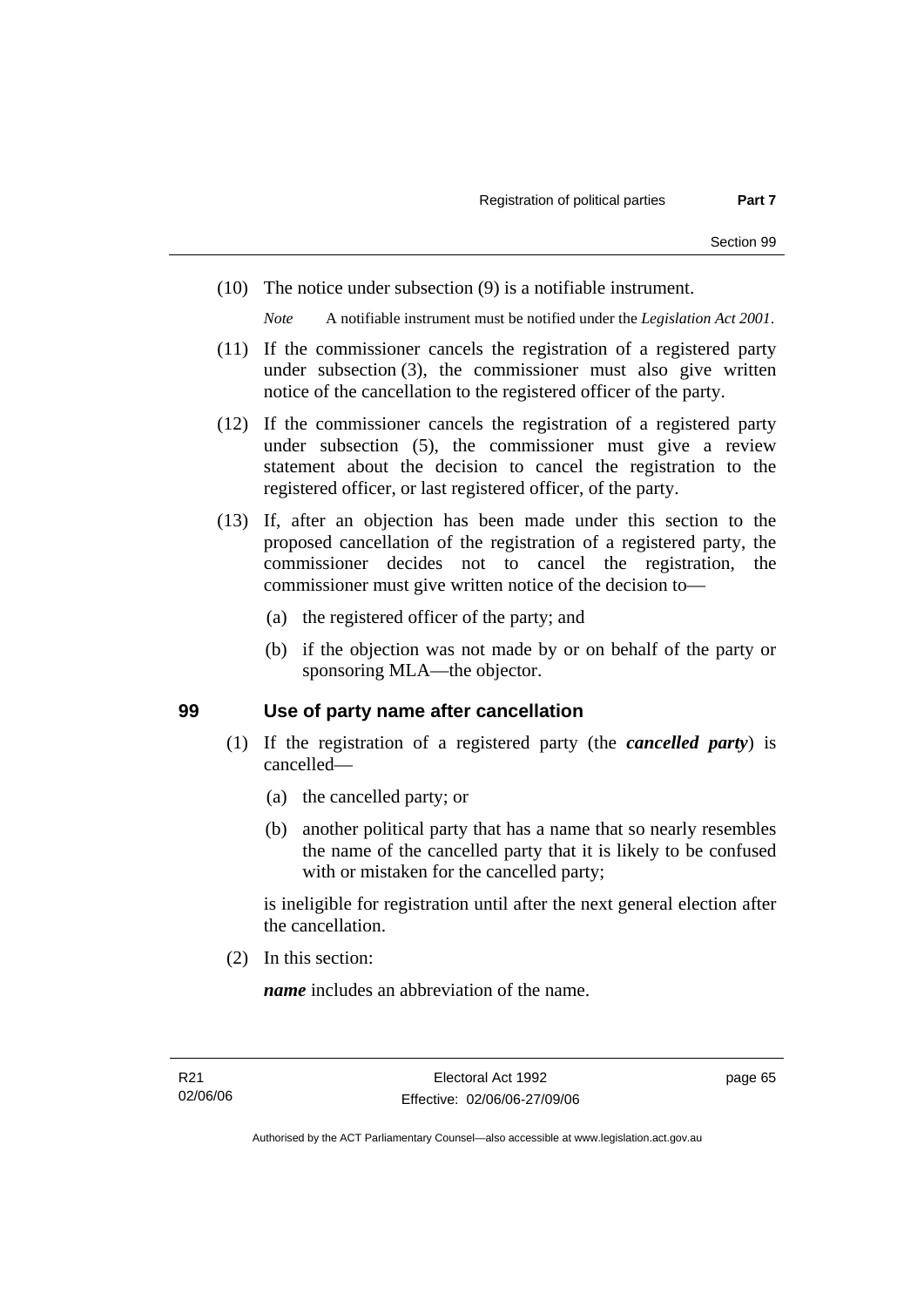(10) The notice under subsection (9) is a notifiable instrument.

*Note* A notifiable instrument must be notified under the *Legislation Act 2001*.

- (11) If the commissioner cancels the registration of a registered party under subsection (3), the commissioner must also give written notice of the cancellation to the registered officer of the party.
- (12) If the commissioner cancels the registration of a registered party under subsection (5), the commissioner must give a review statement about the decision to cancel the registration to the registered officer, or last registered officer, of the party.
- (13) If, after an objection has been made under this section to the proposed cancellation of the registration of a registered party, the commissioner decides not to cancel the registration, the commissioner must give written notice of the decision to—
	- (a) the registered officer of the party; and
	- (b) if the objection was not made by or on behalf of the party or sponsoring MLA—the objector.

### **99 Use of party name after cancellation**

- (1) If the registration of a registered party (the *cancelled party*) is cancelled—
	- (a) the cancelled party; or
	- (b) another political party that has a name that so nearly resembles the name of the cancelled party that it is likely to be confused with or mistaken for the cancelled party;

is ineligible for registration until after the next general election after the cancellation.

(2) In this section:

*name* includes an abbreviation of the name.

page 65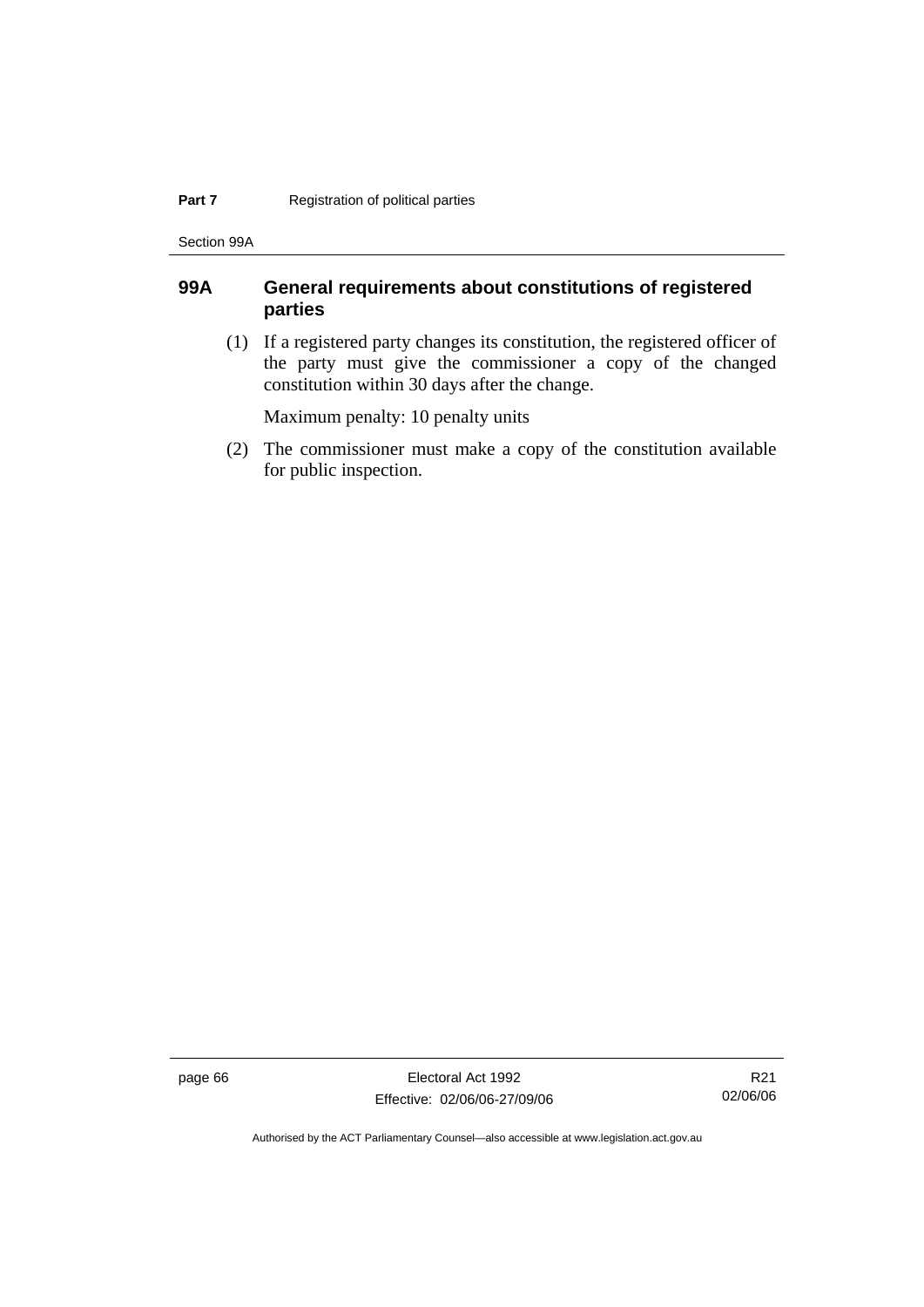#### **Part 7 Registration of political parties**

Section 99A

### **99A General requirements about constitutions of registered parties**

 (1) If a registered party changes its constitution, the registered officer of the party must give the commissioner a copy of the changed constitution within 30 days after the change.

Maximum penalty: 10 penalty units

 (2) The commissioner must make a copy of the constitution available for public inspection.

page 66 Electoral Act 1992 Effective: 02/06/06-27/09/06

R21 02/06/06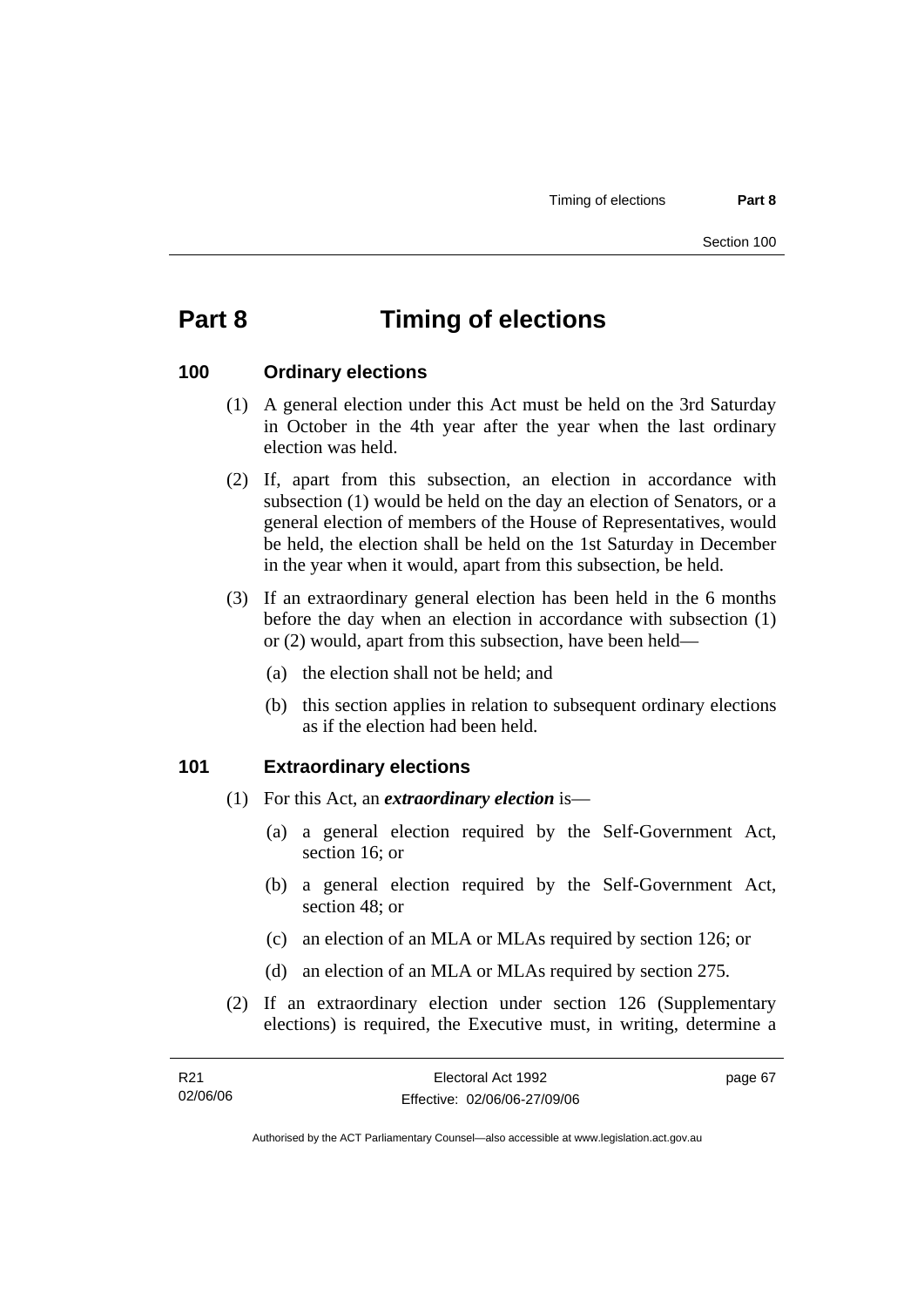## **Part 8 Timing of elections**

### **100 Ordinary elections**

- (1) A general election under this Act must be held on the 3rd Saturday in October in the 4th year after the year when the last ordinary election was held.
- (2) If, apart from this subsection, an election in accordance with subsection (1) would be held on the day an election of Senators, or a general election of members of the House of Representatives, would be held, the election shall be held on the 1st Saturday in December in the year when it would, apart from this subsection, be held.
- (3) If an extraordinary general election has been held in the 6 months before the day when an election in accordance with subsection (1) or (2) would, apart from this subsection, have been held—
	- (a) the election shall not be held; and
	- (b) this section applies in relation to subsequent ordinary elections as if the election had been held.

### **101 Extraordinary elections**

- (1) For this Act, an *extraordinary election* is—
	- (a) a general election required by the Self-Government Act, section 16; or
	- (b) a general election required by the Self-Government Act, section 48; or
	- (c) an election of an MLA or MLAs required by section 126; or
	- (d) an election of an MLA or MLAs required by section 275.
- (2) If an extraordinary election under section 126 (Supplementary elections) is required, the Executive must, in writing, determine a

| R21      | Electoral Act 1992           | page 67 |
|----------|------------------------------|---------|
| 02/06/06 | Effective: 02/06/06-27/09/06 |         |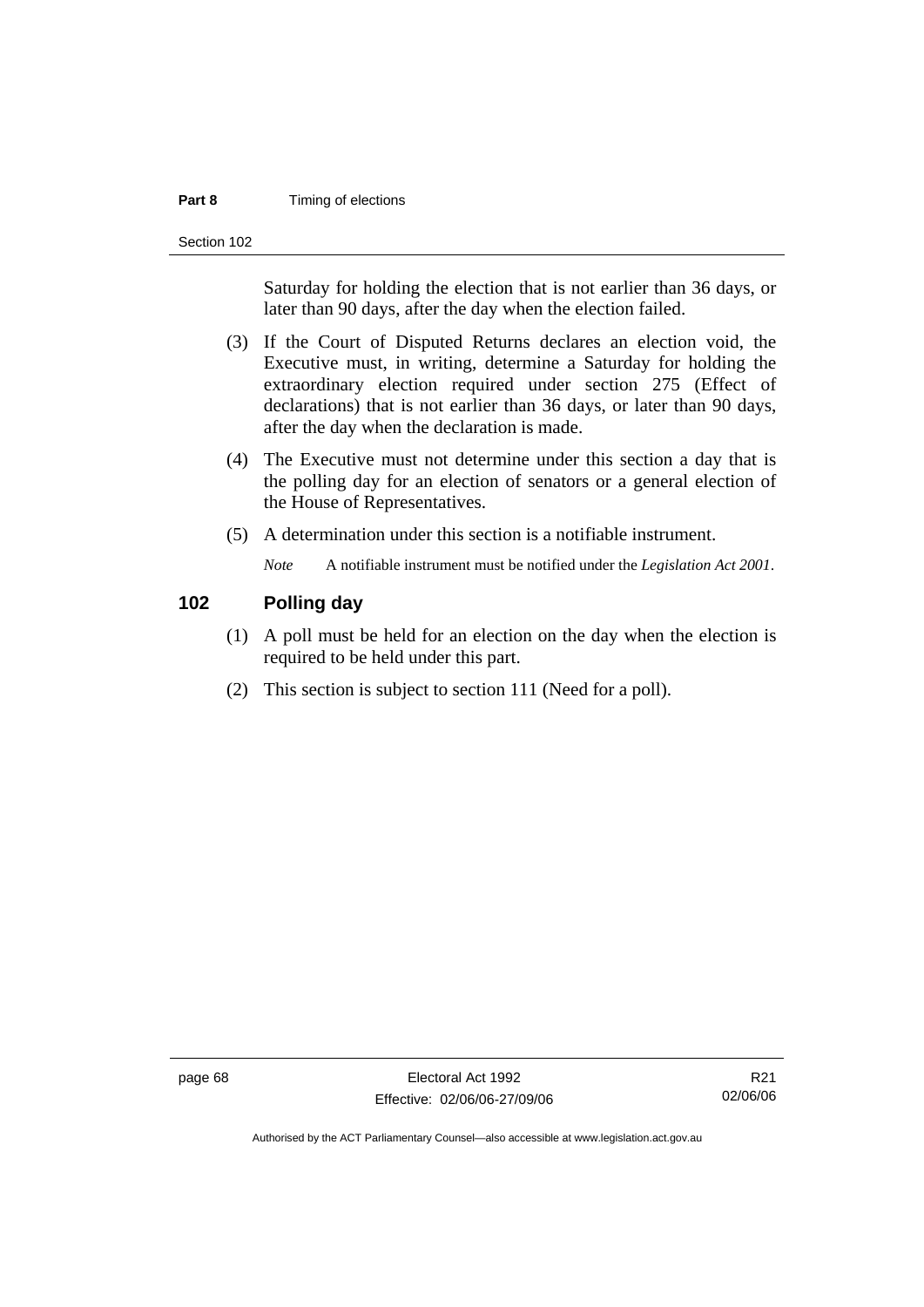#### **Part 8 Timing of elections**

Section 102

Saturday for holding the election that is not earlier than 36 days, or later than 90 days, after the day when the election failed.

- (3) If the Court of Disputed Returns declares an election void, the Executive must, in writing, determine a Saturday for holding the extraordinary election required under section 275 (Effect of declarations) that is not earlier than 36 days, or later than 90 days, after the day when the declaration is made.
- (4) The Executive must not determine under this section a day that is the polling day for an election of senators or a general election of the House of Representatives.
- (5) A determination under this section is a notifiable instrument.

*Note* A notifiable instrument must be notified under the *Legislation Act 2001*.

### **102 Polling day**

- (1) A poll must be held for an election on the day when the election is required to be held under this part.
- (2) This section is subject to section 111 (Need for a poll).

page 68 Electoral Act 1992 Effective: 02/06/06-27/09/06

R21 02/06/06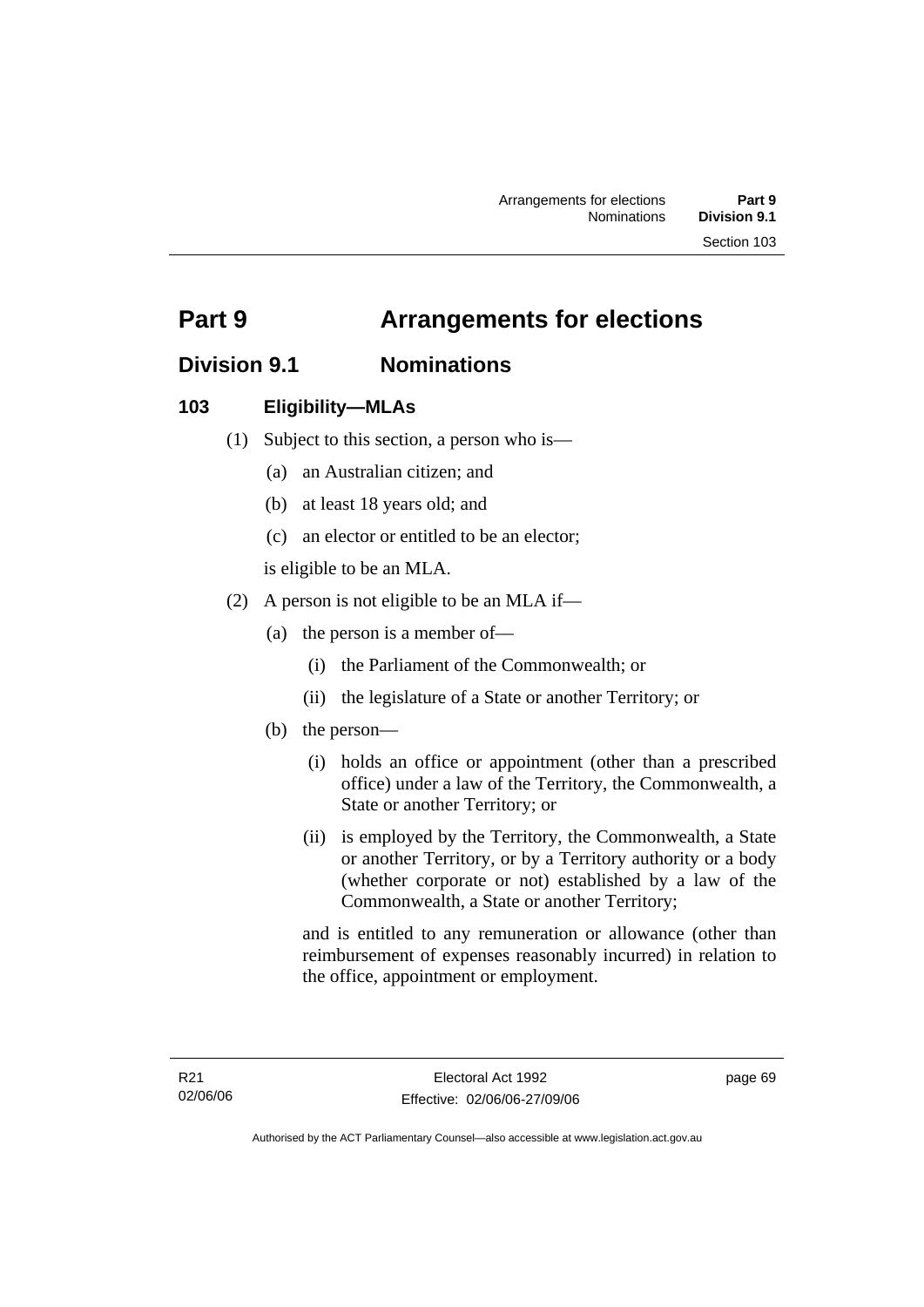# **Part 9 Arrangements for elections**

## **Division 9.1 Nominations**

## **103 Eligibility—MLAs**

- (1) Subject to this section, a person who is—
	- (a) an Australian citizen; and
	- (b) at least 18 years old; and
	- (c) an elector or entitled to be an elector;

is eligible to be an MLA.

- (2) A person is not eligible to be an MLA if—
	- (a) the person is a member of—
		- (i) the Parliament of the Commonwealth; or
		- (ii) the legislature of a State or another Territory; or
	- (b) the person—
		- (i) holds an office or appointment (other than a prescribed office) under a law of the Territory, the Commonwealth, a State or another Territory; or
		- (ii) is employed by the Territory, the Commonwealth, a State or another Territory, or by a Territory authority or a body (whether corporate or not) established by a law of the Commonwealth, a State or another Territory;

and is entitled to any remuneration or allowance (other than reimbursement of expenses reasonably incurred) in relation to the office, appointment or employment.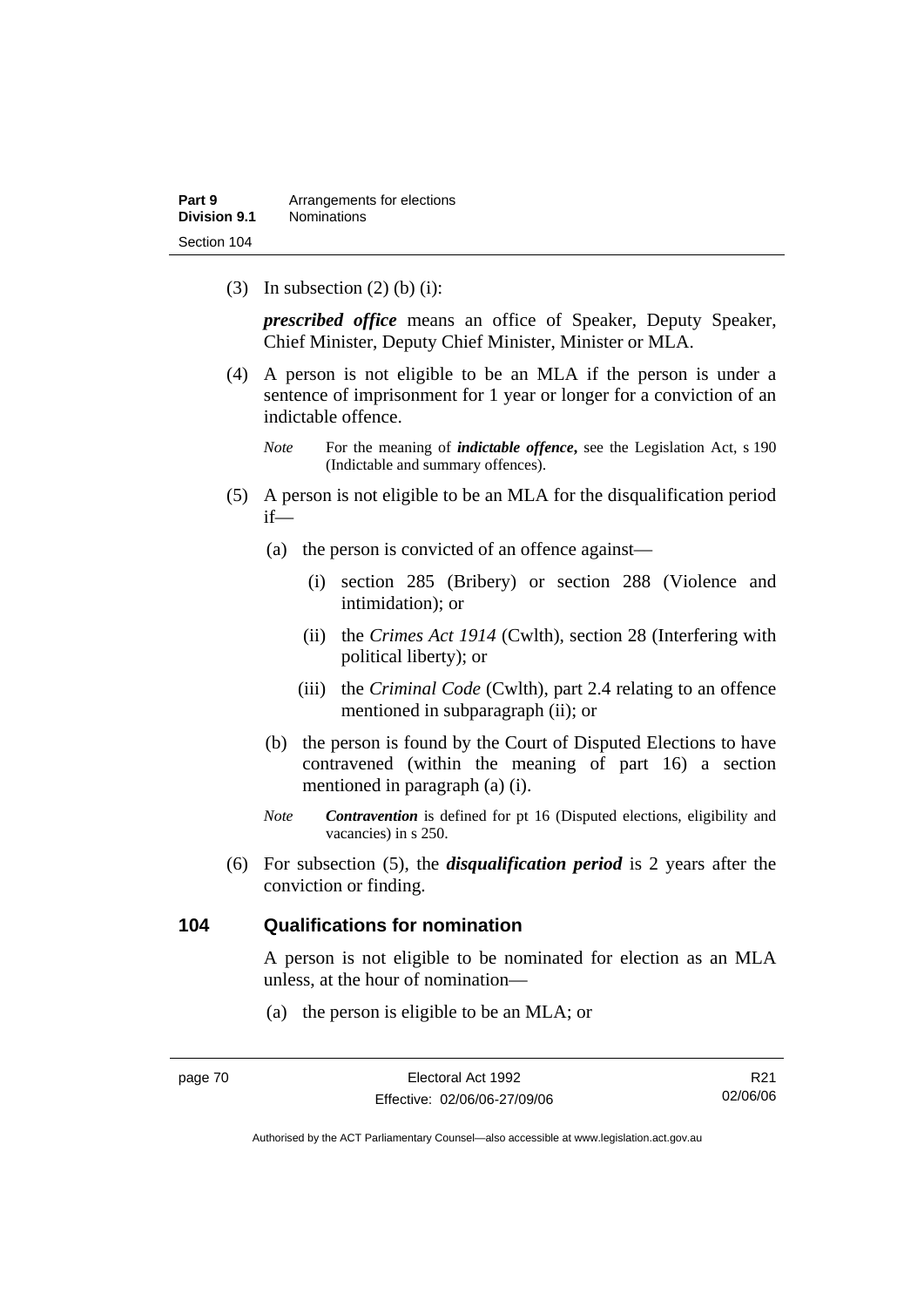(3) In subsection  $(2)$  (b) (i):

*prescribed office* means an office of Speaker, Deputy Speaker, Chief Minister, Deputy Chief Minister, Minister or MLA.

- (4) A person is not eligible to be an MLA if the person is under a sentence of imprisonment for 1 year or longer for a conviction of an indictable offence.
	- *Note* For the meaning of *indictable offence*, see the Legislation Act, s 190 (Indictable and summary offences).
- (5) A person is not eligible to be an MLA for the disqualification period if—
	- (a) the person is convicted of an offence against—
		- (i) section 285 (Bribery) or section 288 (Violence and intimidation); or
		- (ii) the *Crimes Act 1914* (Cwlth), section 28 (Interfering with political liberty); or
		- (iii) the *Criminal Code* (Cwlth), part 2.4 relating to an offence mentioned in subparagraph (ii); or
	- (b) the person is found by the Court of Disputed Elections to have contravened (within the meaning of part 16) a section mentioned in paragraph (a) (i).
	- *Note Contravention* is defined for pt 16 (Disputed elections, eligibility and vacancies) in s 250.
- (6) For subsection (5), the *disqualification period* is 2 years after the conviction or finding.

### **104 Qualifications for nomination**

A person is not eligible to be nominated for election as an MLA unless, at the hour of nomination—

(a) the person is eligible to be an MLA; or

R21 02/06/06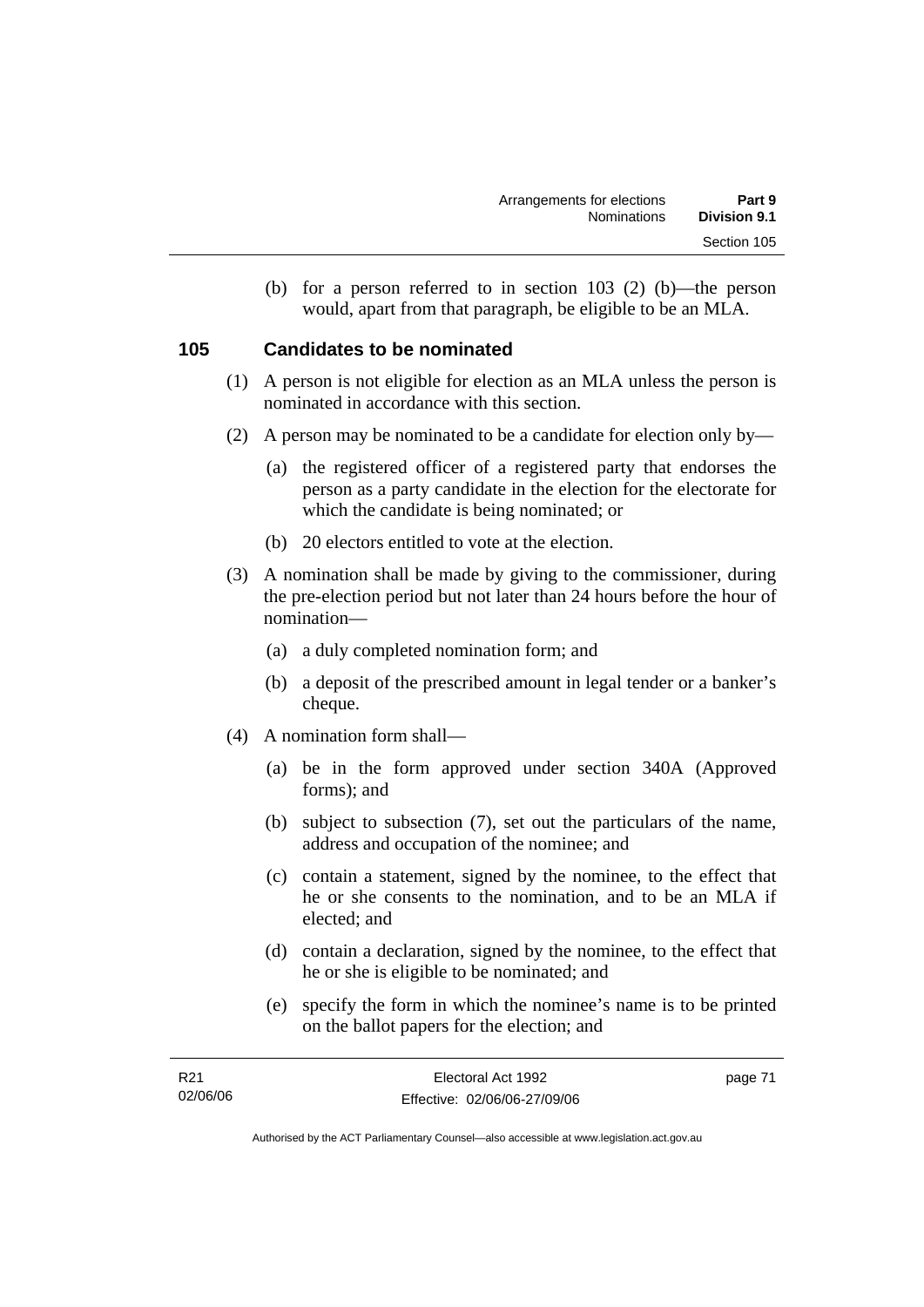(b) for a person referred to in section 103 (2) (b)—the person would, apart from that paragraph, be eligible to be an MLA.

### **105 Candidates to be nominated**

- (1) A person is not eligible for election as an MLA unless the person is nominated in accordance with this section.
- (2) A person may be nominated to be a candidate for election only by—
	- (a) the registered officer of a registered party that endorses the person as a party candidate in the election for the electorate for which the candidate is being nominated; or
	- (b) 20 electors entitled to vote at the election.
- (3) A nomination shall be made by giving to the commissioner, during the pre-election period but not later than 24 hours before the hour of nomination—
	- (a) a duly completed nomination form; and
	- (b) a deposit of the prescribed amount in legal tender or a banker's cheque.
- (4) A nomination form shall—
	- (a) be in the form approved under section 340A (Approved forms); and
	- (b) subject to subsection (7), set out the particulars of the name, address and occupation of the nominee; and
	- (c) contain a statement, signed by the nominee, to the effect that he or she consents to the nomination, and to be an MLA if elected; and
	- (d) contain a declaration, signed by the nominee, to the effect that he or she is eligible to be nominated; and
	- (e) specify the form in which the nominee's name is to be printed on the ballot papers for the election; and

| R21      | Electoral Act 1992           | page 71 |
|----------|------------------------------|---------|
| 02/06/06 | Effective: 02/06/06-27/09/06 |         |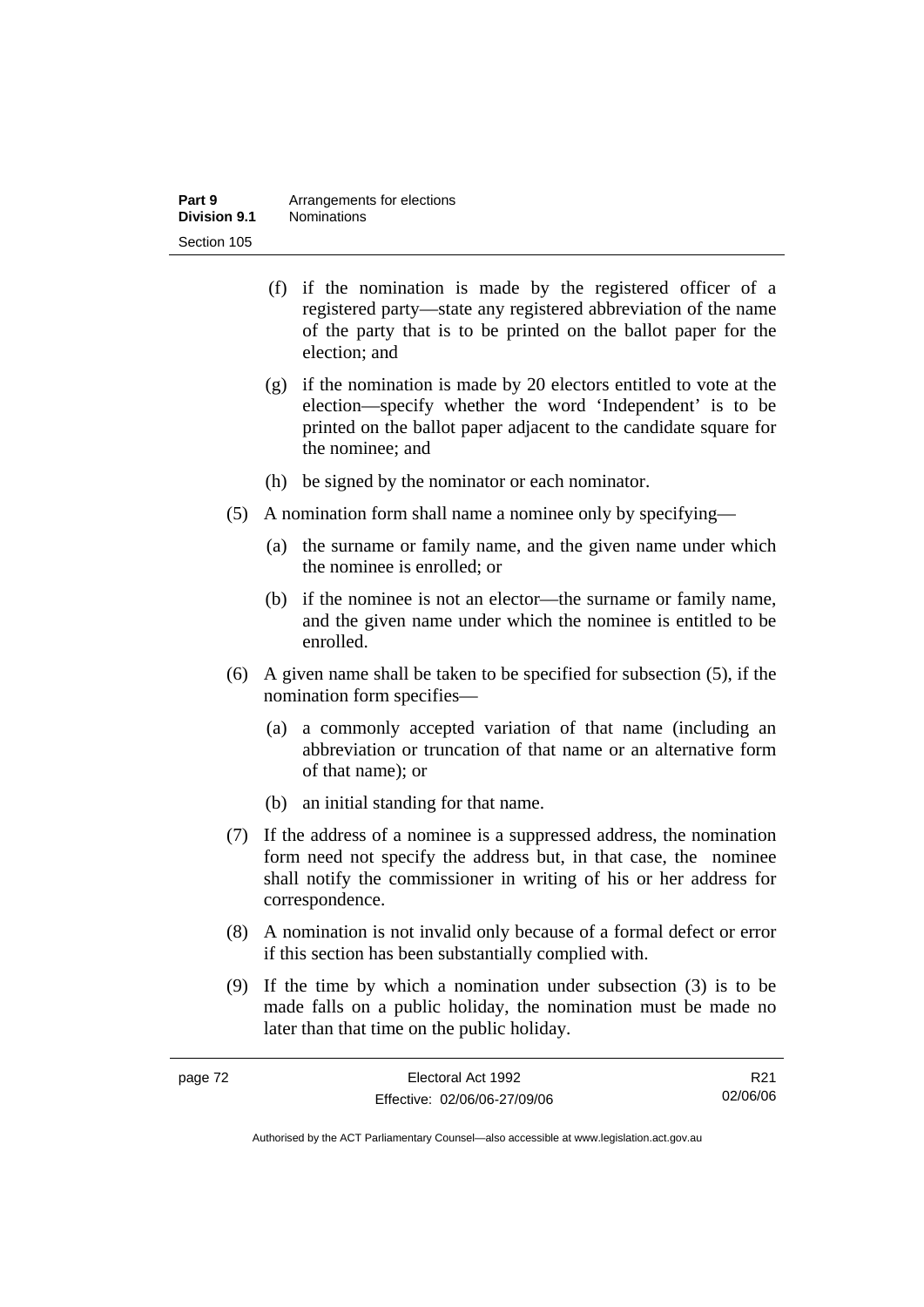| Part 9       | Arrangements for elections |
|--------------|----------------------------|
| Division 9.1 | <b>Nominations</b>         |
| Section 105  |                            |

- (f) if the nomination is made by the registered officer of a registered party—state any registered abbreviation of the name of the party that is to be printed on the ballot paper for the election; and
- (g) if the nomination is made by 20 electors entitled to vote at the election—specify whether the word 'Independent' is to be printed on the ballot paper adjacent to the candidate square for the nominee; and
- (h) be signed by the nominator or each nominator.
- (5) A nomination form shall name a nominee only by specifying—
	- (a) the surname or family name, and the given name under which the nominee is enrolled; or
	- (b) if the nominee is not an elector—the surname or family name, and the given name under which the nominee is entitled to be enrolled.
- (6) A given name shall be taken to be specified for subsection (5), if the nomination form specifies—
	- (a) a commonly accepted variation of that name (including an abbreviation or truncation of that name or an alternative form of that name); or
	- (b) an initial standing for that name.
- (7) If the address of a nominee is a suppressed address, the nomination form need not specify the address but, in that case, the nominee shall notify the commissioner in writing of his or her address for correspondence.
- (8) A nomination is not invalid only because of a formal defect or error if this section has been substantially complied with.
- (9) If the time by which a nomination under subsection (3) is to be made falls on a public holiday, the nomination must be made no later than that time on the public holiday.

| page 72 | Electoral Act 1992           | R <sub>21</sub> |
|---------|------------------------------|-----------------|
|         | Effective: 02/06/06-27/09/06 | 02/06/06        |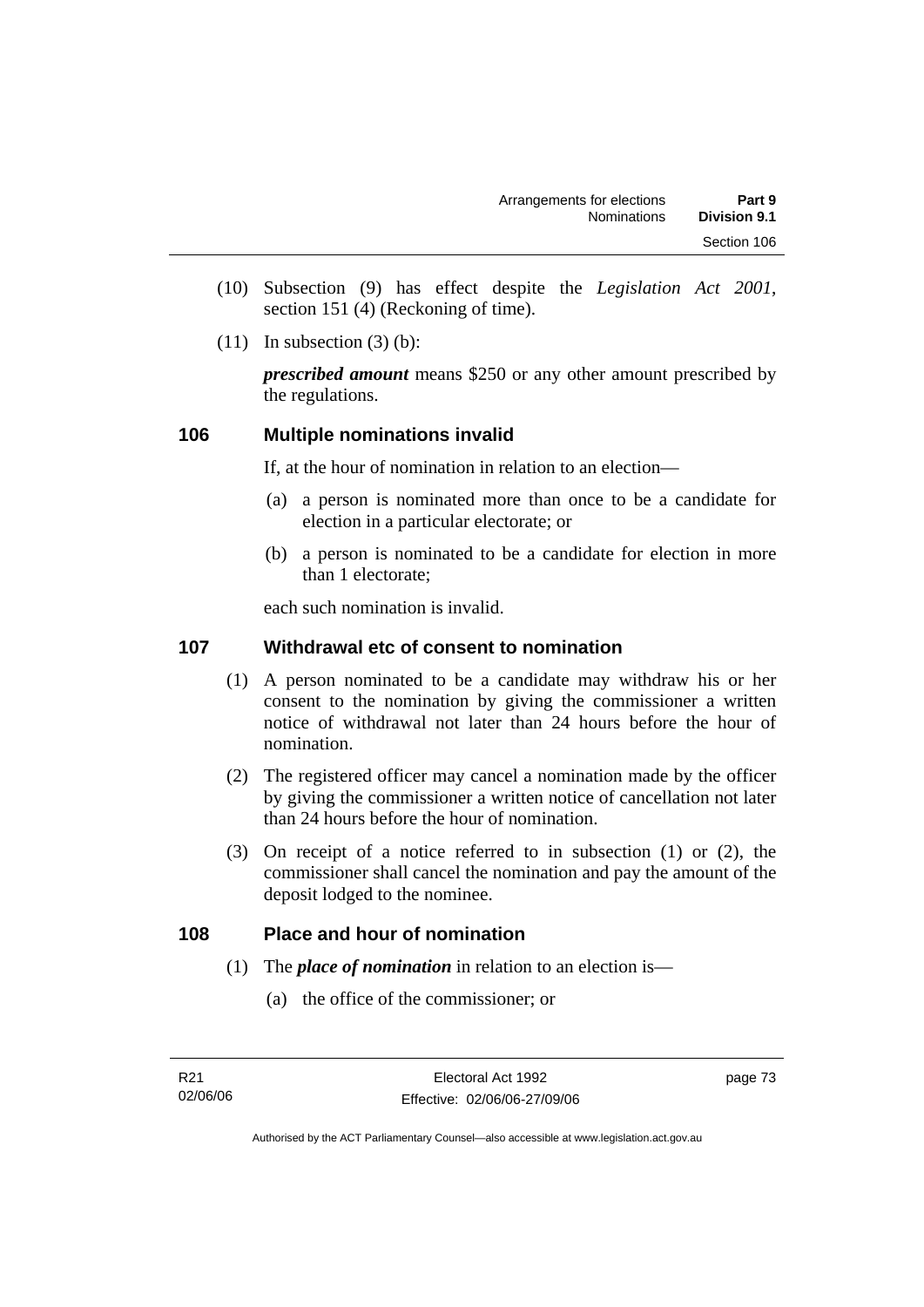- (10) Subsection (9) has effect despite the *Legislation Act 2001*, section 151 (4) (Reckoning of time).
- $(11)$  In subsection  $(3)$  (b):

*prescribed amount* means \$250 or any other amount prescribed by the regulations.

### **106 Multiple nominations invalid**

If, at the hour of nomination in relation to an election—

- (a) a person is nominated more than once to be a candidate for election in a particular electorate; or
- (b) a person is nominated to be a candidate for election in more than 1 electorate;

each such nomination is invalid.

### **107 Withdrawal etc of consent to nomination**

- (1) A person nominated to be a candidate may withdraw his or her consent to the nomination by giving the commissioner a written notice of withdrawal not later than 24 hours before the hour of nomination.
- (2) The registered officer may cancel a nomination made by the officer by giving the commissioner a written notice of cancellation not later than 24 hours before the hour of nomination.
- (3) On receipt of a notice referred to in subsection (1) or (2), the commissioner shall cancel the nomination and pay the amount of the deposit lodged to the nominee.

### **108 Place and hour of nomination**

- (1) The *place of nomination* in relation to an election is—
	- (a) the office of the commissioner; or

page 73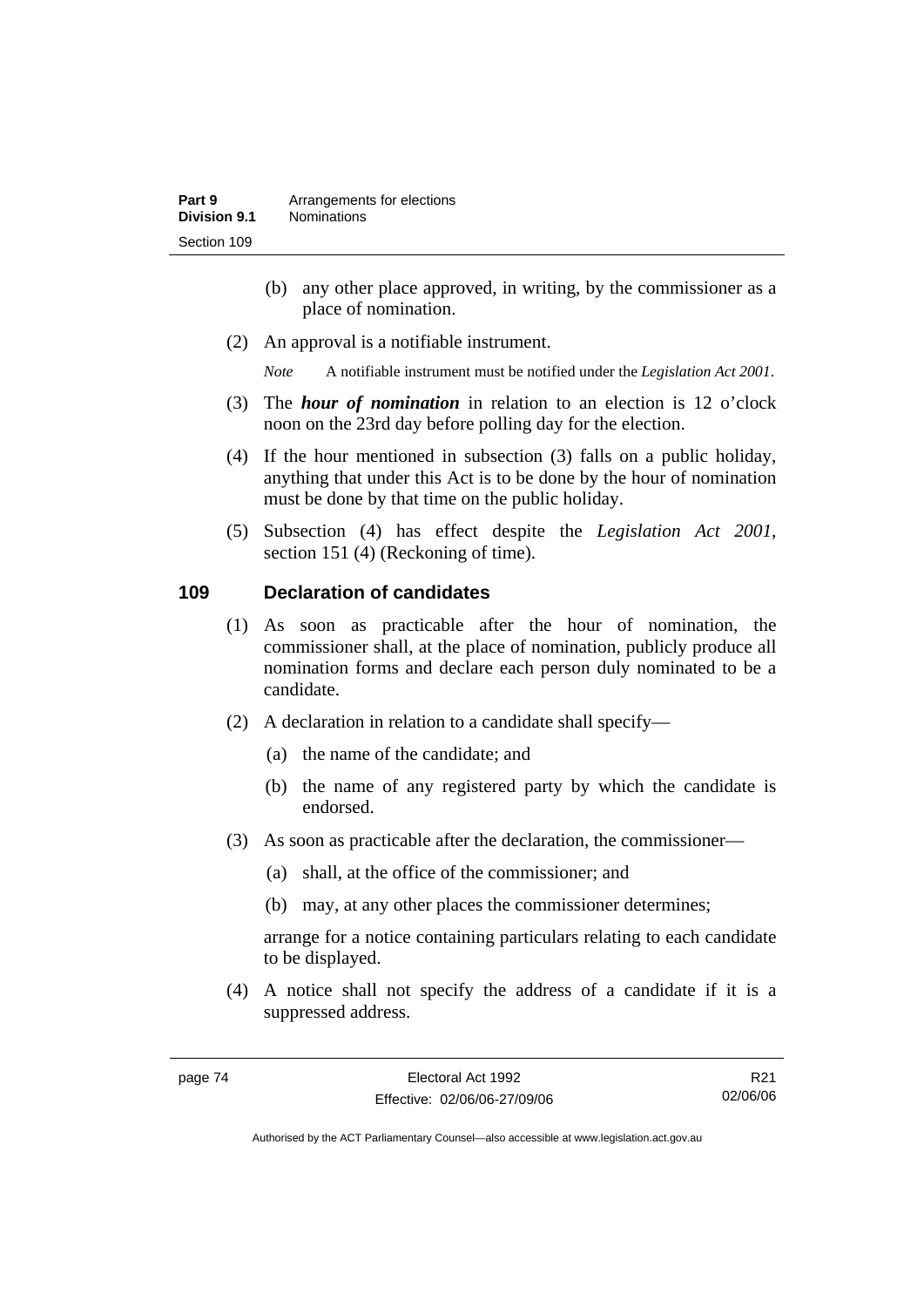- (b) any other place approved, in writing, by the commissioner as a place of nomination.
- (2) An approval is a notifiable instrument.

*Note* A notifiable instrument must be notified under the *Legislation Act 2001*.

- (3) The *hour of nomination* in relation to an election is 12 o'clock noon on the 23rd day before polling day for the election.
- (4) If the hour mentioned in subsection (3) falls on a public holiday, anything that under this Act is to be done by the hour of nomination must be done by that time on the public holiday.
- (5) Subsection (4) has effect despite the *Legislation Act 2001*, section 151 (4) (Reckoning of time).

### **109 Declaration of candidates**

- (1) As soon as practicable after the hour of nomination, the commissioner shall, at the place of nomination, publicly produce all nomination forms and declare each person duly nominated to be a candidate.
- (2) A declaration in relation to a candidate shall specify—
	- (a) the name of the candidate; and
	- (b) the name of any registered party by which the candidate is endorsed.
- (3) As soon as practicable after the declaration, the commissioner—
	- (a) shall, at the office of the commissioner; and
	- (b) may, at any other places the commissioner determines;

arrange for a notice containing particulars relating to each candidate to be displayed.

 (4) A notice shall not specify the address of a candidate if it is a suppressed address.

R21 02/06/06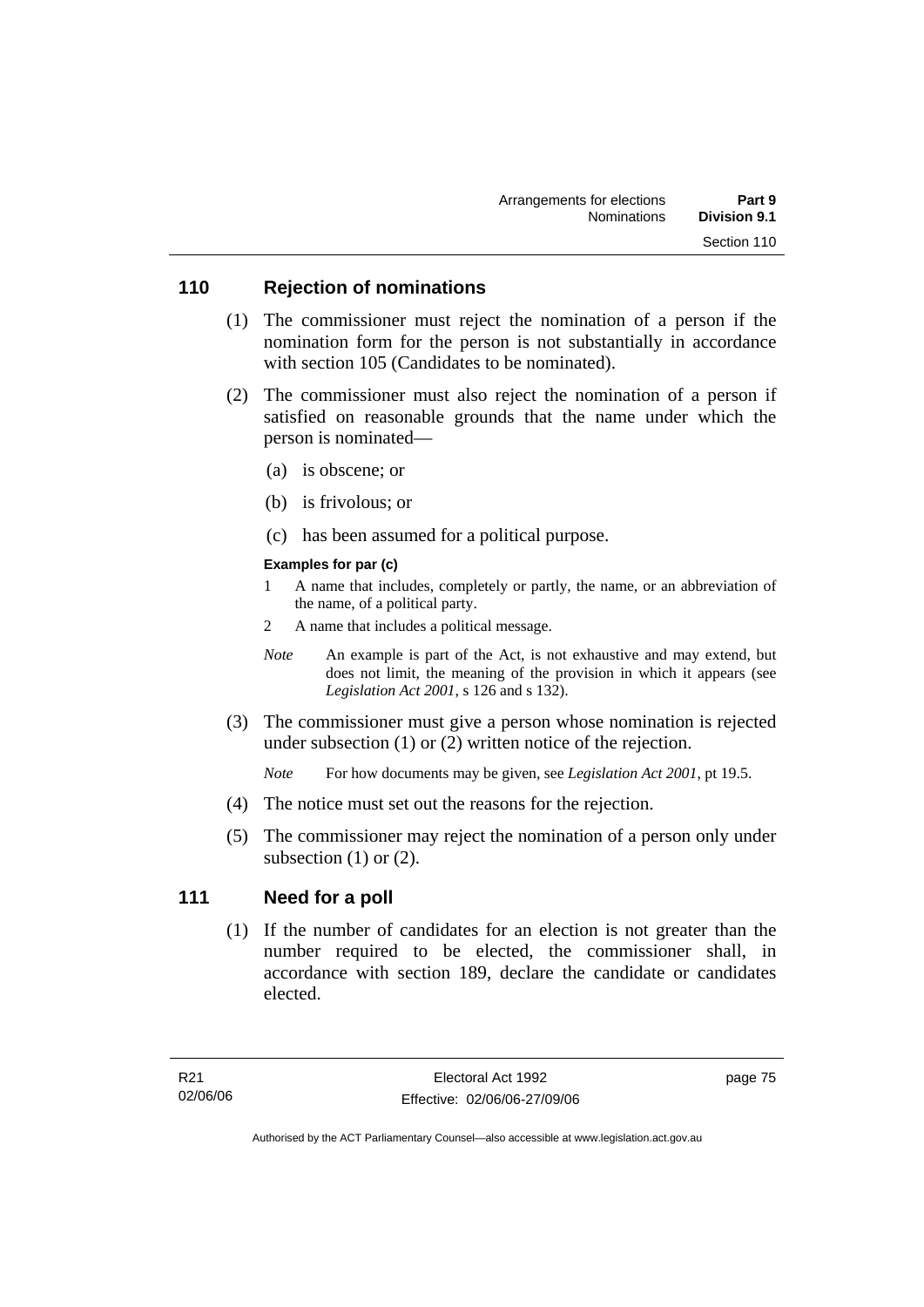### **110 Rejection of nominations**

- (1) The commissioner must reject the nomination of a person if the nomination form for the person is not substantially in accordance with section 105 (Candidates to be nominated).
- (2) The commissioner must also reject the nomination of a person if satisfied on reasonable grounds that the name under which the person is nominated—
	- (a) is obscene; or
	- (b) is frivolous; or
	- (c) has been assumed for a political purpose.

#### **Examples for par (c)**

- 1 A name that includes, completely or partly, the name, or an abbreviation of the name, of a political party.
- 2 A name that includes a political message.
- *Note* An example is part of the Act, is not exhaustive and may extend, but does not limit, the meaning of the provision in which it appears (see *Legislation Act 2001*, s 126 and s 132).
- (3) The commissioner must give a person whose nomination is rejected under subsection (1) or (2) written notice of the rejection.

*Note* For how documents may be given, see *Legislation Act 2001*, pt 19.5.

- (4) The notice must set out the reasons for the rejection.
- (5) The commissioner may reject the nomination of a person only under subsection  $(1)$  or  $(2)$ .

### **111 Need for a poll**

 (1) If the number of candidates for an election is not greater than the number required to be elected, the commissioner shall, in accordance with section 189, declare the candidate or candidates elected.

page 75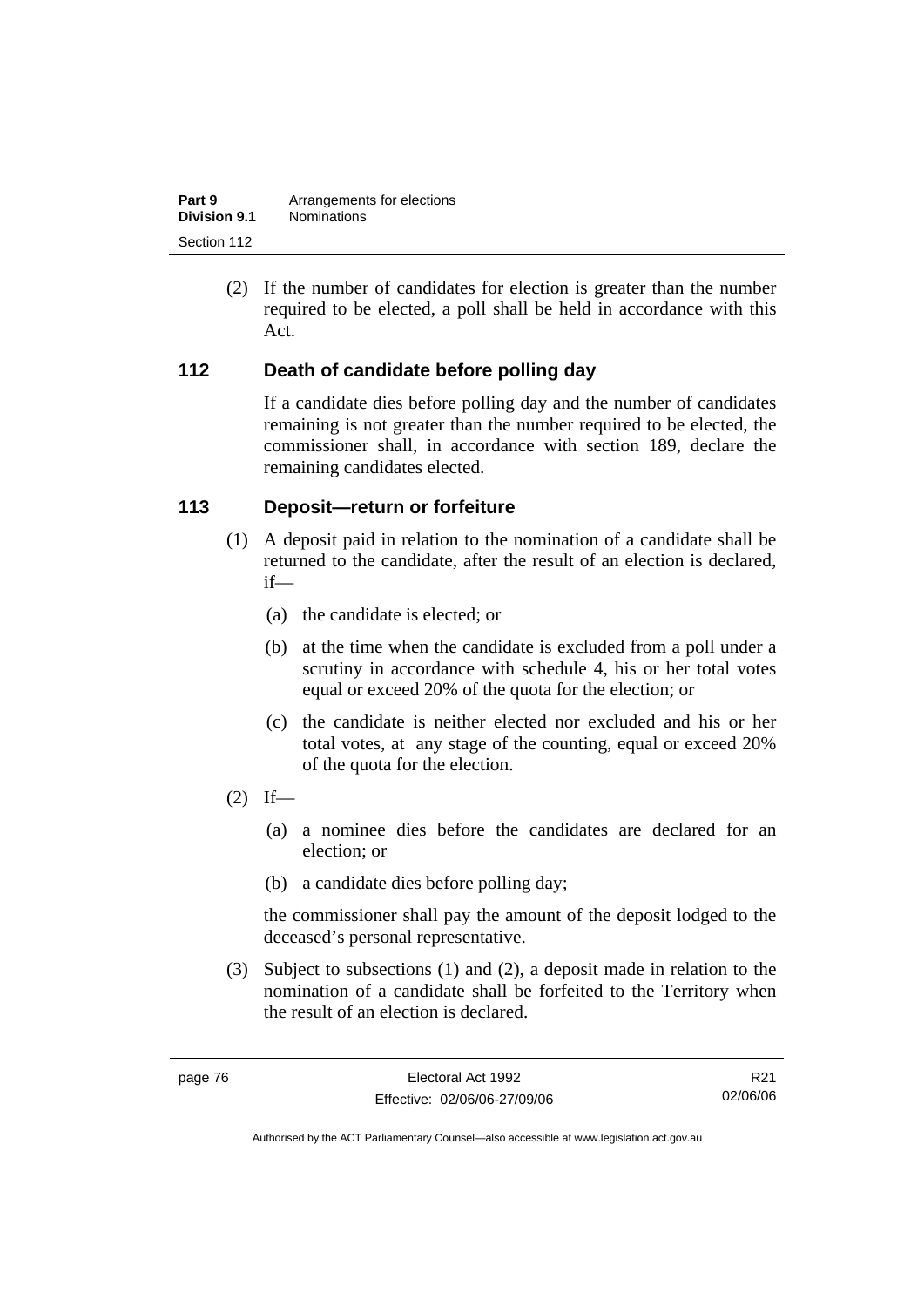| Part 9              | Arrangements for elections |
|---------------------|----------------------------|
| <b>Division 9.1</b> | <b>Nominations</b>         |
| Section 112         |                            |

 (2) If the number of candidates for election is greater than the number required to be elected, a poll shall be held in accordance with this Act.

### **112 Death of candidate before polling day**

If a candidate dies before polling day and the number of candidates remaining is not greater than the number required to be elected, the commissioner shall, in accordance with section 189, declare the remaining candidates elected.

### **113 Deposit—return or forfeiture**

- (1) A deposit paid in relation to the nomination of a candidate shall be returned to the candidate, after the result of an election is declared, if—
	- (a) the candidate is elected; or
	- (b) at the time when the candidate is excluded from a poll under a scrutiny in accordance with schedule 4, his or her total votes equal or exceed 20% of the quota for the election; or
	- (c) the candidate is neither elected nor excluded and his or her total votes, at any stage of the counting, equal or exceed 20% of the quota for the election.
- $(2)$  If—
	- (a) a nominee dies before the candidates are declared for an election; or
	- (b) a candidate dies before polling day;

the commissioner shall pay the amount of the deposit lodged to the deceased's personal representative.

 (3) Subject to subsections (1) and (2), a deposit made in relation to the nomination of a candidate shall be forfeited to the Territory when the result of an election is declared.

R21 02/06/06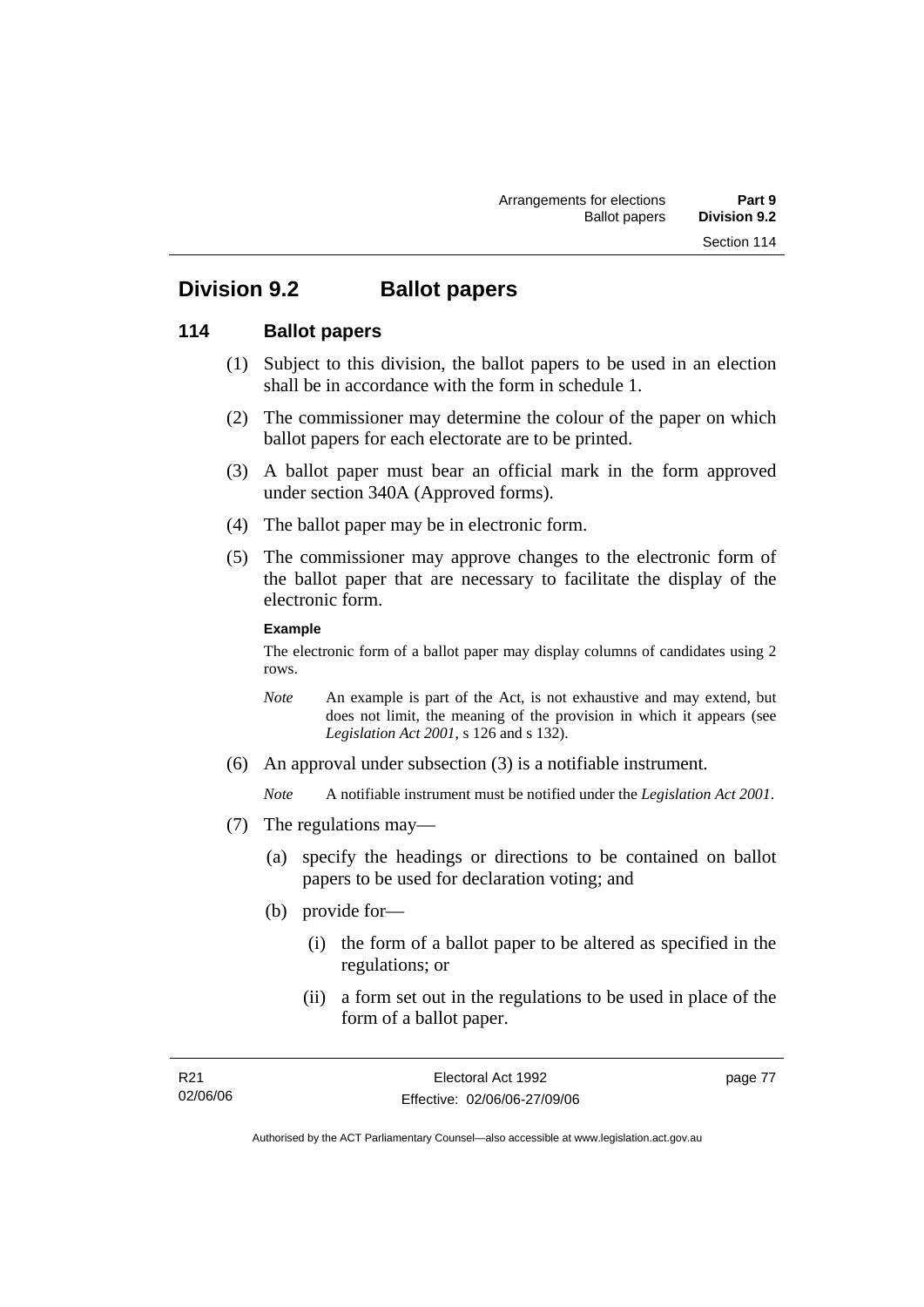## **Division 9.2 Ballot papers**

### **114 Ballot papers**

- (1) Subject to this division, the ballot papers to be used in an election shall be in accordance with the form in schedule 1.
- (2) The commissioner may determine the colour of the paper on which ballot papers for each electorate are to be printed.
- (3) A ballot paper must bear an official mark in the form approved under section 340A (Approved forms).
- (4) The ballot paper may be in electronic form.
- (5) The commissioner may approve changes to the electronic form of the ballot paper that are necessary to facilitate the display of the electronic form.

#### **Example**

The electronic form of a ballot paper may display columns of candidates using 2 rows.

- *Note* An example is part of the Act, is not exhaustive and may extend, but does not limit, the meaning of the provision in which it appears (see *Legislation Act 2001*, s 126 and s 132).
- (6) An approval under subsection (3) is a notifiable instrument.

*Note* A notifiable instrument must be notified under the *Legislation Act 2001*.

- (7) The regulations may—
	- (a) specify the headings or directions to be contained on ballot papers to be used for declaration voting; and
	- (b) provide for—
		- (i) the form of a ballot paper to be altered as specified in the regulations; or
		- (ii) a form set out in the regulations to be used in place of the form of a ballot paper.

page 77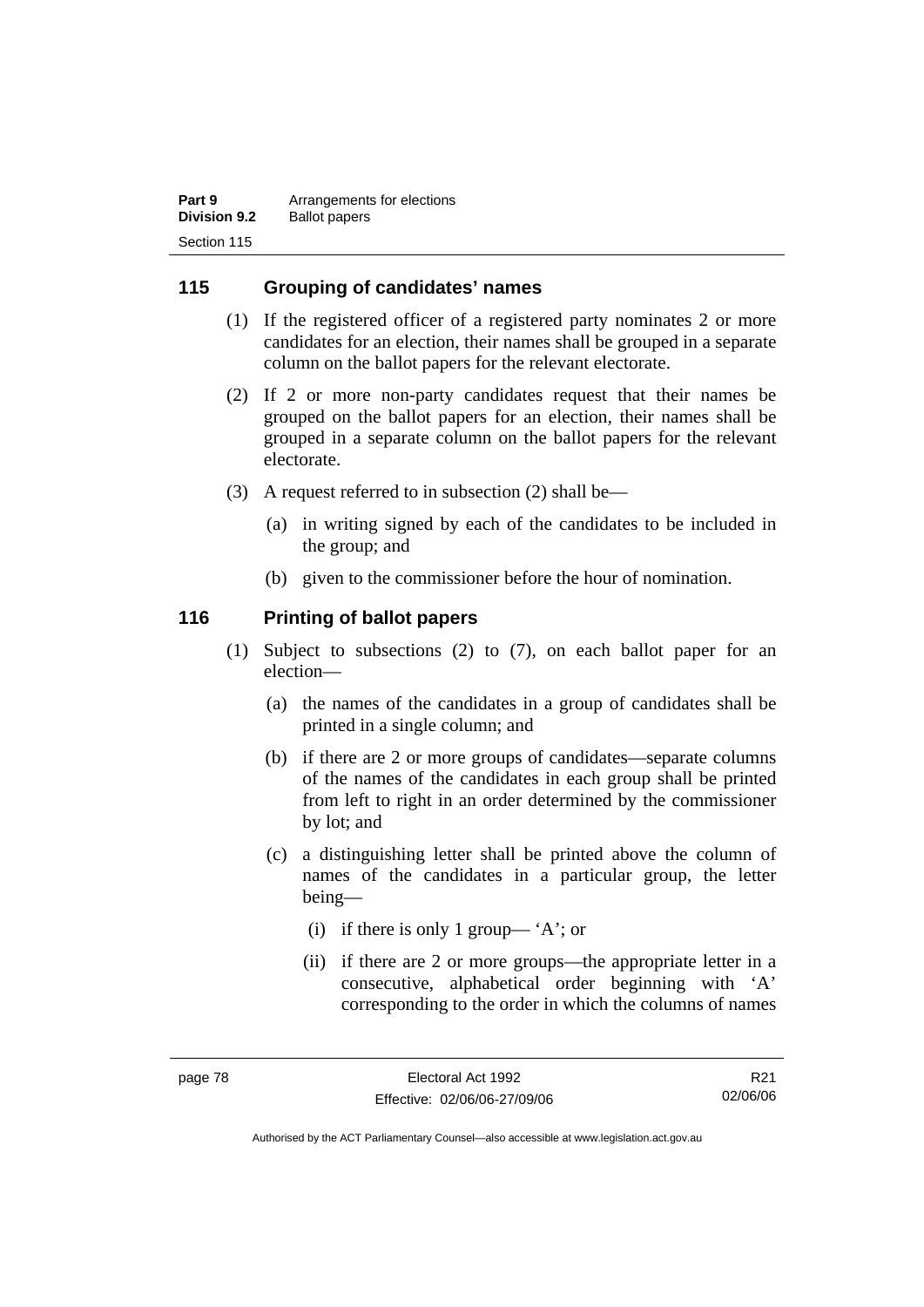| Part 9              | Arrangements for elections |
|---------------------|----------------------------|
| <b>Division 9.2</b> | <b>Ballot papers</b>       |
| Section 115         |                            |

### **115 Grouping of candidates' names**

- (1) If the registered officer of a registered party nominates 2 or more candidates for an election, their names shall be grouped in a separate column on the ballot papers for the relevant electorate.
- (2) If 2 or more non-party candidates request that their names be grouped on the ballot papers for an election, their names shall be grouped in a separate column on the ballot papers for the relevant electorate.
- (3) A request referred to in subsection (2) shall be—
	- (a) in writing signed by each of the candidates to be included in the group; and
	- (b) given to the commissioner before the hour of nomination.

### **116 Printing of ballot papers**

- (1) Subject to subsections (2) to (7), on each ballot paper for an election—
	- (a) the names of the candidates in a group of candidates shall be printed in a single column; and
	- (b) if there are 2 or more groups of candidates—separate columns of the names of the candidates in each group shall be printed from left to right in an order determined by the commissioner by lot; and
	- (c) a distinguishing letter shall be printed above the column of names of the candidates in a particular group, the letter being—
		- (i) if there is only 1 group— 'A'; or
		- (ii) if there are 2 or more groups—the appropriate letter in a consecutive, alphabetical order beginning with 'A' corresponding to the order in which the columns of names

R21 02/06/06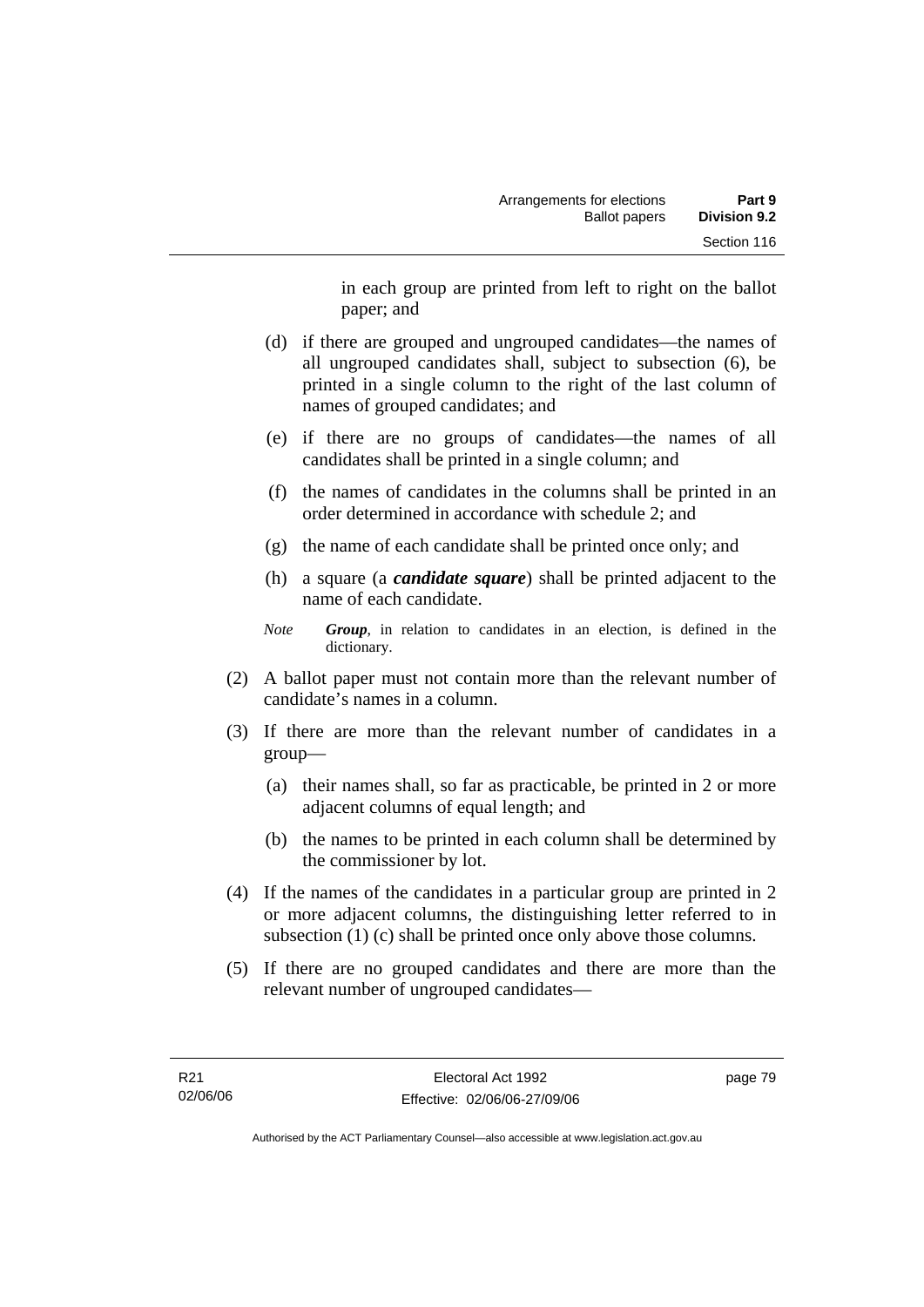in each group are printed from left to right on the ballot paper; and

- (d) if there are grouped and ungrouped candidates—the names of all ungrouped candidates shall, subject to subsection (6), be printed in a single column to the right of the last column of names of grouped candidates; and
- (e) if there are no groups of candidates—the names of all candidates shall be printed in a single column; and
- (f) the names of candidates in the columns shall be printed in an order determined in accordance with schedule 2; and
- (g) the name of each candidate shall be printed once only; and
- (h) a square (a *candidate square*) shall be printed adjacent to the name of each candidate.
- *Note Group*, in relation to candidates in an election, is defined in the dictionary.
- (2) A ballot paper must not contain more than the relevant number of candidate's names in a column.
- (3) If there are more than the relevant number of candidates in a group—
	- (a) their names shall, so far as practicable, be printed in 2 or more adjacent columns of equal length; and
	- (b) the names to be printed in each column shall be determined by the commissioner by lot.
- (4) If the names of the candidates in a particular group are printed in 2 or more adjacent columns, the distinguishing letter referred to in subsection (1) (c) shall be printed once only above those columns.
- (5) If there are no grouped candidates and there are more than the relevant number of ungrouped candidates—

page 79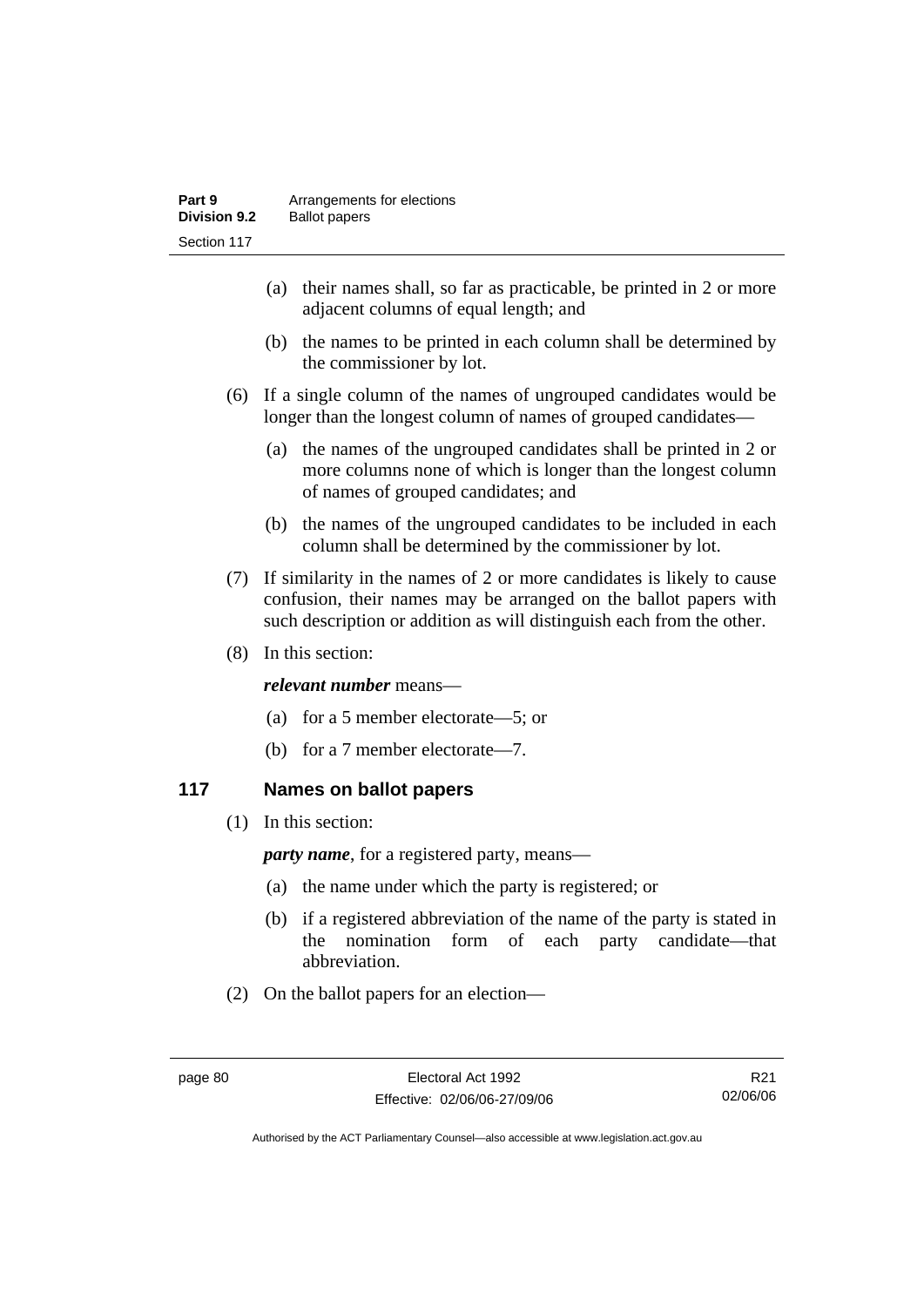| Part 9       | Arrangements for elections |
|--------------|----------------------------|
| Division 9.2 | <b>Ballot papers</b>       |
| Section 117  |                            |

- (a) their names shall, so far as practicable, be printed in 2 or more adjacent columns of equal length; and
- (b) the names to be printed in each column shall be determined by the commissioner by lot.
- (6) If a single column of the names of ungrouped candidates would be longer than the longest column of names of grouped candidates—
	- (a) the names of the ungrouped candidates shall be printed in 2 or more columns none of which is longer than the longest column of names of grouped candidates; and
	- (b) the names of the ungrouped candidates to be included in each column shall be determined by the commissioner by lot.
- (7) If similarity in the names of 2 or more candidates is likely to cause confusion, their names may be arranged on the ballot papers with such description or addition as will distinguish each from the other.
- (8) In this section:

### *relevant number* means—

- (a) for a 5 member electorate—5; or
- (b) for a 7 member electorate—7.

### **117 Names on ballot papers**

(1) In this section:

*party name*, for a registered party, means—

- (a) the name under which the party is registered; or
- (b) if a registered abbreviation of the name of the party is stated in the nomination form of each party candidate—that abbreviation.
- (2) On the ballot papers for an election—

R21 02/06/06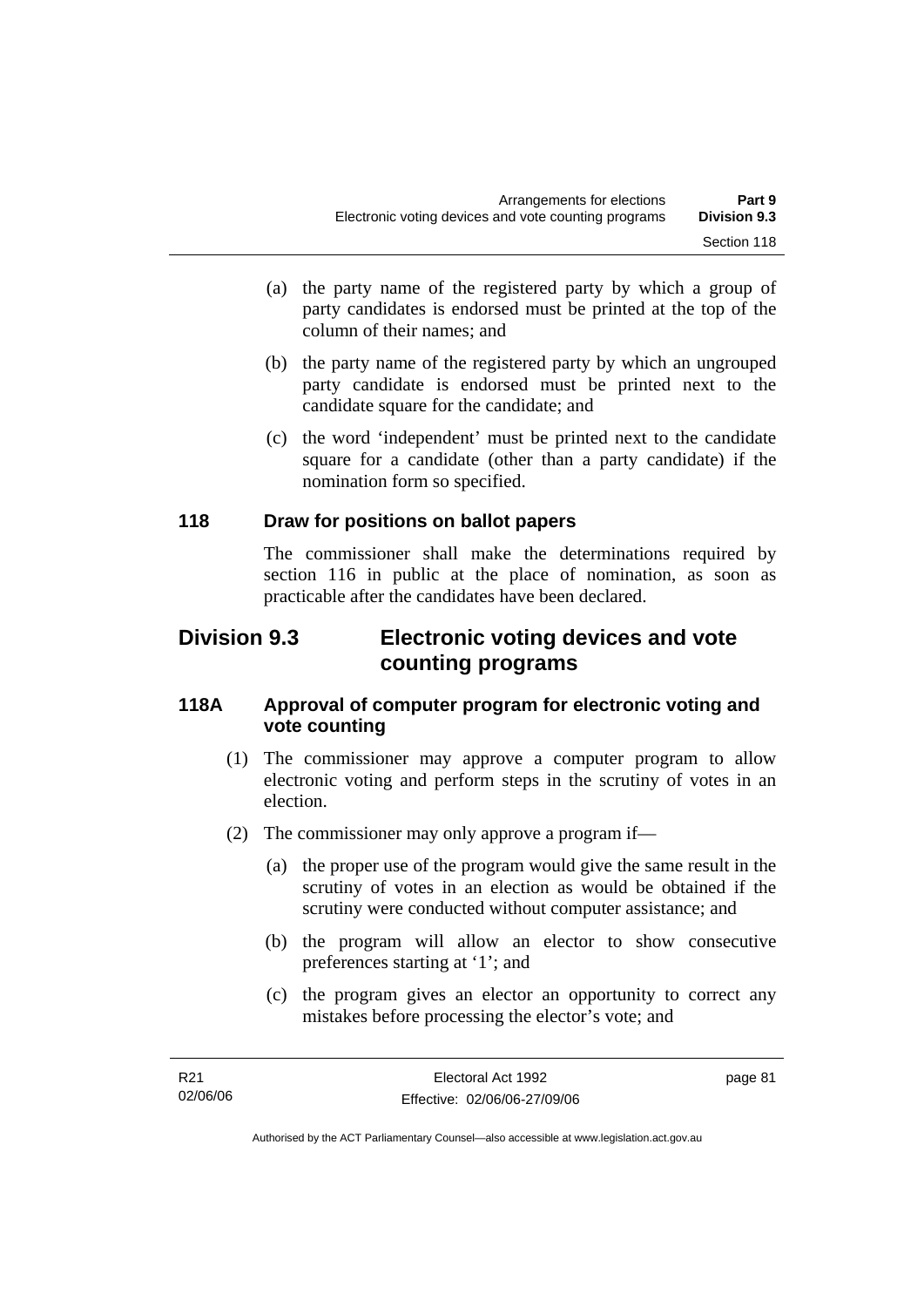- (a) the party name of the registered party by which a group of party candidates is endorsed must be printed at the top of the column of their names; and
- (b) the party name of the registered party by which an ungrouped party candidate is endorsed must be printed next to the candidate square for the candidate; and
- (c) the word 'independent' must be printed next to the candidate square for a candidate (other than a party candidate) if the nomination form so specified.

### **118 Draw for positions on ballot papers**

The commissioner shall make the determinations required by section 116 in public at the place of nomination, as soon as practicable after the candidates have been declared.

## **Division 9.3 Electronic voting devices and vote counting programs**

### **118A Approval of computer program for electronic voting and vote counting**

- (1) The commissioner may approve a computer program to allow electronic voting and perform steps in the scrutiny of votes in an election.
- (2) The commissioner may only approve a program if—
	- (a) the proper use of the program would give the same result in the scrutiny of votes in an election as would be obtained if the scrutiny were conducted without computer assistance; and
	- (b) the program will allow an elector to show consecutive preferences starting at '1'; and
	- (c) the program gives an elector an opportunity to correct any mistakes before processing the elector's vote; and

page 81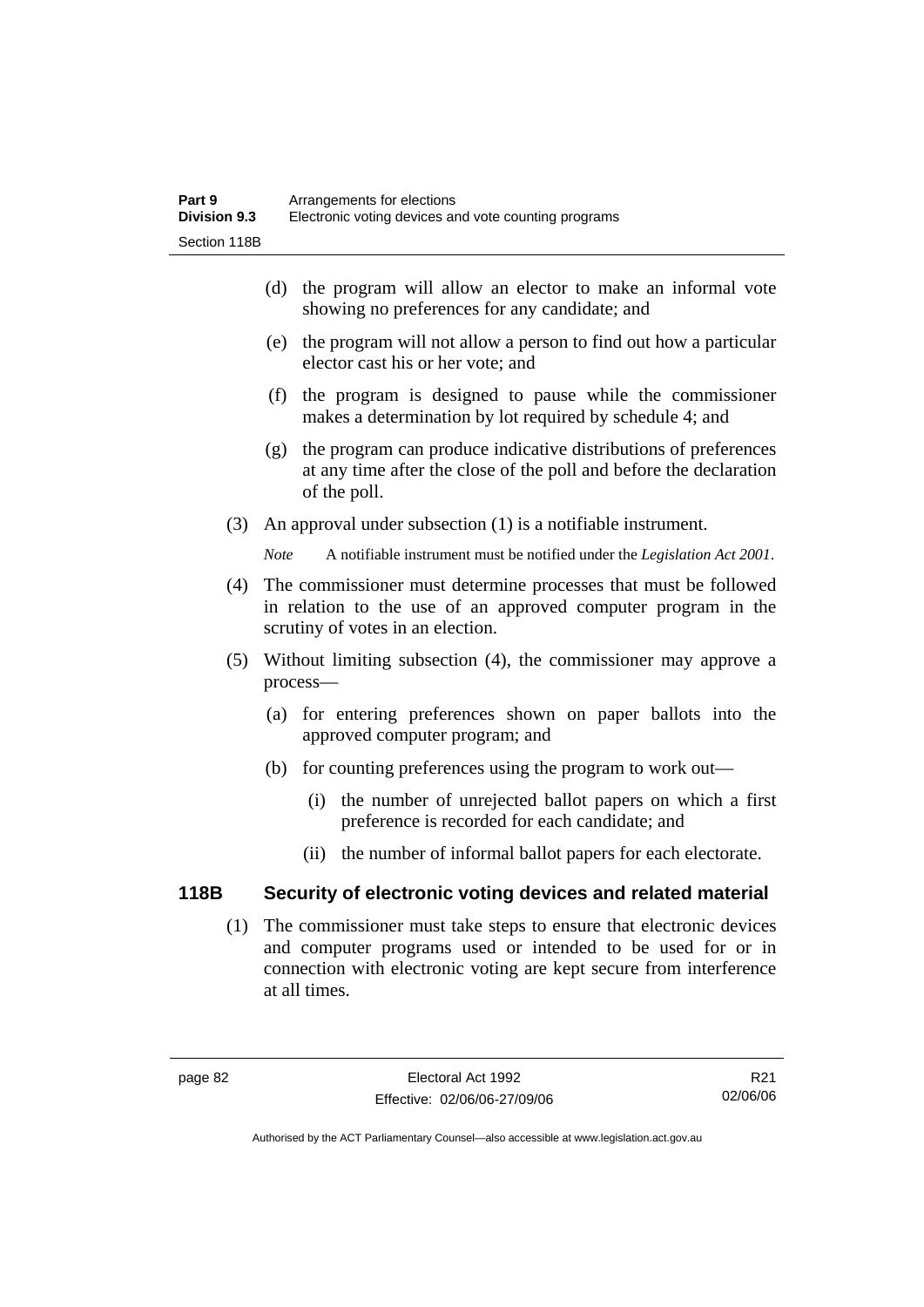- (d) the program will allow an elector to make an informal vote showing no preferences for any candidate; and
- (e) the program will not allow a person to find out how a particular elector cast his or her vote; and
- (f) the program is designed to pause while the commissioner makes a determination by lot required by schedule 4; and
- (g) the program can produce indicative distributions of preferences at any time after the close of the poll and before the declaration of the poll.
- (3) An approval under subsection (1) is a notifiable instrument.

*Note* A notifiable instrument must be notified under the *Legislation Act 2001*.

- (4) The commissioner must determine processes that must be followed in relation to the use of an approved computer program in the scrutiny of votes in an election.
- (5) Without limiting subsection (4), the commissioner may approve a process—
	- (a) for entering preferences shown on paper ballots into the approved computer program; and
	- (b) for counting preferences using the program to work out—
		- (i) the number of unrejected ballot papers on which a first preference is recorded for each candidate; and
		- (ii) the number of informal ballot papers for each electorate.

## **118B Security of electronic voting devices and related material**

 (1) The commissioner must take steps to ensure that electronic devices and computer programs used or intended to be used for or in connection with electronic voting are kept secure from interference at all times.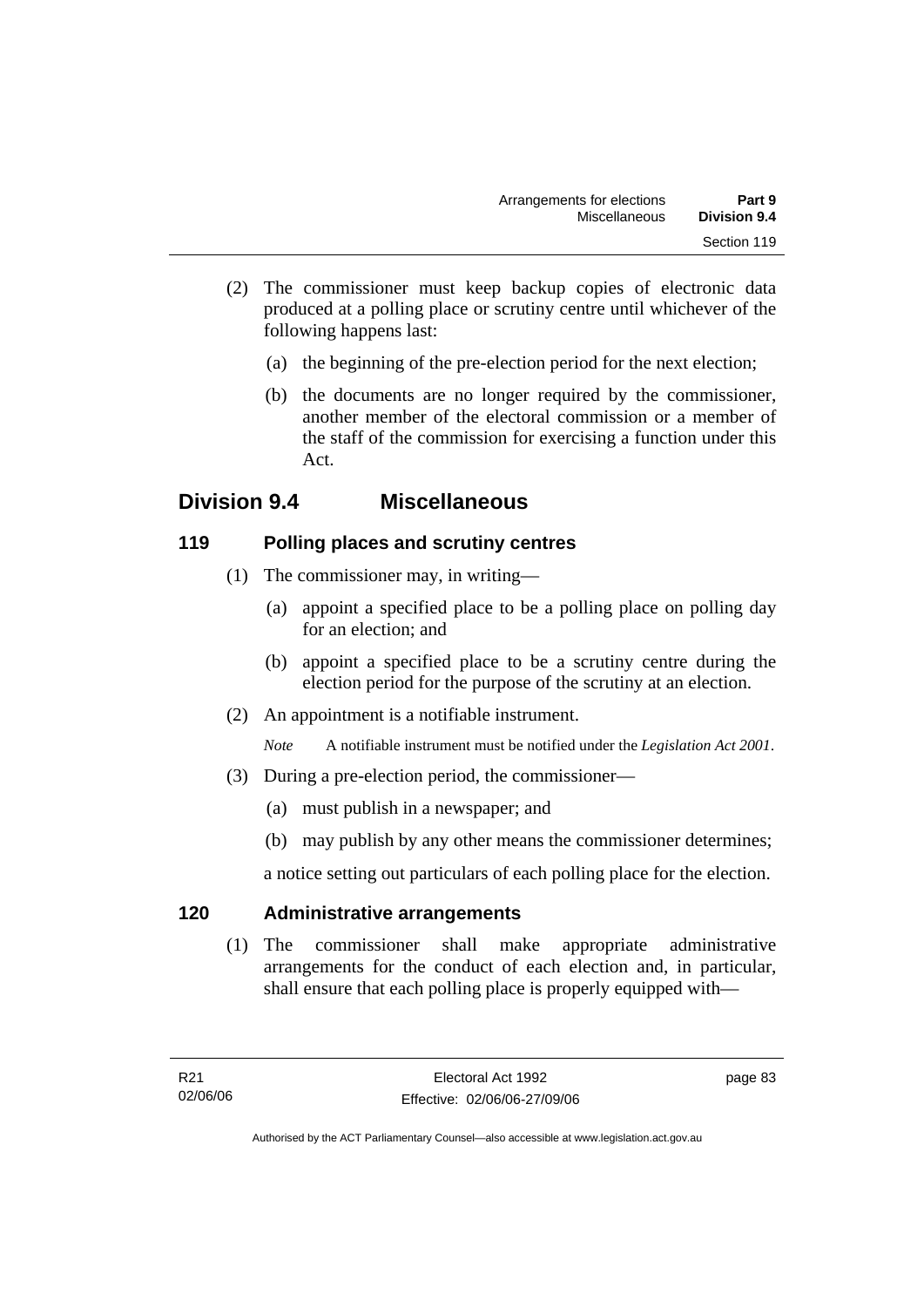- (2) The commissioner must keep backup copies of electronic data produced at a polling place or scrutiny centre until whichever of the following happens last:
	- (a) the beginning of the pre-election period for the next election;
	- (b) the documents are no longer required by the commissioner, another member of the electoral commission or a member of the staff of the commission for exercising a function under this Act.

## **Division 9.4 Miscellaneous**

## **119 Polling places and scrutiny centres**

- (1) The commissioner may, in writing—
	- (a) appoint a specified place to be a polling place on polling day for an election; and
	- (b) appoint a specified place to be a scrutiny centre during the election period for the purpose of the scrutiny at an election.
- (2) An appointment is a notifiable instrument.

*Note* A notifiable instrument must be notified under the *Legislation Act 2001*.

- (3) During a pre-election period, the commissioner—
	- (a) must publish in a newspaper; and
	- (b) may publish by any other means the commissioner determines;

a notice setting out particulars of each polling place for the election.

### **120 Administrative arrangements**

 (1) The commissioner shall make appropriate administrative arrangements for the conduct of each election and, in particular, shall ensure that each polling place is properly equipped with—

page 83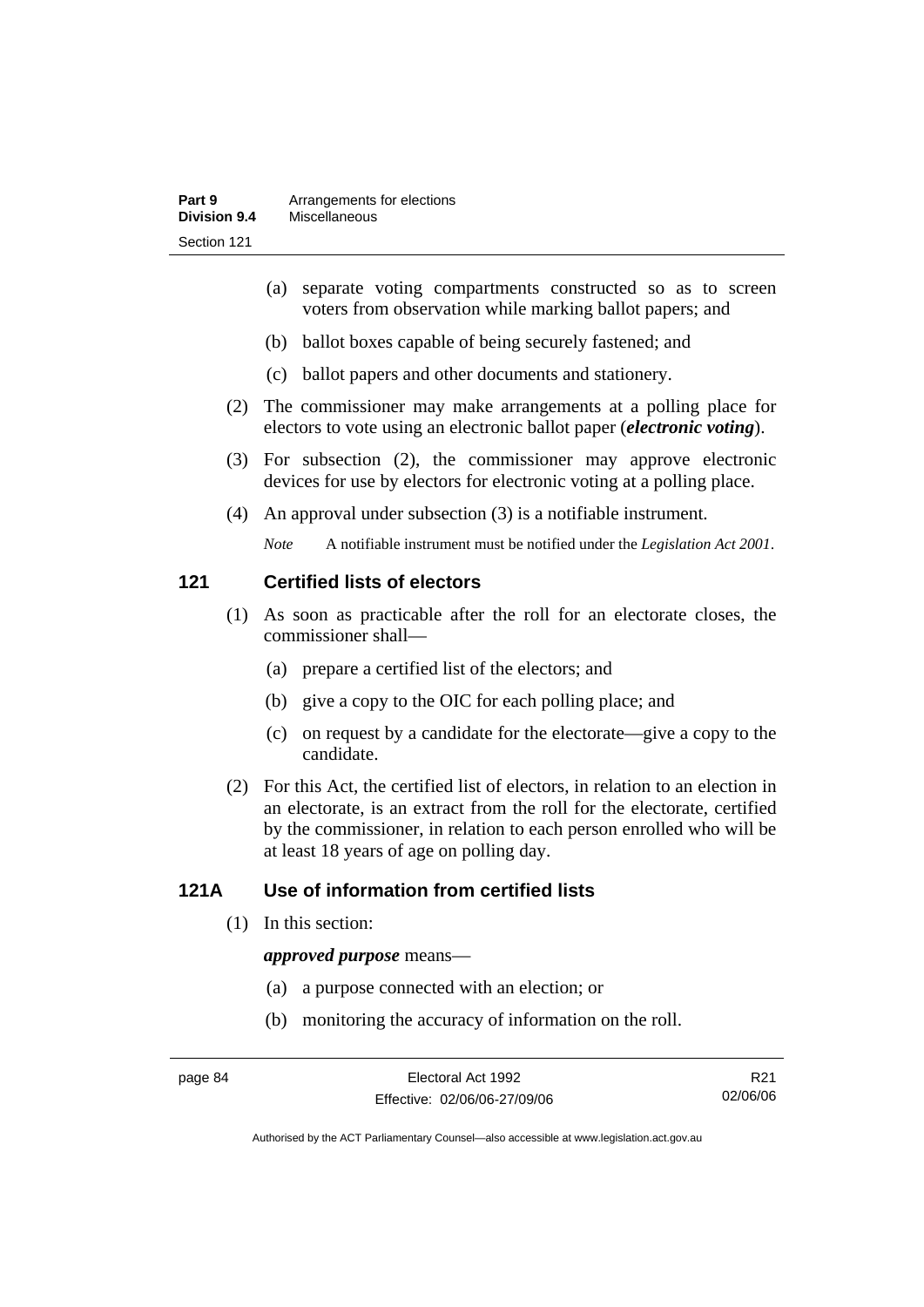- (a) separate voting compartments constructed so as to screen voters from observation while marking ballot papers; and
- (b) ballot boxes capable of being securely fastened; and
- (c) ballot papers and other documents and stationery.
- (2) The commissioner may make arrangements at a polling place for electors to vote using an electronic ballot paper (*electronic voting*).
- (3) For subsection (2), the commissioner may approve electronic devices for use by electors for electronic voting at a polling place.
- (4) An approval under subsection (3) is a notifiable instrument.

*Note* A notifiable instrument must be notified under the *Legislation Act 2001*.

### **121 Certified lists of electors**

- (1) As soon as practicable after the roll for an electorate closes, the commissioner shall—
	- (a) prepare a certified list of the electors; and
	- (b) give a copy to the OIC for each polling place; and
	- (c) on request by a candidate for the electorate—give a copy to the candidate.
- (2) For this Act, the certified list of electors, in relation to an election in an electorate, is an extract from the roll for the electorate, certified by the commissioner, in relation to each person enrolled who will be at least 18 years of age on polling day.

## **121A Use of information from certified lists**

(1) In this section:

### *approved purpose* means—

- (a) a purpose connected with an election; or
- (b) monitoring the accuracy of information on the roll.

R21 02/06/06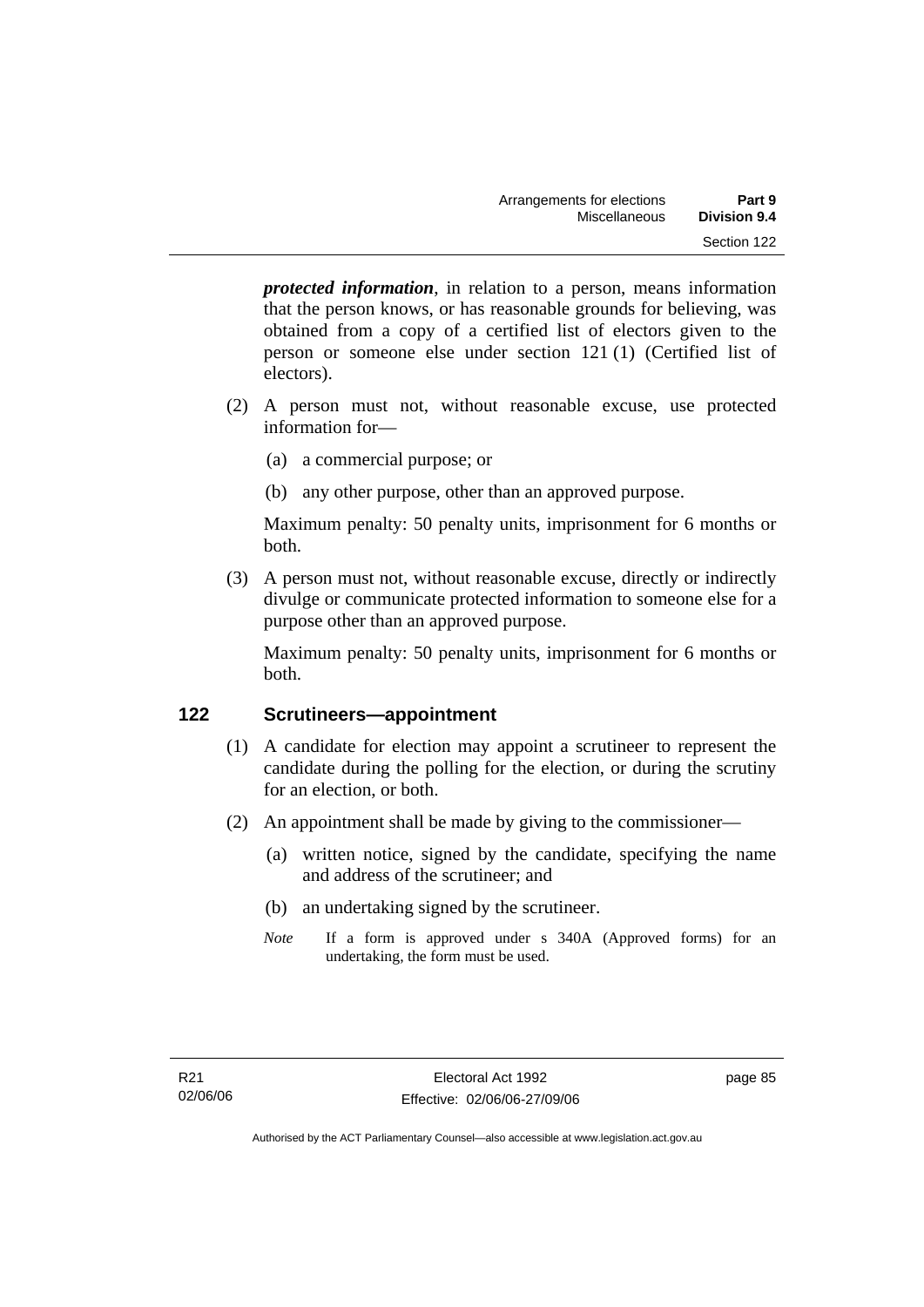*protected information*, in relation to a person, means information that the person knows, or has reasonable grounds for believing, was obtained from a copy of a certified list of electors given to the person or someone else under section 121 (1) (Certified list of electors).

- (2) A person must not, without reasonable excuse, use protected information for—
	- (a) a commercial purpose; or
	- (b) any other purpose, other than an approved purpose.

Maximum penalty: 50 penalty units, imprisonment for 6 months or both.

 (3) A person must not, without reasonable excuse, directly or indirectly divulge or communicate protected information to someone else for a purpose other than an approved purpose.

Maximum penalty: 50 penalty units, imprisonment for 6 months or both.

## **122 Scrutineers—appointment**

- (1) A candidate for election may appoint a scrutineer to represent the candidate during the polling for the election, or during the scrutiny for an election, or both.
- (2) An appointment shall be made by giving to the commissioner—
	- (a) written notice, signed by the candidate, specifying the name and address of the scrutineer; and
	- (b) an undertaking signed by the scrutineer.
	- *Note* If a form is approved under s 340A (Approved forms) for an undertaking, the form must be used.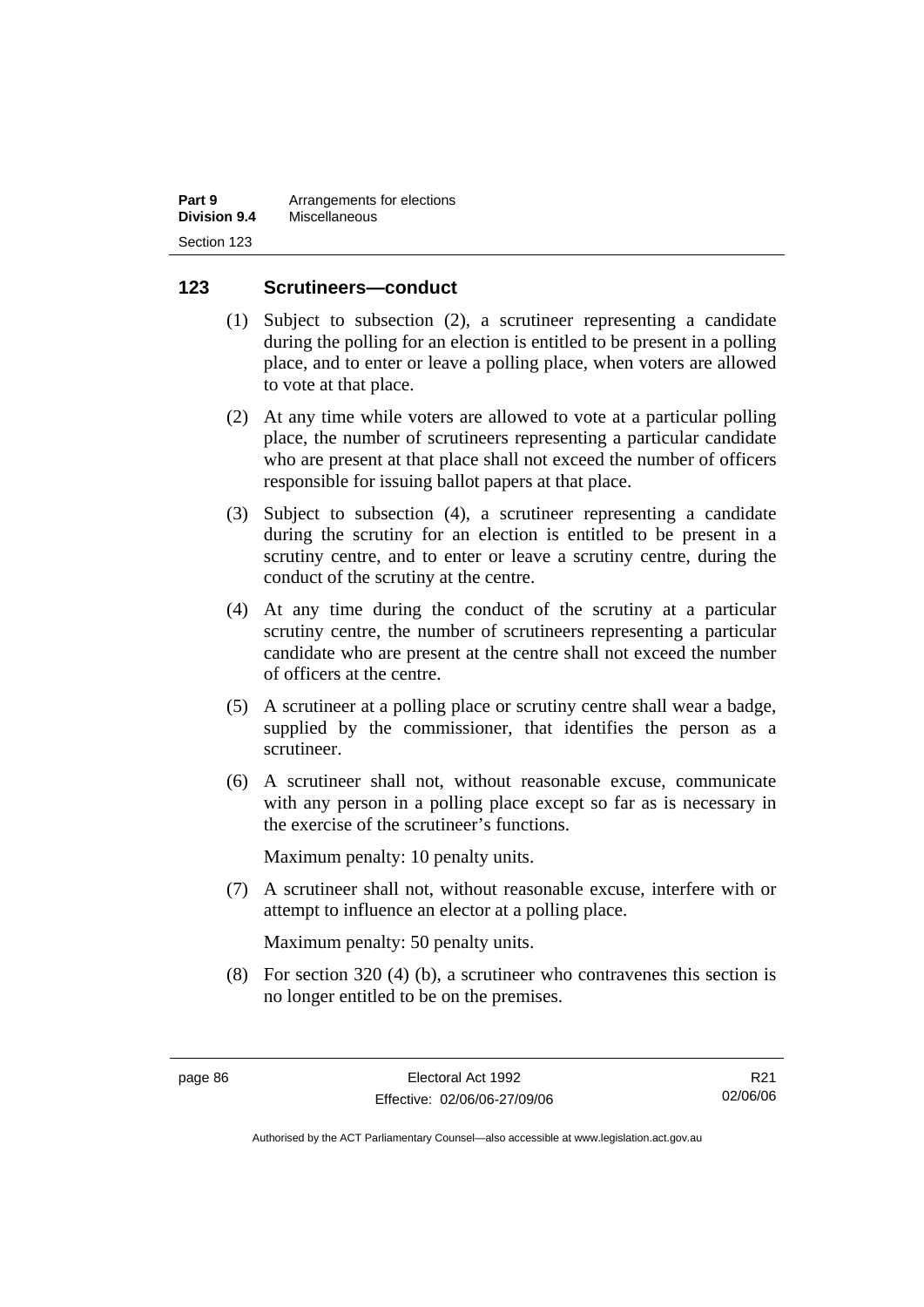| Part 9              | Arrangements for elections |
|---------------------|----------------------------|
| <b>Division 9.4</b> | Miscellaneous              |
| Section 123         |                            |

### **123 Scrutineers—conduct**

- (1) Subject to subsection (2), a scrutineer representing a candidate during the polling for an election is entitled to be present in a polling place, and to enter or leave a polling place, when voters are allowed to vote at that place.
- (2) At any time while voters are allowed to vote at a particular polling place, the number of scrutineers representing a particular candidate who are present at that place shall not exceed the number of officers responsible for issuing ballot papers at that place.
- (3) Subject to subsection (4), a scrutineer representing a candidate during the scrutiny for an election is entitled to be present in a scrutiny centre, and to enter or leave a scrutiny centre, during the conduct of the scrutiny at the centre.
- (4) At any time during the conduct of the scrutiny at a particular scrutiny centre, the number of scrutineers representing a particular candidate who are present at the centre shall not exceed the number of officers at the centre.
- (5) A scrutineer at a polling place or scrutiny centre shall wear a badge, supplied by the commissioner, that identifies the person as a scrutineer.
- (6) A scrutineer shall not, without reasonable excuse, communicate with any person in a polling place except so far as is necessary in the exercise of the scrutineer's functions.

Maximum penalty: 10 penalty units.

 (7) A scrutineer shall not, without reasonable excuse, interfere with or attempt to influence an elector at a polling place.

Maximum penalty: 50 penalty units.

 (8) For section 320 (4) (b), a scrutineer who contravenes this section is no longer entitled to be on the premises.

R21 02/06/06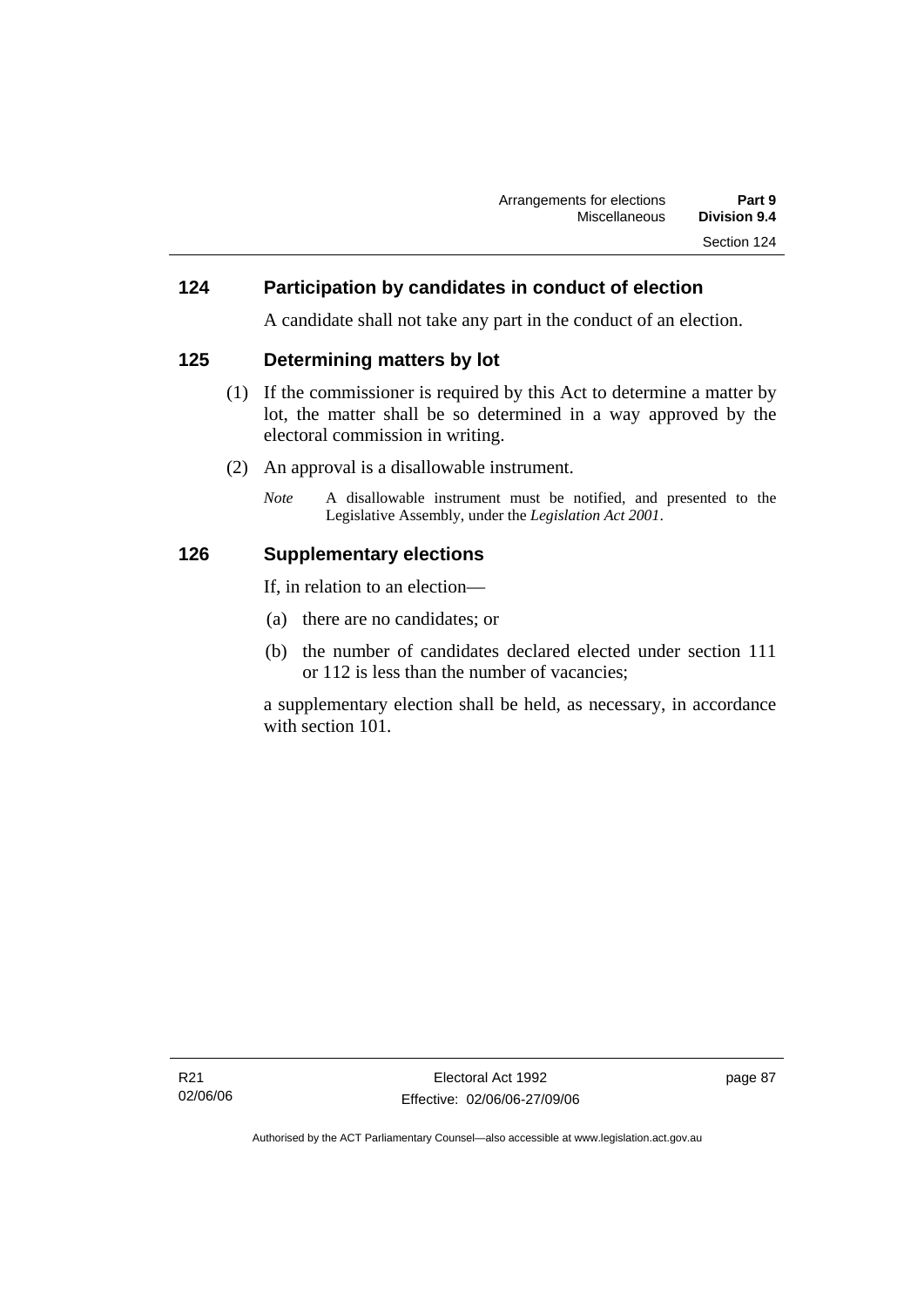### **124 Participation by candidates in conduct of election**

A candidate shall not take any part in the conduct of an election.

### **125 Determining matters by lot**

- (1) If the commissioner is required by this Act to determine a matter by lot, the matter shall be so determined in a way approved by the electoral commission in writing.
- (2) An approval is a disallowable instrument.
	- *Note* A disallowable instrument must be notified, and presented to the Legislative Assembly, under the *Legislation Act 2001*.

### **126 Supplementary elections**

If, in relation to an election—

- (a) there are no candidates; or
- (b) the number of candidates declared elected under section 111 or 112 is less than the number of vacancies;

a supplementary election shall be held, as necessary, in accordance with section 101.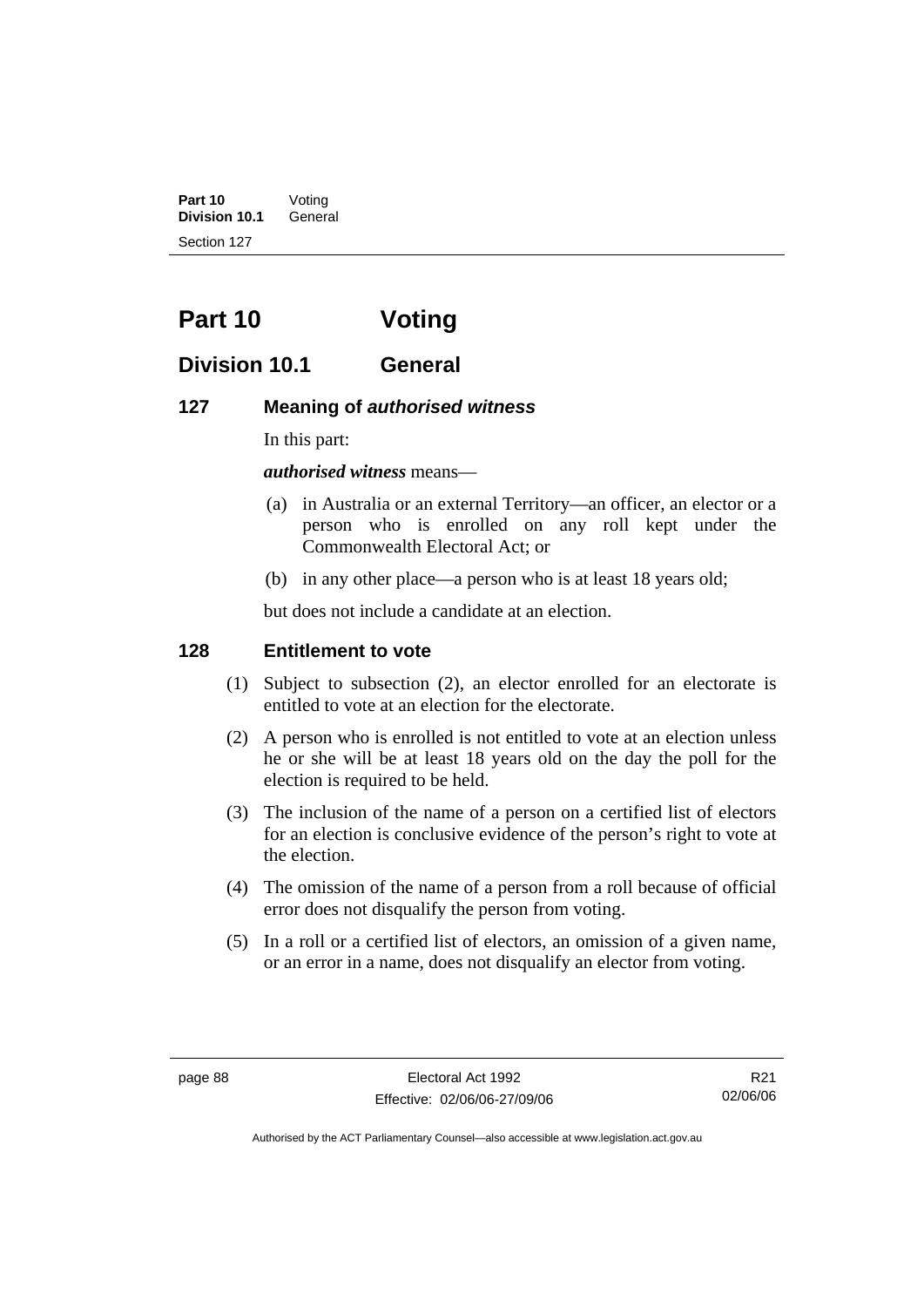**Part 10** Voting **Division 10.1** General Section 127

# **Part 10 Voting**

## **Division 10.1 General**

### **127 Meaning of** *authorised witness*

In this part:

*authorised witness* means—

- (a) in Australia or an external Territory—an officer, an elector or a person who is enrolled on any roll kept under the Commonwealth Electoral Act; or
- (b) in any other place—a person who is at least 18 years old;

but does not include a candidate at an election.

### **128 Entitlement to vote**

- (1) Subject to subsection (2), an elector enrolled for an electorate is entitled to vote at an election for the electorate.
- (2) A person who is enrolled is not entitled to vote at an election unless he or she will be at least 18 years old on the day the poll for the election is required to be held.
- (3) The inclusion of the name of a person on a certified list of electors for an election is conclusive evidence of the person's right to vote at the election.
- (4) The omission of the name of a person from a roll because of official error does not disqualify the person from voting.
- (5) In a roll or a certified list of electors, an omission of a given name, or an error in a name, does not disqualify an elector from voting.

R21 02/06/06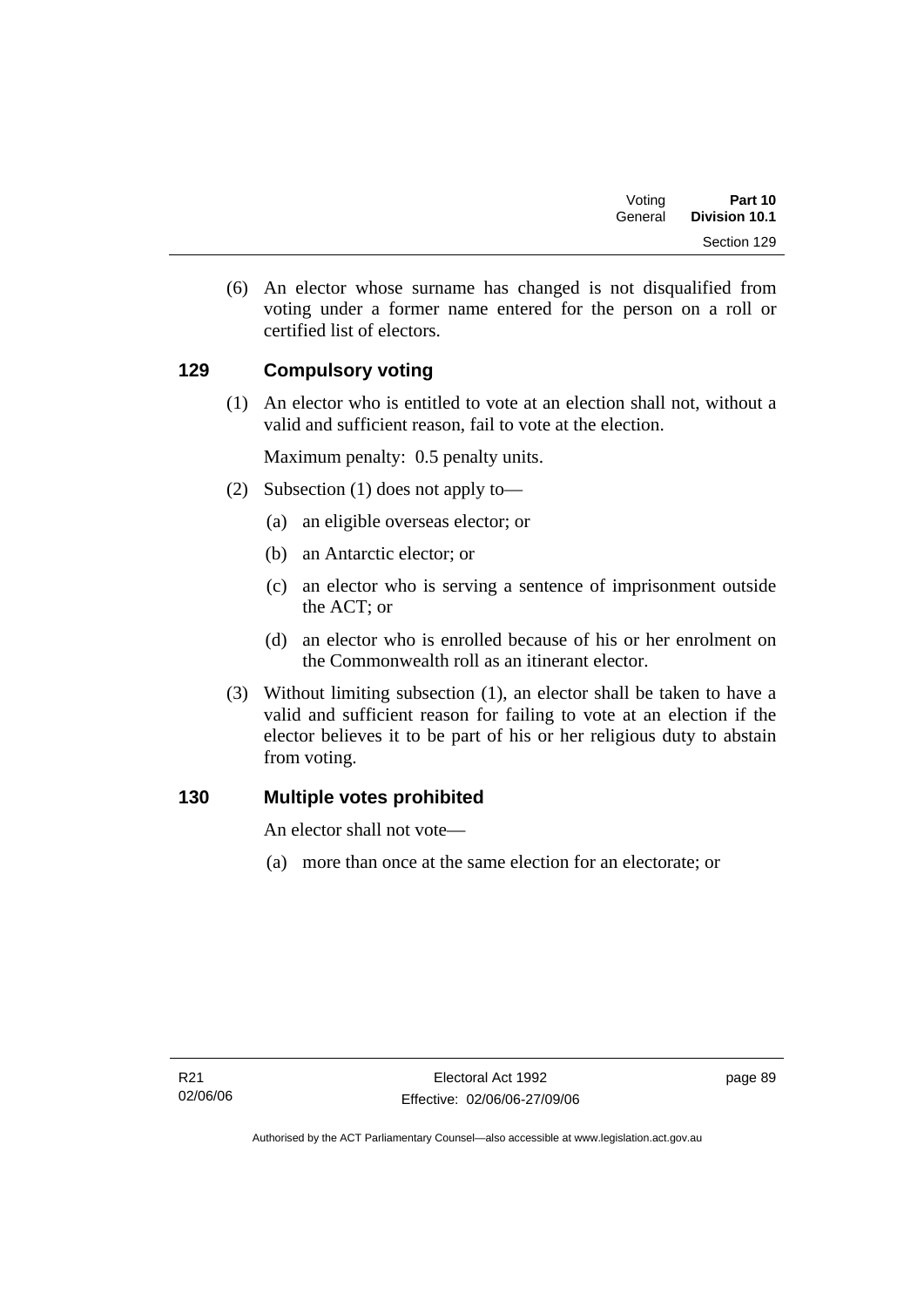| Voting  | Part 10       |
|---------|---------------|
| General | Division 10.1 |
|         | Section 129   |

 (6) An elector whose surname has changed is not disqualified from voting under a former name entered for the person on a roll or certified list of electors.

## **129 Compulsory voting**

 (1) An elector who is entitled to vote at an election shall not, without a valid and sufficient reason, fail to vote at the election.

Maximum penalty: 0.5 penalty units.

- (2) Subsection (1) does not apply to—
	- (a) an eligible overseas elector; or
	- (b) an Antarctic elector; or
	- (c) an elector who is serving a sentence of imprisonment outside the ACT; or
	- (d) an elector who is enrolled because of his or her enrolment on the Commonwealth roll as an itinerant elector.
- (3) Without limiting subsection (1), an elector shall be taken to have a valid and sufficient reason for failing to vote at an election if the elector believes it to be part of his or her religious duty to abstain from voting.

### **130 Multiple votes prohibited**

An elector shall not vote—

(a) more than once at the same election for an electorate; or

page 89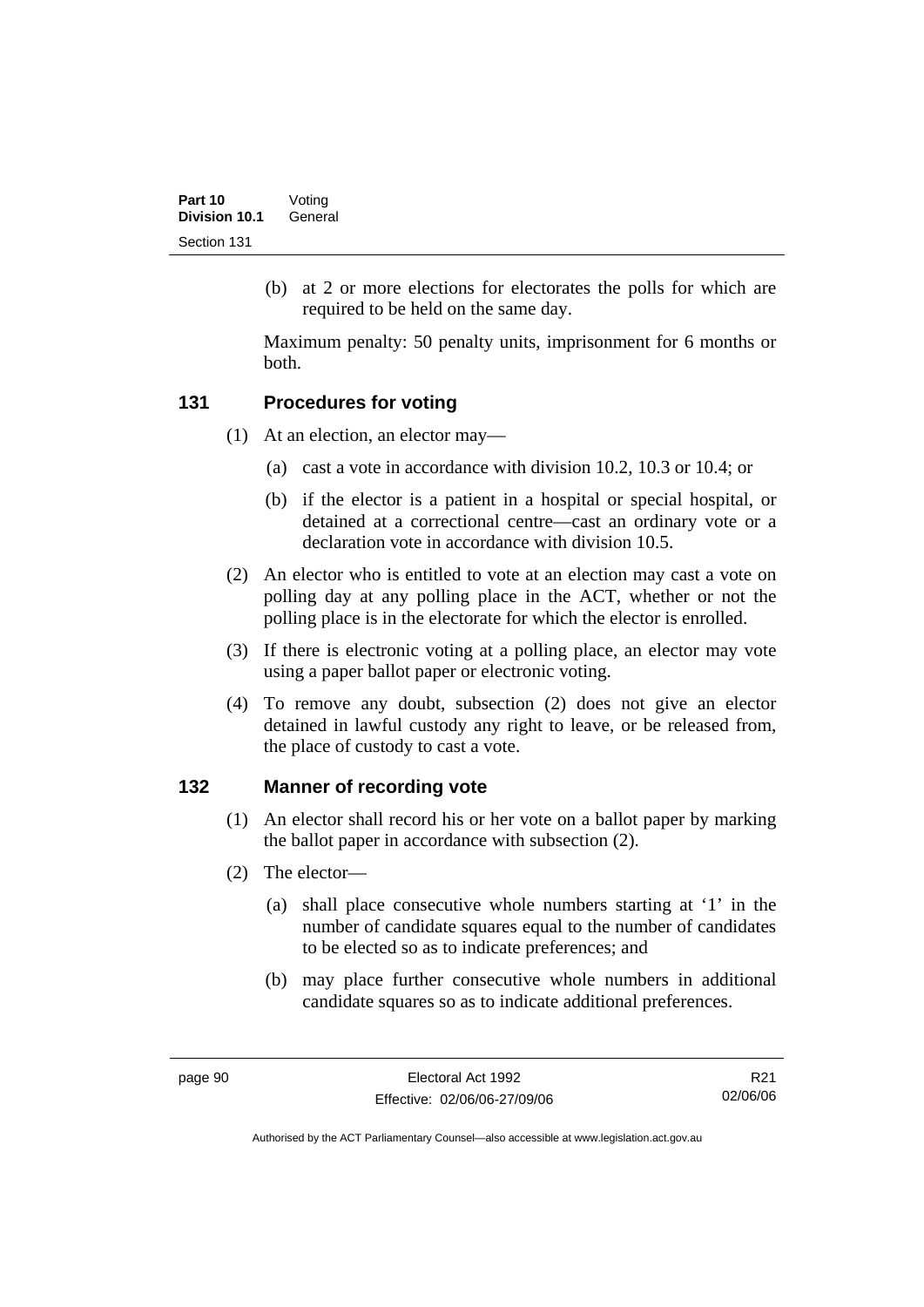(b) at 2 or more elections for electorates the polls for which are required to be held on the same day.

Maximum penalty: 50 penalty units, imprisonment for 6 months or both.

### **131 Procedures for voting**

- (1) At an election, an elector may—
	- (a) cast a vote in accordance with division 10.2, 10.3 or 10.4; or
	- (b) if the elector is a patient in a hospital or special hospital, or detained at a correctional centre—cast an ordinary vote or a declaration vote in accordance with division 10.5.
- (2) An elector who is entitled to vote at an election may cast a vote on polling day at any polling place in the ACT, whether or not the polling place is in the electorate for which the elector is enrolled.
- (3) If there is electronic voting at a polling place, an elector may vote using a paper ballot paper or electronic voting.
- (4) To remove any doubt, subsection (2) does not give an elector detained in lawful custody any right to leave, or be released from, the place of custody to cast a vote.

### **132 Manner of recording vote**

- (1) An elector shall record his or her vote on a ballot paper by marking the ballot paper in accordance with subsection (2).
- (2) The elector—
	- (a) shall place consecutive whole numbers starting at '1' in the number of candidate squares equal to the number of candidates to be elected so as to indicate preferences; and
	- (b) may place further consecutive whole numbers in additional candidate squares so as to indicate additional preferences.

R21 02/06/06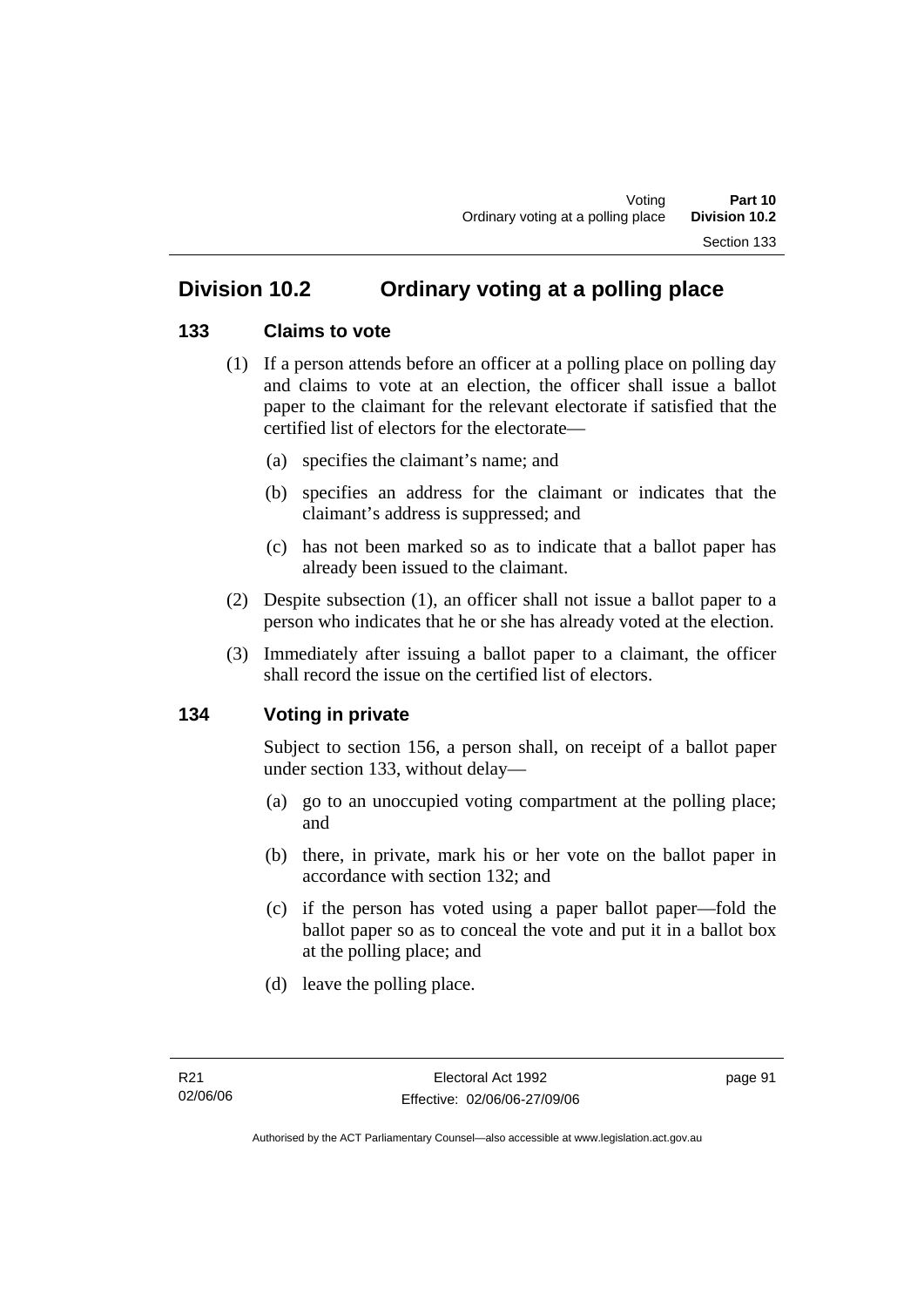## **Division 10.2 Ordinary voting at a polling place**

#### **133 Claims to vote**

- (1) If a person attends before an officer at a polling place on polling day and claims to vote at an election, the officer shall issue a ballot paper to the claimant for the relevant electorate if satisfied that the certified list of electors for the electorate—
	- (a) specifies the claimant's name; and
	- (b) specifies an address for the claimant or indicates that the claimant's address is suppressed; and
	- (c) has not been marked so as to indicate that a ballot paper has already been issued to the claimant.
- (2) Despite subsection (1), an officer shall not issue a ballot paper to a person who indicates that he or she has already voted at the election.
- (3) Immediately after issuing a ballot paper to a claimant, the officer shall record the issue on the certified list of electors.

#### **134 Voting in private**

Subject to section 156, a person shall, on receipt of a ballot paper under section 133, without delay—

- (a) go to an unoccupied voting compartment at the polling place; and
- (b) there, in private, mark his or her vote on the ballot paper in accordance with section 132; and
- (c) if the person has voted using a paper ballot paper—fold the ballot paper so as to conceal the vote and put it in a ballot box at the polling place; and
- (d) leave the polling place.

page 91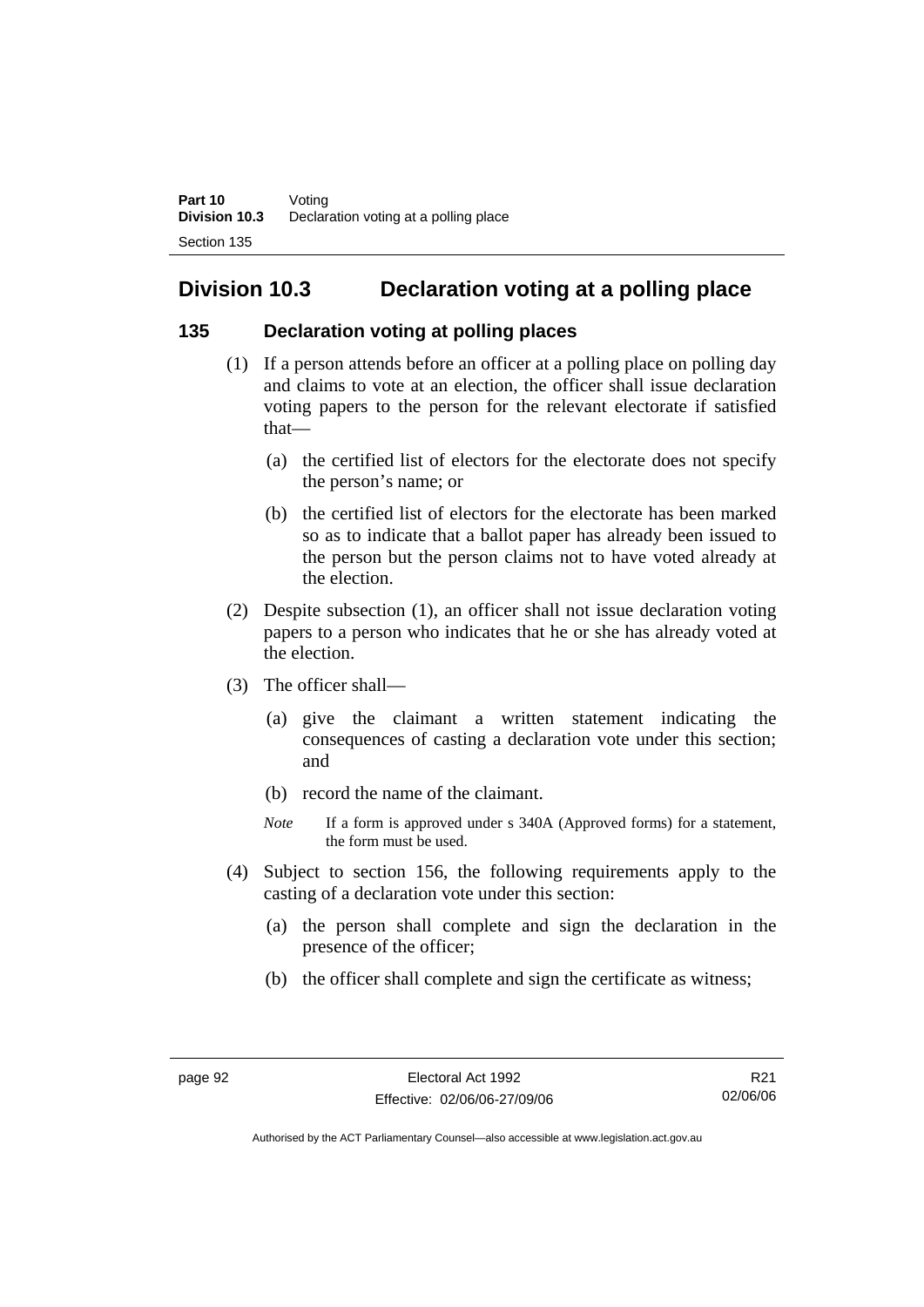# **Division 10.3 Declaration voting at a polling place**

#### **135 Declaration voting at polling places**

- (1) If a person attends before an officer at a polling place on polling day and claims to vote at an election, the officer shall issue declaration voting papers to the person for the relevant electorate if satisfied that—
	- (a) the certified list of electors for the electorate does not specify the person's name; or
	- (b) the certified list of electors for the electorate has been marked so as to indicate that a ballot paper has already been issued to the person but the person claims not to have voted already at the election.
- (2) Despite subsection (1), an officer shall not issue declaration voting papers to a person who indicates that he or she has already voted at the election.
- (3) The officer shall—
	- (a) give the claimant a written statement indicating the consequences of casting a declaration vote under this section; and
	- (b) record the name of the claimant.
	- *Note* If a form is approved under s 340A (Approved forms) for a statement, the form must be used.
- (4) Subject to section 156, the following requirements apply to the casting of a declaration vote under this section:
	- (a) the person shall complete and sign the declaration in the presence of the officer;
	- (b) the officer shall complete and sign the certificate as witness;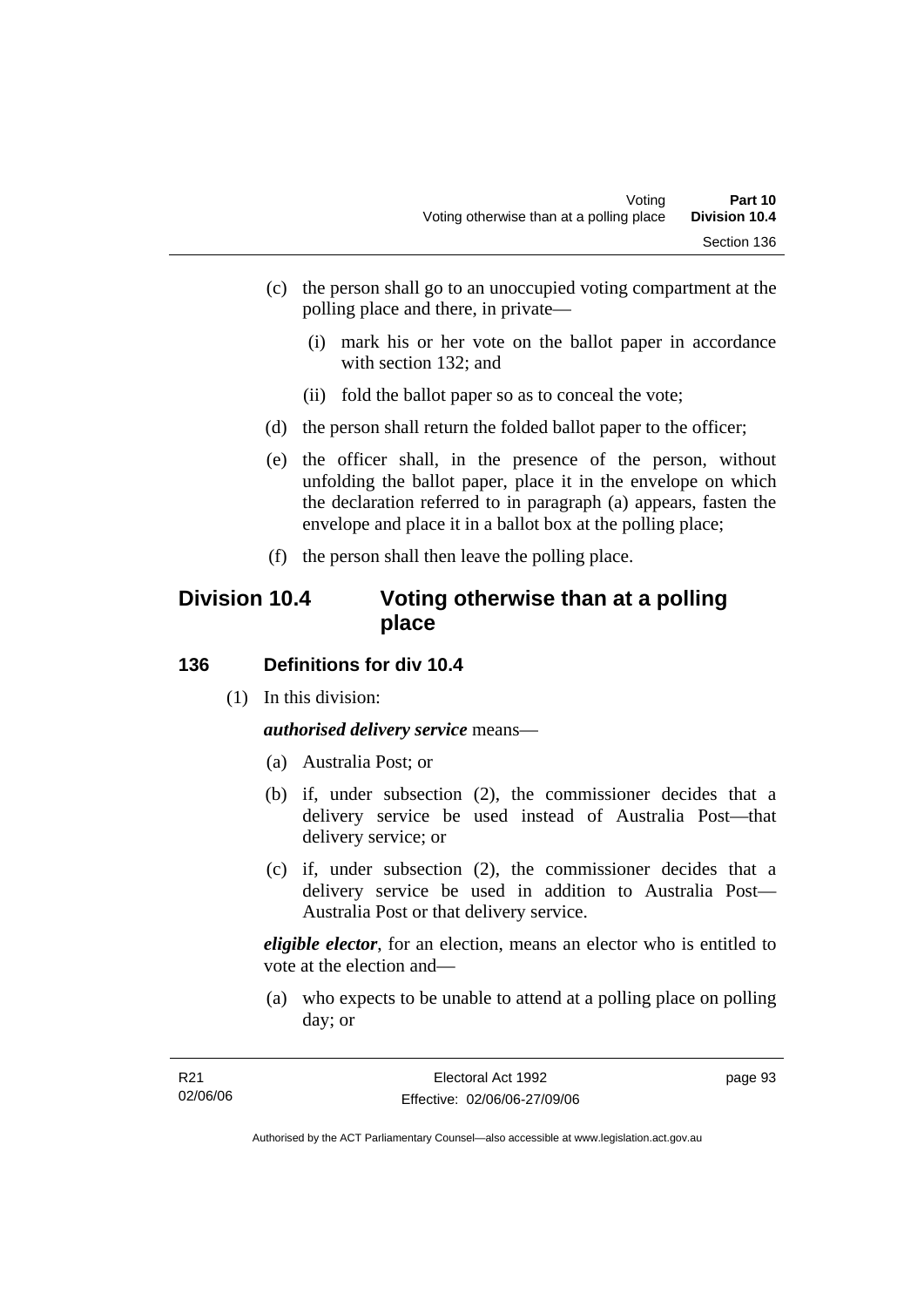- (c) the person shall go to an unoccupied voting compartment at the polling place and there, in private—
	- (i) mark his or her vote on the ballot paper in accordance with section 132; and
	- (ii) fold the ballot paper so as to conceal the vote;
- (d) the person shall return the folded ballot paper to the officer;
- (e) the officer shall, in the presence of the person, without unfolding the ballot paper, place it in the envelope on which the declaration referred to in paragraph (a) appears, fasten the envelope and place it in a ballot box at the polling place;
- (f) the person shall then leave the polling place.

## **Division 10.4 Voting otherwise than at a polling place**

#### **136 Definitions for div 10.4**

(1) In this division:

*authorised delivery service* means—

- (a) Australia Post; or
- (b) if, under subsection (2), the commissioner decides that a delivery service be used instead of Australia Post—that delivery service; or
- (c) if, under subsection (2), the commissioner decides that a delivery service be used in addition to Australia Post— Australia Post or that delivery service.

*eligible elector*, for an election, means an elector who is entitled to vote at the election and—

 (a) who expects to be unable to attend at a polling place on polling day; or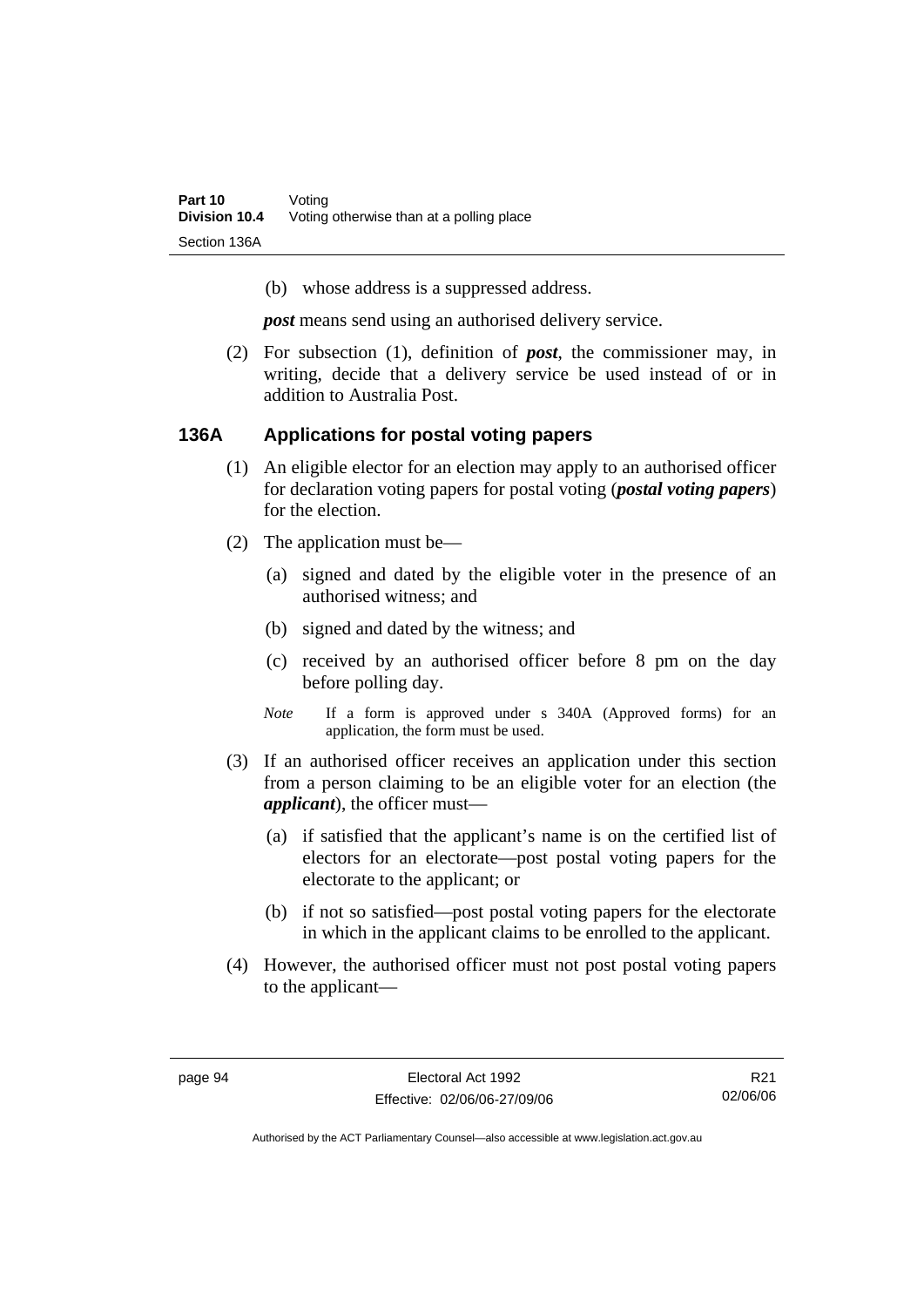(b) whose address is a suppressed address.

*post* means send using an authorised delivery service.

 (2) For subsection (1), definition of *post*, the commissioner may, in writing, decide that a delivery service be used instead of or in addition to Australia Post.

#### **136A Applications for postal voting papers**

- (1) An eligible elector for an election may apply to an authorised officer for declaration voting papers for postal voting (*postal voting papers*) for the election.
- (2) The application must be—
	- (a) signed and dated by the eligible voter in the presence of an authorised witness; and
	- (b) signed and dated by the witness; and
	- (c) received by an authorised officer before 8 pm on the day before polling day.
	- *Note* If a form is approved under s 340A (Approved forms) for an application, the form must be used.
- (3) If an authorised officer receives an application under this section from a person claiming to be an eligible voter for an election (the *applicant*), the officer must—
	- (a) if satisfied that the applicant's name is on the certified list of electors for an electorate—post postal voting papers for the electorate to the applicant; or
	- (b) if not so satisfied—post postal voting papers for the electorate in which in the applicant claims to be enrolled to the applicant.
- (4) However, the authorised officer must not post postal voting papers to the applicant—

R21 02/06/06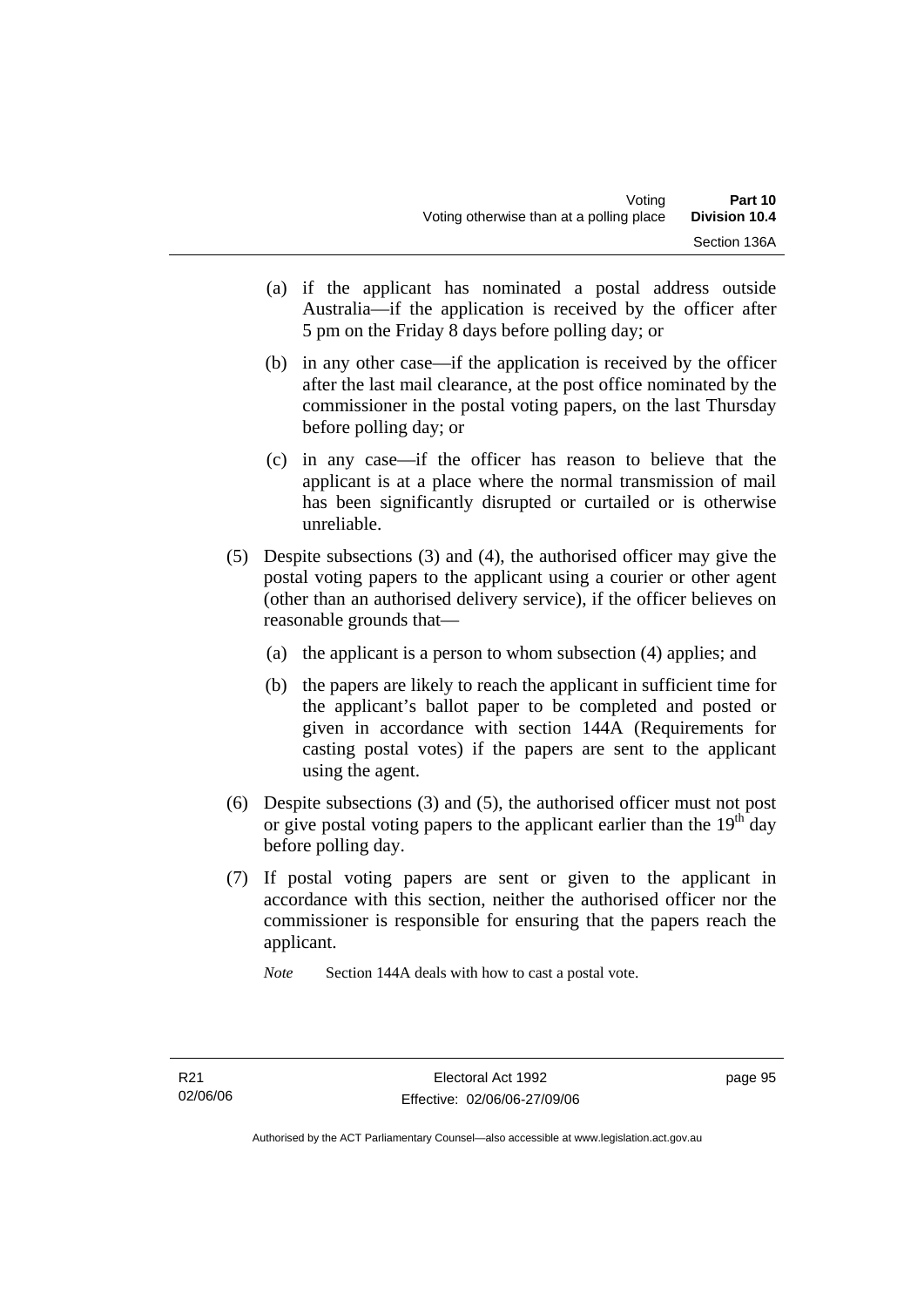- (a) if the applicant has nominated a postal address outside Australia—if the application is received by the officer after 5 pm on the Friday 8 days before polling day; or
- (b) in any other case—if the application is received by the officer after the last mail clearance, at the post office nominated by the commissioner in the postal voting papers, on the last Thursday before polling day; or
- (c) in any case—if the officer has reason to believe that the applicant is at a place where the normal transmission of mail has been significantly disrupted or curtailed or is otherwise unreliable.
- (5) Despite subsections (3) and (4), the authorised officer may give the postal voting papers to the applicant using a courier or other agent (other than an authorised delivery service), if the officer believes on reasonable grounds that—
	- (a) the applicant is a person to whom subsection (4) applies; and
	- (b) the papers are likely to reach the applicant in sufficient time for the applicant's ballot paper to be completed and posted or given in accordance with section 144A (Requirements for casting postal votes) if the papers are sent to the applicant using the agent.
- (6) Despite subsections (3) and (5), the authorised officer must not post or give postal voting papers to the applicant earlier than the  $19<sup>th</sup>$  day before polling day.
- (7) If postal voting papers are sent or given to the applicant in accordance with this section, neither the authorised officer nor the commissioner is responsible for ensuring that the papers reach the applicant.

*Note* Section 144A deals with how to cast a postal vote.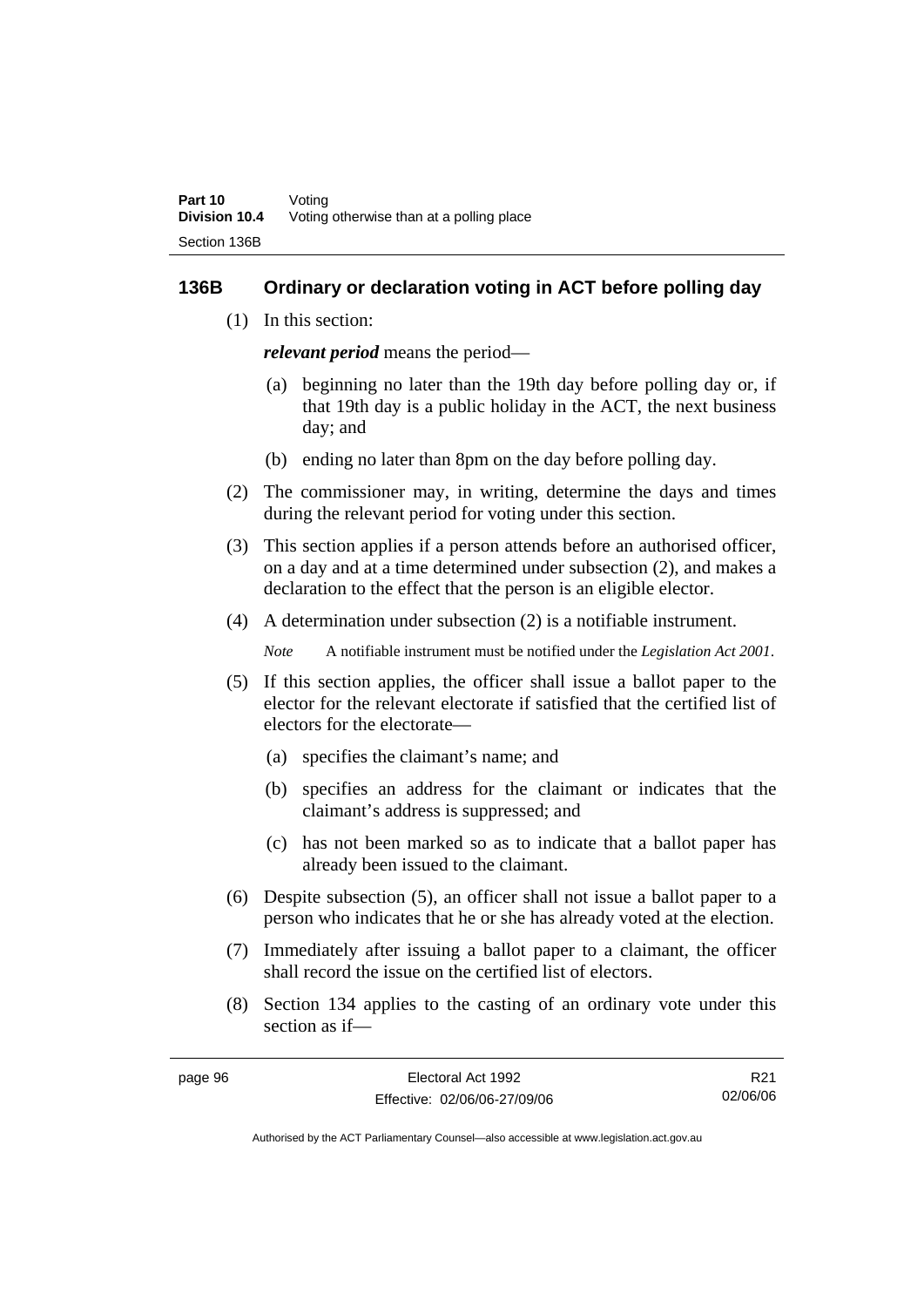#### **136B Ordinary or declaration voting in ACT before polling day**

(1) In this section:

*relevant period* means the period—

- (a) beginning no later than the 19th day before polling day or, if that 19th day is a public holiday in the ACT, the next business day; and
- (b) ending no later than 8pm on the day before polling day.
- (2) The commissioner may, in writing, determine the days and times during the relevant period for voting under this section.
- (3) This section applies if a person attends before an authorised officer, on a day and at a time determined under subsection (2), and makes a declaration to the effect that the person is an eligible elector.
- (4) A determination under subsection (2) is a notifiable instrument.

*Note* A notifiable instrument must be notified under the *Legislation Act 2001*.

- (5) If this section applies, the officer shall issue a ballot paper to the elector for the relevant electorate if satisfied that the certified list of electors for the electorate—
	- (a) specifies the claimant's name; and
	- (b) specifies an address for the claimant or indicates that the claimant's address is suppressed; and
	- (c) has not been marked so as to indicate that a ballot paper has already been issued to the claimant.
- (6) Despite subsection (5), an officer shall not issue a ballot paper to a person who indicates that he or she has already voted at the election.
- (7) Immediately after issuing a ballot paper to a claimant, the officer shall record the issue on the certified list of electors.
- (8) Section 134 applies to the casting of an ordinary vote under this section as if—

| page 96 | Electoral Act 1992           | R <sub>21</sub> |
|---------|------------------------------|-----------------|
|         | Effective: 02/06/06-27/09/06 | 02/06/06        |
|         |                              |                 |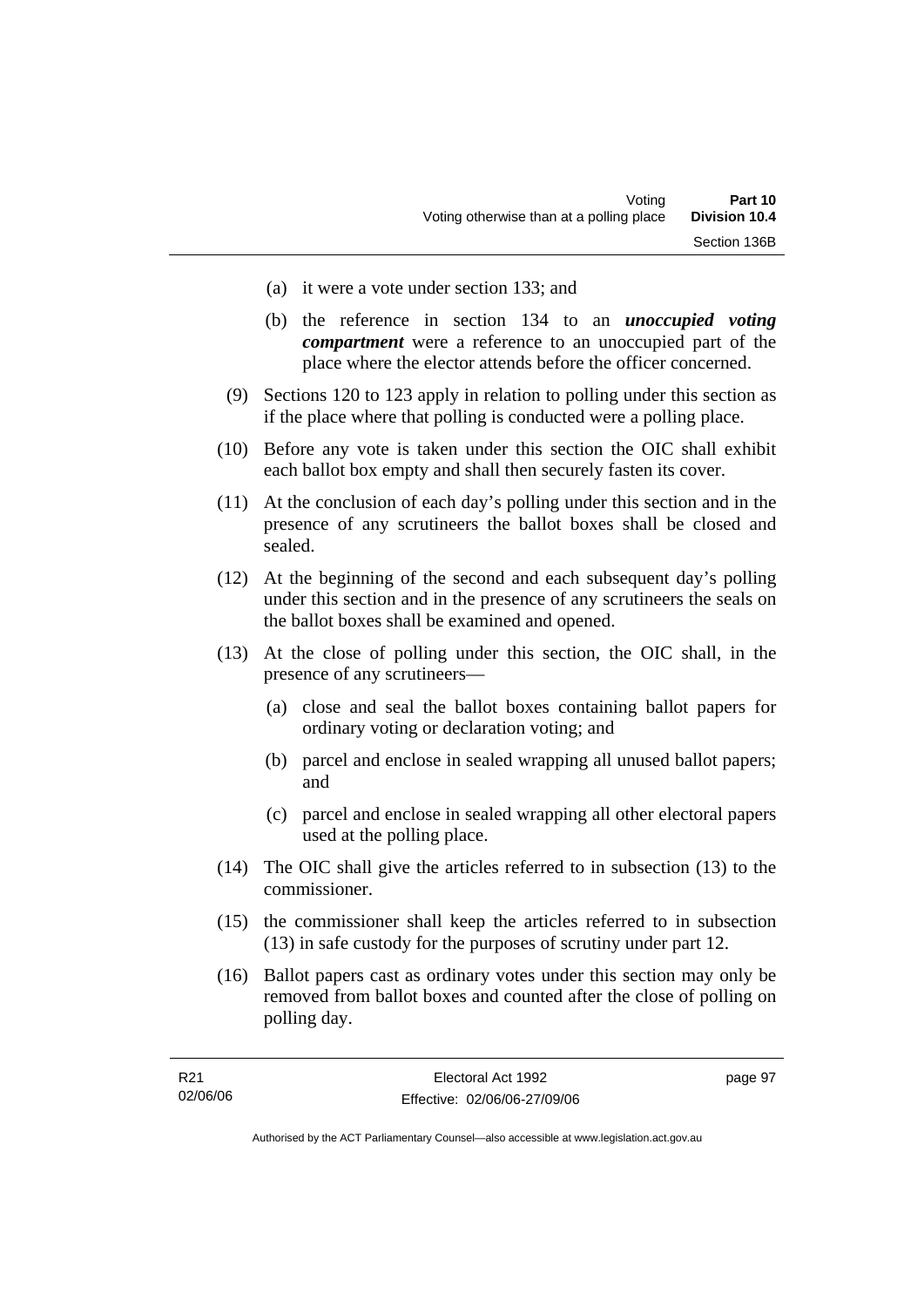- (a) it were a vote under section 133; and
- (b) the reference in section 134 to an *unoccupied voting compartment* were a reference to an unoccupied part of the place where the elector attends before the officer concerned.
- (9) Sections 120 to 123 apply in relation to polling under this section as if the place where that polling is conducted were a polling place.
- (10) Before any vote is taken under this section the OIC shall exhibit each ballot box empty and shall then securely fasten its cover.
- (11) At the conclusion of each day's polling under this section and in the presence of any scrutineers the ballot boxes shall be closed and sealed.
- (12) At the beginning of the second and each subsequent day's polling under this section and in the presence of any scrutineers the seals on the ballot boxes shall be examined and opened.
- (13) At the close of polling under this section, the OIC shall, in the presence of any scrutineers—
	- (a) close and seal the ballot boxes containing ballot papers for ordinary voting or declaration voting; and
	- (b) parcel and enclose in sealed wrapping all unused ballot papers; and
	- (c) parcel and enclose in sealed wrapping all other electoral papers used at the polling place.
- (14) The OIC shall give the articles referred to in subsection (13) to the commissioner.
- (15) the commissioner shall keep the articles referred to in subsection (13) in safe custody for the purposes of scrutiny under part 12.
- (16) Ballot papers cast as ordinary votes under this section may only be removed from ballot boxes and counted after the close of polling on polling day.

| R21      | Electoral Act 1992           | page 97 |
|----------|------------------------------|---------|
| 02/06/06 | Effective: 02/06/06-27/09/06 |         |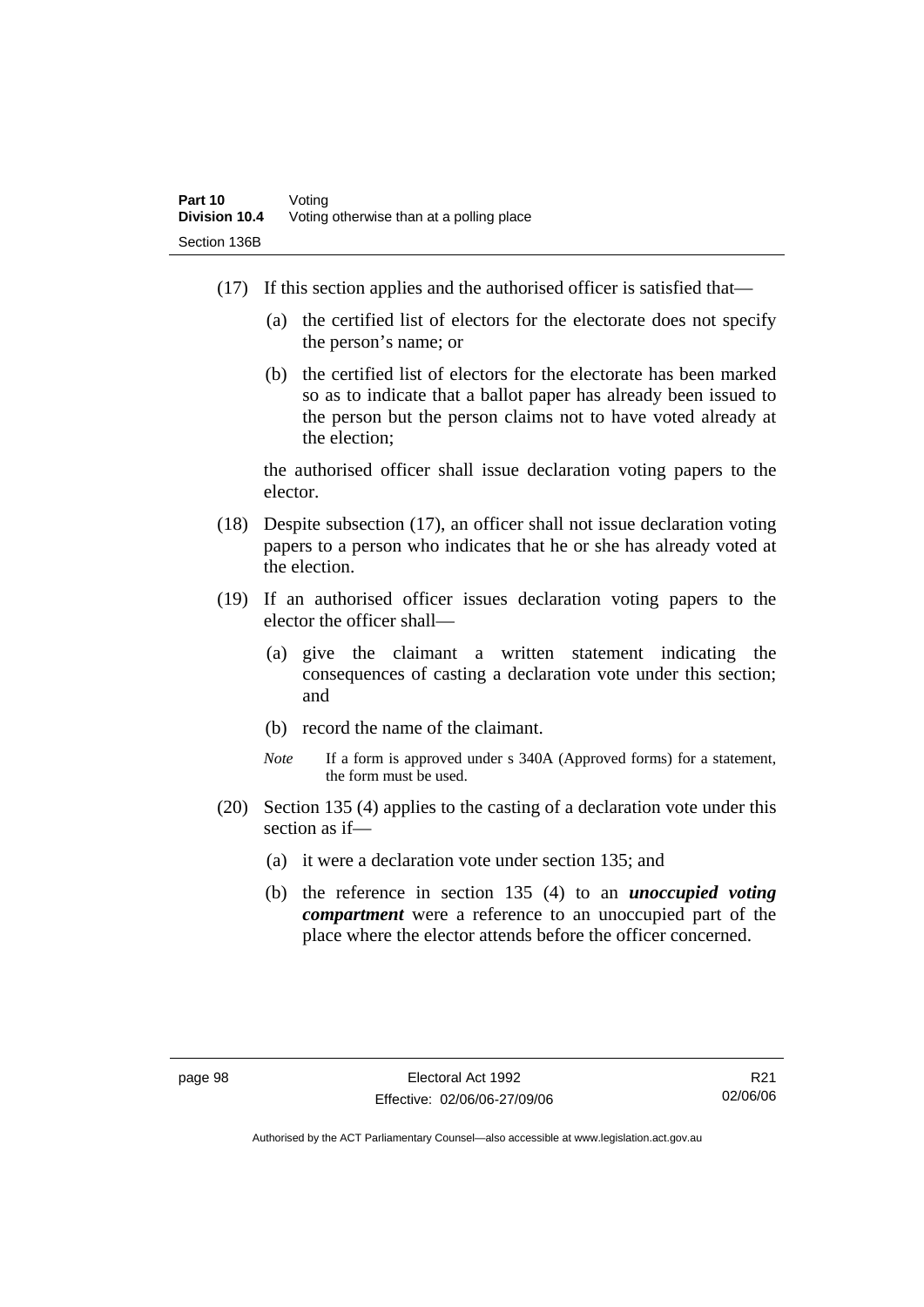- (17) If this section applies and the authorised officer is satisfied that—
	- (a) the certified list of electors for the electorate does not specify the person's name; or
	- (b) the certified list of electors for the electorate has been marked so as to indicate that a ballot paper has already been issued to the person but the person claims not to have voted already at the election;

the authorised officer shall issue declaration voting papers to the elector.

- (18) Despite subsection (17), an officer shall not issue declaration voting papers to a person who indicates that he or she has already voted at the election.
- (19) If an authorised officer issues declaration voting papers to the elector the officer shall—
	- (a) give the claimant a written statement indicating the consequences of casting a declaration vote under this section; and
	- (b) record the name of the claimant.
	- *Note* If a form is approved under s 340A (Approved forms) for a statement, the form must be used.
- (20) Section 135 (4) applies to the casting of a declaration vote under this section as if—
	- (a) it were a declaration vote under section 135; and
	- (b) the reference in section 135 (4) to an *unoccupied voting compartment* were a reference to an unoccupied part of the place where the elector attends before the officer concerned.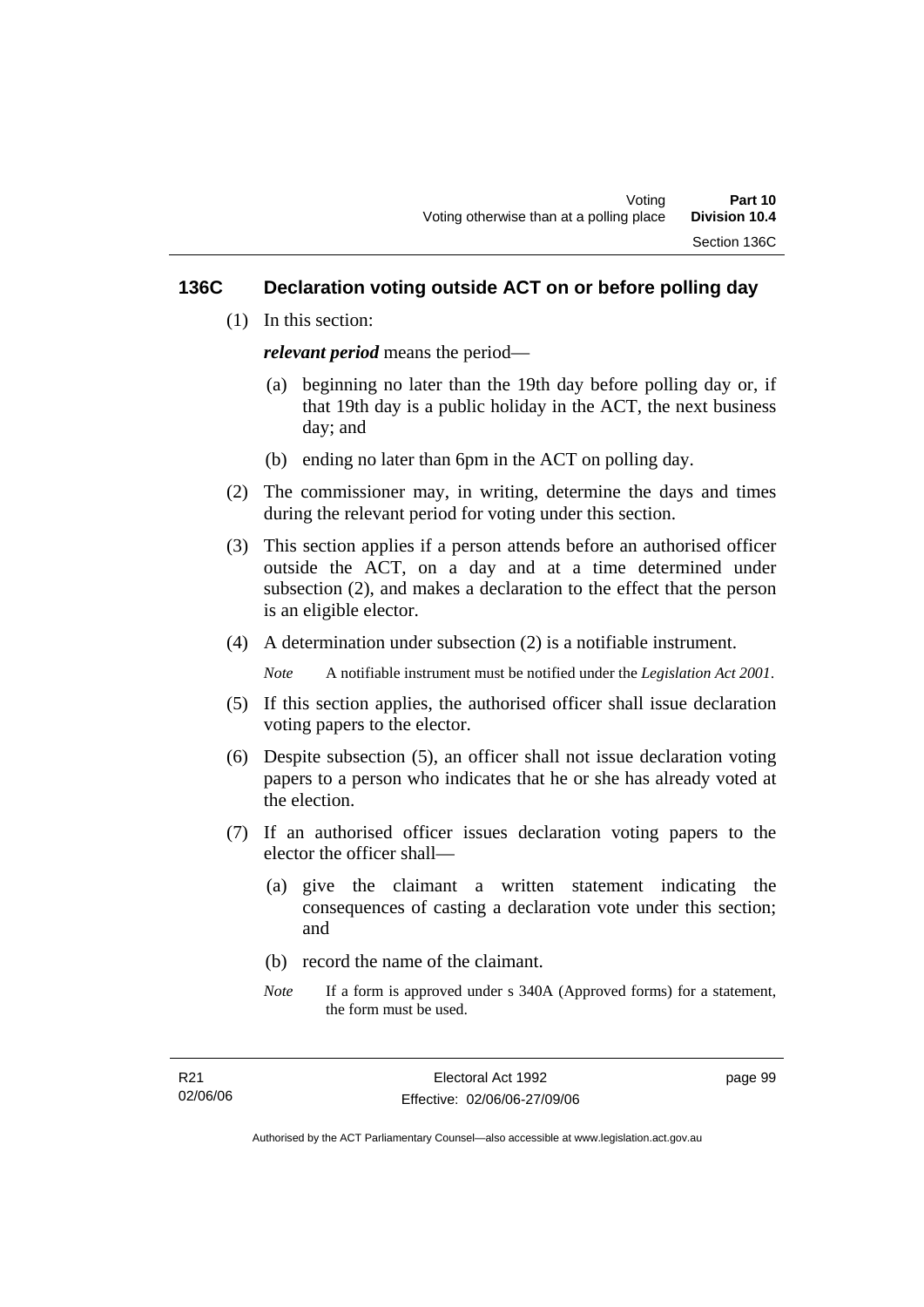#### **136C Declaration voting outside ACT on or before polling day**

(1) In this section:

*relevant period* means the period—

- (a) beginning no later than the 19th day before polling day or, if that 19th day is a public holiday in the ACT, the next business day; and
- (b) ending no later than 6pm in the ACT on polling day.
- (2) The commissioner may, in writing, determine the days and times during the relevant period for voting under this section.
- (3) This section applies if a person attends before an authorised officer outside the ACT, on a day and at a time determined under subsection (2), and makes a declaration to the effect that the person is an eligible elector.
- (4) A determination under subsection (2) is a notifiable instrument.

*Note* A notifiable instrument must be notified under the *Legislation Act 2001*.

- (5) If this section applies, the authorised officer shall issue declaration voting papers to the elector.
- (6) Despite subsection (5), an officer shall not issue declaration voting papers to a person who indicates that he or she has already voted at the election.
- (7) If an authorised officer issues declaration voting papers to the elector the officer shall—
	- (a) give the claimant a written statement indicating the consequences of casting a declaration vote under this section; and
	- (b) record the name of the claimant.
	- *Note* If a form is approved under s 340A (Approved forms) for a statement, the form must be used.

page 99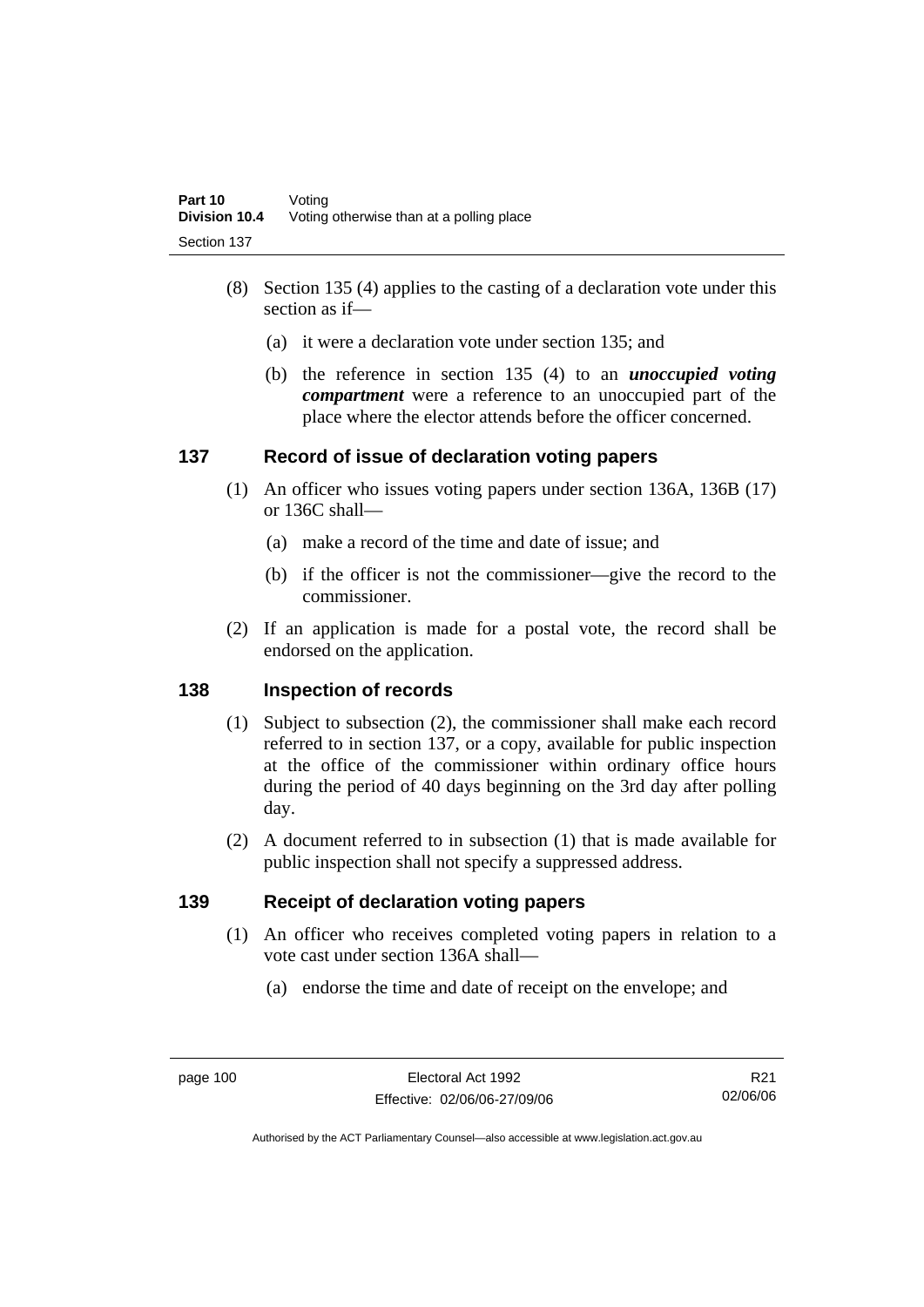- (8) Section 135 (4) applies to the casting of a declaration vote under this section as if—
	- (a) it were a declaration vote under section 135; and
	- (b) the reference in section 135 (4) to an *unoccupied voting compartment* were a reference to an unoccupied part of the place where the elector attends before the officer concerned.

### **137 Record of issue of declaration voting papers**

- (1) An officer who issues voting papers under section 136A, 136B (17) or 136C shall—
	- (a) make a record of the time and date of issue; and
	- (b) if the officer is not the commissioner—give the record to the commissioner.
- (2) If an application is made for a postal vote, the record shall be endorsed on the application.

### **138 Inspection of records**

- (1) Subject to subsection (2), the commissioner shall make each record referred to in section 137, or a copy, available for public inspection at the office of the commissioner within ordinary office hours during the period of 40 days beginning on the 3rd day after polling day.
- (2) A document referred to in subsection (1) that is made available for public inspection shall not specify a suppressed address.

### **139 Receipt of declaration voting papers**

- (1) An officer who receives completed voting papers in relation to a vote cast under section 136A shall—
	- (a) endorse the time and date of receipt on the envelope; and

R21 02/06/06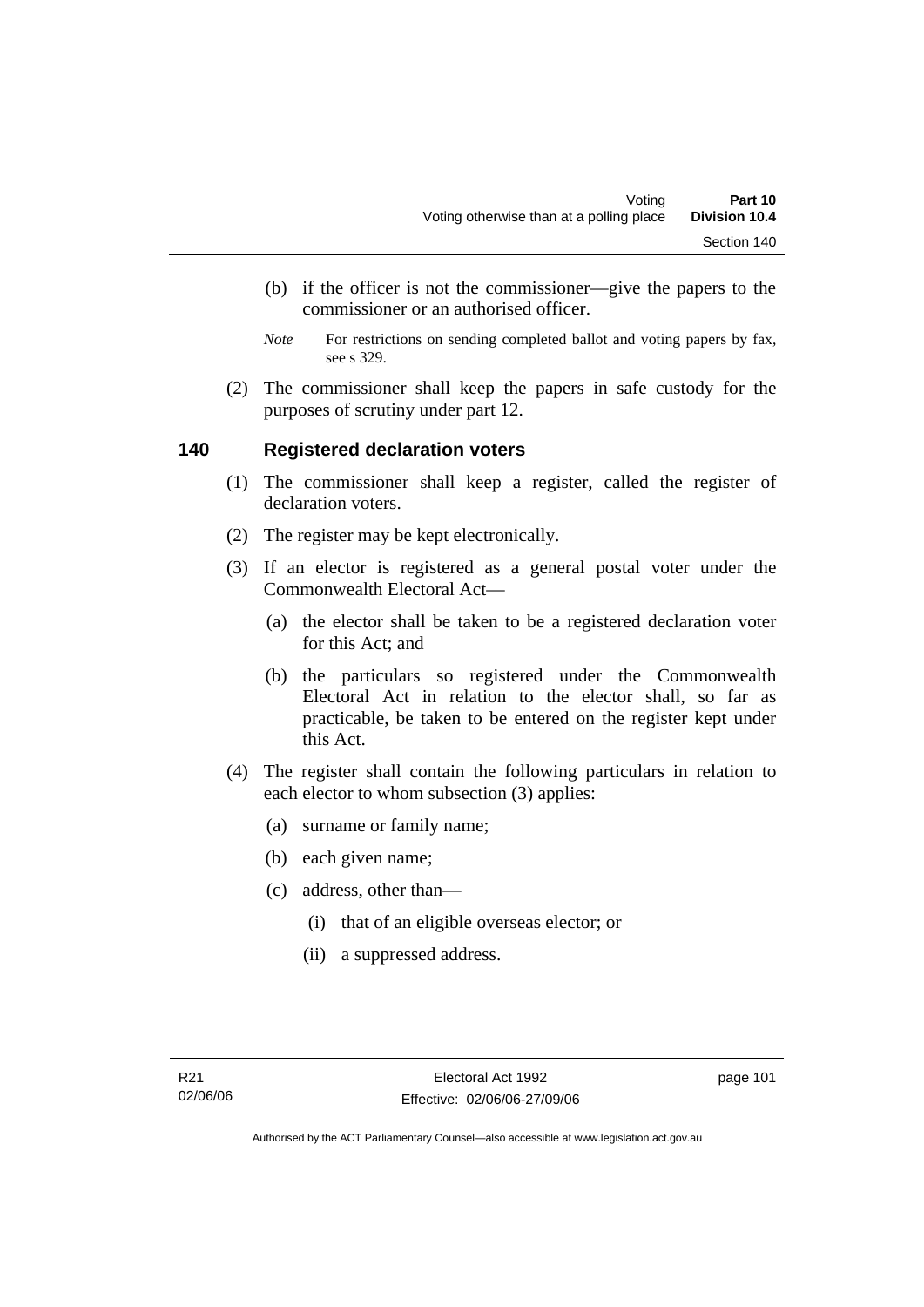- (b) if the officer is not the commissioner—give the papers to the commissioner or an authorised officer.
- *Note* For restrictions on sending completed ballot and voting papers by fax, see s 329.
- (2) The commissioner shall keep the papers in safe custody for the purposes of scrutiny under part 12.

#### **140 Registered declaration voters**

- (1) The commissioner shall keep a register, called the register of declaration voters.
- (2) The register may be kept electronically.
- (3) If an elector is registered as a general postal voter under the Commonwealth Electoral Act—
	- (a) the elector shall be taken to be a registered declaration voter for this Act; and
	- (b) the particulars so registered under the Commonwealth Electoral Act in relation to the elector shall, so far as practicable, be taken to be entered on the register kept under this Act.
- (4) The register shall contain the following particulars in relation to each elector to whom subsection (3) applies:
	- (a) surname or family name;
	- (b) each given name;
	- (c) address, other than—
		- (i) that of an eligible overseas elector; or
		- (ii) a suppressed address.

page 101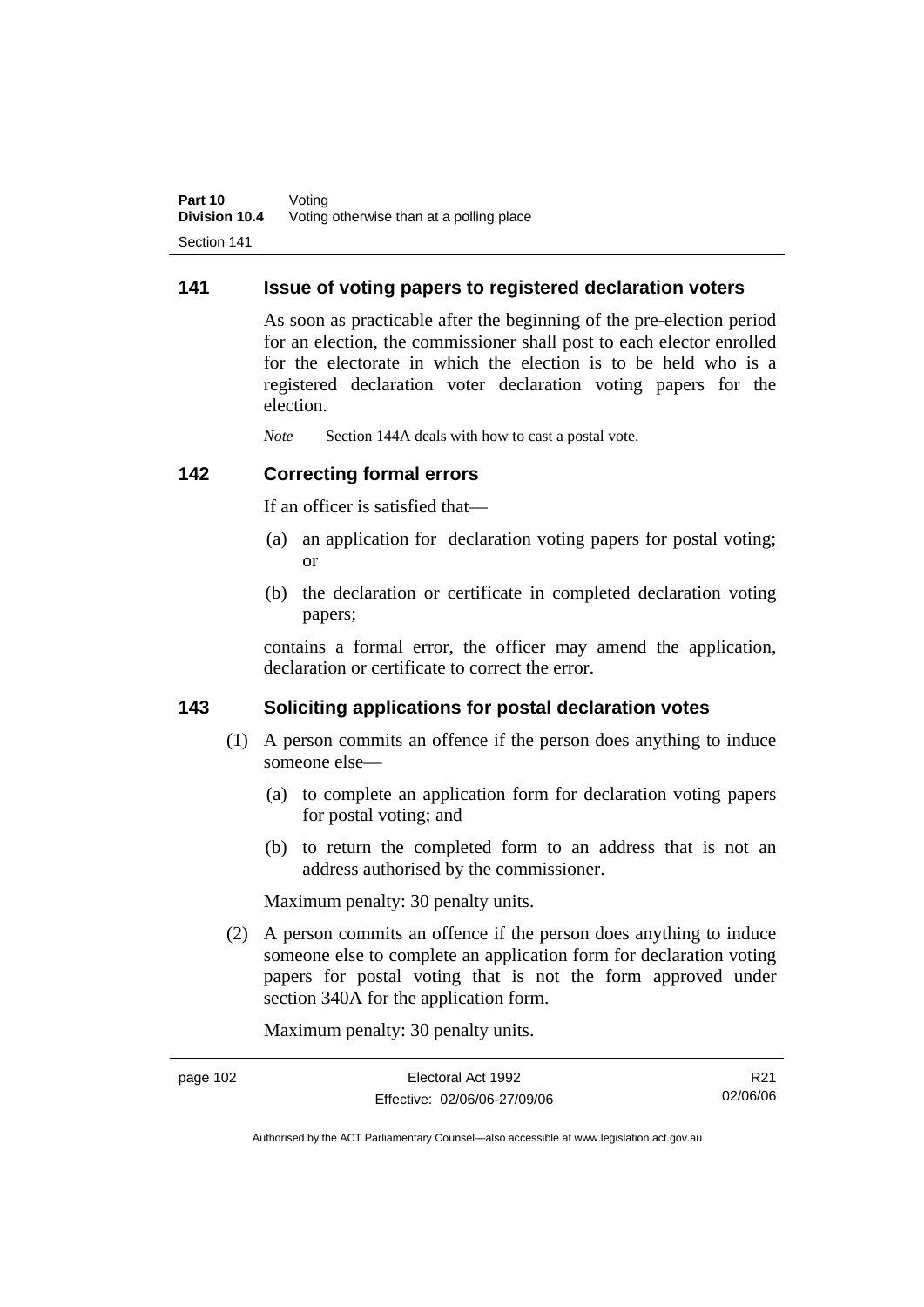#### **141 Issue of voting papers to registered declaration voters**

As soon as practicable after the beginning of the pre-election period for an election, the commissioner shall post to each elector enrolled for the electorate in which the election is to be held who is a registered declaration voter declaration voting papers for the election.

*Note* Section 144A deals with how to cast a postal vote.

#### **142 Correcting formal errors**

If an officer is satisfied that—

- (a) an application for declaration voting papers for postal voting; or
- (b) the declaration or certificate in completed declaration voting papers;

contains a formal error, the officer may amend the application, declaration or certificate to correct the error.

#### **143 Soliciting applications for postal declaration votes**

- (1) A person commits an offence if the person does anything to induce someone else—
	- (a) to complete an application form for declaration voting papers for postal voting; and
	- (b) to return the completed form to an address that is not an address authorised by the commissioner.

Maximum penalty: 30 penalty units.

 (2) A person commits an offence if the person does anything to induce someone else to complete an application form for declaration voting papers for postal voting that is not the form approved under section 340A for the application form.

Maximum penalty: 30 penalty units.

| page 102 | Electoral Act 1992           | R21      |
|----------|------------------------------|----------|
|          | Effective: 02/06/06-27/09/06 | 02/06/06 |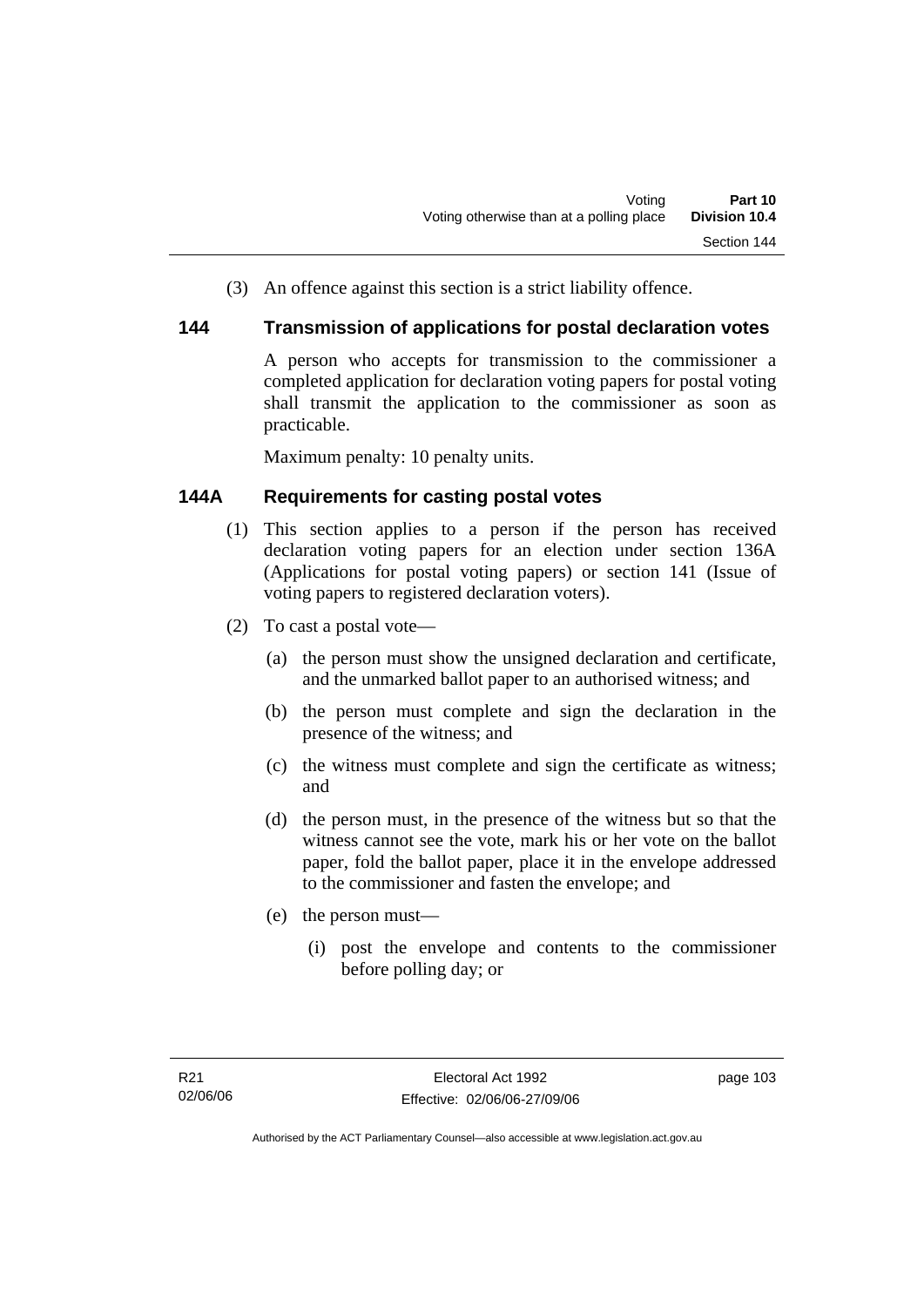(3) An offence against this section is a strict liability offence.

#### **144 Transmission of applications for postal declaration votes**

A person who accepts for transmission to the commissioner a completed application for declaration voting papers for postal voting shall transmit the application to the commissioner as soon as practicable.

Maximum penalty: 10 penalty units.

### **144A Requirements for casting postal votes**

- (1) This section applies to a person if the person has received declaration voting papers for an election under section 136A (Applications for postal voting papers) or section 141 (Issue of voting papers to registered declaration voters).
- (2) To cast a postal vote—
	- (a) the person must show the unsigned declaration and certificate, and the unmarked ballot paper to an authorised witness; and
	- (b) the person must complete and sign the declaration in the presence of the witness; and
	- (c) the witness must complete and sign the certificate as witness; and
	- (d) the person must, in the presence of the witness but so that the witness cannot see the vote, mark his or her vote on the ballot paper, fold the ballot paper, place it in the envelope addressed to the commissioner and fasten the envelope; and
	- (e) the person must—
		- (i) post the envelope and contents to the commissioner before polling day; or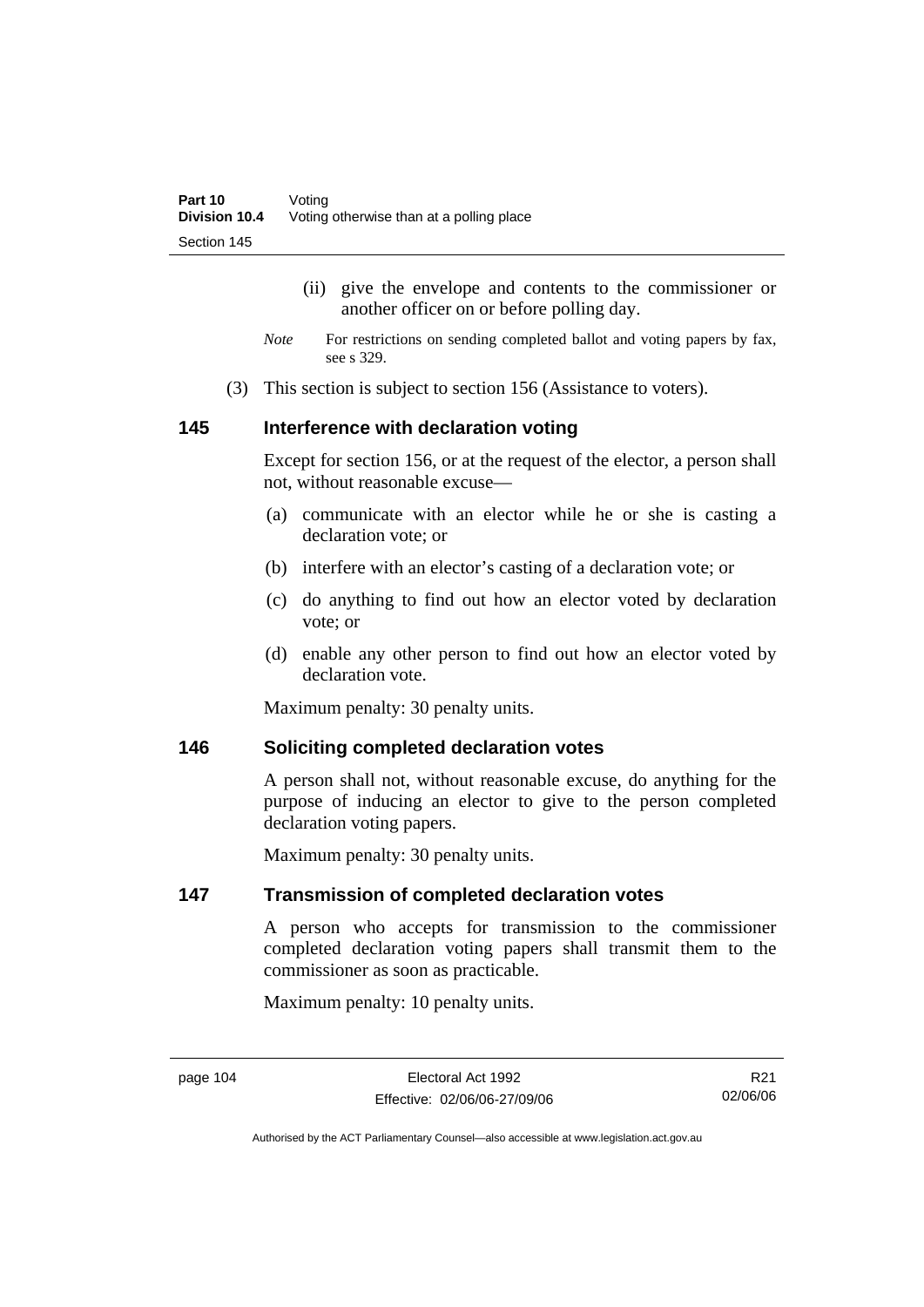- (ii) give the envelope and contents to the commissioner or another officer on or before polling day.
- *Note* For restrictions on sending completed ballot and voting papers by fax, see s 329.
- (3) This section is subject to section 156 (Assistance to voters).

#### **145 Interference with declaration voting**

Except for section 156, or at the request of the elector, a person shall not, without reasonable excuse—

- (a) communicate with an elector while he or she is casting a declaration vote; or
- (b) interfere with an elector's casting of a declaration vote; or
- (c) do anything to find out how an elector voted by declaration vote; or
- (d) enable any other person to find out how an elector voted by declaration vote.

Maximum penalty: 30 penalty units.

#### **146 Soliciting completed declaration votes**

A person shall not, without reasonable excuse, do anything for the purpose of inducing an elector to give to the person completed declaration voting papers.

Maximum penalty: 30 penalty units.

#### **147 Transmission of completed declaration votes**

A person who accepts for transmission to the commissioner completed declaration voting papers shall transmit them to the commissioner as soon as practicable.

Maximum penalty: 10 penalty units.

page 104 Electoral Act 1992 Effective: 02/06/06-27/09/06

R21 02/06/06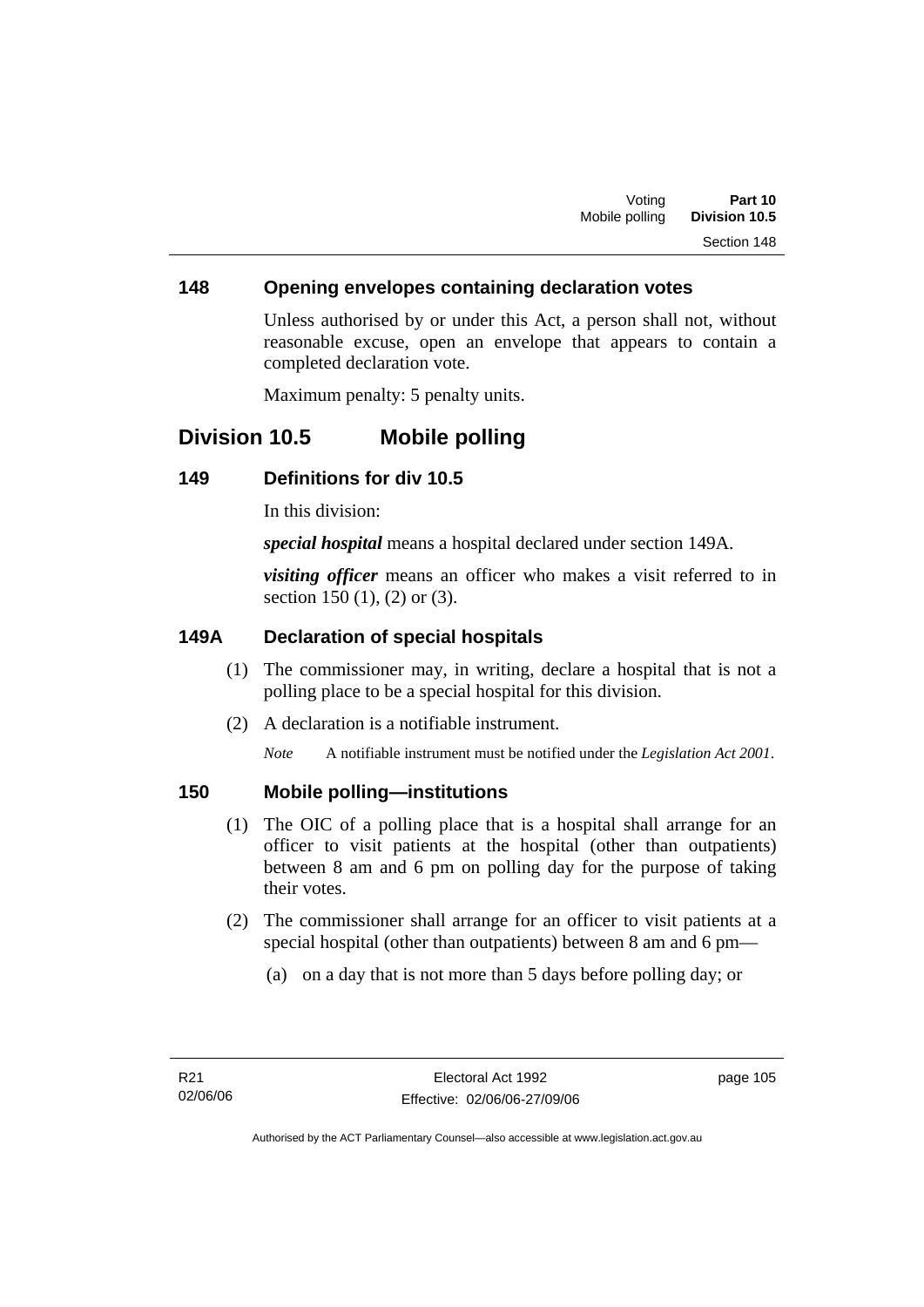#### **148 Opening envelopes containing declaration votes**

Unless authorised by or under this Act, a person shall not, without reasonable excuse, open an envelope that appears to contain a completed declaration vote.

Maximum penalty: 5 penalty units.

## **Division 10.5 Mobile polling**

#### **149 Definitions for div 10.5**

In this division:

*special hospital* means a hospital declared under section 149A.

*visiting officer* means an officer who makes a visit referred to in section 150 (1), (2) or (3).

#### **149A Declaration of special hospitals**

- (1) The commissioner may, in writing, declare a hospital that is not a polling place to be a special hospital for this division.
- (2) A declaration is a notifiable instrument.

*Note* A notifiable instrument must be notified under the *Legislation Act 2001*.

#### **150 Mobile polling—institutions**

- (1) The OIC of a polling place that is a hospital shall arrange for an officer to visit patients at the hospital (other than outpatients) between 8 am and 6 pm on polling day for the purpose of taking their votes.
- (2) The commissioner shall arrange for an officer to visit patients at a special hospital (other than outpatients) between 8 am and 6 pm—
	- (a) on a day that is not more than 5 days before polling day; or

page 105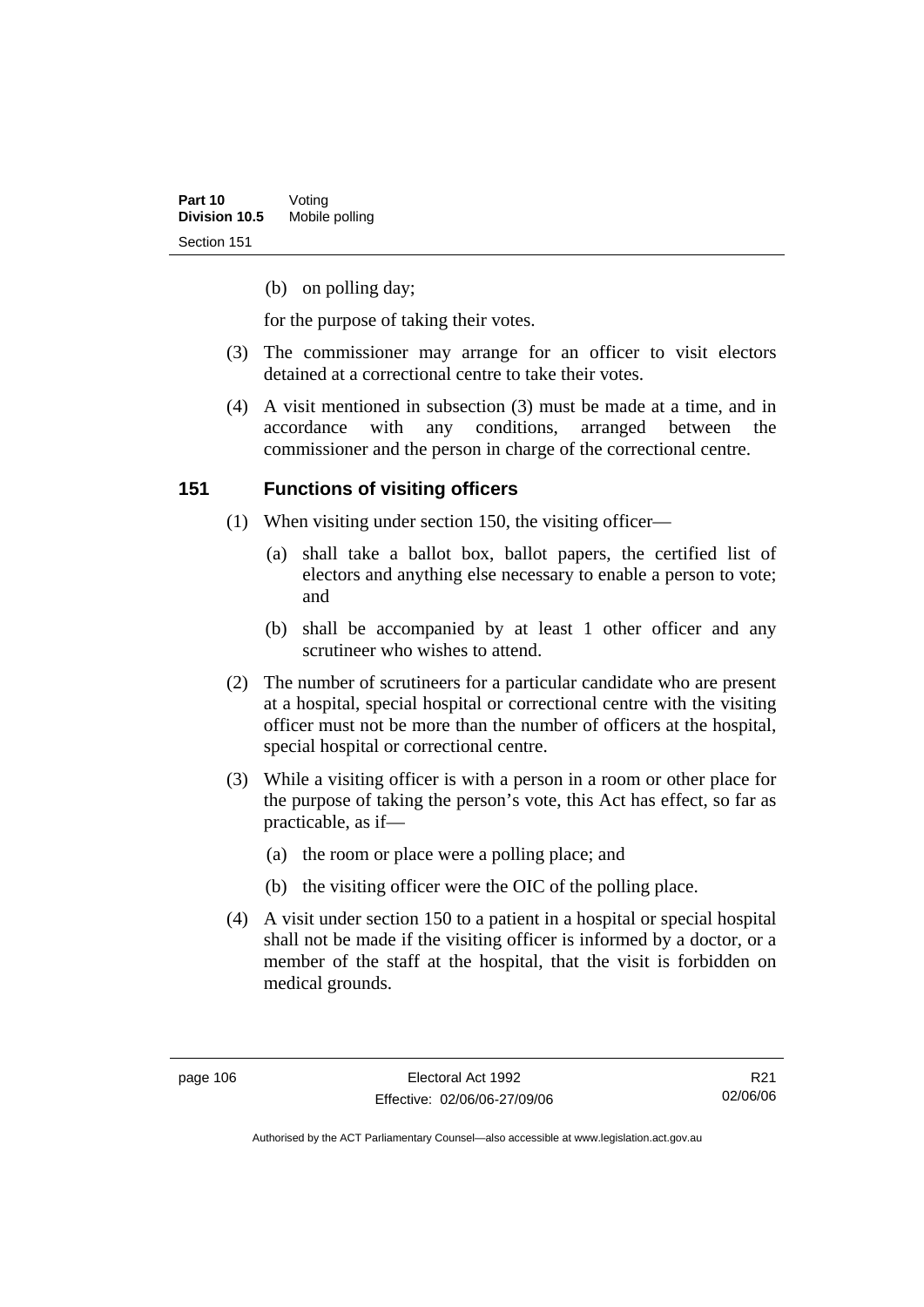(b) on polling day;

for the purpose of taking their votes.

- (3) The commissioner may arrange for an officer to visit electors detained at a correctional centre to take their votes.
- (4) A visit mentioned in subsection (3) must be made at a time, and in accordance with any conditions, arranged between the commissioner and the person in charge of the correctional centre.

#### **151 Functions of visiting officers**

- (1) When visiting under section 150, the visiting officer—
	- (a) shall take a ballot box, ballot papers, the certified list of electors and anything else necessary to enable a person to vote; and
	- (b) shall be accompanied by at least 1 other officer and any scrutineer who wishes to attend.
- (2) The number of scrutineers for a particular candidate who are present at a hospital, special hospital or correctional centre with the visiting officer must not be more than the number of officers at the hospital, special hospital or correctional centre.
- (3) While a visiting officer is with a person in a room or other place for the purpose of taking the person's vote, this Act has effect, so far as practicable, as if—
	- (a) the room or place were a polling place; and
	- (b) the visiting officer were the OIC of the polling place.
- (4) A visit under section 150 to a patient in a hospital or special hospital shall not be made if the visiting officer is informed by a doctor, or a member of the staff at the hospital, that the visit is forbidden on medical grounds.

R21 02/06/06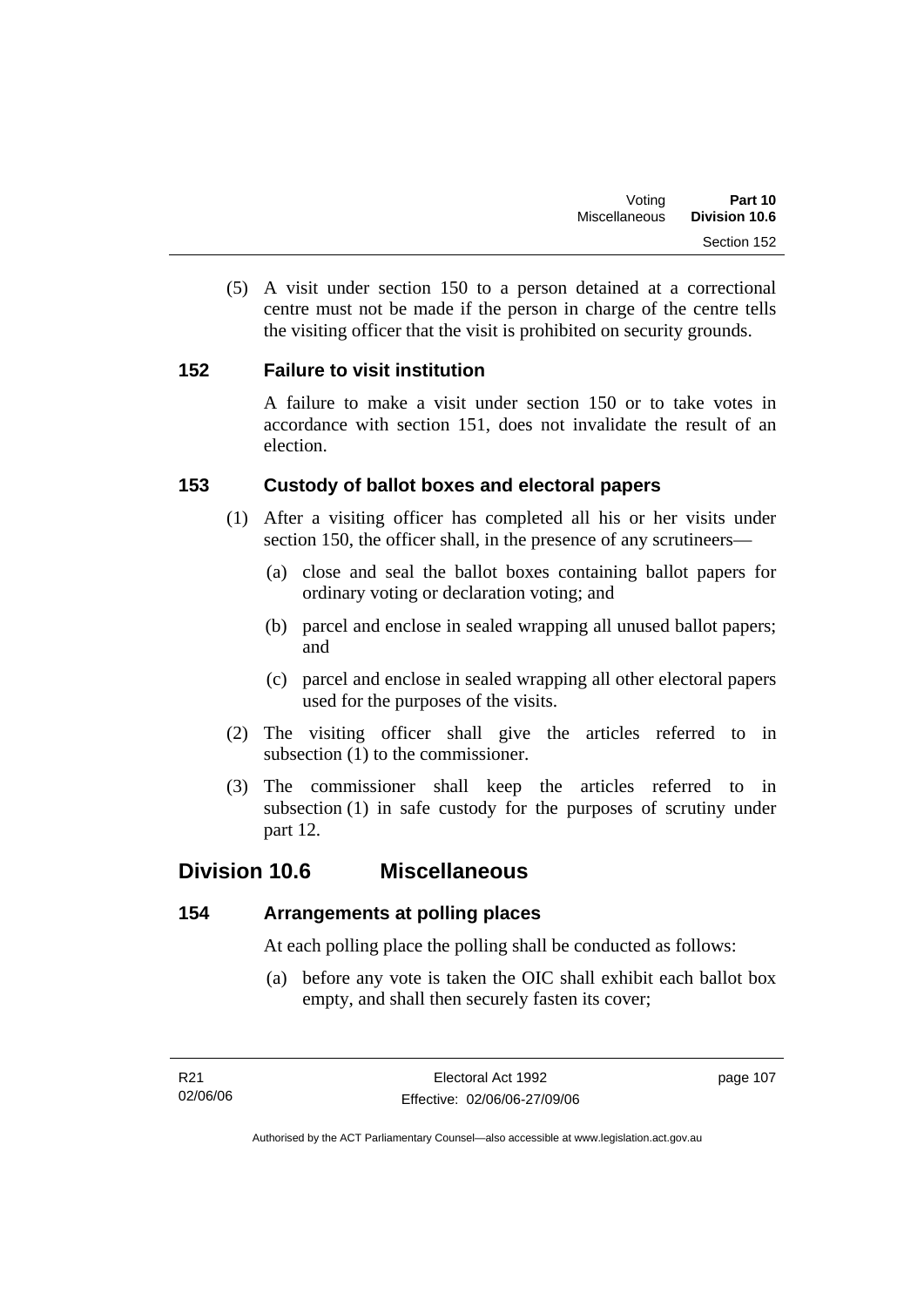(5) A visit under section 150 to a person detained at a correctional centre must not be made if the person in charge of the centre tells the visiting officer that the visit is prohibited on security grounds.

### **152 Failure to visit institution**

A failure to make a visit under section 150 or to take votes in accordance with section 151, does not invalidate the result of an election.

### **153 Custody of ballot boxes and electoral papers**

- (1) After a visiting officer has completed all his or her visits under section 150, the officer shall, in the presence of any scrutineers—
	- (a) close and seal the ballot boxes containing ballot papers for ordinary voting or declaration voting; and
	- (b) parcel and enclose in sealed wrapping all unused ballot papers; and
	- (c) parcel and enclose in sealed wrapping all other electoral papers used for the purposes of the visits.
- (2) The visiting officer shall give the articles referred to in subsection (1) to the commissioner.
- (3) The commissioner shall keep the articles referred to in subsection (1) in safe custody for the purposes of scrutiny under part 12.

## **Division 10.6 Miscellaneous**

## **154 Arrangements at polling places**

At each polling place the polling shall be conducted as follows:

 (a) before any vote is taken the OIC shall exhibit each ballot box empty, and shall then securely fasten its cover;

page 107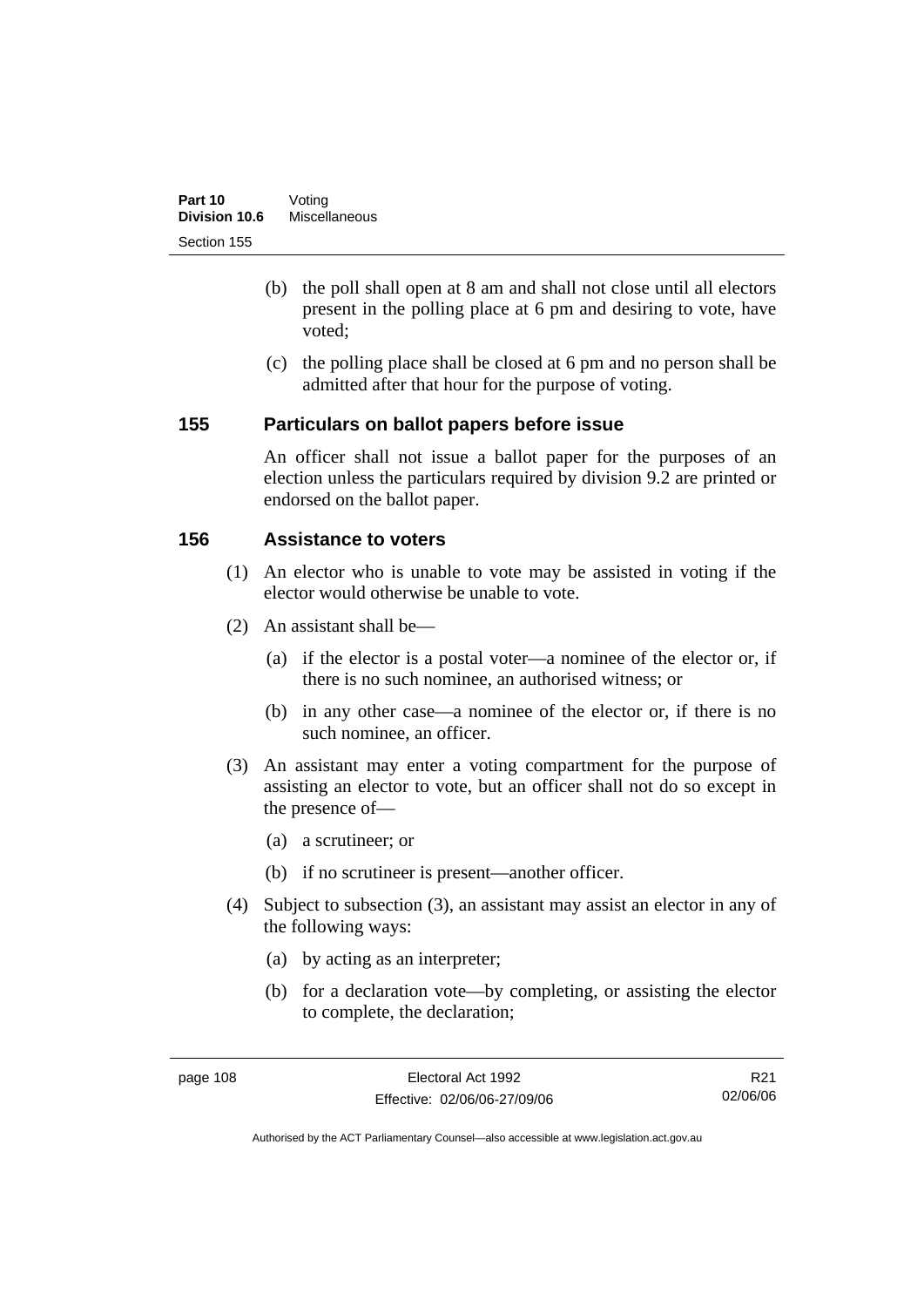- (b) the poll shall open at 8 am and shall not close until all electors present in the polling place at 6 pm and desiring to vote, have voted;
- (c) the polling place shall be closed at 6 pm and no person shall be admitted after that hour for the purpose of voting.

#### **155 Particulars on ballot papers before issue**

An officer shall not issue a ballot paper for the purposes of an election unless the particulars required by division 9.2 are printed or endorsed on the ballot paper.

### **156 Assistance to voters**

- (1) An elector who is unable to vote may be assisted in voting if the elector would otherwise be unable to vote.
- (2) An assistant shall be—
	- (a) if the elector is a postal voter—a nominee of the elector or, if there is no such nominee, an authorised witness; or
	- (b) in any other case—a nominee of the elector or, if there is no such nominee, an officer.
- (3) An assistant may enter a voting compartment for the purpose of assisting an elector to vote, but an officer shall not do so except in the presence of—
	- (a) a scrutineer; or
	- (b) if no scrutineer is present—another officer.
- (4) Subject to subsection (3), an assistant may assist an elector in any of the following ways:
	- (a) by acting as an interpreter;
	- (b) for a declaration vote—by completing, or assisting the elector to complete, the declaration;

R21 02/06/06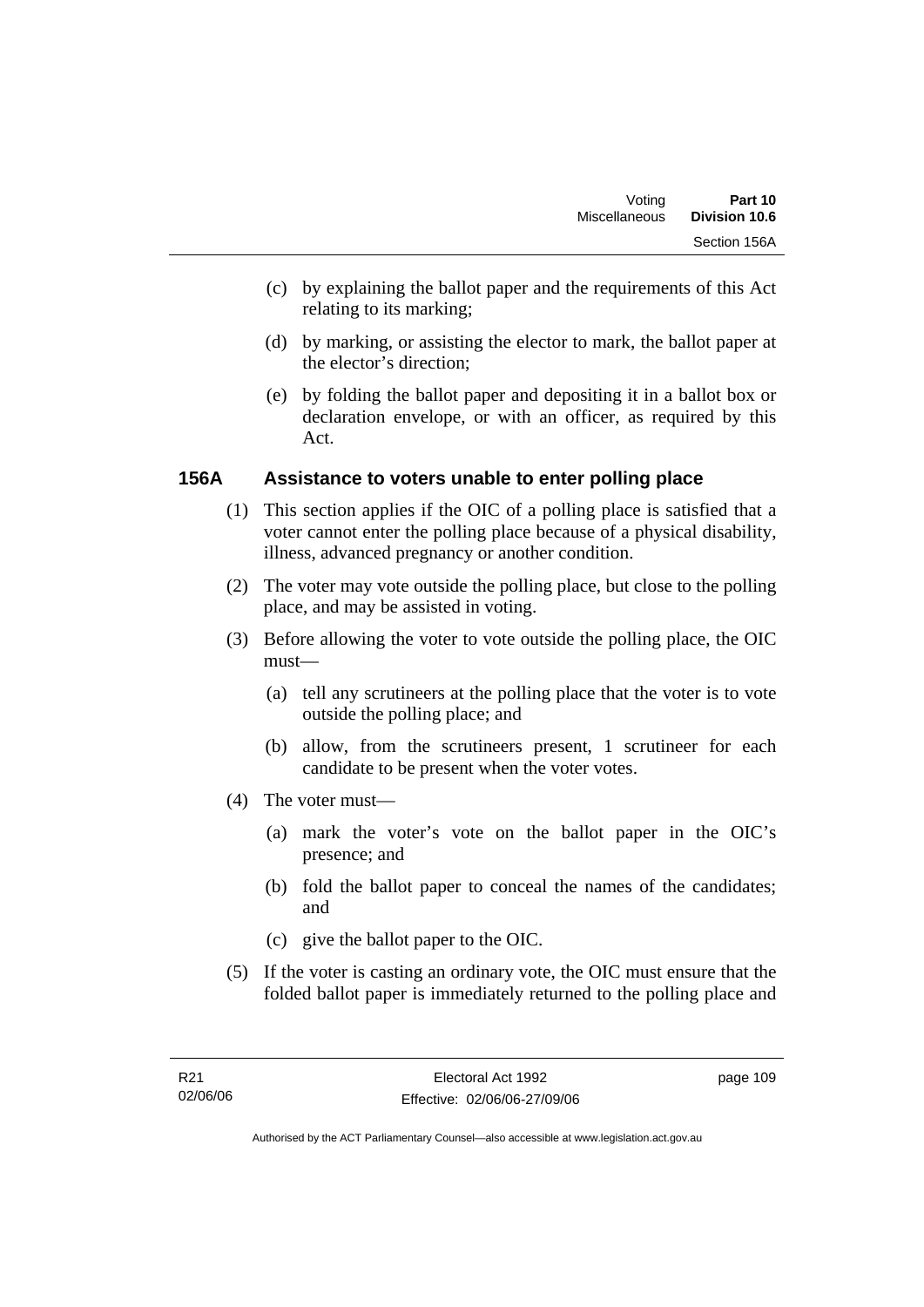- (c) by explaining the ballot paper and the requirements of this Act relating to its marking;
- (d) by marking, or assisting the elector to mark, the ballot paper at the elector's direction;
- (e) by folding the ballot paper and depositing it in a ballot box or declaration envelope, or with an officer, as required by this Act.

#### **156A Assistance to voters unable to enter polling place**

- (1) This section applies if the OIC of a polling place is satisfied that a voter cannot enter the polling place because of a physical disability, illness, advanced pregnancy or another condition.
- (2) The voter may vote outside the polling place, but close to the polling place, and may be assisted in voting.
- (3) Before allowing the voter to vote outside the polling place, the OIC must—
	- (a) tell any scrutineers at the polling place that the voter is to vote outside the polling place; and
	- (b) allow, from the scrutineers present, 1 scrutineer for each candidate to be present when the voter votes.
- (4) The voter must—
	- (a) mark the voter's vote on the ballot paper in the OIC's presence; and
	- (b) fold the ballot paper to conceal the names of the candidates; and
	- (c) give the ballot paper to the OIC.
- (5) If the voter is casting an ordinary vote, the OIC must ensure that the folded ballot paper is immediately returned to the polling place and

page 109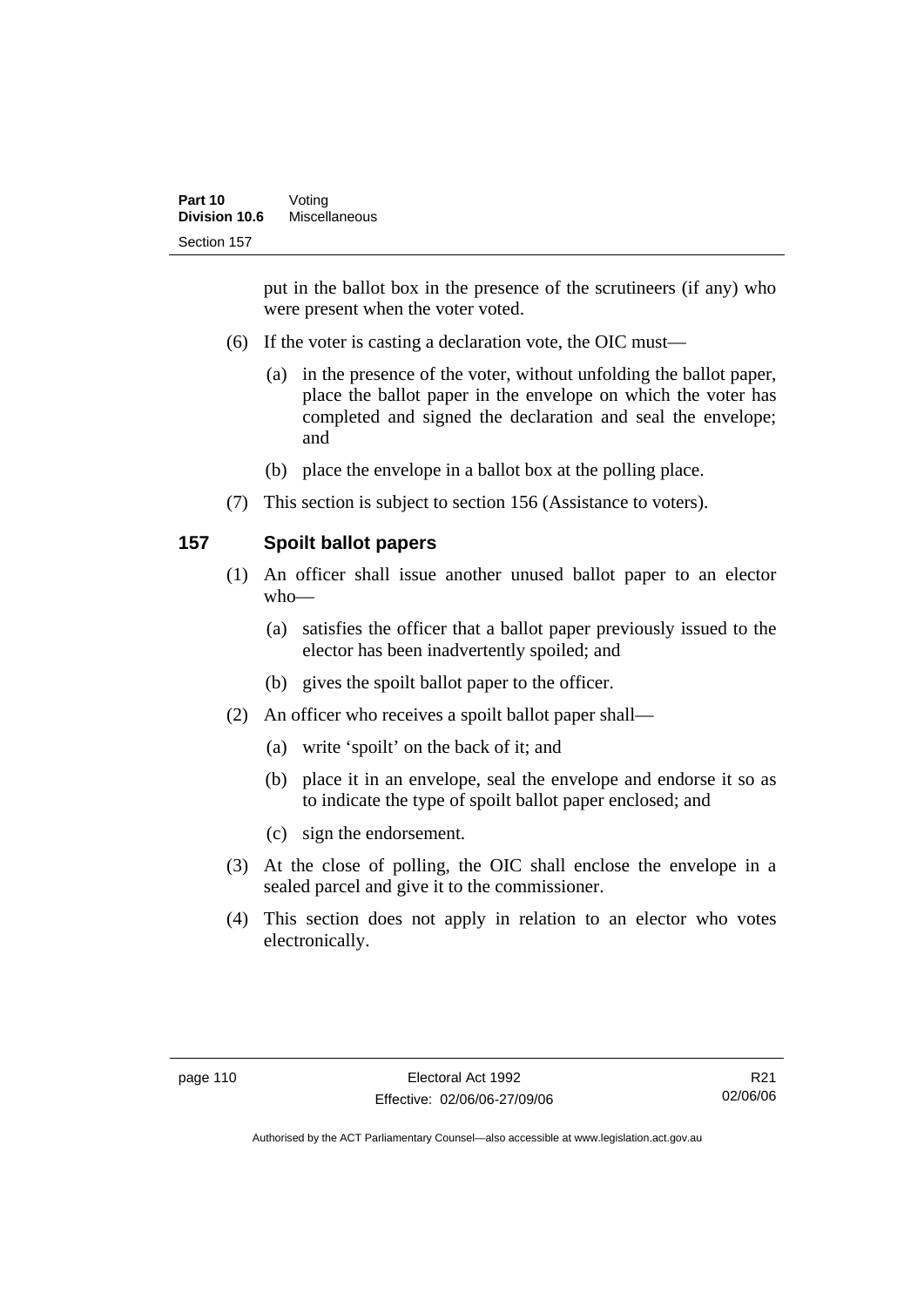put in the ballot box in the presence of the scrutineers (if any) who were present when the voter voted.

- (6) If the voter is casting a declaration vote, the OIC must—
	- (a) in the presence of the voter, without unfolding the ballot paper, place the ballot paper in the envelope on which the voter has completed and signed the declaration and seal the envelope; and
	- (b) place the envelope in a ballot box at the polling place.
- (7) This section is subject to section 156 (Assistance to voters).

### **157 Spoilt ballot papers**

- (1) An officer shall issue another unused ballot paper to an elector who—
	- (a) satisfies the officer that a ballot paper previously issued to the elector has been inadvertently spoiled; and
	- (b) gives the spoilt ballot paper to the officer.
- (2) An officer who receives a spoilt ballot paper shall—
	- (a) write 'spoilt' on the back of it; and
	- (b) place it in an envelope, seal the envelope and endorse it so as to indicate the type of spoilt ballot paper enclosed; and
	- (c) sign the endorsement.
- (3) At the close of polling, the OIC shall enclose the envelope in a sealed parcel and give it to the commissioner.
- (4) This section does not apply in relation to an elector who votes electronically.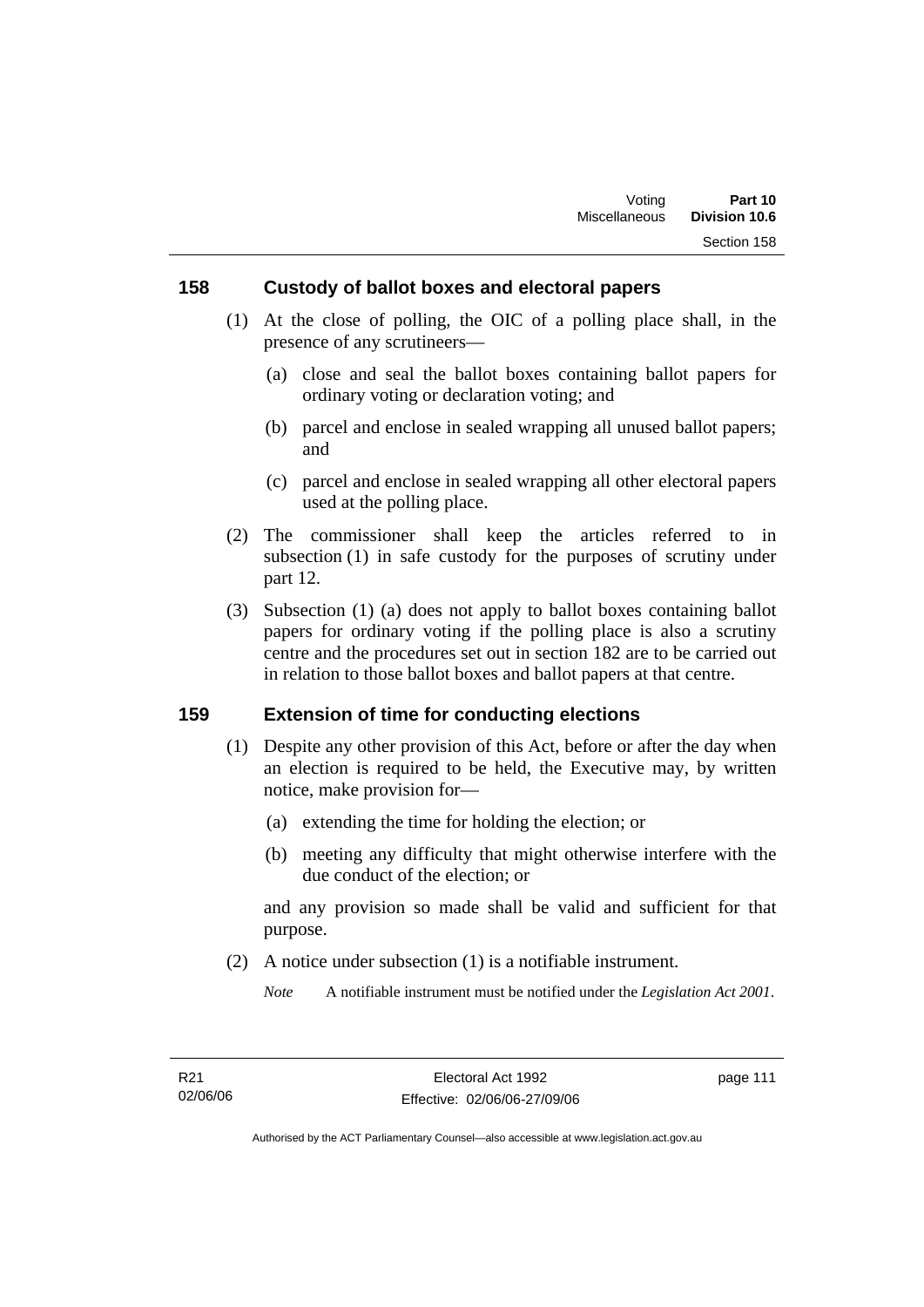#### **158 Custody of ballot boxes and electoral papers**

- (1) At the close of polling, the OIC of a polling place shall, in the presence of any scrutineers—
	- (a) close and seal the ballot boxes containing ballot papers for ordinary voting or declaration voting; and
	- (b) parcel and enclose in sealed wrapping all unused ballot papers; and
	- (c) parcel and enclose in sealed wrapping all other electoral papers used at the polling place.
- (2) The commissioner shall keep the articles referred to in subsection (1) in safe custody for the purposes of scrutiny under part 12.
- (3) Subsection (1) (a) does not apply to ballot boxes containing ballot papers for ordinary voting if the polling place is also a scrutiny centre and the procedures set out in section 182 are to be carried out in relation to those ballot boxes and ballot papers at that centre.

#### **159 Extension of time for conducting elections**

- (1) Despite any other provision of this Act, before or after the day when an election is required to be held, the Executive may, by written notice, make provision for—
	- (a) extending the time for holding the election; or
	- (b) meeting any difficulty that might otherwise interfere with the due conduct of the election; or

and any provision so made shall be valid and sufficient for that purpose.

(2) A notice under subsection (1) is a notifiable instrument.

*Note* A notifiable instrument must be notified under the *Legislation Act 2001*.

page 111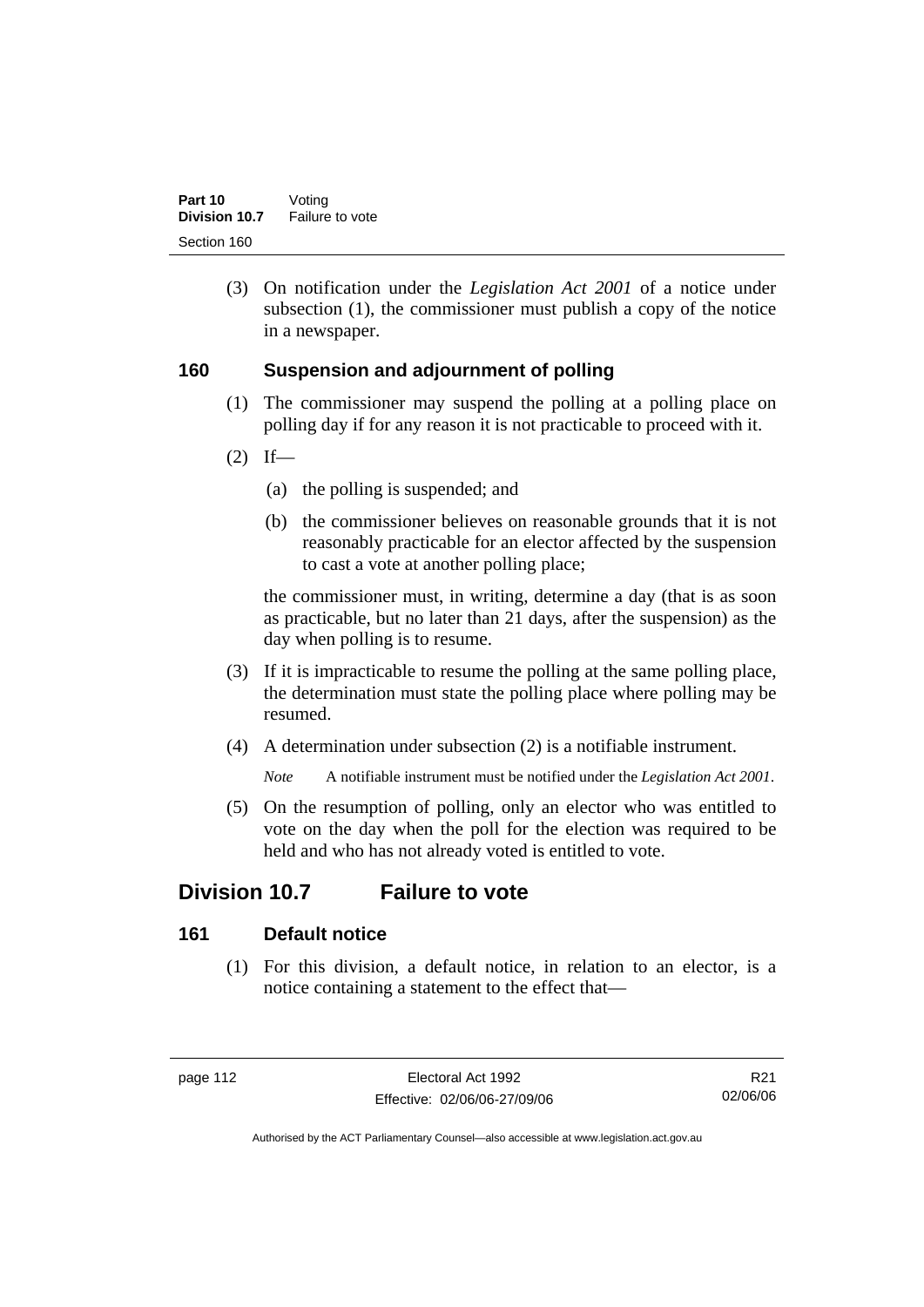(3) On notification under the *Legislation Act 2001* of a notice under subsection (1), the commissioner must publish a copy of the notice in a newspaper.

#### **160 Suspension and adjournment of polling**

- (1) The commissioner may suspend the polling at a polling place on polling day if for any reason it is not practicable to proceed with it.
- $(2)$  If—
	- (a) the polling is suspended; and
	- (b) the commissioner believes on reasonable grounds that it is not reasonably practicable for an elector affected by the suspension to cast a vote at another polling place;

the commissioner must, in writing, determine a day (that is as soon as practicable, but no later than 21 days, after the suspension) as the day when polling is to resume.

- (3) If it is impracticable to resume the polling at the same polling place, the determination must state the polling place where polling may be resumed.
- (4) A determination under subsection (2) is a notifiable instrument.

*Note* A notifiable instrument must be notified under the *Legislation Act 2001*.

 (5) On the resumption of polling, only an elector who was entitled to vote on the day when the poll for the election was required to be held and who has not already voted is entitled to vote.

## **Division 10.7 Failure to vote**

### **161 Default notice**

 (1) For this division, a default notice, in relation to an elector, is a notice containing a statement to the effect that—

R21 02/06/06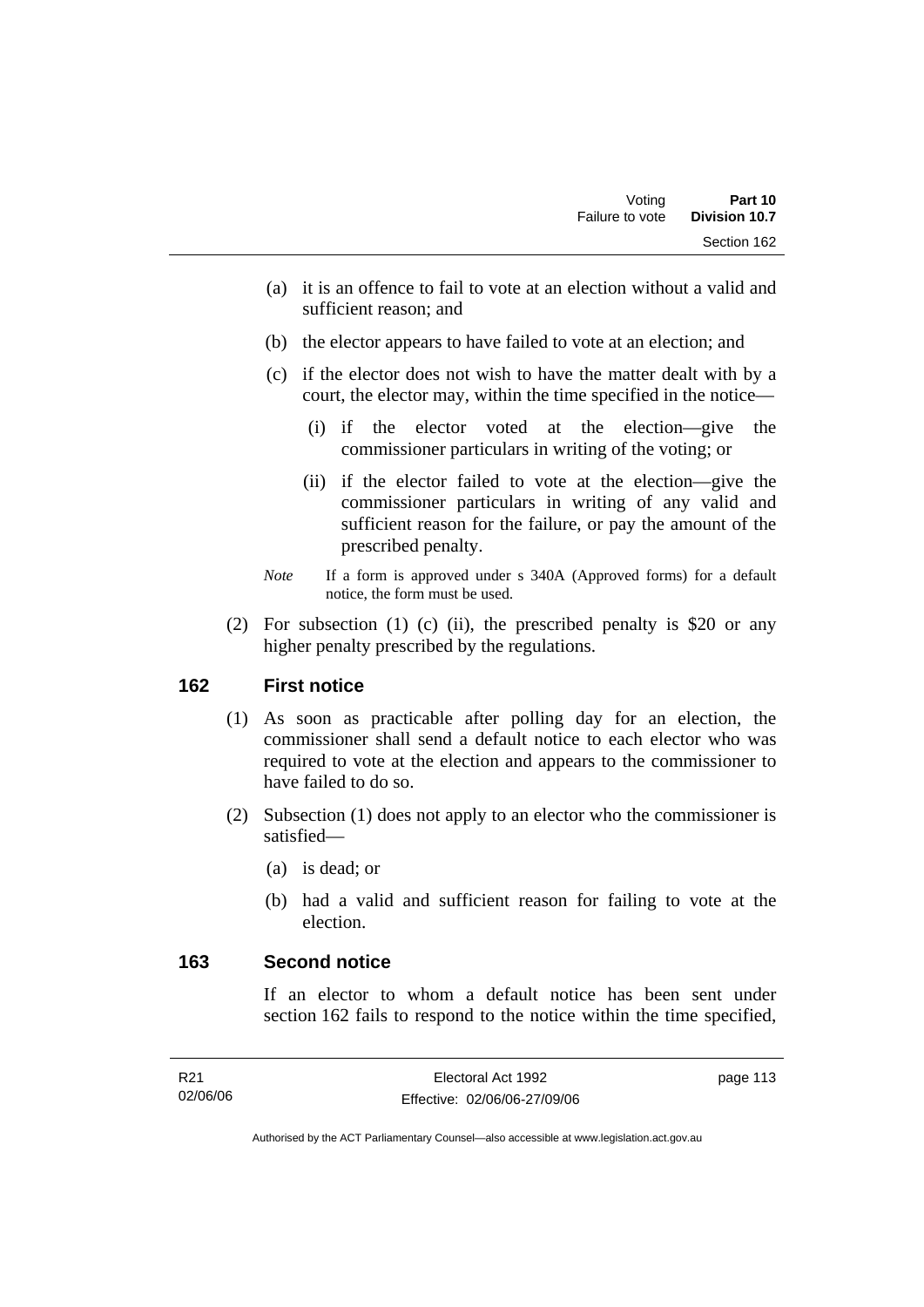- (a) it is an offence to fail to vote at an election without a valid and sufficient reason; and
- (b) the elector appears to have failed to vote at an election; and
- (c) if the elector does not wish to have the matter dealt with by a court, the elector may, within the time specified in the notice—
	- (i) if the elector voted at the election—give the commissioner particulars in writing of the voting; or
	- (ii) if the elector failed to vote at the election—give the commissioner particulars in writing of any valid and sufficient reason for the failure, or pay the amount of the prescribed penalty.
- *Note* If a form is approved under s 340A (Approved forms) for a default notice, the form must be used.
- (2) For subsection (1) (c) (ii), the prescribed penalty is \$20 or any higher penalty prescribed by the regulations.

### **162 First notice**

- (1) As soon as practicable after polling day for an election, the commissioner shall send a default notice to each elector who was required to vote at the election and appears to the commissioner to have failed to do so.
- (2) Subsection (1) does not apply to an elector who the commissioner is satisfied—
	- (a) is dead; or
	- (b) had a valid and sufficient reason for failing to vote at the election.

#### **163 Second notice**

If an elector to whom a default notice has been sent under section 162 fails to respond to the notice within the time specified,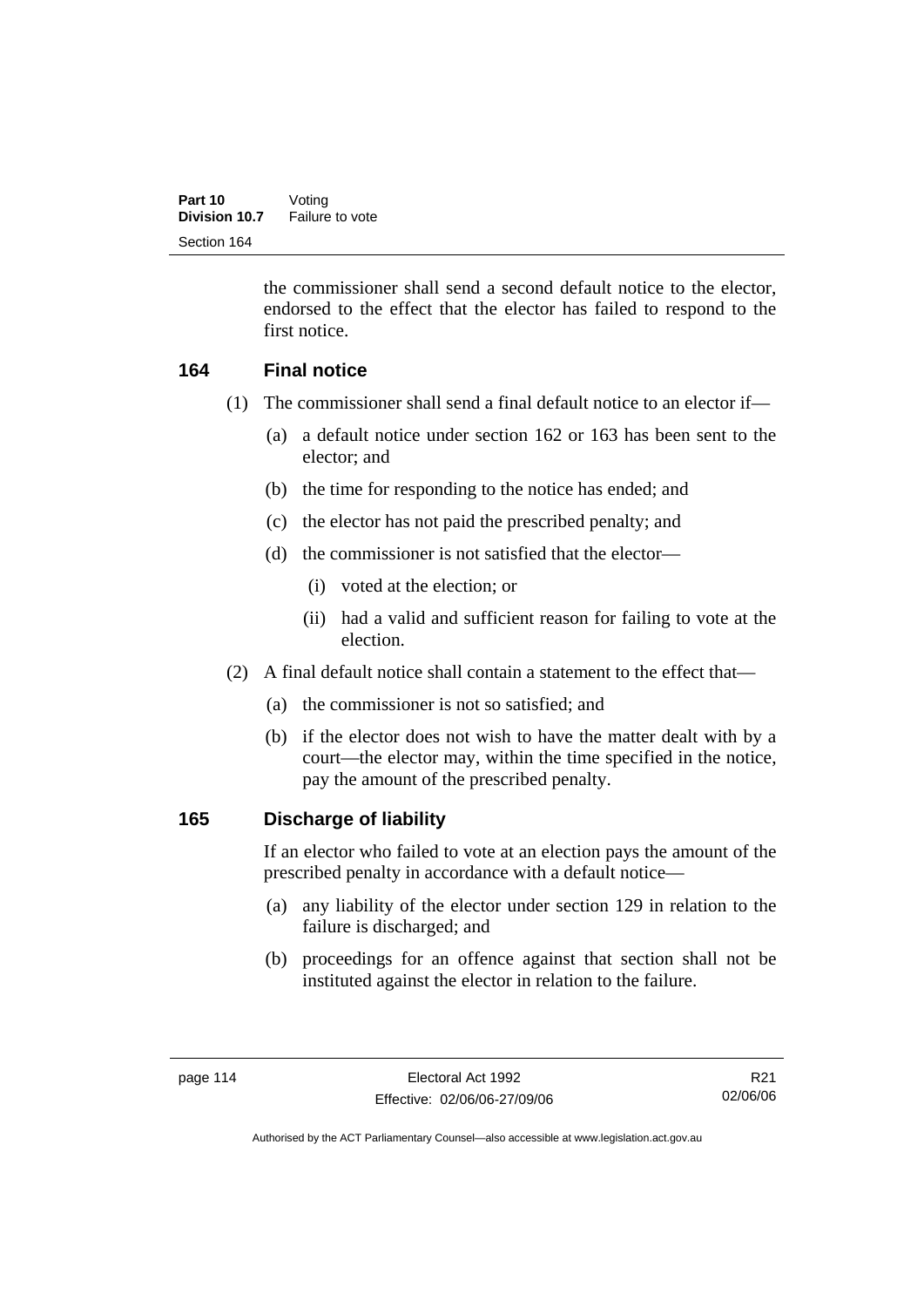the commissioner shall send a second default notice to the elector, endorsed to the effect that the elector has failed to respond to the first notice.

### **164 Final notice**

- (1) The commissioner shall send a final default notice to an elector if—
	- (a) a default notice under section 162 or 163 has been sent to the elector; and
	- (b) the time for responding to the notice has ended; and
	- (c) the elector has not paid the prescribed penalty; and
	- (d) the commissioner is not satisfied that the elector—
		- (i) voted at the election; or
		- (ii) had a valid and sufficient reason for failing to vote at the election.
- (2) A final default notice shall contain a statement to the effect that—
	- (a) the commissioner is not so satisfied; and
	- (b) if the elector does not wish to have the matter dealt with by a court—the elector may, within the time specified in the notice, pay the amount of the prescribed penalty.

#### **165 Discharge of liability**

If an elector who failed to vote at an election pays the amount of the prescribed penalty in accordance with a default notice—

- (a) any liability of the elector under section 129 in relation to the failure is discharged; and
- (b) proceedings for an offence against that section shall not be instituted against the elector in relation to the failure.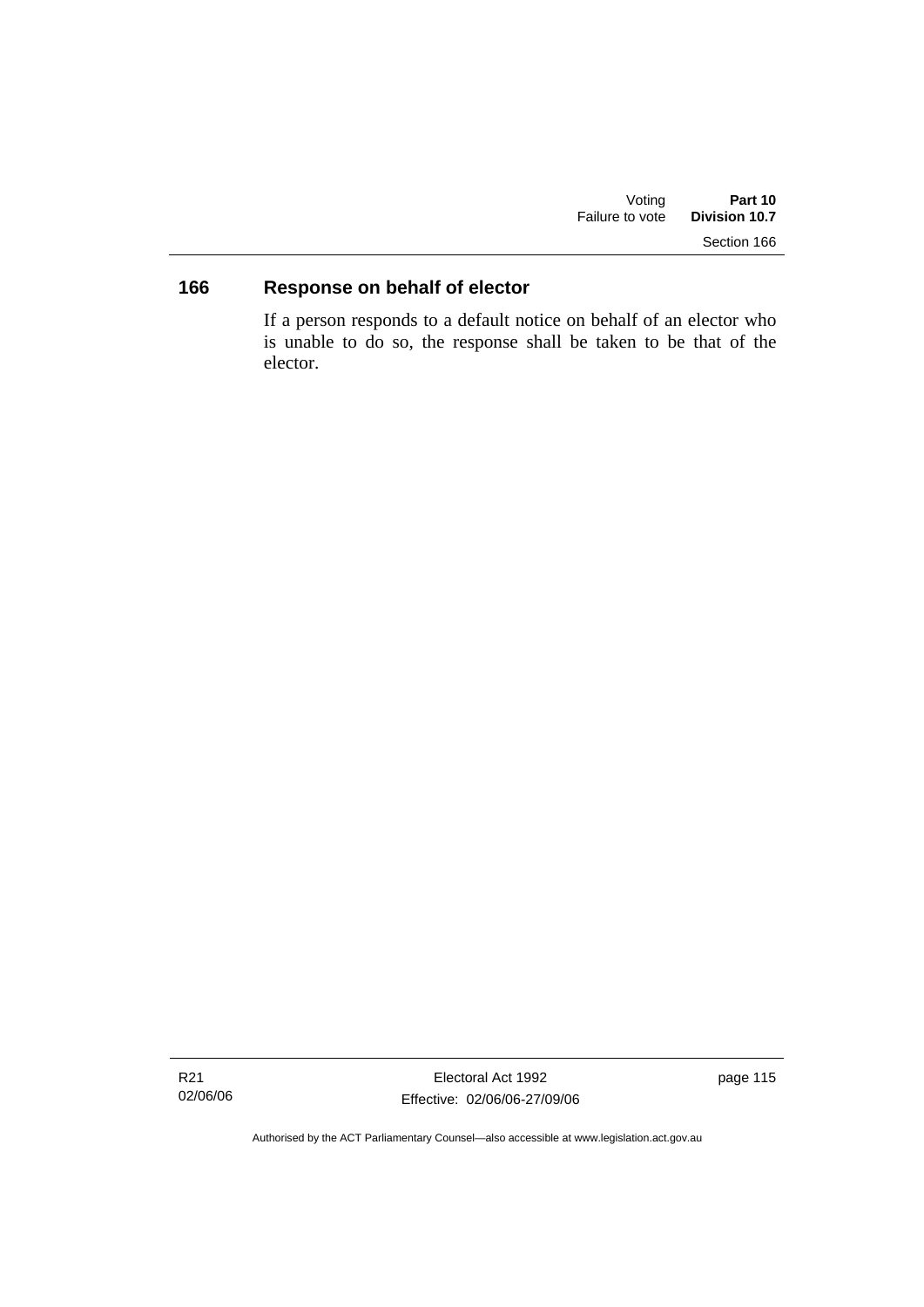| Voting          | Part 10              |
|-----------------|----------------------|
| Failure to vote | <b>Division 10.7</b> |
|                 | Section 166          |

## **166 Response on behalf of elector**

If a person responds to a default notice on behalf of an elector who is unable to do so, the response shall be taken to be that of the elector.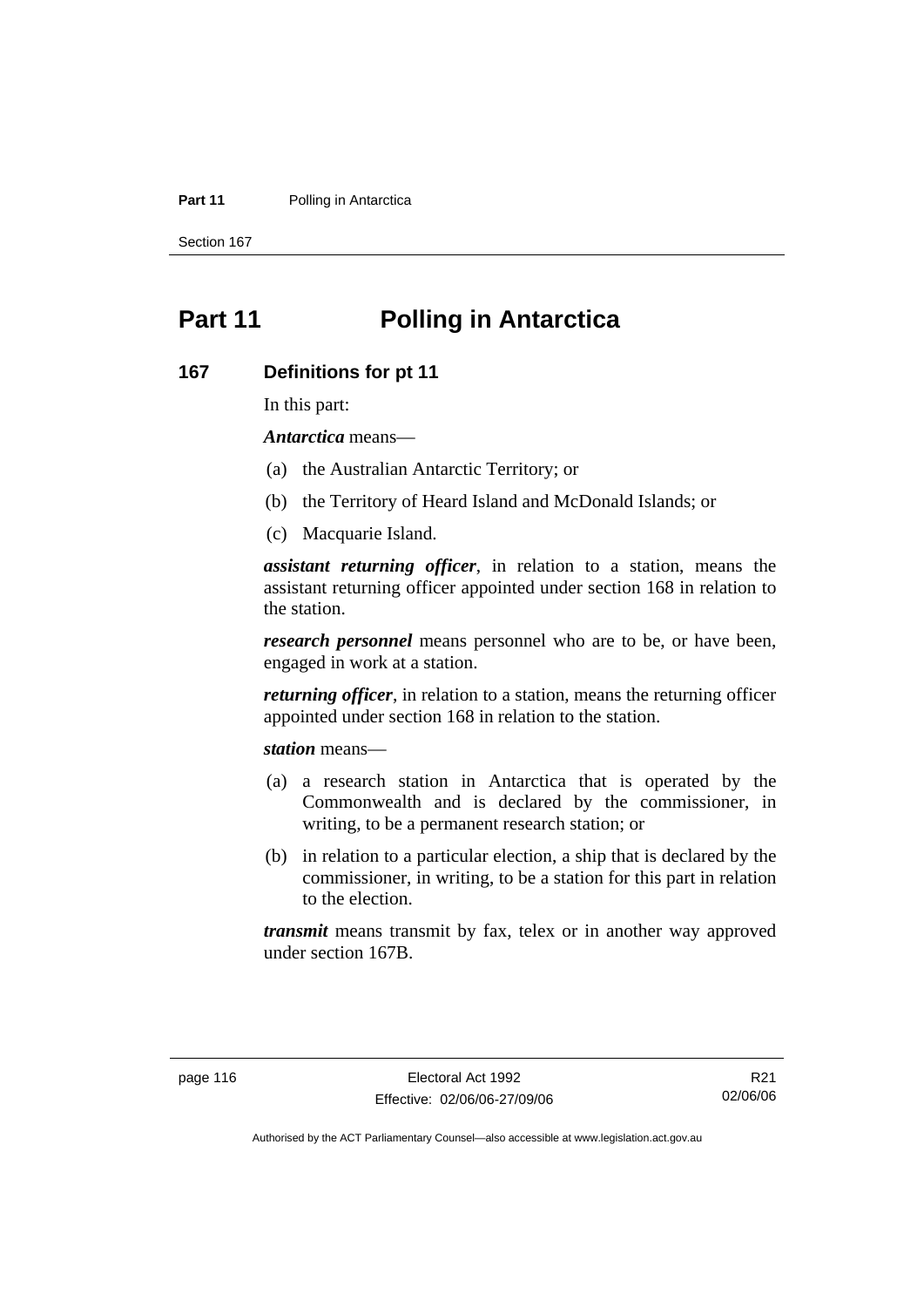#### **Part 11** Polling in Antarctica

Section 167

# **Part 11 Polling in Antarctica**

#### **167 Definitions for pt 11**

In this part:

*Antarctica* means—

- (a) the Australian Antarctic Territory; or
- (b) the Territory of Heard Island and McDonald Islands; or
- (c) Macquarie Island.

*assistant returning officer*, in relation to a station, means the assistant returning officer appointed under section 168 in relation to the station.

*research personnel* means personnel who are to be, or have been, engaged in work at a station.

*returning officer*, in relation to a station, means the returning officer appointed under section 168 in relation to the station.

*station* means—

- (a) a research station in Antarctica that is operated by the Commonwealth and is declared by the commissioner, in writing, to be a permanent research station; or
- (b) in relation to a particular election, a ship that is declared by the commissioner, in writing, to be a station for this part in relation to the election.

*transmit* means transmit by fax, telex or in another way approved under section 167B.

R21 02/06/06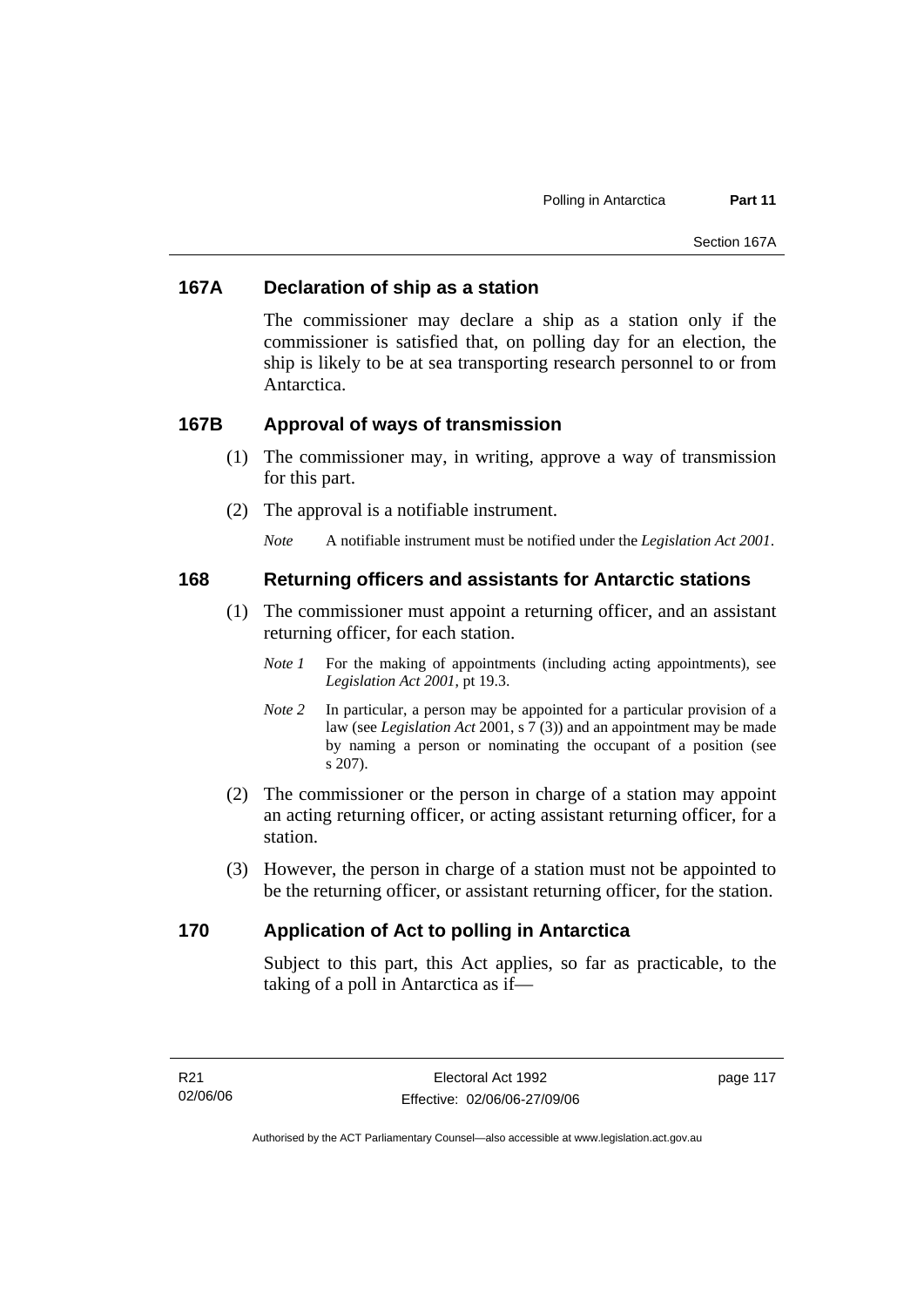#### **167A Declaration of ship as a station**

The commissioner may declare a ship as a station only if the commissioner is satisfied that, on polling day for an election, the ship is likely to be at sea transporting research personnel to or from Antarctica.

#### **167B Approval of ways of transmission**

- (1) The commissioner may, in writing, approve a way of transmission for this part.
- (2) The approval is a notifiable instrument.
	- *Note* A notifiable instrument must be notified under the *Legislation Act 2001*.

#### **168 Returning officers and assistants for Antarctic stations**

- (1) The commissioner must appoint a returning officer, and an assistant returning officer, for each station.
	- *Note 1* For the making of appointments (including acting appointments), see *Legislation Act 2001*, pt 19.3.
	- *Note 2* In particular, a person may be appointed for a particular provision of a law (see *Legislation Act* 2001, s 7 (3)) and an appointment may be made by naming a person or nominating the occupant of a position (see s 207).
- (2) The commissioner or the person in charge of a station may appoint an acting returning officer, or acting assistant returning officer, for a station.
- (3) However, the person in charge of a station must not be appointed to be the returning officer, or assistant returning officer, for the station.

### **170 Application of Act to polling in Antarctica**

Subject to this part, this Act applies, so far as practicable, to the taking of a poll in Antarctica as if—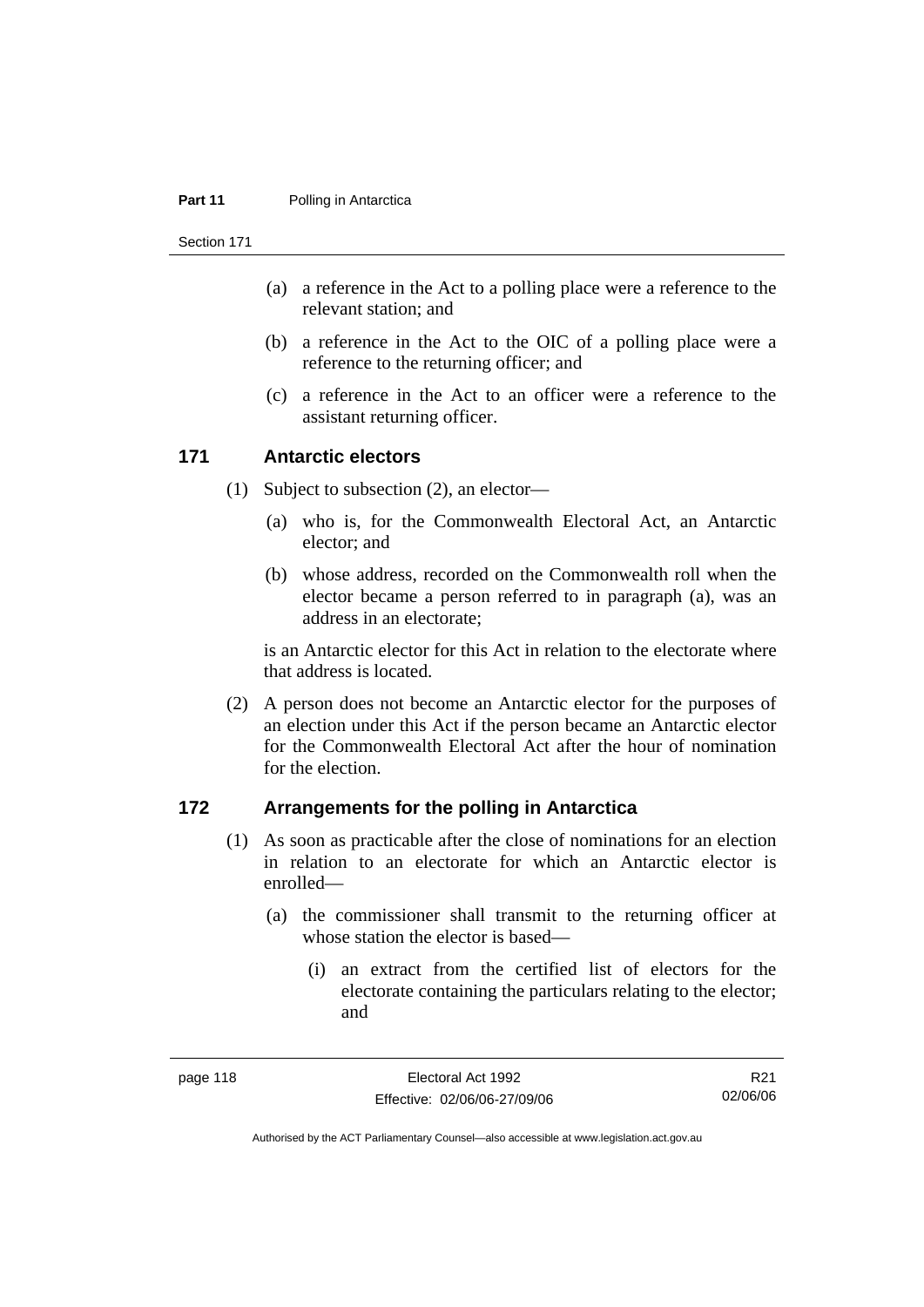#### **Part 11** Polling in Antarctica

Section 171

- (a) a reference in the Act to a polling place were a reference to the relevant station; and
- (b) a reference in the Act to the OIC of a polling place were a reference to the returning officer; and
- (c) a reference in the Act to an officer were a reference to the assistant returning officer.

#### **171 Antarctic electors**

- (1) Subject to subsection (2), an elector—
	- (a) who is, for the Commonwealth Electoral Act, an Antarctic elector; and
	- (b) whose address, recorded on the Commonwealth roll when the elector became a person referred to in paragraph (a), was an address in an electorate;

is an Antarctic elector for this Act in relation to the electorate where that address is located.

 (2) A person does not become an Antarctic elector for the purposes of an election under this Act if the person became an Antarctic elector for the Commonwealth Electoral Act after the hour of nomination for the election.

#### **172 Arrangements for the polling in Antarctica**

- (1) As soon as practicable after the close of nominations for an election in relation to an electorate for which an Antarctic elector is enrolled—
	- (a) the commissioner shall transmit to the returning officer at whose station the elector is based—
		- (i) an extract from the certified list of electors for the electorate containing the particulars relating to the elector; and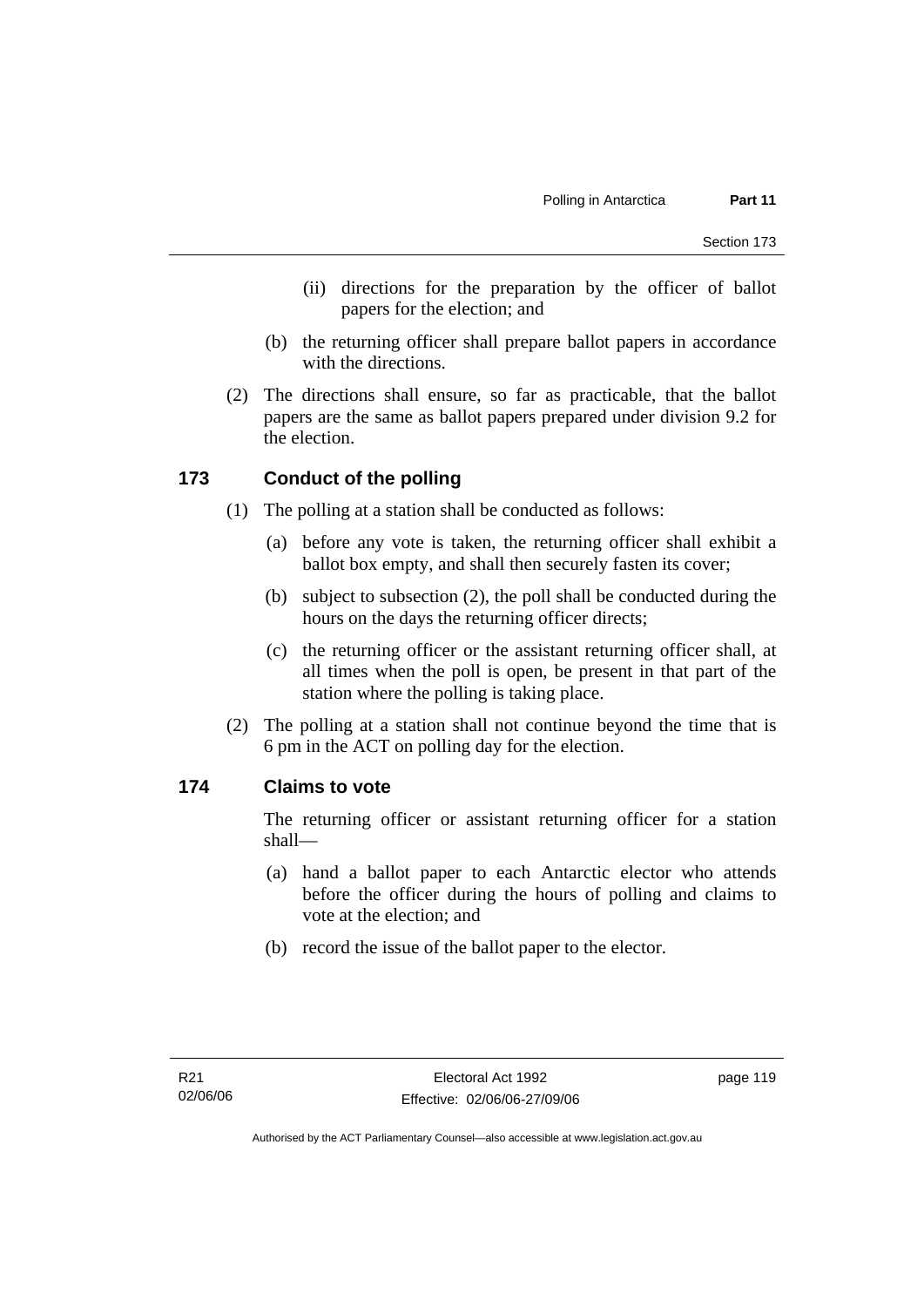- (ii) directions for the preparation by the officer of ballot papers for the election; and
- (b) the returning officer shall prepare ballot papers in accordance with the directions.
- (2) The directions shall ensure, so far as practicable, that the ballot papers are the same as ballot papers prepared under division 9.2 for the election.

#### **173 Conduct of the polling**

- (1) The polling at a station shall be conducted as follows:
	- (a) before any vote is taken, the returning officer shall exhibit a ballot box empty, and shall then securely fasten its cover;
	- (b) subject to subsection (2), the poll shall be conducted during the hours on the days the returning officer directs;
	- (c) the returning officer or the assistant returning officer shall, at all times when the poll is open, be present in that part of the station where the polling is taking place.
- (2) The polling at a station shall not continue beyond the time that is 6 pm in the ACT on polling day for the election.

#### **174 Claims to vote**

The returning officer or assistant returning officer for a station shall—

- (a) hand a ballot paper to each Antarctic elector who attends before the officer during the hours of polling and claims to vote at the election; and
- (b) record the issue of the ballot paper to the elector.

page 119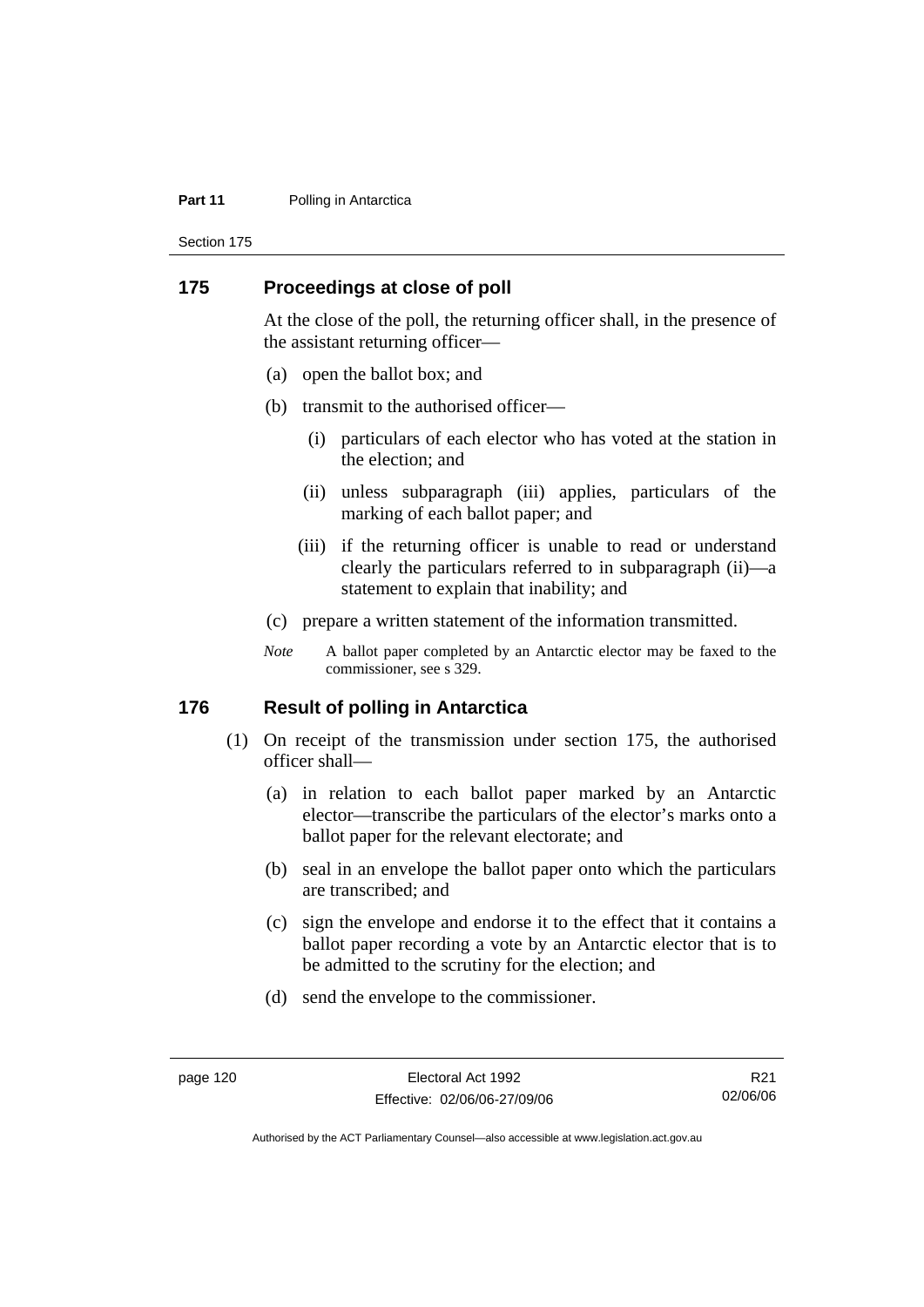#### **Part 11** Polling in Antarctica

Section 175

#### **175 Proceedings at close of poll**

At the close of the poll, the returning officer shall, in the presence of the assistant returning officer—

- (a) open the ballot box; and
- (b) transmit to the authorised officer—
	- (i) particulars of each elector who has voted at the station in the election; and
	- (ii) unless subparagraph (iii) applies, particulars of the marking of each ballot paper; and
	- (iii) if the returning officer is unable to read or understand clearly the particulars referred to in subparagraph (ii)—a statement to explain that inability; and
- (c) prepare a written statement of the information transmitted.
- *Note* A ballot paper completed by an Antarctic elector may be faxed to the commissioner, see s 329.

#### **176 Result of polling in Antarctica**

- (1) On receipt of the transmission under section 175, the authorised officer shall—
	- (a) in relation to each ballot paper marked by an Antarctic elector—transcribe the particulars of the elector's marks onto a ballot paper for the relevant electorate; and
	- (b) seal in an envelope the ballot paper onto which the particulars are transcribed; and
	- (c) sign the envelope and endorse it to the effect that it contains a ballot paper recording a vote by an Antarctic elector that is to be admitted to the scrutiny for the election; and
	- (d) send the envelope to the commissioner.

R21 02/06/06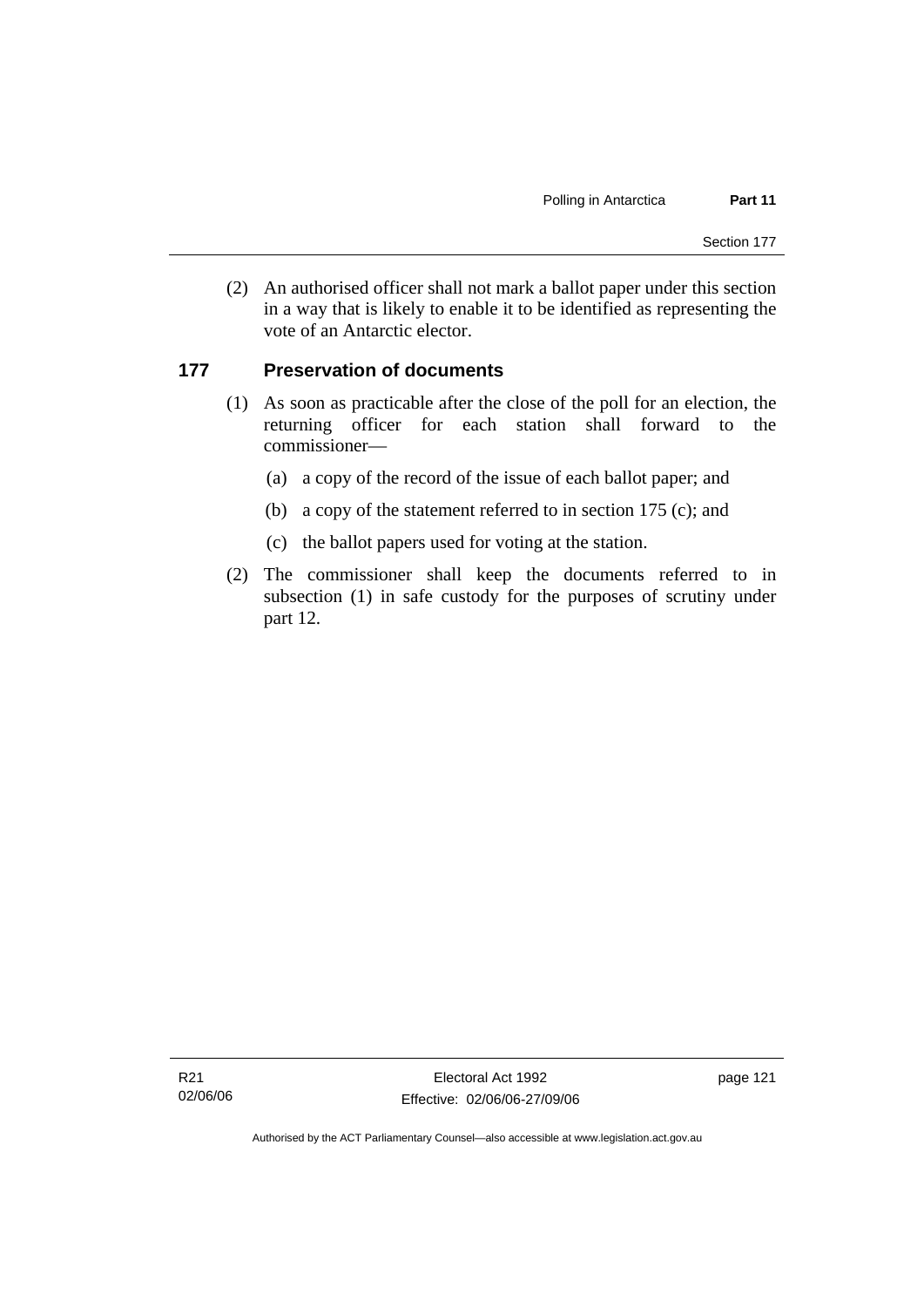(2) An authorised officer shall not mark a ballot paper under this section in a way that is likely to enable it to be identified as representing the vote of an Antarctic elector.

#### **177 Preservation of documents**

- (1) As soon as practicable after the close of the poll for an election, the returning officer for each station shall forward to the commissioner—
	- (a) a copy of the record of the issue of each ballot paper; and
	- (b) a copy of the statement referred to in section 175 (c); and
	- (c) the ballot papers used for voting at the station.
- (2) The commissioner shall keep the documents referred to in subsection (1) in safe custody for the purposes of scrutiny under part 12.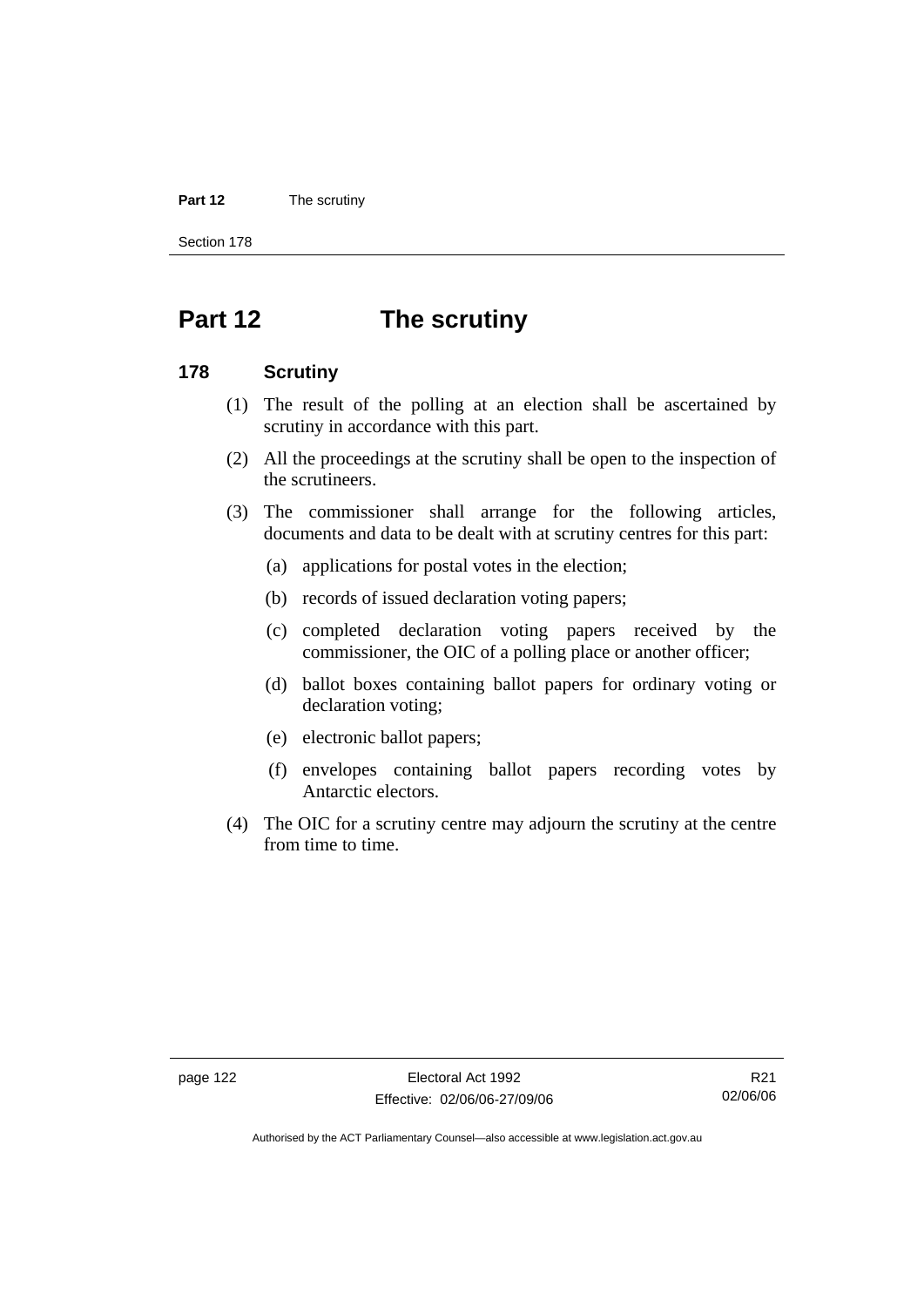#### **Part 12** The scrutiny

Section 178

# **Part 12 The scrutiny**

#### **178 Scrutiny**

- (1) The result of the polling at an election shall be ascertained by scrutiny in accordance with this part.
- (2) All the proceedings at the scrutiny shall be open to the inspection of the scrutineers.
- (3) The commissioner shall arrange for the following articles, documents and data to be dealt with at scrutiny centres for this part:
	- (a) applications for postal votes in the election;
	- (b) records of issued declaration voting papers;
	- (c) completed declaration voting papers received by the commissioner, the OIC of a polling place or another officer;
	- (d) ballot boxes containing ballot papers for ordinary voting or declaration voting;
	- (e) electronic ballot papers;
	- (f) envelopes containing ballot papers recording votes by Antarctic electors.
- (4) The OIC for a scrutiny centre may adjourn the scrutiny at the centre from time to time.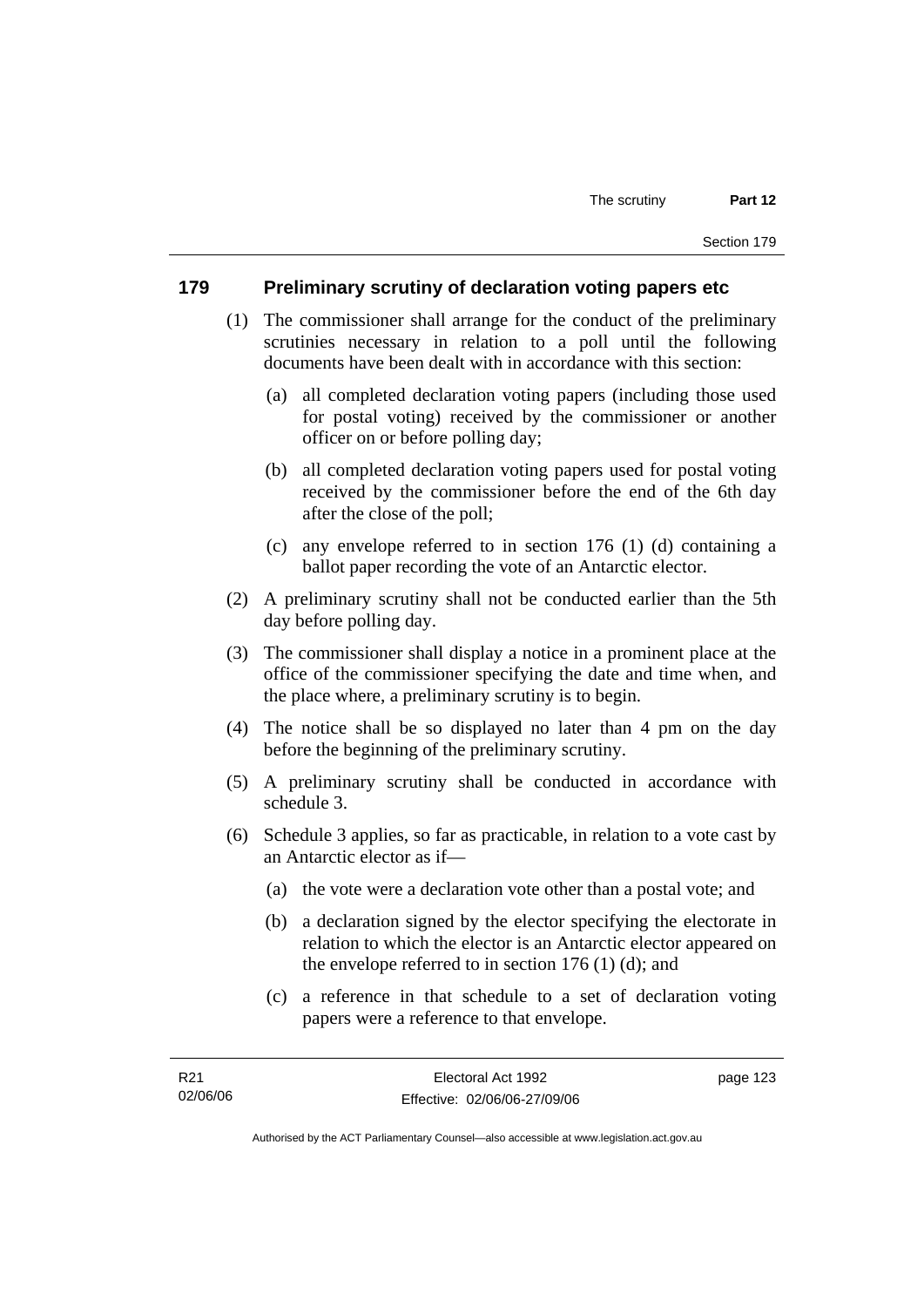#### **179 Preliminary scrutiny of declaration voting papers etc**

- (1) The commissioner shall arrange for the conduct of the preliminary scrutinies necessary in relation to a poll until the following documents have been dealt with in accordance with this section:
	- (a) all completed declaration voting papers (including those used for postal voting) received by the commissioner or another officer on or before polling day;
	- (b) all completed declaration voting papers used for postal voting received by the commissioner before the end of the 6th day after the close of the poll;
	- (c) any envelope referred to in section 176 (1) (d) containing a ballot paper recording the vote of an Antarctic elector.
- (2) A preliminary scrutiny shall not be conducted earlier than the 5th day before polling day.
- (3) The commissioner shall display a notice in a prominent place at the office of the commissioner specifying the date and time when, and the place where, a preliminary scrutiny is to begin.
- (4) The notice shall be so displayed no later than 4 pm on the day before the beginning of the preliminary scrutiny.
- (5) A preliminary scrutiny shall be conducted in accordance with schedule 3.
- (6) Schedule 3 applies, so far as practicable, in relation to a vote cast by an Antarctic elector as if—
	- (a) the vote were a declaration vote other than a postal vote; and
	- (b) a declaration signed by the elector specifying the electorate in relation to which the elector is an Antarctic elector appeared on the envelope referred to in section 176 (1) (d); and
	- (c) a reference in that schedule to a set of declaration voting papers were a reference to that envelope.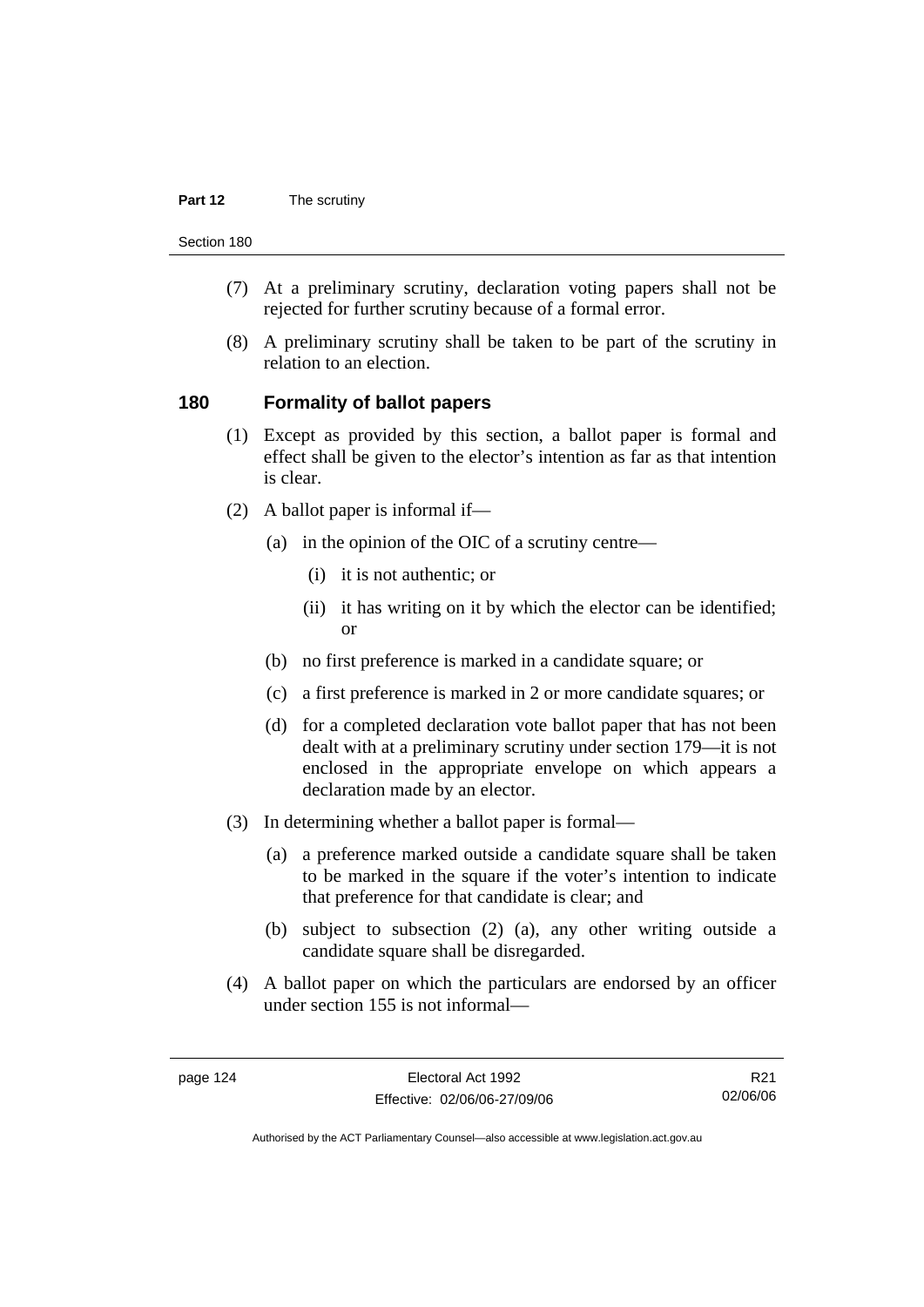#### **Part 12** The scrutiny

Section 180

- (7) At a preliminary scrutiny, declaration voting papers shall not be rejected for further scrutiny because of a formal error.
- (8) A preliminary scrutiny shall be taken to be part of the scrutiny in relation to an election.

#### **180 Formality of ballot papers**

- (1) Except as provided by this section, a ballot paper is formal and effect shall be given to the elector's intention as far as that intention is clear.
- (2) A ballot paper is informal if—
	- (a) in the opinion of the OIC of a scrutiny centre—
		- (i) it is not authentic; or
		- (ii) it has writing on it by which the elector can be identified; or
	- (b) no first preference is marked in a candidate square; or
	- (c) a first preference is marked in 2 or more candidate squares; or
	- (d) for a completed declaration vote ballot paper that has not been dealt with at a preliminary scrutiny under section 179—it is not enclosed in the appropriate envelope on which appears a declaration made by an elector.
- (3) In determining whether a ballot paper is formal—
	- (a) a preference marked outside a candidate square shall be taken to be marked in the square if the voter's intention to indicate that preference for that candidate is clear; and
	- (b) subject to subsection (2) (a), any other writing outside a candidate square shall be disregarded.
- (4) A ballot paper on which the particulars are endorsed by an officer under section 155 is not informal—

R21 02/06/06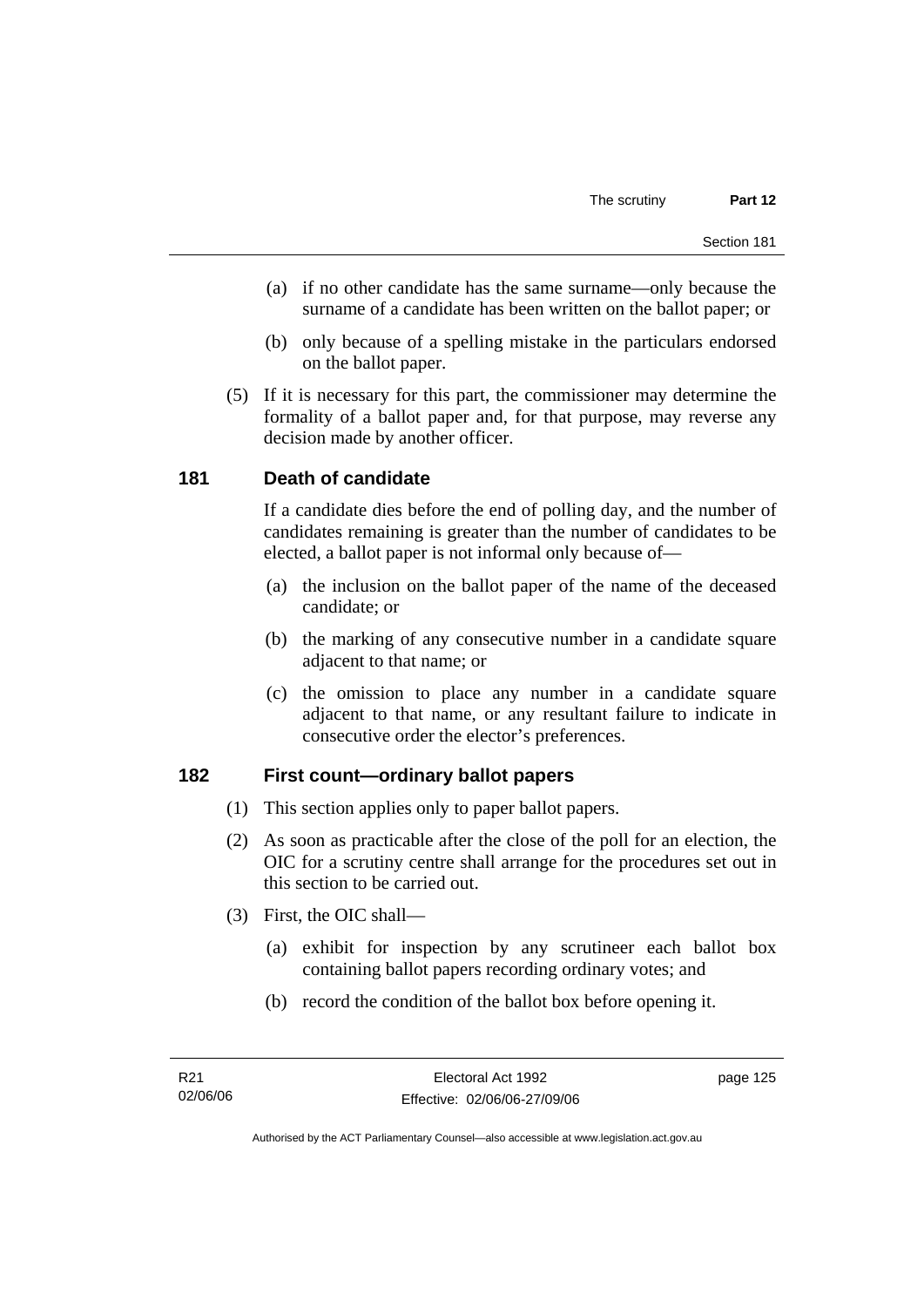- (a) if no other candidate has the same surname—only because the surname of a candidate has been written on the ballot paper; or
- (b) only because of a spelling mistake in the particulars endorsed on the ballot paper.
- (5) If it is necessary for this part, the commissioner may determine the formality of a ballot paper and, for that purpose, may reverse any decision made by another officer.

### **181 Death of candidate**

If a candidate dies before the end of polling day, and the number of candidates remaining is greater than the number of candidates to be elected, a ballot paper is not informal only because of—

- (a) the inclusion on the ballot paper of the name of the deceased candidate; or
- (b) the marking of any consecutive number in a candidate square adjacent to that name; or
- (c) the omission to place any number in a candidate square adjacent to that name, or any resultant failure to indicate in consecutive order the elector's preferences.

#### **182 First count—ordinary ballot papers**

- (1) This section applies only to paper ballot papers.
- (2) As soon as practicable after the close of the poll for an election, the OIC for a scrutiny centre shall arrange for the procedures set out in this section to be carried out.
- (3) First, the OIC shall—
	- (a) exhibit for inspection by any scrutineer each ballot box containing ballot papers recording ordinary votes; and
	- (b) record the condition of the ballot box before opening it.

page 125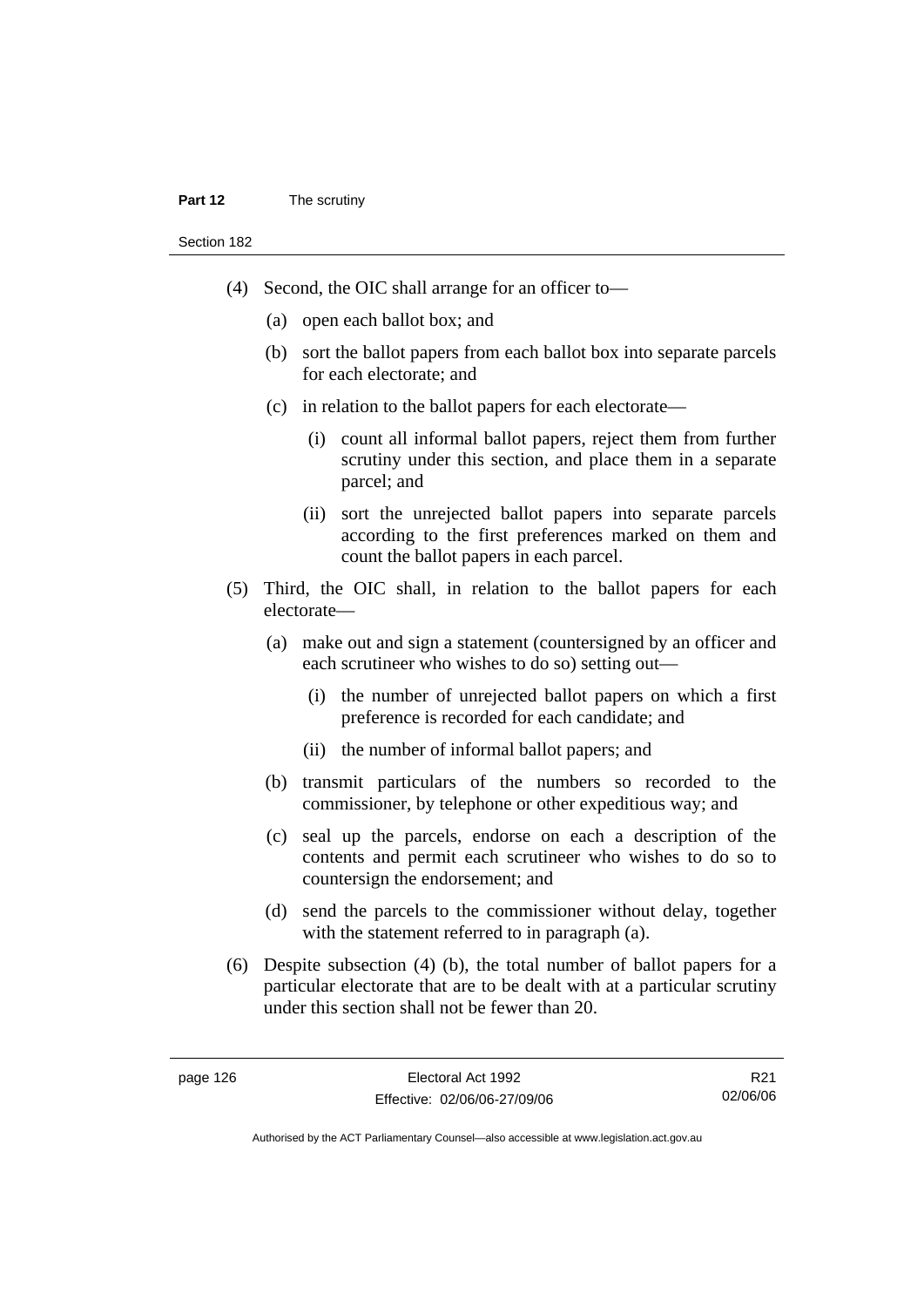#### **Part 12** The scrutiny

Section 182

- (4) Second, the OIC shall arrange for an officer to—
	- (a) open each ballot box; and
	- (b) sort the ballot papers from each ballot box into separate parcels for each electorate; and
	- (c) in relation to the ballot papers for each electorate—
		- (i) count all informal ballot papers, reject them from further scrutiny under this section, and place them in a separate parcel; and
		- (ii) sort the unrejected ballot papers into separate parcels according to the first preferences marked on them and count the ballot papers in each parcel.
- (5) Third, the OIC shall, in relation to the ballot papers for each electorate—
	- (a) make out and sign a statement (countersigned by an officer and each scrutineer who wishes to do so) setting out—
		- (i) the number of unrejected ballot papers on which a first preference is recorded for each candidate; and
		- (ii) the number of informal ballot papers; and
	- (b) transmit particulars of the numbers so recorded to the commissioner, by telephone or other expeditious way; and
	- (c) seal up the parcels, endorse on each a description of the contents and permit each scrutineer who wishes to do so to countersign the endorsement; and
	- (d) send the parcels to the commissioner without delay, together with the statement referred to in paragraph (a).
- (6) Despite subsection (4) (b), the total number of ballot papers for a particular electorate that are to be dealt with at a particular scrutiny under this section shall not be fewer than 20.

R21 02/06/06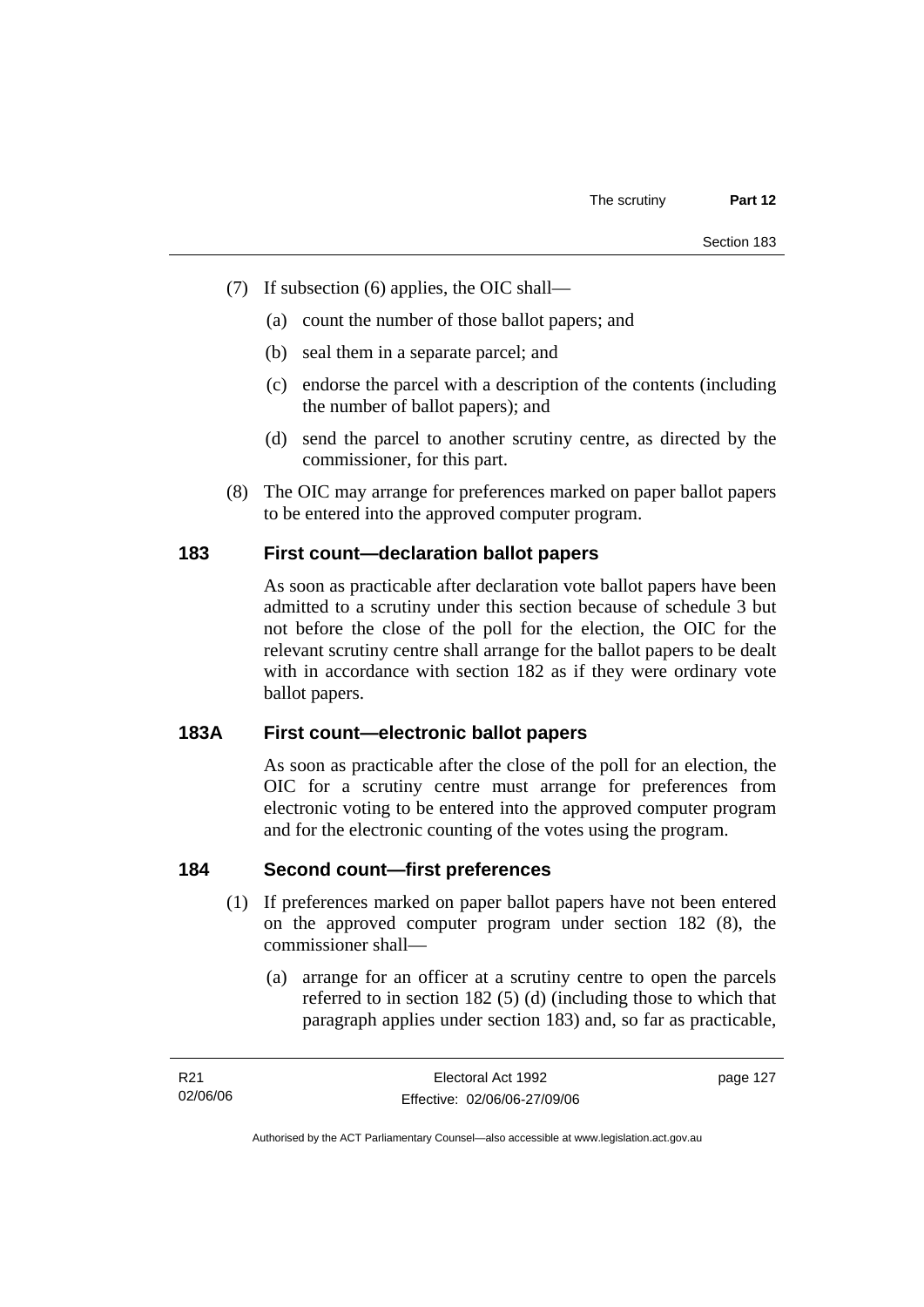- (7) If subsection (6) applies, the OIC shall—
	- (a) count the number of those ballot papers; and
	- (b) seal them in a separate parcel; and
	- (c) endorse the parcel with a description of the contents (including the number of ballot papers); and
	- (d) send the parcel to another scrutiny centre, as directed by the commissioner, for this part.
- (8) The OIC may arrange for preferences marked on paper ballot papers to be entered into the approved computer program.

#### **183 First count—declaration ballot papers**

As soon as practicable after declaration vote ballot papers have been admitted to a scrutiny under this section because of schedule 3 but not before the close of the poll for the election, the OIC for the relevant scrutiny centre shall arrange for the ballot papers to be dealt with in accordance with section 182 as if they were ordinary vote ballot papers.

#### **183A First count—electronic ballot papers**

As soon as practicable after the close of the poll for an election, the OIC for a scrutiny centre must arrange for preferences from electronic voting to be entered into the approved computer program and for the electronic counting of the votes using the program.

## **184 Second count—first preferences**

- (1) If preferences marked on paper ballot papers have not been entered on the approved computer program under section 182 (8), the commissioner shall—
	- (a) arrange for an officer at a scrutiny centre to open the parcels referred to in section 182 (5) (d) (including those to which that paragraph applies under section 183) and, so far as practicable,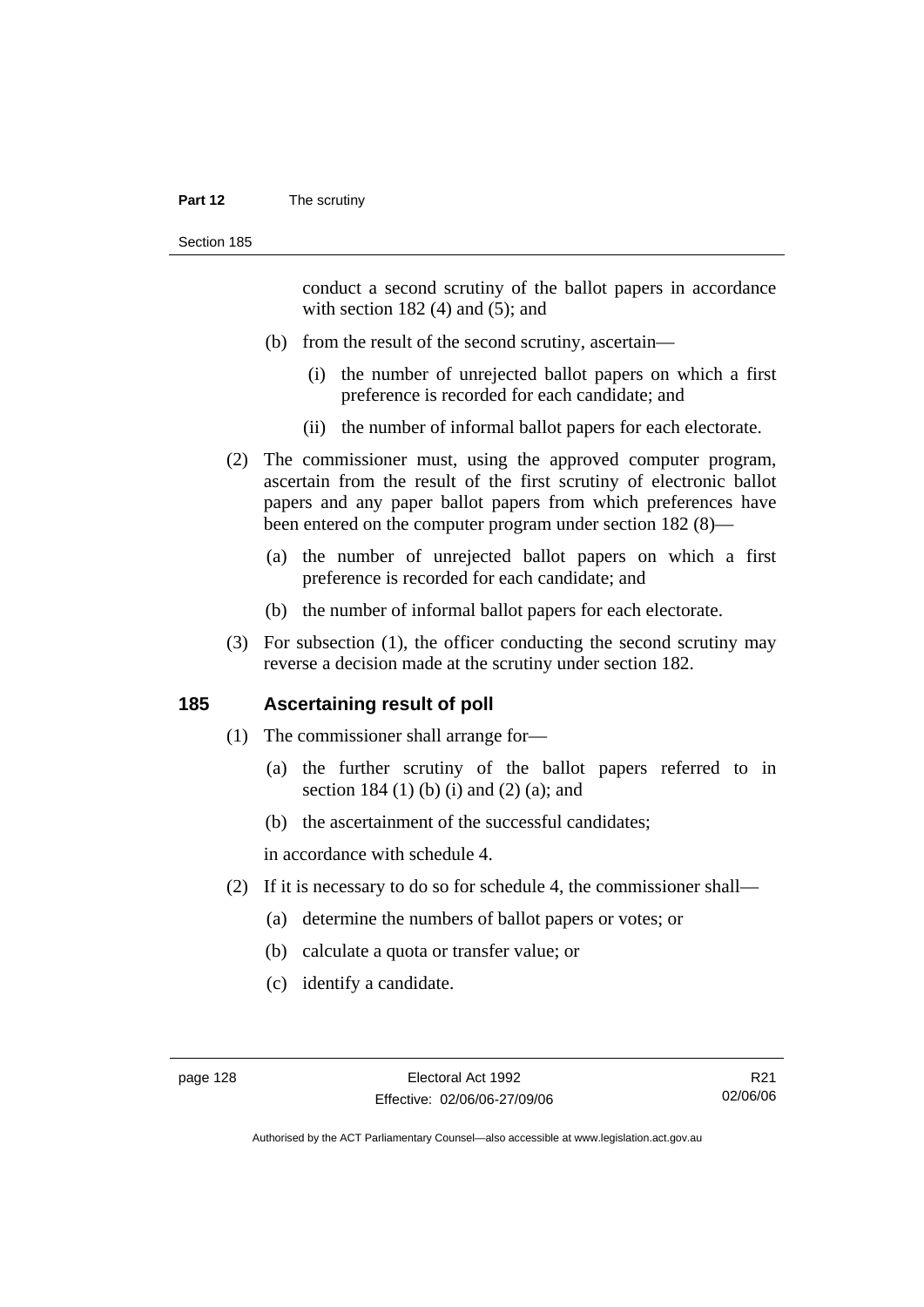#### **Part 12** The scrutiny

conduct a second scrutiny of the ballot papers in accordance with section  $182(4)$  and  $(5)$ ; and

- (b) from the result of the second scrutiny, ascertain—
	- (i) the number of unrejected ballot papers on which a first preference is recorded for each candidate; and
	- (ii) the number of informal ballot papers for each electorate.
- (2) The commissioner must, using the approved computer program, ascertain from the result of the first scrutiny of electronic ballot papers and any paper ballot papers from which preferences have been entered on the computer program under section 182 (8)—
	- (a) the number of unrejected ballot papers on which a first preference is recorded for each candidate; and
	- (b) the number of informal ballot papers for each electorate.
- (3) For subsection (1), the officer conducting the second scrutiny may reverse a decision made at the scrutiny under section 182.

#### **185 Ascertaining result of poll**

- (1) The commissioner shall arrange for—
	- (a) the further scrutiny of the ballot papers referred to in section 184 (1) (b) (i) and (2) (a); and
	- (b) the ascertainment of the successful candidates;

in accordance with schedule 4.

- (2) If it is necessary to do so for schedule 4, the commissioner shall—
	- (a) determine the numbers of ballot papers or votes; or
	- (b) calculate a quota or transfer value; or
	- (c) identify a candidate.

R21 02/06/06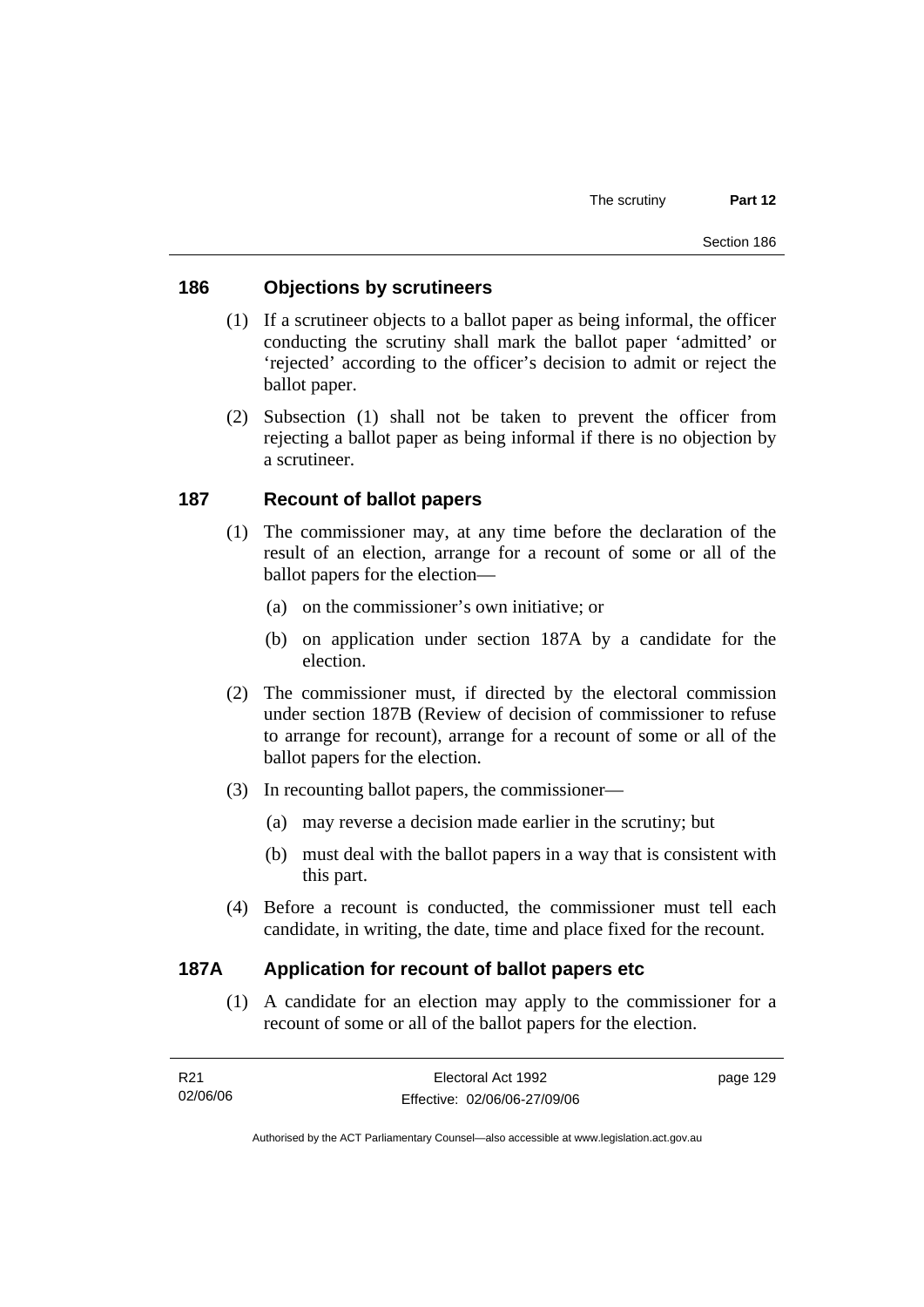## **186 Objections by scrutineers**

- (1) If a scrutineer objects to a ballot paper as being informal, the officer conducting the scrutiny shall mark the ballot paper 'admitted' or 'rejected' according to the officer's decision to admit or reject the ballot paper.
- (2) Subsection (1) shall not be taken to prevent the officer from rejecting a ballot paper as being informal if there is no objection by a scrutineer.

# **187 Recount of ballot papers**

- (1) The commissioner may, at any time before the declaration of the result of an election, arrange for a recount of some or all of the ballot papers for the election—
	- (a) on the commissioner's own initiative; or
	- (b) on application under section 187A by a candidate for the election.
- (2) The commissioner must, if directed by the electoral commission under section 187B (Review of decision of commissioner to refuse to arrange for recount), arrange for a recount of some or all of the ballot papers for the election.
- (3) In recounting ballot papers, the commissioner—
	- (a) may reverse a decision made earlier in the scrutiny; but
	- (b) must deal with the ballot papers in a way that is consistent with this part.
- (4) Before a recount is conducted, the commissioner must tell each candidate, in writing, the date, time and place fixed for the recount.

## **187A Application for recount of ballot papers etc**

 (1) A candidate for an election may apply to the commissioner for a recount of some or all of the ballot papers for the election.

| R21      | Electoral Act 1992           | page 129 |
|----------|------------------------------|----------|
| 02/06/06 | Effective: 02/06/06-27/09/06 |          |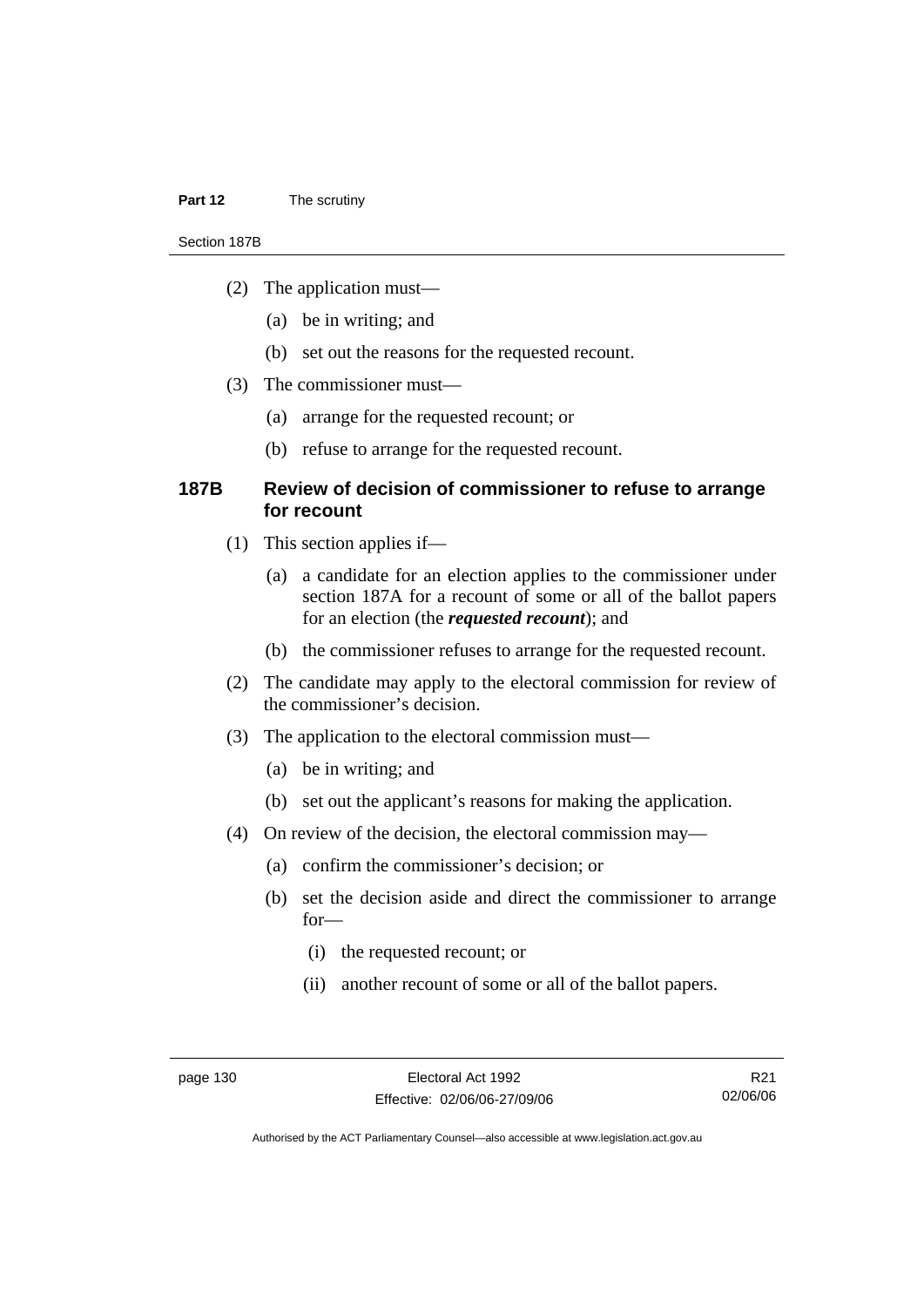#### **Part 12** The scrutiny

#### Section 187B

- (2) The application must—
	- (a) be in writing; and
	- (b) set out the reasons for the requested recount.
- (3) The commissioner must—
	- (a) arrange for the requested recount; or
	- (b) refuse to arrange for the requested recount.

#### **187B Review of decision of commissioner to refuse to arrange for recount**

- (1) This section applies if—
	- (a) a candidate for an election applies to the commissioner under section 187A for a recount of some or all of the ballot papers for an election (the *requested recount*); and
	- (b) the commissioner refuses to arrange for the requested recount.
- (2) The candidate may apply to the electoral commission for review of the commissioner's decision.
- (3) The application to the electoral commission must—
	- (a) be in writing; and
	- (b) set out the applicant's reasons for making the application.
- (4) On review of the decision, the electoral commission may—
	- (a) confirm the commissioner's decision; or
	- (b) set the decision aside and direct the commissioner to arrange for—
		- (i) the requested recount; or
		- (ii) another recount of some or all of the ballot papers.

R21 02/06/06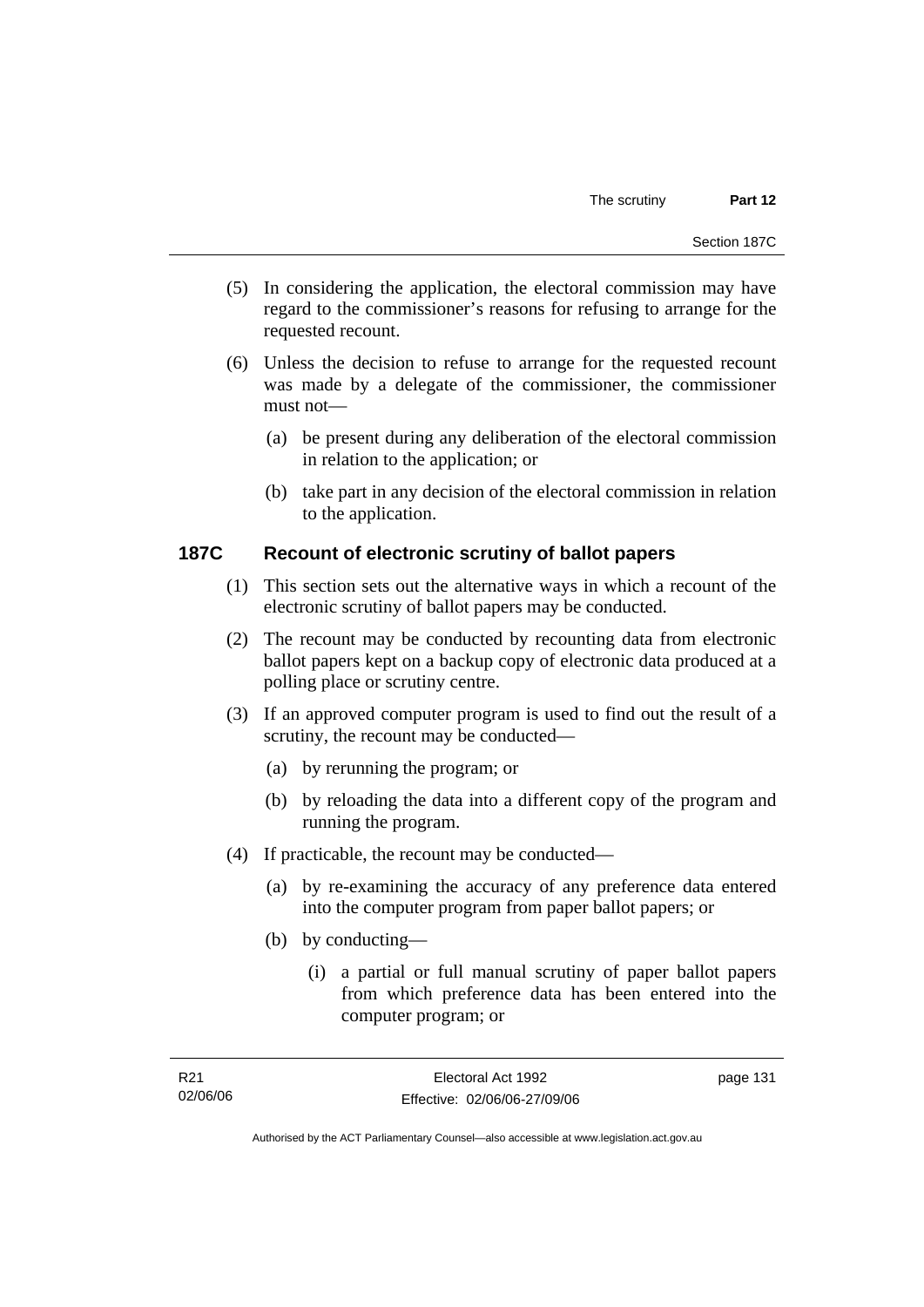- (5) In considering the application, the electoral commission may have regard to the commissioner's reasons for refusing to arrange for the requested recount.
- (6) Unless the decision to refuse to arrange for the requested recount was made by a delegate of the commissioner, the commissioner must not—
	- (a) be present during any deliberation of the electoral commission in relation to the application; or
	- (b) take part in any decision of the electoral commission in relation to the application.

# **187C Recount of electronic scrutiny of ballot papers**

- (1) This section sets out the alternative ways in which a recount of the electronic scrutiny of ballot papers may be conducted.
- (2) The recount may be conducted by recounting data from electronic ballot papers kept on a backup copy of electronic data produced at a polling place or scrutiny centre.
- (3) If an approved computer program is used to find out the result of a scrutiny, the recount may be conducted—
	- (a) by rerunning the program; or
	- (b) by reloading the data into a different copy of the program and running the program.
- (4) If practicable, the recount may be conducted—
	- (a) by re-examining the accuracy of any preference data entered into the computer program from paper ballot papers; or
	- (b) by conducting—
		- (i) a partial or full manual scrutiny of paper ballot papers from which preference data has been entered into the computer program; or

Authorised by the ACT Parliamentary Counsel—also accessible at www.legislation.act.gov.au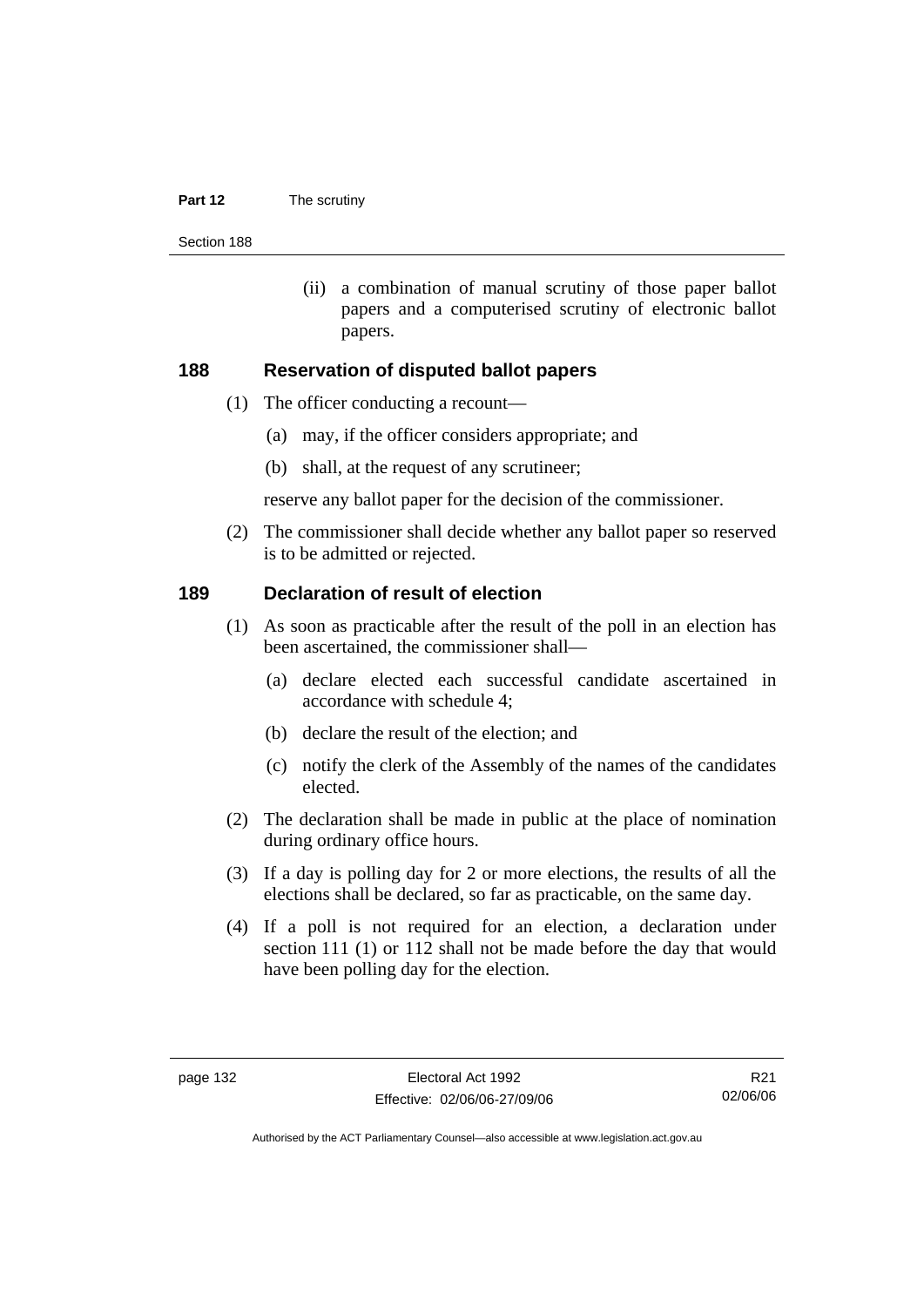#### **Part 12** The scrutiny

Section 188

 (ii) a combination of manual scrutiny of those paper ballot papers and a computerised scrutiny of electronic ballot papers.

#### **188 Reservation of disputed ballot papers**

- (1) The officer conducting a recount—
	- (a) may, if the officer considers appropriate; and
	- (b) shall, at the request of any scrutineer;

reserve any ballot paper for the decision of the commissioner.

 (2) The commissioner shall decide whether any ballot paper so reserved is to be admitted or rejected.

#### **189 Declaration of result of election**

- (1) As soon as practicable after the result of the poll in an election has been ascertained, the commissioner shall—
	- (a) declare elected each successful candidate ascertained in accordance with schedule 4;
	- (b) declare the result of the election; and
	- (c) notify the clerk of the Assembly of the names of the candidates elected.
- (2) The declaration shall be made in public at the place of nomination during ordinary office hours.
- (3) If a day is polling day for 2 or more elections, the results of all the elections shall be declared, so far as practicable, on the same day.
- (4) If a poll is not required for an election, a declaration under section 111 (1) or 112 shall not be made before the day that would have been polling day for the election.

R21 02/06/06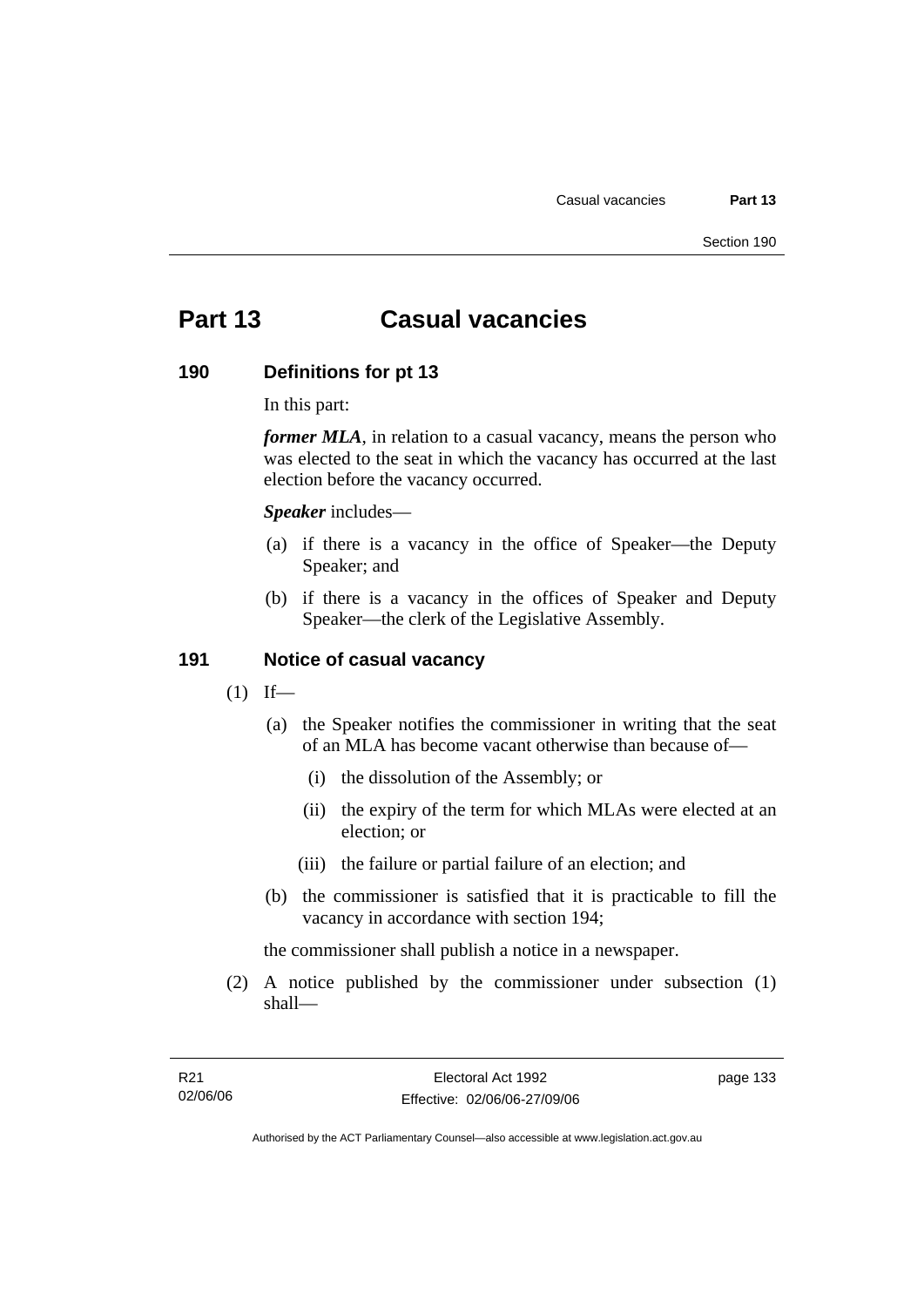# **Part 13 Casual vacancies**

#### **190 Definitions for pt 13**

In this part:

*former MLA*, in relation to a casual vacancy, means the person who was elected to the seat in which the vacancy has occurred at the last election before the vacancy occurred.

*Speaker* includes—

- (a) if there is a vacancy in the office of Speaker—the Deputy Speaker; and
- (b) if there is a vacancy in the offices of Speaker and Deputy Speaker—the clerk of the Legislative Assembly.

#### **191 Notice of casual vacancy**

- $(1)$  If—
	- (a) the Speaker notifies the commissioner in writing that the seat of an MLA has become vacant otherwise than because of—
		- (i) the dissolution of the Assembly; or
		- (ii) the expiry of the term for which MLAs were elected at an election; or
		- (iii) the failure or partial failure of an election; and
	- (b) the commissioner is satisfied that it is practicable to fill the vacancy in accordance with section 194;

the commissioner shall publish a notice in a newspaper.

 (2) A notice published by the commissioner under subsection (1) shall—

Authorised by the ACT Parliamentary Counsel—also accessible at www.legislation.act.gov.au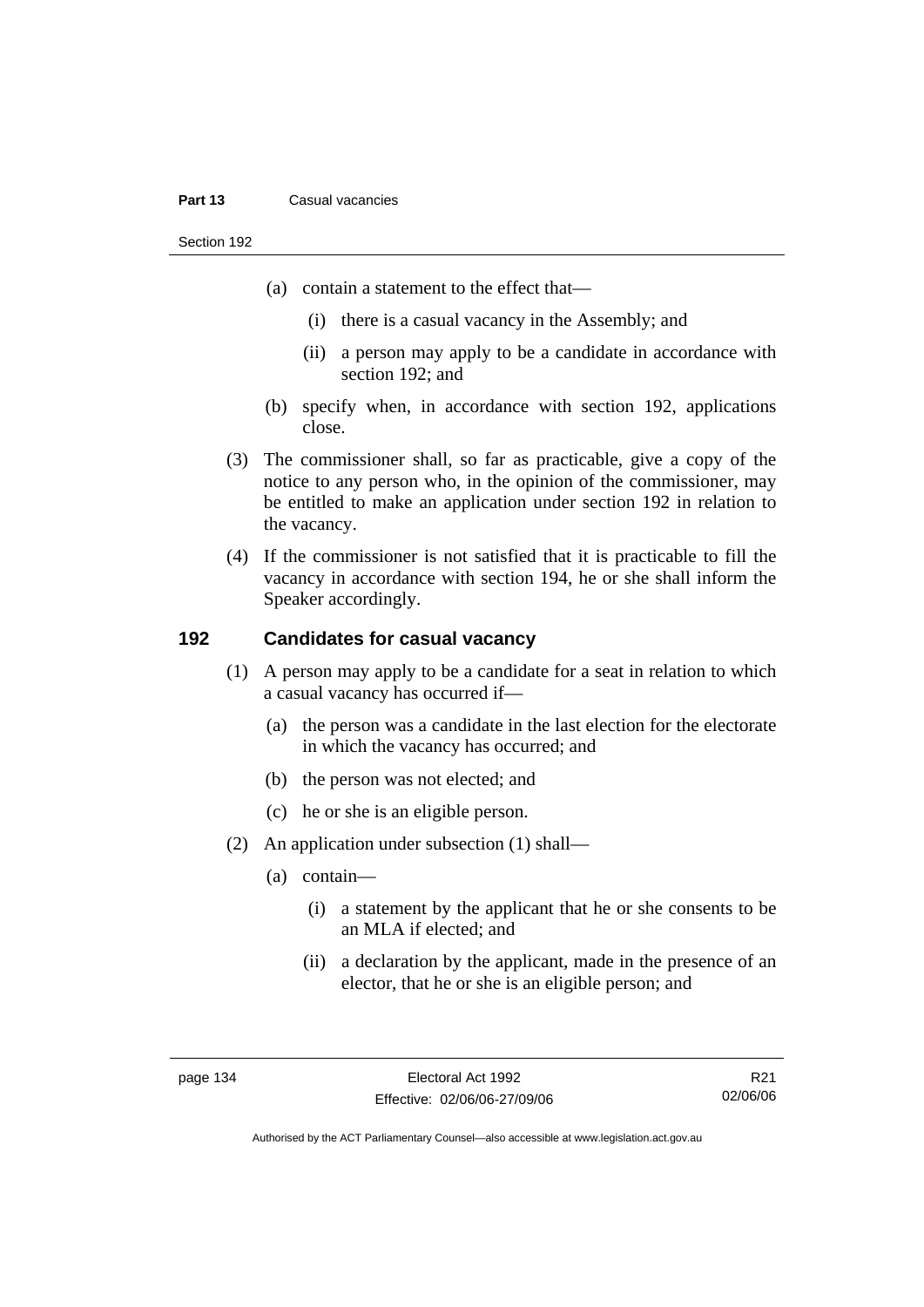#### **Part 13** Casual vacancies

Section 192

- (a) contain a statement to the effect that—
	- (i) there is a casual vacancy in the Assembly; and
	- (ii) a person may apply to be a candidate in accordance with section 192; and
- (b) specify when, in accordance with section 192, applications close.
- (3) The commissioner shall, so far as practicable, give a copy of the notice to any person who, in the opinion of the commissioner, may be entitled to make an application under section 192 in relation to the vacancy.
- (4) If the commissioner is not satisfied that it is practicable to fill the vacancy in accordance with section 194, he or she shall inform the Speaker accordingly.

# **192 Candidates for casual vacancy**

- (1) A person may apply to be a candidate for a seat in relation to which a casual vacancy has occurred if—
	- (a) the person was a candidate in the last election for the electorate in which the vacancy has occurred; and
	- (b) the person was not elected; and
	- (c) he or she is an eligible person.
- (2) An application under subsection (1) shall—
	- (a) contain—
		- (i) a statement by the applicant that he or she consents to be an MLA if elected; and
		- (ii) a declaration by the applicant, made in the presence of an elector, that he or she is an eligible person; and

R21 02/06/06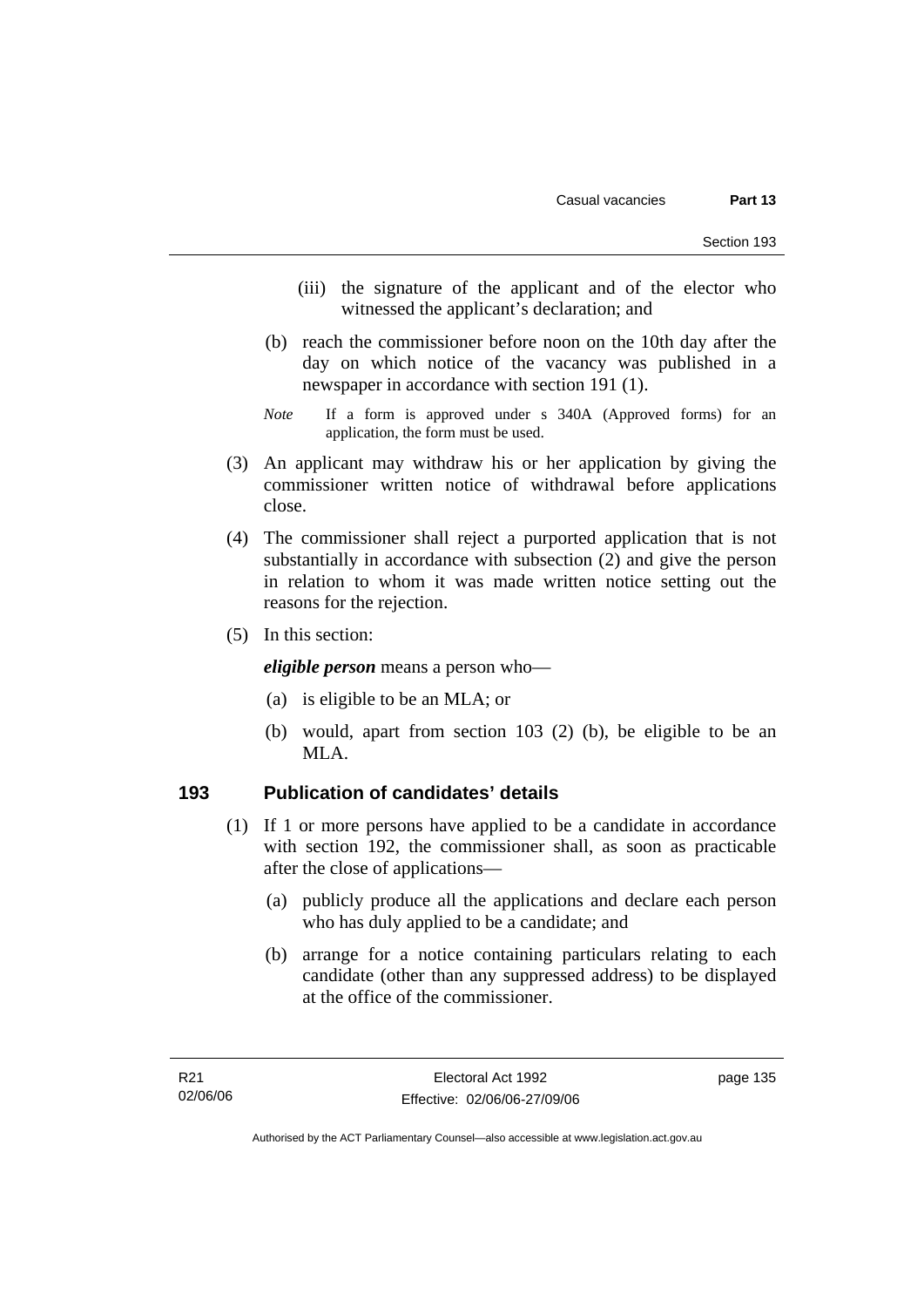- (iii) the signature of the applicant and of the elector who witnessed the applicant's declaration; and
- (b) reach the commissioner before noon on the 10th day after the day on which notice of the vacancy was published in a newspaper in accordance with section 191 (1).
- *Note* If a form is approved under s 340A (Approved forms) for an application, the form must be used.
- (3) An applicant may withdraw his or her application by giving the commissioner written notice of withdrawal before applications close.
- (4) The commissioner shall reject a purported application that is not substantially in accordance with subsection (2) and give the person in relation to whom it was made written notice setting out the reasons for the rejection.
- (5) In this section:

*eligible person* means a person who—

- (a) is eligible to be an MLA; or
- (b) would, apart from section 103 (2) (b), be eligible to be an MLA.

## **193 Publication of candidates' details**

- (1) If 1 or more persons have applied to be a candidate in accordance with section 192, the commissioner shall, as soon as practicable after the close of applications—
	- (a) publicly produce all the applications and declare each person who has duly applied to be a candidate; and
	- (b) arrange for a notice containing particulars relating to each candidate (other than any suppressed address) to be displayed at the office of the commissioner.

Authorised by the ACT Parliamentary Counsel—also accessible at www.legislation.act.gov.au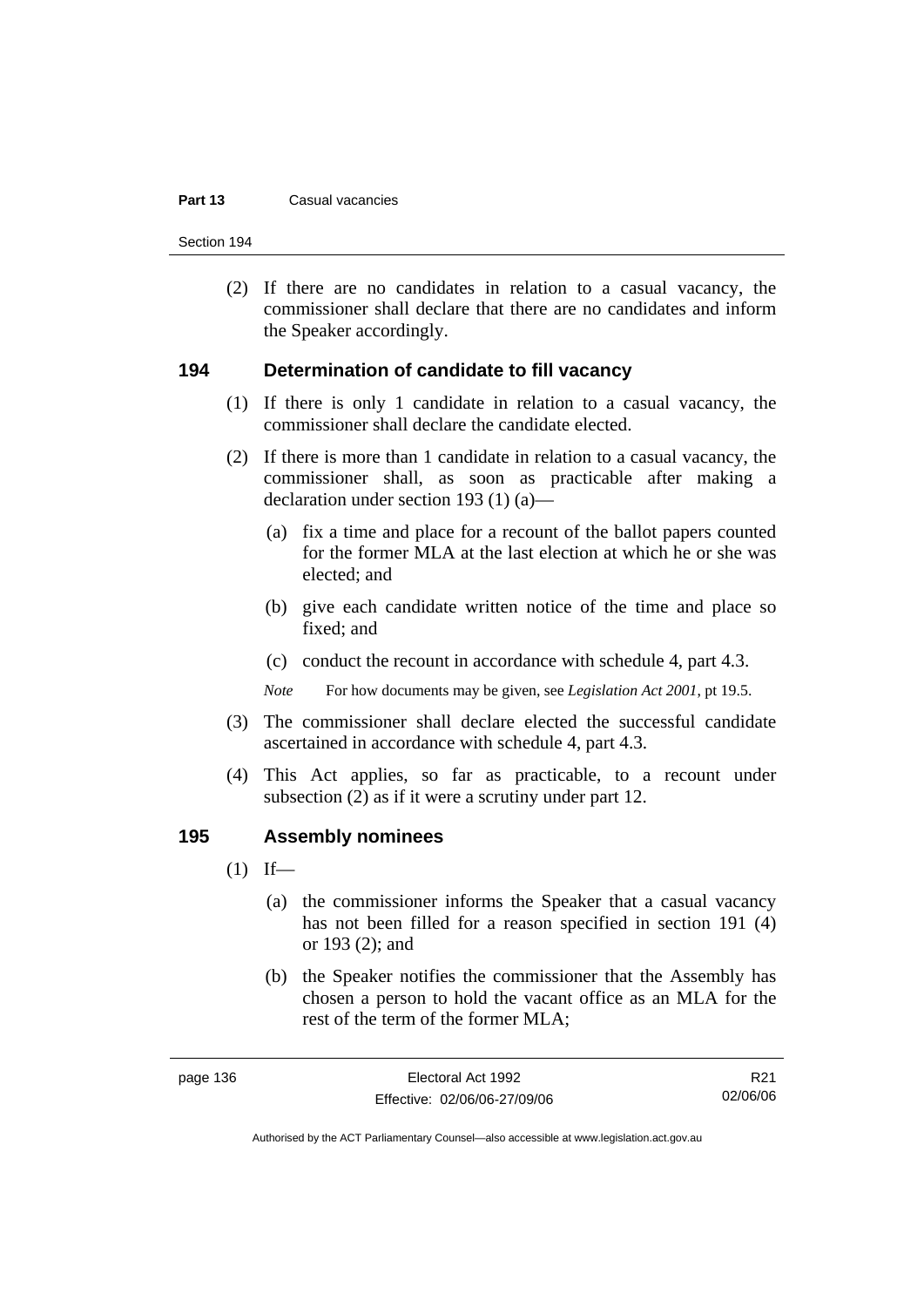#### **Part 13** Casual vacancies

Section 194

 (2) If there are no candidates in relation to a casual vacancy, the commissioner shall declare that there are no candidates and inform the Speaker accordingly.

#### **194 Determination of candidate to fill vacancy**

- (1) If there is only 1 candidate in relation to a casual vacancy, the commissioner shall declare the candidate elected.
- (2) If there is more than 1 candidate in relation to a casual vacancy, the commissioner shall, as soon as practicable after making a declaration under section 193 (1) (a)—
	- (a) fix a time and place for a recount of the ballot papers counted for the former MLA at the last election at which he or she was elected; and
	- (b) give each candidate written notice of the time and place so fixed; and
	- (c) conduct the recount in accordance with schedule 4, part 4.3.

*Note* For how documents may be given, see *Legislation Act 2001*, pt 19.5.

- (3) The commissioner shall declare elected the successful candidate ascertained in accordance with schedule 4, part 4.3.
- (4) This Act applies, so far as practicable, to a recount under subsection (2) as if it were a scrutiny under part 12.

#### **195 Assembly nominees**

- $(1)$  If—
	- (a) the commissioner informs the Speaker that a casual vacancy has not been filled for a reason specified in section 191 (4) or 193 (2); and
	- (b) the Speaker notifies the commissioner that the Assembly has chosen a person to hold the vacant office as an MLA for the rest of the term of the former MLA;

R21 02/06/06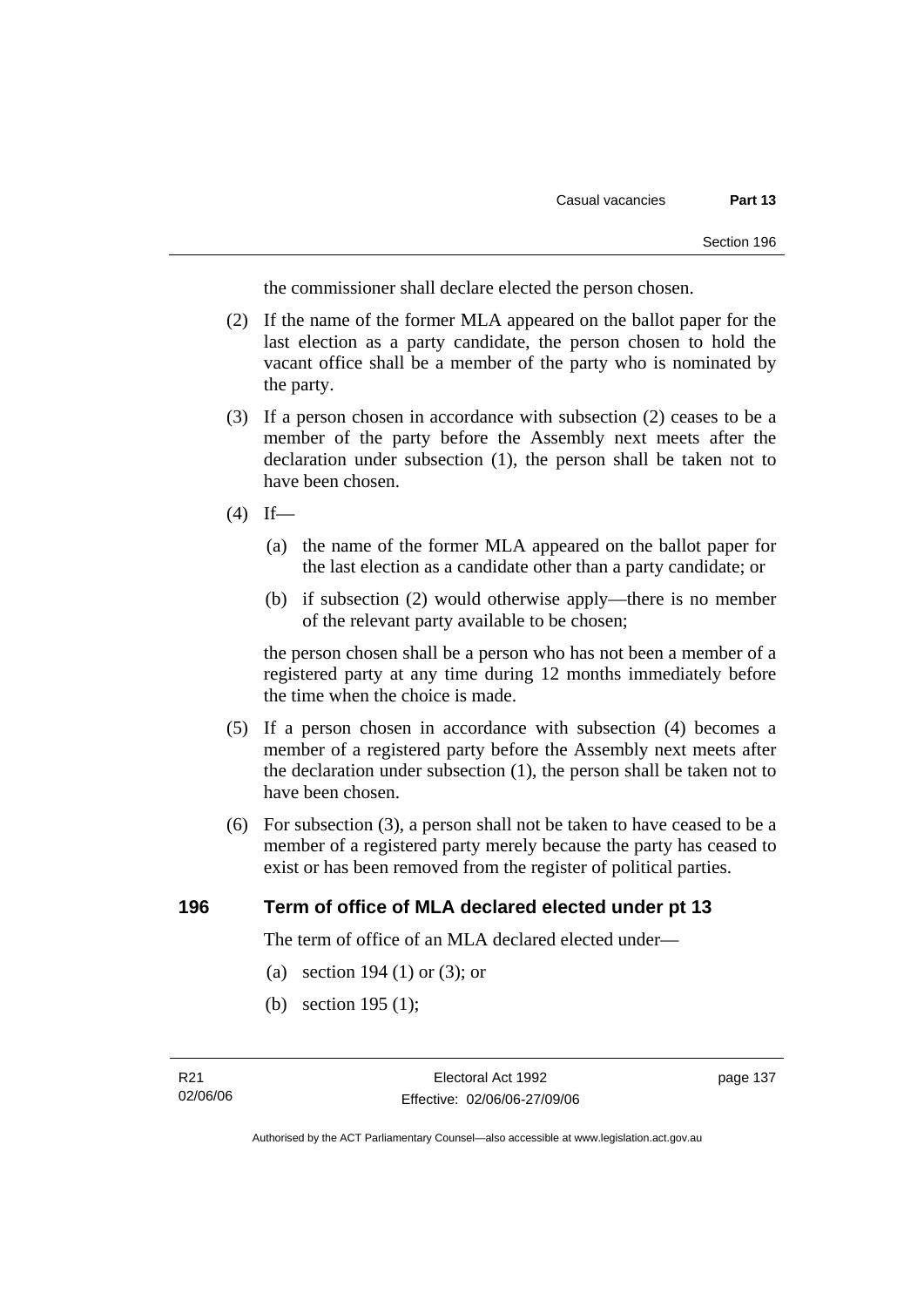the commissioner shall declare elected the person chosen.

- (2) If the name of the former MLA appeared on the ballot paper for the last election as a party candidate, the person chosen to hold the vacant office shall be a member of the party who is nominated by the party.
- (3) If a person chosen in accordance with subsection (2) ceases to be a member of the party before the Assembly next meets after the declaration under subsection (1), the person shall be taken not to have been chosen.
- $(4)$  If—
	- (a) the name of the former MLA appeared on the ballot paper for the last election as a candidate other than a party candidate; or
	- (b) if subsection (2) would otherwise apply—there is no member of the relevant party available to be chosen;

the person chosen shall be a person who has not been a member of a registered party at any time during 12 months immediately before the time when the choice is made.

- (5) If a person chosen in accordance with subsection (4) becomes a member of a registered party before the Assembly next meets after the declaration under subsection (1), the person shall be taken not to have been chosen.
- (6) For subsection (3), a person shall not be taken to have ceased to be a member of a registered party merely because the party has ceased to exist or has been removed from the register of political parties.

# **196 Term of office of MLA declared elected under pt 13**

The term of office of an MLA declared elected under—

- (a) section 194 (1) or (3); or
- (b) section 195 (1);

page 137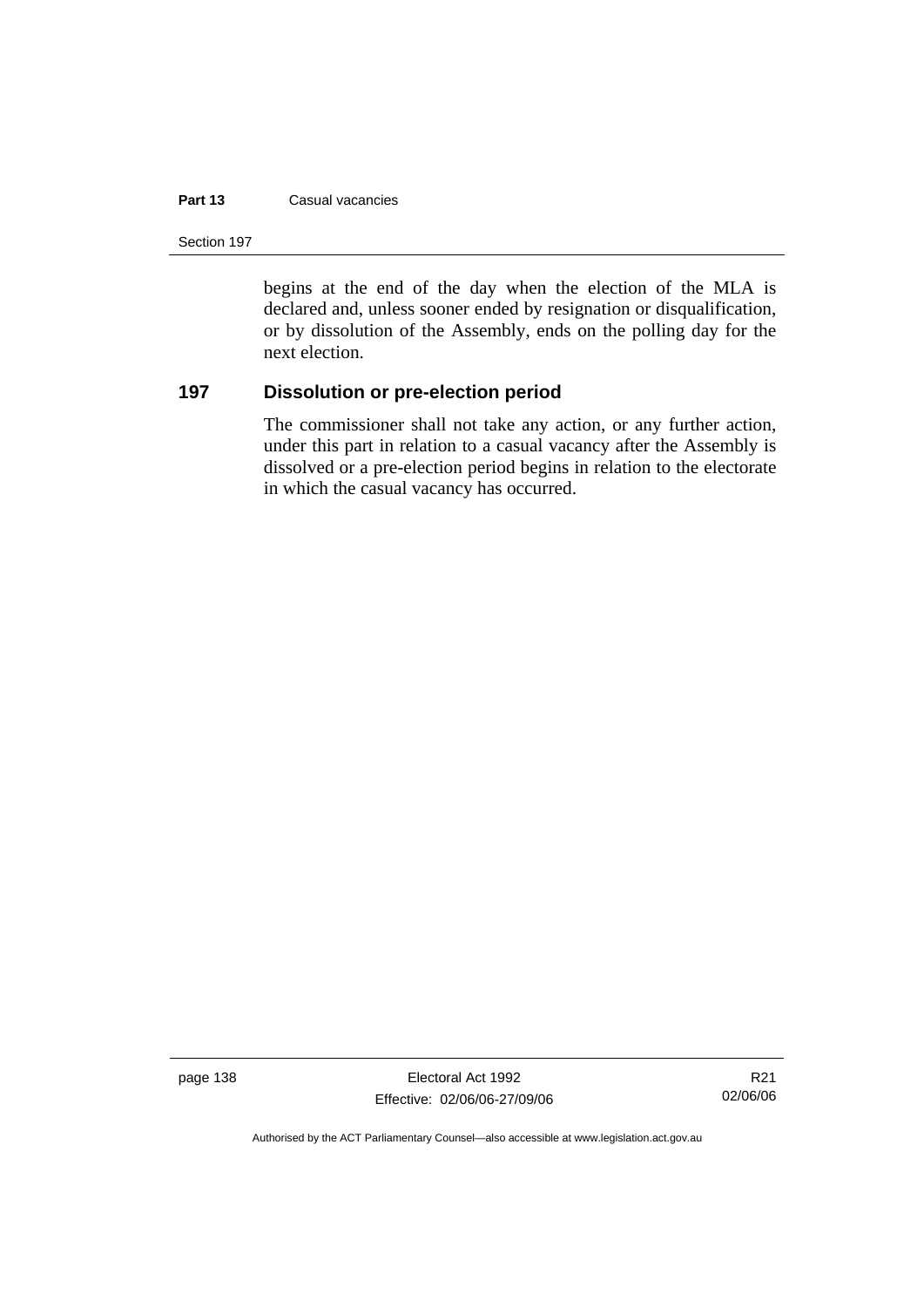#### **Part 13** Casual vacancies

Section 197

begins at the end of the day when the election of the MLA is declared and, unless sooner ended by resignation or disqualification, or by dissolution of the Assembly, ends on the polling day for the next election.

# **197 Dissolution or pre-election period**

The commissioner shall not take any action, or any further action, under this part in relation to a casual vacancy after the Assembly is dissolved or a pre-election period begins in relation to the electorate in which the casual vacancy has occurred.

page 138 Electoral Act 1992 Effective: 02/06/06-27/09/06

R21 02/06/06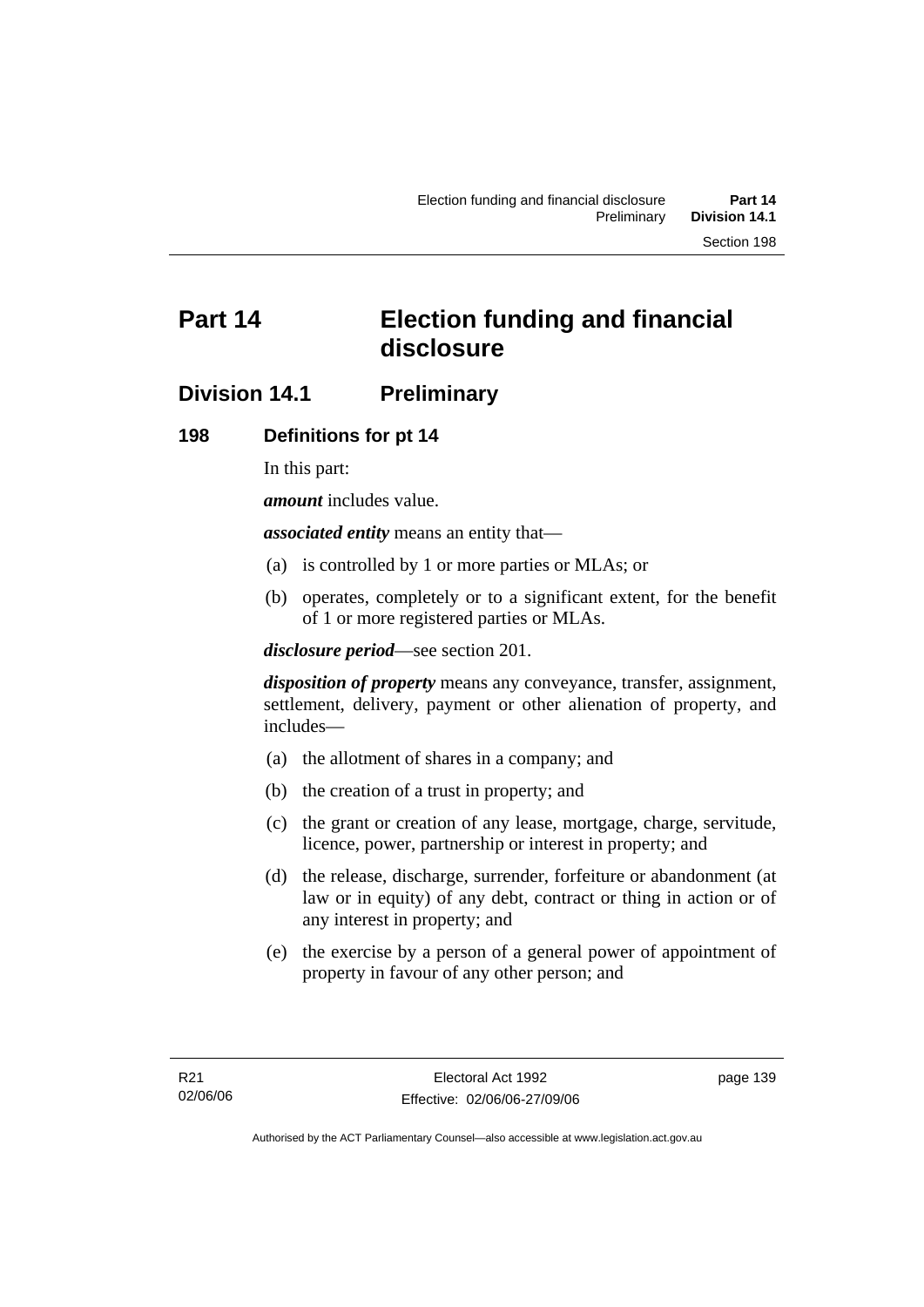# **Part 14 Election funding and financial disclosure**

# **Division 14.1 Preliminary**

## **198 Definitions for pt 14**

In this part:

*amount* includes value.

*associated entity* means an entity that—

- (a) is controlled by 1 or more parties or MLAs; or
- (b) operates, completely or to a significant extent, for the benefit of 1 or more registered parties or MLAs.

*disclosure period*—see section 201.

*disposition of property* means any conveyance, transfer, assignment, settlement, delivery, payment or other alienation of property, and includes—

- (a) the allotment of shares in a company; and
- (b) the creation of a trust in property; and
- (c) the grant or creation of any lease, mortgage, charge, servitude, licence, power, partnership or interest in property; and
- (d) the release, discharge, surrender, forfeiture or abandonment (at law or in equity) of any debt, contract or thing in action or of any interest in property; and
- (e) the exercise by a person of a general power of appointment of property in favour of any other person; and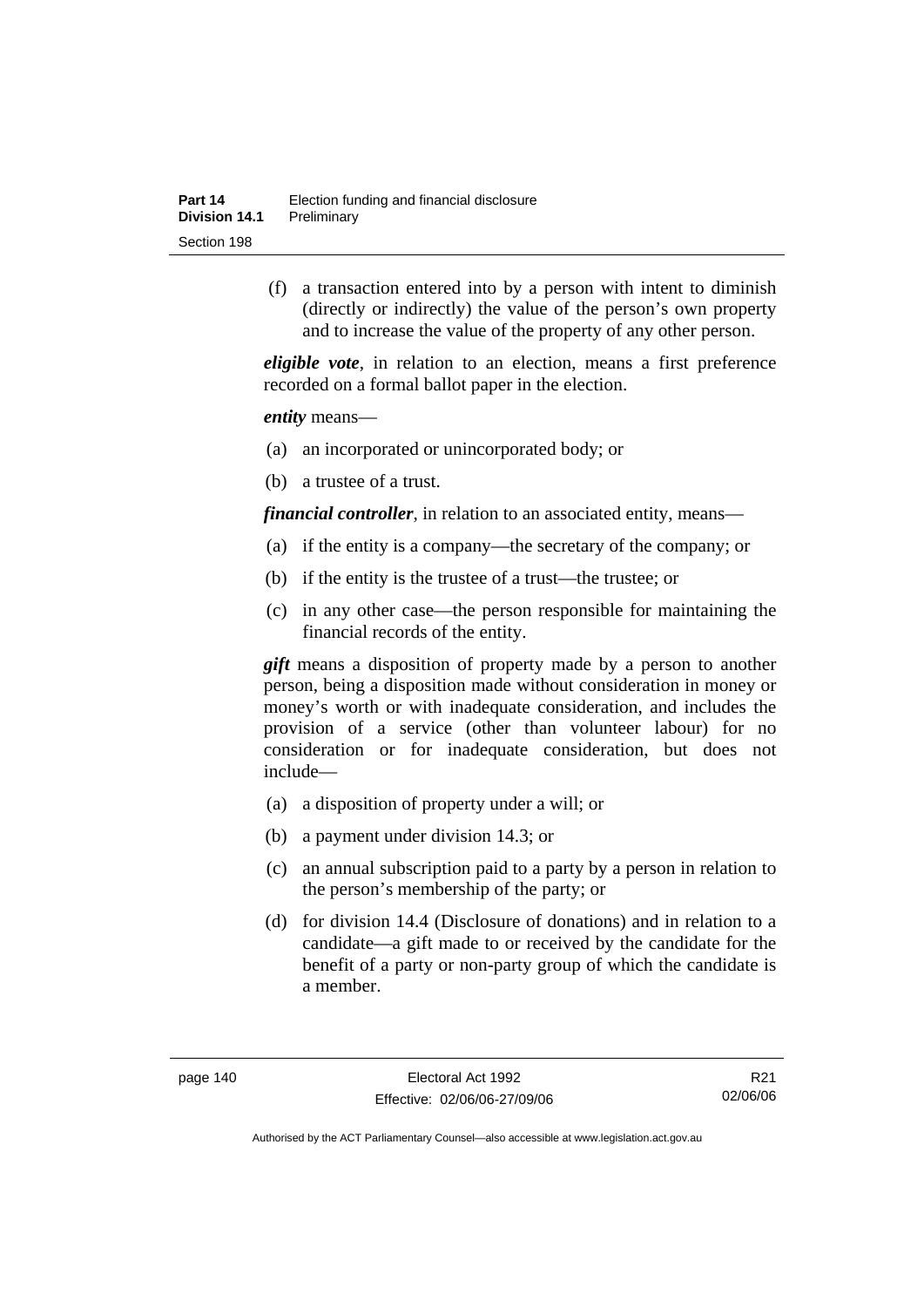(f) a transaction entered into by a person with intent to diminish (directly or indirectly) the value of the person's own property and to increase the value of the property of any other person.

*eligible vote*, in relation to an election, means a first preference recorded on a formal ballot paper in the election.

*entity* means—

- (a) an incorporated or unincorporated body; or
- (b) a trustee of a trust.

*financial controller*, in relation to an associated entity, means—

- (a) if the entity is a company—the secretary of the company; or
- (b) if the entity is the trustee of a trust—the trustee; or
- (c) in any other case—the person responsible for maintaining the financial records of the entity.

*gift* means a disposition of property made by a person to another person, being a disposition made without consideration in money or money's worth or with inadequate consideration, and includes the provision of a service (other than volunteer labour) for no consideration or for inadequate consideration, but does not include—

- (a) a disposition of property under a will; or
- (b) a payment under division 14.3; or
- (c) an annual subscription paid to a party by a person in relation to the person's membership of the party; or
- (d) for division 14.4 (Disclosure of donations) and in relation to a candidate—a gift made to or received by the candidate for the benefit of a party or non-party group of which the candidate is a member.

R21 02/06/06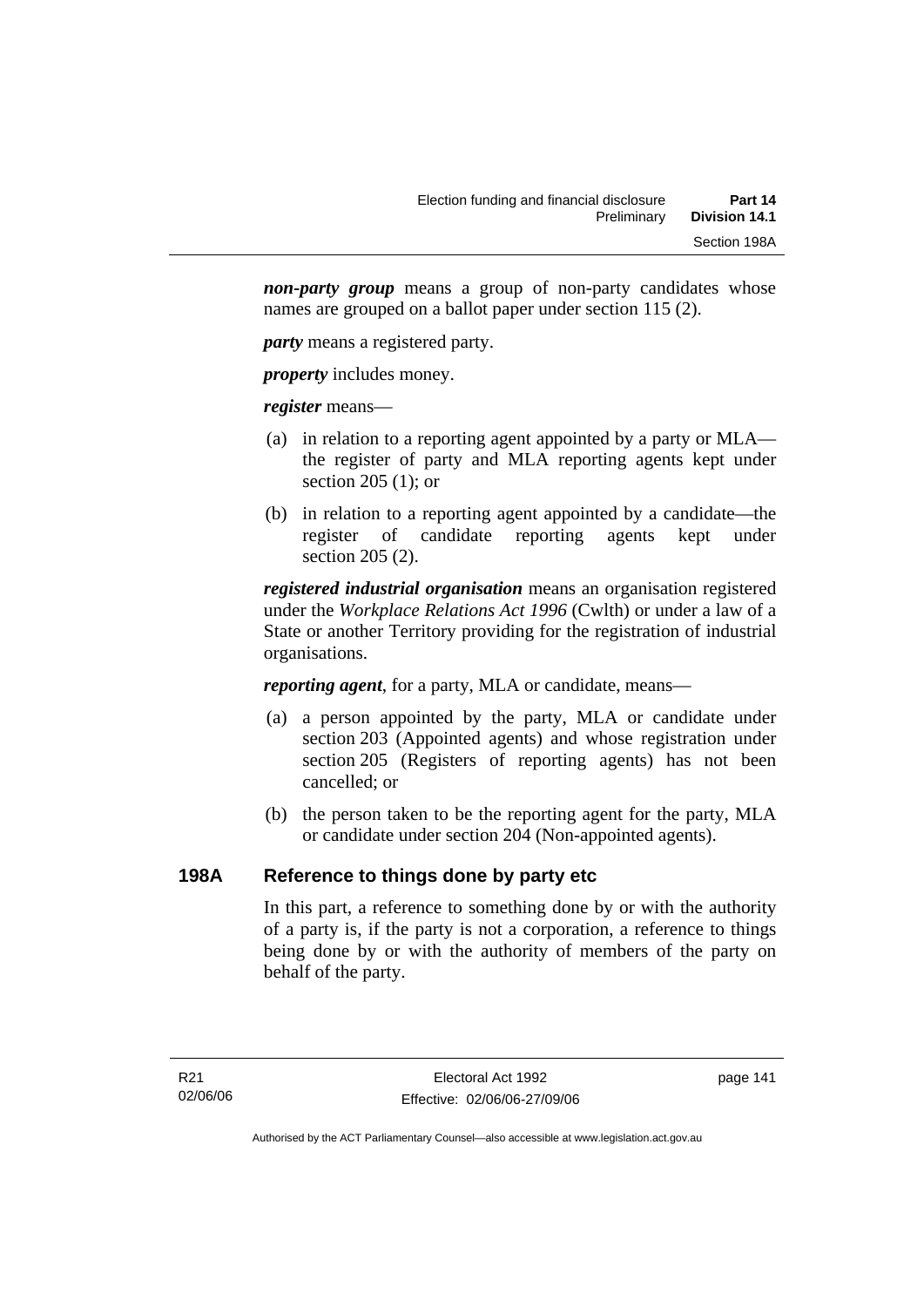*non-party group* means a group of non-party candidates whose names are grouped on a ballot paper under section 115 (2).

*party* means a registered party.

*property* includes money.

*register* means—

- (a) in relation to a reporting agent appointed by a party or MLA the register of party and MLA reporting agents kept under section 205 (1); or
- (b) in relation to a reporting agent appointed by a candidate—the register of candidate reporting agents kept under section 205 (2).

*registered industrial organisation* means an organisation registered under the *Workplace Relations Act 1996* (Cwlth) or under a law of a State or another Territory providing for the registration of industrial organisations.

*reporting agent*, for a party, MLA or candidate, means—

- (a) a person appointed by the party, MLA or candidate under section 203 (Appointed agents) and whose registration under section 205 (Registers of reporting agents) has not been cancelled; or
- (b) the person taken to be the reporting agent for the party, MLA or candidate under section 204 (Non-appointed agents).

# **198A Reference to things done by party etc**

In this part, a reference to something done by or with the authority of a party is, if the party is not a corporation, a reference to things being done by or with the authority of members of the party on behalf of the party.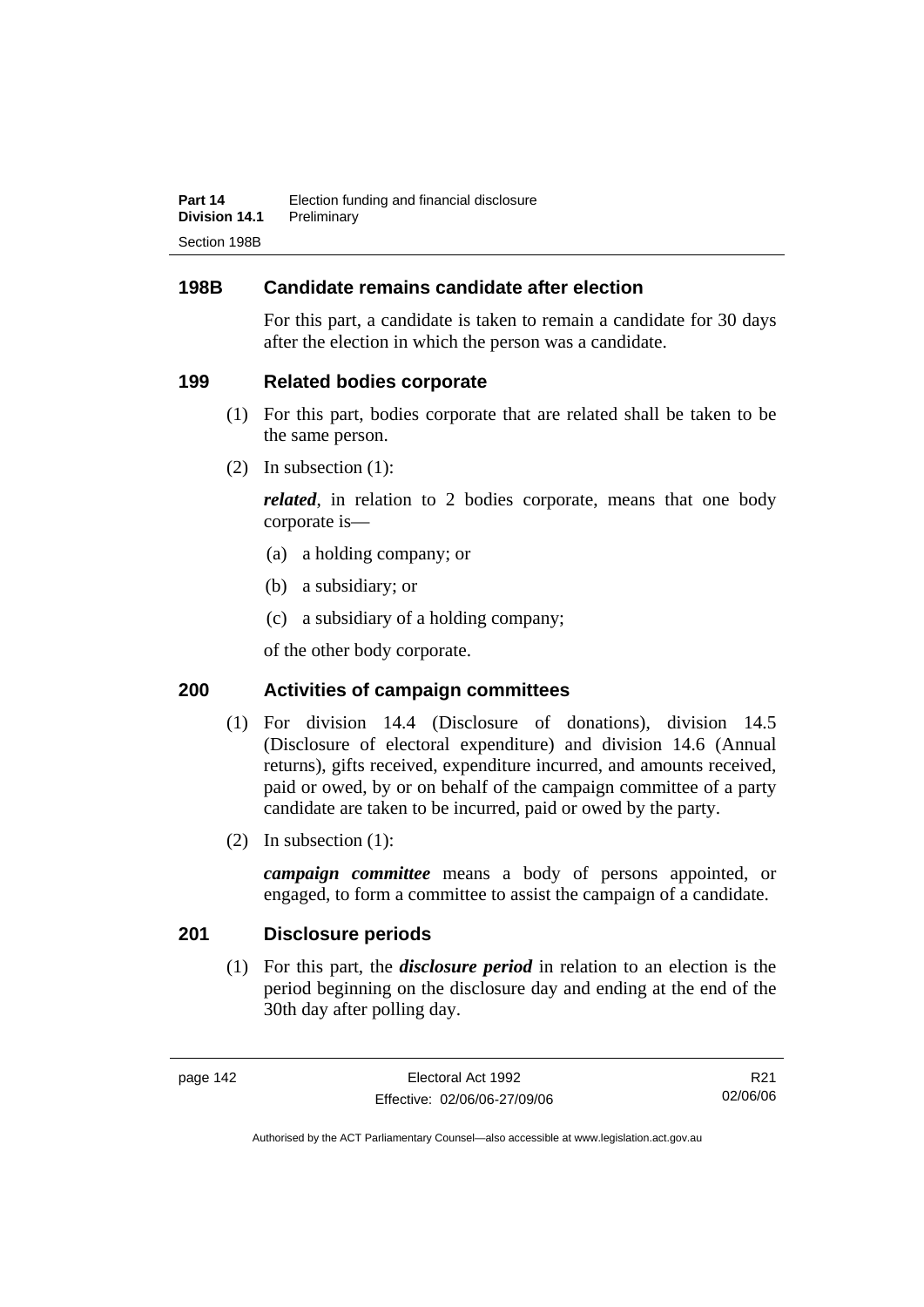# **198B Candidate remains candidate after election**

For this part, a candidate is taken to remain a candidate for 30 days after the election in which the person was a candidate.

## **199 Related bodies corporate**

- (1) For this part, bodies corporate that are related shall be taken to be the same person.
- (2) In subsection (1):

*related*, in relation to 2 bodies corporate, means that one body corporate is—

- (a) a holding company; or
- (b) a subsidiary; or
- (c) a subsidiary of a holding company;

of the other body corporate.

# **200 Activities of campaign committees**

- (1) For division 14.4 (Disclosure of donations), division 14.5 (Disclosure of electoral expenditure) and division 14.6 (Annual returns), gifts received, expenditure incurred, and amounts received, paid or owed, by or on behalf of the campaign committee of a party candidate are taken to be incurred, paid or owed by the party.
- (2) In subsection (1):

*campaign committee* means a body of persons appointed, or engaged, to form a committee to assist the campaign of a candidate.

# **201 Disclosure periods**

 (1) For this part, the *disclosure period* in relation to an election is the period beginning on the disclosure day and ending at the end of the 30th day after polling day.

R21 02/06/06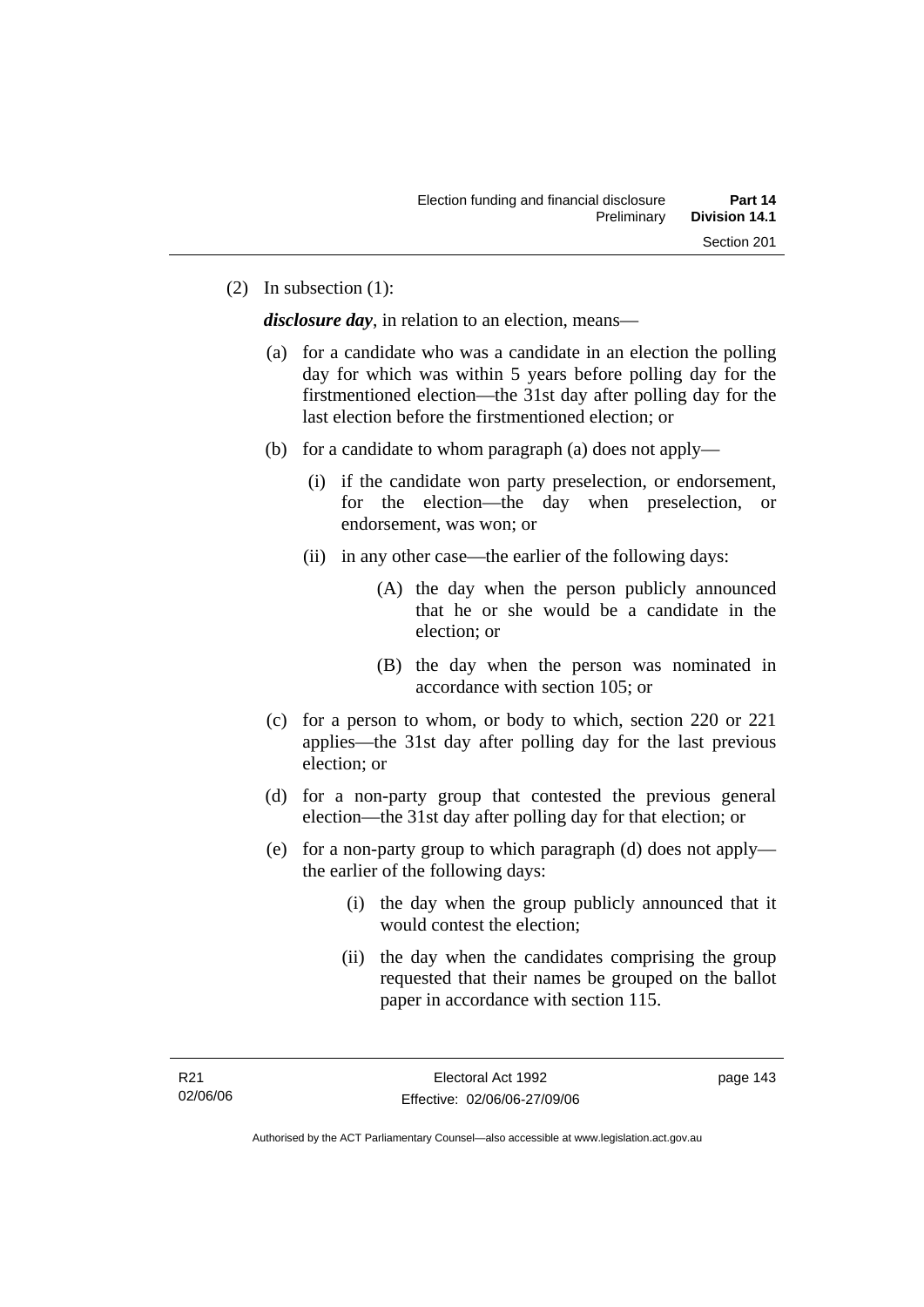(2) In subsection (1):

*disclosure day*, in relation to an election, means—

- (a) for a candidate who was a candidate in an election the polling day for which was within 5 years before polling day for the firstmentioned election—the 31st day after polling day for the last election before the firstmentioned election; or
- (b) for a candidate to whom paragraph (a) does not apply—
	- (i) if the candidate won party preselection, or endorsement, for the election—the day when preselection, or endorsement, was won; or
	- (ii) in any other case—the earlier of the following days:
		- (A) the day when the person publicly announced that he or she would be a candidate in the election; or
		- (B) the day when the person was nominated in accordance with section 105; or
- (c) for a person to whom, or body to which, section 220 or 221 applies—the 31st day after polling day for the last previous election; or
- (d) for a non-party group that contested the previous general election—the 31st day after polling day for that election; or
- (e) for a non-party group to which paragraph (d) does not apply the earlier of the following days:
	- (i) the day when the group publicly announced that it would contest the election;
	- (ii) the day when the candidates comprising the group requested that their names be grouped on the ballot paper in accordance with section 115.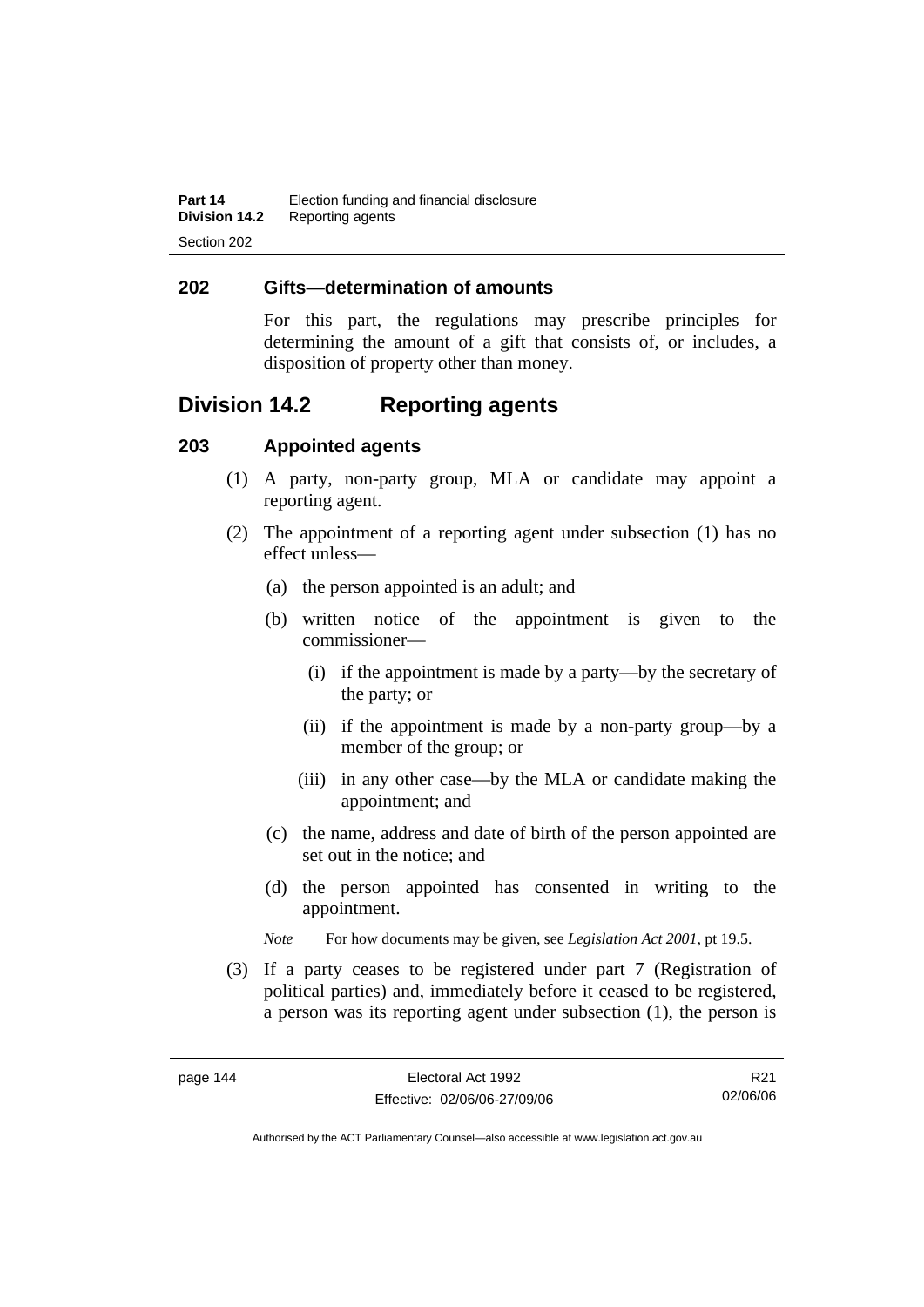## **202 Gifts—determination of amounts**

For this part, the regulations may prescribe principles for determining the amount of a gift that consists of, or includes, a disposition of property other than money.

# **Division 14.2 Reporting agents**

## **203 Appointed agents**

- (1) A party, non-party group, MLA or candidate may appoint a reporting agent.
- (2) The appointment of a reporting agent under subsection (1) has no effect unless—
	- (a) the person appointed is an adult; and
	- (b) written notice of the appointment is given to the commissioner—
		- (i) if the appointment is made by a party—by the secretary of the party; or
		- (ii) if the appointment is made by a non-party group—by a member of the group; or
		- (iii) in any other case—by the MLA or candidate making the appointment; and
	- (c) the name, address and date of birth of the person appointed are set out in the notice; and
	- (d) the person appointed has consented in writing to the appointment.
	- *Note* For how documents may be given, see *Legislation Act 2001*, pt 19.5.
- (3) If a party ceases to be registered under part 7 (Registration of political parties) and, immediately before it ceased to be registered, a person was its reporting agent under subsection (1), the person is

R21 02/06/06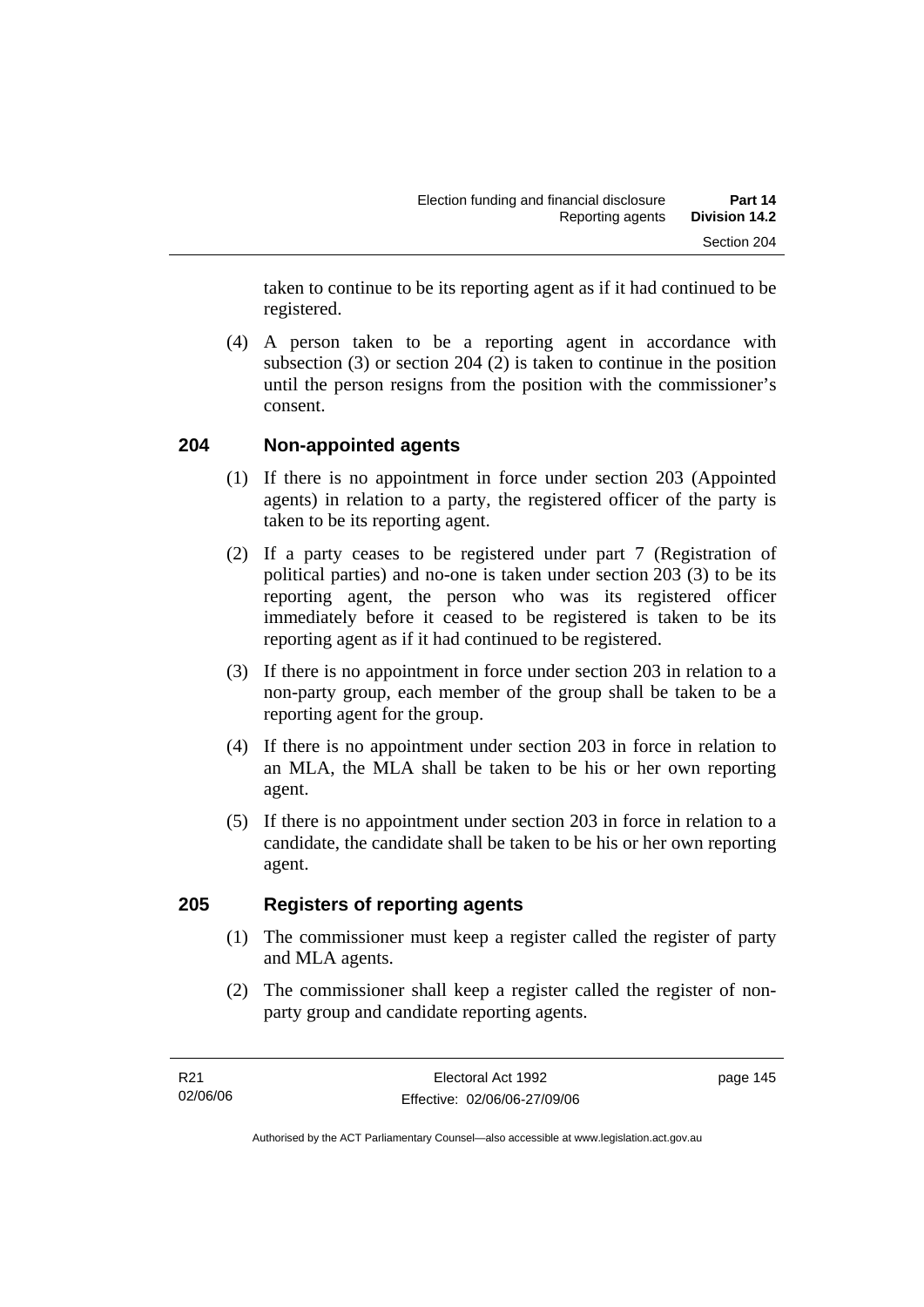taken to continue to be its reporting agent as if it had continued to be registered.

 (4) A person taken to be a reporting agent in accordance with subsection (3) or section 204 (2) is taken to continue in the position until the person resigns from the position with the commissioner's consent.

# **204 Non-appointed agents**

- (1) If there is no appointment in force under section 203 (Appointed agents) in relation to a party, the registered officer of the party is taken to be its reporting agent.
- (2) If a party ceases to be registered under part 7 (Registration of political parties) and no-one is taken under section 203 (3) to be its reporting agent, the person who was its registered officer immediately before it ceased to be registered is taken to be its reporting agent as if it had continued to be registered.
- (3) If there is no appointment in force under section 203 in relation to a non-party group, each member of the group shall be taken to be a reporting agent for the group.
- (4) If there is no appointment under section 203 in force in relation to an MLA, the MLA shall be taken to be his or her own reporting agent.
- (5) If there is no appointment under section 203 in force in relation to a candidate, the candidate shall be taken to be his or her own reporting agent.

# **205 Registers of reporting agents**

- (1) The commissioner must keep a register called the register of party and MLA agents.
- (2) The commissioner shall keep a register called the register of nonparty group and candidate reporting agents.

page 145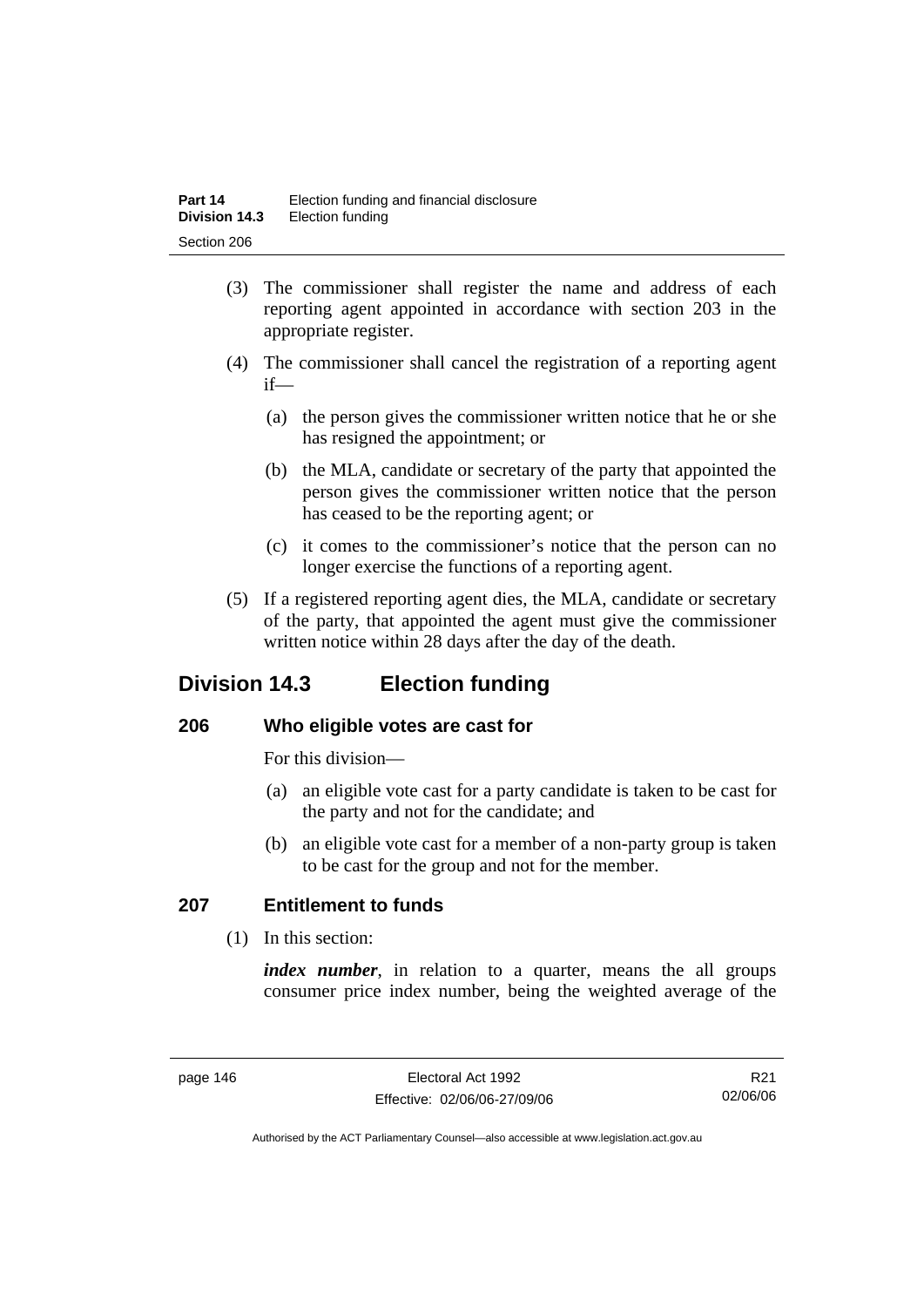- (3) The commissioner shall register the name and address of each reporting agent appointed in accordance with section 203 in the appropriate register.
- (4) The commissioner shall cancel the registration of a reporting agent if—
	- (a) the person gives the commissioner written notice that he or she has resigned the appointment; or
	- (b) the MLA, candidate or secretary of the party that appointed the person gives the commissioner written notice that the person has ceased to be the reporting agent; or
	- (c) it comes to the commissioner's notice that the person can no longer exercise the functions of a reporting agent.
- (5) If a registered reporting agent dies, the MLA, candidate or secretary of the party, that appointed the agent must give the commissioner written notice within 28 days after the day of the death.

# **Division 14.3 Election funding**

# **206 Who eligible votes are cast for**

For this division—

- (a) an eligible vote cast for a party candidate is taken to be cast for the party and not for the candidate; and
- (b) an eligible vote cast for a member of a non-party group is taken to be cast for the group and not for the member.

# **207 Entitlement to funds**

(1) In this section:

*index number*, in relation to a quarter, means the all groups consumer price index number, being the weighted average of the

R21 02/06/06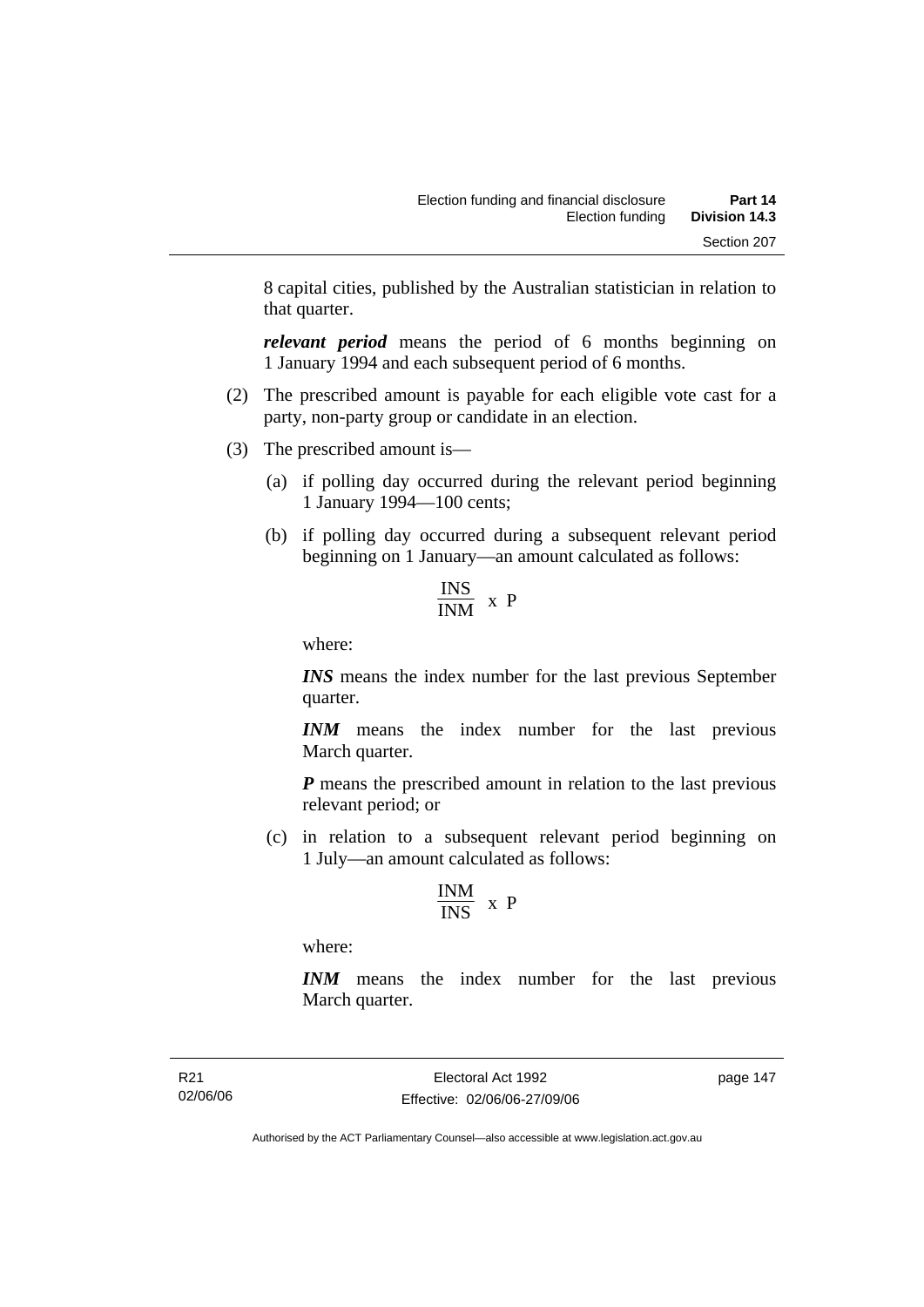8 capital cities, published by the Australian statistician in relation to that quarter.

*relevant period* means the period of 6 months beginning on 1 January 1994 and each subsequent period of 6 months.

- (2) The prescribed amount is payable for each eligible vote cast for a party, non-party group or candidate in an election.
- (3) The prescribed amount is—
	- (a) if polling day occurred during the relevant period beginning 1 January 1994—100 cents;
	- (b) if polling day occurred during a subsequent relevant period beginning on 1 January—an amount calculated as follows:

$$
\frac{\text{INS}}{\text{INM}} \times P
$$

where:

*INS* means the index number for the last previous September quarter.

*INM* means the index number for the last previous March quarter.

*P* means the prescribed amount in relation to the last previous relevant period; or

 (c) in relation to a subsequent relevant period beginning on 1 July—an amount calculated as follows:

$$
\frac{INM}{INS} \ x \ P
$$

where:

*INM* means the index number for the last previous March quarter.

R21 02/06/06 page 147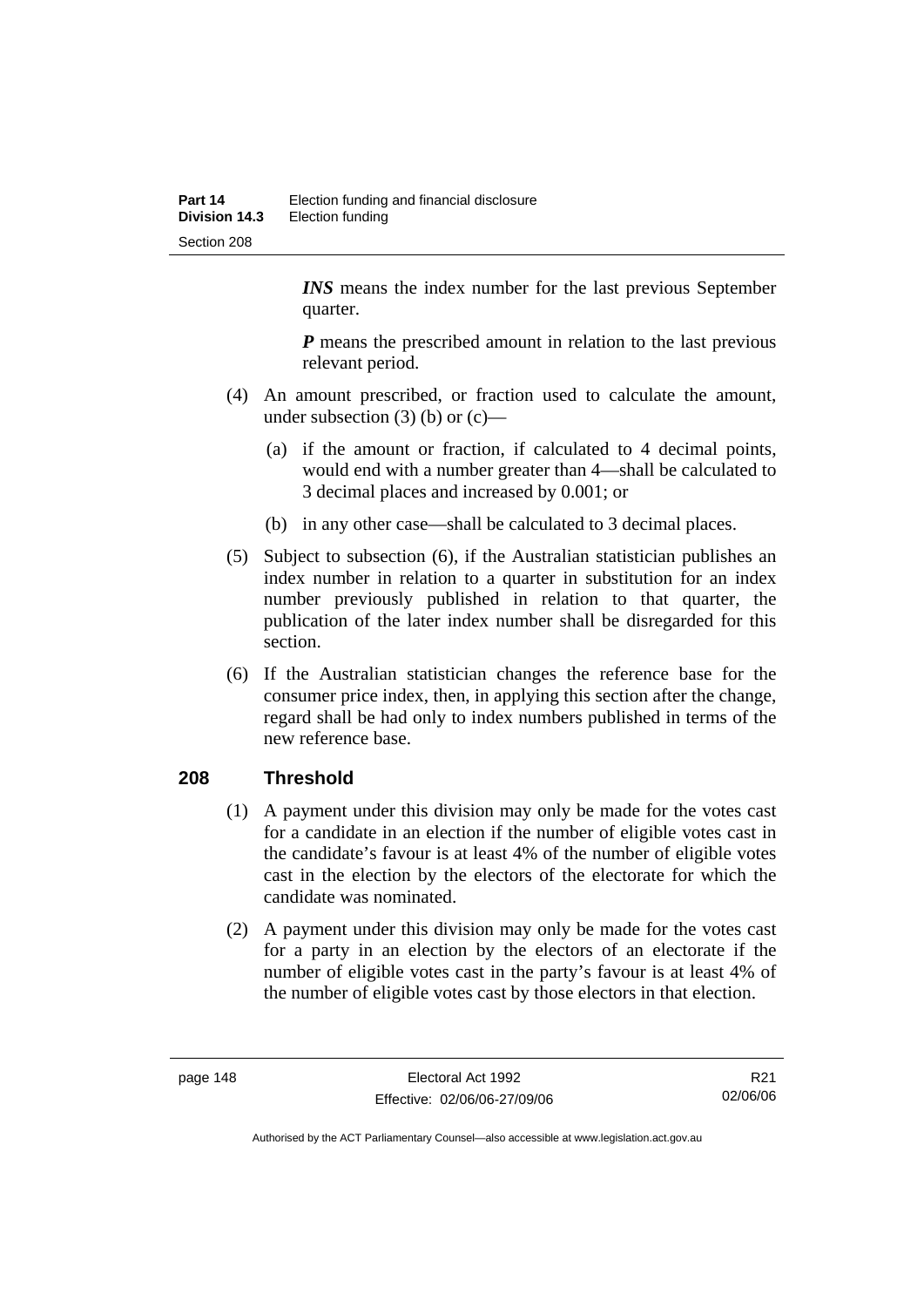*INS* means the index number for the last previous September quarter.

*P* means the prescribed amount in relation to the last previous relevant period.

- (4) An amount prescribed, or fraction used to calculate the amount, under subsection  $(3)$  (b) or  $(c)$ —
	- (a) if the amount or fraction, if calculated to 4 decimal points, would end with a number greater than 4—shall be calculated to 3 decimal places and increased by 0.001; or
	- (b) in any other case—shall be calculated to 3 decimal places.
- (5) Subject to subsection (6), if the Australian statistician publishes an index number in relation to a quarter in substitution for an index number previously published in relation to that quarter, the publication of the later index number shall be disregarded for this section.
- (6) If the Australian statistician changes the reference base for the consumer price index, then, in applying this section after the change, regard shall be had only to index numbers published in terms of the new reference base.

# **208 Threshold**

- (1) A payment under this division may only be made for the votes cast for a candidate in an election if the number of eligible votes cast in the candidate's favour is at least 4% of the number of eligible votes cast in the election by the electors of the electorate for which the candidate was nominated.
- (2) A payment under this division may only be made for the votes cast for a party in an election by the electors of an electorate if the number of eligible votes cast in the party's favour is at least 4% of the number of eligible votes cast by those electors in that election.

R21 02/06/06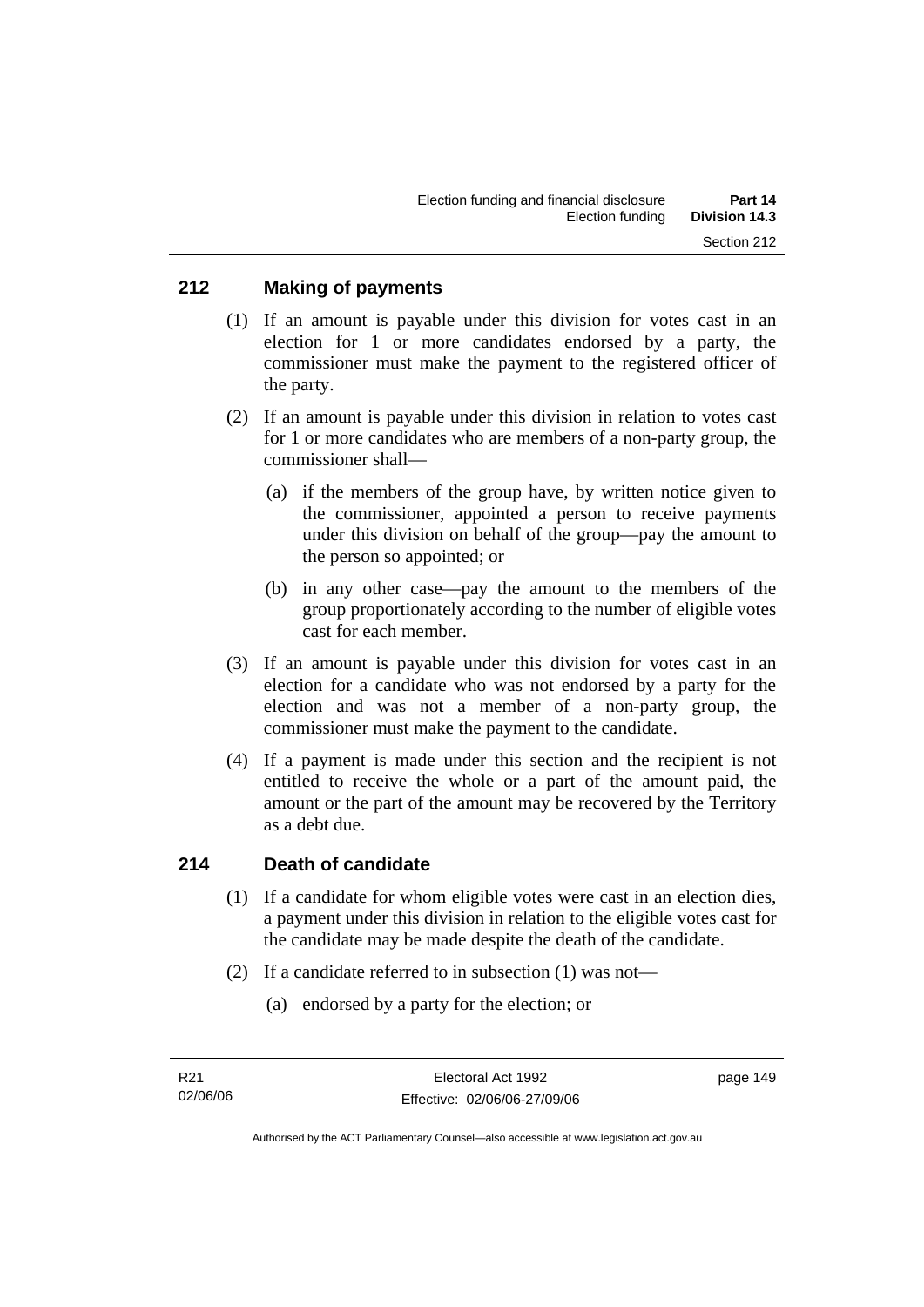## **212 Making of payments**

- (1) If an amount is payable under this division for votes cast in an election for 1 or more candidates endorsed by a party, the commissioner must make the payment to the registered officer of the party.
- (2) If an amount is payable under this division in relation to votes cast for 1 or more candidates who are members of a non-party group, the commissioner shall—
	- (a) if the members of the group have, by written notice given to the commissioner, appointed a person to receive payments under this division on behalf of the group—pay the amount to the person so appointed; or
	- (b) in any other case—pay the amount to the members of the group proportionately according to the number of eligible votes cast for each member.
- (3) If an amount is payable under this division for votes cast in an election for a candidate who was not endorsed by a party for the election and was not a member of a non-party group, the commissioner must make the payment to the candidate.
- (4) If a payment is made under this section and the recipient is not entitled to receive the whole or a part of the amount paid, the amount or the part of the amount may be recovered by the Territory as a debt due.

## **214 Death of candidate**

- (1) If a candidate for whom eligible votes were cast in an election dies, a payment under this division in relation to the eligible votes cast for the candidate may be made despite the death of the candidate.
- (2) If a candidate referred to in subsection (1) was not—
	- (a) endorsed by a party for the election; or

Authorised by the ACT Parliamentary Counsel—also accessible at www.legislation.act.gov.au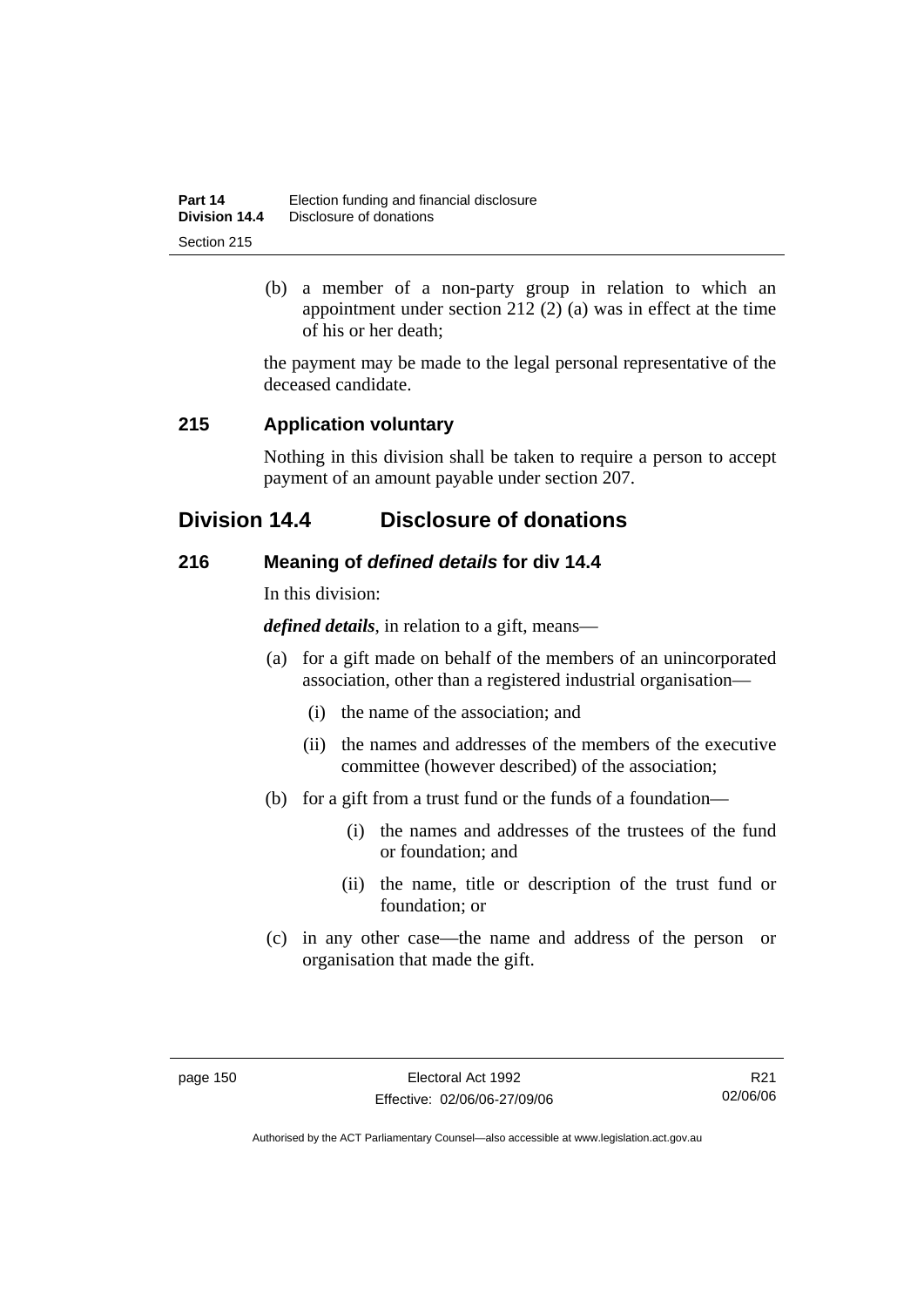| Part 14       | Election funding and financial disclosure |
|---------------|-------------------------------------------|
| Division 14.4 | Disclosure of donations                   |
| Section 215   |                                           |

 (b) a member of a non-party group in relation to which an appointment under section 212 (2) (a) was in effect at the time of his or her death;

the payment may be made to the legal personal representative of the deceased candidate.

## **215 Application voluntary**

Nothing in this division shall be taken to require a person to accept payment of an amount payable under section 207.

# **Division 14.4 Disclosure of donations**

# **216 Meaning of** *defined details* **for div 14.4**

In this division:

*defined details*, in relation to a gift, means—

- (a) for a gift made on behalf of the members of an unincorporated association, other than a registered industrial organisation—
	- (i) the name of the association; and
	- (ii) the names and addresses of the members of the executive committee (however described) of the association;
- (b) for a gift from a trust fund or the funds of a foundation—
	- (i) the names and addresses of the trustees of the fund or foundation; and
	- (ii) the name, title or description of the trust fund or foundation; or
- (c) in any other case—the name and address of the person or organisation that made the gift.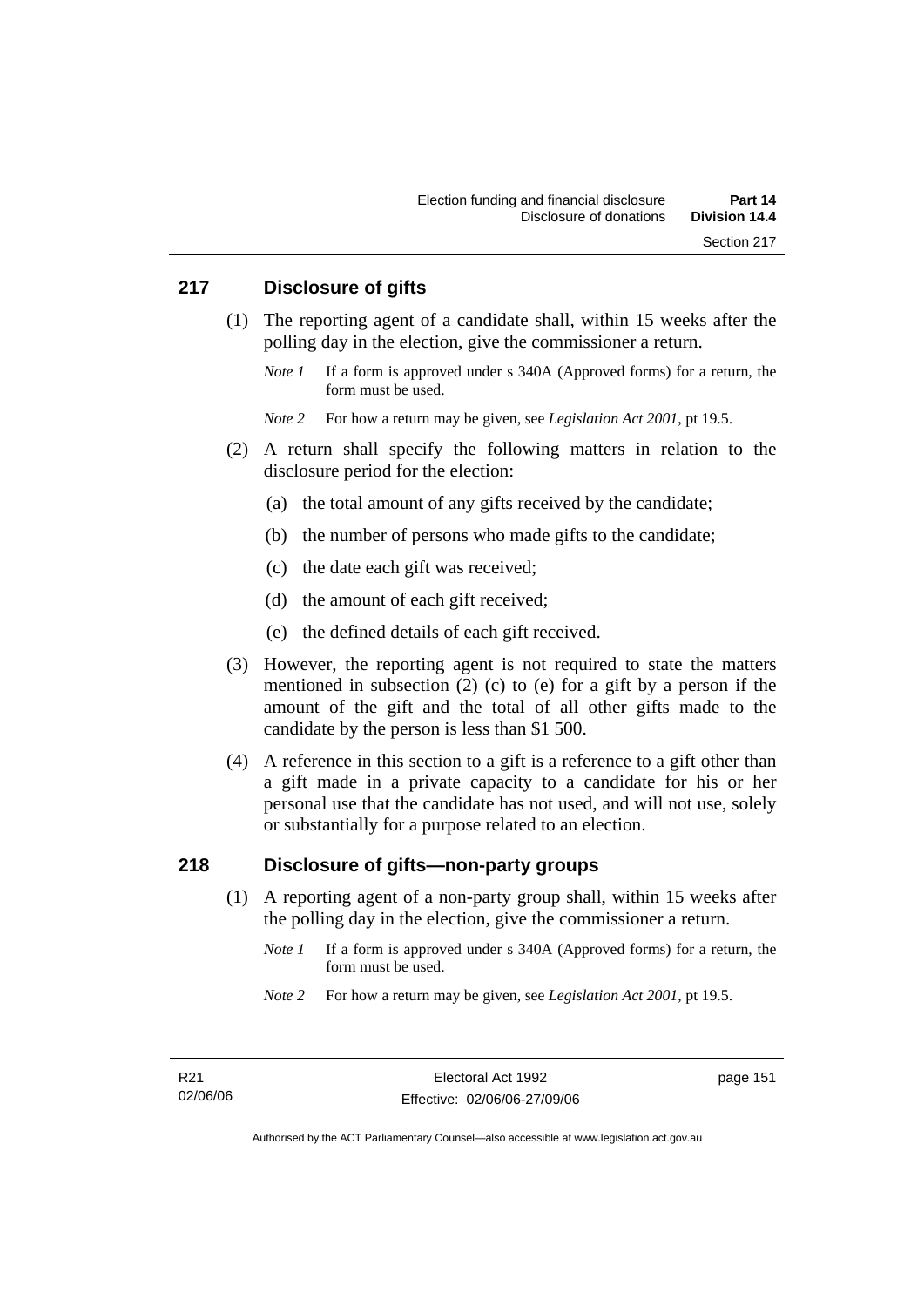## **217 Disclosure of gifts**

- (1) The reporting agent of a candidate shall, within 15 weeks after the polling day in the election, give the commissioner a return.
	- *Note 1* If a form is approved under s 340A (Approved forms) for a return, the form must be used.

*Note 2* For how a return may be given, see *Legislation Act 2001*, pt 19.5.

- (2) A return shall specify the following matters in relation to the disclosure period for the election:
	- (a) the total amount of any gifts received by the candidate;
	- (b) the number of persons who made gifts to the candidate;
	- (c) the date each gift was received;
	- (d) the amount of each gift received;
	- (e) the defined details of each gift received.
- (3) However, the reporting agent is not required to state the matters mentioned in subsection (2) (c) to (e) for a gift by a person if the amount of the gift and the total of all other gifts made to the candidate by the person is less than \$1 500.
- (4) A reference in this section to a gift is a reference to a gift other than a gift made in a private capacity to a candidate for his or her personal use that the candidate has not used, and will not use, solely or substantially for a purpose related to an election.

## **218 Disclosure of gifts—non-party groups**

- (1) A reporting agent of a non-party group shall, within 15 weeks after the polling day in the election, give the commissioner a return.
	- *Note 1* If a form is approved under s 340A (Approved forms) for a return, the form must be used.
	- *Note 2* For how a return may be given, see *Legislation Act 2001*, pt 19.5.

page 151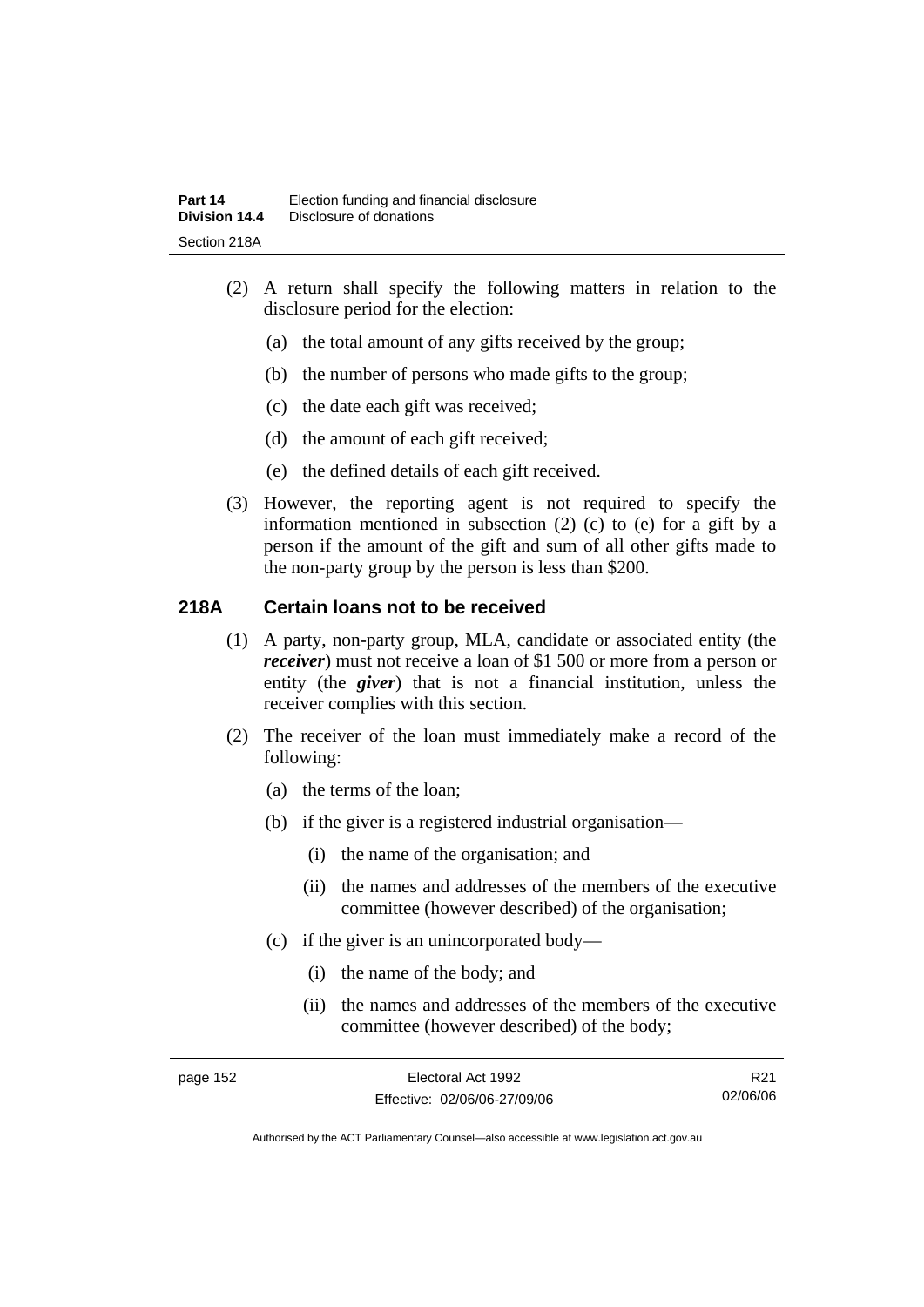- (2) A return shall specify the following matters in relation to the disclosure period for the election:
	- (a) the total amount of any gifts received by the group;
	- (b) the number of persons who made gifts to the group;
	- (c) the date each gift was received;
	- (d) the amount of each gift received;
	- (e) the defined details of each gift received.
- (3) However, the reporting agent is not required to specify the information mentioned in subsection (2) (c) to (e) for a gift by a person if the amount of the gift and sum of all other gifts made to the non-party group by the person is less than \$200.

# **218A Certain loans not to be received**

- (1) A party, non-party group, MLA, candidate or associated entity (the *receiver*) must not receive a loan of \$1 500 or more from a person or entity (the *giver*) that is not a financial institution, unless the receiver complies with this section.
- (2) The receiver of the loan must immediately make a record of the following:
	- (a) the terms of the loan;
	- (b) if the giver is a registered industrial organisation—
		- (i) the name of the organisation; and
		- (ii) the names and addresses of the members of the executive committee (however described) of the organisation;
	- (c) if the giver is an unincorporated body—
		- (i) the name of the body; and
		- (ii) the names and addresses of the members of the executive committee (however described) of the body;

page 152 Electoral Act 1992 Effective: 02/06/06-27/09/06

R21 02/06/06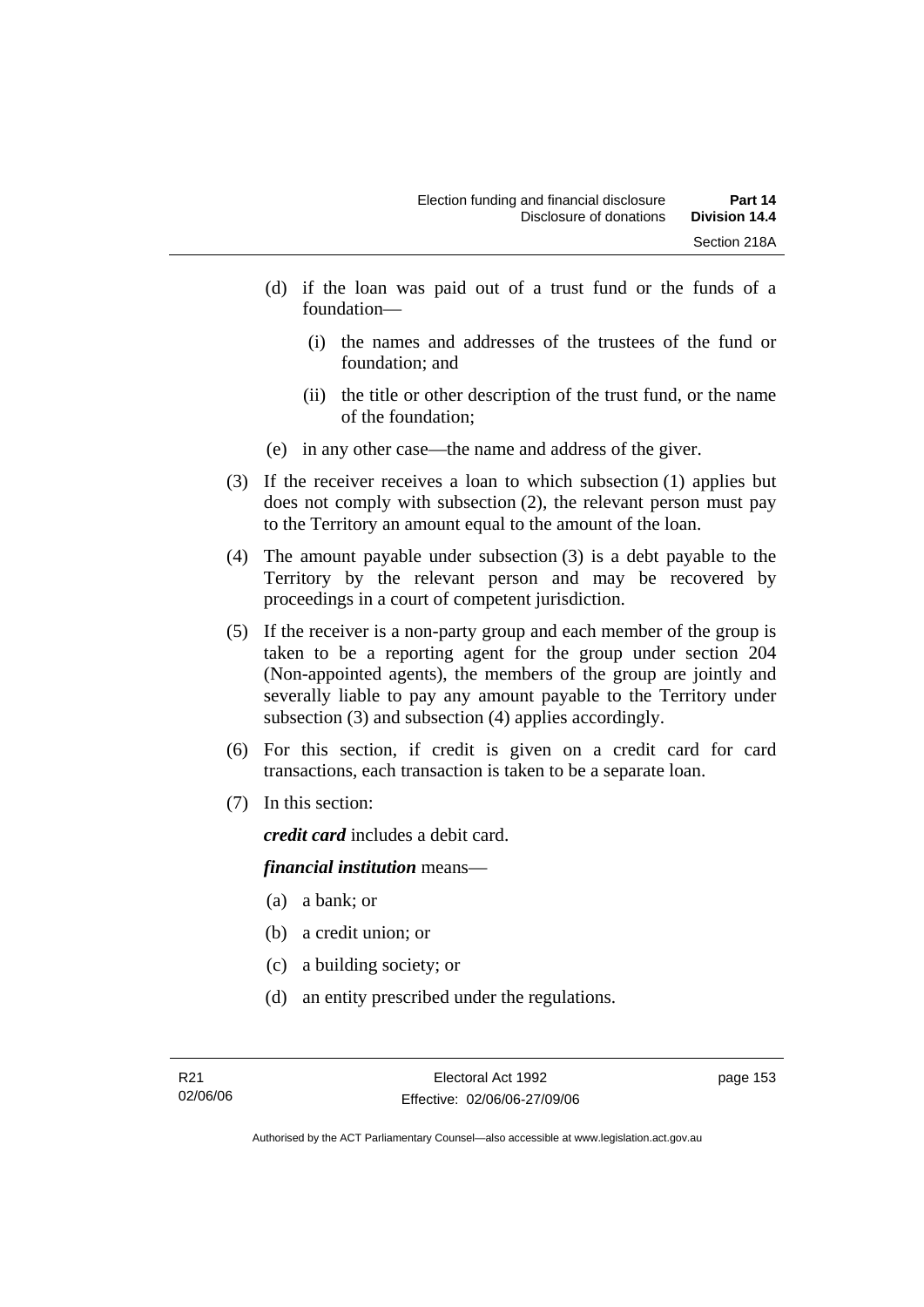- (d) if the loan was paid out of a trust fund or the funds of a foundation—
	- (i) the names and addresses of the trustees of the fund or foundation; and
	- (ii) the title or other description of the trust fund, or the name of the foundation;
- (e) in any other case—the name and address of the giver.
- (3) If the receiver receives a loan to which subsection (1) applies but does not comply with subsection (2), the relevant person must pay to the Territory an amount equal to the amount of the loan.
- (4) The amount payable under subsection (3) is a debt payable to the Territory by the relevant person and may be recovered by proceedings in a court of competent jurisdiction.
- (5) If the receiver is a non-party group and each member of the group is taken to be a reporting agent for the group under section 204 (Non-appointed agents), the members of the group are jointly and severally liable to pay any amount payable to the Territory under subsection (3) and subsection (4) applies accordingly.
- (6) For this section, if credit is given on a credit card for card transactions, each transaction is taken to be a separate loan.
- (7) In this section:

*credit card* includes a debit card.

## *financial institution* means—

- (a) a bank; or
- (b) a credit union; or
- (c) a building society; or
- (d) an entity prescribed under the regulations.

Authorised by the ACT Parliamentary Counsel—also accessible at www.legislation.act.gov.au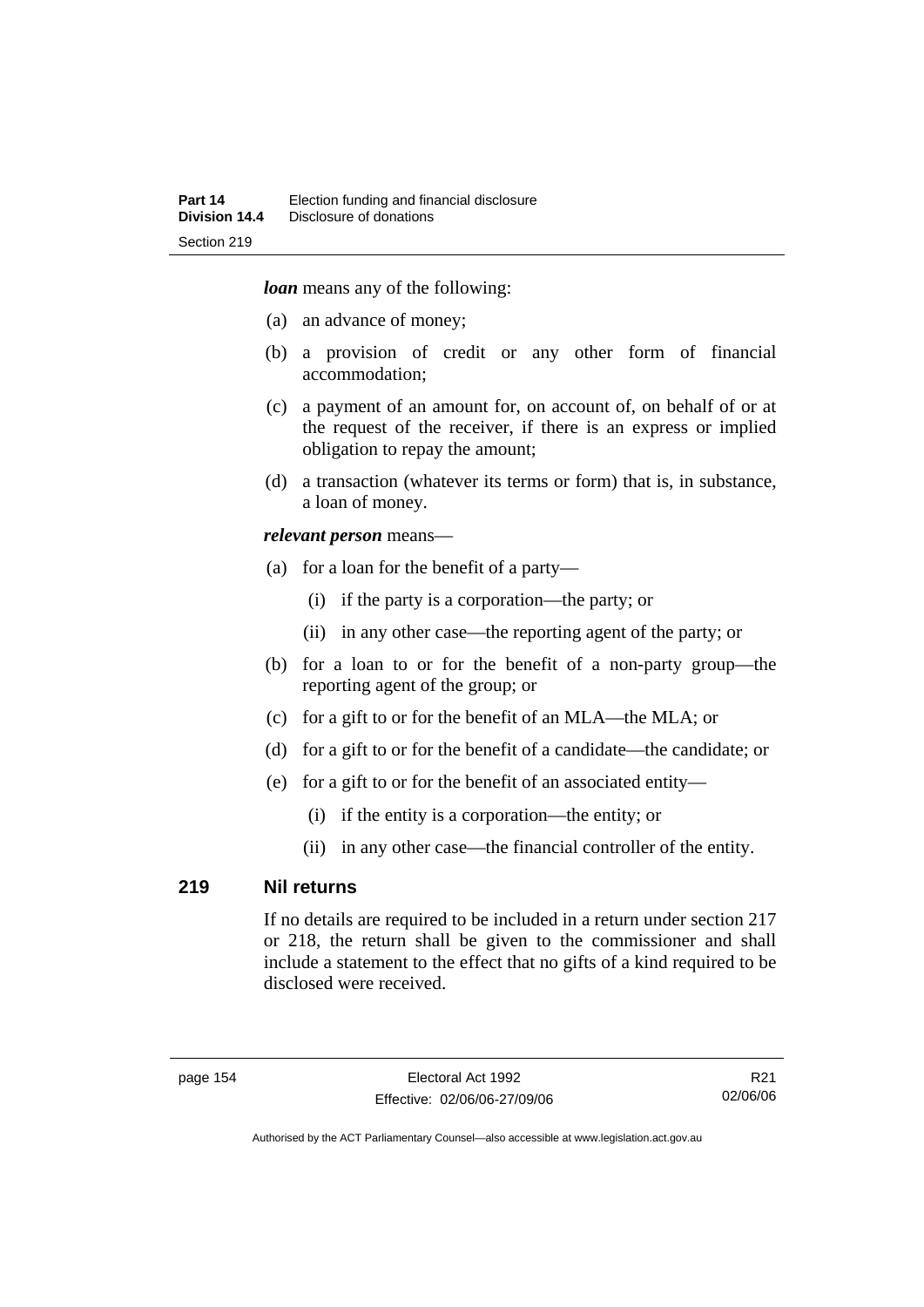*loan* means any of the following:

- (a) an advance of money;
- (b) a provision of credit or any other form of financial accommodation;
- (c) a payment of an amount for, on account of, on behalf of or at the request of the receiver, if there is an express or implied obligation to repay the amount;
- (d) a transaction (whatever its terms or form) that is, in substance, a loan of money.

#### *relevant person* means—

- (a) for a loan for the benefit of a party—
	- (i) if the party is a corporation—the party; or
	- (ii) in any other case—the reporting agent of the party; or
- (b) for a loan to or for the benefit of a non-party group—the reporting agent of the group; or
- (c) for a gift to or for the benefit of an MLA—the MLA; or
- (d) for a gift to or for the benefit of a candidate—the candidate; or
- (e) for a gift to or for the benefit of an associated entity—
	- (i) if the entity is a corporation—the entity; or
	- (ii) in any other case—the financial controller of the entity.

## **219 Nil returns**

If no details are required to be included in a return under section 217 or 218, the return shall be given to the commissioner and shall include a statement to the effect that no gifts of a kind required to be disclosed were received.

R21 02/06/06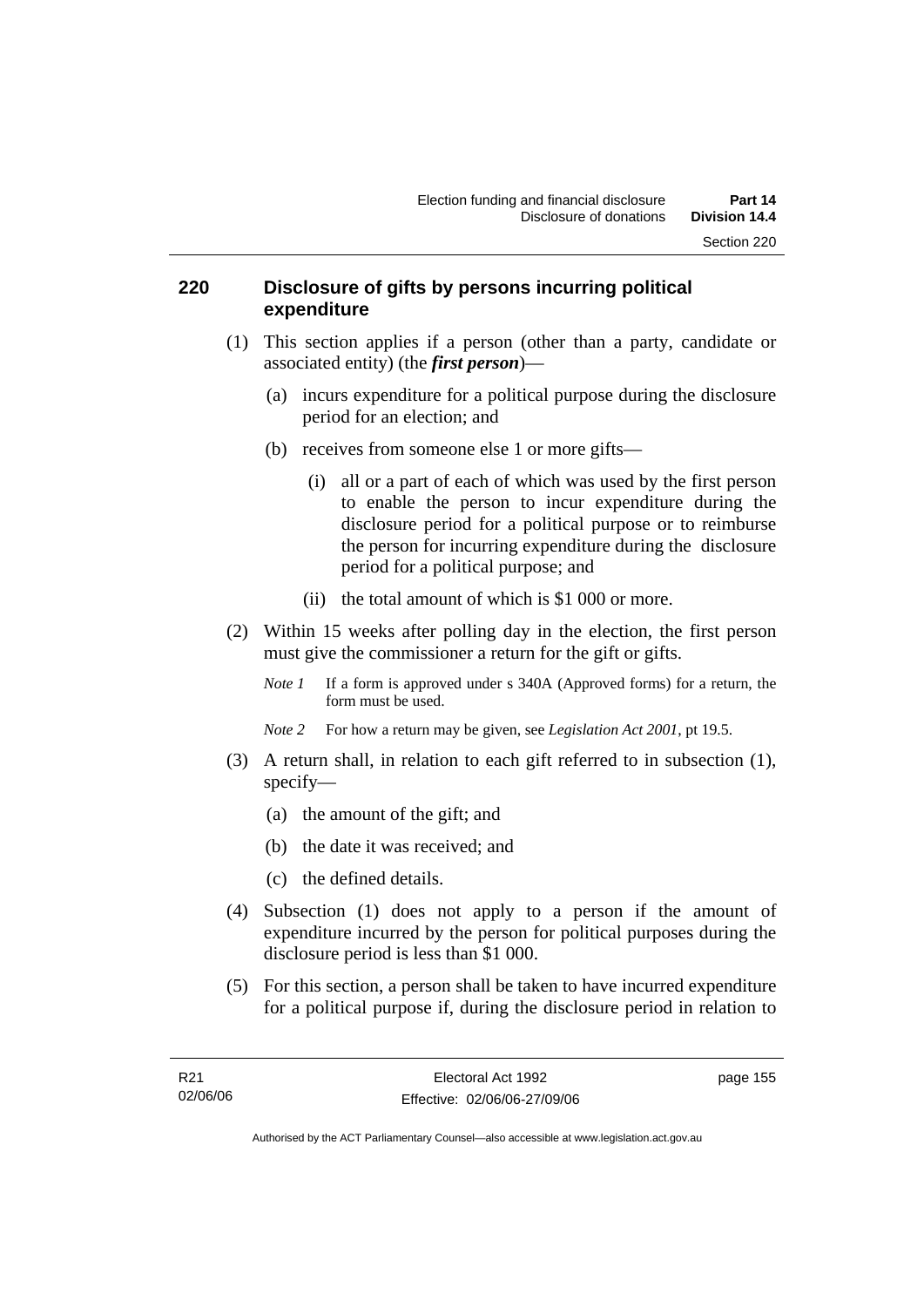## **220 Disclosure of gifts by persons incurring political expenditure**

- (1) This section applies if a person (other than a party, candidate or associated entity) (the *first person*)—
	- (a) incurs expenditure for a political purpose during the disclosure period for an election; and
	- (b) receives from someone else 1 or more gifts—
		- (i) all or a part of each of which was used by the first person to enable the person to incur expenditure during the disclosure period for a political purpose or to reimburse the person for incurring expenditure during the disclosure period for a political purpose; and
		- (ii) the total amount of which is \$1 000 or more.
- (2) Within 15 weeks after polling day in the election, the first person must give the commissioner a return for the gift or gifts.
	- *Note 1* If a form is approved under s 340A (Approved forms) for a return, the form must be used.
	- *Note 2* For how a return may be given, see *Legislation Act 2001*, pt 19.5.
- (3) A return shall, in relation to each gift referred to in subsection (1), specify—
	- (a) the amount of the gift; and
	- (b) the date it was received; and
	- (c) the defined details.
- (4) Subsection (1) does not apply to a person if the amount of expenditure incurred by the person for political purposes during the disclosure period is less than \$1 000.
- (5) For this section, a person shall be taken to have incurred expenditure for a political purpose if, during the disclosure period in relation to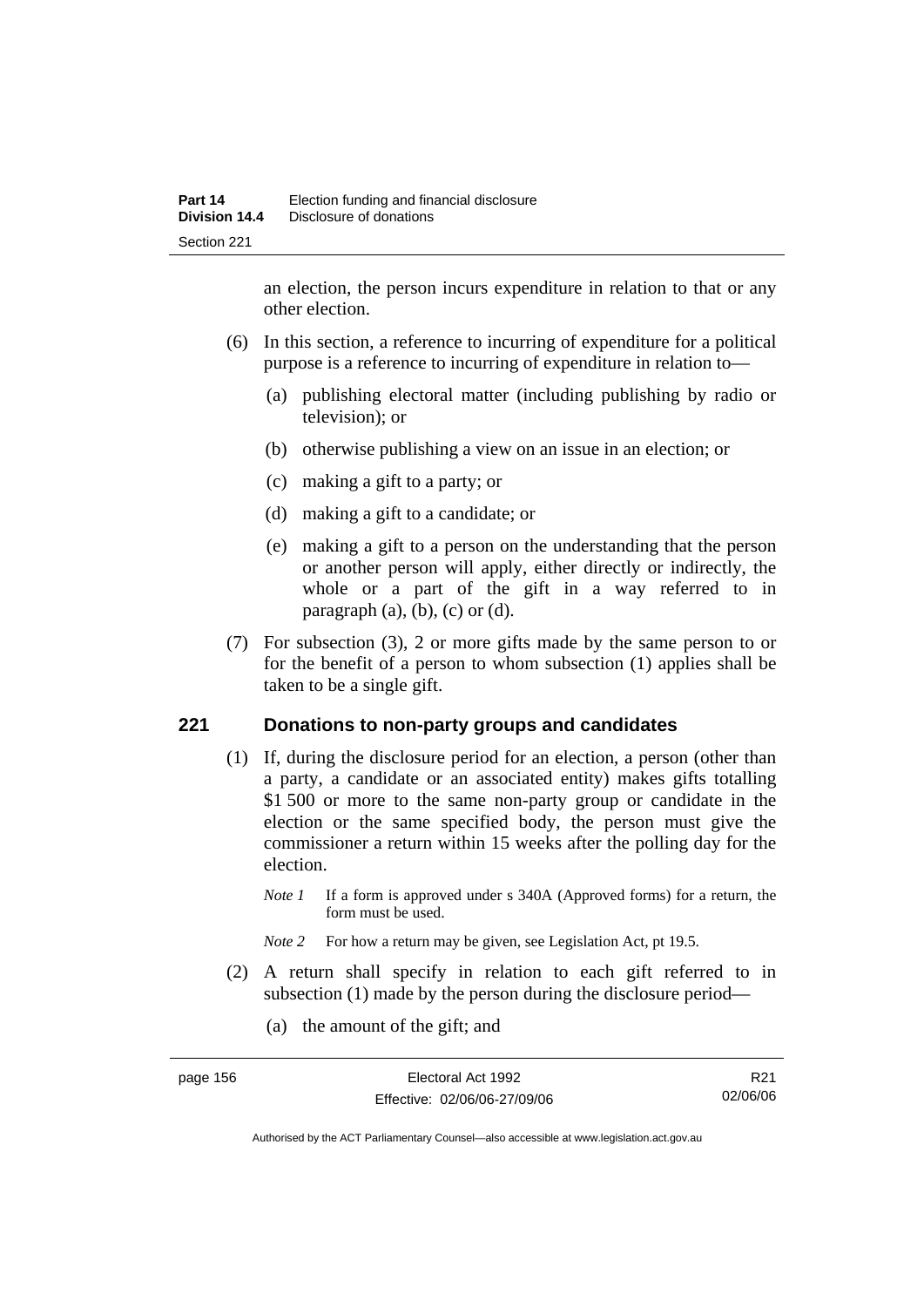an election, the person incurs expenditure in relation to that or any other election.

- (6) In this section, a reference to incurring of expenditure for a political purpose is a reference to incurring of expenditure in relation to—
	- (a) publishing electoral matter (including publishing by radio or television); or
	- (b) otherwise publishing a view on an issue in an election; or
	- (c) making a gift to a party; or
	- (d) making a gift to a candidate; or
	- (e) making a gift to a person on the understanding that the person or another person will apply, either directly or indirectly, the whole or a part of the gift in a way referred to in paragraph  $(a)$ ,  $(b)$ ,  $(c)$  or  $(d)$ .
- (7) For subsection (3), 2 or more gifts made by the same person to or for the benefit of a person to whom subsection (1) applies shall be taken to be a single gift.

## **221 Donations to non-party groups and candidates**

- (1) If, during the disclosure period for an election, a person (other than a party, a candidate or an associated entity) makes gifts totalling \$1 500 or more to the same non-party group or candidate in the election or the same specified body, the person must give the commissioner a return within 15 weeks after the polling day for the election.
	- *Note 1* If a form is approved under s 340A (Approved forms) for a return, the form must be used.
	- *Note* 2 For how a return may be given, see Legislation Act, pt 19.5.
- (2) A return shall specify in relation to each gift referred to in subsection (1) made by the person during the disclosure period—
	- (a) the amount of the gift; and

| page 156 | Electoral Act 1992           | R <sub>21</sub> |
|----------|------------------------------|-----------------|
|          | Effective: 02/06/06-27/09/06 | 02/06/06        |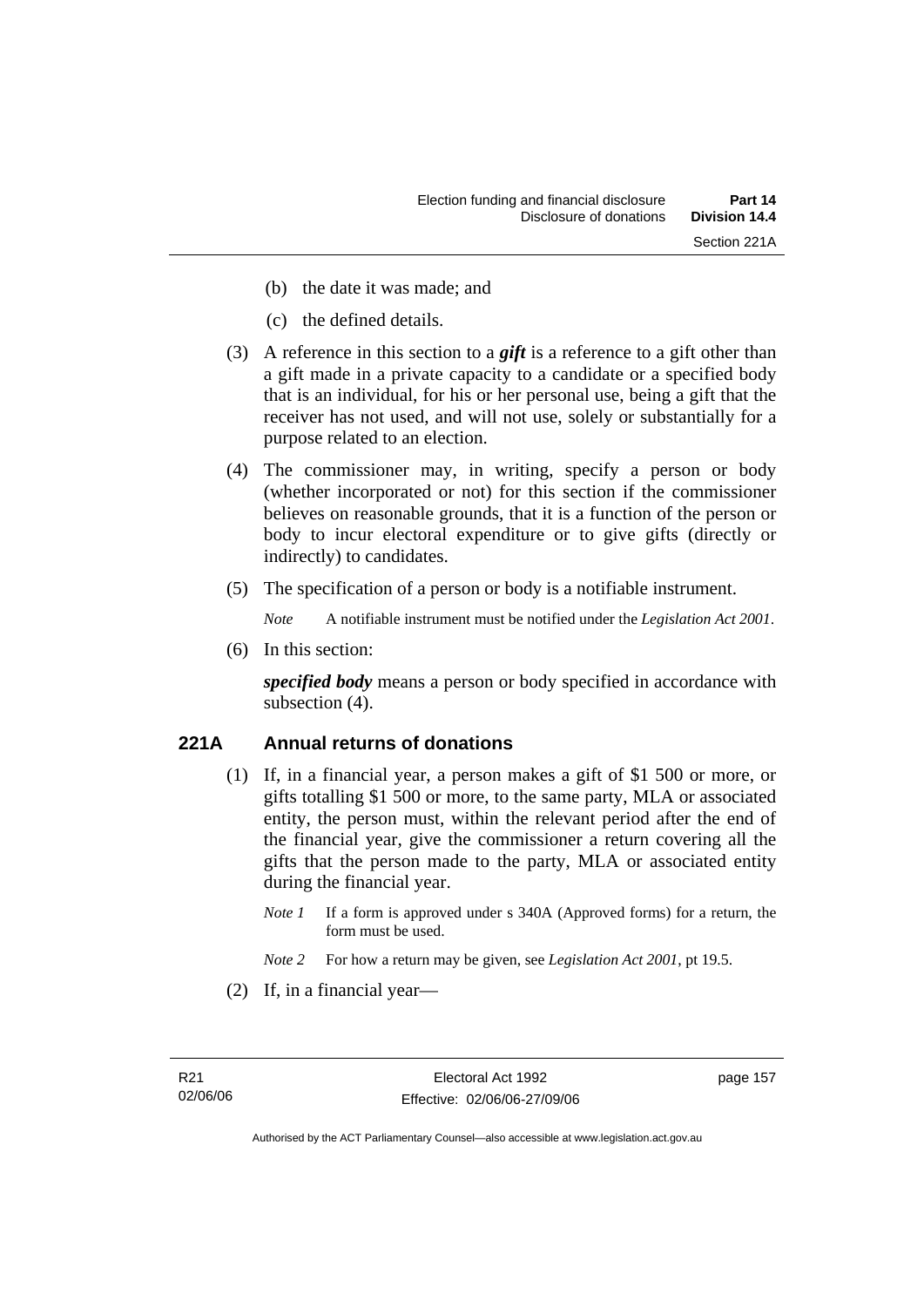- (b) the date it was made; and
- (c) the defined details.
- (3) A reference in this section to a *gift* is a reference to a gift other than a gift made in a private capacity to a candidate or a specified body that is an individual, for his or her personal use, being a gift that the receiver has not used, and will not use, solely or substantially for a purpose related to an election.
- (4) The commissioner may, in writing, specify a person or body (whether incorporated or not) for this section if the commissioner believes on reasonable grounds, that it is a function of the person or body to incur electoral expenditure or to give gifts (directly or indirectly) to candidates.
- (5) The specification of a person or body is a notifiable instrument.

*Note* A notifiable instrument must be notified under the *Legislation Act 2001*.

(6) In this section:

*specified body* means a person or body specified in accordance with subsection  $(4)$ .

# **221A Annual returns of donations**

- (1) If, in a financial year, a person makes a gift of \$1 500 or more, or gifts totalling \$1 500 or more, to the same party, MLA or associated entity, the person must, within the relevant period after the end of the financial year, give the commissioner a return covering all the gifts that the person made to the party, MLA or associated entity during the financial year.
	- *Note 1* If a form is approved under s 340A (Approved forms) for a return, the form must be used.
	- *Note 2* For how a return may be given, see *Legislation Act 2001*, pt 19.5.
- (2) If, in a financial year—

page 157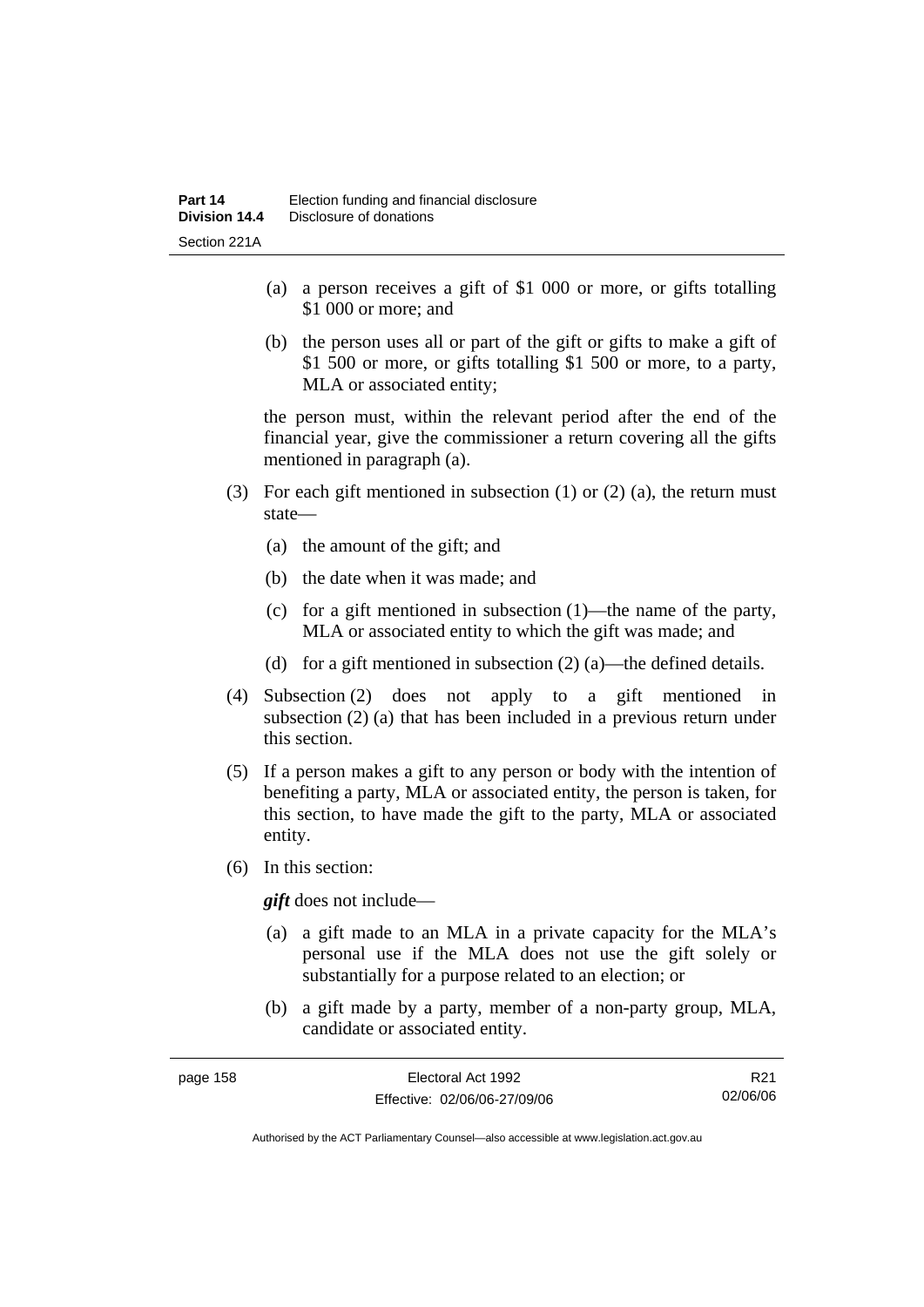- (a) a person receives a gift of \$1 000 or more, or gifts totalling \$1 000 or more; and
- (b) the person uses all or part of the gift or gifts to make a gift of \$1 500 or more, or gifts totalling \$1 500 or more, to a party, MLA or associated entity;

the person must, within the relevant period after the end of the financial year, give the commissioner a return covering all the gifts mentioned in paragraph (a).

- (3) For each gift mentioned in subsection (1) or (2) (a), the return must state—
	- (a) the amount of the gift; and
	- (b) the date when it was made; and
	- (c) for a gift mentioned in subsection (1)—the name of the party, MLA or associated entity to which the gift was made; and
	- (d) for a gift mentioned in subsection  $(2)$  (a)—the defined details.
- (4) Subsection (2) does not apply to a gift mentioned in subsection (2) (a) that has been included in a previous return under this section.
- (5) If a person makes a gift to any person or body with the intention of benefiting a party, MLA or associated entity, the person is taken, for this section, to have made the gift to the party, MLA or associated entity.
- (6) In this section:

*gift* does not include—

- (a) a gift made to an MLA in a private capacity for the MLA's personal use if the MLA does not use the gift solely or substantially for a purpose related to an election; or
- (b) a gift made by a party, member of a non-party group, MLA, candidate or associated entity.

| page 158 | Electoral Act 1992           | R <sub>21</sub> |
|----------|------------------------------|-----------------|
|          | Effective: 02/06/06-27/09/06 | 02/06/06        |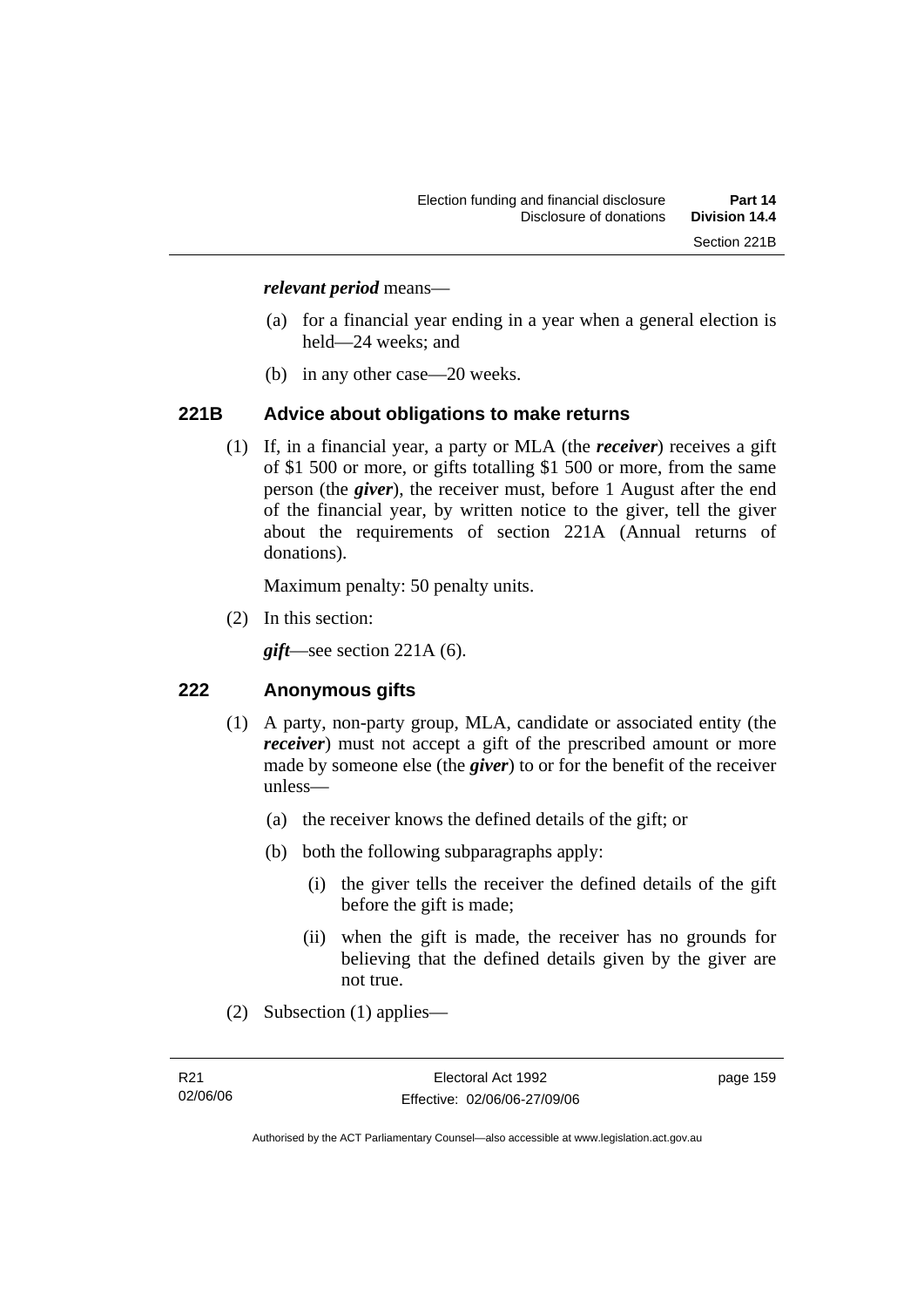#### *relevant period* means—

- (a) for a financial year ending in a year when a general election is held—24 weeks; and
- (b) in any other case—20 weeks.

## **221B Advice about obligations to make returns**

 (1) If, in a financial year, a party or MLA (the *receiver*) receives a gift of \$1 500 or more, or gifts totalling \$1 500 or more, from the same person (the *giver*), the receiver must, before 1 August after the end of the financial year, by written notice to the giver, tell the giver about the requirements of section 221A (Annual returns of donations).

Maximum penalty: 50 penalty units.

(2) In this section:

*gift*—see section 221A (6).

## **222 Anonymous gifts**

- (1) A party, non-party group, MLA, candidate or associated entity (the *receiver*) must not accept a gift of the prescribed amount or more made by someone else (the *giver*) to or for the benefit of the receiver unless—
	- (a) the receiver knows the defined details of the gift; or
	- (b) both the following subparagraphs apply:
		- (i) the giver tells the receiver the defined details of the gift before the gift is made;
		- (ii) when the gift is made, the receiver has no grounds for believing that the defined details given by the giver are not true.
- (2) Subsection (1) applies—

page 159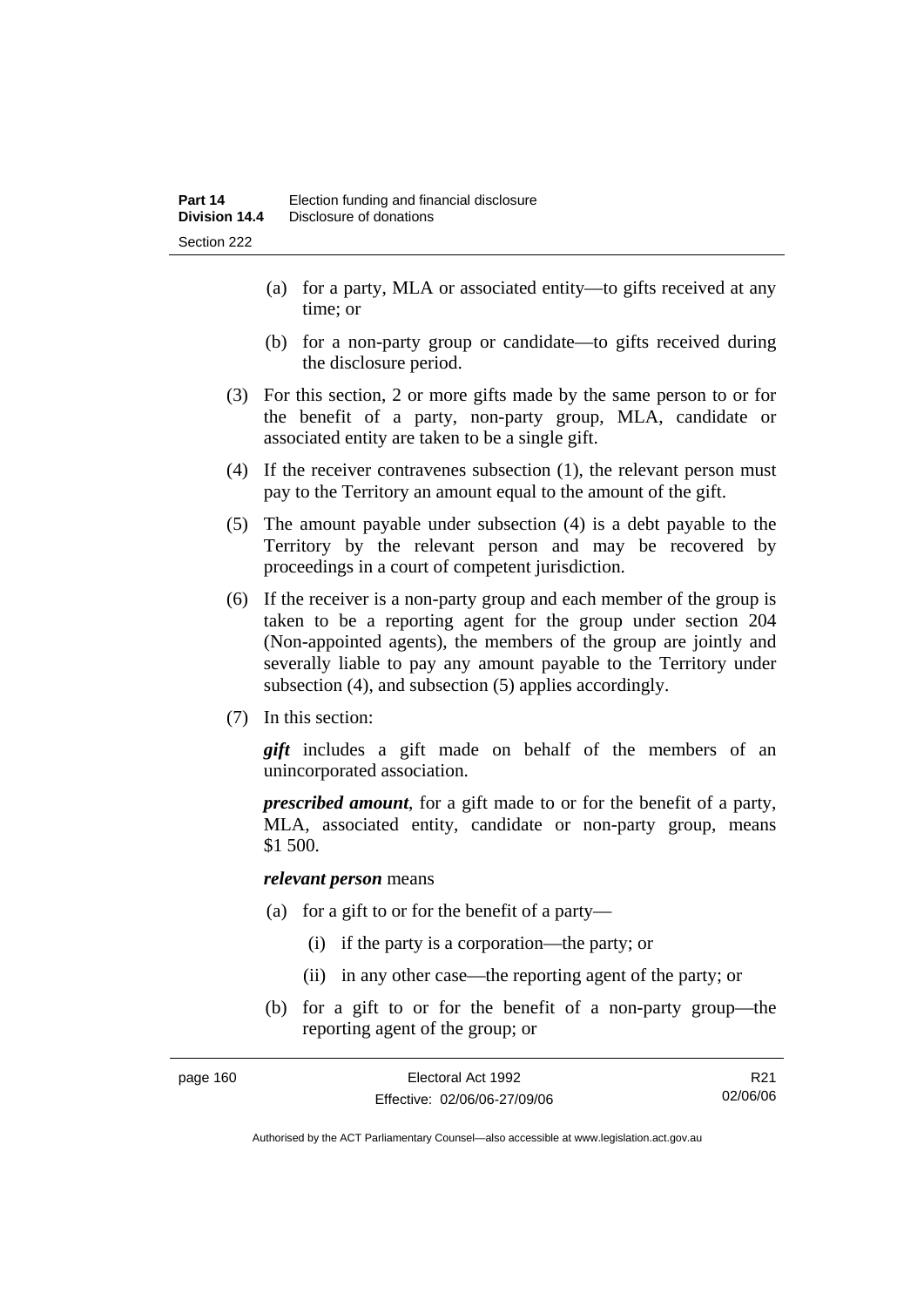- (a) for a party, MLA or associated entity—to gifts received at any time; or
- (b) for a non-party group or candidate—to gifts received during the disclosure period.
- (3) For this section, 2 or more gifts made by the same person to or for the benefit of a party, non-party group, MLA, candidate or associated entity are taken to be a single gift.
- (4) If the receiver contravenes subsection (1), the relevant person must pay to the Territory an amount equal to the amount of the gift.
- (5) The amount payable under subsection (4) is a debt payable to the Territory by the relevant person and may be recovered by proceedings in a court of competent jurisdiction.
- (6) If the receiver is a non-party group and each member of the group is taken to be a reporting agent for the group under section 204 (Non-appointed agents), the members of the group are jointly and severally liable to pay any amount payable to the Territory under subsection (4), and subsection (5) applies accordingly.
- (7) In this section:

*gift* includes a gift made on behalf of the members of an unincorporated association.

*prescribed amount*, for a gift made to or for the benefit of a party, MLA, associated entity, candidate or non-party group, means \$1 500.

#### *relevant person* means

- (a) for a gift to or for the benefit of a party—
	- (i) if the party is a corporation—the party; or
	- (ii) in any other case—the reporting agent of the party; or
- (b) for a gift to or for the benefit of a non-party group—the reporting agent of the group; or

| page 160 | Electoral Act 1992           | R <sub>21</sub> |
|----------|------------------------------|-----------------|
|          | Effective: 02/06/06-27/09/06 | 02/06/06        |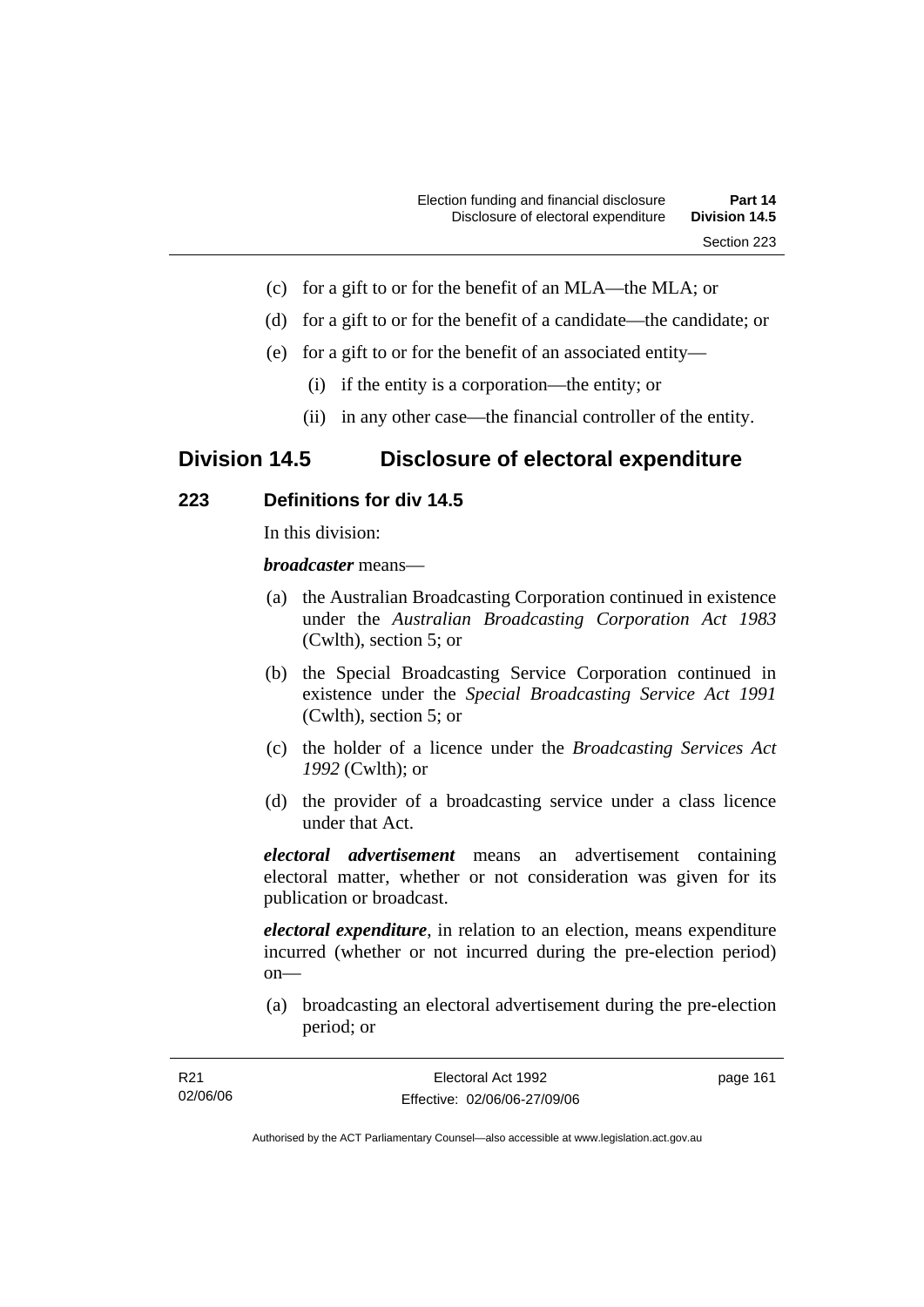- (c) for a gift to or for the benefit of an MLA—the MLA; or
- (d) for a gift to or for the benefit of a candidate—the candidate; or
- (e) for a gift to or for the benefit of an associated entity—
	- (i) if the entity is a corporation—the entity; or
	- (ii) in any other case—the financial controller of the entity.

# **Division 14.5 Disclosure of electoral expenditure**

# **223 Definitions for div 14.5**

In this division:

*broadcaster* means—

- (a) the Australian Broadcasting Corporation continued in existence under the *Australian Broadcasting Corporation Act 1983* (Cwlth), section 5; or
- (b) the Special Broadcasting Service Corporation continued in existence under the *Special Broadcasting Service Act 1991*  (Cwlth), section 5; or
- (c) the holder of a licence under the *Broadcasting Services Act 1992* (Cwlth); or
- (d) the provider of a broadcasting service under a class licence under that Act.

*electoral advertisement* means an advertisement containing electoral matter, whether or not consideration was given for its publication or broadcast.

*electoral expenditure*, in relation to an election, means expenditure incurred (whether or not incurred during the pre-election period) on—

 (a) broadcasting an electoral advertisement during the pre-election period; or

| R21      | Electoral Act 1992           | page 161 |
|----------|------------------------------|----------|
| 02/06/06 | Effective: 02/06/06-27/09/06 |          |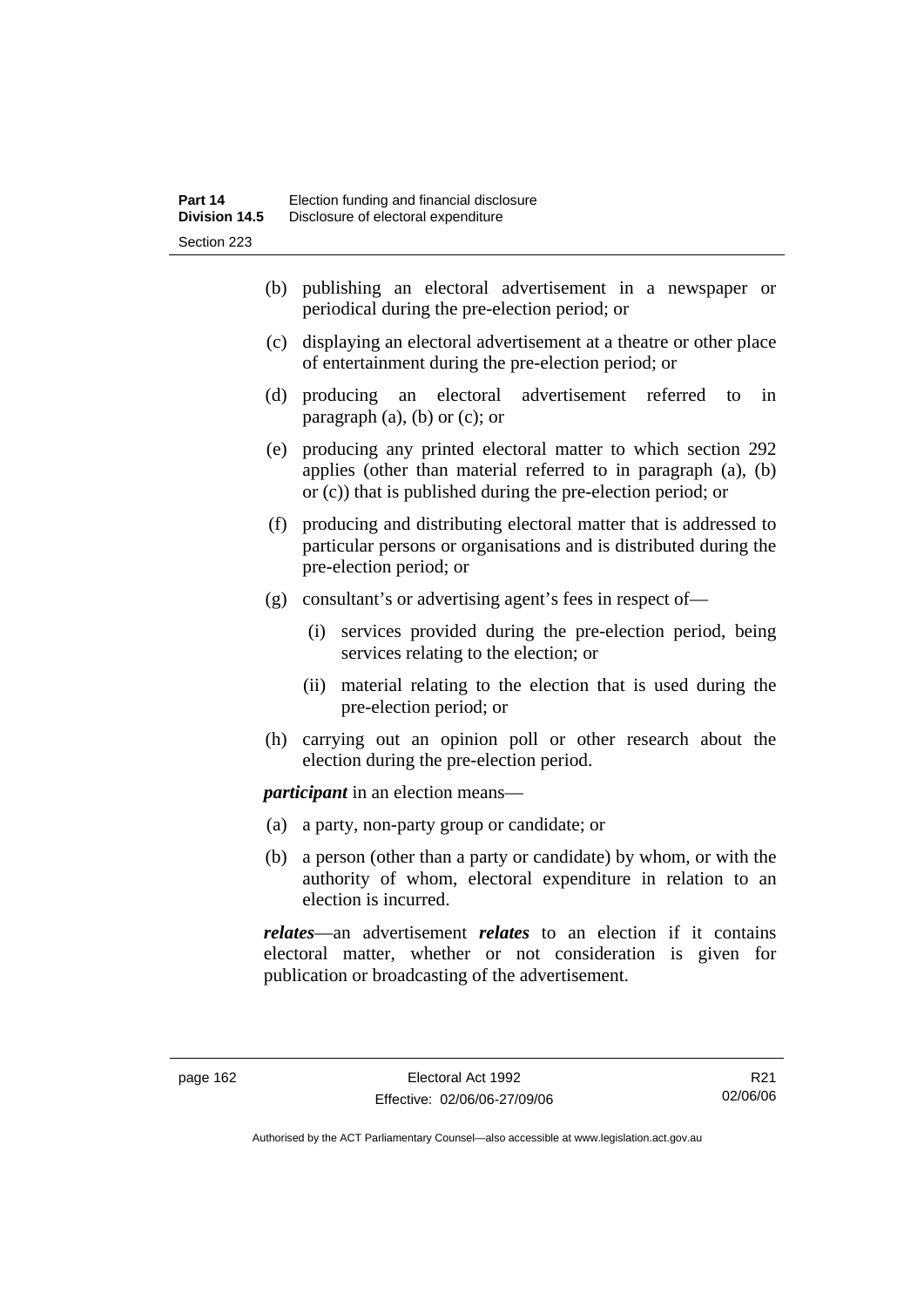- (b) publishing an electoral advertisement in a newspaper or periodical during the pre-election period; or
- (c) displaying an electoral advertisement at a theatre or other place of entertainment during the pre-election period; or
- (d) producing an electoral advertisement referred to in paragraph  $(a)$ ,  $(b)$  or  $(c)$ ; or
- (e) producing any printed electoral matter to which section 292 applies (other than material referred to in paragraph (a), (b) or (c)) that is published during the pre-election period; or
- (f) producing and distributing electoral matter that is addressed to particular persons or organisations and is distributed during the pre-election period; or
- (g) consultant's or advertising agent's fees in respect of—
	- (i) services provided during the pre-election period, being services relating to the election; or
	- (ii) material relating to the election that is used during the pre-election period; or
- (h) carrying out an opinion poll or other research about the election during the pre-election period.

*participant* in an election means—

- (a) a party, non-party group or candidate; or
- (b) a person (other than a party or candidate) by whom, or with the authority of whom, electoral expenditure in relation to an election is incurred.

*relates*—an advertisement *relates* to an election if it contains electoral matter, whether or not consideration is given for publication or broadcasting of the advertisement.

R21 02/06/06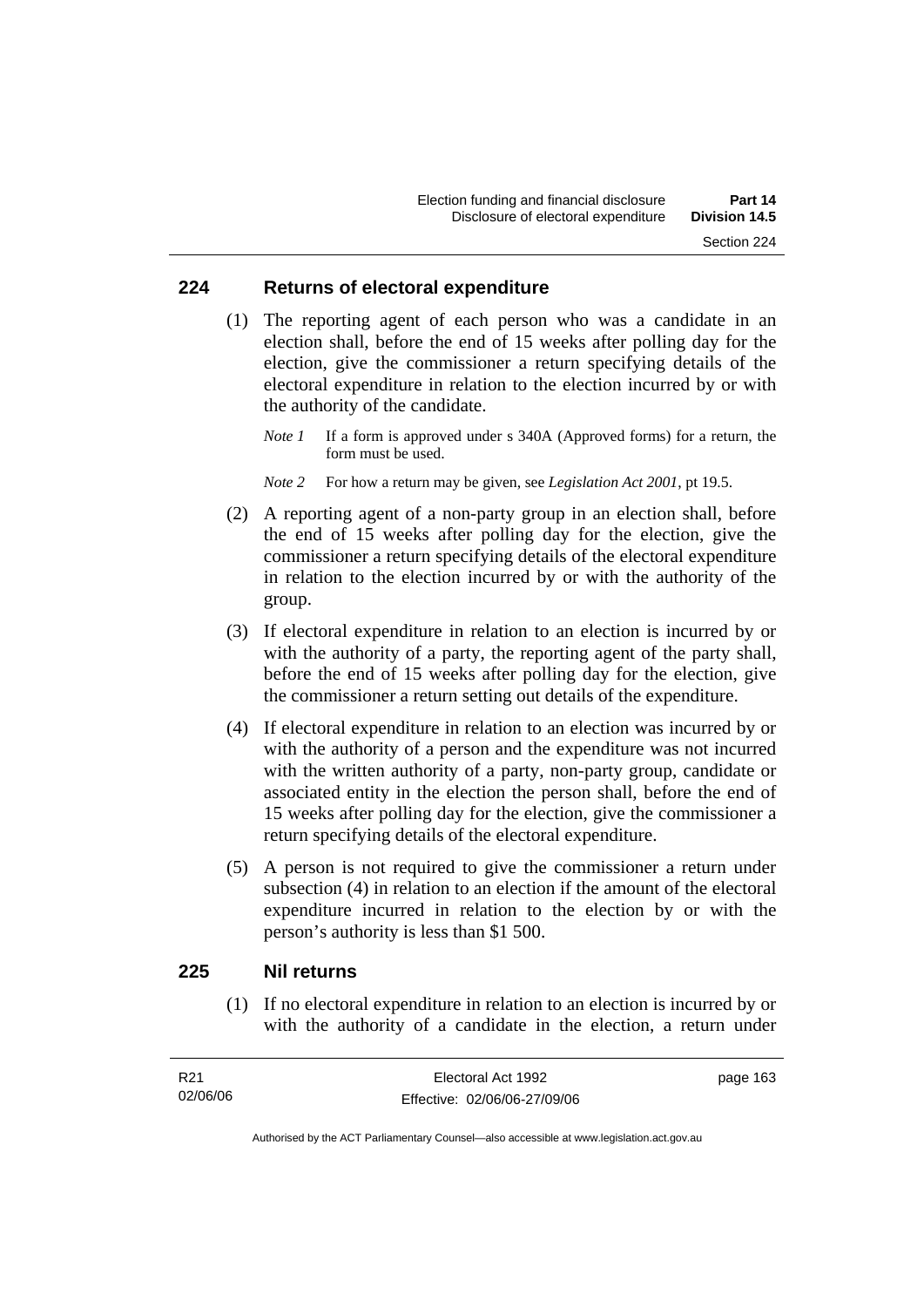#### **224 Returns of electoral expenditure**

 (1) The reporting agent of each person who was a candidate in an election shall, before the end of 15 weeks after polling day for the election, give the commissioner a return specifying details of the electoral expenditure in relation to the election incurred by or with the authority of the candidate.

*Note 1* If a form is approved under s 340A (Approved forms) for a return, the form must be used.

- *Note 2* For how a return may be given, see *Legislation Act 2001*, pt 19.5.
- (2) A reporting agent of a non-party group in an election shall, before the end of 15 weeks after polling day for the election, give the commissioner a return specifying details of the electoral expenditure in relation to the election incurred by or with the authority of the group.
- (3) If electoral expenditure in relation to an election is incurred by or with the authority of a party, the reporting agent of the party shall, before the end of 15 weeks after polling day for the election, give the commissioner a return setting out details of the expenditure.
- (4) If electoral expenditure in relation to an election was incurred by or with the authority of a person and the expenditure was not incurred with the written authority of a party, non-party group, candidate or associated entity in the election the person shall, before the end of 15 weeks after polling day for the election, give the commissioner a return specifying details of the electoral expenditure.
- (5) A person is not required to give the commissioner a return under subsection (4) in relation to an election if the amount of the electoral expenditure incurred in relation to the election by or with the person's authority is less than \$1 500.

#### **225 Nil returns**

 (1) If no electoral expenditure in relation to an election is incurred by or with the authority of a candidate in the election, a return under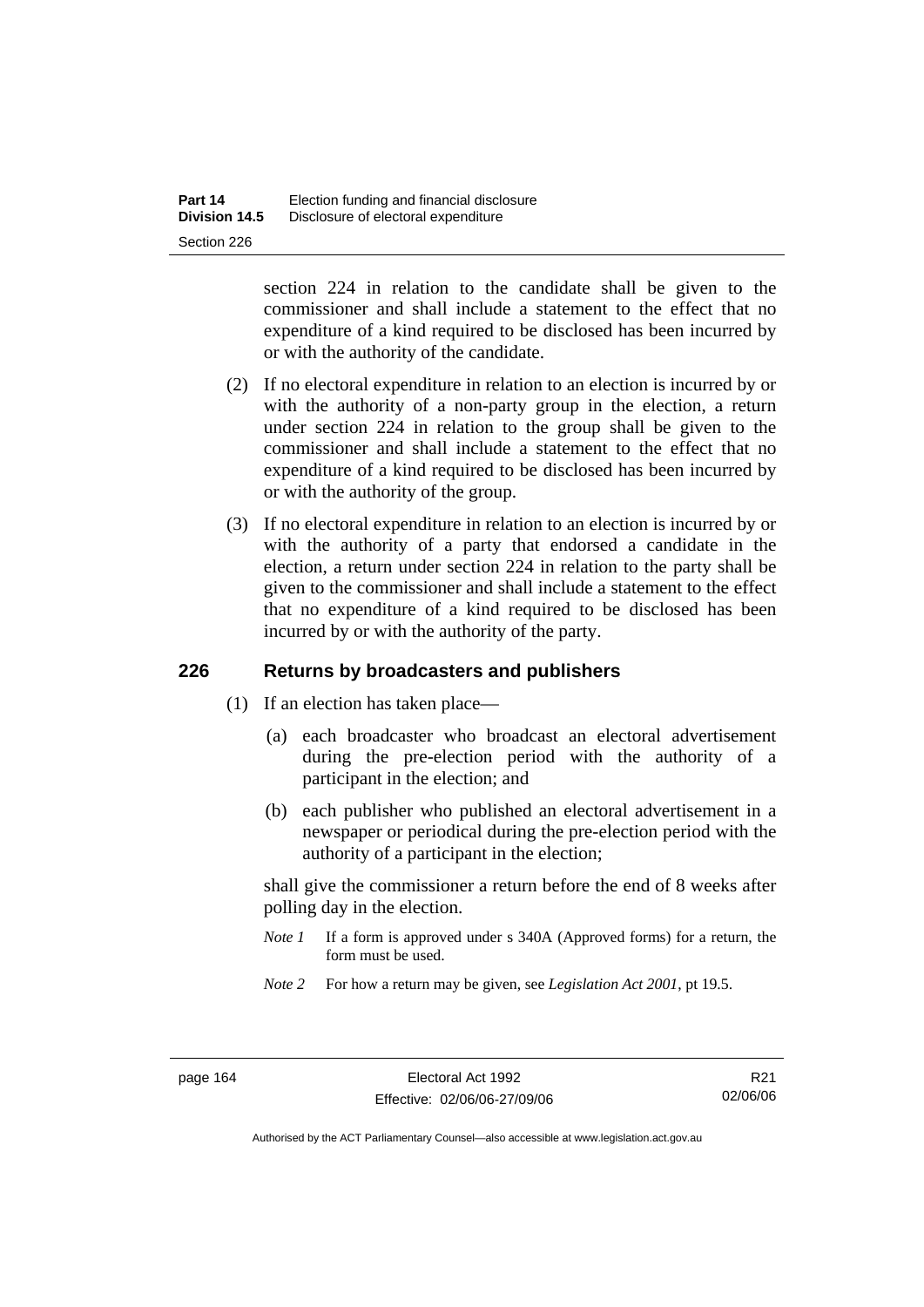section 224 in relation to the candidate shall be given to the commissioner and shall include a statement to the effect that no expenditure of a kind required to be disclosed has been incurred by or with the authority of the candidate.

- (2) If no electoral expenditure in relation to an election is incurred by or with the authority of a non-party group in the election, a return under section 224 in relation to the group shall be given to the commissioner and shall include a statement to the effect that no expenditure of a kind required to be disclosed has been incurred by or with the authority of the group.
- (3) If no electoral expenditure in relation to an election is incurred by or with the authority of a party that endorsed a candidate in the election, a return under section 224 in relation to the party shall be given to the commissioner and shall include a statement to the effect that no expenditure of a kind required to be disclosed has been incurred by or with the authority of the party.

## **226 Returns by broadcasters and publishers**

- (1) If an election has taken place—
	- (a) each broadcaster who broadcast an electoral advertisement during the pre-election period with the authority of a participant in the election; and
	- (b) each publisher who published an electoral advertisement in a newspaper or periodical during the pre-election period with the authority of a participant in the election;

shall give the commissioner a return before the end of 8 weeks after polling day in the election.

- *Note 1* If a form is approved under s 340A (Approved forms) for a return, the form must be used.
- *Note 2* For how a return may be given, see *Legislation Act 2001*, pt 19.5.

R21 02/06/06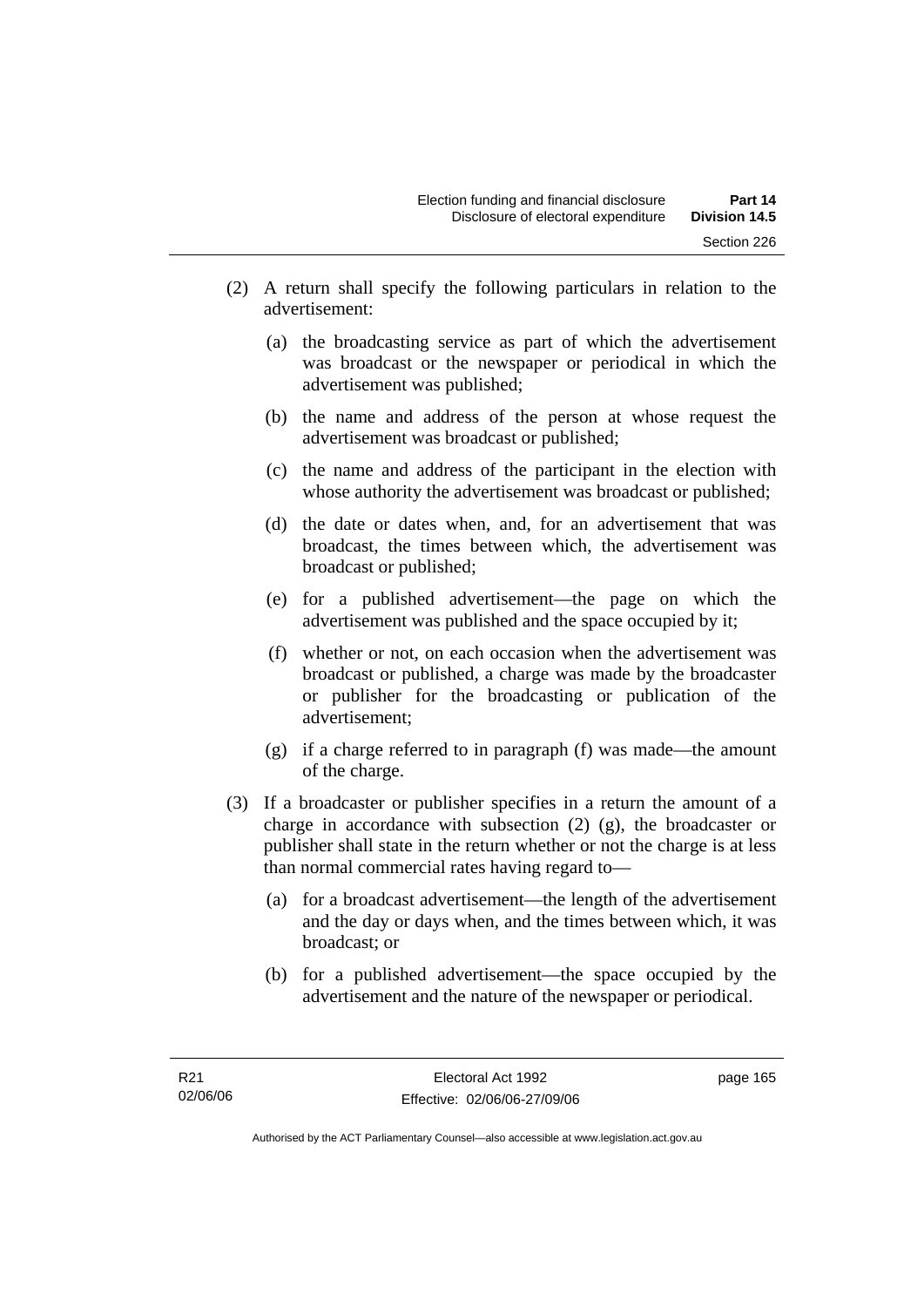- (2) A return shall specify the following particulars in relation to the advertisement:
	- (a) the broadcasting service as part of which the advertisement was broadcast or the newspaper or periodical in which the advertisement was published;
	- (b) the name and address of the person at whose request the advertisement was broadcast or published;
	- (c) the name and address of the participant in the election with whose authority the advertisement was broadcast or published;
	- (d) the date or dates when, and, for an advertisement that was broadcast, the times between which, the advertisement was broadcast or published;
	- (e) for a published advertisement—the page on which the advertisement was published and the space occupied by it;
	- (f) whether or not, on each occasion when the advertisement was broadcast or published, a charge was made by the broadcaster or publisher for the broadcasting or publication of the advertisement;
	- (g) if a charge referred to in paragraph (f) was made—the amount of the charge.
- (3) If a broadcaster or publisher specifies in a return the amount of a charge in accordance with subsection (2) (g), the broadcaster or publisher shall state in the return whether or not the charge is at less than normal commercial rates having regard to—
	- (a) for a broadcast advertisement—the length of the advertisement and the day or days when, and the times between which, it was broadcast; or
	- (b) for a published advertisement—the space occupied by the advertisement and the nature of the newspaper or periodical.

page 165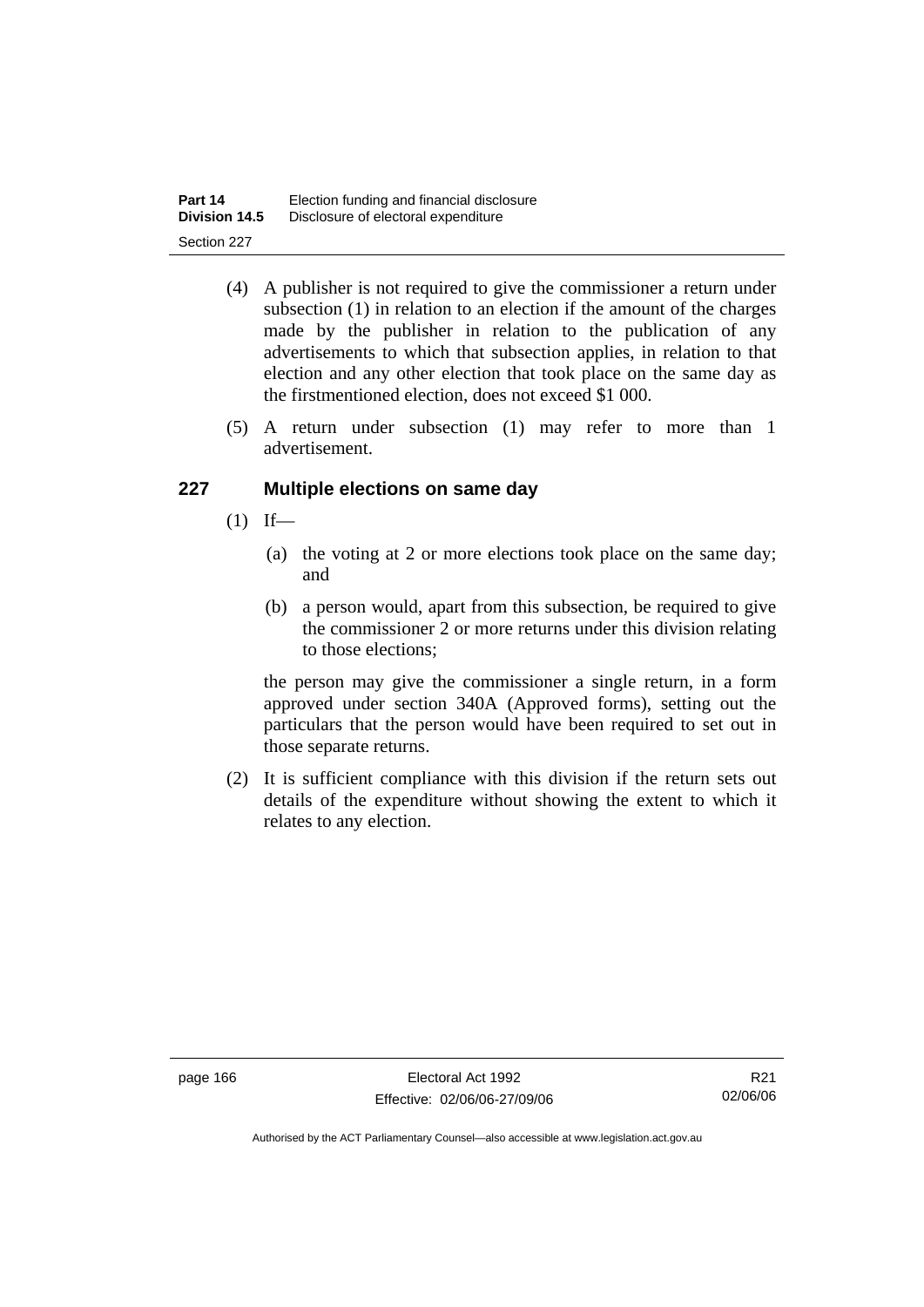| Part 14              | Election funding and financial disclosure |
|----------------------|-------------------------------------------|
| <b>Division 14.5</b> | Disclosure of electoral expenditure       |
| Section 227          |                                           |

- (4) A publisher is not required to give the commissioner a return under subsection (1) in relation to an election if the amount of the charges made by the publisher in relation to the publication of any advertisements to which that subsection applies, in relation to that election and any other election that took place on the same day as the firstmentioned election, does not exceed \$1 000.
- (5) A return under subsection (1) may refer to more than 1 advertisement.

# **227 Multiple elections on same day**

- $(1)$  If—
	- (a) the voting at 2 or more elections took place on the same day; and
	- (b) a person would, apart from this subsection, be required to give the commissioner 2 or more returns under this division relating to those elections;

the person may give the commissioner a single return, in a form approved under section 340A (Approved forms), setting out the particulars that the person would have been required to set out in those separate returns.

 (2) It is sufficient compliance with this division if the return sets out details of the expenditure without showing the extent to which it relates to any election.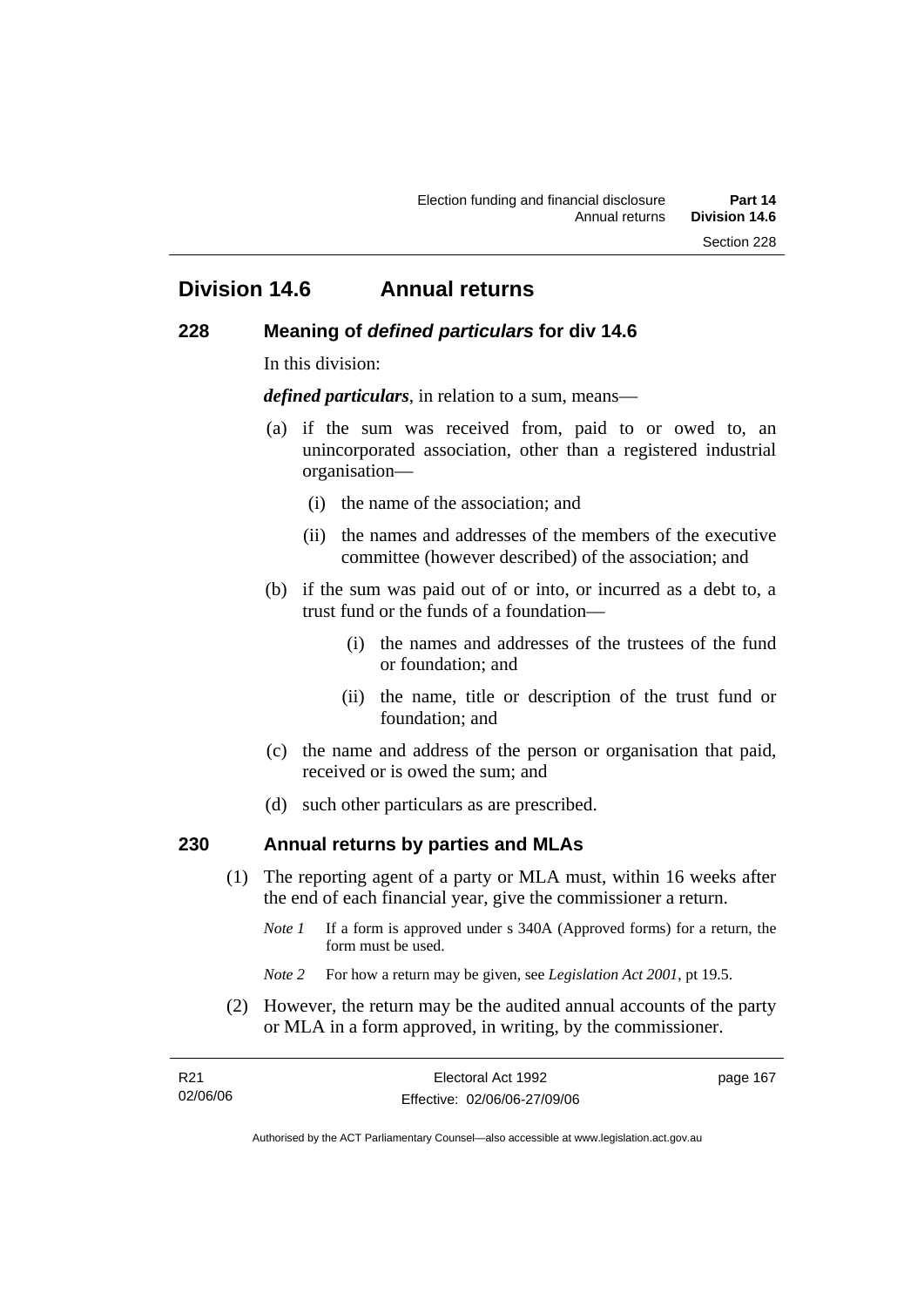# **Division 14.6 Annual returns**

#### **228 Meaning of** *defined particulars* **for div 14.6**

In this division:

*defined particulars*, in relation to a sum, means—

- (a) if the sum was received from, paid to or owed to, an unincorporated association, other than a registered industrial organisation—
	- (i) the name of the association; and
	- (ii) the names and addresses of the members of the executive committee (however described) of the association; and
- (b) if the sum was paid out of or into, or incurred as a debt to, a trust fund or the funds of a foundation—
	- (i) the names and addresses of the trustees of the fund or foundation; and
	- (ii) the name, title or description of the trust fund or foundation; and
- (c) the name and address of the person or organisation that paid, received or is owed the sum; and
- (d) such other particulars as are prescribed.

# **230 Annual returns by parties and MLAs**

- (1) The reporting agent of a party or MLA must, within 16 weeks after the end of each financial year, give the commissioner a return.
	- *Note 1* If a form is approved under s 340A (Approved forms) for a return, the form must be used.
	- *Note 2* For how a return may be given, see *Legislation Act 2001*, pt 19.5.
- (2) However, the return may be the audited annual accounts of the party or MLA in a form approved, in writing, by the commissioner.

| R21      | Electoral Act 1992           | page 167 |
|----------|------------------------------|----------|
| 02/06/06 | Effective: 02/06/06-27/09/06 |          |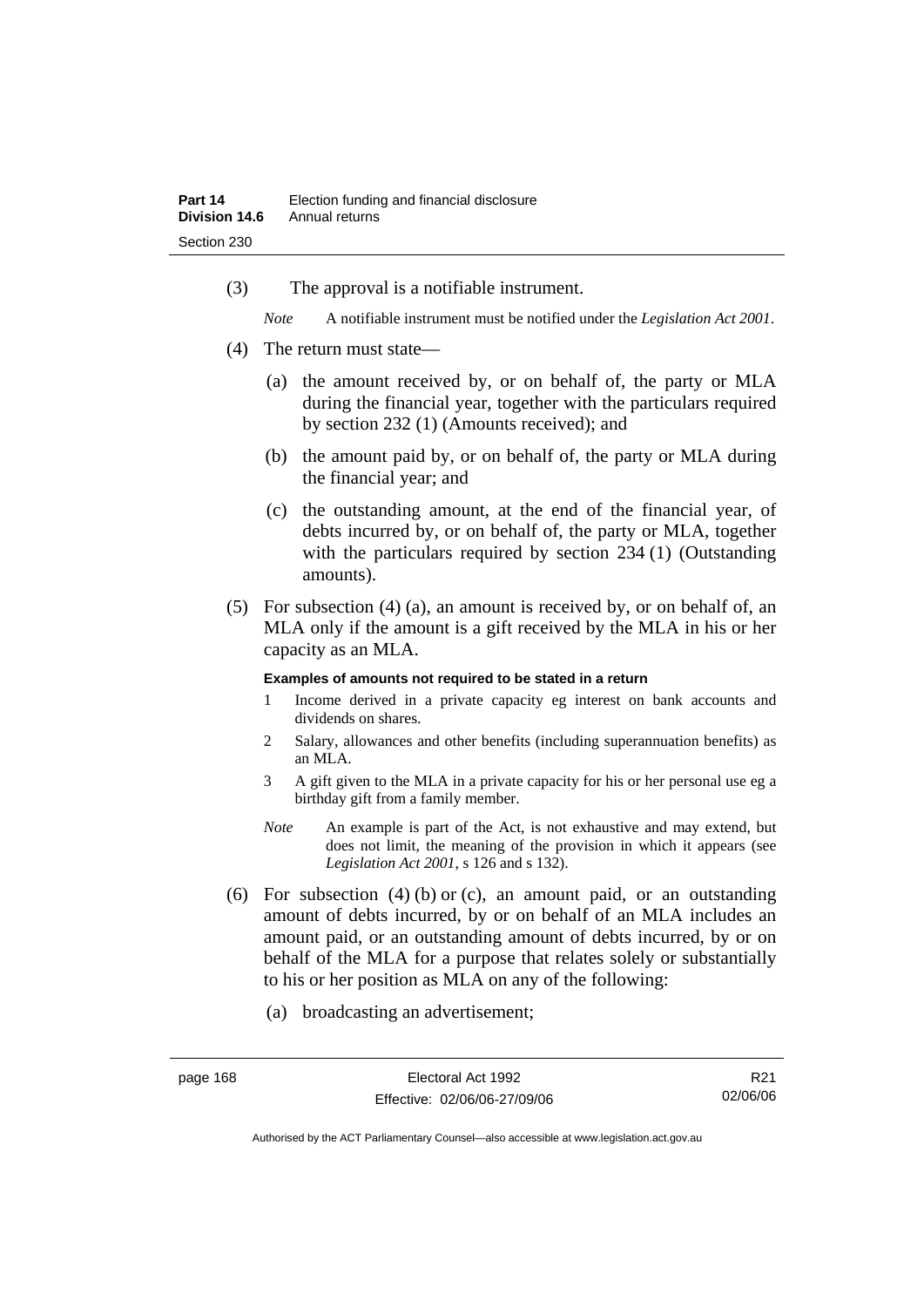(3) The approval is a notifiable instrument.

*Note* A notifiable instrument must be notified under the *Legislation Act 2001*.

- (4) The return must state—
	- (a) the amount received by, or on behalf of, the party or MLA during the financial year, together with the particulars required by section 232 (1) (Amounts received); and
	- (b) the amount paid by, or on behalf of, the party or MLA during the financial year; and
	- (c) the outstanding amount, at the end of the financial year, of debts incurred by, or on behalf of, the party or MLA, together with the particulars required by section 234 (1) (Outstanding amounts).
- (5) For subsection (4) (a), an amount is received by, or on behalf of, an MLA only if the amount is a gift received by the MLA in his or her capacity as an MLA.

#### **Examples of amounts not required to be stated in a return**

- 1 Income derived in a private capacity eg interest on bank accounts and dividends on shares.
- 2 Salary, allowances and other benefits (including superannuation benefits) as an MLA.
- 3 A gift given to the MLA in a private capacity for his or her personal use eg a birthday gift from a family member.
- *Note* An example is part of the Act, is not exhaustive and may extend, but does not limit, the meaning of the provision in which it appears (see *Legislation Act 2001*, s 126 and s 132).
- (6) For subsection  $(4)$  (b) or (c), an amount paid, or an outstanding amount of debts incurred, by or on behalf of an MLA includes an amount paid, or an outstanding amount of debts incurred, by or on behalf of the MLA for a purpose that relates solely or substantially to his or her position as MLA on any of the following:
	- (a) broadcasting an advertisement;

R21 02/06/06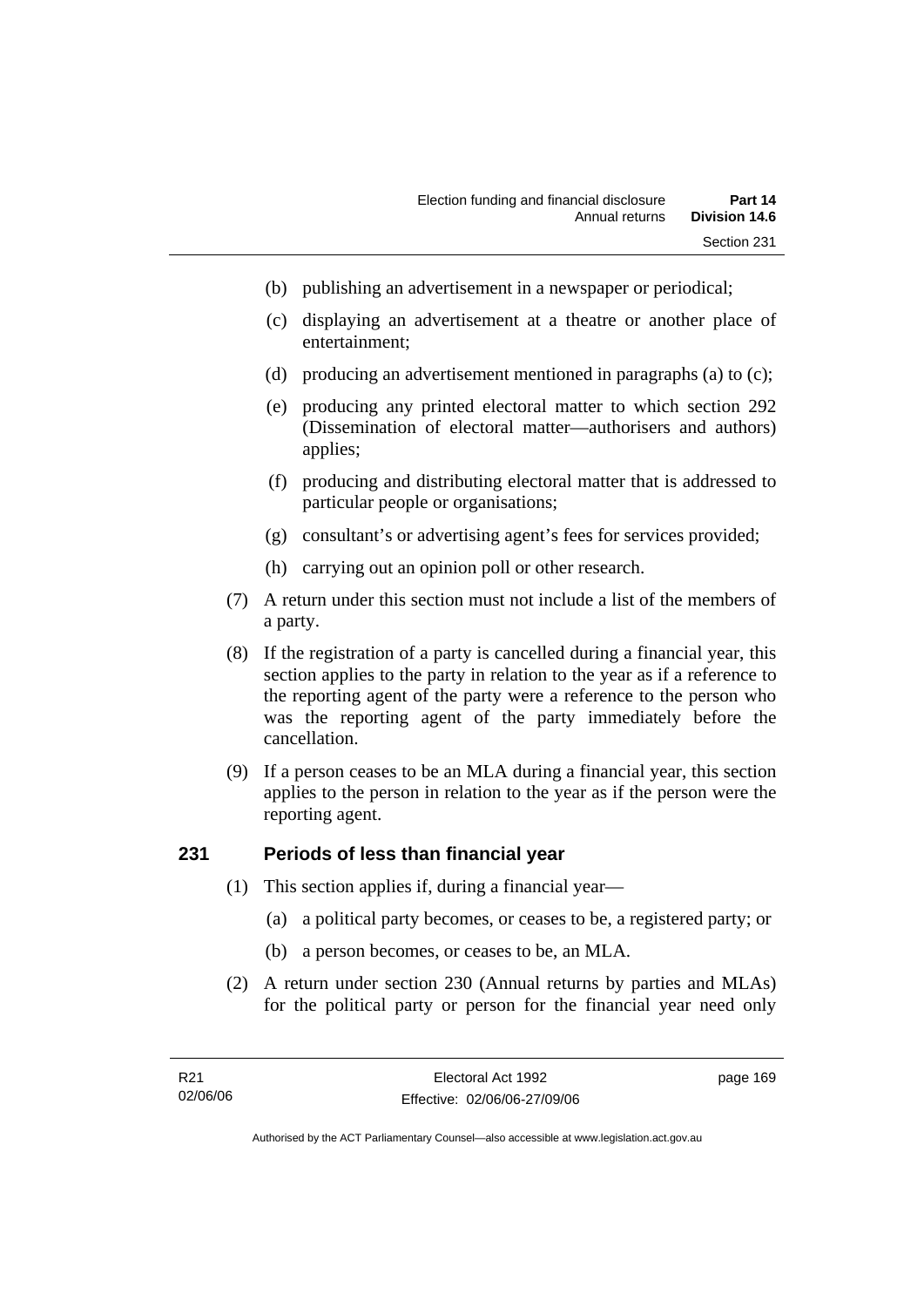- (b) publishing an advertisement in a newspaper or periodical;
- (c) displaying an advertisement at a theatre or another place of entertainment;
- (d) producing an advertisement mentioned in paragraphs (a) to (c);
- (e) producing any printed electoral matter to which section 292 (Dissemination of electoral matter—authorisers and authors) applies;
- (f) producing and distributing electoral matter that is addressed to particular people or organisations;
- (g) consultant's or advertising agent's fees for services provided;
- (h) carrying out an opinion poll or other research.
- (7) A return under this section must not include a list of the members of a party.
- (8) If the registration of a party is cancelled during a financial year, this section applies to the party in relation to the year as if a reference to the reporting agent of the party were a reference to the person who was the reporting agent of the party immediately before the cancellation.
- (9) If a person ceases to be an MLA during a financial year, this section applies to the person in relation to the year as if the person were the reporting agent.

# **231 Periods of less than financial year**

- (1) This section applies if, during a financial year—
	- (a) a political party becomes, or ceases to be, a registered party; or
	- (b) a person becomes, or ceases to be, an MLA.
- (2) A return under section 230 (Annual returns by parties and MLAs) for the political party or person for the financial year need only

page 169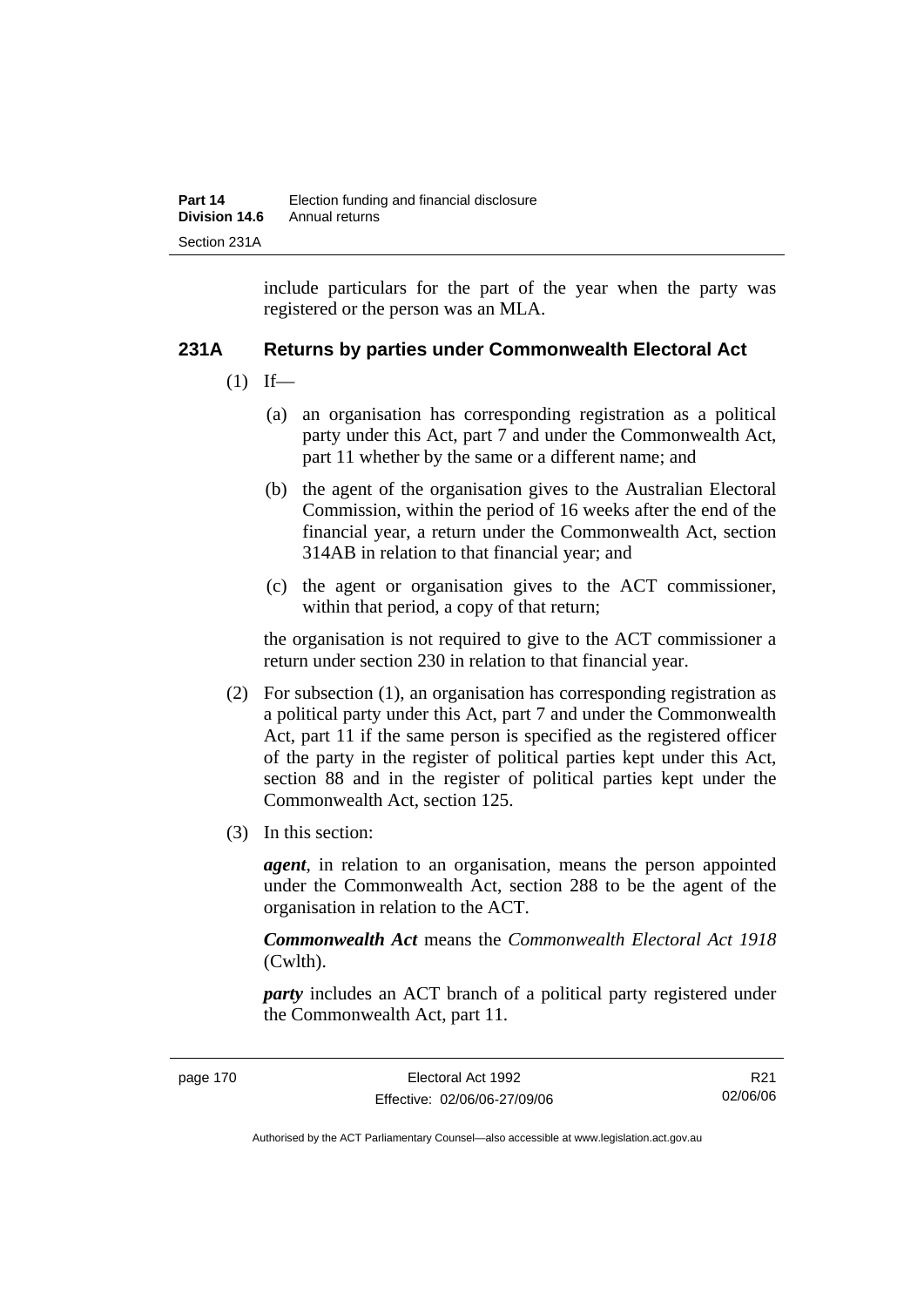include particulars for the part of the year when the party was registered or the person was an MLA.

# **231A Returns by parties under Commonwealth Electoral Act**

- $(1)$  If—
	- (a) an organisation has corresponding registration as a political party under this Act, part 7 and under the Commonwealth Act, part 11 whether by the same or a different name; and
	- (b) the agent of the organisation gives to the Australian Electoral Commission, within the period of 16 weeks after the end of the financial year, a return under the Commonwealth Act, section 314AB in relation to that financial year; and
	- (c) the agent or organisation gives to the ACT commissioner, within that period, a copy of that return;

the organisation is not required to give to the ACT commissioner a return under section 230 in relation to that financial year.

- (2) For subsection (1), an organisation has corresponding registration as a political party under this Act, part 7 and under the Commonwealth Act, part 11 if the same person is specified as the registered officer of the party in the register of political parties kept under this Act, section 88 and in the register of political parties kept under the Commonwealth Act, section 125.
- (3) In this section:

*agent*, in relation to an organisation, means the person appointed under the Commonwealth Act, section 288 to be the agent of the organisation in relation to the ACT.

*Commonwealth Act* means the *Commonwealth Electoral Act 1918* (Cwlth).

*party* includes an ACT branch of a political party registered under the Commonwealth Act, part 11.

R21 02/06/06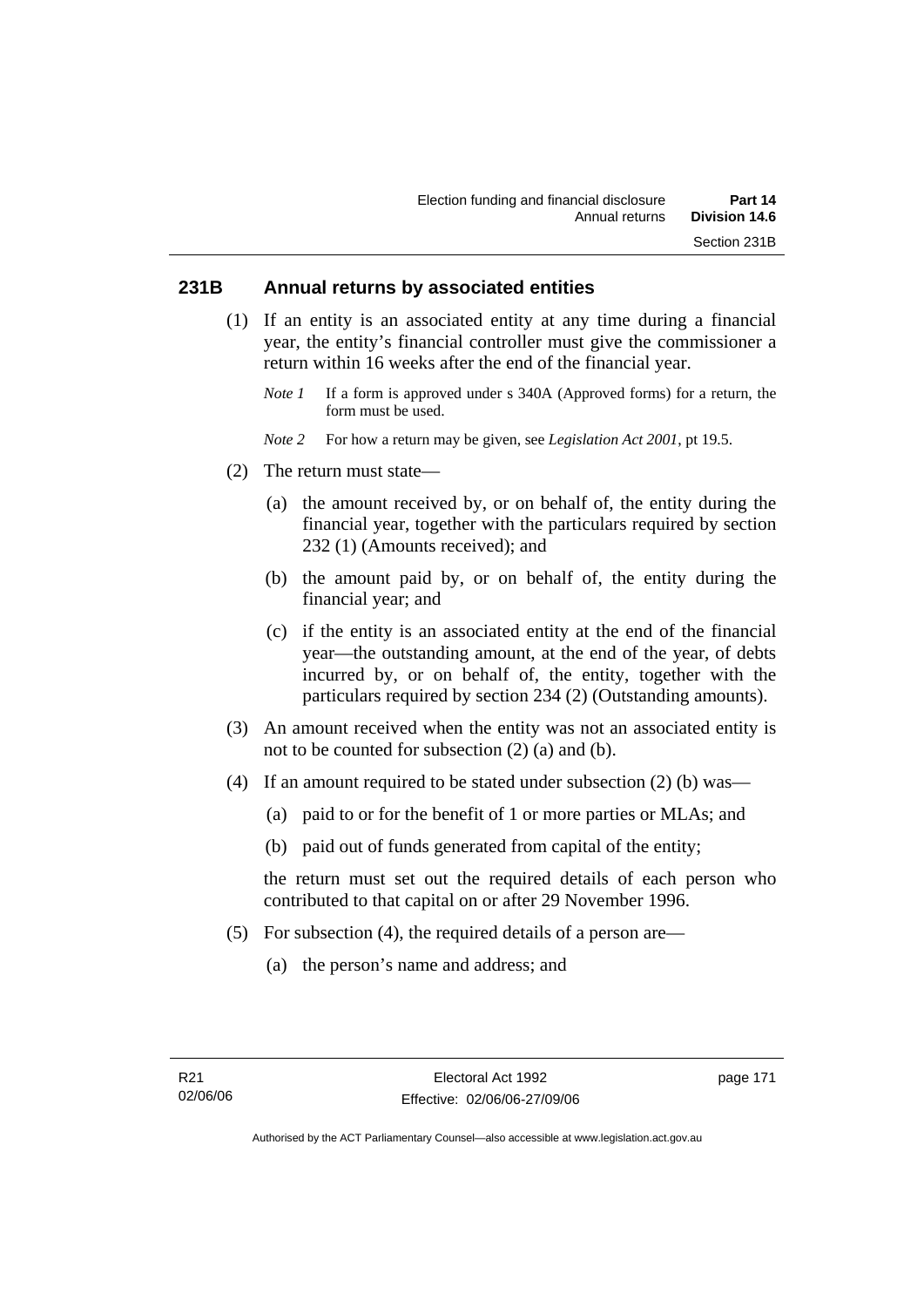# **231B Annual returns by associated entities**

- (1) If an entity is an associated entity at any time during a financial year, the entity's financial controller must give the commissioner a return within 16 weeks after the end of the financial year.
	- *Note 1* If a form is approved under s 340A (Approved forms) for a return, the form must be used.
	- *Note 2* For how a return may be given, see *Legislation Act 2001*, pt 19.5.
- (2) The return must state—
	- (a) the amount received by, or on behalf of, the entity during the financial year, together with the particulars required by section 232 (1) (Amounts received); and
	- (b) the amount paid by, or on behalf of, the entity during the financial year; and
	- (c) if the entity is an associated entity at the end of the financial year—the outstanding amount, at the end of the year, of debts incurred by, or on behalf of, the entity, together with the particulars required by section 234 (2) (Outstanding amounts).
- (3) An amount received when the entity was not an associated entity is not to be counted for subsection (2) (a) and (b).
- (4) If an amount required to be stated under subsection (2) (b) was—
	- (a) paid to or for the benefit of 1 or more parties or MLAs; and
	- (b) paid out of funds generated from capital of the entity;

the return must set out the required details of each person who contributed to that capital on or after 29 November 1996.

- (5) For subsection (4), the required details of a person are—
	- (a) the person's name and address; and

page 171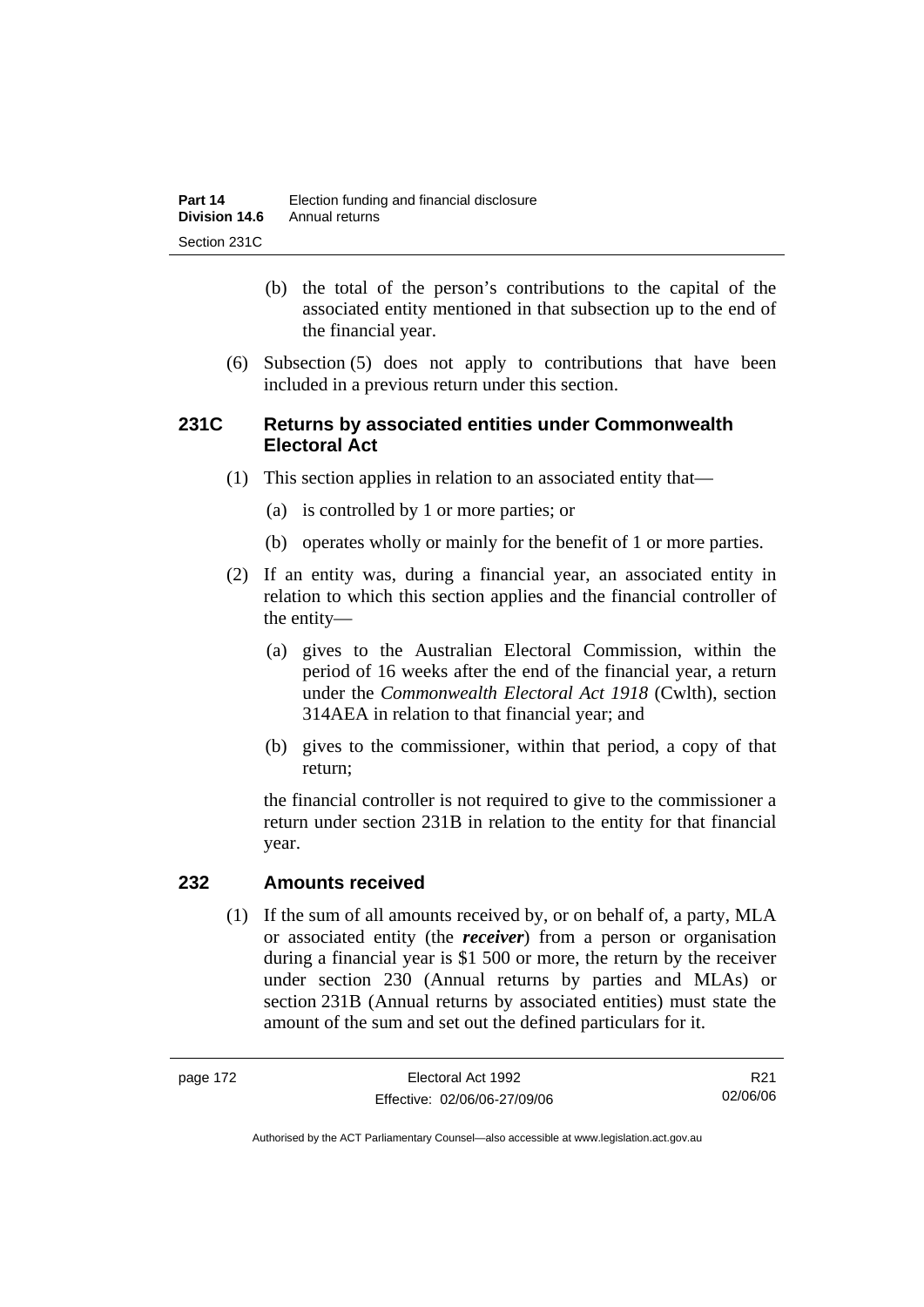- (b) the total of the person's contributions to the capital of the associated entity mentioned in that subsection up to the end of the financial year.
- (6) Subsection (5) does not apply to contributions that have been included in a previous return under this section.

# **231C Returns by associated entities under Commonwealth Electoral Act**

- (1) This section applies in relation to an associated entity that—
	- (a) is controlled by 1 or more parties; or
	- (b) operates wholly or mainly for the benefit of 1 or more parties.
- (2) If an entity was, during a financial year, an associated entity in relation to which this section applies and the financial controller of the entity—
	- (a) gives to the Australian Electoral Commission, within the period of 16 weeks after the end of the financial year, a return under the *Commonwealth Electoral Act 1918* (Cwlth), section 314AEA in relation to that financial year; and
	- (b) gives to the commissioner, within that period, a copy of that return;

the financial controller is not required to give to the commissioner a return under section 231B in relation to the entity for that financial year.

## **232 Amounts received**

 (1) If the sum of all amounts received by, or on behalf of, a party, MLA or associated entity (the *receiver*) from a person or organisation during a financial year is \$1 500 or more, the return by the receiver under section 230 (Annual returns by parties and MLAs) or section 231B (Annual returns by associated entities) must state the amount of the sum and set out the defined particulars for it.

R21 02/06/06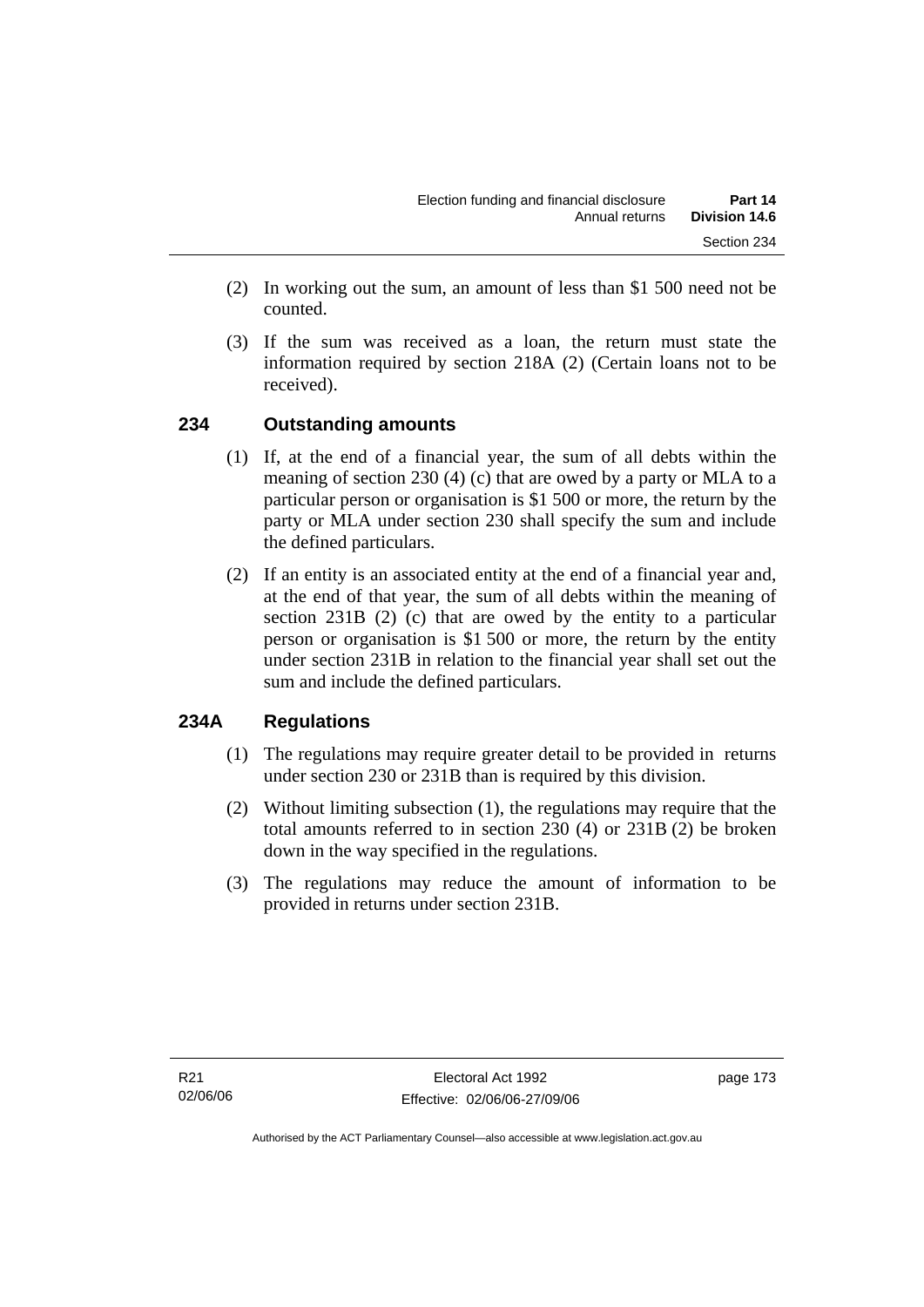- (2) In working out the sum, an amount of less than \$1 500 need not be counted.
- (3) If the sum was received as a loan, the return must state the information required by section 218A (2) (Certain loans not to be received).

# **234 Outstanding amounts**

- (1) If, at the end of a financial year, the sum of all debts within the meaning of section 230 (4) (c) that are owed by a party or MLA to a particular person or organisation is \$1 500 or more, the return by the party or MLA under section 230 shall specify the sum and include the defined particulars.
- (2) If an entity is an associated entity at the end of a financial year and, at the end of that year, the sum of all debts within the meaning of section 231B (2) (c) that are owed by the entity to a particular person or organisation is \$1 500 or more, the return by the entity under section 231B in relation to the financial year shall set out the sum and include the defined particulars.

# **234A Regulations**

- (1) The regulations may require greater detail to be provided in returns under section 230 or 231B than is required by this division.
- (2) Without limiting subsection (1), the regulations may require that the total amounts referred to in section 230 (4) or 231B (2) be broken down in the way specified in the regulations.
- (3) The regulations may reduce the amount of information to be provided in returns under section 231B.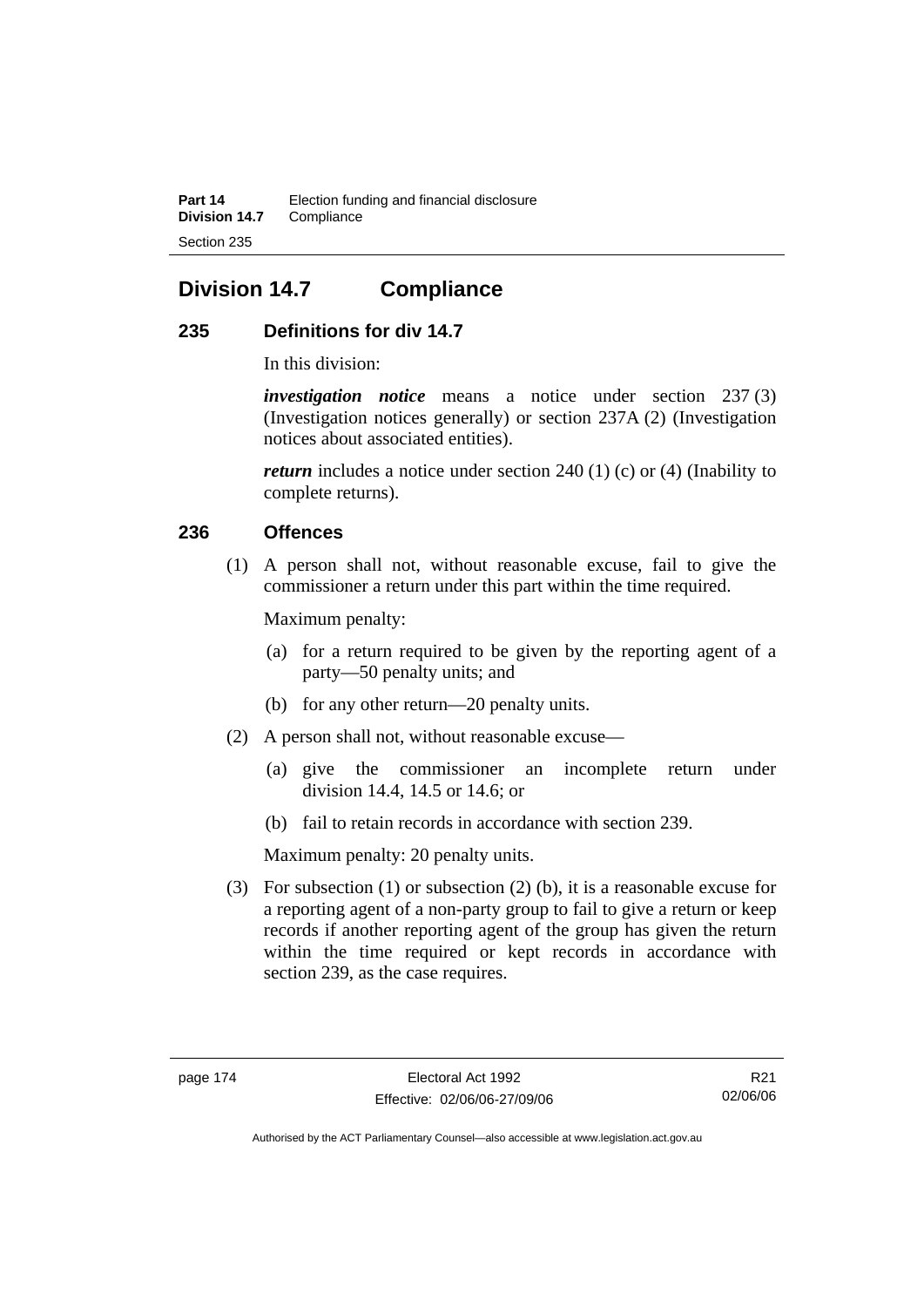# **Division 14.7 Compliance**

# **235 Definitions for div 14.7**

In this division:

*investigation notice* means a notice under section 237 (3) (Investigation notices generally) or section 237A (2) (Investigation notices about associated entities).

*return* includes a notice under section 240 (1) (c) or (4) (Inability to complete returns).

# **236 Offences**

 (1) A person shall not, without reasonable excuse, fail to give the commissioner a return under this part within the time required.

Maximum penalty:

- (a) for a return required to be given by the reporting agent of a party—50 penalty units; and
- (b) for any other return—20 penalty units.
- (2) A person shall not, without reasonable excuse—
	- (a) give the commissioner an incomplete return under division 14.4, 14.5 or 14.6; or
	- (b) fail to retain records in accordance with section 239.

Maximum penalty: 20 penalty units.

 (3) For subsection (1) or subsection (2) (b), it is a reasonable excuse for a reporting agent of a non-party group to fail to give a return or keep records if another reporting agent of the group has given the return within the time required or kept records in accordance with section 239, as the case requires.

R21 02/06/06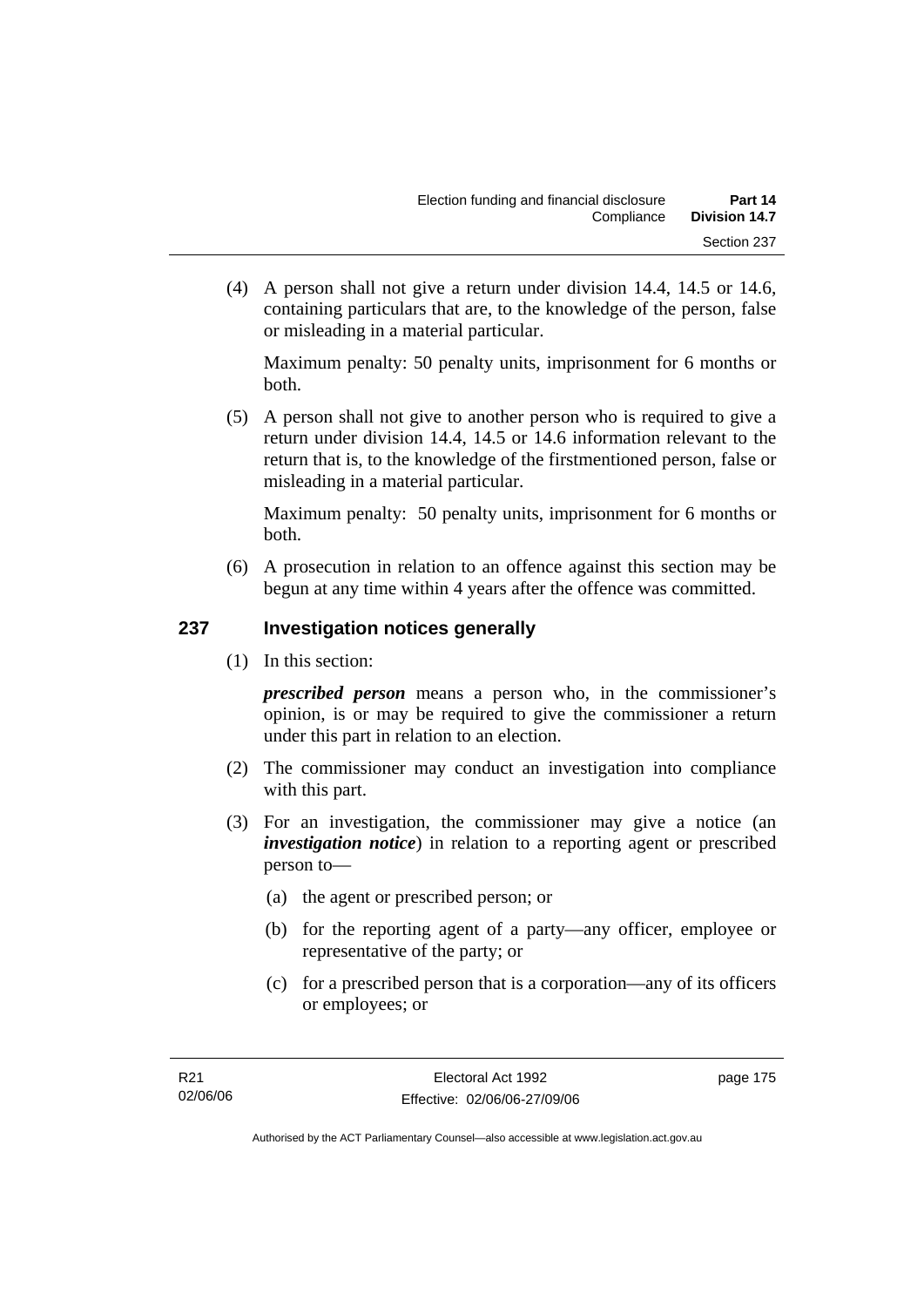(4) A person shall not give a return under division 14.4, 14.5 or 14.6, containing particulars that are, to the knowledge of the person, false or misleading in a material particular.

Maximum penalty: 50 penalty units, imprisonment for 6 months or both.

 (5) A person shall not give to another person who is required to give a return under division 14.4, 14.5 or 14.6 information relevant to the return that is, to the knowledge of the firstmentioned person, false or misleading in a material particular.

Maximum penalty: 50 penalty units, imprisonment for 6 months or both.

 (6) A prosecution in relation to an offence against this section may be begun at any time within 4 years after the offence was committed.

# **237 Investigation notices generally**

(1) In this section:

*prescribed person* means a person who, in the commissioner's opinion, is or may be required to give the commissioner a return under this part in relation to an election.

- (2) The commissioner may conduct an investigation into compliance with this part.
- (3) For an investigation, the commissioner may give a notice (an *investigation notice*) in relation to a reporting agent or prescribed person to—
	- (a) the agent or prescribed person; or
	- (b) for the reporting agent of a party—any officer, employee or representative of the party; or
	- (c) for a prescribed person that is a corporation—any of its officers or employees; or

page 175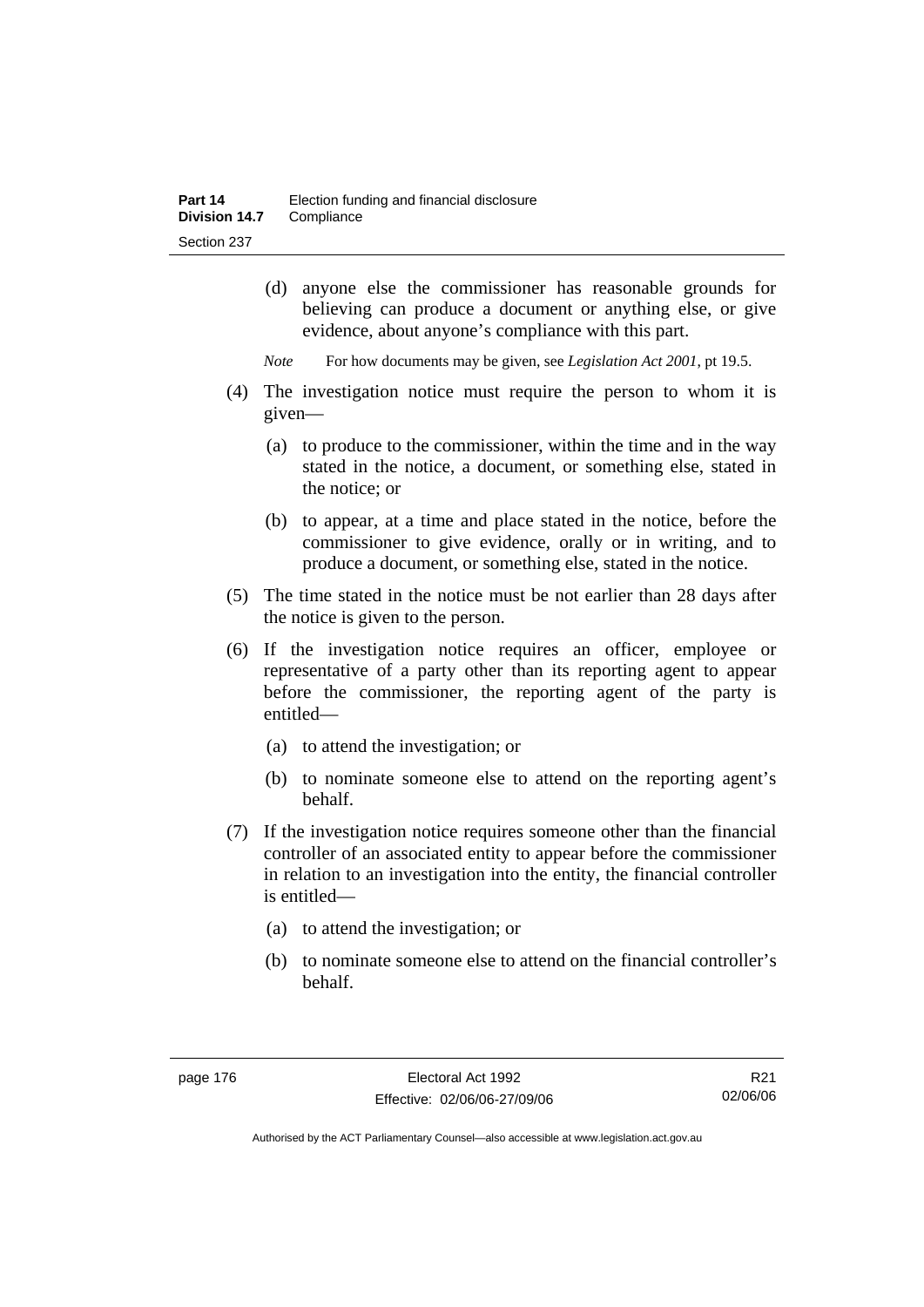- (d) anyone else the commissioner has reasonable grounds for believing can produce a document or anything else, or give evidence, about anyone's compliance with this part.
- *Note* For how documents may be given, see *Legislation Act 2001*, pt 19.5.
- (4) The investigation notice must require the person to whom it is given—
	- (a) to produce to the commissioner, within the time and in the way stated in the notice, a document, or something else, stated in the notice; or
	- (b) to appear, at a time and place stated in the notice, before the commissioner to give evidence, orally or in writing, and to produce a document, or something else, stated in the notice.
- (5) The time stated in the notice must be not earlier than 28 days after the notice is given to the person.
- (6) If the investigation notice requires an officer, employee or representative of a party other than its reporting agent to appear before the commissioner, the reporting agent of the party is entitled—
	- (a) to attend the investigation; or
	- (b) to nominate someone else to attend on the reporting agent's behalf.
- (7) If the investigation notice requires someone other than the financial controller of an associated entity to appear before the commissioner in relation to an investigation into the entity, the financial controller is entitled—
	- (a) to attend the investigation; or
	- (b) to nominate someone else to attend on the financial controller's behalf.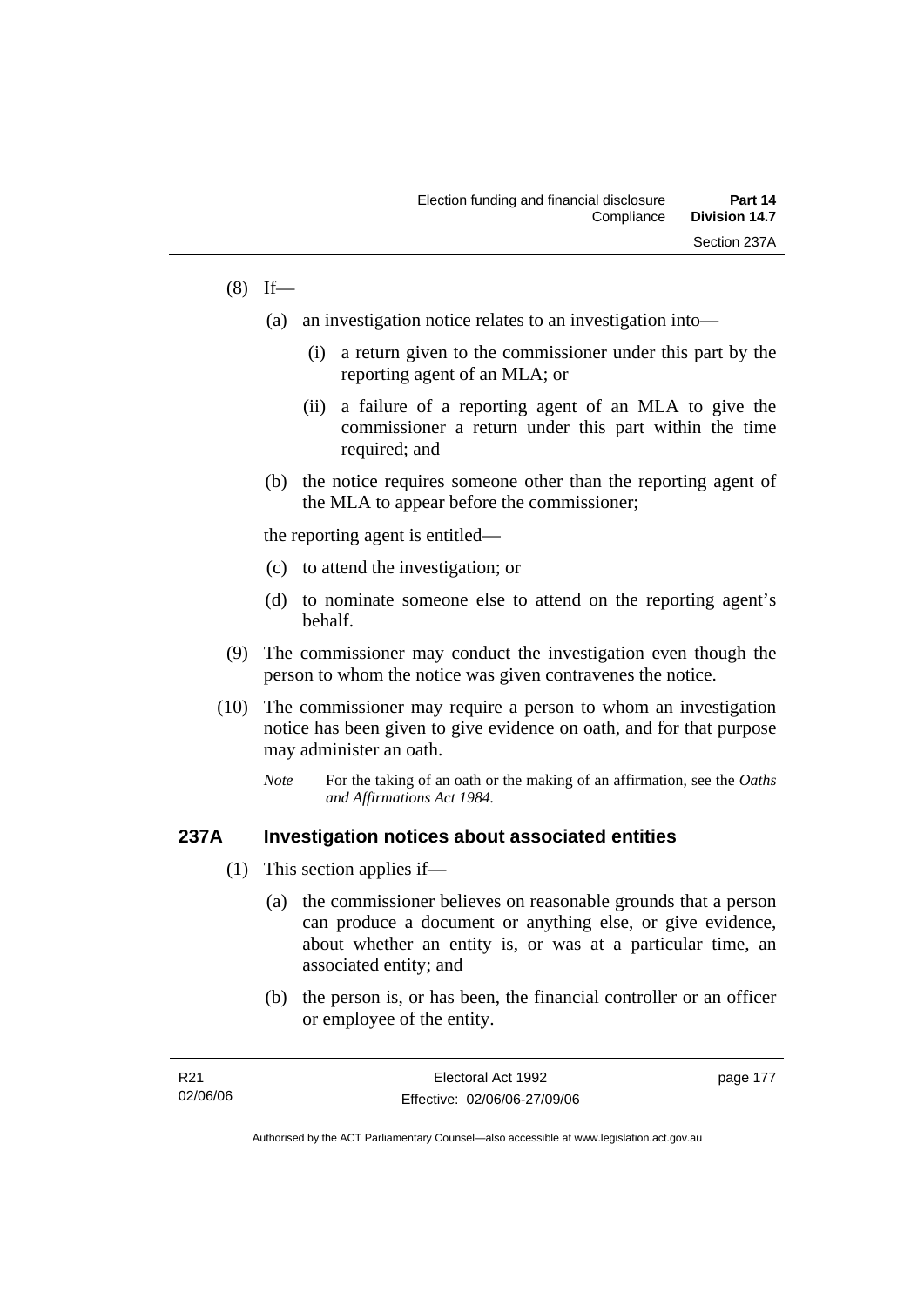# $(8)$  If—

- (a) an investigation notice relates to an investigation into—
	- (i) a return given to the commissioner under this part by the reporting agent of an MLA; or
	- (ii) a failure of a reporting agent of an MLA to give the commissioner a return under this part within the time required; and
- (b) the notice requires someone other than the reporting agent of the MLA to appear before the commissioner;

the reporting agent is entitled—

- (c) to attend the investigation; or
- (d) to nominate someone else to attend on the reporting agent's behalf.
- (9) The commissioner may conduct the investigation even though the person to whom the notice was given contravenes the notice.
- (10) The commissioner may require a person to whom an investigation notice has been given to give evidence on oath, and for that purpose may administer an oath.
	- *Note* For the taking of an oath or the making of an affirmation, see the *Oaths and Affirmations Act 1984.*

#### **237A Investigation notices about associated entities**

- (1) This section applies if—
	- (a) the commissioner believes on reasonable grounds that a person can produce a document or anything else, or give evidence, about whether an entity is, or was at a particular time, an associated entity; and
	- (b) the person is, or has been, the financial controller or an officer or employee of the entity.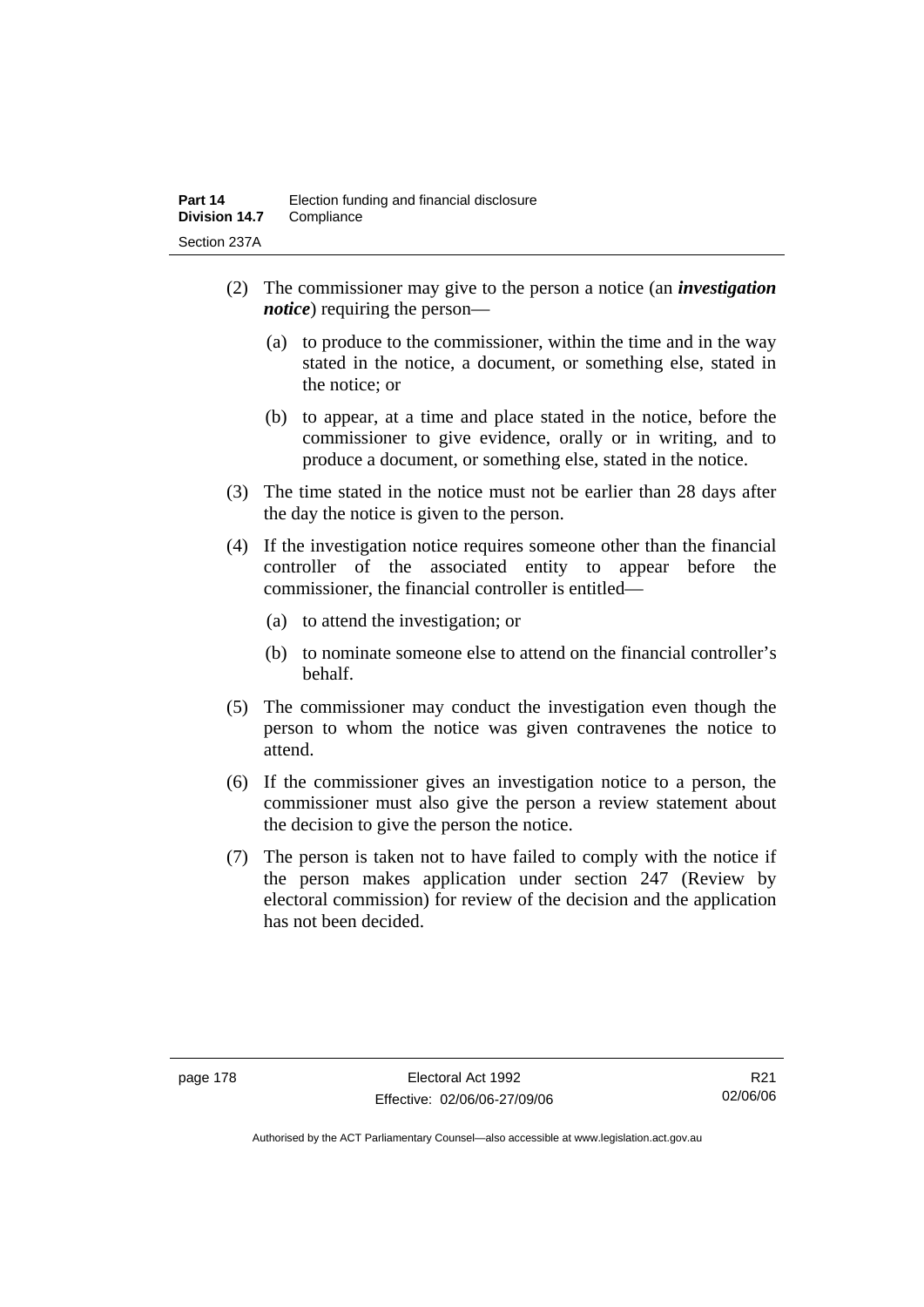- (2) The commissioner may give to the person a notice (an *investigation notice*) requiring the person—
	- (a) to produce to the commissioner, within the time and in the way stated in the notice, a document, or something else, stated in the notice; or
	- (b) to appear, at a time and place stated in the notice, before the commissioner to give evidence, orally or in writing, and to produce a document, or something else, stated in the notice.
- (3) The time stated in the notice must not be earlier than 28 days after the day the notice is given to the person.
- (4) If the investigation notice requires someone other than the financial controller of the associated entity to appear before the commissioner, the financial controller is entitled—
	- (a) to attend the investigation; or
	- (b) to nominate someone else to attend on the financial controller's behalf.
- (5) The commissioner may conduct the investigation even though the person to whom the notice was given contravenes the notice to attend.
- (6) If the commissioner gives an investigation notice to a person, the commissioner must also give the person a review statement about the decision to give the person the notice.
- (7) The person is taken not to have failed to comply with the notice if the person makes application under section 247 (Review by electoral commission) for review of the decision and the application has not been decided.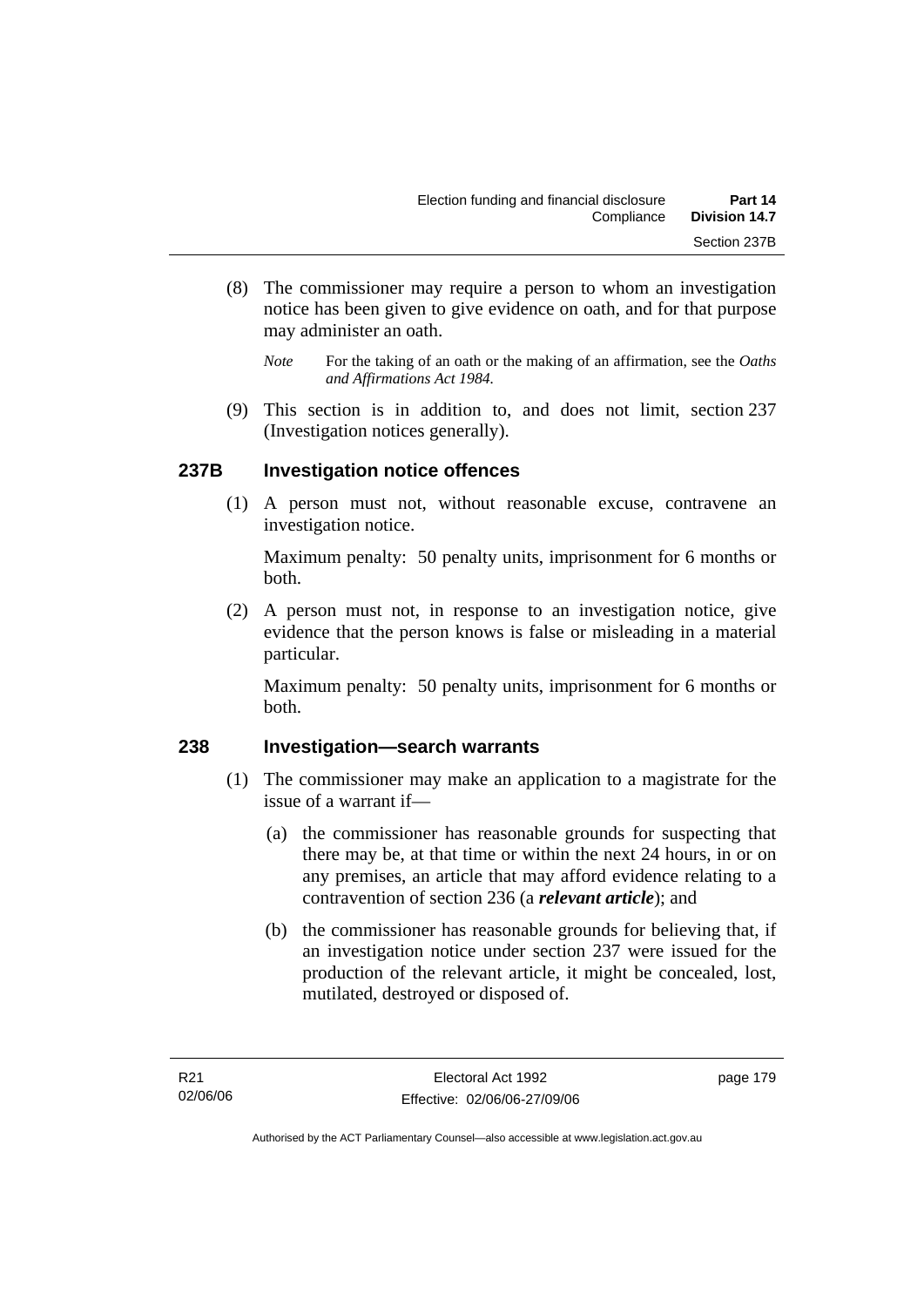- (8) The commissioner may require a person to whom an investigation notice has been given to give evidence on oath, and for that purpose may administer an oath.
	- *Note* For the taking of an oath or the making of an affirmation, see the *Oaths and Affirmations Act 1984.*
- (9) This section is in addition to, and does not limit, section 237 (Investigation notices generally).

# **237B Investigation notice offences**

 (1) A person must not, without reasonable excuse, contravene an investigation notice.

Maximum penalty: 50 penalty units, imprisonment for 6 months or both.

 (2) A person must not, in response to an investigation notice, give evidence that the person knows is false or misleading in a material particular.

Maximum penalty: 50 penalty units, imprisonment for 6 months or both.

## **238 Investigation—search warrants**

- (1) The commissioner may make an application to a magistrate for the issue of a warrant if—
	- (a) the commissioner has reasonable grounds for suspecting that there may be, at that time or within the next 24 hours, in or on any premises, an article that may afford evidence relating to a contravention of section 236 (a *relevant article*); and
	- (b) the commissioner has reasonable grounds for believing that, if an investigation notice under section 237 were issued for the production of the relevant article, it might be concealed, lost, mutilated, destroyed or disposed of.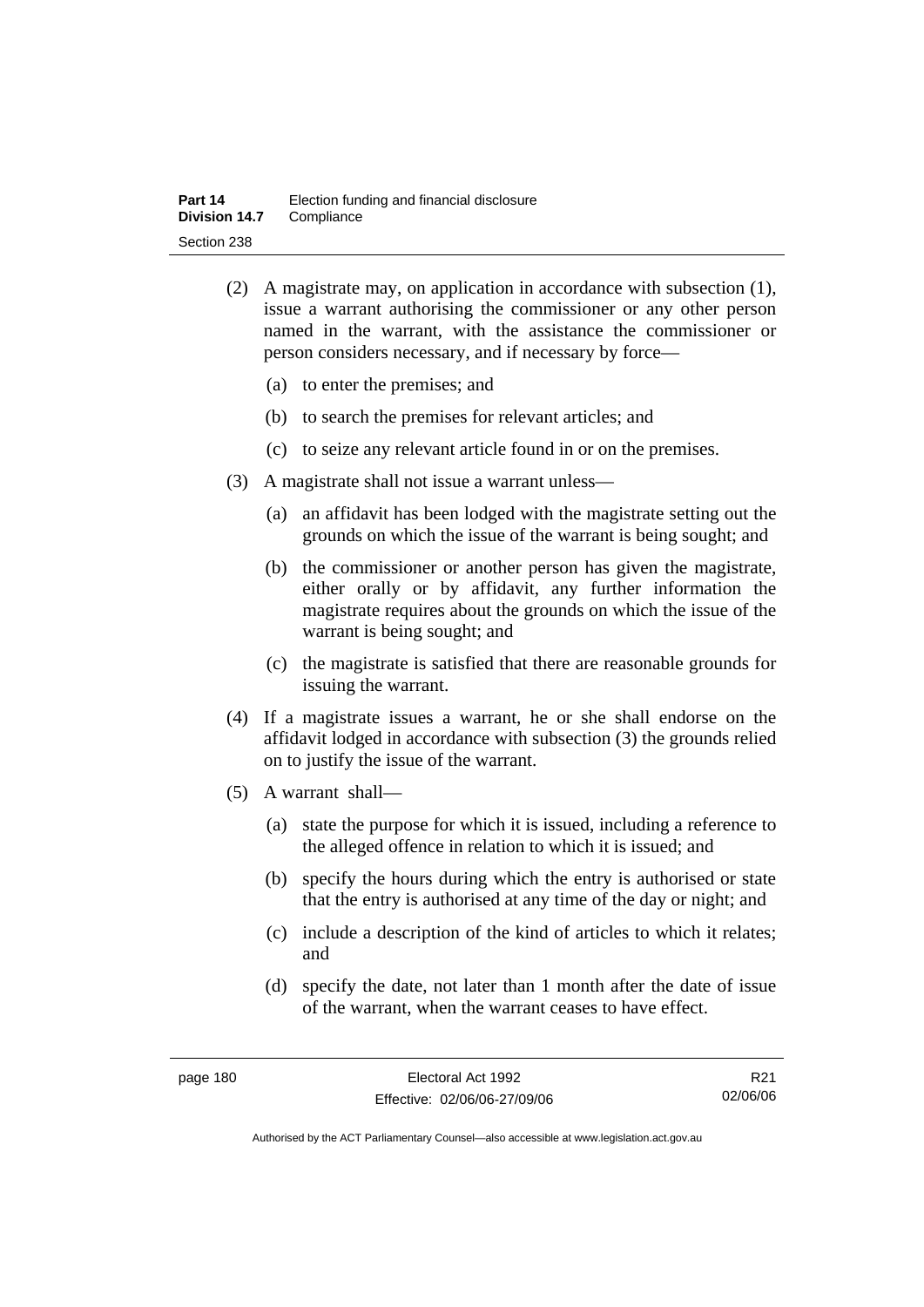- (2) A magistrate may, on application in accordance with subsection (1), issue a warrant authorising the commissioner or any other person named in the warrant, with the assistance the commissioner or person considers necessary, and if necessary by force—
	- (a) to enter the premises; and
	- (b) to search the premises for relevant articles; and
	- (c) to seize any relevant article found in or on the premises.
- (3) A magistrate shall not issue a warrant unless—
	- (a) an affidavit has been lodged with the magistrate setting out the grounds on which the issue of the warrant is being sought; and
	- (b) the commissioner or another person has given the magistrate, either orally or by affidavit, any further information the magistrate requires about the grounds on which the issue of the warrant is being sought; and
	- (c) the magistrate is satisfied that there are reasonable grounds for issuing the warrant.
- (4) If a magistrate issues a warrant, he or she shall endorse on the affidavit lodged in accordance with subsection (3) the grounds relied on to justify the issue of the warrant.
- (5) A warrant shall—
	- (a) state the purpose for which it is issued, including a reference to the alleged offence in relation to which it is issued; and
	- (b) specify the hours during which the entry is authorised or state that the entry is authorised at any time of the day or night; and
	- (c) include a description of the kind of articles to which it relates; and
	- (d) specify the date, not later than 1 month after the date of issue of the warrant, when the warrant ceases to have effect.

R21 02/06/06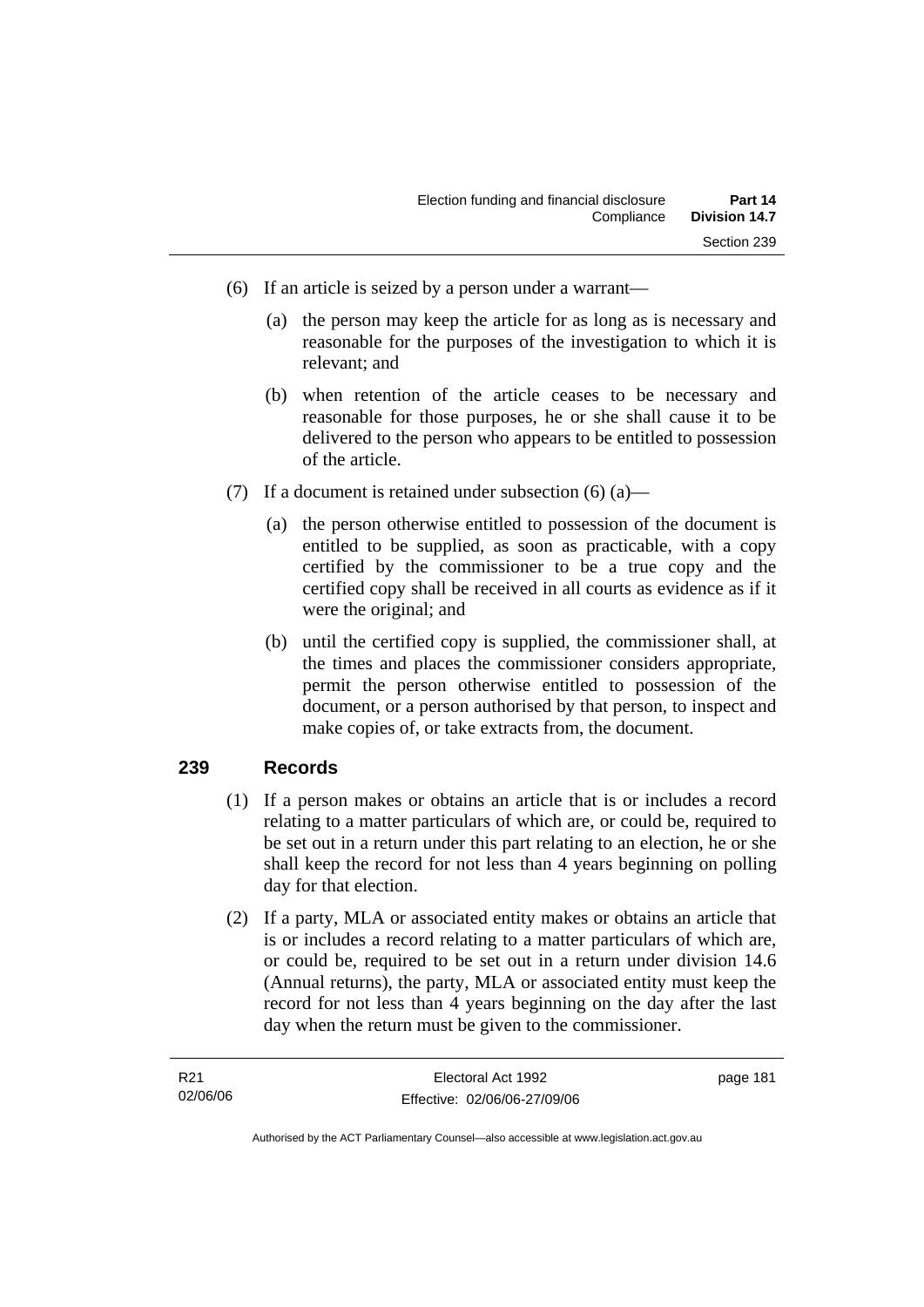- (6) If an article is seized by a person under a warrant—
	- (a) the person may keep the article for as long as is necessary and reasonable for the purposes of the investigation to which it is relevant; and
	- (b) when retention of the article ceases to be necessary and reasonable for those purposes, he or she shall cause it to be delivered to the person who appears to be entitled to possession of the article.
- (7) If a document is retained under subsection  $(6)$  (a)—
	- (a) the person otherwise entitled to possession of the document is entitled to be supplied, as soon as practicable, with a copy certified by the commissioner to be a true copy and the certified copy shall be received in all courts as evidence as if it were the original; and
	- (b) until the certified copy is supplied, the commissioner shall, at the times and places the commissioner considers appropriate, permit the person otherwise entitled to possession of the document, or a person authorised by that person, to inspect and make copies of, or take extracts from, the document.

## **239 Records**

- (1) If a person makes or obtains an article that is or includes a record relating to a matter particulars of which are, or could be, required to be set out in a return under this part relating to an election, he or she shall keep the record for not less than 4 years beginning on polling day for that election.
- (2) If a party, MLA or associated entity makes or obtains an article that is or includes a record relating to a matter particulars of which are, or could be, required to be set out in a return under division 14.6 (Annual returns), the party, MLA or associated entity must keep the record for not less than 4 years beginning on the day after the last day when the return must be given to the commissioner.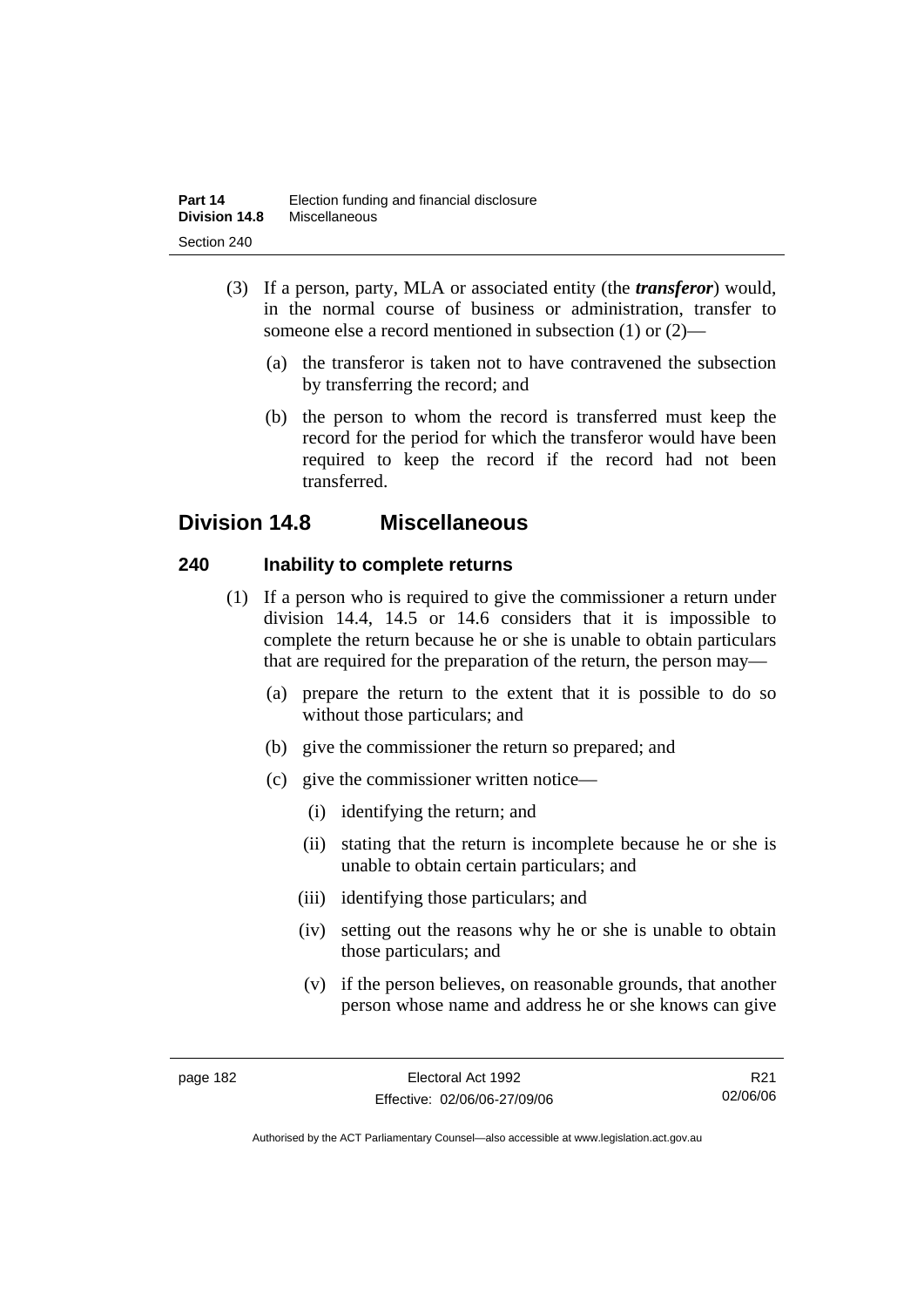- (3) If a person, party, MLA or associated entity (the *transferor*) would, in the normal course of business or administration, transfer to someone else a record mentioned in subsection (1) or (2)—
	- (a) the transferor is taken not to have contravened the subsection by transferring the record; and
	- (b) the person to whom the record is transferred must keep the record for the period for which the transferor would have been required to keep the record if the record had not been transferred.

# **Division 14.8 Miscellaneous**

# **240 Inability to complete returns**

- (1) If a person who is required to give the commissioner a return under division 14.4, 14.5 or 14.6 considers that it is impossible to complete the return because he or she is unable to obtain particulars that are required for the preparation of the return, the person may—
	- (a) prepare the return to the extent that it is possible to do so without those particulars; and
	- (b) give the commissioner the return so prepared; and
	- (c) give the commissioner written notice—
		- (i) identifying the return; and
		- (ii) stating that the return is incomplete because he or she is unable to obtain certain particulars; and
		- (iii) identifying those particulars; and
		- (iv) setting out the reasons why he or she is unable to obtain those particulars; and
		- (v) if the person believes, on reasonable grounds, that another person whose name and address he or she knows can give

R21 02/06/06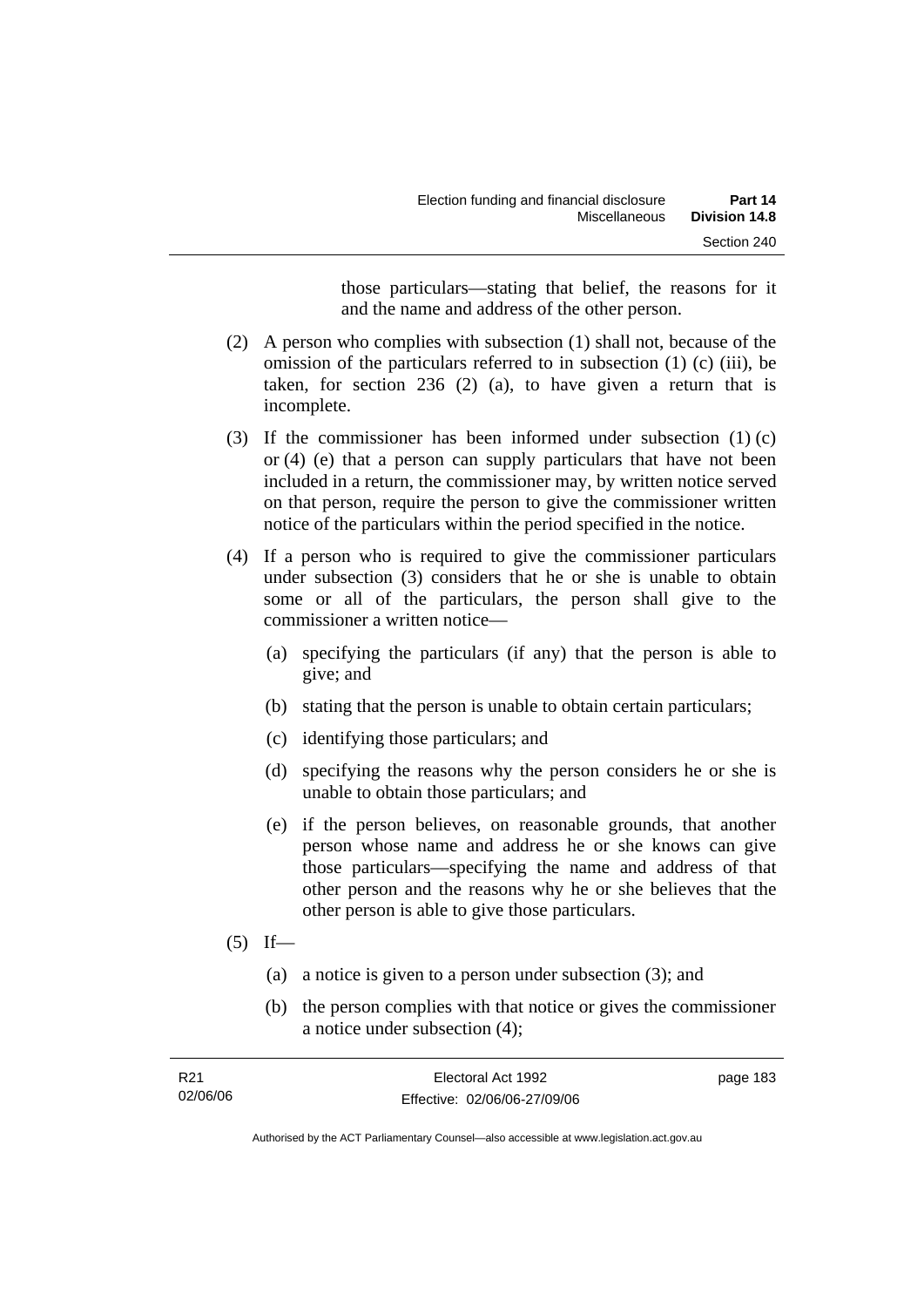those particulars—stating that belief, the reasons for it and the name and address of the other person.

- (2) A person who complies with subsection (1) shall not, because of the omission of the particulars referred to in subsection (1) (c) (iii), be taken, for section 236 (2) (a), to have given a return that is incomplete.
- (3) If the commissioner has been informed under subsection (1) (c) or (4) (e) that a person can supply particulars that have not been included in a return, the commissioner may, by written notice served on that person, require the person to give the commissioner written notice of the particulars within the period specified in the notice.
- (4) If a person who is required to give the commissioner particulars under subsection (3) considers that he or she is unable to obtain some or all of the particulars, the person shall give to the commissioner a written notice—
	- (a) specifying the particulars (if any) that the person is able to give; and
	- (b) stating that the person is unable to obtain certain particulars;
	- (c) identifying those particulars; and
	- (d) specifying the reasons why the person considers he or she is unable to obtain those particulars; and
	- (e) if the person believes, on reasonable grounds, that another person whose name and address he or she knows can give those particulars—specifying the name and address of that other person and the reasons why he or she believes that the other person is able to give those particulars.
- $(5)$  If—
	- (a) a notice is given to a person under subsection (3); and
	- (b) the person complies with that notice or gives the commissioner a notice under subsection (4);

| R21      | Electoral Act 1992           | page 183 |
|----------|------------------------------|----------|
| 02/06/06 | Effective: 02/06/06-27/09/06 |          |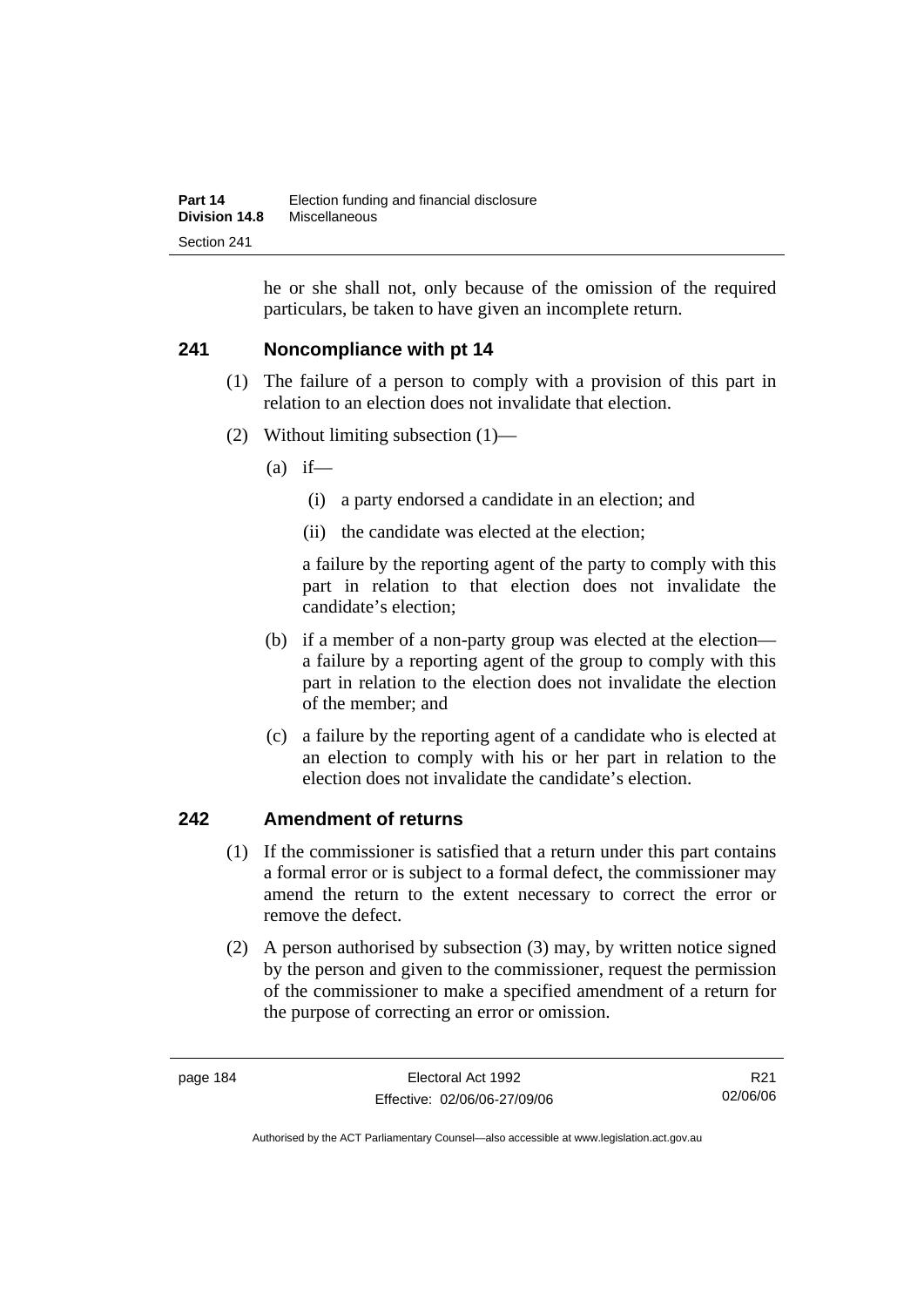he or she shall not, only because of the omission of the required particulars, be taken to have given an incomplete return.

# **241 Noncompliance with pt 14**

- (1) The failure of a person to comply with a provision of this part in relation to an election does not invalidate that election.
- (2) Without limiting subsection (1)—
	- $(a)$  if—
		- (i) a party endorsed a candidate in an election; and
		- (ii) the candidate was elected at the election;

a failure by the reporting agent of the party to comply with this part in relation to that election does not invalidate the candidate's election;

- (b) if a member of a non-party group was elected at the election a failure by a reporting agent of the group to comply with this part in relation to the election does not invalidate the election of the member; and
- (c) a failure by the reporting agent of a candidate who is elected at an election to comply with his or her part in relation to the election does not invalidate the candidate's election.

# **242 Amendment of returns**

- (1) If the commissioner is satisfied that a return under this part contains a formal error or is subject to a formal defect, the commissioner may amend the return to the extent necessary to correct the error or remove the defect.
- (2) A person authorised by subsection (3) may, by written notice signed by the person and given to the commissioner, request the permission of the commissioner to make a specified amendment of a return for the purpose of correcting an error or omission.

R21 02/06/06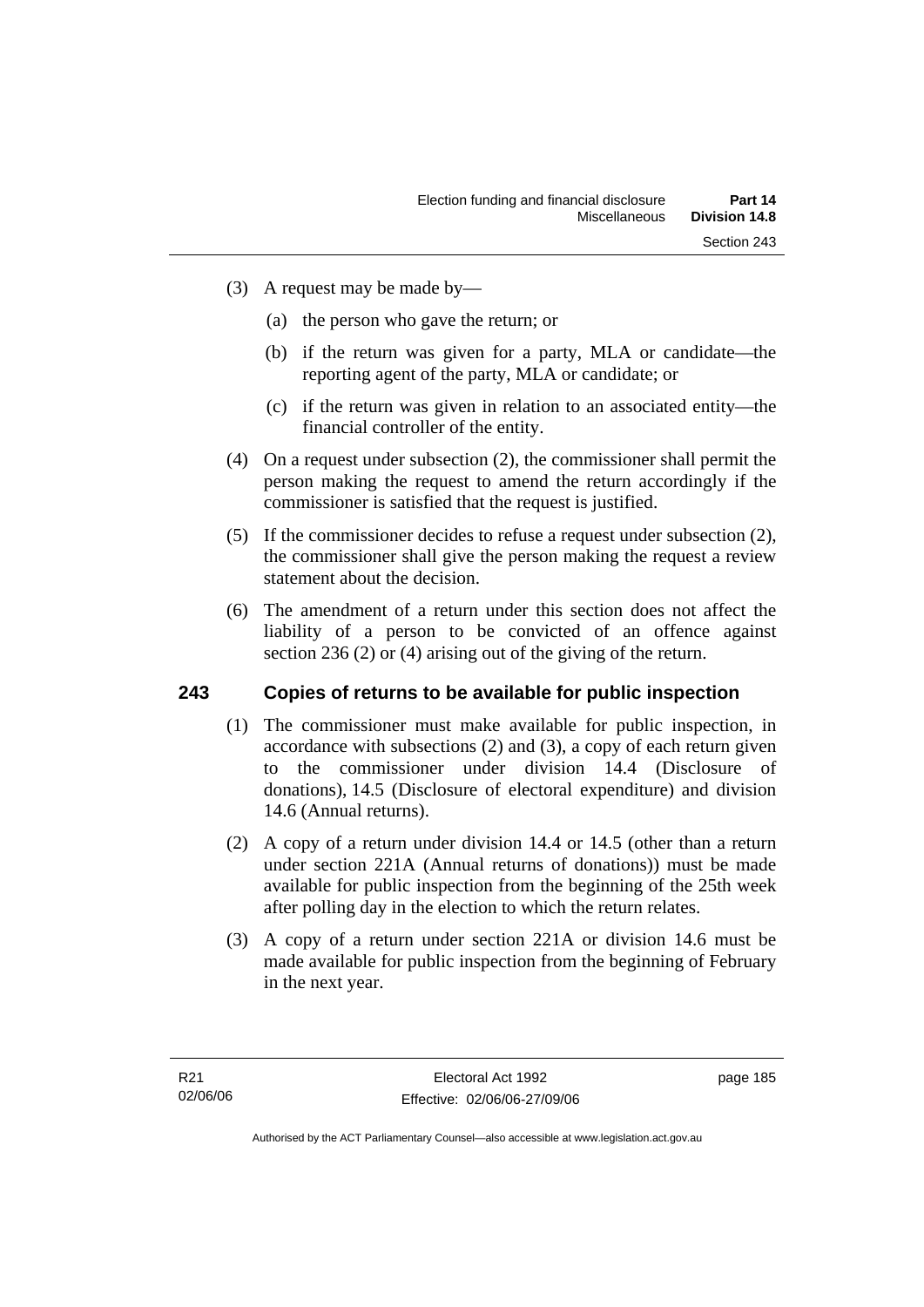- (3) A request may be made by—
	- (a) the person who gave the return; or
	- (b) if the return was given for a party, MLA or candidate—the reporting agent of the party, MLA or candidate; or
	- (c) if the return was given in relation to an associated entity—the financial controller of the entity.
- (4) On a request under subsection (2), the commissioner shall permit the person making the request to amend the return accordingly if the commissioner is satisfied that the request is justified.
- (5) If the commissioner decides to refuse a request under subsection (2), the commissioner shall give the person making the request a review statement about the decision.
- (6) The amendment of a return under this section does not affect the liability of a person to be convicted of an offence against section 236 (2) or (4) arising out of the giving of the return.

## **243 Copies of returns to be available for public inspection**

- (1) The commissioner must make available for public inspection, in accordance with subsections (2) and (3), a copy of each return given to the commissioner under division 14.4 (Disclosure of donations), 14.5 (Disclosure of electoral expenditure) and division 14.6 (Annual returns).
- (2) A copy of a return under division 14.4 or 14.5 (other than a return under section 221A (Annual returns of donations)) must be made available for public inspection from the beginning of the 25th week after polling day in the election to which the return relates.
- (3) A copy of a return under section 221A or division 14.6 must be made available for public inspection from the beginning of February in the next year.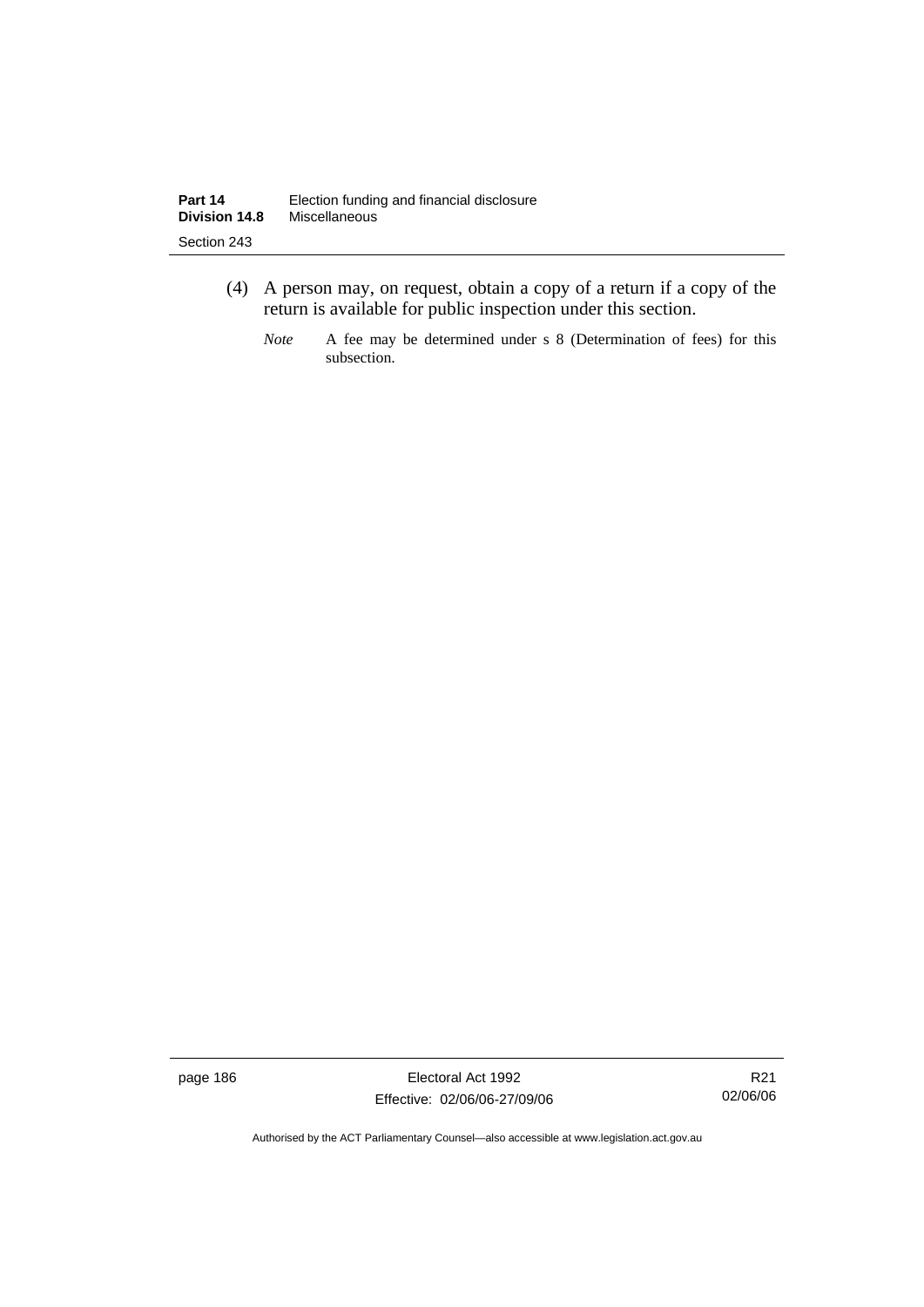- (4) A person may, on request, obtain a copy of a return if a copy of the return is available for public inspection under this section.
	- *Note* A fee may be determined under s 8 (Determination of fees) for this subsection.

page 186 Electoral Act 1992 Effective: 02/06/06-27/09/06

R21 02/06/06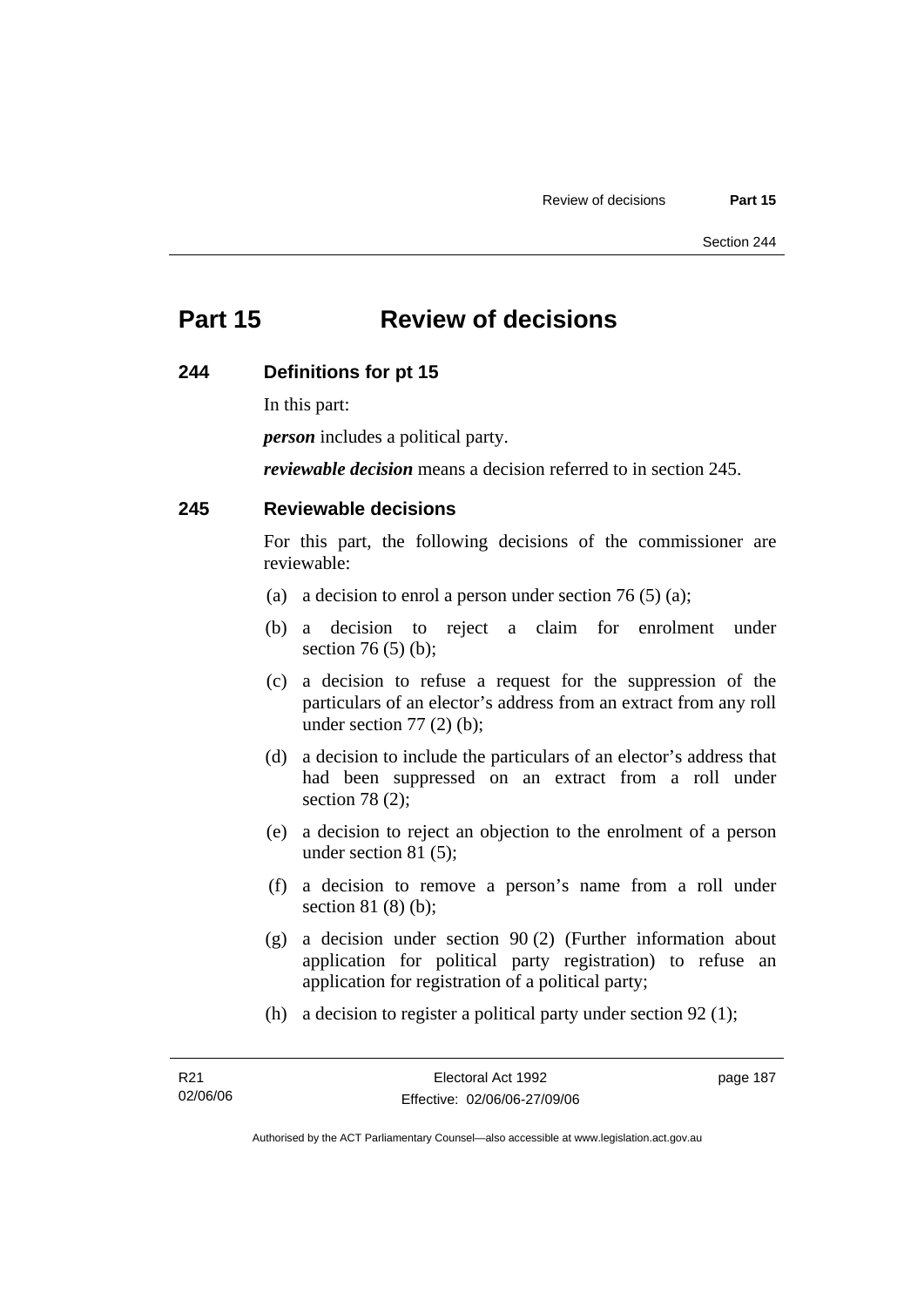# **Part 15 Review of decisions**

#### **244 Definitions for pt 15**

In this part:

*person* includes a political party.

*reviewable decision* means a decision referred to in section 245.

#### **245 Reviewable decisions**

For this part, the following decisions of the commissioner are reviewable:

- (a) a decision to enrol a person under section 76 (5) (a);
- (b) a decision to reject a claim for enrolment under section 76 (5) (b);
- (c) a decision to refuse a request for the suppression of the particulars of an elector's address from an extract from any roll under section  $77(2)$  (b);
- (d) a decision to include the particulars of an elector's address that had been suppressed on an extract from a roll under section 78 (2);
- (e) a decision to reject an objection to the enrolment of a person under section 81 (5);
- (f) a decision to remove a person's name from a roll under section 81 (8) (b);
- (g) a decision under section 90 (2) (Further information about application for political party registration) to refuse an application for registration of a political party;
- (h) a decision to register a political party under section 92 (1);

page 187

Authorised by the ACT Parliamentary Counsel—also accessible at www.legislation.act.gov.au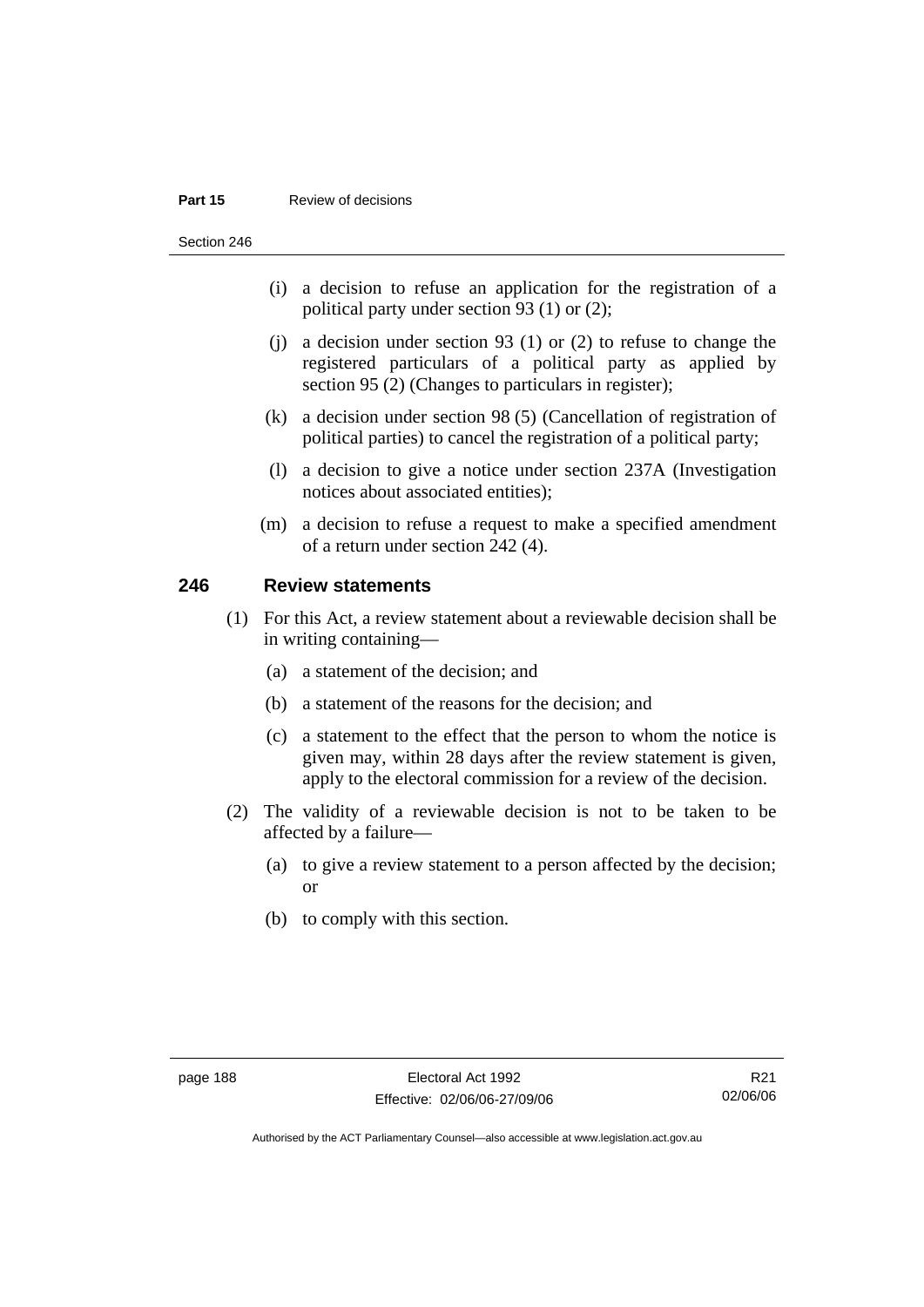#### **Part 15 Review of decisions**

Section 246

- (i) a decision to refuse an application for the registration of a political party under section 93 (1) or (2);
- (j) a decision under section 93 (1) or (2) to refuse to change the registered particulars of a political party as applied by section 95 (2) (Changes to particulars in register);
- (k) a decision under section 98 (5) (Cancellation of registration of political parties) to cancel the registration of a political party;
- (l) a decision to give a notice under section 237A (Investigation notices about associated entities);
- (m) a decision to refuse a request to make a specified amendment of a return under section 242 (4).

# **246 Review statements**

- (1) For this Act, a review statement about a reviewable decision shall be in writing containing—
	- (a) a statement of the decision; and
	- (b) a statement of the reasons for the decision; and
	- (c) a statement to the effect that the person to whom the notice is given may, within 28 days after the review statement is given, apply to the electoral commission for a review of the decision.
- (2) The validity of a reviewable decision is not to be taken to be affected by a failure—
	- (a) to give a review statement to a person affected by the decision; or
	- (b) to comply with this section.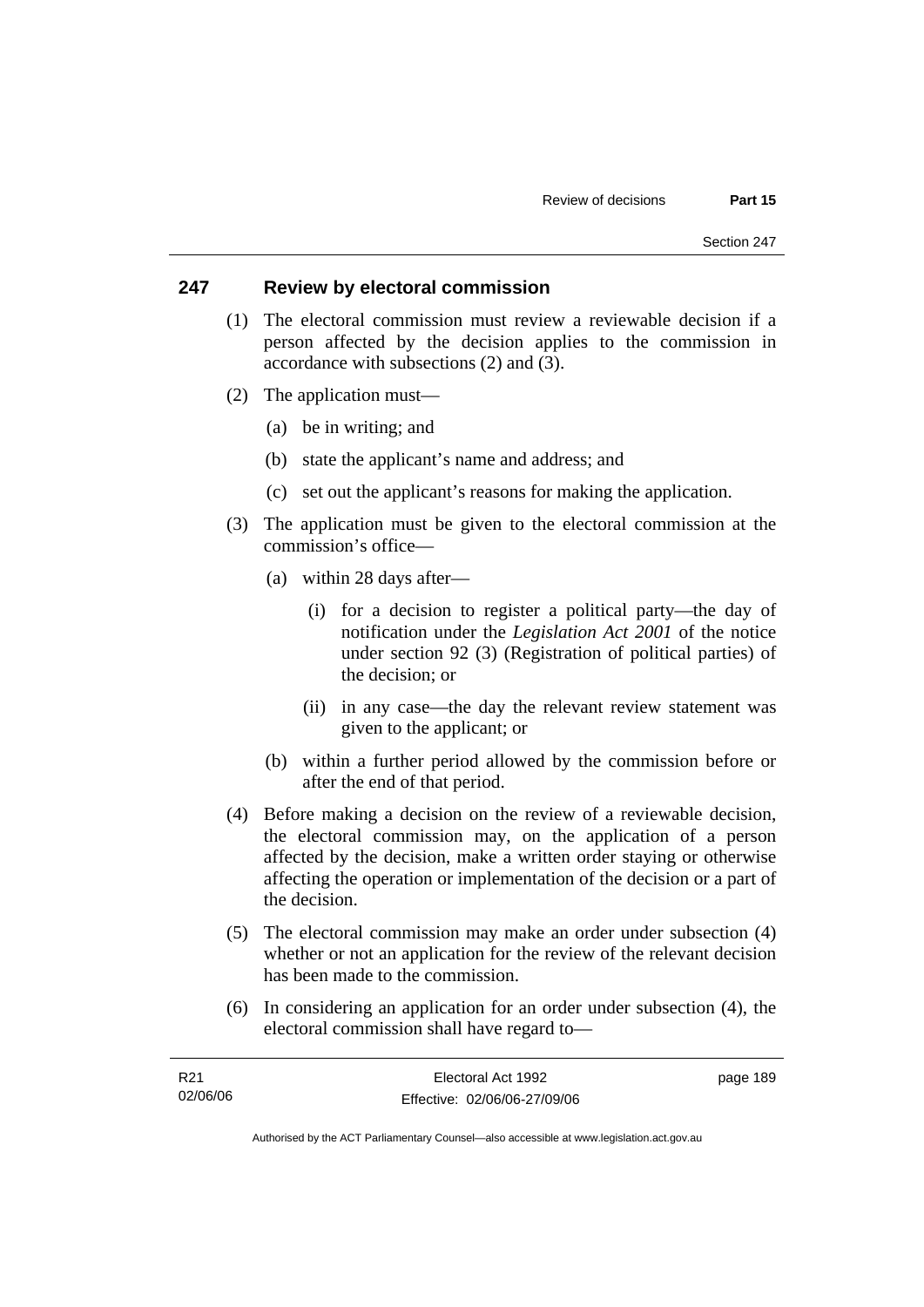### **247 Review by electoral commission**

- (1) The electoral commission must review a reviewable decision if a person affected by the decision applies to the commission in accordance with subsections (2) and (3).
- (2) The application must—
	- (a) be in writing; and
	- (b) state the applicant's name and address; and
	- (c) set out the applicant's reasons for making the application.
- (3) The application must be given to the electoral commission at the commission's office—
	- (a) within 28 days after—
		- (i) for a decision to register a political party—the day of notification under the *Legislation Act 2001* of the notice under section 92 (3) (Registration of political parties) of the decision; or
		- (ii) in any case—the day the relevant review statement was given to the applicant; or
	- (b) within a further period allowed by the commission before or after the end of that period.
- (4) Before making a decision on the review of a reviewable decision, the electoral commission may, on the application of a person affected by the decision, make a written order staying or otherwise affecting the operation or implementation of the decision or a part of the decision.
- (5) The electoral commission may make an order under subsection (4) whether or not an application for the review of the relevant decision has been made to the commission.
- (6) In considering an application for an order under subsection (4), the electoral commission shall have regard to—

| R21      | Electoral Act 1992           | page 189 |
|----------|------------------------------|----------|
| 02/06/06 | Effective: 02/06/06-27/09/06 |          |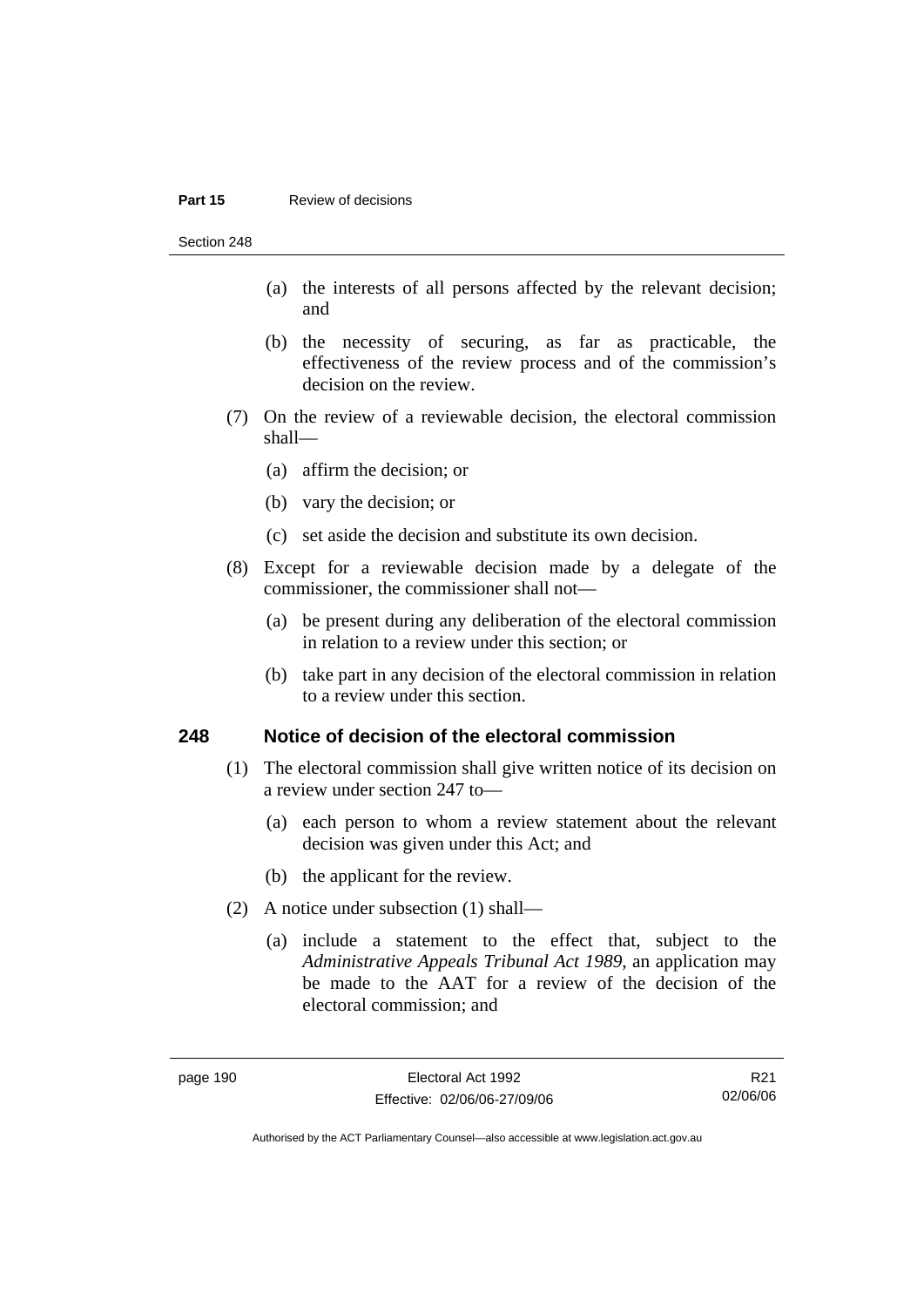#### **Part 15 Review of decisions**

Section 248

- (a) the interests of all persons affected by the relevant decision; and
- (b) the necessity of securing, as far as practicable, the effectiveness of the review process and of the commission's decision on the review.
- (7) On the review of a reviewable decision, the electoral commission shall—
	- (a) affirm the decision; or
	- (b) vary the decision; or
	- (c) set aside the decision and substitute its own decision.
- (8) Except for a reviewable decision made by a delegate of the commissioner, the commissioner shall not—
	- (a) be present during any deliberation of the electoral commission in relation to a review under this section; or
	- (b) take part in any decision of the electoral commission in relation to a review under this section.

#### **248 Notice of decision of the electoral commission**

- (1) The electoral commission shall give written notice of its decision on a review under section 247 to—
	- (a) each person to whom a review statement about the relevant decision was given under this Act; and
	- (b) the applicant for the review.
- (2) A notice under subsection (1) shall—
	- (a) include a statement to the effect that, subject to the *Administrative Appeals Tribunal Act 1989*, an application may be made to the AAT for a review of the decision of the electoral commission; and

R21 02/06/06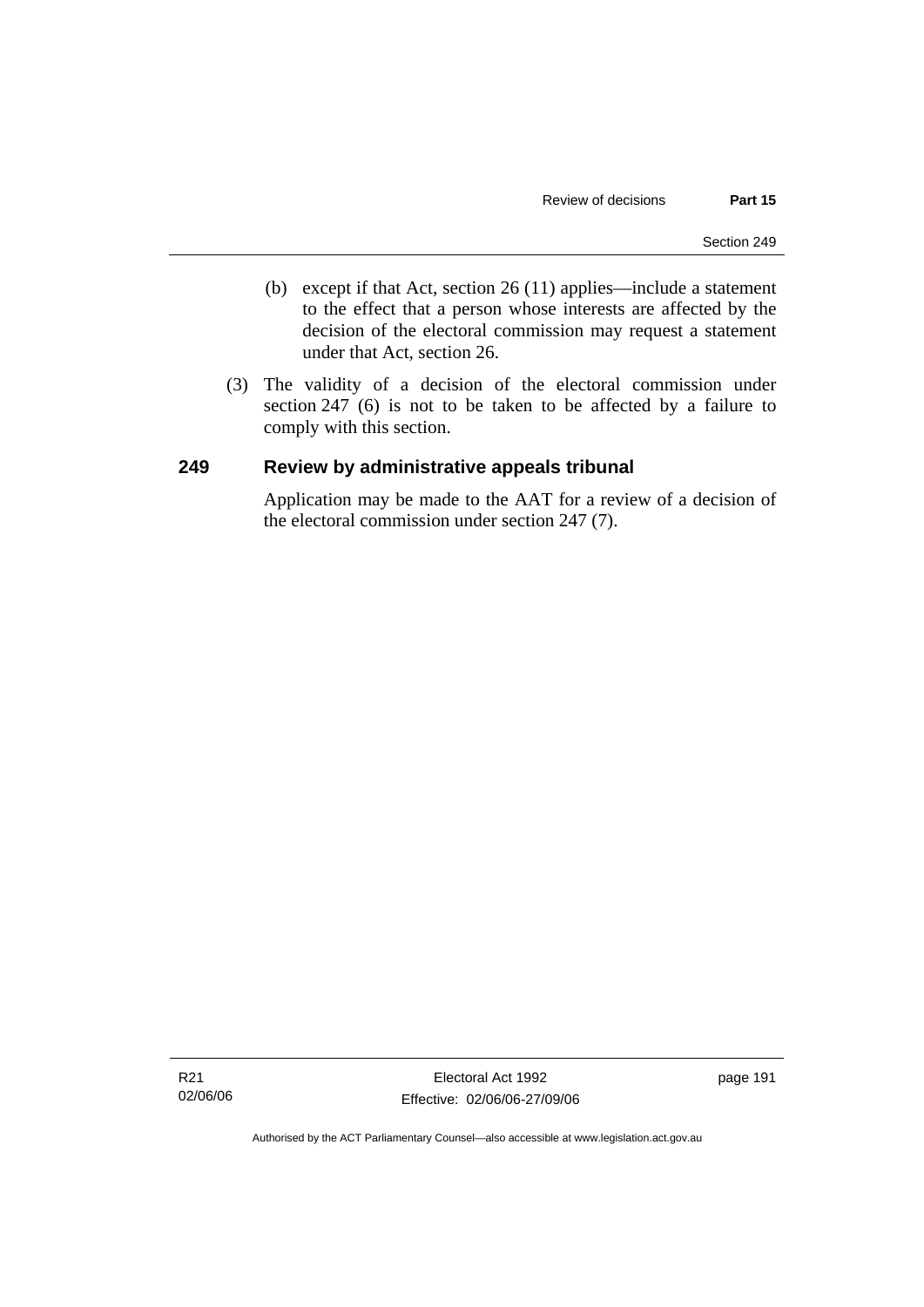- (b) except if that Act, section 26 (11) applies—include a statement to the effect that a person whose interests are affected by the decision of the electoral commission may request a statement under that Act, section 26.
- (3) The validity of a decision of the electoral commission under section 247 (6) is not to be taken to be affected by a failure to comply with this section.

# **249 Review by administrative appeals tribunal**

Application may be made to the AAT for a review of a decision of the electoral commission under section 247 (7).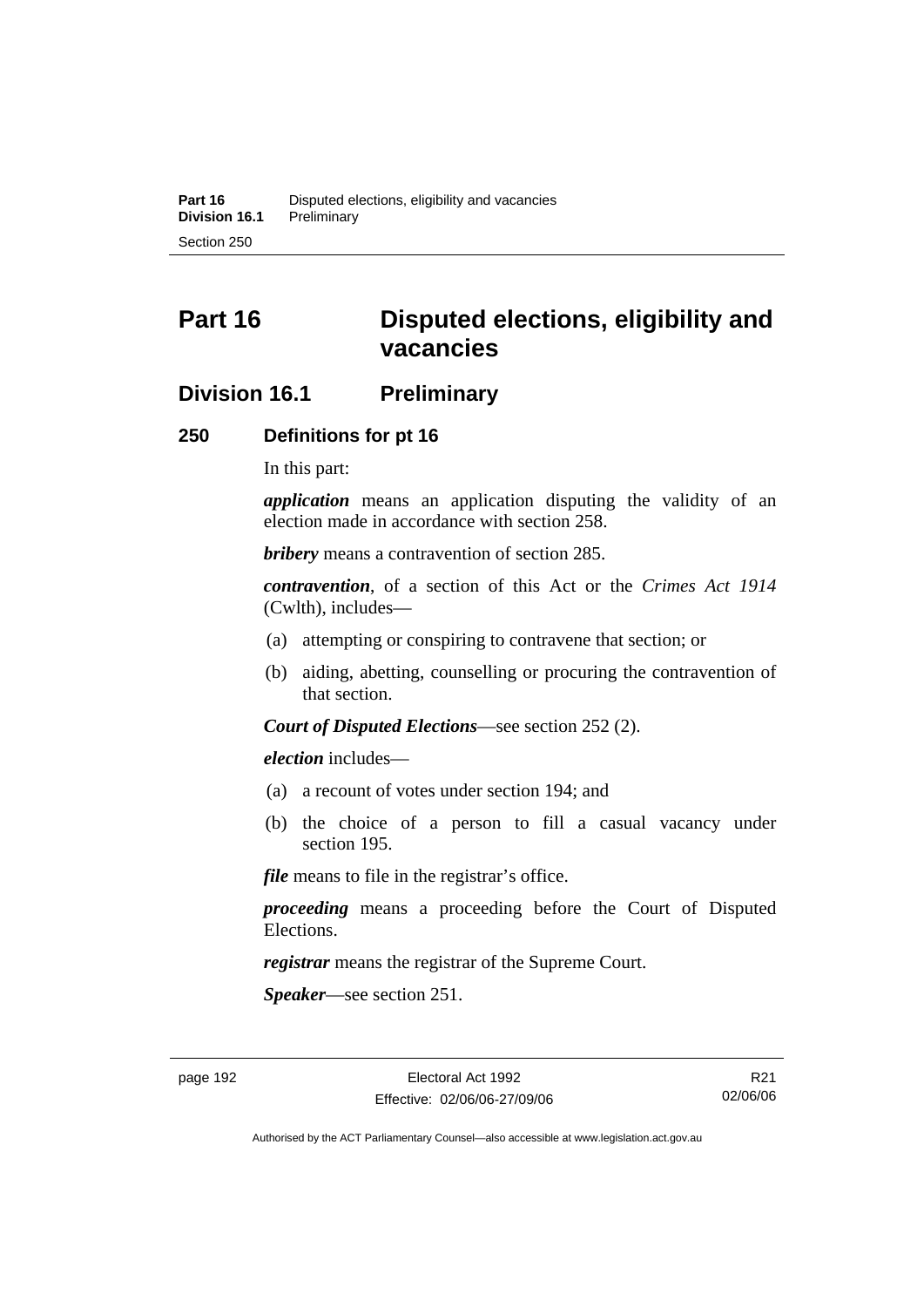# **Part 16 Disputed elections, eligibility and vacancies**

# **Division 16.1 Preliminary**

## **250 Definitions for pt 16**

In this part:

*application* means an application disputing the validity of an election made in accordance with section 258.

*bribery* means a contravention of section 285.

*contravention*, of a section of this Act or the *Crimes Act 1914* (Cwlth), includes—

- (a) attempting or conspiring to contravene that section; or
- (b) aiding, abetting, counselling or procuring the contravention of that section.

*Court of Disputed Elections*—see section 252 (2).

*election* includes—

- (a) a recount of votes under section 194; and
- (b) the choice of a person to fill a casual vacancy under section 195.

*file* means to file in the registrar's office.

*proceeding* means a proceeding before the Court of Disputed Elections.

*registrar* means the registrar of the Supreme Court.

*Speaker*—see section 251.

R21 02/06/06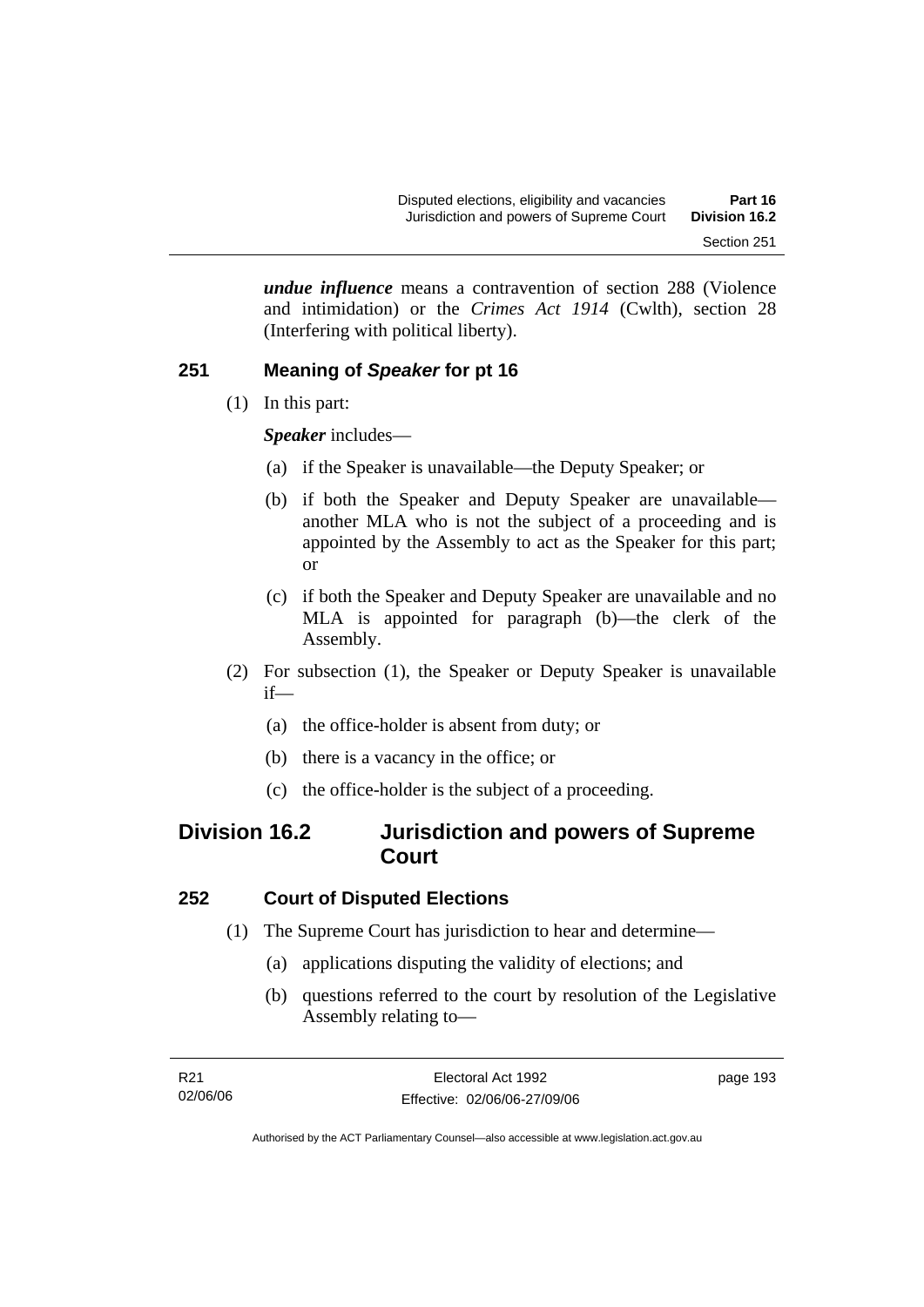*undue influence* means a contravention of section 288 (Violence and intimidation) or the *Crimes Act 1914* (Cwlth), section 28 (Interfering with political liberty).

# **251 Meaning of** *Speaker* **for pt 16**

(1) In this part:

*Speaker* includes—

- (a) if the Speaker is unavailable—the Deputy Speaker; or
- (b) if both the Speaker and Deputy Speaker are unavailable another MLA who is not the subject of a proceeding and is appointed by the Assembly to act as the Speaker for this part; or
- (c) if both the Speaker and Deputy Speaker are unavailable and no MLA is appointed for paragraph (b)—the clerk of the Assembly.
- (2) For subsection (1), the Speaker or Deputy Speaker is unavailable if—
	- (a) the office-holder is absent from duty; or
	- (b) there is a vacancy in the office; or
	- (c) the office-holder is the subject of a proceeding.

# **Division 16.2 Jurisdiction and powers of Supreme Court**

# **252 Court of Disputed Elections**

- (1) The Supreme Court has jurisdiction to hear and determine—
	- (a) applications disputing the validity of elections; and
	- (b) questions referred to the court by resolution of the Legislative Assembly relating to—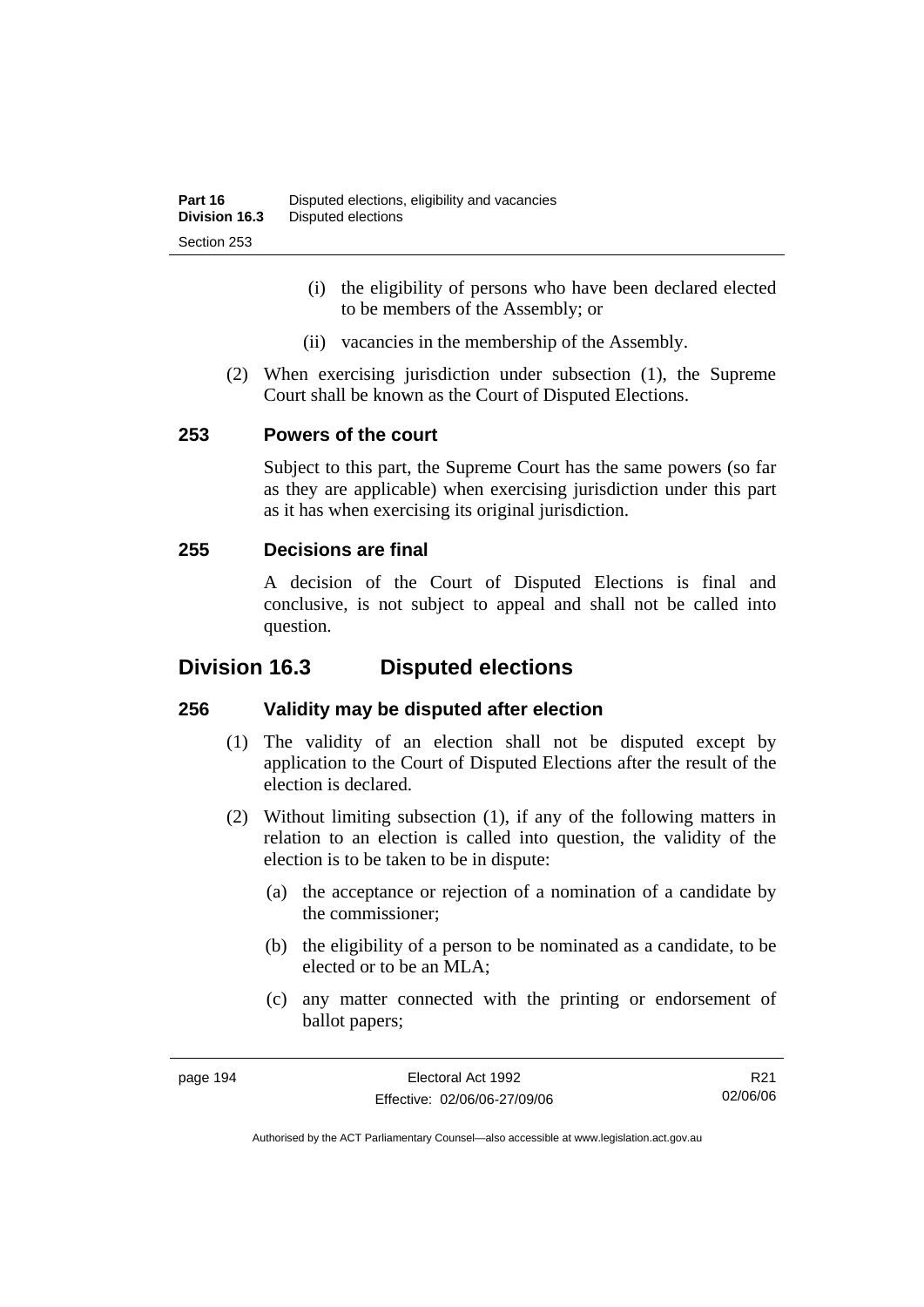- (i) the eligibility of persons who have been declared elected to be members of the Assembly; or
- (ii) vacancies in the membership of the Assembly.
- (2) When exercising jurisdiction under subsection (1), the Supreme Court shall be known as the Court of Disputed Elections.

# **253 Powers of the court**

Subject to this part, the Supreme Court has the same powers (so far as they are applicable) when exercising jurisdiction under this part as it has when exercising its original jurisdiction.

# **255 Decisions are final**

A decision of the Court of Disputed Elections is final and conclusive, is not subject to appeal and shall not be called into question.

# **Division 16.3 Disputed elections**

# **256 Validity may be disputed after election**

- (1) The validity of an election shall not be disputed except by application to the Court of Disputed Elections after the result of the election is declared.
- (2) Without limiting subsection (1), if any of the following matters in relation to an election is called into question, the validity of the election is to be taken to be in dispute:
	- (a) the acceptance or rejection of a nomination of a candidate by the commissioner;
	- (b) the eligibility of a person to be nominated as a candidate, to be elected or to be an MLA;
	- (c) any matter connected with the printing or endorsement of ballot papers;

R21 02/06/06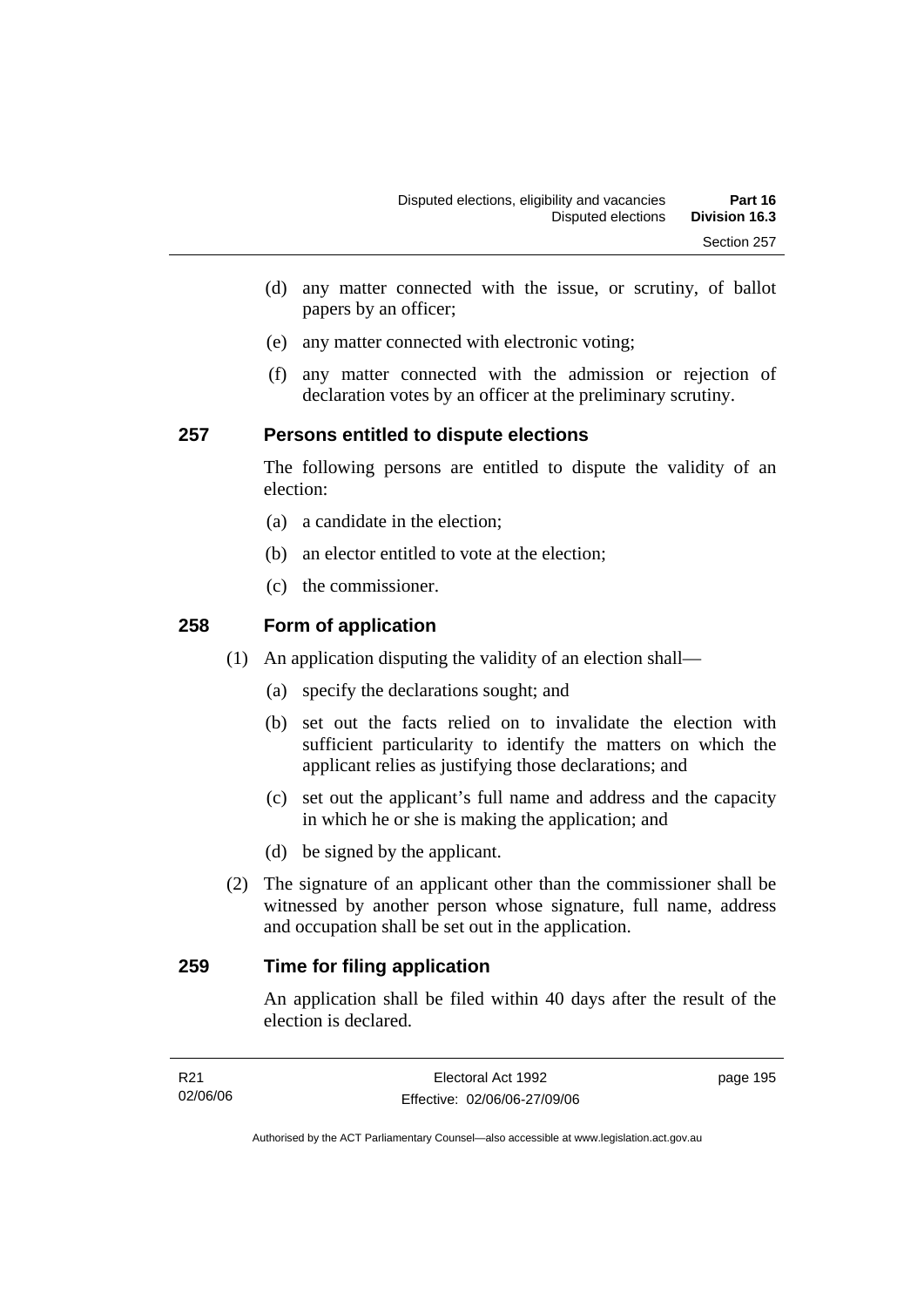- (d) any matter connected with the issue, or scrutiny, of ballot papers by an officer;
- (e) any matter connected with electronic voting;
- (f) any matter connected with the admission or rejection of declaration votes by an officer at the preliminary scrutiny.

# **257 Persons entitled to dispute elections**

The following persons are entitled to dispute the validity of an election:

- (a) a candidate in the election;
- (b) an elector entitled to vote at the election;
- (c) the commissioner.

## **258 Form of application**

- (1) An application disputing the validity of an election shall—
	- (a) specify the declarations sought; and
	- (b) set out the facts relied on to invalidate the election with sufficient particularity to identify the matters on which the applicant relies as justifying those declarations; and
	- (c) set out the applicant's full name and address and the capacity in which he or she is making the application; and
	- (d) be signed by the applicant.
- (2) The signature of an applicant other than the commissioner shall be witnessed by another person whose signature, full name, address and occupation shall be set out in the application.

# **259 Time for filing application**

An application shall be filed within 40 days after the result of the election is declared.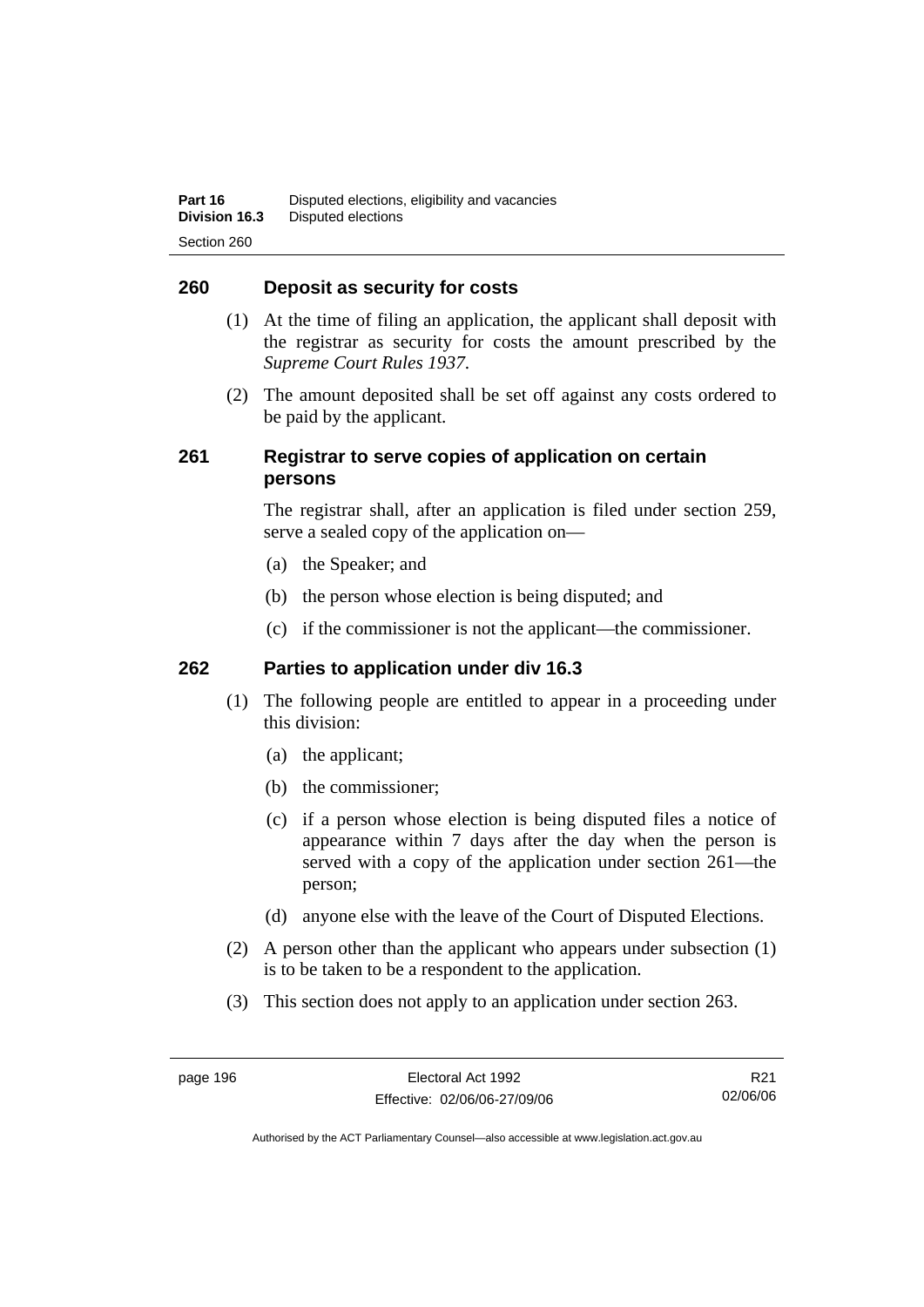## **260 Deposit as security for costs**

- (1) At the time of filing an application, the applicant shall deposit with the registrar as security for costs the amount prescribed by the *Supreme Court Rules 1937*.
- (2) The amount deposited shall be set off against any costs ordered to be paid by the applicant.

# **261 Registrar to serve copies of application on certain persons**

The registrar shall, after an application is filed under section 259, serve a sealed copy of the application on—

- (a) the Speaker; and
- (b) the person whose election is being disputed; and
- (c) if the commissioner is not the applicant—the commissioner.

#### **262 Parties to application under div 16.3**

- (1) The following people are entitled to appear in a proceeding under this division:
	- (a) the applicant;
	- (b) the commissioner;
	- (c) if a person whose election is being disputed files a notice of appearance within 7 days after the day when the person is served with a copy of the application under section 261—the person;
	- (d) anyone else with the leave of the Court of Disputed Elections.
- (2) A person other than the applicant who appears under subsection (1) is to be taken to be a respondent to the application.
- (3) This section does not apply to an application under section 263.

R21 02/06/06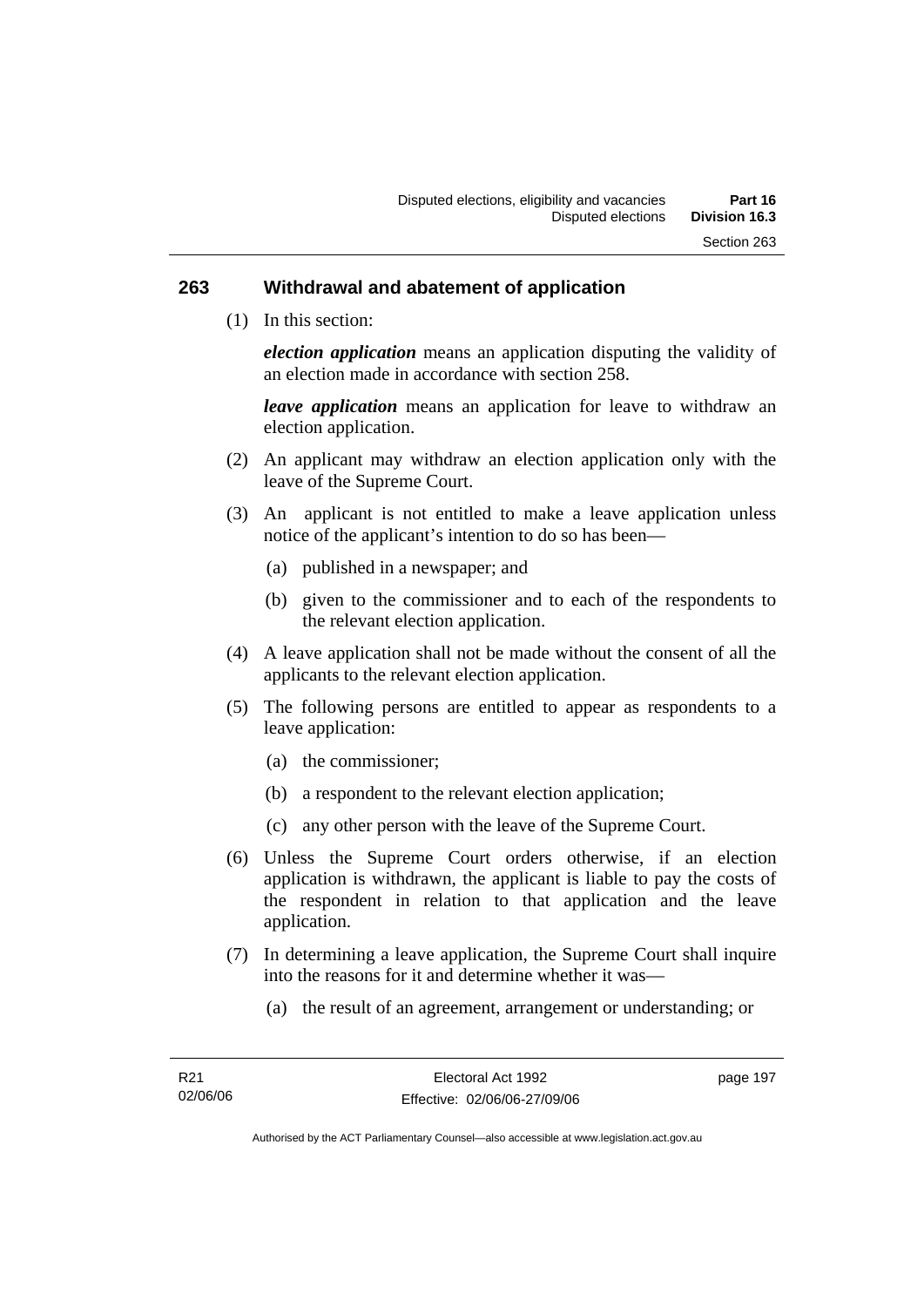#### **263 Withdrawal and abatement of application**

(1) In this section:

*election application* means an application disputing the validity of an election made in accordance with section 258.

*leave application* means an application for leave to withdraw an election application.

- (2) An applicant may withdraw an election application only with the leave of the Supreme Court.
- (3) An applicant is not entitled to make a leave application unless notice of the applicant's intention to do so has been—
	- (a) published in a newspaper; and
	- (b) given to the commissioner and to each of the respondents to the relevant election application.
- (4) A leave application shall not be made without the consent of all the applicants to the relevant election application.
- (5) The following persons are entitled to appear as respondents to a leave application:
	- (a) the commissioner;
	- (b) a respondent to the relevant election application;
	- (c) any other person with the leave of the Supreme Court.
- (6) Unless the Supreme Court orders otherwise, if an election application is withdrawn, the applicant is liable to pay the costs of the respondent in relation to that application and the leave application.
- (7) In determining a leave application, the Supreme Court shall inquire into the reasons for it and determine whether it was—
	- (a) the result of an agreement, arrangement or understanding; or

page 197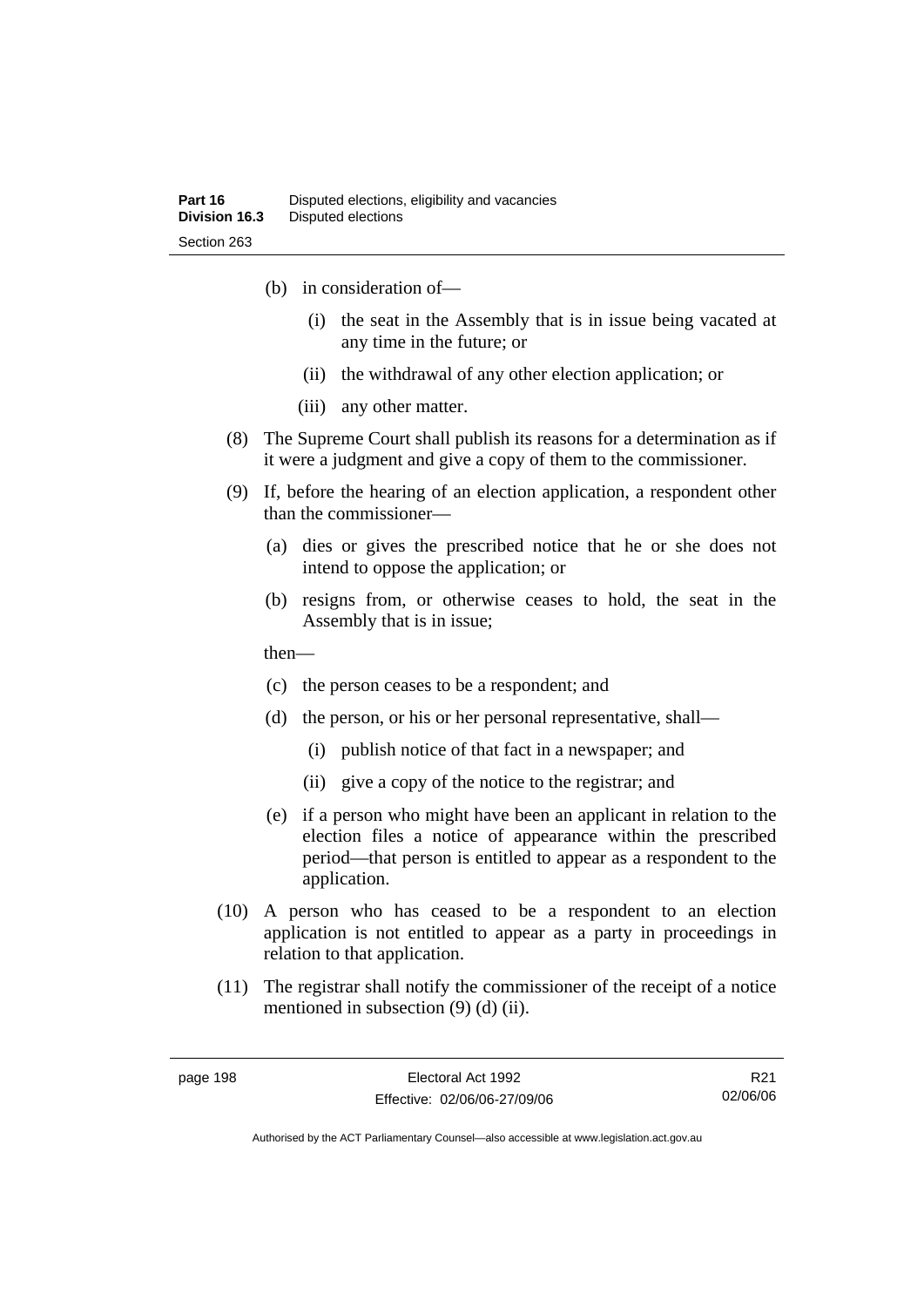- (b) in consideration of—
	- (i) the seat in the Assembly that is in issue being vacated at any time in the future; or
	- (ii) the withdrawal of any other election application; or
	- (iii) any other matter.
- (8) The Supreme Court shall publish its reasons for a determination as if it were a judgment and give a copy of them to the commissioner.
- (9) If, before the hearing of an election application, a respondent other than the commissioner—
	- (a) dies or gives the prescribed notice that he or she does not intend to oppose the application; or
	- (b) resigns from, or otherwise ceases to hold, the seat in the Assembly that is in issue;

then—

- (c) the person ceases to be a respondent; and
- (d) the person, or his or her personal representative, shall—
	- (i) publish notice of that fact in a newspaper; and
	- (ii) give a copy of the notice to the registrar; and
- (e) if a person who might have been an applicant in relation to the election files a notice of appearance within the prescribed period—that person is entitled to appear as a respondent to the application.
- (10) A person who has ceased to be a respondent to an election application is not entitled to appear as a party in proceedings in relation to that application.
- (11) The registrar shall notify the commissioner of the receipt of a notice mentioned in subsection (9) (d) (ii).

R21 02/06/06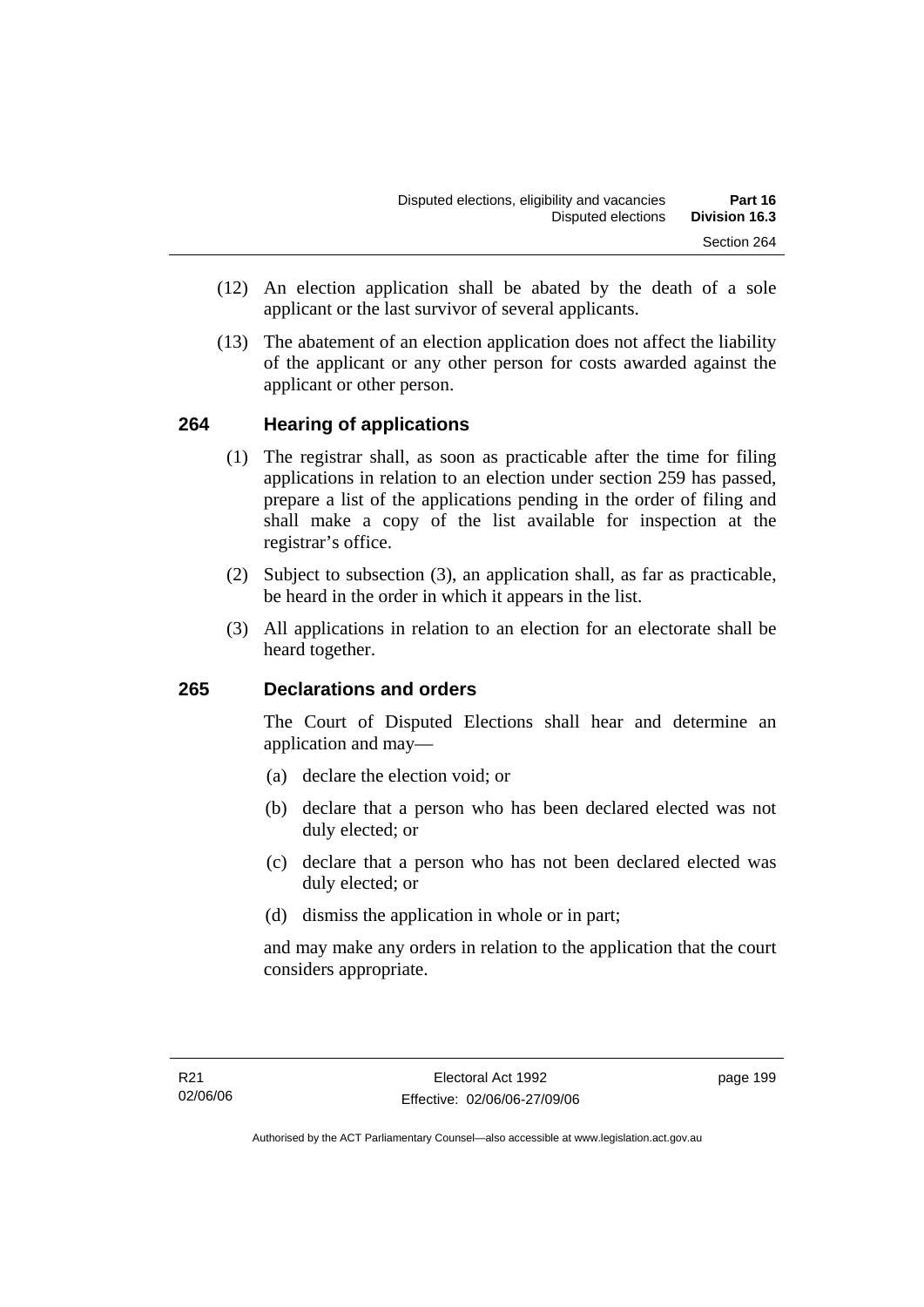- (12) An election application shall be abated by the death of a sole applicant or the last survivor of several applicants.
- (13) The abatement of an election application does not affect the liability of the applicant or any other person for costs awarded against the applicant or other person.

### **264 Hearing of applications**

- (1) The registrar shall, as soon as practicable after the time for filing applications in relation to an election under section 259 has passed, prepare a list of the applications pending in the order of filing and shall make a copy of the list available for inspection at the registrar's office.
- (2) Subject to subsection (3), an application shall, as far as practicable, be heard in the order in which it appears in the list.
- (3) All applications in relation to an election for an electorate shall be heard together.

### **265 Declarations and orders**

The Court of Disputed Elections shall hear and determine an application and may—

- (a) declare the election void; or
- (b) declare that a person who has been declared elected was not duly elected; or
- (c) declare that a person who has not been declared elected was duly elected; or
- (d) dismiss the application in whole or in part;

and may make any orders in relation to the application that the court considers appropriate.

page 199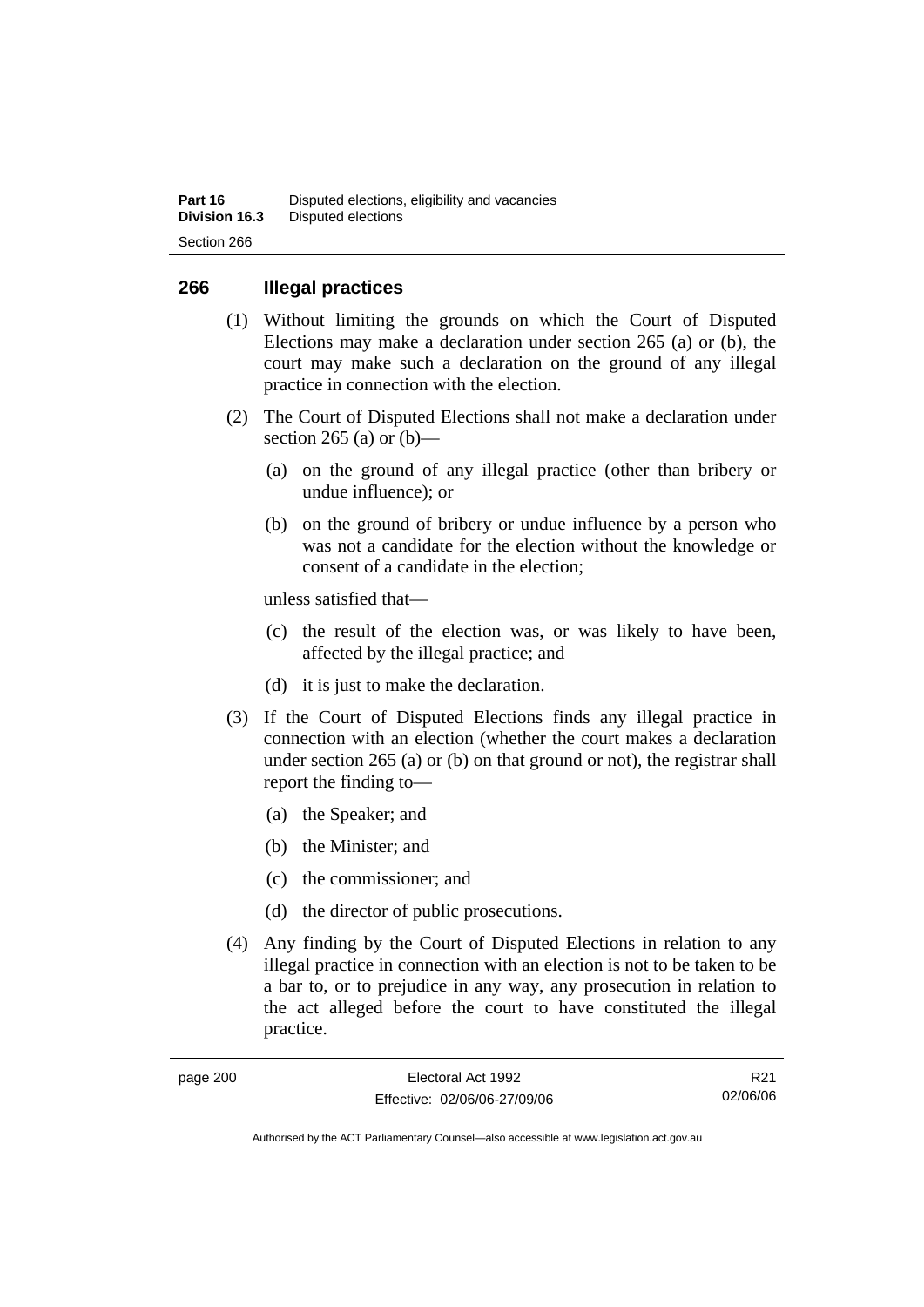### **266 Illegal practices**

- (1) Without limiting the grounds on which the Court of Disputed Elections may make a declaration under section 265 (a) or (b), the court may make such a declaration on the ground of any illegal practice in connection with the election.
- (2) The Court of Disputed Elections shall not make a declaration under section 265 (a) or  $(b)$ —
	- (a) on the ground of any illegal practice (other than bribery or undue influence); or
	- (b) on the ground of bribery or undue influence by a person who was not a candidate for the election without the knowledge or consent of a candidate in the election;

unless satisfied that—

- (c) the result of the election was, or was likely to have been, affected by the illegal practice; and
- (d) it is just to make the declaration.
- (3) If the Court of Disputed Elections finds any illegal practice in connection with an election (whether the court makes a declaration under section 265 (a) or (b) on that ground or not), the registrar shall report the finding to—
	- (a) the Speaker; and
	- (b) the Minister; and
	- (c) the commissioner; and
	- (d) the director of public prosecutions.
- (4) Any finding by the Court of Disputed Elections in relation to any illegal practice in connection with an election is not to be taken to be a bar to, or to prejudice in any way, any prosecution in relation to the act alleged before the court to have constituted the illegal practice.

| page 200 |  |
|----------|--|
|----------|--|

R21 02/06/06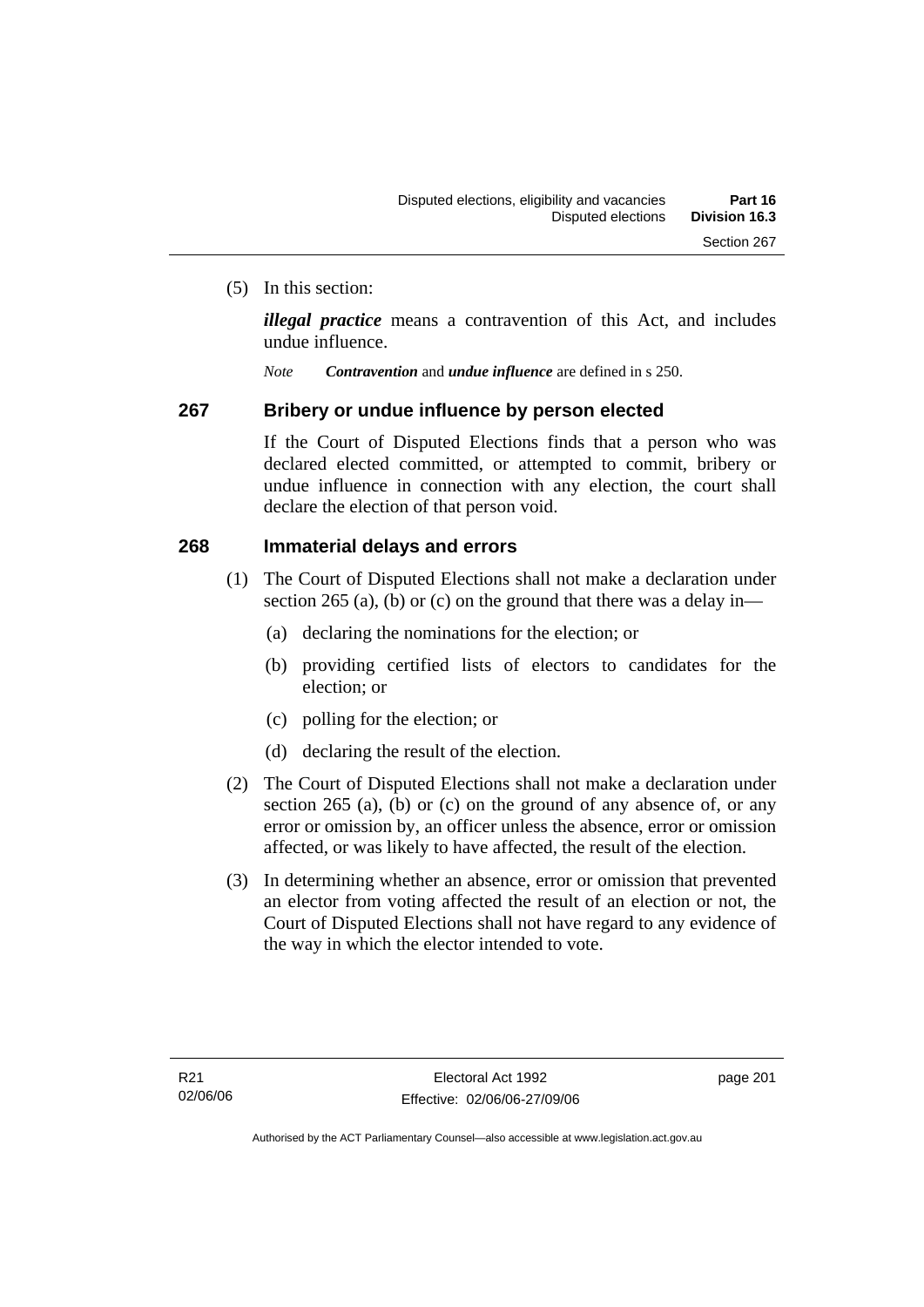(5) In this section:

*illegal practice* means a contravention of this Act, and includes undue influence.

*Note Contravention* and *undue influence* are defined in s 250.

### **267 Bribery or undue influence by person elected**

If the Court of Disputed Elections finds that a person who was declared elected committed, or attempted to commit, bribery or undue influence in connection with any election, the court shall declare the election of that person void.

### **268 Immaterial delays and errors**

- (1) The Court of Disputed Elections shall not make a declaration under section 265 (a), (b) or (c) on the ground that there was a delay in—
	- (a) declaring the nominations for the election; or
	- (b) providing certified lists of electors to candidates for the election; or
	- (c) polling for the election; or
	- (d) declaring the result of the election.
- (2) The Court of Disputed Elections shall not make a declaration under section 265 (a), (b) or (c) on the ground of any absence of, or any error or omission by, an officer unless the absence, error or omission affected, or was likely to have affected, the result of the election.
- (3) In determining whether an absence, error or omission that prevented an elector from voting affected the result of an election or not, the Court of Disputed Elections shall not have regard to any evidence of the way in which the elector intended to vote.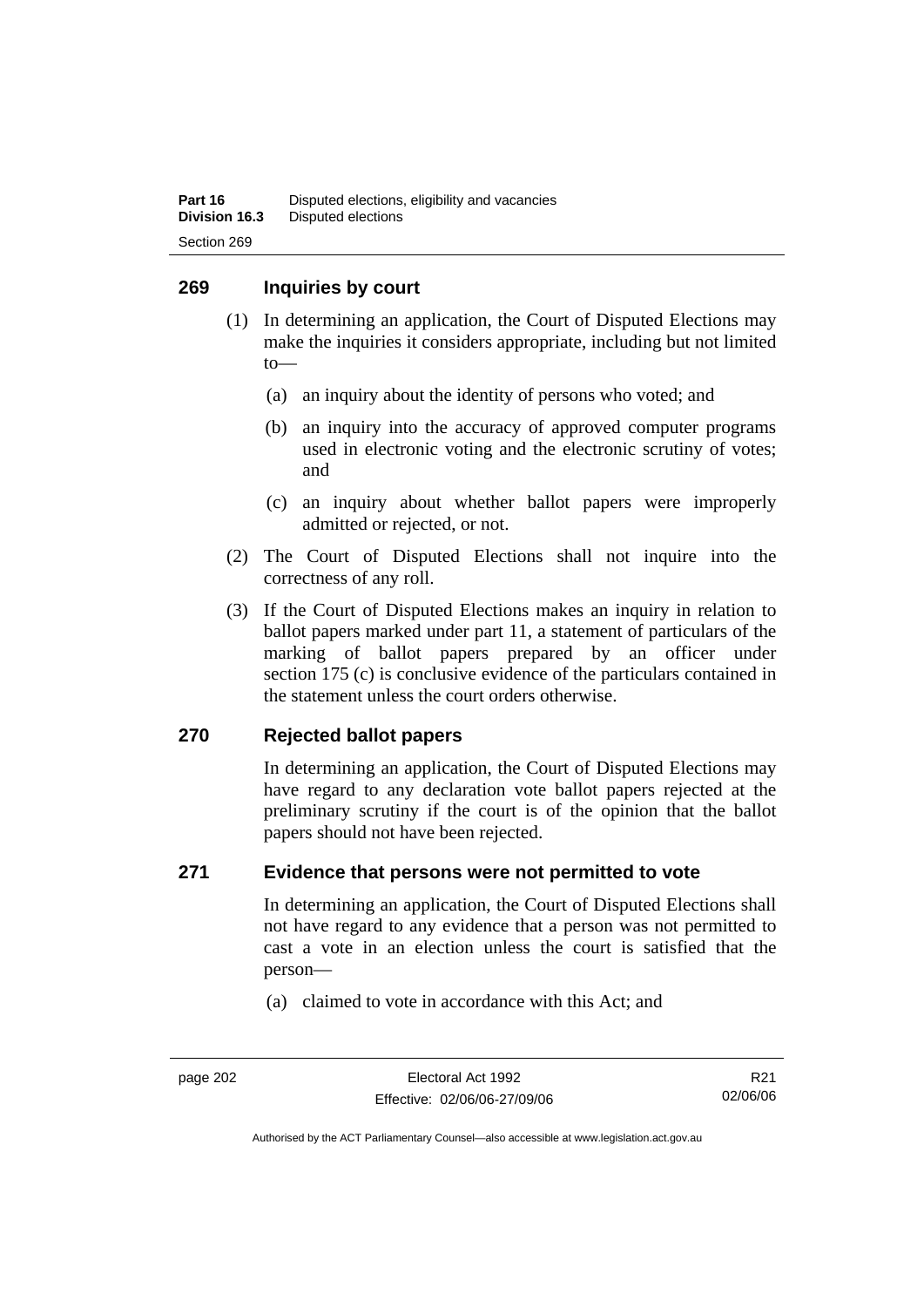### **269 Inquiries by court**

- (1) In determining an application, the Court of Disputed Elections may make the inquiries it considers appropriate, including but not limited to—
	- (a) an inquiry about the identity of persons who voted; and
	- (b) an inquiry into the accuracy of approved computer programs used in electronic voting and the electronic scrutiny of votes; and
	- (c) an inquiry about whether ballot papers were improperly admitted or rejected, or not.
- (2) The Court of Disputed Elections shall not inquire into the correctness of any roll.
- (3) If the Court of Disputed Elections makes an inquiry in relation to ballot papers marked under part 11, a statement of particulars of the marking of ballot papers prepared by an officer under section 175 (c) is conclusive evidence of the particulars contained in the statement unless the court orders otherwise.

### **270 Rejected ballot papers**

In determining an application, the Court of Disputed Elections may have regard to any declaration vote ballot papers rejected at the preliminary scrutiny if the court is of the opinion that the ballot papers should not have been rejected.

### **271 Evidence that persons were not permitted to vote**

In determining an application, the Court of Disputed Elections shall not have regard to any evidence that a person was not permitted to cast a vote in an election unless the court is satisfied that the person—

(a) claimed to vote in accordance with this Act; and

page 202 Electoral Act 1992 Effective: 02/06/06-27/09/06

R21 02/06/06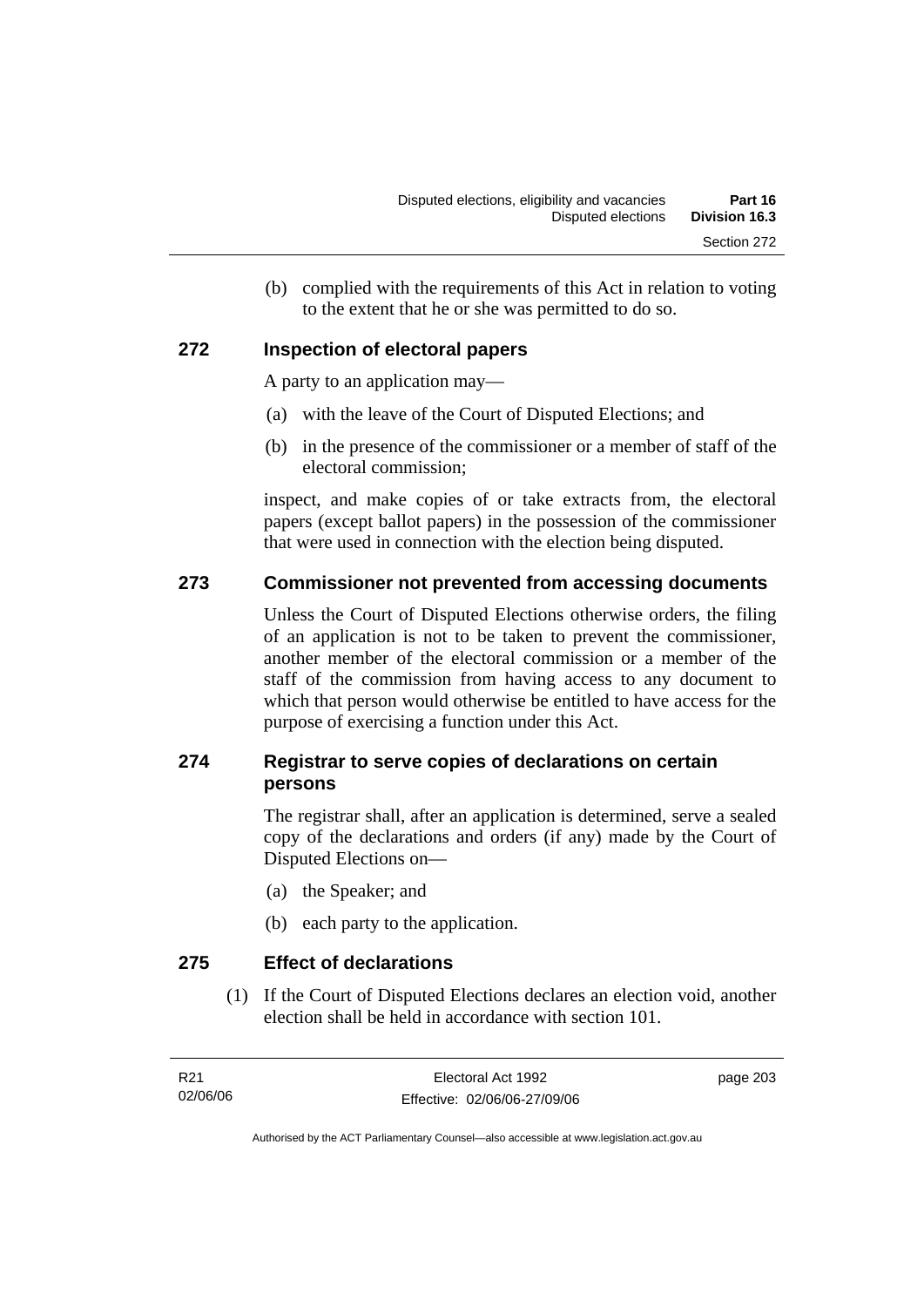(b) complied with the requirements of this Act in relation to voting to the extent that he or she was permitted to do so.

### **272 Inspection of electoral papers**

A party to an application may—

- (a) with the leave of the Court of Disputed Elections; and
- (b) in the presence of the commissioner or a member of staff of the electoral commission;

inspect, and make copies of or take extracts from, the electoral papers (except ballot papers) in the possession of the commissioner that were used in connection with the election being disputed.

### **273 Commissioner not prevented from accessing documents**

Unless the Court of Disputed Elections otherwise orders, the filing of an application is not to be taken to prevent the commissioner, another member of the electoral commission or a member of the staff of the commission from having access to any document to which that person would otherwise be entitled to have access for the purpose of exercising a function under this Act.

### **274 Registrar to serve copies of declarations on certain persons**

The registrar shall, after an application is determined, serve a sealed copy of the declarations and orders (if any) made by the Court of Disputed Elections on—

- (a) the Speaker; and
- (b) each party to the application.

**275 Effect of declarations** 

 (1) If the Court of Disputed Elections declares an election void, another election shall be held in accordance with section 101.

page 203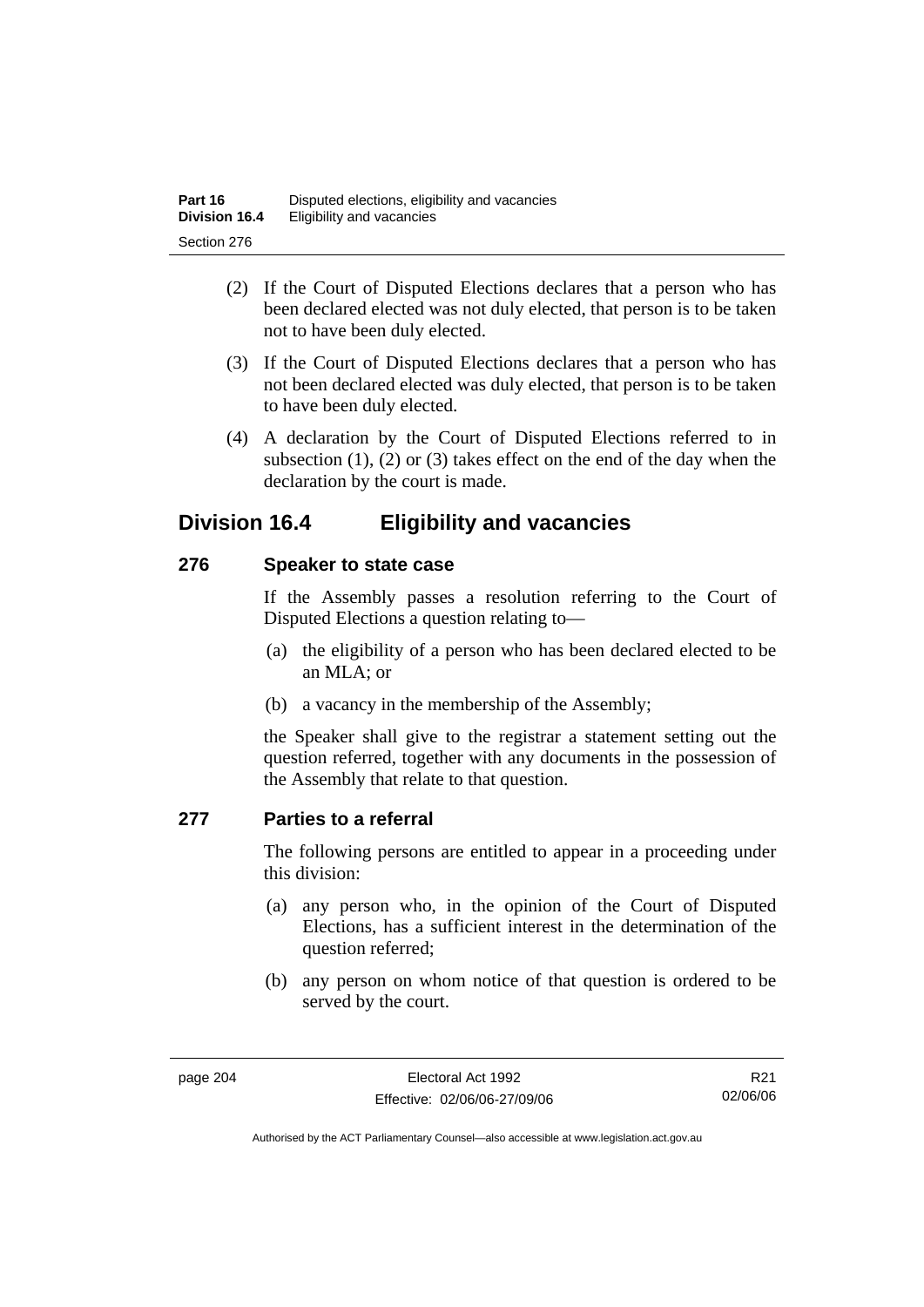- (2) If the Court of Disputed Elections declares that a person who has been declared elected was not duly elected, that person is to be taken not to have been duly elected.
- (3) If the Court of Disputed Elections declares that a person who has not been declared elected was duly elected, that person is to be taken to have been duly elected.
- (4) A declaration by the Court of Disputed Elections referred to in subsection  $(1)$ ,  $(2)$  or  $(3)$  takes effect on the end of the day when the declaration by the court is made.

## **Division 16.4 Eligibility and vacancies**

### **276 Speaker to state case**

If the Assembly passes a resolution referring to the Court of Disputed Elections a question relating to—

- (a) the eligibility of a person who has been declared elected to be an MLA; or
- (b) a vacancy in the membership of the Assembly;

the Speaker shall give to the registrar a statement setting out the question referred, together with any documents in the possession of the Assembly that relate to that question.

### **277 Parties to a referral**

The following persons are entitled to appear in a proceeding under this division:

- (a) any person who, in the opinion of the Court of Disputed Elections, has a sufficient interest in the determination of the question referred;
- (b) any person on whom notice of that question is ordered to be served by the court.

R21 02/06/06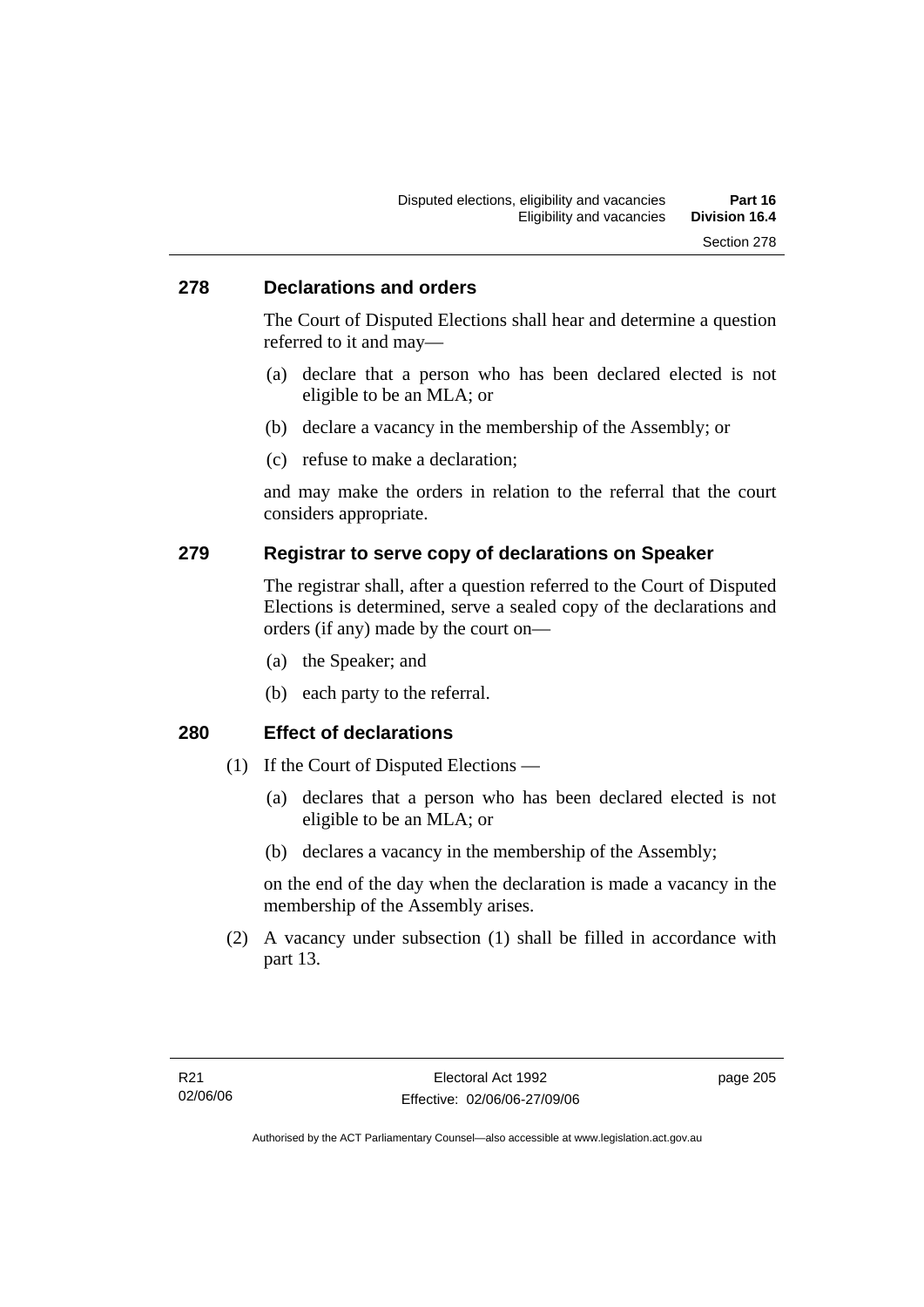### **278 Declarations and orders**

The Court of Disputed Elections shall hear and determine a question referred to it and may—

- (a) declare that a person who has been declared elected is not eligible to be an MLA; or
- (b) declare a vacancy in the membership of the Assembly; or
- (c) refuse to make a declaration;

and may make the orders in relation to the referral that the court considers appropriate.

### **279 Registrar to serve copy of declarations on Speaker**

The registrar shall, after a question referred to the Court of Disputed Elections is determined, serve a sealed copy of the declarations and orders (if any) made by the court on—

- (a) the Speaker; and
- (b) each party to the referral.

### **280 Effect of declarations**

- (1) If the Court of Disputed Elections
	- (a) declares that a person who has been declared elected is not eligible to be an MLA; or
	- (b) declares a vacancy in the membership of the Assembly;

on the end of the day when the declaration is made a vacancy in the membership of the Assembly arises.

 (2) A vacancy under subsection (1) shall be filled in accordance with part 13.

page 205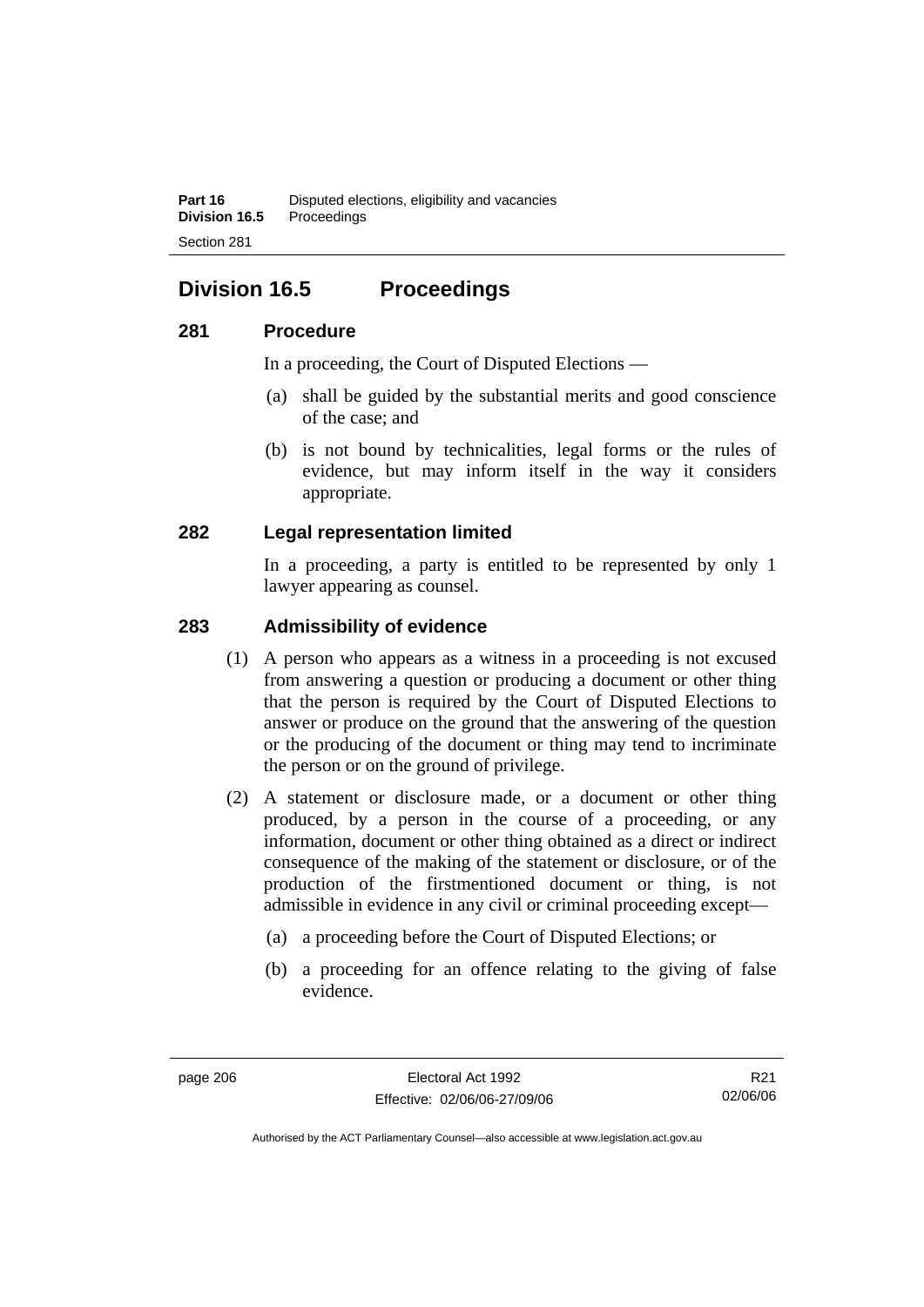## **Division 16.5 Proceedings**

### **281 Procedure**

In a proceeding, the Court of Disputed Elections —

- (a) shall be guided by the substantial merits and good conscience of the case; and
- (b) is not bound by technicalities, legal forms or the rules of evidence, but may inform itself in the way it considers appropriate.

### **282 Legal representation limited**

In a proceeding, a party is entitled to be represented by only 1 lawyer appearing as counsel.

### **283 Admissibility of evidence**

- (1) A person who appears as a witness in a proceeding is not excused from answering a question or producing a document or other thing that the person is required by the Court of Disputed Elections to answer or produce on the ground that the answering of the question or the producing of the document or thing may tend to incriminate the person or on the ground of privilege.
- (2) A statement or disclosure made, or a document or other thing produced, by a person in the course of a proceeding, or any information, document or other thing obtained as a direct or indirect consequence of the making of the statement or disclosure, or of the production of the firstmentioned document or thing, is not admissible in evidence in any civil or criminal proceeding except—
	- (a) a proceeding before the Court of Disputed Elections; or
	- (b) a proceeding for an offence relating to the giving of false evidence.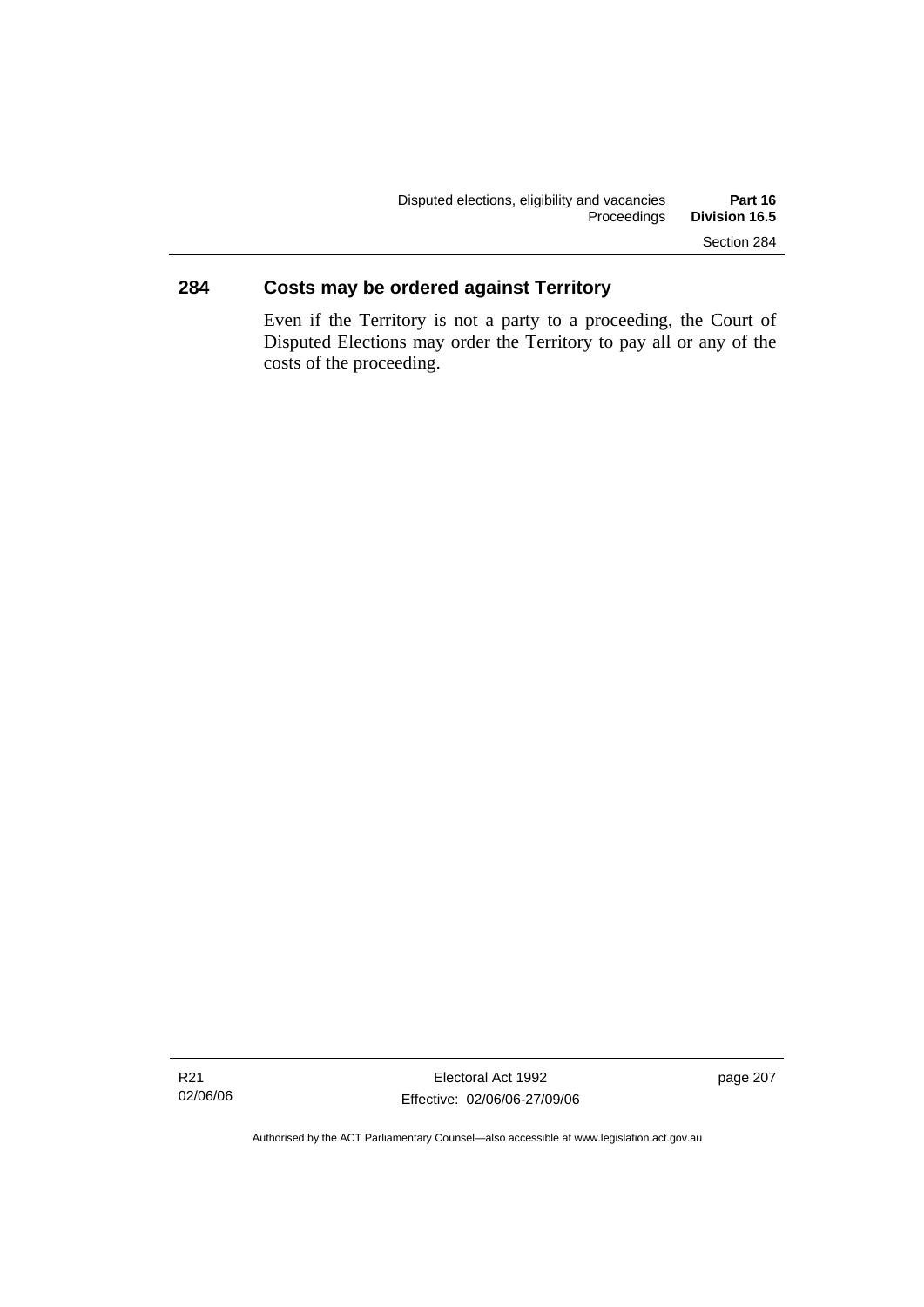### **284 Costs may be ordered against Territory**

Even if the Territory is not a party to a proceeding, the Court of Disputed Elections may order the Territory to pay all or any of the costs of the proceeding.

page 207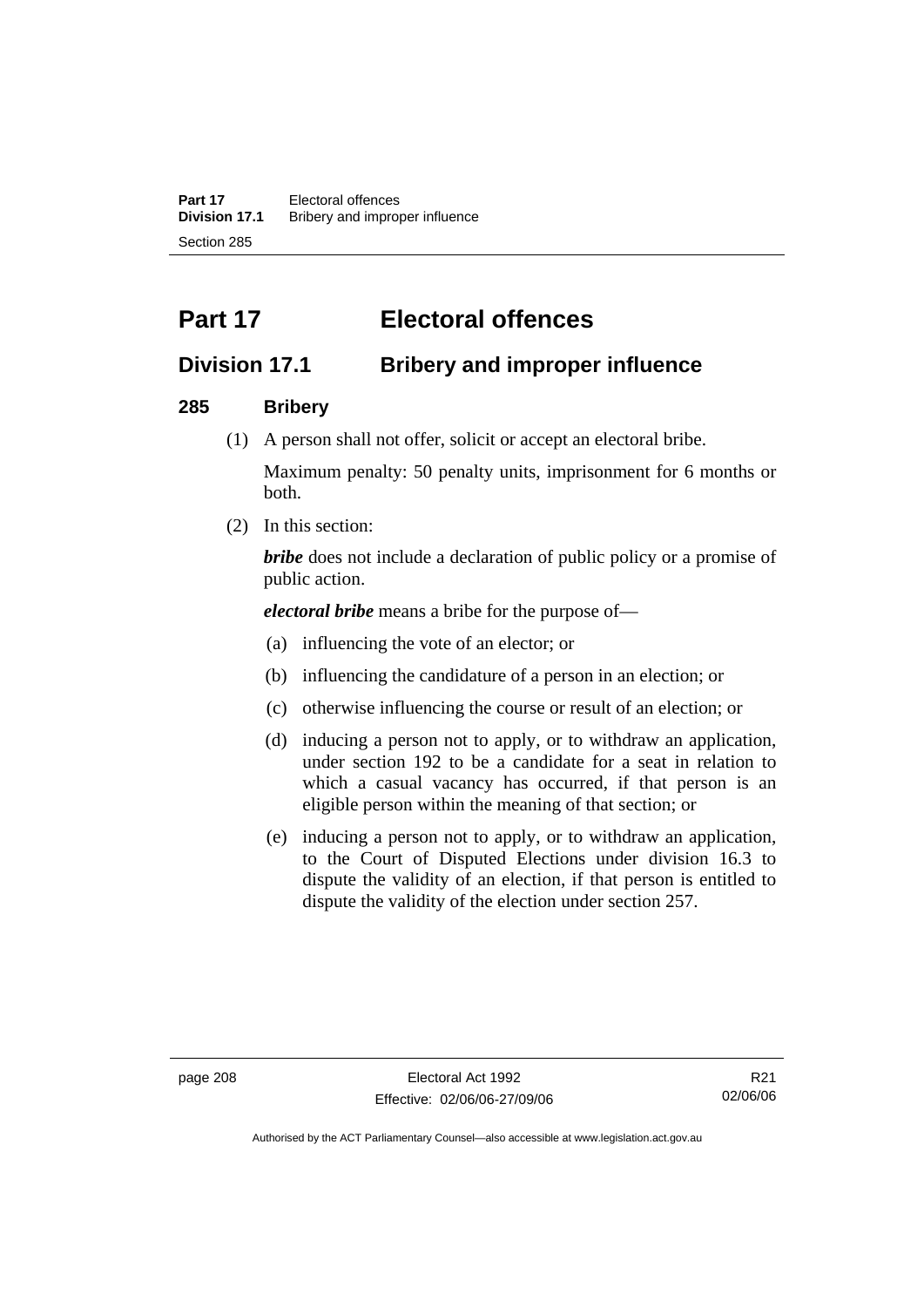**Part 17** Electoral offences **Division 17.1** Bribery and improper influence Section 285

# **Part 17 Electoral offences**

## **Division 17.1 Bribery and improper influence**

### **285 Bribery**

(1) A person shall not offer, solicit or accept an electoral bribe.

Maximum penalty: 50 penalty units, imprisonment for 6 months or both.

(2) In this section:

*bribe* does not include a declaration of public policy or a promise of public action.

*electoral bribe* means a bribe for the purpose of—

- (a) influencing the vote of an elector; or
- (b) influencing the candidature of a person in an election; or
- (c) otherwise influencing the course or result of an election; or
- (d) inducing a person not to apply, or to withdraw an application, under section 192 to be a candidate for a seat in relation to which a casual vacancy has occurred, if that person is an eligible person within the meaning of that section; or
- (e) inducing a person not to apply, or to withdraw an application, to the Court of Disputed Elections under division 16.3 to dispute the validity of an election, if that person is entitled to dispute the validity of the election under section 257.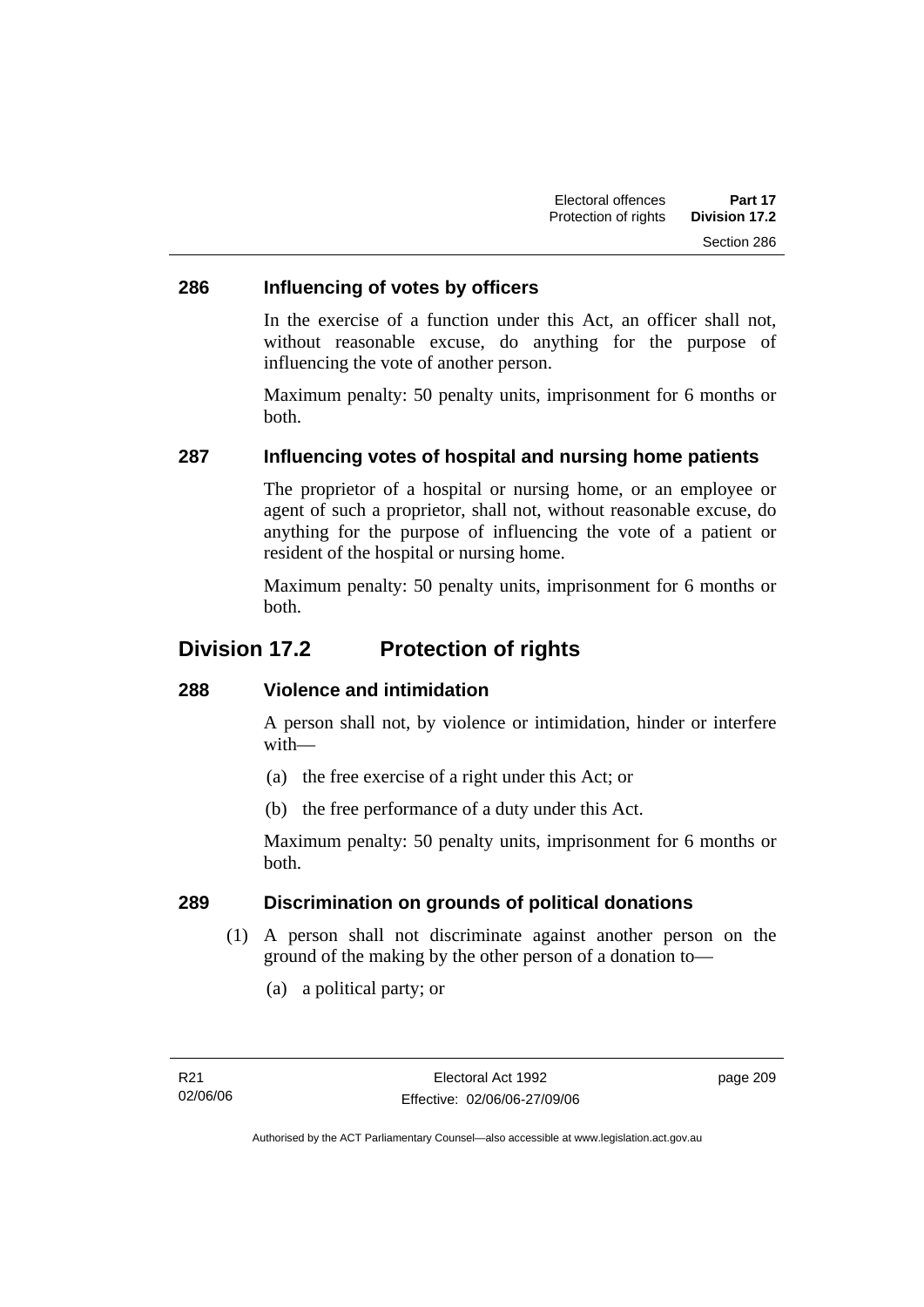### **286 Influencing of votes by officers**

In the exercise of a function under this Act, an officer shall not, without reasonable excuse, do anything for the purpose of influencing the vote of another person.

Maximum penalty: 50 penalty units, imprisonment for 6 months or both.

### **287 Influencing votes of hospital and nursing home patients**

The proprietor of a hospital or nursing home, or an employee or agent of such a proprietor, shall not, without reasonable excuse, do anything for the purpose of influencing the vote of a patient or resident of the hospital or nursing home.

Maximum penalty: 50 penalty units, imprisonment for 6 months or both.

### **Division 17.2 Protection of rights**

### **288 Violence and intimidation**

A person shall not, by violence or intimidation, hinder or interfere with—

- (a) the free exercise of a right under this Act; or
- (b) the free performance of a duty under this Act.

Maximum penalty: 50 penalty units, imprisonment for 6 months or both.

### **289 Discrimination on grounds of political donations**

- (1) A person shall not discriminate against another person on the ground of the making by the other person of a donation to—
	- (a) a political party; or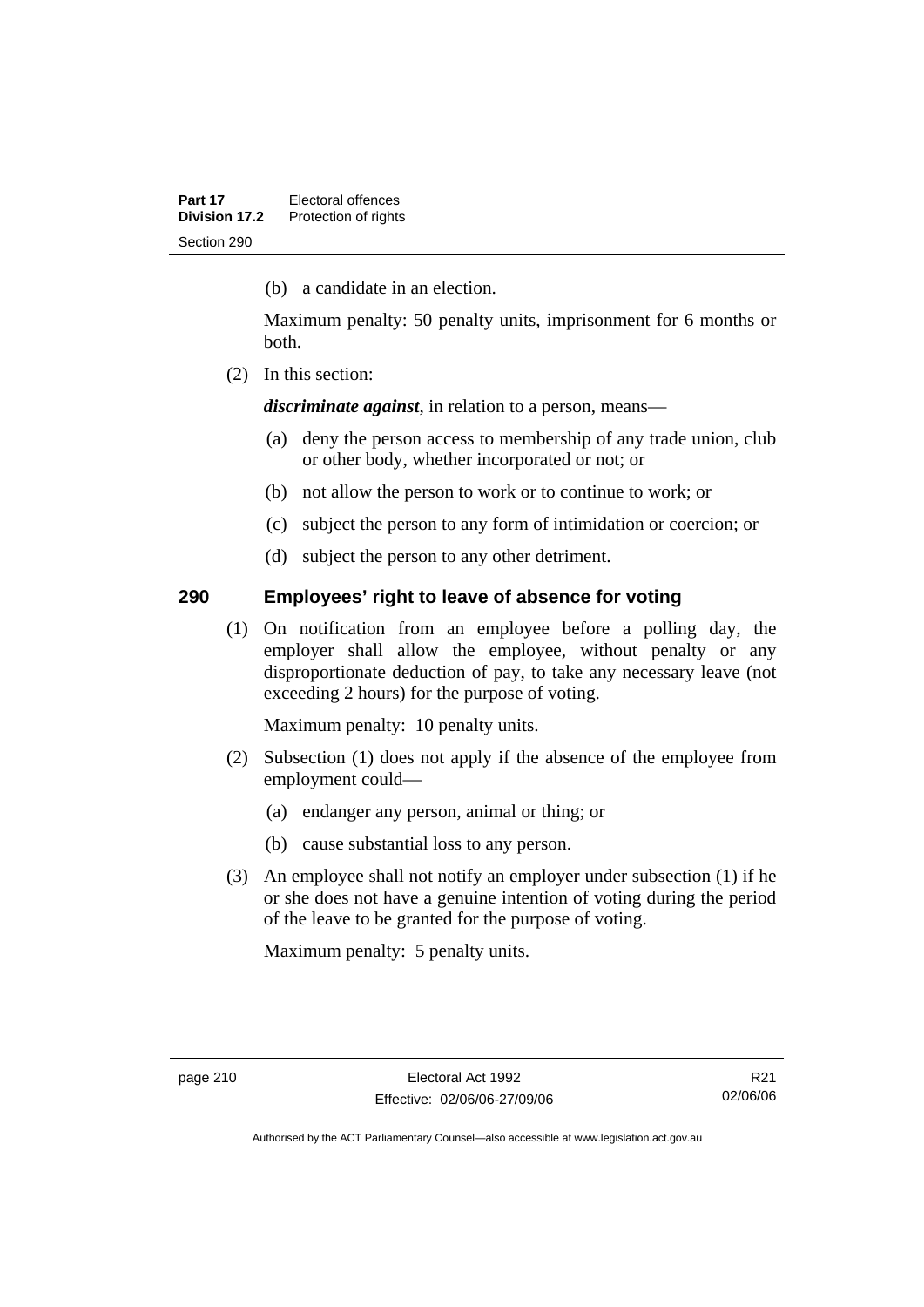(b) a candidate in an election.

Maximum penalty: 50 penalty units, imprisonment for 6 months or both.

(2) In this section:

*discriminate against*, in relation to a person, means—

- (a) deny the person access to membership of any trade union, club or other body, whether incorporated or not; or
- (b) not allow the person to work or to continue to work; or
- (c) subject the person to any form of intimidation or coercion; or
- (d) subject the person to any other detriment.

### **290 Employees' right to leave of absence for voting**

 (1) On notification from an employee before a polling day, the employer shall allow the employee, without penalty or any disproportionate deduction of pay, to take any necessary leave (not exceeding 2 hours) for the purpose of voting.

Maximum penalty: 10 penalty units.

- (2) Subsection (1) does not apply if the absence of the employee from employment could—
	- (a) endanger any person, animal or thing; or
	- (b) cause substantial loss to any person.
- (3) An employee shall not notify an employer under subsection (1) if he or she does not have a genuine intention of voting during the period of the leave to be granted for the purpose of voting.

Maximum penalty: 5 penalty units.

R21 02/06/06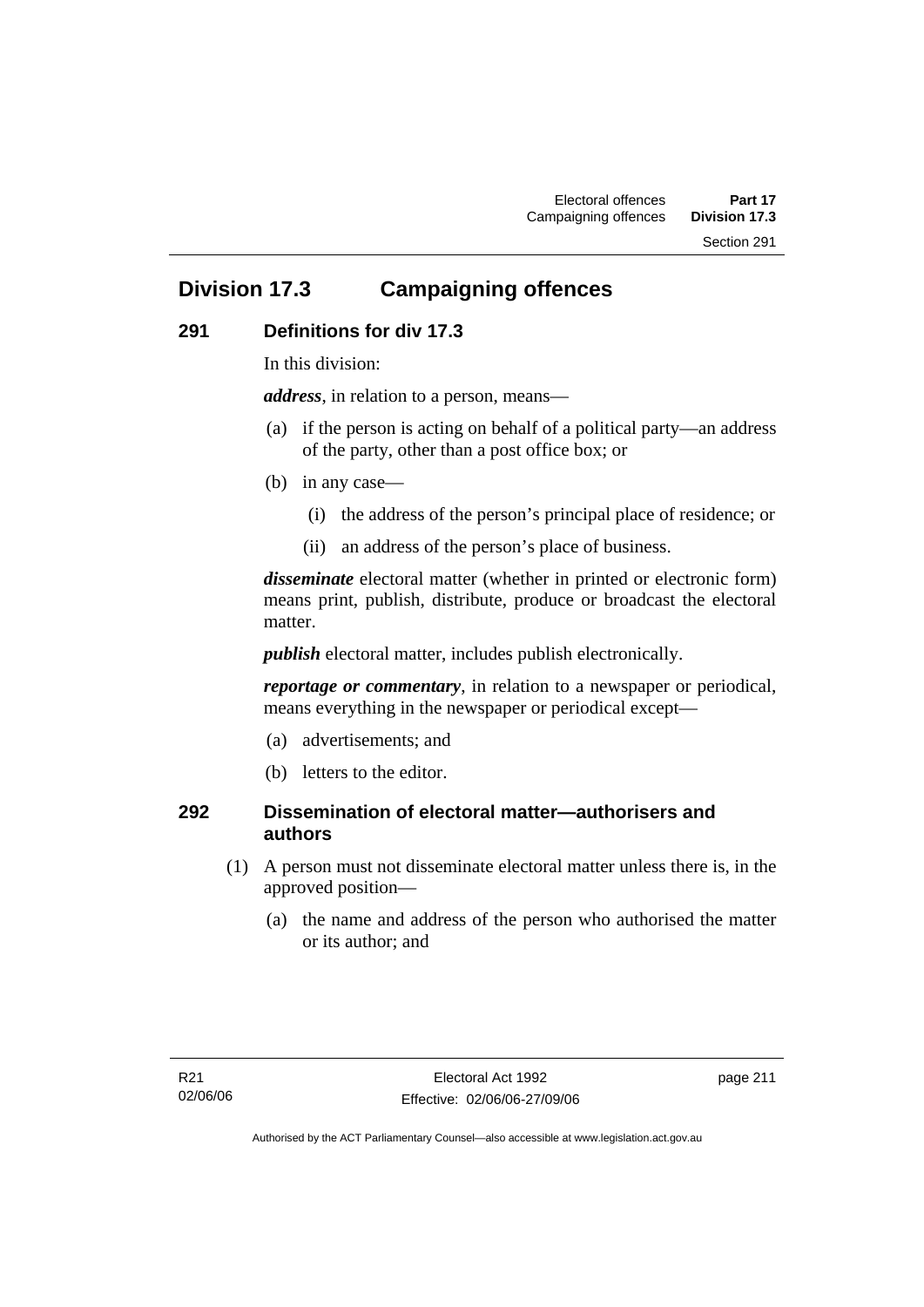Section 291

## **Division 17.3 Campaigning offences**

### **291 Definitions for div 17.3**

In this division:

*address*, in relation to a person, means—

- (a) if the person is acting on behalf of a political party—an address of the party, other than a post office box; or
- (b) in any case—
	- (i) the address of the person's principal place of residence; or
	- (ii) an address of the person's place of business.

*disseminate* electoral matter (whether in printed or electronic form) means print, publish, distribute, produce or broadcast the electoral matter.

*publish* electoral matter, includes publish electronically.

*reportage or commentary*, in relation to a newspaper or periodical, means everything in the newspaper or periodical except—

- (a) advertisements; and
- (b) letters to the editor.

### **292 Dissemination of electoral matter—authorisers and authors**

- (1) A person must not disseminate electoral matter unless there is, in the approved position—
	- (a) the name and address of the person who authorised the matter or its author; and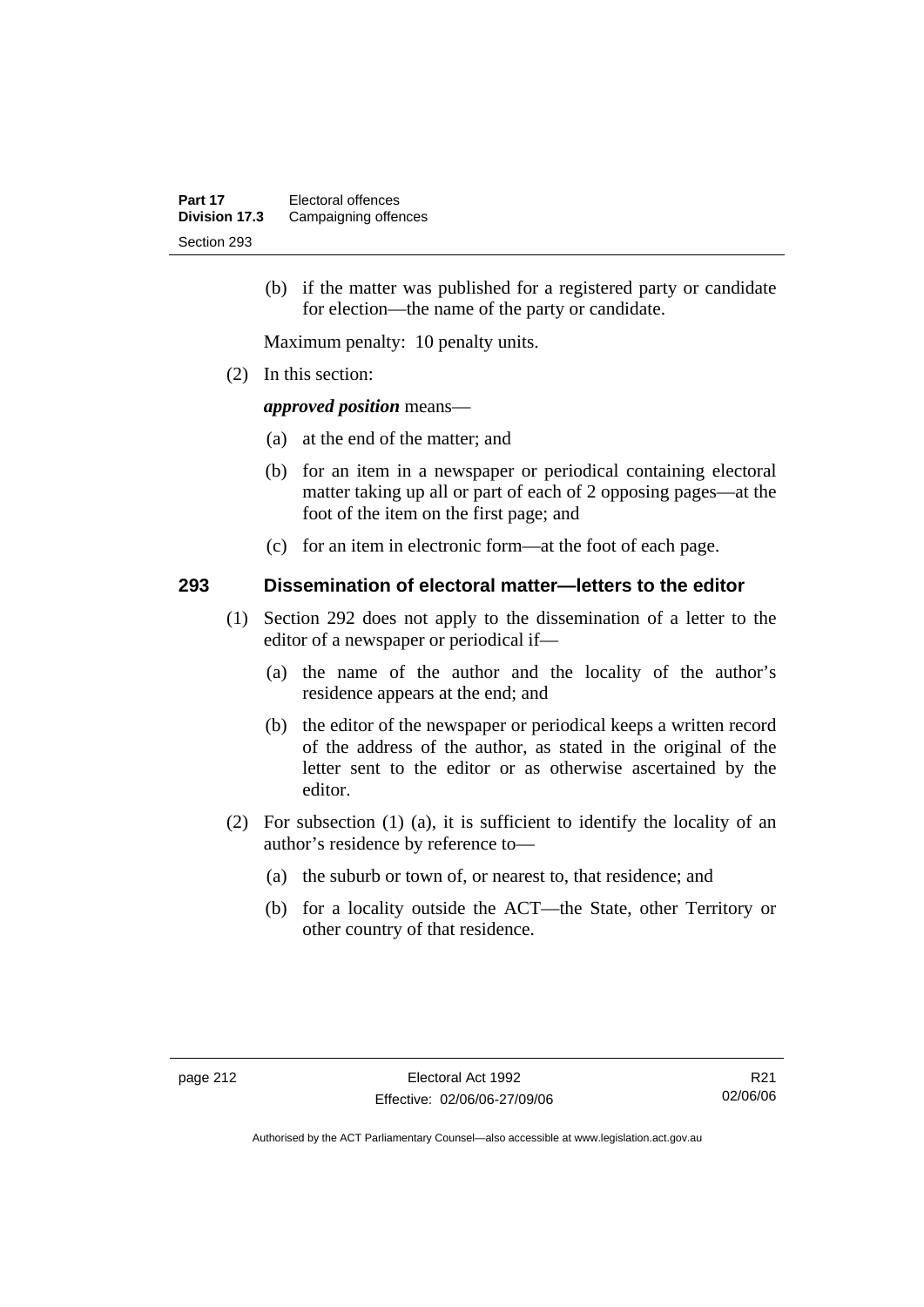(b) if the matter was published for a registered party or candidate for election—the name of the party or candidate.

Maximum penalty: 10 penalty units.

(2) In this section:

*approved position* means—

- (a) at the end of the matter; and
- (b) for an item in a newspaper or periodical containing electoral matter taking up all or part of each of 2 opposing pages—at the foot of the item on the first page; and
- (c) for an item in electronic form—at the foot of each page.

### **293 Dissemination of electoral matter—letters to the editor**

- (1) Section 292 does not apply to the dissemination of a letter to the editor of a newspaper or periodical if—
	- (a) the name of the author and the locality of the author's residence appears at the end; and
	- (b) the editor of the newspaper or periodical keeps a written record of the address of the author, as stated in the original of the letter sent to the editor or as otherwise ascertained by the editor.
- (2) For subsection (1) (a), it is sufficient to identify the locality of an author's residence by reference to—
	- (a) the suburb or town of, or nearest to, that residence; and
	- (b) for a locality outside the ACT—the State, other Territory or other country of that residence.

R21 02/06/06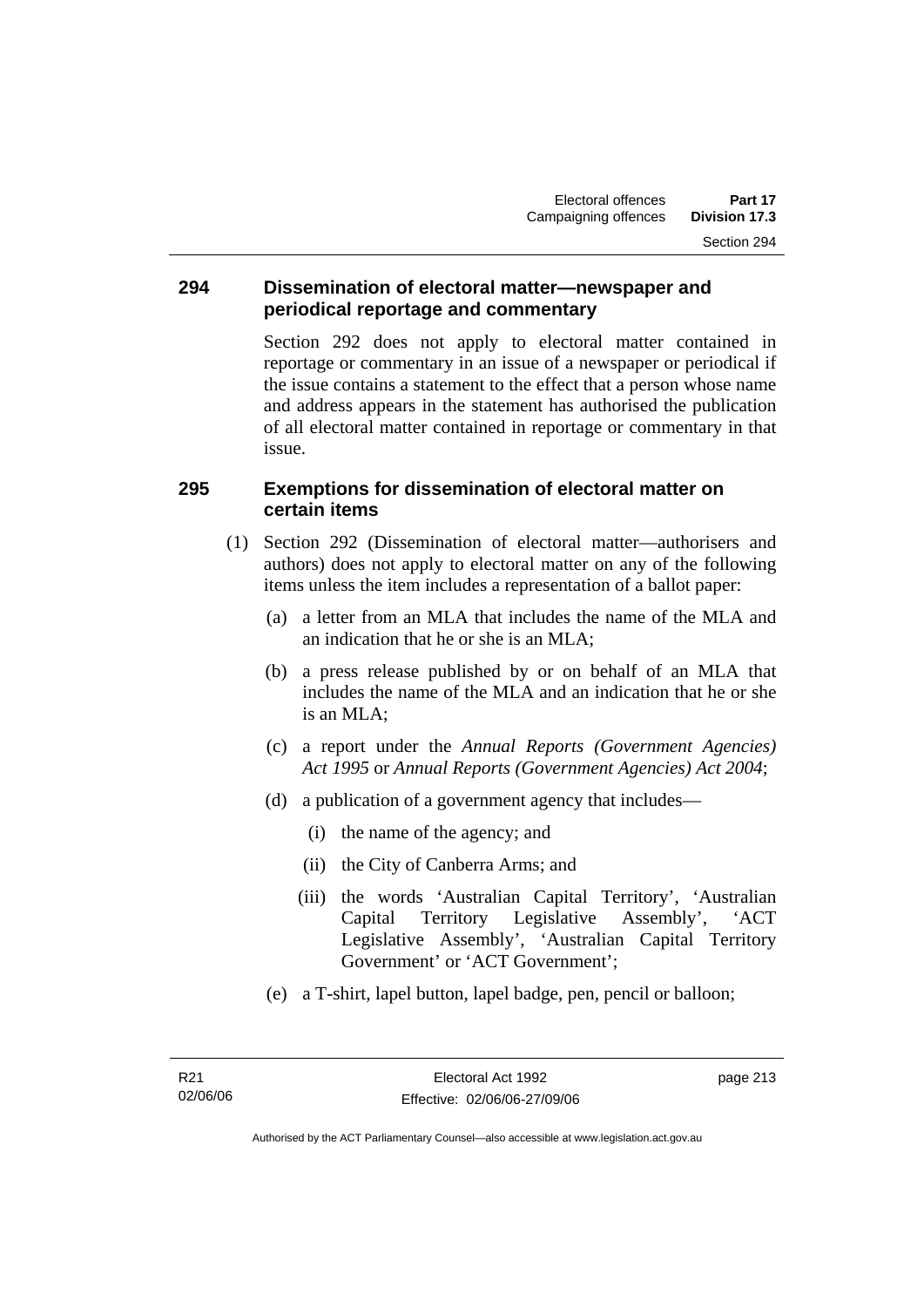### **294 Dissemination of electoral matter—newspaper and periodical reportage and commentary**

Section 292 does not apply to electoral matter contained in reportage or commentary in an issue of a newspaper or periodical if the issue contains a statement to the effect that a person whose name and address appears in the statement has authorised the publication of all electoral matter contained in reportage or commentary in that issue.

### **295 Exemptions for dissemination of electoral matter on certain items**

- (1) Section 292 (Dissemination of electoral matter—authorisers and authors) does not apply to electoral matter on any of the following items unless the item includes a representation of a ballot paper:
	- (a) a letter from an MLA that includes the name of the MLA and an indication that he or she is an MLA;
	- (b) a press release published by or on behalf of an MLA that includes the name of the MLA and an indication that he or she is an MLA;
	- (c) a report under the *Annual Reports (Government Agencies) Act 1995* or *Annual Reports (Government Agencies) Act 2004*;
	- (d) a publication of a government agency that includes—
		- (i) the name of the agency; and
		- (ii) the City of Canberra Arms; and
		- (iii) the words 'Australian Capital Territory', 'Australian Capital Territory Legislative Assembly', 'ACT Legislative Assembly', 'Australian Capital Territory Government' or 'ACT Government';
	- (e) a T-shirt, lapel button, lapel badge, pen, pencil or balloon;

page 213

Authorised by the ACT Parliamentary Counsel—also accessible at www.legislation.act.gov.au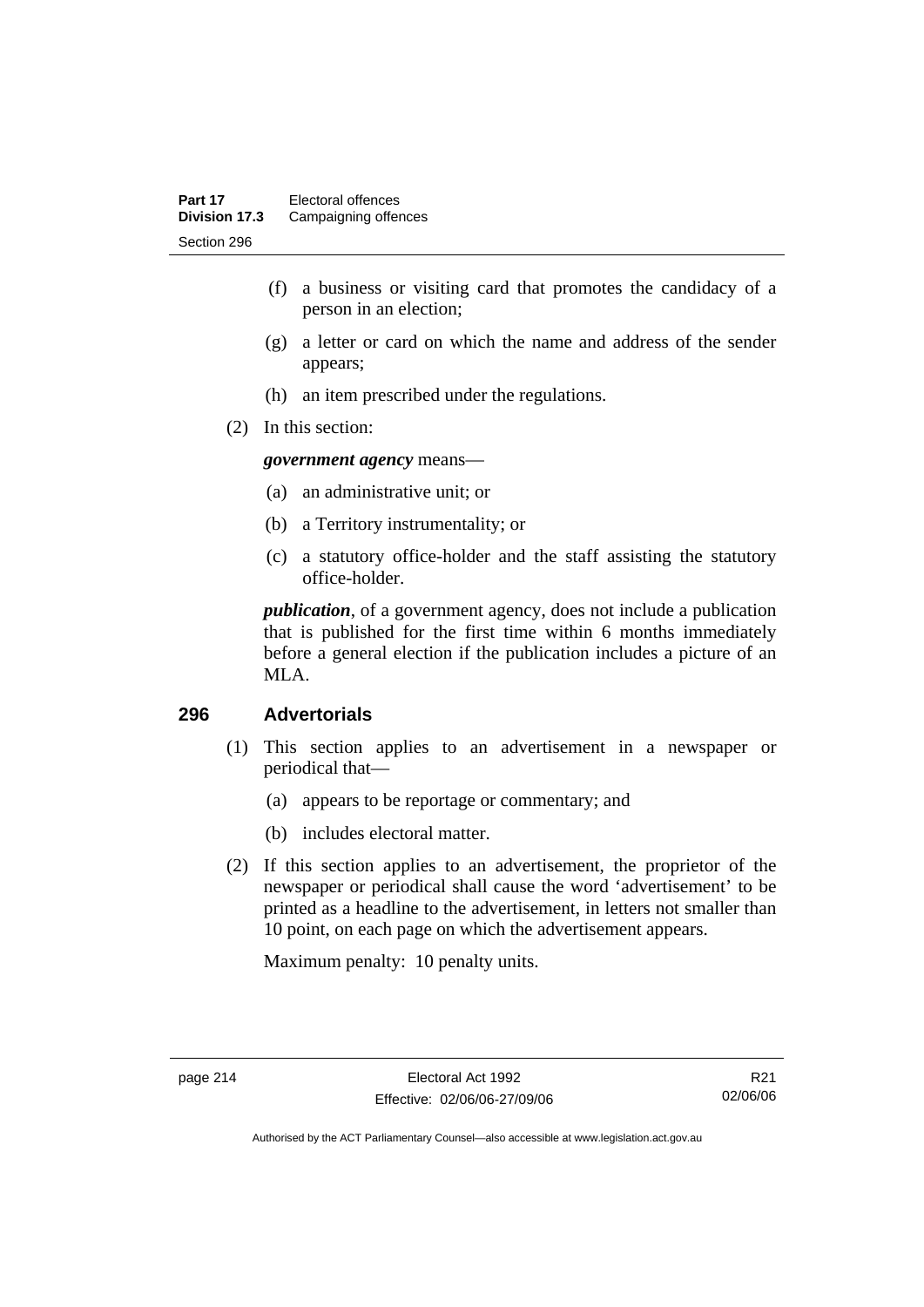- (f) a business or visiting card that promotes the candidacy of a person in an election;
- (g) a letter or card on which the name and address of the sender appears;
- (h) an item prescribed under the regulations.
- (2) In this section:

*government agency* means—

- (a) an administrative unit; or
- (b) a Territory instrumentality; or
- (c) a statutory office-holder and the staff assisting the statutory office-holder.

*publication*, of a government agency, does not include a publication that is published for the first time within 6 months immediately before a general election if the publication includes a picture of an MLA.

### **296 Advertorials**

- (1) This section applies to an advertisement in a newspaper or periodical that—
	- (a) appears to be reportage or commentary; and
	- (b) includes electoral matter.
- (2) If this section applies to an advertisement, the proprietor of the newspaper or periodical shall cause the word 'advertisement' to be printed as a headline to the advertisement, in letters not smaller than 10 point, on each page on which the advertisement appears.

Maximum penalty: 10 penalty units.

R21 02/06/06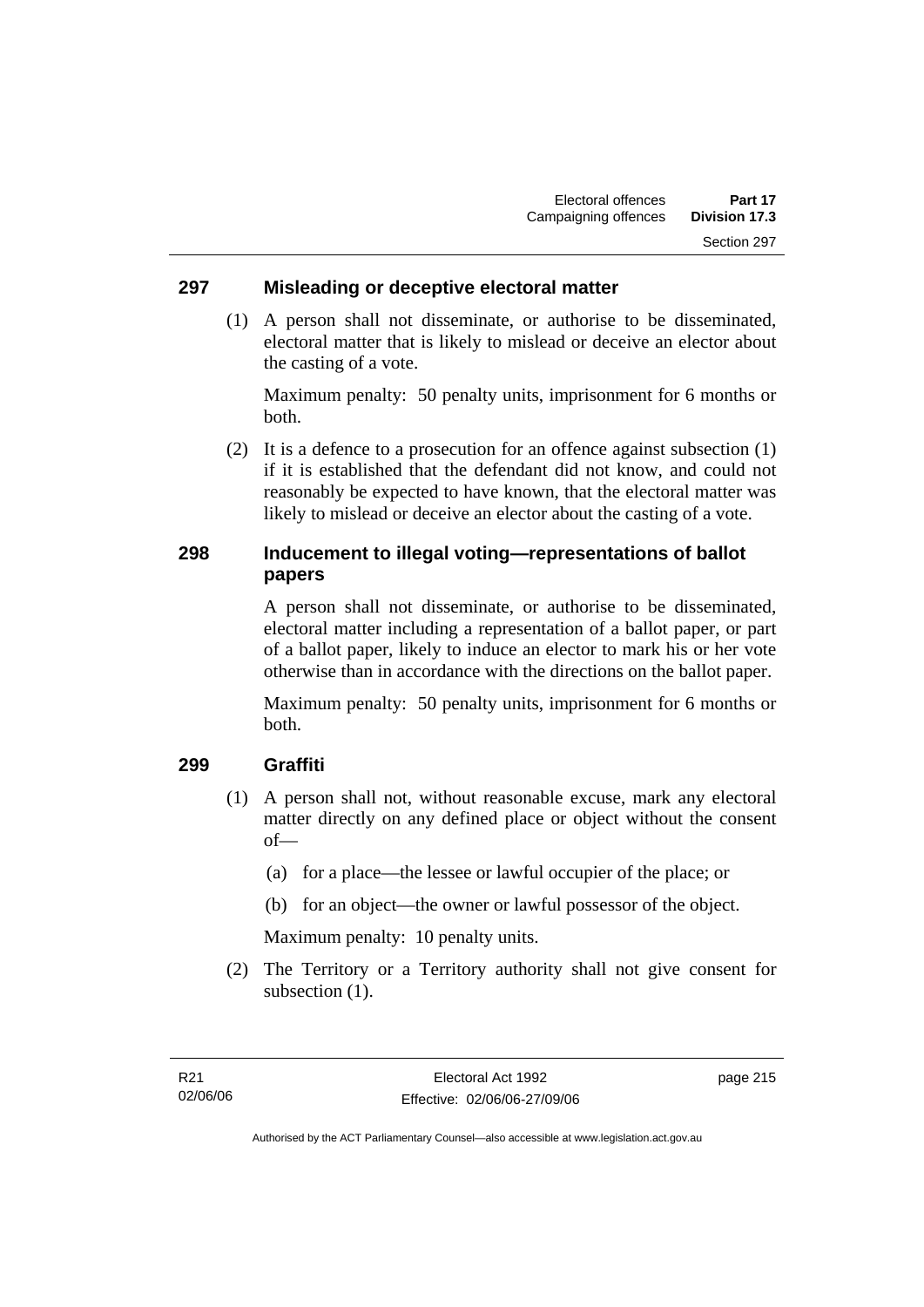### **297 Misleading or deceptive electoral matter**

 (1) A person shall not disseminate, or authorise to be disseminated, electoral matter that is likely to mislead or deceive an elector about the casting of a vote.

Maximum penalty: 50 penalty units, imprisonment for 6 months or both.

 (2) It is a defence to a prosecution for an offence against subsection (1) if it is established that the defendant did not know, and could not reasonably be expected to have known, that the electoral matter was likely to mislead or deceive an elector about the casting of a vote.

### **298 Inducement to illegal voting—representations of ballot papers**

A person shall not disseminate, or authorise to be disseminated, electoral matter including a representation of a ballot paper, or part of a ballot paper, likely to induce an elector to mark his or her vote otherwise than in accordance with the directions on the ballot paper.

Maximum penalty: 50 penalty units, imprisonment for 6 months or both.

#### **299 Graffiti**

- (1) A person shall not, without reasonable excuse, mark any electoral matter directly on any defined place or object without the consent of—
	- (a) for a place—the lessee or lawful occupier of the place; or
	- (b) for an object—the owner or lawful possessor of the object.

Maximum penalty: 10 penalty units.

 (2) The Territory or a Territory authority shall not give consent for subsection  $(1)$ .

page 215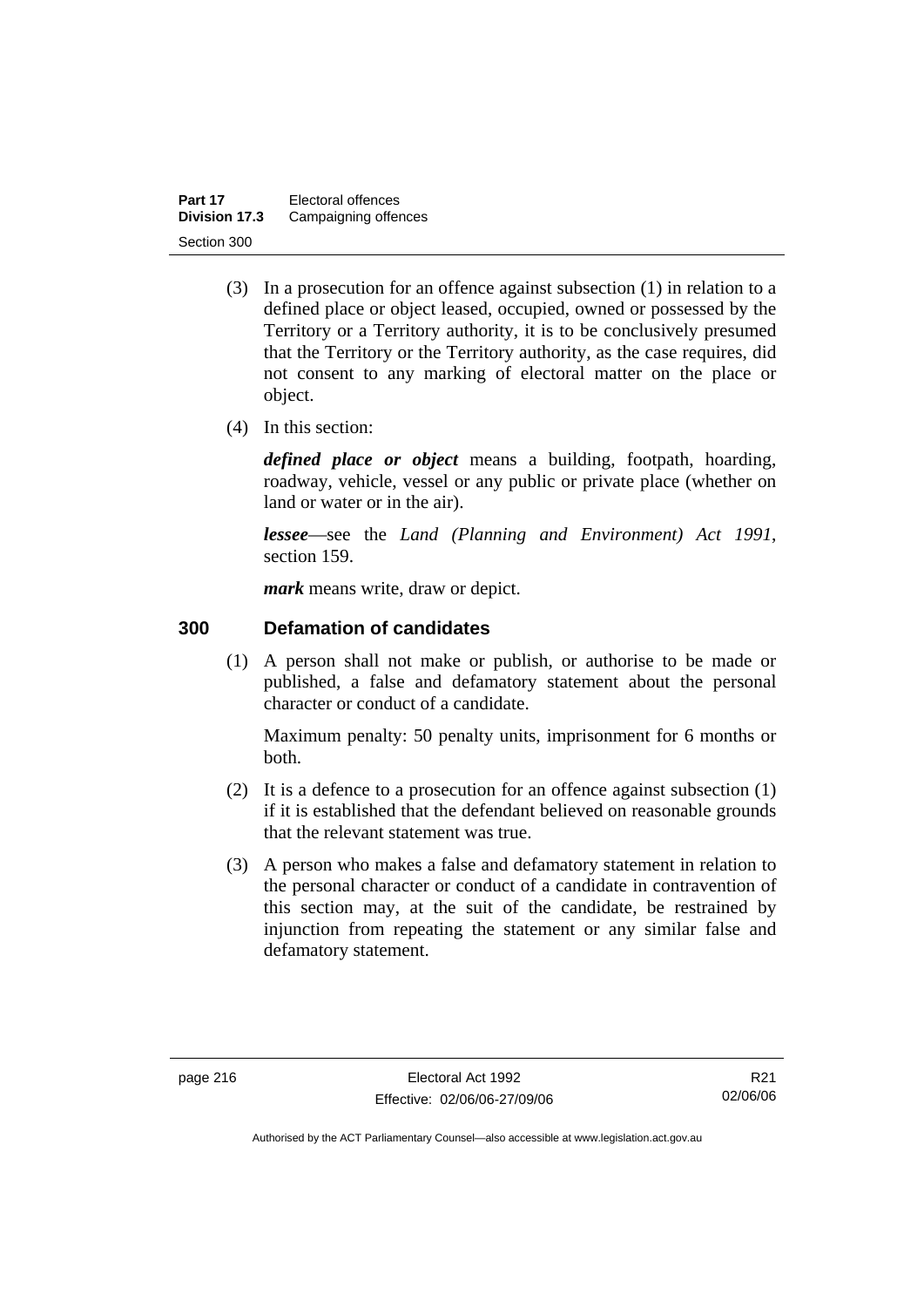| Part 17       | Electoral offences   |
|---------------|----------------------|
| Division 17.3 | Campaigning offences |
| Section 300   |                      |

- (3) In a prosecution for an offence against subsection (1) in relation to a defined place or object leased, occupied, owned or possessed by the Territory or a Territory authority, it is to be conclusively presumed that the Territory or the Territory authority, as the case requires, did not consent to any marking of electoral matter on the place or object.
- (4) In this section:

*defined place or object* means a building, footpath, hoarding, roadway, vehicle, vessel or any public or private place (whether on land or water or in the air).

*lessee*—see the *Land (Planning and Environment) Act 1991*, section 159.

*mark* means write, draw or depict.

### **300 Defamation of candidates**

 (1) A person shall not make or publish, or authorise to be made or published, a false and defamatory statement about the personal character or conduct of a candidate.

Maximum penalty: 50 penalty units, imprisonment for 6 months or both.

- (2) It is a defence to a prosecution for an offence against subsection (1) if it is established that the defendant believed on reasonable grounds that the relevant statement was true.
- (3) A person who makes a false and defamatory statement in relation to the personal character or conduct of a candidate in contravention of this section may, at the suit of the candidate, be restrained by injunction from repeating the statement or any similar false and defamatory statement.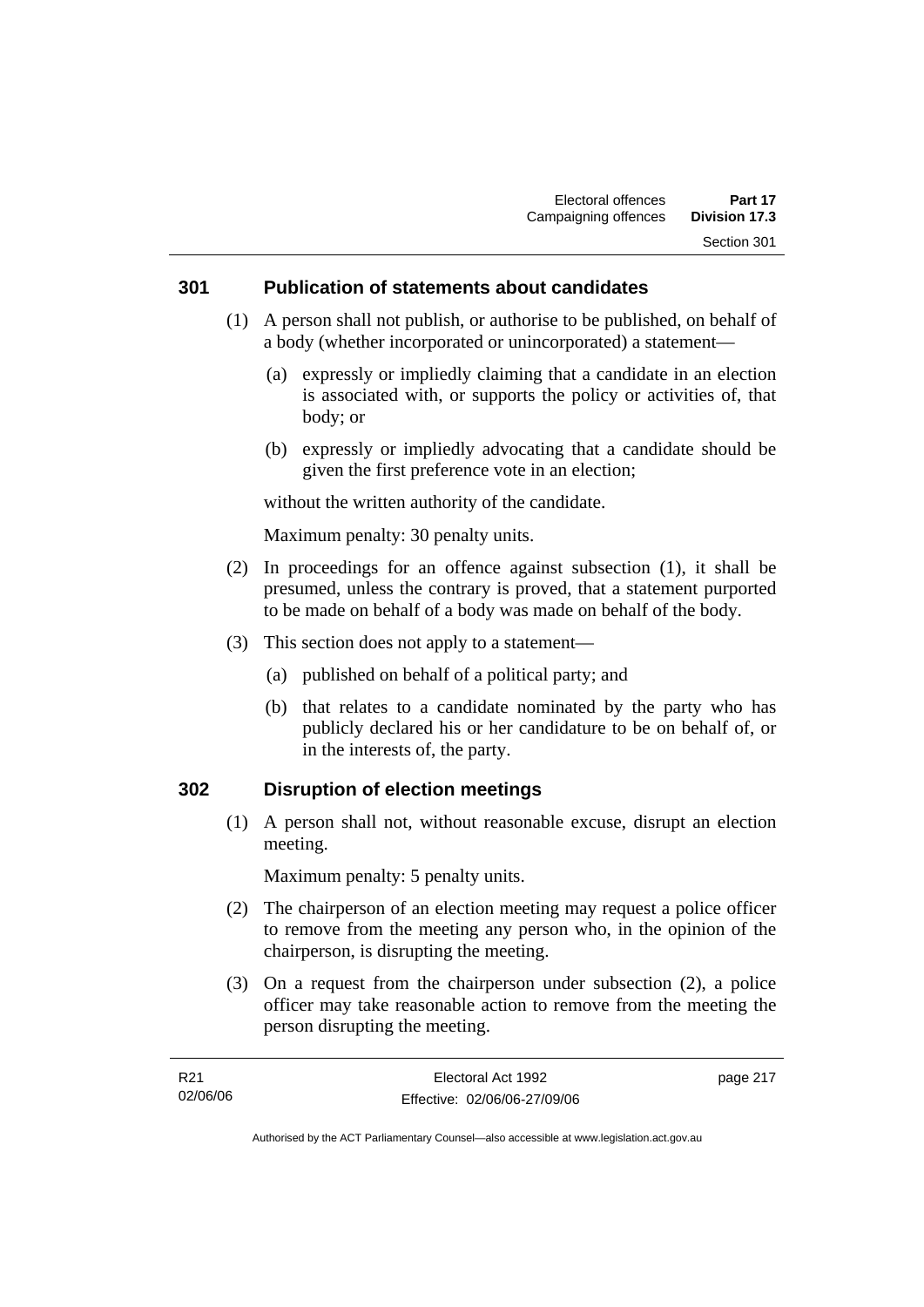### **301 Publication of statements about candidates**

- (1) A person shall not publish, or authorise to be published, on behalf of a body (whether incorporated or unincorporated) a statement—
	- (a) expressly or impliedly claiming that a candidate in an election is associated with, or supports the policy or activities of, that body; or
	- (b) expressly or impliedly advocating that a candidate should be given the first preference vote in an election;

without the written authority of the candidate.

Maximum penalty: 30 penalty units.

- (2) In proceedings for an offence against subsection (1), it shall be presumed, unless the contrary is proved, that a statement purported to be made on behalf of a body was made on behalf of the body.
- (3) This section does not apply to a statement—
	- (a) published on behalf of a political party; and
	- (b) that relates to a candidate nominated by the party who has publicly declared his or her candidature to be on behalf of, or in the interests of, the party.

### **302 Disruption of election meetings**

 (1) A person shall not, without reasonable excuse, disrupt an election meeting.

Maximum penalty: 5 penalty units.

- (2) The chairperson of an election meeting may request a police officer to remove from the meeting any person who, in the opinion of the chairperson, is disrupting the meeting.
- (3) On a request from the chairperson under subsection (2), a police officer may take reasonable action to remove from the meeting the person disrupting the meeting.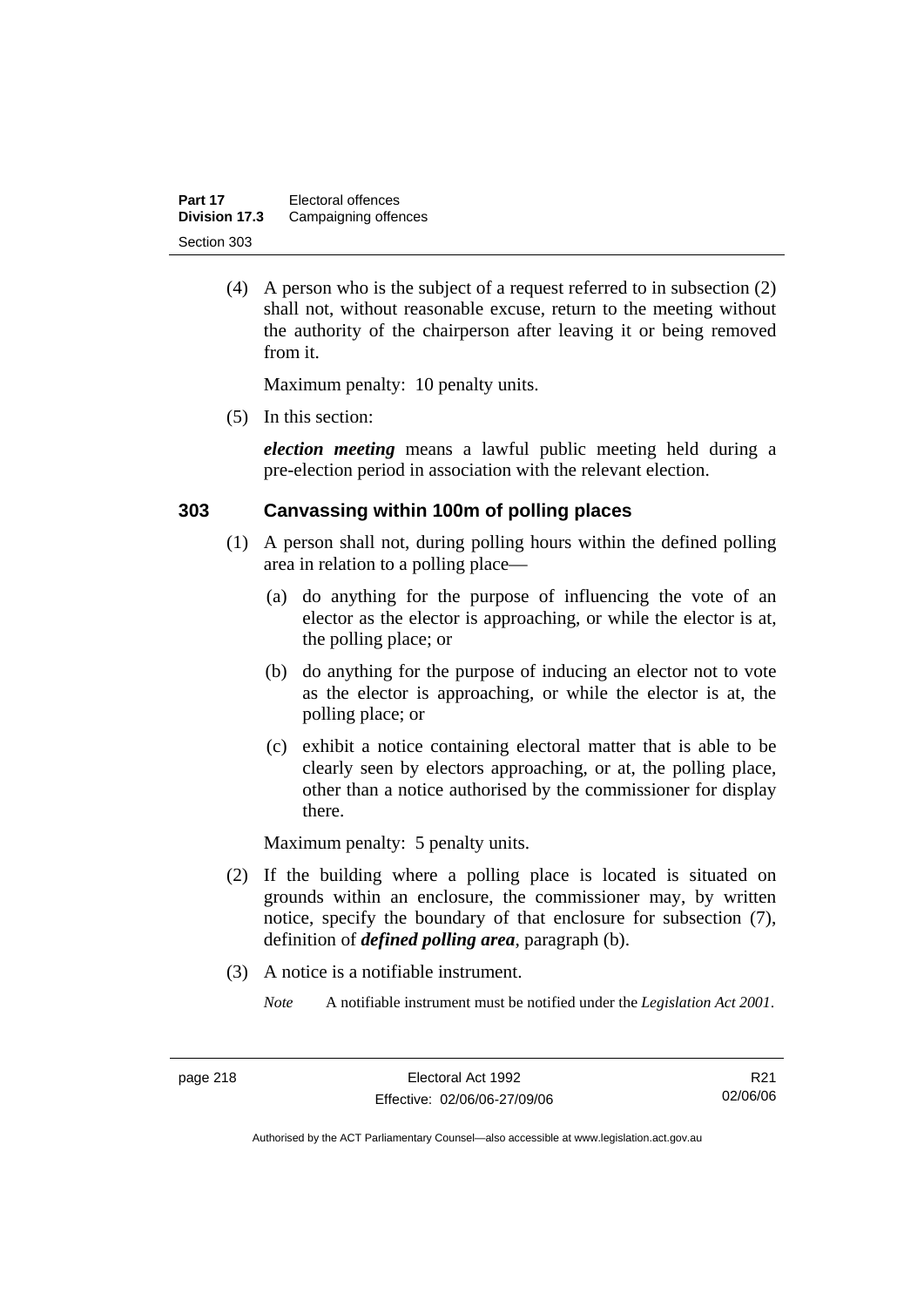| Part 17       | Electoral offences   |
|---------------|----------------------|
| Division 17.3 | Campaigning offences |
| Section 303   |                      |

 (4) A person who is the subject of a request referred to in subsection (2) shall not, without reasonable excuse, return to the meeting without the authority of the chairperson after leaving it or being removed from it.

Maximum penalty: 10 penalty units.

(5) In this section:

*election meeting* means a lawful public meeting held during a pre-election period in association with the relevant election.

#### **303 Canvassing within 100m of polling places**

- (1) A person shall not, during polling hours within the defined polling area in relation to a polling place—
	- (a) do anything for the purpose of influencing the vote of an elector as the elector is approaching, or while the elector is at, the polling place; or
	- (b) do anything for the purpose of inducing an elector not to vote as the elector is approaching, or while the elector is at, the polling place; or
	- (c) exhibit a notice containing electoral matter that is able to be clearly seen by electors approaching, or at, the polling place, other than a notice authorised by the commissioner for display there.

Maximum penalty: 5 penalty units.

- (2) If the building where a polling place is located is situated on grounds within an enclosure, the commissioner may, by written notice, specify the boundary of that enclosure for subsection (7), definition of *defined polling area*, paragraph (b).
- (3) A notice is a notifiable instrument.

*Note* A notifiable instrument must be notified under the *Legislation Act 2001*.

R21 02/06/06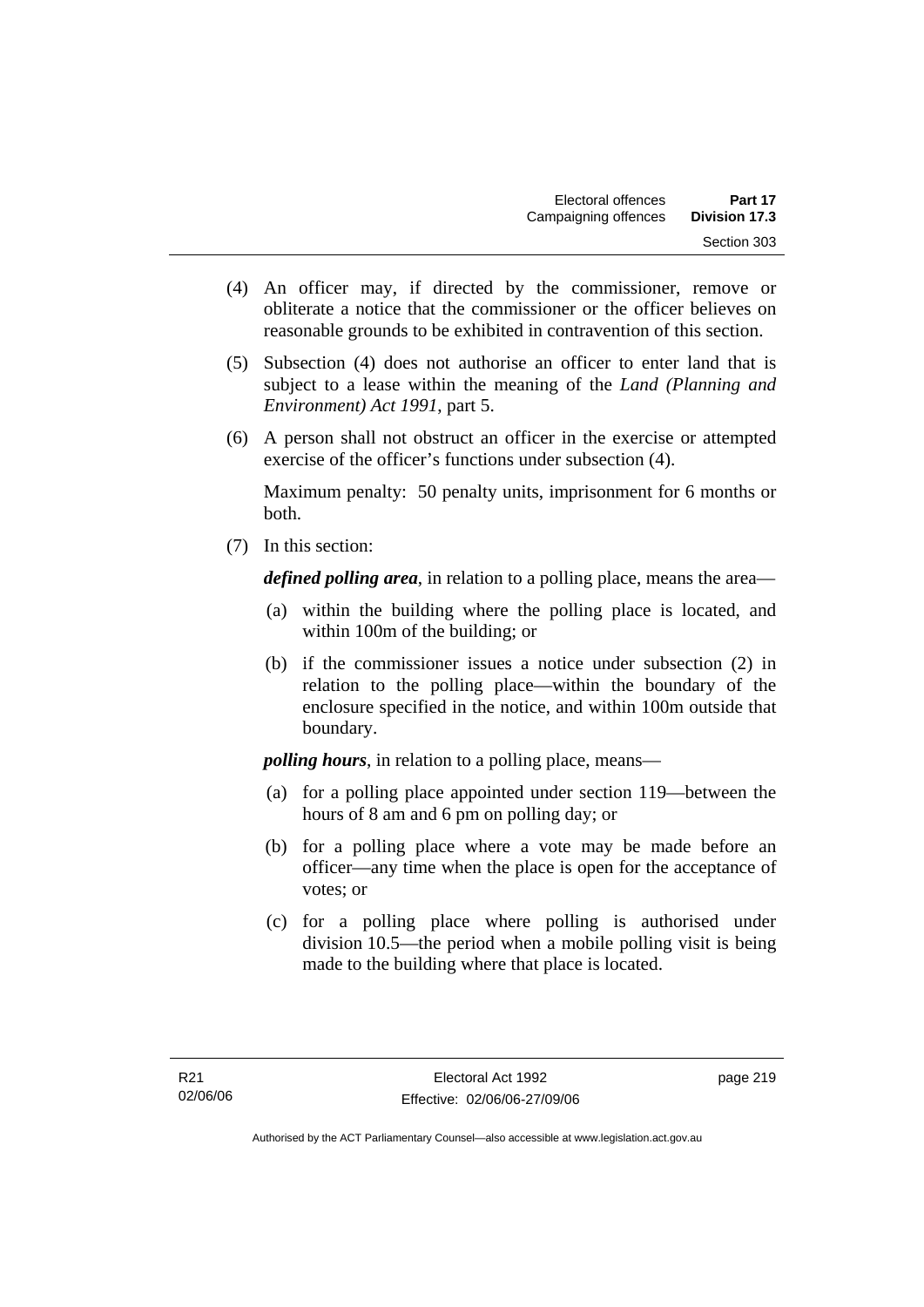- (4) An officer may, if directed by the commissioner, remove or obliterate a notice that the commissioner or the officer believes on reasonable grounds to be exhibited in contravention of this section.
- (5) Subsection (4) does not authorise an officer to enter land that is subject to a lease within the meaning of the *Land (Planning and Environment) Act 1991*, part 5.
- (6) A person shall not obstruct an officer in the exercise or attempted exercise of the officer's functions under subsection (4).

Maximum penalty: 50 penalty units, imprisonment for 6 months or both.

(7) In this section:

*defined polling area*, in relation to a polling place, means the area—

- (a) within the building where the polling place is located, and within 100m of the building; or
- (b) if the commissioner issues a notice under subsection (2) in relation to the polling place—within the boundary of the enclosure specified in the notice, and within 100m outside that boundary.

*polling hours*, in relation to a polling place, means—

- (a) for a polling place appointed under section 119—between the hours of 8 am and 6 pm on polling day; or
- (b) for a polling place where a vote may be made before an officer—any time when the place is open for the acceptance of votes; or
- (c) for a polling place where polling is authorised under division 10.5—the period when a mobile polling visit is being made to the building where that place is located.

page 219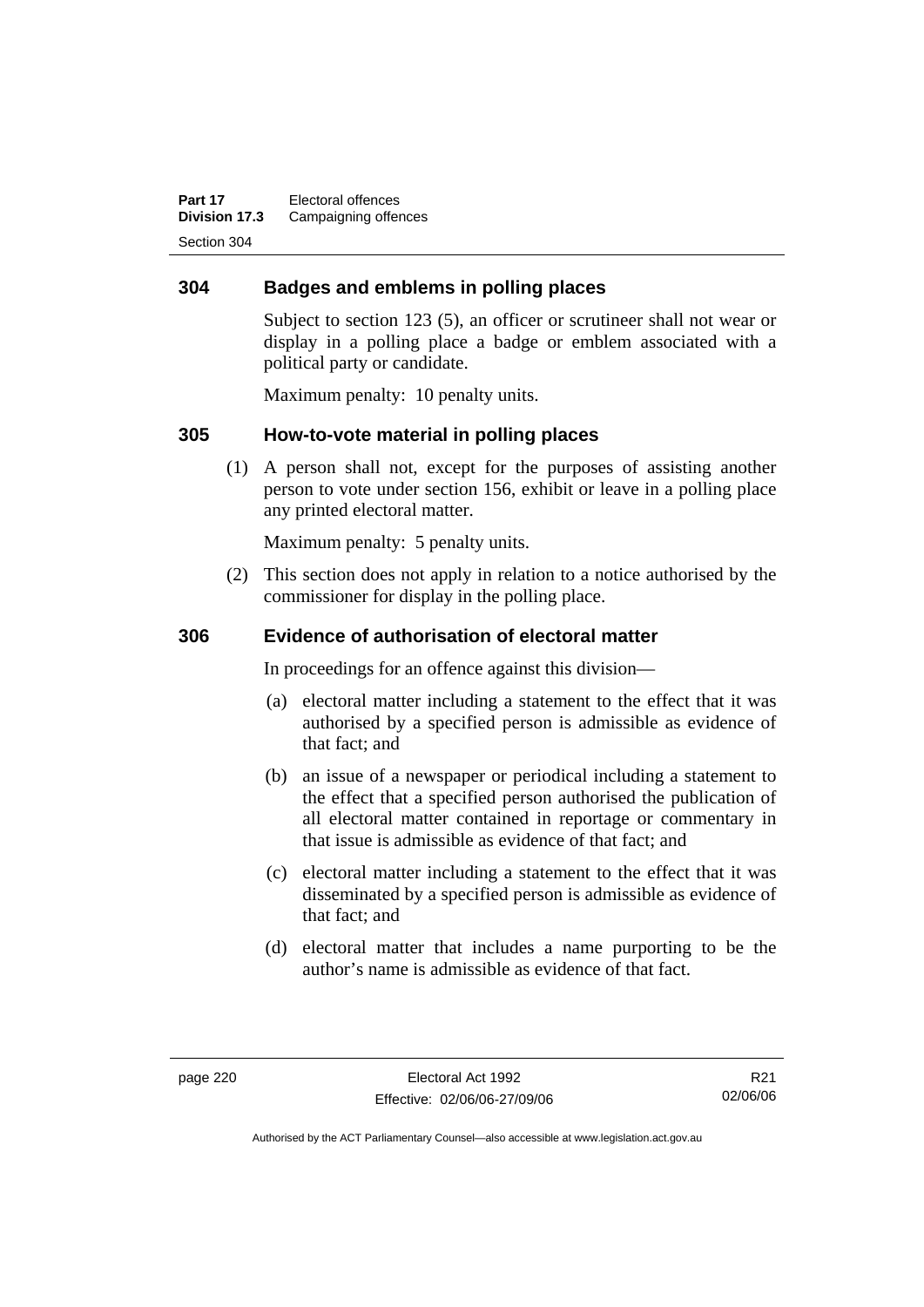**Part 17** Electoral offences **Division 17.3** Campaigning offences Section 304

### **304 Badges and emblems in polling places**

Subject to section 123 (5), an officer or scrutineer shall not wear or display in a polling place a badge or emblem associated with a political party or candidate.

Maximum penalty: 10 penalty units.

### **305 How-to-vote material in polling places**

 (1) A person shall not, except for the purposes of assisting another person to vote under section 156, exhibit or leave in a polling place any printed electoral matter.

Maximum penalty: 5 penalty units.

 (2) This section does not apply in relation to a notice authorised by the commissioner for display in the polling place.

### **306 Evidence of authorisation of electoral matter**

In proceedings for an offence against this division—

- (a) electoral matter including a statement to the effect that it was authorised by a specified person is admissible as evidence of that fact; and
- (b) an issue of a newspaper or periodical including a statement to the effect that a specified person authorised the publication of all electoral matter contained in reportage or commentary in that issue is admissible as evidence of that fact; and
- (c) electoral matter including a statement to the effect that it was disseminated by a specified person is admissible as evidence of that fact; and
- (d) electoral matter that includes a name purporting to be the author's name is admissible as evidence of that fact.

R21 02/06/06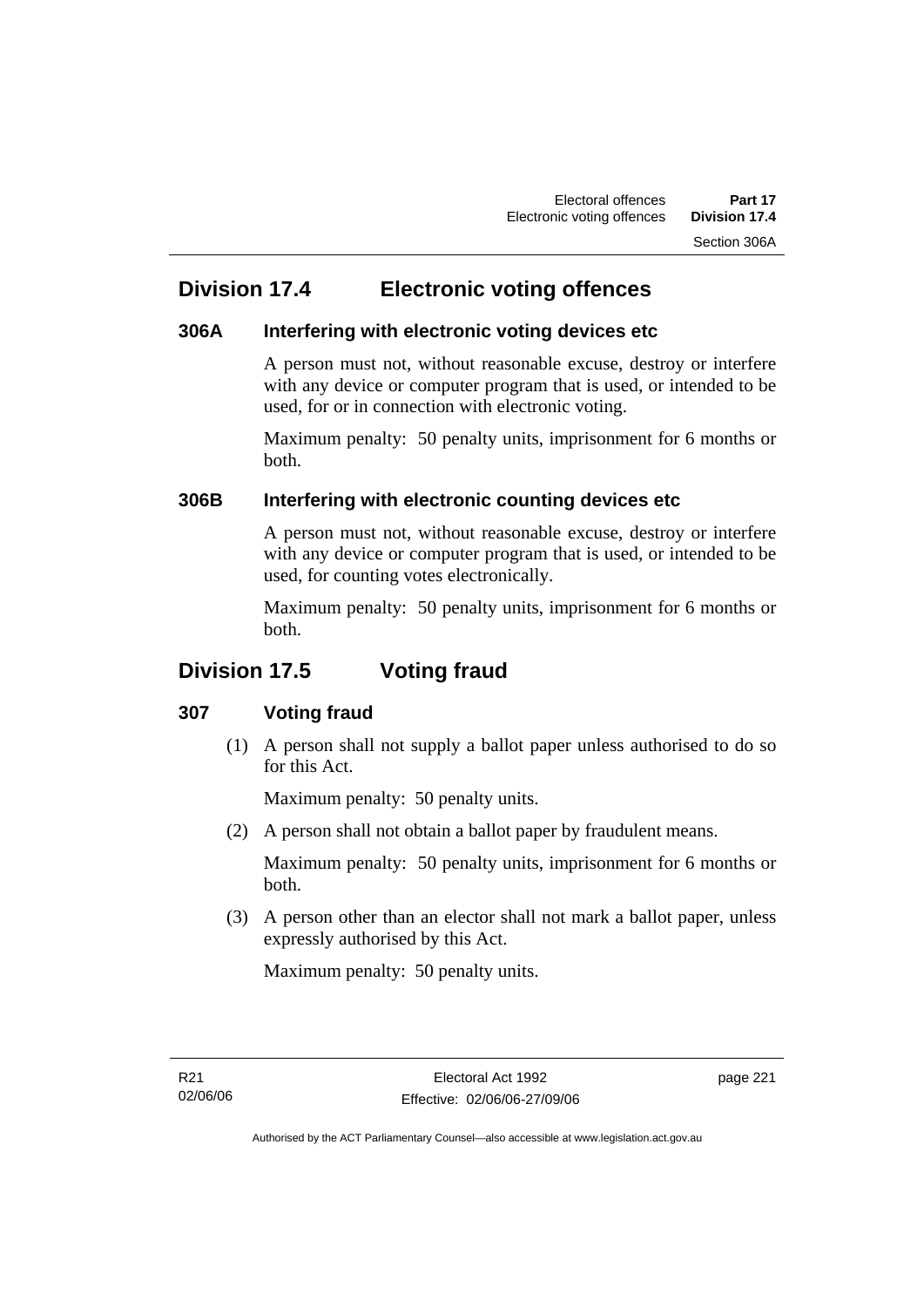## **Division 17.4 Electronic voting offences**

### **306A Interfering with electronic voting devices etc**

A person must not, without reasonable excuse, destroy or interfere with any device or computer program that is used, or intended to be used, for or in connection with electronic voting.

Maximum penalty: 50 penalty units, imprisonment for 6 months or both.

### **306B Interfering with electronic counting devices etc**

A person must not, without reasonable excuse, destroy or interfere with any device or computer program that is used, or intended to be used, for counting votes electronically.

Maximum penalty: 50 penalty units, imprisonment for 6 months or both.

## **Division 17.5 Voting fraud**

### **307 Voting fraud**

 (1) A person shall not supply a ballot paper unless authorised to do so for this Act.

Maximum penalty: 50 penalty units.

(2) A person shall not obtain a ballot paper by fraudulent means.

Maximum penalty: 50 penalty units, imprisonment for 6 months or both.

 (3) A person other than an elector shall not mark a ballot paper, unless expressly authorised by this Act.

Maximum penalty: 50 penalty units.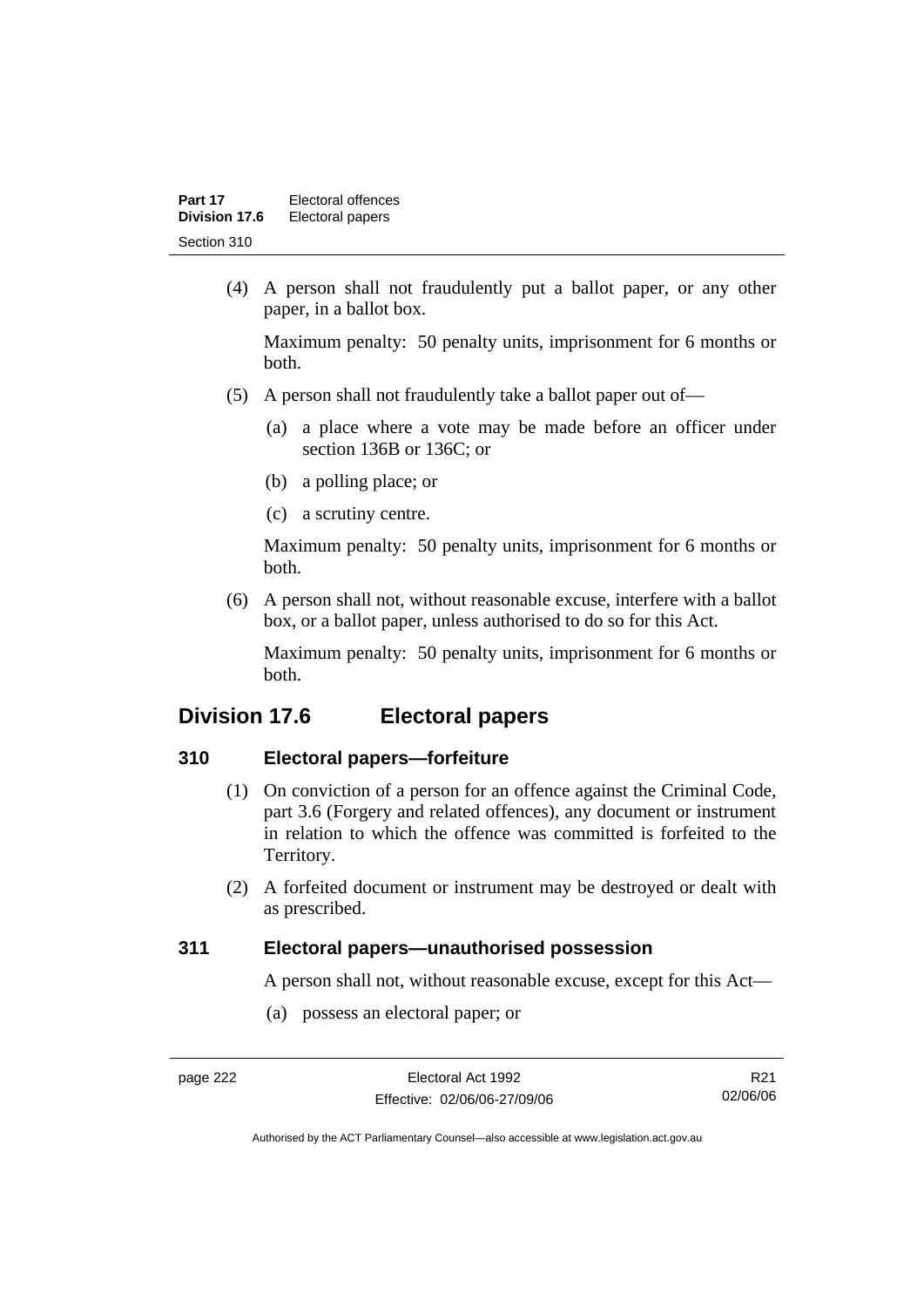| Part 17       | Electoral offences |
|---------------|--------------------|
| Division 17.6 | Electoral papers   |
| Section 310   |                    |

 (4) A person shall not fraudulently put a ballot paper, or any other paper, in a ballot box.

Maximum penalty: 50 penalty units, imprisonment for 6 months or both.

- (5) A person shall not fraudulently take a ballot paper out of—
	- (a) a place where a vote may be made before an officer under section 136B or 136C; or
	- (b) a polling place; or
	- (c) a scrutiny centre.

Maximum penalty: 50 penalty units, imprisonment for 6 months or both.

 (6) A person shall not, without reasonable excuse, interfere with a ballot box, or a ballot paper, unless authorised to do so for this Act.

Maximum penalty: 50 penalty units, imprisonment for 6 months or both.

### **Division 17.6 Electoral papers**

### **310 Electoral papers—forfeiture**

- (1) On conviction of a person for an offence against the Criminal Code, part 3.6 (Forgery and related offences), any document or instrument in relation to which the offence was committed is forfeited to the Territory.
- (2) A forfeited document or instrument may be destroyed or dealt with as prescribed.

### **311 Electoral papers—unauthorised possession**

A person shall not, without reasonable excuse, except for this Act—

(a) possess an electoral paper; or

R21 02/06/06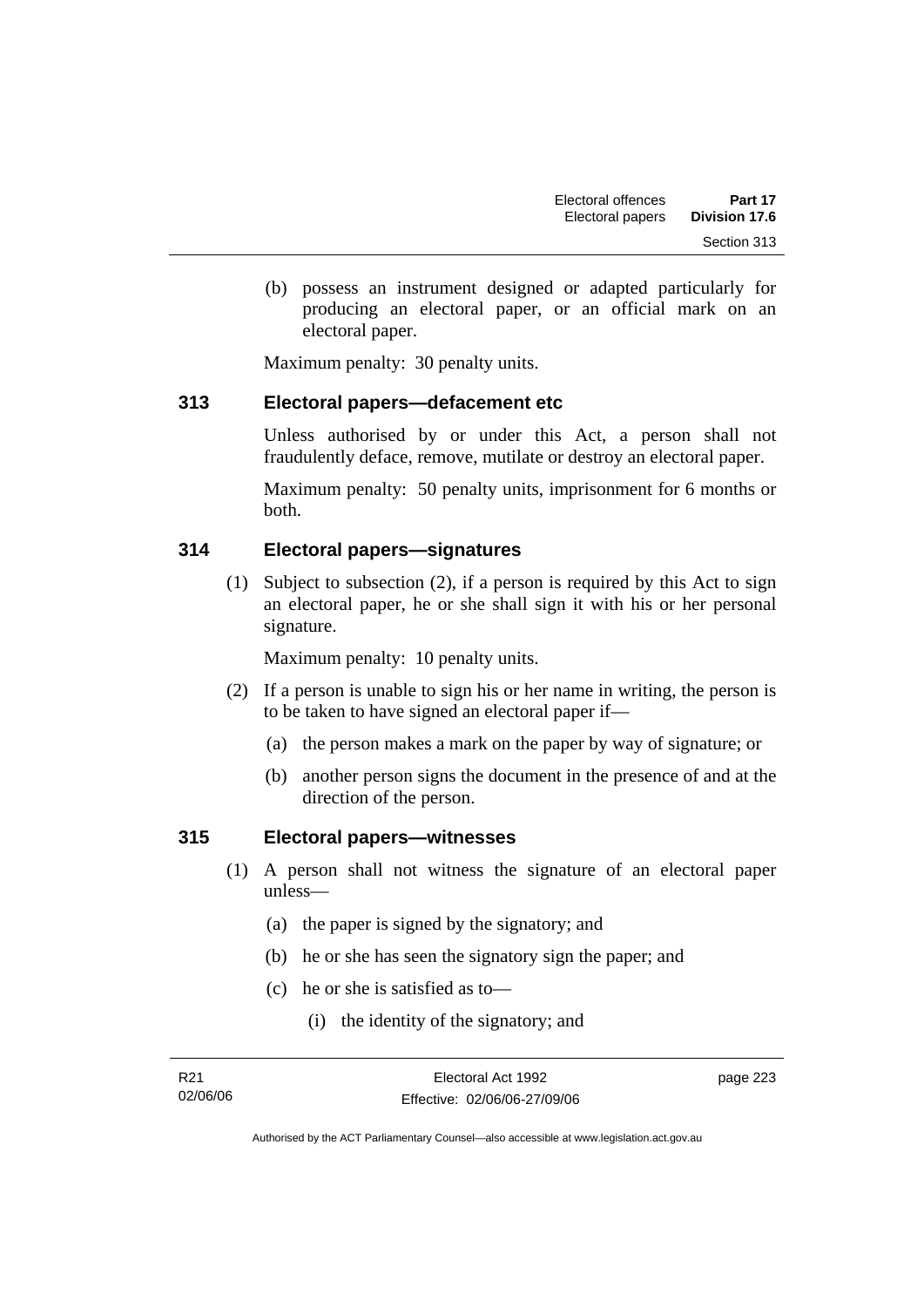(b) possess an instrument designed or adapted particularly for producing an electoral paper, or an official mark on an electoral paper.

Maximum penalty: 30 penalty units.

### **313 Electoral papers—defacement etc**

Unless authorised by or under this Act, a person shall not fraudulently deface, remove, mutilate or destroy an electoral paper.

Maximum penalty: 50 penalty units, imprisonment for 6 months or both.

### **314 Electoral papers—signatures**

 (1) Subject to subsection (2), if a person is required by this Act to sign an electoral paper, he or she shall sign it with his or her personal signature.

Maximum penalty: 10 penalty units.

- (2) If a person is unable to sign his or her name in writing, the person is to be taken to have signed an electoral paper if—
	- (a) the person makes a mark on the paper by way of signature; or
	- (b) another person signs the document in the presence of and at the direction of the person.

### **315 Electoral papers—witnesses**

- (1) A person shall not witness the signature of an electoral paper unless—
	- (a) the paper is signed by the signatory; and
	- (b) he or she has seen the signatory sign the paper; and
	- (c) he or she is satisfied as to—
		- (i) the identity of the signatory; and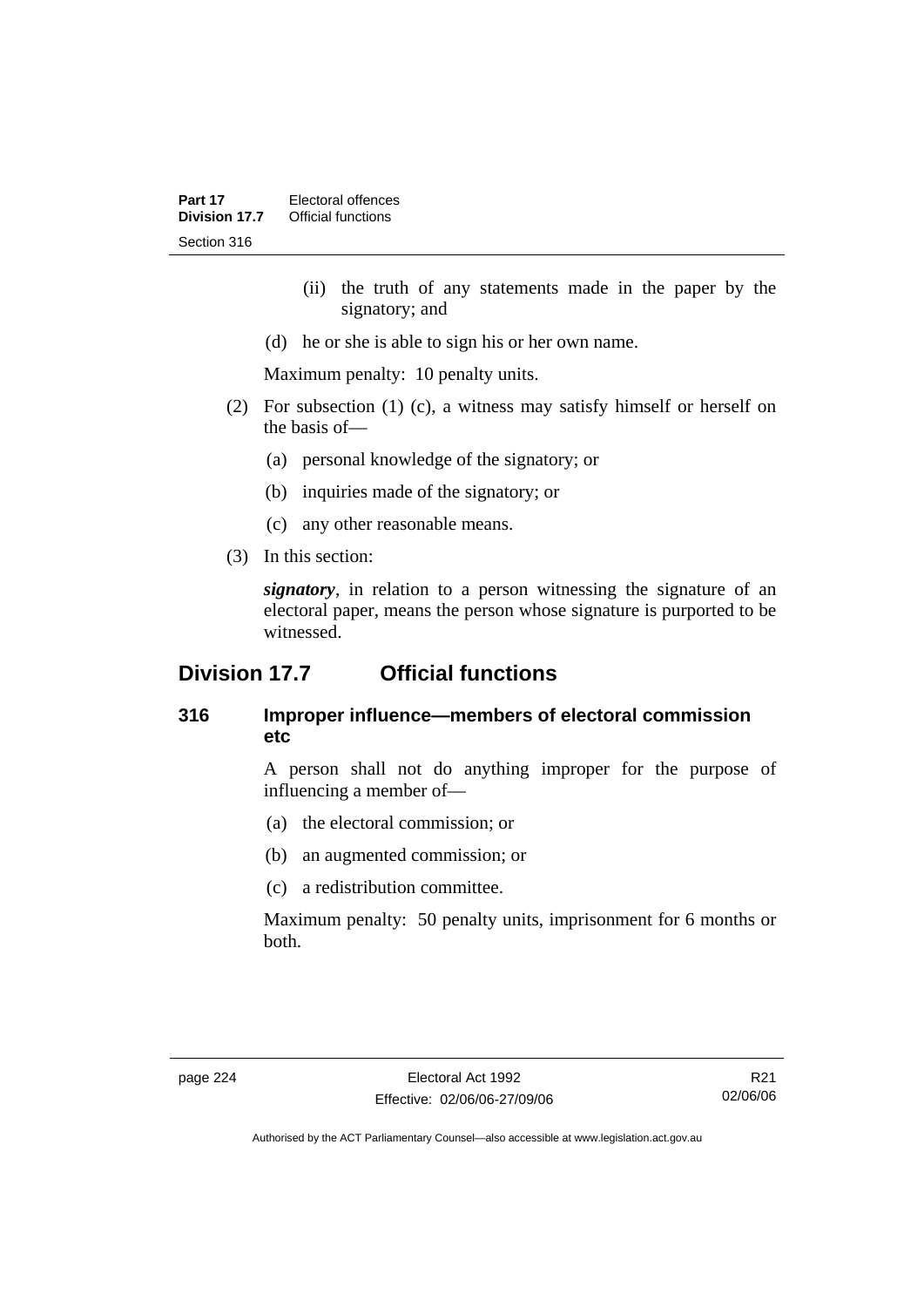- (ii) the truth of any statements made in the paper by the signatory; and
- (d) he or she is able to sign his or her own name.

Maximum penalty: 10 penalty units.

- (2) For subsection (1) (c), a witness may satisfy himself or herself on the basis of—
	- (a) personal knowledge of the signatory; or
	- (b) inquiries made of the signatory; or
	- (c) any other reasonable means.
- (3) In this section:

*signatory*, in relation to a person witnessing the signature of an electoral paper, means the person whose signature is purported to be witnessed.

## **Division 17.7 Official functions**

### **316 Improper influence—members of electoral commission etc**

A person shall not do anything improper for the purpose of influencing a member of—

- (a) the electoral commission; or
- (b) an augmented commission; or
- (c) a redistribution committee.

Maximum penalty: 50 penalty units, imprisonment for 6 months or both.

R21 02/06/06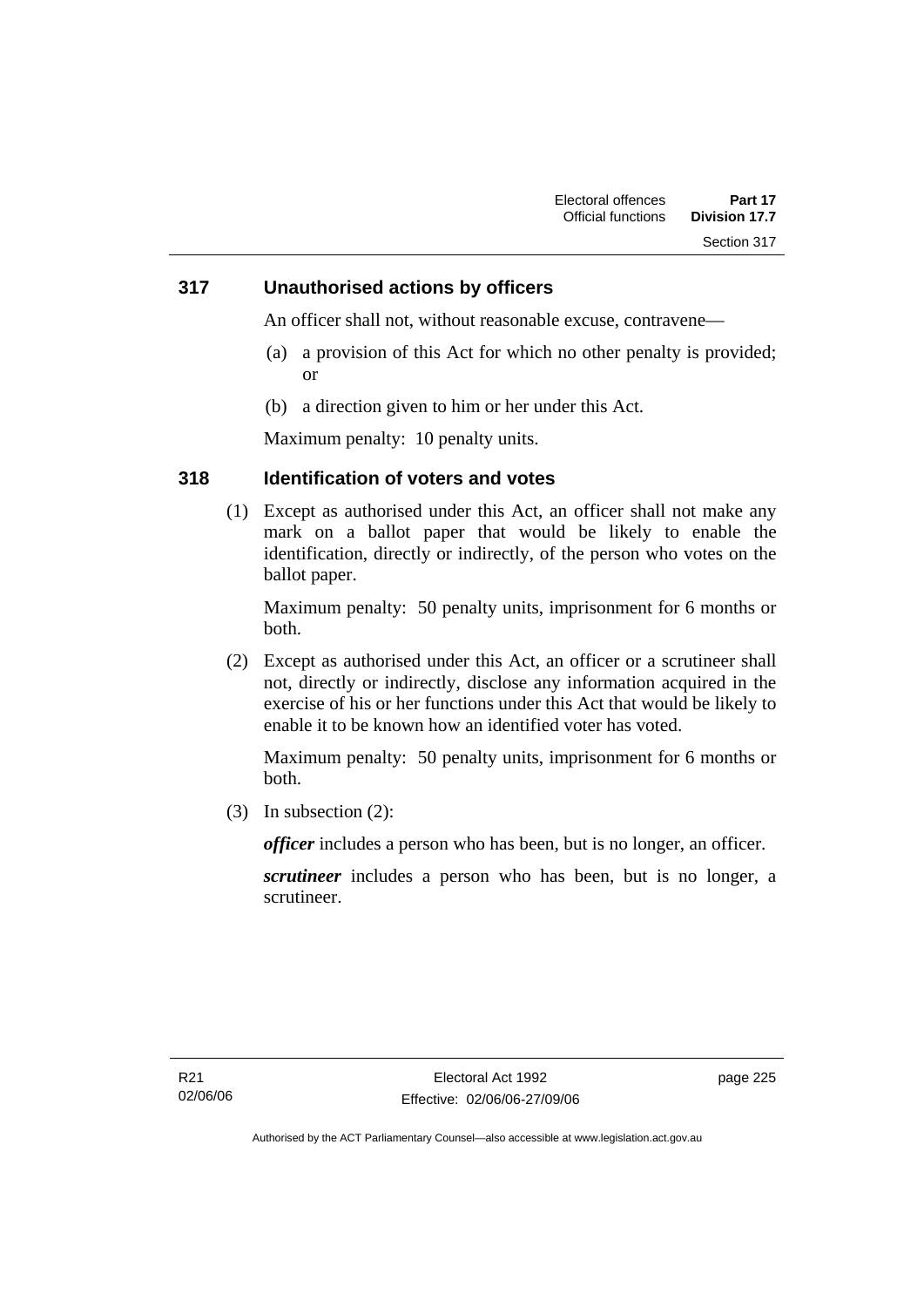### **317 Unauthorised actions by officers**

An officer shall not, without reasonable excuse, contravene—

- (a) a provision of this Act for which no other penalty is provided; or
- (b) a direction given to him or her under this Act.

Maximum penalty: 10 penalty units.

### **318 Identification of voters and votes**

 (1) Except as authorised under this Act, an officer shall not make any mark on a ballot paper that would be likely to enable the identification, directly or indirectly, of the person who votes on the ballot paper.

Maximum penalty: 50 penalty units, imprisonment for 6 months or both.

 (2) Except as authorised under this Act, an officer or a scrutineer shall not, directly or indirectly, disclose any information acquired in the exercise of his or her functions under this Act that would be likely to enable it to be known how an identified voter has voted.

Maximum penalty: 50 penalty units, imprisonment for 6 months or both.

(3) In subsection (2):

*officer* includes a person who has been, but is no longer, an officer.

*scrutineer* includes a person who has been, but is no longer, a scrutineer.

page 225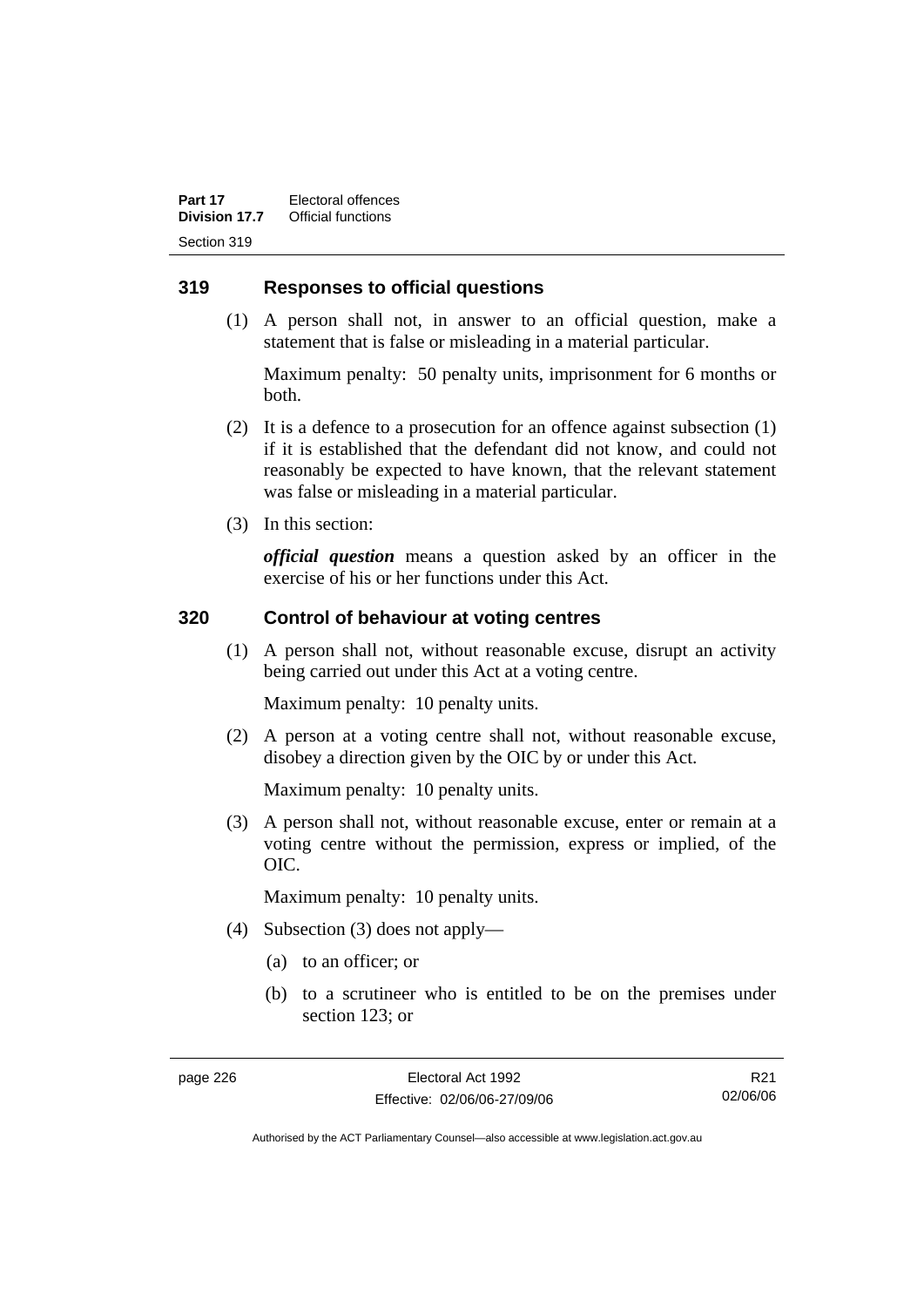### **319 Responses to official questions**

 (1) A person shall not, in answer to an official question, make a statement that is false or misleading in a material particular.

Maximum penalty: 50 penalty units, imprisonment for 6 months or both.

- (2) It is a defence to a prosecution for an offence against subsection (1) if it is established that the defendant did not know, and could not reasonably be expected to have known, that the relevant statement was false or misleading in a material particular.
- (3) In this section:

*official question* means a question asked by an officer in the exercise of his or her functions under this Act.

### **320 Control of behaviour at voting centres**

 (1) A person shall not, without reasonable excuse, disrupt an activity being carried out under this Act at a voting centre.

Maximum penalty: 10 penalty units.

 (2) A person at a voting centre shall not, without reasonable excuse, disobey a direction given by the OIC by or under this Act.

Maximum penalty: 10 penalty units.

 (3) A person shall not, without reasonable excuse, enter or remain at a voting centre without the permission, express or implied, of the OIC.

Maximum penalty: 10 penalty units.

- (4) Subsection (3) does not apply—
	- (a) to an officer; or
	- (b) to a scrutineer who is entitled to be on the premises under section 123; or

R21 02/06/06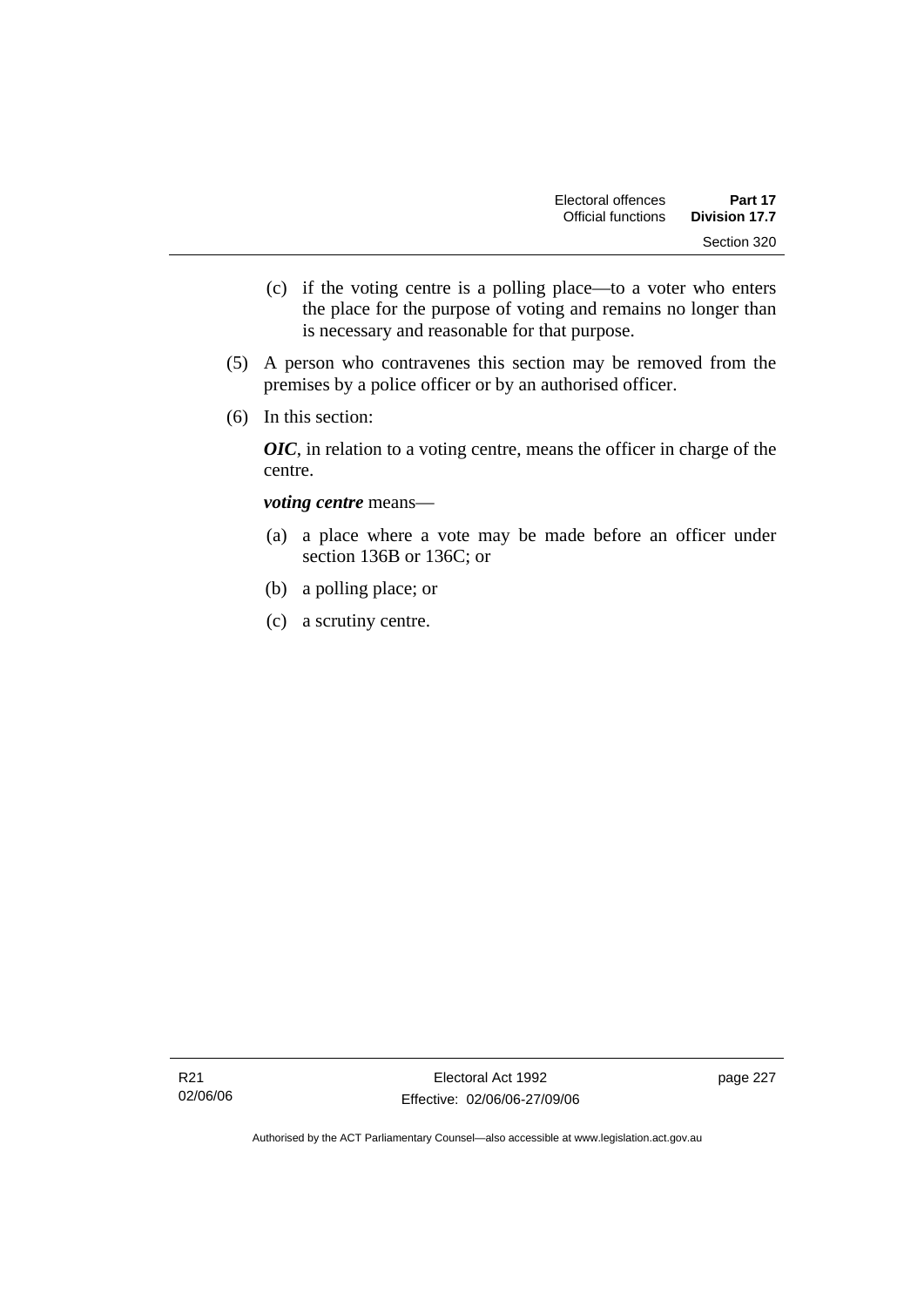- (c) if the voting centre is a polling place—to a voter who enters the place for the purpose of voting and remains no longer than is necessary and reasonable for that purpose.
- (5) A person who contravenes this section may be removed from the premises by a police officer or by an authorised officer.
- (6) In this section:

*OIC*, in relation to a voting centre, means the officer in charge of the centre.

#### *voting centre* means—

- (a) a place where a vote may be made before an officer under section 136B or 136C; or
- (b) a polling place; or
- (c) a scrutiny centre.

page 227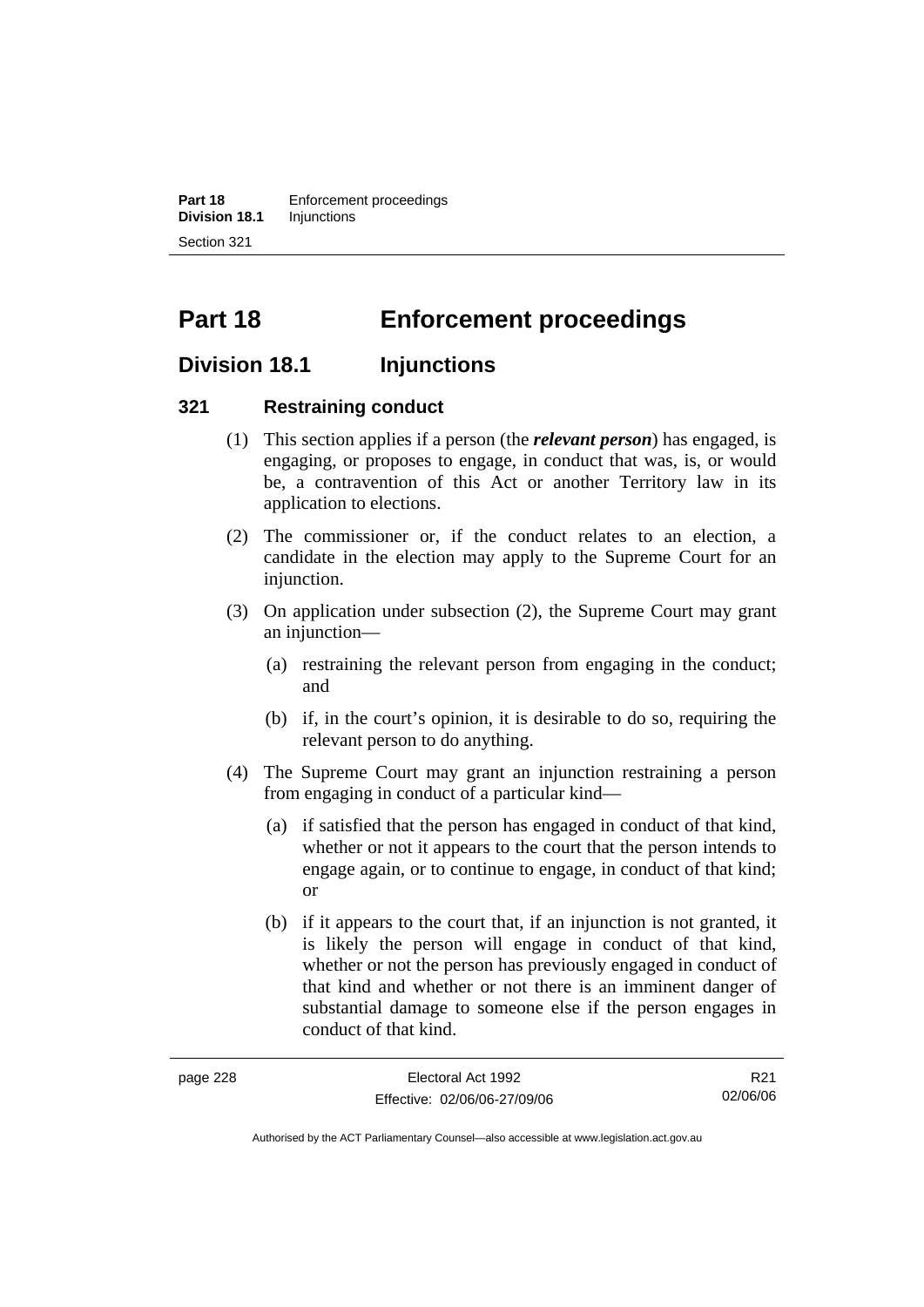**Part 18 Enforcement proceedings Division 18.1** Injunctions Section 321

# **Part 18 Enforcement proceedings**

### **Division 18.1 Injunctions**

### **321 Restraining conduct**

- (1) This section applies if a person (the *relevant person*) has engaged, is engaging, or proposes to engage, in conduct that was, is, or would be, a contravention of this Act or another Territory law in its application to elections.
- (2) The commissioner or, if the conduct relates to an election, a candidate in the election may apply to the Supreme Court for an injunction.
- (3) On application under subsection (2), the Supreme Court may grant an injunction—
	- (a) restraining the relevant person from engaging in the conduct; and
	- (b) if, in the court's opinion, it is desirable to do so, requiring the relevant person to do anything.
- (4) The Supreme Court may grant an injunction restraining a person from engaging in conduct of a particular kind—
	- (a) if satisfied that the person has engaged in conduct of that kind, whether or not it appears to the court that the person intends to engage again, or to continue to engage, in conduct of that kind; or
	- (b) if it appears to the court that, if an injunction is not granted, it is likely the person will engage in conduct of that kind, whether or not the person has previously engaged in conduct of that kind and whether or not there is an imminent danger of substantial damage to someone else if the person engages in conduct of that kind.

| page 228 | Electoral Act 1992           | R <sub>21</sub> |
|----------|------------------------------|-----------------|
|          | Effective: 02/06/06-27/09/06 | 02/06/06        |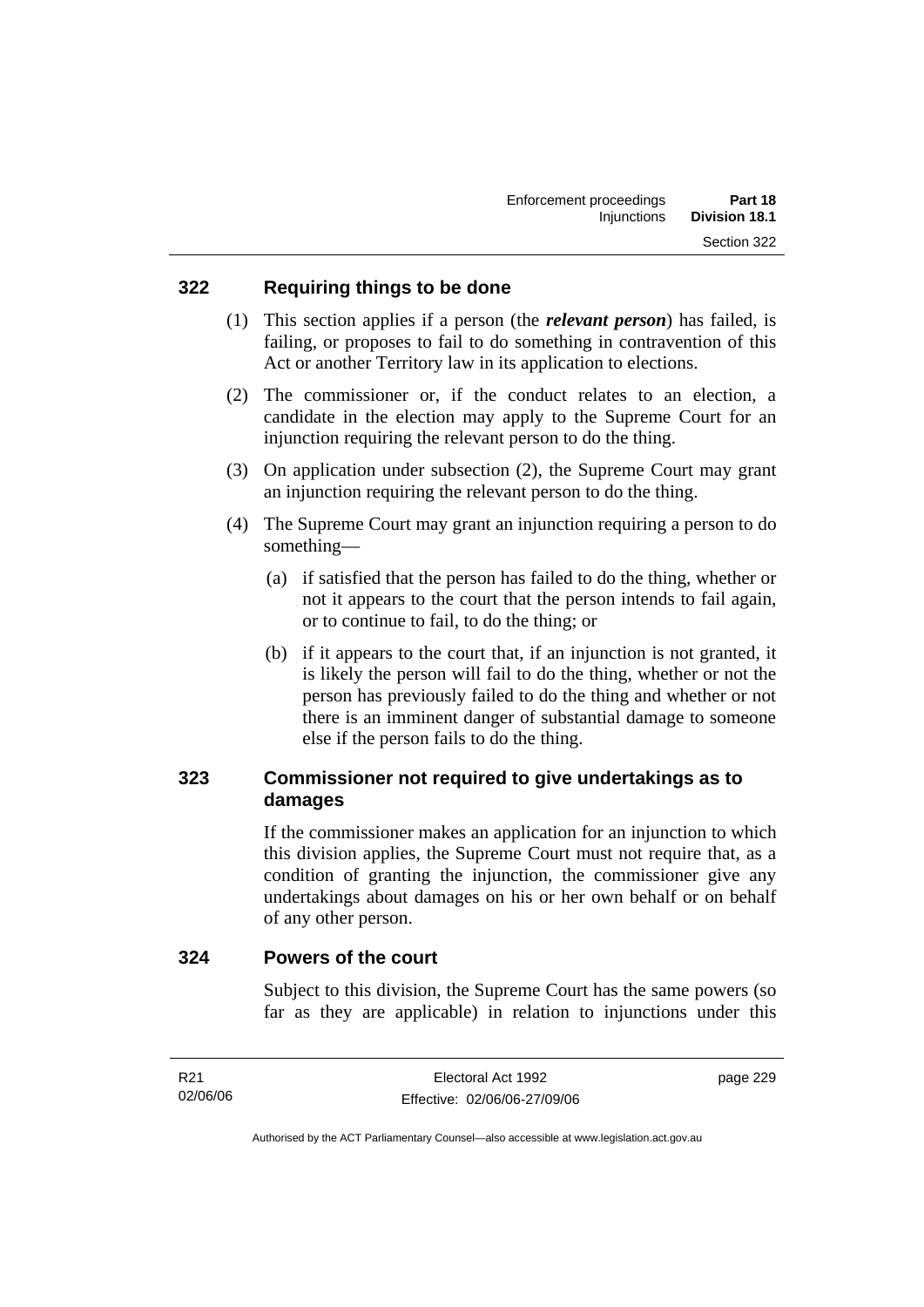### **322 Requiring things to be done**

- (1) This section applies if a person (the *relevant person*) has failed, is failing, or proposes to fail to do something in contravention of this Act or another Territory law in its application to elections.
- (2) The commissioner or, if the conduct relates to an election, a candidate in the election may apply to the Supreme Court for an injunction requiring the relevant person to do the thing.
- (3) On application under subsection (2), the Supreme Court may grant an injunction requiring the relevant person to do the thing.
- (4) The Supreme Court may grant an injunction requiring a person to do something—
	- (a) if satisfied that the person has failed to do the thing, whether or not it appears to the court that the person intends to fail again, or to continue to fail, to do the thing; or
	- (b) if it appears to the court that, if an injunction is not granted, it is likely the person will fail to do the thing, whether or not the person has previously failed to do the thing and whether or not there is an imminent danger of substantial damage to someone else if the person fails to do the thing.

### **323 Commissioner not required to give undertakings as to damages**

If the commissioner makes an application for an injunction to which this division applies, the Supreme Court must not require that, as a condition of granting the injunction, the commissioner give any undertakings about damages on his or her own behalf or on behalf of any other person.

### **324 Powers of the court**

Subject to this division, the Supreme Court has the same powers (so far as they are applicable) in relation to injunctions under this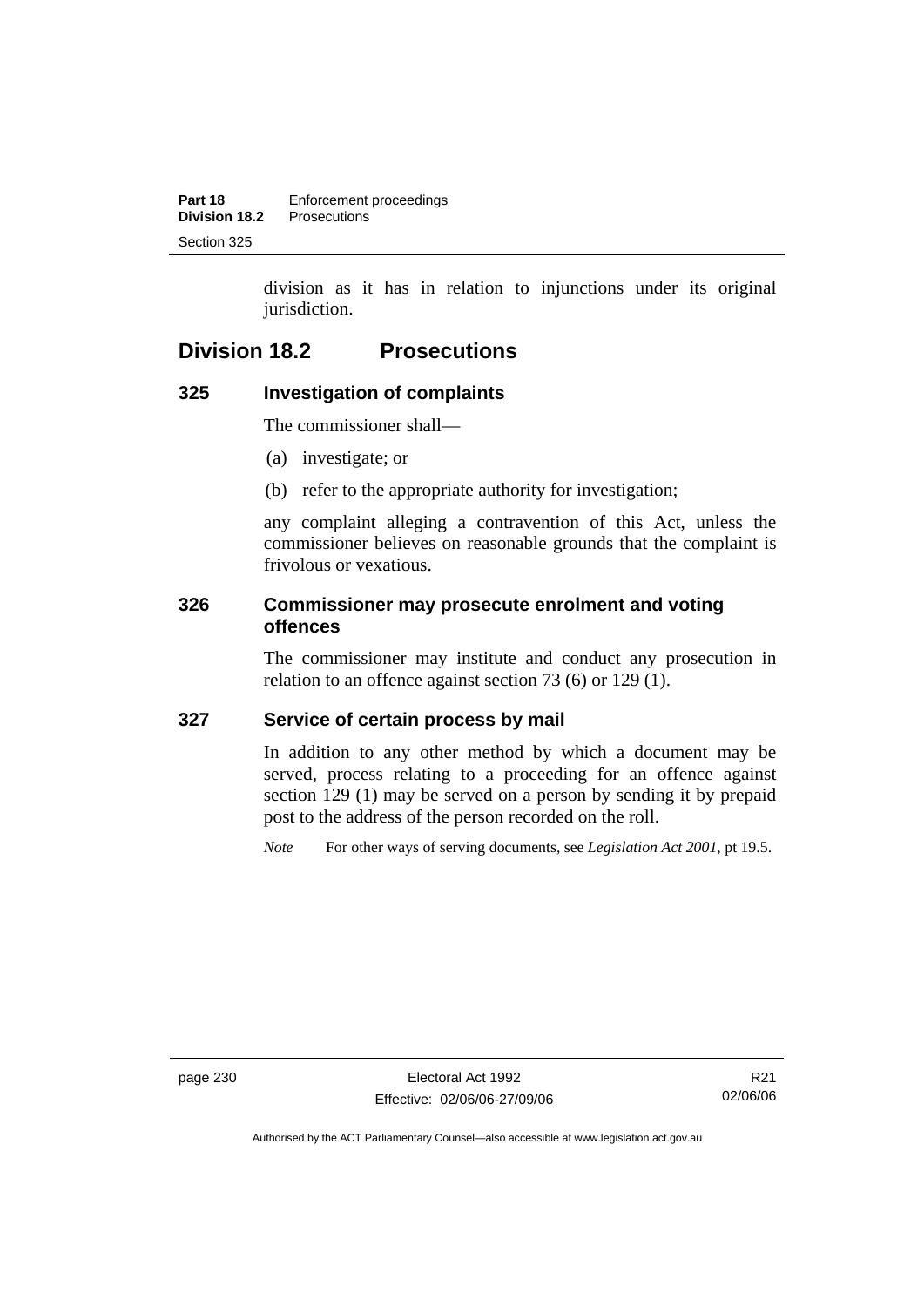division as it has in relation to injunctions under its original jurisdiction.

## **Division 18.2 Prosecutions**

### **325 Investigation of complaints**

The commissioner shall—

- (a) investigate; or
- (b) refer to the appropriate authority for investigation;

any complaint alleging a contravention of this Act, unless the commissioner believes on reasonable grounds that the complaint is frivolous or vexatious.

### **326 Commissioner may prosecute enrolment and voting offences**

The commissioner may institute and conduct any prosecution in relation to an offence against section 73 (6) or 129 (1).

### **327 Service of certain process by mail**

In addition to any other method by which a document may be served, process relating to a proceeding for an offence against section 129 (1) may be served on a person by sending it by prepaid post to the address of the person recorded on the roll.

*Note* For other ways of serving documents, see *Legislation Act 2001*, pt 19.5.

page 230 Electoral Act 1992 Effective: 02/06/06-27/09/06

R21 02/06/06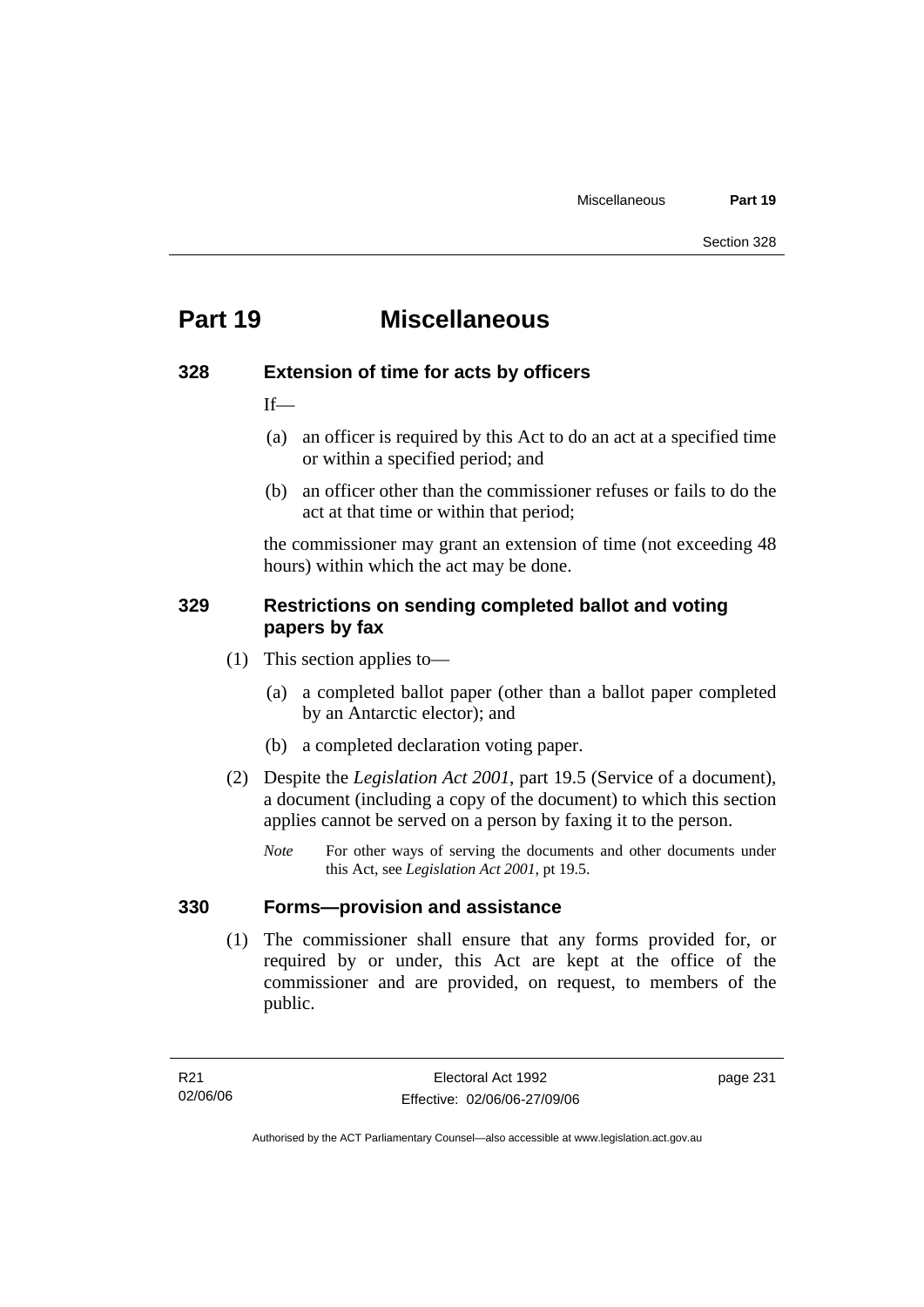## **Part 19 Miscellaneous**

### **328 Extension of time for acts by officers**

 $If$ —

- (a) an officer is required by this Act to do an act at a specified time or within a specified period; and
- (b) an officer other than the commissioner refuses or fails to do the act at that time or within that period;

the commissioner may grant an extension of time (not exceeding 48 hours) within which the act may be done.

### **329 Restrictions on sending completed ballot and voting papers by fax**

- (1) This section applies to—
	- (a) a completed ballot paper (other than a ballot paper completed by an Antarctic elector); and
	- (b) a completed declaration voting paper.
- (2) Despite the *Legislation Act 2001*, part 19.5 (Service of a document), a document (including a copy of the document) to which this section applies cannot be served on a person by faxing it to the person.
	- *Note* For other ways of serving the documents and other documents under this Act, see *Legislation Act 2001*, pt 19.5.

### **330 Forms—provision and assistance**

 (1) The commissioner shall ensure that any forms provided for, or required by or under, this Act are kept at the office of the commissioner and are provided, on request, to members of the public.

page 231

Authorised by the ACT Parliamentary Counsel—also accessible at www.legislation.act.gov.au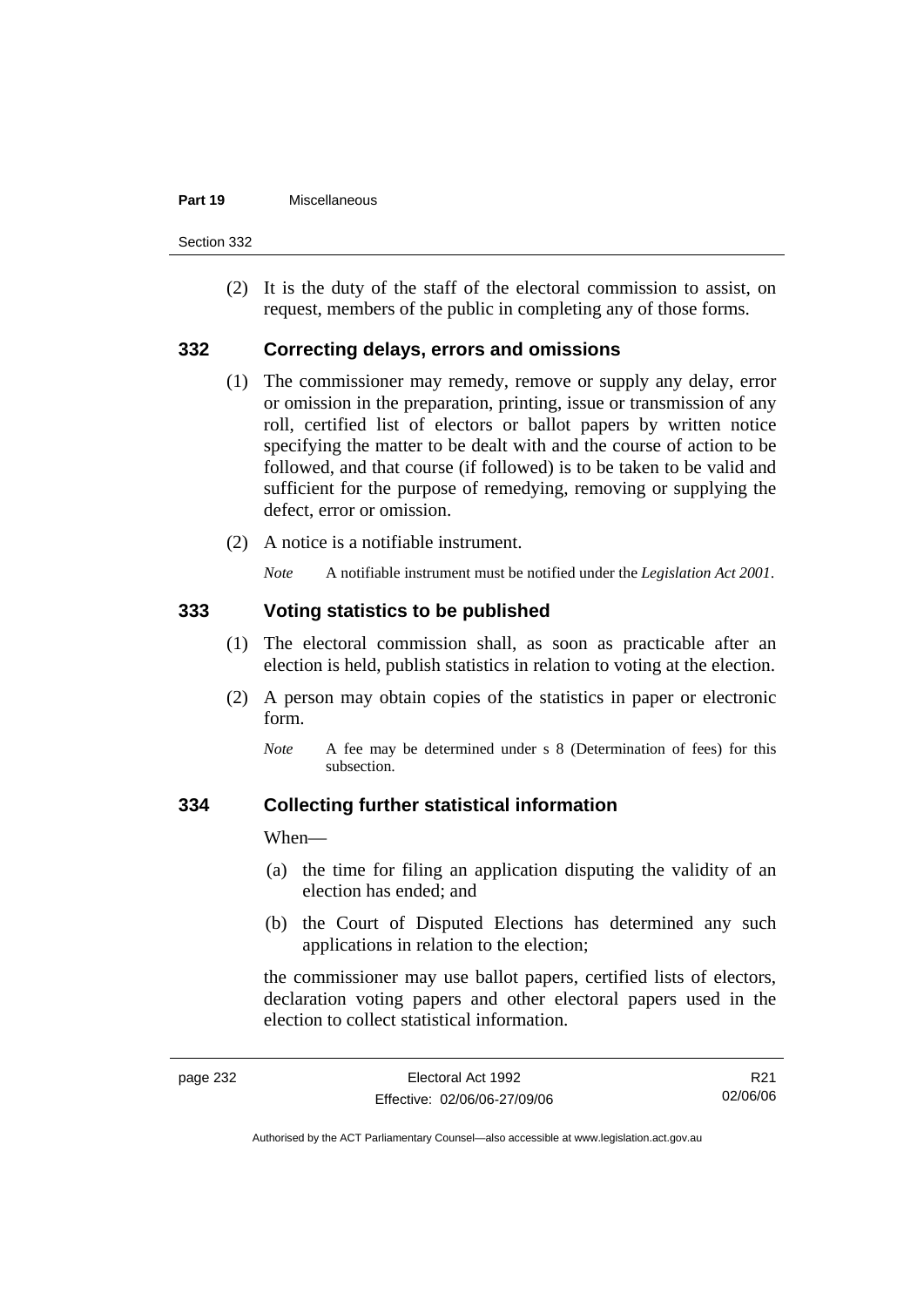#### **Part 19** Miscellaneous

Section 332

 (2) It is the duty of the staff of the electoral commission to assist, on request, members of the public in completing any of those forms.

### **332 Correcting delays, errors and omissions**

- (1) The commissioner may remedy, remove or supply any delay, error or omission in the preparation, printing, issue or transmission of any roll, certified list of electors or ballot papers by written notice specifying the matter to be dealt with and the course of action to be followed, and that course (if followed) is to be taken to be valid and sufficient for the purpose of remedying, removing or supplying the defect, error or omission.
- (2) A notice is a notifiable instrument.

*Note* A notifiable instrument must be notified under the *Legislation Act 2001*.

### **333 Voting statistics to be published**

- (1) The electoral commission shall, as soon as practicable after an election is held, publish statistics in relation to voting at the election.
- (2) A person may obtain copies of the statistics in paper or electronic form.
	- *Note* A fee may be determined under s 8 (Determination of fees) for this subsection.

#### **334 Collecting further statistical information**

When—

- (a) the time for filing an application disputing the validity of an election has ended; and
- (b) the Court of Disputed Elections has determined any such applications in relation to the election;

the commissioner may use ballot papers, certified lists of electors, declaration voting papers and other electoral papers used in the election to collect statistical information.

R21 02/06/06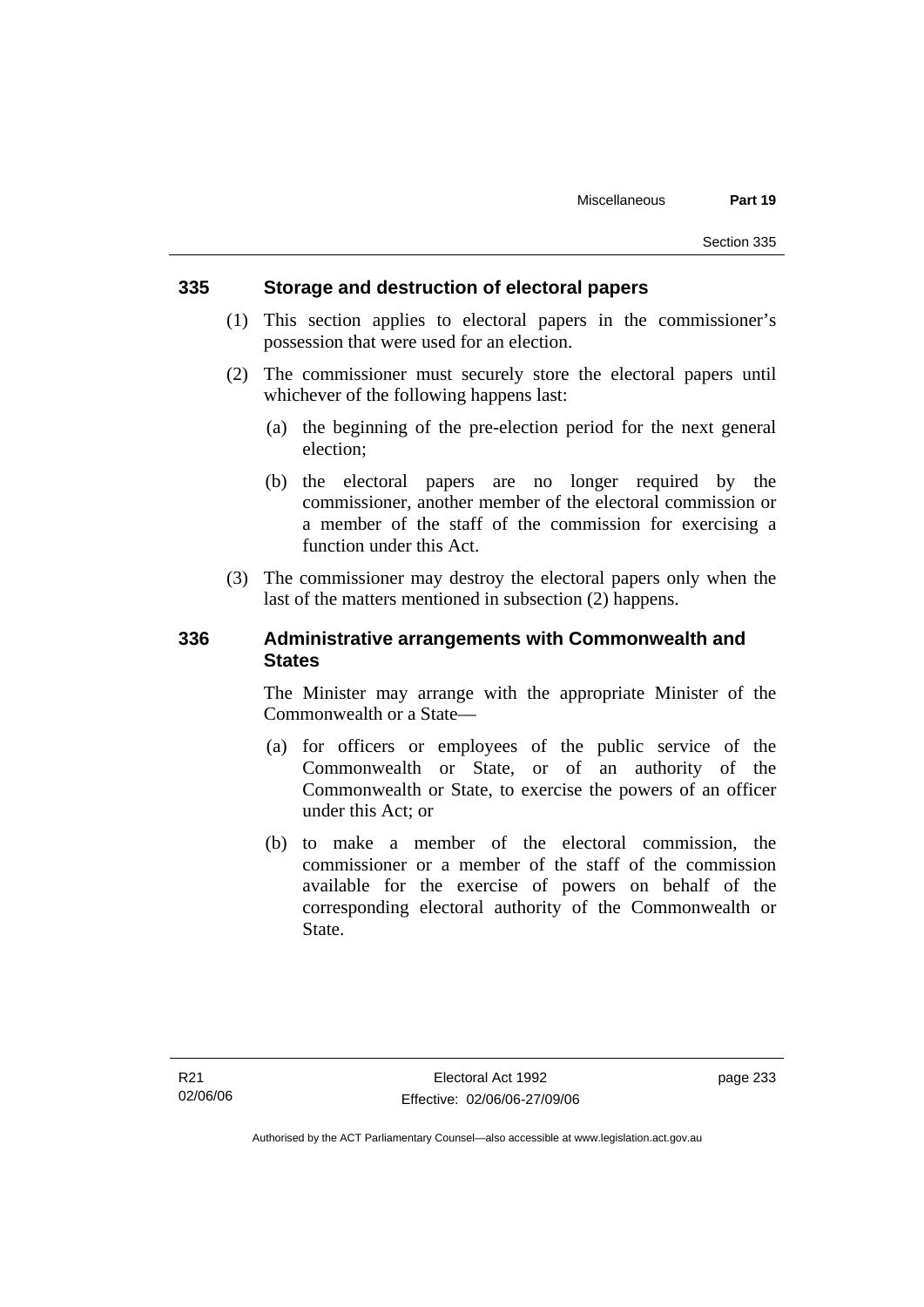#### **335 Storage and destruction of electoral papers**

- (1) This section applies to electoral papers in the commissioner's possession that were used for an election.
- (2) The commissioner must securely store the electoral papers until whichever of the following happens last:
	- (a) the beginning of the pre-election period for the next general election;
	- (b) the electoral papers are no longer required by the commissioner, another member of the electoral commission or a member of the staff of the commission for exercising a function under this Act.
- (3) The commissioner may destroy the electoral papers only when the last of the matters mentioned in subsection (2) happens.

### **336 Administrative arrangements with Commonwealth and States**

The Minister may arrange with the appropriate Minister of the Commonwealth or a State—

- (a) for officers or employees of the public service of the Commonwealth or State, or of an authority of the Commonwealth or State, to exercise the powers of an officer under this Act; or
- (b) to make a member of the electoral commission, the commissioner or a member of the staff of the commission available for the exercise of powers on behalf of the corresponding electoral authority of the Commonwealth or State.

page 233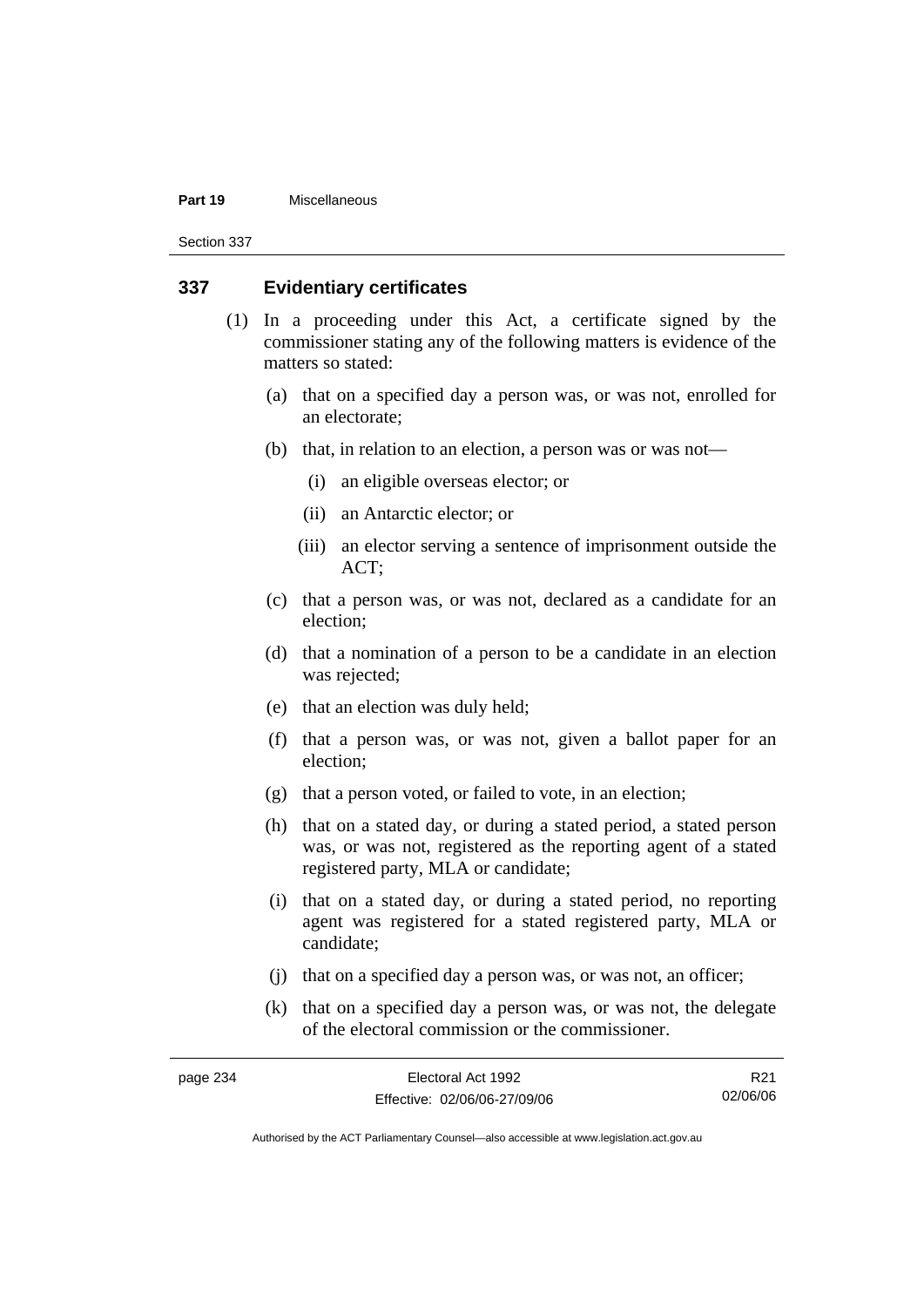#### **Part 19** Miscellaneous

Section 337

#### **337 Evidentiary certificates**

- (1) In a proceeding under this Act, a certificate signed by the commissioner stating any of the following matters is evidence of the matters so stated:
	- (a) that on a specified day a person was, or was not, enrolled for an electorate;
	- (b) that, in relation to an election, a person was or was not—
		- (i) an eligible overseas elector; or
		- (ii) an Antarctic elector; or
		- (iii) an elector serving a sentence of imprisonment outside the ACT;
	- (c) that a person was, or was not, declared as a candidate for an election;
	- (d) that a nomination of a person to be a candidate in an election was rejected;
	- (e) that an election was duly held;
	- (f) that a person was, or was not, given a ballot paper for an election;
	- (g) that a person voted, or failed to vote, in an election;
	- (h) that on a stated day, or during a stated period, a stated person was, or was not, registered as the reporting agent of a stated registered party, MLA or candidate;
	- (i) that on a stated day, or during a stated period, no reporting agent was registered for a stated registered party, MLA or candidate;
	- (j) that on a specified day a person was, or was not, an officer;
	- (k) that on a specified day a person was, or was not, the delegate of the electoral commission or the commissioner.

| page 234 | Electoral Act 1992           | R21      |
|----------|------------------------------|----------|
|          | Effective: 02/06/06-27/09/06 | 02/06/06 |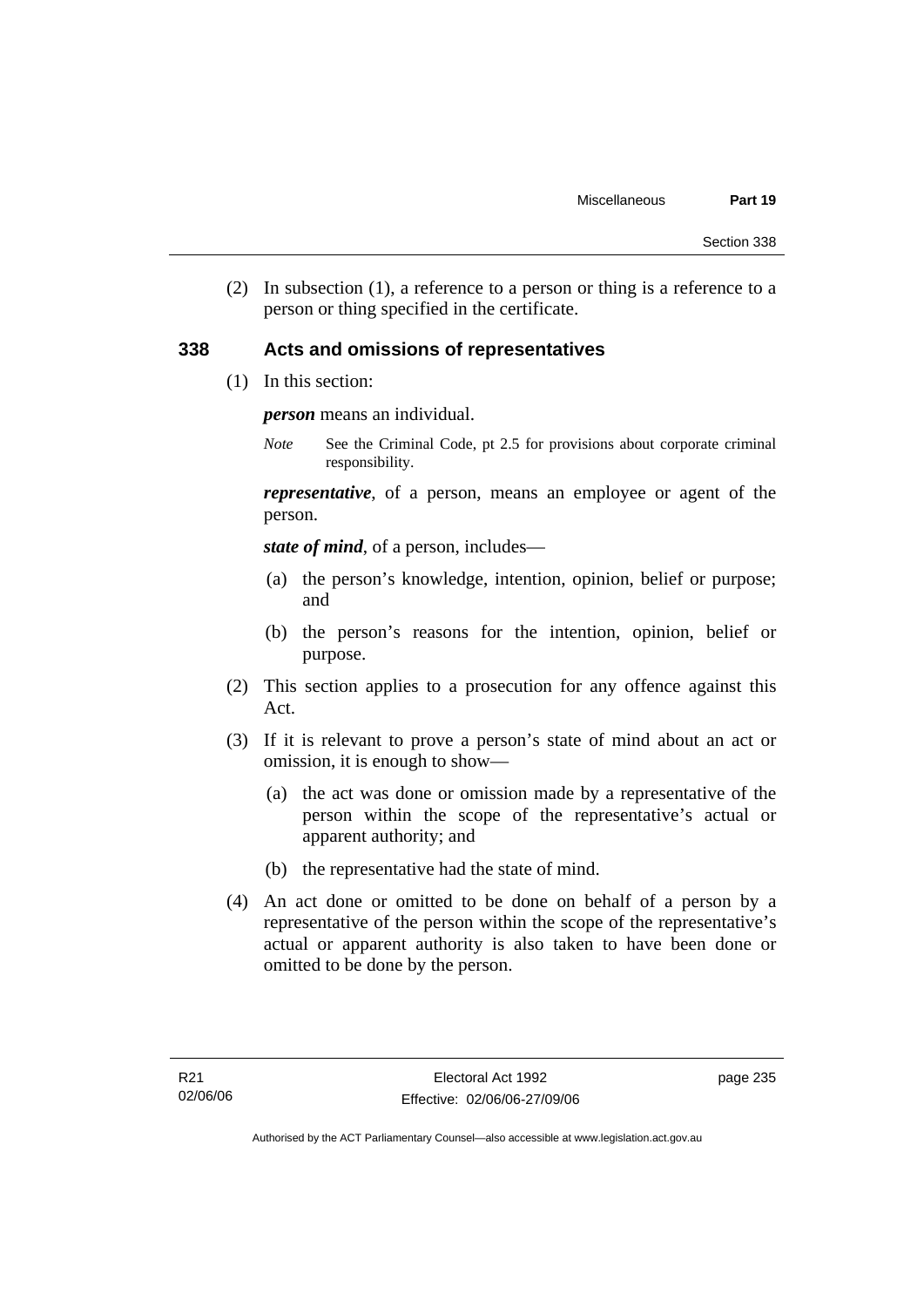(2) In subsection (1), a reference to a person or thing is a reference to a person or thing specified in the certificate.

### **338 Acts and omissions of representatives**

(1) In this section:

*person* means an individual.

*Note* See the Criminal Code, pt 2.5 for provisions about corporate criminal responsibility.

*representative*, of a person, means an employee or agent of the person.

*state of mind*, of a person, includes—

- (a) the person's knowledge, intention, opinion, belief or purpose; and
- (b) the person's reasons for the intention, opinion, belief or purpose.
- (2) This section applies to a prosecution for any offence against this Act.
- (3) If it is relevant to prove a person's state of mind about an act or omission, it is enough to show—
	- (a) the act was done or omission made by a representative of the person within the scope of the representative's actual or apparent authority; and
	- (b) the representative had the state of mind.
- (4) An act done or omitted to be done on behalf of a person by a representative of the person within the scope of the representative's actual or apparent authority is also taken to have been done or omitted to be done by the person.

page 235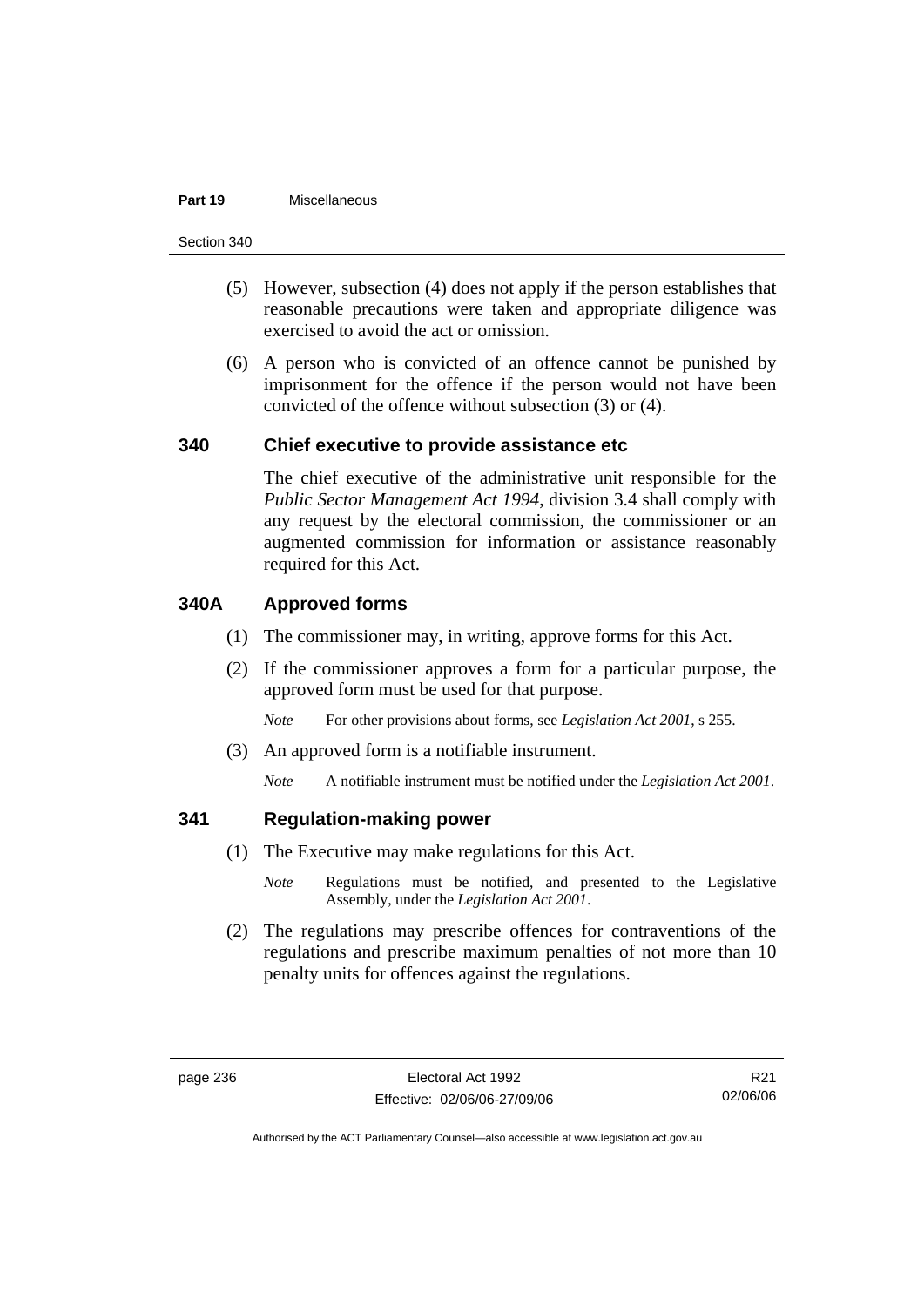#### **Part 19** Miscellaneous

Section 340

- (5) However, subsection (4) does not apply if the person establishes that reasonable precautions were taken and appropriate diligence was exercised to avoid the act or omission.
- (6) A person who is convicted of an offence cannot be punished by imprisonment for the offence if the person would not have been convicted of the offence without subsection (3) or (4).

### **340 Chief executive to provide assistance etc**

The chief executive of the administrative unit responsible for the *Public Sector Management Act 1994*, division 3.4 shall comply with any request by the electoral commission, the commissioner or an augmented commission for information or assistance reasonably required for this Act.

## **340A Approved forms**

- (1) The commissioner may, in writing, approve forms for this Act.
- (2) If the commissioner approves a form for a particular purpose, the approved form must be used for that purpose.

*Note* For other provisions about forms, see *Legislation Act 2001*, s 255.

(3) An approved form is a notifiable instrument.

*Note* A notifiable instrument must be notified under the *Legislation Act 2001*.

## **341 Regulation-making power**

- (1) The Executive may make regulations for this Act.
	- *Note* Regulations must be notified, and presented to the Legislative Assembly, under the *Legislation Act 2001*.
- (2) The regulations may prescribe offences for contraventions of the regulations and prescribe maximum penalties of not more than 10 penalty units for offences against the regulations.

R21 02/06/06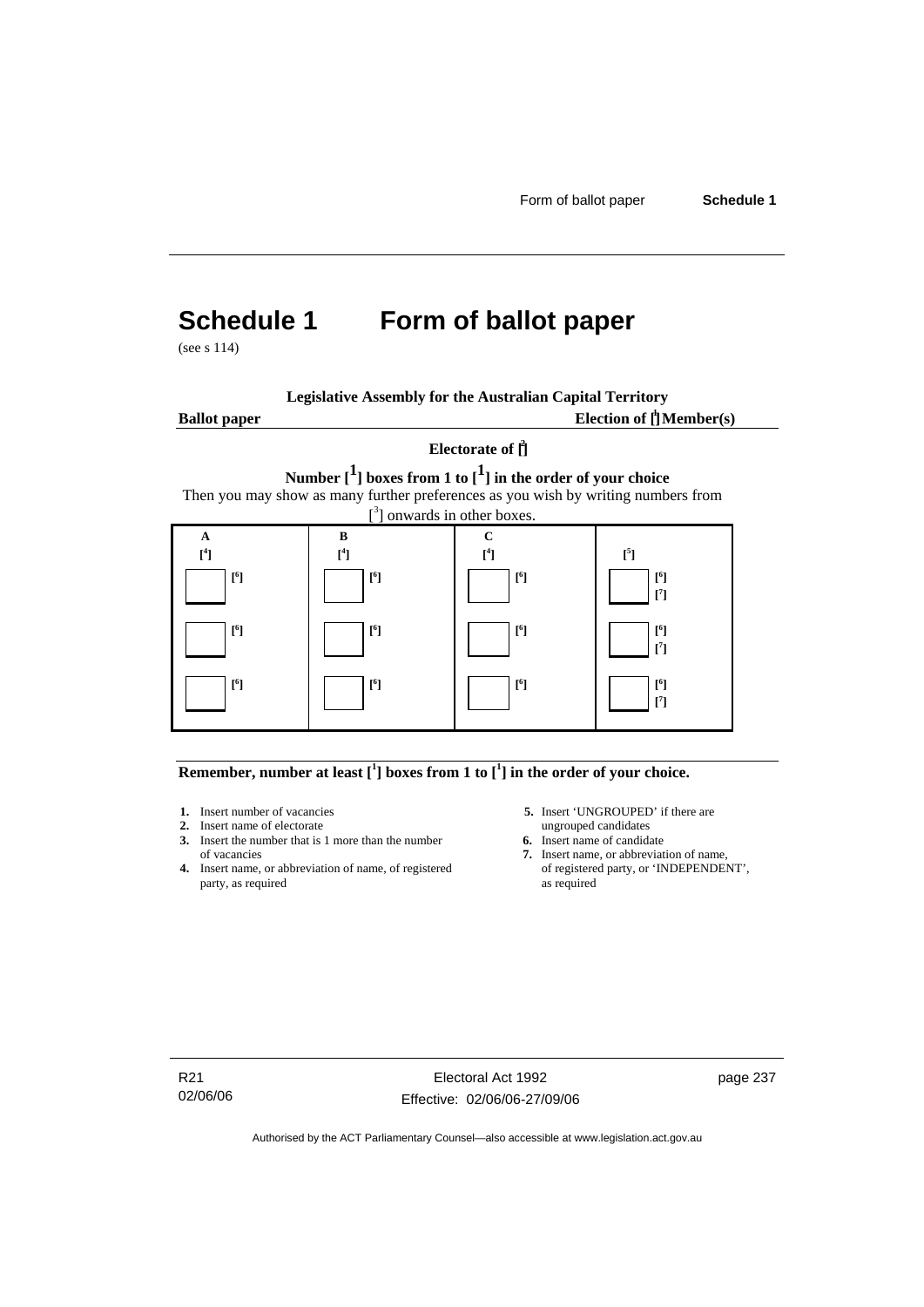# **Schedule 1 Form of ballot paper**

(see s 114)

| <b>Legislative Assembly for the Australian Capital Territory</b> |  |
|------------------------------------------------------------------|--|
|------------------------------------------------------------------|--|

**Ballot paper** 

Election of  $\mathbf{\hat{\mathsf{\Gamma}}}$  Member(s)

# **Electorate of [ 2 ] Number [1] boxes from 1 to [1] in the order of your choice**  Then you may show as many further preferences as you wish by writing numbers from



#### **Remember, number at least**  $\begin{bmatrix} 1 \end{bmatrix}$  boxes from 1 to  $\begin{bmatrix} 1 \end{bmatrix}$  in the order of your choice.

- 
- **2.** Insert name of electorate ungrouped candidates<br> **3.** Insert the number that is 1 more than the number<br> **6.** Insert name of candidate **3.** Insert the number that is 1 more than the number
- **4.** Insert name, or abbreviation of name, of registered party, as required as required
- **1.** Insert number of vacancies **5.** Insert 'UNGROUPED' if there are **2.** Insert name of electorate ungrouped candidates
	-
	- of vacancies **7.** Insert name, or abbreviation of name,  $\frac{1}{2}$  Insert name, or abbreviation of name, of registered party, or 'INDEPENDENT',

R21 02/06/06

Electoral Act 1992 Effective: 02/06/06-27/09/06 page 237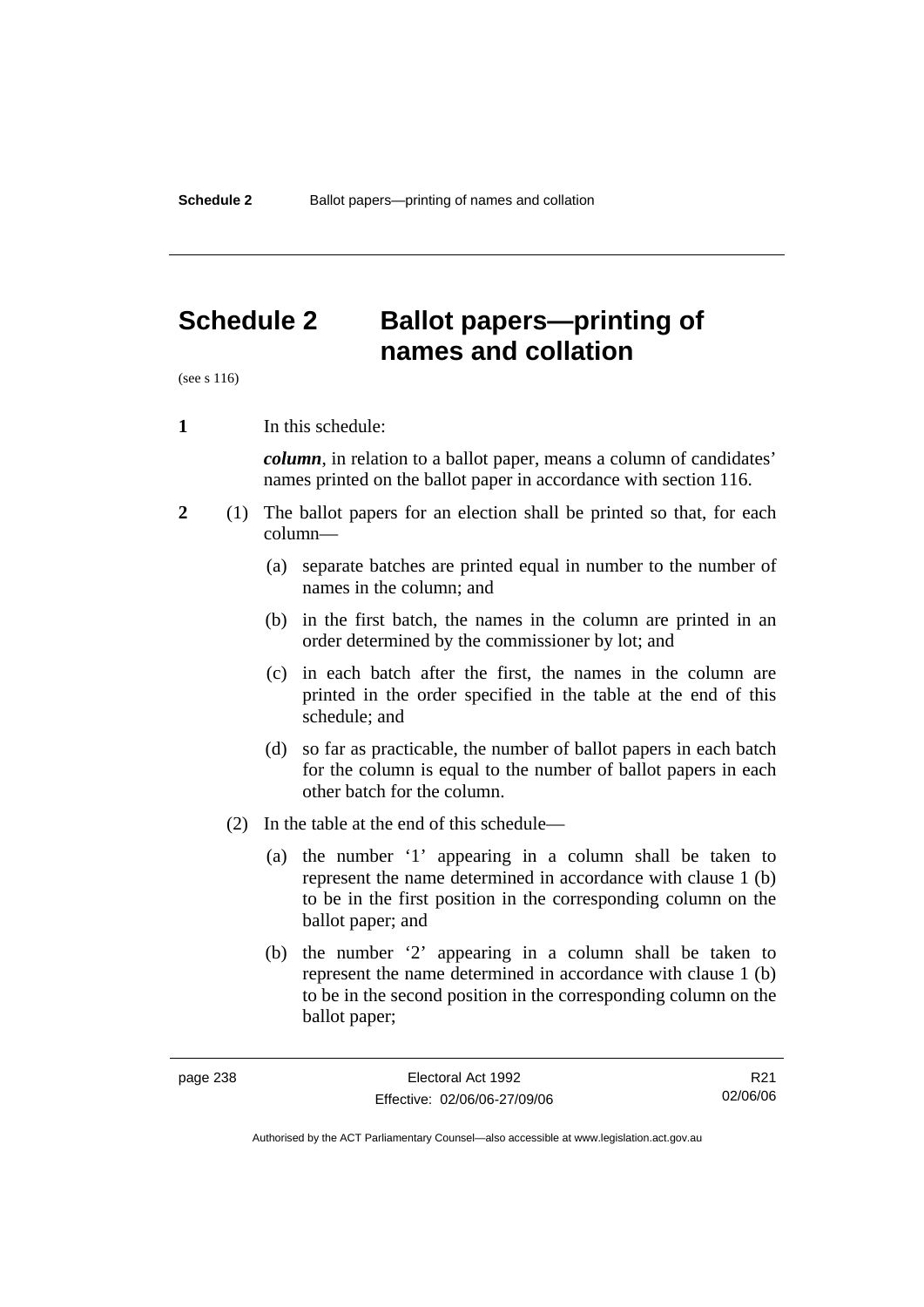# **Schedule 2 Ballot papers—printing of names and collation**

(see s 116)

**1** In this schedule:

*column*, in relation to a ballot paper, means a column of candidates' names printed on the ballot paper in accordance with section 116.

- **2** (1) The ballot papers for an election shall be printed so that, for each column—
	- (a) separate batches are printed equal in number to the number of names in the column; and
	- (b) in the first batch, the names in the column are printed in an order determined by the commissioner by lot; and
	- (c) in each batch after the first, the names in the column are printed in the order specified in the table at the end of this schedule; and
	- (d) so far as practicable, the number of ballot papers in each batch for the column is equal to the number of ballot papers in each other batch for the column.
	- (2) In the table at the end of this schedule—
		- (a) the number '1' appearing in a column shall be taken to represent the name determined in accordance with clause 1 (b) to be in the first position in the corresponding column on the ballot paper; and
		- (b) the number '2' appearing in a column shall be taken to represent the name determined in accordance with clause 1 (b) to be in the second position in the corresponding column on the ballot paper;

R21 02/06/06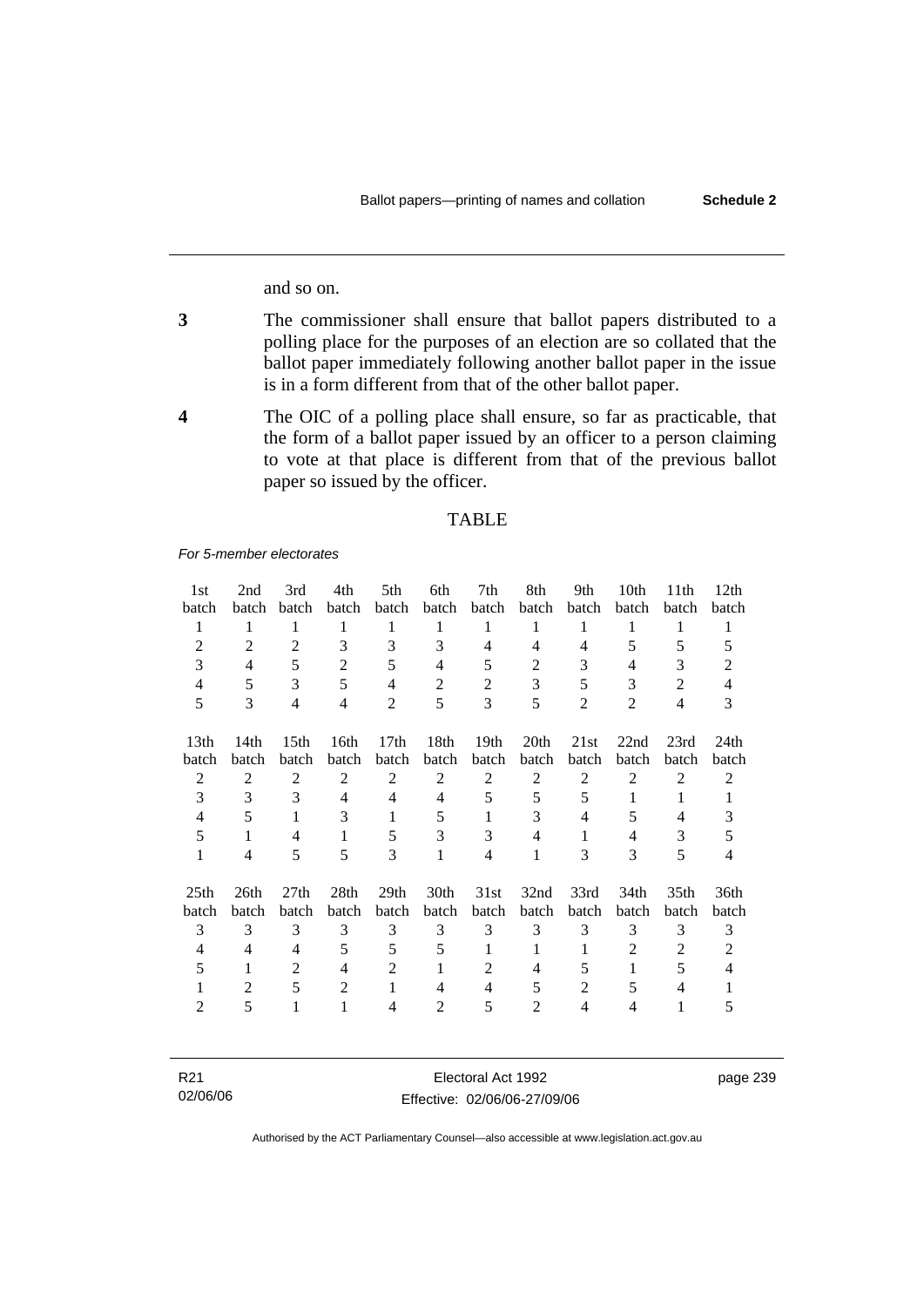page 239

and so on.

- **3** The commissioner shall ensure that ballot papers distributed to a polling place for the purposes of an election are so collated that the ballot paper immediately following another ballot paper in the issue is in a form different from that of the other ballot paper.
- **4** The OIC of a polling place shall ensure, so far as practicable, that the form of a ballot paper issued by an officer to a person claiming to vote at that place is different from that of the previous ballot paper so issued by the officer.

### TABLE

*For 5-member electorates*

| 1st                       | 2nd            | 3rd              | 4th            | 5th                       | 6th            | 7th              | 8th            | 9th            | 10th           | 11 <sup>th</sup>          | 12th           |
|---------------------------|----------------|------------------|----------------|---------------------------|----------------|------------------|----------------|----------------|----------------|---------------------------|----------------|
| batch                     | batch          | batch            | batch          | batch                     | batch          | batch            | batch          | batch          | batch          | batch                     | batch          |
| 1                         | 1              | 1                | 1              | 1                         | 1              | $\mathbf{1}$     | 1              | 1              | 1              | 1                         | 1              |
| $\overline{2}$            | $\overline{2}$ | $\overline{2}$   | 3              | 3                         | 3              | $\overline{4}$   | 4              | $\overline{4}$ | 5              | 5                         | 5              |
| 3                         | $\overline{4}$ | 5                | $\overline{2}$ | 5                         | $\overline{4}$ | 5                | $\overline{2}$ | 3              | $\overline{4}$ | 3                         | $\overline{2}$ |
| $\overline{4}$            | 5              | 3                | 5              | $\overline{4}$            | $\overline{2}$ | $\overline{2}$   | 3              | 5              | 3              | $\overline{2}$            | $\overline{4}$ |
| 5                         | 3              | $\overline{4}$   | $\overline{4}$ | $\overline{2}$            | 5              | 3                | 5              | $\overline{2}$ | $\overline{2}$ | $\overline{4}$            | 3              |
|                           |                |                  |                |                           |                |                  |                |                |                |                           |                |
| 13th                      | 14th           | 15 <sub>th</sub> | 16th           | 17th                      | 18th           | 19 <sub>th</sub> | 20th           | 21st           | 22nd           | 23rd                      | 24th           |
| batch                     | batch          | batch            | batch          | batch                     | batch          | batch            | batch          | batch          | batch          | batch                     | batch          |
| $\overline{2}$            | $\overline{2}$ | $\overline{2}$   | $\overline{2}$ | $\overline{2}$            | $\overline{2}$ | $\overline{2}$   | $\overline{2}$ | $\overline{2}$ | $\overline{2}$ | $\overline{2}$            | 2              |
| 3                         | 3              | $\mathcal{E}$    | 4              | $\overline{4}$            | 4              | 5                | 5              | 5              | $\mathbf{1}$   | 1                         | 1              |
| $\overline{4}$            | 5              | $\mathbf{1}$     | 3              | 1                         | 5              | $\mathbf{1}$     | 3              | $\overline{4}$ | 5              | 4                         | 3              |
| 5                         | 1              | $\overline{4}$   | $\mathbf{1}$   | 5                         | 3              | 3                | 4              | $\mathbf{1}$   | 4              | 3                         | 5              |
| $\mathbf{1}$              | 4              | 5                | 5              | 3                         | 1              | $\overline{4}$   | 1              | 3              | 3              | 5                         | 4              |
|                           | 26th           | 27 <sub>th</sub> |                |                           |                | 31st             |                | 33rd           |                |                           | 36th           |
| 25 <sub>th</sub><br>batch | batch          | batch            | 28th<br>batch  | 29 <sub>th</sub><br>batch | 30th<br>batch  | batch            | 32nd<br>batch  | batch          | 34th<br>batch  | 35 <sub>th</sub><br>batch | batch          |
|                           |                | 3                | 3              | 3                         | 3              | 3                |                |                | 3              |                           |                |
| 3                         | 3              |                  |                |                           |                |                  | 3              | 3              |                | 3                         | 3              |
| 4                         | 4              | $\overline{4}$   | 5              | 5                         | 5              | 1                | 1              | 1              | $\overline{2}$ | 2                         | $\overline{2}$ |
| 5                         | 1              | 2                | $\overline{4}$ | $\overline{2}$            | 1              | $\overline{2}$   | 4              | 5              | $\mathbf{1}$   | 5                         | $\overline{4}$ |
| 1                         | $\overline{2}$ | 5                | $\mathfrak{2}$ | $\mathbf{1}$              | 4              | $\overline{4}$   | 5              | $\overline{2}$ | 5              | $\overline{4}$            | 1              |
| 2                         | 5              | $\mathbf{1}$     | $\mathbf{1}$   | 4                         | 2              | 5                | $\overline{2}$ | 4              | 4              | 1                         | 5              |
|                           |                |                  |                |                           |                |                  |                |                |                |                           |                |

| R <sub>21</sub> | Electoral Act 1992           | page |
|-----------------|------------------------------|------|
| 02/06/06        | Effective: 02/06/06-27/09/06 |      |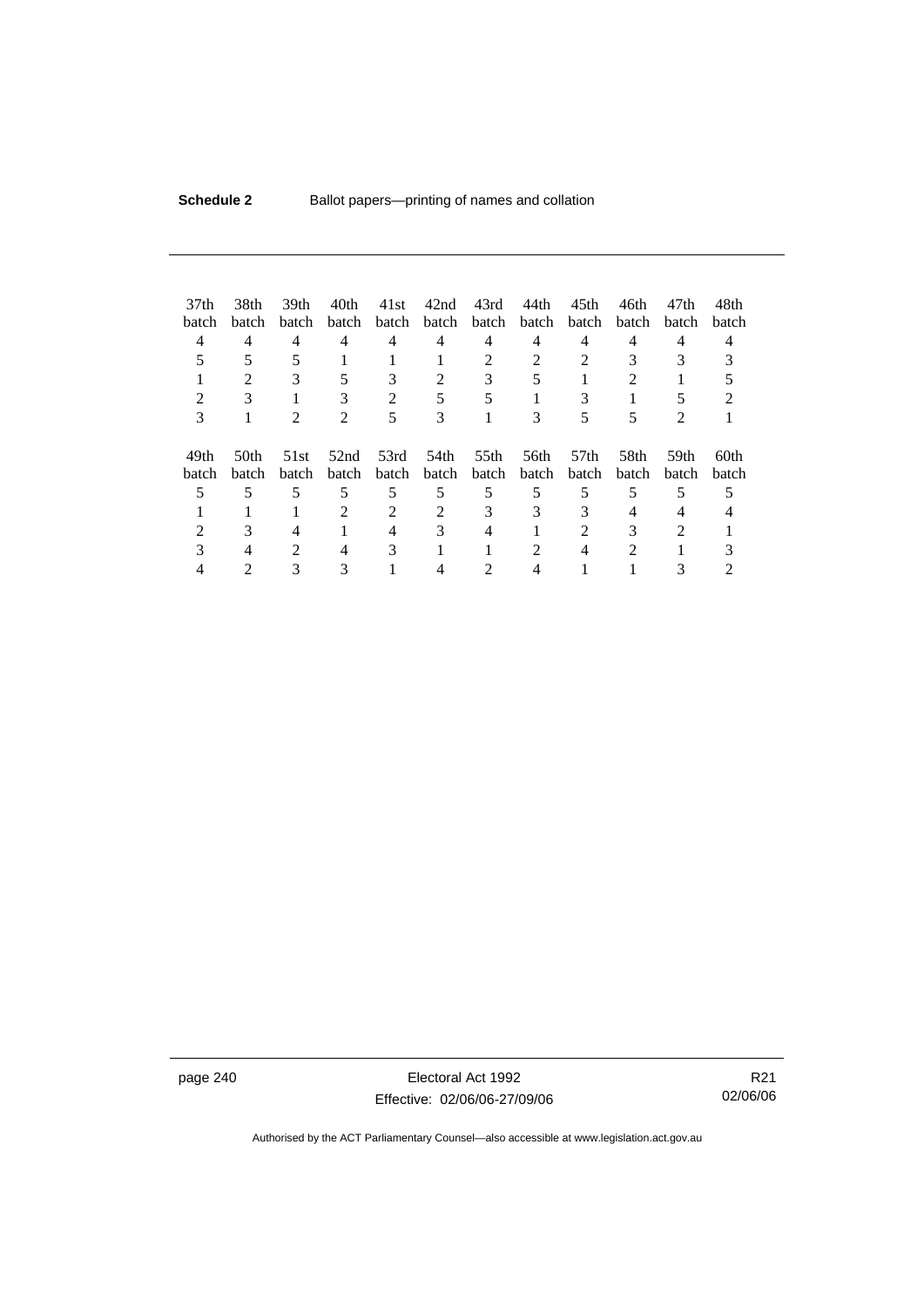| 37 <sub>th</sub><br>batch | 38th<br>batch  | 39 <sub>th</sub><br>batch   | 40th<br>batch | 41st<br>batch | 42nd<br>batch            | 43rd<br>batch | 44th<br>batch | 45th<br><b>batch</b>      | 46th<br>batch | 47th<br>batch | 48th<br>batch |
|---------------------------|----------------|-----------------------------|---------------|---------------|--------------------------|---------------|---------------|---------------------------|---------------|---------------|---------------|
| 4                         | 4              | $\overline{4}$              | 4             | 4             | 4                        | 4             | 4             | 4                         | 4             | 4             | 4             |
|                           | 5              | 5                           |               |               |                          | 2             | 2             | 2                         | 3             | 3             |               |
|                           | $\mathfrak{D}$ | 3                           | 5             | 3             | $\overline{\mathcal{L}}$ | 3             | 5             |                           | 2             |               |               |
| 2                         | 3              |                             | 3             | 2             | 5                        | 5             |               | 3                         |               |               |               |
| 3                         |                |                             | 2             | 5             | 3                        |               | 3             | 5                         | 5             | 2             |               |
| 49th<br>batch             | 50th<br>batch  | 51st<br>batch               | 52nd<br>batch | 53rd<br>batch | 54th<br>batch            | 55th<br>batch | 56th<br>batch | 57 <sub>th</sub><br>batch | 58th<br>batch | 59th<br>batch | 60th<br>batch |
|                           | 5              | 5                           | 5             | 5             | 5                        | 5             | 5             | 5                         | 5             | 5             |               |
|                           |                |                             | 2             | 2             | 2                        | 3             | 3             | 3                         | 4             | 4             |               |
|                           | 3              | 4                           |               | 4             | 3                        | 4             |               | 2                         | 3             | 2             |               |
| 3                         |                | $\mathcal{D}_{\mathcal{L}}$ | 4             | 3             |                          |               |               | 4                         | 2             |               |               |
|                           |                |                             |               |               |                          |               |               |                           |               |               |               |

page 240 Electoral Act 1992 Effective: 02/06/06-27/09/06

R21 02/06/06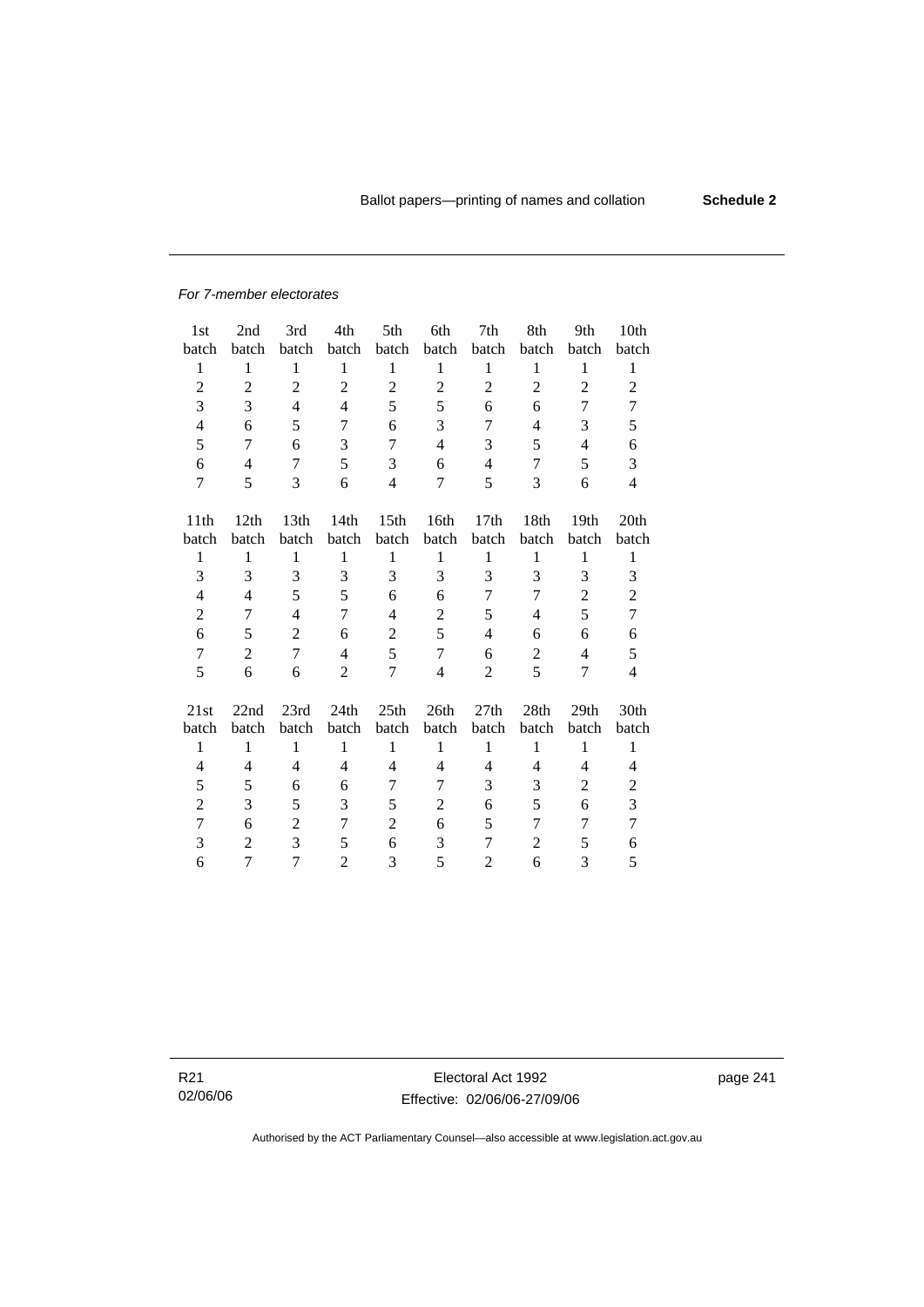#### *For 7-member electorates*

| 1st              | 2nd            | 3rd            | 4th            | 5th              | 6th            | 7th            | 8th            | 9th            | 10 <sub>th</sub> |
|------------------|----------------|----------------|----------------|------------------|----------------|----------------|----------------|----------------|------------------|
| batch            | batch          | batch          | batch          | batch            | batch          | batch          | batch          | batch          | batch            |
| $\,1$            | $\mathbf{1}$   | $\mathbf{1}$   | $\mathbf{1}$   | $\mathbf{1}$     | $\mathbf{1}$   | $\mathbf{1}$   | $\mathbf{1}$   | $\mathbf{1}$   | $\mathbf{1}$     |
| $\overline{c}$   | $\overline{c}$ | $\overline{c}$ | $\overline{2}$ | $\overline{c}$   | $\overline{2}$ | $\overline{c}$ | $\overline{c}$ | $\overline{2}$ | $\mathfrak{2}$   |
| 3                | 3              | $\overline{4}$ | $\overline{4}$ | 5                | 5              | 6              | 6              | 7              | 7                |
| $\overline{4}$   | 6              | 5              | 7              | 6                | 3              | 7              | 4              | 3              | 5                |
| 5                | 7              | 6              | 3              | 7                | $\overline{4}$ | 3              | 5              | $\overline{4}$ | 6                |
| 6                | $\overline{4}$ | 7              | 5              | 3                | 6              | $\overline{4}$ | 7              | 5              | 3                |
| $\overline{7}$   | 5              | 3              | 6              | $\overline{4}$   | 7              | 5              | 3              | 6              | $\overline{4}$   |
|                  |                |                |                |                  |                |                |                |                |                  |
| 11 <sup>th</sup> | 12th           | 13th           | 14th           | 15 <sup>th</sup> | 16th           | 17th           | 18th           | 19th           | 20th             |
| batch            | batch          | batch          | batch          | batch            | batch          | batch          | batch          | batch          | batch            |
| 1                | 1              | 1              | $\mathbf{1}$   | $\mathbf{1}$     | 1              | 1              | 1              | $\mathbf{1}$   | $\mathbf{1}$     |
| 3                | 3              | 3              | 3              | 3                | 3              | 3              | 3              | 3              | 3                |
| 4                | $\overline{4}$ | 5              | 5              | 6                | 6              | 7              | 7              | $\overline{c}$ | $\mathbf{2}$     |
| $\overline{2}$   | 7              | 4              | 7              | 4                | $\overline{c}$ | 5              | 4              | 5              | $\tau$           |
| 6                | 5              | $\overline{2}$ | 6              | $\overline{c}$   | 5              | 4              | 6              | 6              | 6                |
| $\tau$           | $\overline{2}$ | $\overline{7}$ | $\overline{4}$ | 5                | $\tau$         | 6              | $\overline{c}$ | $\overline{4}$ | 5                |
| 5                | 6              | 6              | $\overline{2}$ | 7                | $\overline{4}$ | 2              | 5              | 7              | $\overline{4}$   |
|                  |                |                |                |                  |                |                |                |                |                  |
| 21st             | 22nd           | 23rd           | 24th           | 25th             | 26th           | 27th           | 28th           | 29th           | 30th             |
| batch            | batch          | batch          | batch          | batch            | batch          | batch          | batch          | batch          | batch            |
| $\mathbf{1}$     | $\mathbf{1}$   | $\mathbf{1}$   | $\mathbf{1}$   | $\mathbf{1}$     | $\mathbf{1}$   | $\mathbf{1}$   | $\mathbf{1}$   | $\mathbf{1}$   | $\mathbf{1}$     |
| 4                | 4              | 4              | 4              | 4                | $\overline{4}$ | 4              | 4              | 4              | 4                |
| 5                | 5              | 6              | 6              | $\tau$           | $\tau$         | 3              | 3              | $\overline{c}$ | $\mathbf{2}$     |
| $\overline{c}$   | 3              | 5              | 3              | 5                | $\overline{c}$ | 6              | 5              | 6              | 3                |
| $\overline{7}$   | 6              | $\overline{2}$ | 7              | $\overline{2}$   | 6              | 5              | 7              | 7              | $\tau$           |
| 3                | $\overline{2}$ | 3              | 5              | 6                | 3              | 7              | $\overline{2}$ | 5              | 6                |
| 6                | $\overline{7}$ | 7              | $\overline{2}$ | 3                | 5              | $\overline{c}$ | 6              | 3              | 5                |

R21 02/06/06

Electoral Act 1992 Effective: 02/06/06-27/09/06 page 241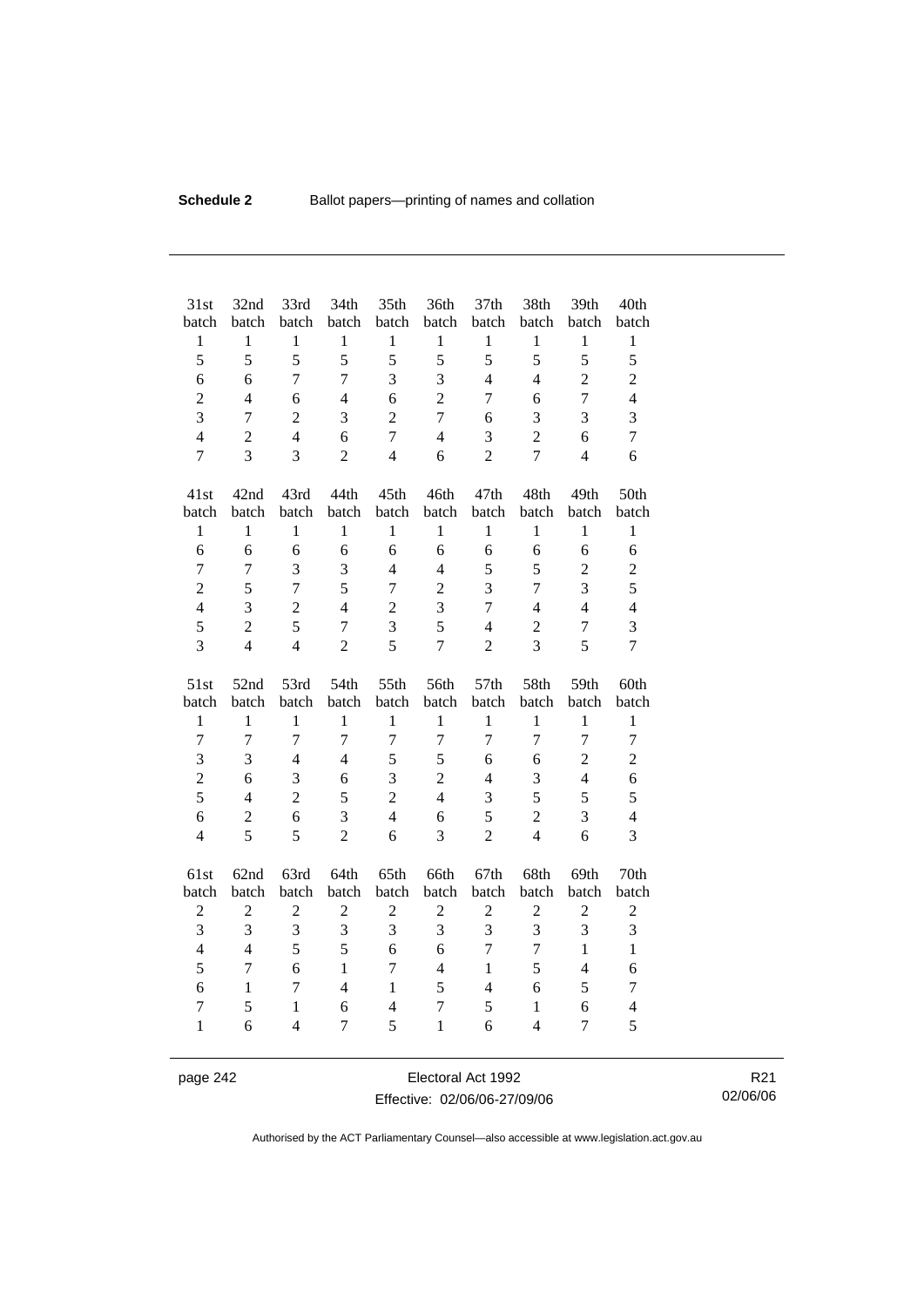| 31st<br>batch          | 32nd<br>batch  | 33rd<br>batch                  | 34th<br>batch       | 35th<br>batch       | 36th<br>batch     | 37th<br>batch  | 38th<br>batch                  | 39th<br>batch       | 40th<br>batch       |
|------------------------|----------------|--------------------------------|---------------------|---------------------|-------------------|----------------|--------------------------------|---------------------|---------------------|
| $\mathbf{1}$           | $\mathbf{1}$   | $\mathbf{1}$                   | $\mathbf{1}$        | $\mathbf{1}$        | $\mathbf{1}$      | $\mathbf{1}$   | $\mathbf{1}$                   | $\mathbf{1}$        | $\,1$               |
| 5                      | 5              | 5                              | 5                   | 5                   | 5                 | 5              | 5                              | 5                   | 5                   |
| 6                      | 6              | $\overline{7}$                 | 7                   | $\overline{3}$      | 3                 | $\overline{4}$ | $\overline{4}$                 | $\overline{2}$      | $\overline{c}$      |
| $\overline{c}$         | $\overline{4}$ | 6                              | $\overline{4}$      | 6                   | $\overline{2}$    | $\overline{7}$ | 6                              | $\overline{7}$      | $\overline{4}$      |
| $\overline{3}$         | $\overline{7}$ | $\overline{2}$                 | 3                   | $\overline{2}$      | $\overline{7}$    | 6              | 3                              | 3                   | 3                   |
| $\overline{4}$         | $\overline{2}$ | $\overline{4}$                 | 6                   | $\overline{7}$      | $\overline{4}$    | 3              | $\overline{2}$                 | 6                   | $\overline{7}$      |
| $\overline{7}$         | 3              | 3                              | $\overline{2}$      | $\overline{4}$      | 6                 | $\overline{2}$ | $\overline{7}$                 | $\overline{4}$      | 6                   |
| 41st                   | 42nd           | 43rd                           | 44th                | 45th                | 46th              | 47th           | 48th                           | 49th                | 50th                |
| batch                  | batch          | batch                          | batch               | batch               | batch             | batch          | batch                          | batch               | batch               |
| $\mathbf{1}$           | $\mathbf{1}$   | $\mathbf{1}$                   | $\mathbf{1}$        | $\mathbf{1}$        | $\mathbf{1}$      | $\mathbf{1}$   | $\mathbf{1}$                   | $\mathbf{1}$        | $\mathbf{1}$        |
| 6                      | 6              | 6                              | 6                   | 6                   | 6                 | 6              | 6                              | 6                   | 6                   |
| $\overline{7}$         | 7              | 3                              | 3                   | $\overline{4}$      | $\overline{4}$    | 5              | 5                              | $\overline{2}$      | $\mathbf{2}$        |
| $\overline{2}$         | 5              | $\overline{7}$                 | 5                   | $\overline{7}$      | $\overline{2}$    | 3              | $\overline{7}$                 | 3                   | 5                   |
| $\overline{4}$         | 3              | $\overline{2}$                 | $\overline{4}$      | $\overline{2}$      | 3                 | $\overline{7}$ | $\overline{4}$                 | $\overline{4}$      | $\overline{4}$      |
| 5                      | $\overline{2}$ | 5                              | $\overline{7}$      | 3                   | 5                 | $\overline{4}$ | $\overline{c}$                 | $\overline{7}$      | 3                   |
| $\overline{3}$         | $\overline{4}$ | $\overline{4}$                 | $\overline{2}$      | 5                   | $\overline{7}$    | $\overline{2}$ | $\overline{3}$                 | 5                   | $\overline{7}$      |
|                        |                |                                |                     |                     |                   |                |                                |                     |                     |
| 51st                   | 52nd           | 53rd                           | 54th                | 55th                | 56th              | 57th           | 58th                           | 59th                | 60th                |
| batch                  | batch          | batch                          | batch               | batch               | batch             | batch          | batch                          | batch               | batch               |
| $\mathbf{1}$           | $\mathbf{1}$   | $\mathbf{1}$                   | $\mathbf{1}$        | $\mathbf{1}$        | $\mathbf{1}$      | $\mathbf{1}$   | $\mathbf{1}$                   | $\mathbf{1}$        | $\mathbf{1}$        |
| $\overline{7}$         | $\overline{7}$ | $\overline{7}$                 | $\overline{7}$      | $\overline{7}$      | $\tau$            | $\overline{7}$ | $\overline{7}$                 | $\overline{7}$      | $\tau$              |
| 3                      | 3              | $\overline{4}$                 | $\overline{4}$      | 5                   | 5                 | 6              | 6                              | $\overline{c}$      | $\overline{c}$      |
| $\overline{c}$         | 6              | 3                              | 6                   | $\overline{3}$      | $\overline{2}$    | $\overline{4}$ | 3                              | $\overline{4}$      | 6                   |
| 5                      | $\overline{4}$ | $\overline{2}$                 | 5                   | $\overline{2}$      | $\overline{4}$    | 3              | 5                              | 5                   | 5                   |
| 6                      | $\overline{2}$ | 6                              | 3                   | $\overline{4}$      | 6                 | 5              | $\overline{2}$                 | 3                   | $\overline{4}$      |
| $\overline{4}$         | 5              | 5                              | $\overline{2}$      | 6                   | 3                 | $\overline{2}$ | $\overline{4}$                 | 6                   | $\overline{3}$      |
| 61st                   | 62nd           | 63rd                           | 64th                | 65th                | 66th              | 67th           | 68th                           | 69th                | 70th                |
| batch                  | batch          | batch                          | batch               | batch               | batch             | batch          | batch                          | batch               | batch               |
| $\overline{c}$         | $\overline{c}$ | $\boldsymbol{2}$               | $\overline{c}$      | $\overline{c}$      | $\sqrt{2}$        | $\overline{c}$ | $\overline{c}$                 | $\overline{c}$      | $\boldsymbol{2}$    |
| 3                      | 3              | 3                              | 3                   | 3                   | 3                 | 3              | $\overline{\mathbf{3}}$        | 3                   | 3                   |
| $\overline{4}$         | $\overline{4}$ | 5                              | 5                   | 6                   | 6                 | $\overline{7}$ | $\overline{7}$                 | $\mathbf{1}$        | $\mathbf{1}$        |
| 5                      | $\tau$         | 6                              | $\mathbf{1}$        | $\overline{7}$      | $\overline{4}$    | $\mathbf{1}$   | 5                              | $\overline{4}$      | 6                   |
| 6                      | $\mathbf{1}$   | $\overline{7}$                 | $\overline{4}$      | $\mathbf{1}$        | 5                 | $\overline{4}$ | 6                              | 5                   | $\overline{7}$      |
| $\tau$<br>$\mathbf{1}$ | 5<br>6         | $\mathbf{1}$<br>$\overline{4}$ | 6<br>$\overline{7}$ | $\overline{4}$<br>5 | 7<br>$\mathbf{1}$ | 5<br>6         | $\mathbf{1}$<br>$\overline{4}$ | 6<br>$\overline{7}$ | $\overline{4}$<br>5 |

page 242 Electoral Act 1992 Effective: 02/06/06-27/09/06

R21 02/06/06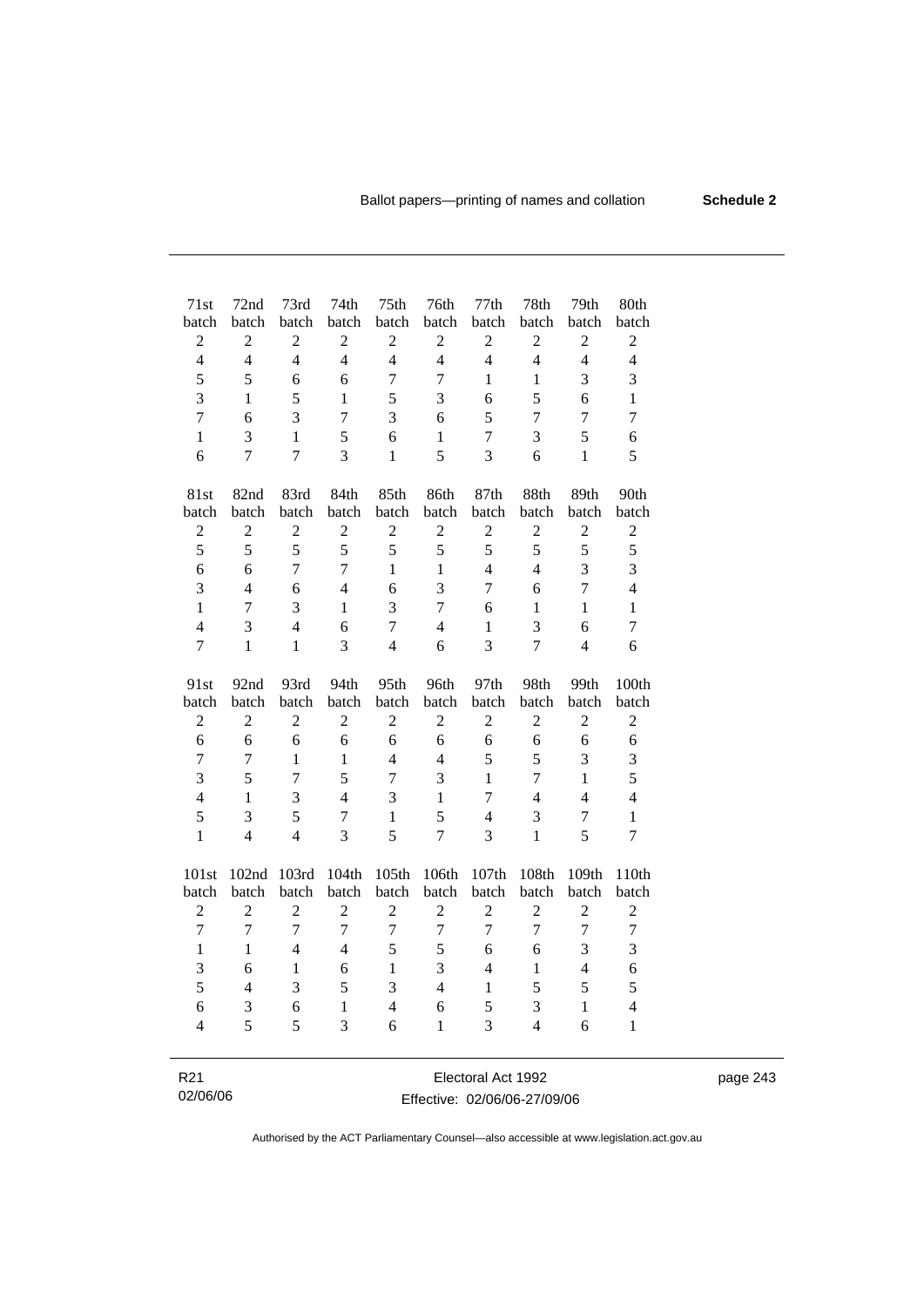| 71st             | 72nd           | 73rd             | 74th           | 75th                    | 76th           | 77th           | 78th           | 79th           | 80th           |
|------------------|----------------|------------------|----------------|-------------------------|----------------|----------------|----------------|----------------|----------------|
| batch            | batch          | batch            | batch          | batch                   | batch          | batch          | batch          | batch          | batch          |
| $\overline{2}$   | $\overline{c}$ | $\overline{2}$   | $\sqrt{2}$     | $\sqrt{2}$              | $\overline{2}$ | $\overline{c}$ | $\overline{c}$ | $\overline{c}$ | $\overline{2}$ |
| $\overline{4}$   | $\overline{4}$ | $\overline{4}$   | $\overline{4}$ | $\overline{4}$          | $\overline{4}$ | $\overline{4}$ | $\overline{4}$ | $\overline{4}$ | $\overline{4}$ |
| 5                | 5              | 6                | 6              | $\overline{7}$          | $\tau$         | $\mathbf{1}$   | $\mathbf{1}$   | 3              | 3              |
| 3                | 1              | 5                | 1              | 5                       | 3              | 6              | 5              | 6              | $\mathbf{1}$   |
| $\overline{7}$   | 6              | $\overline{3}$   | $\overline{7}$ | 3                       | 6              | 5              | $\overline{7}$ | $\overline{7}$ | $\overline{7}$ |
| $\mathbf{1}$     | $\overline{3}$ | $\mathbf{1}$     | 5              | 6                       | $\mathbf{1}$   | $\overline{7}$ | 3              | 5              | 6              |
| 6                | $\overline{7}$ | $\overline{7}$   | $\overline{3}$ | $\mathbf{1}$            | 5              | 3              | 6              | $\mathbf{1}$   | 5              |
| 81st             | 82nd           | 83rd             | 84th           | 85th                    | 86th           | 87th           | 88th           | 89th           | 90th           |
| batch            | batch          | batch            | batch          | batch                   | batch          | batch          | batch          | batch          | batch          |
| $\overline{2}$   | $\overline{2}$ | $\overline{2}$   | $\overline{2}$ | $\overline{2}$          | $\overline{2}$ | $\overline{2}$ | $\overline{2}$ | $\overline{c}$ | $\overline{c}$ |
| 5                | 5              | 5                | 5              | 5                       | 5              | 5              | 5              | 5              | 5              |
| 6                | 6              | $\overline{7}$   | $\overline{7}$ | $\mathbf{1}$            | $\mathbf{1}$   | $\overline{4}$ | $\overline{4}$ | 3              | 3              |
| 3                | $\overline{4}$ | 6                | $\overline{4}$ | 6                       | $\overline{3}$ | $\overline{7}$ | 6              | $\overline{7}$ | $\overline{4}$ |
| $\mathbf{1}$     | $\overline{7}$ | 3                | $\mathbf{1}$   | 3                       | $\overline{7}$ | 6              | 1              | $\mathbf{1}$   | $\mathbf{1}$   |
| $\overline{4}$   | 3              | $\overline{4}$   | 6              | $\overline{7}$          | $\overline{4}$ | 1              | $\overline{3}$ | 6              | $\tau$         |
| $\overline{7}$   | $\mathbf{1}$   | $\mathbf{1}$     | $\overline{3}$ | $\overline{4}$          | 6              | 3              | $\overline{7}$ | $\overline{4}$ | 6              |
| 91st             | 92nd           | 93rd             | 94th           | 95th                    | 96th           | 97th           | 98th           | 99th           | 100th          |
| batch            | batch          | batch            | batch          | batch                   | batch          | batch          | batch          | batch          | batch          |
| $\boldsymbol{2}$ | $\overline{2}$ | $\overline{2}$   | $\overline{2}$ | $\overline{2}$          | $\overline{2}$ | $\overline{2}$ | $\overline{2}$ | $\overline{c}$ | $\sqrt{2}$     |
| 6                | 6              | 6                | 6              | 6                       | 6              | 6              | 6              | 6              | 6              |
| 7                | $\overline{7}$ | $\mathbf{1}$     | $\mathbf{1}$   | $\overline{4}$          | $\overline{4}$ | 5              | 5              | 3              | 3              |
| 3                | 5              | $\overline{7}$   | 5              | $\overline{7}$          | 3              | $\mathbf{1}$   | $\overline{7}$ | $\mathbf{1}$   | 5              |
| $\overline{4}$   | 1              | 3                | $\overline{4}$ | 3                       | $\mathbf{1}$   | $\overline{7}$ | $\overline{4}$ | $\overline{4}$ | $\overline{4}$ |
| 5                | 3              | 5                | $\overline{7}$ | $\mathbf{1}$            | 5              | $\overline{4}$ | 3              | $\overline{7}$ | $\mathbf{1}$   |
| $\mathbf{1}$     | $\overline{4}$ | $\overline{4}$   | 3              | 5                       | $\overline{7}$ | 3              | $\mathbf{1}$   | 5              | 7              |
| 101st            | 102nd          | 103rd            | 104th          | 105th                   | 106th          | 107th          | 108th          | 109th          | 110th          |
| batch            | batch          | batch            | batch          | batch                   | batch          | batch          | batch          | batch          | batch          |
| $\overline{c}$   | $\overline{c}$ | $\overline{2}$   | $\overline{2}$ | $\overline{2}$          | $\overline{c}$ | $\overline{2}$ | $\overline{c}$ | $\overline{2}$ | $\overline{c}$ |
| $\overline{7}$   | $\overline{7}$ | $\overline{7}$   | $\overline{7}$ | $\overline{7}$          | $\overline{7}$ | $\overline{7}$ | $\overline{7}$ | $\overline{7}$ | $\overline{7}$ |
| $\mathbf{1}$     | $\mathbf{1}$   | $\overline{4}$   | $\overline{4}$ | 5                       | 5              | 6              | 6              | 3              | 3              |
| 3                | 6              | $\mathbf{1}$     | 6              | $\mathbf{1}$            | 3              | $\overline{4}$ | $\mathbf{1}$   | $\overline{4}$ | 6              |
| 5                | $\overline{4}$ | 3                | 5              | 3                       | $\overline{4}$ | $\mathbf{1}$   | 5              | 5              | 5              |
| 6                | 3              | $\boldsymbol{6}$ | $\mathbf{1}$   | $\overline{\mathbf{4}}$ | 6              | 5              | 3              | $\mathbf{1}$   | $\overline{4}$ |
| $\overline{4}$   | 5              | 5                | $\overline{3}$ | 6                       | 1              | 3              | $\overline{4}$ | 6              | $\mathbf{1}$   |
|                  |                |                  |                |                         |                |                |                |                |                |
|                  |                |                  |                |                         |                |                |                |                |                |

R21 02/06/06 Electoral Act 1992 Effective: 02/06/06-27/09/06 page 243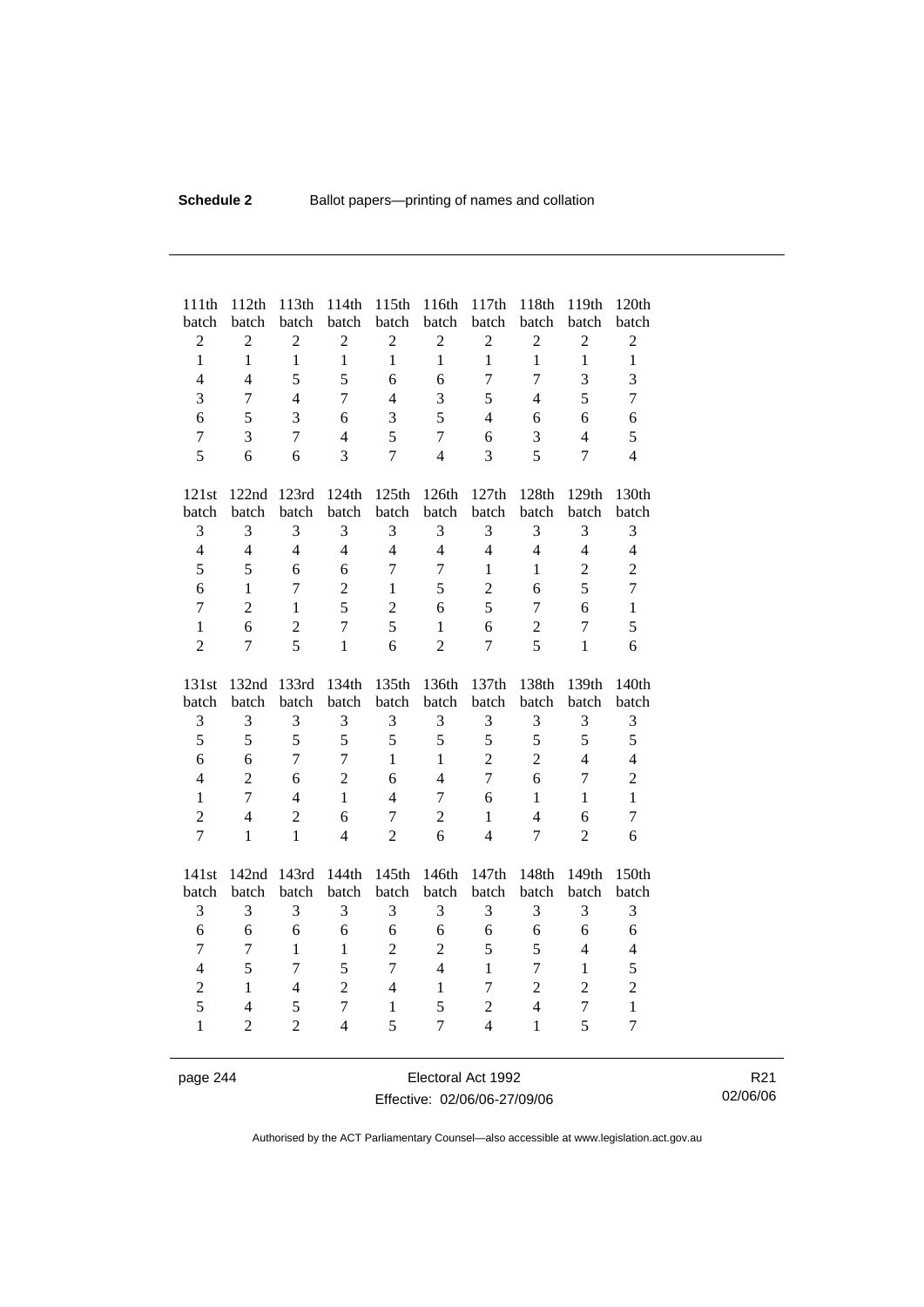| 111th<br>batch | 112th<br>batch | 113th<br>batch | 114th<br>batch | 115th<br>batch | 116th<br>batch | 117th<br>batch           | 118th<br>batch | 119th<br>batch   | 120th<br>batch          |
|----------------|----------------|----------------|----------------|----------------|----------------|--------------------------|----------------|------------------|-------------------------|
| $\overline{c}$ | $\overline{2}$ | $\overline{2}$ | $\overline{c}$ | $\overline{c}$ | $\mathbf{2}$   | $\overline{c}$           | $\overline{c}$ | $\boldsymbol{2}$ | $\overline{2}$          |
| $\mathbf{1}$   | $\mathbf{1}$   | $\mathbf{1}$   | $\mathbf{1}$   | $\mathbf{1}$   | $\mathbf{1}$   | $\mathbf{1}$             | $\mathbf{1}$   | $\mathbf{1}$     | $\mathbf{1}$            |
| $\overline{4}$ | $\overline{4}$ | 5              | 5              | 6              | 6              | $\overline{7}$           | $\overline{7}$ | 3                | $\overline{\mathbf{3}}$ |
| $\overline{3}$ | $\overline{7}$ | $\overline{4}$ | $\overline{7}$ | $\overline{4}$ | 3              | 5                        | $\overline{4}$ | 5                | $\overline{7}$          |
| 6              | 5              | 3              | 6              | 3              | 5              | $\overline{4}$           | 6              | 6                | 6                       |
| $\overline{7}$ | 3              | $\overline{7}$ | $\overline{4}$ | 5              | $\overline{7}$ | 6                        | 3              | $\overline{4}$   | 5                       |
| 5              | 6              | 6              | 3              | $\overline{7}$ | $\overline{4}$ | 3                        | 5              | $\overline{7}$   | $\overline{4}$          |
| 121st          | 122nd          | 123rd          | 124th          | 125th          | 126th          | 127th                    | 128th          | 129th            | 130th                   |
| batch          | batch          | batch          | batch          | batch          | batch          | batch                    | batch          | batch            | batch                   |
| 3              | 3              | 3              | 3              | 3              | 3              | 3                        | 3              | 3                | 3                       |
| $\overline{4}$ | $\overline{4}$ | $\overline{4}$ | $\overline{4}$ | $\overline{4}$ | $\overline{4}$ | $\overline{4}$           | $\overline{4}$ | $\overline{4}$   | $\overline{4}$          |
| 5              | 5              | 6              | 6              | $\overline{7}$ | $\tau$         | $\mathbf{1}$             | $\mathbf{1}$   | $\overline{2}$   | $\overline{2}$          |
| 6              | $\mathbf{1}$   | $\tau$         | $\overline{2}$ | $\mathbf{1}$   | 5              | $\overline{2}$           | 6              | 5                | $\overline{7}$          |
| $\overline{7}$ | $\overline{2}$ | $\mathbf{1}$   | 5              | $\overline{c}$ | 6              | 5                        | $\overline{7}$ | 6                | $\mathbf{1}$            |
| $\mathbf{1}$   | 6              | $\overline{2}$ | $\overline{7}$ | 5              | $\mathbf{1}$   | 6                        | $\overline{2}$ | $\overline{7}$   | 5                       |
| $\overline{2}$ | 7              | 5              | $\mathbf{1}$   | 6              | $\overline{2}$ | $\overline{7}$           | 5              | $\mathbf{1}$     | 6                       |
|                |                |                |                |                |                |                          |                |                  |                         |
| 131st          | 132nd          | 133rd          | 134th          | 135th          | 136th          | 137th                    | 138th          | 139th            | 140th                   |
| batch          | batch          | batch          | batch          | batch          | batch          | batch                    | batch          | batch            | batch                   |
| 3              | 3              | 3              | 3              | 3              | 3              | 3                        | 3              | 3                | 3                       |
| 5              | 5              | 5              | 5              | 5              | 5              | 5                        | 5              | 5                | 5                       |
| 6              | 6              | $\overline{7}$ | $\overline{7}$ | $\mathbf{1}$   | $\mathbf{1}$   | $\overline{2}$           | $\overline{2}$ | $\overline{4}$   | $\overline{4}$          |
| $\overline{4}$ | $\overline{2}$ | 6              | $\overline{2}$ | 6              | $\overline{4}$ | $\overline{7}$           | 6              | $\overline{7}$   | $\overline{2}$          |
| $\mathbf{1}$   | $\overline{7}$ | $\overline{4}$ | $\mathbf{1}$   | $\overline{4}$ | 7              | 6                        | $\mathbf{1}$   | $\mathbf{1}$     | $\mathbf{1}$            |
| $\overline{2}$ | $\overline{4}$ | $\overline{2}$ | 6              | $\overline{7}$ | $\overline{c}$ | $\mathbf{1}$             | $\overline{4}$ | 6                | $\overline{7}$          |
| $\overline{7}$ | $\mathbf{1}$   | $\mathbf{1}$   | $\overline{4}$ | $\overline{2}$ | 6              | $\overline{4}$           | $\overline{7}$ | $\overline{2}$   | 6                       |
| 141st          | 142nd          | 143rd          | 144th          | 145th          | 146th          | 147th                    | 148th          | 149th            | 150th                   |
| batch          | batch          | batch          | batch          | batch          | batch          | batch                    | batch          | batch            | batch                   |
| 3              | 3              | 3              | 3              | 3              | 3              | 3                        | 3              | 3                | 3                       |
| 6              | 6              | 6              | 6              | 6              | 6              | 6                        | 6              | 6                | 6                       |
| $\overline{7}$ | $\overline{7}$ | $\mathbf{1}$   | $\mathbf{1}$   | $\overline{2}$ | $\overline{2}$ | 5                        | 5              | $\overline{4}$   | $\overline{4}$          |
| $\overline{4}$ | 5              | $\overline{7}$ | 5              | $\overline{7}$ | $\overline{4}$ | $\mathbf{1}$             | $\overline{7}$ | $\mathbf{1}$     | 5                       |
| $\overline{2}$ | $\mathbf{1}$   | $\overline{4}$ | $\overline{2}$ | $\overline{4}$ | $\mathbf{1}$   | $\tau$                   | $\overline{2}$ | $\overline{2}$   | $\overline{2}$          |
| 5              | $\overline{4}$ | 5              | $\overline{7}$ | $\mathbf{1}$   | 5              | $\overline{2}$           | $\overline{4}$ | $\overline{7}$   | $\mathbf{1}$            |
| $\mathbf{1}$   | $\overline{2}$ | $\overline{2}$ | $\overline{4}$ | 5              | 7              | $\overline{\mathcal{L}}$ | $\mathbf{1}$   | 5                | $\overline{7}$          |

page 244 Electoral Act 1992 Effective: 02/06/06-27/09/06

R21 02/06/06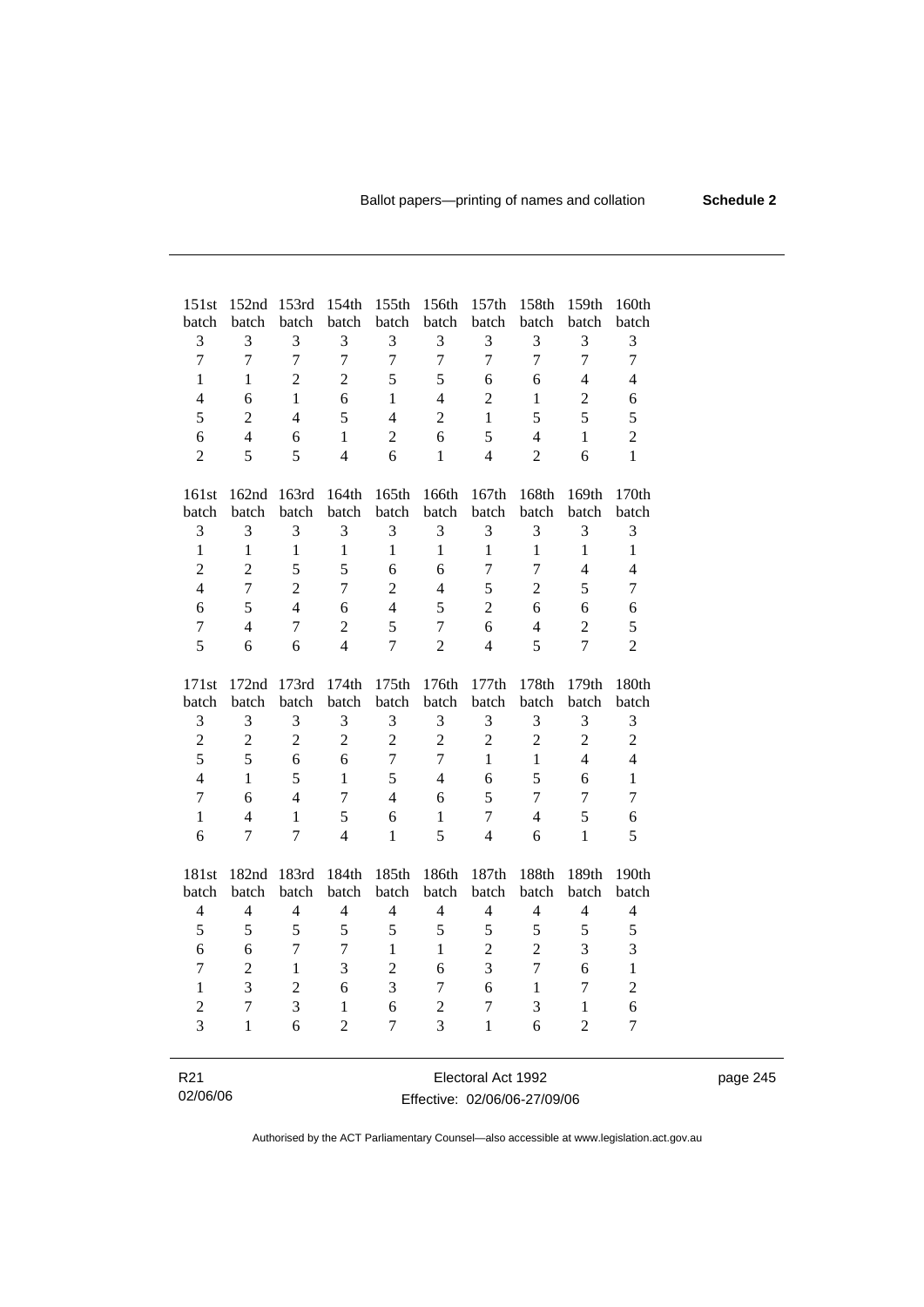| 151st                    | 152nd                    | 153rd          | 154th          | 155th          | 156th          | 157th              | 158th          | 159th          | 160th                    |
|--------------------------|--------------------------|----------------|----------------|----------------|----------------|--------------------|----------------|----------------|--------------------------|
| batch                    | batch                    | batch          | batch          | batch          | batch          | batch              | batch          | batch          | batch                    |
| 3                        | 3                        | 3              | 3              | 3              | 3              | 3                  | 3              | 3              | 3                        |
| $\overline{7}$           | $\overline{7}$           | $\overline{7}$ | $\overline{7}$ | $\overline{7}$ | $\overline{7}$ | $\overline{7}$     | $\overline{7}$ | $\overline{7}$ | $\overline{7}$           |
| 1                        | 1                        | $\overline{2}$ | $\overline{c}$ | 5              | 5              | 6                  | 6              | $\overline{4}$ | $\overline{\mathbf{4}}$  |
| $\overline{4}$           | 6                        | $\mathbf{1}$   | 6              | 1              | $\overline{4}$ | $\overline{2}$     | 1              | $\overline{2}$ | $\boldsymbol{6}$         |
| 5                        | $\overline{2}$           | $\overline{4}$ | 5              | $\overline{4}$ | $\overline{2}$ | $\mathbf{1}$       | 5              | 5              | 5                        |
| 6                        | $\overline{4}$           | 6              | $\mathbf{1}$   | $\overline{2}$ | 6              | 5                  | $\overline{4}$ | $\mathbf{1}$   | $\overline{c}$           |
| $\overline{2}$           | $\overline{5}$           | 5              | $\overline{4}$ | 6              | 1              | $\overline{4}$     | $\overline{2}$ | 6              | $\mathbf{1}$             |
| 161st                    | 162nd                    | 163rd          | 164th          | 165th          | 166th          | 167th              | 168th          | 169th          | 170th                    |
| batch                    | batch                    | batch          | batch          | batch          | batch          | batch              | batch          | batch          | batch                    |
| 3                        | 3                        | 3              | 3              | 3              | 3              | 3                  | 3              | 3              | 3                        |
| $\mathbf{1}$             | $\mathbf{1}$             | $\mathbf{1}$   | $\mathbf{1}$   | $\mathbf{1}$   | $\mathbf{1}$   | $\mathbf{1}$       | $\mathbf{1}$   | $\mathbf{1}$   | $\mathbf{1}$             |
| $\overline{2}$           | $\overline{2}$           | 5              | 5              | 6              | 6              | $\overline{7}$     | $\overline{7}$ | $\overline{4}$ | $\overline{4}$           |
| $\overline{4}$           | $\overline{7}$           | $\overline{2}$ | $\overline{7}$ | $\overline{2}$ | $\overline{4}$ | 5                  | $\overline{2}$ | 5              | $\overline{7}$           |
| 6                        | 5                        | $\overline{4}$ | 6              | $\overline{4}$ | 5              | $\overline{2}$     | 6              | 6              | 6                        |
| $\overline{7}$           | $\overline{4}$           | $\overline{7}$ | $\overline{2}$ | 5              | $\overline{7}$ | 6                  | $\overline{4}$ | $\overline{2}$ | 5                        |
| 5                        | 6                        | 6              | $\overline{4}$ | $\overline{7}$ | $\overline{2}$ | $\overline{4}$     | 5              | $\overline{7}$ | $\overline{2}$           |
| 171st                    | 172nd                    | 173rd          | 174th          | 175th          | 176th          | 177th              | 178th          | 179th          | 180th                    |
| batch                    | batch                    | batch          | batch          | batch          | batch          | batch              | batch          | batch          | batch                    |
| 3                        | 3                        | 3              | 3              | 3              | 3              | 3                  | 3              | 3              | 3                        |
| $\overline{c}$           | $\overline{2}$           | $\overline{2}$ | $\overline{c}$ | $\overline{c}$ | $\overline{c}$ | $\overline{2}$     | $\overline{c}$ | $\sqrt{2}$     | $\overline{c}$           |
| 5                        | 5                        | 6              | 6              | $\overline{7}$ | $\overline{7}$ | $\mathbf{1}$       | $\mathbf{1}$   | $\overline{4}$ | $\overline{4}$           |
| $\overline{4}$           | $\mathbf{1}$             | 5              | 1              | 5              | $\overline{4}$ | 6                  | 5              | 6              | $\mathbf{1}$             |
| $\overline{7}$           | 6                        | $\overline{4}$ | $\overline{7}$ | $\overline{4}$ | 6              | 5                  | $\overline{7}$ | $\overline{7}$ | $\boldsymbol{7}$         |
| $\mathbf{1}$             | $\overline{\mathcal{L}}$ | $\mathbf{1}$   | 5              | 6              | $\mathbf{1}$   | $\overline{7}$     | $\overline{4}$ | 5              | $\epsilon$               |
| 6                        | 7                        | 7              | $\overline{4}$ | 1              | 5              | $\overline{4}$     | 6              | $\mathbf{1}$   | 5                        |
| 181st                    | 182nd                    | 183rd          | 184th          | 185th          | 186th          | 187th              | 188th          | 189th          | 190th                    |
| batch                    | batch                    | batch          | batch          | batch          | batch          | batch              | batch          | batch          | batch                    |
| $\overline{\mathcal{L}}$ | $\overline{4}$           | $\overline{4}$ | 4              | $\overline{4}$ | $\overline{4}$ | 4                  | $\overline{4}$ | 4              | $\overline{\mathcal{L}}$ |
| 5                        | 5                        | 5              | 5              | 5              | 5              | 5                  | 5              | 5              | 5                        |
| 6                        | 6                        | $\overline{7}$ | $\overline{7}$ | $\mathbf{1}$   | $\mathbf{1}$   | $\overline{2}$     | $\overline{2}$ | 3              | 3                        |
| $\overline{7}$           | $\overline{2}$           | $\mathbf{1}$   | $\overline{3}$ | $\overline{2}$ | 6              | $\overline{3}$     | $\overline{7}$ | 6              | $\mathbf{1}$             |
| $\mathbf{1}$             | $\overline{3}$           | $\overline{2}$ | 6              | $\overline{3}$ | $\tau$         | 6                  | $\mathbf{1}$   | 7              | $\overline{c}$           |
| $\overline{c}$           | $\overline{7}$           | $\overline{3}$ | $\,1$          | 6              | $\overline{2}$ | $\overline{7}$     | 3              | 1              | 6                        |
| 3                        | 1                        | 6              | $\overline{2}$ | $\overline{7}$ | 3              | $\mathbf{1}$       | 6              | $\overline{2}$ | $\overline{7}$           |
|                          |                          |                |                |                |                |                    |                |                |                          |
| R <sub>21</sub>          |                          |                |                |                |                | Electoral Act 1992 |                |                |                          |

| R21      | Electoral Act 1992           | page 245 |
|----------|------------------------------|----------|
| 02/06/06 | Effective: 02/06/06-27/09/06 |          |

 $\overline{\phantom{0}}$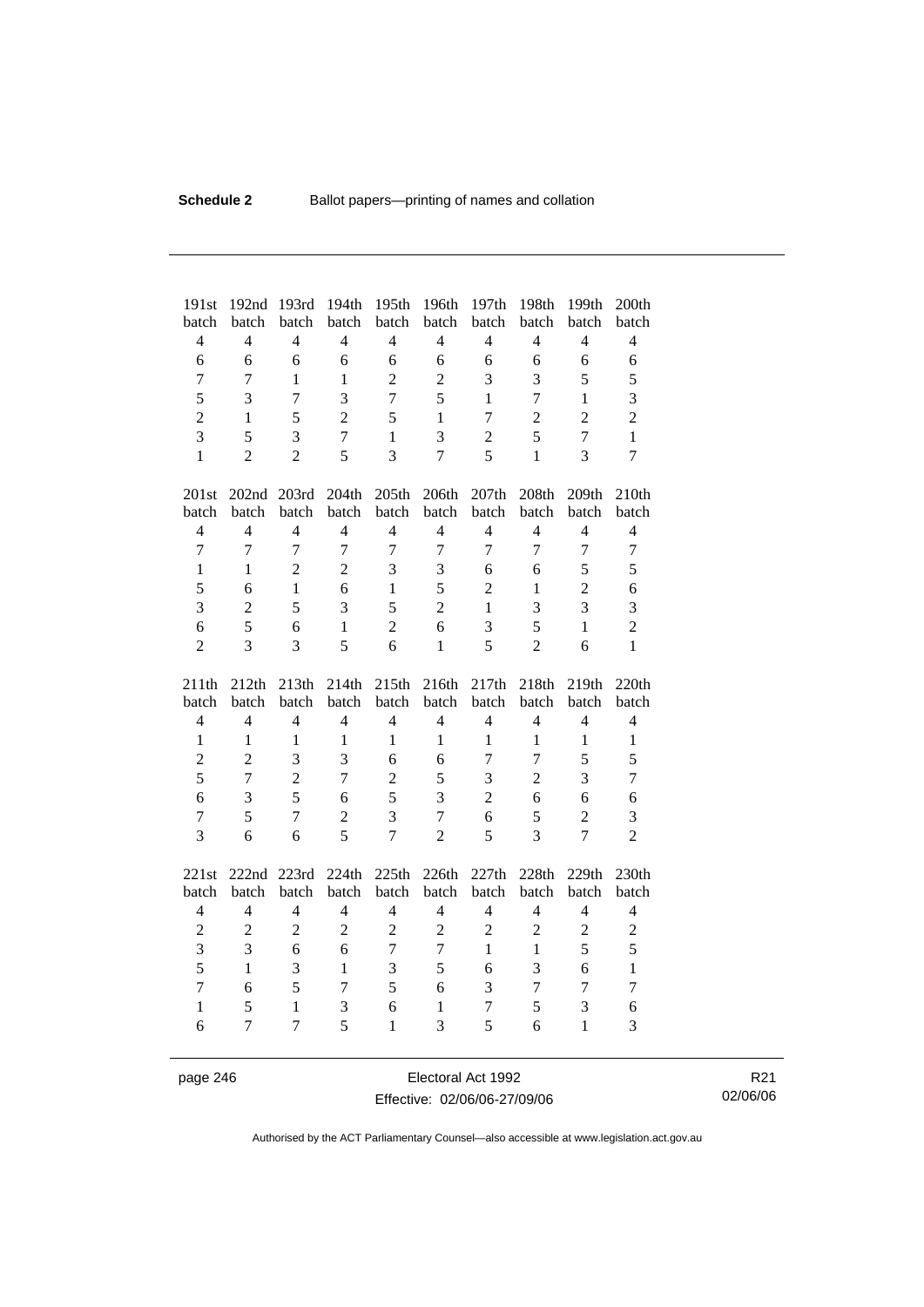| 191st                   | 192nd               | 193rd                          | 194th                   | 195th                   | 196th                   | 197th                   | 198th                   | 199th                   | 200th               |
|-------------------------|---------------------|--------------------------------|-------------------------|-------------------------|-------------------------|-------------------------|-------------------------|-------------------------|---------------------|
| batch                   | batch               | batch                          | batch                   | batch                   | batch                   | batch                   | batch                   | batch                   | batch               |
| $\overline{4}$          | $\overline{4}$      | $\overline{4}$                 | $\overline{4}$          | $\overline{4}$          | $\overline{4}$          | $\overline{4}$          | $\overline{4}$          | $\overline{4}$          | $\overline{4}$      |
| 6                       | 6                   | 6                              | 6                       | 6                       | 6                       | 6                       | 6                       | 6                       | 6                   |
| 7                       | 7                   | $\mathbf{1}$                   | $\mathbf{1}$            | $\overline{c}$          | $\overline{2}$          | 3                       | 3                       | 5                       | 5                   |
| 5                       | 3                   | $\overline{7}$                 | 3                       | $\overline{7}$          | 5                       | 1                       | $\overline{7}$          | $\mathbf{1}$            | 3                   |
| $\overline{2}$          | $\mathbf{1}$        | 5                              | $\overline{2}$          | 5                       | $\mathbf{1}$            | $\overline{7}$          | $\overline{2}$          | $\overline{2}$          | $\overline{c}$      |
| 3                       | 5                   | 3                              | $\overline{7}$          | $\mathbf{1}$            | 3                       | $\overline{2}$          | 5                       | $\overline{7}$          | $\mathbf{1}$        |
| $\mathbf{1}$            | $\overline{2}$      | $\overline{2}$                 | 5                       | $\overline{3}$          | $\overline{7}$          | 5                       | $\mathbf{1}$            | 3                       | $\overline{7}$      |
| 201st                   | 202nd 203rd         |                                | 204th                   | 205th                   | 206th                   | 207th                   | 208th                   | 209th                   | 210th               |
| batch                   | batch               | batch                          | batch                   | batch                   | batch                   | batch                   | batch                   | batch                   | batch               |
| $\overline{4}$          | $\overline{4}$      | $\overline{4}$                 | $\overline{4}$          | $\overline{4}$          | $\overline{4}$          | $\overline{4}$          | $\overline{4}$          | $\overline{4}$          | $\overline{4}$      |
| $\tau$                  | $\overline{7}$      | $\overline{7}$                 | $\overline{7}$          | $\overline{7}$          | 7                       | 7                       | $\overline{7}$          | $\overline{7}$          | $\tau$              |
| $\mathbf{1}$            | 1                   | $\overline{2}$                 | $\overline{2}$          | $\overline{3}$          | 3                       | 6                       | 6                       | 5                       | 5                   |
| 5                       | 6                   | $\mathbf{1}$                   | 6                       | $\mathbf{1}$            | 5                       | $\overline{2}$          | $\mathbf{1}$            | $\overline{2}$          | 6                   |
| 3                       | $\overline{2}$      | 5                              | 3                       | 5                       | $\overline{2}$          | $\mathbf{1}$            | 3                       | $\overline{3}$          | 3                   |
| 6                       | 5                   | 6                              | $\mathbf{1}$            | $\overline{2}$          | 6                       | 3                       | 5                       | $\mathbf{1}$            | $\overline{2}$      |
| $\overline{2}$          | 3                   | 3                              | 5                       | 6                       | $\mathbf{1}$            | 5                       | $\overline{2}$          | 6                       | $\mathbf{1}$        |
|                         |                     |                                |                         |                         |                         |                         |                         |                         |                     |
|                         |                     |                                |                         |                         |                         |                         |                         |                         |                     |
| 211th                   | 212th<br>batch      | 213th                          | 214th                   | 215th                   | 216th                   | 217th                   | 218th                   | 219th                   | 220th<br>batch      |
| batch<br>$\overline{4}$ | $\overline{4}$      | batch<br>$\overline{4}$        | batch<br>$\overline{4}$ | batch<br>$\overline{4}$ | batch<br>$\overline{4}$ | batch<br>$\overline{4}$ | batch<br>$\overline{4}$ | batch<br>$\overline{4}$ | $\overline{4}$      |
| $\mathbf{1}$            | $\mathbf{1}$        | $\mathbf{1}$                   | $\mathbf{1}$            | $\mathbf{1}$            | $\mathbf{1}$            | $\mathbf{1}$            | $\mathbf{1}$            | $\mathbf{1}$            | $\mathbf{1}$        |
| $\overline{2}$          | $\overline{2}$      | 3                              | $\overline{3}$          | 6                       | 6                       | $\overline{7}$          | $\overline{7}$          | 5                       | 5                   |
| 5                       | $\overline{7}$      | $\overline{2}$                 | $\overline{7}$          | $\overline{2}$          | 5                       | 3                       | $\overline{c}$          | $\overline{3}$          | $\boldsymbol{7}$    |
| 6                       | 3                   | 5                              | 6                       | 5                       | 3                       | $\overline{2}$          | 6                       | 6                       | 6                   |
| $\overline{7}$          | 5                   | $\overline{7}$                 |                         |                         | 7                       |                         |                         | $\overline{2}$          |                     |
| $\overline{3}$          | 6                   | 6                              | $\overline{2}$<br>5     | 3<br>$\overline{7}$     | $\overline{2}$          | 6<br>5                  | 5<br>$\overline{3}$     | $\overline{7}$          | 3<br>$\overline{2}$ |
|                         |                     |                                |                         |                         |                         |                         |                         |                         |                     |
| 221st                   | 222nd 223rd         |                                | 224th                   | 225th                   | 226th                   | 227th                   | 228th                   | 229th                   | 230th               |
| batch                   | batch               | batch                          | batch                   | batch                   | batch                   | batch                   | batch                   | batch                   | batch               |
| $\overline{4}$          | $\overline{4}$      | $\overline{4}$                 | $\overline{4}$          | $\overline{4}$          | $\overline{4}$          | $\overline{4}$          | $\overline{4}$          | $\overline{4}$          | $\overline{4}$      |
| $\overline{c}$          | $\overline{2}$      | $\overline{2}$                 | $\overline{2}$          | $\overline{2}$          | $\overline{2}$          | $\overline{2}$          | $\overline{2}$          | $\overline{c}$          | $\overline{c}$      |
| 3                       | 3                   | 6                              | 6                       | $\overline{7}$          | $\tau$                  | $\mathbf{1}$            | $\mathbf{1}$            | 5                       | 5                   |
| 5                       | $\mathbf{1}$        | 3                              | $\mathbf{1}$            | 3                       | 5                       | 6                       | 3                       | 6                       | $\mathbf{1}$        |
| $\overline{7}$          | 6                   | 5                              | $\tau$                  | 5                       | 6                       | 3                       | $\overline{7}$          | $\overline{7}$          | $\boldsymbol{7}$    |
| $\mathbf{1}$<br>6       | 5<br>$\overline{7}$ | $\mathbf{1}$<br>$\overline{7}$ | 3<br>5                  | 6<br>$\mathbf{1}$       | $\mathbf{1}$<br>3       | $\overline{7}$<br>5     | 5<br>6                  | 3<br>$\mathbf{1}$       | 6<br>3              |

page 246 Electoral Act 1992 Effective: 02/06/06-27/09/06

R21 02/06/06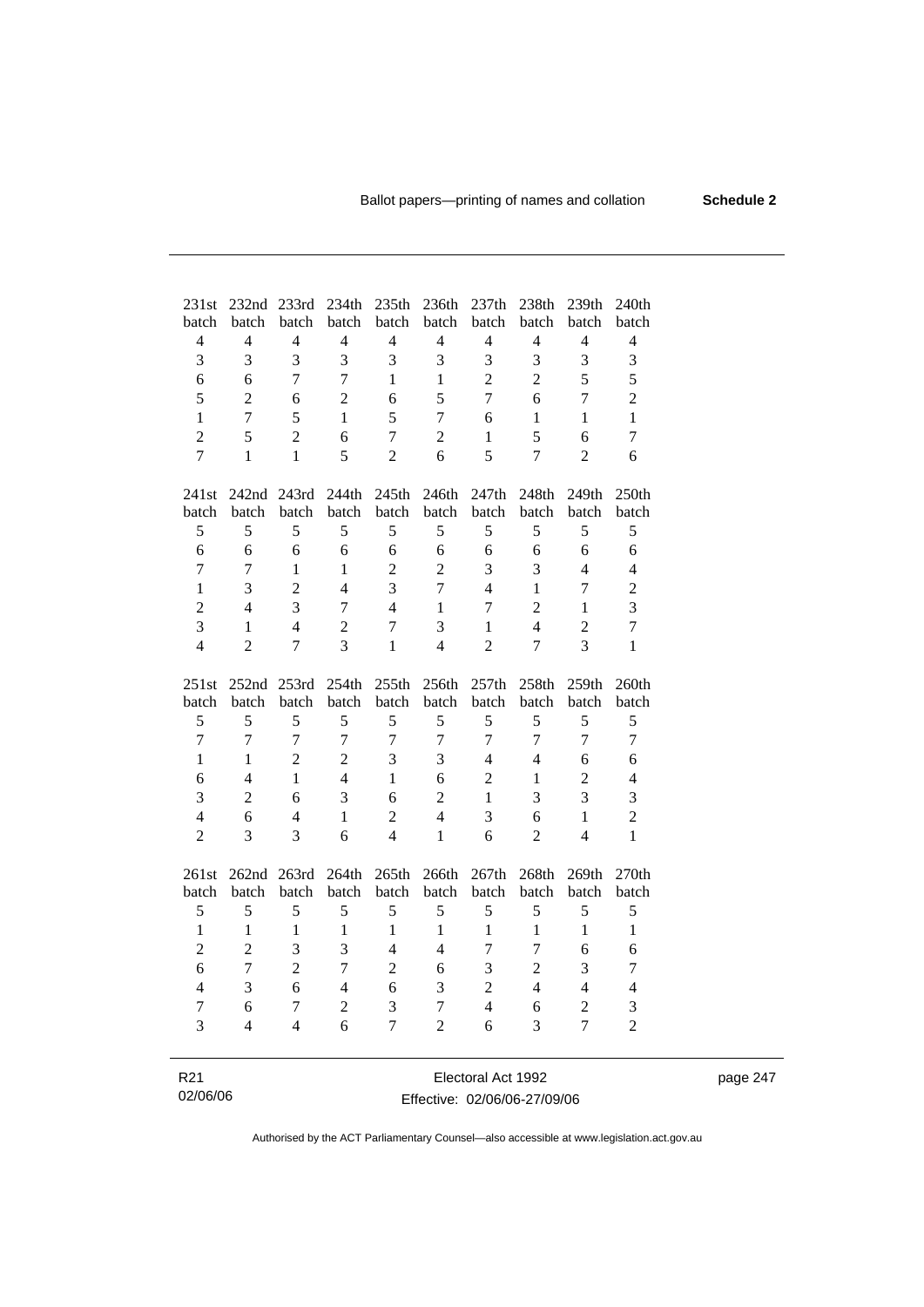page 247

| 231st          | 232 <sub>nd</sub> | 233rd          | 234th          | 235th          | 236th          | 237th          | 238th          | 239th                    | 240th          |
|----------------|-------------------|----------------|----------------|----------------|----------------|----------------|----------------|--------------------------|----------------|
| batch          | batch             | batch          | batch          | batch          | batch          | batch          | batch          | batch                    | batch          |
| $\overline{4}$ | $\overline{4}$    | $\overline{4}$ | $\overline{4}$ | $\overline{4}$ | $\overline{4}$ | $\overline{4}$ | $\overline{4}$ | $\overline{4}$           | $\overline{4}$ |
| 3              | 3                 | 3              | 3              | 3              | 3              | 3              | 3              | $\overline{3}$           | 3              |
| 6              | 6                 | $\overline{7}$ | 7              | $\mathbf{1}$   | $\mathbf{1}$   | $\overline{2}$ | $\overline{2}$ | 5                        | 5              |
| 5              | $\overline{2}$    | 6              | $\overline{2}$ | 6              | 5              | $\overline{7}$ | 6              | $\overline{7}$           | $\overline{2}$ |
| $\mathbf{1}$   | $\boldsymbol{7}$  | 5              | $\mathbf{1}$   | 5              | $\overline{7}$ | 6              | $\mathbf{1}$   | 1                        | $\mathbf{1}$   |
| $\overline{2}$ | 5                 | $\overline{2}$ | 6              | $\overline{7}$ | $\overline{c}$ | $\mathbf{1}$   | 5              | 6                        | 7              |
| $\overline{7}$ | $\mathbf{1}$      | $\mathbf{1}$   | 5              | $\overline{2}$ | 6              | 5              | $\overline{7}$ | $\overline{2}$           | 6              |
| 241st          | 242nd 243rd       |                | 244th          | 245th          | 246th          | 247th          | 248th          | 249th                    | 250th          |
| batch          | batch             | batch          | batch          | batch          | batch          | batch          | batch          | batch                    | batch          |
| 5              | 5                 | 5              | 5              | 5              | 5              | 5              | 5              | 5                        | 5              |
| 6              | 6                 | 6              | 6              | 6              | 6              | 6              | 6              | 6                        | 6              |
| $\overline{7}$ | $\overline{7}$    | $\mathbf{1}$   | $\mathbf{1}$   | $\overline{2}$ | $\overline{2}$ | 3              | 3              | $\overline{4}$           | $\overline{4}$ |
| $\mathbf{1}$   | 3                 | $\overline{2}$ | $\overline{4}$ | $\overline{3}$ | $\overline{7}$ | $\overline{4}$ | $\mathbf{1}$   | $\overline{7}$           | $\overline{2}$ |
| $\overline{2}$ | $\overline{4}$    | $\overline{3}$ | 7              | $\overline{4}$ | $\mathbf{1}$   | $\overline{7}$ | $\overline{2}$ | 1                        | 3              |
| 3              | $\mathbf{1}$      | $\overline{4}$ | $\overline{c}$ | $\overline{7}$ | 3              | $\mathbf{1}$   | $\overline{4}$ | $\overline{2}$           | $\tau$         |
| $\overline{4}$ | $\overline{2}$    | 7              | 3              | $\mathbf{1}$   | $\overline{4}$ | $\overline{2}$ | $\overline{7}$ | 3                        | $\mathbf{1}$   |
| 251st          | 252nd 253rd       |                | 254th          | 255th          | 256th          | 257th          | 258th          | 259th                    | 260th          |
| batch          | batch             | batch          | batch          | batch          | batch          | batch          | batch          | batch                    | batch          |
| 5              | 5                 | 5              | 5              | 5              | 5              | 5              | 5              | 5                        | 5              |
| $\overline{7}$ | $\overline{7}$    | $\overline{7}$ | $\overline{7}$ | $\overline{7}$ | $\overline{7}$ | $\overline{7}$ | $\overline{7}$ | $\overline{7}$           | $\overline{7}$ |
| $\mathbf{1}$   | 1                 | $\overline{2}$ | $\overline{2}$ | 3              | 3              | $\overline{4}$ | $\overline{4}$ | 6                        | 6              |
| 6              | $\overline{4}$    | $\mathbf{1}$   | $\overline{4}$ | $\mathbf{1}$   | 6              | $\overline{2}$ | $\mathbf{1}$   | $\overline{2}$           | $\overline{4}$ |
| 3              | $\overline{2}$    | 6              | 3              | 6              | $\overline{2}$ | $\mathbf{1}$   | 3              | 3                        | 3              |
| $\overline{4}$ | 6                 | $\overline{4}$ | 1              | $\overline{2}$ | $\overline{4}$ | 3              | 6              | $\mathbf{1}$             | $\overline{2}$ |
| $\overline{2}$ | 3                 | 3              | 6              | $\overline{4}$ | $\mathbf{1}$   | 6              | $\overline{2}$ | $\overline{\mathcal{L}}$ | 1              |
|                |                   |                |                |                |                |                |                |                          |                |
| 261st          | 262nd 263rd       |                | 264th          | 265th          | 266th          | 267th          | 268th          | 269th                    | 270th          |
| batch          | batch             | batch          | batch          | batch          | batch          | batch          | batch          | batch                    | batch          |
| 5              | 5                 | 5              | 5              | 5              | 5              | 5              | 5              | 5                        | 5              |
| $\mathbf{1}$   | $\mathbf{1}$      | $\mathbf{1}$   | $\mathbf{1}$   | $\mathbf{1}$   | $\mathbf{1}$   | $\mathbf{1}$   | 1              | $\mathbf{1}$             | $\mathbf{1}$   |
| $\overline{2}$ | $\overline{2}$    | 3              | 3              | $\overline{4}$ | $\overline{4}$ | 7              | $\overline{7}$ | 6                        | 6              |
| 6              | $\overline{7}$    | $\overline{2}$ | 7              | $\overline{2}$ | 6              | 3              | $\overline{2}$ | 3                        | 7              |
| $\overline{4}$ | 3                 | 6              | $\overline{4}$ | 6              | 3              | $\overline{2}$ | $\overline{4}$ | $\overline{4}$           | $\overline{4}$ |
| $\overline{7}$ | 6                 | $\tau$         | $\overline{2}$ | 3              | $\overline{7}$ | $\overline{4}$ | 6              | $\overline{2}$           | 3              |
| 3              | $\overline{4}$    | $\overline{4}$ | 6              | $\overline{7}$ | $\overline{2}$ | 6              | 3              | $\overline{7}$           | $\overline{2}$ |
|                |                   |                |                |                |                |                |                |                          |                |

| R21      | Electoral Act 1992           |
|----------|------------------------------|
| 02/06/06 | Effective: 02/06/06-27/09/06 |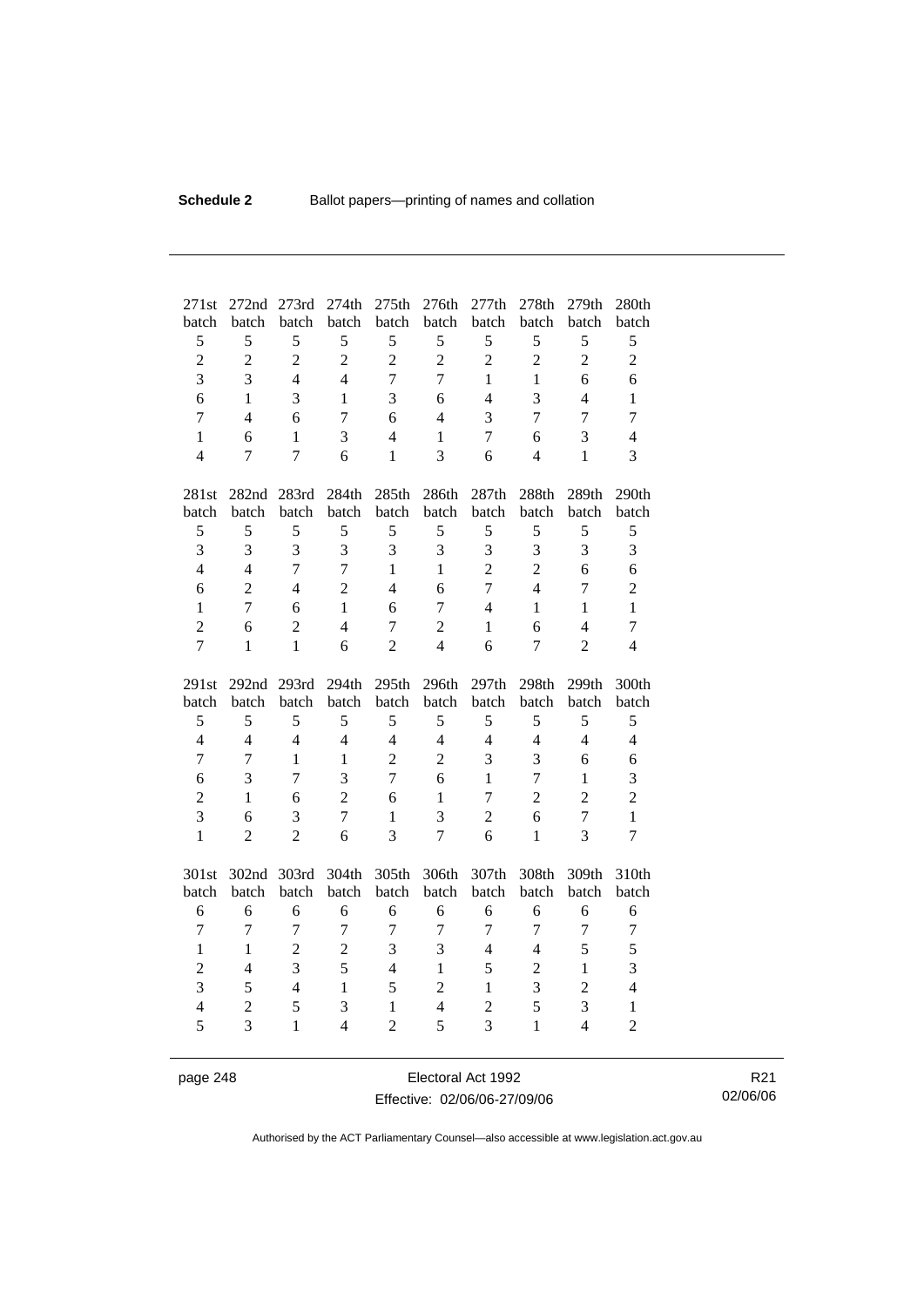| 271st               | 272nd               | 273rd             | 274th                   | 275th                          | 276th               | 277th               | 278th                    | 279th                            | 280th                          |
|---------------------|---------------------|-------------------|-------------------------|--------------------------------|---------------------|---------------------|--------------------------|----------------------------------|--------------------------------|
| batch               | batch<br>5          | batch             | batch<br>5              | batch                          | batch<br>5          | batch               | batch<br>5               | batch                            | batch                          |
| 5                   |                     | 5                 |                         | 5                              |                     | 5                   |                          | 5                                | 5                              |
| $\overline{c}$      | $\overline{2}$      | $\overline{c}$    | $\overline{2}$          | $\overline{2}$                 | $\overline{c}$      | $\overline{2}$      | $\overline{2}$           | $\overline{2}$                   | $\overline{c}$                 |
| 3                   | 3                   | $\overline{4}$    | $\overline{4}$          | $\overline{7}$                 | $\overline{7}$      | $\mathbf{1}$        | $\mathbf{1}$             | 6                                | 6                              |
| 6                   | $\mathbf{1}$        | 3                 | $\mathbf{1}$            | 3                              | 6                   | $\overline{4}$      | 3                        | $\overline{4}$                   | $\mathbf{1}$                   |
| $\overline{7}$      | $\overline{4}$      | 6                 | $\overline{7}$          | 6                              | $\overline{4}$      | 3                   | $\overline{7}$           | $\overline{7}$                   | $\overline{7}$                 |
| $\mathbf{1}$        | 6                   | $\mathbf{1}$      | 3                       | $\overline{4}$                 | $\mathbf{1}$        | $\tau$              | 6                        | 3                                | $\overline{4}$                 |
| $\overline{4}$      | $\overline{7}$      | $\overline{7}$    | 6                       | $\mathbf{1}$                   | 3                   | 6                   | $\overline{\mathcal{L}}$ | $\mathbf{1}$                     | 3                              |
| 281st               | 282nd 283rd         |                   | 284th                   | 285th                          | 286th               | 287th               | 288th                    | 289th                            | 290th                          |
| batch               | batch               | batch             | batch                   | batch                          | batch               | batch               | batch                    | batch                            | batch                          |
| 5                   | 5                   | 5                 | 5                       | 5                              | 5                   | 5                   | 5                        | 5                                | 5                              |
| 3                   | 3                   | 3                 | 3                       | 3                              | 3                   | 3                   | 3                        | 3                                | 3                              |
| $\overline{4}$      | $\overline{4}$      | $\overline{7}$    | $\overline{7}$          | $\mathbf{1}$                   | $\mathbf{1}$        | $\overline{2}$      | $\overline{2}$           | 6                                | 6                              |
| 6                   | $\overline{2}$      | $\overline{4}$    | $\overline{2}$          | $\overline{4}$                 | 6                   | $\overline{7}$      | $\overline{\mathcal{L}}$ | $\overline{7}$                   | $\mathbf{2}$                   |
| $\mathbf{1}$        | $\overline{7}$      | 6                 | 1                       | 6                              | $\overline{7}$      | $\overline{4}$      | $\mathbf{1}$             | $\mathbf{1}$                     | $\mathbf{1}$                   |
| $\overline{2}$      | 6                   | $\overline{2}$    | $\overline{4}$          | $\overline{7}$                 | $\overline{2}$      | $\mathbf{1}$        | 6                        | $\overline{4}$                   | $\overline{7}$                 |
| 7                   | 1                   | $\mathbf{1}$      | 6                       | $\overline{2}$                 | $\overline{4}$      | 6                   | $\overline{7}$           | $\overline{2}$                   | $\overline{4}$                 |
|                     |                     |                   |                         |                                |                     |                     |                          |                                  |                                |
| 291st               | 292 <sub>nd</sub>   | 293rd             | 294th                   | 295th                          | 296th               | 297th               | 298th                    | 299th                            | 300th                          |
| batch               | batch               | batch             | batch                   | batch                          | batch               | batch               | batch                    | batch                            | batch                          |
| $\mathfrak s$       | 5                   | 5                 | 5                       | 5                              | 5                   | 5                   | 5                        | 5                                | 5                              |
| $\overline{4}$      | $\overline{4}$      | $\overline{4}$    | $\overline{4}$          | $\overline{4}$                 | $\overline{4}$      | $\overline{4}$      | $\overline{4}$           | $\overline{4}$                   | $\overline{4}$                 |
| $\overline{7}$      | 7                   | $\mathbf{1}$      | $\mathbf{1}$            | $\overline{2}$                 | $\overline{2}$      | 3                   | 3                        | 6                                | 6                              |
| 6                   | 3                   | $\tau$            | $\overline{\mathbf{3}}$ | $\overline{7}$                 | 6                   | $\mathbf{1}$        | $\overline{7}$           | $\mathbf{1}$                     | 3                              |
| $\overline{2}$      | 1                   | 6                 | $\overline{2}$          | 6                              | $\mathbf{1}$        | $\tau$              | $\overline{2}$           | $\overline{2}$                   | $\overline{c}$                 |
| 3                   | 6                   | 3                 | $\overline{7}$          | $\mathbf{1}$                   | 3                   | $\overline{2}$      | 6                        | $\overline{7}$                   | $\mathbf{1}$                   |
| $\mathbf{1}$        | $\overline{2}$      | $\overline{2}$    | 6                       | 3                              | $\overline{7}$      | 6                   | $\mathbf{1}$             | 3                                | $\overline{7}$                 |
|                     |                     | 303rd             | 304th                   | 305th                          | 306th               | 307th               | 308th                    | 309th                            | 310th                          |
| 301st<br>batch      | 302nd<br>batch      | batch             | batch                   | batch                          | batch               | batch               | batch                    | batch                            | batch                          |
| 6                   | 6                   | 6                 | 6                       | 6                              | 6                   | 6                   | 6                        | 6                                | 6                              |
| $\overline{7}$      | $\overline{7}$      | $\tau$            | $\overline{7}$          | $\boldsymbol{7}$               | $\overline{7}$      | $\boldsymbol{7}$    | $\tau$                   | $\overline{7}$                   | $\boldsymbol{7}$               |
| $\mathbf{1}$        | $\mathbf{1}$        | $\overline{2}$    | $\overline{2}$          | $\overline{3}$                 | 3                   | $\overline{4}$      | $\overline{4}$           | 5                                | 5                              |
|                     | $\overline{4}$      | $\overline{3}$    | 5                       | $\overline{4}$                 | $\mathbf{1}$        |                     |                          | $\mathbf{1}$                     | 3                              |
| $\overline{c}$      |                     | $\overline{4}$    | $\mathbf{1}$            |                                |                     | 5<br>$\mathbf{1}$   | $\overline{c}$           |                                  | $\overline{4}$                 |
| 3                   | 5                   |                   |                         | 5                              | $\overline{2}$      |                     | 3                        | $\overline{c}$                   |                                |
| $\overline{4}$<br>5 | $\overline{2}$<br>3 | 5<br>$\mathbf{1}$ | 3<br>$\overline{4}$     | $\mathbf{1}$<br>$\overline{2}$ | $\overline{4}$<br>5 | $\overline{2}$<br>3 | 5<br>$\mathbf{1}$        | $\overline{3}$<br>$\overline{4}$ | $\mathbf{1}$<br>$\overline{2}$ |

page 248 Electoral Act 1992 Effective: 02/06/06-27/09/06

R21 02/06/06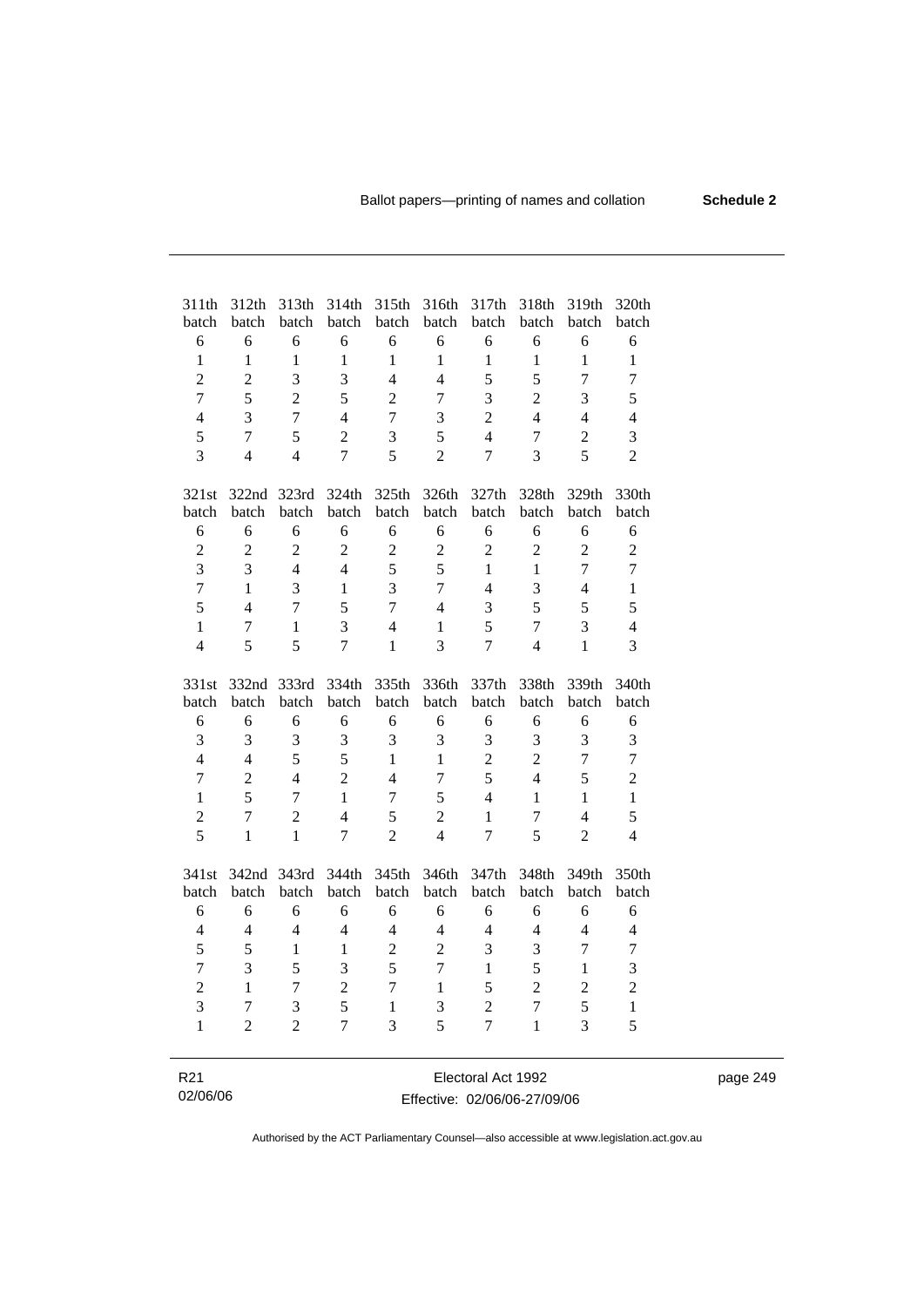| 311th<br>batch   | 312th<br>batch | 313th<br>batch | 314th<br>batch | 315th<br>batch           | 316th<br>batch          | 317th<br>batch | 318th<br>batch | 319th<br>batch           | 320th<br>batch          |
|------------------|----------------|----------------|----------------|--------------------------|-------------------------|----------------|----------------|--------------------------|-------------------------|
| 6                | 6              | 6              | 6              | 6                        | 6                       | 6              | 6              | 6                        | 6                       |
| $\mathbf{1}$     | $\mathbf{1}$   | $\mathbf{1}$   | $\mathbf{1}$   | 1                        | $\mathbf{1}$            | $\mathbf{1}$   | $\mathbf{1}$   | $\mathbf{1}$             | $\mathbf{1}$            |
| $\overline{2}$   | $\overline{2}$ | $\overline{3}$ | 3              | $\overline{\mathcal{L}}$ | $\overline{4}$          | 5              | 5              | 7                        | $\overline{7}$          |
| $\overline{7}$   | 5              | $\overline{2}$ | 5              | $\overline{2}$           | $\overline{7}$          | 3              | $\overline{2}$ | 3                        | 5                       |
| $\overline{4}$   | 3              | $\overline{7}$ | $\overline{4}$ | $\overline{7}$           | $\overline{\mathbf{3}}$ | $\overline{2}$ | $\overline{4}$ | $\overline{4}$           | $\overline{\mathbf{4}}$ |
| 5                | $\overline{7}$ | 5              | $\overline{2}$ | 3                        | 5                       | $\overline{4}$ | $\overline{7}$ | $\overline{2}$           | 3                       |
| 3                | $\overline{4}$ | $\overline{4}$ | $\overline{7}$ | 5                        | $\overline{2}$          | $\overline{7}$ | $\overline{3}$ | 5                        | $\overline{2}$          |
|                  |                |                |                |                          |                         |                |                |                          |                         |
| 321st            | 322nd          | 323rd          | 324th          | 325th                    | 326th                   | 327th          | 328th          | 329th                    | 330th                   |
| batch            | batch          | batch          | batch          | batch                    | batch                   | batch          | batch          | batch                    | batch                   |
| 6                | 6              | 6              | 6              | 6                        | 6                       | 6              | 6              | 6                        | 6                       |
| $\overline{2}$   | $\overline{2}$ | $\overline{2}$ | $\overline{2}$ | $\overline{2}$           | $\overline{2}$          | $\overline{2}$ | $\overline{2}$ | $\overline{2}$           | $\overline{2}$          |
| 3                | $\overline{3}$ | $\overline{4}$ | $\overline{4}$ | 5                        | 5                       | $\mathbf{1}$   | $\mathbf{1}$   | $\overline{7}$           | $\overline{7}$          |
| $\boldsymbol{7}$ | $\mathbf{1}$   | 3              | $\mathbf{1}$   | 3                        | $\overline{7}$          | $\overline{4}$ | 3              | $\overline{\mathcal{L}}$ | $\mathbf{1}$            |
| 5                | $\overline{4}$ | $\overline{7}$ | 5              | $\overline{7}$           | $\overline{4}$          | 3              | 5              | 5                        | 5                       |
| 1                | $\overline{7}$ | 1              | 3              | $\overline{4}$           | $\mathbf{1}$            | 5              | $\overline{7}$ | $\overline{3}$           | $\overline{4}$          |
| $\overline{4}$   | 5              | 5              | 7              | 1                        | 3                       | 7              | $\overline{4}$ | $\mathbf{1}$             | 3                       |
|                  |                |                |                |                          |                         |                |                |                          |                         |
| 331st            | 332nd          | 333rd          | 334th          | 335th                    | 336th                   | 337th          | 338th          | 339th                    | 340th                   |
| batch            | batch          | batch          | batch          | batch                    | batch                   | batch          | batch          | batch                    | batch                   |
| 6                | 6              | 6              | 6              | 6                        | 6                       | 6              | 6              | 6                        | 6                       |
| 3                | 3              | 3              | 3              | 3                        | 3                       | 3              | 3              | 3                        | 3                       |
| $\overline{4}$   | $\overline{4}$ | 5              | 5              | $\mathbf{1}$             | $\mathbf{1}$            | $\overline{2}$ | $\overline{2}$ | $\overline{7}$           | $\overline{7}$          |
| $\overline{7}$   | $\overline{2}$ | $\overline{4}$ | $\overline{2}$ | $\overline{4}$           | $\overline{7}$          | 5              | $\overline{4}$ | 5                        | $\overline{c}$          |
| $\mathbf{1}$     | 5              | 7              | $\mathbf{1}$   | 7                        | 5                       | $\overline{4}$ | $\mathbf{1}$   | $\mathbf{1}$             | $\mathbf{1}$            |
| $\overline{2}$   | $\overline{7}$ | $\overline{2}$ | $\overline{4}$ | 5                        | $\overline{2}$          | $\mathbf{1}$   | $\overline{7}$ | $\overline{4}$           | 5                       |
| 5                | $\mathbf{1}$   | $\mathbf{1}$   | $\overline{7}$ | $\overline{2}$           | $\overline{4}$          | $\overline{7}$ | 5              | $\overline{2}$           | $\overline{4}$          |
|                  |                |                |                |                          |                         |                |                |                          |                         |
| 341st            | 342nd          | 343rd          | 344th          | 345th                    | 346th                   | 347th          | 348th          | 349th                    | 350th                   |
| batch            | batch          | batch          | batch          | batch                    | batch                   | batch          | batch          | batch                    | batch                   |
| 6                | 6              | 6              | 6              | 6                        | 6                       | 6              | 6              | 6                        | 6                       |
| $\overline{4}$   | $\overline{4}$ | $\overline{4}$ | $\overline{4}$ | 4                        | $\overline{4}$          | $\overline{4}$ | $\overline{4}$ | $\overline{4}$           | $\overline{\mathbf{4}}$ |
| 5                | 5              | $\mathbf{1}$   | 1              | $\overline{2}$           | $\overline{2}$          | 3              | 3              | $\overline{7}$           | $\overline{7}$          |
| $\overline{7}$   | $\overline{3}$ | 5              | 3              | 5                        | $\overline{7}$          | $\mathbf{1}$   | 5              | $\mathbf{1}$             | 3                       |
| $\overline{c}$   | $\mathbf{1}$   | $\overline{7}$ | $\overline{2}$ | $\overline{7}$           | $\mathbf{1}$            | 5              | $\overline{2}$ | $\overline{2}$           | $\overline{c}$          |
| 3                | $\overline{7}$ | 3              | 5              | $\mathbf{1}$             | 3                       | $\overline{c}$ | $\overline{7}$ | 5                        | $\mathbf{1}$            |
| $\mathbf{1}$     | $\overline{2}$ | $\overline{2}$ | 7              | 3                        | 5                       | $\overline{7}$ | $\mathbf{1}$   | 3                        | 5                       |
|                  |                |                |                |                          |                         |                |                |                          |                         |
|                  |                |                |                |                          |                         |                |                |                          |                         |

| R <sub>21</sub> | Electoral Act 1992           | page 249 |
|-----------------|------------------------------|----------|
| 02/06/06        | Effective: 02/06/06-27/09/06 |          |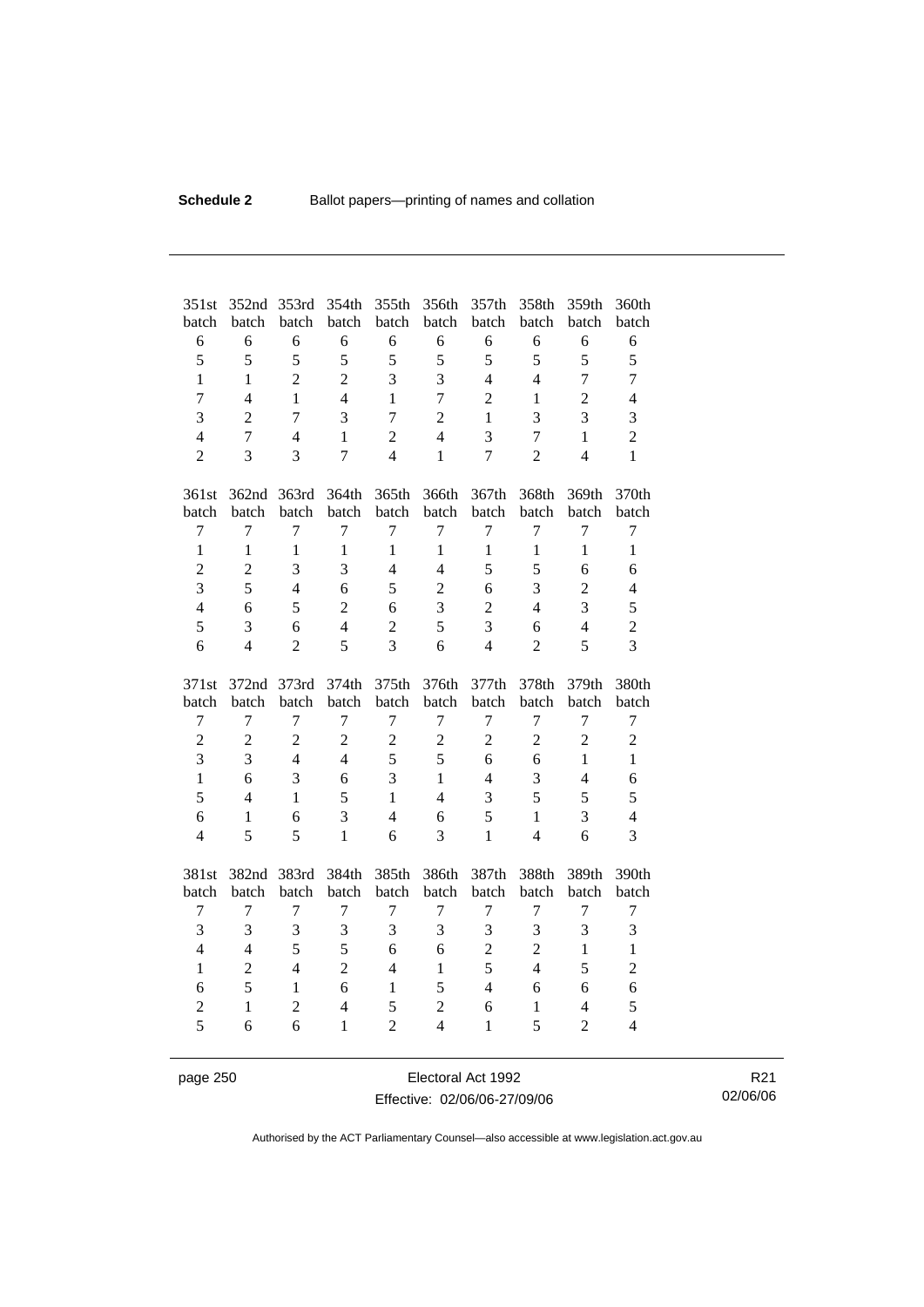| 351st<br>batch | 352nd<br>batch | 353rd<br>batch | 354th<br>batch | 355th<br>batch          | 356th<br>batch           | 357th<br>batch | 358th<br>batch | 359th<br>batch | 360th<br>batch |
|----------------|----------------|----------------|----------------|-------------------------|--------------------------|----------------|----------------|----------------|----------------|
| 6              | 6              | 6              | 6              | 6                       | 6                        | 6              | 6              | 6              | 6              |
| 5              | 5              | 5              | 5              | 5                       | 5                        | 5              | 5              | 5              | 5              |
| $\mathbf{1}$   | 1              | $\overline{2}$ | $\overline{2}$ | 3                       | 3                        | $\overline{4}$ | $\overline{4}$ | $\overline{7}$ | $\overline{7}$ |
| $\overline{7}$ | $\overline{4}$ | $\mathbf{1}$   | $\overline{4}$ | $\mathbf{1}$            | $\overline{7}$           | $\overline{2}$ | $\mathbf{1}$   | $\overline{2}$ | $\overline{4}$ |
| $\overline{3}$ | $\overline{2}$ | $\overline{7}$ | 3              | $\overline{7}$          | $\overline{2}$           | $\mathbf{1}$   | $\overline{3}$ | 3              | $\overline{3}$ |
| $\overline{4}$ | $\overline{7}$ | $\overline{4}$ | $\mathbf{1}$   | $\overline{2}$          | $\overline{4}$           | 3              | $\overline{7}$ | $\mathbf{1}$   | $\overline{2}$ |
| $\overline{2}$ | 3              | 3              | $\overline{7}$ | $\overline{4}$          | $\mathbf{1}$             | $\overline{7}$ | $\overline{2}$ | $\overline{4}$ | $\mathbf{1}$   |
|                |                |                |                |                         |                          |                |                |                |                |
| 361st          | 362nd          | 363rd          | 364th          | 365th                   | 366th                    | 367th          | 368th          | 369th          | 370th          |
| batch          | batch          | batch          | batch          | batch                   | batch                    | batch          | batch          | batch          | batch          |
| $\overline{7}$ | $\overline{7}$ | $\overline{7}$ | $\overline{7}$ | $\overline{7}$          | $\overline{7}$           | $\overline{7}$ | $\overline{7}$ | $\overline{7}$ | $\overline{7}$ |
| $\mathbf{1}$   | $\mathbf{1}$   | $\mathbf{1}$   | $\mathbf{1}$   | $\mathbf{1}$            | $\mathbf{1}$             | $\mathbf{1}$   | $\mathbf{1}$   | $\mathbf{1}$   | $\mathbf{1}$   |
| $\overline{c}$ | $\overline{2}$ | 3              | 3              | $\overline{4}$          | $\overline{\mathcal{L}}$ | 5              | 5              | 6              | 6              |
| $\overline{3}$ | 5              | $\overline{4}$ | 6              | 5                       | $\overline{2}$           | 6              | 3              | $\overline{2}$ | $\overline{4}$ |
| $\overline{4}$ | 6              | 5              | $\overline{c}$ | 6                       | 3                        | $\overline{2}$ | $\overline{4}$ | 3              | 5              |
| 5              | 3              | 6              | $\overline{4}$ | $\overline{2}$          | 5                        | 3              | 6              | $\overline{4}$ | $\overline{c}$ |
| 6              | $\overline{4}$ | $\overline{2}$ | 5              | $\overline{3}$          | 6                        | $\overline{4}$ | $\overline{2}$ | 5              | $\overline{3}$ |
|                |                |                |                |                         |                          |                |                |                |                |
|                |                |                |                |                         |                          |                |                |                |                |
| 371st          | 372nd          | 373rd          | 374th          | 375th                   | 376th                    | 377th          | 378th          | 379th          | 380th          |
| batch          | batch          | batch          | batch          | batch                   | batch                    | batch          | batch          | batch          | batch          |
| 7              | 7              | 7              | 7              | 7                       | $\overline{7}$           | 7              | 7              | $\overline{7}$ | 7              |
| $\overline{2}$ | $\overline{2}$ | $\overline{2}$ | $\overline{2}$ | $\overline{2}$          | $\overline{2}$           | $\overline{2}$ | $\overline{2}$ | $\overline{2}$ | $\overline{2}$ |
| $\overline{3}$ | 3              | $\overline{4}$ | 4              | 5                       | 5                        | 6              | 6              | $\mathbf{1}$   | $\mathbf{1}$   |
| $\mathbf{1}$   | 6              | $\overline{3}$ | 6              | 3                       | $\mathbf{1}$             | $\overline{4}$ | 3              | $\overline{4}$ | 6              |
| 5              | $\overline{4}$ | $\mathbf{1}$   | 5              | $\mathbf{1}$            | 4                        | 3              | 5              | 5              | 5              |
| 6              | $\mathbf{1}$   | 6              | $\overline{3}$ | $\overline{4}$          | 6                        | 5              | $\mathbf{1}$   | $\overline{3}$ | $\overline{4}$ |
| $\overline{4}$ | 5              | 5              | $\mathbf{1}$   | 6                       | 3                        | $\mathbf{1}$   | $\overline{4}$ | 6              | 3              |
|                |                |                |                |                         |                          |                |                |                |                |
| 381st          | 382nd          | 383rd          | 384th          | 385th                   | 386th                    | 387th          | 388th          | 389th          | 390th          |
| batch          | batch          | batch          | batch          | batch                   | batch                    | batch          | batch          | batch          | batch          |
| 7              | 7              | $\overline{7}$ | $\tau$         | 7                       | 7                        | $\overline{7}$ | $\tau$         | 7              | $\overline{7}$ |
| 3              | 3              | $\mathfrak{Z}$ | 3              | 3                       | 3                        | 3              | 3              | 3              | 3              |
| $\overline{4}$ | $\overline{4}$ | 5              | 5              | 6                       | 6                        | $\overline{2}$ | $\overline{2}$ | $\mathbf{1}$   | $\mathbf{1}$   |
| $\mathbf{1}$   | $\overline{2}$ | $\overline{4}$ | $\overline{2}$ | $\overline{\mathbf{4}}$ | $\mathbf{1}$             | 5              | $\overline{4}$ | 5              | $\overline{2}$ |
| 6              | 5              | $\mathbf{1}$   | 6              | $\mathbf{1}$            | 5                        | $\overline{4}$ | 6              | 6              | 6              |
| $\overline{2}$ | $\mathbf{1}$   | $\overline{c}$ | $\overline{4}$ | 5                       | $\overline{2}$           | 6              | $\mathbf{1}$   | $\overline{4}$ | 5              |
| 5              | 6              | 6              | 1              | $\overline{2}$          | $\overline{4}$           | $\mathbf{1}$   | 5              | $\overline{2}$ | $\overline{4}$ |

page 250 Electoral Act 1992 Effective: 02/06/06-27/09/06

R21 02/06/06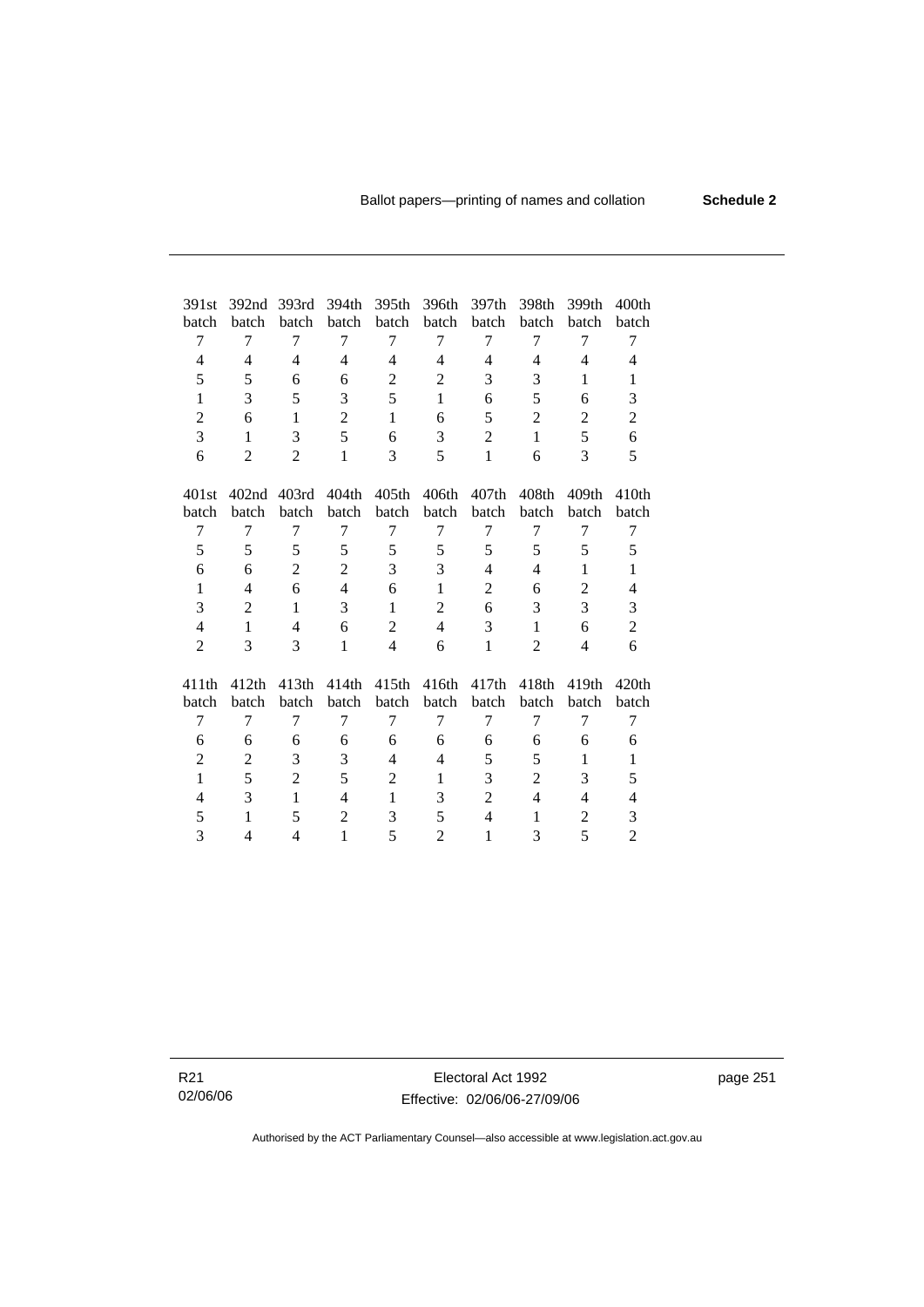| 391st          | 392 <sub>nd</sub> | 393rd          | 394th          | 395th             | 396th               | 397th          | 398th             | 399th             | 400 <sub>th</sub> |
|----------------|-------------------|----------------|----------------|-------------------|---------------------|----------------|-------------------|-------------------|-------------------|
| batch          | batch             | batch          | batch          | batch             | batch               | batch          | batch             | batch             | batch             |
| 7              | $\tau$            | 7              | $\tau$         | 7                 | 7                   | 7              | 7                 | 7                 | 7                 |
| $\overline{4}$ | $\overline{4}$    | $\overline{4}$ | $\overline{4}$ | $\overline{4}$    | $\overline{4}$      | $\overline{4}$ | 4                 | $\overline{4}$    | 4                 |
| 5              | 5                 | 6              | 6              | $\mathbf{2}$      | $\overline{2}$      | 3              | 3                 | 1                 | $\mathbf{1}$      |
| $\mathbf{1}$   | 3                 | 5              | 3              | 5                 | $\mathbf{1}$        | 6              | 5                 | 6                 | 3                 |
| $\overline{2}$ | 6                 | $\mathbf{1}$   | $\overline{2}$ | $\mathbf{1}$      | 6                   | 5              | $\overline{2}$    | $\overline{2}$    | $\overline{2}$    |
| 3              | 1                 | 3              | 5              | 6                 | 3                   | $\overline{2}$ | $\mathbf{1}$      | 5                 | 6                 |
| 6              | $\overline{2}$    | $\overline{2}$ | 1              | 3                 | 5                   | $\mathbf{1}$   | 6                 | 3                 | 5                 |
|                |                   |                |                |                   |                     |                |                   |                   |                   |
| 401st          | 402nd             | 403rd          | 404th          | 405 <sub>th</sub> | 406th               | 407th          | 408 <sub>th</sub> | 409 <sub>th</sub> | 410 <sub>th</sub> |
| batch          | batch             | batch          | batch          | batch             | batch               | batch          | batch             | batch             | batch             |
| 7              | 7                 | 7              | 7              | 7                 | 7                   | 7              | 7                 | 7                 | 7                 |
| 5              | 5                 | 5              | 5              | 5                 | 5                   | 5              | 5                 | 5                 | 5                 |
| 6              | 6                 | $\overline{2}$ | $\overline{2}$ | 3                 | 3                   | $\overline{4}$ | $\overline{4}$    | 1                 | $\mathbf{1}$      |
| $\mathbf{1}$   | 4                 | 6              | $\overline{4}$ | 6                 | $\mathbf{1}$        | $\overline{c}$ | 6                 | $\overline{2}$    | $\overline{4}$    |
| 3              | 2                 | $\mathbf{1}$   | 3              | $\mathbf{1}$      | $\mathbf{2}$        | 6              | 3                 | 3                 | 3                 |
| $\overline{4}$ | $\mathbf{1}$      | 4              | 6              | $\overline{2}$    | $\overline{4}$      | 3              | $\mathbf{1}$      | 6                 | $\overline{c}$    |
| $\overline{2}$ | 3                 | 3              | $\mathbf{1}$   | $\overline{4}$    | 6                   | $\mathbf{1}$   | $\overline{2}$    | $\overline{4}$    | 6                 |
|                | 412th             | 413th          |                | 415 <sub>th</sub> | 416th               |                | 418 <sub>th</sub> | 419th             | 420th             |
| 411th<br>batch | batch             | batch          | 414th<br>batch | batch             | batch               | 417th<br>batch | batch             | batch             | batch             |
| 7              | $\tau$            | 7              | 7              | 7                 | 7                   | 7              | 7                 | 7                 | 7                 |
|                | 6                 | 6              | 6              | 6                 |                     | 6              | 6                 | 6                 | 6                 |
| 6              |                   |                |                | $\overline{4}$    | 6<br>$\overline{4}$ |                |                   |                   |                   |
| $\overline{c}$ | 2                 | 3              | 3              |                   |                     | 5              | 5                 | 1                 | $\mathbf{1}$      |
| $\mathbf{1}$   | 5                 | $\overline{2}$ | 5              | 2                 | $\mathbf{1}$        | 3              | $\overline{2}$    | 3                 | 5                 |
| 4              | 3                 | 1              | 4              | $\mathbf{1}$      | 3                   | $\overline{2}$ | 4                 | 4                 | $\overline{4}$    |
| 5              | 1                 | 5              | $\overline{2}$ | 3                 | 5                   | $\overline{4}$ | 1                 | $\overline{c}$    | 3                 |
| 3              | 4                 | 4              | $\mathbf{1}$   | 5                 | $\overline{2}$      | $\mathbf{1}$   | 3                 | 5                 | $\overline{2}$    |

R21 02/06/06

Electoral Act 1992 Effective: 02/06/06-27/09/06 page 251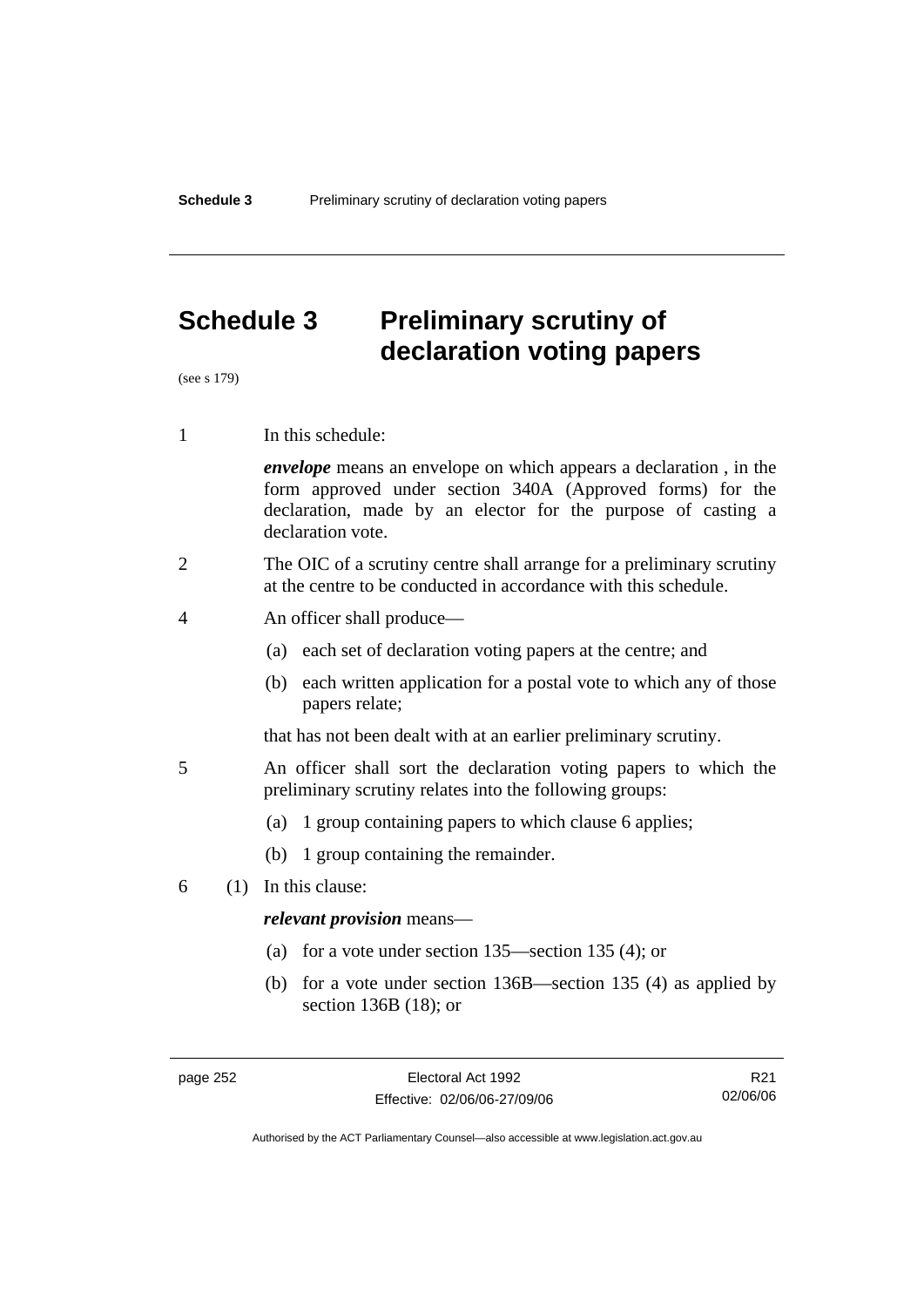# **Schedule 3 Preliminary scrutiny of declaration voting papers**

(see s 179)

1 In this schedule:

*envelope* means an envelope on which appears a declaration , in the form approved under section 340A (Approved forms) for the declaration, made by an elector for the purpose of casting a declaration vote.

- 2 The OIC of a scrutiny centre shall arrange for a preliminary scrutiny at the centre to be conducted in accordance with this schedule.
- 4 An officer shall produce—
	- (a) each set of declaration voting papers at the centre; and
	- (b) each written application for a postal vote to which any of those papers relate;

that has not been dealt with at an earlier preliminary scrutiny.

- 5 An officer shall sort the declaration voting papers to which the preliminary scrutiny relates into the following groups:
	- (a) 1 group containing papers to which clause 6 applies;
	- (b) 1 group containing the remainder.
- 6 (1) In this clause:

#### *relevant provision* means—

- (a) for a vote under section 135—section 135 (4); or
- (b) for a vote under section 136B—section 135 (4) as applied by section 136B (18); or

R21 02/06/06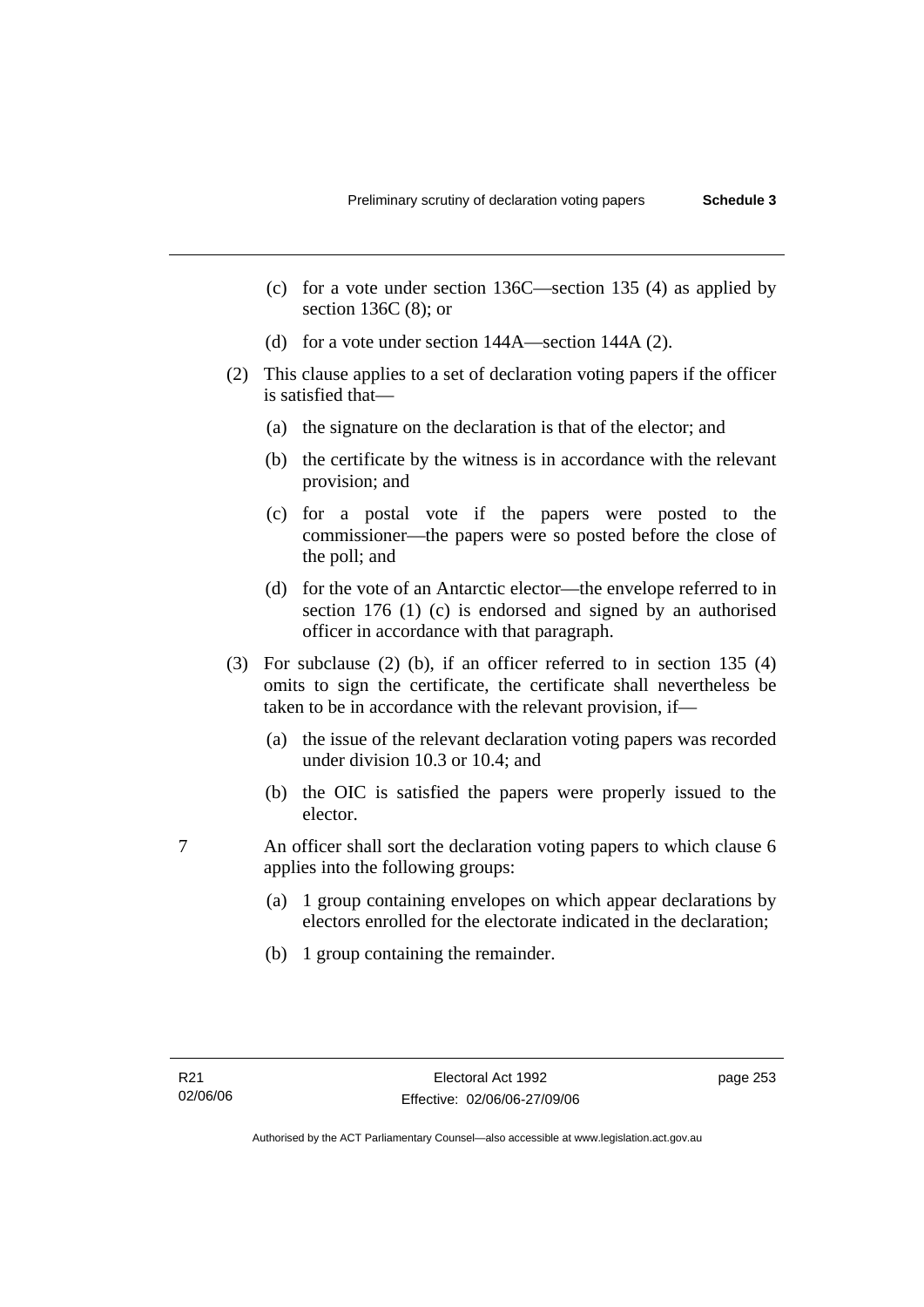- (c) for a vote under section 136C—section 135 (4) as applied by section 136C (8); or
- (d) for a vote under section 144A—section 144A (2).
- (2) This clause applies to a set of declaration voting papers if the officer is satisfied that—
	- (a) the signature on the declaration is that of the elector; and
	- (b) the certificate by the witness is in accordance with the relevant provision; and
	- (c) for a postal vote if the papers were posted to the commissioner—the papers were so posted before the close of the poll; and
	- (d) for the vote of an Antarctic elector—the envelope referred to in section 176 (1) (c) is endorsed and signed by an authorised officer in accordance with that paragraph.
- (3) For subclause (2) (b), if an officer referred to in section 135 (4) omits to sign the certificate, the certificate shall nevertheless be taken to be in accordance with the relevant provision, if—
	- (a) the issue of the relevant declaration voting papers was recorded under division 10.3 or 10.4; and
	- (b) the OIC is satisfied the papers were properly issued to the elector.
- 7 An officer shall sort the declaration voting papers to which clause 6 applies into the following groups:
	- (a) 1 group containing envelopes on which appear declarations by electors enrolled for the electorate indicated in the declaration;
	- (b) 1 group containing the remainder.

page 253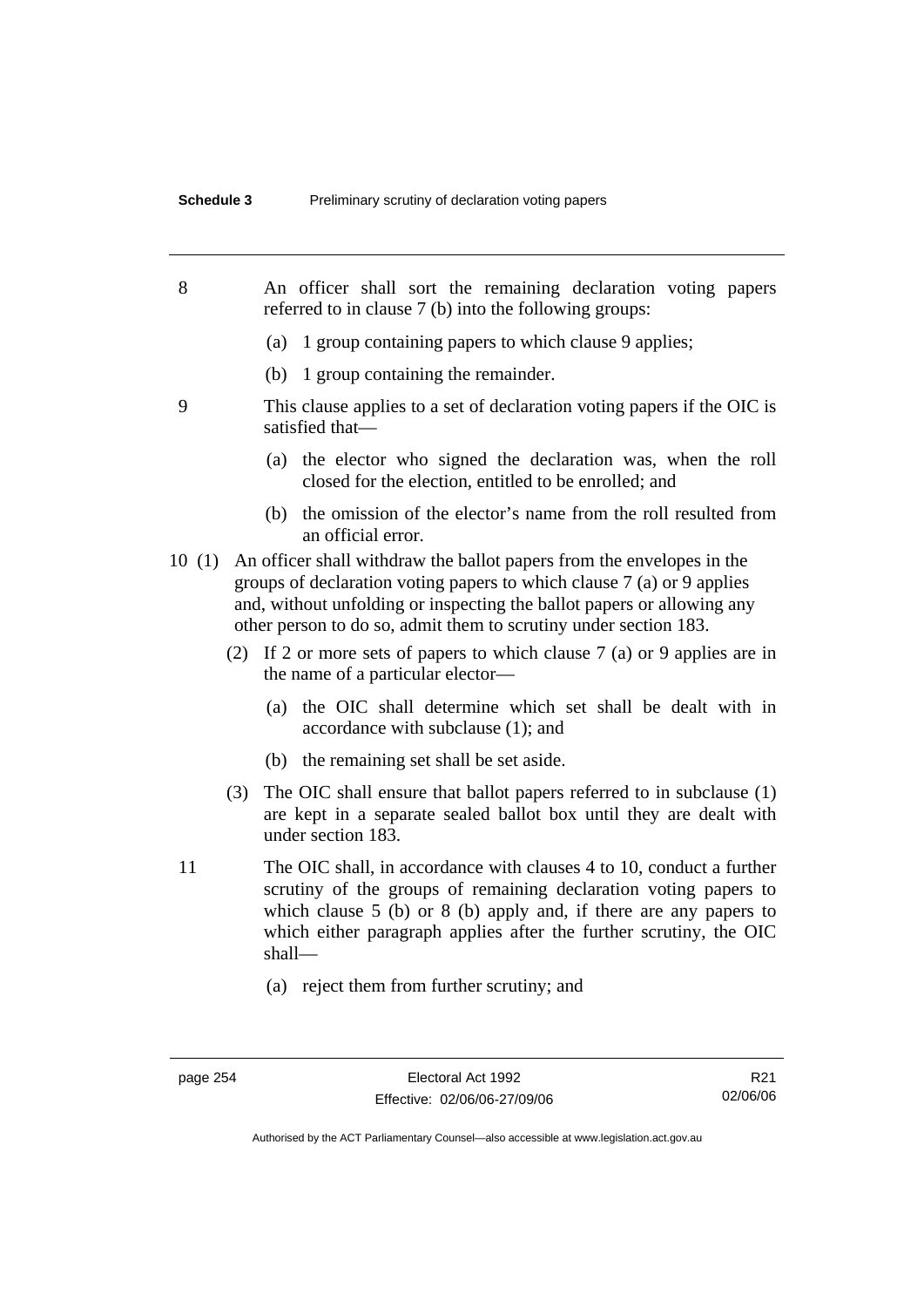| 8  |       |                                                             | An officer shall sort the remaining declaration voting papers<br>referred to in clause 7 (b) into the following groups:                                                                                                                                                                         |  |  |  |  |  |
|----|-------|-------------------------------------------------------------|-------------------------------------------------------------------------------------------------------------------------------------------------------------------------------------------------------------------------------------------------------------------------------------------------|--|--|--|--|--|
|    |       | 1 group containing papers to which clause 9 applies;<br>(a) |                                                                                                                                                                                                                                                                                                 |  |  |  |  |  |
|    |       |                                                             | (b) 1 group containing the remainder.                                                                                                                                                                                                                                                           |  |  |  |  |  |
| 9  |       |                                                             | This clause applies to a set of declaration voting papers if the OIC is<br>satisfied that-                                                                                                                                                                                                      |  |  |  |  |  |
|    |       |                                                             | (a) the elector who signed the declaration was, when the roll<br>closed for the election, entitled to be enrolled; and                                                                                                                                                                          |  |  |  |  |  |
|    |       |                                                             | (b) the omission of the elector's name from the roll resulted from<br>an official error.                                                                                                                                                                                                        |  |  |  |  |  |
|    | 10(1) |                                                             | An officer shall withdraw the ballot papers from the envelopes in the<br>groups of declaration voting papers to which clause $7$ (a) or 9 applies<br>and, without unfolding or inspecting the ballot papers or allowing any<br>other person to do so, admit them to scrutiny under section 183. |  |  |  |  |  |
|    |       | (2)                                                         | If 2 or more sets of papers to which clause $7$ (a) or 9 applies are in<br>the name of a particular elector-                                                                                                                                                                                    |  |  |  |  |  |
|    |       |                                                             | (a) the OIC shall determine which set shall be dealt with in<br>accordance with subclause (1); and                                                                                                                                                                                              |  |  |  |  |  |
|    |       |                                                             | (b) the remaining set shall be set aside.                                                                                                                                                                                                                                                       |  |  |  |  |  |
|    |       | (3)                                                         | The OIC shall ensure that ballot papers referred to in subclause (1)<br>are kept in a separate sealed ballot box until they are dealt with<br>under section 183.                                                                                                                                |  |  |  |  |  |
| 11 |       | shall-                                                      | The OIC shall, in accordance with clauses 4 to 10, conduct a further<br>scrutiny of the groups of remaining declaration voting papers to<br>which clause $5$ (b) or $8$ (b) apply and, if there are any papers to<br>which either paragraph applies after the further scrutiny, the OIC         |  |  |  |  |  |
|    |       |                                                             | (a) reject them from further scrutiny; and                                                                                                                                                                                                                                                      |  |  |  |  |  |

R21 02/06/06

Authorised by the ACT Parliamentary Counsel—also accessible at www.legislation.act.gov.au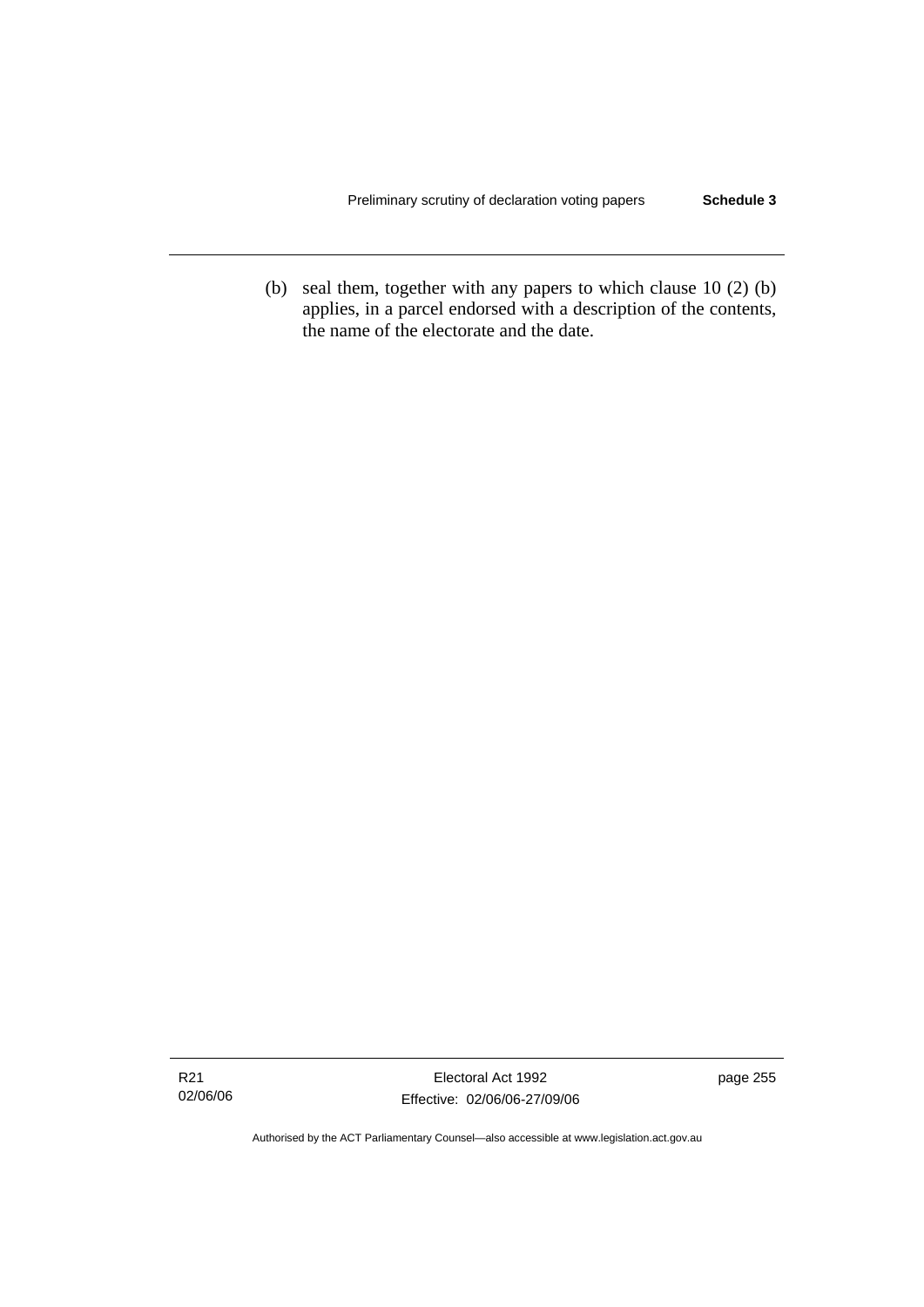(b) seal them, together with any papers to which clause 10 (2) (b) applies, in a parcel endorsed with a description of the contents, the name of the electorate and the date.

page 255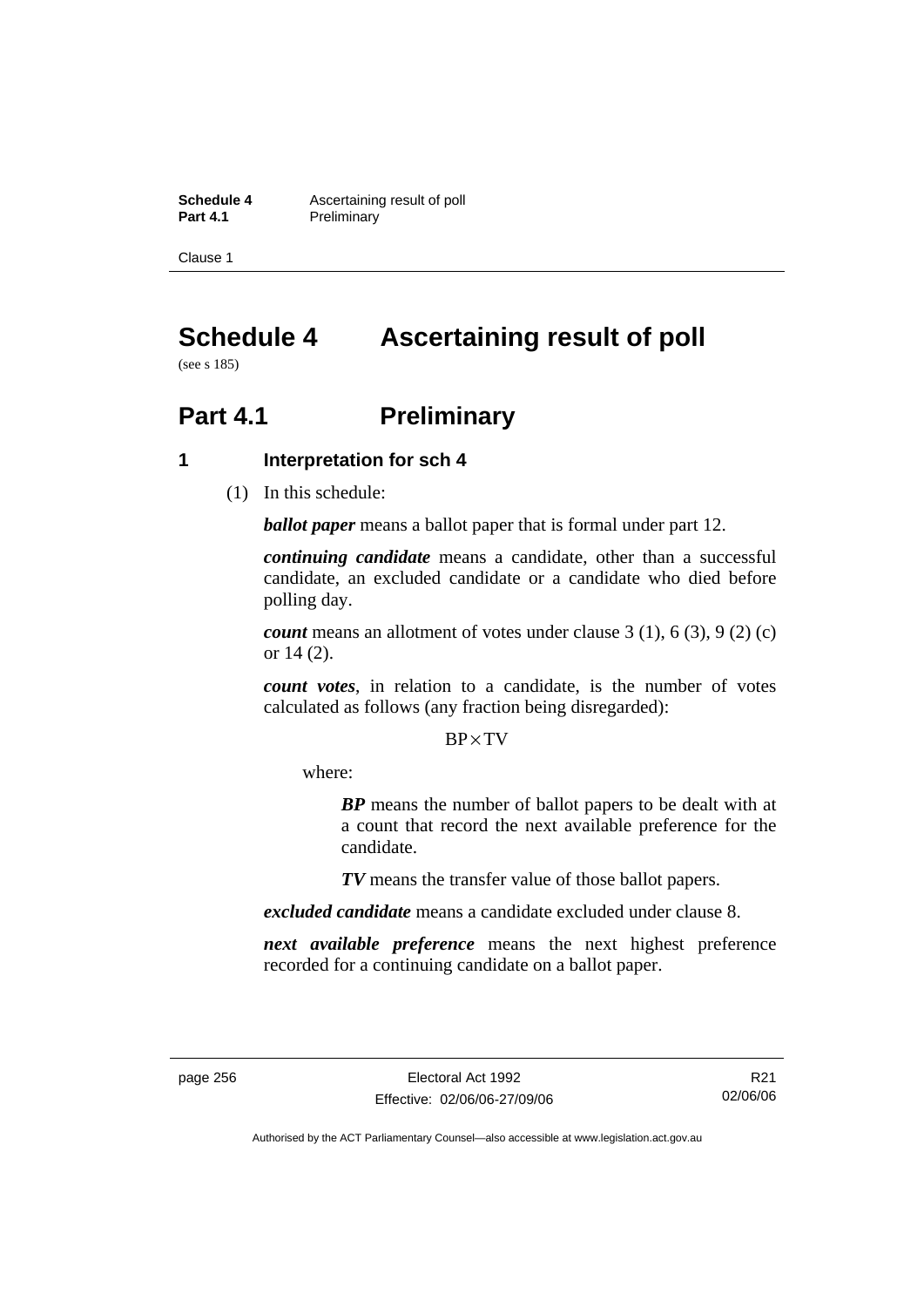**Schedule 4 Ascertaining result of poll**<br>**Part 4.1 Preliminary Preliminary** 

Clause 1

# **Schedule 4 Ascertaining result of poll**

(see s 185)

# **Part 4.1** Preliminary

## **1 Interpretation for sch 4**

(1) In this schedule:

*ballot paper* means a ballot paper that is formal under part 12.

*continuing candidate* means a candidate, other than a successful candidate, an excluded candidate or a candidate who died before polling day.

*count* means an allotment of votes under clause 3 (1), 6 (3), 9 (2) (c) or 14 (2).

*count votes*, in relation to a candidate, is the number of votes calculated as follows (any fraction being disregarded):

### BP× TV

where:

*BP* means the number of ballot papers to be dealt with at a count that record the next available preference for the candidate.

*TV* means the transfer value of those ballot papers.

*excluded candidate* means a candidate excluded under clause 8.

*next available preference* means the next highest preference recorded for a continuing candidate on a ballot paper.

R21 02/06/06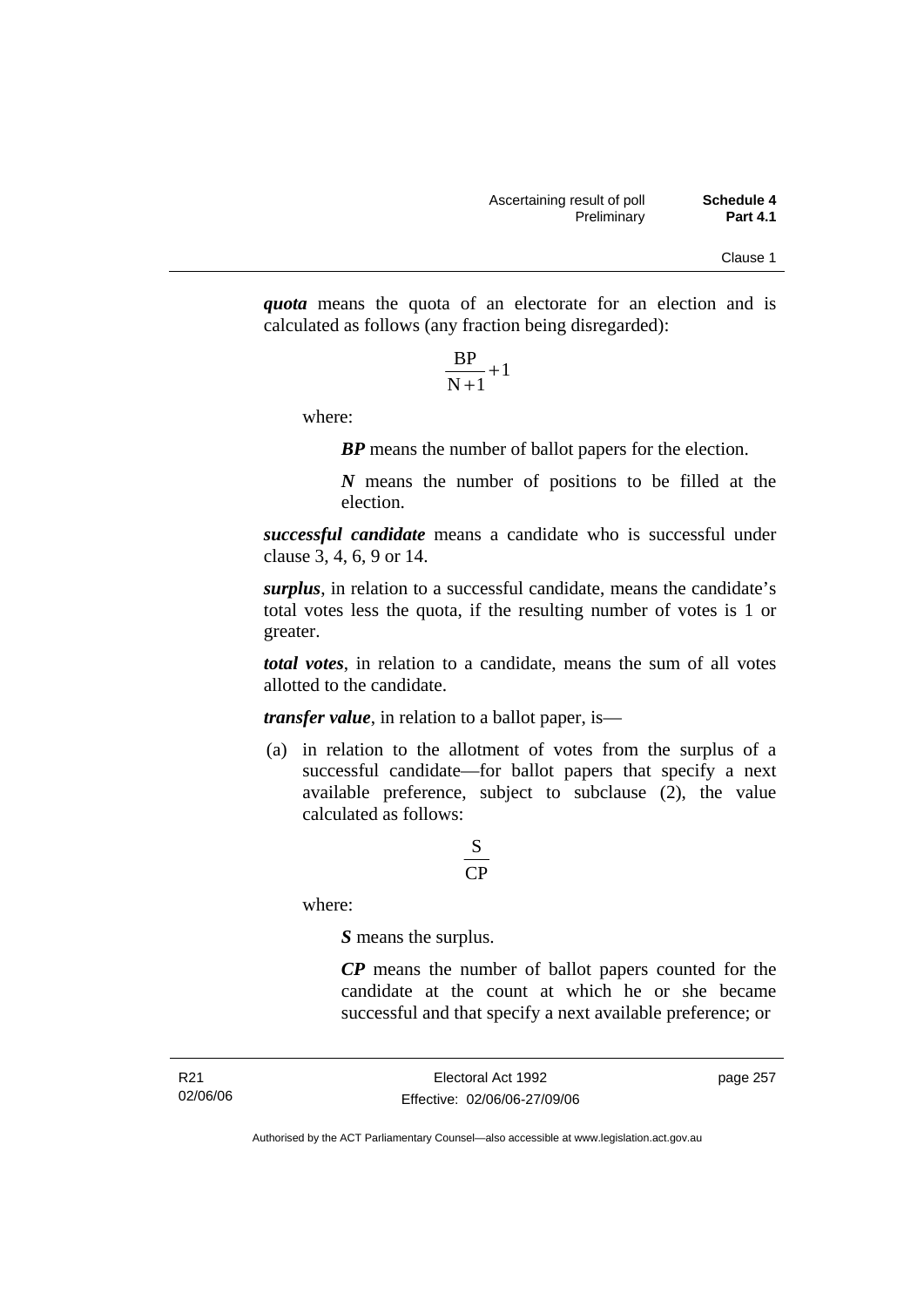*quota* means the quota of an electorate for an election and is calculated as follows (any fraction being disregarded):

$$
\frac{\text{BP}}{\text{N}+1}+1
$$

where:

*BP* means the number of ballot papers for the election.

*N* means the number of positions to be filled at the election.

*successful candidate* means a candidate who is successful under clause 3, 4, 6, 9 or 14.

*surplus*, in relation to a successful candidate, means the candidate's total votes less the quota, if the resulting number of votes is 1 or greater.

*total votes*, in relation to a candidate, means the sum of all votes allotted to the candidate.

*transfer value*, in relation to a ballot paper, is—

 (a) in relation to the allotment of votes from the surplus of a successful candidate—for ballot papers that specify a next available preference, subject to subclause (2), the value calculated as follows:

# CP S

where:

*S* means the surplus.

*CP* means the number of ballot papers counted for the candidate at the count at which he or she became successful and that specify a next available preference; or

page 257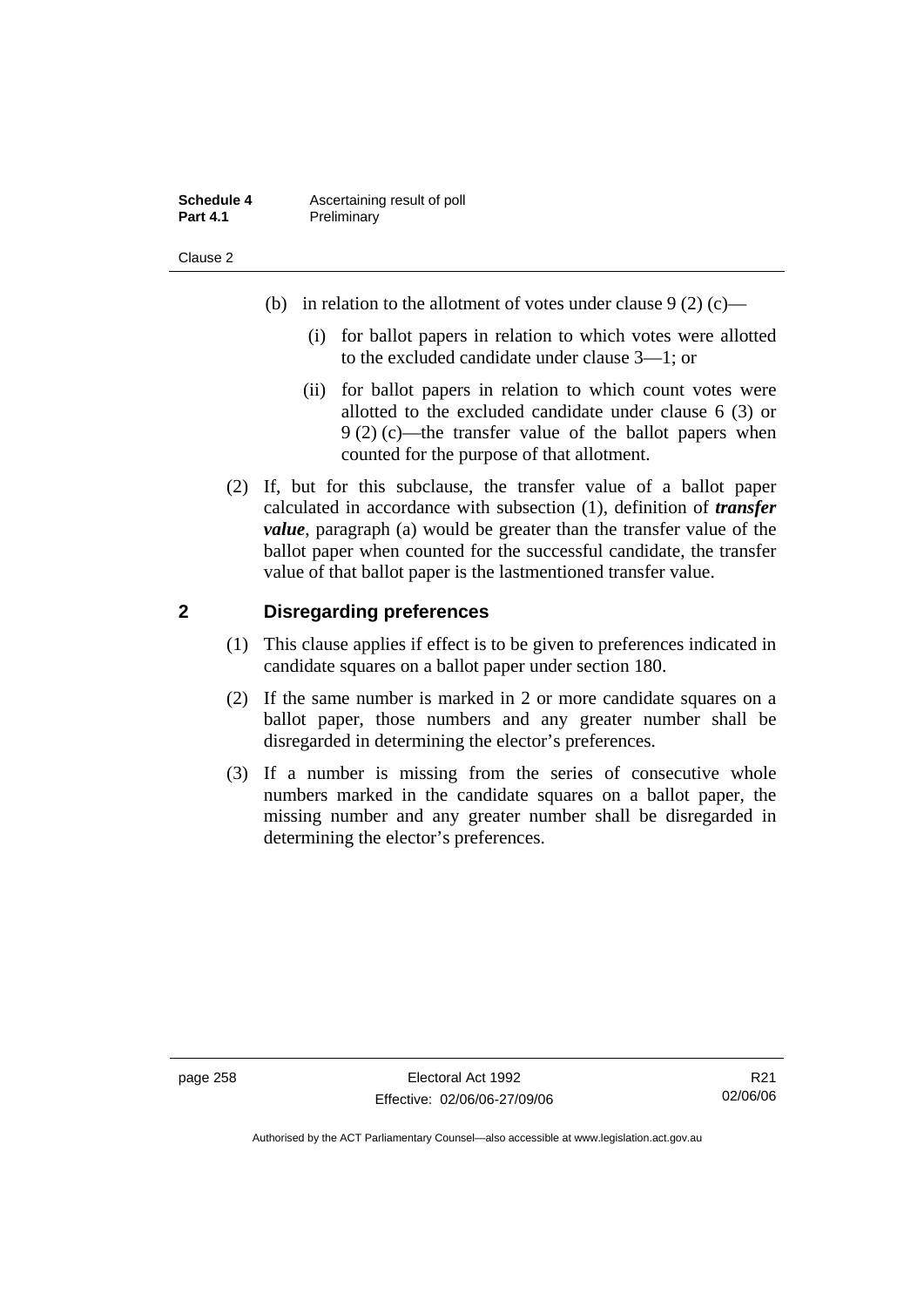| <b>Schedule 4</b> | Ascertaining result of poll |
|-------------------|-----------------------------|
| <b>Part 4.1</b>   | Preliminary                 |

- (b) in relation to the allotment of votes under clause  $9(2)(c)$ 
	- (i) for ballot papers in relation to which votes were allotted to the excluded candidate under clause 3—1; or
	- (ii) for ballot papers in relation to which count votes were allotted to the excluded candidate under clause 6 (3) or 9 (2) (c)—the transfer value of the ballot papers when counted for the purpose of that allotment.
- (2) If, but for this subclause, the transfer value of a ballot paper calculated in accordance with subsection (1), definition of *transfer value*, paragraph (a) would be greater than the transfer value of the ballot paper when counted for the successful candidate, the transfer value of that ballot paper is the lastmentioned transfer value.

## **2 Disregarding preferences**

- (1) This clause applies if effect is to be given to preferences indicated in candidate squares on a ballot paper under section 180.
- (2) If the same number is marked in 2 or more candidate squares on a ballot paper, those numbers and any greater number shall be disregarded in determining the elector's preferences.
- (3) If a number is missing from the series of consecutive whole numbers marked in the candidate squares on a ballot paper, the missing number and any greater number shall be disregarded in determining the elector's preferences.

page 258 Electoral Act 1992 Effective: 02/06/06-27/09/06

R21 02/06/06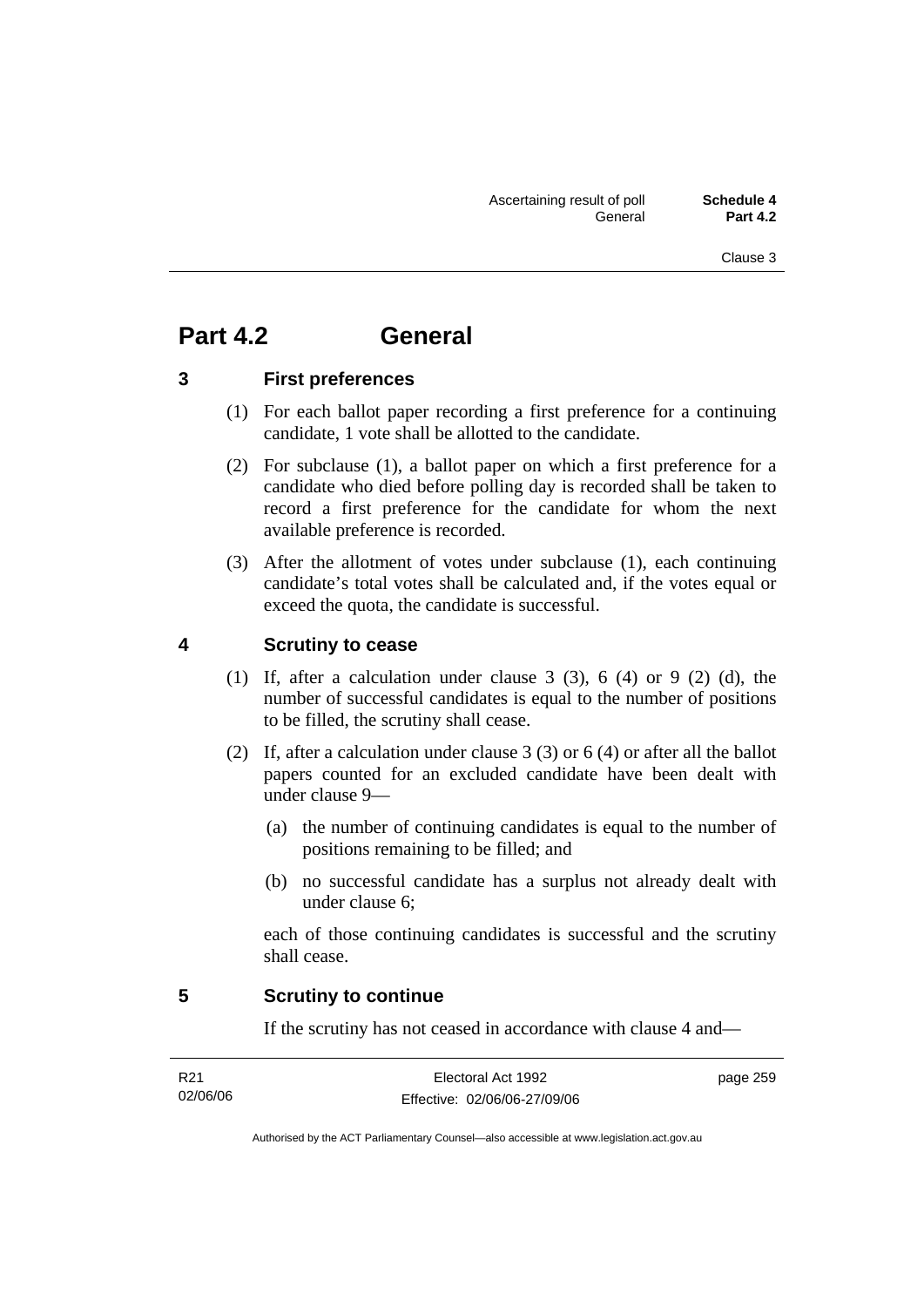# **Part 4.2 General**

## **3 First preferences**

- (1) For each ballot paper recording a first preference for a continuing candidate, 1 vote shall be allotted to the candidate.
- (2) For subclause (1), a ballot paper on which a first preference for a candidate who died before polling day is recorded shall be taken to record a first preference for the candidate for whom the next available preference is recorded.
- (3) After the allotment of votes under subclause (1), each continuing candidate's total votes shall be calculated and, if the votes equal or exceed the quota, the candidate is successful.

## **4 Scrutiny to cease**

- (1) If, after a calculation under clause 3 (3), 6 (4) or 9 (2) (d), the number of successful candidates is equal to the number of positions to be filled, the scrutiny shall cease.
- (2) If, after a calculation under clause 3 (3) or 6 (4) or after all the ballot papers counted for an excluded candidate have been dealt with under clause 9—
	- (a) the number of continuing candidates is equal to the number of positions remaining to be filled; and
	- (b) no successful candidate has a surplus not already dealt with under clause 6;

each of those continuing candidates is successful and the scrutiny shall cease.

## **5 Scrutiny to continue**

If the scrutiny has not ceased in accordance with clause 4 and—

| R21      | Electoral Act 1992           | page 259 |
|----------|------------------------------|----------|
| 02/06/06 | Effective: 02/06/06-27/09/06 |          |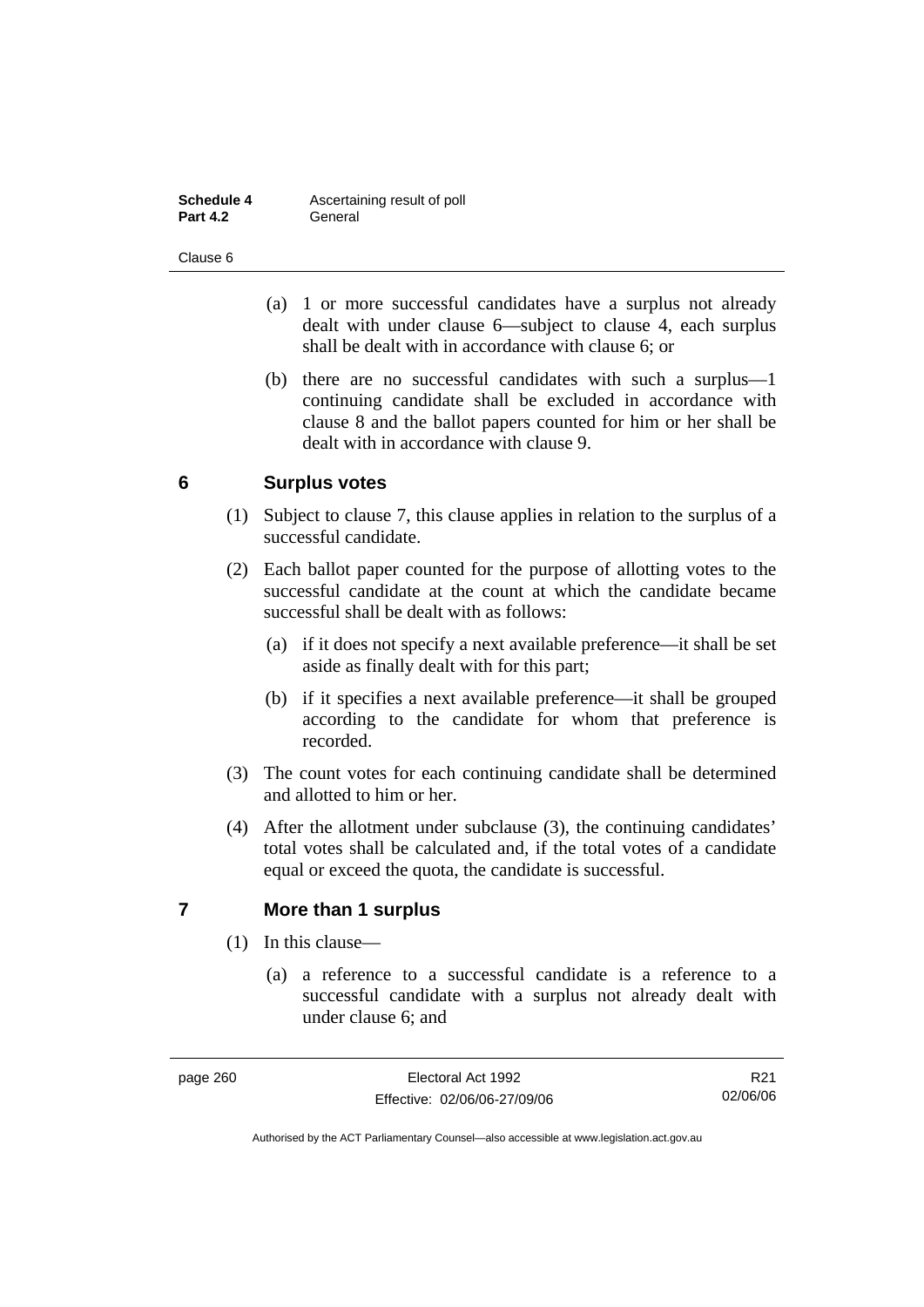| <b>Schedule 4</b> | Ascertaining result of poll |
|-------------------|-----------------------------|
| <b>Part 4.2</b>   | General                     |

- (a) 1 or more successful candidates have a surplus not already dealt with under clause 6—subject to clause 4, each surplus shall be dealt with in accordance with clause 6; or
- (b) there are no successful candidates with such a surplus—1 continuing candidate shall be excluded in accordance with clause 8 and the ballot papers counted for him or her shall be dealt with in accordance with clause 9.

# **6 Surplus votes**

- (1) Subject to clause 7, this clause applies in relation to the surplus of a successful candidate.
- (2) Each ballot paper counted for the purpose of allotting votes to the successful candidate at the count at which the candidate became successful shall be dealt with as follows:
	- (a) if it does not specify a next available preference—it shall be set aside as finally dealt with for this part;
	- (b) if it specifies a next available preference—it shall be grouped according to the candidate for whom that preference is recorded.
- (3) The count votes for each continuing candidate shall be determined and allotted to him or her.
- (4) After the allotment under subclause (3), the continuing candidates' total votes shall be calculated and, if the total votes of a candidate equal or exceed the quota, the candidate is successful.

# **7 More than 1 surplus**

- (1) In this clause—
	- (a) a reference to a successful candidate is a reference to a successful candidate with a surplus not already dealt with under clause 6; and

R21 02/06/06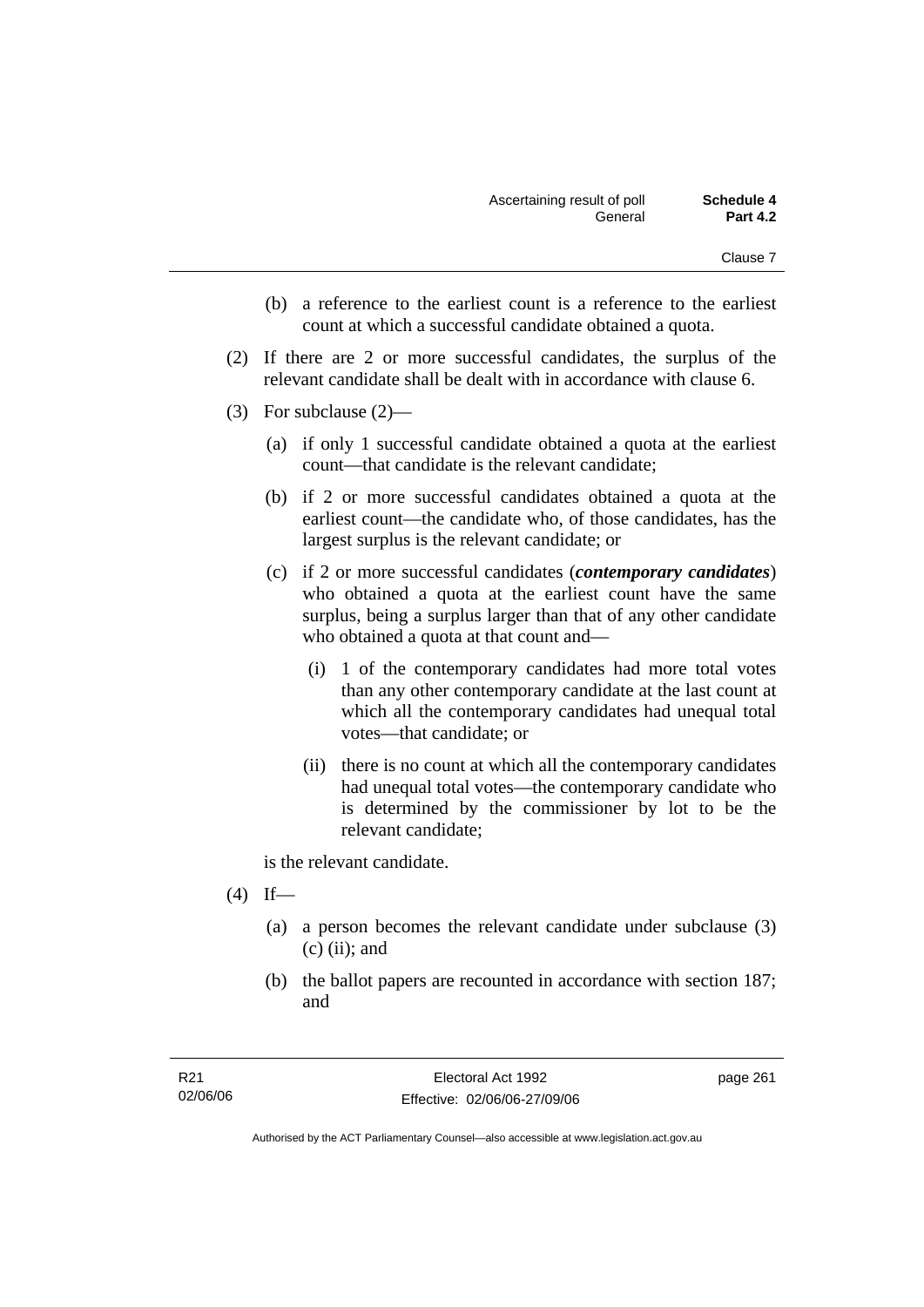- (b) a reference to the earliest count is a reference to the earliest count at which a successful candidate obtained a quota.
- (2) If there are 2 or more successful candidates, the surplus of the relevant candidate shall be dealt with in accordance with clause 6.
- (3) For subclause (2)—
	- (a) if only 1 successful candidate obtained a quota at the earliest count—that candidate is the relevant candidate;
	- (b) if 2 or more successful candidates obtained a quota at the earliest count—the candidate who, of those candidates, has the largest surplus is the relevant candidate; or
	- (c) if 2 or more successful candidates (*contemporary candidates*) who obtained a quota at the earliest count have the same surplus, being a surplus larger than that of any other candidate who obtained a quota at that count and—
		- (i) 1 of the contemporary candidates had more total votes than any other contemporary candidate at the last count at which all the contemporary candidates had unequal total votes—that candidate; or
		- (ii) there is no count at which all the contemporary candidates had unequal total votes—the contemporary candidate who is determined by the commissioner by lot to be the relevant candidate;

is the relevant candidate.

- $(4)$  If—
	- (a) a person becomes the relevant candidate under subclause (3)  $(c)$  (ii); and
	- (b) the ballot papers are recounted in accordance with section 187; and

page 261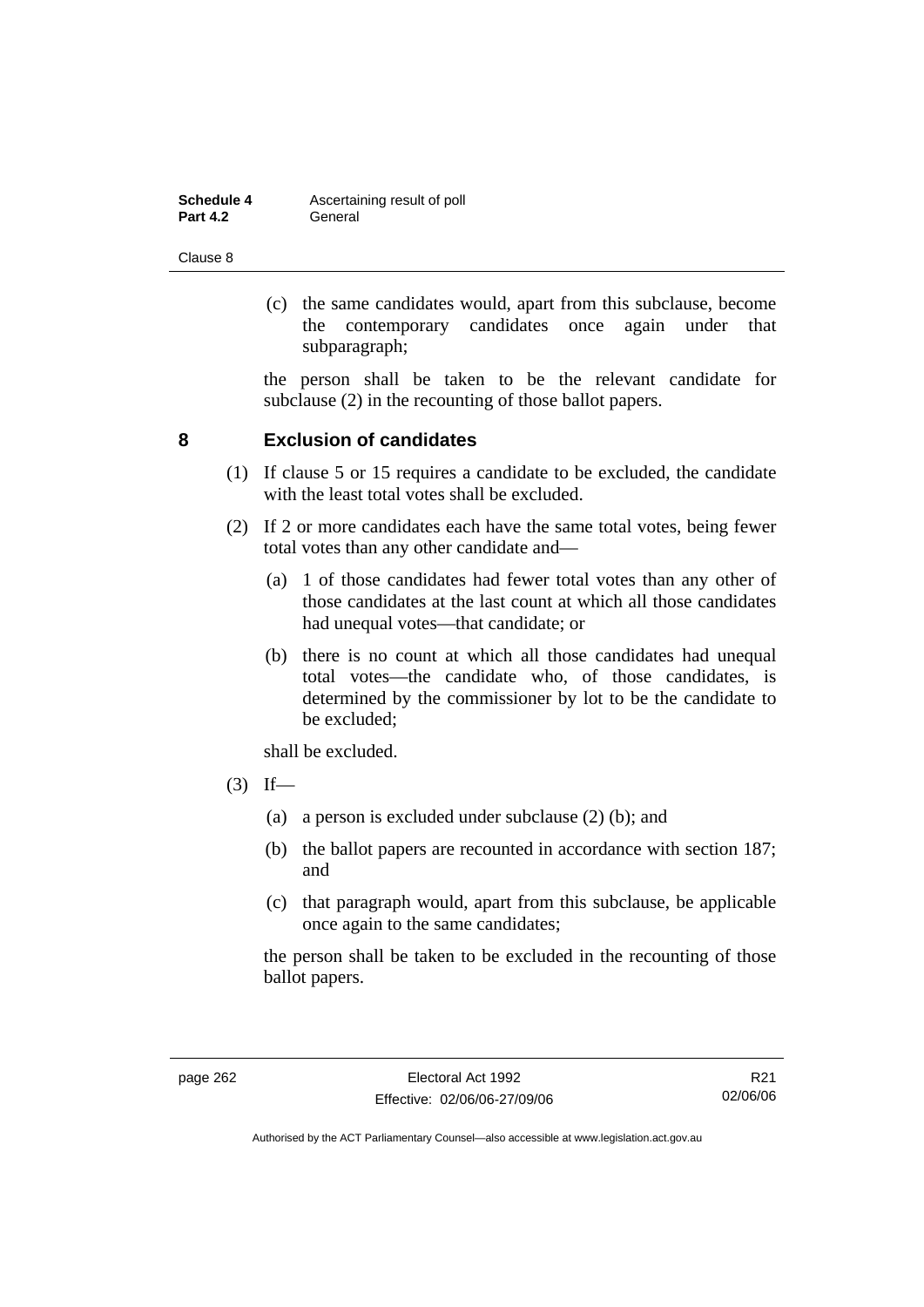| Schedule 4      | Ascertaining result of poll |
|-----------------|-----------------------------|
| <b>Part 4.2</b> | General                     |

 (c) the same candidates would, apart from this subclause, become the contemporary candidates once again under that subparagraph;

the person shall be taken to be the relevant candidate for subclause (2) in the recounting of those ballot papers.

### **8 Exclusion of candidates**

- (1) If clause 5 or 15 requires a candidate to be excluded, the candidate with the least total votes shall be excluded.
- (2) If 2 or more candidates each have the same total votes, being fewer total votes than any other candidate and—
	- (a) 1 of those candidates had fewer total votes than any other of those candidates at the last count at which all those candidates had unequal votes—that candidate; or
	- (b) there is no count at which all those candidates had unequal total votes—the candidate who, of those candidates, is determined by the commissioner by lot to be the candidate to be excluded;

shall be excluded.

- $(3)$  If—
	- (a) a person is excluded under subclause (2) (b); and
	- (b) the ballot papers are recounted in accordance with section 187; and
	- (c) that paragraph would, apart from this subclause, be applicable once again to the same candidates;

the person shall be taken to be excluded in the recounting of those ballot papers.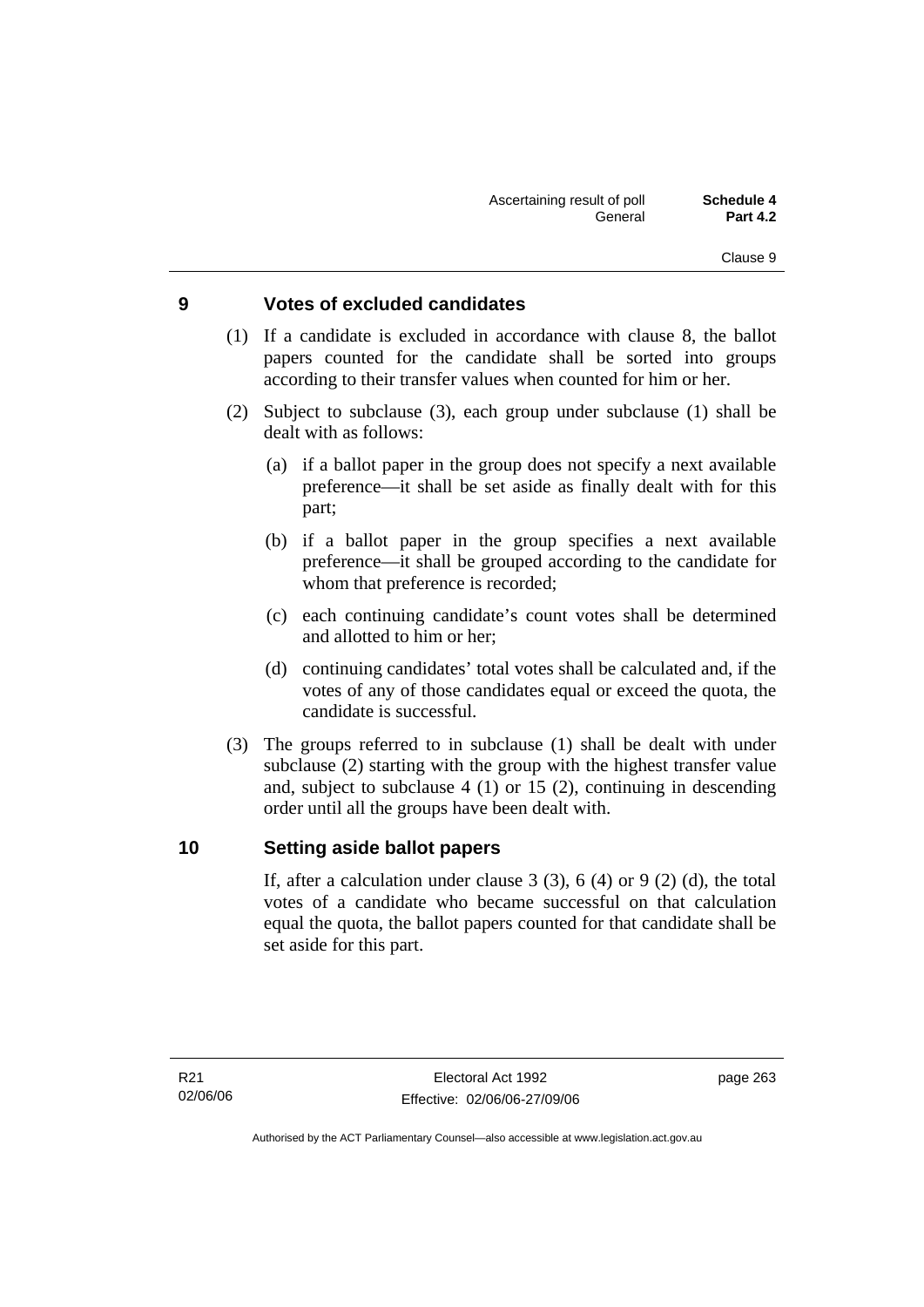## **9 Votes of excluded candidates**

- (1) If a candidate is excluded in accordance with clause 8, the ballot papers counted for the candidate shall be sorted into groups according to their transfer values when counted for him or her.
- (2) Subject to subclause (3), each group under subclause (1) shall be dealt with as follows:
	- (a) if a ballot paper in the group does not specify a next available preference—it shall be set aside as finally dealt with for this part;
	- (b) if a ballot paper in the group specifies a next available preference—it shall be grouped according to the candidate for whom that preference is recorded;
	- (c) each continuing candidate's count votes shall be determined and allotted to him or her;
	- (d) continuing candidates' total votes shall be calculated and, if the votes of any of those candidates equal or exceed the quota, the candidate is successful.
- (3) The groups referred to in subclause (1) shall be dealt with under subclause (2) starting with the group with the highest transfer value and, subject to subclause 4 (1) or 15 (2), continuing in descending order until all the groups have been dealt with.

## **10 Setting aside ballot papers**

If, after a calculation under clause  $3(3)$ ,  $6(4)$  or  $9(2)(d)$ , the total votes of a candidate who became successful on that calculation equal the quota, the ballot papers counted for that candidate shall be set aside for this part.

page 263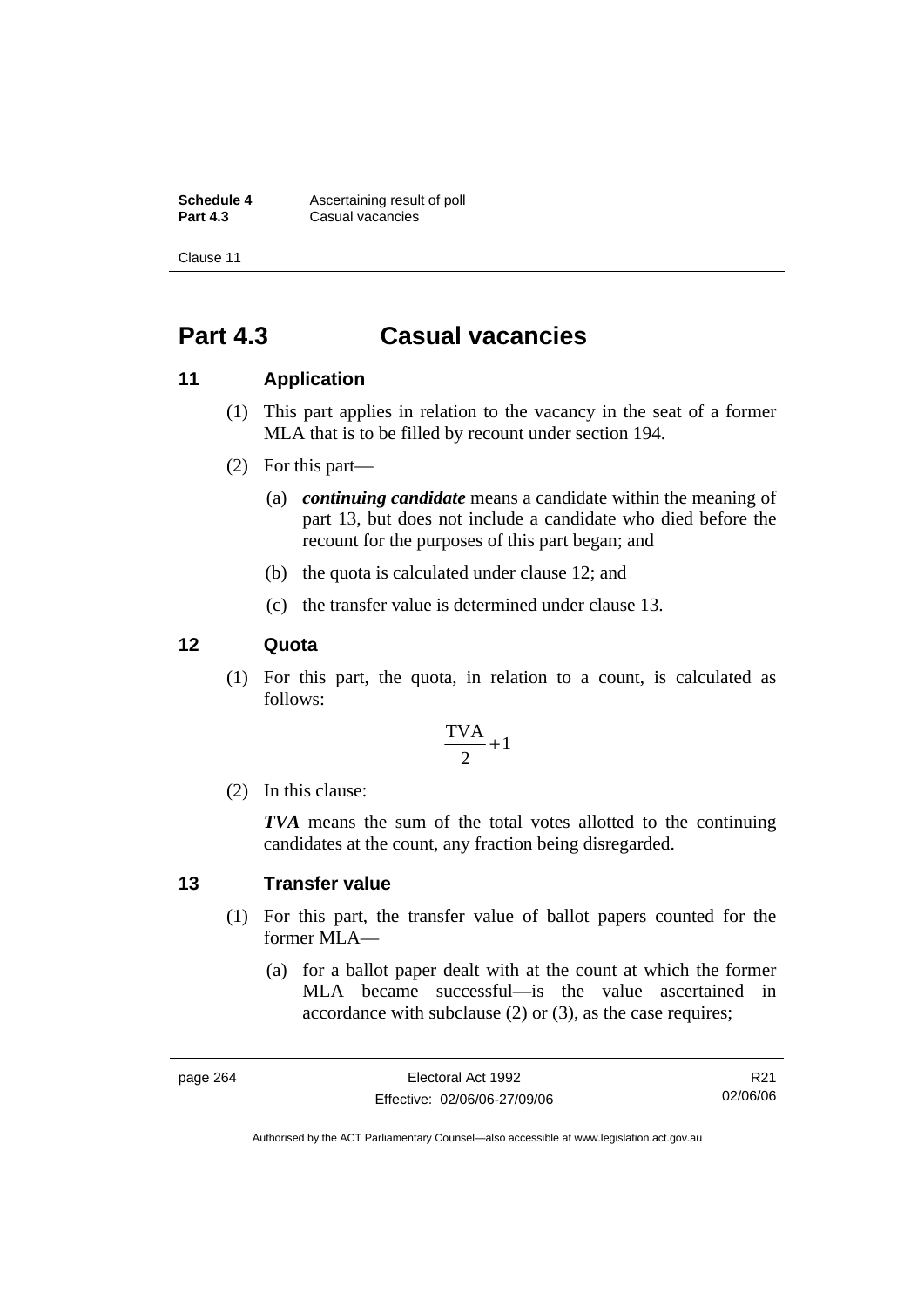**Schedule 4 Ascertaining result of poll**<br>**Part 4.3 Casual vacancies Part 4.3** Casual vacancies

Clause 11

# **Part 4.3 Casual vacancies**

## **11 Application**

- (1) This part applies in relation to the vacancy in the seat of a former MLA that is to be filled by recount under section 194.
- (2) For this part—
	- (a) *continuing candidate* means a candidate within the meaning of part 13, but does not include a candidate who died before the recount for the purposes of this part began; and
	- (b) the quota is calculated under clause 12; and
	- (c) the transfer value is determined under clause 13.

### **12 Quota**

 (1) For this part, the quota, in relation to a count, is calculated as follows:

$$
\frac{\text{TVA}}{2} + 1
$$

(2) In this clause:

*TVA* means the sum of the total votes allotted to the continuing candidates at the count, any fraction being disregarded.

### **13 Transfer value**

- (1) For this part, the transfer value of ballot papers counted for the former MLA—
	- (a) for a ballot paper dealt with at the count at which the former MLA became successful—is the value ascertained in accordance with subclause (2) or (3), as the case requires;

page 264 Electoral Act 1992 Effective: 02/06/06-27/09/06

R21 02/06/06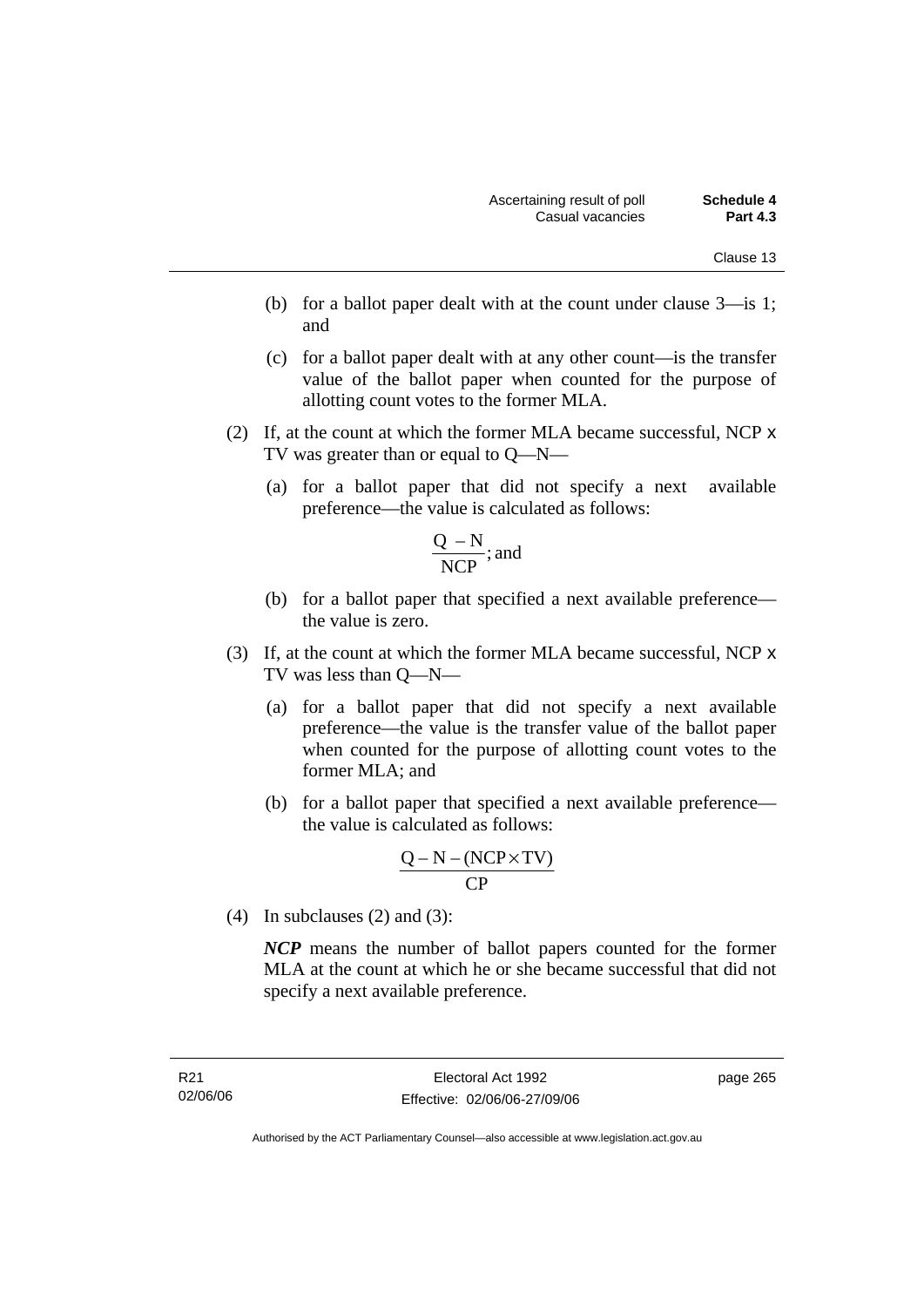- (b) for a ballot paper dealt with at the count under clause 3—is 1; and
- (c) for a ballot paper dealt with at any other count—is the transfer value of the ballot paper when counted for the purpose of allotting count votes to the former MLA.
- (2) If, at the count at which the former MLA became successful, NCP x TV was greater than or equal to Q—N—
	- (a) for a ballot paper that did not specify a next available preference—the value is calculated as follows:

$$
\frac{Q-N}{NCP}
$$
; and

- (b) for a ballot paper that specified a next available preference the value is zero.
- (3) If, at the count at which the former MLA became successful, NCP x TV was less than Q—N—
	- (a) for a ballot paper that did not specify a next available preference—the value is the transfer value of the ballot paper when counted for the purpose of allotting count votes to the former MLA; and
	- (b) for a ballot paper that specified a next available preference the value is calculated as follows:

$$
\frac{Q-N-(NCP \times TV)}{CP}
$$

(4) In subclauses (2) and (3):

*NCP* means the number of ballot papers counted for the former MLA at the count at which he or she became successful that did not specify a next available preference.

page 265

Authorised by the ACT Parliamentary Counsel—also accessible at www.legislation.act.gov.au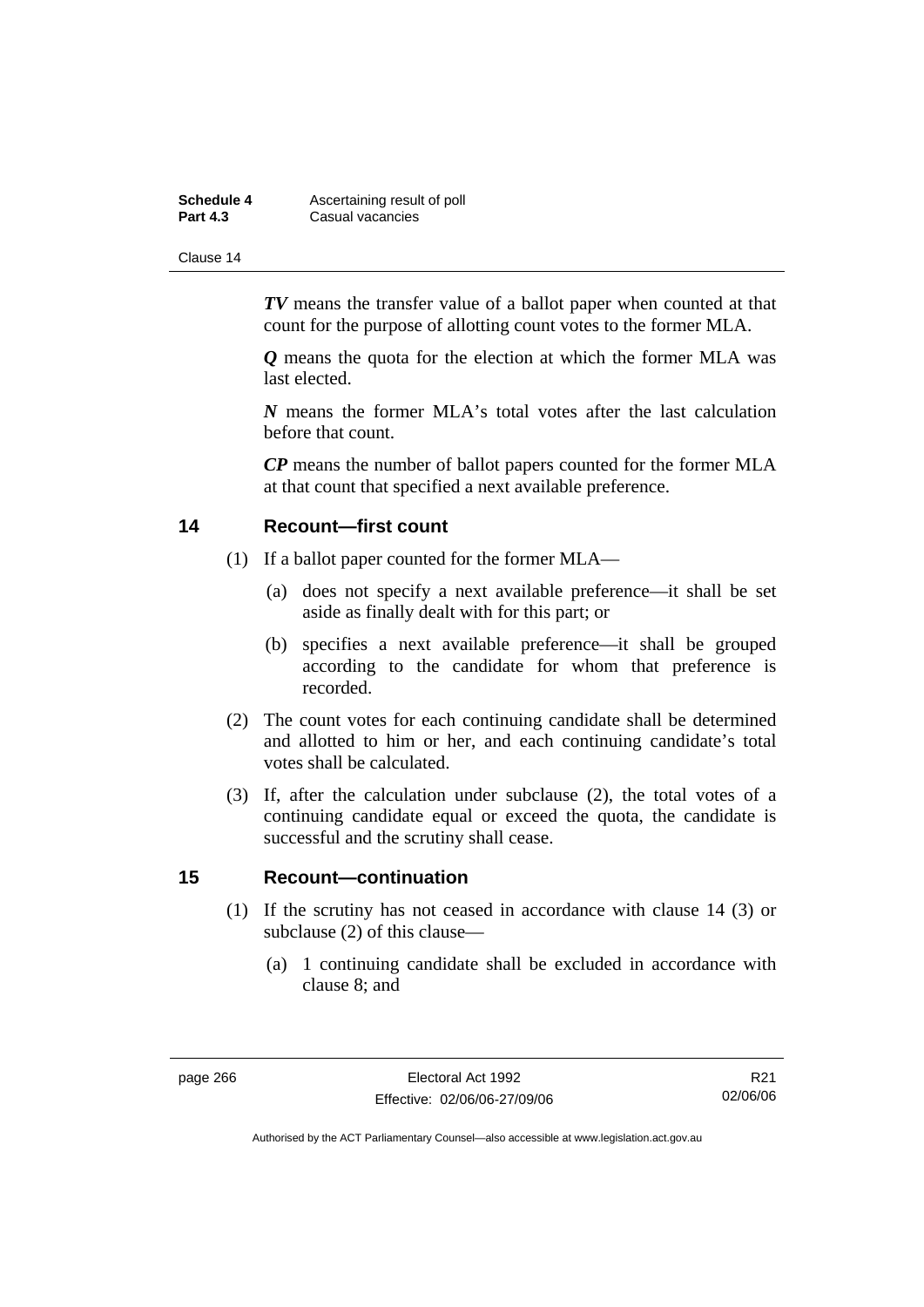| Schedule 4      | Ascertaining result of poll |
|-----------------|-----------------------------|
| <b>Part 4.3</b> | Casual vacancies            |

*TV* means the transfer value of a ballot paper when counted at that count for the purpose of allotting count votes to the former MLA.

*Q* means the quota for the election at which the former MLA was last elected.

*N* means the former MLA's total votes after the last calculation before that count.

*CP* means the number of ballot papers counted for the former MLA at that count that specified a next available preference.

## **14 Recount—first count**

- (1) If a ballot paper counted for the former MLA—
	- (a) does not specify a next available preference—it shall be set aside as finally dealt with for this part; or
	- (b) specifies a next available preference—it shall be grouped according to the candidate for whom that preference is recorded.
- (2) The count votes for each continuing candidate shall be determined and allotted to him or her, and each continuing candidate's total votes shall be calculated.
- (3) If, after the calculation under subclause (2), the total votes of a continuing candidate equal or exceed the quota, the candidate is successful and the scrutiny shall cease.

## **15 Recount—continuation**

- (1) If the scrutiny has not ceased in accordance with clause 14 (3) or subclause (2) of this clause—
	- (a) 1 continuing candidate shall be excluded in accordance with clause 8; and

R21 02/06/06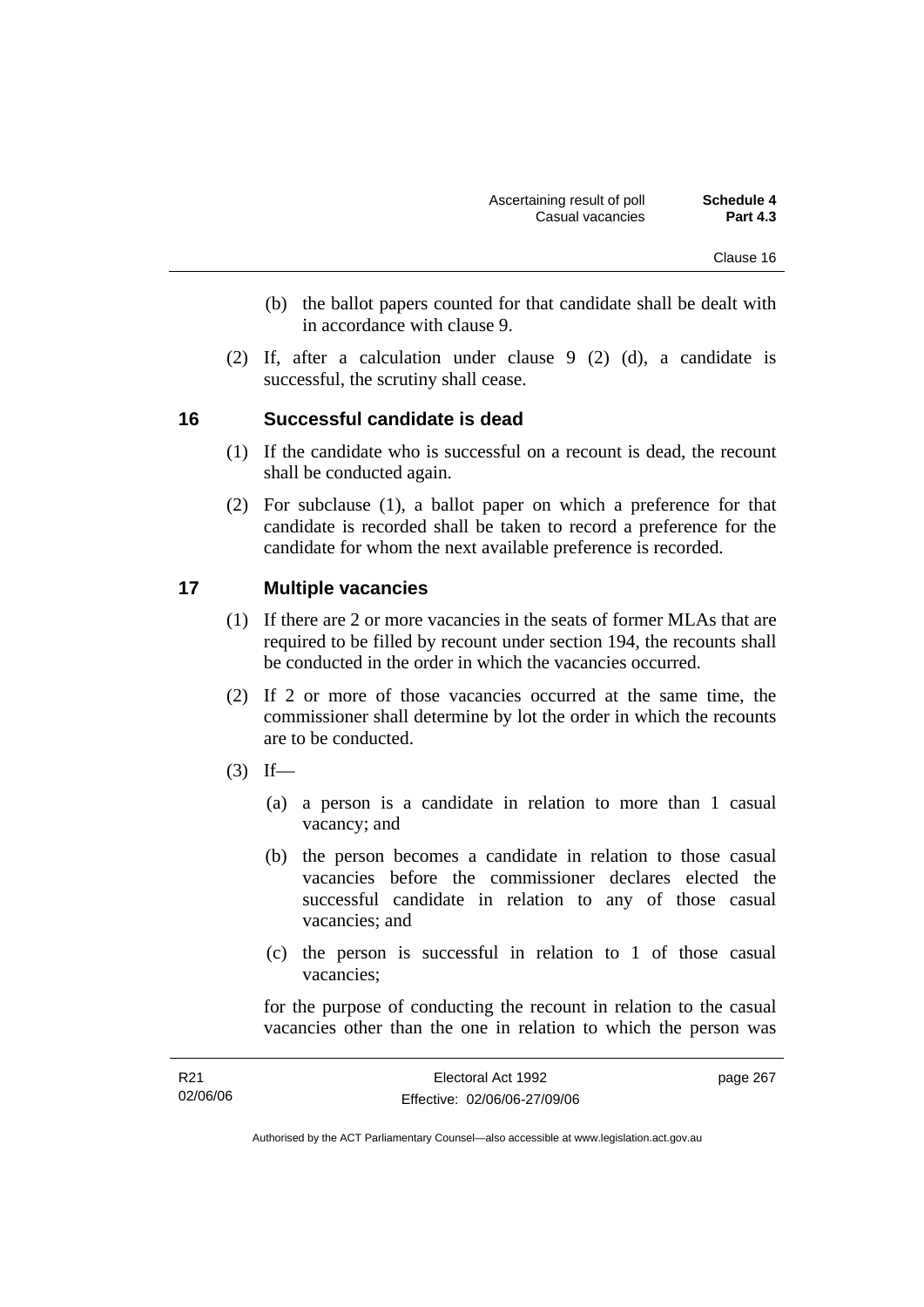- (b) the ballot papers counted for that candidate shall be dealt with in accordance with clause 9.
- (2) If, after a calculation under clause 9 (2) (d), a candidate is successful, the scrutiny shall cease.

# **16 Successful candidate is dead**

- (1) If the candidate who is successful on a recount is dead, the recount shall be conducted again.
- (2) For subclause (1), a ballot paper on which a preference for that candidate is recorded shall be taken to record a preference for the candidate for whom the next available preference is recorded.

# **17 Multiple vacancies**

- (1) If there are 2 or more vacancies in the seats of former MLAs that are required to be filled by recount under section 194, the recounts shall be conducted in the order in which the vacancies occurred.
- (2) If 2 or more of those vacancies occurred at the same time, the commissioner shall determine by lot the order in which the recounts are to be conducted.
- $(3)$  If—
	- (a) a person is a candidate in relation to more than 1 casual vacancy; and
	- (b) the person becomes a candidate in relation to those casual vacancies before the commissioner declares elected the successful candidate in relation to any of those casual vacancies; and
	- (c) the person is successful in relation to 1 of those casual vacancies;

for the purpose of conducting the recount in relation to the casual vacancies other than the one in relation to which the person was

| R21      | Electoral Act 1992           | page 267 |
|----------|------------------------------|----------|
| 02/06/06 | Effective: 02/06/06-27/09/06 |          |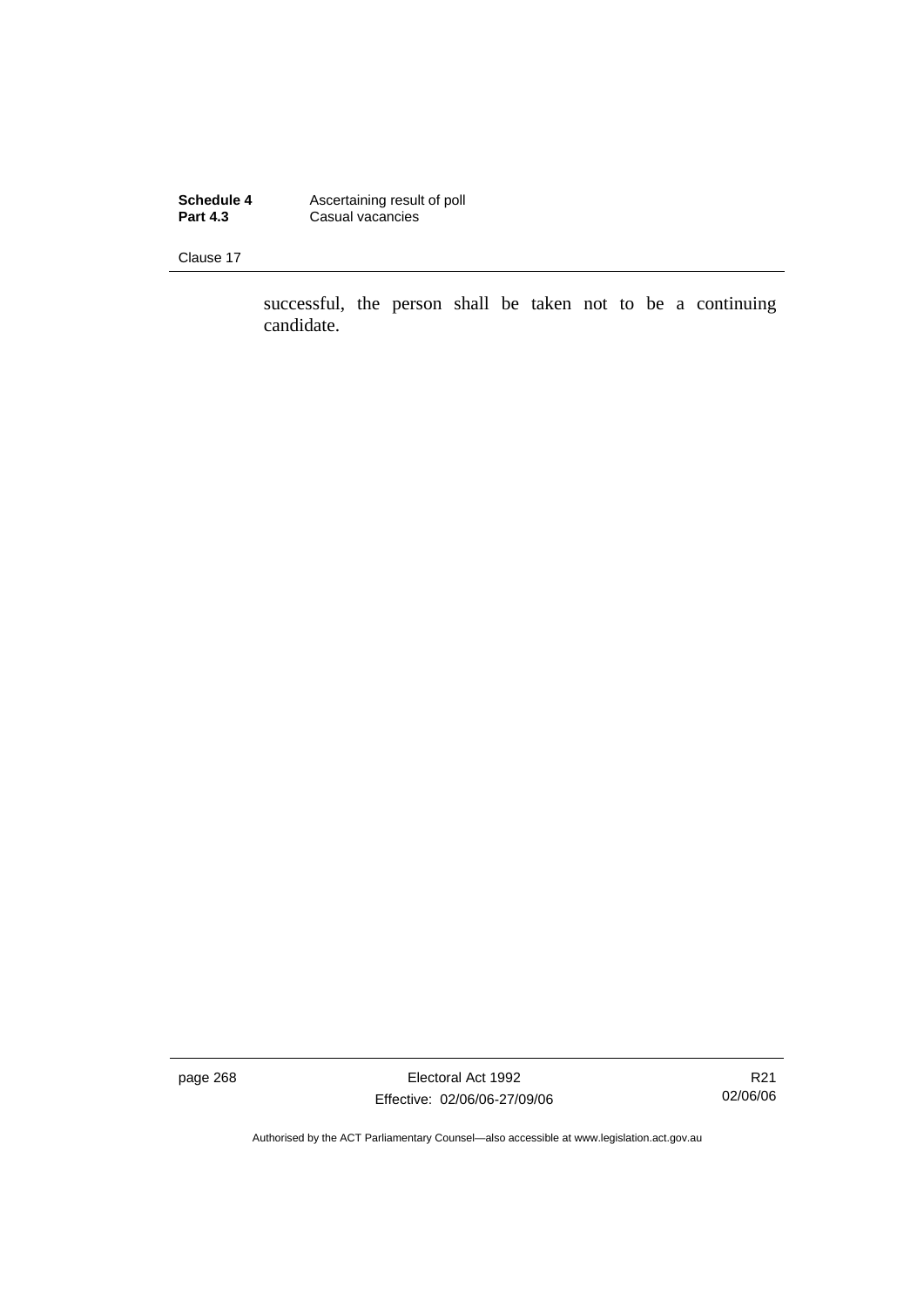**Schedule 4 Ascertaining result of poll Part 4.3** Casual vacancies

Clause 17

successful, the person shall be taken not to be a continuing candidate.

page 268 Electoral Act 1992 Effective: 02/06/06-27/09/06

R21 02/06/06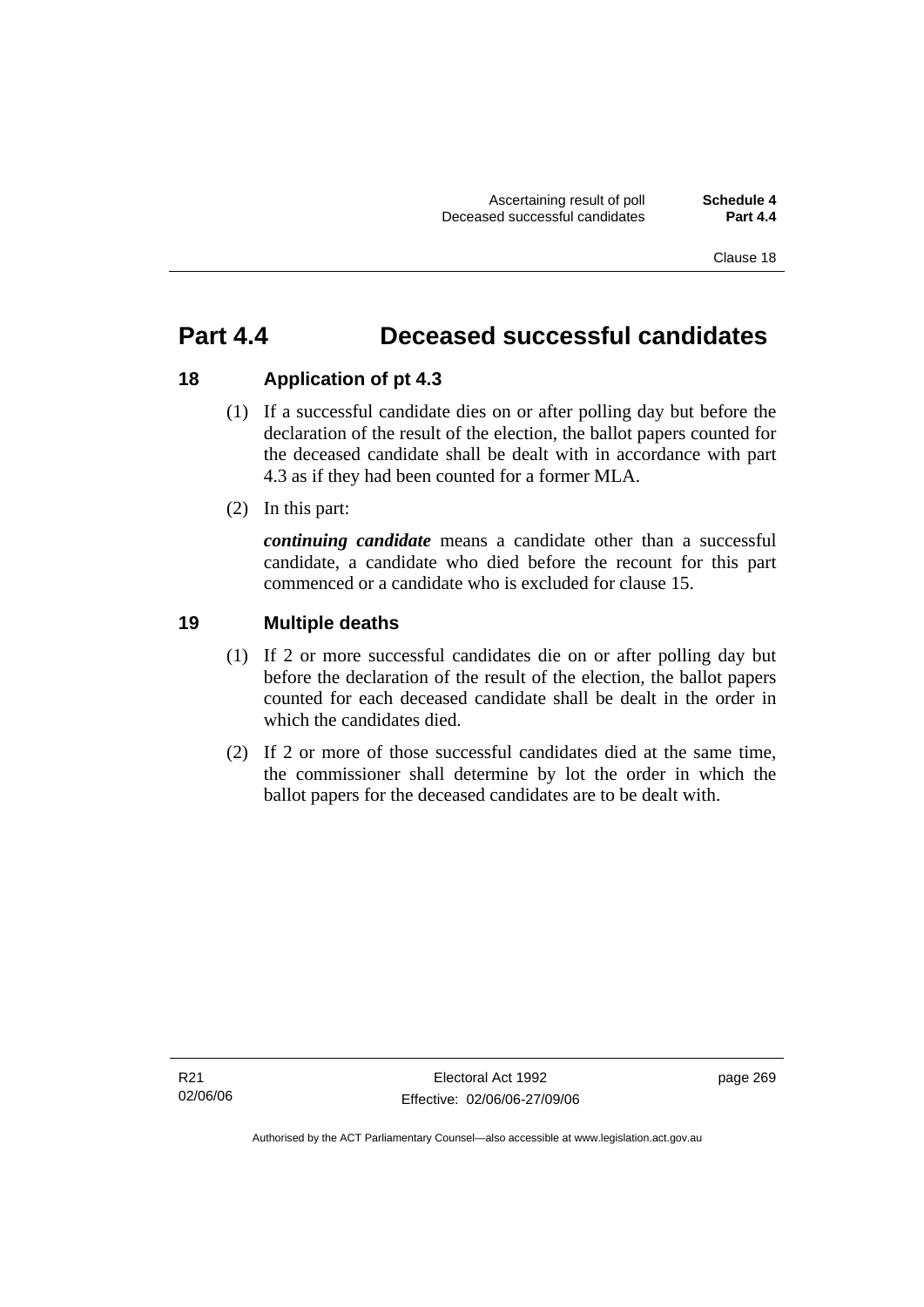# **Part 4.4 Deceased successful candidates**

# **18 Application of pt 4.3**

- (1) If a successful candidate dies on or after polling day but before the declaration of the result of the election, the ballot papers counted for the deceased candidate shall be dealt with in accordance with part 4.3 as if they had been counted for a former MLA.
- (2) In this part:

*continuing candidate* means a candidate other than a successful candidate, a candidate who died before the recount for this part commenced or a candidate who is excluded for clause 15.

# **19 Multiple deaths**

- (1) If 2 or more successful candidates die on or after polling day but before the declaration of the result of the election, the ballot papers counted for each deceased candidate shall be dealt in the order in which the candidates died.
- (2) If 2 or more of those successful candidates died at the same time, the commissioner shall determine by lot the order in which the ballot papers for the deceased candidates are to be dealt with.

page 269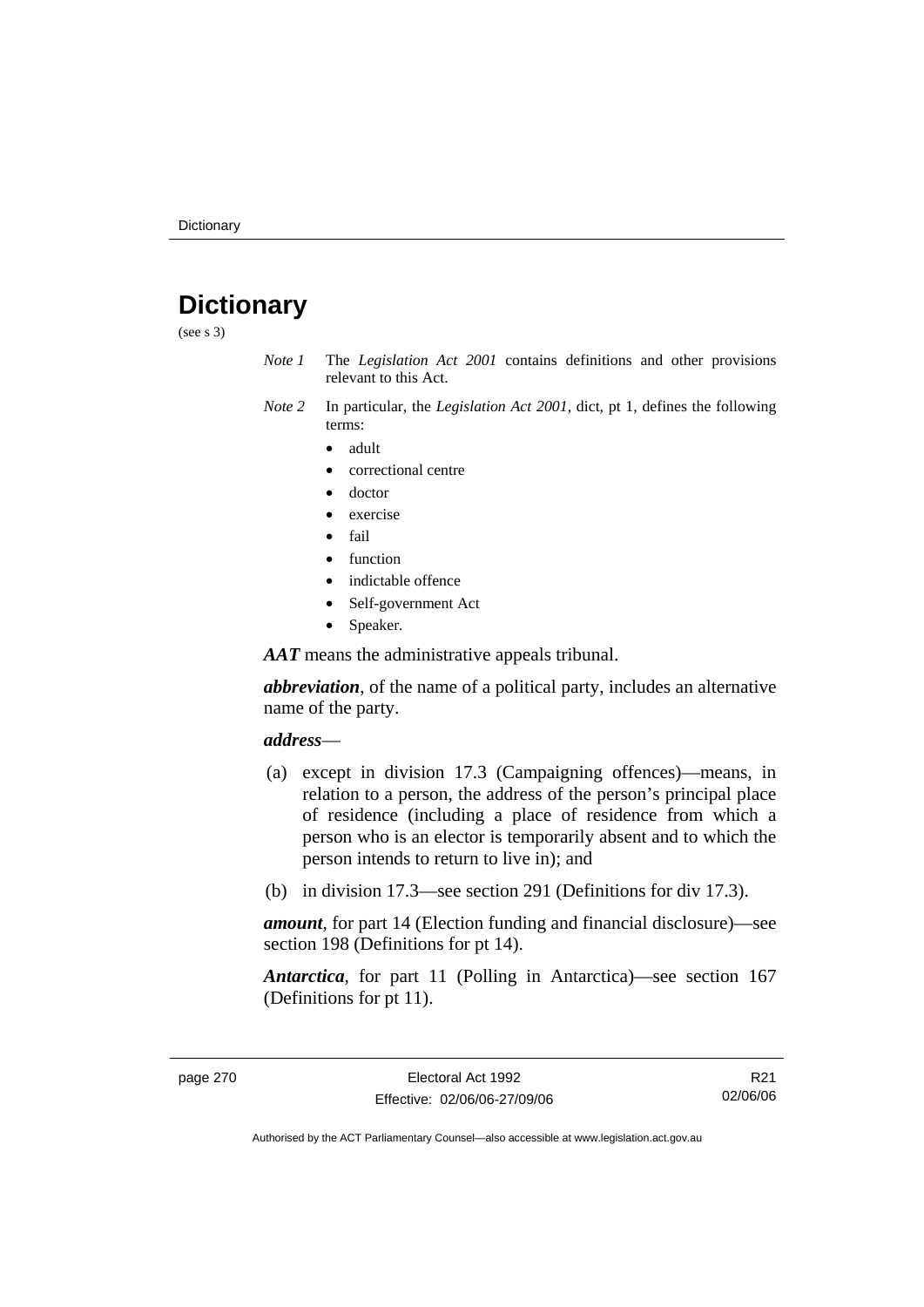# **Dictionary**

(see s 3)

- *Note 1* The *Legislation Act 2001* contains definitions and other provisions relevant to this Act.
- *Note 2* In particular, the *Legislation Act 2001*, dict, pt 1, defines the following terms:
	- adult
	- correctional centre
	- doctor
	- exercise
	- fail
	- function
	- indictable offence
	- Self-government Act
	- Speaker.

*AAT* means the administrative appeals tribunal.

*abbreviation*, of the name of a political party, includes an alternative name of the party.

#### *address*—

- (a) except in division 17.3 (Campaigning offences)—means, in relation to a person, the address of the person's principal place of residence (including a place of residence from which a person who is an elector is temporarily absent and to which the person intends to return to live in); and
- (b) in division 17.3—see section 291 (Definitions for div 17.3).

*amount*, for part 14 (Election funding and financial disclosure)—see section 198 (Definitions for pt 14).

*Antarctica*, for part 11 (Polling in Antarctica)—see section 167 (Definitions for pt 11).

R21 02/06/06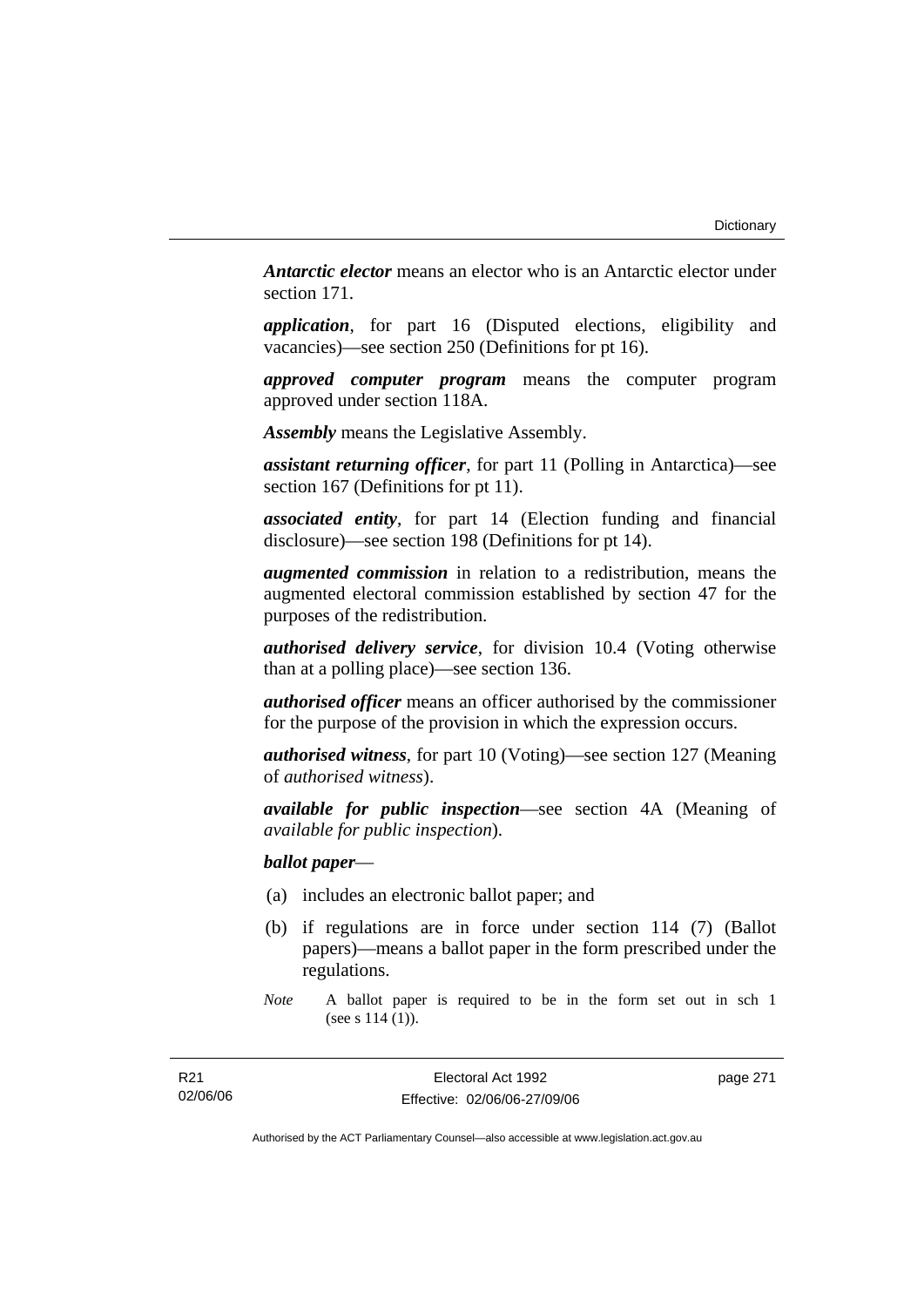*Antarctic elector* means an elector who is an Antarctic elector under section 171.

*application*, for part 16 (Disputed elections, eligibility and vacancies)—see section 250 (Definitions for pt 16).

*approved computer program* means the computer program approved under section 118A.

*Assembly* means the Legislative Assembly.

*assistant returning officer*, for part 11 (Polling in Antarctica)—see section 167 (Definitions for pt 11).

*associated entity*, for part 14 (Election funding and financial disclosure)—see section 198 (Definitions for pt 14).

*augmented commission* in relation to a redistribution, means the augmented electoral commission established by section 47 for the purposes of the redistribution.

*authorised delivery service*, for division 10.4 (Voting otherwise than at a polling place)—see section 136.

*authorised officer* means an officer authorised by the commissioner for the purpose of the provision in which the expression occurs.

*authorised witness*, for part 10 (Voting)—see section 127 (Meaning of *authorised witness*).

*available for public inspection*—see section 4A (Meaning of *available for public inspection*).

*ballot paper*—

- (a) includes an electronic ballot paper; and
- (b) if regulations are in force under section 114 (7) (Ballot papers)—means a ballot paper in the form prescribed under the regulations.

Electoral Act 1992 Effective: 02/06/06-27/09/06 page 271

*Note* A ballot paper is required to be in the form set out in sch 1 (see s 114 (1)).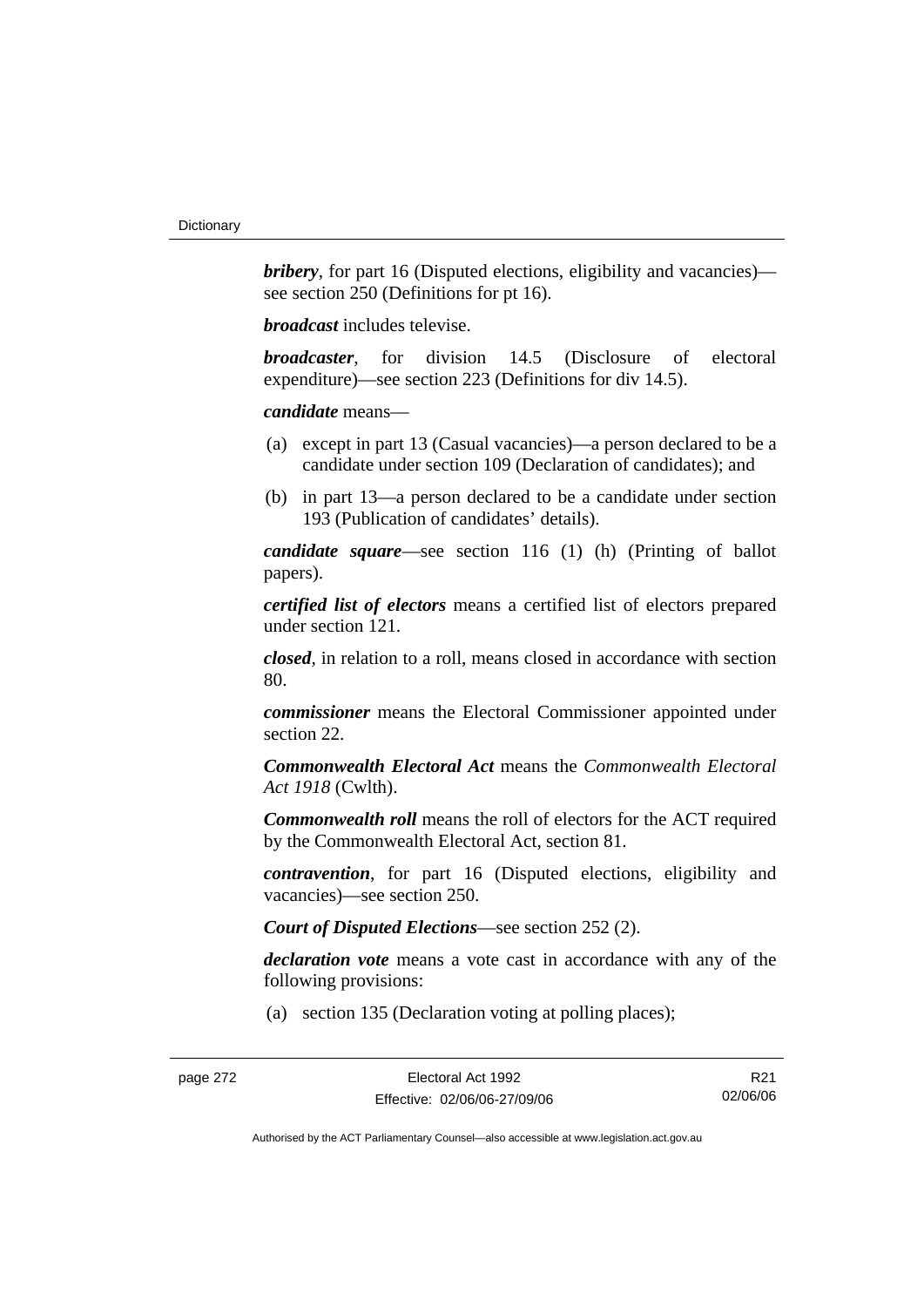*bribery*, for part 16 (Disputed elections, eligibility and vacancies) see section 250 (Definitions for pt 16).

*broadcast* includes televise.

*broadcaster*, for division 14.5 (Disclosure of electoral expenditure)—see section 223 (Definitions for div 14.5).

*candidate* means—

- (a) except in part 13 (Casual vacancies)—a person declared to be a candidate under section 109 (Declaration of candidates); and
- (b) in part 13—a person declared to be a candidate under section 193 (Publication of candidates' details).

*candidate square*—see section 116 (1) (h) (Printing of ballot papers).

*certified list of electors* means a certified list of electors prepared under section 121.

*closed*, in relation to a roll, means closed in accordance with section 80.

*commissioner* means the Electoral Commissioner appointed under section 22.

*Commonwealth Electoral Act* means the *Commonwealth Electoral Act 1918* (Cwlth).

*Commonwealth roll* means the roll of electors for the ACT required by the Commonwealth Electoral Act, section 81.

*contravention*, for part 16 (Disputed elections, eligibility and vacancies)—see section 250.

*Court of Disputed Elections*—see section 252 (2).

*declaration vote* means a vote cast in accordance with any of the following provisions:

(a) section 135 (Declaration voting at polling places);

R21 02/06/06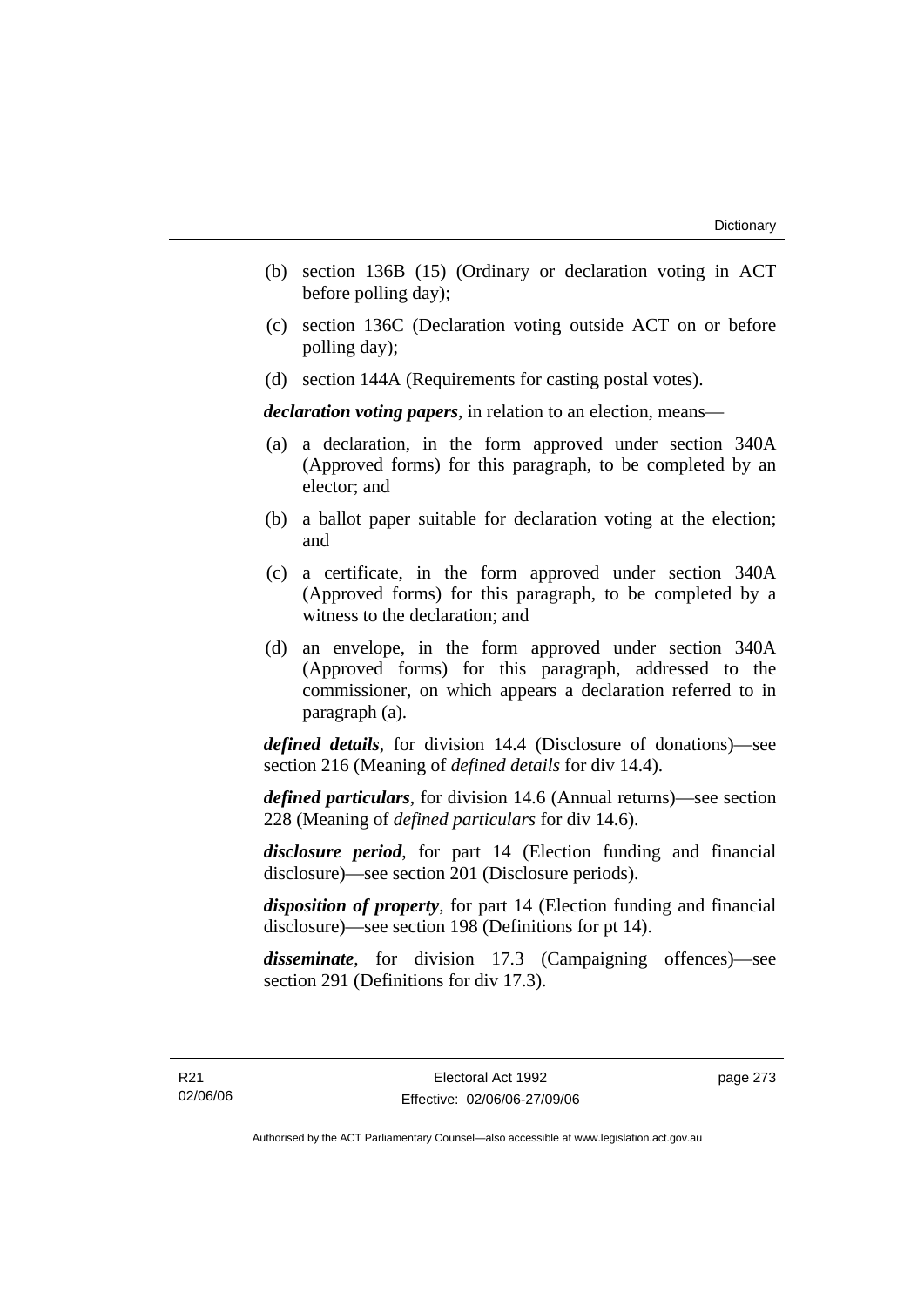- (b) section 136B (15) (Ordinary or declaration voting in ACT before polling day);
- (c) section 136C (Declaration voting outside ACT on or before polling day);
- (d) section 144A (Requirements for casting postal votes).

*declaration voting papers*, in relation to an election, means—

- (a) a declaration, in the form approved under section 340A (Approved forms) for this paragraph, to be completed by an elector; and
- (b) a ballot paper suitable for declaration voting at the election; and
- (c) a certificate, in the form approved under section 340A (Approved forms) for this paragraph, to be completed by a witness to the declaration; and
- (d) an envelope, in the form approved under section 340A (Approved forms) for this paragraph, addressed to the commissioner, on which appears a declaration referred to in paragraph (a).

*defined details*, for division 14.4 (Disclosure of donations)—see section 216 (Meaning of *defined details* for div 14.4).

*defined particulars*, for division 14.6 (Annual returns)—see section 228 (Meaning of *defined particulars* for div 14.6).

*disclosure period*, for part 14 (Election funding and financial disclosure)—see section 201 (Disclosure periods).

*disposition of property*, for part 14 (Election funding and financial disclosure)—see section 198 (Definitions for pt 14).

*disseminate*, for division 17.3 (Campaigning offences)—see section 291 (Definitions for div 17.3).

page 273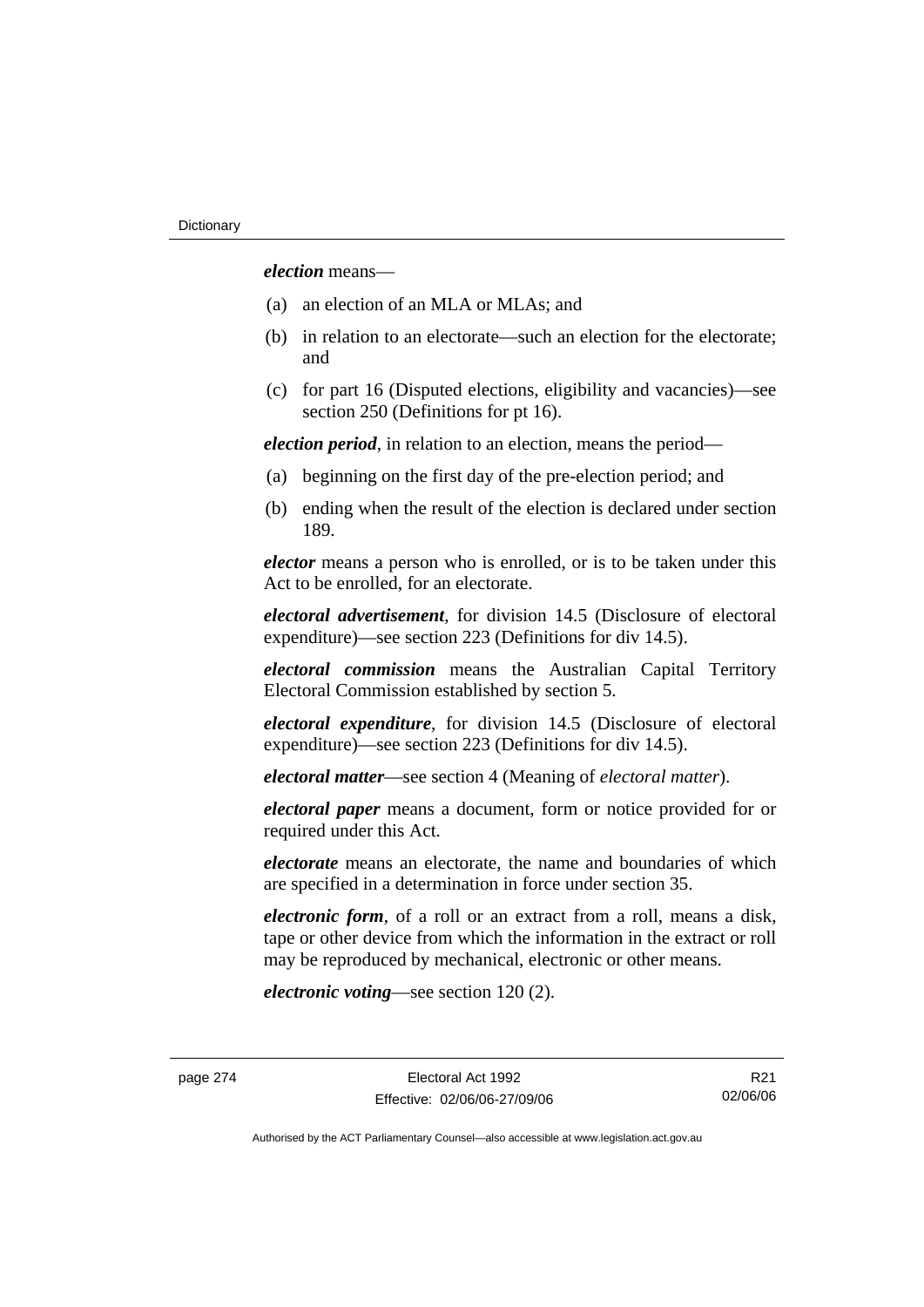*election* means—

- (a) an election of an MLA or MLAs; and
- (b) in relation to an electorate—such an election for the electorate; and
- (c) for part 16 (Disputed elections, eligibility and vacancies)—see section 250 (Definitions for pt 16).

*election period*, in relation to an election, means the period—

- (a) beginning on the first day of the pre-election period; and
- (b) ending when the result of the election is declared under section 189.

*elector* means a person who is enrolled, or is to be taken under this Act to be enrolled, for an electorate.

*electoral advertisement*, for division 14.5 (Disclosure of electoral expenditure)—see section 223 (Definitions for div 14.5).

*electoral commission* means the Australian Capital Territory Electoral Commission established by section 5.

*electoral expenditure*, for division 14.5 (Disclosure of electoral expenditure)—see section 223 (Definitions for div 14.5).

*electoral matter*—see section 4 (Meaning of *electoral matter*).

*electoral paper* means a document, form or notice provided for or required under this Act.

*electorate* means an electorate, the name and boundaries of which are specified in a determination in force under section 35.

*electronic form*, of a roll or an extract from a roll, means a disk, tape or other device from which the information in the extract or roll may be reproduced by mechanical, electronic or other means.

*electronic voting*—see section 120 (2).

R21 02/06/06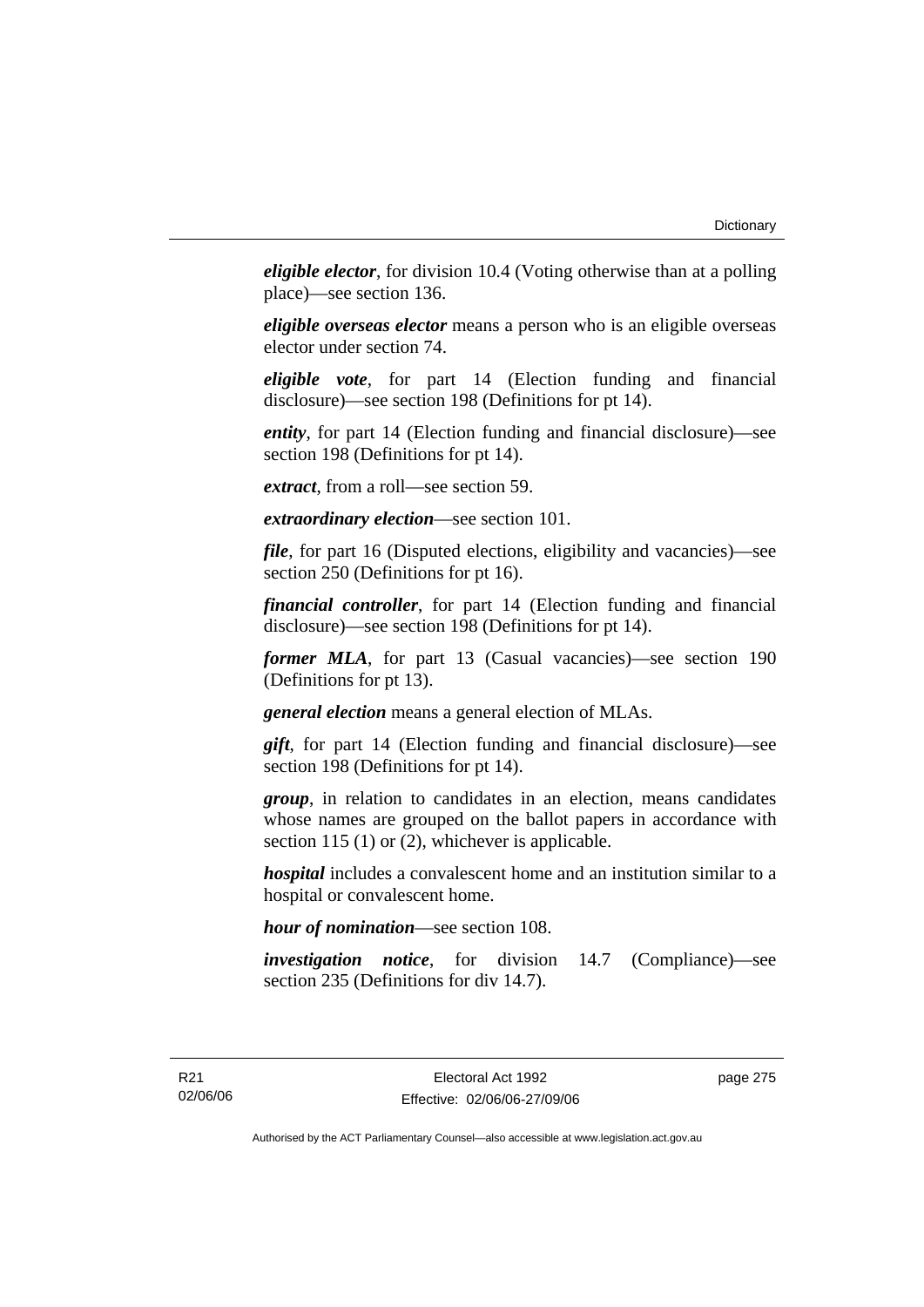*eligible elector*, for division 10.4 (Voting otherwise than at a polling place)—see section 136.

*eligible overseas elector* means a person who is an eligible overseas elector under section 74.

*eligible vote*, for part 14 (Election funding and financial disclosure)—see section 198 (Definitions for pt 14).

*entity*, for part 14 (Election funding and financial disclosure)—see section 198 (Definitions for pt 14).

*extract*, from a roll—see section 59.

*extraordinary election*—see section 101.

*file*, for part 16 (Disputed elections, eligibility and vacancies)—see section 250 (Definitions for pt 16).

*financial controller*, for part 14 (Election funding and financial disclosure)—see section 198 (Definitions for pt 14).

*former MLA*, for part 13 (Casual vacancies)—see section 190 (Definitions for pt 13).

*general election* means a general election of MLAs.

*gift*, for part 14 (Election funding and financial disclosure)—see section 198 (Definitions for pt 14).

*group*, in relation to candidates in an election, means candidates whose names are grouped on the ballot papers in accordance with section 115 (1) or (2), whichever is applicable.

*hospital* includes a convalescent home and an institution similar to a hospital or convalescent home.

*hour of nomination*—see section 108.

*investigation notice*, for division 14.7 (Compliance)—see section 235 (Definitions for div 14.7).

page 275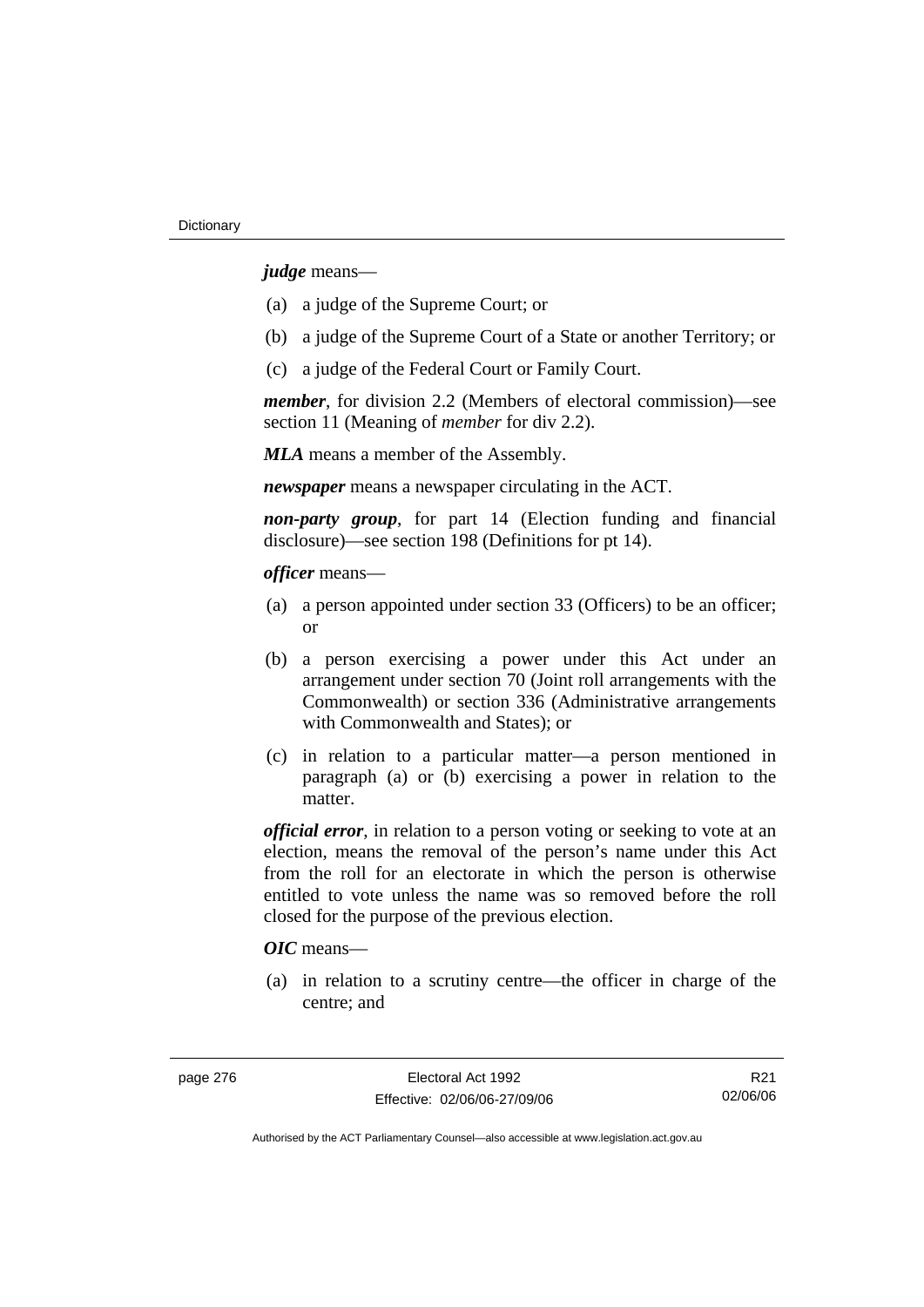*judge* means—

- (a) a judge of the Supreme Court; or
- (b) a judge of the Supreme Court of a State or another Territory; or
- (c) a judge of the Federal Court or Family Court.

*member*, for division 2.2 (Members of electoral commission)—see section 11 (Meaning of *member* for div 2.2).

*MLA* means a member of the Assembly.

*newspaper* means a newspaper circulating in the ACT.

*non-party group*, for part 14 (Election funding and financial disclosure)—see section 198 (Definitions for pt 14).

*officer* means—

- (a) a person appointed under section 33 (Officers) to be an officer; or
- (b) a person exercising a power under this Act under an arrangement under section 70 (Joint roll arrangements with the Commonwealth) or section 336 (Administrative arrangements with Commonwealth and States); or
- (c) in relation to a particular matter—a person mentioned in paragraph (a) or (b) exercising a power in relation to the matter.

*official error*, in relation to a person voting or seeking to vote at an election, means the removal of the person's name under this Act from the roll for an electorate in which the person is otherwise entitled to vote unless the name was so removed before the roll closed for the purpose of the previous election.

# *OIC* means—

 (a) in relation to a scrutiny centre—the officer in charge of the centre; and

R21 02/06/06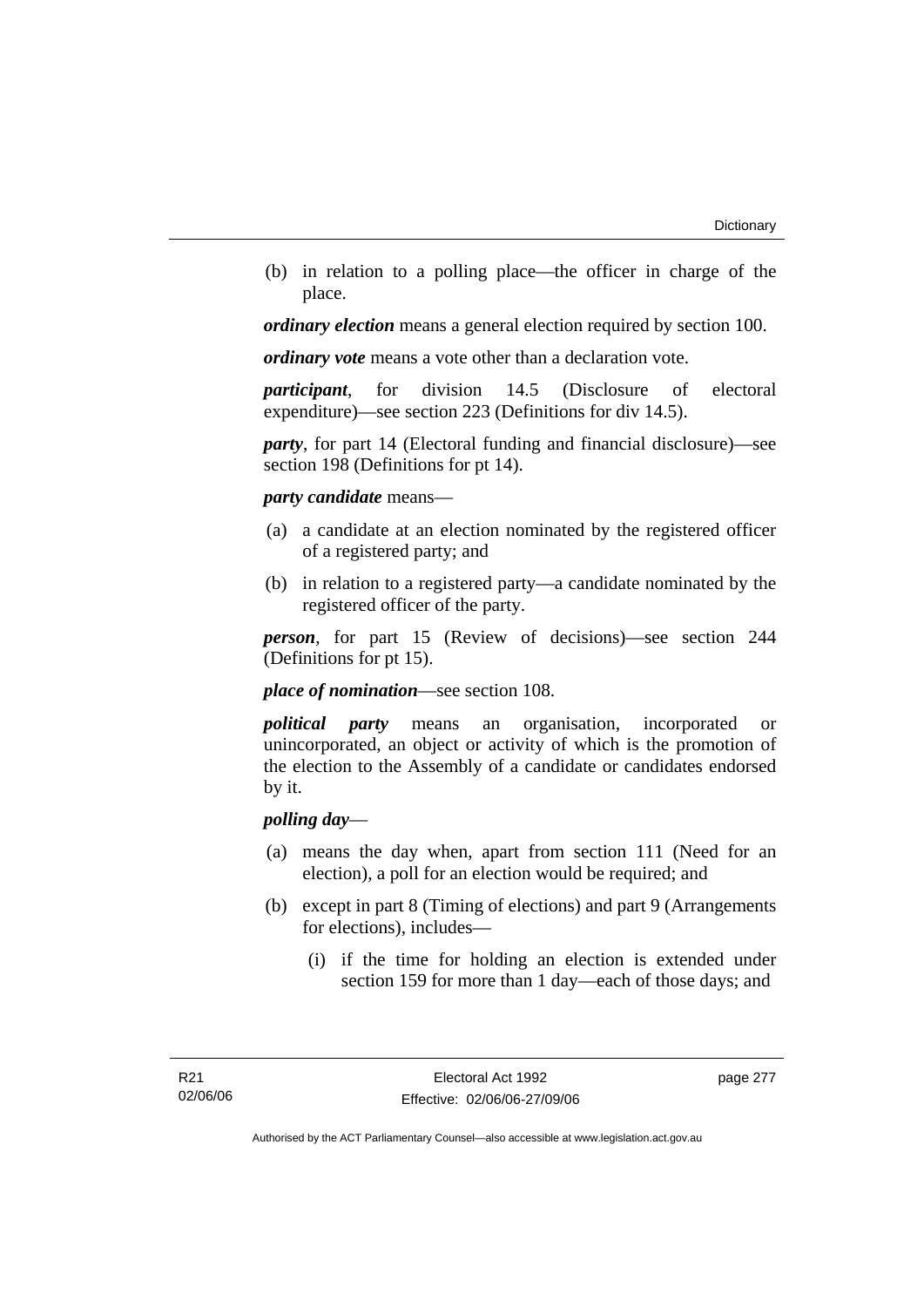(b) in relation to a polling place—the officer in charge of the place.

*ordinary election* means a general election required by section 100.

*ordinary vote* means a vote other than a declaration vote.

*participant*, for division 14.5 (Disclosure of electoral expenditure)—see section 223 (Definitions for div 14.5).

*party*, for part 14 (Electoral funding and financial disclosure)—see section 198 (Definitions for pt 14).

### *party candidate* means—

- (a) a candidate at an election nominated by the registered officer of a registered party; and
- (b) in relation to a registered party—a candidate nominated by the registered officer of the party.

*person*, for part 15 (Review of decisions)—see section 244 (Definitions for pt 15).

*place of nomination*—see section 108.

*political party* means an organisation, incorporated or unincorporated, an object or activity of which is the promotion of the election to the Assembly of a candidate or candidates endorsed by it.

# *polling day*—

- (a) means the day when, apart from section 111 (Need for an election), a poll for an election would be required; and
- (b) except in part 8 (Timing of elections) and part 9 (Arrangements for elections), includes—
	- (i) if the time for holding an election is extended under section 159 for more than 1 day—each of those days; and

page 277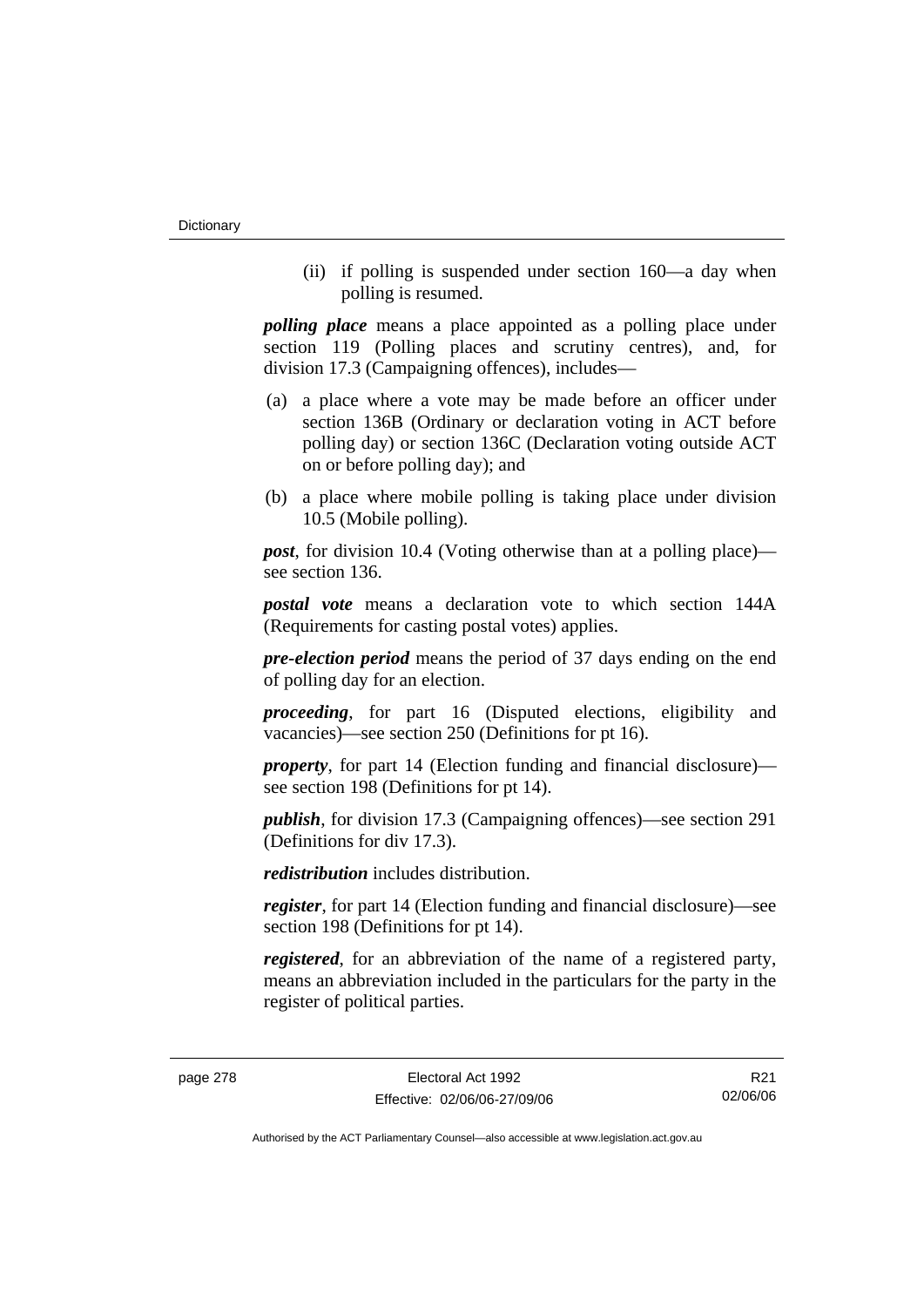(ii) if polling is suspended under section 160—a day when polling is resumed.

*polling place* means a place appointed as a polling place under section 119 (Polling places and scrutiny centres), and, for division 17.3 (Campaigning offences), includes—

- (a) a place where a vote may be made before an officer under section 136B (Ordinary or declaration voting in ACT before polling day) or section 136C (Declaration voting outside ACT on or before polling day); and
- (b) a place where mobile polling is taking place under division 10.5 (Mobile polling).

*post*, for division 10.4 (Voting otherwise than at a polling place) see section 136.

*postal vote* means a declaration vote to which section 144A (Requirements for casting postal votes) applies.

*pre-election period* means the period of 37 days ending on the end of polling day for an election.

*proceeding*, for part 16 (Disputed elections, eligibility and vacancies)—see section 250 (Definitions for pt 16).

*property*, for part 14 (Election funding and financial disclosure) see section 198 (Definitions for pt 14).

*publish*, for division 17.3 (Campaigning offences)—see section 291 (Definitions for div 17.3).

*redistribution* includes distribution.

*register*, for part 14 (Election funding and financial disclosure)—see section 198 (Definitions for pt 14).

*registered*, for an abbreviation of the name of a registered party, means an abbreviation included in the particulars for the party in the register of political parties.

R21 02/06/06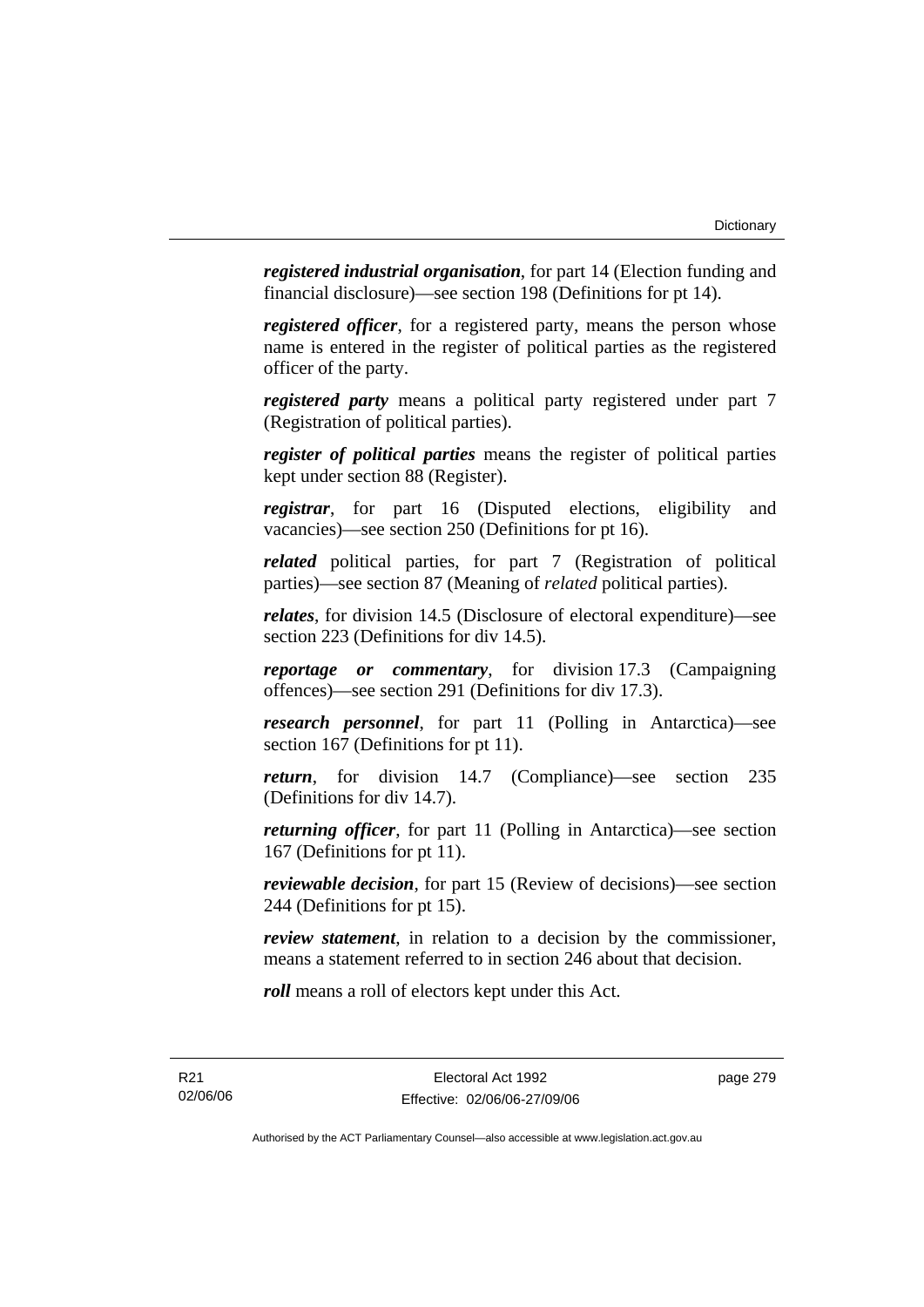*registered industrial organisation*, for part 14 (Election funding and financial disclosure)—see section 198 (Definitions for pt 14).

*registered officer*, for a registered party, means the person whose name is entered in the register of political parties as the registered officer of the party.

*registered party* means a political party registered under part 7 (Registration of political parties).

*register of political parties* means the register of political parties kept under section 88 (Register).

*registrar*, for part 16 (Disputed elections, eligibility and vacancies)—see section 250 (Definitions for pt 16).

*related* political parties, for part 7 (Registration of political parties)—see section 87 (Meaning of *related* political parties).

*relates*, for division 14.5 (Disclosure of electoral expenditure)—see section 223 (Definitions for div 14.5).

*reportage or commentary*, for division 17.3 (Campaigning offences)—see section 291 (Definitions for div 17.3).

*research personnel*, for part 11 (Polling in Antarctica)—see section 167 (Definitions for pt 11).

*return*, for division 14.7 (Compliance)—see section 235 (Definitions for div 14.7).

*returning officer*, for part 11 (Polling in Antarctica)—see section 167 (Definitions for pt 11).

*reviewable decision*, for part 15 (Review of decisions)—see section 244 (Definitions for pt 15).

*review statement*, in relation to a decision by the commissioner, means a statement referred to in section 246 about that decision.

*roll* means a roll of electors kept under this Act.

R21 02/06/06 page 279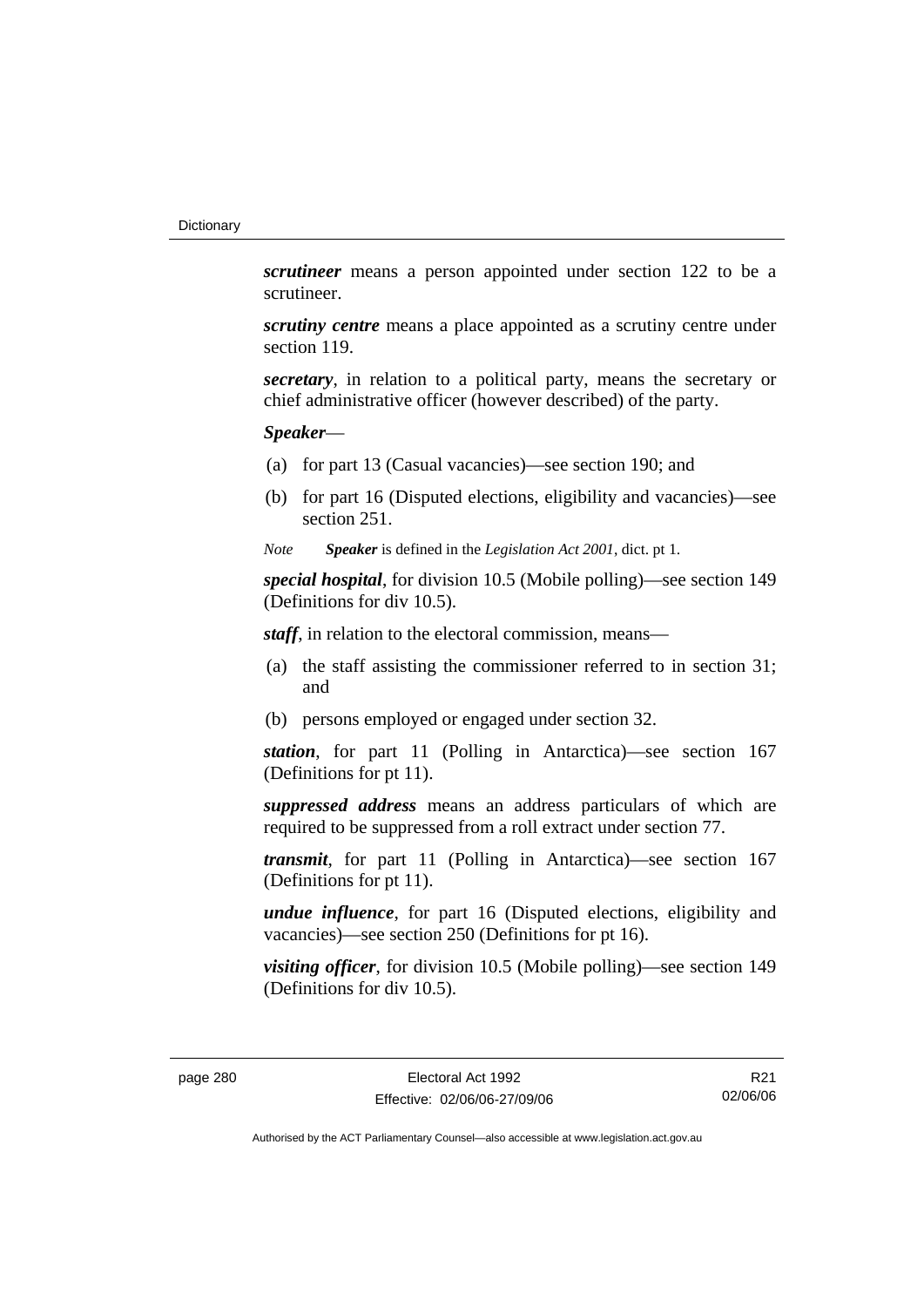*scrutineer* means a person appointed under section 122 to be a scrutineer.

*scrutiny centre* means a place appointed as a scrutiny centre under section 119.

*secretary*, in relation to a political party, means the secretary or chief administrative officer (however described) of the party.

*Speaker*—

- (a) for part 13 (Casual vacancies)—see section 190; and
- (b) for part 16 (Disputed elections, eligibility and vacancies)—see section 251.

*Note Speaker* is defined in the *Legislation Act 2001*, dict. pt 1.

*special hospital*, for division 10.5 (Mobile polling)—see section 149 (Definitions for div 10.5).

*staff*, in relation to the electoral commission, means—

- (a) the staff assisting the commissioner referred to in section 31; and
- (b) persons employed or engaged under section 32.

*station*, for part 11 (Polling in Antarctica)—see section 167 (Definitions for pt 11).

*suppressed address* means an address particulars of which are required to be suppressed from a roll extract under section 77.

*transmit*, for part 11 (Polling in Antarctica)—see section 167 (Definitions for pt 11).

*undue influence*, for part 16 (Disputed elections, eligibility and vacancies)—see section 250 (Definitions for pt 16).

*visiting officer*, for division 10.5 (Mobile polling)—see section 149 (Definitions for div 10.5).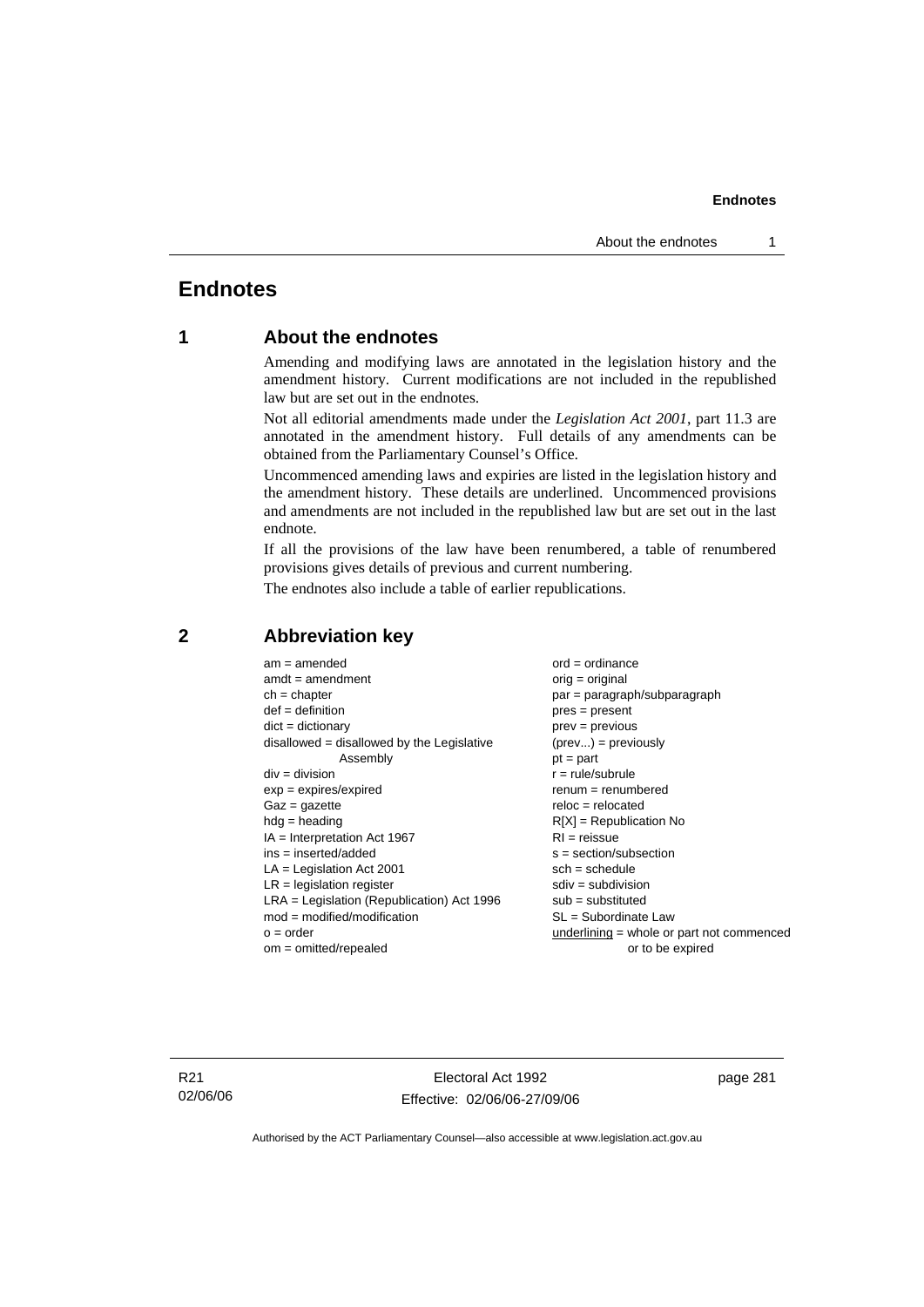# **Endnotes**

# **1 About the endnotes**

Amending and modifying laws are annotated in the legislation history and the amendment history. Current modifications are not included in the republished law but are set out in the endnotes.

Not all editorial amendments made under the *Legislation Act 2001*, part 11.3 are annotated in the amendment history. Full details of any amendments can be obtained from the Parliamentary Counsel's Office.

Uncommenced amending laws and expiries are listed in the legislation history and the amendment history. These details are underlined. Uncommenced provisions and amendments are not included in the republished law but are set out in the last endnote.

If all the provisions of the law have been renumbered, a table of renumbered provisions gives details of previous and current numbering.

The endnotes also include a table of earlier republications.

| $am = amended$                               | $ord = ordinance$                         |
|----------------------------------------------|-------------------------------------------|
| $amdt = amendment$                           | orig = original                           |
| $ch = chapter$                               | $par = paragraph/subparagraph$            |
| $def = definition$                           | $pres = present$                          |
| $dict = dictionary$                          | $prev = previous$                         |
| disallowed = disallowed by the Legislative   | $(\text{prev}) = \text{previously}$       |
| Assembly                                     | $pt = part$                               |
| $div = division$                             | $r = rule/subrule$                        |
| $exp = expires/expired$                      | $renum = renumbered$                      |
| $Gaz = gazette$                              | $reloc = relocated$                       |
| $hdg =$ heading                              | $R[X]$ = Republication No                 |
| $IA = Interpretation Act 1967$               | $RI = reissue$                            |
| $ins = inserted/added$                       | $s = section/subsection$                  |
| $LA =$ Legislation Act 2001                  | $sch = schedule$                          |
| $LR =$ legislation register                  | $sdiv = subdivision$                      |
| $LRA =$ Legislation (Republication) Act 1996 | $sub = substituted$                       |
| $mod = modified/modification$                | SL = Subordinate Law                      |
| $o = order$                                  | underlining = whole or part not commenced |
| $om = omitted/repealed$                      | or to be expired                          |
|                                              |                                           |

# **2 Abbreviation key**

R21 02/06/06

Electoral Act 1992 Effective: 02/06/06-27/09/06 page 281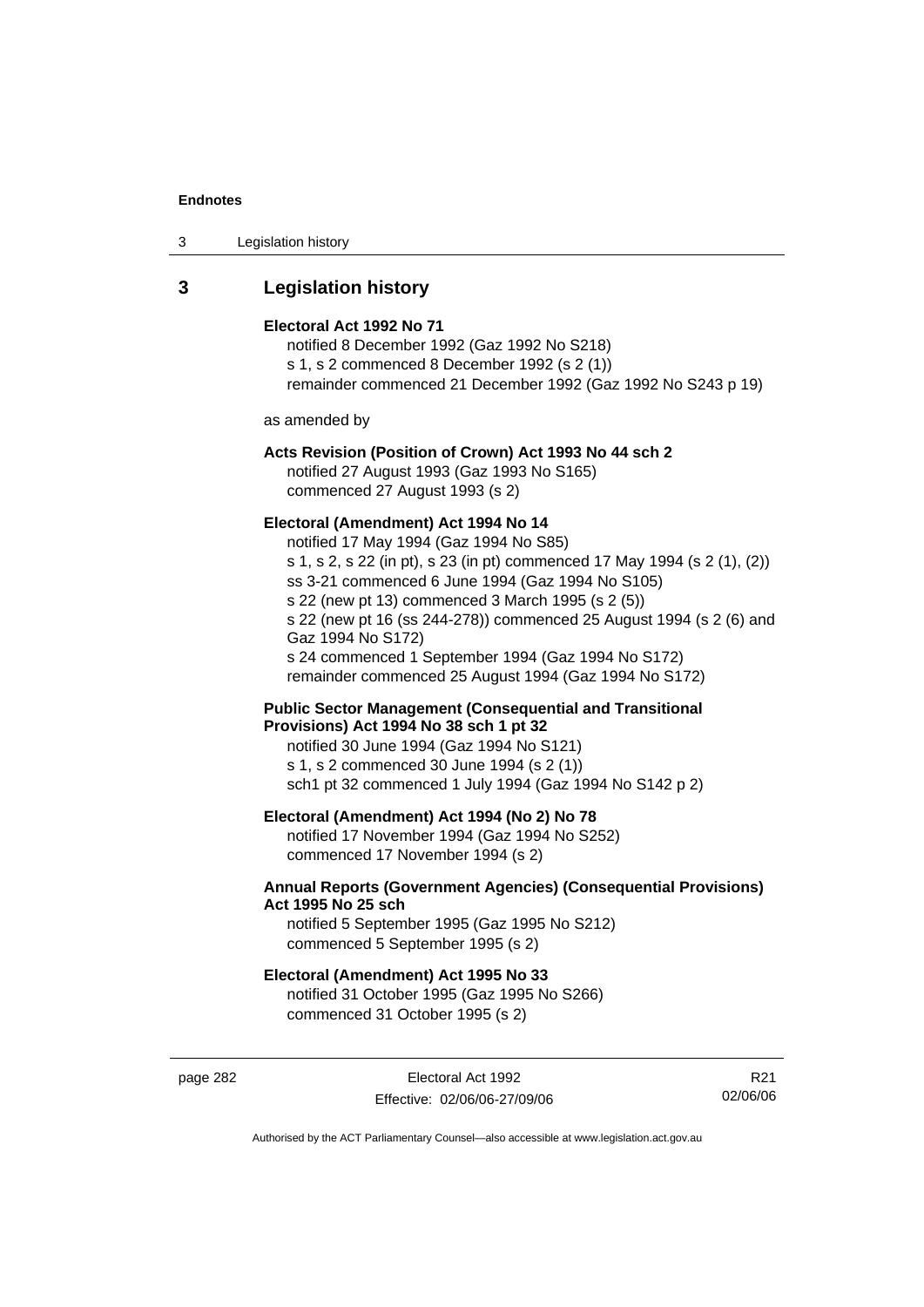| Legislation history<br>3 |  |
|--------------------------|--|
|--------------------------|--|

# **3 Legislation history**

#### **Electoral Act 1992 No 71**

notified 8 December 1992 (Gaz 1992 No S218) s 1, s 2 commenced 8 December 1992 (s 2 (1)) remainder commenced 21 December 1992 (Gaz 1992 No S243 p 19)

as amended by

# **Acts Revision (Position of Crown) Act 1993 No 44 sch 2**

notified 27 August 1993 (Gaz 1993 No S165) commenced 27 August 1993 (s 2)

### **Electoral (Amendment) Act 1994 No 14**

notified 17 May 1994 (Gaz 1994 No S85) s 1, s 2, s 22 (in pt), s 23 (in pt) commenced 17 May 1994 (s 2 (1), (2)) ss 3-21 commenced 6 June 1994 (Gaz 1994 No S105) s 22 (new pt 13) commenced 3 March 1995 (s 2 (5)) s 22 (new pt 16 (ss 244-278)) commenced 25 August 1994 (s 2 (6) and Gaz 1994 No S172) s 24 commenced 1 September 1994 (Gaz 1994 No S172) remainder commenced 25 August 1994 (Gaz 1994 No S172)

**Public Sector Management (Consequential and Transitional Provisions) Act 1994 No 38 sch 1 pt 32** 

notified 30 June 1994 (Gaz 1994 No S121) s 1, s 2 commenced 30 June 1994 (s 2 (1)) sch1 pt 32 commenced 1 July 1994 (Gaz 1994 No S142 p 2)

### **Electoral (Amendment) Act 1994 (No 2) No 78**

notified 17 November 1994 (Gaz 1994 No S252) commenced 17 November 1994 (s 2)

### **Annual Reports (Government Agencies) (Consequential Provisions) Act 1995 No 25 sch**

notified 5 September 1995 (Gaz 1995 No S212) commenced 5 September 1995 (s 2)

### **Electoral (Amendment) Act 1995 No 33**

notified 31 October 1995 (Gaz 1995 No S266) commenced 31 October 1995 (s 2)

page 282 **Electoral Act 1992** Effective: 02/06/06-27/09/06

R21 02/06/06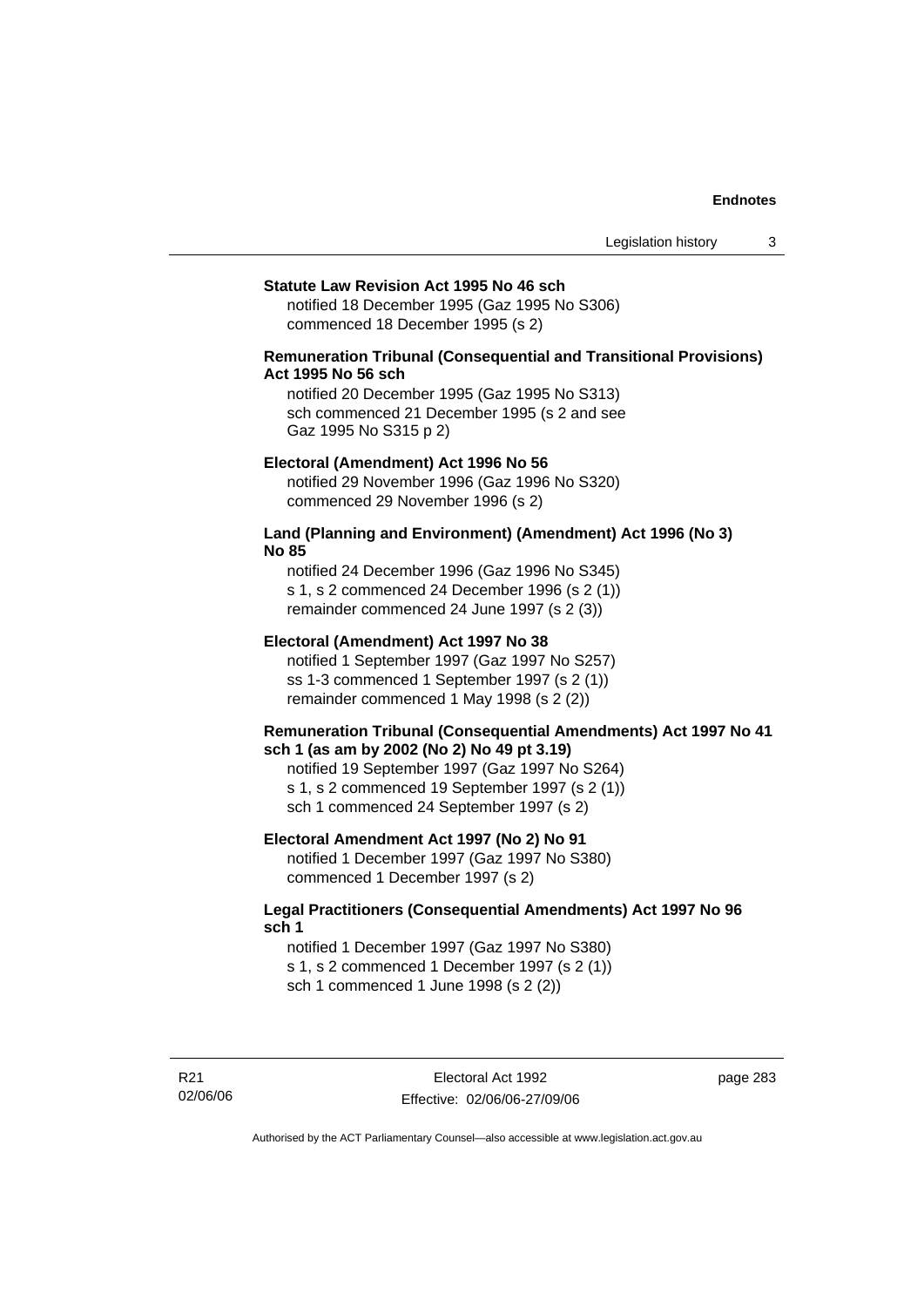#### **Statute Law Revision Act 1995 No 46 sch**

notified 18 December 1995 (Gaz 1995 No S306) commenced 18 December 1995 (s 2)

## **Remuneration Tribunal (Consequential and Transitional Provisions) Act 1995 No 56 sch**

notified 20 December 1995 (Gaz 1995 No S313) sch commenced 21 December 1995 (s 2 and see Gaz 1995 No S315 p 2)

#### **Electoral (Amendment) Act 1996 No 56**

notified 29 November 1996 (Gaz 1996 No S320) commenced 29 November 1996 (s 2)

### **Land (Planning and Environment) (Amendment) Act 1996 (No 3) No 85**

notified 24 December 1996 (Gaz 1996 No S345) s 1, s 2 commenced 24 December 1996 (s 2 (1)) remainder commenced 24 June 1997 (s 2 (3))

#### **Electoral (Amendment) Act 1997 No 38**

notified 1 September 1997 (Gaz 1997 No S257) ss 1-3 commenced 1 September 1997 (s 2 (1)) remainder commenced 1 May 1998 (s 2 (2))

### **Remuneration Tribunal (Consequential Amendments) Act 1997 No 41 sch 1 (as am by 2002 (No 2) No 49 pt 3.19)**

notified 19 September 1997 (Gaz 1997 No S264) s 1, s 2 commenced 19 September 1997 (s 2 (1)) sch 1 commenced 24 September 1997 (s 2)

#### **Electoral Amendment Act 1997 (No 2) No 91**

notified 1 December 1997 (Gaz 1997 No S380) commenced 1 December 1997 (s 2)

### **Legal Practitioners (Consequential Amendments) Act 1997 No 96 sch 1**

notified 1 December 1997 (Gaz 1997 No S380) s 1, s 2 commenced 1 December 1997 (s 2 (1)) sch 1 commenced 1 June 1998 (s 2 (2))

R21 02/06/06 page 283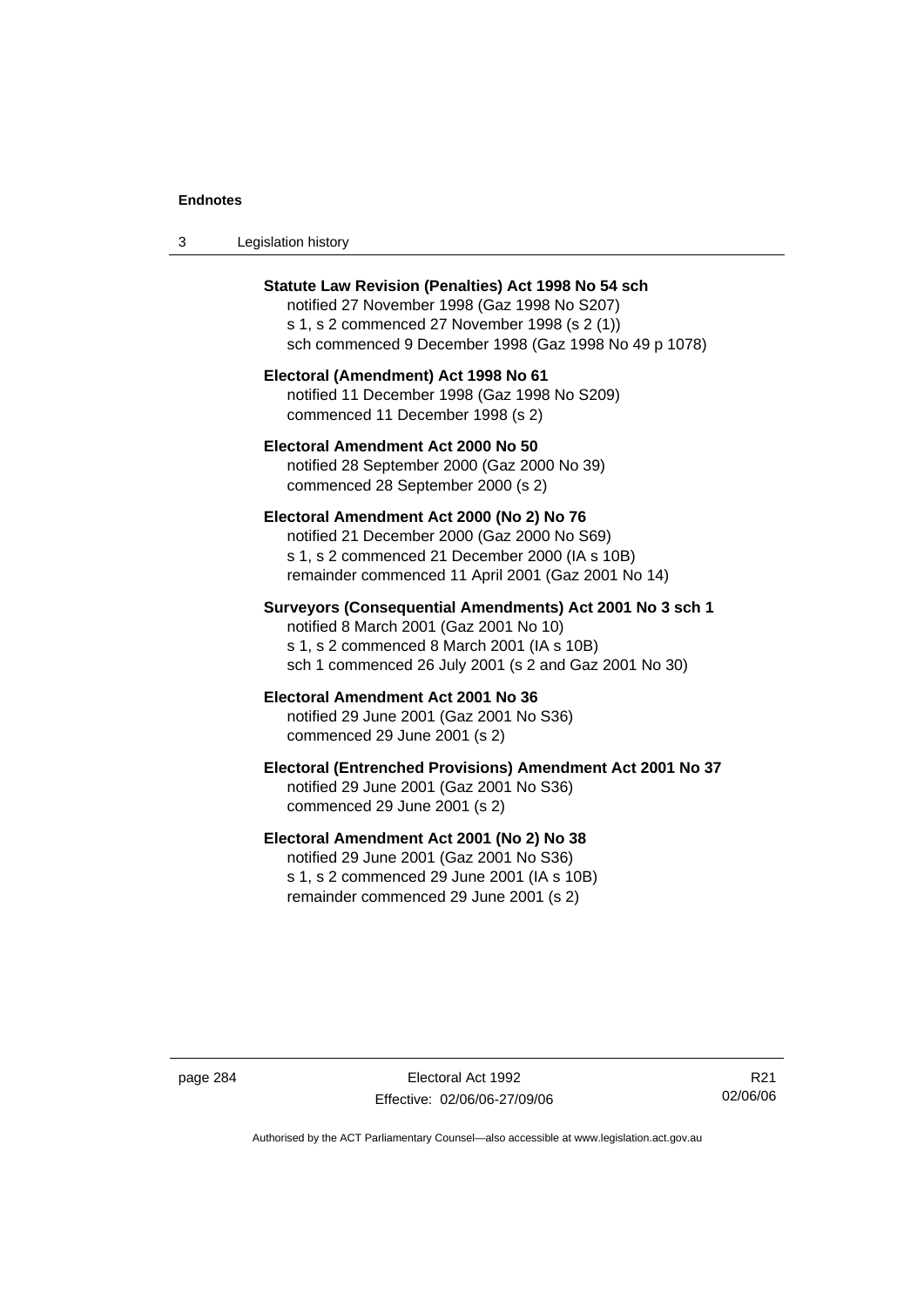| Legislation history<br>-3 |  |
|---------------------------|--|
|---------------------------|--|

| <b>Statute Law Revision (Penalties) Act 1998 No 54 sch</b><br>notified 27 November 1998 (Gaz 1998 No S207)<br>s 1, s 2 commenced 27 November 1998 (s 2 (1))<br>sch commenced 9 December 1998 (Gaz 1998 No 49 p 1078) |
|----------------------------------------------------------------------------------------------------------------------------------------------------------------------------------------------------------------------|
| Electoral (Amendment) Act 1998 No 61<br>notified 11 December 1998 (Gaz 1998 No S209)<br>commenced 11 December 1998 (s 2)                                                                                             |
| Electoral Amendment Act 2000 No 50<br>notified 28 September 2000 (Gaz 2000 No 39)<br>commenced 28 September 2000 (s 2)                                                                                               |
| Electoral Amendment Act 2000 (No 2) No 76<br>notified 21 December 2000 (Gaz 2000 No S69)<br>s 1, s 2 commenced 21 December 2000 (IA s 10B)<br>remainder commenced 11 April 2001 (Gaz 2001 No 14)                     |
| Surveyors (Consequential Amendments) Act 2001 No 3 sch 1<br>notified 8 March 2001 (Gaz 2001 No 10)<br>s 1, s 2 commenced 8 March 2001 (IA s 10B)<br>sch 1 commenced 26 July 2001 (s 2 and Gaz 2001 No 30)            |
| Electoral Amendment Act 2001 No 36<br>notified 29 June 2001 (Gaz 2001 No S36)<br>commenced 29 June 2001 (s 2)                                                                                                        |
| Electoral (Entrenched Provisions) Amendment Act 2001 No 37<br>notified 29 June 2001 (Gaz 2001 No S36)                                                                                                                |
| commenced 29 June 2001 (s 2)                                                                                                                                                                                         |

page 284 Electoral Act 1992 Effective: 02/06/06-27/09/06

R21 02/06/06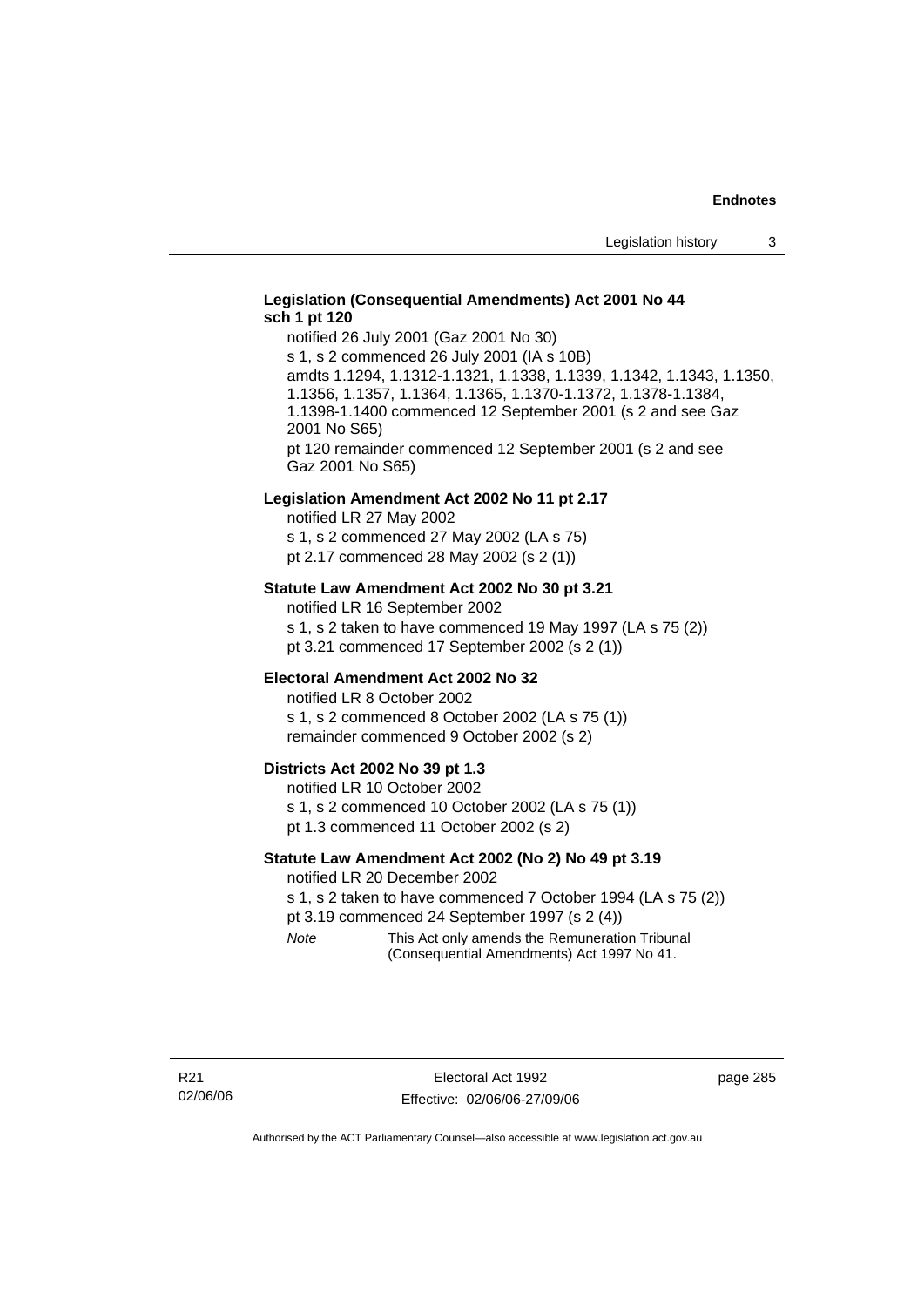# **Legislation (Consequential Amendments) Act 2001 No 44 sch 1 pt 120**

notified 26 July 2001 (Gaz 2001 No 30) s 1, s 2 commenced 26 July 2001 (IA s 10B) amdts 1.1294, 1.1312-1.1321, 1.1338, 1.1339, 1.1342, 1.1343, 1.1350, 1.1356, 1.1357, 1.1364, 1.1365, 1.1370-1.1372, 1.1378-1.1384, 1.1398-1.1400 commenced 12 September 2001 (s 2 and see Gaz 2001 No S65) pt 120 remainder commenced 12 September 2001 (s 2 and see Gaz 2001 No S65)

### **Legislation Amendment Act 2002 No 11 pt 2.17**

notified LR 27 May 2002 s 1, s 2 commenced 27 May 2002 (LA s 75) pt 2.17 commenced 28 May 2002 (s 2 (1))

### **Statute Law Amendment Act 2002 No 30 pt 3.21**

notified LR 16 September 2002 s 1, s 2 taken to have commenced 19 May 1997 (LA s 75 (2)) pt 3.21 commenced 17 September 2002 (s 2 (1))

#### **Electoral Amendment Act 2002 No 32**

notified LR 8 October 2002 s 1, s 2 commenced 8 October 2002 (LA s 75 (1)) remainder commenced 9 October 2002 (s 2)

#### **Districts Act 2002 No 39 pt 1.3**

notified LR 10 October 2002 s 1, s 2 commenced 10 October 2002 (LA s 75 (1)) pt 1.3 commenced 11 October 2002 (s 2)

### **Statute Law Amendment Act 2002 (No 2) No 49 pt 3.19**

notified LR 20 December 2002

s 1, s 2 taken to have commenced 7 October 1994 (LA s 75 (2)) pt 3.19 commenced 24 September 1997 (s 2 (4))

*Note* This Act only amends the Remuneration Tribunal (Consequential Amendments) Act 1997 No 41.

page 285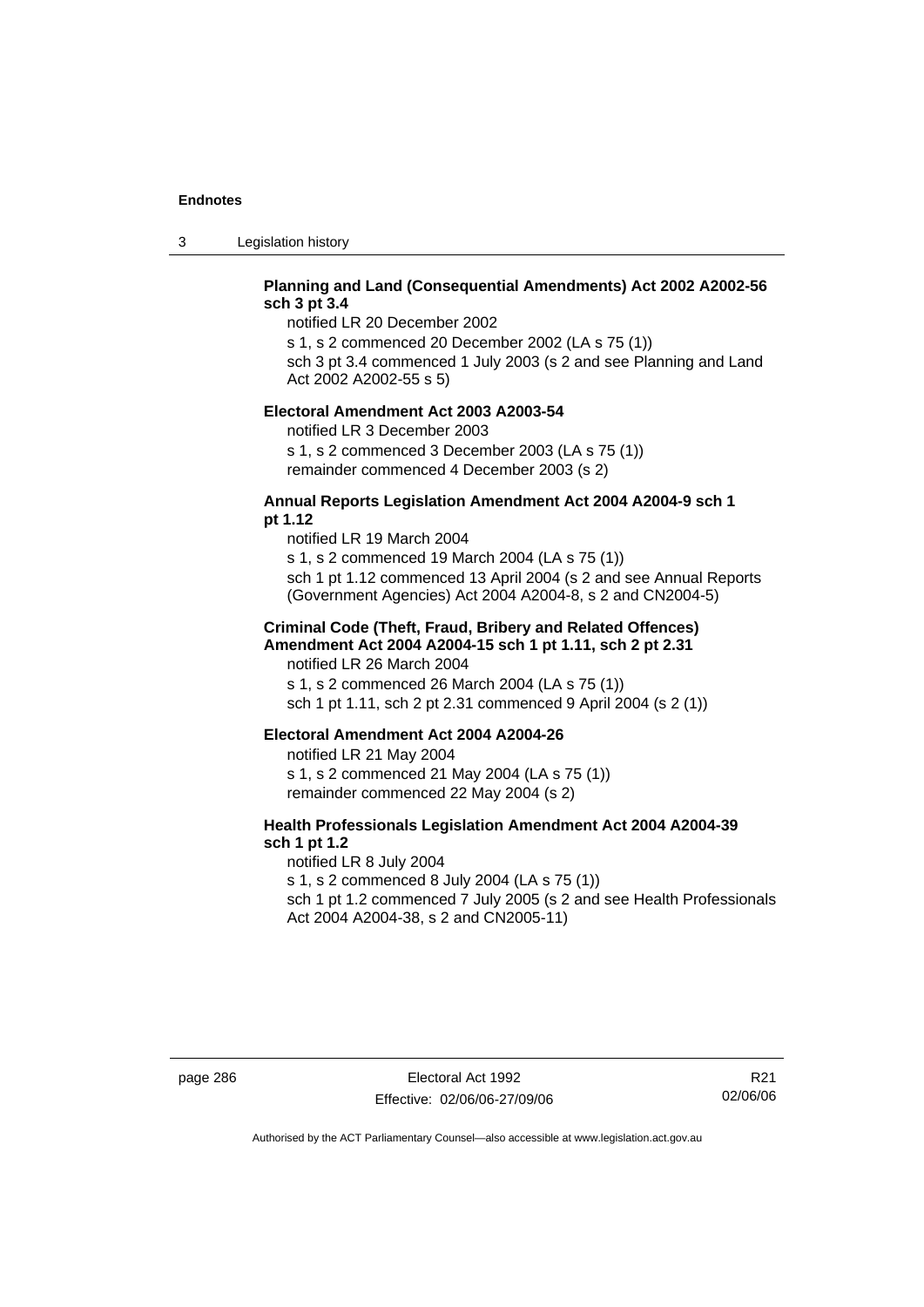3 Legislation history

# **Planning and Land (Consequential Amendments) Act 2002 A2002-56 sch 3 pt 3.4**

notified LR 20 December 2002

s 1, s 2 commenced 20 December 2002 (LA s 75 (1)) sch 3 pt 3.4 commenced 1 July 2003 (s 2 and see Planning and Land

Act 2002 A2002-55 s 5)

### **Electoral Amendment Act 2003 A2003-54**

notified LR 3 December 2003 s 1, s 2 commenced 3 December 2003 (LA s 75 (1)) remainder commenced 4 December 2003 (s 2)

### **Annual Reports Legislation Amendment Act 2004 A2004-9 sch 1 pt 1.12**

notified LR 19 March 2004 s 1, s 2 commenced 19 March 2004 (LA s 75 (1)) sch 1 pt 1.12 commenced 13 April 2004 (s 2 and see Annual Reports (Government Agencies) Act 2004 A2004-8, s 2 and CN2004-5)

### **Criminal Code (Theft, Fraud, Bribery and Related Offences) Amendment Act 2004 A2004-15 sch 1 pt 1.11, sch 2 pt 2.31**

notified LR 26 March 2004 s 1, s 2 commenced 26 March 2004 (LA s 75 (1)) sch 1 pt 1.11, sch 2 pt 2.31 commenced 9 April 2004 (s 2 (1))

### **Electoral Amendment Act 2004 A2004-26**

notified LR 21 May 2004 s 1, s 2 commenced 21 May 2004 (LA s 75 (1)) remainder commenced 22 May 2004 (s 2)

# **Health Professionals Legislation Amendment Act 2004 A2004-39 sch 1 pt 1.2**

notified LR 8 July 2004 s 1, s 2 commenced 8 July 2004 (LA s 75 (1)) sch 1 pt 1.2 commenced 7 July 2005 (s 2 and see Health Professionals Act 2004 A2004-38, s 2 and CN2005-11)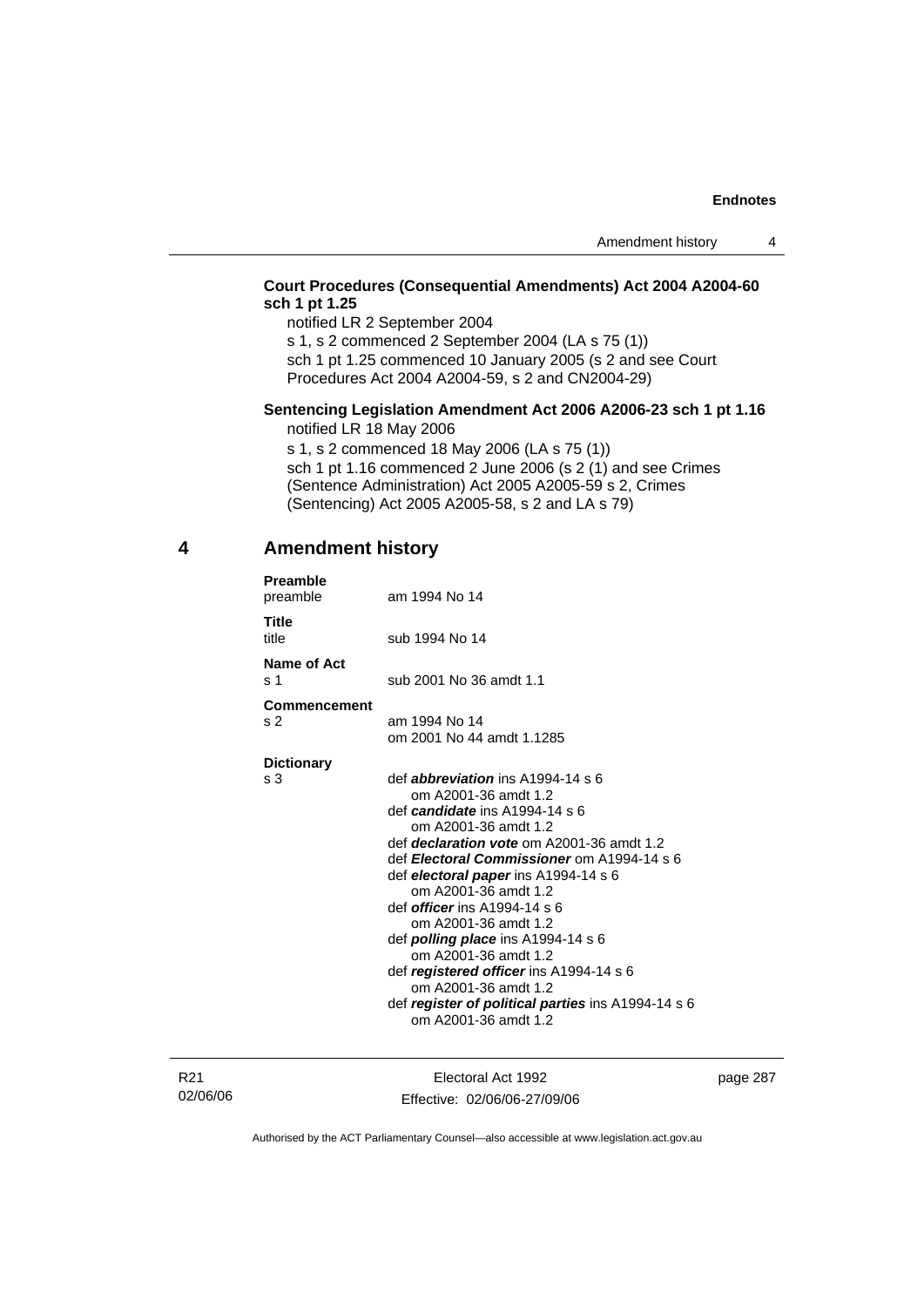# **Court Procedures (Consequential Amendments) Act 2004 A2004-60 sch 1 pt 1.25**

notified LR 2 September 2004

s 1, s 2 commenced 2 September 2004 (LA s 75 (1))

sch 1 pt 1.25 commenced 10 January 2005 (s 2 and see Court Procedures Act 2004 A2004-59, s 2 and CN2004-29)

### **Sentencing Legislation Amendment Act 2006 A2006-23 sch 1 pt 1.16**  notified LR 18 May 2006

s 1, s 2 commenced 18 May 2006 (LA s 75 (1)) sch 1 pt 1.16 commenced 2 June 2006 (s 2 (1) and see Crimes (Sentence Administration) Act 2005 A2005-59 s 2, Crimes (Sentencing) Act 2005 A2005-58, s 2 and LA s 79)

# **4 Amendment history**

| <b>Preamble</b><br>preamble   | am 1994 No 14                                                              |
|-------------------------------|----------------------------------------------------------------------------|
| <b>Title</b><br>title         | sub 1994 No 14                                                             |
| Name of Act<br>s <sub>1</sub> | sub 2001 No 36 amdt 1.1                                                    |
| <b>Commencement</b>           |                                                                            |
| s 2                           | am 1994 No 14                                                              |
|                               | om 2001 No 44 amdt 1.1285                                                  |
| <b>Dictionary</b>             |                                                                            |
| s 3                           | def <i>abbreviation</i> ins $A1994-14 s6$                                  |
|                               | om A2001-36 amdt 1.2                                                       |
|                               | def candidate ins A1994-14 s 6                                             |
|                               | om A2001-36 amdt 1.2                                                       |
|                               | def <i>declaration vote</i> om A2001-36 amdt 1.2                           |
|                               | def Electoral Commissioner om A1994-14 s 6                                 |
|                               | def electoral paper ins A1994-14 s 6                                       |
|                               | om A2001-36 amdt 1.2                                                       |
|                               | def <i>officer</i> ins A1994-14 s 6                                        |
|                               | om A2001-36 amdt 1.2                                                       |
|                               | def <b>polling place</b> ins $A1994-14 s 6$                                |
|                               | om A2001-36 amdt 1.2                                                       |
|                               | def registered officer ins A1994-14 s 6                                    |
|                               | om A2001-36 amdt 1.2                                                       |
|                               | def register of political parties ins A1994-14 s 6<br>om A2001-36 amdt 1.2 |
|                               |                                                                            |
|                               |                                                                            |

R21 02/06/06

Electoral Act 1992 Effective: 02/06/06-27/09/06 page 287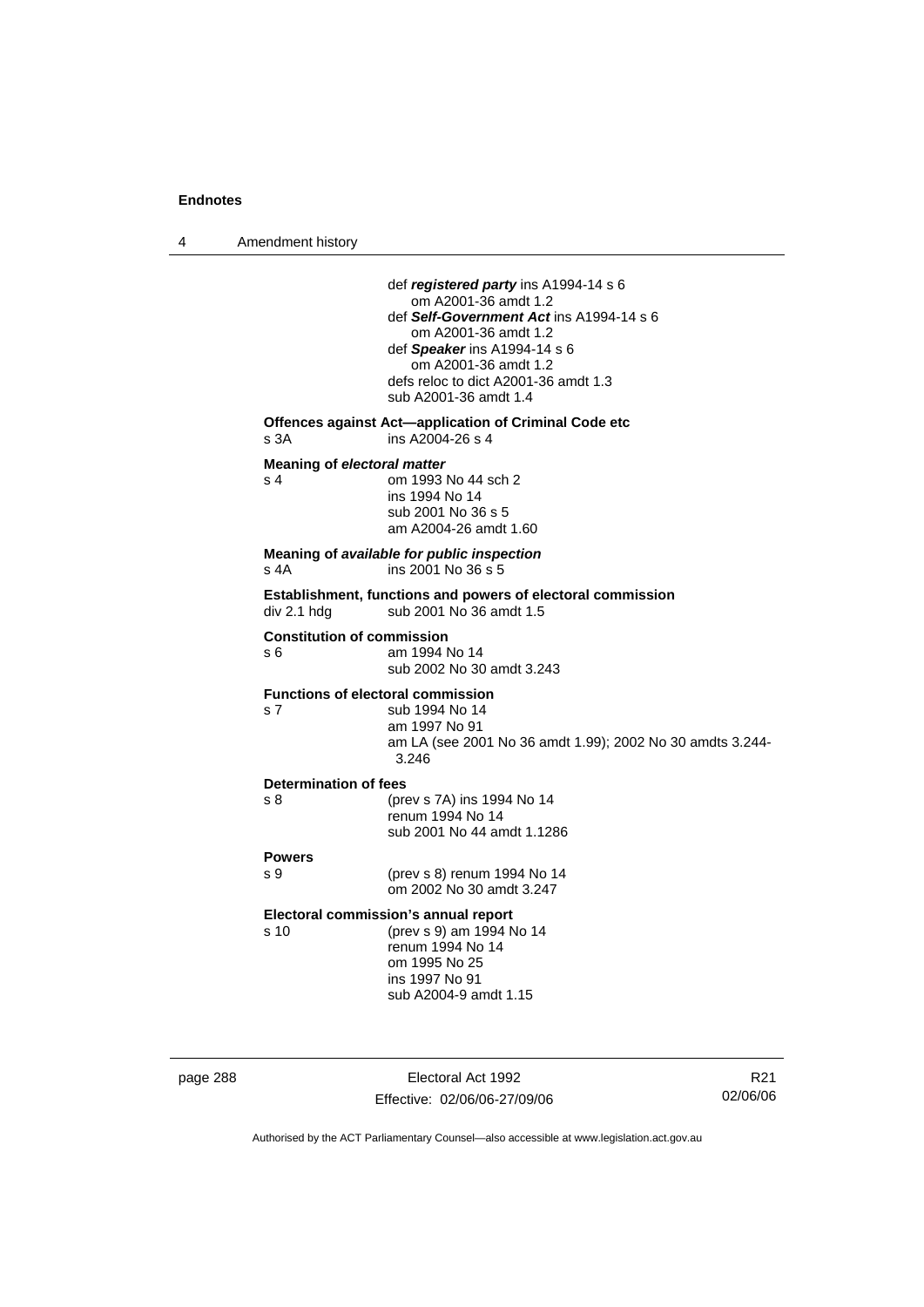4 Amendment history page 288 Electoral Act 1992 def *registered party* ins A1994-14 s 6 om A2001-36 amdt 1.2 def *Self-Government Act* ins A1994-14 s 6 om A2001-36 amdt 1.2 def *Speaker* ins A1994-14 s 6 om A2001-36 amdt 1.2 defs reloc to dict A2001-36 amdt 1.3 sub A2001-36 amdt 1.4 **Offences against Act—application of Criminal Code etc**  s 3A ins A2004-26 s 4 **Meaning of** *electoral matter* s 4 om 1993 No 44 sch 2 ins 1994 No 14 sub 2001 No 36 s 5 am A2004-26 amdt 1.60 **Meaning of** *available for public inspection* s 4A ins 2001 No 36 s 5 **Establishment, functions and powers of electoral commission**   $div 2.1$  hdg sub 2001 No 36 amdt 1.5 **Constitution of commission**  s 6 am 1994 No 14 sub 2002 No 30 amdt 3.243 **Functions of electoral commission**  s 7 sub 1994 No 14 am 1997 No 91 am LA (see 2001 No 36 amdt 1.99); 2002 No 30 amdts 3.244- 3.246 **Determination of fees**  s 8 (prev s 7A) ins 1994 No 14 renum 1994 No 14 sub 2001 No 44 amdt 1.1286 **Powers**  s 9 (prev s 8) renum 1994 No 14 om 2002 No 30 amdt 3.247 **Electoral commission's annual report**  s 10 (prev s 9) am 1994 No 14 renum 1994 No 14 om 1995 No 25 ins 1997 No 91 sub A2004-9 amdt 1.15

R21 02/06/06

Authorised by the ACT Parliamentary Counsel—also accessible at www.legislation.act.gov.au

Effective: 02/06/06-27/09/06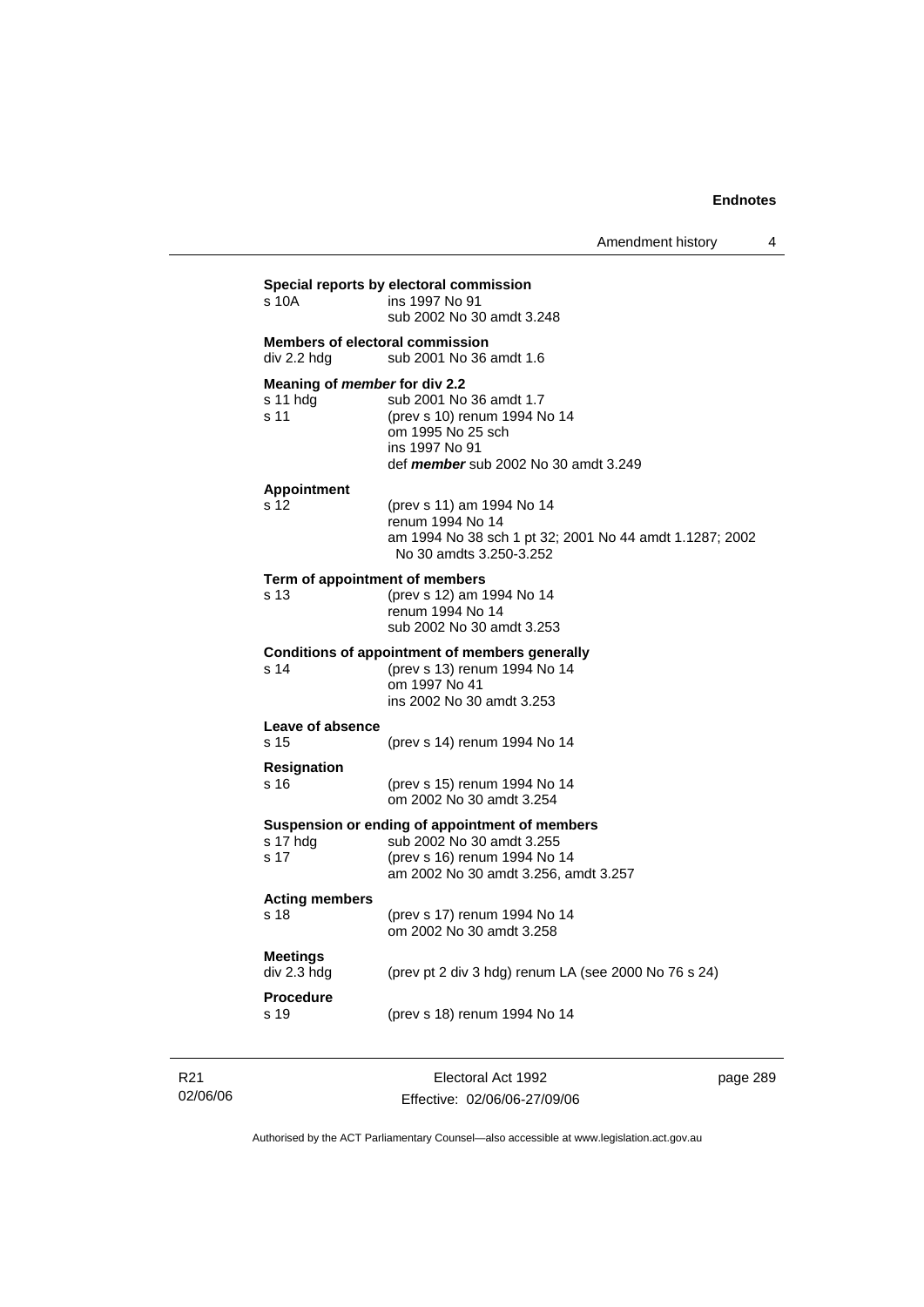| s 10A                          | ins 1997 No 91<br>sub 2002 No 30 amdt 3.248                                                                                                                             |
|--------------------------------|-------------------------------------------------------------------------------------------------------------------------------------------------------------------------|
| div 2.2 hdg                    | <b>Members of electoral commission</b><br>sub 2001 No 36 amdt 1.6                                                                                                       |
| s 11 hdg<br>s 11               | Meaning of member for div 2.2<br>sub 2001 No 36 amdt 1.7<br>(prev s 10) renum 1994 No 14<br>om 1995 No 25 sch<br>ins 1997 No 91<br>def member sub 2002 No 30 amdt 3.249 |
| <b>Appointment</b><br>s 12     | (prev s 11) am 1994 No 14<br>renum 1994 No 14<br>am 1994 No 38 sch 1 pt 32; 2001 No 44 amdt 1.1287; 2002<br>No 30 amdts 3.250-3.252                                     |
| s 13                           | Term of appointment of members<br>(prev s 12) am 1994 No 14<br>renum 1994 No 14<br>sub 2002 No 30 amdt 3.253                                                            |
| s 14                           | <b>Conditions of appointment of members generally</b><br>(prev s 13) renum 1994 No 14<br>om 1997 No 41<br>ins 2002 No 30 amdt 3.253                                     |
| Leave of absence<br>s 15       | (prev s 14) renum 1994 No 14                                                                                                                                            |
| <b>Resignation</b><br>s 16     | (prev s 15) renum 1994 No 14<br>om 2002 No 30 amdt 3.254                                                                                                                |
| s 17 hdg<br>s 17               | Suspension or ending of appointment of members<br>sub 2002 No 30 amdt 3.255<br>(prev s 16) renum 1994 No 14<br>am 2002 No 30 amdt 3.256, amdt 3.257                     |
| <b>Acting members</b><br>s 18  | (prev s 17) renum 1994 No 14<br>om 2002 No 30 amdt 3.258                                                                                                                |
| <b>Meetings</b><br>div 2.3 hdg | (prev pt 2 div 3 hdg) renum LA (see 2000 No 76 s 24)                                                                                                                    |
| <b>Procedure</b><br>s 19       | (prev s 18) renum 1994 No 14                                                                                                                                            |

R21 02/06/06

Electoral Act 1992 Effective: 02/06/06-27/09/06 page 289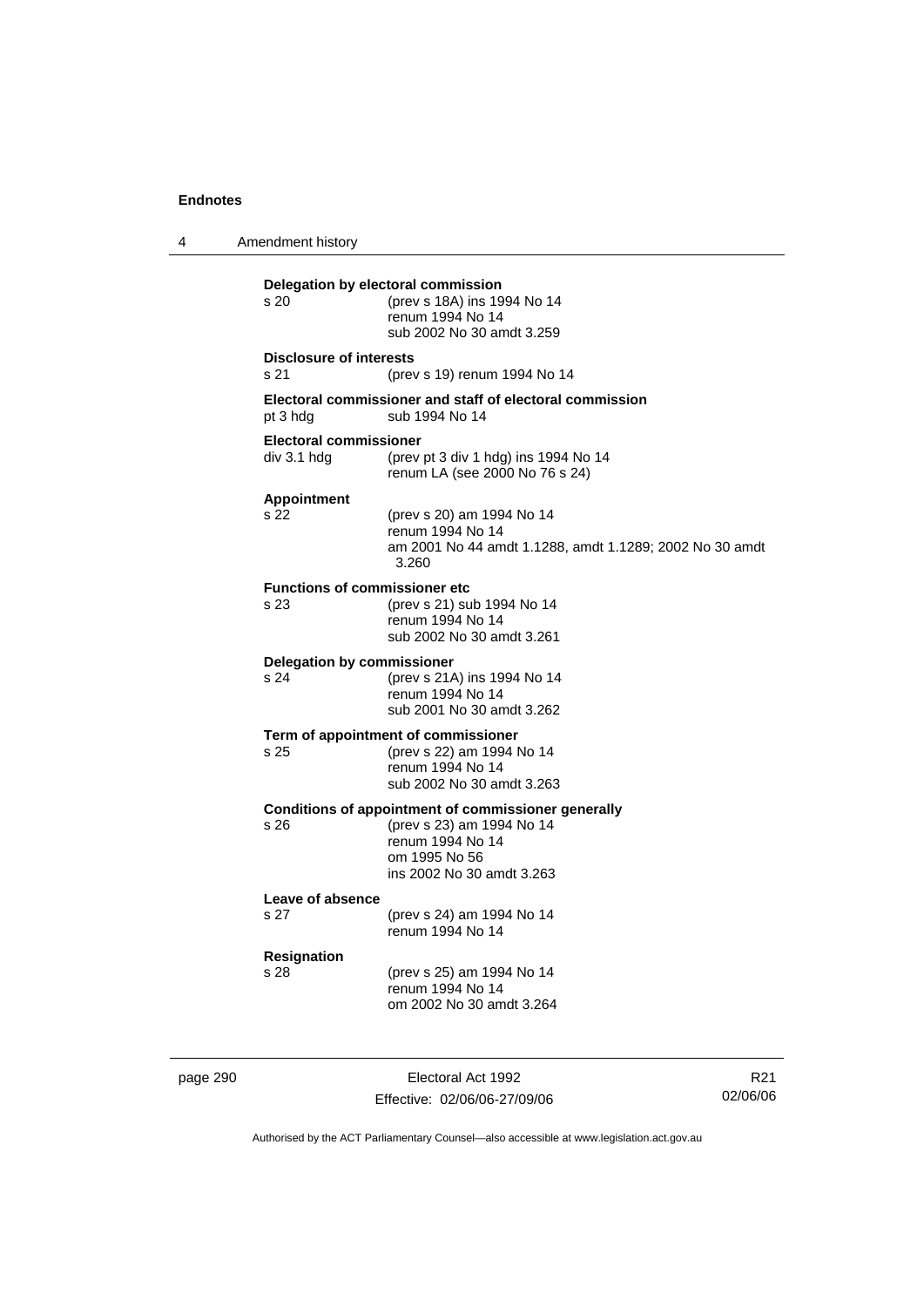4 Amendment history **Delegation by electoral commission**  s 20 (prev s 18A) ins 1994 No 14 renum 1994 No 14 sub 2002 No 30 amdt 3.259 **Disclosure of interests**  s 21 (prev s 19) renum 1994 No 14 **Electoral commissioner and staff of electoral commission**  pt 3 hdg sub 1994 No 14 **Electoral commissioner**  div 3.1 hdg (prev pt 3 div 1 hdg) ins 1994 No 14 renum LA (see 2000 No 76 s 24) **Appointment**  s 22 (prev s 20) am 1994 No 14 renum 1994 No 14 am 2001 No 44 amdt 1.1288, amdt 1.1289; 2002 No 30 amdt 3.260 **Functions of commissioner etc**  s 23 (prev s 21) sub 1994 No 14 renum 1994 No 14 sub 2002 No 30 amdt 3.261 **Delegation by commissioner**  s 24 (prev s 21A) ins 1994 No 14 renum 1994 No 14 sub 2001 No 30 amdt 3.262 **Term of appointment of commissioner**  s 25 (prev s 22) am 1994 No 14 renum 1994 No 14 sub 2002 No 30 amdt 3.263 **Conditions of appointment of commissioner generally**<br>
s 26 (prev s 23) am 1994 No 14 s 26 (prev s 23) am 1994 No 14 renum 1994 No 14 om 1995 No 56 ins 2002 No 30 amdt 3.263 **Leave of absence**  s 27 (prev s 24) am 1994 No 14 renum 1994 No 14 **Resignation**  s 28 (prev s 25) am 1994 No 14 renum 1994 No 14 om 2002 No 30 amdt 3.264

page 290 **Electoral Act 1992** Effective: 02/06/06-27/09/06

R21 02/06/06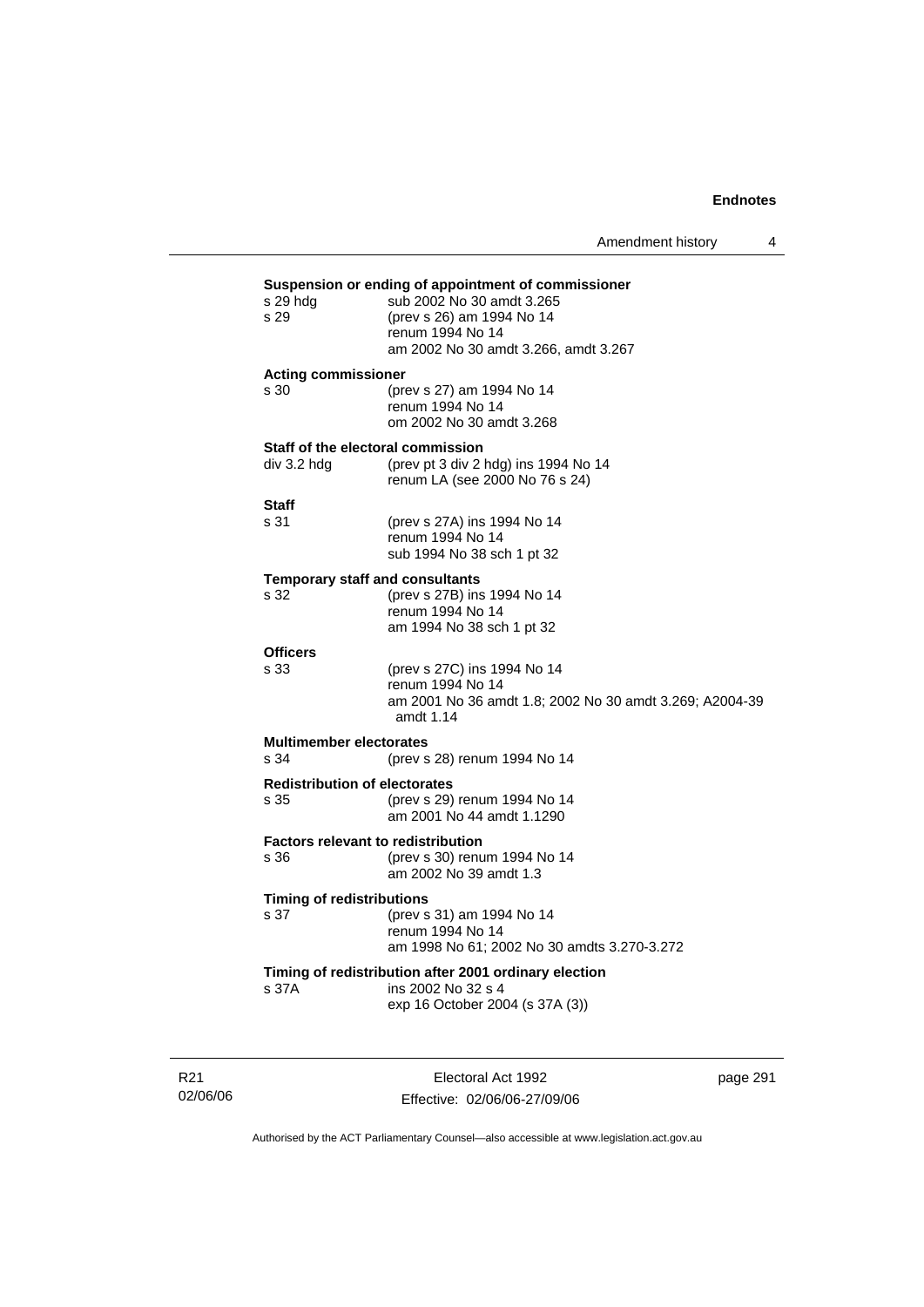Amendment history 4

# **Suspension or ending of appointment of commissioner** <br>
s 29 hdg sub 2002 No 30 amdt 3.265 sub 2002 No 30 amdt 3.265 s 29 (prev s 26) am 1994 No 14 renum 1994 No 14 am 2002 No 30 amdt 3.266, amdt 3.267 **Acting commissioner**  s 30 (prev s 27) am 1994 No 14 renum 1994 No 14 om 2002 No 30 amdt 3.268 **Staff of the electoral commission**  div 3.2 hdg (prev pt 3 div 2 hdg) ins 1994 No 14 renum LA (see 2000 No 76 s 24) **Staff**  s 31 (prev s 27A) ins 1994 No 14 renum 1994 No 14 sub 1994 No 38 sch 1 pt 32 **Temporary staff and consultants**  s 32 (prev s 27B) ins 1994 No 14 renum 1994 No 14 am 1994 No 38 sch 1 pt 32 **Officers**  s 33 (prev s 27C) ins 1994 No 14 renum 1994 No 14 am 2001 No 36 amdt 1.8; 2002 No 30 amdt 3.269; A2004-39 amdt 1.14 **Multimember electorates**  s 34 (prev s 28) renum 1994 No 14 **Redistribution of electorates**  s 35 (prev s 29) renum 1994 No 14 am 2001 No 44 amdt 1.1290 **Factors relevant to redistribution**  s 36 (prev s 30) renum 1994 No 14 am 2002 No 39 amdt 1.3 **Timing of redistributions**  s 37 (prev s 31) am 1994 No 14 renum 1994 No 14 am 1998 No 61; 2002 No 30 amdts 3.270-3.272 **Timing of redistribution after 2001 ordinary election**  s 37A ins 2002 No 32 s 4 exp 16 October 2004 (s 37A (3))

R21 02/06/06

Electoral Act 1992 Effective: 02/06/06-27/09/06 page 291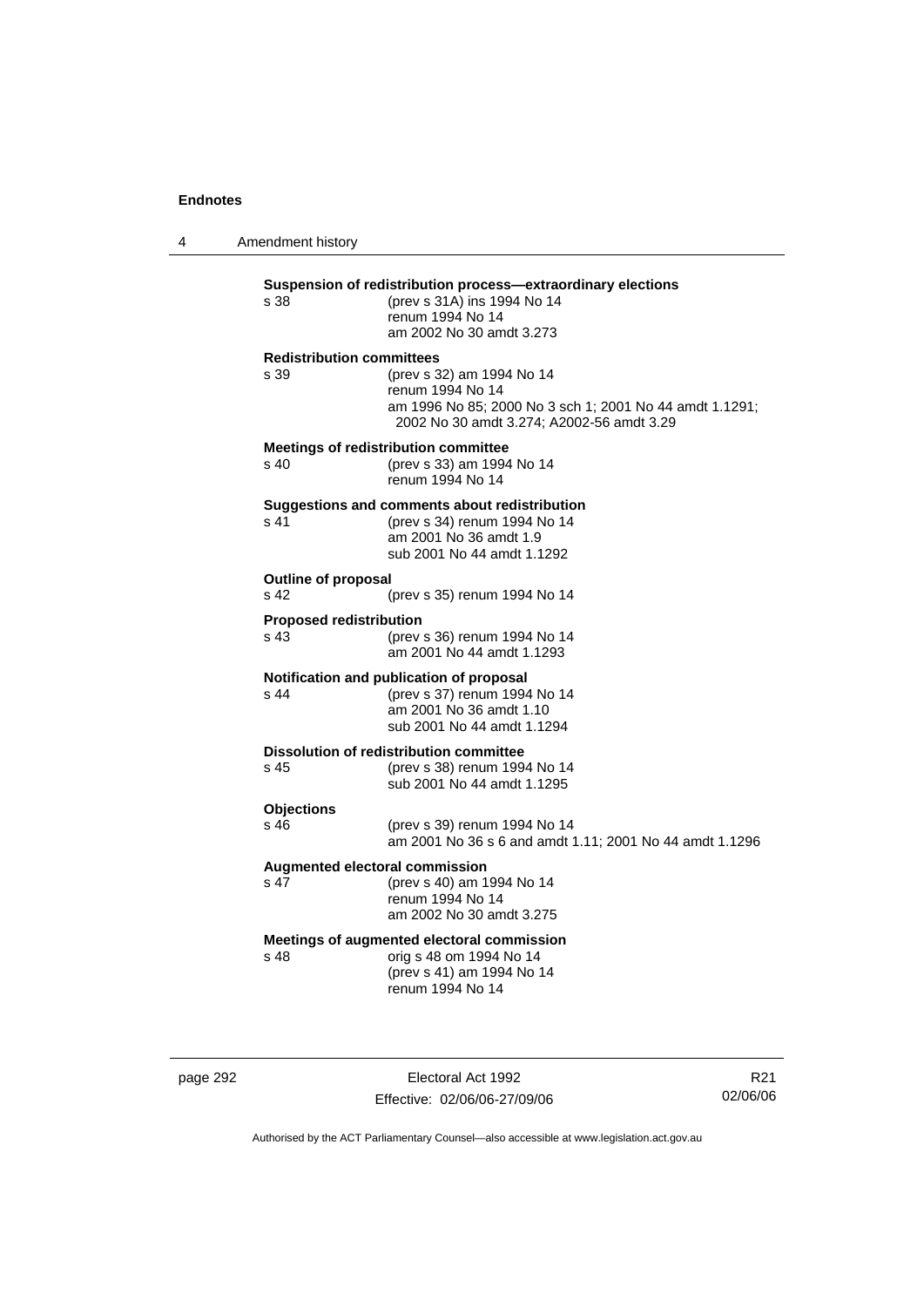4 Amendment history

| Suspension of redistribution process-extraordinary elections<br>(prev s 31A) ins 1994 No 14<br>s 38<br>renum 1994 No 14<br>am 2002 No 30 amdt 3.273 |                                                                                                                                                       |
|-----------------------------------------------------------------------------------------------------------------------------------------------------|-------------------------------------------------------------------------------------------------------------------------------------------------------|
| <b>Redistribution committees</b><br>s 39                                                                                                            | (prev s 32) am 1994 No 14<br>renum 1994 No 14<br>am 1996 No 85; 2000 No 3 sch 1; 2001 No 44 amdt 1.1291;<br>2002 No 30 amdt 3.274; A2002-56 amdt 3.29 |
| s 40                                                                                                                                                | <b>Meetings of redistribution committee</b><br>(prev s 33) am 1994 No 14<br>renum 1994 No 14                                                          |
| s 41                                                                                                                                                | Suggestions and comments about redistribution<br>(prev s 34) renum 1994 No 14<br>am 2001 No 36 amdt 1.9<br>sub 2001 No 44 amdt 1.1292                 |
| <b>Outline of proposal</b><br>s <sub>42</sub><br>(prev s 35) renum 1994 No 14                                                                       |                                                                                                                                                       |
| <b>Proposed redistribution</b><br>s 43                                                                                                              | (prev s 36) renum 1994 No 14<br>am 2001 No 44 amdt 1.1293                                                                                             |
| s <sub>44</sub>                                                                                                                                     | Notification and publication of proposal<br>(prev s 37) renum 1994 No 14<br>am 2001 No 36 amdt 1.10<br>sub 2001 No 44 amdt 1.1294                     |
| s 45                                                                                                                                                | Dissolution of redistribution committee<br>(prev s 38) renum 1994 No 14<br>sub 2001 No 44 amdt 1.1295                                                 |
| <b>Objections</b><br>$s$ 46                                                                                                                         | (prev s 39) renum 1994 No 14<br>am 2001 No 36 s 6 and amdt 1.11; 2001 No 44 amdt 1.1296                                                               |
| s 47                                                                                                                                                | Augmented electoral commission<br>(prev s 40) am 1994 No 14<br>renum 1994 No 14<br>am 2002 No 30 amdt 3.275                                           |
| s <sub>48</sub>                                                                                                                                     | Meetings of augmented electoral commission<br>orig s 48 om 1994 No 14<br>(prev s 41) am 1994 No 14<br>renum 1994 No 14                                |

page 292 Electoral Act 1992 Effective: 02/06/06-27/09/06

R21 02/06/06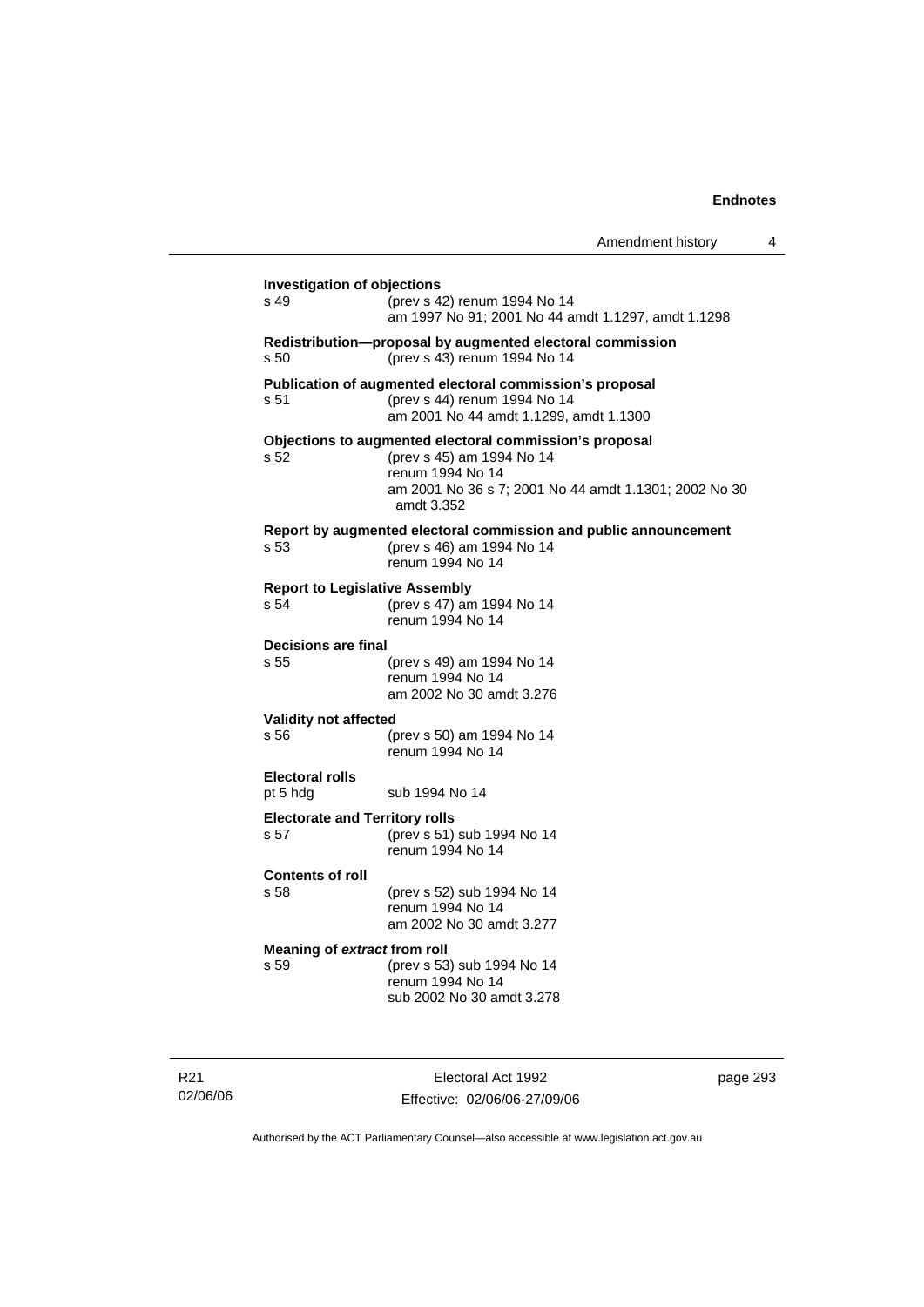Amendment history 4

| <b>Investigation of objections</b>            |                                                                                                                                                                                 |
|-----------------------------------------------|---------------------------------------------------------------------------------------------------------------------------------------------------------------------------------|
| s 49                                          | (prev s 42) renum 1994 No 14<br>am 1997 No 91; 2001 No 44 amdt 1.1297, amdt 1.1298                                                                                              |
| s 50                                          | Redistribution-proposal by augmented electoral commission<br>(prev s 43) renum 1994 No 14                                                                                       |
| s 51                                          | Publication of augmented electoral commission's proposal<br>(prev s 44) renum 1994 No 14<br>am 2001 No 44 amdt 1.1299, amdt 1.1300                                              |
| s 52                                          | Objections to augmented electoral commission's proposal<br>(prev s 45) am 1994 No 14<br>renum 1994 No 14<br>am 2001 No 36 s 7; 2001 No 44 amdt 1.1301; 2002 No 30<br>amdt 3.352 |
| s 53                                          | Report by augmented electoral commission and public announcement<br>(prev s 46) am 1994 No 14<br>renum 1994 No 14                                                               |
| <b>Report to Legislative Assembly</b><br>s 54 | (prev s 47) am 1994 No 14<br>renum 1994 No 14                                                                                                                                   |
| <b>Decisions are final</b><br>s 55            | (prev s 49) am 1994 No 14<br>renum 1994 No 14<br>am 2002 No 30 amdt 3.276                                                                                                       |
| <b>Validity not affected</b><br>s 56          | (prev s 50) am 1994 No 14<br>renum 1994 No 14                                                                                                                                   |
| <b>Electoral rolls</b><br>pt 5 hdg            | sub 1994 No 14                                                                                                                                                                  |
| <b>Electorate and Territory rolls</b><br>s 57 | (prev s 51) sub 1994 No 14<br>renum 1994 No 14                                                                                                                                  |
| <b>Contents of roll</b><br>s 58               | (prev s 52) sub 1994 No 14<br>renum 1994 No 14<br>am 2002 No 30 amdt 3.277                                                                                                      |
| Meaning of extract from roll<br>s 59          | (prev s 53) sub 1994 No 14<br>renum 1994 No 14<br>sub 2002 No 30 amdt 3.278                                                                                                     |

R21 02/06/06

Electoral Act 1992 Effective: 02/06/06-27/09/06 page 293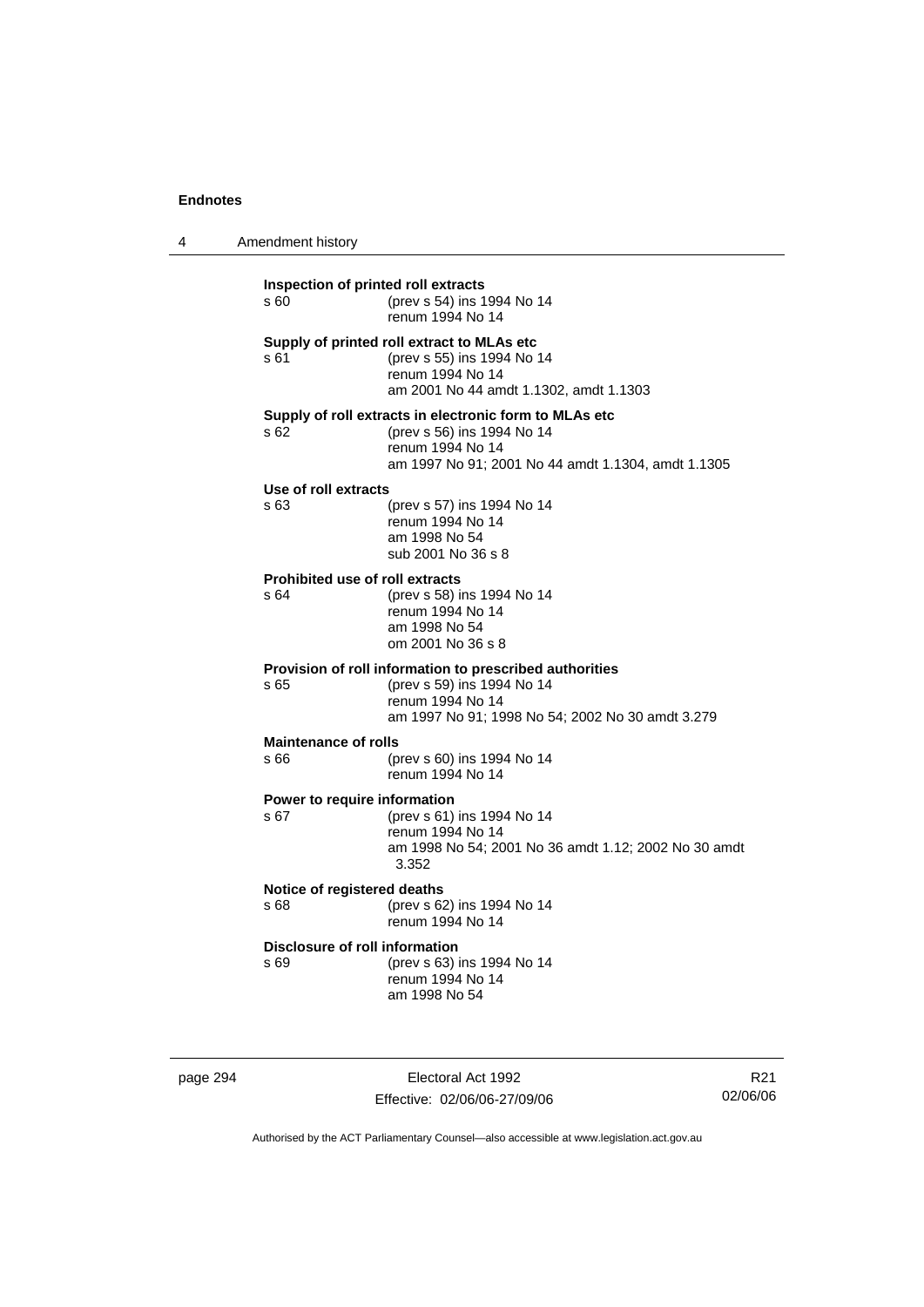| 4 | Amendment history |
|---|-------------------|
|---|-------------------|

| Inspection of printed roll extracts<br>s60    | (prev s 54) ins 1994 No 14<br>renum 1994 No 14                                                                                                                 |
|-----------------------------------------------|----------------------------------------------------------------------------------------------------------------------------------------------------------------|
| s 61                                          | Supply of printed roll extract to MLAs etc<br>(prev s 55) ins 1994 No 14<br>renum 1994 No 14<br>am 2001 No 44 amdt 1.1302, amdt 1.1303                         |
| s 62                                          | Supply of roll extracts in electronic form to MLAs etc<br>(prev s 56) ins 1994 No 14<br>renum 1994 No 14<br>am 1997 No 91; 2001 No 44 amdt 1.1304, amdt 1.1305 |
| Use of roll extracts<br>s 63                  | (prev s 57) ins 1994 No 14<br>renum 1994 No 14<br>am 1998 No 54<br>sub 2001 No 36 s 8                                                                          |
| <b>Prohibited use of roll extracts</b><br>s64 | (prev s 58) ins 1994 No 14<br>renum 1994 No 14<br>am 1998 No 54<br>om 2001 No 36 s 8                                                                           |
| s 65                                          | Provision of roll information to prescribed authorities<br>(prev s 59) ins 1994 No 14<br>renum 1994 No 14<br>am 1997 No 91; 1998 No 54; 2002 No 30 amdt 3.279  |
| <b>Maintenance of rolls</b><br>s 66           | (prev s 60) ins 1994 No 14<br>renum 1994 No 14                                                                                                                 |
| Power to require information<br>s 67          | (prev s 61) ins 1994 No 14<br>renum 1994 No 14<br>am 1998 No 54; 2001 No 36 amdt 1.12; 2002 No 30 amdt<br>3.352                                                |
| Notice of registered deaths<br>s 68           | (prev s 62) ins 1994 No 14<br>renum 1994 No 14                                                                                                                 |
| Disclosure of roll information<br>s 69        | (prev s 63) ins 1994 No 14<br>renum 1994 No 14<br>am 1998 No 54                                                                                                |
|                                               |                                                                                                                                                                |

page 294 Electoral Act 1992 Effective: 02/06/06-27/09/06

R21 02/06/06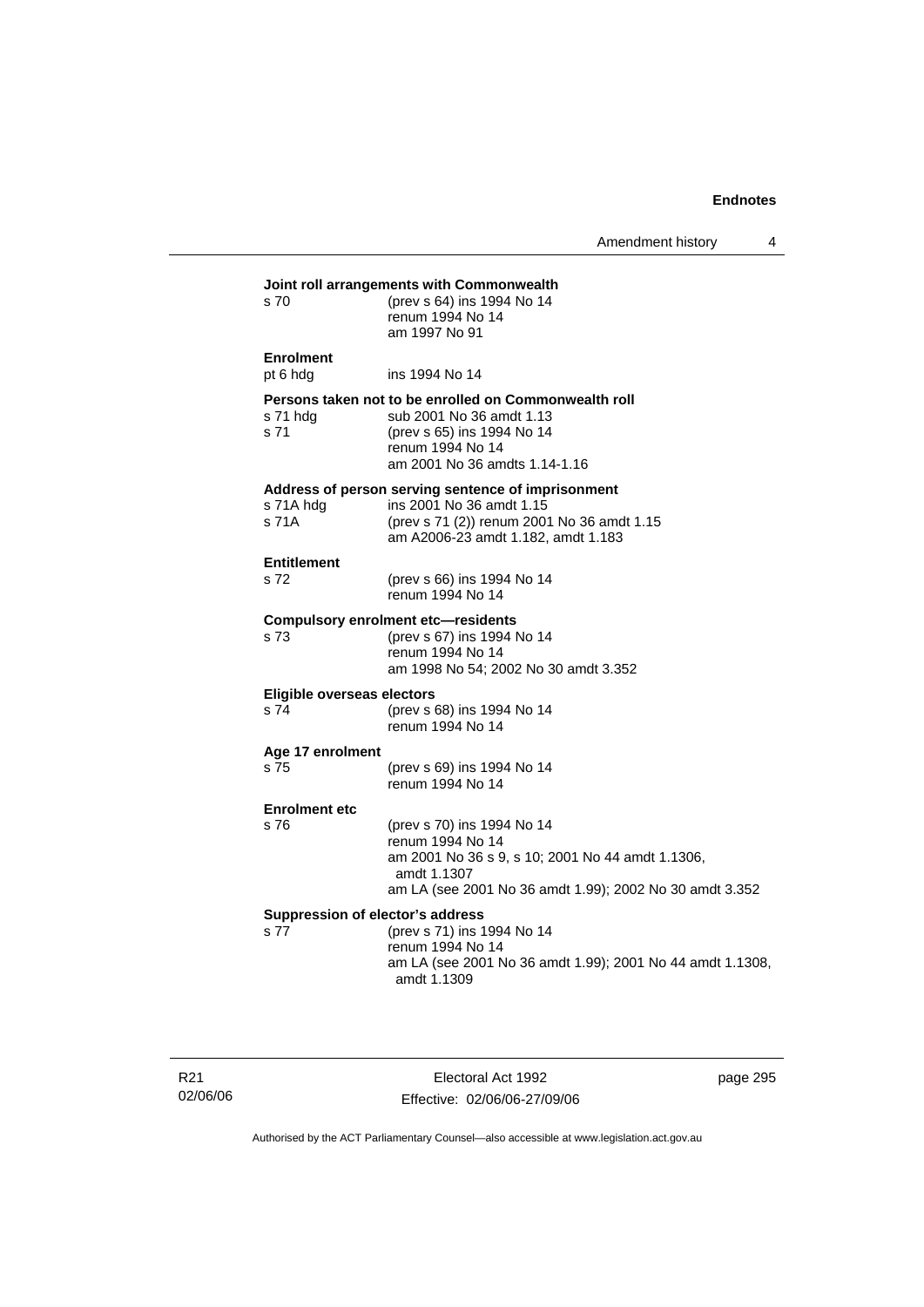Amendment history 4

| s 70                               | (prev s 64) ins 1994 No 14<br>renum 1994 No 14<br>am 1997 No 91                                                                                                              |
|------------------------------------|------------------------------------------------------------------------------------------------------------------------------------------------------------------------------|
| <b>Enrolment</b><br>pt 6 hdg       | ins 1994 No 14                                                                                                                                                               |
| s 71 hda<br>s 71                   | Persons taken not to be enrolled on Commonwealth roll<br>sub 2001 No 36 amdt 1.13<br>(prev s 65) ins 1994 No 14<br>renum 1994 No 14<br>am 2001 No 36 amdts 1.14-1.16         |
| s 71A hdg<br>s 71A                 | Address of person serving sentence of imprisonment<br>ins 2001 No 36 amdt 1.15<br>(prev s 71 (2)) renum 2001 No 36 amdt 1.15<br>am A2006-23 amdt 1.182, amdt 1.183           |
| <b>Entitlement</b><br>s 72         | (prev s 66) ins 1994 No 14<br>renum 1994 No 14                                                                                                                               |
| s 73                               | <b>Compulsory enrolment etc-residents</b><br>(prev s 67) ins 1994 No 14<br>renum 1994 No 14<br>am 1998 No 54; 2002 No 30 amdt 3.352                                          |
| Eligible overseas electors<br>s 74 | (prev s 68) ins 1994 No 14<br>renum 1994 No 14                                                                                                                               |
| Age 17 enrolment<br>s 75           | (prev s 69) ins 1994 No 14<br>renum 1994 No 14                                                                                                                               |
| <b>Enrolment etc</b>               |                                                                                                                                                                              |
| s76                                | (prev s 70) ins 1994 No 14<br>renum 1994 No 14<br>am 2001 No 36 s 9, s 10; 2001 No 44 amdt 1.1306,<br>amdt 1.1307<br>am LA (see 2001 No 36 amdt 1.99); 2002 No 30 amdt 3.352 |
| s 77                               | Suppression of elector's address<br>(prev s 71) ins 1994 No 14<br>renum 1994 No 14<br>am LA (see 2001 No 36 amdt 1.99); 2001 No 44 amdt 1.1308,<br>amdt 1.1309               |

R21 02/06/06

Electoral Act 1992 Effective: 02/06/06-27/09/06 page 295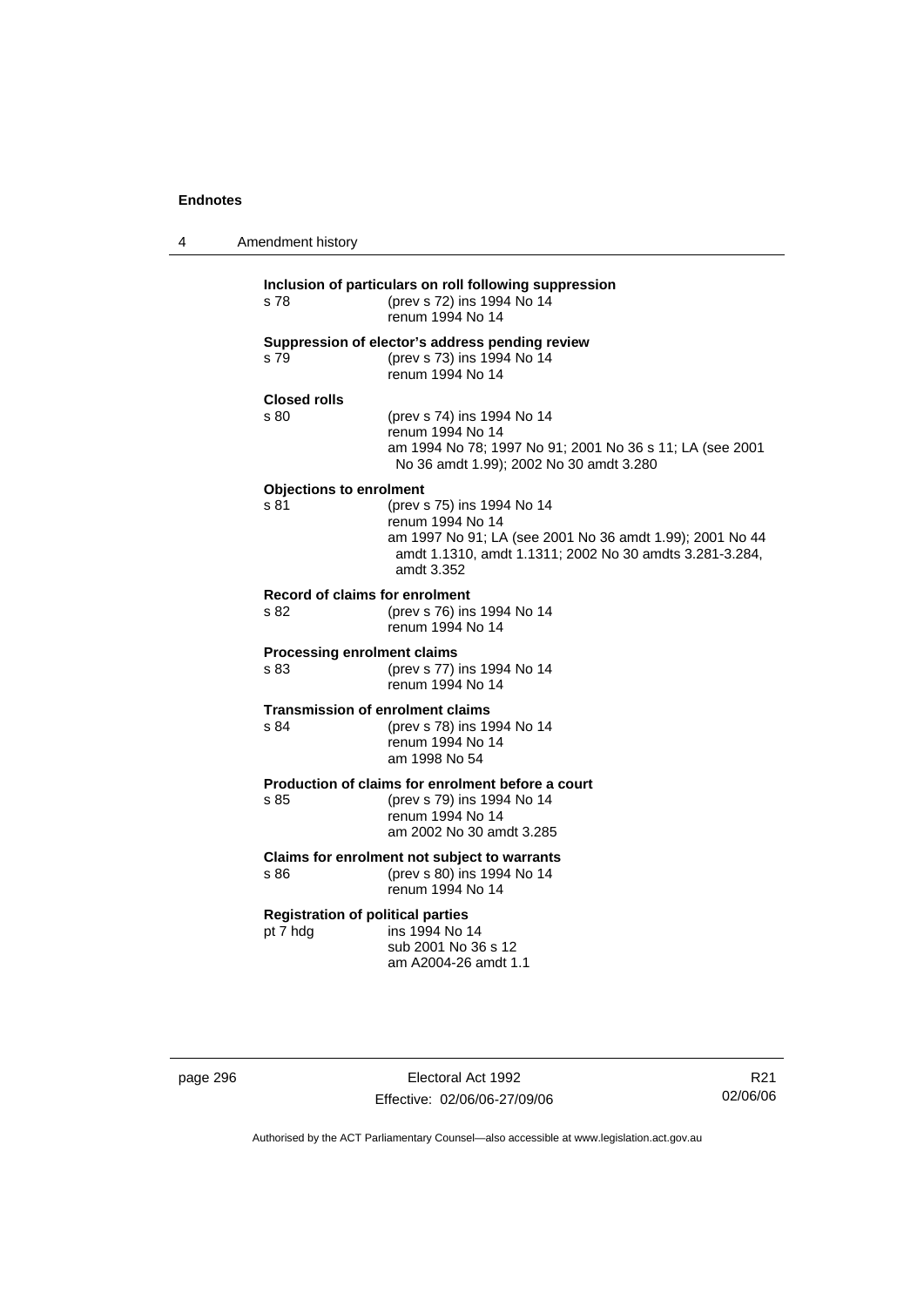| 4 | Amendment history                                    |                                                                                                                                                                                     |
|---|------------------------------------------------------|-------------------------------------------------------------------------------------------------------------------------------------------------------------------------------------|
|   | s 78                                                 | Inclusion of particulars on roll following suppression<br>(prev s 72) ins 1994 No 14<br>renum 1994 No 14                                                                            |
|   | s 79                                                 | Suppression of elector's address pending review<br>(prev s 73) ins 1994 No 14<br>renum 1994 No 14                                                                                   |
|   | <b>Closed rolls</b><br>s 80                          | (prev s 74) ins 1994 No 14<br>renum 1994 No 14<br>am 1994 No 78; 1997 No 91; 2001 No 36 s 11; LA (see 2001<br>No 36 amdt 1.99); 2002 No 30 amdt 3.280                               |
|   | <b>Objections to enrolment</b><br>s 81               | (prev s 75) ins 1994 No 14<br>renum 1994 No 14<br>am 1997 No 91; LA (see 2001 No 36 amdt 1.99); 2001 No 44<br>amdt 1.1310, amdt 1.1311; 2002 No 30 amdts 3.281-3.284,<br>amdt 3.352 |
|   | Record of claims for enrolment<br>s 82               | (prev s 76) ins 1994 No 14<br>renum 1994 No 14                                                                                                                                      |
|   | <b>Processing enrolment claims</b><br>s 83           | (prev s 77) ins 1994 No 14<br>renum 1994 No 14                                                                                                                                      |
|   | <b>Transmission of enrolment claims</b><br>s 84      | (prev s 78) ins 1994 No 14<br>renum 1994 No 14<br>am 1998 No 54                                                                                                                     |
|   | s 85                                                 | Production of claims for enrolment before a court<br>(prev s 79) ins 1994 No 14<br>renum 1994 No 14<br>am 2002 No 30 amdt 3.285                                                     |
|   | s 86                                                 | Claims for enrolment not subject to warrants<br>(prev s 80) ins 1994 No 14<br>renum 1994 No 14                                                                                      |
|   | <b>Registration of political parties</b><br>pt 7 hdg | ins 1994 No 14<br>sub 2001 No 36 s 12<br>am A2004-26 amdt 1.1                                                                                                                       |

page 296 Electoral Act 1992 Effective: 02/06/06-27/09/06

R21 02/06/06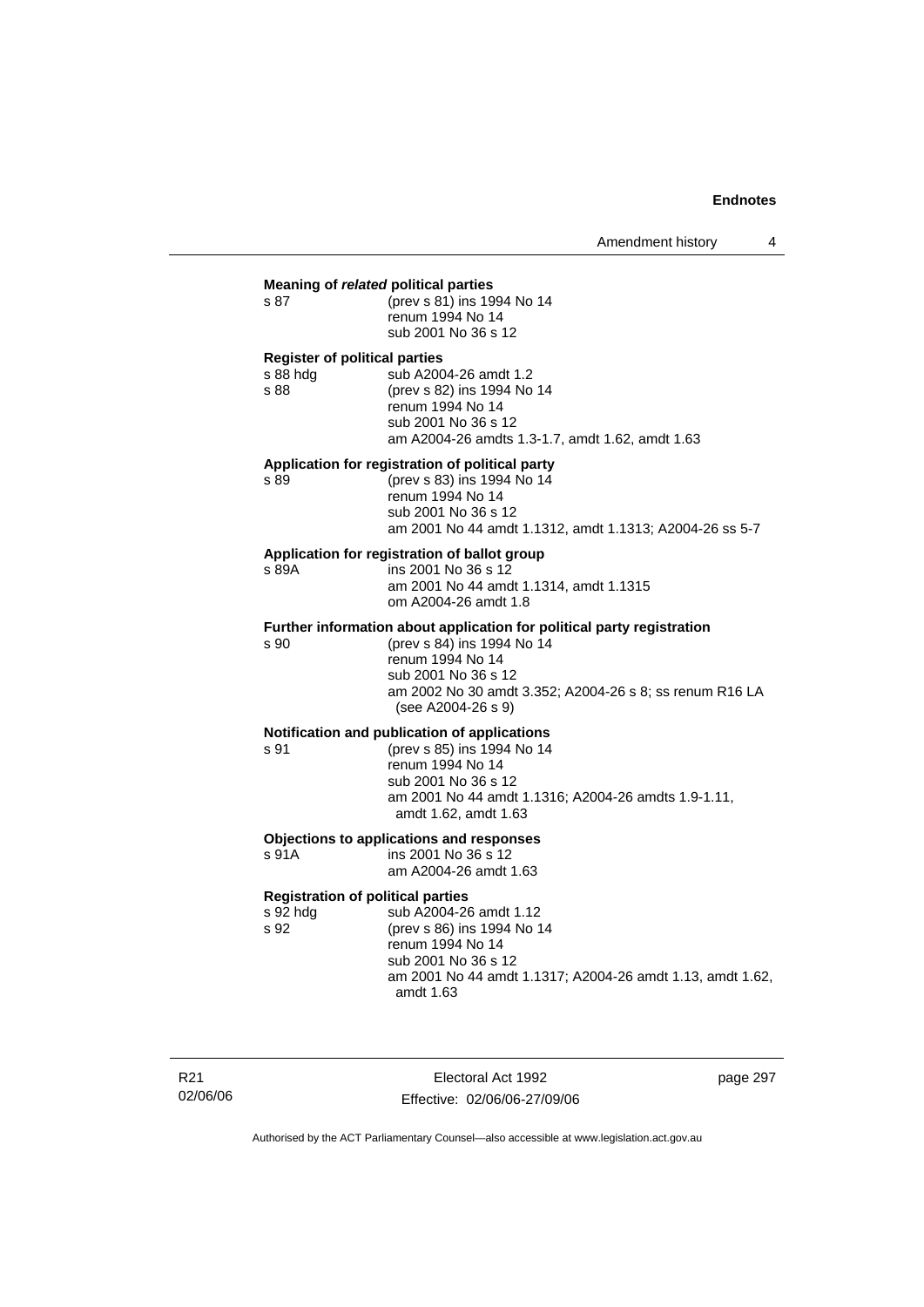# **Meaning of** *related* **political parties**  s 87 (prev s 81) ins 1994 No 14 renum 1994 No 14 sub 2001 No 36 s 12 **Register of political parties**  s 88 hdg sub A2004-26 amdt 1.2 s 88 (prev s 82) ins 1994 No 14 renum 1994 No 14 sub 2001 No 36 s 12 am A2004-26 amdts 1.3-1.7, amdt 1.62, amdt 1.63 **Application for registration of political party**  s 89 (prev s 83) ins 1994 No 14 renum 1994 No 14 sub 2001 No 36 s 12 am 2001 No 44 amdt 1.1312, amdt 1.1313; A2004-26 ss 5-7 **Application for registration of ballot group**  s 89A ins 2001 No 36 s 12 am 2001 No 44 amdt 1.1314, amdt 1.1315 om A2004-26 amdt 1.8 **Further information about application for political party registration**  s 90 (prev s 84) ins 1994 No 14 renum 1994 No 14 sub 2001 No 36 s 12 am 2002 No 30 amdt 3.352; A2004-26 s 8; ss renum R16 LA (see A2004-26 s 9) **Notification and publication of applications**  s 91 (prev s 85) ins 1994 No 14 renum 1994 No 14 sub 2001 No 36 s 12 am 2001 No 44 amdt 1.1316; A2004-26 amdts 1.9-1.11, amdt 1.62, amdt 1.63 **Objections to applications and responses**  s 91A ins 2001 No 36 s 12 am A2004-26 amdt 1.63 **Registration of political parties**  s 92 hdg sub A2004-26 amdt 1.12<br>s 92 (prev s 86) ins 1994 No 1 (prev s 86) ins 1994 No 14 renum 1994 No 14 sub 2001 No 36 s 12 am 2001 No 44 amdt 1.1317; A2004-26 amdt 1.13, amdt 1.62, amdt 1.63

R21 02/06/06

Electoral Act 1992 Effective: 02/06/06-27/09/06 page 297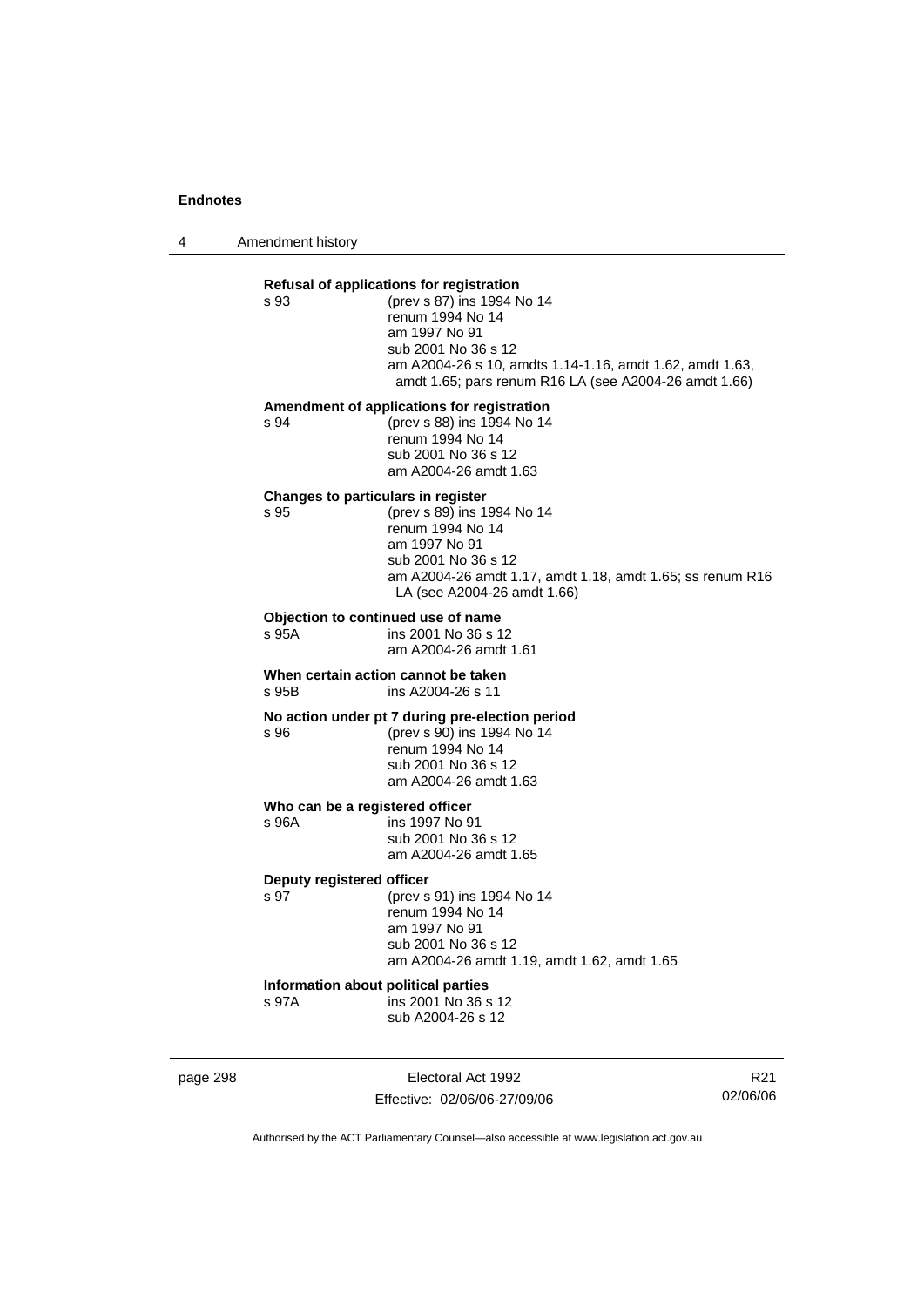4 Amendment history

| s 93                              | Refusal of applications for registration<br>(prev s 87) ins 1994 No 14<br>renum 1994 No 14<br>am 1997 No 91<br>sub 2001 No 36 s 12<br>am A2004-26 s 10, amdts 1.14-1.16, amdt 1.62, amdt 1.63,<br>amdt 1.65; pars renum R16 LA (see A2004-26 amdt 1.66) |
|-----------------------------------|---------------------------------------------------------------------------------------------------------------------------------------------------------------------------------------------------------------------------------------------------------|
| s 94                              | Amendment of applications for registration<br>(prev s 88) ins 1994 No 14<br>renum 1994 No 14<br>sub 2001 No 36 s 12<br>am A2004-26 amdt 1.63                                                                                                            |
| s 95                              | Changes to particulars in register<br>(prev s 89) ins 1994 No 14<br>renum 1994 No 14<br>am 1997 No 91<br>sub 2001 No 36 s 12<br>am A2004-26 amdt 1.17, amdt 1.18, amdt 1.65; ss renum R16<br>LA (see A2004-26 amdt 1.66)                                |
| s 95A                             | Objection to continued use of name<br>ins 2001 No 36 s 12<br>am A2004-26 amdt 1.61                                                                                                                                                                      |
| s 95B                             | When certain action cannot be taken<br>ins A2004-26 s 11                                                                                                                                                                                                |
| s 96                              | No action under pt 7 during pre-election period<br>(prev s 90) ins 1994 No 14<br>renum 1994 No 14<br>sub 2001 No 36 s 12<br>am A2004-26 amdt 1.63                                                                                                       |
| s 96A                             | Who can be a registered officer<br>ins 1997 No 91<br>sub 2001 No 36 s 12<br>am A2004-26 amdt 1.65                                                                                                                                                       |
| Deputy registered officer<br>s 97 | (prev s 91) ins 1994 No 14<br>renum 1994 No 14<br>am 1997 No 91<br>sub 2001 No 36 s 12<br>am A2004-26 amdt 1.19, amdt 1.62, amdt 1.65                                                                                                                   |
|                                   | Information about political parties                                                                                                                                                                                                                     |

page 298 Electoral Act 1992 Effective: 02/06/06-27/09/06

R21 02/06/06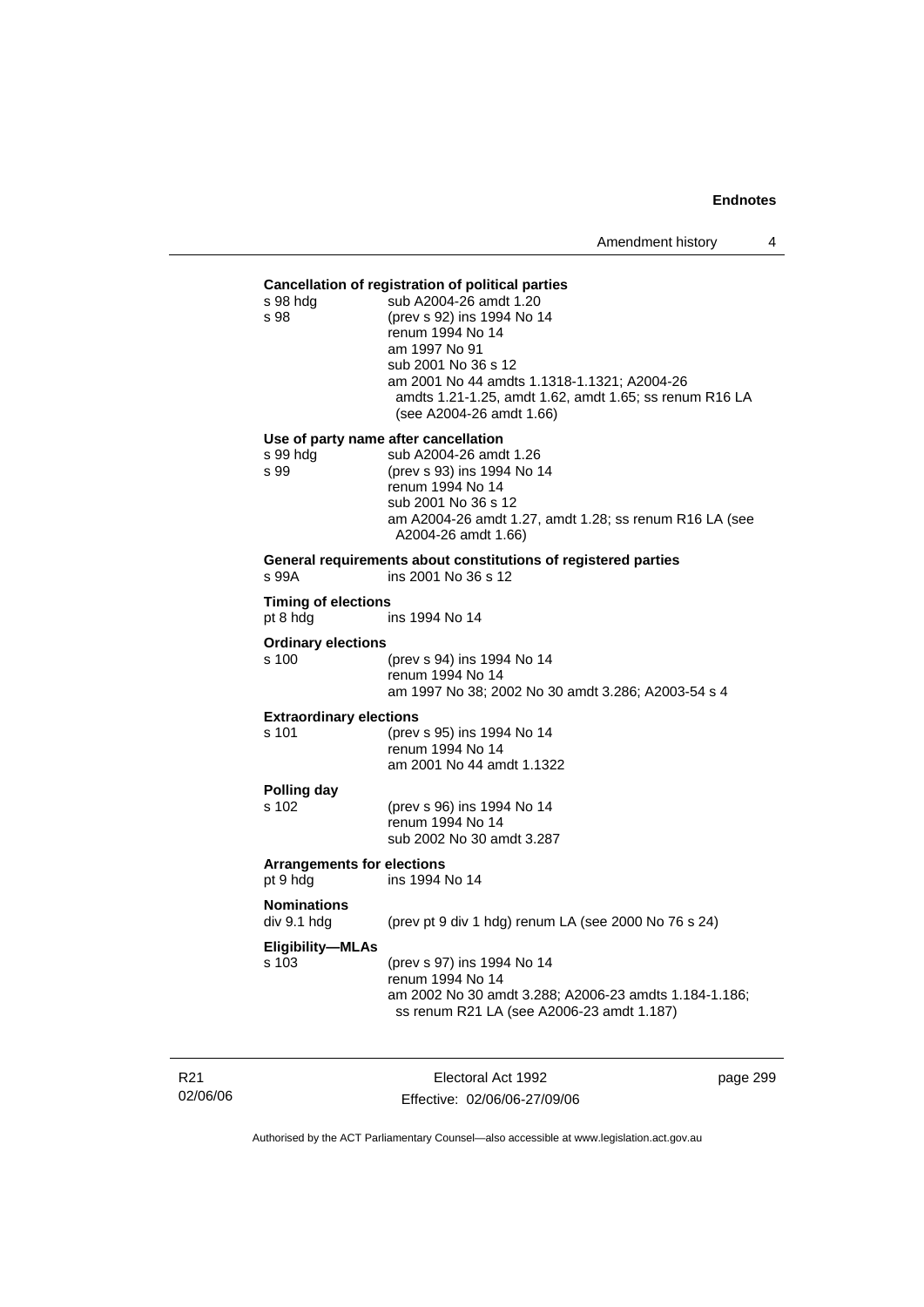### **Cancellation of registration of political parties**

| s 98 hdg<br>s 98                              | si rogionanoni or pomnoar par<br>sub A2004-26 amdt 1.20<br>(prev s 92) ins 1994 No 14<br>renum 1994 No 14<br>am 1997 No 91<br>sub 2001 No 36 s 12<br>am 2001 No 44 amdts 1.1318-1.1321; A2004-26<br>amdts 1.21-1.25, amdt 1.62, amdt 1.65; ss renum R16 LA<br>(see A2004-26 amdt 1.66) |
|-----------------------------------------------|----------------------------------------------------------------------------------------------------------------------------------------------------------------------------------------------------------------------------------------------------------------------------------------|
| s 99 hdg                                      | Use of party name after cancellation<br>sub A2004-26 amdt 1.26                                                                                                                                                                                                                         |
| s 99                                          | (prev s 93) ins 1994 No 14<br>renum 1994 No 14<br>sub 2001 No 36 s 12<br>am A2004-26 amdt 1.27, amdt 1.28; ss renum R16 LA (see                                                                                                                                                        |
|                                               | A2004-26 amdt 1.66)<br>General requirements about constitutions of registered parties                                                                                                                                                                                                  |
| s 99A                                         | ins 2001 No 36 s 12                                                                                                                                                                                                                                                                    |
| <b>Timing of elections</b><br>pt 8 hdg        | ins 1994 No 14                                                                                                                                                                                                                                                                         |
| <b>Ordinary elections</b>                     |                                                                                                                                                                                                                                                                                        |
| s 100                                         | (prev s 94) ins 1994 No 14<br>renum 1994 No 14<br>am 1997 No 38; 2002 No 30 amdt 3.286; A2003-54 s 4                                                                                                                                                                                   |
| <b>Extraordinary elections</b>                |                                                                                                                                                                                                                                                                                        |
| s 101                                         | (prev s 95) ins 1994 No 14<br>renum 1994 No 14<br>am 2001 No 44 amdt 1.1322                                                                                                                                                                                                            |
| Polling day                                   |                                                                                                                                                                                                                                                                                        |
| s 102                                         | (prev s 96) ins 1994 No 14<br>renum 1994 No 14<br>sub 2002 No 30 amdt 3.287                                                                                                                                                                                                            |
| <b>Arrangements for elections</b><br>pt 9 hdg | ins 1994 No 14                                                                                                                                                                                                                                                                         |
| <b>Nominations</b><br>div 9.1 hdg             | (prev pt 9 div 1 hdg) renum LA (see 2000 No 76 s 24)                                                                                                                                                                                                                                   |
| <b>Eligibility-MLAs</b><br>s 103              | (prev s 97) ins 1994 No 14<br>renum 1994 No 14<br>am 2002 No 30 amdt 3.288; A2006-23 amdts 1.184-1.186;<br>ss renum R21 LA (see A2006-23 amdt 1.187)                                                                                                                                   |
|                                               |                                                                                                                                                                                                                                                                                        |

R21 02/06/06

Electoral Act 1992 Effective: 02/06/06-27/09/06 page 299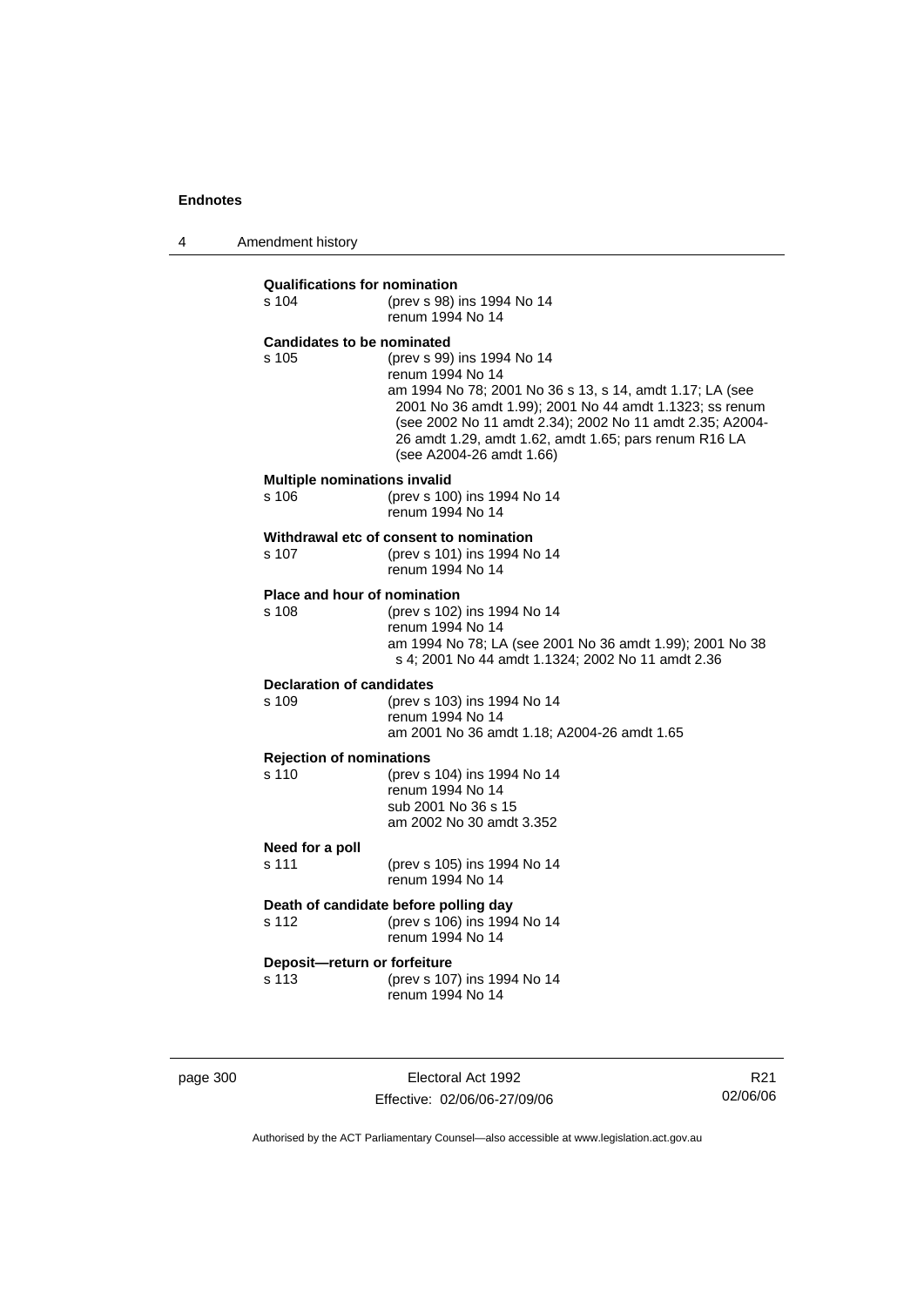4 Amendment history

| <b>Qualifications for nomination</b><br>$s$ 104 | (prev s 98) ins 1994 No 14<br>renum 1994 No 14                                                                                                                                                                                                                                                                         |
|-------------------------------------------------|------------------------------------------------------------------------------------------------------------------------------------------------------------------------------------------------------------------------------------------------------------------------------------------------------------------------|
| <b>Candidates to be nominated</b><br>s 105      | (prev s 99) ins 1994 No 14<br>renum 1994 No 14<br>am 1994 No 78; 2001 No 36 s 13, s 14, amdt 1.17; LA (see<br>2001 No 36 amdt 1.99); 2001 No 44 amdt 1.1323; ss renum<br>(see 2002 No 11 amdt 2.34); 2002 No 11 amdt 2.35; A2004-<br>26 amdt 1.29, amdt 1.62, amdt 1.65; pars renum R16 LA<br>(see A2004-26 amdt 1.66) |
| <b>Multiple nominations invalid</b><br>s 106    | (prev s 100) ins 1994 No 14<br>renum 1994 No 14                                                                                                                                                                                                                                                                        |
| s 107                                           | Withdrawal etc of consent to nomination<br>(prev s 101) ins 1994 No 14<br>renum 1994 No 14                                                                                                                                                                                                                             |
| Place and hour of nomination<br>s 108           | (prev s 102) ins 1994 No 14<br>renum 1994 No 14<br>am 1994 No 78; LA (see 2001 No 36 amdt 1.99); 2001 No 38<br>s 4; 2001 No 44 amdt 1.1324; 2002 No 11 amdt 2.36                                                                                                                                                       |
| <b>Declaration of candidates</b><br>s 109       | (prev s 103) ins 1994 No 14<br>renum 1994 No 14<br>am 2001 No 36 amdt 1.18; A2004-26 amdt 1.65                                                                                                                                                                                                                         |
| <b>Rejection of nominations</b><br>s 110        | (prev s 104) ins 1994 No 14<br>renum 1994 No 14<br>sub 2001 No 36 s 15<br>am 2002 No 30 amdt 3.352                                                                                                                                                                                                                     |
| Need for a poll<br>s 111                        | (prev s 105) ins 1994 No 14<br>renum 1994 No 14                                                                                                                                                                                                                                                                        |
| s 112                                           | Death of candidate before polling day<br>(prev s 106) ins 1994 No 14<br>renum 1994 No 14                                                                                                                                                                                                                               |
| Deposit-return or forfeiture<br>s 113           | (prev s 107) ins 1994 No 14<br>renum 1994 No 14                                                                                                                                                                                                                                                                        |

page 300 Electoral Act 1992 Effective: 02/06/06-27/09/06

R21 02/06/06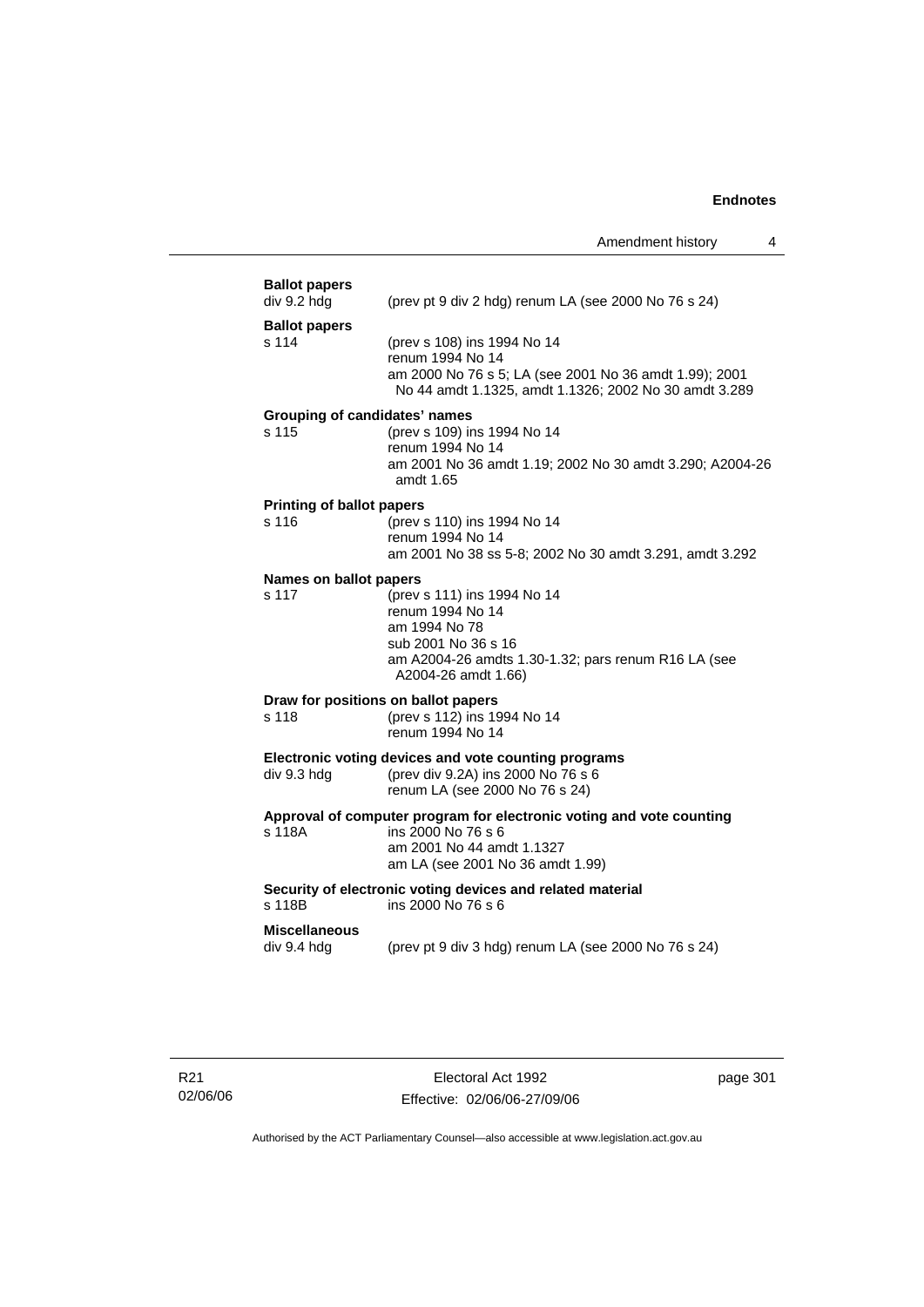| <b>Ballot papers</b><br>div 9.2 hdg           | (prev pt 9 div 2 hdg) renum LA (see 2000 No 76 s 24)                                                                                                                  |
|-----------------------------------------------|-----------------------------------------------------------------------------------------------------------------------------------------------------------------------|
| <b>Ballot papers</b><br>s 114                 | (prev s 108) ins 1994 No 14<br>renum 1994 No 14<br>am 2000 No 76 s 5; LA (see 2001 No 36 amdt 1.99); 2001<br>No 44 amdt 1.1325, amdt 1.1326; 2002 No 30 amdt 3.289    |
| <b>Grouping of candidates' names</b><br>s 115 | (prev s 109) ins 1994 No 14<br>renum 1994 No 14<br>am 2001 No 36 amdt 1.19; 2002 No 30 amdt 3.290; A2004-26<br>amdt 1.65                                              |
| <b>Printing of ballot papers</b><br>s 116     | (prev s 110) ins 1994 No 14<br>renum 1994 No 14<br>am 2001 No 38 ss 5-8; 2002 No 30 amdt 3.291, amdt 3.292                                                            |
| Names on ballot papers<br>s 117               | (prev s 111) ins 1994 No 14<br>renum 1994 No 14<br>am 1994 No 78<br>sub 2001 No 36 s 16<br>am A2004-26 amdts 1.30-1.32; pars renum R16 LA (see<br>A2004-26 amdt 1.66) |
| s 118                                         | Draw for positions on ballot papers<br>(prev s 112) ins 1994 No 14<br>renum 1994 No 14                                                                                |
| div 9.3 hdg                                   | Electronic voting devices and vote counting programs<br>(prev div 9.2A) ins 2000 No 76 s 6<br>renum LA (see 2000 No 76 s 24)                                          |
| s 118A                                        | Approval of computer program for electronic voting and vote counting<br>ins 2000 No 76 s 6<br>am 2001 No 44 amdt 1.1327<br>am LA (see 2001 No 36 amdt 1.99)           |
| s 118B                                        | Security of electronic voting devices and related material<br>ins 2000 No 76 s 6                                                                                      |
| <b>Miscellaneous</b><br>div 9.4 hdg           | (prev pt 9 div 3 hdg) renum LA (see 2000 No 76 s 24)                                                                                                                  |
|                                               |                                                                                                                                                                       |

page 301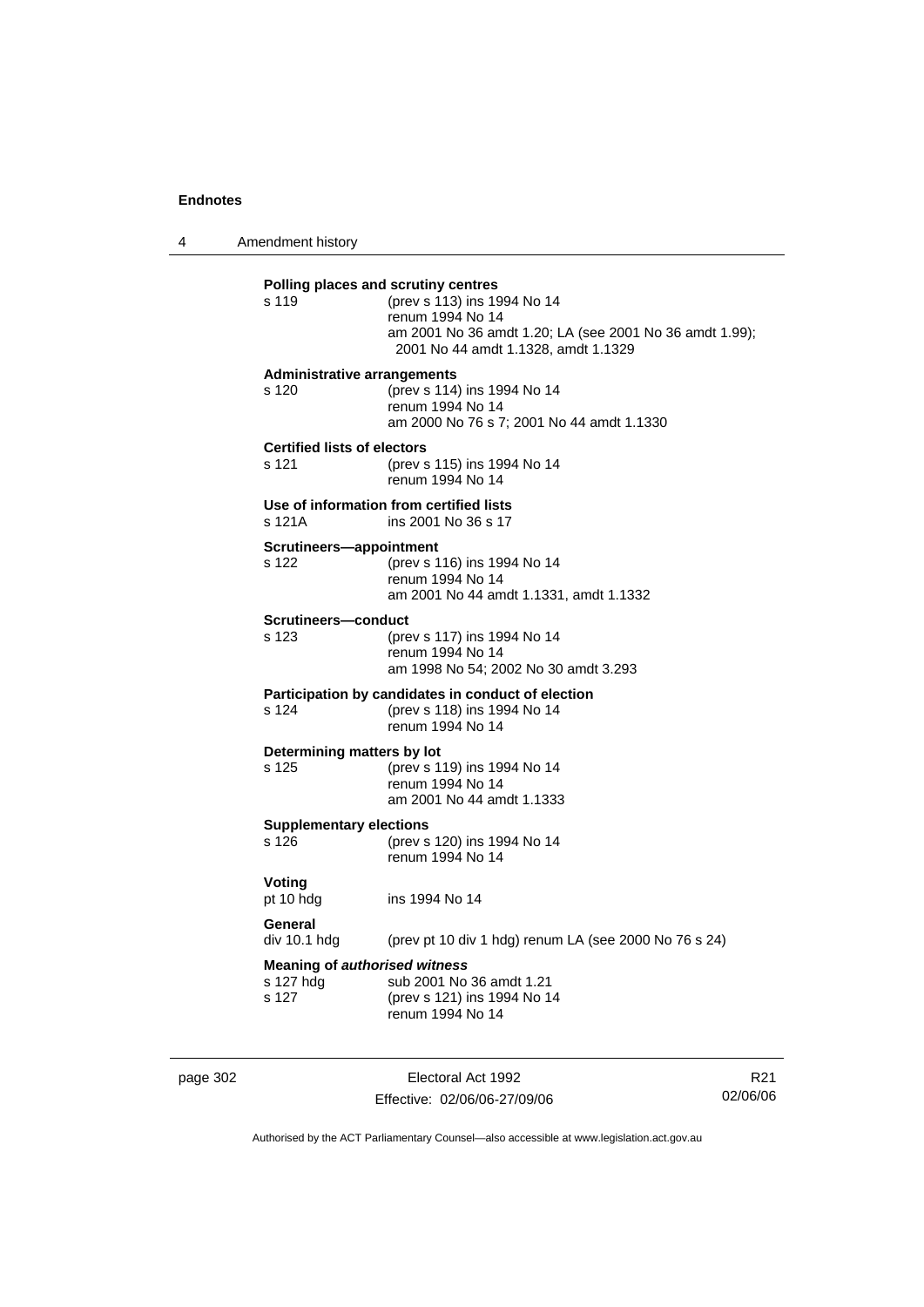4 Amendment history

| s 119                                                      | (prev s 113) ins 1994 No 14<br>renum 1994 No 14<br>am 2001 No 36 amdt 1.20; LA (see 2001 No 36 amdt 1.99);<br>2001 No 44 amdt 1.1328, amdt 1.1329 |
|------------------------------------------------------------|---------------------------------------------------------------------------------------------------------------------------------------------------|
| <b>Administrative arrangements</b><br>s 120                | (prev s 114) ins 1994 No 14<br>renum 1994 No 14<br>am 2000 No 76 s 7; 2001 No 44 amdt 1.1330                                                      |
| <b>Certified lists of electors</b><br>s 121                | (prev s 115) ins 1994 No 14<br>renum 1994 No 14                                                                                                   |
| s 121A                                                     | Use of information from certified lists<br>ins 2001 No 36 s 17                                                                                    |
| Scrutineers-appointment<br>s 122                           | (prev s 116) ins 1994 No 14<br>renum 1994 No 14<br>am 2001 No 44 amdt 1.1331, amdt 1.1332                                                         |
| Scrutineers-conduct<br>s 123                               | (prev s 117) ins 1994 No 14<br>renum 1994 No 14<br>am 1998 No 54; 2002 No 30 amdt 3.293                                                           |
| s 124                                                      | Participation by candidates in conduct of election<br>(prev s 118) ins 1994 No 14<br>renum 1994 No 14                                             |
| Determining matters by lot<br>s 125                        | (prev s 119) ins 1994 No 14<br>renum 1994 No 14<br>am 2001 No 44 amdt 1.1333                                                                      |
| <b>Supplementary elections</b><br>s 126                    | (prev s 120) ins 1994 No 14<br>renum 1994 No 14                                                                                                   |
| Voting<br>pt 10 hdg                                        | ins 1994 No 14                                                                                                                                    |
| General<br>div 10.1 hdg                                    | (prev pt 10 div 1 hdg) renum LA (see 2000 No 76 s 24)                                                                                             |
| <b>Meaning of authorised witness</b><br>s 127 hda<br>s 127 | sub 2001 No 36 amdt 1.21<br>(prev s 121) ins 1994 No 14<br>renum 1994 No 14                                                                       |

page 302 Electoral Act 1992 Effective: 02/06/06-27/09/06

R21 02/06/06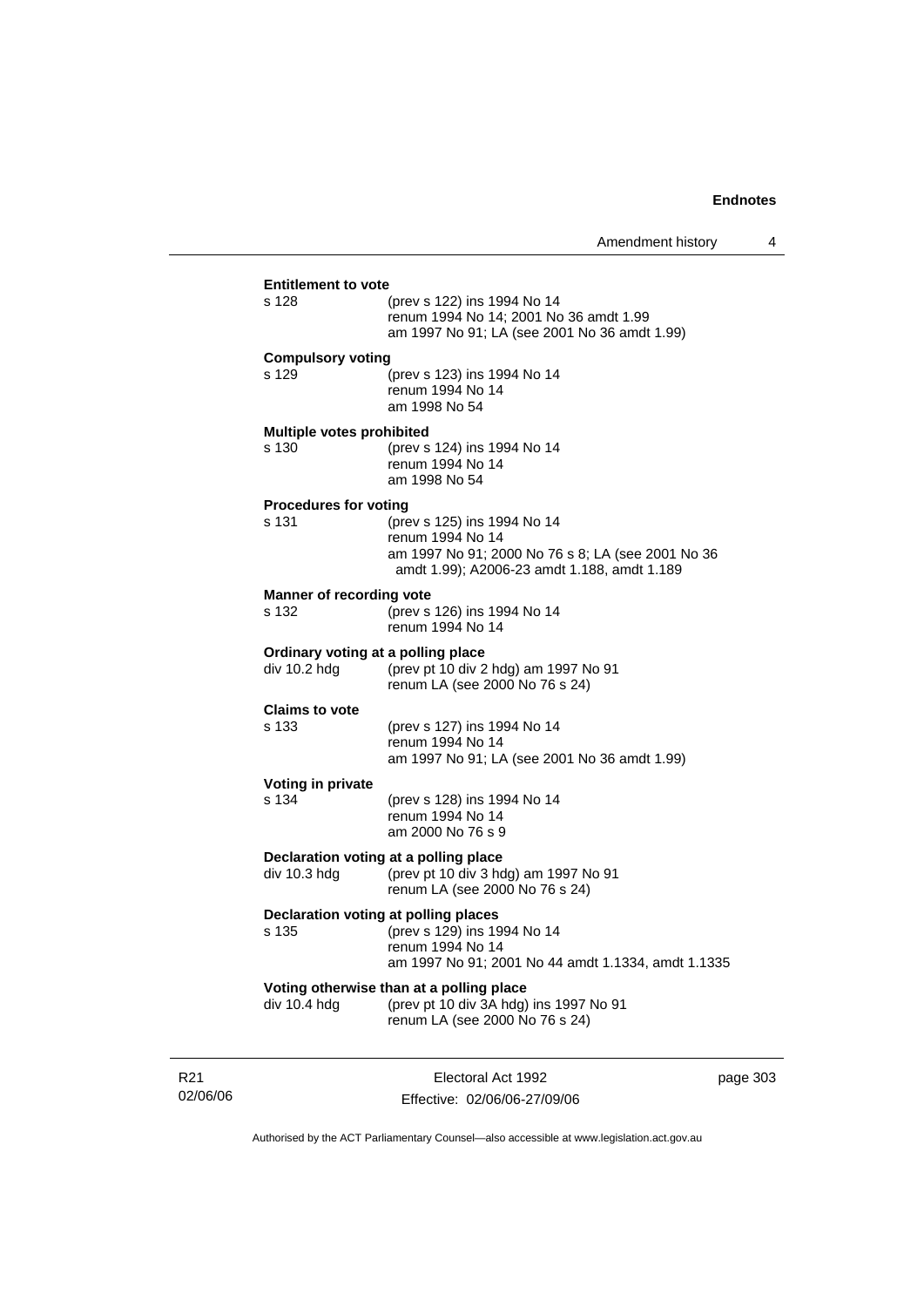| div 10.4 hdg                                       | Voting otherwise than at a polling place<br>(prev pt 10 div 3A hdg) ins 1997 No 91<br>renum LA (see 2000 No 76 s 24)                                |
|----------------------------------------------------|-----------------------------------------------------------------------------------------------------------------------------------------------------|
| Declaration voting at polling places<br>s 135      | (prev s 129) ins 1994 No 14<br>renum 1994 No 14<br>am 1997 No 91; 2001 No 44 amdt 1.1334, amdt 1.1335                                               |
| div 10.3 hdg                                       | Declaration voting at a polling place<br>(prev pt 10 div 3 hdg) am 1997 No 91<br>renum LA (see 2000 No 76 s 24)                                     |
| Voting in private<br>s 134                         | (prev s 128) ins 1994 No 14<br>renum 1994 No 14<br>am 2000 No 76 s 9                                                                                |
| <b>Claims to vote</b><br>s 133                     | (prev s 127) ins 1994 No 14<br>renum 1994 No 14<br>am 1997 No 91; LA (see 2001 No 36 amdt 1.99)                                                     |
| Ordinary voting at a polling place<br>div 10.2 hdg | (prev pt 10 div 2 hdg) am 1997 No 91<br>renum LA (see 2000 No 76 s 24)                                                                              |
| <b>Manner of recording vote</b><br>s 132           | (prev s 126) ins 1994 No 14<br>renum 1994 No 14                                                                                                     |
| <b>Procedures for voting</b><br>s 131              | (prev s 125) ins 1994 No 14<br>renum 1994 No 14<br>am 1997 No 91; 2000 No 76 s 8; LA (see 2001 No 36<br>amdt 1.99); A2006-23 amdt 1.188, amdt 1.189 |
| <b>Multiple votes prohibited</b><br>s 130          | (prev s 124) ins 1994 No 14<br>renum 1994 No 14<br>am 1998 No 54                                                                                    |
| <b>Compulsory voting</b><br>s 129                  | (prev s 123) ins 1994 No 14<br>renum 1994 No 14<br>am 1998 No 54                                                                                    |
| s 128                                              | (prev s 122) ins 1994 No 14<br>renum 1994 No 14; 2001 No 36 amdt 1.99<br>am 1997 No 91; LA (see 2001 No 36 amdt 1.99)                               |

R21 02/06/06

Electoral Act 1992 Effective: 02/06/06-27/09/06 page 303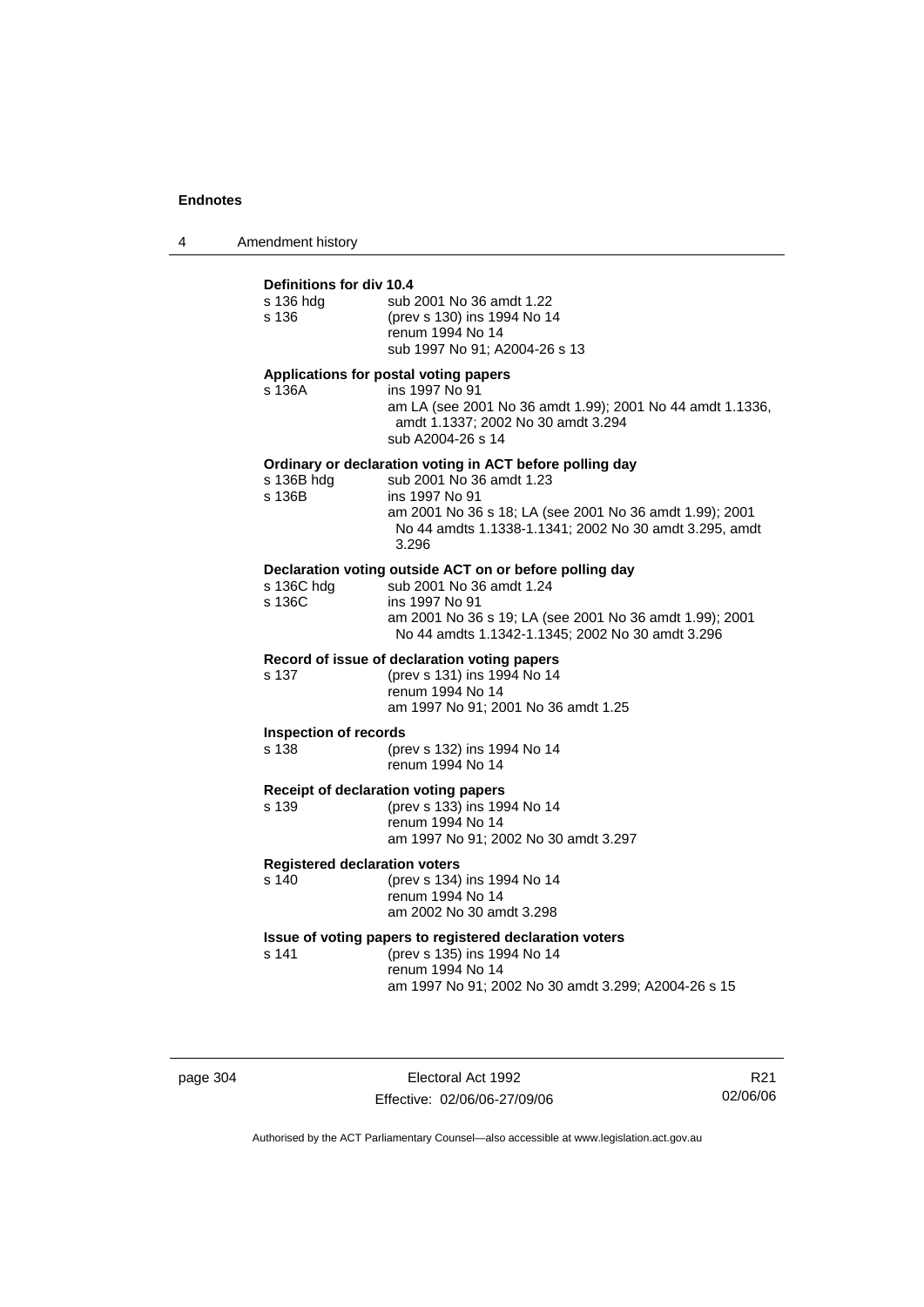4 Amendment history

# **Definitions for div 10.4**

| s 136 hdg<br>s 136                            | sub 2001 No 36 amdt 1.22<br>(prev s 130) ins 1994 No 14<br>renum 1994 No 14<br>sub 1997 No 91; A2004-26 s 13                                                                                                                         |
|-----------------------------------------------|--------------------------------------------------------------------------------------------------------------------------------------------------------------------------------------------------------------------------------------|
| s 136A                                        | Applications for postal voting papers<br>ins 1997 No 91<br>am LA (see 2001 No 36 amdt 1.99); 2001 No 44 amdt 1.1336,<br>amdt 1.1337; 2002 No 30 amdt 3.294<br>sub A2004-26 s 14                                                      |
| s 136B hdg<br>s 136B                          | Ordinary or declaration voting in ACT before polling day<br>sub 2001 No 36 amdt 1.23<br>ins 1997 No 91<br>am 2001 No 36 s 18; LA (see 2001 No 36 amdt 1.99); 2001<br>No 44 amdts 1.1338-1.1341; 2002 No 30 amdt 3.295, amdt<br>3.296 |
| s 136C hdg<br>s 136C                          | Declaration voting outside ACT on or before polling day<br>sub 2001 No 36 amdt 1.24<br>ins 1997 No 91<br>am 2001 No 36 s 19; LA (see 2001 No 36 amdt 1.99); 2001<br>No 44 amdts 1.1342-1.1345; 2002 No 30 amdt 3.296                 |
| s 137                                         | Record of issue of declaration voting papers<br>(prev s 131) ins 1994 No 14<br>renum 1994 No 14<br>am 1997 No 91; 2001 No 36 amdt 1.25                                                                                               |
| <b>Inspection of records</b><br>s 138         | (prev s 132) ins 1994 No 14<br>renum 1994 No 14                                                                                                                                                                                      |
| s 139                                         | Receipt of declaration voting papers<br>(prev s 133) ins 1994 No 14<br>renum 1994 No 14<br>am 1997 No 91; 2002 No 30 amdt 3.297                                                                                                      |
| <b>Registered declaration voters</b><br>s 140 | (prev s 134) ins 1994 No 14<br>renum 1994 No 14<br>am 2002 No 30 amdt 3.298                                                                                                                                                          |
| s 141                                         | Issue of voting papers to registered declaration voters<br>(prev s 135) ins 1994 No 14<br>renum 1994 No 14<br>am 1997 No 91; 2002 No 30 amdt 3.299; A2004-26 s 15                                                                    |

page 304 Electoral Act 1992 Effective: 02/06/06-27/09/06

R21 02/06/06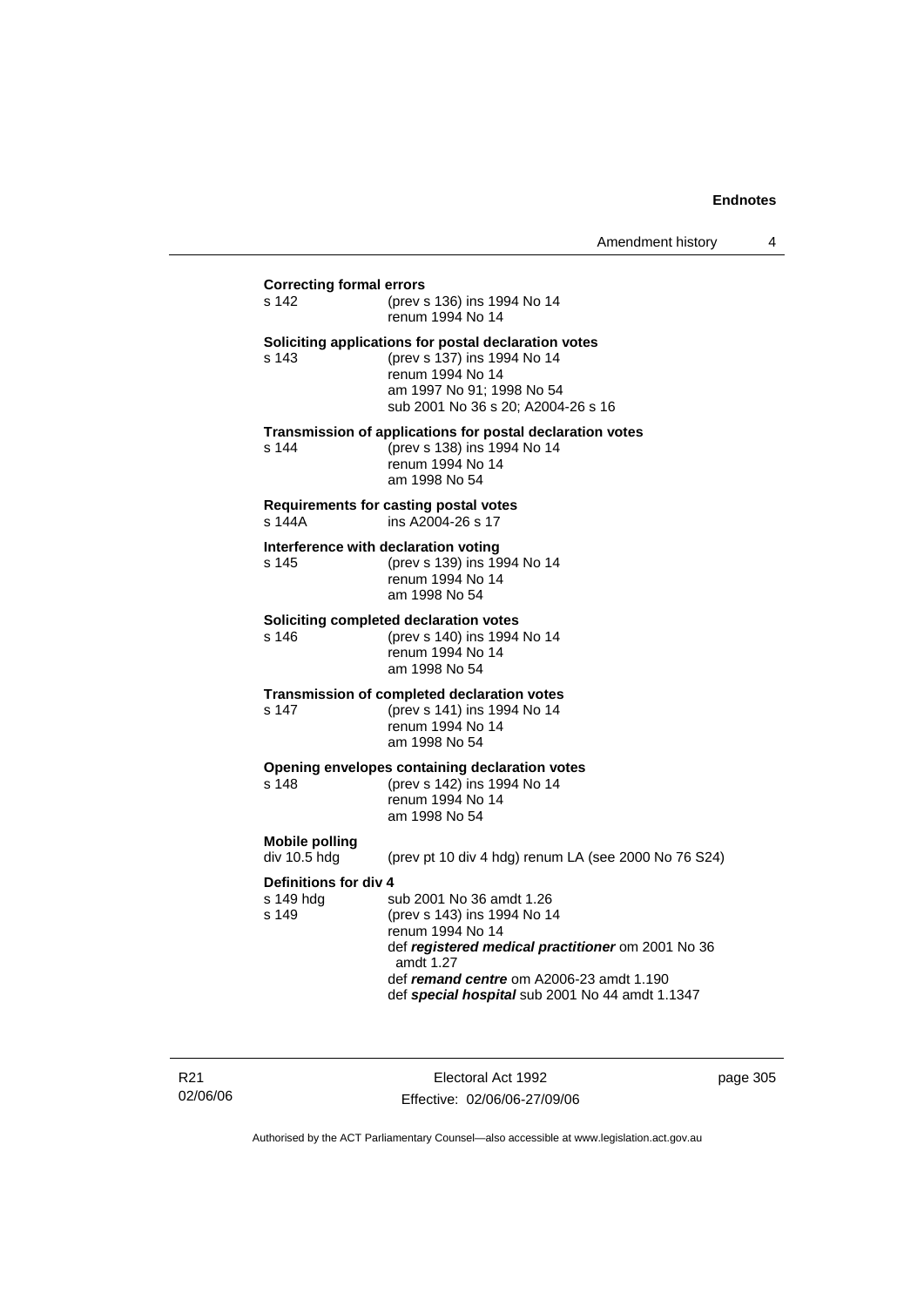# **Correcting formal errors** s 142 (prev s 136) ins 1994 No 14 renum 1994 No 14 **Soliciting applications for postal declaration votes** s 143 (prev s 137) ins 1994 No 14 renum 1994 No 14 am 1997 No 91; 1998 No 54 sub 2001 No 36 s 20; A2004-26 s 16 **Transmission of applications for postal declaration votes** s 144 (prev s 138) ins 1994 No 14 renum 1994 No 14 am 1998 No 54 **Requirements for casting postal votes**  s 144A ins A2004-26 s 17 **Interference with declaration voting** s 145 (prev s 139) ins 1994 No 14 renum 1994 No 14 am 1998 No 54 **Soliciting completed declaration votes**<br>s 146 (prev s 140) ins 1994 (prev s 140) ins 1994 No 14 renum 1994 No 14 am 1998 No 54 **Transmission of completed declaration votes** s 147 (prev s 141) ins 1994 No 14 renum 1994 No 14 am 1998 No 54 **Opening envelopes containing declaration votes** s 148 (prev s 142) ins 1994 No 14 renum 1994 No 14 am 1998 No 54 **Mobile polling**  (prev pt 10 div 4 hdg) renum LA (see 2000 No 76 S24) **Definitions for div 4**<br>s 149 hdq s sub 2001 No 36 amdt 1.26 s 149 (prev s 143) ins 1994 No 14 renum 1994 No 14 def *registered medical practitioner* om 2001 No 36 amdt 1.27 def *remand centre* om A2006-23 amdt 1.190 def *special hospital* sub 2001 No 44 amdt 1.1347

R21 02/06/06

Electoral Act 1992 Effective: 02/06/06-27/09/06 page 305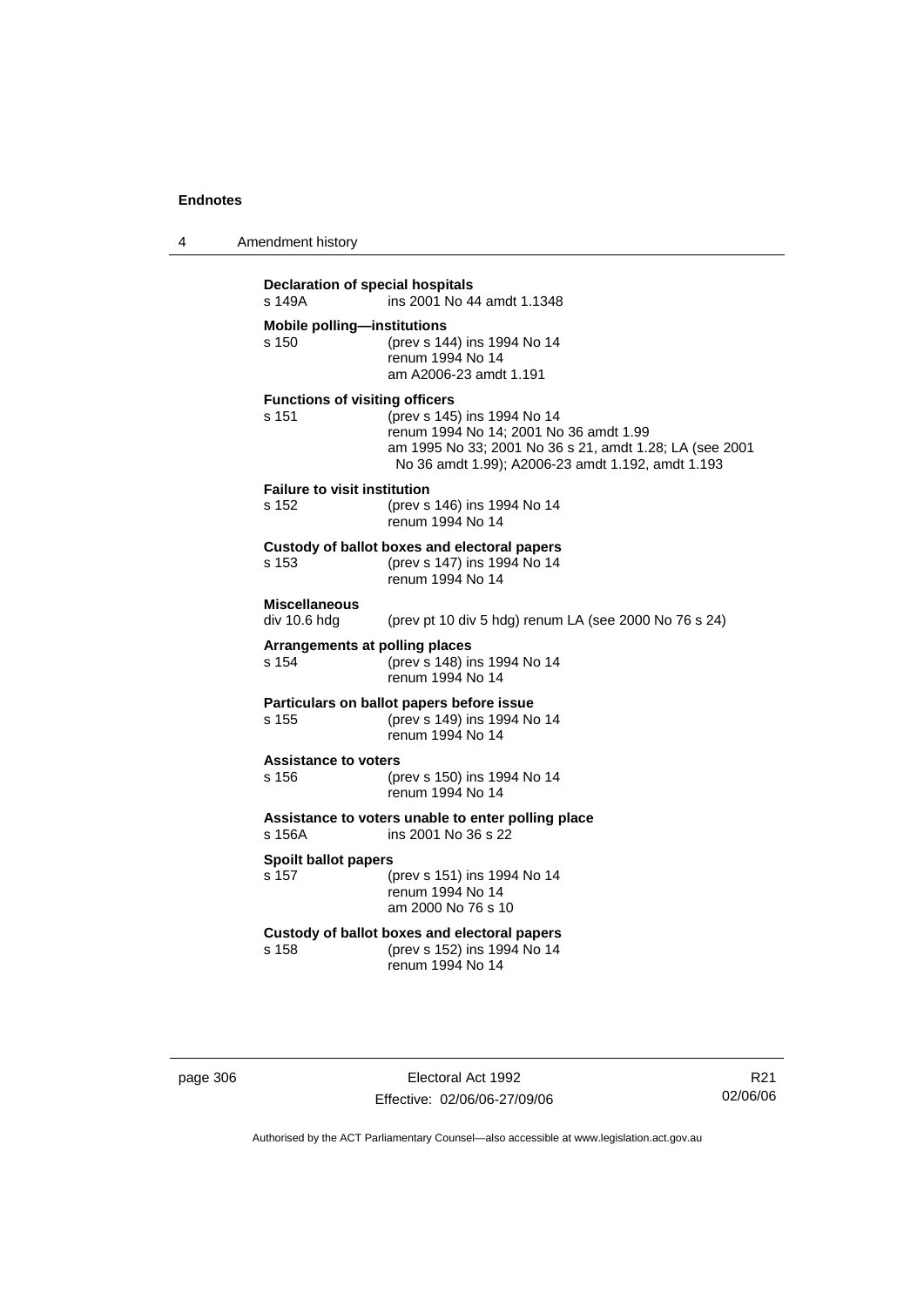4 Amendment history

| s 149A                                         | ins 2001 No 44 amdt 1.1348                                                                                                                                                            |
|------------------------------------------------|---------------------------------------------------------------------------------------------------------------------------------------------------------------------------------------|
| <b>Mobile polling-institutions</b><br>s 150    | (prev s 144) ins 1994 No 14<br>renum 1994 No 14<br>am A2006-23 amdt 1.191                                                                                                             |
| <b>Functions of visiting officers</b><br>s 151 | (prev s 145) ins 1994 No 14<br>renum 1994 No 14; 2001 No 36 amdt 1.99<br>am 1995 No 33; 2001 No 36 s 21, amdt 1.28; LA (see 2001<br>No 36 amdt 1.99); A2006-23 amdt 1.192, amdt 1.193 |
| <b>Failure to visit institution</b><br>s 152   | (prev s 146) ins 1994 No 14<br>renum 1994 No 14                                                                                                                                       |
| s 153                                          | Custody of ballot boxes and electoral papers<br>(prev s 147) ins 1994 No 14<br>renum 1994 No 14                                                                                       |
| <b>Miscellaneous</b><br>div 10.6 hdg           | (prev pt 10 div 5 hdg) renum LA (see 2000 No 76 s 24)                                                                                                                                 |
| s 154                                          | Arrangements at polling places<br>(prev s 148) ins 1994 No 14<br>renum 1994 No 14                                                                                                     |
| s 155                                          | Particulars on ballot papers before issue<br>(prev s 149) ins 1994 No 14<br>renum 1994 No 14                                                                                          |
| <b>Assistance to voters</b><br>s 156           | (prev s 150) ins 1994 No 14<br>renum 1994 No 14                                                                                                                                       |
| s 156A                                         | Assistance to voters unable to enter polling place<br>ins 2001 No 36 s 22                                                                                                             |
| <b>Spoilt ballot papers</b><br>s 157           | (prev s 151) ins 1994 No 14<br>renum 1994 No 14<br>am 2000 No 76 s 10                                                                                                                 |
| s 158                                          | Custody of ballot boxes and electoral papers<br>(prev s 152) ins 1994 No 14<br>renum 1994 No 14                                                                                       |

page 306 Electoral Act 1992 Effective: 02/06/06-27/09/06

R21 02/06/06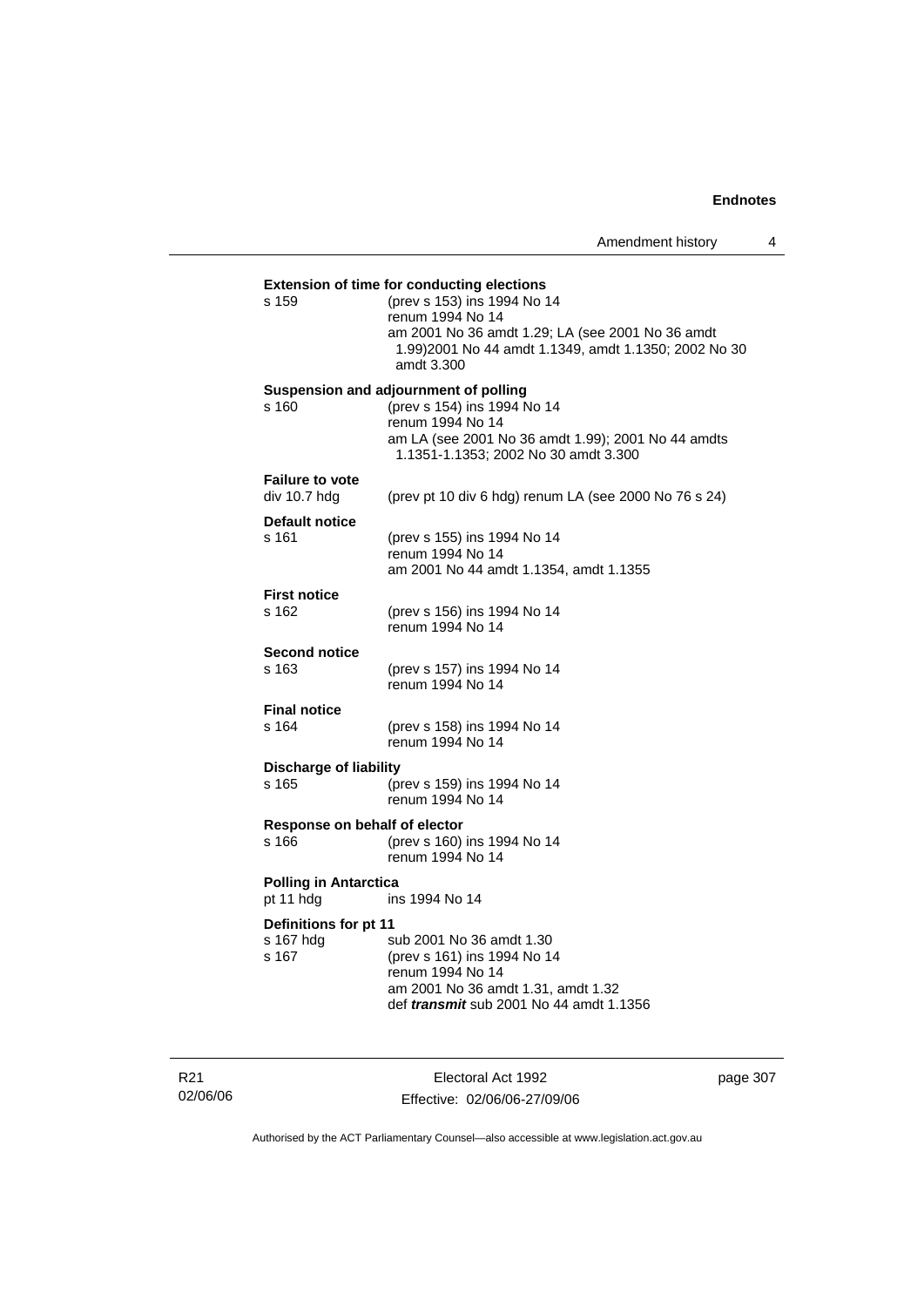|                               | <b>Extension of time for conducting elections</b>                                                         |
|-------------------------------|-----------------------------------------------------------------------------------------------------------|
| s 159                         | (prev s 153) ins 1994 No 14                                                                               |
|                               | renum 1994 No 14                                                                                          |
|                               | am 2001 No 36 amdt 1.29; LA (see 2001 No 36 amdt<br>1.99) 2001 No 44 amdt 1.1349, amdt 1.1350; 2002 No 30 |
|                               | amdt 3.300                                                                                                |
|                               | Suspension and adjournment of polling                                                                     |
| s 160                         | (prev s 154) ins 1994 No 14                                                                               |
|                               | renum 1994 No 14<br>am LA (see 2001 No 36 amdt 1.99); 2001 No 44 amdts                                    |
|                               | 1.1351-1.1353; 2002 No 30 amdt 3.300                                                                      |
| <b>Failure to vote</b>        |                                                                                                           |
| div 10.7 hdg                  | (prev pt 10 div 6 hdg) renum LA (see 2000 No 76 s 24)                                                     |
| Default notice                |                                                                                                           |
| s 161                         | (prev s 155) ins 1994 No 14<br>renum 1994 No 14                                                           |
|                               | am 2001 No 44 amdt 1.1354, amdt 1.1355                                                                    |
| <b>First notice</b>           |                                                                                                           |
| s 162                         | (prev s 156) ins 1994 No 14                                                                               |
|                               | renum 1994 No 14                                                                                          |
| <b>Second notice</b>          |                                                                                                           |
| s 163                         | (prev s 157) ins 1994 No 14<br>renum 1994 No 14                                                           |
|                               |                                                                                                           |
| <b>Final notice</b><br>s 164  | (prev s 158) ins 1994 No 14                                                                               |
|                               | renum 1994 No 14                                                                                          |
| <b>Discharge of liability</b> |                                                                                                           |
| s 165                         | (prev s 159) ins 1994 No 14                                                                               |
|                               | renum 1994 No 14                                                                                          |
| Response on behalf of elector |                                                                                                           |
| s 166                         | (prev s 160) ins 1994 No 14<br>renum 1994 No 14                                                           |
| <b>Polling in Antarctica</b>  |                                                                                                           |
| pt 11 hdg                     | ins 1994 No 14                                                                                            |
| Definitions for pt 11         |                                                                                                           |
| s 167 hdg                     | sub 2001 No 36 amdt 1.30                                                                                  |
| s 167                         | (prev s 161) ins 1994 No 14                                                                               |
|                               | renum 1994 No 14<br>am 2001 No 36 amdt 1.31, amdt 1.32                                                    |
|                               |                                                                                                           |

R21 02/06/06

Electoral Act 1992 Effective: 02/06/06-27/09/06 page 307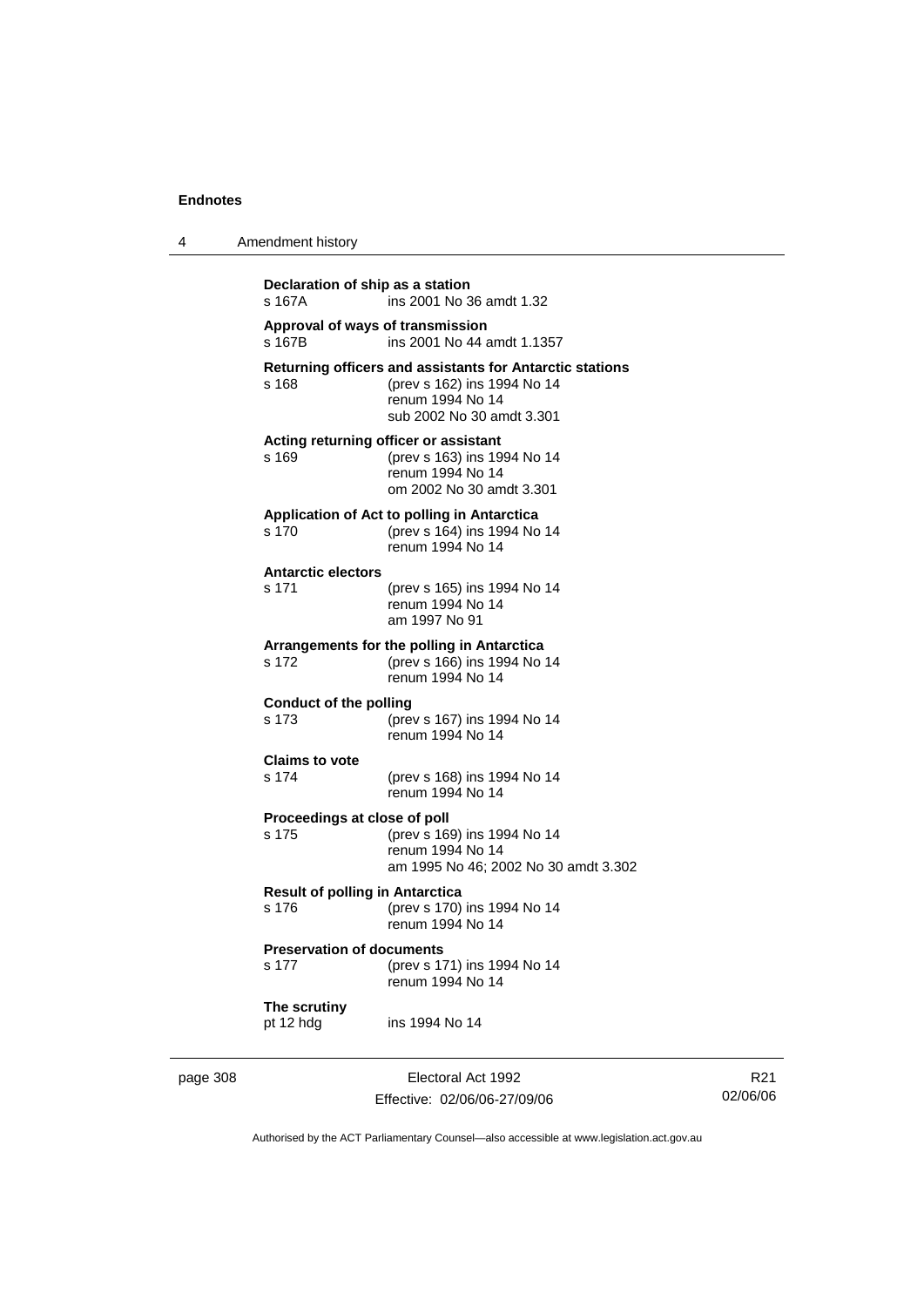4 Amendment history

| Approval of ways of transmission<br>s 167B      |                                                                                                                                          |
|-------------------------------------------------|------------------------------------------------------------------------------------------------------------------------------------------|
|                                                 | ins 2001 No 44 amdt 1.1357                                                                                                               |
| s 168                                           | Returning officers and assistants for Antarctic stations<br>(prev s 162) ins 1994 No 14<br>renum 1994 No 14<br>sub 2002 No 30 amdt 3.301 |
| s 169                                           | Acting returning officer or assistant<br>(prev s 163) ins 1994 No 14<br>renum 1994 No 14<br>om 2002 No 30 amdt 3.301                     |
| s 170                                           | Application of Act to polling in Antarctica<br>(prev s 164) ins 1994 No 14<br>renum 1994 No 14                                           |
| <b>Antarctic electors</b><br>s 171              | (prev s 165) ins 1994 No 14<br>renum 1994 No 14<br>am 1997 No 91                                                                         |
| s 172                                           | Arrangements for the polling in Antarctica<br>(prev s 166) ins 1994 No 14<br>renum 1994 No 14                                            |
| <b>Conduct of the polling</b><br>s 173          | (prev s 167) ins 1994 No 14<br>renum 1994 No 14                                                                                          |
| <b>Claims to vote</b><br>s 174                  | (prev s 168) ins 1994 No 14<br>renum 1994 No 14                                                                                          |
| Proceedings at close of poll<br>s 175           | (prev s 169) ins 1994 No 14<br>renum 1994 No 14<br>am 1995 No 46; 2002 No 30 amdt 3.302                                                  |
| <b>Result of polling in Antarctica</b><br>s 176 | (prev s 170) ins 1994 No 14<br>renum 1994 No 14                                                                                          |
| <b>Preservation of documents</b><br>s 177       | (prev s 171) ins 1994 No 14<br>renum 1994 No 14                                                                                          |
| The scrutiny<br>pt 12 hdg                       | ins 1994 No 14                                                                                                                           |

page 308 Electoral Act 1992 Effective: 02/06/06-27/09/06

R21 02/06/06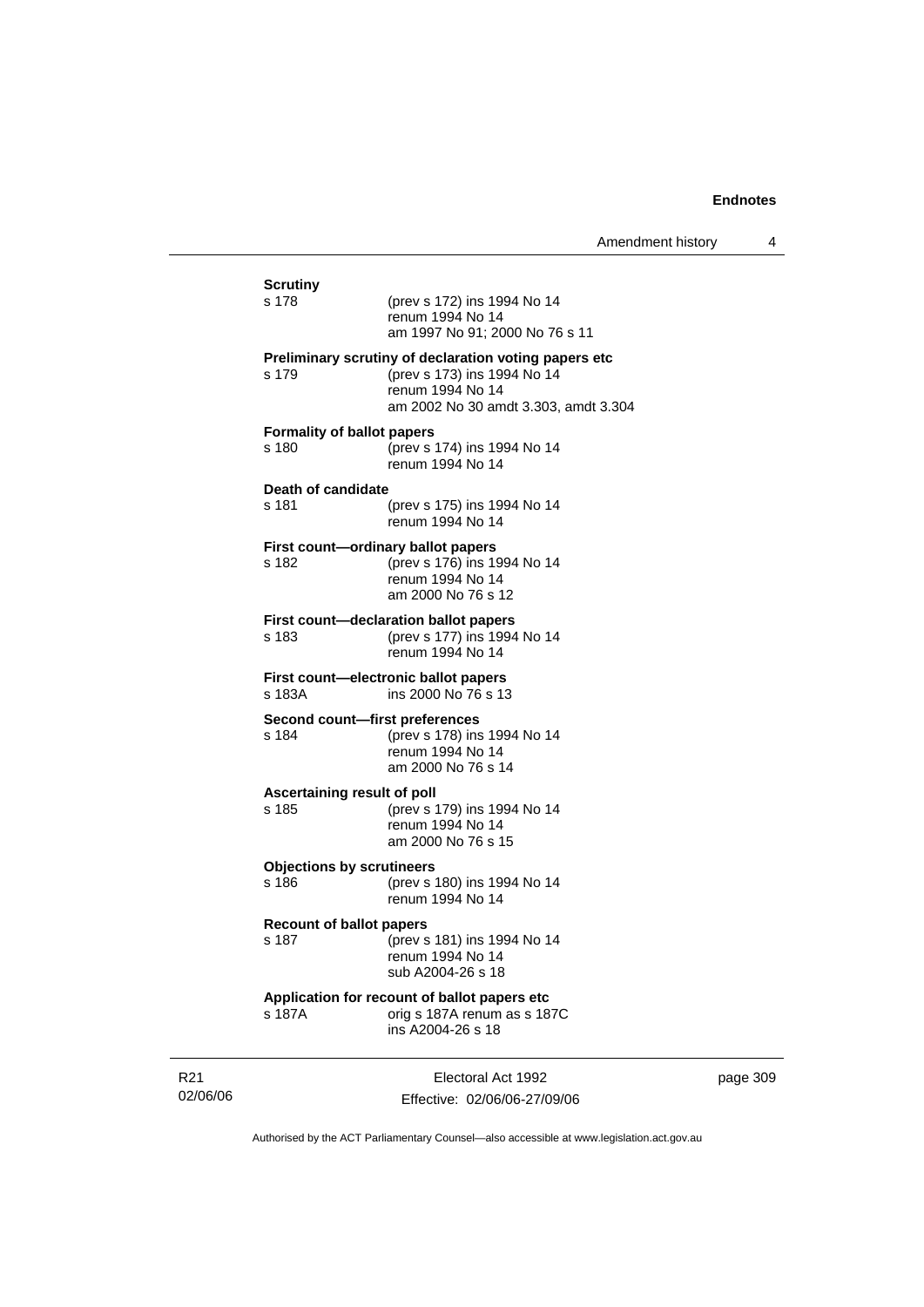| <b>Scrutiny</b><br>s 178                    | (prev s 172) ins 1994 No 14<br>renum 1994 No 14<br>am 1997 No 91: 2000 No 76 s 11                                                                |
|---------------------------------------------|--------------------------------------------------------------------------------------------------------------------------------------------------|
| s 179                                       | Preliminary scrutiny of declaration voting papers etc<br>(prev s 173) ins 1994 No 14<br>renum 1994 No 14<br>am 2002 No 30 amdt 3.303, amdt 3.304 |
| <b>Formality of ballot papers</b><br>s 180  | (prev s 174) ins 1994 No 14<br>renum 1994 No 14                                                                                                  |
| Death of candidate<br>s 181                 | (prev s 175) ins 1994 No 14<br>renum 1994 No 14                                                                                                  |
| First count-ordinary ballot papers<br>s 182 | (prev s 176) ins 1994 No 14<br>renum 1994 No 14<br>am 2000 No 76 s 12                                                                            |
| s 183                                       | <b>First count-declaration ballot papers</b><br>(prev s 177) ins 1994 No 14<br>renum 1994 No 14                                                  |
| s 183A                                      | First count—electronic ballot papers<br>ins 2000 No 76 s 13                                                                                      |
| Second count-first preferences<br>s 184     | (prev s 178) ins 1994 No 14<br>renum 1994 No 14<br>am 2000 No 76 s 14                                                                            |
| Ascertaining result of poll<br>s 185        | (prev s 179) ins 1994 No 14<br>renum 1994 No 14<br>am 2000 No 76 s 15                                                                            |
| <b>Objections by scrutineers</b><br>s 186   | (prev s 180) ins 1994 No 14<br>renum 1994 No 14                                                                                                  |
| <b>Recount of ballot papers</b><br>s 187    | (prev s 181) ins 1994 No 14<br>renum 1994 No 14<br>sub A2004-26 s 18                                                                             |
| s 187A                                      | Application for recount of ballot papers etc<br>orig s 187A renum as s 187C<br>ins A2004-26 s 18                                                 |

R21 02/06/06

Electoral Act 1992 Effective: 02/06/06-27/09/06 page 309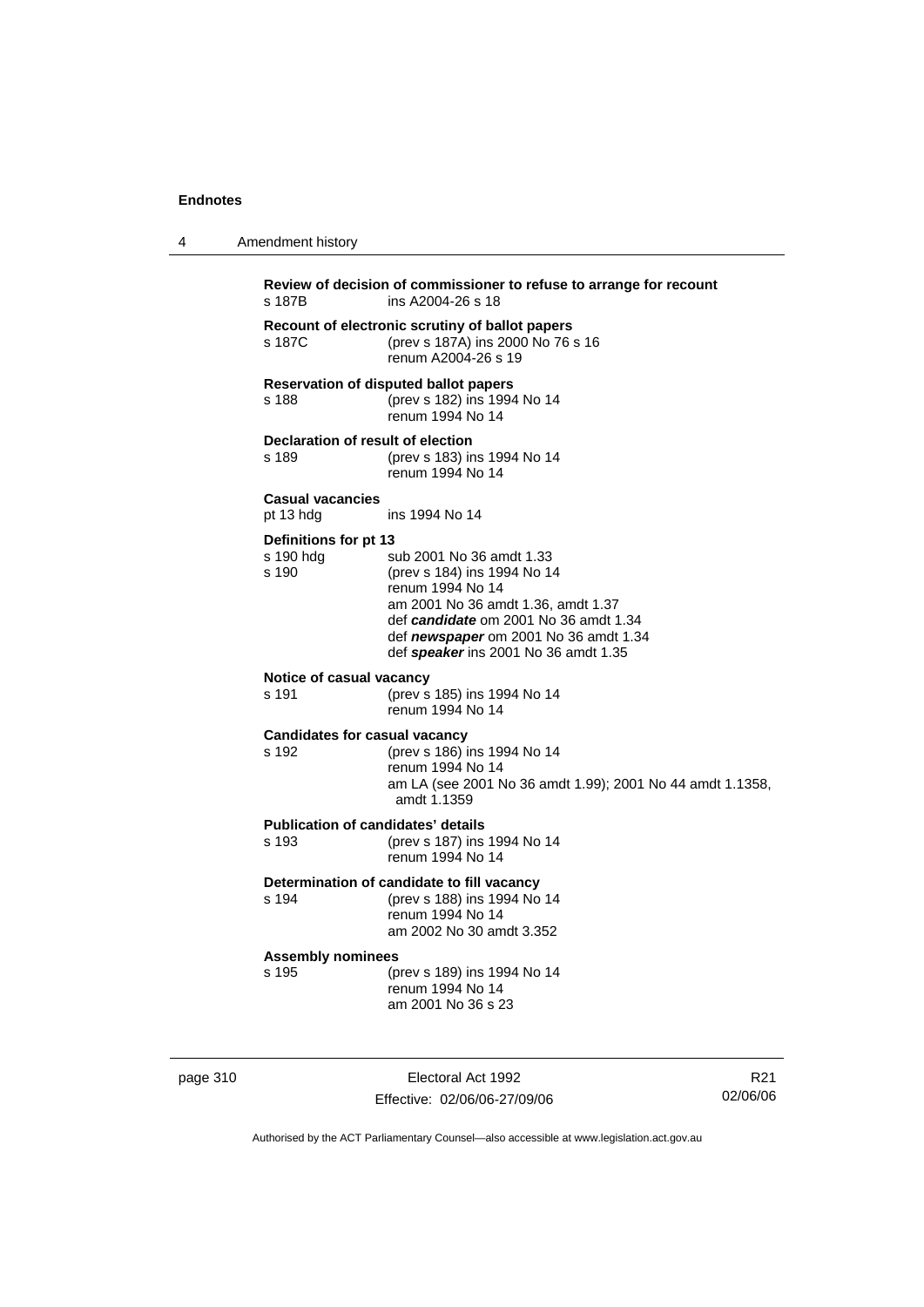4 Amendment history

| s 187B                                        | ins A2004-26 s 18                                                                                                                                                                                                                           |
|-----------------------------------------------|---------------------------------------------------------------------------------------------------------------------------------------------------------------------------------------------------------------------------------------------|
| s 187C                                        | Recount of electronic scrutiny of ballot papers<br>(prev s 187A) ins 2000 No 76 s 16<br>renum A2004-26 s 19                                                                                                                                 |
| s 188                                         | <b>Reservation of disputed ballot papers</b><br>(prev s 182) ins 1994 No 14<br>renum 1994 No 14                                                                                                                                             |
| Declaration of result of election<br>s 189    | (prev s 183) ins 1994 No 14<br>renum 1994 No 14                                                                                                                                                                                             |
| <b>Casual vacancies</b><br>pt 13 hdg          | ins 1994 No 14                                                                                                                                                                                                                              |
| Definitions for pt 13<br>s 190 hdg<br>s 190   | sub 2001 No 36 amdt 1.33<br>(prev s 184) ins 1994 No 14<br>renum 1994 No 14<br>am 2001 No 36 amdt 1.36, amdt 1.37<br>def candidate om 2001 No 36 amdt 1.34<br>def newspaper om 2001 No 36 amdt 1.34<br>def speaker ins 2001 No 36 amdt 1.35 |
| Notice of casual vacancy<br>s 191             | (prev s 185) ins 1994 No 14<br>renum 1994 No 14                                                                                                                                                                                             |
| <b>Candidates for casual vacancy</b><br>s 192 | (prev s 186) ins 1994 No 14<br>renum 1994 No 14<br>am LA (see 2001 No 36 amdt 1.99); 2001 No 44 amdt 1.1358,<br>amdt 1.1359                                                                                                                 |
| s 193                                         | <b>Publication of candidates' details</b><br>(prev s 187) ins 1994 No 14<br>renum 1994 No 14                                                                                                                                                |
| s 194                                         | Determination of candidate to fill vacancy<br>(prev s 188) ins 1994 No 14<br>renum 1994 No 14<br>am 2002 No 30 amdt 3.352                                                                                                                   |
| <b>Assembly nominees</b><br>s 195             | (prev s 189) ins 1994 No 14<br>renum 1994 No 14<br>am 2001 No 36 s 23                                                                                                                                                                       |

page 310 **Electoral Act 1992** Effective: 02/06/06-27/09/06

R21 02/06/06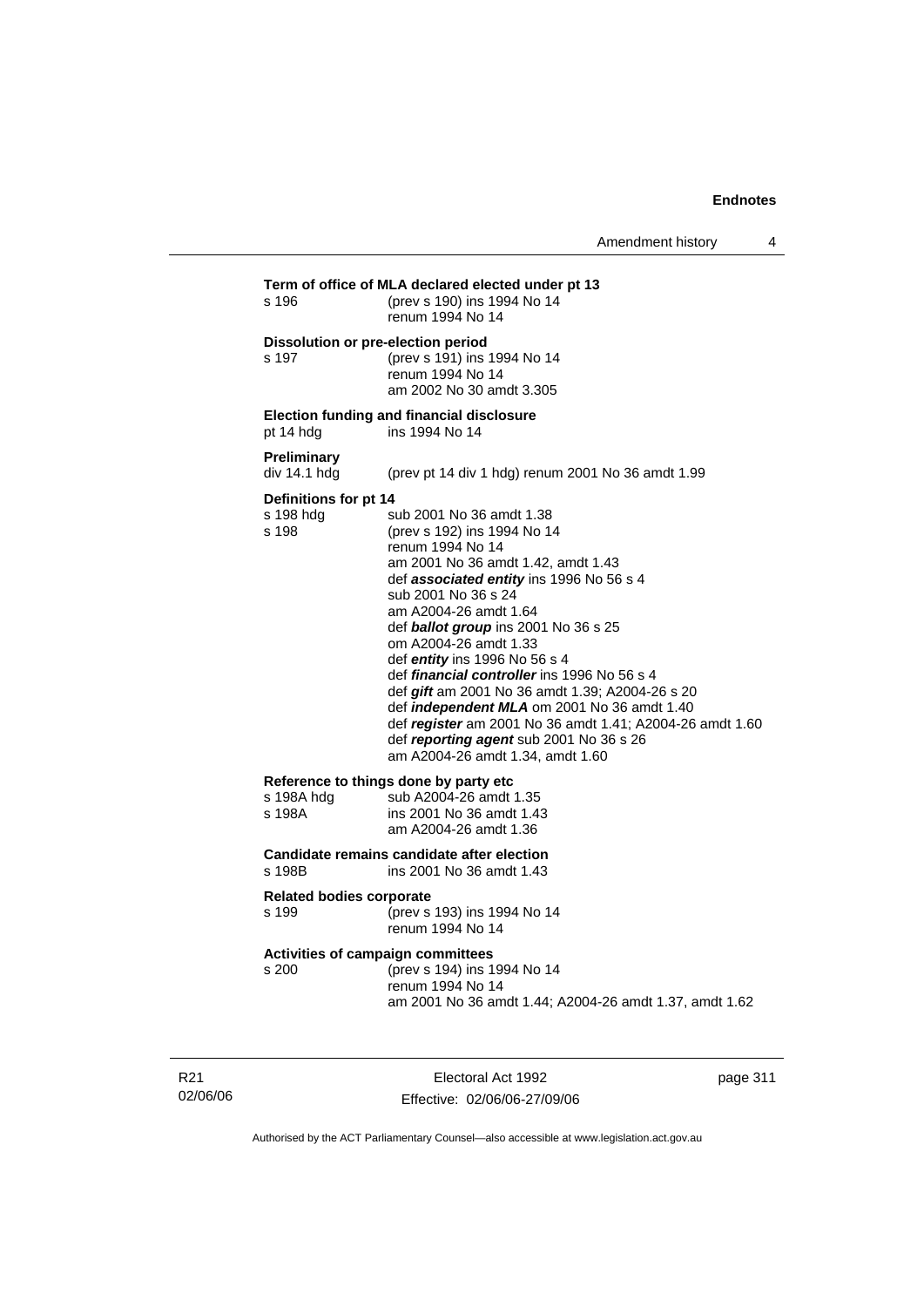| s 196                                       | Term of office of MLA declared elected under pt 13<br>(prev s 190) ins 1994 No 14<br>renum 1994 No 14                                                                                                                                                                                                                                                                                                                                                                                                                                                                                                              |
|---------------------------------------------|--------------------------------------------------------------------------------------------------------------------------------------------------------------------------------------------------------------------------------------------------------------------------------------------------------------------------------------------------------------------------------------------------------------------------------------------------------------------------------------------------------------------------------------------------------------------------------------------------------------------|
| s 197                                       | Dissolution or pre-election period<br>(prev s 191) ins 1994 No 14<br>renum 1994 No 14<br>am 2002 No 30 amdt 3.305                                                                                                                                                                                                                                                                                                                                                                                                                                                                                                  |
| pt 14 hdg                                   | Election funding and financial disclosure<br>ins 1994 No 14                                                                                                                                                                                                                                                                                                                                                                                                                                                                                                                                                        |
| Preliminary<br>div 14.1 hdg                 | (prev pt 14 div 1 hdg) renum 2001 No 36 amdt 1.99                                                                                                                                                                                                                                                                                                                                                                                                                                                                                                                                                                  |
| Definitions for pt 14<br>s 198 hdg<br>s 198 | sub 2001 No 36 amdt 1.38<br>(prev s 192) ins 1994 No 14<br>renum 1994 No 14<br>am 2001 No 36 amdt 1.42, amdt 1.43<br>def associated entity ins 1996 No 56 s 4<br>sub 2001 No 36 s 24<br>am A2004-26 amdt 1.64<br>def ballot group ins 2001 No 36 s 25<br>om A2004-26 amdt 1.33<br>def entity ins 1996 No 56 s 4<br>def <i>financial controller</i> ins 1996 No 56 s 4<br>def gift am 2001 No 36 amdt 1.39; A2004-26 s 20<br>def independent MLA om 2001 No 36 amdt 1.40<br>def register am 2001 No 36 amdt 1.41; A2004-26 amdt 1.60<br>def reporting agent sub 2001 No 36 s 26<br>am A2004-26 amdt 1.34, amdt 1.60 |
| s 198A hda<br>s 198A                        | Reference to things done by party etc<br>sub A2004-26 amdt 1.35<br>ins 2001 No 36 amdt 1.43<br>am A2004-26 amdt 1.36                                                                                                                                                                                                                                                                                                                                                                                                                                                                                               |
| s 198B                                      | Candidate remains candidate after election<br>ins 2001 No 36 amdt 1.43                                                                                                                                                                                                                                                                                                                                                                                                                                                                                                                                             |
| <b>Related bodies corporate</b><br>s 199    | (prev s 193) ins 1994 No 14<br>renum 1994 No 14                                                                                                                                                                                                                                                                                                                                                                                                                                                                                                                                                                    |
| s 200                                       | <b>Activities of campaign committees</b><br>(prev s 194) ins 1994 No 14<br>renum 1994 No 14<br>am 2001 No 36 amdt 1.44; A2004-26 amdt 1.37, amdt 1.62                                                                                                                                                                                                                                                                                                                                                                                                                                                              |

R21 02/06/06

Electoral Act 1992 Effective: 02/06/06-27/09/06 page 311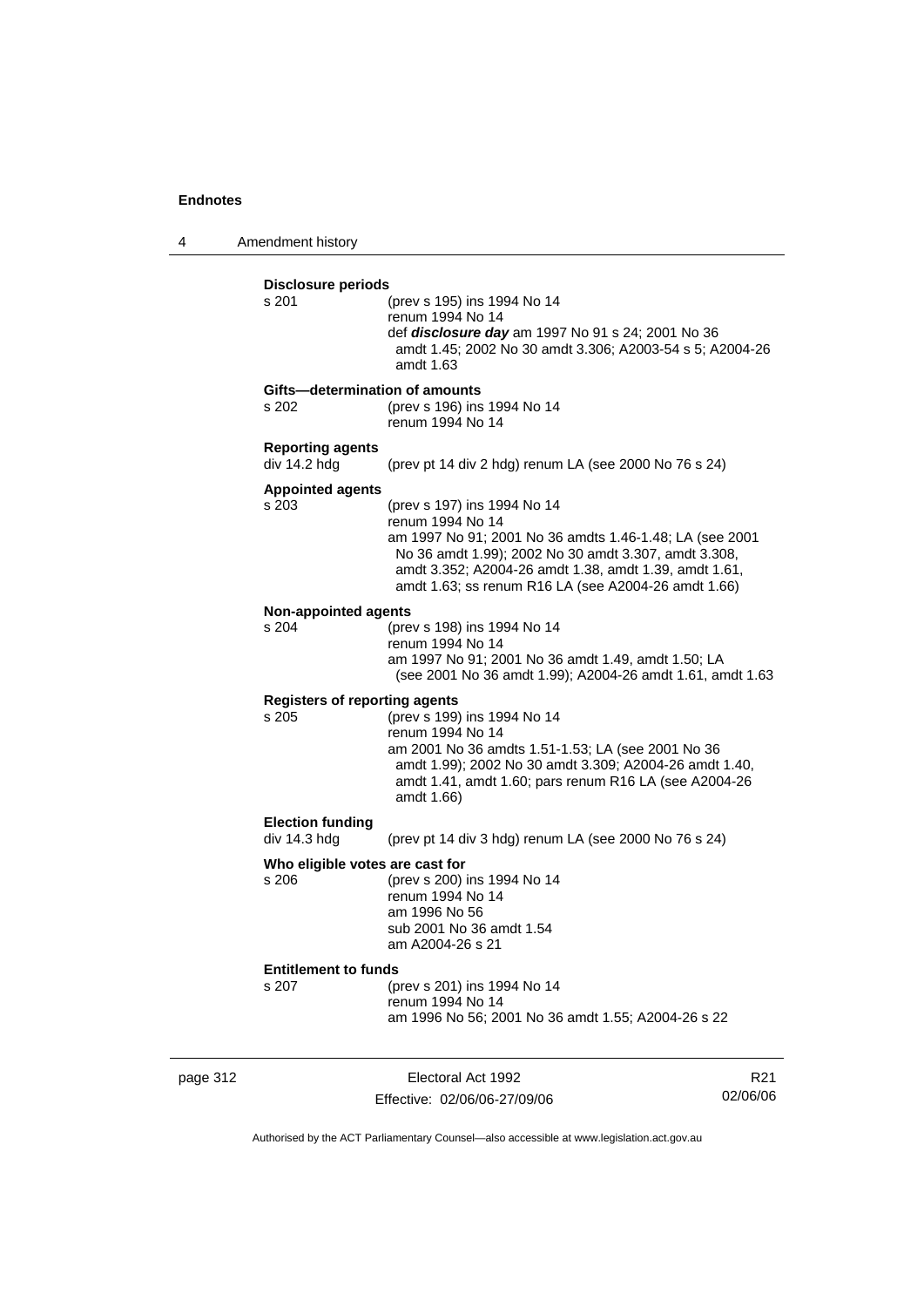4 Amendment history

| <b>Disclosure periods</b><br>s 201   | (prev s 195) ins 1994 No 14                                                                                     |
|--------------------------------------|-----------------------------------------------------------------------------------------------------------------|
|                                      | renum 1994 No 14                                                                                                |
|                                      | def <i>disclosure day</i> am 1997 No 91 s 24; 2001 No 36                                                        |
|                                      | amdt 1.45; 2002 No 30 amdt 3.306; A2003-54 s 5; A2004-26                                                        |
|                                      | amdt 1.63                                                                                                       |
|                                      | Gifts-determination of amounts                                                                                  |
| s 202                                | (prev s 196) ins 1994 No 14                                                                                     |
|                                      | renum 1994 No 14                                                                                                |
| <b>Reporting agents</b>              |                                                                                                                 |
| div $14.2$ hdg                       | (prev pt 14 div 2 hdg) renum LA (see 2000 No 76 s 24)                                                           |
| <b>Appointed agents</b>              |                                                                                                                 |
| s 203                                | (prev s 197) ins 1994 No 14                                                                                     |
|                                      | renum 1994 No 14                                                                                                |
|                                      | am 1997 No 91; 2001 No 36 amdts 1.46-1.48; LA (see 2001<br>No 36 amdt 1.99); 2002 No 30 amdt 3.307, amdt 3.308, |
|                                      | amdt 3.352; A2004-26 amdt 1.38, amdt 1.39, amdt 1.61,                                                           |
|                                      | amdt 1.63; ss renum R16 LA (see A2004-26 amdt 1.66)                                                             |
|                                      |                                                                                                                 |
| <b>Non-appointed agents</b><br>s 204 | (prev s 198) ins 1994 No 14                                                                                     |
|                                      | renum 1994 No 14                                                                                                |
|                                      | am 1997 No 91; 2001 No 36 amdt 1.49, amdt 1.50; LA                                                              |
|                                      | (see 2001 No 36 amdt 1.99); A2004-26 amdt 1.61, amdt 1.63                                                       |
| <b>Registers of reporting agents</b> |                                                                                                                 |
| s 205                                | (prev s 199) ins 1994 No 14                                                                                     |
|                                      | renum 1994 No 14                                                                                                |
|                                      | am 2001 No 36 amdts 1.51-1.53; LA (see 2001 No 36                                                               |
|                                      | amdt 1.99); 2002 No 30 amdt 3.309; A2004-26 amdt 1.40,                                                          |
|                                      | amdt 1.41, amdt 1.60; pars renum R16 LA (see A2004-26                                                           |
|                                      | amdt 1.66)                                                                                                      |
| <b>Election funding</b>              |                                                                                                                 |
| div 14.3 hdg                         | (prev pt 14 div 3 hdg) renum LA (see 2000 No 76 s 24)                                                           |
| Who eligible votes are cast for      |                                                                                                                 |
| s 206                                | (prev s 200) ins 1994 No 14                                                                                     |
|                                      | renum 1994 No 14<br>am 1996 No 56                                                                               |
|                                      | sub 2001 No 36 amdt 1.54                                                                                        |
|                                      | am A2004-26 s 21                                                                                                |
| <b>Entitlement to funds</b>          |                                                                                                                 |
| s 207                                | (prev s 201) ins 1994 No 14                                                                                     |
|                                      | renum 1994 No 14                                                                                                |
|                                      | am 1996 No 56; 2001 No 36 amdt 1.55; A2004-26 s 22                                                              |

page 312 **Electoral Act 1992** Effective: 02/06/06-27/09/06

R21 02/06/06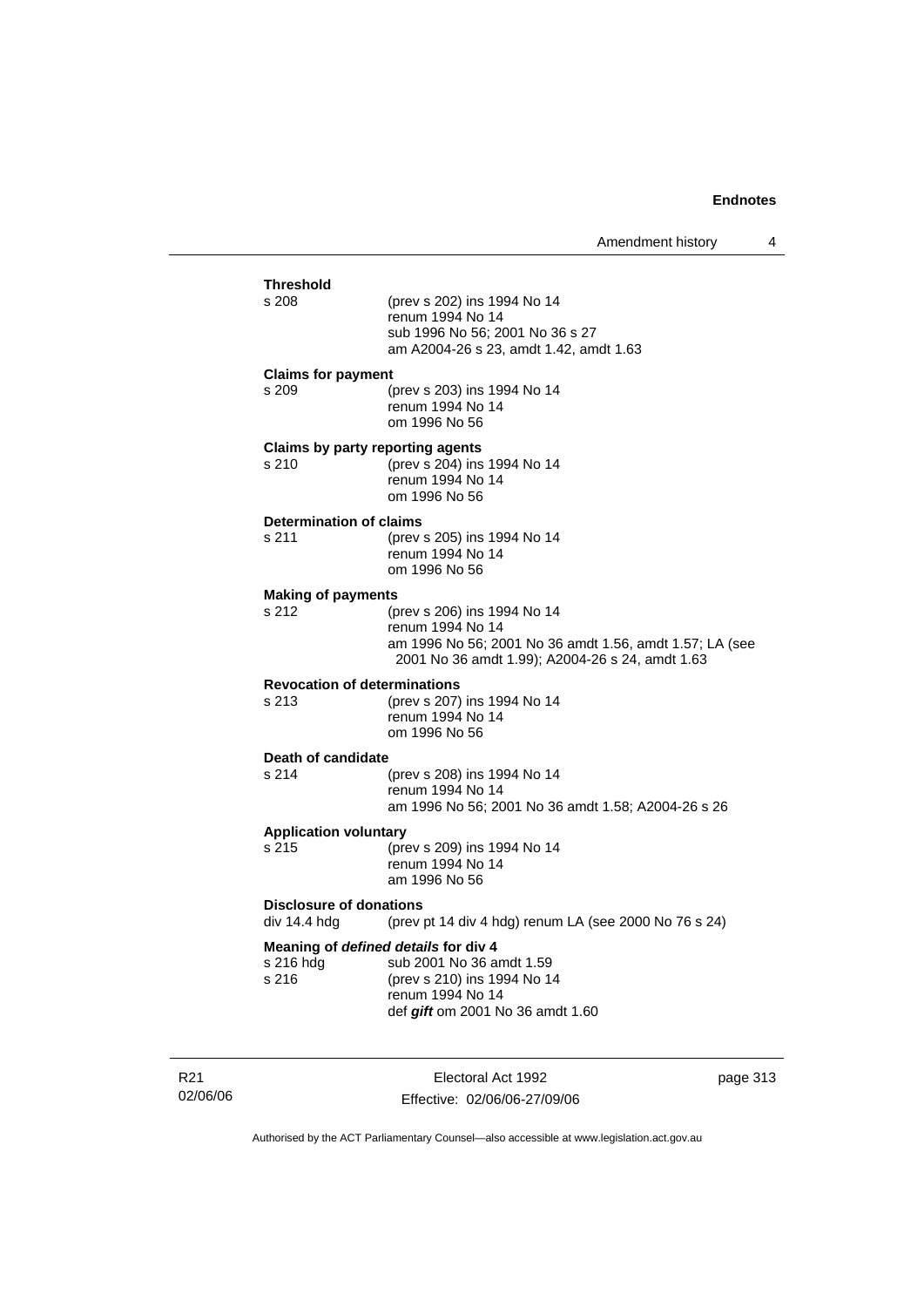| <b>Threshold</b>                        |                                                                                                            |
|-----------------------------------------|------------------------------------------------------------------------------------------------------------|
| s 208                                   | (prev s 202) ins 1994 No 14<br>renum 1994 No 14                                                            |
|                                         | sub 1996 No 56; 2001 No 36 s 27<br>am A2004-26 s 23, amdt 1.42, amdt 1.63                                  |
| <b>Claims for payment</b>               |                                                                                                            |
| s 209                                   | (prev s 203) ins 1994 No 14<br>renum 1994 No 14<br>om 1996 No 56                                           |
| Claims by party reporting agents        |                                                                                                            |
| s 210                                   | (prev s 204) ins 1994 No 14<br>renum 1994 No 14<br>om 1996 No 56                                           |
| <b>Determination of claims</b>          |                                                                                                            |
| s 211                                   | (prev s 205) ins 1994 No 14<br>renum 1994 No 14<br>om 1996 No 56                                           |
| <b>Making of payments</b>               |                                                                                                            |
| s 212                                   | (prev s 206) ins 1994 No 14<br>renum 1994 No 14                                                            |
|                                         | am 1996 No 56; 2001 No 36 amdt 1.56, amdt 1.57; LA (see<br>2001 No 36 amdt 1.99); A2004-26 s 24, amdt 1.63 |
| <b>Revocation of determinations</b>     |                                                                                                            |
| s 213                                   | (prev s 207) ins 1994 No 14<br>renum 1994 No 14<br>om 1996 No 56                                           |
| Death of candidate                      |                                                                                                            |
| s 214                                   | (prev s 208) ins 1994 No 14<br>renum 1994 No 14                                                            |
|                                         | am 1996 No 56; 2001 No 36 amdt 1.58; A2004-26 s 26                                                         |
| <b>Application voluntary</b><br>s 215   | (prev s 209) ins 1994 No 14                                                                                |
|                                         | renum 1994 No 14<br>am 1996 No 56                                                                          |
| Disclosure of donations<br>div 14.4 hdg | (prev pt 14 div 4 hdg) renum LA (see 2000 No 76 s 24)                                                      |
|                                         | Meaning of defined details for div 4                                                                       |
| s 216 hdg<br>s 216                      | sub 2001 No 36 amdt 1.59<br>(prev s 210) ins 1994 No 14                                                    |
|                                         | renum 1994 No 14<br>def <i>gift</i> om 2001 No 36 amdt 1.60                                                |
|                                         |                                                                                                            |

R21 02/06/06

Electoral Act 1992 Effective: 02/06/06-27/09/06 page 313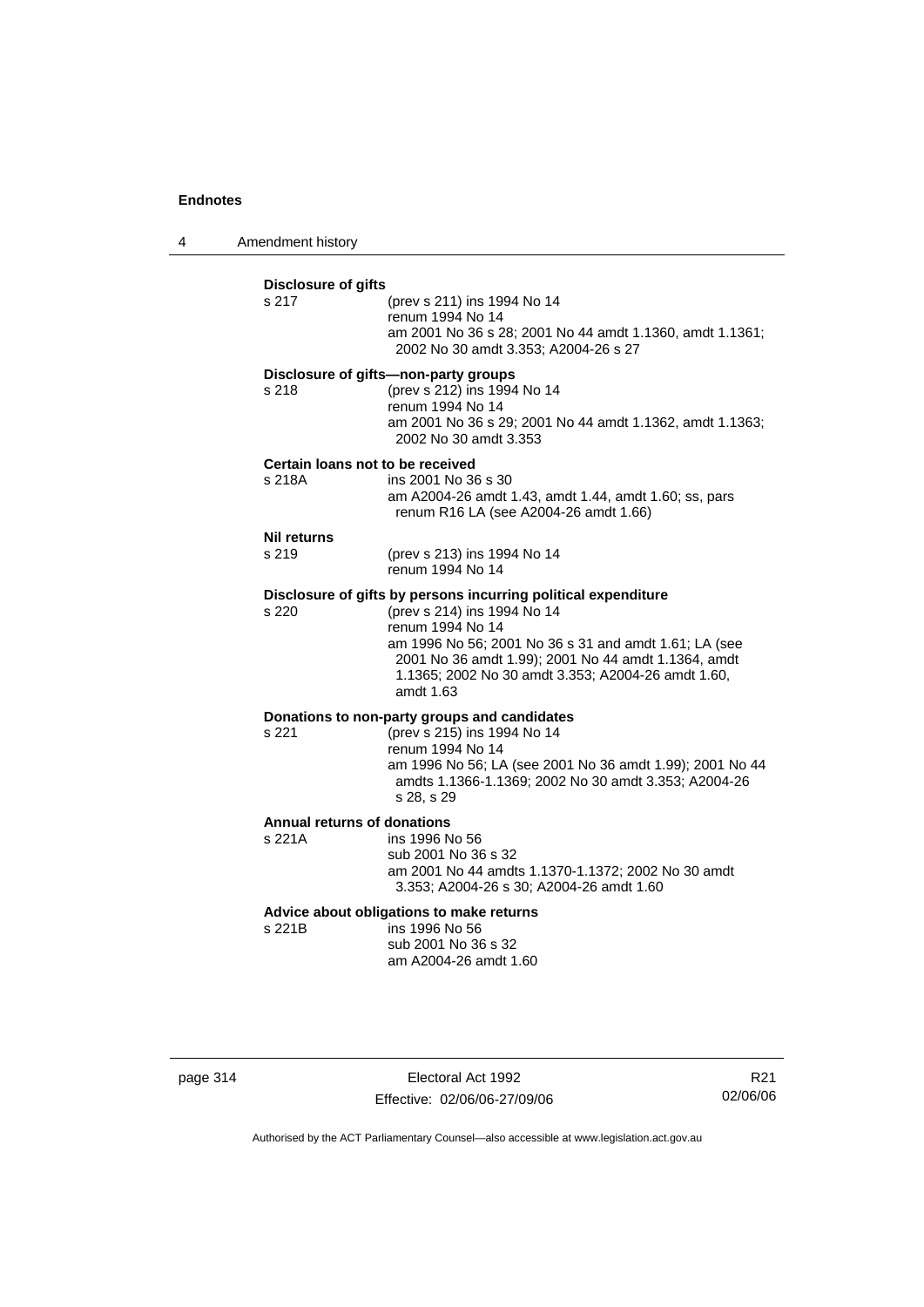4 Amendment history

| <b>Disclosure of gifts</b><br>s 217          | (prev s 211) ins 1994 No 14<br>renum 1994 No 14<br>am 2001 No 36 s 28; 2001 No 44 amdt 1.1360, amdt 1.1361;<br>2002 No 30 amdt 3.353; A2004-26 s 27                                                                                                                                                  |
|----------------------------------------------|------------------------------------------------------------------------------------------------------------------------------------------------------------------------------------------------------------------------------------------------------------------------------------------------------|
| s 218                                        | Disclosure of gifts-non-party groups<br>(prev s 212) ins 1994 No 14<br>renum 1994 No 14<br>am 2001 No 36 s 29; 2001 No 44 amdt 1.1362, amdt 1.1363;<br>2002 No 30 amdt 3.353                                                                                                                         |
| Certain loans not to be received<br>s 218A   | ins 2001 No 36 s 30<br>am A2004-26 amdt 1.43, amdt 1.44, amdt 1.60; ss, pars<br>renum R16 LA (see A2004-26 amdt 1.66)                                                                                                                                                                                |
| <b>Nil returns</b><br>s 219                  | (prev s 213) ins 1994 No 14<br>renum 1994 No 14                                                                                                                                                                                                                                                      |
| s 220                                        | Disclosure of gifts by persons incurring political expenditure<br>(prev s 214) ins 1994 No 14<br>renum 1994 No 14<br>am 1996 No 56; 2001 No 36 s 31 and amdt 1.61; LA (see<br>2001 No 36 amdt 1.99); 2001 No 44 amdt 1.1364, amdt<br>1.1365; 2002 No 30 amdt 3.353; A2004-26 amdt 1.60,<br>amdt 1.63 |
| s 221                                        | Donations to non-party groups and candidates<br>(prev s 215) ins 1994 No 14<br>renum 1994 No 14<br>am 1996 No 56; LA (see 2001 No 36 amdt 1.99); 2001 No 44<br>amdts 1.1366-1.1369; 2002 No 30 amdt 3.353; A2004-26<br>s 28, s 29                                                                    |
| <b>Annual returns of donations</b><br>s 221A | ins 1996 No 56<br>sub 2001 No 36 s 32<br>am 2001 No 44 amdts 1.1370-1.1372; 2002 No 30 amdt<br>3.353; A2004-26 s 30; A2004-26 amdt 1.60                                                                                                                                                              |
| s 221B                                       | Advice about obligations to make returns<br>ins 1996 No 56<br>sub 2001 No 36 s 32<br>am A2004-26 amdt 1.60                                                                                                                                                                                           |
|                                              |                                                                                                                                                                                                                                                                                                      |

page 314 Electoral Act 1992 Effective: 02/06/06-27/09/06

R21 02/06/06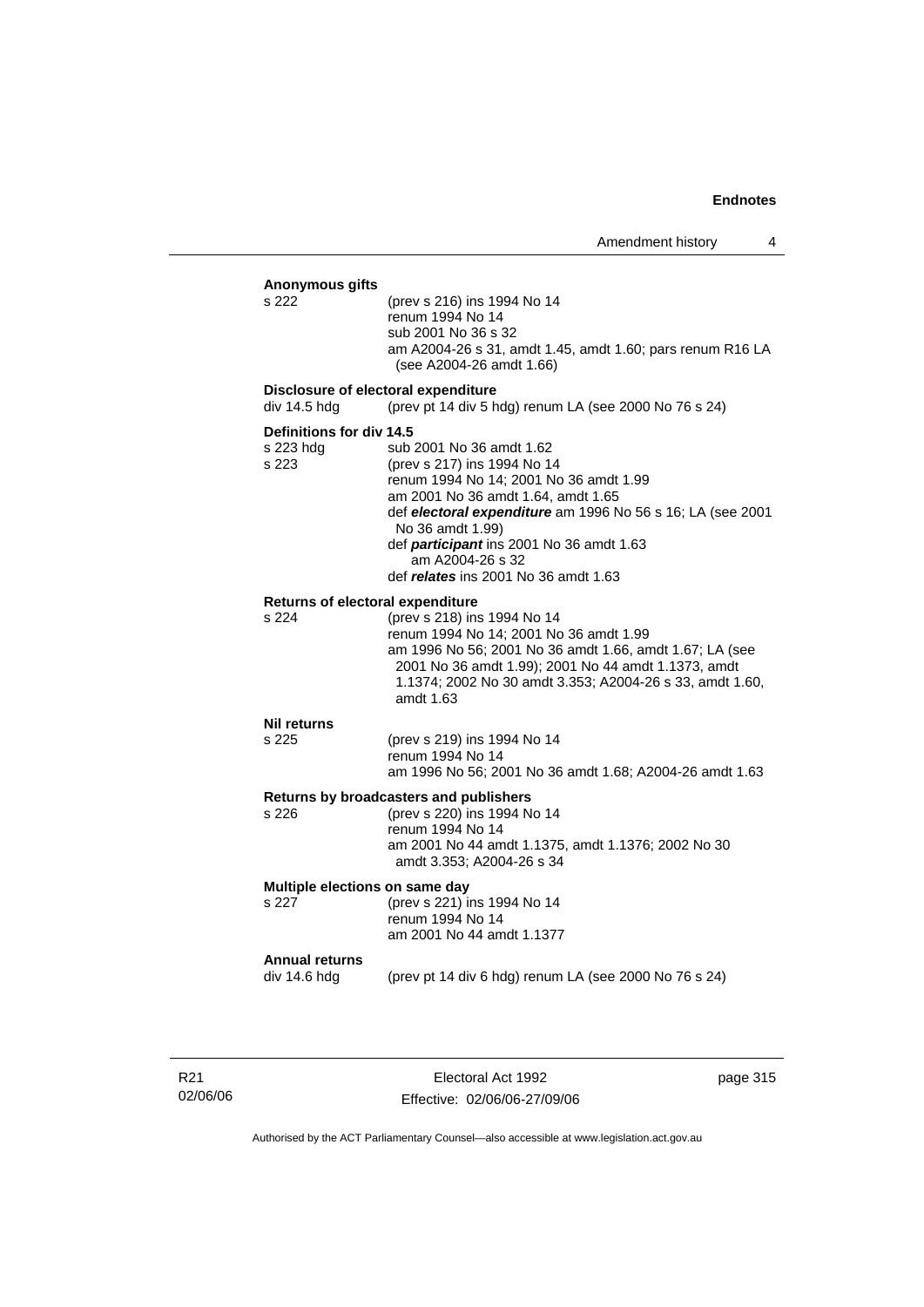| Anonymous gifts<br>s 222                       | (prev s 216) ins 1994 No 14<br>renum 1994 No 14<br>sub 2001 No 36 s 32<br>am A2004-26 s 31, amdt 1.45, amdt 1.60; pars renum R16 LA<br>(see A2004-26 amdt 1.66)                                                                                                                                                                          |
|------------------------------------------------|------------------------------------------------------------------------------------------------------------------------------------------------------------------------------------------------------------------------------------------------------------------------------------------------------------------------------------------|
| div 14.5 hdg                                   | Disclosure of electoral expenditure<br>(prev pt 14 div 5 hdg) renum LA (see 2000 No 76 s 24)                                                                                                                                                                                                                                             |
| Definitions for div 14.5<br>s 223 hdg<br>s 223 | sub 2001 No 36 amdt 1.62<br>(prev s 217) ins 1994 No 14<br>renum 1994 No 14; 2001 No 36 amdt 1.99<br>am 2001 No 36 amdt 1.64, amdt 1.65<br>def electoral expenditure am 1996 No 56 s 16; LA (see 2001<br>No 36 amdt 1.99)<br>def participant ins 2001 No 36 amdt 1.63<br>am A2004-26 s 32<br>def <i>relates</i> ins 2001 No 36 amdt 1.63 |
| Returns of electoral expenditure<br>s 224      | (prev s 218) ins 1994 No 14<br>renum 1994 No 14; 2001 No 36 amdt 1.99<br>am 1996 No 56; 2001 No 36 amdt 1.66, amdt 1.67; LA (see<br>2001 No 36 amdt 1.99); 2001 No 44 amdt 1.1373, amdt<br>1.1374; 2002 No 30 amdt 3.353; A2004-26 s 33, amdt 1.60,<br>amdt 1.63                                                                         |
| Nil returns<br>s 225                           | (prev s 219) ins 1994 No 14<br>renum 1994 No 14<br>am 1996 No 56; 2001 No 36 amdt 1.68; A2004-26 amdt 1.63                                                                                                                                                                                                                               |
| s 226                                          | Returns by broadcasters and publishers<br>(prev s 220) ins 1994 No 14<br>renum 1994 No 14<br>am 2001 No 44 amdt 1.1375, amdt 1.1376; 2002 No 30<br>amdt 3.353; A2004-26 s 34                                                                                                                                                             |
| Multiple elections on same day<br>s 227        | (prev s 221) ins 1994 No 14<br>renum 1994 No 14<br>am 2001 No 44 amdt 1.1377                                                                                                                                                                                                                                                             |
| <b>Annual returns</b><br>div 14.6 hdg          | (prev pt 14 div 6 hdg) renum LA (see 2000 No 76 s 24)                                                                                                                                                                                                                                                                                    |

R21 02/06/06

Electoral Act 1992 Effective: 02/06/06-27/09/06 page 315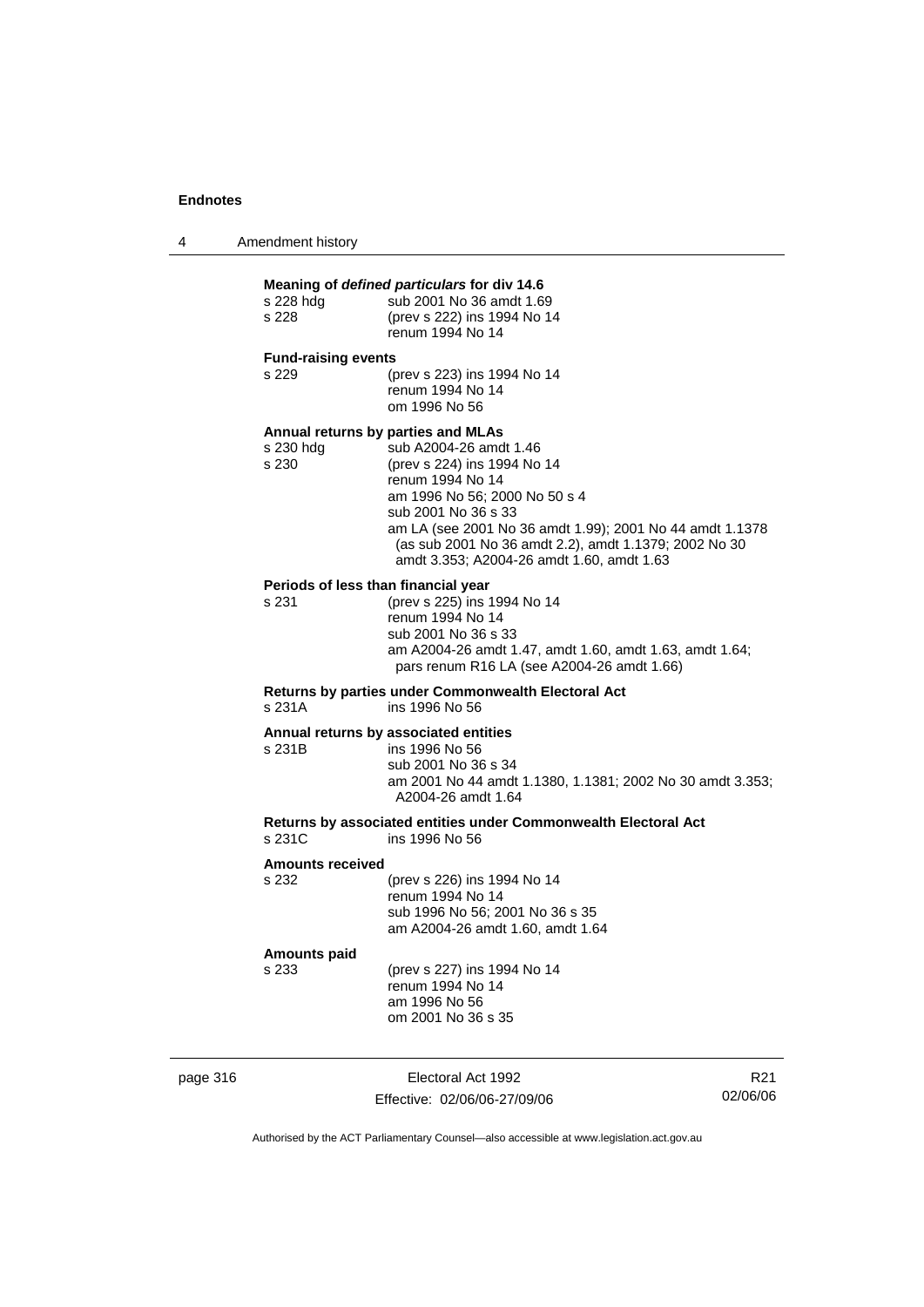| Amendment history<br>4 |  |
|------------------------|--|
|------------------------|--|

| s 228 hdg<br>s 228           | Meaning of defined particulars for div 14.6<br>sub 2001 No 36 amdt 1.69<br>(prev s 222) ins 1994 No 14<br>renum 1994 No 14                                                                                                                                                                                                                |
|------------------------------|-------------------------------------------------------------------------------------------------------------------------------------------------------------------------------------------------------------------------------------------------------------------------------------------------------------------------------------------|
| <b>Fund-raising events</b>   |                                                                                                                                                                                                                                                                                                                                           |
| s 229                        | (prev s 223) ins 1994 No 14<br>renum 1994 No 14<br>om 1996 No 56                                                                                                                                                                                                                                                                          |
| s 230 hdg<br>s 230           | Annual returns by parties and MLAs<br>sub A2004-26 amdt 1.46<br>(prev s 224) ins 1994 No 14<br>renum 1994 No 14<br>am 1996 No 56; 2000 No 50 s 4<br>sub 2001 No 36 s 33<br>am LA (see 2001 No 36 amdt 1.99); 2001 No 44 amdt 1.1378<br>(as sub 2001 No 36 amdt 2.2), amdt 1.1379; 2002 No 30<br>amdt 3.353; A2004-26 amdt 1.60, amdt 1.63 |
| s 231                        | Periods of less than financial year<br>(prev s 225) ins 1994 No 14<br>renum 1994 No 14<br>sub 2001 No 36 s 33<br>am A2004-26 amdt 1.47, amdt 1.60, amdt 1.63, amdt 1.64;<br>pars renum R16 LA (see A2004-26 amdt 1.66)                                                                                                                    |
| s 231A                       | <b>Returns by parties under Commonwealth Electoral Act</b><br>ins 1996 No 56                                                                                                                                                                                                                                                              |
| s 231B                       | Annual returns by associated entities<br>ins 1996 No 56<br>sub 2001 No 36 s 34<br>am 2001 No 44 amdt 1.1380, 1.1381; 2002 No 30 amdt 3.353;<br>A2004-26 amdt 1.64                                                                                                                                                                         |
| s 231C                       | Returns by associated entities under Commonwealth Electoral Act<br>ins 1996 No 56                                                                                                                                                                                                                                                         |
| <b>Amounts received</b>      |                                                                                                                                                                                                                                                                                                                                           |
| s 232                        | (prev s 226) ins 1994 No 14<br>renum 1994 No 14<br>sub 1996 No 56; 2001 No 36 s 35<br>am A2004-26 amdt 1.60, amdt 1.64                                                                                                                                                                                                                    |
| <b>Amounts paid</b><br>s 233 | (prev s 227) ins 1994 No 14<br>renum 1994 No 14<br>am 1996 No 56<br>om 2001 No 36 s 35                                                                                                                                                                                                                                                    |

page 316 Electoral Act 1992 Effective: 02/06/06-27/09/06

R21 02/06/06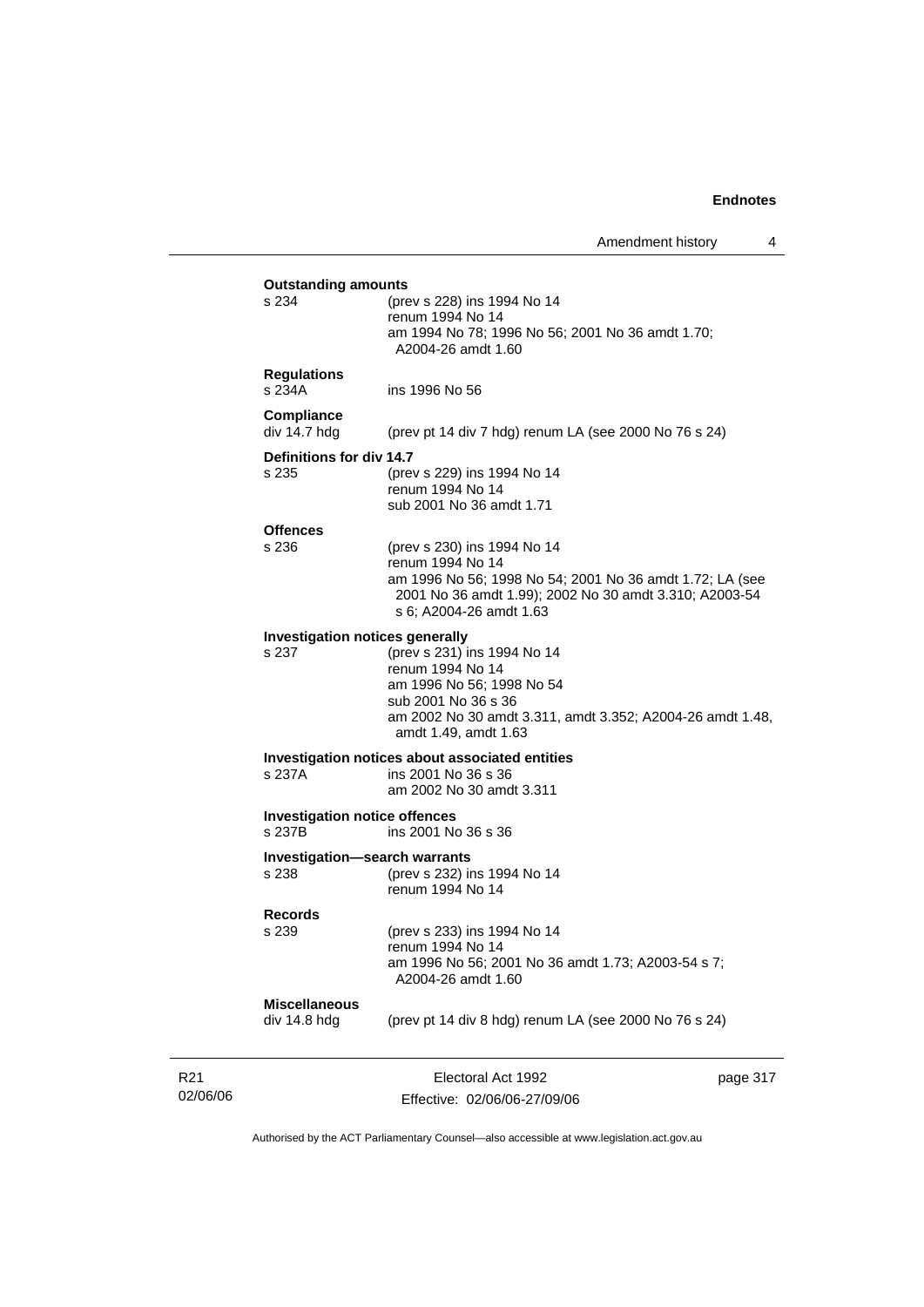| s 234<br>(prev s 228) ins 1994 No 14<br>renum 1994 No 14<br>am 1994 No 78; 1996 No 56; 2001 No 36 amdt 1.70;<br>A2004-26 amdt 1.60<br><b>Regulations</b><br>s 234A<br>ins 1996 No 56<br>Compliance<br>div 14.7 hdg<br>(prev pt 14 div 7 hdg) renum LA (see 2000 No 76 s 24)<br>Definitions for div 14.7<br>(prev s 229) ins 1994 No 14<br>s 235<br>renum 1994 No 14<br>sub 2001 No 36 amdt 1.71<br><b>Offences</b><br>s 236<br>(prev s 230) ins 1994 No 14<br>renum 1994 No 14<br>am 1996 No 56; 1998 No 54; 2001 No 36 amdt 1.72; LA (see<br>2001 No 36 amdt 1.99); 2002 No 30 amdt 3.310; A2003-54<br>s 6; A2004-26 amdt 1.63<br>Investigation notices generally<br>(prev s 231) ins 1994 No 14<br>s 237<br>renum 1994 No 14<br>am 1996 No 56; 1998 No 54<br>sub 2001 No 36 s 36<br>am 2002 No 30 amdt 3.311, amdt 3.352; A2004-26 amdt 1.48,<br>amdt 1.49, amdt 1.63<br>Investigation notices about associated entities<br>ins 2001 No 36 s 36<br>s 237A<br>am 2002 No 30 amdt 3.311<br><b>Investigation notice offences</b><br>s 237B<br>ins 2001 No 36 s 36<br><b>Investigation-search warrants</b><br>s 238<br>(prev s 232) ins 1994 No 14<br>renum 1994 No 14<br><b>Records</b><br>s 239<br>(prev s 233) ins 1994 No 14<br>renum 1994 No 14<br>am 1996 No 56; 2001 No 36 amdt 1.73; A2003-54 s 7;<br>A2004-26 amdt 1.60 |  |
|--------------------------------------------------------------------------------------------------------------------------------------------------------------------------------------------------------------------------------------------------------------------------------------------------------------------------------------------------------------------------------------------------------------------------------------------------------------------------------------------------------------------------------------------------------------------------------------------------------------------------------------------------------------------------------------------------------------------------------------------------------------------------------------------------------------------------------------------------------------------------------------------------------------------------------------------------------------------------------------------------------------------------------------------------------------------------------------------------------------------------------------------------------------------------------------------------------------------------------------------------------------------------------------------------------------------------------|--|
|                                                                                                                                                                                                                                                                                                                                                                                                                                                                                                                                                                                                                                                                                                                                                                                                                                                                                                                                                                                                                                                                                                                                                                                                                                                                                                                                |  |
|                                                                                                                                                                                                                                                                                                                                                                                                                                                                                                                                                                                                                                                                                                                                                                                                                                                                                                                                                                                                                                                                                                                                                                                                                                                                                                                                |  |
|                                                                                                                                                                                                                                                                                                                                                                                                                                                                                                                                                                                                                                                                                                                                                                                                                                                                                                                                                                                                                                                                                                                                                                                                                                                                                                                                |  |
|                                                                                                                                                                                                                                                                                                                                                                                                                                                                                                                                                                                                                                                                                                                                                                                                                                                                                                                                                                                                                                                                                                                                                                                                                                                                                                                                |  |
|                                                                                                                                                                                                                                                                                                                                                                                                                                                                                                                                                                                                                                                                                                                                                                                                                                                                                                                                                                                                                                                                                                                                                                                                                                                                                                                                |  |
|                                                                                                                                                                                                                                                                                                                                                                                                                                                                                                                                                                                                                                                                                                                                                                                                                                                                                                                                                                                                                                                                                                                                                                                                                                                                                                                                |  |
|                                                                                                                                                                                                                                                                                                                                                                                                                                                                                                                                                                                                                                                                                                                                                                                                                                                                                                                                                                                                                                                                                                                                                                                                                                                                                                                                |  |
|                                                                                                                                                                                                                                                                                                                                                                                                                                                                                                                                                                                                                                                                                                                                                                                                                                                                                                                                                                                                                                                                                                                                                                                                                                                                                                                                |  |
|                                                                                                                                                                                                                                                                                                                                                                                                                                                                                                                                                                                                                                                                                                                                                                                                                                                                                                                                                                                                                                                                                                                                                                                                                                                                                                                                |  |
|                                                                                                                                                                                                                                                                                                                                                                                                                                                                                                                                                                                                                                                                                                                                                                                                                                                                                                                                                                                                                                                                                                                                                                                                                                                                                                                                |  |
|                                                                                                                                                                                                                                                                                                                                                                                                                                                                                                                                                                                                                                                                                                                                                                                                                                                                                                                                                                                                                                                                                                                                                                                                                                                                                                                                |  |
|                                                                                                                                                                                                                                                                                                                                                                                                                                                                                                                                                                                                                                                                                                                                                                                                                                                                                                                                                                                                                                                                                                                                                                                                                                                                                                                                |  |
|                                                                                                                                                                                                                                                                                                                                                                                                                                                                                                                                                                                                                                                                                                                                                                                                                                                                                                                                                                                                                                                                                                                                                                                                                                                                                                                                |  |
|                                                                                                                                                                                                                                                                                                                                                                                                                                                                                                                                                                                                                                                                                                                                                                                                                                                                                                                                                                                                                                                                                                                                                                                                                                                                                                                                |  |
|                                                                                                                                                                                                                                                                                                                                                                                                                                                                                                                                                                                                                                                                                                                                                                                                                                                                                                                                                                                                                                                                                                                                                                                                                                                                                                                                |  |
|                                                                                                                                                                                                                                                                                                                                                                                                                                                                                                                                                                                                                                                                                                                                                                                                                                                                                                                                                                                                                                                                                                                                                                                                                                                                                                                                |  |
|                                                                                                                                                                                                                                                                                                                                                                                                                                                                                                                                                                                                                                                                                                                                                                                                                                                                                                                                                                                                                                                                                                                                                                                                                                                                                                                                |  |
|                                                                                                                                                                                                                                                                                                                                                                                                                                                                                                                                                                                                                                                                                                                                                                                                                                                                                                                                                                                                                                                                                                                                                                                                                                                                                                                                |  |
|                                                                                                                                                                                                                                                                                                                                                                                                                                                                                                                                                                                                                                                                                                                                                                                                                                                                                                                                                                                                                                                                                                                                                                                                                                                                                                                                |  |
|                                                                                                                                                                                                                                                                                                                                                                                                                                                                                                                                                                                                                                                                                                                                                                                                                                                                                                                                                                                                                                                                                                                                                                                                                                                                                                                                |  |
|                                                                                                                                                                                                                                                                                                                                                                                                                                                                                                                                                                                                                                                                                                                                                                                                                                                                                                                                                                                                                                                                                                                                                                                                                                                                                                                                |  |
|                                                                                                                                                                                                                                                                                                                                                                                                                                                                                                                                                                                                                                                                                                                                                                                                                                                                                                                                                                                                                                                                                                                                                                                                                                                                                                                                |  |
|                                                                                                                                                                                                                                                                                                                                                                                                                                                                                                                                                                                                                                                                                                                                                                                                                                                                                                                                                                                                                                                                                                                                                                                                                                                                                                                                |  |
|                                                                                                                                                                                                                                                                                                                                                                                                                                                                                                                                                                                                                                                                                                                                                                                                                                                                                                                                                                                                                                                                                                                                                                                                                                                                                                                                |  |
|                                                                                                                                                                                                                                                                                                                                                                                                                                                                                                                                                                                                                                                                                                                                                                                                                                                                                                                                                                                                                                                                                                                                                                                                                                                                                                                                |  |
|                                                                                                                                                                                                                                                                                                                                                                                                                                                                                                                                                                                                                                                                                                                                                                                                                                                                                                                                                                                                                                                                                                                                                                                                                                                                                                                                |  |
|                                                                                                                                                                                                                                                                                                                                                                                                                                                                                                                                                                                                                                                                                                                                                                                                                                                                                                                                                                                                                                                                                                                                                                                                                                                                                                                                |  |
|                                                                                                                                                                                                                                                                                                                                                                                                                                                                                                                                                                                                                                                                                                                                                                                                                                                                                                                                                                                                                                                                                                                                                                                                                                                                                                                                |  |
|                                                                                                                                                                                                                                                                                                                                                                                                                                                                                                                                                                                                                                                                                                                                                                                                                                                                                                                                                                                                                                                                                                                                                                                                                                                                                                                                |  |
|                                                                                                                                                                                                                                                                                                                                                                                                                                                                                                                                                                                                                                                                                                                                                                                                                                                                                                                                                                                                                                                                                                                                                                                                                                                                                                                                |  |
|                                                                                                                                                                                                                                                                                                                                                                                                                                                                                                                                                                                                                                                                                                                                                                                                                                                                                                                                                                                                                                                                                                                                                                                                                                                                                                                                |  |
|                                                                                                                                                                                                                                                                                                                                                                                                                                                                                                                                                                                                                                                                                                                                                                                                                                                                                                                                                                                                                                                                                                                                                                                                                                                                                                                                |  |
| <b>Miscellaneous</b>                                                                                                                                                                                                                                                                                                                                                                                                                                                                                                                                                                                                                                                                                                                                                                                                                                                                                                                                                                                                                                                                                                                                                                                                                                                                                                           |  |
| div 14.8 hdg<br>(prev pt 14 div 8 hdg) renum LA (see 2000 No 76 s 24)                                                                                                                                                                                                                                                                                                                                                                                                                                                                                                                                                                                                                                                                                                                                                                                                                                                                                                                                                                                                                                                                                                                                                                                                                                                          |  |
|                                                                                                                                                                                                                                                                                                                                                                                                                                                                                                                                                                                                                                                                                                                                                                                                                                                                                                                                                                                                                                                                                                                                                                                                                                                                                                                                |  |

R21 02/06/06

Effective: 02/06/06-27/09/06

page 317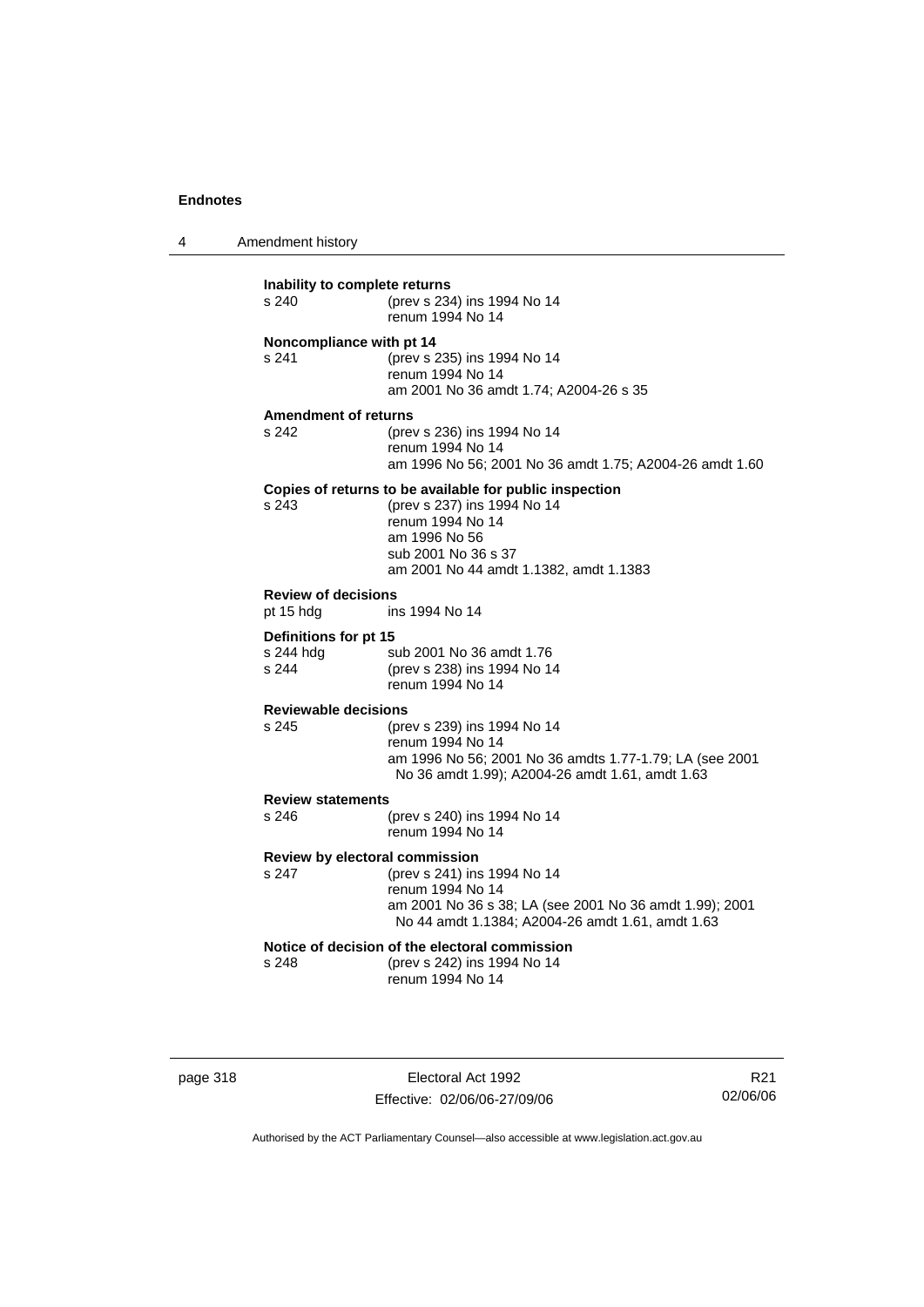4 Amendment history

| Inability to complete returns<br>s 240 | (prev s 234) ins 1994 No 14<br>renum 1994 No 14         |  |
|----------------------------------------|---------------------------------------------------------|--|
| Noncompliance with pt 14               |                                                         |  |
| s 241                                  | (prev s 235) ins 1994 No 14                             |  |
|                                        | renum 1994 No 14                                        |  |
|                                        | am 2001 No 36 amdt 1.74; A2004-26 s 35                  |  |
| <b>Amendment of returns</b>            |                                                         |  |
| s 242                                  | (prev s 236) ins 1994 No 14                             |  |
|                                        | renum 1994 No 14                                        |  |
|                                        | am 1996 No 56; 2001 No 36 amdt 1.75; A2004-26 amdt 1.60 |  |
|                                        | Copies of returns to be available for public inspection |  |
| s.243                                  | (prev s 237) ins 1994 No 14                             |  |
|                                        | renum 1994 No 14                                        |  |
|                                        | am 1996 No 56                                           |  |
|                                        | sub 2001 No 36 s 37                                     |  |
|                                        | am 2001 No 44 amdt 1.1382, amdt 1.1383                  |  |
| <b>Review of decisions</b>             |                                                         |  |
| pt 15 hdg                              | ins 1994 No 14                                          |  |
| Definitions for pt 15                  |                                                         |  |
| s 244 hdg                              | sub 2001 No 36 amdt 1.76                                |  |
| s 244                                  | (prev s 238) ins 1994 No 14                             |  |
|                                        | renum 1994 No 14                                        |  |
| <b>Reviewable decisions</b>            |                                                         |  |
| s 245                                  | (prev s 239) ins 1994 No 14                             |  |
|                                        | renum 1994 No 14                                        |  |
|                                        | am 1996 No 56; 2001 No 36 amdts 1.77-1.79; LA (see 2001 |  |
|                                        | No 36 amdt 1.99); A2004-26 amdt 1.61, amdt 1.63         |  |
| <b>Review statements</b>               |                                                         |  |
| s 246                                  | (prev s 240) ins 1994 No 14                             |  |
|                                        | renum 1994 No 14                                        |  |
| Review by electoral commission         |                                                         |  |
| s 247                                  | (prev s 241) ins 1994 No 14                             |  |
|                                        | renum 1994 No 14                                        |  |
|                                        | am 2001 No 36 s 38; LA (see 2001 No 36 amdt 1.99); 2001 |  |
|                                        | No 44 amdt 1.1384; A2004-26 amdt 1.61, amdt 1.63        |  |
|                                        | Notice of decision of the electoral commission          |  |
| s 248                                  | (prev s 242) ins 1994 No 14                             |  |
|                                        | renum 1994 No 14                                        |  |
|                                        |                                                         |  |

page 318 Electoral Act 1992 Effective: 02/06/06-27/09/06

R21 02/06/06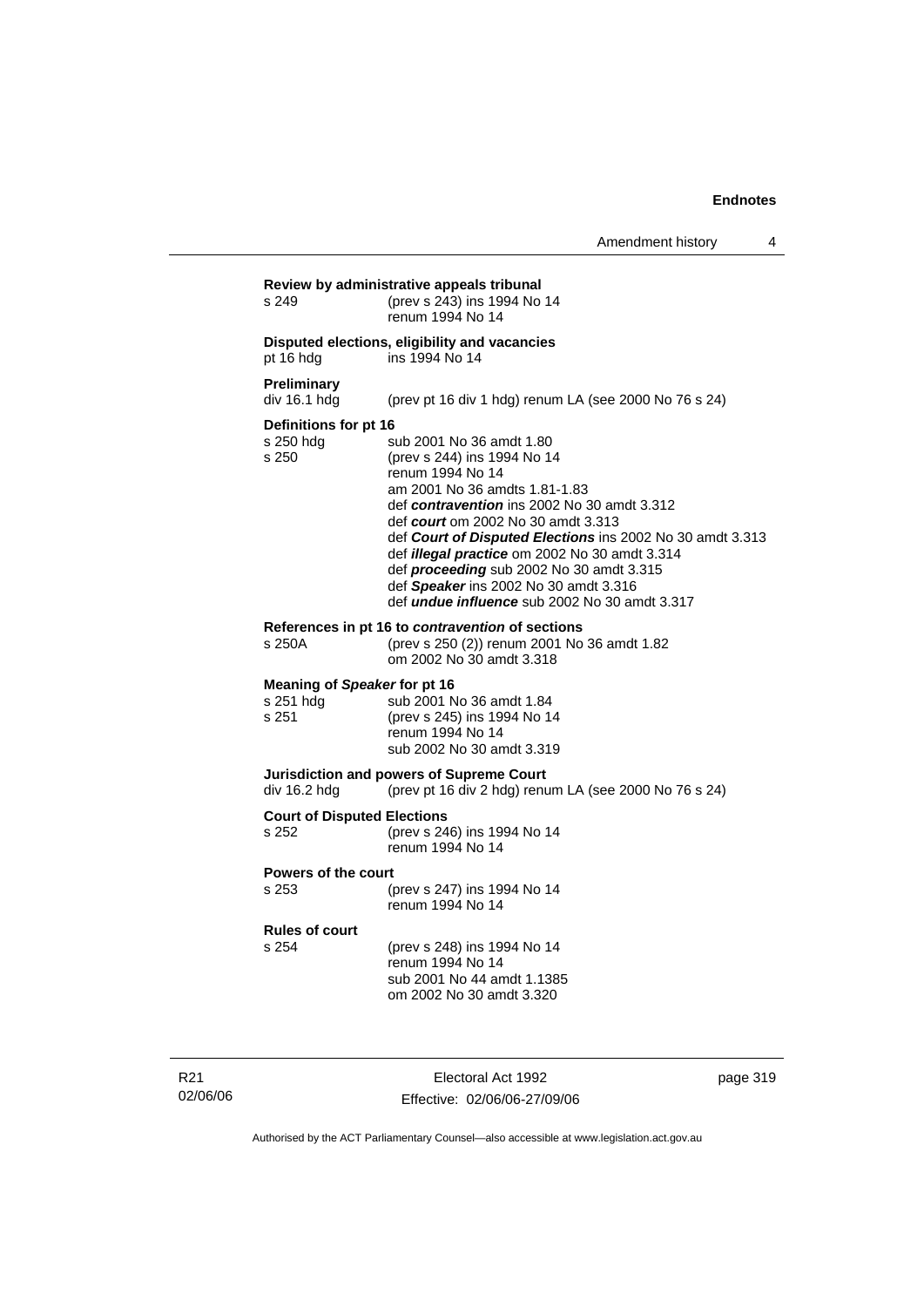| s 249                                              | (prev s 243) ins 1994 No 14<br>renum 1994 No 14                                                                                                                                                                                                                                                                                                                                                                                                                     |
|----------------------------------------------------|---------------------------------------------------------------------------------------------------------------------------------------------------------------------------------------------------------------------------------------------------------------------------------------------------------------------------------------------------------------------------------------------------------------------------------------------------------------------|
| pt 16 hdg                                          | Disputed elections, eligibility and vacancies<br>ins 1994 No 14                                                                                                                                                                                                                                                                                                                                                                                                     |
| Preliminary<br>div 16.1 hdg                        | (prev pt 16 div 1 hdg) renum LA (see 2000 No 76 s 24)                                                                                                                                                                                                                                                                                                                                                                                                               |
| Definitions for pt 16<br>s 250 hdg<br>s 250        | sub 2001 No 36 amdt 1.80<br>(prev s 244) ins 1994 No 14<br>renum 1994 No 14<br>am 2001 No 36 amdts 1.81-1.83<br>def contravention ins 2002 No 30 amdt 3.312<br>def court om 2002 No 30 amdt 3.313<br>def Court of Disputed Elections ins 2002 No 30 amdt 3.313<br>def <i>illegal practice</i> om 2002 No 30 amdt 3.314<br>def proceeding sub 2002 No 30 amdt 3.315<br>def Speaker ins 2002 No 30 amdt 3.316<br>def <i>undue influence</i> sub 2002 No 30 amdt 3.317 |
| s 250A                                             | References in pt 16 to contravention of sections<br>(prev s 250 (2)) renum 2001 No 36 amdt 1.82<br>om 2002 No 30 amdt 3.318                                                                                                                                                                                                                                                                                                                                         |
| Meaning of Speaker for pt 16<br>s 251 hdg<br>s 251 | sub 2001 No 36 amdt 1.84<br>(prev s 245) ins 1994 No 14<br>renum 1994 No 14<br>sub 2002 No 30 amdt 3.319                                                                                                                                                                                                                                                                                                                                                            |
| div 16.2 hdg                                       | Jurisdiction and powers of Supreme Court<br>(prev pt 16 div 2 hdg) renum LA (see 2000 No 76 s 24)                                                                                                                                                                                                                                                                                                                                                                   |
| <b>Court of Disputed Elections</b><br>s 252        | (prev s 246) ins 1994 No 14<br>renum 1994 No 14                                                                                                                                                                                                                                                                                                                                                                                                                     |
| Powers of the court<br>s 253                       | (prev s 247) ins 1994 No 14<br>renum 1994 No 14                                                                                                                                                                                                                                                                                                                                                                                                                     |
| <b>Rules of court</b><br>s 254                     | (prev s 248) ins 1994 No 14<br>renum 1994 No 14<br>sub 2001 No 44 amdt 1.1385<br>om 2002 No 30 amdt 3.320                                                                                                                                                                                                                                                                                                                                                           |

R21 02/06/06

Electoral Act 1992 Effective: 02/06/06-27/09/06 page 319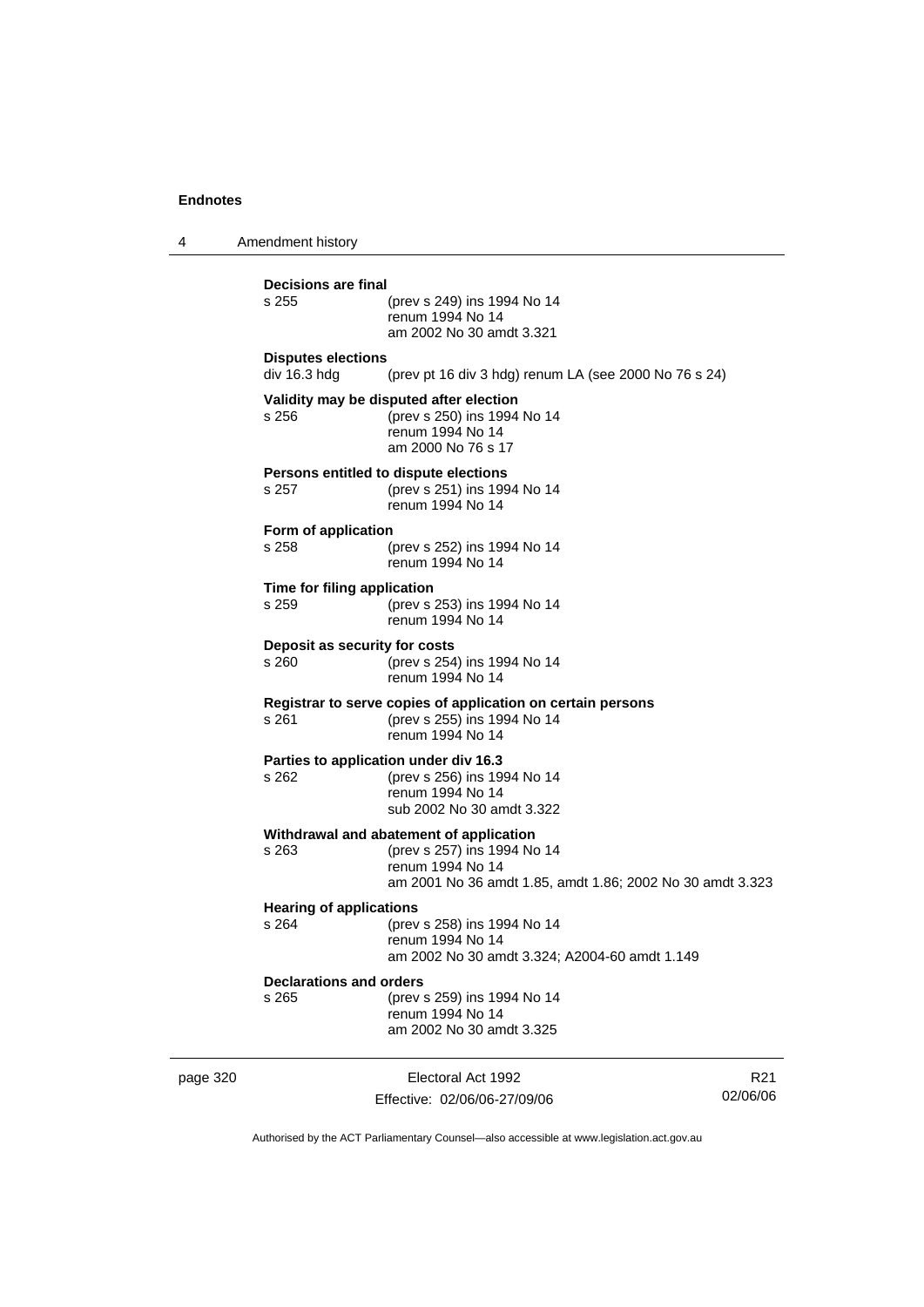4 Amendment history page 320 **Electoral Act 1992** R21 **Decisions are final** (prev s 249) ins 1994 No 14 renum 1994 No 14 am 2002 No 30 amdt 3.321 **Disputes elections**  div 16.3 hdg (prev pt 16 div 3 hdg) renum LA (see 2000 No 76 s 24) **Validity may be disputed after election** s 256 (prev s 250) ins 1994 No 14 renum 1994 No 14 am 2000 No 76 s 17 **Persons entitled to dispute elections**<br>s 257 (prev s 251) ins 199 s 257 (prev s 251) ins 1994 No 14 renum 1994 No 14 **Form of application** s 258 (prev s 252) ins 1994 No 14 renum 1994 No 14 **Time for filing application** s 259 (prev s 253) ins 1994 No 14 renum 1994 No 14 **Deposit as security for costs** s 260 (prev s 254) ins 1994 No 14 renum 1994 No 14 **Registrar to serve copies of application on certain persons** s 261 (prev s 255) ins 1994 No 14 renum 1994 No 14 **Parties to application under div 16.3**<br>s 262 (prev s 256) ins 19 (prev s 256) ins 1994 No 14 renum 1994 No 14 sub 2002 No 30 amdt 3.322 **Withdrawal and abatement of application** s 263 (prev s 257) ins 1994 No 14 renum 1994 No 14 am 2001 No 36 amdt 1.85, amdt 1.86; 2002 No 30 amdt 3.323 **Hearing of applications**<br>s 264 (prev s 264 (prev s 258) ins 1994 No 14 renum 1994 No 14 am 2002 No 30 amdt 3.324; A2004-60 amdt 1.149 **Declarations and orders** s 265 (prev s 259) ins 1994 No 14 renum 1994 No 14 am 2002 No 30 amdt 3.325

Authorised by the ACT Parliamentary Counsel—also accessible at www.legislation.act.gov.au

02/06/06

Effective: 02/06/06-27/09/06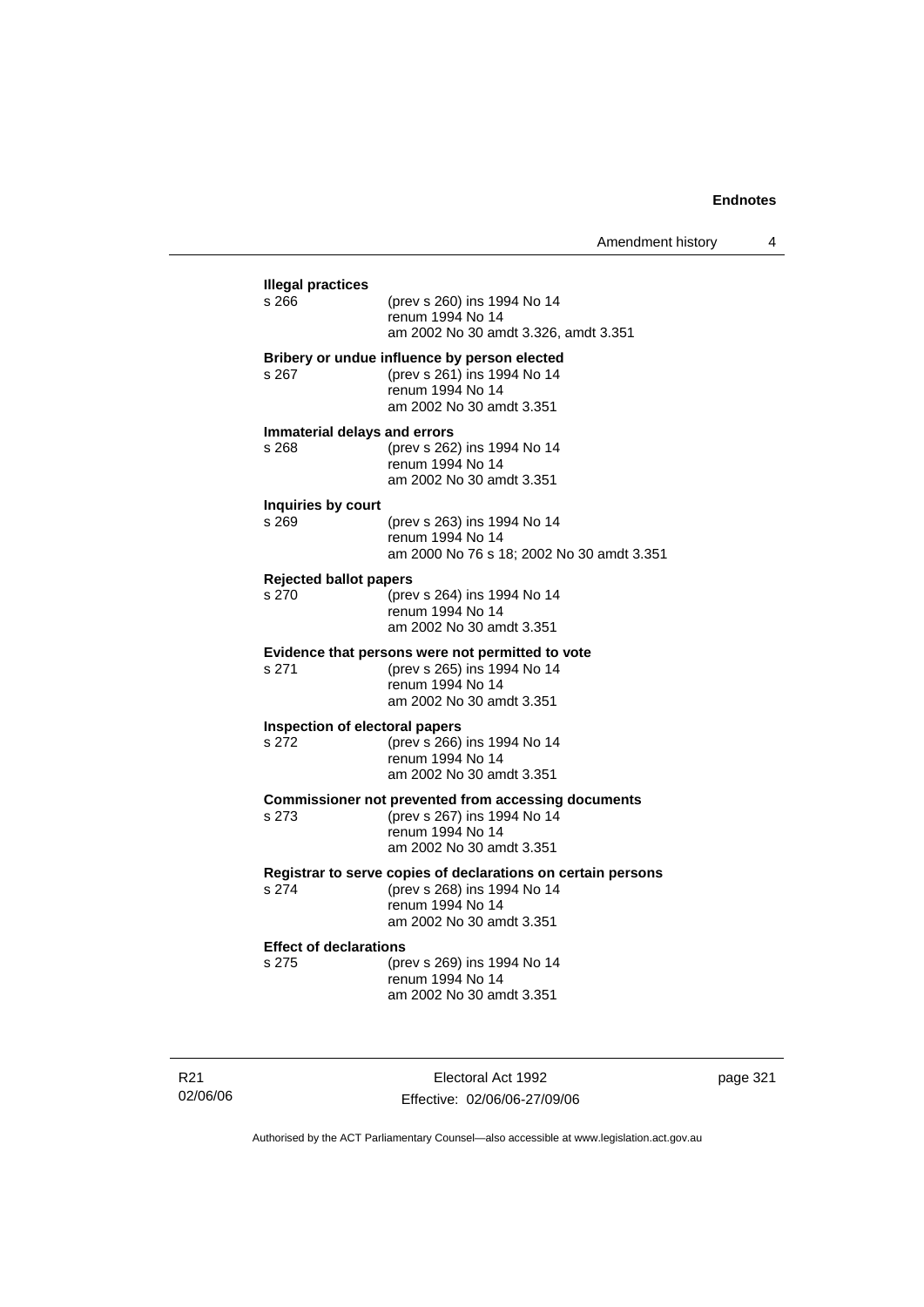| <b>Illegal practices</b><br>s 266      | (prev s 260) ins 1994 No 14                                                               |
|----------------------------------------|-------------------------------------------------------------------------------------------|
|                                        | renum 1994 No 14                                                                          |
|                                        | am 2002 No 30 amdt 3.326, amdt 3.351                                                      |
|                                        | Bribery or undue influence by person elected                                              |
| s 267                                  | (prev s 261) ins 1994 No 14<br>renum 1994 No 14                                           |
|                                        | am 2002 No 30 amdt 3.351                                                                  |
|                                        | Immaterial delays and errors                                                              |
| s 268                                  | (prev s 262) ins 1994 No 14                                                               |
|                                        | renum 1994 No 14                                                                          |
|                                        | am 2002 No 30 amdt 3.351                                                                  |
| Inquiries by court<br>s 269            | (prev s 263) ins 1994 No 14                                                               |
|                                        | renum 1994 No 14                                                                          |
|                                        | am 2000 No 76 s 18; 2002 No 30 amdt 3.351                                                 |
| <b>Rejected ballot papers</b>          |                                                                                           |
| s 270                                  | (prev s 264) ins 1994 No 14                                                               |
|                                        | renum 1994 No 14                                                                          |
|                                        | am 2002 No 30 amdt 3.351                                                                  |
| s 271                                  | Evidence that persons were not permitted to vote<br>(prev s 265) ins 1994 No 14           |
|                                        | renum 1994 No 14                                                                          |
|                                        | am 2002 No 30 amdt 3.351                                                                  |
|                                        | Inspection of electoral papers                                                            |
| s 272                                  | (prev s 266) ins 1994 No 14                                                               |
|                                        | renum 1994 No 14<br>am 2002 No 30 amdt 3.351                                              |
|                                        |                                                                                           |
| s 273                                  | <b>Commissioner not prevented from accessing documents</b><br>(prev s 267) ins 1994 No 14 |
|                                        | renum 1994 No 14                                                                          |
|                                        | am 2002 No 30 amdt 3.351                                                                  |
|                                        | Registrar to serve copies of declarations on certain persons                              |
| s 274                                  | (prev s 268) ins 1994 No 14                                                               |
|                                        | renum 1994 No 14<br>am 2002 No 30 amdt 3.351                                              |
|                                        |                                                                                           |
| <b>Effect of declarations</b><br>s 275 | (prev s 269) ins 1994 No 14                                                               |
|                                        | renum 1994 No 14                                                                          |
|                                        | am 2002 No 30 amdt 3.351                                                                  |

R21 02/06/06

Electoral Act 1992 Effective: 02/06/06-27/09/06 page 321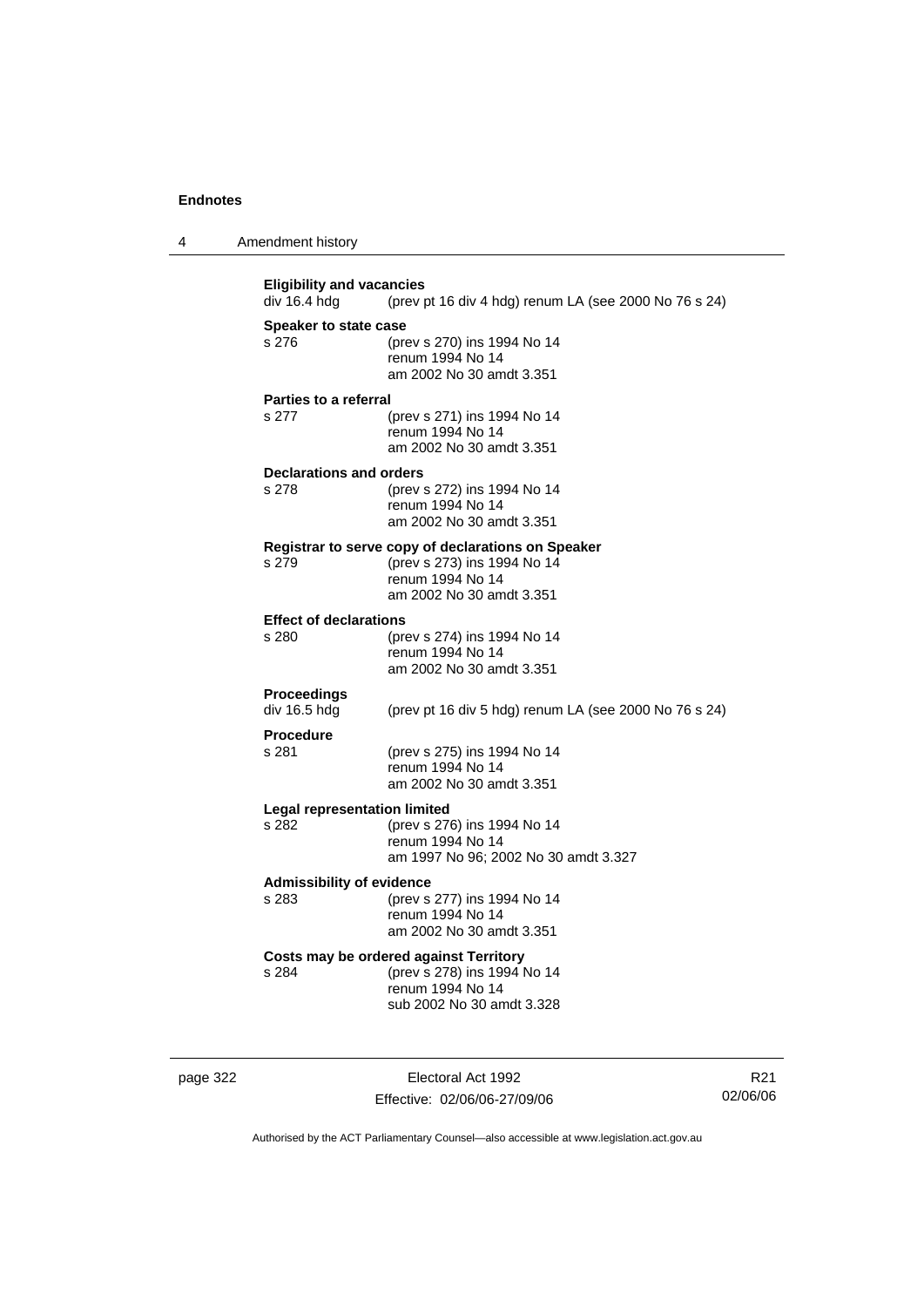| $\overline{A}$ | Amendment history |  |
|----------------|-------------------|--|
|----------------|-------------------|--|

**Eligibility and vacancies**<br>div 16.4 hdg (prev p (prev pt 16 div 4 hdg) renum LA (see 2000 No 76 s 24) **Speaker to state case** s 276 (prev s 270) ins 1994 No 14 renum 1994 No 14 am 2002 No 30 amdt 3.351 **Parties to a referral** s 277 (prev s 271) ins 1994 No 14 renum 1994 No 14 am 2002 No 30 amdt 3.351 **Declarations and orders** s 278 (prev s 272) ins 1994 No 14 renum 1994 No 14 am 2002 No 30 amdt 3.351 **Registrar to serve copy of declarations on Speaker** s 279 (prev s 273) ins 1994 No 14 renum 1994 No 14 am 2002 No 30 amdt 3.351 **Effect of declarations**<br>s 280 (pre (prev s 274) ins 1994 No 14 renum 1994 No 14 am 2002 No 30 amdt 3.351 **Proceedings**  div 16.5 hdg (prev pt 16 div 5 hdg) renum LA (see 2000 No 76 s 24) **Procedure** s 281 (prev s 275) ins 1994 No 14 renum 1994 No 14 am 2002 No 30 amdt 3.351 **Legal representation limited**<br>s 282 (prev s 276) (prev s 276) ins 1994 No 14 renum 1994 No 14 am 1997 No 96; 2002 No 30 amdt 3.327 **Admissibility of evidence** s 283 (prev s 277) ins 1994 No 14 renum 1994 No 14 am 2002 No 30 amdt 3.351 **Costs may be ordered against Territory** s 284 (prev s 278) ins 1994 No 14 renum 1994 No 14 sub 2002 No 30 amdt 3.328

page 322 Electoral Act 1992 Effective: 02/06/06-27/09/06

R21 02/06/06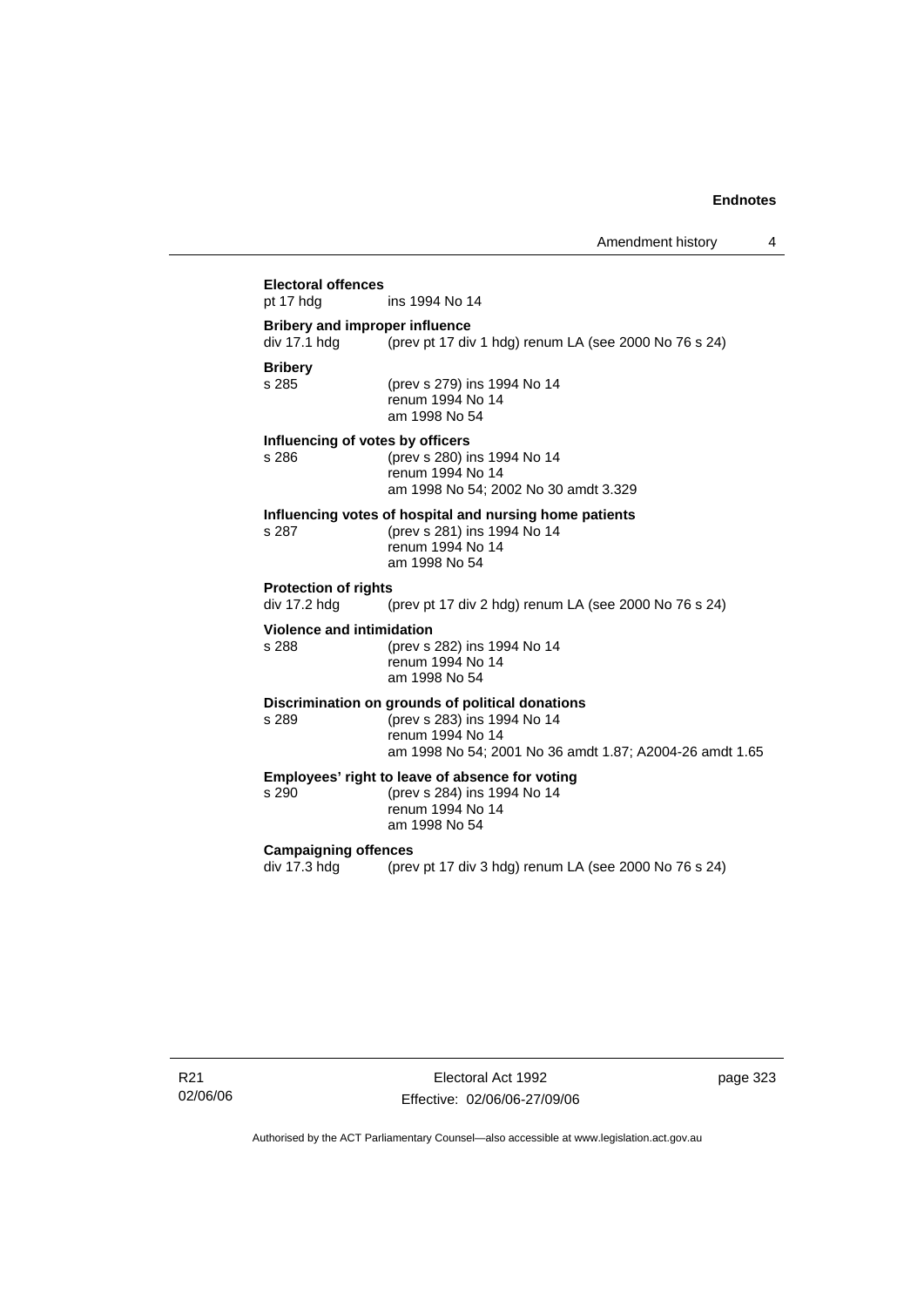## **Electoral offences** ins 1994 No 14 **Bribery and improper influence**  div 17.1 hdg (prev pt 17 div 1 hdg) renum LA (see 2000 No 76 s 24) **Bribery** (prev s 279) ins 1994 No 14 renum 1994 No 14 am 1998 No 54 **Influencing of votes by officers** s 286 (prev s 280) ins 1994 No 14 renum 1994 No 14 am 1998 No 54; 2002 No 30 amdt 3.329 **Influencing votes of hospital and nursing home patients** s 287 (prev s 281) ins 1994 No 14 renum 1994 No 14 am 1998 No 54 **Protection of rights**  div 17.2 hdg (prev pt 17 div 2 hdg) renum LA (see 2000 No 76 s 24) **Violence and intimidation** s 288 (prev s 282) ins 1994 No 14 renum 1994 No 14 am 1998 No 54 **Discrimination on grounds of political donations** s 289 (prev s 283) ins 1994 No 14 renum 1994 No 14 am 1998 No 54; 2001 No 36 amdt 1.87; A2004-26 amdt 1.65 **Employees' right to leave of absence for voting**<br>s 290 (prev s 284) ins 1994 No 14 s 290 (prev s 284) ins 1994 No 14 renum 1994 No 14 am 1998 No 54 **Campaigning offences**  div 17.3 hdg (prev pt 17 div 3 hdg) renum LA (see 2000 No 76 s 24)

R21 02/06/06

Electoral Act 1992 Effective: 02/06/06-27/09/06 page 323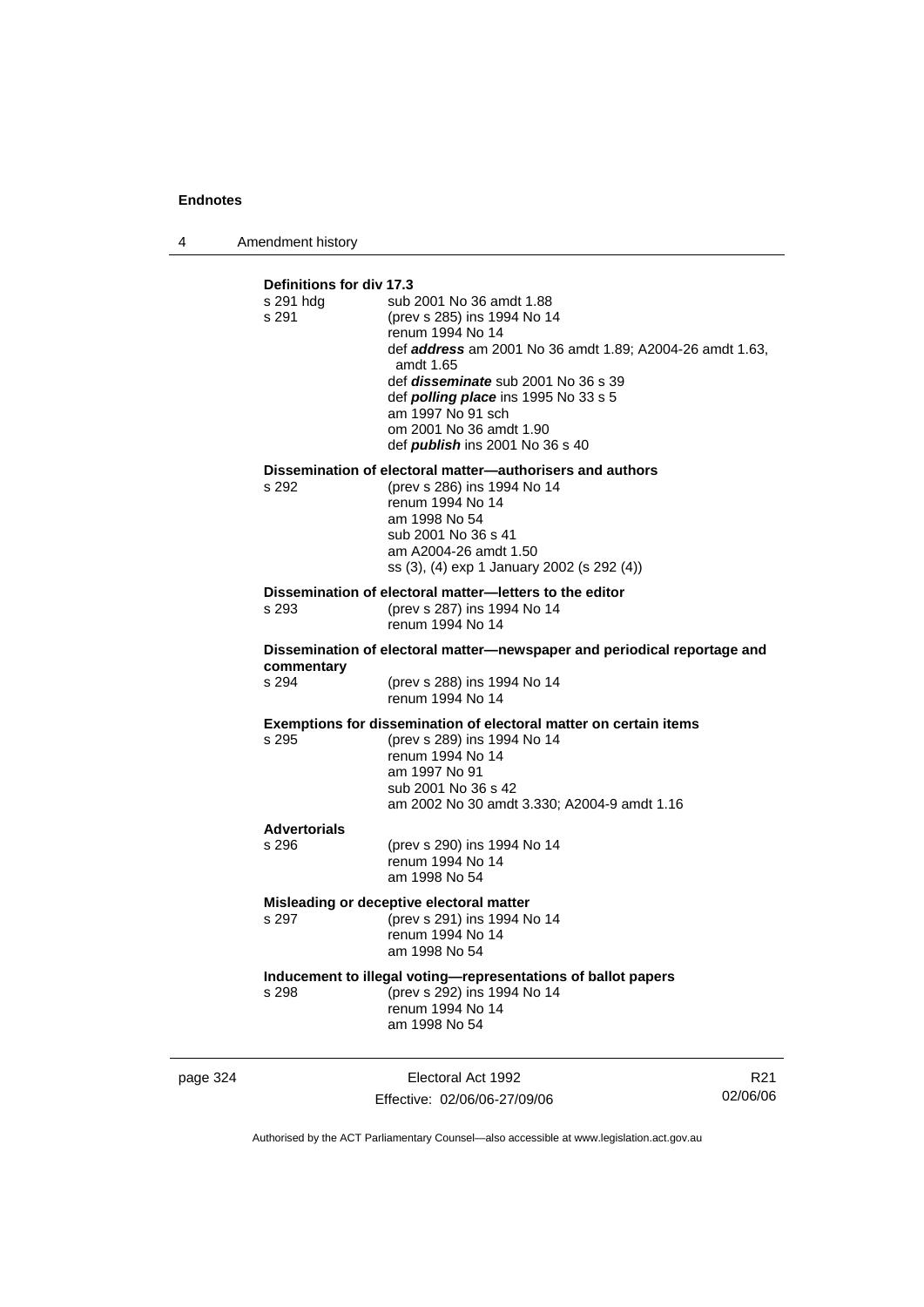4 Amendment history

| Definitions for div 17.3<br>s 291 hdg<br>s 291 | sub 2001 No 36 amdt 1.88<br>(prev s 285) ins 1994 No 14<br>renum 1994 No 14<br>def <b>address</b> am 2001 No 36 amdt 1.89; A2004-26 amdt 1.63,<br>amdt 1.65<br>def <i>disseminate</i> sub 2001 No 36 s 39<br>def <i>polling place</i> ins 1995 No 33 s 5<br>am 1997 No 91 sch<br>om 2001 No 36 amdt 1.90<br>def <b>publish</b> ins 2001 No 36 s 40 |  |  |
|------------------------------------------------|----------------------------------------------------------------------------------------------------------------------------------------------------------------------------------------------------------------------------------------------------------------------------------------------------------------------------------------------------|--|--|
| s 292                                          | Dissemination of electoral matter-authorisers and authors<br>(prev s 286) ins 1994 No 14<br>renum 1994 No 14<br>am 1998 No 54<br>sub 2001 No 36 s 41<br>am A2004-26 amdt 1.50                                                                                                                                                                      |  |  |
|                                                | ss (3), (4) exp 1 January 2002 (s 292 (4))                                                                                                                                                                                                                                                                                                         |  |  |
| s 293                                          | Dissemination of electoral matter-letters to the editor<br>(prev s 287) ins 1994 No 14<br>renum 1994 No 14                                                                                                                                                                                                                                         |  |  |
|                                                | Dissemination of electoral matter—newspaper and periodical reportage and                                                                                                                                                                                                                                                                           |  |  |
| commentary<br>s 294                            | (prev s 288) ins 1994 No 14<br>renum 1994 No 14                                                                                                                                                                                                                                                                                                    |  |  |
| s 295                                          | Exemptions for dissemination of electoral matter on certain items<br>(prev s 289) ins 1994 No 14<br>renum 1994 No 14<br>am 1997 No 91<br>sub 2001 No 36 s 42<br>am 2002 No 30 amdt 3.330; A2004-9 amdt 1.16                                                                                                                                        |  |  |
| <b>Advertorials</b>                            |                                                                                                                                                                                                                                                                                                                                                    |  |  |
| s 296                                          | (prev s 290) ins 1994 No 14<br>renum 1994 No 14<br>am 1998 No 54                                                                                                                                                                                                                                                                                   |  |  |
|                                                | Misleading or deceptive electoral matter                                                                                                                                                                                                                                                                                                           |  |  |
| s 297                                          | (prev s 291) ins 1994 No 14<br>renum 1994 No 14<br>am 1998 No 54                                                                                                                                                                                                                                                                                   |  |  |
| s 298                                          | Inducement to illegal voting-representations of ballot papers<br>(prev s 292) ins 1994 No 14<br>renum 1994 No 14<br>am 1998 No 54                                                                                                                                                                                                                  |  |  |

page 324 Electoral Act 1992 Effective: 02/06/06-27/09/06

R21 02/06/06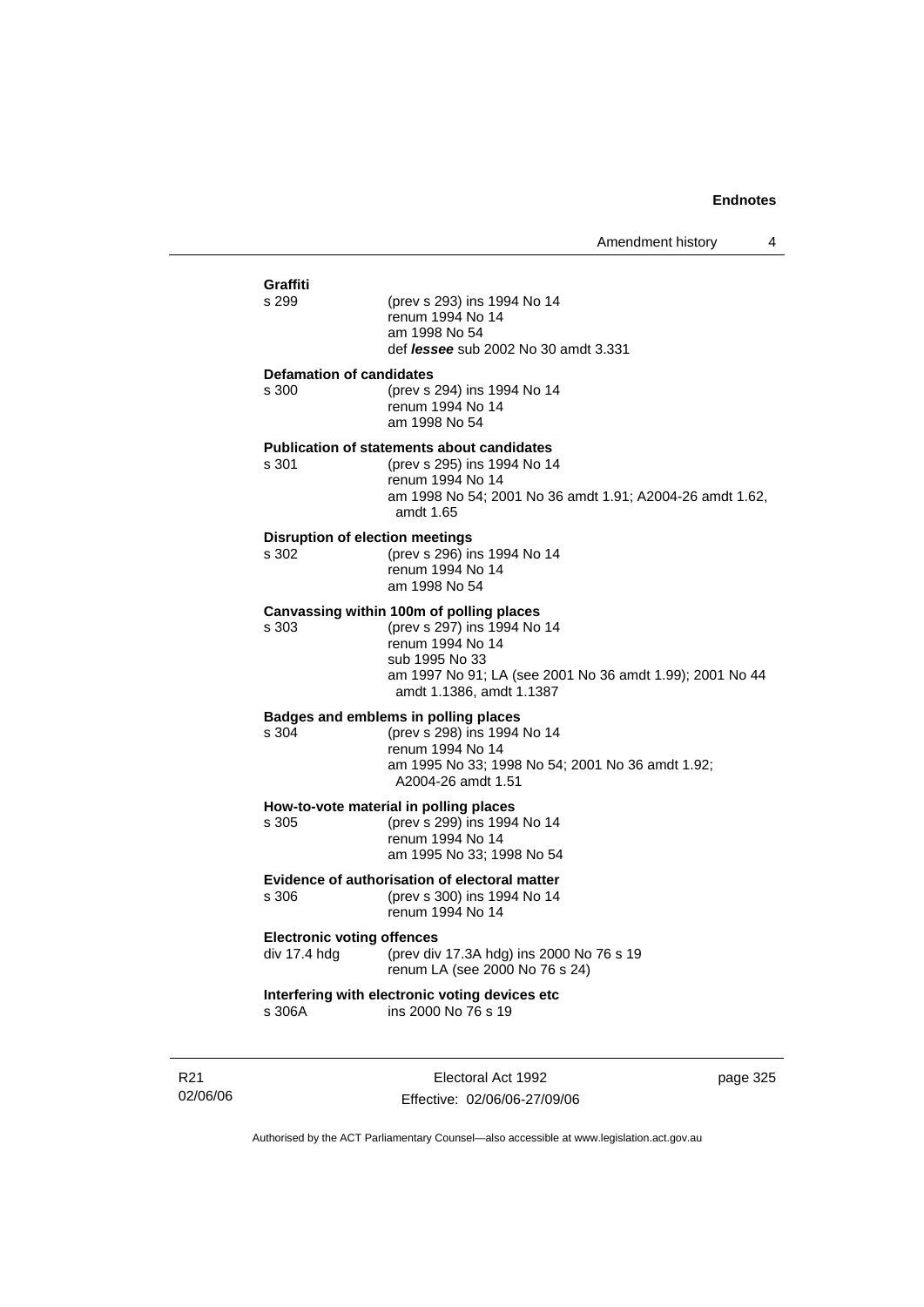| Graffiti<br>s 299                                 | (prev s 293) ins 1994 No 14<br>renum 1994 No 14<br>am 1998 No 54<br>def <i>lessee</i> sub 2002 No 30 amdt 3.331                                                                                       |
|---------------------------------------------------|-------------------------------------------------------------------------------------------------------------------------------------------------------------------------------------------------------|
| <b>Defamation of candidates</b><br>s 300          | (prev s 294) ins 1994 No 14<br>renum 1994 No 14<br>am 1998 No 54                                                                                                                                      |
| s 301                                             | <b>Publication of statements about candidates</b><br>(prev s 295) ins 1994 No 14<br>renum 1994 No 14<br>am 1998 No 54; 2001 No 36 amdt 1.91; A2004-26 amdt 1.62,<br>amdt $1.65$                       |
| <b>Disruption of election meetings</b><br>s 302   | (prev s 296) ins 1994 No 14<br>renum 1994 No 14<br>am 1998 No 54                                                                                                                                      |
| s 303                                             | Canvassing within 100m of polling places<br>(prev s 297) ins 1994 No 14<br>renum 1994 No 14<br>sub 1995 No 33<br>am 1997 No 91; LA (see 2001 No 36 amdt 1.99); 2001 No 44<br>amdt 1.1386, amdt 1.1387 |
| s 304                                             | Badges and emblems in polling places<br>(prev s 298) ins 1994 No 14<br>renum 1994 No 14<br>am 1995 No 33; 1998 No 54; 2001 No 36 amdt 1.92;<br>A2004-26 amdt 1.51                                     |
| s 305                                             | How-to-vote material in polling places<br>(prev s 299) ins 1994 No 14<br>renum 1994 No 14<br>am 1995 No 33; 1998 No 54                                                                                |
| s 306                                             | Evidence of authorisation of electoral matter<br>(prev s 300) ins 1994 No 14<br>renum 1994 No 14                                                                                                      |
| <b>Electronic voting offences</b><br>div 17.4 hdg | (prev div 17.3A hdg) ins 2000 No 76 s 19<br>renum LA (see 2000 No 76 s 24)                                                                                                                            |
| s 306A                                            | Interfering with electronic voting devices etc<br>ins 2000 No 76 s 19                                                                                                                                 |
|                                                   |                                                                                                                                                                                                       |

R21 02/06/06

Electoral Act 1992 Effective: 02/06/06-27/09/06 page 325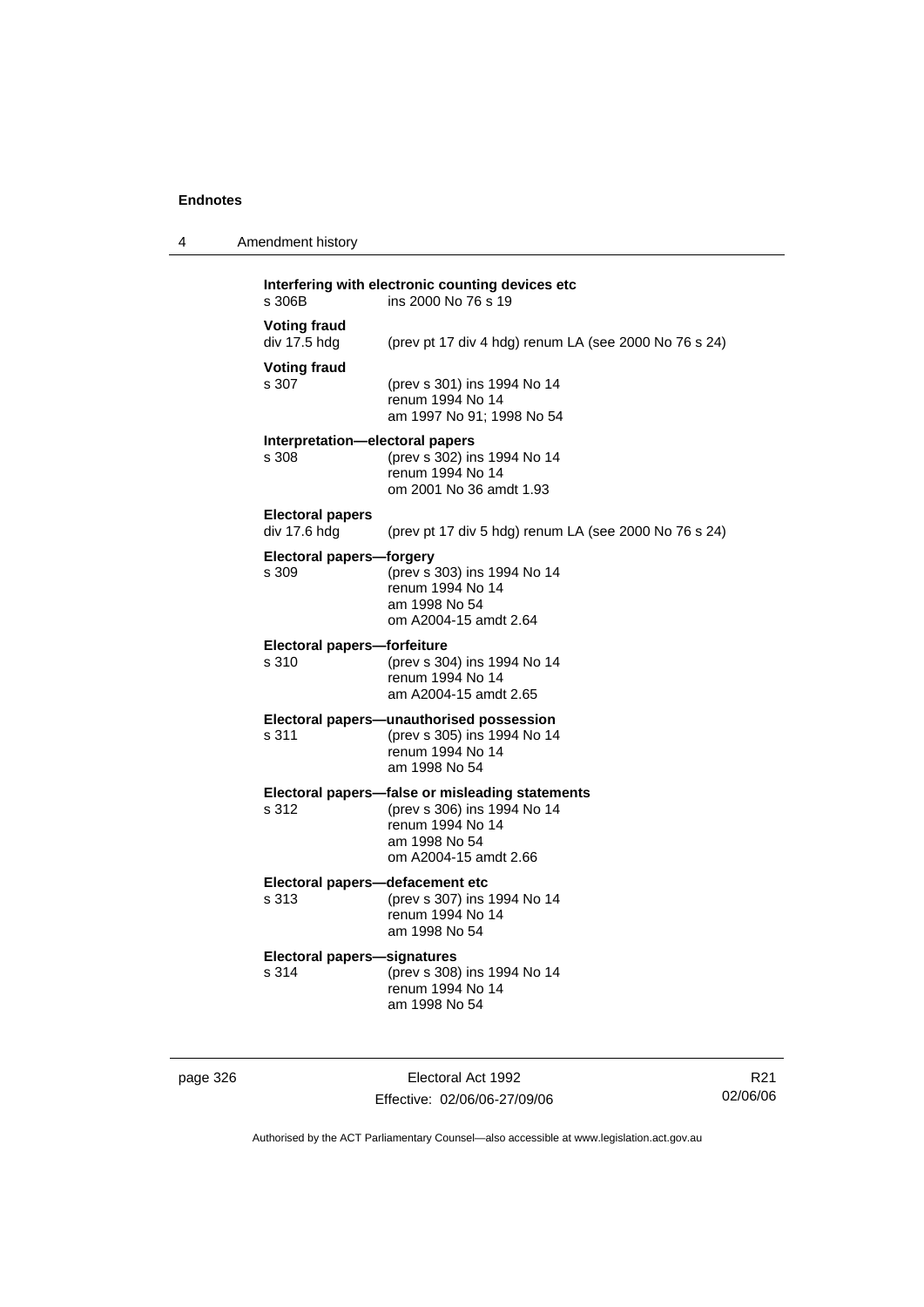4 Amendment history

| s 306B                                   | ins 2000 No 76 s 19                                                                                                                          |
|------------------------------------------|----------------------------------------------------------------------------------------------------------------------------------------------|
| <b>Voting fraud</b><br>div 17.5 hdg      | (prev pt 17 div 4 hdg) renum LA (see 2000 No 76 s 24)                                                                                        |
| <b>Voting fraud</b><br>s 307             | (prev s 301) ins 1994 No 14<br>renum 1994 No 14<br>am 1997 No 91; 1998 No 54                                                                 |
| Interpretation-electoral papers<br>s 308 | (prev s 302) ins 1994 No 14<br>renum 1994 No 14<br>om 2001 No 36 amdt 1.93                                                                   |
| <b>Electoral papers</b><br>div 17.6 hdg  | (prev pt 17 div 5 hdg) renum LA (see 2000 No 76 s 24)                                                                                        |
| Electoral papers-forgery<br>s 309        | (prev s 303) ins 1994 No 14<br>renum 1994 No 14<br>am 1998 No 54<br>om A2004-15 amdt 2.64                                                    |
| Electoral papers-forfeiture<br>s 310     | (prev s 304) ins 1994 No 14<br>renum 1994 No 14<br>am A2004-15 amdt 2.65                                                                     |
| s 311                                    | Electoral papers-unauthorised possession<br>(prev s 305) ins 1994 No 14<br>renum 1994 No 14<br>am 1998 No 54                                 |
| s 312                                    | Electoral papers-false or misleading statements<br>(prev s 306) ins 1994 No 14<br>renum 1994 No 14<br>am 1998 No 54<br>om A2004-15 amdt 2.66 |
|                                          |                                                                                                                                              |

#### **Electoral papers—defacement etc**

s 313 (prev s 307) ins 1994 No 14 renum 1994 No 14 am 1998 No 54

# **Electoral papers—signatures**

(prev s 308) ins 1994 No 14 renum 1994 No 14 am 1998 No 54

page 326 Electoral Act 1992 Effective: 02/06/06-27/09/06

R21 02/06/06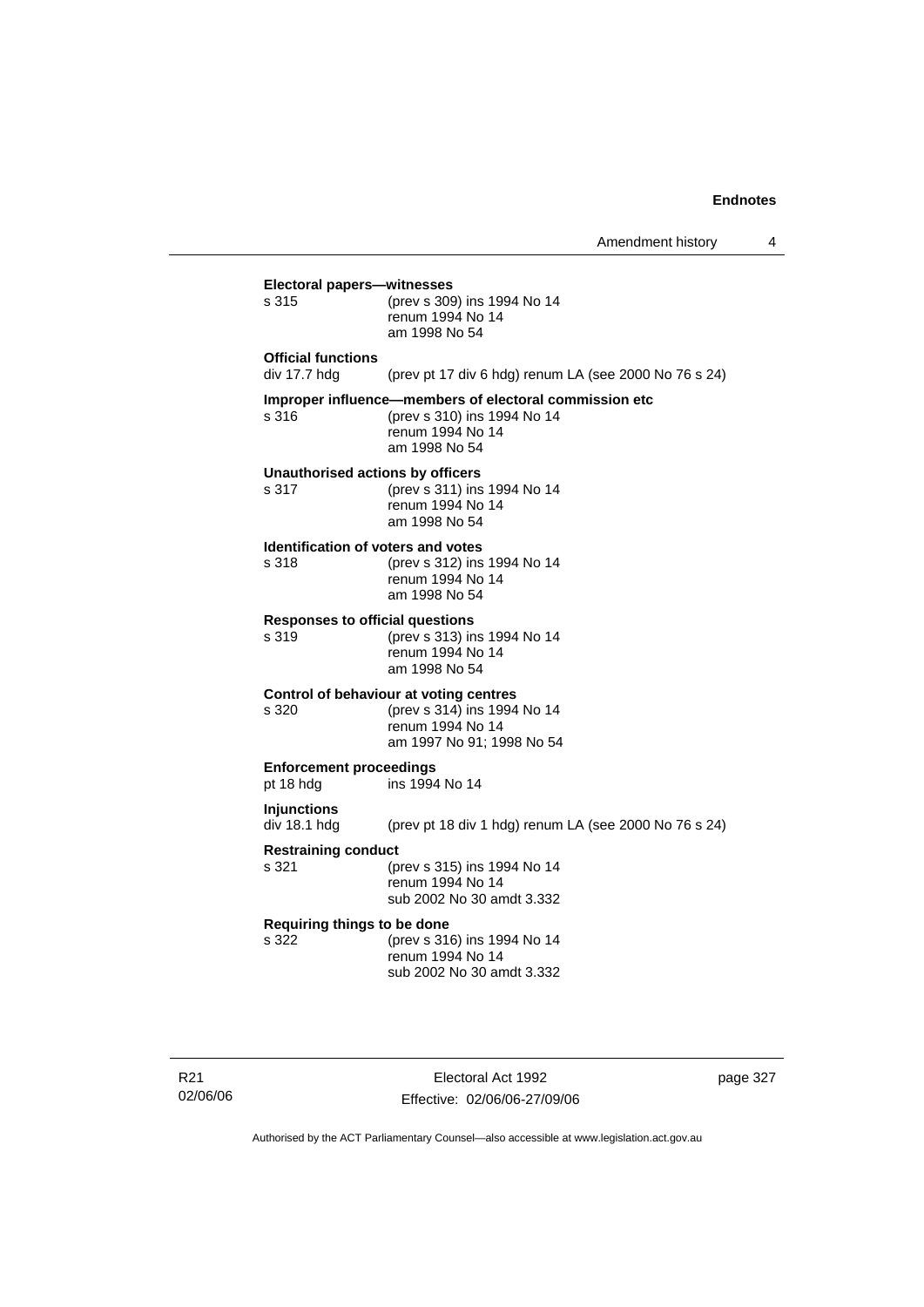|                                             | Amendment history                                                                                                          | 4        |
|---------------------------------------------|----------------------------------------------------------------------------------------------------------------------------|----------|
| Electoral papers-witnesses<br>s 315         | (prev s 309) ins 1994 No 14<br>renum 1994 No 14<br>am 1998 No 54                                                           |          |
| Official functions<br>div 17.7 hdg          | (prev pt 17 div 6 hdg) renum LA (see 2000 No 76 s 24)                                                                      |          |
| s 316                                       | Improper influence-members of electoral commission etc<br>(prev s 310) ins 1994 No 14<br>renum 1994 No 14<br>am 1998 No 54 |          |
| s 317                                       | Unauthorised actions by officers<br>(prev s 311) ins 1994 No 14<br>renum 1994 No 14<br>am 1998 No 54                       |          |
| s 318                                       | Identification of voters and votes<br>(prev s 312) ins 1994 No 14<br>renum 1994 No 14<br>am 1998 No 54                     |          |
| s 319                                       | <b>Responses to official questions</b><br>(prev s 313) ins 1994 No 14<br>renum 1994 No 14<br>am 1998 No 54                 |          |
| s 320                                       | Control of behaviour at voting centres<br>(prev s 314) ins 1994 No 14<br>renum 1994 No 14<br>am 1997 No 91; 1998 No 54     |          |
| <b>Enforcement proceedings</b><br>pt 18 hdg | ins 1994 No 14                                                                                                             |          |
| Injunctions<br>div 18.1 hdg                 | (prev pt 18 div 1 hdg) renum LA (see 2000 No 76 s 24)                                                                      |          |
| <b>Restraining conduct</b><br>s 321         | (prev s 315) ins 1994 No 14<br>renum 1994 No 14<br>sub 2002 No 30 amdt 3.332                                               |          |
| Requiring things to be done<br>s 322        | (prev s 316) ins 1994 No 14<br>renum 1994 No 14<br>sub 2002 No 30 amdt 3.332                                               |          |
|                                             |                                                                                                                            |          |
|                                             | Electoral Act 1992                                                                                                         | page 327 |

Effective: 02/06/06-27/09/06 Authorised by the ACT Parliamentary Counsel—also accessible at www.legislation.act.gov.au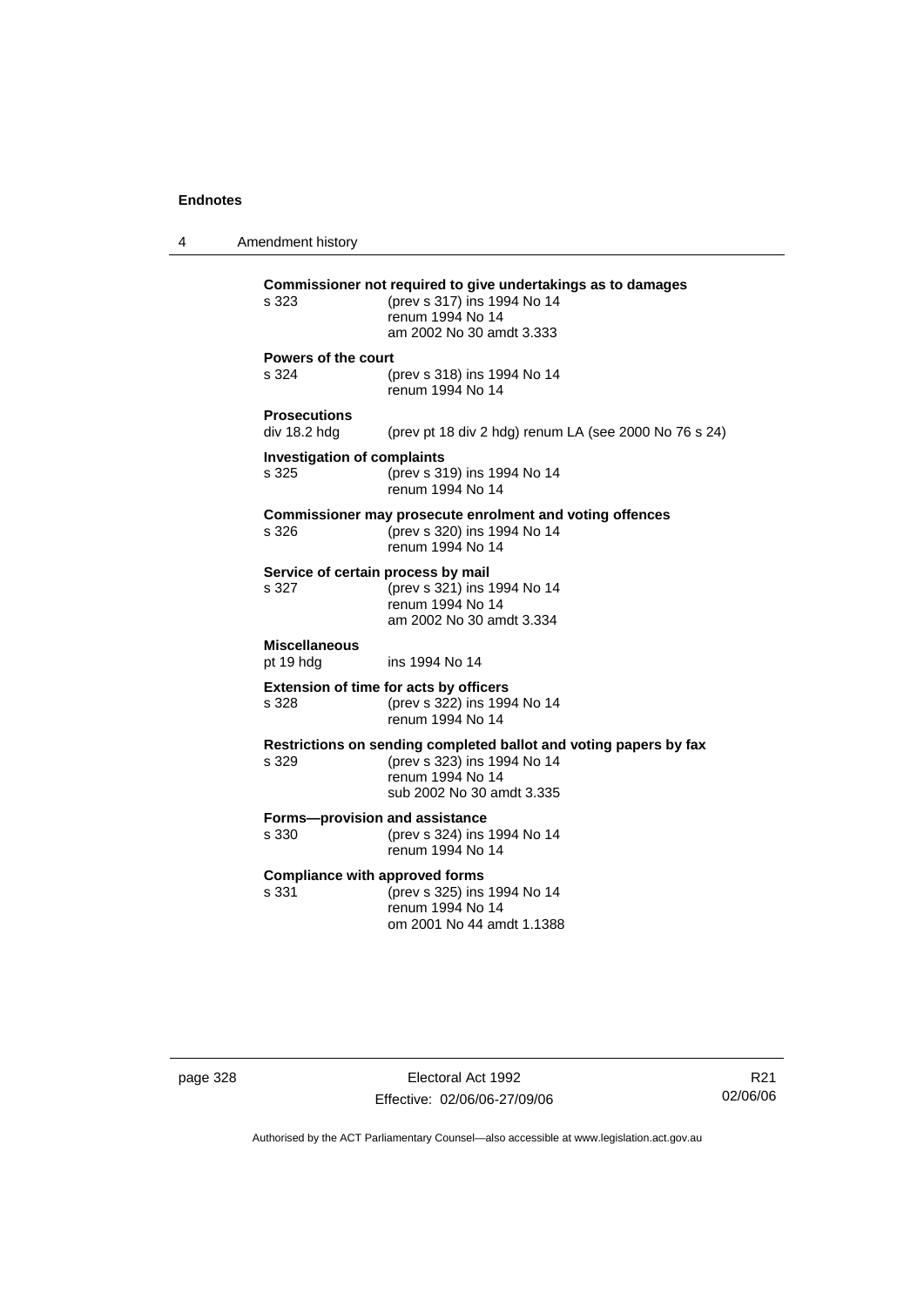4 Amendment history **Commissioner not required to give undertakings as to damages** s 323 (prev s 317) ins 1994 No 14 renum 1994 No 14 am 2002 No 30 amdt 3.333 **Powers of the court** s 324 (prev s 318) ins 1994 No 14 renum 1994 No 14 **Prosecutions**  (prev pt 18 div 2 hdg) renum LA (see 2000 No 76 s 24) **Investigation of complaints** s 325 (prev s 319) ins 1994 No 14 renum 1994 No 14 **Commissioner may prosecute enrolment and voting offences** s 326 (prev s 320) ins 1994 No 14 renum 1994 No 14 **Service of certain process by mail**<br>s 327 (prev s 321) ins 1 s 327 (prev s 321) ins 1994 No 14 renum 1994 No 14 am 2002 No 30 amdt 3.334 **Miscellaneous** pt 19 hdg ins 1994 No 14 **Extension of time for acts by officers** s 328 (prev s 322) ins 1994 No 14 renum 1994 No 14 **Restrictions on sending completed ballot and voting papers by fax** s 329 (prev s 323) ins 1994 No 14 renum 1994 No 14 sub 2002 No 30 amdt 3.335 **Forms—provision and assistance** s 330 (prev s 324) ins 1994 No 14 renum 1994 No 14 **Compliance with approved forms** s 331 (prev s 325) ins 1994 No 14 renum 1994 No 14 om 2001 No 44 amdt 1.1388

page 328 Electoral Act 1992 Effective: 02/06/06-27/09/06

R21 02/06/06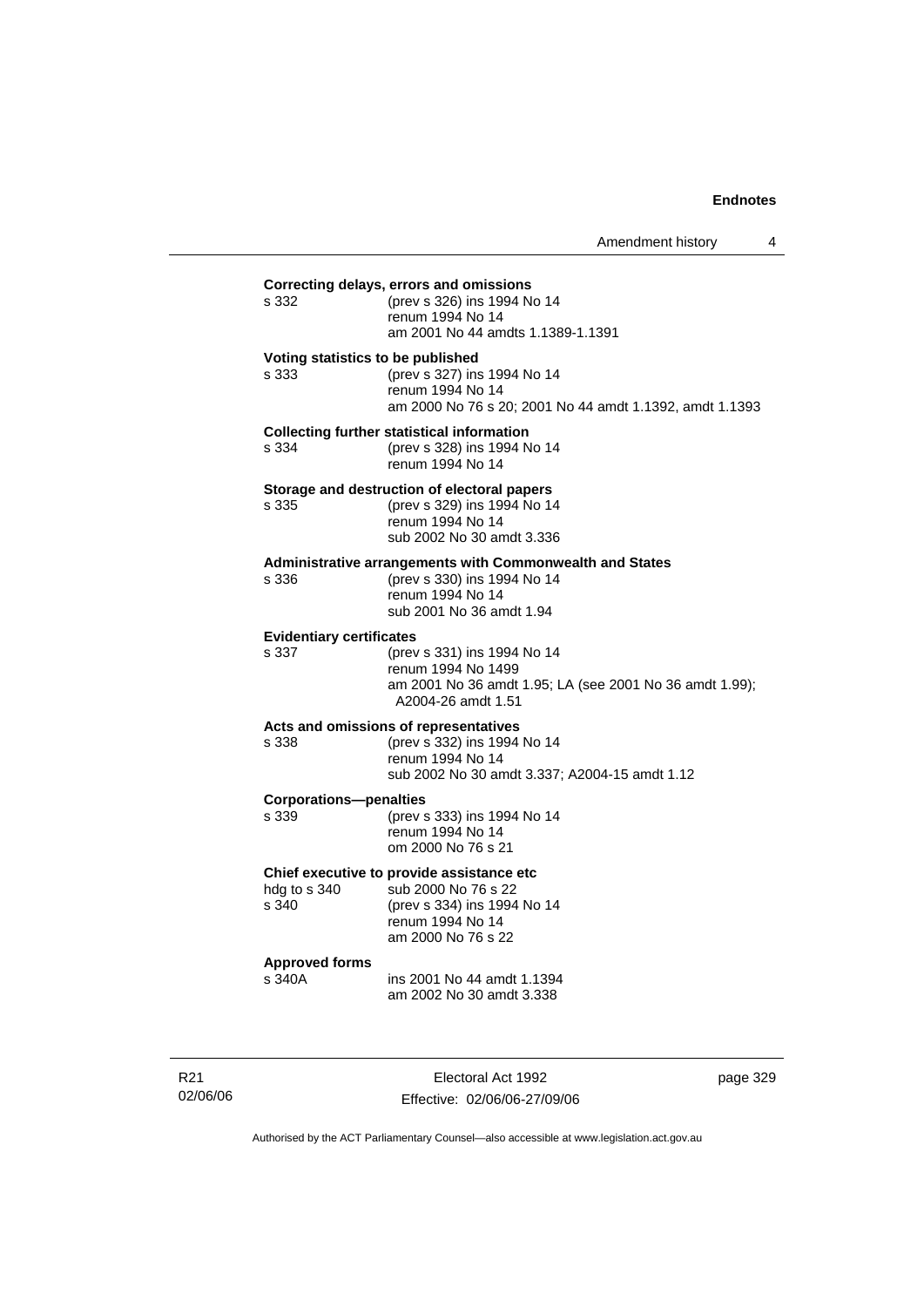| s 332                                    | (prev s 326) ins 1994 No 14<br>renum 1994 No 14<br>am 2001 No 44 amdts 1.1389-1.1391                                                            |
|------------------------------------------|-------------------------------------------------------------------------------------------------------------------------------------------------|
| s 333                                    | Voting statistics to be published<br>(prev s 327) ins 1994 No 14<br>renum 1994 No 14<br>am 2000 No 76 s 20; 2001 No 44 amdt 1.1392, amdt 1.1393 |
| s 334                                    | <b>Collecting further statistical information</b><br>(prev s 328) ins 1994 No 14<br>renum 1994 No 14                                            |
| s 335                                    | Storage and destruction of electoral papers<br>(prev s 329) ins 1994 No 14<br>renum 1994 No 14<br>sub 2002 No 30 amdt 3.336                     |
| s 336                                    | Administrative arrangements with Commonwealth and States<br>(prev s 330) ins 1994 No 14<br>renum 1994 No 14<br>sub 2001 No 36 amdt 1.94         |
| <b>Evidentiary certificates</b><br>s 337 | (prev s 331) ins 1994 No 14<br>renum 1994 No 1499<br>am 2001 No 36 amdt 1.95; LA (see 2001 No 36 amdt 1.99);<br>A2004-26 amdt 1.51              |
| s 338                                    | Acts and omissions of representatives<br>(prev s 332) ins 1994 No 14<br>renum 1994 No 14<br>sub 2002 No 30 amdt 3.337; A2004-15 amdt 1.12       |
| <b>Corporations-penalties</b><br>s 339   | (prev s 333) ins 1994 No 14<br>renum 1994 No 14<br>om 2000 No 76 s 21                                                                           |
| hdg to s 340<br>s 340                    | Chief executive to provide assistance etc<br>sub 2000 No 76 s 22<br>(prev s 334) ins 1994 No 14<br>renum 1994 No 14<br>am 2000 No 76 s 22       |
| <b>Approved forms</b><br>s 340A          | ins 2001 No 44 amdt 1.1394<br>am 2002 No 30 amdt 3.338                                                                                          |

R21 02/06/06

Electoral Act 1992 Effective: 02/06/06-27/09/06 page 329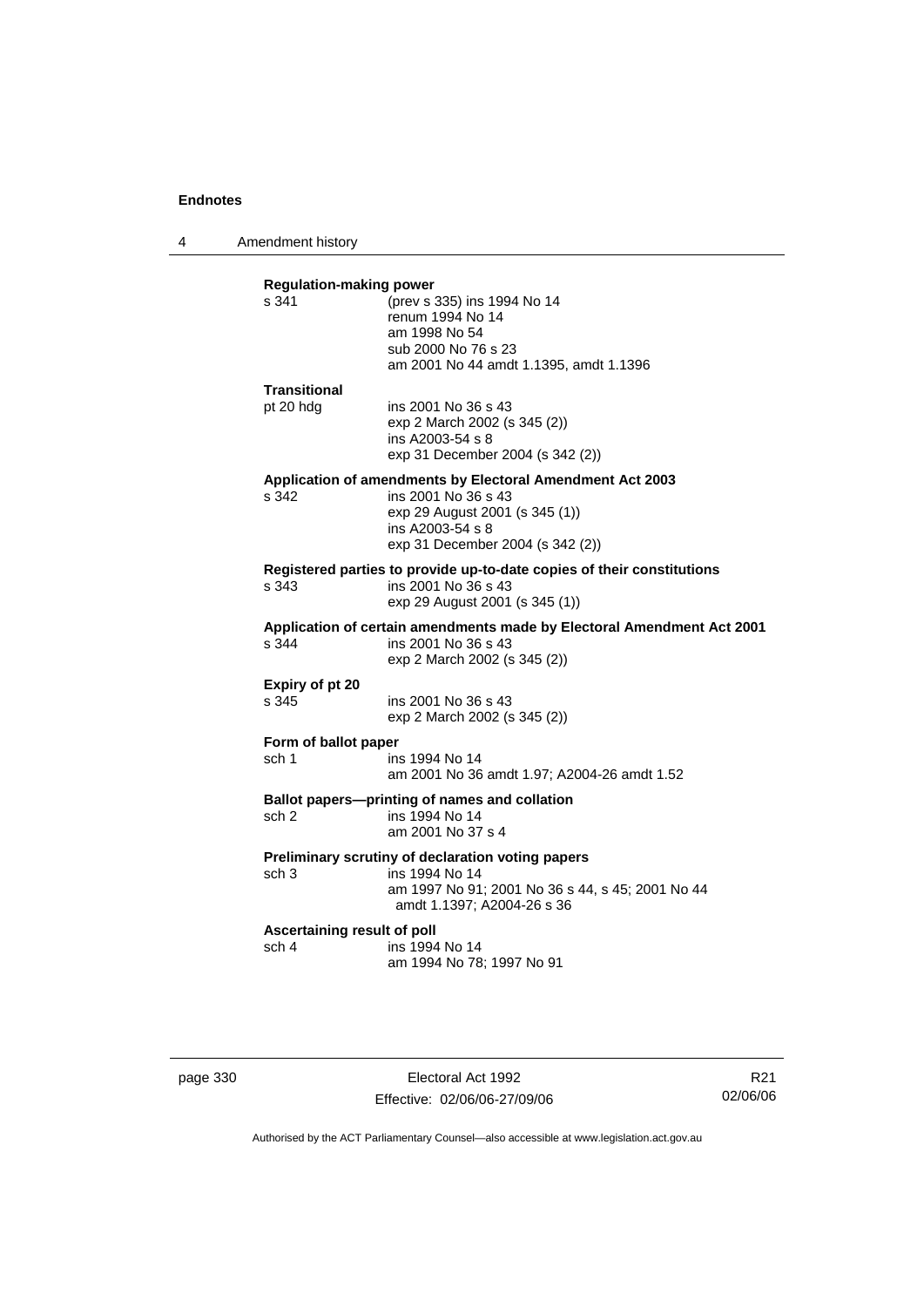4 Amendment history

| s 341                                | <b>Regulation-making power</b><br>(prev s 335) ins 1994 No 14                    |
|--------------------------------------|----------------------------------------------------------------------------------|
|                                      | renum 1994 No 14                                                                 |
|                                      | am 1998 No 54                                                                    |
|                                      | sub 2000 No 76 s 23                                                              |
|                                      | am 2001 No 44 amdt 1.1395, amdt 1.1396                                           |
| <b>Transitional</b>                  |                                                                                  |
| pt 20 hdg                            | ins 2001 No 36 s 43                                                              |
|                                      | exp 2 March 2002 (s 345 (2))                                                     |
|                                      | ins A2003-54 s 8<br>exp 31 December 2004 (s 342 (2))                             |
|                                      |                                                                                  |
| s 342                                | Application of amendments by Electoral Amendment Act 2003<br>ins 2001 No 36 s 43 |
|                                      | exp 29 August 2001 (s 345 (1))                                                   |
|                                      | ins A2003-54 s 8                                                                 |
|                                      | exp 31 December 2004 (s 342 (2))                                                 |
|                                      | Registered parties to provide up-to-date copies of their constitutions           |
| s 343                                | ins 2001 No 36 s 43                                                              |
|                                      | exp 29 August 2001 (s 345 (1))                                                   |
|                                      | Application of certain amendments made by Electoral Amendment Act 2001           |
| s.344                                | ins 2001 No 36 s 43                                                              |
|                                      | exp 2 March 2002 (s 345 (2))                                                     |
| Expiry of pt 20                      |                                                                                  |
| s 345                                | ins 2001 No 36 s 43                                                              |
|                                      | exp 2 March 2002 (s 345 (2))                                                     |
| Form of ballot paper                 |                                                                                  |
| sch 1                                | ins 1994 No 14                                                                   |
|                                      | am 2001 No 36 amdt 1.97; A2004-26 amdt 1.52                                      |
|                                      | Ballot papers---printing of names and collation                                  |
| sch 2                                | ins 1994 No 14                                                                   |
|                                      | am 2001 No 37 s 4                                                                |
|                                      | Preliminary scrutiny of declaration voting papers                                |
| sch <sub>3</sub>                     | ins 1994 No 14                                                                   |
|                                      | am 1997 No 91; 2001 No 36 s 44, s 45; 2001 No 44<br>amdt 1.1397; A2004-26 s 36   |
|                                      |                                                                                  |
|                                      |                                                                                  |
| Ascertaining result of poll<br>sch 4 | ins 1994 No 14                                                                   |

page 330 Electoral Act 1992 Effective: 02/06/06-27/09/06

R21 02/06/06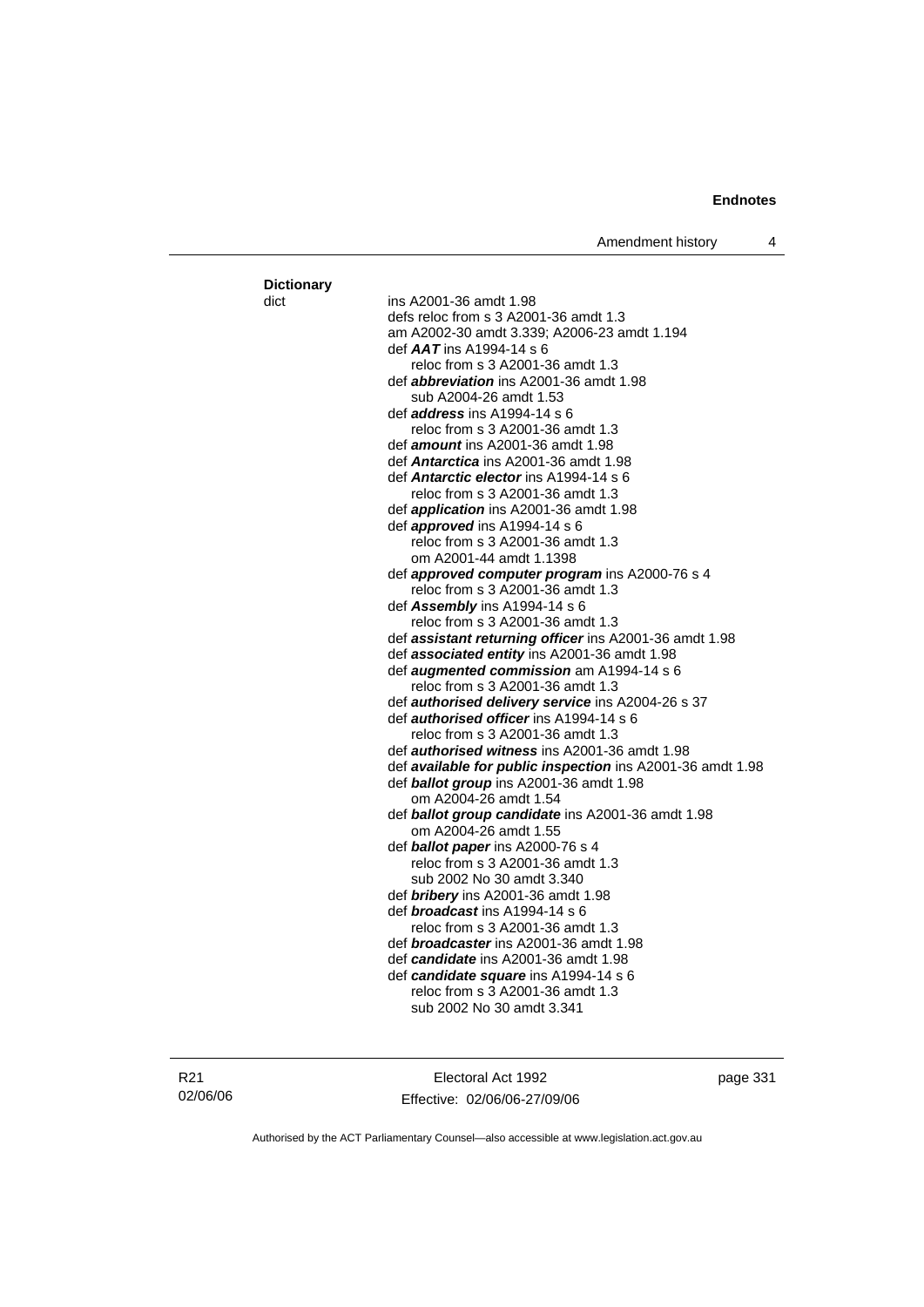#### dict ins A2001-36 amdt 1.98 defs reloc from s 3 A2001-36 amdt 1.3 am A2002-30 amdt 3.339; A2006-23 amdt 1.194 def *AAT* ins A1994-14 s 6 reloc from s 3 A2001-36 amdt 1.3 def *abbreviation* ins A2001-36 amdt 1.98 sub A2004-26 amdt 1.53 def *address* ins A1994-14 s 6 reloc from s 3 A2001-36 amdt 1.3 def *amount* ins A2001-36 amdt 1.98 def *Antarctica* ins A2001-36 amdt 1.98 def *Antarctic elector* ins A1994-14 s 6 reloc from s 3 A2001-36 amdt 1.3 def *application* ins A2001-36 amdt 1.98 def *approved* ins A1994-14 s 6 reloc from s 3 A2001-36 amdt 1.3 om A2001-44 amdt 1.1398 def *approved computer program* ins A2000-76 s 4 reloc from s 3 A2001-36 amdt 1.3 def *Assembly* ins A1994-14 s 6 reloc from s 3 A2001-36 amdt 1.3 def *assistant returning officer* ins A2001-36 amdt 1.98 def *associated entity* ins A2001-36 amdt 1.98 def *augmented commission* am A1994-14 s 6 reloc from s 3 A2001-36 amdt 1.3 def *authorised delivery service* ins A2004-26 s 37 def *authorised officer* ins A1994-14 s 6 reloc from s 3 A2001-36 amdt 1.3 def *authorised witness* ins A2001-36 amdt 1.98 def *available for public inspection* ins A2001-36 amdt 1.98 def *ballot group* ins A2001-36 amdt 1.98 om A2004-26 amdt 1.54 def *ballot group candidate* ins A2001-36 amdt 1.98 om A2004-26 amdt 1.55 def *ballot paper* ins A2000-76 s 4 reloc from s 3 A2001-36 amdt 1.3 sub 2002 No 30 amdt 3.340 def *bribery* ins A2001-36 amdt 1.98 def *broadcast* ins A1994-14 s 6 reloc from s 3 A2001-36 amdt 1.3 def *broadcaster* ins A2001-36 amdt 1.98 def *candidate* ins A2001-36 amdt 1.98 def *candidate square* ins A1994-14 s 6 reloc from s 3 A2001-36 amdt 1.3 sub 2002 No 30 amdt 3.341

**Dictionary**

Electoral Act 1992 Effective: 02/06/06-27/09/06 page 331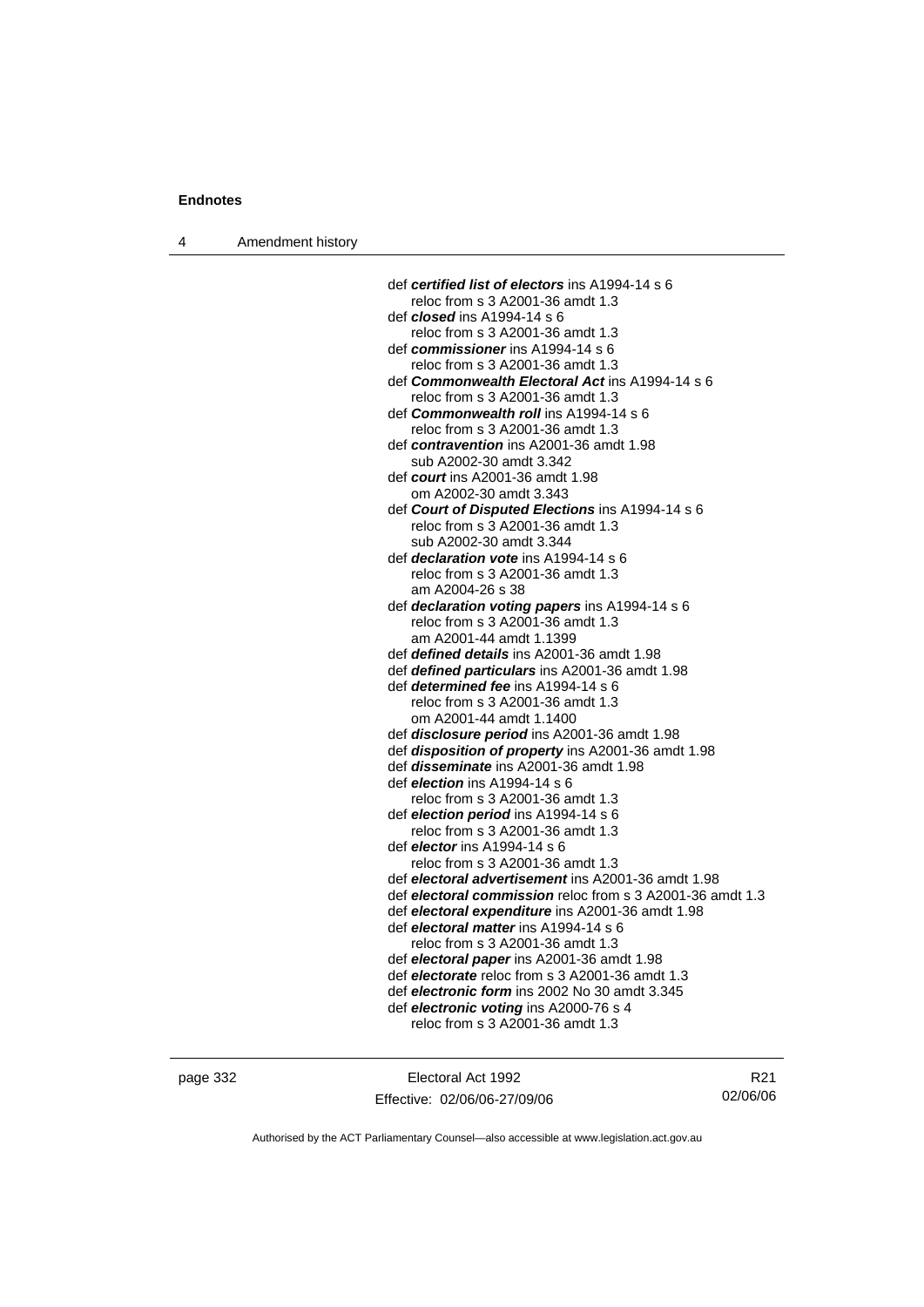| Amendment history<br>4 |  |
|------------------------|--|
|------------------------|--|

| def certified list of electors ins A1994-14 s 6           |
|-----------------------------------------------------------|
| reloc from s 3 A2001-36 amdt 1.3                          |
| def <i>closed</i> ins A1994-14 s 6                        |
| reloc from s 3 A2001-36 amdt 1.3                          |
| def commissioner ins A1994-14 s 6                         |
| reloc from s 3 A2001-36 amdt 1.3                          |
| def Commonwealth Electoral Act ins A1994-14 s 6           |
| reloc from s 3 A2001-36 amdt 1.3                          |
| def Commonwealth roll ins A1994-14 s 6                    |
| reloc from s 3 A2001-36 amdt 1.3                          |
| def contravention ins A2001-36 amdt 1.98                  |
| sub A2002-30 amdt 3.342                                   |
| def court ins A2001-36 amdt 1.98                          |
| om A2002-30 amdt 3.343                                    |
| def Court of Disputed Elections ins A1994-14 s 6          |
| reloc from s 3 A2001-36 amdt 1.3                          |
| sub A2002-30 amdt 3.344                                   |
| def <i>declaration vote</i> ins A1994-14 s 6              |
| reloc from s 3 A2001-36 amdt 1.3                          |
| am A2004-26 s 38                                          |
| def declaration voting papers ins A1994-14 s 6            |
| reloc from s 3 A2001-36 amdt 1.3                          |
| am A2001-44 amdt 1.1399                                   |
| def defined details ins A2001-36 amdt 1.98                |
| def defined particulars ins A2001-36 amdt 1.98            |
| def <i>determined fee</i> ins A1994-14 s 6                |
| reloc from s 3 A2001-36 amdt 1.3                          |
| om A2001-44 amdt 1.1400                                   |
| def disclosure period ins A2001-36 amdt 1.98              |
| def disposition of property ins A2001-36 amdt 1.98        |
| def <i>disseminate</i> ins A2001-36 amdt 1.98             |
| def <i>election</i> ins A1994-14 s 6                      |
| reloc from s 3 A2001-36 amdt 1.3                          |
| def election period ins A1994-14 s 6                      |
| reloc from s 3 A2001-36 amdt 1.3                          |
| def <i>elector</i> ins A1994-14 s 6                       |
| reloc from s 3 A2001-36 amdt 1.3                          |
| def electoral advertisement ins A2001-36 amdt 1.98        |
| def electoral commission reloc from s 3 A2001-36 amdt 1.3 |
| def electoral expenditure ins A2001-36 amdt 1.98          |
| def electoral matter ins A1994-14 s 6                     |
| reloc from s 3 A2001-36 amdt 1.3                          |
| def electoral paper ins A2001-36 amdt 1.98                |
| def electorate reloc from s 3 A2001-36 amdt 1.3           |
| def electronic form ins 2002 No 30 amdt 3.345             |
| def electronic voting ins A2000-76 s 4                    |
| reloc from s 3 A2001-36 amdt 1.3                          |

page 332 Electoral Act 1992 Effective: 02/06/06-27/09/06

R21 02/06/06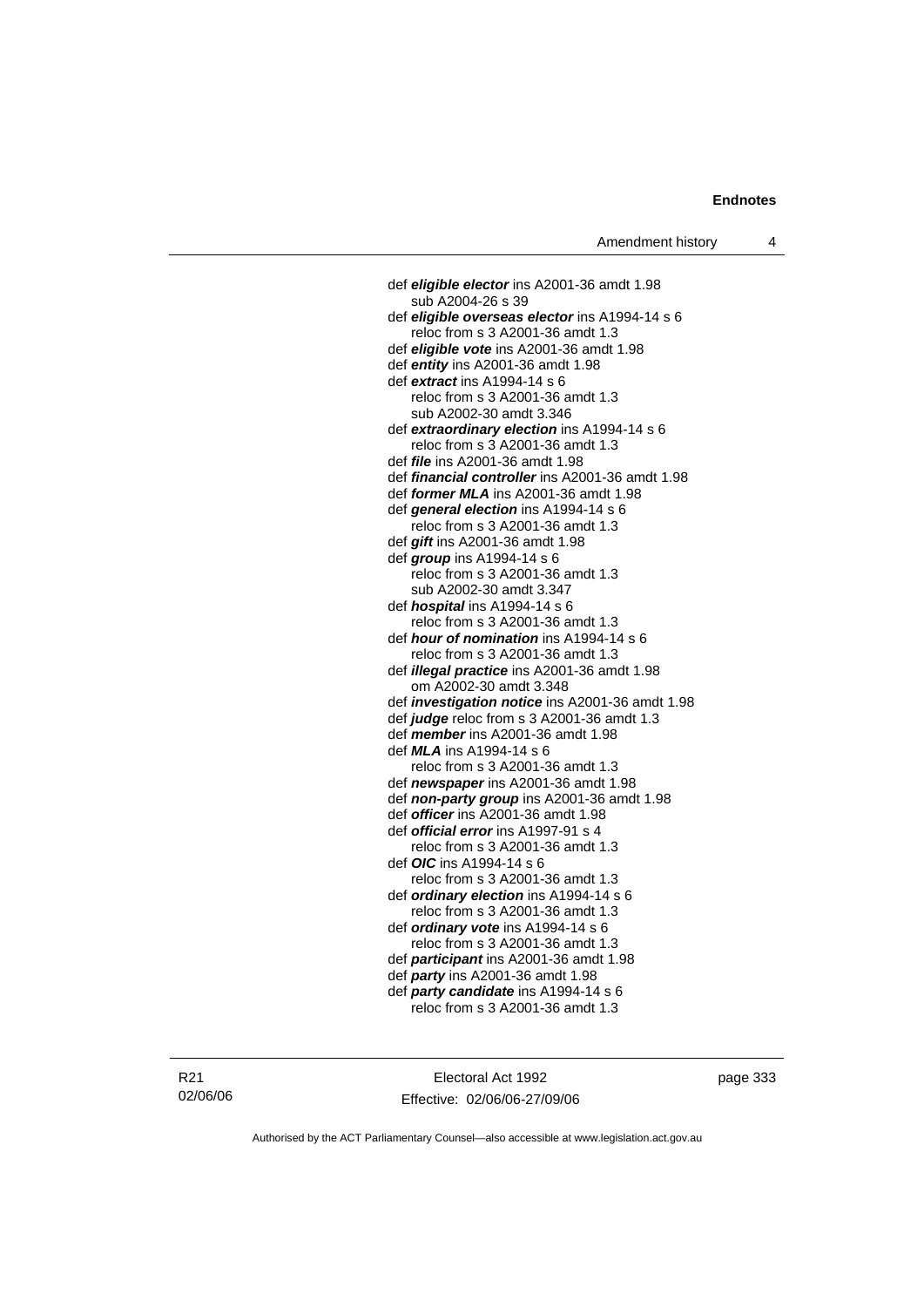def *eligible elector* ins A2001-36 amdt 1.98 sub A2004-26 s 39 def *eligible overseas elector* ins A1994-14 s 6 reloc from s 3 A2001-36 amdt 1.3 def *eligible vote* ins A2001-36 amdt 1.98 def *entity* ins A2001-36 amdt 1.98 def *extract* ins A1994-14 s 6 reloc from s 3 A2001-36 amdt 1.3 sub A2002-30 amdt 3.346 def *extraordinary election* ins A1994-14 s 6 reloc from s 3 A2001-36 amdt 1.3 def *file* ins A2001-36 amdt 1.98 def *financial controller* ins A2001-36 amdt 1.98 def *former MLA* ins A2001-36 amdt 1.98 def *general election* ins A1994-14 s 6 reloc from s 3 A2001-36 amdt 1.3 def *gift* ins A2001-36 amdt 1.98 def *group* ins A1994-14 s 6 reloc from s 3 A2001-36 amdt 1.3 sub A2002-30 amdt 3.347 def *hospital* ins A1994-14 s 6 reloc from s 3 A2001-36 amdt 1.3 def *hour of nomination* ins A1994-14 s 6 reloc from s 3 A2001-36 amdt 1.3 def *illegal practice* ins A2001-36 amdt 1.98 om A2002-30 amdt 3.348 def *investigation notice* ins A2001-36 amdt 1.98 def *judge* reloc from s 3 A2001-36 amdt 1.3 def *member* ins A2001-36 amdt 1.98 def *MLA* ins A1994-14 s 6 reloc from s 3 A2001-36 amdt 1.3 def *newspaper* ins A2001-36 amdt 1.98 def *non-party group* ins A2001-36 amdt 1.98 def *officer* ins A2001-36 amdt 1.98 def *official error* ins A1997-91 s 4 reloc from s 3 A2001-36 amdt 1.3 def *OIC* ins A1994-14 s 6 reloc from s 3 A2001-36 amdt 1.3 def *ordinary election* ins A1994-14 s 6 reloc from s 3 A2001-36 amdt 1.3 def *ordinary vote* ins A1994-14 s 6 reloc from s 3 A2001-36 amdt 1.3 def *participant* ins A2001-36 amdt 1.98 def *party* ins A2001-36 amdt 1.98 def *party candidate* ins A1994-14 s 6 reloc from s 3 A2001-36 amdt 1.3

Electoral Act 1992 Effective: 02/06/06-27/09/06 page 333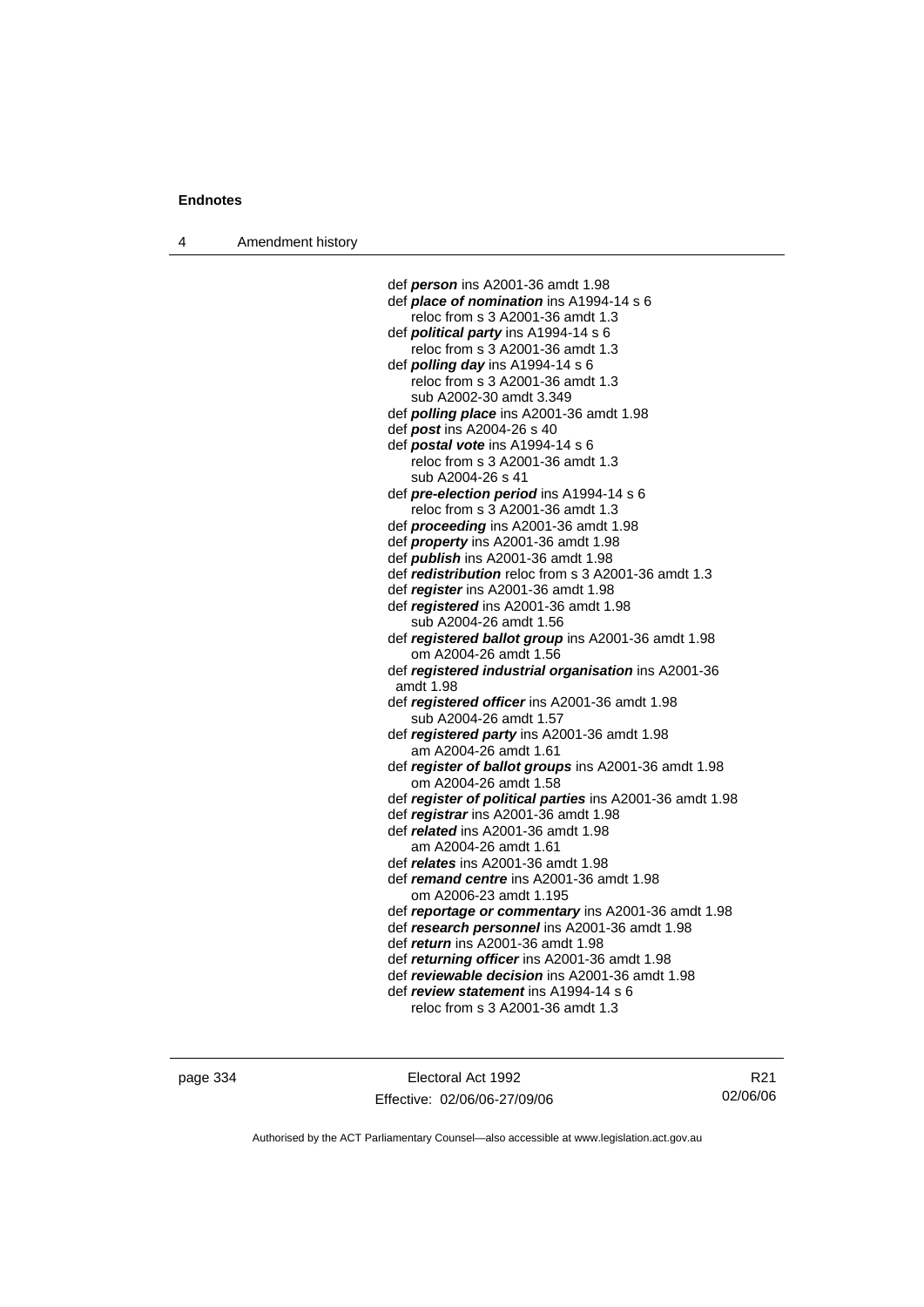4 Amendment history

 def *person* ins A2001-36 amdt 1.98 def *place of nomination* ins A1994-14 s 6 reloc from s 3 A2001-36 amdt 1.3 def *political party* ins A1994-14 s 6 reloc from s 3 A2001-36 amdt 1.3 def *polling day* ins A1994-14 s 6 reloc from s 3 A2001-36 amdt 1.3 sub A2002-30 amdt 3.349 def *polling place* ins A2001-36 amdt 1.98 def *post* ins A2004-26 s 40 def *postal vote* ins A1994-14 s 6 reloc from s 3 A2001-36 amdt 1.3 sub A2004-26 s 41 def *pre-election period* ins A1994-14 s 6 reloc from s 3 A2001-36 amdt 1.3 def *proceeding* ins A2001-36 amdt 1.98 def *property* ins A2001-36 amdt 1.98 def *publish* ins A2001-36 amdt 1.98 def *redistribution* reloc from s 3 A2001-36 amdt 1.3 def *register* ins A2001-36 amdt 1.98 def *registered* ins A2001-36 amdt 1.98 sub A2004-26 amdt 1.56 def *registered ballot group* ins A2001-36 amdt 1.98 om A2004-26 amdt 1.56 def *registered industrial organisation* ins A2001-36 amdt 1.98 def *registered officer* ins A2001-36 amdt 1.98 sub A2004-26 amdt 1.57 def *registered party* ins A2001-36 amdt 1.98 am A2004-26 amdt 1.61 def *register of ballot groups* ins A2001-36 amdt 1.98 om A2004-26 amdt 1.58 def *register of political parties* ins A2001-36 amdt 1.98 def *registrar* ins A2001-36 amdt 1.98 def *related* ins A2001-36 amdt 1.98 am A2004-26 amdt 1.61 def *relates* ins A2001-36 amdt 1.98 def *remand centre* ins A2001-36 amdt 1.98 om A2006-23 amdt 1.195 def *reportage or commentary* ins A2001-36 amdt 1.98 def *research personnel* ins A2001-36 amdt 1.98 def *return* ins A2001-36 amdt 1.98 def *returning officer* ins A2001-36 amdt 1.98 def *reviewable decision* ins A2001-36 amdt 1.98 def *review statement* ins A1994-14 s 6 reloc from s 3 A2001-36 amdt 1.3

page 334 Electoral Act 1992 Effective: 02/06/06-27/09/06

R21 02/06/06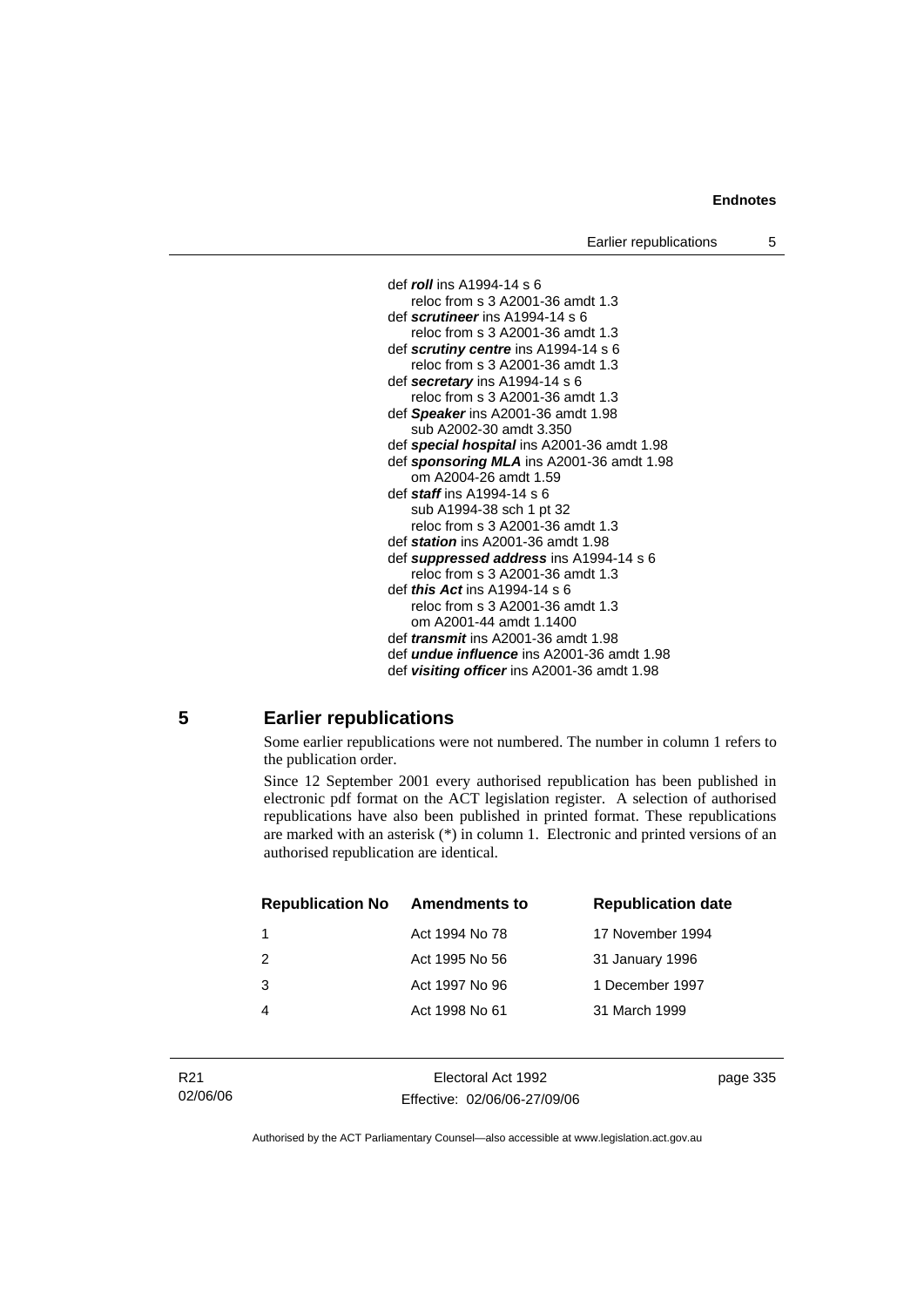Earlier republications 5



#### **5 Earlier republications**

Some earlier republications were not numbered. The number in column 1 refers to the publication order.

Since 12 September 2001 every authorised republication has been published in electronic pdf format on the ACT legislation register. A selection of authorised republications have also been published in printed format. These republications are marked with an asterisk (\*) in column 1. Electronic and printed versions of an authorised republication are identical.

| <b>Republication No</b> | <b>Amendments to</b> | <b>Republication date</b> |
|-------------------------|----------------------|---------------------------|
|                         | Act 1994 No 78       | 17 November 1994          |
| $\mathcal{P}$           | Act 1995 No 56       | 31 January 1996           |
| 3                       | Act 1997 No 96       | 1 December 1997           |
|                         | Act 1998 No 61       | 31 March 1999             |
|                         |                      |                           |

Electoral Act 1992 Effective: 02/06/06-27/09/06 page 335